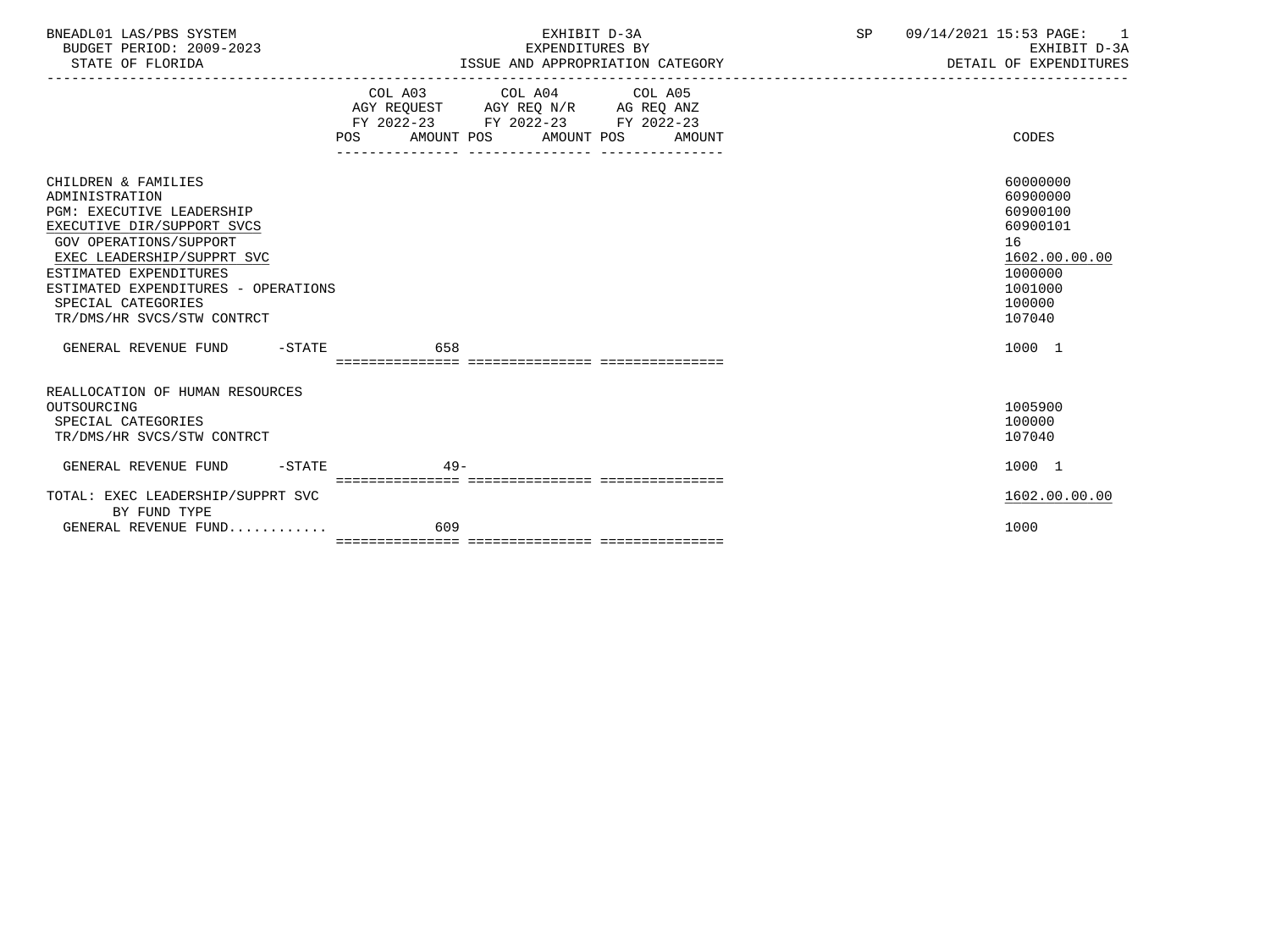| BNEADL01 LAS/PBS SYSTEM  | EXHIBIT D-3A                     | 09/14/2021 15:53 PAGE: |
|--------------------------|----------------------------------|------------------------|
| BUDGET PERIOD: 2009-2023 | EXPENDITURES BY                  | EXHIBIT D-3A           |
| STATE OF FLORIDA         | ISSUE AND APPROPRIATION CATEGORY | DETAIL OF EXPENDITURES |

-----------------------------------------------------------------------------------------------------------------------------------

|                                                                                                                                                                                                                                                                                             | COL A03                           | COL A04                      | COL A05              |                                                                                                               |
|---------------------------------------------------------------------------------------------------------------------------------------------------------------------------------------------------------------------------------------------------------------------------------------------|-----------------------------------|------------------------------|----------------------|---------------------------------------------------------------------------------------------------------------|
|                                                                                                                                                                                                                                                                                             |                                   | AGY REQUEST AGY REQ N/R      | AG REQ ANZ           |                                                                                                               |
|                                                                                                                                                                                                                                                                                             | $FY$ 2022-23<br>AMOUNT POS<br>POS | FY 2022-23<br>AMOUNT POS     | FY 2022-23<br>AMOUNT | CODES                                                                                                         |
| CHILDREN & FAMILIES<br>ADMINISTRATION<br><b>PGM: EXECUTIVE LEADERSHIP</b><br>EXECUTIVE DIR/SUPPORT SVCS<br><b>GOV OPERATIONS/SUPPORT</b><br>EXEC LEADERSHIP/SUPPRT SVC<br>ESTIMATED EXPENDITURES<br>ESTIMATED EXPENDITURES - OPERATIONS<br>SPECIAL CATEGORIES<br>TR/DMS/HR SVCS/STW CONTRCT |                                   |                              |                      | 60000000<br>60900000<br>60900100<br>60900101<br>16<br>1602.00.00.00<br>1000000<br>1001000<br>100000<br>107040 |
| GENERAL REVENUE FUND<br>$-STATE$                                                                                                                                                                                                                                                            | 658                               |                              |                      | 1000 1                                                                                                        |
|                                                                                                                                                                                                                                                                                             | ================================= |                              |                      |                                                                                                               |
| REALLOCATION OF HUMAN RESOURCES<br>OUTSOURCING<br>SPECIAL CATEGORIES<br>TR/DMS/HR SVCS/STW CONTRCT                                                                                                                                                                                          |                                   |                              |                      | 1005900<br>100000<br>107040                                                                                   |
| GENERAL REVENUE FUND<br>$-STATE$                                                                                                                                                                                                                                                            | $49 -$                            | ============================ |                      | 1000 1                                                                                                        |
| TOTAL: EXEC LEADERSHIP/SUPPRT SVC<br>BY FUND TYPE                                                                                                                                                                                                                                           |                                   |                              |                      | 1602.00.00.00                                                                                                 |
| GENERAL REVENUE FUND                                                                                                                                                                                                                                                                        | 609                               |                              |                      | 1000                                                                                                          |
|                                                                                                                                                                                                                                                                                             |                                   |                              |                      |                                                                                                               |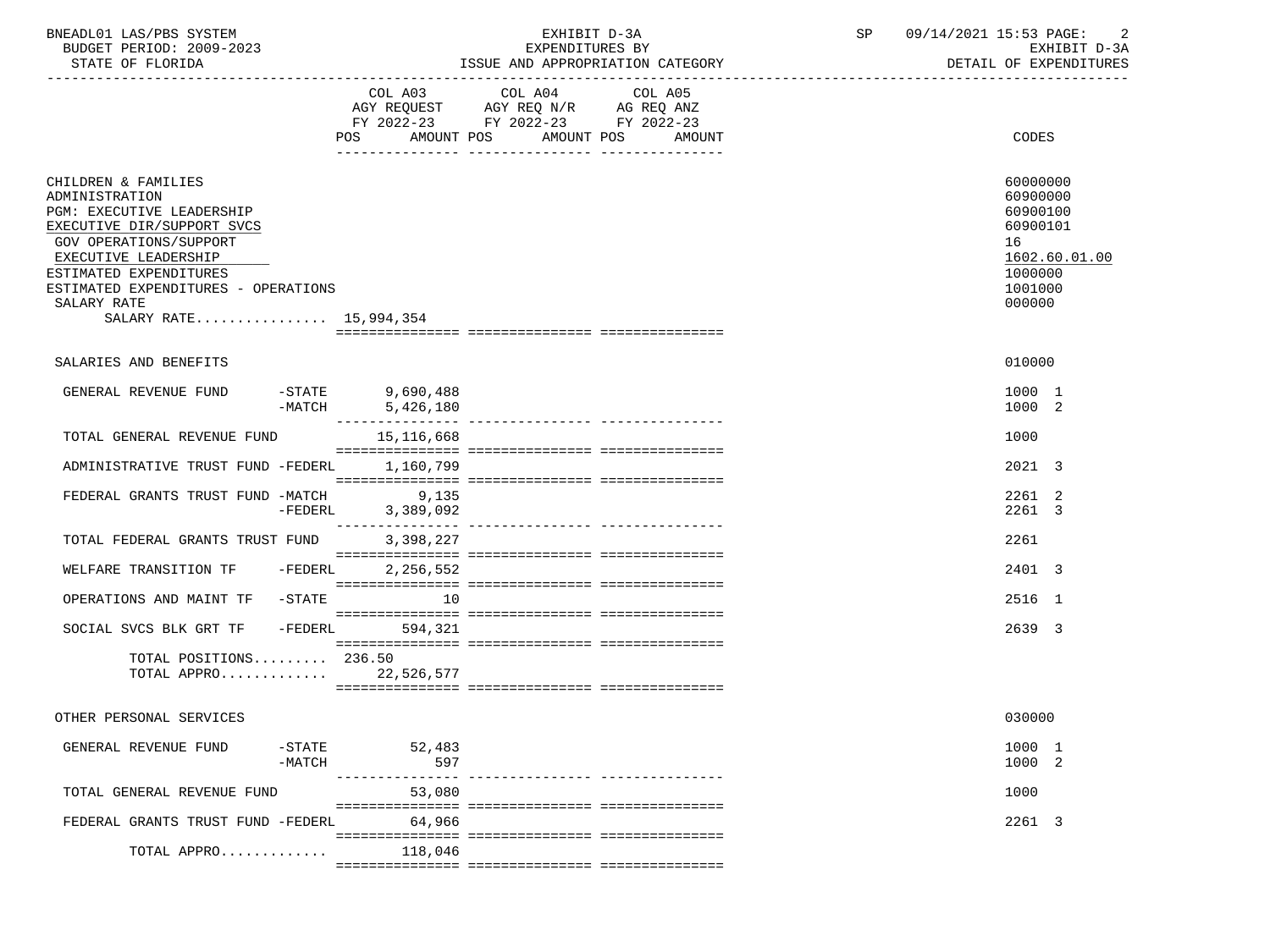| BNEADL01 LAS/PBS SYSTEM |                  |                          | EXHIBIT D-3A                     |
|-------------------------|------------------|--------------------------|----------------------------------|
|                         |                  | BUDGET PERIOD: 2009-2023 | EXPENDITURES BY                  |
|                         | STATE OF FLORIDA |                          | ISSUE AND APPROPRIATION CATEGORY |

BUDGET PERIOD: 2009-2023 EXPENDITURES BY EXHIBIT D-3A

|                                                                                                                                                                                                                                                              |                     | COL A03<br>POS AMOUNT POS       | COL A04<br>AGY REQUEST AGY REQ N/R AG REQ ANZ<br>FY 2022-23 FY 2022-23 FY 2022-23 | COL A05<br>AMOUNT POS AMOUNT | CODES                                                                                               |
|--------------------------------------------------------------------------------------------------------------------------------------------------------------------------------------------------------------------------------------------------------------|---------------------|---------------------------------|-----------------------------------------------------------------------------------|------------------------------|-----------------------------------------------------------------------------------------------------|
| CHILDREN & FAMILIES<br>ADMINISTRATION<br>PGM: EXECUTIVE LEADERSHIP<br>EXECUTIVE DIR/SUPPORT SVCS<br>GOV OPERATIONS/SUPPORT<br>EXECUTIVE LEADERSHIP<br>ESTIMATED EXPENDITURES<br>ESTIMATED EXPENDITURES - OPERATIONS<br>SALARY RATE<br>SALARY RATE 15,994,354 |                     |                                 |                                                                                   |                              | 60000000<br>60900000<br>60900100<br>60900101<br>16<br>1602.60.01.00<br>1000000<br>1001000<br>000000 |
| SALARIES AND BENEFITS                                                                                                                                                                                                                                        |                     |                                 |                                                                                   |                              | 010000                                                                                              |
| GENERAL REVENUE FUND                                                                                                                                                                                                                                         | $-$ STATE           | 9,690,488<br>$-MATCH$ 5,426,180 |                                                                                   |                              | 1000 1<br>1000 2                                                                                    |
| TOTAL GENERAL REVENUE FUND                                                                                                                                                                                                                                   |                     | 15,116,668                      |                                                                                   |                              | 1000                                                                                                |
| ADMINISTRATIVE TRUST FUND -FEDERL                                                                                                                                                                                                                            |                     | 1,160,799                       |                                                                                   |                              | 2021 3                                                                                              |
| FEDERAL GRANTS TRUST FUND -MATCH                                                                                                                                                                                                                             | -FEDERL             | 9,135<br>3,389,092              |                                                                                   |                              | 2261 2<br>2261 3                                                                                    |
| TOTAL FEDERAL GRANTS TRUST FUND                                                                                                                                                                                                                              |                     | 3,398,227                       |                                                                                   |                              | 2261                                                                                                |
| WELFARE TRANSITION TF - FEDERL                                                                                                                                                                                                                               |                     | 2,256,552                       |                                                                                   |                              | 2401 3                                                                                              |
| OPERATIONS AND MAINT TF -STATE                                                                                                                                                                                                                               |                     | 10                              |                                                                                   |                              | 2516 1                                                                                              |
| SOCIAL SVCS BLK GRT TF - FEDERL                                                                                                                                                                                                                              |                     | 594,321                         |                                                                                   |                              | 2639 3                                                                                              |
| TOTAL POSITIONS 236.50<br>TOTAL APPRO 22,526,577                                                                                                                                                                                                             |                     |                                 |                                                                                   |                              |                                                                                                     |
| OTHER PERSONAL SERVICES                                                                                                                                                                                                                                      |                     |                                 |                                                                                   |                              | 030000                                                                                              |
| GENERAL REVENUE FUND                                                                                                                                                                                                                                         | $-$ STATE<br>-MATCH | 52,483<br>597                   |                                                                                   |                              | 1000 1<br>1000 2                                                                                    |
| TOTAL GENERAL REVENUE FUND                                                                                                                                                                                                                                   |                     | 53,080                          |                                                                                   |                              | 1000                                                                                                |
| FEDERAL GRANTS TRUST FUND -FEDERL 64,966                                                                                                                                                                                                                     |                     |                                 |                                                                                   |                              | 2261 3                                                                                              |
| TOTAL APPRO                                                                                                                                                                                                                                                  |                     | 118,046                         |                                                                                   |                              |                                                                                                     |
|                                                                                                                                                                                                                                                              |                     |                                 |                                                                                   |                              |                                                                                                     |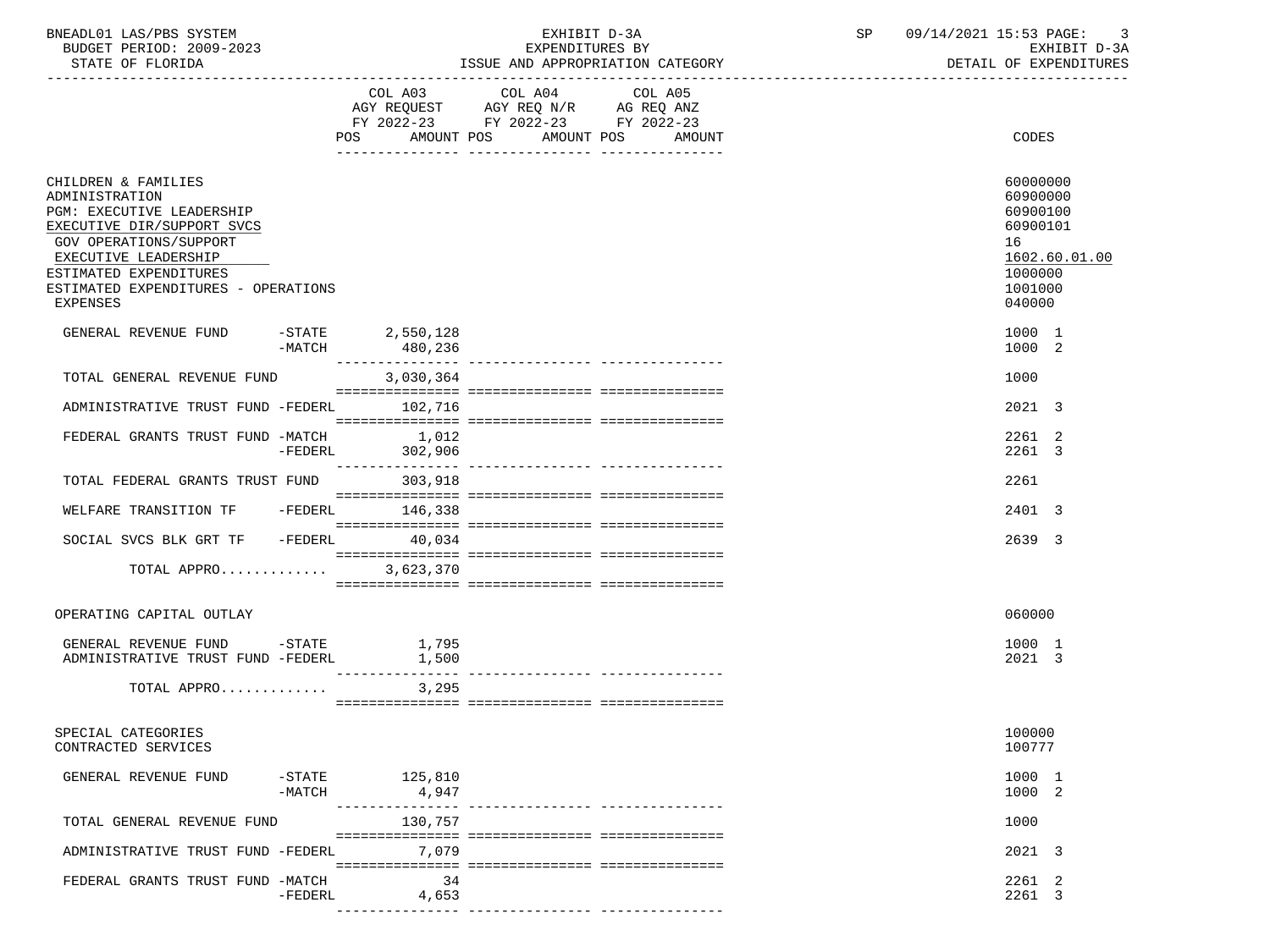| BNEADL01 LAS/PBS SYSTEM |                  |                          | EXHIBIT D-3A                     |  |
|-------------------------|------------------|--------------------------|----------------------------------|--|
|                         |                  | BUDGET PERIOD: 2009-2023 | EXPENDITURES BY                  |  |
|                         | STATE OF FLORIDA |                          | ISSUE AND APPROPRIATION CATEGORY |  |

|                                                                                                                                                                                                                                        |                               | COL A03 COL A04 COL A05<br>AGY REQUEST AGY REQ N/R AG REQ ANZ<br>FY 2022-23 FY 2022-23 FY 2022-23 |        |                                                                                                     |
|----------------------------------------------------------------------------------------------------------------------------------------------------------------------------------------------------------------------------------------|-------------------------------|---------------------------------------------------------------------------------------------------|--------|-----------------------------------------------------------------------------------------------------|
|                                                                                                                                                                                                                                        | AMOUNT POS<br>POS             | AMOUNT POS                                                                                        | AMOUNT | CODES                                                                                               |
| CHILDREN & FAMILIES<br>ADMINISTRATION<br>PGM: EXECUTIVE LEADERSHIP<br>EXECUTIVE DIR/SUPPORT SVCS<br>GOV OPERATIONS/SUPPORT<br>EXECUTIVE LEADERSHIP<br>ESTIMATED EXPENDITURES<br>ESTIMATED EXPENDITURES - OPERATIONS<br><b>EXPENSES</b> |                               |                                                                                                   |        | 60000000<br>60900000<br>60900100<br>60900101<br>16<br>1602.60.01.00<br>1000000<br>1001000<br>040000 |
| GENERAL REVENUE FUND<br>-MATCH                                                                                                                                                                                                         | $-STATE$ 2,550,128<br>480,236 |                                                                                                   |        | 1000 1<br>1000 2                                                                                    |
| TOTAL GENERAL REVENUE FUND                                                                                                                                                                                                             | 3,030,364                     |                                                                                                   |        | 1000                                                                                                |
| ADMINISTRATIVE TRUST FUND -FEDERL 102.716                                                                                                                                                                                              |                               |                                                                                                   |        | 2021 3                                                                                              |
| FEDERAL GRANTS TRUST FUND -MATCH<br>-FEDERL                                                                                                                                                                                            | 1,012<br>302,906              |                                                                                                   |        | 2261 2<br>2261 3                                                                                    |
| TOTAL FEDERAL GRANTS TRUST FUND 303,918                                                                                                                                                                                                |                               |                                                                                                   |        | 2261                                                                                                |
| WELFARE TRANSITION TF                                                                                                                                                                                                                  | $-FEDERL$ 146,338             |                                                                                                   |        | 2401 3                                                                                              |
| SOCIAL SVCS BLK GRT TF -FEDERL                                                                                                                                                                                                         | 40,034                        |                                                                                                   |        | 2639 3                                                                                              |
| TOTAL APPRO                                                                                                                                                                                                                            | 3,623,370                     |                                                                                                   |        |                                                                                                     |
| OPERATING CAPITAL OUTLAY                                                                                                                                                                                                               |                               |                                                                                                   |        | 060000                                                                                              |
| GENERAL REVENUE FUND -STATE 1,795<br>ADMINISTRATIVE TRUST FUND -FEDERL                                                                                                                                                                 | 1,500<br>$- - - - - - - -$    |                                                                                                   |        | 1000 1<br>2021 3                                                                                    |
| TOTAL APPRO                                                                                                                                                                                                                            | 3,295                         |                                                                                                   |        |                                                                                                     |
| SPECIAL CATEGORIES<br>CONTRACTED SERVICES                                                                                                                                                                                              |                               |                                                                                                   |        | 100000<br>100777                                                                                    |
| $-$ STATE<br>GENERAL REVENUE FUND<br>$-MATCH$                                                                                                                                                                                          | 125,810<br>4,947              |                                                                                                   |        | 1000 1<br>1000 2                                                                                    |
| TOTAL GENERAL REVENUE FUND                                                                                                                                                                                                             | ----------<br>130,757         |                                                                                                   |        | 1000                                                                                                |
| ADMINISTRATIVE TRUST FUND -FEDERL                                                                                                                                                                                                      | 7,079                         |                                                                                                   |        | 2021 3                                                                                              |
| FEDERAL GRANTS TRUST FUND -MATCH<br>$-FEDERL$                                                                                                                                                                                          | 34<br>4,653                   |                                                                                                   |        | 2261 2<br>2261 3                                                                                    |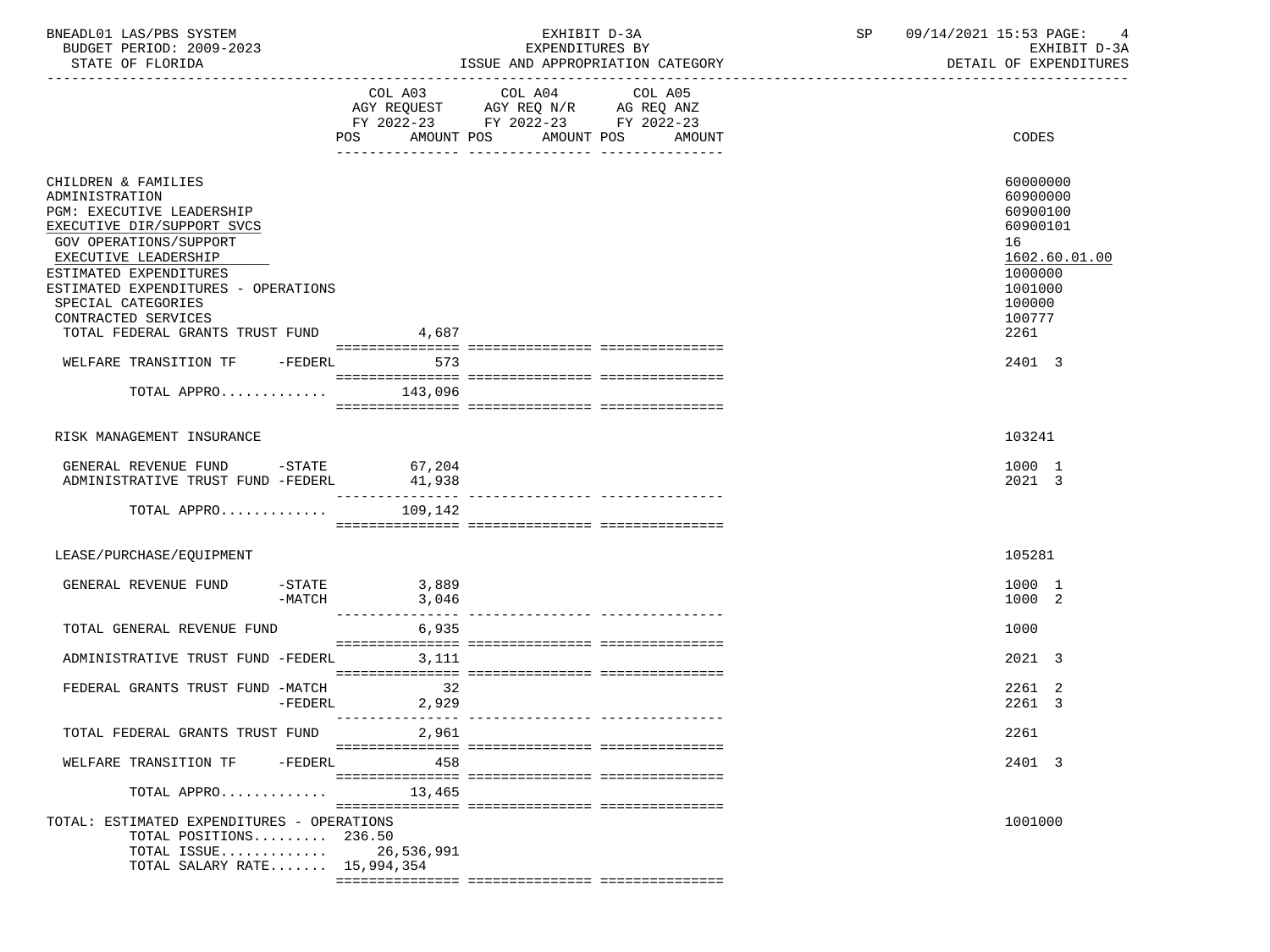| BNEADL01 LAS/PBS SYSTEM  | EXHIBIT D-3A                     | SP | 09/14/2021 15:53 PAGE: |
|--------------------------|----------------------------------|----|------------------------|
| BUDGET PERIOD: 2009-2023 | EXPENDITURES BY                  |    | EXHIBIT D-3A           |
| STATE OF FLORIDA         | ISSUE AND APPROPRIATION CATEGORY |    | DETAIL OF EXPENDITURES |

# EXHIBIT D-3A SP  $09/14/2021$  15:53 PAGE: 4<br>EXPENDITURES BY SERE

|                                                                                                                                                                                                                                                                                                                  |                           | $\begin{tabular}{lllllllllll} \multicolumn{4}{l} \multicolumn{4}{c}{} & \multicolumn{4}{c}{} & \multicolumn{4}{c}{} & \multicolumn{4}{c}{} & \multicolumn{4}{c}{} & \multicolumn{4}{c}{} & \multicolumn{4}{c}{} & \multicolumn{4}{c}{} & \multicolumn{4}{c}{} & \multicolumn{4}{c}{} & \multicolumn{4}{c}{} & \multicolumn{4}{c}{} & \multicolumn{4}{c}{} & \multicolumn{4}{c}{} & \multicolumn{4}{c}{} & \multicolumn{4}{c}{} & \multicolumn{4}{c}{} & \multicolumn{4}{c}{} &$<br>FY 2022-23 FY 2022-23 FY 2022-23<br>POS AMOUNT POS AMOUNT POS<br>AMOUNT | CODES                                                                                                                 |
|------------------------------------------------------------------------------------------------------------------------------------------------------------------------------------------------------------------------------------------------------------------------------------------------------------------|---------------------------|------------------------------------------------------------------------------------------------------------------------------------------------------------------------------------------------------------------------------------------------------------------------------------------------------------------------------------------------------------------------------------------------------------------------------------------------------------------------------------------------------------------------------------------------------------|-----------------------------------------------------------------------------------------------------------------------|
|                                                                                                                                                                                                                                                                                                                  |                           |                                                                                                                                                                                                                                                                                                                                                                                                                                                                                                                                                            |                                                                                                                       |
| CHILDREN & FAMILIES<br>ADMINISTRATION<br><b>PGM: EXECUTIVE LEADERSHIP</b><br>EXECUTIVE DIR/SUPPORT SVCS<br>GOV OPERATIONS/SUPPORT<br>EXECUTIVE LEADERSHIP<br>ESTIMATED EXPENDITURES<br>ESTIMATED EXPENDITURES - OPERATIONS<br>SPECIAL CATEGORIES<br>CONTRACTED SERVICES<br>TOTAL FEDERAL GRANTS TRUST FUND 4,687 |                           |                                                                                                                                                                                                                                                                                                                                                                                                                                                                                                                                                            | 60000000<br>60900000<br>60900100<br>60900101<br>16<br>1602.60.01.00<br>1000000<br>1001000<br>100000<br>100777<br>2261 |
|                                                                                                                                                                                                                                                                                                                  |                           |                                                                                                                                                                                                                                                                                                                                                                                                                                                                                                                                                            |                                                                                                                       |
| WELFARE TRANSITION TF -FEDERL                                                                                                                                                                                                                                                                                    | 573                       |                                                                                                                                                                                                                                                                                                                                                                                                                                                                                                                                                            | 2401 3                                                                                                                |
| TOTAL APPRO                                                                                                                                                                                                                                                                                                      | 143,096                   |                                                                                                                                                                                                                                                                                                                                                                                                                                                                                                                                                            |                                                                                                                       |
|                                                                                                                                                                                                                                                                                                                  |                           |                                                                                                                                                                                                                                                                                                                                                                                                                                                                                                                                                            |                                                                                                                       |
| RISK MANAGEMENT INSURANCE                                                                                                                                                                                                                                                                                        |                           |                                                                                                                                                                                                                                                                                                                                                                                                                                                                                                                                                            | 103241                                                                                                                |
| GENERAL REVENUE FUND -STATE 67,204                                                                                                                                                                                                                                                                               |                           |                                                                                                                                                                                                                                                                                                                                                                                                                                                                                                                                                            | 1000 1                                                                                                                |
| ADMINISTRATIVE TRUST FUND -FEDERL                                                                                                                                                                                                                                                                                | 41,938<br>--------------- |                                                                                                                                                                                                                                                                                                                                                                                                                                                                                                                                                            | 2021 3                                                                                                                |
| TOTAL APPRO                                                                                                                                                                                                                                                                                                      | 109,142                   |                                                                                                                                                                                                                                                                                                                                                                                                                                                                                                                                                            |                                                                                                                       |
|                                                                                                                                                                                                                                                                                                                  |                           |                                                                                                                                                                                                                                                                                                                                                                                                                                                                                                                                                            |                                                                                                                       |
| LEASE/PURCHASE/EQUIPMENT                                                                                                                                                                                                                                                                                         |                           |                                                                                                                                                                                                                                                                                                                                                                                                                                                                                                                                                            | 105281                                                                                                                |
| GENERAL REVENUE FUND<br>$-STATE$                                                                                                                                                                                                                                                                                 | 3,889                     |                                                                                                                                                                                                                                                                                                                                                                                                                                                                                                                                                            | 1000 1                                                                                                                |
| -MATCH                                                                                                                                                                                                                                                                                                           | 3,046<br>_______________  |                                                                                                                                                                                                                                                                                                                                                                                                                                                                                                                                                            | 1000 2                                                                                                                |
| TOTAL GENERAL REVENUE FUND                                                                                                                                                                                                                                                                                       | 6,935                     |                                                                                                                                                                                                                                                                                                                                                                                                                                                                                                                                                            | 1000                                                                                                                  |
|                                                                                                                                                                                                                                                                                                                  |                           |                                                                                                                                                                                                                                                                                                                                                                                                                                                                                                                                                            | 2021 3                                                                                                                |
| ADMINISTRATIVE TRUST FUND -FEDERL                                                                                                                                                                                                                                                                                | 3,111                     |                                                                                                                                                                                                                                                                                                                                                                                                                                                                                                                                                            |                                                                                                                       |
| FEDERAL GRANTS TRUST FUND -MATCH                                                                                                                                                                                                                                                                                 | 32                        |                                                                                                                                                                                                                                                                                                                                                                                                                                                                                                                                                            | 2261 2                                                                                                                |
| $-FEDERL$                                                                                                                                                                                                                                                                                                        | 2,929                     | --------------- ----------------                                                                                                                                                                                                                                                                                                                                                                                                                                                                                                                           | 2261 3                                                                                                                |
| TOTAL FEDERAL GRANTS TRUST FUND                                                                                                                                                                                                                                                                                  | 2,961                     |                                                                                                                                                                                                                                                                                                                                                                                                                                                                                                                                                            | 2261                                                                                                                  |
| WELFARE TRANSITION TF -FEDERL                                                                                                                                                                                                                                                                                    | 458                       |                                                                                                                                                                                                                                                                                                                                                                                                                                                                                                                                                            | 2401 3                                                                                                                |
| TOTAL APPRO                                                                                                                                                                                                                                                                                                      | 13,465                    |                                                                                                                                                                                                                                                                                                                                                                                                                                                                                                                                                            |                                                                                                                       |
| TOTAL: ESTIMATED EXPENDITURES - OPERATIONS<br>TOTAL POSITIONS 236.50<br>TOTAL ISSUE<br>TOTAL SALARY RATE 15,994,354                                                                                                                                                                                              | 26,536,991                |                                                                                                                                                                                                                                                                                                                                                                                                                                                                                                                                                            | 1001000                                                                                                               |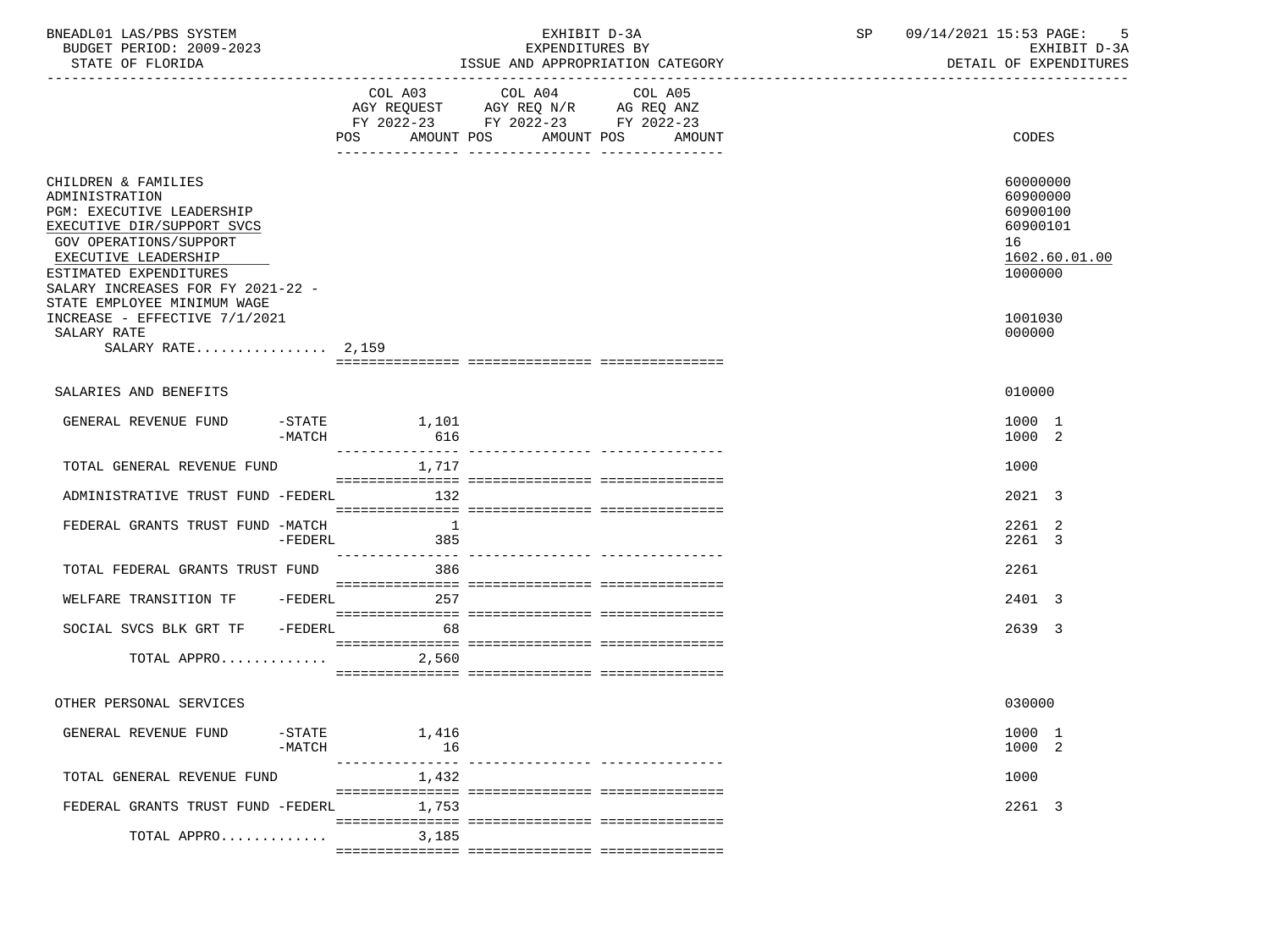| BNEADL01 LAS/PBS SYSTEM<br>BUDGET PERIOD: 2009-2023<br>STATE OF FLORIDA                                                                                                                                           |                       |                                    | EXHIBIT D-3A<br>EXPENDITURES BY                                                                   | ISSUE AND APPROPRIATION CATEGORY | SP 09/14/2021 15:53 PAGE: 5<br>EXHIBIT D-3A<br>DETAIL OF EXPENDITURES          |  |
|-------------------------------------------------------------------------------------------------------------------------------------------------------------------------------------------------------------------|-----------------------|------------------------------------|---------------------------------------------------------------------------------------------------|----------------------------------|--------------------------------------------------------------------------------|--|
|                                                                                                                                                                                                                   |                       | POS AMOUNT POS AMOUNT POS          | COL A03 COL A04 COL A05<br>AGY REQUEST AGY REQ N/R AG REQ ANZ<br>FY 2022-23 FY 2022-23 FY 2022-23 | AMOUNT                           | <b>CODES</b>                                                                   |  |
| CHILDREN & FAMILIES<br>ADMINISTRATION<br>PGM: EXECUTIVE LEADERSHIP<br>EXECUTIVE DIR/SUPPORT SVCS<br>GOV OPERATIONS/SUPPORT<br>EXECUTIVE LEADERSHIP<br>ESTIMATED EXPENDITURES<br>SALARY INCREASES FOR FY 2021-22 - |                       |                                    |                                                                                                   |                                  | 60000000<br>60900000<br>60900100<br>60900101<br>16<br>1602.60.01.00<br>1000000 |  |
| STATE EMPLOYEE MINIMUM WAGE<br>INCREASE - EFFECTIVE 7/1/2021<br>SALARY RATE<br>SALARY RATE $2,159$                                                                                                                |                       |                                    |                                                                                                   |                                  | 1001030<br>000000                                                              |  |
|                                                                                                                                                                                                                   |                       |                                    |                                                                                                   |                                  |                                                                                |  |
| SALARIES AND BENEFITS                                                                                                                                                                                             |                       |                                    |                                                                                                   |                                  | 010000                                                                         |  |
| GENERAL REVENUE FUND                                                                                                                                                                                              | -MATCH                | $-$ STATE $1,101$<br>616           |                                                                                                   |                                  | 1000 1<br>1000 2                                                               |  |
| TOTAL GENERAL REVENUE FUND                                                                                                                                                                                        |                       | 1,717                              |                                                                                                   |                                  | 1000                                                                           |  |
| ADMINISTRATIVE TRUST FUND -FEDERL 132                                                                                                                                                                             |                       |                                    |                                                                                                   |                                  | 2021 3                                                                         |  |
| FEDERAL GRANTS TRUST FUND -MATCH                                                                                                                                                                                  | -FEDERL               | $\overline{1}$<br>385              |                                                                                                   |                                  | 2261 2<br>2261 3                                                               |  |
| TOTAL FEDERAL GRANTS TRUST FUND                                                                                                                                                                                   |                       | 386                                |                                                                                                   |                                  | 2261                                                                           |  |
| WELFARE TRANSITION TF -FEDERL 257                                                                                                                                                                                 |                       |                                    |                                                                                                   |                                  | 2401 3                                                                         |  |
| SOCIAL SVCS BLK GRT TF - FEDERL 68                                                                                                                                                                                |                       |                                    |                                                                                                   |                                  | 2639 3                                                                         |  |
| TOTAL APPRO                                                                                                                                                                                                       |                       | 2,560                              |                                                                                                   |                                  |                                                                                |  |
| OTHER PERSONAL SERVICES                                                                                                                                                                                           |                       |                                    |                                                                                                   |                                  | 030000                                                                         |  |
| GENERAL REVENUE FUND                                                                                                                                                                                              | $-$ STATE<br>$-MATCH$ | 1,416<br>16<br><u> December de</u> | ------------ -------                                                                              |                                  | 1000 1<br>1000 2                                                               |  |
| TOTAL GENERAL REVENUE FUND                                                                                                                                                                                        |                       | 1,432                              |                                                                                                   |                                  | 1000                                                                           |  |
| FEDERAL GRANTS TRUST FUND -FEDERL                                                                                                                                                                                 |                       | 1,753                              |                                                                                                   |                                  | 2261 3                                                                         |  |
| TOTAL APPRO                                                                                                                                                                                                       |                       | 3,185                              |                                                                                                   |                                  |                                                                                |  |
|                                                                                                                                                                                                                   |                       |                                    |                                                                                                   |                                  |                                                                                |  |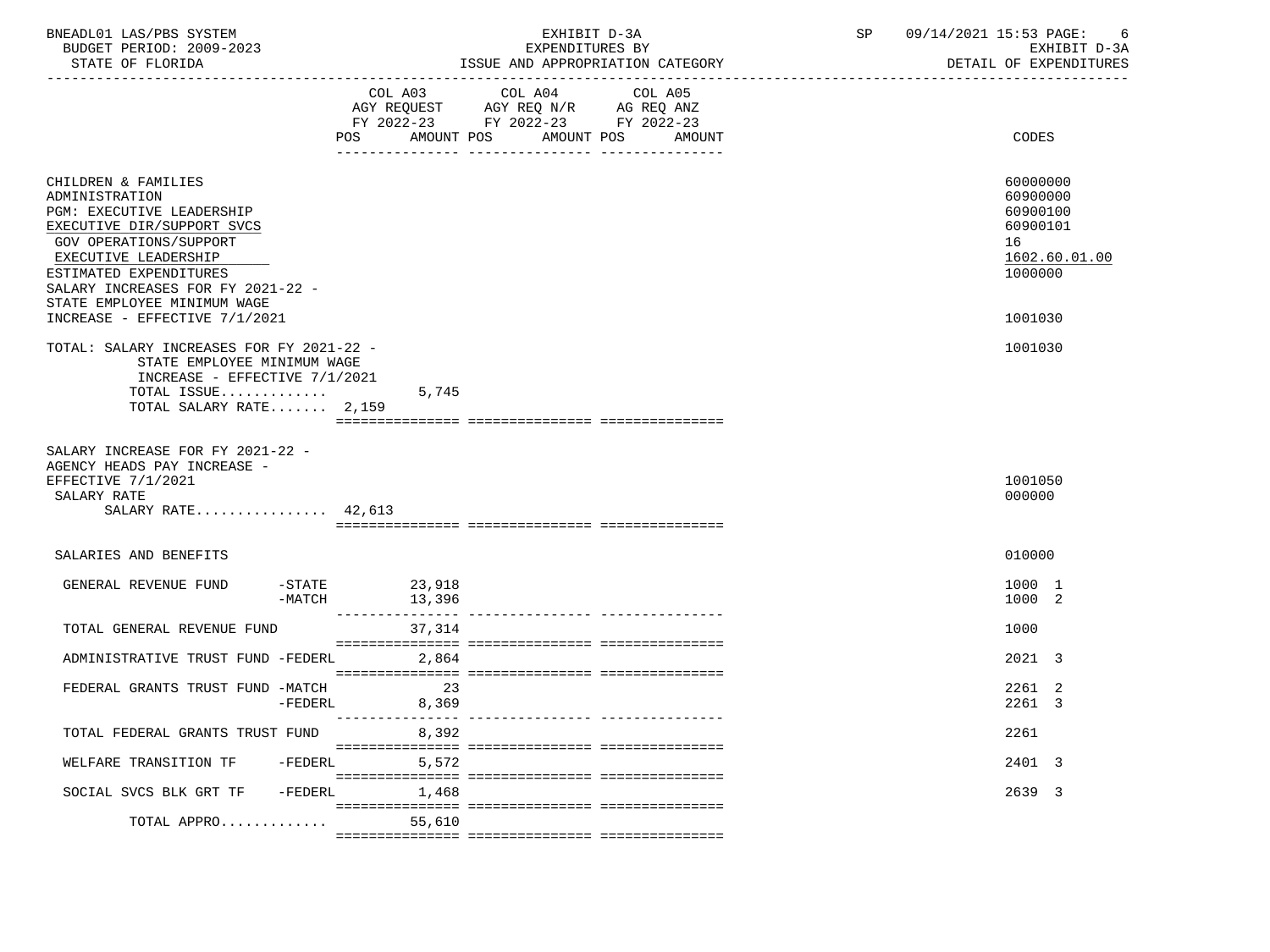| BNEADL01 LAS/PBS SYSTEM<br>BUDGET PERIOD: 2009-2023<br>STATE OF FLORIDA                                                                                                                                                                                                           |                  | EXHIBIT D-3A<br>EXPENDITURES BY<br>ISSUE AND APPROPRIATION CATEGORY                                                                      | 09/14/2021 15:53 PAGE:<br>- 6<br>SP<br>EXHIBIT D-3A<br>DETAIL OF EXPENDITURES             |
|-----------------------------------------------------------------------------------------------------------------------------------------------------------------------------------------------------------------------------------------------------------------------------------|------------------|------------------------------------------------------------------------------------------------------------------------------------------|-------------------------------------------------------------------------------------------|
|                                                                                                                                                                                                                                                                                   |                  | COL A03 COL A04<br>COL A05<br>AGY REQUEST AGY REQ N/R AG REQ ANZ<br>FY 2022-23 FY 2022-23 FY 2022-23<br>POS AMOUNT POS AMOUNT POS AMOUNT | CODES                                                                                     |
| CHILDREN & FAMILIES<br>ADMINISTRATION<br>PGM: EXECUTIVE LEADERSHIP<br>EXECUTIVE DIR/SUPPORT SVCS<br>GOV OPERATIONS/SUPPORT<br>EXECUTIVE LEADERSHIP<br>ESTIMATED EXPENDITURES<br>SALARY INCREASES FOR FY 2021-22 -<br>STATE EMPLOYEE MINIMUM WAGE<br>INCREASE - EFFECTIVE 7/1/2021 |                  |                                                                                                                                          | 60000000<br>60900000<br>60900100<br>60900101<br>16<br>1602.60.01.00<br>1000000<br>1001030 |
| TOTAL: SALARY INCREASES FOR FY 2021-22 -<br>STATE EMPLOYEE MINIMUM WAGE<br>INCREASE - EFFECTIVE 7/1/2021<br>TOTAL ISSUE<br>TOTAL SALARY RATE 2,159                                                                                                                                |                  | 5,745                                                                                                                                    | 1001030                                                                                   |
| SALARY INCREASE FOR FY 2021-22 -<br>AGENCY HEADS PAY INCREASE -<br>EFFECTIVE 7/1/2021<br>SALARY RATE<br>SALARY RATE 42,613                                                                                                                                                        |                  |                                                                                                                                          | 1001050<br>000000                                                                         |
| SALARIES AND BENEFITS                                                                                                                                                                                                                                                             |                  |                                                                                                                                          | 010000                                                                                    |
| GENERAL REVENUE FUND -STATE 23,918                                                                                                                                                                                                                                                | $-MATCH$         | 13,396                                                                                                                                   | 1000 1<br>1000 2                                                                          |
| TOTAL GENERAL REVENUE FUND                                                                                                                                                                                                                                                        |                  | 37,314                                                                                                                                   | 1000                                                                                      |
| ADMINISTRATIVE TRUST FUND -FEDERL 2,864                                                                                                                                                                                                                                           |                  |                                                                                                                                          | 2021 3                                                                                    |
| FEDERAL GRANTS TRUST FUND -MATCH                                                                                                                                                                                                                                                  | 8,369<br>-FEDERL | 23                                                                                                                                       | 2261 2<br>2261 3                                                                          |
| TOTAL FEDERAL GRANTS TRUST FUND                                                                                                                                                                                                                                                   |                  | 8,392                                                                                                                                    | 2261                                                                                      |
| WELFARE TRANSITION TF -FEDERL                                                                                                                                                                                                                                                     |                  | 5,572                                                                                                                                    | 2401 3                                                                                    |
| SOCIAL SVCS BLK GRT TF -FEDERL                                                                                                                                                                                                                                                    |                  | 1,468                                                                                                                                    | 2639 3                                                                                    |
| TOTAL APPRO                                                                                                                                                                                                                                                                       |                  | 55,610                                                                                                                                   |                                                                                           |
|                                                                                                                                                                                                                                                                                   |                  |                                                                                                                                          |                                                                                           |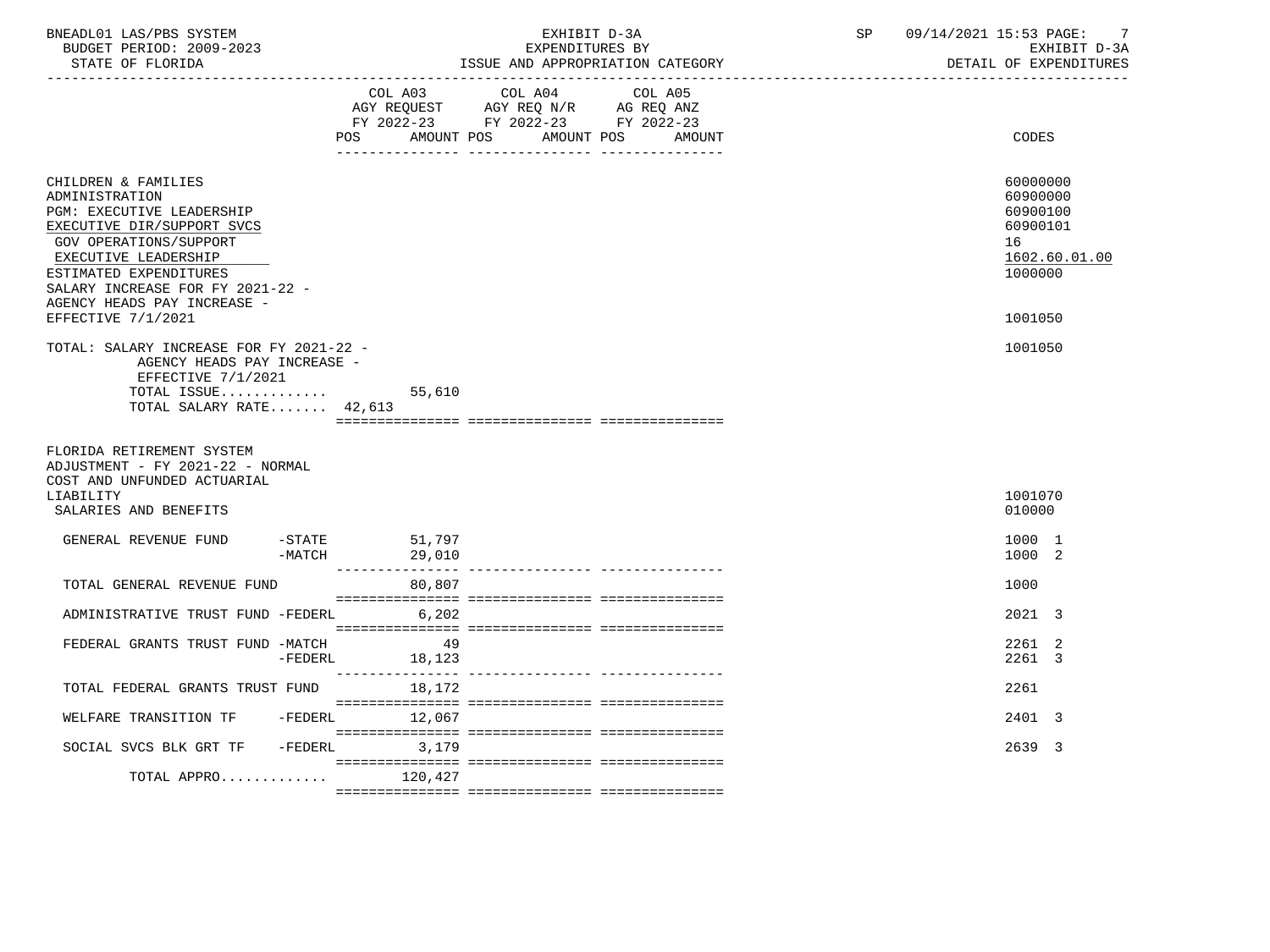| BNEADL01 LAS/PBS SYSTEM<br>BUDGET PERIOD: 2009-2023<br>STATE OF FLORIDA<br>----------------------                                                                                                                                                                     |                       | EXHIBIT D-3A<br>EXPENDITURES BY<br>ISSUE AND APPROPRIATION CATEGORY |                                                                                                                    |                   | SP | 09/14/2021 15:53 PAGE:<br>-7<br>EXHIBIT D-3A<br>DETAIL OF EXPENDITURES                    |
|-----------------------------------------------------------------------------------------------------------------------------------------------------------------------------------------------------------------------------------------------------------------------|-----------------------|---------------------------------------------------------------------|--------------------------------------------------------------------------------------------------------------------|-------------------|----|-------------------------------------------------------------------------------------------|
|                                                                                                                                                                                                                                                                       | POS                   |                                                                     | COL A03 COL A04<br>AGY REQUEST AGY REQ N/R AG REQ ANZ<br>FY 2022-23 FY 2022-23 FY 2022-23<br>AMOUNT POS AMOUNT POS | COL A05<br>AMOUNT |    | CODES                                                                                     |
| CHILDREN & FAMILIES<br>ADMINISTRATION<br>PGM: EXECUTIVE LEADERSHIP<br>EXECUTIVE DIR/SUPPORT SVCS<br>GOV OPERATIONS/SUPPORT<br>EXECUTIVE LEADERSHIP<br>ESTIMATED EXPENDITURES<br>SALARY INCREASE FOR FY 2021-22 -<br>AGENCY HEADS PAY INCREASE -<br>EFFECTIVE 7/1/2021 |                       |                                                                     |                                                                                                                    |                   |    | 60000000<br>60900000<br>60900100<br>60900101<br>16<br>1602.60.01.00<br>1000000<br>1001050 |
| TOTAL: SALARY INCREASE FOR FY 2021-22 -<br>AGENCY HEADS PAY INCREASE -<br>EFFECTIVE 7/1/2021<br>TOTAL ISSUE<br>TOTAL SALARY RATE 42,613                                                                                                                               |                       | 55,610                                                              |                                                                                                                    |                   |    | 1001050                                                                                   |
| FLORIDA RETIREMENT SYSTEM<br>ADJUSTMENT - FY 2021-22 - NORMAL<br>COST AND UNFUNDED ACTUARIAL                                                                                                                                                                          |                       |                                                                     |                                                                                                                    |                   |    |                                                                                           |
| LIABILITY<br>SALARIES AND BENEFITS                                                                                                                                                                                                                                    |                       |                                                                     |                                                                                                                    |                   |    | 1001070<br>010000                                                                         |
| GENERAL REVENUE FUND                                                                                                                                                                                                                                                  | $-$ STATE<br>$-MATCH$ | 51,797<br>29,010                                                    |                                                                                                                    |                   |    | 1000 1<br>1000 2                                                                          |
| TOTAL GENERAL REVENUE FUND                                                                                                                                                                                                                                            |                       | 80,807                                                              |                                                                                                                    |                   |    | 1000                                                                                      |
| ADMINISTRATIVE TRUST FUND -FEDERL                                                                                                                                                                                                                                     |                       | 6,202                                                               |                                                                                                                    |                   |    | 2021 3                                                                                    |
| FEDERAL GRANTS TRUST FUND -MATCH                                                                                                                                                                                                                                      | $-FEDERL$             | -49<br>18,123                                                       |                                                                                                                    |                   |    | 2261 2<br>2261 3                                                                          |
| TOTAL FEDERAL GRANTS TRUST FUND                                                                                                                                                                                                                                       |                       | 18,172                                                              |                                                                                                                    |                   |    | 2261                                                                                      |
| WELFARE TRANSITION TF                                                                                                                                                                                                                                                 | -FEDERL               | 12,067                                                              |                                                                                                                    |                   |    | 2401 3                                                                                    |
| SOCIAL SVCS BLK GRT TF -FEDERL                                                                                                                                                                                                                                        |                       | 3,179                                                               |                                                                                                                    |                   |    | 2639 3                                                                                    |
| TOTAL APPRO $120,427$                                                                                                                                                                                                                                                 |                       |                                                                     |                                                                                                                    |                   |    |                                                                                           |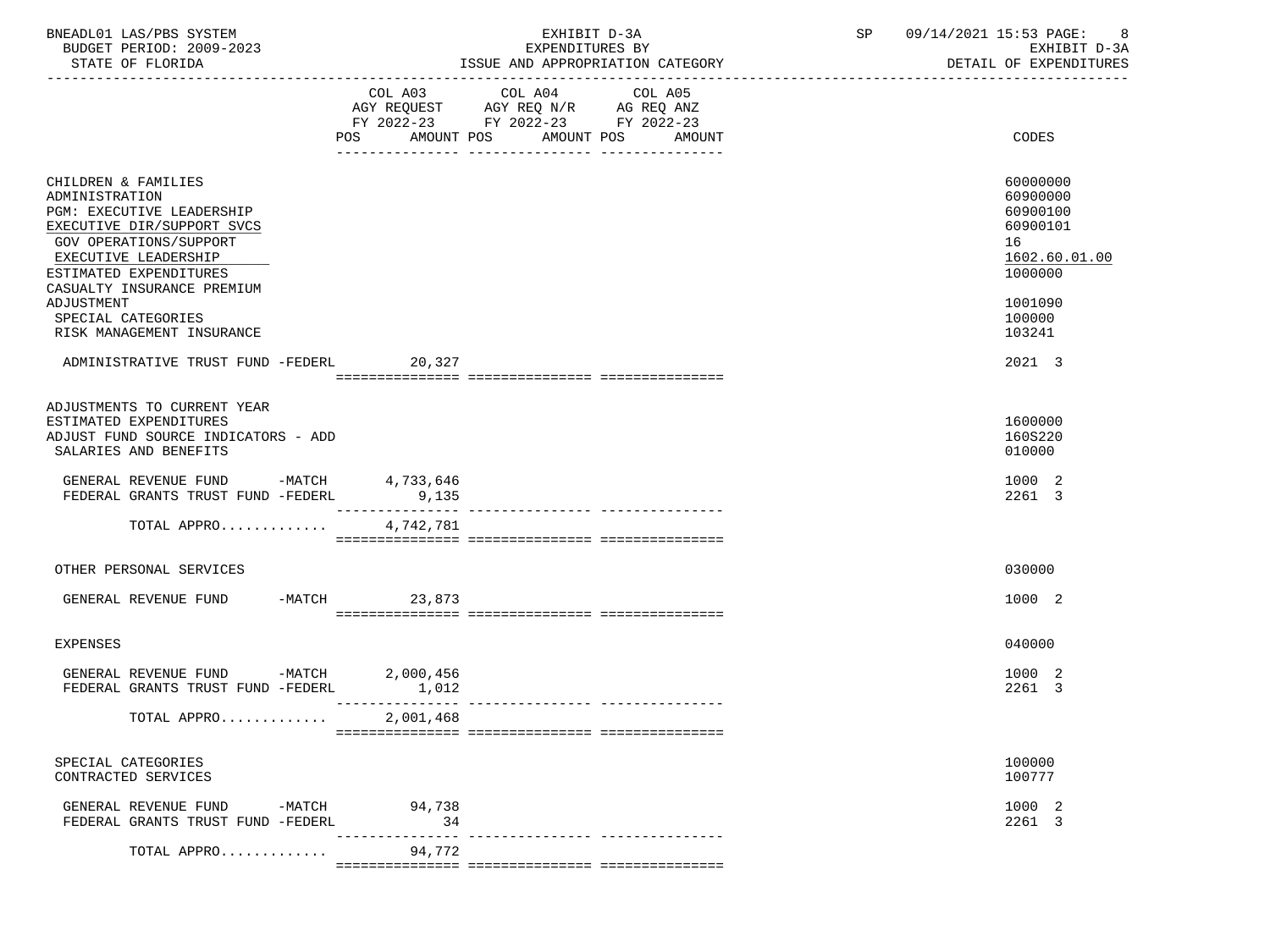| BNEADL01 LAS/PBS SYSTEM  | EXHIBIT D-3A                     | 09/14/2021 15:53 PAGE: |
|--------------------------|----------------------------------|------------------------|
| BUDGET PERIOD: 2009-2023 | EXPENDITURES BY                  | EXHIBIT D-3A           |
| STATE OF FLORIDA         | ISSUE AND APPROPRIATION CATEGORY | DETAIL OF EXPENDITURES |

|                                                                                                                                                                              | AMOUNT POS<br>POS | COL A03 COL A04 COL A05<br>FY 2022-23 FY 2022-23 FY 2022-23 | AMOUNT POS AMOUNT | CODES                                                                          |
|------------------------------------------------------------------------------------------------------------------------------------------------------------------------------|-------------------|-------------------------------------------------------------|-------------------|--------------------------------------------------------------------------------|
| CHILDREN & FAMILIES<br>ADMINISTRATION<br>PGM: EXECUTIVE LEADERSHIP<br>EXECUTIVE DIR/SUPPORT SVCS<br>GOV OPERATIONS/SUPPORT<br>EXECUTIVE LEADERSHIP<br>ESTIMATED EXPENDITURES |                   |                                                             |                   | 60000000<br>60900000<br>60900100<br>60900101<br>16<br>1602.60.01.00<br>1000000 |
| CASUALTY INSURANCE PREMIUM<br>ADJUSTMENT<br>SPECIAL CATEGORIES<br>RISK MANAGEMENT INSURANCE                                                                                  |                   |                                                             |                   | 1001090<br>100000<br>103241                                                    |
| ADMINISTRATIVE TRUST FUND -FEDERL 20,327                                                                                                                                     |                   |                                                             |                   | 2021 3                                                                         |
|                                                                                                                                                                              |                   |                                                             |                   |                                                                                |
| ADJUSTMENTS TO CURRENT YEAR<br>ESTIMATED EXPENDITURES<br>ADJUST FUND SOURCE INDICATORS - ADD<br>SALARIES AND BENEFITS                                                        |                   |                                                             |                   | 1600000<br>160S220<br>010000                                                   |
| GENERAL REVENUE FUND -MATCH 4,733,646<br>FEDERAL GRANTS TRUST FUND -FEDERL                                                                                                   | 9,135             |                                                             |                   | 1000 2<br>2261 3                                                               |
| TOTAL APPRO                                                                                                                                                                  | 4,742,781         |                                                             |                   |                                                                                |
|                                                                                                                                                                              |                   |                                                             |                   |                                                                                |
| OTHER PERSONAL SERVICES                                                                                                                                                      |                   |                                                             |                   | 030000                                                                         |
| GENERAL REVENUE FUND                                                                                                                                                         | -MATCH 23,873     |                                                             |                   | 1000 2                                                                         |
| <b>EXPENSES</b>                                                                                                                                                              |                   |                                                             |                   | 040000                                                                         |
| GENERAL REVENUE FUND -MATCH 2,000,456<br>FEDERAL GRANTS TRUST FUND -FEDERL                                                                                                   | 1,012             |                                                             |                   | 1000 2<br>2261 3                                                               |
| TOTAL APPRO                                                                                                                                                                  | 2,001,468         |                                                             |                   |                                                                                |
| SPECIAL CATEGORIES<br>CONTRACTED SERVICES                                                                                                                                    |                   |                                                             |                   | 100000<br>100777                                                               |
| GENERAL REVENUE FUND -MATCH 94,738<br>FEDERAL GRANTS TRUST FUND -FEDERL                                                                                                      | 34                |                                                             |                   | 1000 2<br>2261 3                                                               |
| TOTAL APPRO                                                                                                                                                                  | 94,772            |                                                             |                   |                                                                                |

=============== =============== ===============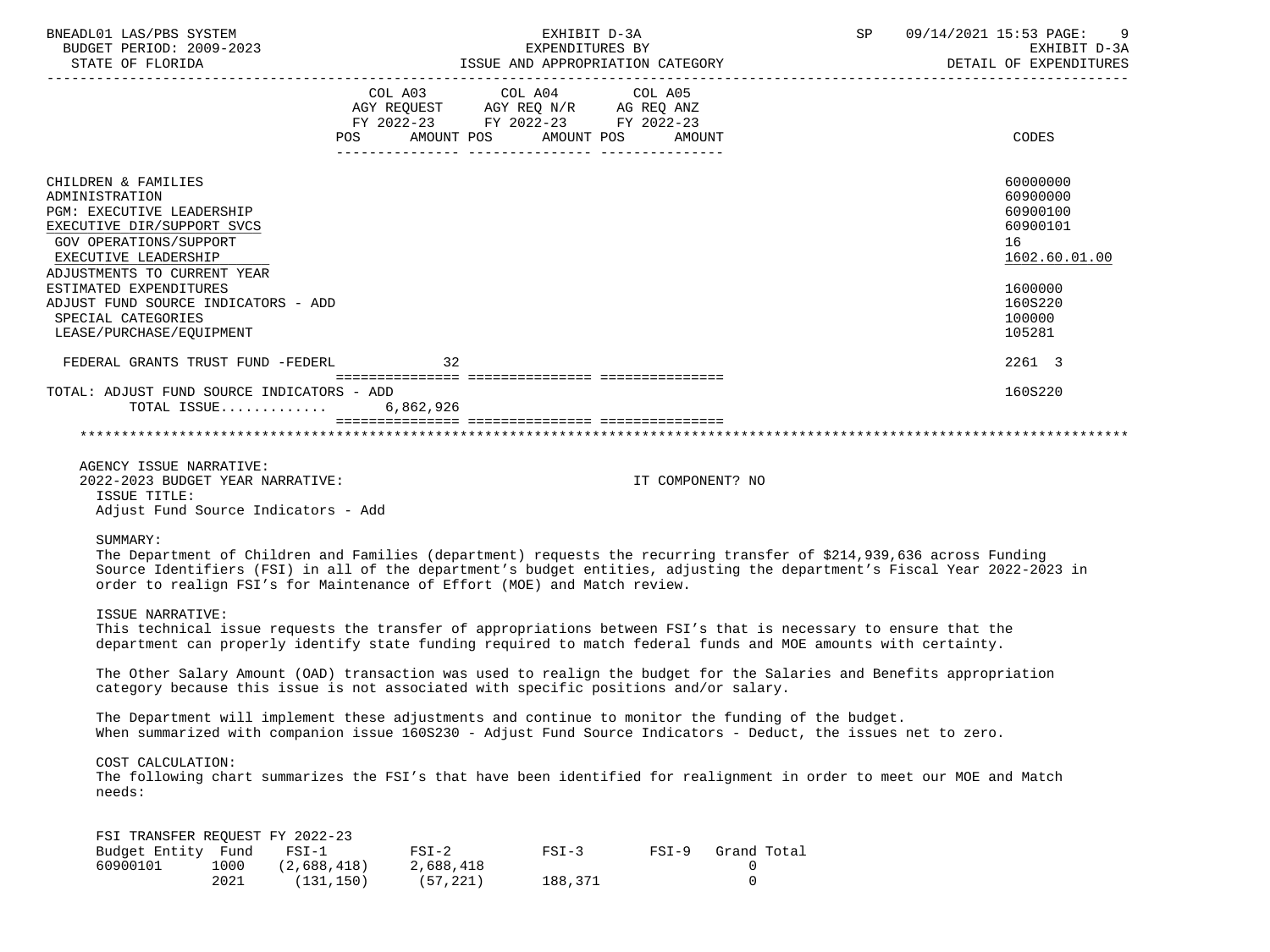| BNEADL01 LAS/PBS SYSTEM<br>BUDGET PERIOD: 2009-2023                                                                                                                                                                                                                                                                                      |                                      |                                                           |                    | SP 09/14/2021 15:53 PAGE:<br>EXHIBIT D-3A<br>EXPENDITURES BY |                                 |  | 9<br>EXHIBIT D-3A |                                                                                           |
|------------------------------------------------------------------------------------------------------------------------------------------------------------------------------------------------------------------------------------------------------------------------------------------------------------------------------------------|--------------------------------------|-----------------------------------------------------------|--------------------|--------------------------------------------------------------|---------------------------------|--|-------------------|-------------------------------------------------------------------------------------------|
|                                                                                                                                                                                                                                                                                                                                          |                                      |                                                           |                    |                                                              |                                 |  |                   | DETAIL OF EXPENDITURES                                                                    |
|                                                                                                                                                                                                                                                                                                                                          | POS                                  | FY 2022-23 FY 2022-23 FY 2022-23<br>AMOUNT POS AMOUNT POS |                    | AMOUNT                                                       |                                 |  |                   | CODES                                                                                     |
| CHILDREN & FAMILIES<br>ADMINISTRATION<br>PGM: EXECUTIVE LEADERSHIP<br>EXECUTIVE DIR/SUPPORT SVCS<br>GOV OPERATIONS/SUPPORT<br>EXECUTIVE LEADERSHIP<br>ADJUSTMENTS TO CURRENT YEAR<br>ESTIMATED EXPENDITURES<br>ADJUST FUND SOURCE INDICATORS - ADD                                                                                       |                                      |                                                           |                    |                                                              |                                 |  |                   | 60000000<br>60900000<br>60900100<br>60900101<br>16<br>1602.60.01.00<br>1600000<br>160S220 |
| SPECIAL CATEGORIES                                                                                                                                                                                                                                                                                                                       |                                      |                                                           |                    |                                                              |                                 |  |                   | 100000<br>105281                                                                          |
| LEASE/PURCHASE/EQUIPMENT                                                                                                                                                                                                                                                                                                                 |                                      |                                                           |                    |                                                              |                                 |  |                   |                                                                                           |
| FEDERAL GRANTS TRUST FUND -FEDERL                                                                                                                                                                                                                                                                                                        |                                      | 32                                                        |                    |                                                              |                                 |  |                   | 2261 3                                                                                    |
| TOTAL: ADJUST FUND SOURCE INDICATORS - ADD<br>TOTAL ISSUE                                                                                                                                                                                                                                                                                |                                      | 6,862,926                                                 |                    |                                                              |                                 |  |                   | 160S220                                                                                   |
| AGENCY ISSUE NARRATIVE:<br>2022-2023 BUDGET YEAR NARRATIVE:<br>ISSUE TITLE:<br>Adjust Fund Source Indicators - Add                                                                                                                                                                                                                       |                                      |                                                           |                    | IT COMPONENT? NO                                             |                                 |  |                   |                                                                                           |
| SUMMARY:<br>The Department of Children and Families (department) requests the recurring transfer of \$214,939,636 across Funding<br>Source Identifiers (FSI) in all of the department's budget entities, adjusting the department's Fiscal Year 2022-2023 in<br>order to realign FSI's for Maintenance of Effort (MOE) and Match review. |                                      |                                                           |                    |                                                              |                                 |  |                   |                                                                                           |
| ISSUE NARRATIVE:<br>This technical issue requests the transfer of appropriations between FSI's that is necessary to ensure that the<br>department can properly identify state funding required to match federal funds and MOE amounts with certainty.                                                                                    |                                      |                                                           |                    |                                                              |                                 |  |                   |                                                                                           |
| The Other Salary Amount (OAD) transaction was used to realign the budget for the Salaries and Benefits appropriation<br>category because this issue is not associated with specific positions and/or salary.                                                                                                                             |                                      |                                                           |                    |                                                              |                                 |  |                   |                                                                                           |
| The Department will implement these adjustments and continue to monitor the funding of the budget.<br>When summarized with companion issue 160S230 - Adjust Fund Source Indicators - Deduct, the issues net to zero.                                                                                                                     |                                      |                                                           |                    |                                                              |                                 |  |                   |                                                                                           |
| COST CALCULATION:<br>The following chart summarizes the FSI's that have been identified for realignment in order to meet our MOE and Match<br>needs:                                                                                                                                                                                     |                                      |                                                           |                    |                                                              |                                 |  |                   |                                                                                           |
| FSI TRANSFER REQUEST FY 2022-23<br>Budget Entity Fund<br>60900101<br>1000<br>2021                                                                                                                                                                                                                                                        | $FSI-1$<br>(2,688,418)<br>(131, 150) | $FSI-2$<br>2,688,418<br>(57, 221)                         | $FSI-3$<br>188,371 | $FSI-9$                                                      | Grand Total<br>0<br>$\mathbf 0$ |  |                   |                                                                                           |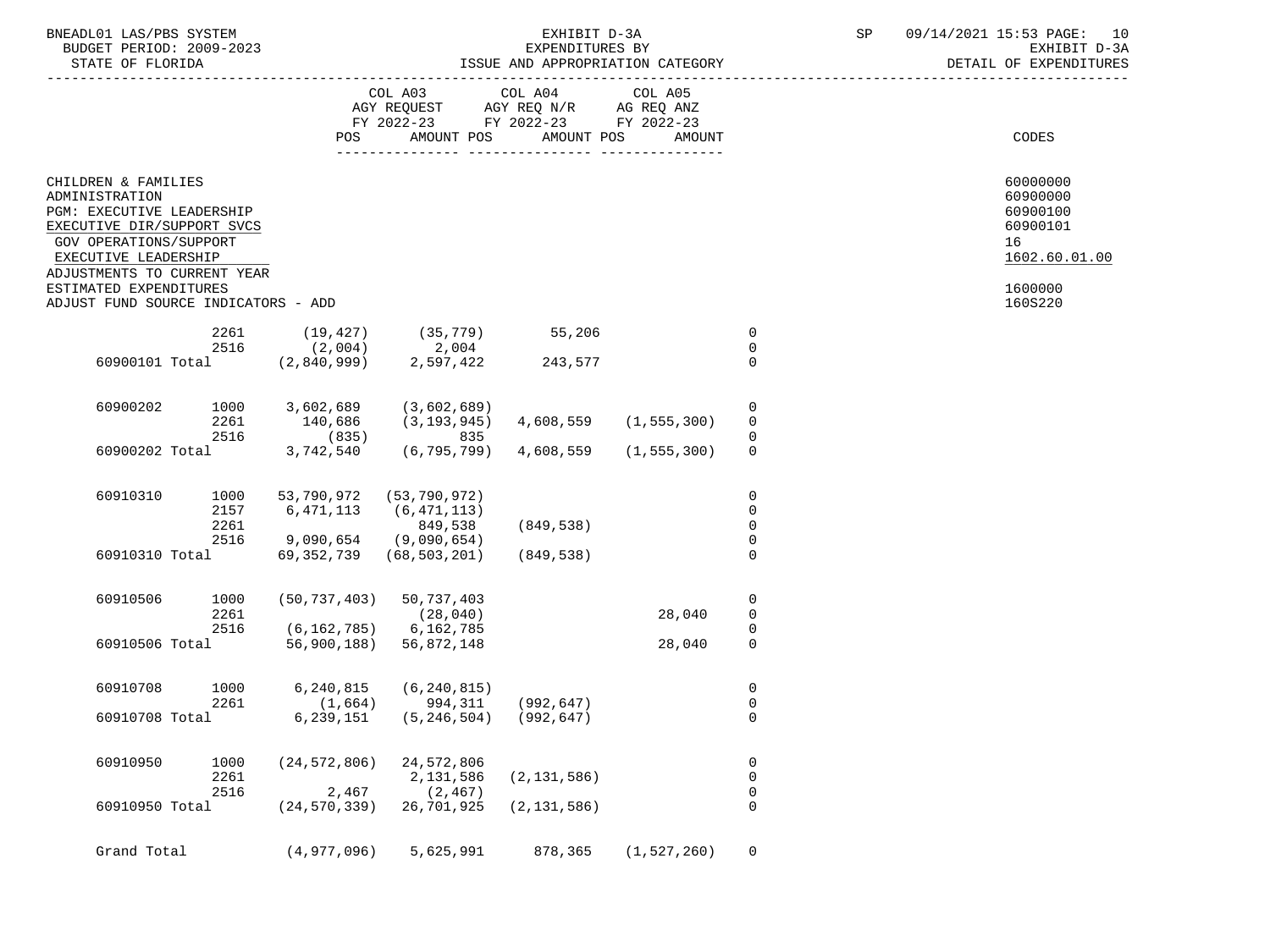| BNEADL01 LAS/PBS SYSTEM  | TXHIBIT D-3A                     | 09/1<br>14/2021 | ` <sup>1</sup> 15:53 PAGE: |
|--------------------------|----------------------------------|-----------------|----------------------------|
| BUDGET PERIOD: 2009-2023 | EXPENDITURES BY                  |                 | EXHIBIT D-3A               |
| STATE OF FLORIDA         | ISSUE AND APPROPRIATION CATEGORY |                 | DETAIL OF EXPENDITURES     |

# EXHIBIT D-3A SP  $09/14/2021$  15:53 PAGE: 10<br>EXPENDITURES BY SEXEMBLE D-3A ISSUE AND APPROPRIATION CATEGORY

|                                                                                                                                                                                                                                                    |                      |                               | COL A03<br>AGY REQUEST AGY REQ N/R AG REQ ANZ<br>FY 2022-23 FY 2022-23 FY 2022-23 | COL A04 COL A05       |               |                                 |                                                                                           |
|----------------------------------------------------------------------------------------------------------------------------------------------------------------------------------------------------------------------------------------------------|----------------------|-------------------------------|-----------------------------------------------------------------------------------|-----------------------|---------------|---------------------------------|-------------------------------------------------------------------------------------------|
|                                                                                                                                                                                                                                                    |                      | POS                           | AMOUNT POS                                                                        | AMOUNT POS            | AMOUNT        |                                 | <b>CODES</b>                                                                              |
| CHILDREN & FAMILIES<br>ADMINISTRATION<br>PGM: EXECUTIVE LEADERSHIP<br>EXECUTIVE DIR/SUPPORT SVCS<br>GOV OPERATIONS/SUPPORT<br>EXECUTIVE LEADERSHIP<br>ADJUSTMENTS TO CURRENT YEAR<br>ESTIMATED EXPENDITURES<br>ADJUST FUND SOURCE INDICATORS - ADD |                      |                               |                                                                                   |                       |               |                                 | 60000000<br>60900000<br>60900100<br>60900101<br>16<br>1602.60.01.00<br>1600000<br>160S220 |
|                                                                                                                                                                                                                                                    |                      |                               |                                                                                   |                       |               |                                 |                                                                                           |
|                                                                                                                                                                                                                                                    | 2261                 | (19, 427)                     | $(35, 779)$ 55,206                                                                |                       |               | $\mathbf 0$                     |                                                                                           |
|                                                                                                                                                                                                                                                    | 2516                 | (2,004)                       | $2,004$<br>$2,597,422$                                                            |                       |               | $\Omega$                        |                                                                                           |
| 60900101 Total                                                                                                                                                                                                                                     |                      | (2,840,999)                   | 2,597,422                                                                         | 243,577               |               | $\mathbf 0$                     |                                                                                           |
| 60900202                                                                                                                                                                                                                                           | 1000<br>2261<br>2516 | 3,602,689<br>140,686<br>(835) | (3,602,689)<br>(3, 193, 945)<br>835                                               | 4,608,559 (1,555,300) |               | 0<br>$\mathbf 0$<br>$\mathbf 0$ |                                                                                           |
| 60900202 Total                                                                                                                                                                                                                                     |                      | 3,742,540                     | (6,795,799)                                                                       | 4,608,559             | (1, 555, 300) | 0                               |                                                                                           |
|                                                                                                                                                                                                                                                    |                      |                               |                                                                                   |                       |               |                                 |                                                                                           |
| 60910310                                                                                                                                                                                                                                           | 1000<br>2157         | 53,790,972<br>6,471,113       | (53, 790, 972)<br>(6, 471, 113)                                                   |                       |               | $\mathbf 0$<br>0<br>$\mathbf 0$ |                                                                                           |
|                                                                                                                                                                                                                                                    | 2261                 |                               | 849,538                                                                           | (849,538)             |               |                                 |                                                                                           |
|                                                                                                                                                                                                                                                    | 2516                 | $9,090,654$ (9,090,654)       |                                                                                   |                       |               | $\mathbf 0$                     |                                                                                           |
| 60910310 Total                                                                                                                                                                                                                                     |                      |                               | 69, 352, 739 (68, 503, 201)                                                       | (849,538)             |               | $\mathbf 0$                     |                                                                                           |
| 60910506                                                                                                                                                                                                                                           | 1000                 |                               | $(50, 737, 403)$ 50, 737, 403                                                     |                       |               | 0                               |                                                                                           |
|                                                                                                                                                                                                                                                    | 2261                 |                               | (28, 040)                                                                         |                       | 28,040        | 0                               |                                                                                           |
|                                                                                                                                                                                                                                                    | 2516                 | $(6, 162, 785)$ 6, 162, 785   |                                                                                   |                       |               | $\mathbf 0$                     |                                                                                           |
| 60910506 Total                                                                                                                                                                                                                                     |                      | 56,900,188)                   | 56,872,148                                                                        |                       | 28,040        | $\mathbf 0$                     |                                                                                           |
| 60910708                                                                                                                                                                                                                                           | 1000<br>2261         | 6,240,815                     | (6, 240, 815)<br>$(1,664)$ 994,311 (992,647)                                      |                       |               | $\mathbf 0$<br>0                |                                                                                           |
| 60910708 Total                                                                                                                                                                                                                                     |                      | 6,239,151                     | $(5, 246, 504)$ (992,647)                                                         |                       |               | $\mathbf 0$                     |                                                                                           |
| 60910950                                                                                                                                                                                                                                           | 1000<br>2261         |                               | $(24, 572, 806)$ 24, 572, 806<br>2,131,586                                        | (2, 131, 586)         |               | 0<br>$\mathbf 0$                |                                                                                           |
|                                                                                                                                                                                                                                                    | 2516                 | 2,467                         | (2, 467)                                                                          |                       |               | 0                               |                                                                                           |
| 60910950 Total                                                                                                                                                                                                                                     |                      | $(24, 570, 339)$ 26,701,925   |                                                                                   | (2, 131, 586)         |               | $\mathbf 0$                     |                                                                                           |
| Grand Total                                                                                                                                                                                                                                        |                      | (4,977,096)                   | 5,625,991                                                                         | 878,365               | (1, 527, 260) | 0                               |                                                                                           |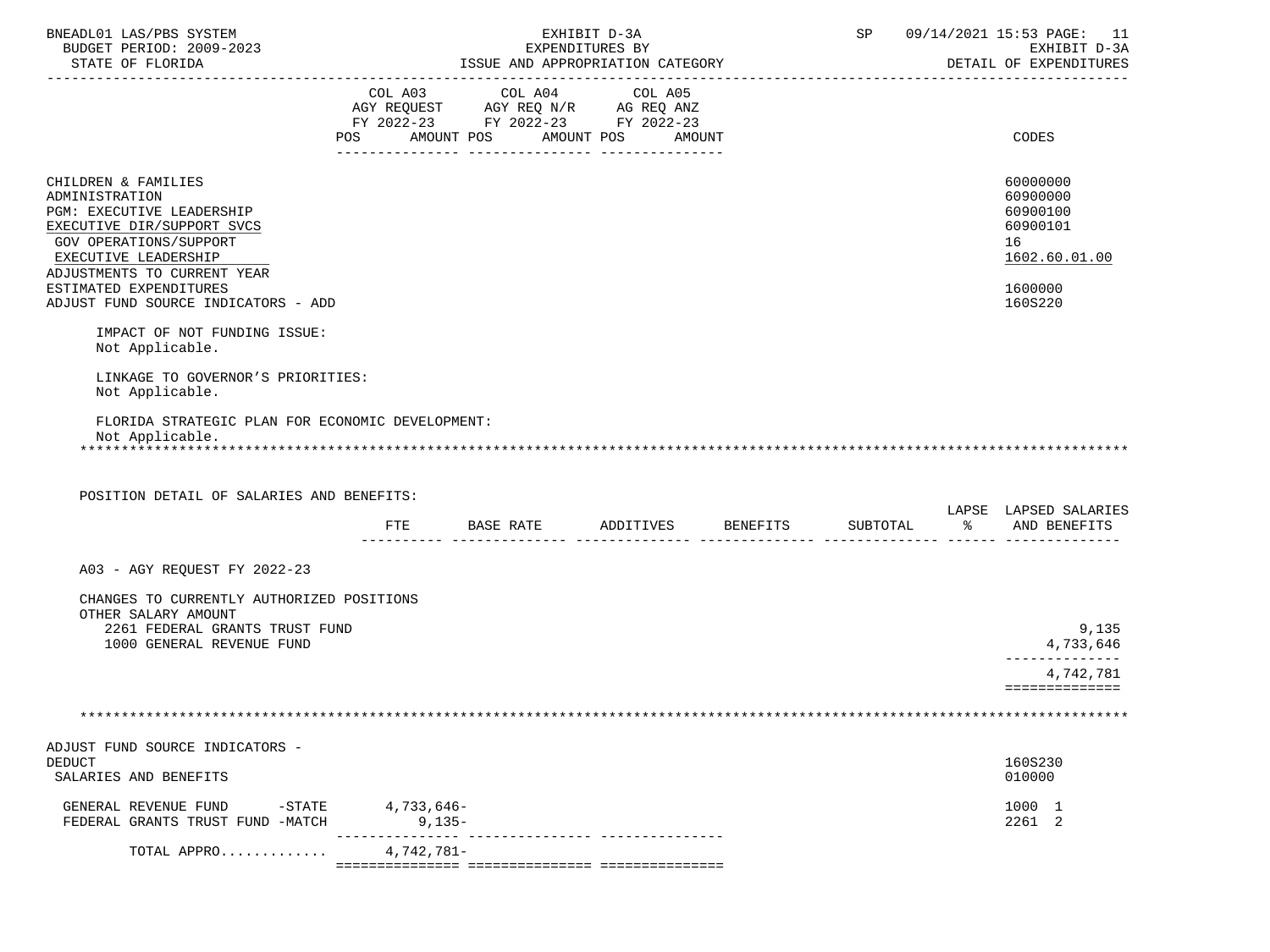| BNEADL01 LAS/PBS SYSTEM<br>BUDGET PERIOD: 2009-2023                                                                                                                               |            | SP 09/14/2021 15:53 PAGE: 11<br>EXHIBIT D-3A                                                                                          |                          |          |                                                                     |
|-----------------------------------------------------------------------------------------------------------------------------------------------------------------------------------|------------|---------------------------------------------------------------------------------------------------------------------------------------|--------------------------|----------|---------------------------------------------------------------------|
| STATE OF FLORIDA                                                                                                                                                                  |            | ISSUE AND APPROPRIATION CATEGORY                                                                                                      | EXPENDITURES BY          |          | DETAIL OF EXPENDITURES                                              |
|                                                                                                                                                                                   |            | COL A03 COL A04 COL A05<br>AGY REQUEST AGY REQ N/R AG REQ ANZ<br>FY 2022-23 FY 2022-23 FY 2022-23<br>POS AMOUNT POS AMOUNT POS AMOUNT |                          |          | CODES                                                               |
| CHILDREN & FAMILIES<br>ADMINISTRATION<br>PGM: EXECUTIVE LEADERSHIP<br>EXECUTIVE DIR/SUPPORT SVCS<br>GOV OPERATIONS/SUPPORT<br>EXECUTIVE LEADERSHIP<br>ADJUSTMENTS TO CURRENT YEAR |            |                                                                                                                                       |                          |          | 60000000<br>60900000<br>60900100<br>60900101<br>16<br>1602.60.01.00 |
| ESTIMATED EXPENDITURES<br>ADJUST FUND SOURCE INDICATORS - ADD                                                                                                                     |            |                                                                                                                                       |                          |          | 1600000<br>160S220                                                  |
| IMPACT OF NOT FUNDING ISSUE:<br>Not Applicable.                                                                                                                                   |            |                                                                                                                                       |                          |          |                                                                     |
| LINKAGE TO GOVERNOR'S PRIORITIES:<br>Not Applicable.                                                                                                                              |            |                                                                                                                                       |                          |          |                                                                     |
| FLORIDA STRATEGIC PLAN FOR ECONOMIC DEVELOPMENT:                                                                                                                                  |            |                                                                                                                                       |                          |          |                                                                     |
| Not Applicable.                                                                                                                                                                   |            |                                                                                                                                       |                          |          |                                                                     |
| POSITION DETAIL OF SALARIES AND BENEFITS:                                                                                                                                         |            | FTE BASE RATE ADDITIVES BENEFITS                                                                                                      |                          | SUBTOTAL | LAPSE LAPSED SALARIES<br>% AND BENEFITS                             |
|                                                                                                                                                                                   |            |                                                                                                                                       |                          |          |                                                                     |
| A03 - AGY REQUEST FY 2022-23                                                                                                                                                      |            |                                                                                                                                       |                          |          |                                                                     |
| CHANGES TO CURRENTLY AUTHORIZED POSITIONS<br>OTHER SALARY AMOUNT<br>2261 FEDERAL GRANTS TRUST FUND                                                                                |            |                                                                                                                                       |                          |          | 9,135                                                               |
| 1000 GENERAL REVENUE FUND                                                                                                                                                         |            |                                                                                                                                       |                          |          | 4,733,646                                                           |
|                                                                                                                                                                                   |            |                                                                                                                                       |                          |          | 4,742,781<br>==============                                         |
|                                                                                                                                                                                   |            |                                                                                                                                       |                          |          |                                                                     |
| ADJUST FUND SOURCE INDICATORS -<br><b>DEDUCT</b><br>SALARIES AND BENEFITS                                                                                                         |            |                                                                                                                                       |                          |          | 160S230<br>010000                                                   |
| GENERAL REVENUE FUND<br>$-$ STATE<br>FEDERAL GRANTS TRUST FUND -MATCH                                                                                                             | 4,733,646- | $9,135-$                                                                                                                              | ------------ ----------- |          | 1000 1<br>2261 2                                                    |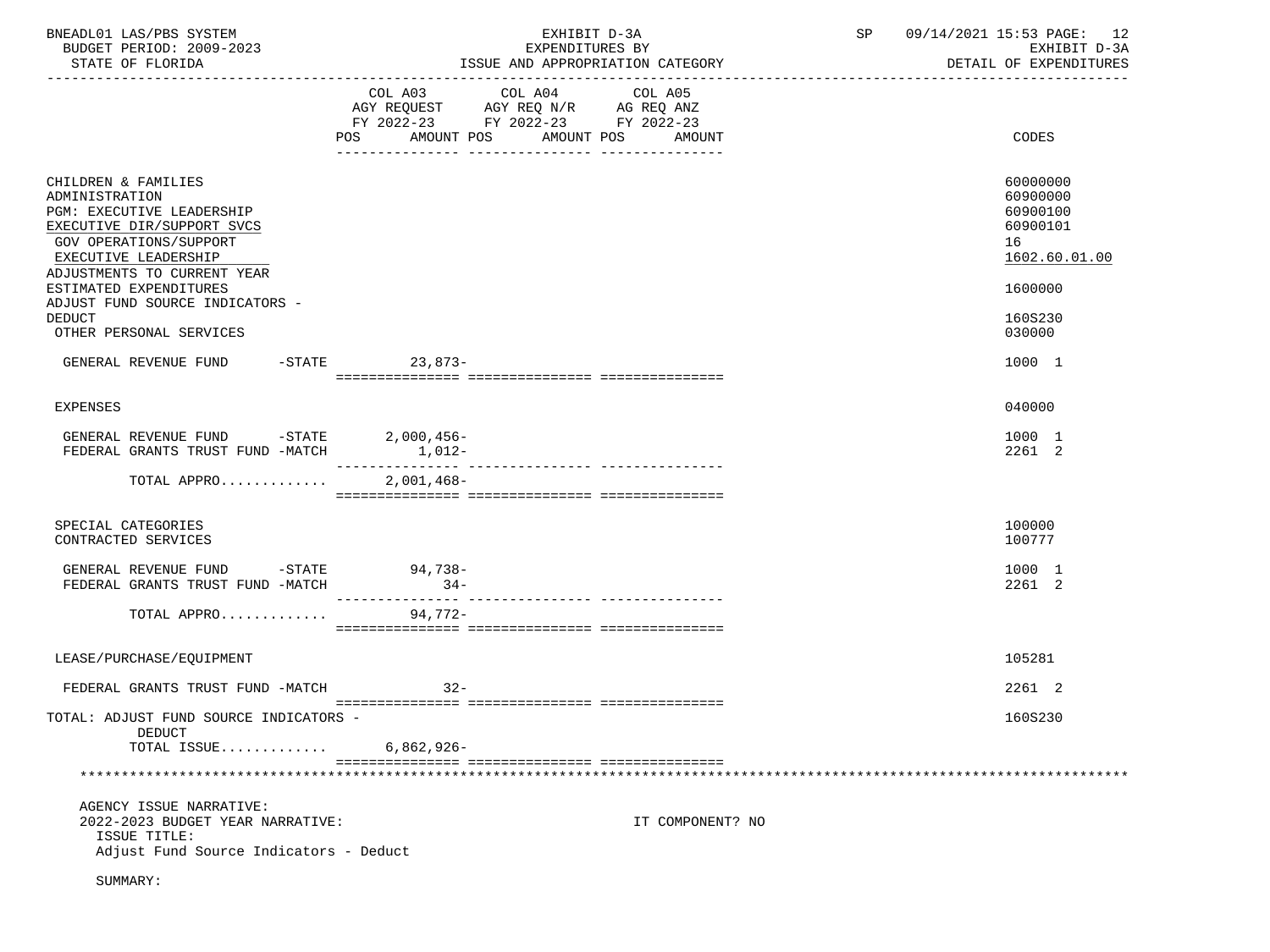| BNEADL01 LAS/PBS SYSTEM<br>BUDGET PERIOD: 2009-2023<br>STATE OF FLORIDA                                                                                                                  |                                      | EXHIBIT D-3A<br>EXPENDITURES BY<br>ISSUE AND APPROPRIATION CATEGORY |                  | SP | 09/14/2021 15:53 PAGE: 12<br>EXHIBIT D-3A<br>DETAIL OF EXPENDITURES |
|------------------------------------------------------------------------------------------------------------------------------------------------------------------------------------------|--------------------------------------|---------------------------------------------------------------------|------------------|----|---------------------------------------------------------------------|
|                                                                                                                                                                                          | COL A03 COL A04<br>POS<br>AMOUNT POS | COL A05<br>FY 2022-23 FY 2022-23 FY 2022-23<br>AMOUNT POS           | AMOUNT           |    | CODES                                                               |
| CHILDREN & FAMILIES<br>ADMINISTRATION<br><b>PGM: EXECUTIVE LEADERSHIP</b><br>EXECUTIVE DIR/SUPPORT SVCS<br>GOV OPERATIONS/SUPPORT<br>EXECUTIVE LEADERSHIP<br>ADJUSTMENTS TO CURRENT YEAR |                                      |                                                                     |                  |    | 60000000<br>60900000<br>60900100<br>60900101<br>16<br>1602.60.01.00 |
| ESTIMATED EXPENDITURES<br>ADJUST FUND SOURCE INDICATORS -<br>DEDUCT                                                                                                                      |                                      |                                                                     |                  |    | 1600000<br>160S230                                                  |
| OTHER PERSONAL SERVICES<br>GENERAL REVENUE FUND -STATE 23,873-                                                                                                                           |                                      |                                                                     |                  |    | 030000<br>1000 1                                                    |
|                                                                                                                                                                                          |                                      |                                                                     |                  |    |                                                                     |
| <b>EXPENSES</b>                                                                                                                                                                          |                                      |                                                                     |                  |    | 040000                                                              |
| GENERAL REVENUE FUND -STATE 2,000,456-<br>FEDERAL GRANTS TRUST FUND -MATCH                                                                                                               | $1,012-$                             |                                                                     |                  |    | 1000 1<br>2261 2                                                    |
| TOTAL APPRO                                                                                                                                                                              | $2,001,468-$                         |                                                                     |                  |    |                                                                     |
| SPECIAL CATEGORIES<br>CONTRACTED SERVICES                                                                                                                                                |                                      |                                                                     |                  |    | 100000<br>100777                                                    |
| GENERAL REVENUE FUND -STATE 94,738-<br>FEDERAL GRANTS TRUST FUND -MATCH                                                                                                                  | $34-$                                |                                                                     |                  |    | 1000 1<br>2261 2                                                    |
| TOTAL APPRO                                                                                                                                                                              | 94.772-                              |                                                                     |                  |    |                                                                     |
| LEASE/PURCHASE/EQUIPMENT                                                                                                                                                                 |                                      |                                                                     |                  |    | 105281                                                              |
| FEDERAL GRANTS TRUST FUND -MATCH                                                                                                                                                         | $32-$                                |                                                                     |                  |    | 2261 2                                                              |
| TOTAL: ADJUST FUND SOURCE INDICATORS -<br><b>DEDUCT</b>                                                                                                                                  |                                      |                                                                     |                  |    | 160S230                                                             |
| TOTAL ISSUE                                                                                                                                                                              | $6,862,926-$                         |                                                                     |                  |    |                                                                     |
|                                                                                                                                                                                          |                                      |                                                                     |                  |    |                                                                     |
| AGENCY ISSUE NARRATIVE:<br>2022-2023 BUDGET YEAR NARRATIVE:<br>ISSUE TITLE:<br>Adjust Fund Source Indicators - Deduct                                                                    |                                      |                                                                     | IT COMPONENT? NO |    |                                                                     |
| SUMMARY:                                                                                                                                                                                 |                                      |                                                                     |                  |    |                                                                     |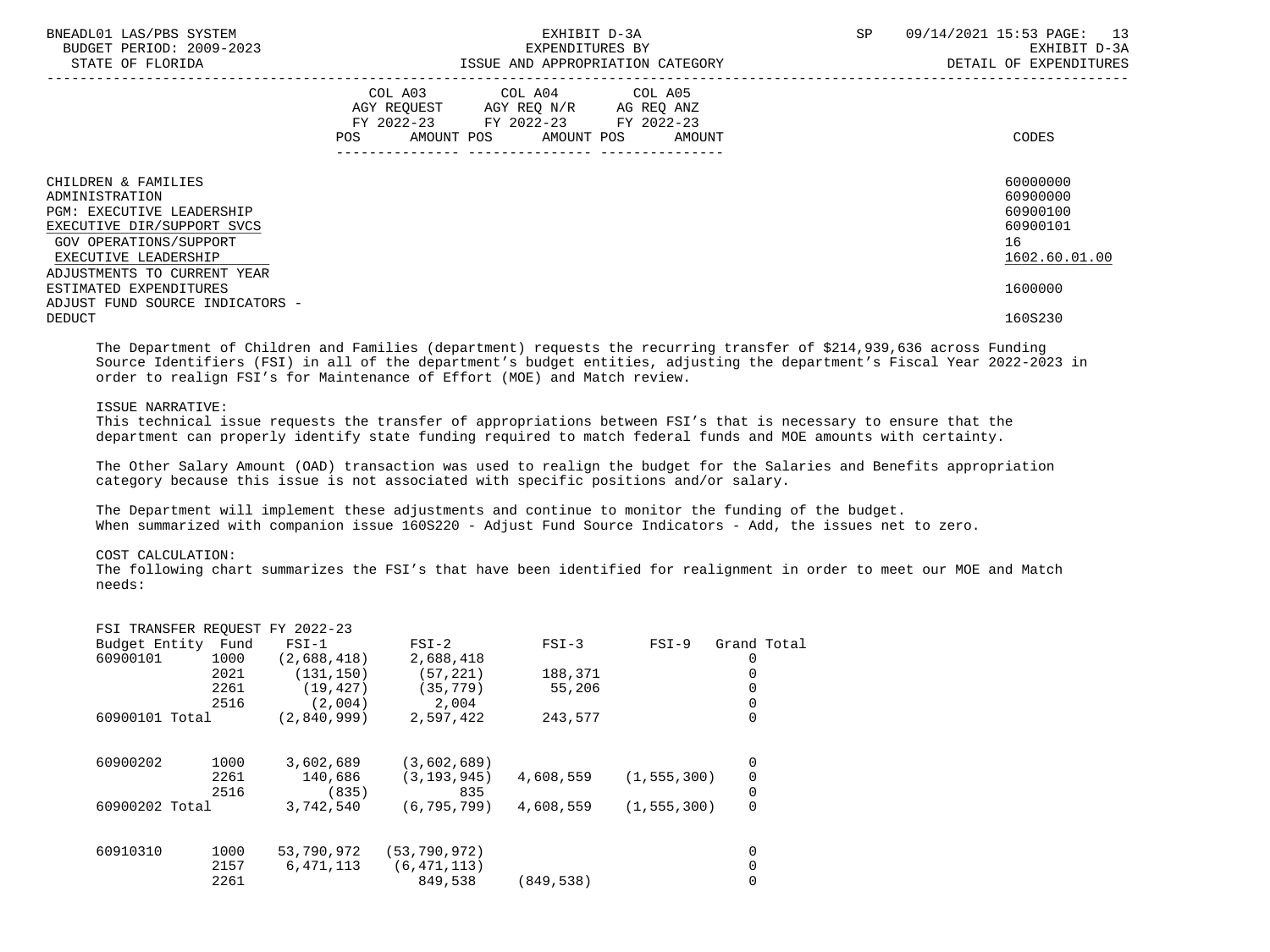| BNEADL01 LAS/PBS SYSTEM<br>BUDGET PERIOD: 2009-2023<br>STATE OF FLORIDA                                                                                                                  | EXHIBIT D-3A<br>EXPENDITURES BY<br>ISSUE AND APPROPRIATION CATEGORY                                                                            | SP<br>13<br>09/14/2021 15:53 PAGE:<br>EXHIBIT D-3A<br>DETAIL OF EXPENDITURES |
|------------------------------------------------------------------------------------------------------------------------------------------------------------------------------------------|------------------------------------------------------------------------------------------------------------------------------------------------|------------------------------------------------------------------------------|
|                                                                                                                                                                                          | COL A03 COL A04 COL A05<br>AGY REQUEST AGY REQ N/R AG REQ ANZ<br>FY 2022-23 FY 2022-23 FY 2022-23<br>AMOUNT POS<br>AMOUNT POS<br>POS<br>AMOUNT | CODES                                                                        |
| CHILDREN & FAMILIES<br>ADMINISTRATION<br><b>PGM: EXECUTIVE LEADERSHIP</b><br>EXECUTIVE DIR/SUPPORT SVCS<br>GOV OPERATIONS/SUPPORT<br>EXECUTIVE LEADERSHIP<br>ADJUSTMENTS TO CURRENT YEAR |                                                                                                                                                | 60000000<br>60900000<br>60900100<br>60900101<br>16<br>1602.60.01.00          |
| ESTIMATED EXPENDITURES<br>ADJUST FUND SOURCE INDICATORS -<br><b>DEDUCT</b>                                                                                                               |                                                                                                                                                | 1600000<br>160S230                                                           |

 The Department of Children and Families (department) requests the recurring transfer of \$214,939,636 across Funding Source Identifiers (FSI) in all of the department's budget entities, adjusting the department's Fiscal Year 2022-2023 in order to realign FSI's for Maintenance of Effort (MOE) and Match review.

#### ISSUE NARRATIVE:

 This technical issue requests the transfer of appropriations between FSI's that is necessary to ensure that the department can properly identify state funding required to match federal funds and MOE amounts with certainty.

 The Other Salary Amount (OAD) transaction was used to realign the budget for the Salaries and Benefits appropriation category because this issue is not associated with specific positions and/or salary.

 The Department will implement these adjustments and continue to monitor the funding of the budget. When summarized with companion issue 160S220 - Adjust Fund Source Indicators - Add, the issues net to zero.

#### COST CALCULATION:

 The following chart summarizes the FSI's that have been identified for realignment in order to meet our MOE and Match needs:

| FSI TRANSFER REQUEST FY 2022-23 |      |             |                |            |               |             |  |
|---------------------------------|------|-------------|----------------|------------|---------------|-------------|--|
| Budget Entity                   | Fund | $FSI-1$     | $FSI-2$        | $FSI-3$    | $FSI-9$       | Grand Total |  |
| 60900101                        | 1000 | (2,688,418) | 2,688,418      |            |               |             |  |
|                                 | 2021 | (131, 150)  | (57, 221)      | 188,371    |               |             |  |
|                                 | 2261 | (19, 427)   | (35, 779)      | 55,206     |               |             |  |
|                                 | 2516 | (2,004)     | 2,004          |            |               |             |  |
| 60900101 Total                  |      | (2.840.999) | 2,597,422      | 243,577    |               | 0           |  |
| 60900202                        | 1000 | 3,602,689   | (3,602,689)    |            |               | 0           |  |
|                                 | 2261 | 140,686     | (3, 193, 945)  | 4,608,559  | (1, 555, 300) | 0           |  |
|                                 | 2516 | (835)       | 835            |            |               | 0           |  |
| 60900202 Total                  |      | 3,742,540   | (6.795.799)    | 4,608,559  | (1, 555, 300) | $\mathbf 0$ |  |
| 60910310                        | 1000 | 53,790,972  | (53, 790, 972) |            |               | 0           |  |
|                                 | 2157 | 6,471,113   | (6, 471, 113)  |            |               | 0           |  |
|                                 | 2261 |             | 849,538        | (849, 538) |               | 0           |  |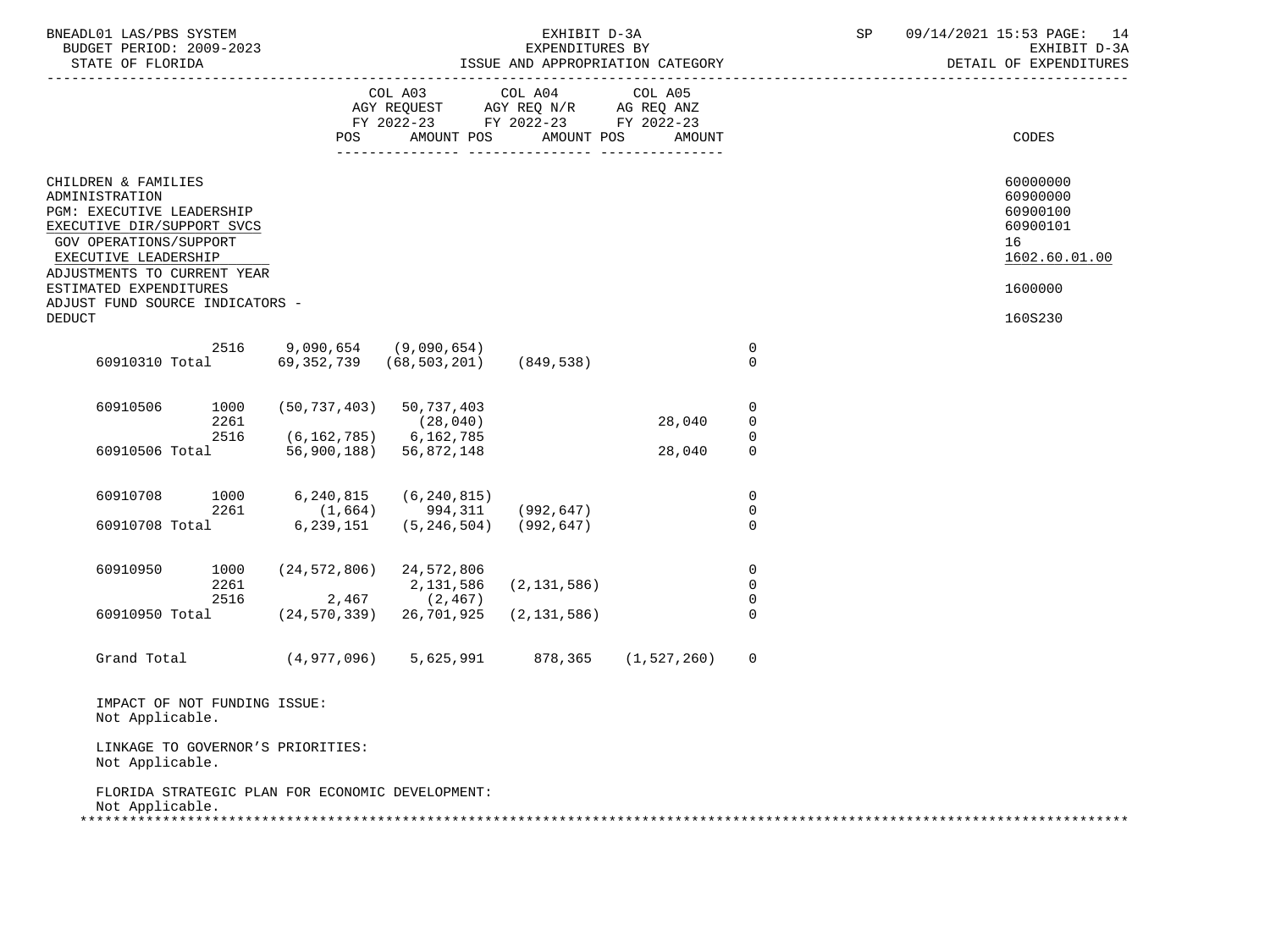| BNEADL01 LAS/PBS SYSTEM<br>BUDGET PERIOD: 2009-2023<br>STATE OF FLORIDA                                                                                                                                     |                                                       |                                                                                                                                                                                                                                     | EXHIBIT D-3A  | EXPENDITURES BY<br>ISSUE AND APPROPRIATION CATEGORY |                                                    | SP | 09/14/2021 15:53 PAGE: 14<br>EXHIBIT D-3A<br>DETAIL OF EXPENDITURES            |
|-------------------------------------------------------------------------------------------------------------------------------------------------------------------------------------------------------------|-------------------------------------------------------|-------------------------------------------------------------------------------------------------------------------------------------------------------------------------------------------------------------------------------------|---------------|-----------------------------------------------------|----------------------------------------------------|----|--------------------------------------------------------------------------------|
|                                                                                                                                                                                                             | POS                                                   | $\begin{tabular}{lllllllll} COL & A03 & \multicolumn{2}{l}COL & A04 & \multicolumn{2}{l}COL & A05 \\ AGY & REQUEST & AGY REQ N/R & \multicolumn{2}{l}AG REQ ANZ \\ \end{tabular}$<br>FY 2022-23 FY 2022-23 FY 2022-23<br>AMOUNT POS | AMOUNT POS    | AMOUNT                                              |                                                    |    | CODES                                                                          |
| CHILDREN & FAMILIES<br>ADMINISTRATION<br>PGM: EXECUTIVE LEADERSHIP<br>EXECUTIVE DIR/SUPPORT SVCS<br>GOV OPERATIONS/SUPPORT<br>EXECUTIVE LEADERSHIP<br>ADJUSTMENTS TO CURRENT YEAR<br>ESTIMATED EXPENDITURES |                                                       |                                                                                                                                                                                                                                     |               |                                                     |                                                    |    | 60000000<br>60900000<br>60900100<br>60900101<br>16<br>1602.60.01.00<br>1600000 |
| ADJUST FUND SOURCE INDICATORS -<br><b>DEDUCT</b>                                                                                                                                                            |                                                       |                                                                                                                                                                                                                                     |               |                                                     |                                                    |    | 160S230                                                                        |
| 60910310 Total 69,352,739 (68,503,201) (849,538)                                                                                                                                                            | 2516 9,090,654 (9,090,654)                            |                                                                                                                                                                                                                                     |               |                                                     | 0<br>$\Omega$                                      |    |                                                                                |
| 60910506<br>1000<br>2261                                                                                                                                                                                    | $(50, 737, 403)$ 50, 737, 403                         | (28, 040)                                                                                                                                                                                                                           |               | 28,040                                              | 0<br>$\overline{0}$                                |    |                                                                                |
| 2516<br>60910506 Total                                                                                                                                                                                      | $(6, 162, 785)$ 6, 162, 785<br>56,900,188) 56,872,148 |                                                                                                                                                                                                                                     |               | 28,040                                              | $\mathbf 0$<br>$\overline{0}$                      |    |                                                                                |
| 60910708<br>60910708 Total 6,239,151                                                                                                                                                                        | 1000 6,240,815<br>2261 (1,664) 994,311 (992,647)      | (6, 240, 815)<br>$(5, 246, 504)$ (992,647)                                                                                                                                                                                          |               |                                                     | $\overline{0}$<br>$\overline{0}$<br>$\overline{0}$ |    |                                                                                |
| 60910950<br>2261<br>2516                                                                                                                                                                                    | 1000 (24,572,806) 24,572,806                          | 2,131,586<br>2,467 (2,467)                                                                                                                                                                                                          | (2, 131, 586) |                                                     | $\overline{0}$<br>$\overline{0}$<br>$\overline{0}$ |    |                                                                                |
| 60910950 Total                                                                                                                                                                                              | (24,570,339) 26,701,925                               |                                                                                                                                                                                                                                     | (2, 131, 586) |                                                     | $\Omega$                                           |    |                                                                                |
| Grand Total (4,977,096) 5,625,991 878,365 (1,527,260)                                                                                                                                                       |                                                       |                                                                                                                                                                                                                                     |               |                                                     | 0                                                  |    |                                                                                |
| IMPACT OF NOT FUNDING ISSUE:<br>Not Applicable.                                                                                                                                                             |                                                       |                                                                                                                                                                                                                                     |               |                                                     |                                                    |    |                                                                                |
| LINKAGE TO GOVERNOR'S PRIORITIES:<br>Not Applicable.                                                                                                                                                        |                                                       |                                                                                                                                                                                                                                     |               |                                                     |                                                    |    |                                                                                |
| FLORIDA STRATEGIC PLAN FOR ECONOMIC DEVELOPMENT:<br>Not Applicable.                                                                                                                                         |                                                       |                                                                                                                                                                                                                                     |               |                                                     |                                                    |    |                                                                                |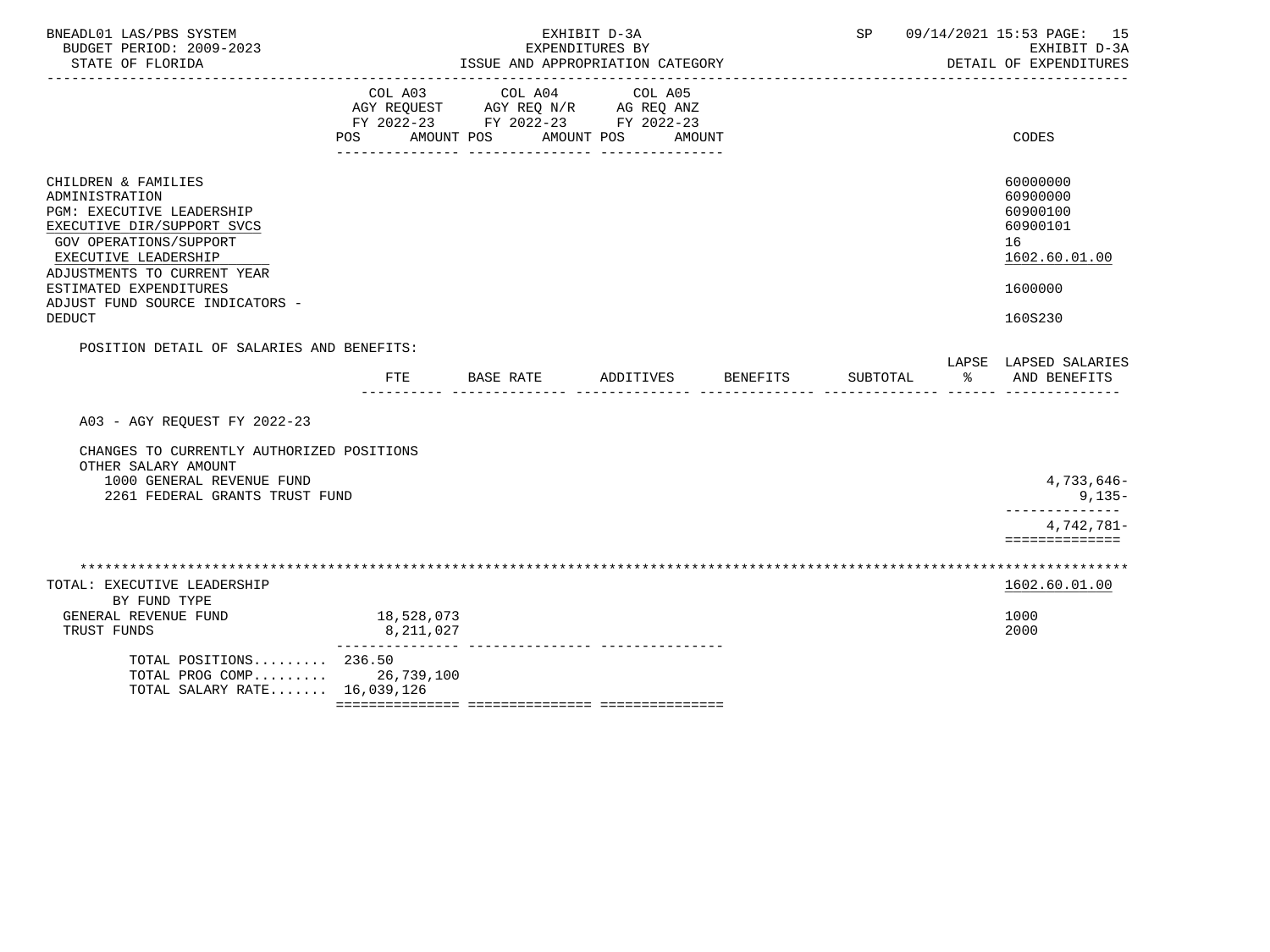| BNEADL01 LAS/PBS SYSTEM<br>BUDGET PERIOD: 2009-2023<br>STATE OF FLORIDA<br>---------------------                                                                                                                                                                |                         | ISSUE AND APPROPRIATION CATEGORY                                                                | EXHIBIT D-3A<br>EXPENDITURES BY |          | SP       | 09/14/2021 15:53 PAGE: 15<br>EXHIBIT D-3A<br>DETAIL OF EXPENDITURES |                                                                                           |  |
|-----------------------------------------------------------------------------------------------------------------------------------------------------------------------------------------------------------------------------------------------------------------|-------------------------|-------------------------------------------------------------------------------------------------|---------------------------------|----------|----------|---------------------------------------------------------------------|-------------------------------------------------------------------------------------------|--|
|                                                                                                                                                                                                                                                                 | COL A03<br>POS          | COL A04<br>AGY REQUEST AGY REQ N/R AG REQ ANZ<br>FY 2022-23 FY 2022-23 FY 2022-23<br>AMOUNT POS | COL A05<br>AMOUNT POS<br>AMOUNT |          |          |                                                                     | CODES                                                                                     |  |
| CHILDREN & FAMILIES<br>ADMINISTRATION<br>PGM: EXECUTIVE LEADERSHIP<br>EXECUTIVE DIR/SUPPORT SVCS<br>GOV OPERATIONS/SUPPORT<br>EXECUTIVE LEADERSHIP<br>ADJUSTMENTS TO CURRENT YEAR<br>ESTIMATED EXPENDITURES<br>ADJUST FUND SOURCE INDICATORS -<br><b>DEDUCT</b> |                         |                                                                                                 |                                 |          |          |                                                                     | 60000000<br>60900000<br>60900100<br>60900101<br>16<br>1602.60.01.00<br>1600000<br>160S230 |  |
| POSITION DETAIL OF SALARIES AND BENEFITS:                                                                                                                                                                                                                       |                         |                                                                                                 |                                 |          |          |                                                                     | LAPSE LAPSED SALARIES                                                                     |  |
|                                                                                                                                                                                                                                                                 | <b>FTE</b>              | BASE RATE                                                                                       | ADDITIVES                       | BENEFITS | SUBTOTAL | $\approx$                                                           | AND BENEFITS                                                                              |  |
| A03 - AGY REOUEST FY 2022-23                                                                                                                                                                                                                                    |                         |                                                                                                 |                                 |          |          |                                                                     |                                                                                           |  |
| CHANGES TO CURRENTLY AUTHORIZED POSITIONS<br>OTHER SALARY AMOUNT<br>1000 GENERAL REVENUE FUND<br>2261 FEDERAL GRANTS TRUST FUND                                                                                                                                 |                         |                                                                                                 |                                 |          |          |                                                                     | 4,733,646-<br>$9,135-$<br>--------------<br>4,742,781-<br>==============                  |  |
|                                                                                                                                                                                                                                                                 |                         |                                                                                                 |                                 |          |          |                                                                     |                                                                                           |  |
| TOTAL: EXECUTIVE LEADERSHIP<br>BY FUND TYPE                                                                                                                                                                                                                     |                         |                                                                                                 |                                 |          |          |                                                                     | 1602.60.01.00                                                                             |  |
| GENERAL REVENUE FUND<br>TRUST FUNDS                                                                                                                                                                                                                             | 18,528,073<br>8,211,027 |                                                                                                 |                                 |          |          |                                                                     | 1000<br>2000                                                                              |  |
| TOTAL POSITIONS $236.50$<br>TOTAL PROG COMP 26,739,100<br>TOTAL SALARY RATE 16,039,126                                                                                                                                                                          |                         |                                                                                                 |                                 |          |          |                                                                     |                                                                                           |  |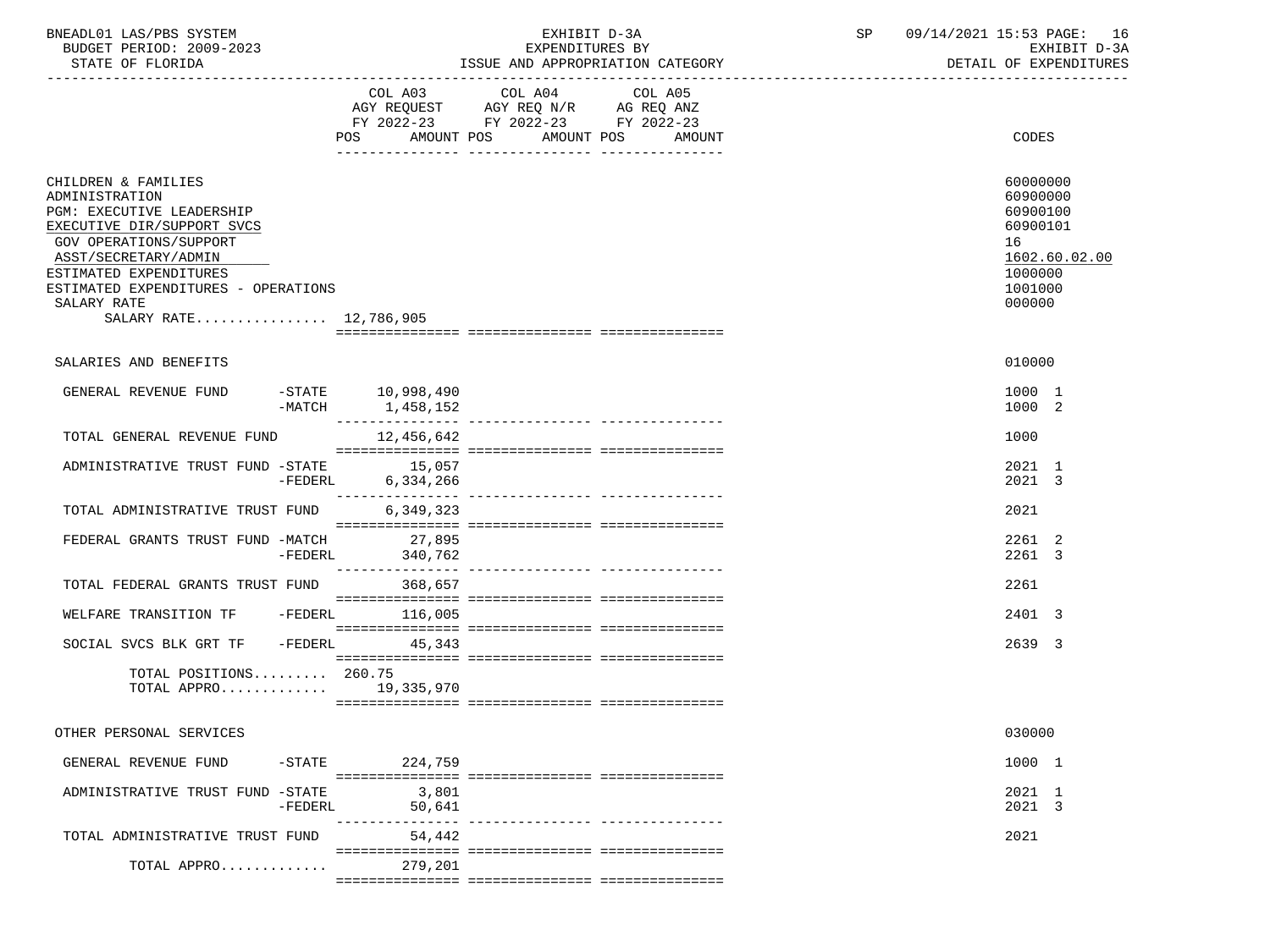| BNEADL01 LAS/PBS SYSTEM |                  |                          | EXHIBIT D-3A                     |
|-------------------------|------------------|--------------------------|----------------------------------|
|                         |                  | BUDGET PERIOD: 2009-2023 | EXPENDITURES BY                  |
|                         | STATE OF FLORIDA |                          | ISSUE AND APPROPRIATION CATEGORY |

|                                                                                                                                                                                                                                                              | POS<br>AMOUNT POS                         | COL A03 COL A04 COL A05<br>AGY REQUEST AGY REQ N/R AG REQ ANZ<br>FY 2022-23 FY 2022-23 FY 2022-23<br>AMOUNT POS | AMOUNT | CODES                                                                                               |
|--------------------------------------------------------------------------------------------------------------------------------------------------------------------------------------------------------------------------------------------------------------|-------------------------------------------|-----------------------------------------------------------------------------------------------------------------|--------|-----------------------------------------------------------------------------------------------------|
| CHILDREN & FAMILIES<br>ADMINISTRATION<br>PGM: EXECUTIVE LEADERSHIP<br>EXECUTIVE DIR/SUPPORT SVCS<br>GOV OPERATIONS/SUPPORT<br>ASST/SECRETARY/ADMIN<br>ESTIMATED EXPENDITURES<br>ESTIMATED EXPENDITURES - OPERATIONS<br>SALARY RATE<br>SALARY RATE 12,786,905 |                                           |                                                                                                                 |        | 60000000<br>60900000<br>60900100<br>60900101<br>16<br>1602.60.02.00<br>1000000<br>1001000<br>000000 |
|                                                                                                                                                                                                                                                              |                                           |                                                                                                                 |        |                                                                                                     |
| SALARIES AND BENEFITS                                                                                                                                                                                                                                        |                                           |                                                                                                                 |        | 010000                                                                                              |
| GENERAL REVENUE FUND<br>-MATCH                                                                                                                                                                                                                               | -STATE 10,998,490<br>1,458,152            |                                                                                                                 |        | 1000 1<br>1000 2                                                                                    |
| TOTAL GENERAL REVENUE FUND                                                                                                                                                                                                                                   | ---------------<br>12,456,642             |                                                                                                                 |        | 1000                                                                                                |
| ADMINISTRATIVE TRUST FUND -STATE 15,057                                                                                                                                                                                                                      | 6,334,266<br>$-FEDERL$<br>--------------- | ---------------- ----------------                                                                               |        | 2021 1<br>2021 3                                                                                    |
| TOTAL ADMINISTRATIVE TRUST FUND                                                                                                                                                                                                                              | 6,349,323                                 |                                                                                                                 |        | 2021                                                                                                |
| FEDERAL GRANTS TRUST FUND -MATCH<br>-FEDERL                                                                                                                                                                                                                  | 27,895<br>340,762<br>---------------      |                                                                                                                 |        | 2261 2<br>2261 3                                                                                    |
| TOTAL FEDERAL GRANTS TRUST FUND                                                                                                                                                                                                                              | 368,657                                   |                                                                                                                 |        | 2261                                                                                                |
| -FEDERL<br>WELFARE TRANSITION TF                                                                                                                                                                                                                             | 116,005                                   |                                                                                                                 |        | 2401 3                                                                                              |
| SOCIAL SVCS BLK GRT TF -FEDERL                                                                                                                                                                                                                               | 45,343                                    |                                                                                                                 |        | 2639 3                                                                                              |
| TOTAL POSITIONS 260.75<br>TOTAL APPRO 19,335,970                                                                                                                                                                                                             |                                           |                                                                                                                 |        |                                                                                                     |
| OTHER PERSONAL SERVICES                                                                                                                                                                                                                                      |                                           |                                                                                                                 |        | 030000                                                                                              |
| GENERAL REVENUE FUND<br>$-$ STATE                                                                                                                                                                                                                            | 224,759                                   |                                                                                                                 |        | 1000 1                                                                                              |
| ADMINISTRATIVE TRUST FUND -STATE<br>-FEDERL                                                                                                                                                                                                                  | 3,801<br>50,641<br>------------           | ---------------- ---------------                                                                                |        | 2021 1<br>2021 3                                                                                    |
| TOTAL ADMINISTRATIVE TRUST FUND                                                                                                                                                                                                                              | 54,442                                    |                                                                                                                 |        | 2021                                                                                                |
| TOTAL APPRO                                                                                                                                                                                                                                                  | 279,201                                   |                                                                                                                 |        |                                                                                                     |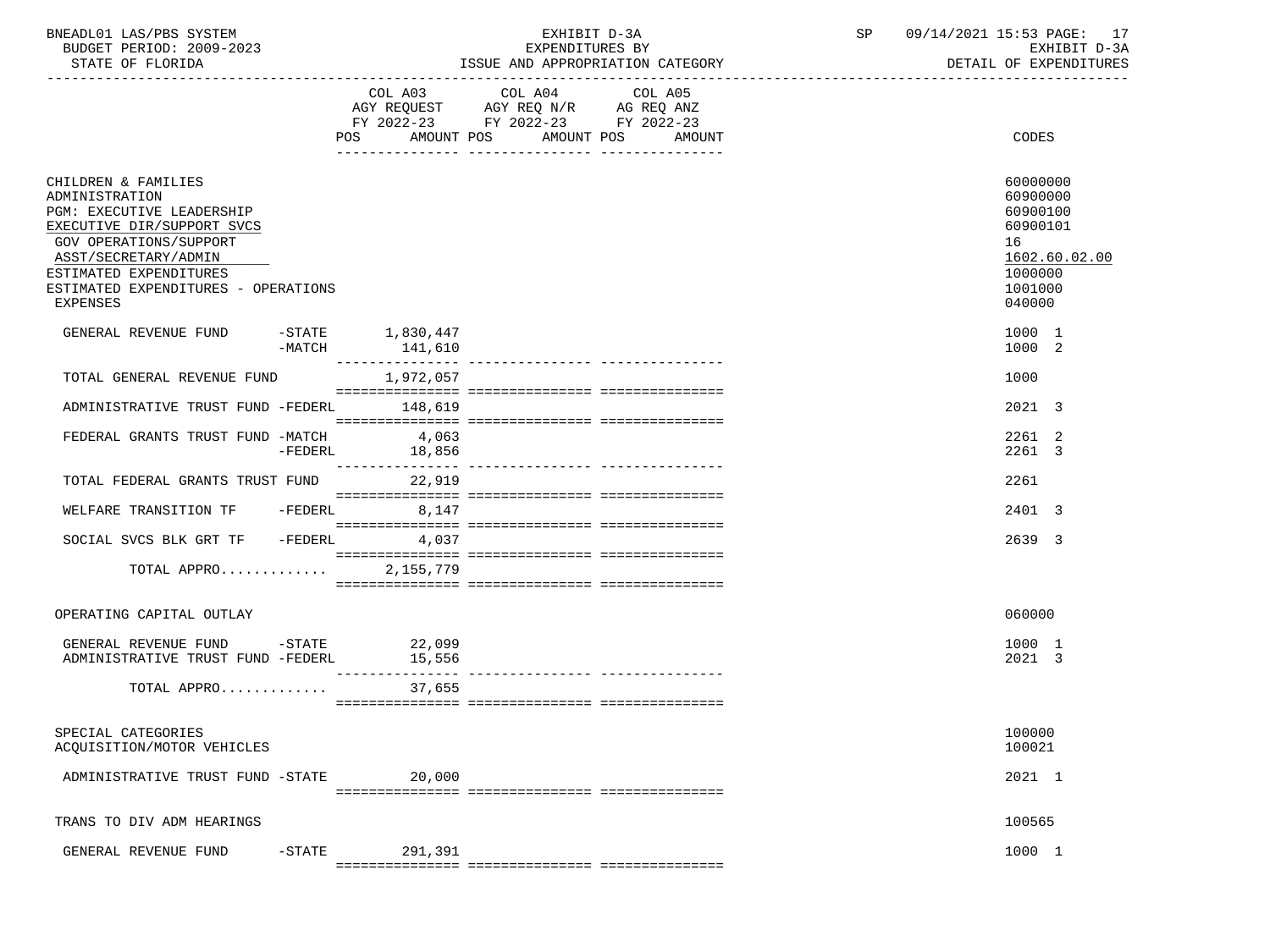| BNEADL01 LAS/PBS SYSTEM |                  |                          | EXHIBIT D-3A                     |
|-------------------------|------------------|--------------------------|----------------------------------|
|                         |                  | BUDGET PERIOD: 2009-2023 | EXPENDITURES BY                  |
|                         | STATE OF FLORIDA |                          | ISSUE AND APPROPRIATION CATEGORY |

|                                                                                                                                                                                                                                 |           | COL A03<br>POS<br>AMOUNT POS     | COL A04<br>AGY REQUEST AGY REQ N/R AG REQ ANZ<br>FY 2022-23 FY 2022-23 FY 2022-23 | COL A05<br>AMOUNT POS AMOUNT | <b>CODES</b>                                                                                        |
|---------------------------------------------------------------------------------------------------------------------------------------------------------------------------------------------------------------------------------|-----------|----------------------------------|-----------------------------------------------------------------------------------|------------------------------|-----------------------------------------------------------------------------------------------------|
| CHILDREN & FAMILIES<br>ADMINISTRATION<br>PGM: EXECUTIVE LEADERSHIP<br>EXECUTIVE DIR/SUPPORT SVCS<br>GOV OPERATIONS/SUPPORT<br>ASST/SECRETARY/ADMIN<br>ESTIMATED EXPENDITURES<br>ESTIMATED EXPENDITURES - OPERATIONS<br>EXPENSES |           |                                  |                                                                                   |                              | 60000000<br>60900000<br>60900100<br>60900101<br>16<br>1602.60.02.00<br>1000000<br>1001000<br>040000 |
| GENERAL REVENUE FUND                                                                                                                                                                                                            | $-MATCH$  | $-$ STATE $1,830,447$<br>141,610 |                                                                                   |                              | 1000 1<br>1000 2                                                                                    |
| TOTAL GENERAL REVENUE FUND<br>ADMINISTRATIVE TRUST FUND -FEDERL                                                                                                                                                                 |           | 1,972,057<br>148,619             |                                                                                   |                              | 1000<br>2021 3                                                                                      |
| FEDERAL GRANTS TRUST FUND -MATCH                                                                                                                                                                                                | -FEDERL   | 4,063<br>18,856                  |                                                                                   |                              | 2261 2<br>2261 3                                                                                    |
| TOTAL FEDERAL GRANTS TRUST FUND                                                                                                                                                                                                 |           | 22,919                           |                                                                                   |                              | 2261                                                                                                |
| WELFARE TRANSITION TF<br>SOCIAL SVCS BLK GRT TF                                                                                                                                                                                 | -FEDERL   | 8,147<br>$-FEDERL$ 4,037         |                                                                                   |                              | 2401 3<br>2639 3                                                                                    |
| TOTAL APPRO                                                                                                                                                                                                                     |           | 2,155,779                        |                                                                                   |                              |                                                                                                     |
| OPERATING CAPITAL OUTLAY                                                                                                                                                                                                        |           |                                  |                                                                                   |                              | 060000                                                                                              |
| GENERAL REVENUE FUND -STATE<br>ADMINISTRATIVE TRUST FUND -FEDERL                                                                                                                                                                |           | 22,099<br>15,556<br>------------ |                                                                                   |                              | 1000 1<br>2021 3                                                                                    |
| TOTAL APPRO                                                                                                                                                                                                                     |           | 37,655                           |                                                                                   |                              |                                                                                                     |
| SPECIAL CATEGORIES<br>ACQUISITION/MOTOR VEHICLES                                                                                                                                                                                |           |                                  |                                                                                   |                              | 100000<br>100021                                                                                    |
| ADMINISTRATIVE TRUST FUND -STATE                                                                                                                                                                                                |           | 20,000                           |                                                                                   |                              | 2021 1                                                                                              |
| TRANS TO DIV ADM HEARINGS                                                                                                                                                                                                       |           |                                  |                                                                                   |                              | 100565                                                                                              |
| GENERAL REVENUE FUND                                                                                                                                                                                                            | $-$ STATE | 291,391                          |                                                                                   |                              | 1000 1                                                                                              |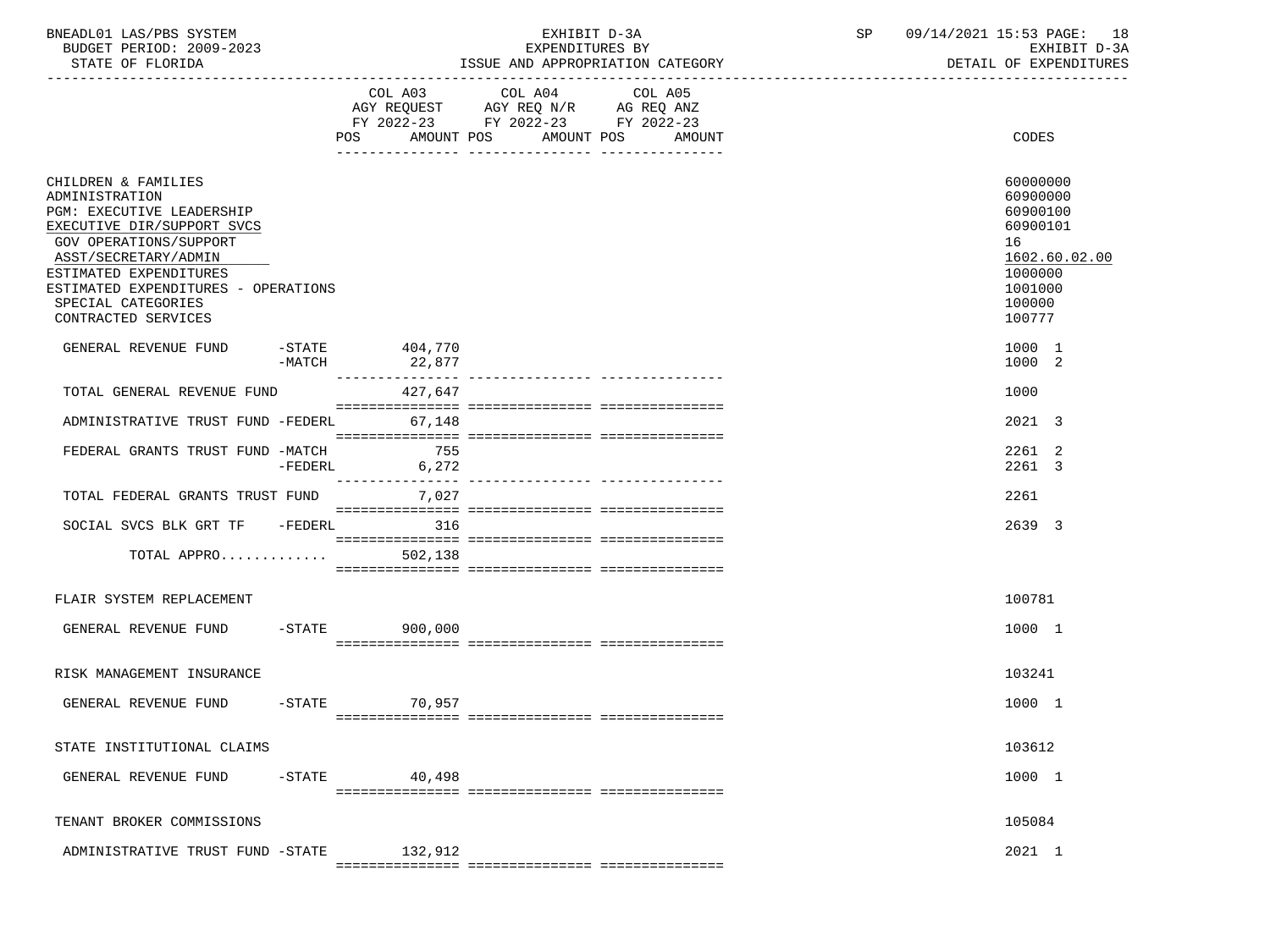| '/DRS<br>SYSTEM<br>LAS,<br>RNF <sub>A</sub><br>11.0 |                                             | $\cap$ $\top$<br>ءت | $\mathtt{PAGE}$ .<br>18<br>1001-1<br>Ωd   |
|-----------------------------------------------------|---------------------------------------------|---------------------|-------------------------------------------|
| PERIOD: 2009-2023<br>BUDGET                         | <b>RY</b><br>YDFND<br>TURES .               |                     | v v u                                     |
| STATE OF FLORIDA                                    | APPROPRIATION<br>CATEGORY<br>" SSIIE<br>ΔND |                     | ית סוזידי דרואית סיצית<br>∩F<br>י גידים ר |

|                                                                                                                                                                                                                                                                  |                      | COL A03                          | COL A04                                                                | COL A05 |                                                                                                               |
|------------------------------------------------------------------------------------------------------------------------------------------------------------------------------------------------------------------------------------------------------------------|----------------------|----------------------------------|------------------------------------------------------------------------|---------|---------------------------------------------------------------------------------------------------------------|
|                                                                                                                                                                                                                                                                  |                      |                                  | AGY REQUEST AGY REQ N/R AG REQ ANZ<br>FY 2022-23 FY 2022-23 FY 2022-23 |         |                                                                                                               |
|                                                                                                                                                                                                                                                                  |                      | POS AMOUNT POS AMOUNT POS AMOUNT |                                                                        |         | CODES                                                                                                         |
|                                                                                                                                                                                                                                                                  |                      |                                  |                                                                        |         |                                                                                                               |
| CHILDREN & FAMILIES<br>ADMINISTRATION<br>PGM: EXECUTIVE LEADERSHIP<br>EXECUTIVE DIR/SUPPORT SVCS<br>GOV OPERATIONS/SUPPORT<br>ASST/SECRETARY/ADMIN<br>ESTIMATED EXPENDITURES<br>ESTIMATED EXPENDITURES - OPERATIONS<br>SPECIAL CATEGORIES<br>CONTRACTED SERVICES |                      |                                  |                                                                        |         | 60000000<br>60900000<br>60900100<br>60900101<br>16<br>1602.60.02.00<br>1000000<br>1001000<br>100000<br>100777 |
| GENERAL REVENUE FUND                                                                                                                                                                                                                                             | $-STATE$<br>$-MATCH$ | 404,770<br>22,877                |                                                                        |         | 1000 1<br>1000 2                                                                                              |
| TOTAL GENERAL REVENUE FUND                                                                                                                                                                                                                                       |                      | 427,647                          |                                                                        |         | 1000                                                                                                          |
| ADMINISTRATIVE TRUST FUND -FEDERL                                                                                                                                                                                                                                |                      | 67,148                           |                                                                        |         | 2021 3                                                                                                        |
| FEDERAL GRANTS TRUST FUND -MATCH                                                                                                                                                                                                                                 |                      | 755                              |                                                                        |         | 2261 2                                                                                                        |
|                                                                                                                                                                                                                                                                  | $-FEDERL$            | 6,272                            |                                                                        |         | 2261 3                                                                                                        |
| TOTAL FEDERAL GRANTS TRUST FUND                                                                                                                                                                                                                                  |                      | 7,027                            |                                                                        |         | 2261                                                                                                          |
|                                                                                                                                                                                                                                                                  |                      |                                  |                                                                        |         |                                                                                                               |
| SOCIAL SVCS BLK GRT TF -FEDERL 316                                                                                                                                                                                                                               |                      |                                  |                                                                        |         | 2639 3                                                                                                        |
| TOTAL APPRO                                                                                                                                                                                                                                                      |                      | 502,138                          |                                                                        |         |                                                                                                               |
|                                                                                                                                                                                                                                                                  |                      |                                  |                                                                        |         |                                                                                                               |
| FLAIR SYSTEM REPLACEMENT                                                                                                                                                                                                                                         |                      |                                  |                                                                        |         | 100781                                                                                                        |
| GENERAL REVENUE FUND                                                                                                                                                                                                                                             |                      | -STATE 900,000                   |                                                                        |         | 1000 1                                                                                                        |
|                                                                                                                                                                                                                                                                  |                      |                                  |                                                                        |         |                                                                                                               |
|                                                                                                                                                                                                                                                                  |                      |                                  |                                                                        |         |                                                                                                               |
| RISK MANAGEMENT INSURANCE                                                                                                                                                                                                                                        |                      |                                  |                                                                        |         | 103241                                                                                                        |
| GENERAL REVENUE FUND                                                                                                                                                                                                                                             |                      | -STATE 70,957                    |                                                                        |         | 1000 1                                                                                                        |
|                                                                                                                                                                                                                                                                  |                      |                                  |                                                                        |         |                                                                                                               |
| STATE INSTITUTIONAL CLAIMS                                                                                                                                                                                                                                       |                      |                                  |                                                                        |         | 103612                                                                                                        |
| GENERAL REVENUE FUND                                                                                                                                                                                                                                             |                      | $-$ STATE 40,498                 |                                                                        |         | 1000 1                                                                                                        |
|                                                                                                                                                                                                                                                                  |                      |                                  |                                                                        |         |                                                                                                               |
| TENANT BROKER COMMISSIONS                                                                                                                                                                                                                                        |                      |                                  |                                                                        |         | 105084                                                                                                        |
| ADMINISTRATIVE TRUST FUND -STATE 132,912                                                                                                                                                                                                                         |                      |                                  |                                                                        |         | 2021 1                                                                                                        |
|                                                                                                                                                                                                                                                                  |                      |                                  |                                                                        |         |                                                                                                               |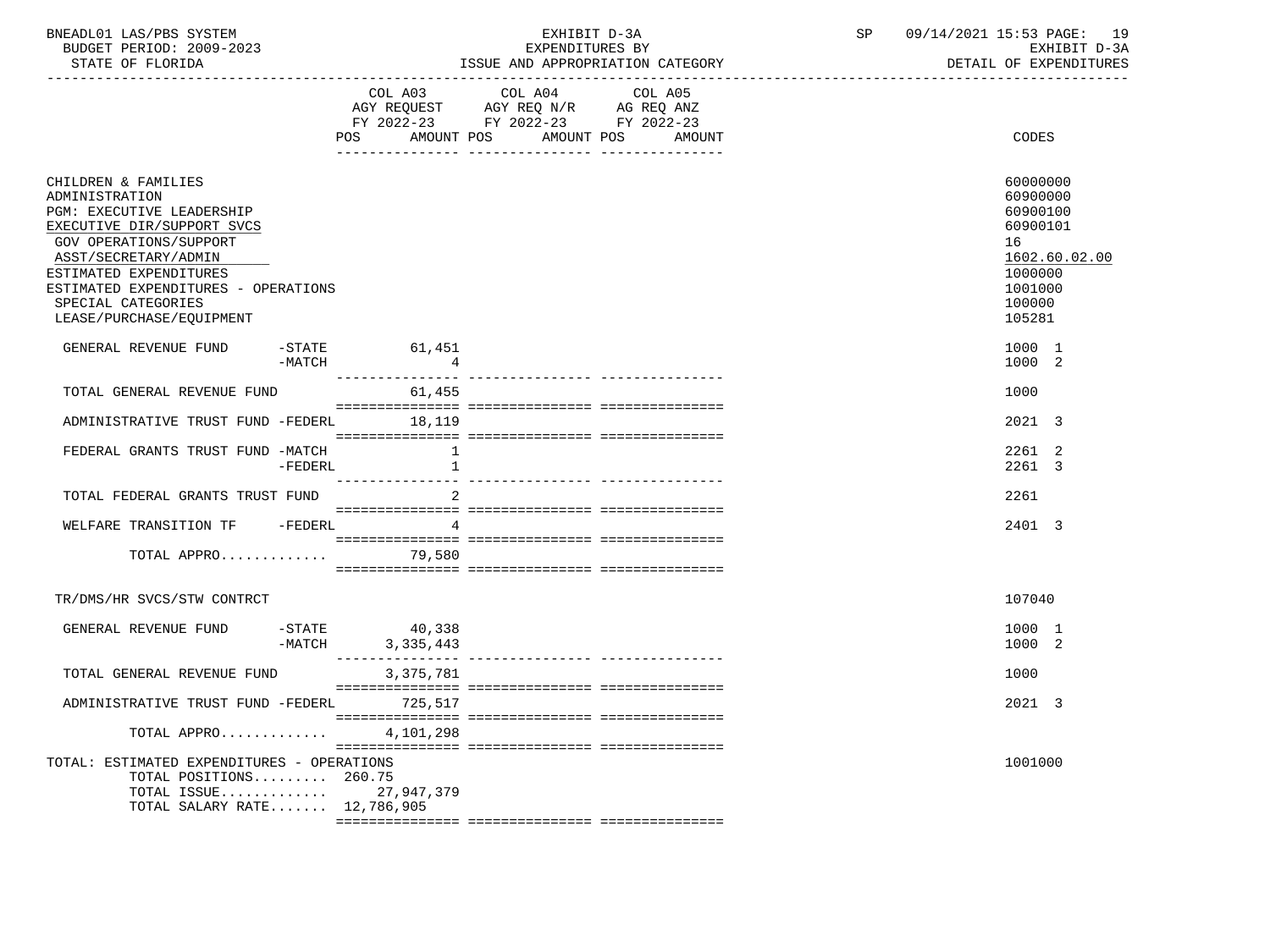| BNEADL01<br>LAS/PBS SYSTEM  | н.<br>EXHIBI.<br>— 12 – 3 A | 15:53 PAGE:<br>14/2021<br>09/1 | 1 Q |
|-----------------------------|-----------------------------|--------------------------------|-----|
| 2009-2023<br>BUDGET PERIOD: | EXPENDITURES BY             | $D - 3D$<br>EXHIBIT            |     |
|                             |                             | ----------------------         |     |

-----------------------------------------------------------------------------------------------------------------------------------

STATE OF FLORIDA **ISSUE AND APPROPRIATION CATEGORY ISSUE AND APPROPRIATION** CATEGORY

|                                                                                                                                                                                                                                                                       |           | COL A03                             | COL A04 COL A05<br>AGY REQUEST AGY REQ N/R AG REQ ANZ<br>FY 2022-23 FY 2022-23 FY 2022-23 |        |                                                                                              |               |
|-----------------------------------------------------------------------------------------------------------------------------------------------------------------------------------------------------------------------------------------------------------------------|-----------|-------------------------------------|-------------------------------------------------------------------------------------------|--------|----------------------------------------------------------------------------------------------|---------------|
|                                                                                                                                                                                                                                                                       |           | AMOUNT POS<br>POS FOR               | AMOUNT POS                                                                                | AMOUNT | CODES                                                                                        |               |
| CHILDREN & FAMILIES<br>ADMINISTRATION<br>PGM: EXECUTIVE LEADERSHIP<br>EXECUTIVE DIR/SUPPORT SVCS<br>GOV OPERATIONS/SUPPORT<br>ASST/SECRETARY/ADMIN<br>ESTIMATED EXPENDITURES<br>ESTIMATED EXPENDITURES - OPERATIONS<br>SPECIAL CATEGORIES<br>LEASE/PURCHASE/EQUIPMENT |           |                                     |                                                                                           |        | 60000000<br>60900000<br>60900100<br>60900101<br>16<br>1000000<br>1001000<br>100000<br>105281 | 1602.60.02.00 |
| GENERAL REVENUE FUND                                                                                                                                                                                                                                                  | -MATCH    | $-STATE$ 61,451<br>$\sim$ 4         |                                                                                           |        | 1000 1<br>1000 2                                                                             |               |
| TOTAL GENERAL REVENUE FUND                                                                                                                                                                                                                                            |           | 61,455                              |                                                                                           |        | 1000                                                                                         |               |
| ADMINISTRATIVE TRUST FUND -FEDERL 18,119                                                                                                                                                                                                                              |           |                                     |                                                                                           |        | 2021 3                                                                                       |               |
| FEDERAL GRANTS TRUST FUND -MATCH                                                                                                                                                                                                                                      | $-FEDERL$ |                                     |                                                                                           |        | 2261 2<br>2261 3                                                                             |               |
| TOTAL FEDERAL GRANTS TRUST FUND                                                                                                                                                                                                                                       |           |                                     |                                                                                           |        | 2261                                                                                         |               |
| WELFARE TRANSITION TF -FEDERL                                                                                                                                                                                                                                         |           | $\overline{4}$                      |                                                                                           |        | 2401 3                                                                                       |               |
| TOTAL APPRO                                                                                                                                                                                                                                                           |           | 79,580                              |                                                                                           |        |                                                                                              |               |
| TR/DMS/HR SVCS/STW CONTRCT                                                                                                                                                                                                                                            |           |                                     |                                                                                           |        | 107040                                                                                       |               |
| GENERAL REVENUE FUND                                                                                                                                                                                                                                                  |           | $-STATE$ 40,338<br>-MATCH 3,335,443 |                                                                                           |        | 1000 1<br>1000 2                                                                             |               |
| TOTAL GENERAL REVENUE FUND                                                                                                                                                                                                                                            |           | 3, 375, 781                         |                                                                                           |        | 1000                                                                                         |               |
| ADMINISTRATIVE TRUST FUND -FEDERL 725,517                                                                                                                                                                                                                             |           |                                     |                                                                                           |        | 2021 3                                                                                       |               |
| TOTAL APPRO                                                                                                                                                                                                                                                           |           | 4,101,298                           |                                                                                           |        |                                                                                              |               |
| TOTAL: ESTIMATED EXPENDITURES - OPERATIONS<br>TOTAL POSITIONS 260.75<br>TOTAL ISSUE 27,947,379<br>TOTAL SALARY RATE 12,786,905                                                                                                                                        |           |                                     |                                                                                           |        | 1001000                                                                                      |               |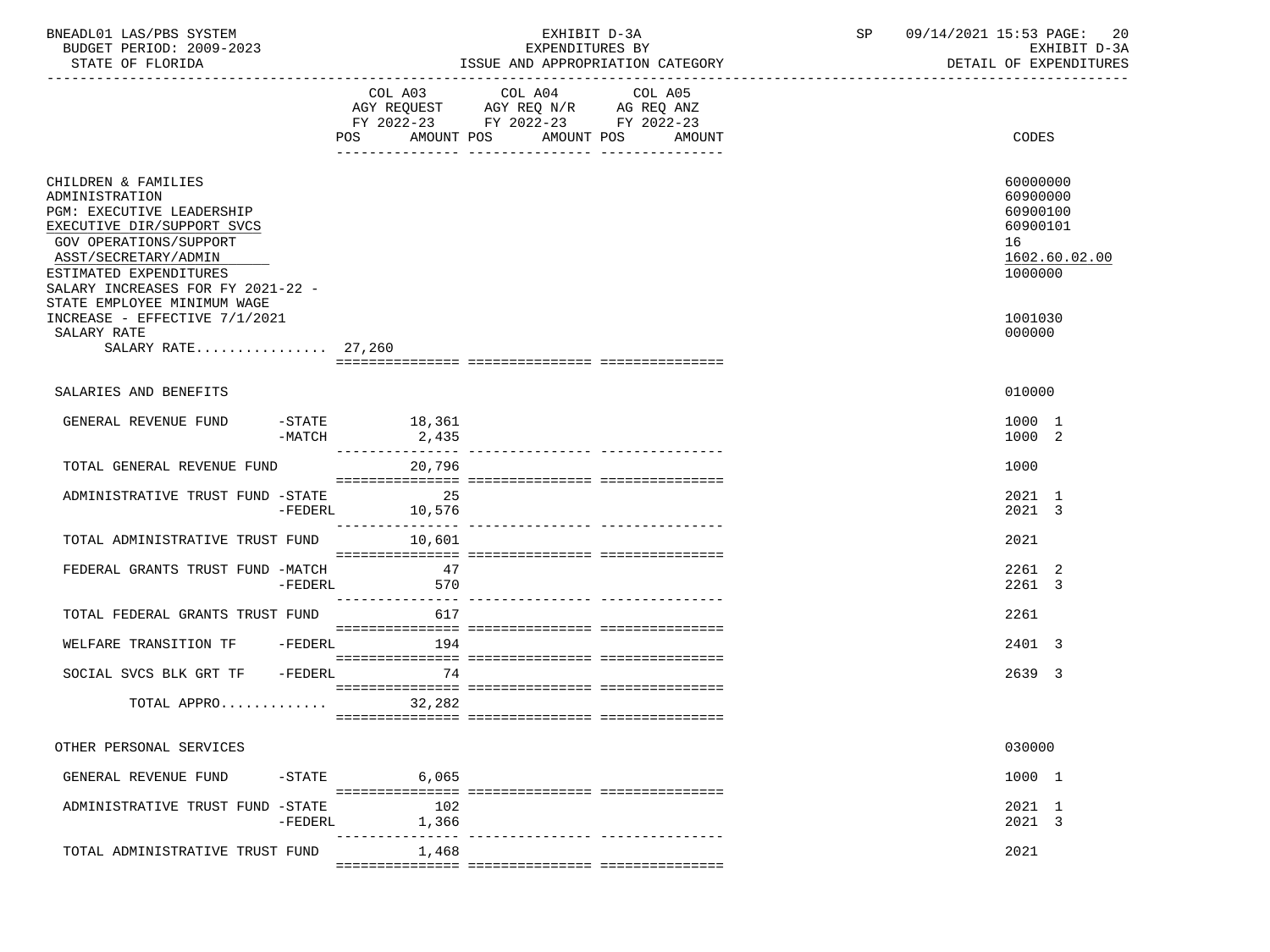| BNEADL01 LAS/PBS SYSTEM<br>BUDGET PERIOD: 2009-2023<br>STATE OF FLORIDA                                                                                                                                                                          |           |                        | EXHIBIT D-3A<br>EXPENDITURES BY<br>ISSUE AND APPROPRIATION CATEGORY                                                    | SP                | 09/14/2021 15:53 PAGE: 20<br>EXHIBIT D-3A<br>DETAIL OF EXPENDITURES |                                                                                |
|--------------------------------------------------------------------------------------------------------------------------------------------------------------------------------------------------------------------------------------------------|-----------|------------------------|------------------------------------------------------------------------------------------------------------------------|-------------------|---------------------------------------------------------------------|--------------------------------------------------------------------------------|
|                                                                                                                                                                                                                                                  |           |                        | COL A03 COL A04<br>AGY REQUEST AGY REQ N/R AG REQ ANZ<br>FY 2022-23 FY 2022-23 FY 2022-23<br>POS AMOUNT POS AMOUNT POS | COL A05<br>AMOUNT |                                                                     | CODES                                                                          |
| CHILDREN & FAMILIES<br>ADMINISTRATION<br>PGM: EXECUTIVE LEADERSHIP<br>EXECUTIVE DIR/SUPPORT SVCS<br>GOV OPERATIONS/SUPPORT<br>ASST/SECRETARY/ADMIN<br>ESTIMATED EXPENDITURES<br>SALARY INCREASES FOR FY 2021-22 -<br>STATE EMPLOYEE MINIMUM WAGE |           |                        |                                                                                                                        |                   |                                                                     | 60000000<br>60900000<br>60900100<br>60900101<br>16<br>1602.60.02.00<br>1000000 |
| INCREASE - EFFECTIVE 7/1/2021<br>SALARY RATE<br>SALARY RATE 27,260                                                                                                                                                                               |           |                        |                                                                                                                        |                   |                                                                     | 1001030<br>000000                                                              |
| SALARIES AND BENEFITS                                                                                                                                                                                                                            |           |                        |                                                                                                                        |                   |                                                                     | 010000                                                                         |
| GENERAL REVENUE FUND -STATE 18,361                                                                                                                                                                                                               |           | $-MATCH$ 2,435         |                                                                                                                        |                   |                                                                     | 1000 1<br>1000 2                                                               |
| TOTAL GENERAL REVENUE FUND                                                                                                                                                                                                                       |           | 20,796                 |                                                                                                                        |                   |                                                                     | 1000                                                                           |
| ADMINISTRATIVE TRUST FUND -STATE                                                                                                                                                                                                                 |           | 25<br>$-FEDERL$ 10,576 |                                                                                                                        |                   |                                                                     | 2021 1<br>2021 3                                                               |
| TOTAL ADMINISTRATIVE TRUST FUND                                                                                                                                                                                                                  |           | 10,601                 |                                                                                                                        |                   |                                                                     | 2021                                                                           |
| FEDERAL GRANTS TRUST FUND -MATCH                                                                                                                                                                                                                 |           | 47<br>-FEDERL 570      |                                                                                                                        |                   |                                                                     | 2261 2<br>2261 3                                                               |
| TOTAL FEDERAL GRANTS TRUST FUND                                                                                                                                                                                                                  |           | 617                    |                                                                                                                        |                   |                                                                     | 2261                                                                           |
| WELFARE TRANSITION TF -FEDERL                                                                                                                                                                                                                    |           | 194                    |                                                                                                                        |                   |                                                                     | 2401 3                                                                         |
| SOCIAL SVCS BLK GRT TF -FEDERL                                                                                                                                                                                                                   |           | 74                     |                                                                                                                        |                   |                                                                     | 2639 3                                                                         |
| TOTAL APPRO 32,282                                                                                                                                                                                                                               |           |                        |                                                                                                                        |                   |                                                                     |                                                                                |
| OTHER PERSONAL SERVICES                                                                                                                                                                                                                          |           |                        |                                                                                                                        |                   |                                                                     | 030000                                                                         |
| GENERAL REVENUE FUND                                                                                                                                                                                                                             | $-$ STATE | 6,065                  |                                                                                                                        |                   |                                                                     | 1000 1                                                                         |
| ADMINISTRATIVE TRUST FUND -STATE                                                                                                                                                                                                                 | -FEDERL   | - 102<br>1,366         |                                                                                                                        |                   |                                                                     | 2021 1<br>2021 3                                                               |
| TOTAL ADMINISTRATIVE TRUST FUND                                                                                                                                                                                                                  |           | 1,468                  |                                                                                                                        |                   |                                                                     | 2021                                                                           |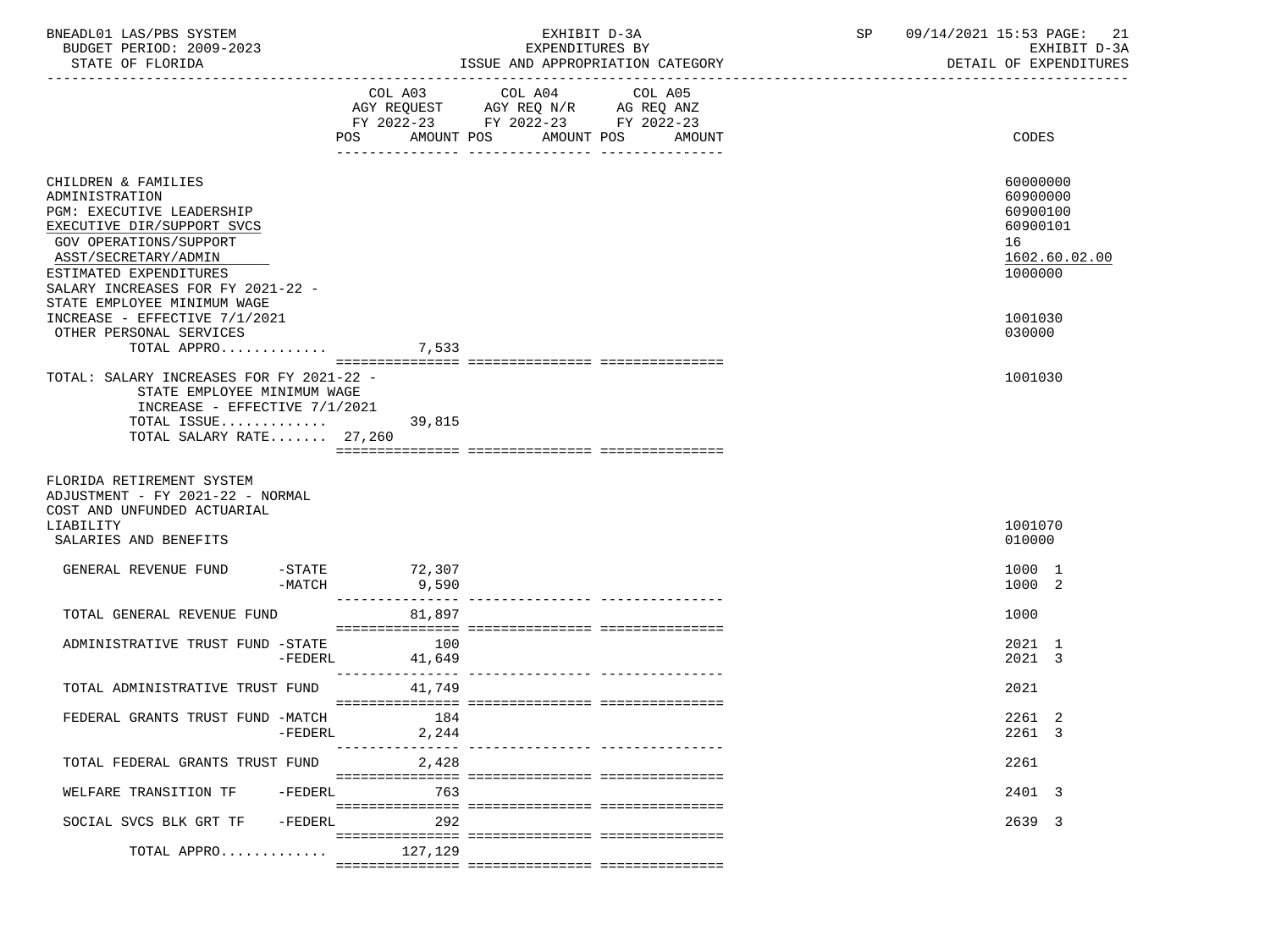| BNEADL01 LAS/PBS SYSTEM<br>BUDGET PERIOD: 2009-2023<br>STATE OF FLORIDA                                                                                                                                                                                                                                             |           |                                | EXHIBIT D-3A<br>EXPENDITURES BY<br>ISSUE AND APPROPRIATION CATEGORY                                                    | SP                           | 09/14/2021 15:53 PAGE: 21<br>EXHIBIT D-3A<br>DETAIL OF EXPENDITURES |                                                                                                     |
|---------------------------------------------------------------------------------------------------------------------------------------------------------------------------------------------------------------------------------------------------------------------------------------------------------------------|-----------|--------------------------------|------------------------------------------------------------------------------------------------------------------------|------------------------------|---------------------------------------------------------------------|-----------------------------------------------------------------------------------------------------|
|                                                                                                                                                                                                                                                                                                                     |           |                                | COL A03 COL A04<br>AGY REQUEST AGY REQ N/R AG REQ ANZ<br>FY 2022-23 FY 2022-23 FY 2022-23<br>POS AMOUNT POS AMOUNT POS | COL A05<br>AMOUNT            |                                                                     | CODES                                                                                               |
| CHILDREN & FAMILIES<br>ADMINISTRATION<br>PGM: EXECUTIVE LEADERSHIP<br>EXECUTIVE DIR/SUPPORT SVCS<br><b>GOV OPERATIONS/SUPPORT</b><br>ASST/SECRETARY/ADMIN<br>ESTIMATED EXPENDITURES<br>SALARY INCREASES FOR FY 2021-22 -<br>STATE EMPLOYEE MINIMUM WAGE<br>INCREASE - EFFECTIVE 7/1/2021<br>OTHER PERSONAL SERVICES |           |                                |                                                                                                                        |                              |                                                                     | 60000000<br>60900000<br>60900100<br>60900101<br>16<br>1602.60.02.00<br>1000000<br>1001030<br>030000 |
| TOTAL APPRO 7,533<br>TOTAL: SALARY INCREASES FOR FY 2021-22 -<br>STATE EMPLOYEE MINIMUM WAGE<br>INCREASE - EFFECTIVE 7/1/2021<br>TOTAL ISSUE 39,815                                                                                                                                                                 |           |                                |                                                                                                                        |                              |                                                                     | 1001030                                                                                             |
| TOTAL SALARY RATE 27,260<br>FLORIDA RETIREMENT SYSTEM<br>ADJUSTMENT - FY 2021-22 - NORMAL<br>COST AND UNFUNDED ACTUARIAL<br>LIABILITY<br>SALARIES AND BENEFITS                                                                                                                                                      |           |                                |                                                                                                                        |                              |                                                                     | 1001070<br>010000                                                                                   |
| GENERAL REVENUE FUND                                                                                                                                                                                                                                                                                                | -MATCH    | -STATE 72,307<br>9,590         |                                                                                                                        |                              |                                                                     | 1000 1<br>1000 2                                                                                    |
| TOTAL GENERAL REVENUE FUND                                                                                                                                                                                                                                                                                          |           | 81,897                         |                                                                                                                        |                              |                                                                     | 1000                                                                                                |
| ADMINISTRATIVE TRUST FUND -STATE                                                                                                                                                                                                                                                                                    |           | 100<br>$-FEDERL$<br>41,649     |                                                                                                                        |                              |                                                                     | 2021 1<br>2021 3                                                                                    |
| TOTAL ADMINISTRATIVE TRUST FUND                                                                                                                                                                                                                                                                                     |           | 41,749                         |                                                                                                                        |                              |                                                                     | 2021                                                                                                |
| FEDERAL GRANTS TRUST FUND -MATCH                                                                                                                                                                                                                                                                                    | $-FEDERL$ | 184<br>2,244<br>-------------- |                                                                                                                        | ----------- ---------------- |                                                                     | 2261 2<br>2261 3                                                                                    |
| TOTAL FEDERAL GRANTS TRUST FUND                                                                                                                                                                                                                                                                                     |           | 2,428                          |                                                                                                                        |                              |                                                                     | 2261                                                                                                |
| WELFARE TRANSITION TF                                                                                                                                                                                                                                                                                               | $-FEDERL$ | 763                            |                                                                                                                        |                              |                                                                     | 2401 3                                                                                              |
| SOCIAL SVCS BLK GRT TF<br>TOTAL APPRO                                                                                                                                                                                                                                                                               | $-FEDERL$ | 292<br>127,129                 |                                                                                                                        |                              |                                                                     | 2639 3                                                                                              |
|                                                                                                                                                                                                                                                                                                                     |           |                                |                                                                                                                        |                              |                                                                     |                                                                                                     |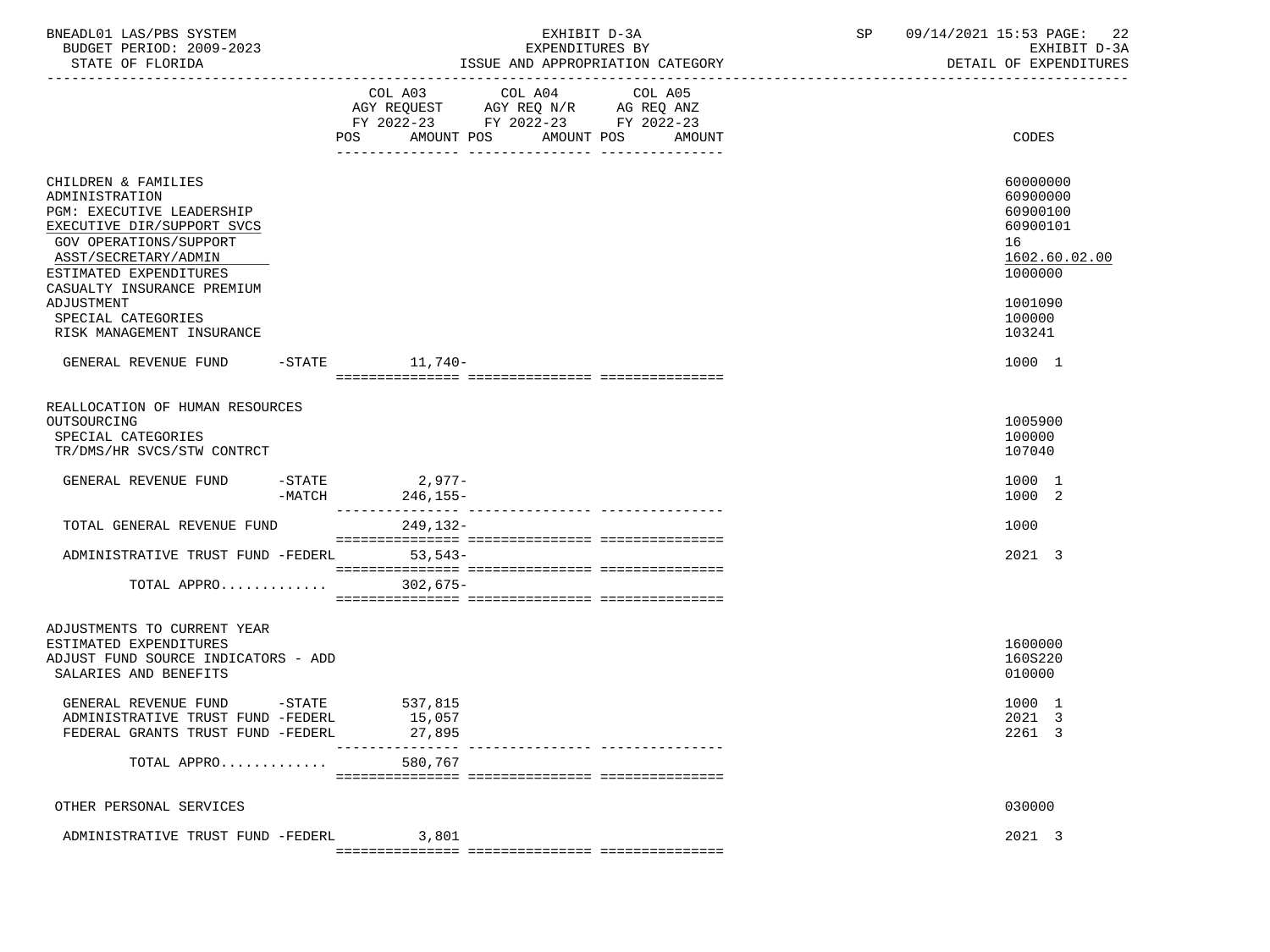| BNEADL01 LAS/PBS SYSTEM |                  |                          | EXHIBIT D-3A                     |  |
|-------------------------|------------------|--------------------------|----------------------------------|--|
|                         |                  | BUDGET PERIOD: 2009-2023 | EXPENDITURES BY                  |  |
|                         | STATE OF FLORIDA |                          | ISSUE AND APPROPRIATION CATEGORY |  |

|                                                                                                                                                                                                            |                    | COL A03<br>FY 2022-23 FY 2022-23 FY 2022-23<br>AMOUNT POS<br>POS | COL A04 | AMOUNT POS | COL A05 | AMOUNT | CODES                                                                          |
|------------------------------------------------------------------------------------------------------------------------------------------------------------------------------------------------------------|--------------------|------------------------------------------------------------------|---------|------------|---------|--------|--------------------------------------------------------------------------------|
| CHILDREN & FAMILIES<br>ADMINISTRATION<br>PGM: EXECUTIVE LEADERSHIP<br>EXECUTIVE DIR/SUPPORT SVCS<br>GOV OPERATIONS/SUPPORT<br>ASST/SECRETARY/ADMIN<br>ESTIMATED EXPENDITURES<br>CASUALTY INSURANCE PREMIUM |                    |                                                                  |         |            |         |        | 60000000<br>60900000<br>60900100<br>60900101<br>16<br>1602.60.02.00<br>1000000 |
| ADJUSTMENT<br>SPECIAL CATEGORIES<br>RISK MANAGEMENT INSURANCE                                                                                                                                              |                    |                                                                  |         |            |         |        | 1001090<br>100000<br>103241                                                    |
| GENERAL REVENUE FUND                                                                                                                                                                                       |                    | $-$ STATE<br>11,740-                                             |         |            |         |        | 1000 1                                                                         |
| REALLOCATION OF HUMAN RESOURCES<br>OUTSOURCING<br>SPECIAL CATEGORIES<br>TR/DMS/HR SVCS/STW CONTRCT                                                                                                         |                    |                                                                  |         |            |         |        | 1005900<br>100000<br>107040                                                    |
| GENERAL REVENUE FUND                                                                                                                                                                                       | -STATE<br>$-MATCH$ | $2,977-$<br>246,155-                                             |         |            |         |        | 1000 1<br>1000 2                                                               |
| TOTAL GENERAL REVENUE FUND                                                                                                                                                                                 |                    | 249,132-                                                         |         |            |         |        | 1000                                                                           |
| ADMINISTRATIVE TRUST FUND -FEDERL 53,543-                                                                                                                                                                  |                    |                                                                  |         |            |         |        | 2021 3                                                                         |
| TOTAL APPRO                                                                                                                                                                                                |                    | 302,675–                                                         |         |            |         |        |                                                                                |
| ADJUSTMENTS TO CURRENT YEAR<br>ESTIMATED EXPENDITURES<br>ADJUST FUND SOURCE INDICATORS - ADD<br>SALARIES AND BENEFITS                                                                                      |                    |                                                                  |         |            |         |        | 1600000<br>160S220<br>010000                                                   |
| GENERAL REVENUE FUND -STATE<br>ADMINISTRATIVE TRUST FUND -FEDERL<br>FEDERAL GRANTS TRUST FUND -FEDERL                                                                                                      |                    | 537,815<br>15,057<br>27,895                                      |         |            |         |        | 1000 1<br>2021 3<br>2261 3                                                     |
| TOTAL APPRO                                                                                                                                                                                                |                    | 580,767                                                          |         |            |         |        |                                                                                |
| OTHER PERSONAL SERVICES                                                                                                                                                                                    |                    |                                                                  |         |            |         |        | 030000                                                                         |
| ADMINISTRATIVE TRUST FUND -FEDERL                                                                                                                                                                          |                    | 3,801                                                            |         |            |         |        | 2021 3                                                                         |

=============== =============== ===============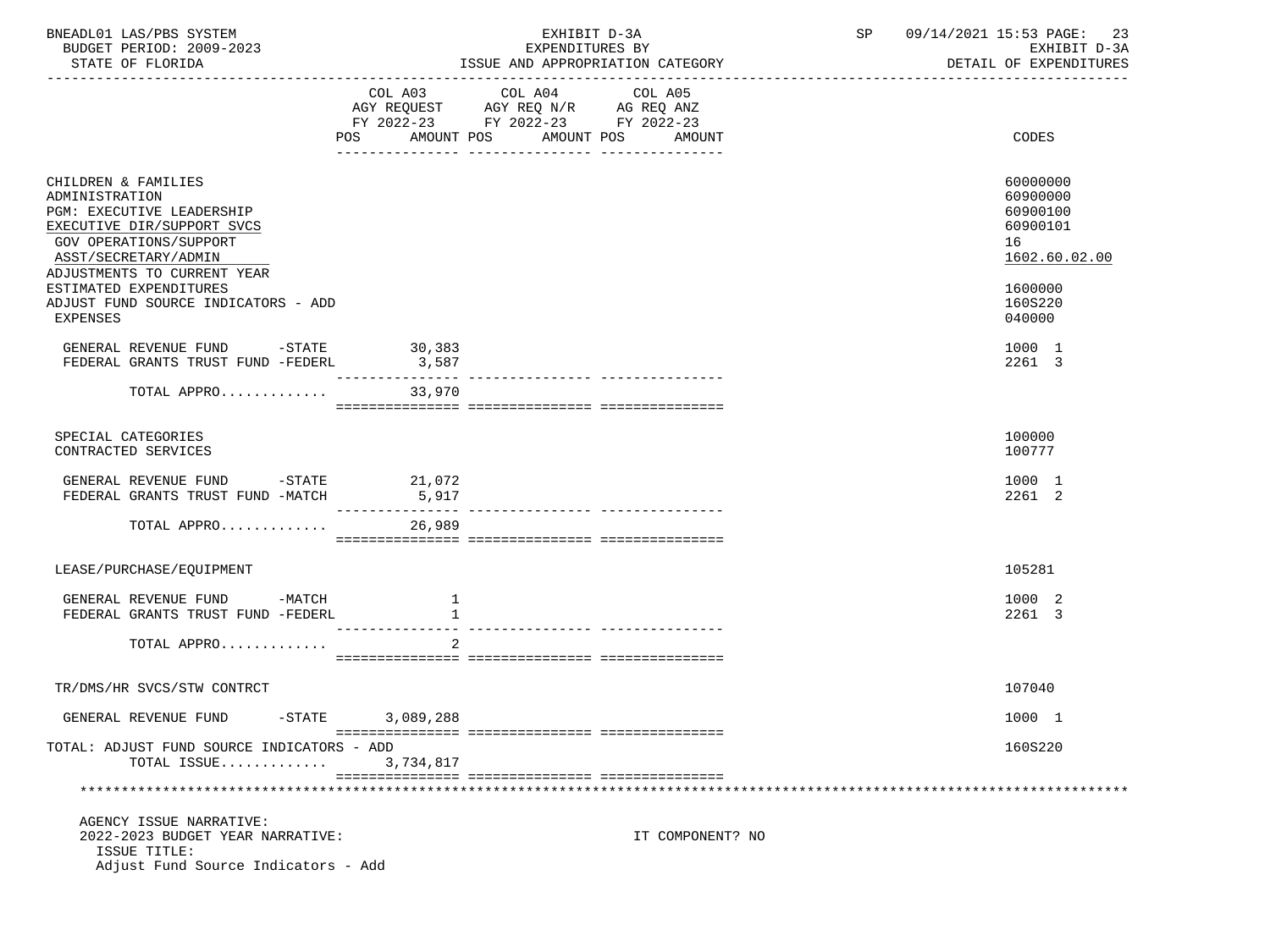| BNEADL01 LAS/PBS SYSTEM<br>BUDGET PERIOD: 2009-2023<br>STATE OF FLORIDA                                                                                                                         |                           | EXHIBIT D-3A<br>EXPENDITURES BY<br>ISSUE AND APPROPRIATION CATEGORY                                       | SP 09/14/2021 15:53 PAGE: 23<br>EXHIBIT D-3A<br>DETAIL OF EXPENDITURES |                                                                     |
|-------------------------------------------------------------------------------------------------------------------------------------------------------------------------------------------------|---------------------------|-----------------------------------------------------------------------------------------------------------|------------------------------------------------------------------------|---------------------------------------------------------------------|
|                                                                                                                                                                                                 | AMOUNT POS<br>POS         | COL A03 COL A04<br>AGY REQUEST AGY REQ $N/R$ AG REQ ANZ<br>FY 2022-23 FY 2022-23 FY 2022-23<br>AMOUNT POS | COL A05<br>AMOUNT                                                      | CODES                                                               |
| CHILDREN & FAMILIES<br>ADMINISTRATION<br><b>PGM: EXECUTIVE LEADERSHIP</b><br>EXECUTIVE DIR/SUPPORT SVCS<br><b>GOV OPERATIONS/SUPPORT</b><br>ASST/SECRETARY/ADMIN<br>ADJUSTMENTS TO CURRENT YEAR |                           |                                                                                                           |                                                                        | 60000000<br>60900000<br>60900100<br>60900101<br>16<br>1602.60.02.00 |
| ESTIMATED EXPENDITURES<br>ADJUST FUND SOURCE INDICATORS - ADD<br>EXPENSES                                                                                                                       |                           |                                                                                                           |                                                                        | 1600000<br>160S220<br>040000                                        |
| GENERAL REVENUE FUND -STATE<br>FEDERAL GRANTS TRUST FUND -FEDERL                                                                                                                                | 30,383<br>3,587           |                                                                                                           |                                                                        | 1000 1<br>2261 3                                                    |
| TOTAL APPRO 33,970                                                                                                                                                                              |                           |                                                                                                           |                                                                        |                                                                     |
| SPECIAL CATEGORIES<br>CONTRACTED SERVICES                                                                                                                                                       |                           |                                                                                                           |                                                                        | 100000<br>100777                                                    |
| GENERAL REVENUE FUND -STATE 21,072<br>FEDERAL GRANTS TRUST FUND -MATCH                                                                                                                          | 5,917<br>________________ |                                                                                                           |                                                                        | 1000 1<br>2261 2                                                    |
| TOTAL APPRO                                                                                                                                                                                     | 26,989                    |                                                                                                           |                                                                        |                                                                     |
| LEASE/PURCHASE/EQUIPMENT                                                                                                                                                                        |                           |                                                                                                           |                                                                        | 105281                                                              |
| GENERAL REVENUE FUND -MATCH<br>FEDERAL GRANTS TRUST FUND -FEDERL                                                                                                                                | 1<br><sup>1</sup>         |                                                                                                           |                                                                        | 1000 2<br>2261 3                                                    |
| TOTAL APPRO                                                                                                                                                                                     | 2                         |                                                                                                           |                                                                        |                                                                     |
| TR/DMS/HR SVCS/STW CONTRCT                                                                                                                                                                      |                           |                                                                                                           |                                                                        | 107040                                                              |
| GENERAL REVENUE FUND<br>$-$ STATE                                                                                                                                                               | 3,089,288                 |                                                                                                           |                                                                        | 1000 1                                                              |
| TOTAL: ADJUST FUND SOURCE INDICATORS - ADD<br>TOTAL ISSUE                                                                                                                                       | 3,734,817                 |                                                                                                           |                                                                        | 160S220                                                             |
|                                                                                                                                                                                                 |                           |                                                                                                           |                                                                        |                                                                     |
| AGENCY ISSUE NARRATIVE:<br>2022-2023 BUDGET YEAR NARRATIVE:<br>ISSUE TITLE:<br>Adjust Fund Source Indicators - Add                                                                              |                           |                                                                                                           | IT COMPONENT? NO                                                       |                                                                     |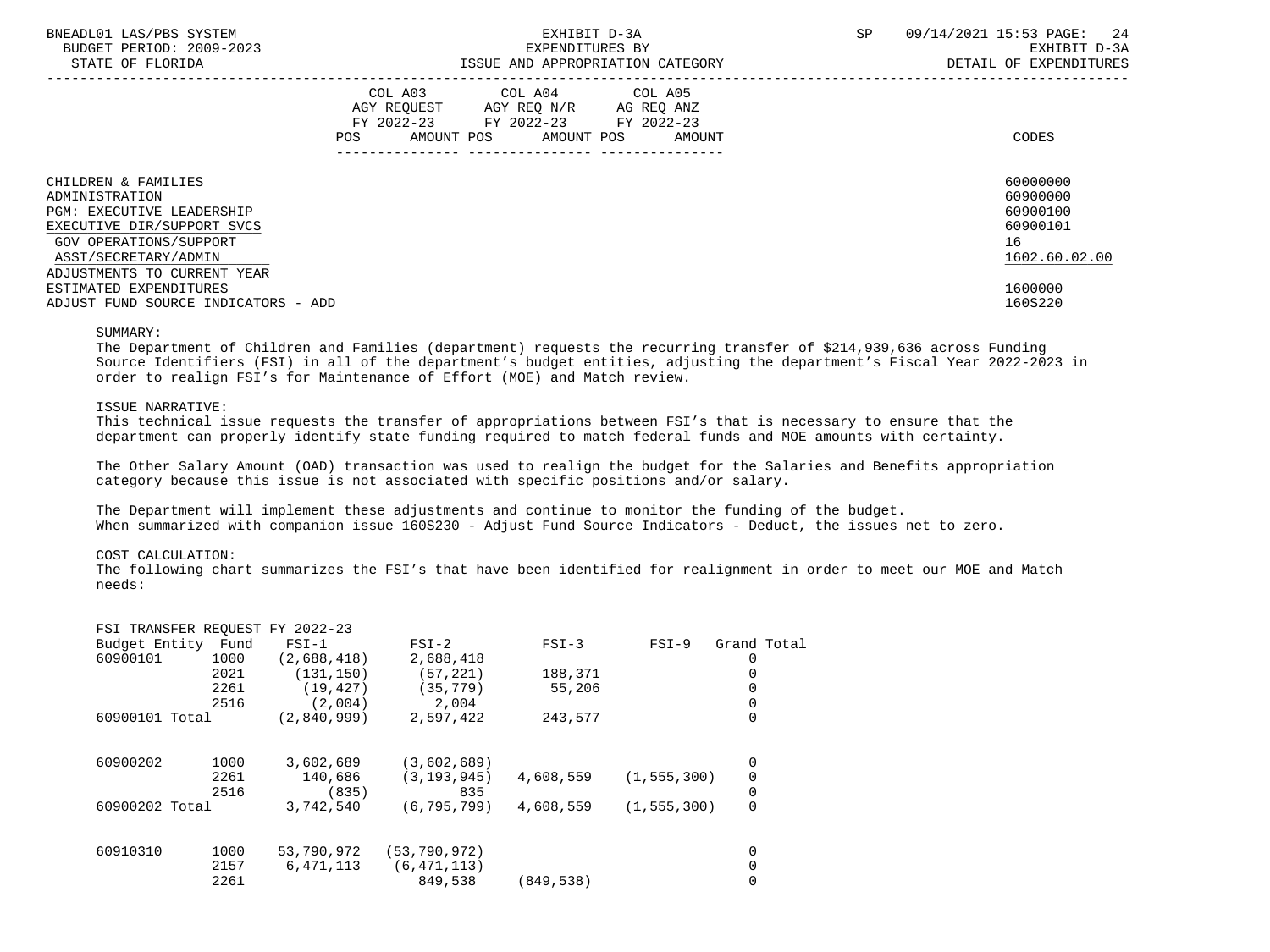| BNEADL01 LAS/PBS SYSTEM<br>BUDGET PERIOD: 2009-2023<br>STATE OF FLORIDA                                                                                                                  | EXHIBIT D-3A<br>EXPENDITURES BY<br>ISSUE AND APPROPRIATION CATEGORY |  |                                                                                                                    |  |        |  | -24<br>09/14/2021 15:53 PAGE:<br>EXHIBIT D-3A<br>DETAIL OF EXPENDITURES |
|------------------------------------------------------------------------------------------------------------------------------------------------------------------------------------------|---------------------------------------------------------------------|--|--------------------------------------------------------------------------------------------------------------------|--|--------|--|-------------------------------------------------------------------------|
|                                                                                                                                                                                          | COL A03<br>POS                                                      |  | COL A04 COL A05<br>AGY REQUEST AGY REQ N/R AG REQ ANZ<br>FY 2022-23 FY 2022-23 FY 2022-23<br>AMOUNT POS AMOUNT POS |  | AMOUNT |  | CODES                                                                   |
| CHILDREN & FAMILIES<br>ADMINISTRATION<br><b>PGM: EXECUTIVE LEADERSHIP</b><br>EXECUTIVE DIR/SUPPORT SVCS<br>GOV OPERATIONS/SUPPORT<br>ASST/SECRETARY/ADMIN<br>ADJUSTMENTS TO CURRENT YEAR |                                                                     |  |                                                                                                                    |  |        |  | 60000000<br>60900000<br>60900100<br>60900101<br>16<br>1602.60.02.00     |
| ESTIMATED EXPENDITURES<br>ADJUST FUND SOURCE INDICATORS - ADD                                                                                                                            |                                                                     |  |                                                                                                                    |  |        |  | 1600000<br>160S220                                                      |

#### SUMMARY:

 The Department of Children and Families (department) requests the recurring transfer of \$214,939,636 across Funding Source Identifiers (FSI) in all of the department's budget entities, adjusting the department's Fiscal Year 2022-2023 in order to realign FSI's for Maintenance of Effort (MOE) and Match review.

### ISSUE NARRATIVE:

 This technical issue requests the transfer of appropriations between FSI's that is necessary to ensure that the department can properly identify state funding required to match federal funds and MOE amounts with certainty.

 The Other Salary Amount (OAD) transaction was used to realign the budget for the Salaries and Benefits appropriation category because this issue is not associated with specific positions and/or salary.

 The Department will implement these adjustments and continue to monitor the funding of the budget. When summarized with companion issue 160S230 - Adjust Fund Source Indicators - Deduct, the issues net to zero.

#### COST CALCULATION:

 The following chart summarizes the FSI's that have been identified for realignment in order to meet our MOE and Match needs:

| FSI TRANSFER REQUEST FY 2022-23 |      |             |                |            |               |             |  |
|---------------------------------|------|-------------|----------------|------------|---------------|-------------|--|
| Budget Entity                   | Fund | $FSI-1$     | $FSI-2$        | $FSI-3$    | $FSI-9$       | Grand Total |  |
| 60900101                        | 1000 | (2,688,418) | 2,688,418      |            |               |             |  |
|                                 | 2021 | (131, 150)  | (57, 221)      | 188,371    |               |             |  |
|                                 | 2261 | (19, 427)   | (35, 779)      | 55,206     |               |             |  |
|                                 | 2516 | (2,004)     | 2,004          |            |               |             |  |
| 60900101 Total                  |      | (2.840.999) | 2,597,422      | 243,577    |               | 0           |  |
| 60900202                        | 1000 | 3,602,689   | (3,602,689)    |            |               | 0           |  |
|                                 | 2261 | 140,686     | (3, 193, 945)  | 4,608,559  | (1, 555, 300) | 0           |  |
|                                 | 2516 | (835)       | 835            |            |               | 0           |  |
| 60900202 Total                  |      | 3,742,540   | (6.795.799)    | 4,608,559  | (1, 555, 300) | $\mathbf 0$ |  |
| 60910310                        | 1000 | 53,790,972  | (53, 790, 972) |            |               | 0           |  |
|                                 | 2157 | 6,471,113   | (6, 471, 113)  |            |               | 0           |  |
|                                 | 2261 |             | 849,538        | (849, 538) |               | 0           |  |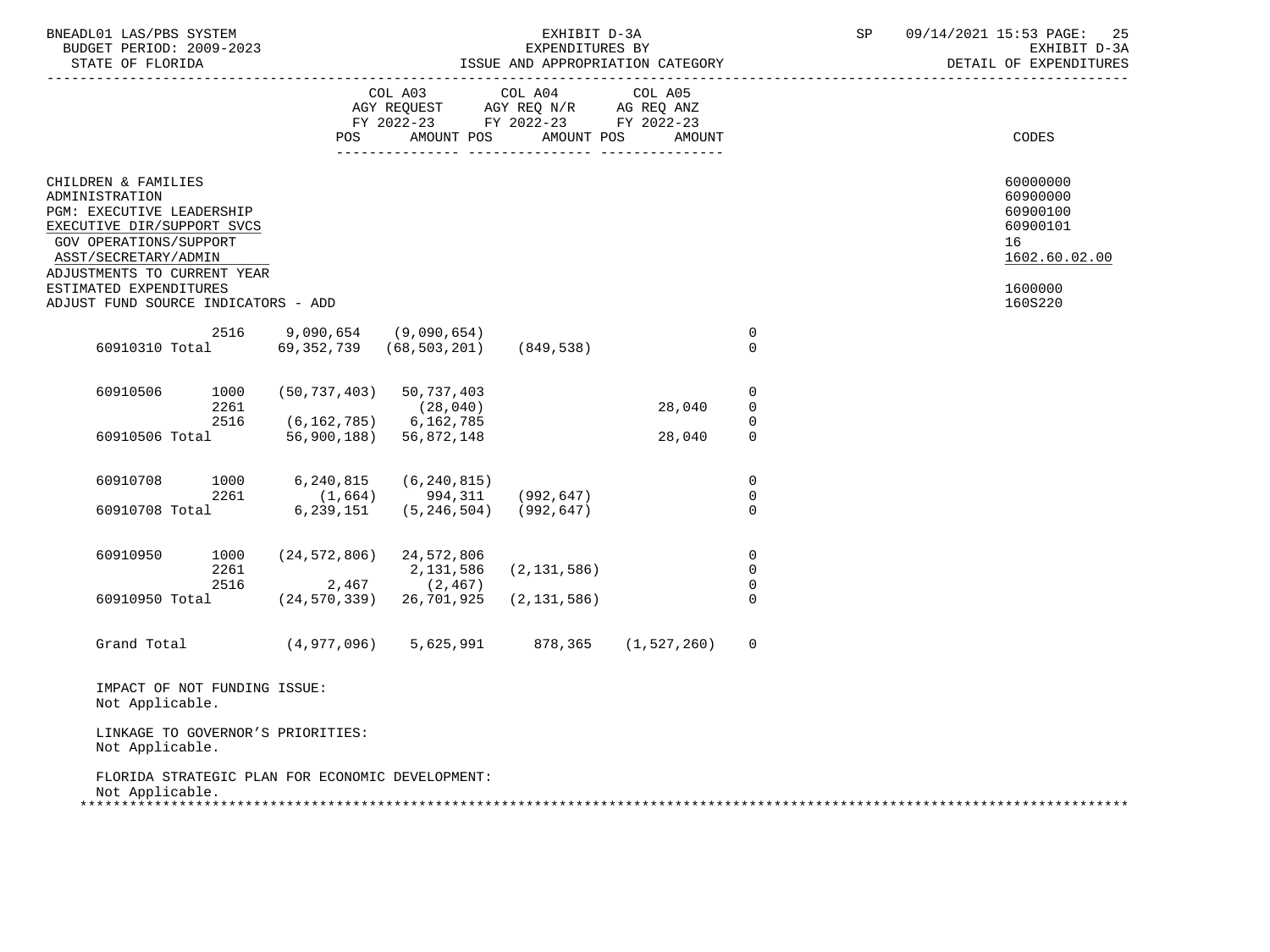| BNEADL01 LAS/PBS SYSTEM<br>BUDGET PERIOD: 2009-2023<br>STATE OF FLORIDA                                                                                                                                                                                   |                                                  |                                                                          | EXHIBIT D-3A<br>EXPENDITURES BY                 | ISSUE AND APPROPRIATION CATEGORY |                                        | SP | 09/14/2021 15:53 PAGE:<br>25<br>EXHIBIT D-3A<br>DETAIL OF EXPENDITURES                    |
|-----------------------------------------------------------------------------------------------------------------------------------------------------------------------------------------------------------------------------------------------------------|--------------------------------------------------|--------------------------------------------------------------------------|-------------------------------------------------|----------------------------------|----------------------------------------|----|-------------------------------------------------------------------------------------------|
|                                                                                                                                                                                                                                                           | POS                                              | COL A03<br>AGY REQUEST<br>FY 2022-23 FY 2022-23 FY 2022-23<br>AMOUNT POS | COL A04<br>AGY REQ N/R AG REQ ANZ<br>AMOUNT POS | COL A05<br>AMOUNT                |                                        |    | CODES                                                                                     |
| CHILDREN & FAMILIES<br>ADMINISTRATION<br>PGM: EXECUTIVE LEADERSHIP<br>EXECUTIVE DIR/SUPPORT SVCS<br><b>GOV OPERATIONS/SUPPORT</b><br>ASST/SECRETARY/ADMIN<br>ADJUSTMENTS TO CURRENT YEAR<br>ESTIMATED EXPENDITURES<br>ADJUST FUND SOURCE INDICATORS - ADD |                                                  |                                                                          |                                                 |                                  |                                        |    | 60000000<br>60900000<br>60900100<br>60900101<br>16<br>1602.60.02.00<br>1600000<br>160S220 |
| 2516<br>60910310 Total                                                                                                                                                                                                                                    | 69,352,739                                       | $9,090,654$ (9,090,654)<br>(68, 503, 201)                                | (849,538)                                       |                                  | 0<br>$\Omega$                          |    |                                                                                           |
| 60910506<br>1000<br>2261<br>2516                                                                                                                                                                                                                          |                                                  | $(50, 737, 403)$ 50, 737, 403<br>(28, 040)                               |                                                 | 28,040                           | 0<br>0                                 |    |                                                                                           |
| 60910506 Total                                                                                                                                                                                                                                            | (6, 162, 785)                                    | 6,162,785<br>56,900,188) 56,872,148                                      |                                                 | 28,040                           | 0<br>$\mathbf 0$                       |    |                                                                                           |
| 1000<br>60910708<br>2261<br>60910708 Total                                                                                                                                                                                                                | 6,240,815<br>(1,664)<br>6,239,151                | (6, 240, 815)<br>994,311<br>(5, 246, 504)                                | (992, 647)<br>(992,647)                         |                                  | $\mathbf 0$<br>$\mathbf 0$<br>$\Omega$ |    |                                                                                           |
| 60910950<br>1000<br>2261<br>2516                                                                                                                                                                                                                          | 2,467                                            | $(24, 572, 806)$ 24, 572, 806<br>2,131,586<br>(2, 467)                   | (2, 131, 586)                                   |                                  | 0<br>$\mathbf 0$<br>$\mathbf 0$        |    |                                                                                           |
| 60910950 Total                                                                                                                                                                                                                                            | (24, 570, 339)                                   | 26,701,925                                                               | (2, 131, 586)                                   |                                  | $\Omega$                               |    |                                                                                           |
| Grand Total                                                                                                                                                                                                                                               | (4,977,096)                                      | 5,625,991                                                                | 878,365                                         | (1, 527, 260)                    | $\mathbf 0$                            |    |                                                                                           |
| IMPACT OF NOT FUNDING ISSUE:<br>Not Applicable.                                                                                                                                                                                                           |                                                  |                                                                          |                                                 |                                  |                                        |    |                                                                                           |
| LINKAGE TO GOVERNOR'S PRIORITIES:<br>Not Applicable.                                                                                                                                                                                                      |                                                  |                                                                          |                                                 |                                  |                                        |    |                                                                                           |
| Not Applicable.                                                                                                                                                                                                                                           | FLORIDA STRATEGIC PLAN FOR ECONOMIC DEVELOPMENT: |                                                                          |                                                 |                                  |                                        |    |                                                                                           |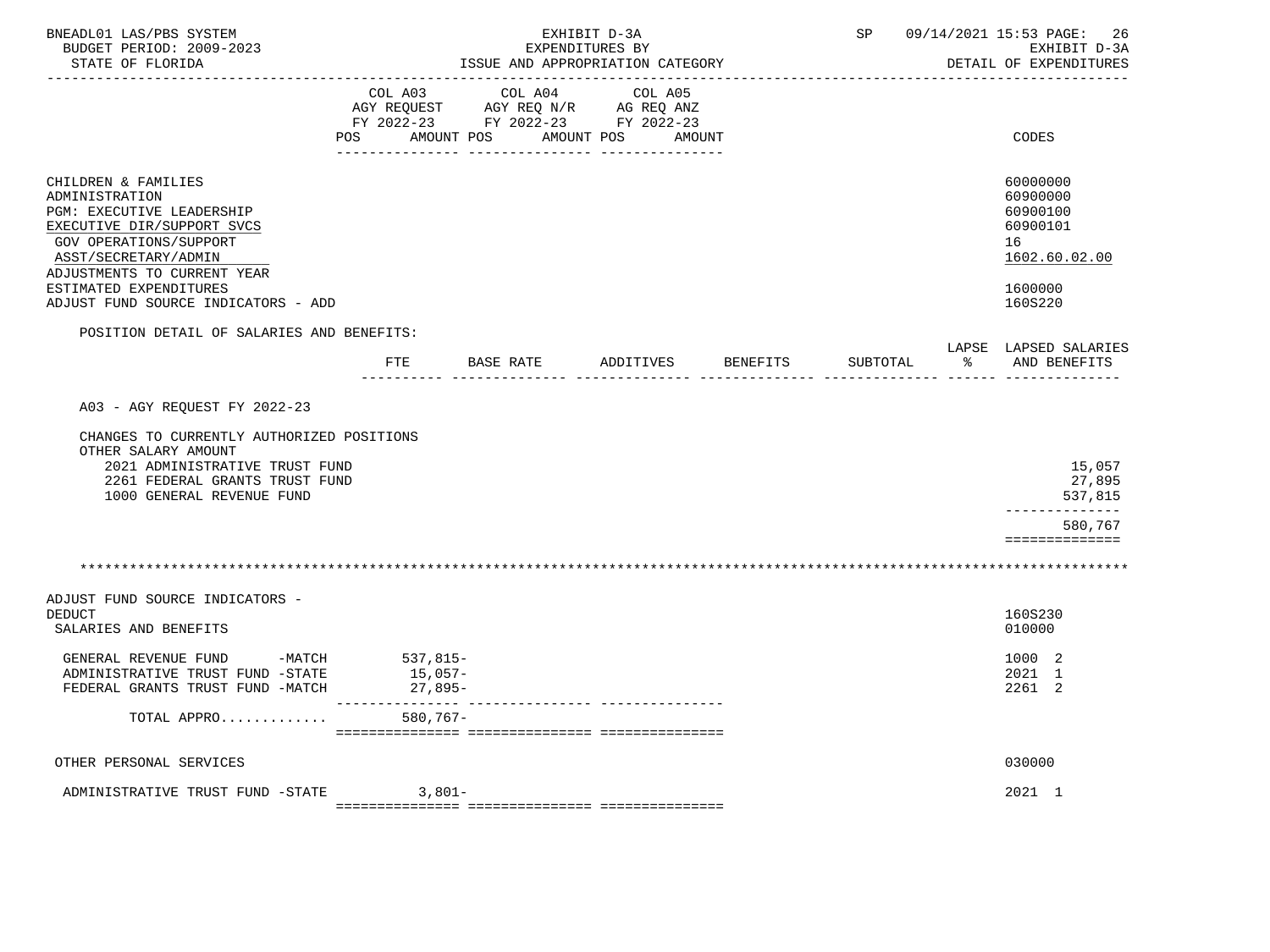| BNEADL01 LAS/PBS SYSTEM<br>BUDGET PERIOD: 2009-2023<br>STATE OF FLORIDA                                                                                                                                            |                    | ISSUE AND APPROPRIATION CATEGORY                                                          | EXHIBIT D-3A<br>EXPENDITURES BY |                    |          |               | SP 09/14/2021 15:53 PAGE: 26<br>EXHIBIT D-3A<br>DETAIL OF EXPENDITURES         |
|--------------------------------------------------------------------------------------------------------------------------------------------------------------------------------------------------------------------|--------------------|-------------------------------------------------------------------------------------------|---------------------------------|--------------------|----------|---------------|--------------------------------------------------------------------------------|
|                                                                                                                                                                                                                    | POS AMOUNT POS     | COL A03 COL A04<br>AGY REQUEST AGY REQ N/R AG REQ ANZ<br>FY 2022-23 FY 2022-23 FY 2022-23 | COL A05<br>AMOUNT POS           | AMOUNT             |          |               | CODES                                                                          |
| CHILDREN & FAMILIES<br>ADMINISTRATION<br><b>PGM: EXECUTIVE LEADERSHIP</b><br>EXECUTIVE DIR/SUPPORT SVCS<br>GOV OPERATIONS/SUPPORT<br>ASST/SECRETARY/ADMIN<br>ADJUSTMENTS TO CURRENT YEAR<br>ESTIMATED EXPENDITURES |                    |                                                                                           |                                 |                    |          |               | 60000000<br>60900000<br>60900100<br>60900101<br>16<br>1602.60.02.00<br>1600000 |
| ADJUST FUND SOURCE INDICATORS - ADD                                                                                                                                                                                |                    |                                                                                           |                                 |                    |          |               | 160S220                                                                        |
| POSITION DETAIL OF SALARIES AND BENEFITS:                                                                                                                                                                          | FTE                | BASE RATE                                                                                 |                                 | ADDITIVES BENEFITS | SUBTOTAL | $\sim$ $\sim$ | LAPSE LAPSED SALARIES<br>AND BENEFITS                                          |
| CHANGES TO CURRENTLY AUTHORIZED POSITIONS<br>OTHER SALARY AMOUNT<br>2021 ADMINISTRATIVE TRUST FUND<br>2261 FEDERAL GRANTS TRUST FUND<br>1000 GENERAL REVENUE FUND                                                  |                    |                                                                                           |                                 |                    |          |               | 15,057<br>27,895<br>537,815<br>--------------                                  |
|                                                                                                                                                                                                                    |                    |                                                                                           |                                 |                    |          |               | 580,767<br>==============                                                      |
|                                                                                                                                                                                                                    |                    |                                                                                           |                                 |                    |          |               |                                                                                |
| ADJUST FUND SOURCE INDICATORS -<br><b>DEDUCT</b><br>SALARIES AND BENEFITS                                                                                                                                          |                    |                                                                                           |                                 |                    |          |               | 160S230<br>010000                                                              |
| GENERAL REVENUE FUND $-MATCH$ 537,815-<br>ADMINISTRATIVE TRUST FUND -STATE<br>FEDERAL GRANTS TRUST FUND -MATCH                                                                                                     | 15,057-<br>27,895- |                                                                                           |                                 |                    |          |               | 1000 2<br>2021 1<br>2261 2                                                     |
| TOTAL APPRO                                                                                                                                                                                                        | $580,767-$         |                                                                                           |                                 |                    |          |               |                                                                                |
| OTHER PERSONAL SERVICES                                                                                                                                                                                            |                    |                                                                                           |                                 |                    |          |               | 030000                                                                         |
| ADMINISTRATIVE TRUST FUND -STATE                                                                                                                                                                                   | $3.801-$           |                                                                                           |                                 |                    |          |               | 2021 1                                                                         |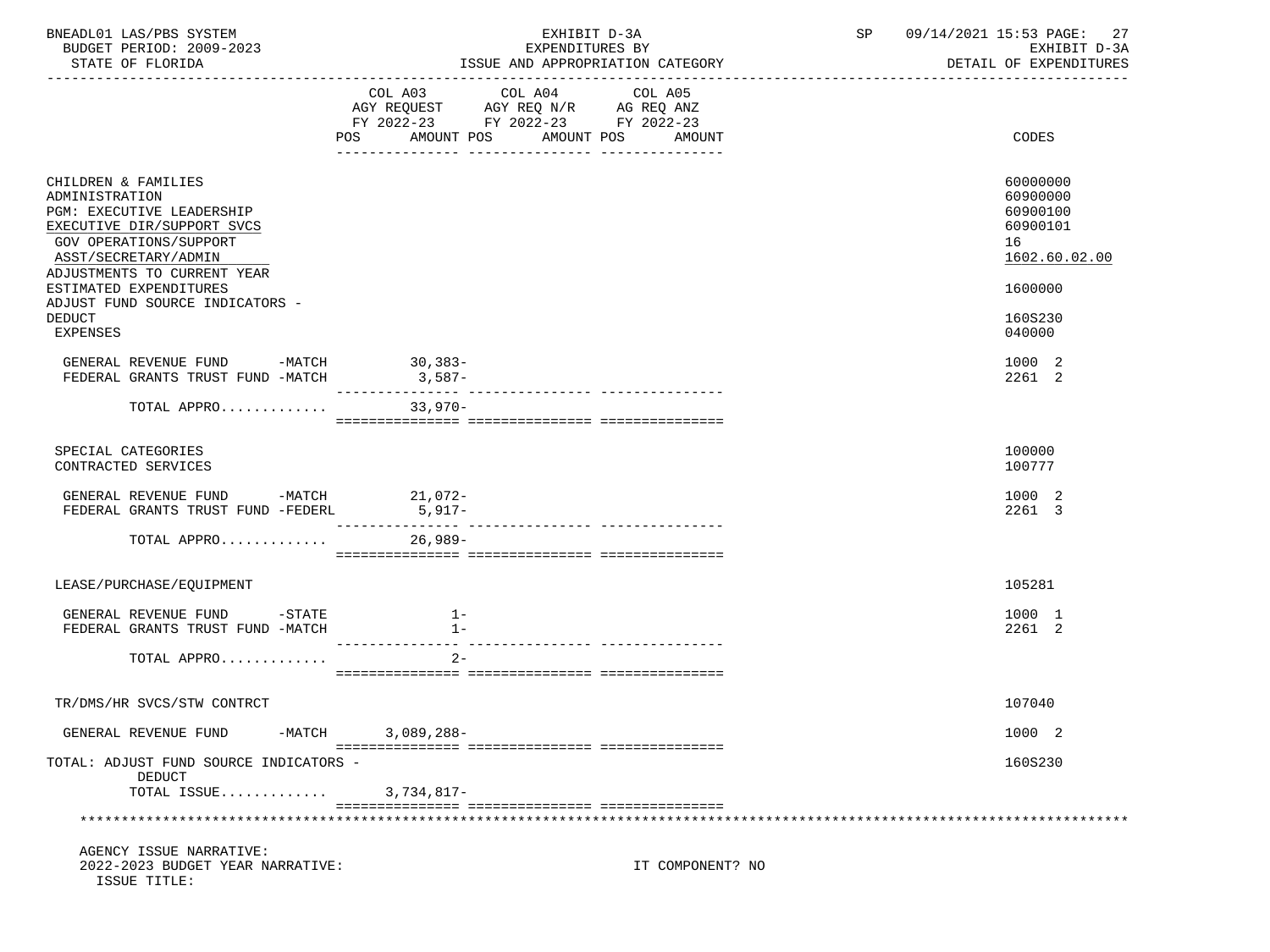| BNEADL01 LAS/PBS SYSTEM<br>BUDGET PERIOD: 2009-2023<br>STATE OF FLORIDA                                                                                                                                                                                      | EXHIBIT D-3A<br>EXPENDITURES BY<br>ISSUE AND APPROPRIATION CATEGORY                                                                         | SP 09/14/2021 15:53 PAGE: 27<br>EXHIBIT D-3A<br>DETAIL OF EXPENDITURES         |
|--------------------------------------------------------------------------------------------------------------------------------------------------------------------------------------------------------------------------------------------------------------|---------------------------------------------------------------------------------------------------------------------------------------------|--------------------------------------------------------------------------------|
|                                                                                                                                                                                                                                                              | COL A03 COL A04 COL A05<br>AGY REQUEST AGY REQ N/R AG REQ ANZ FY 2022-23 FY 2022-23 FY 2022-23<br>POS<br>AMOUNT POS<br>AMOUNT POS<br>AMOUNT | CODES                                                                          |
| CHILDREN & FAMILIES<br>ADMINISTRATION<br><b>PGM: EXECUTIVE LEADERSHIP</b><br>EXECUTIVE DIR/SUPPORT SVCS<br><b>GOV OPERATIONS/SUPPORT</b><br>ASST/SECRETARY/ADMIN<br>ADJUSTMENTS TO CURRENT YEAR<br>ESTIMATED EXPENDITURES<br>ADJUST FUND SOURCE INDICATORS - |                                                                                                                                             | 60000000<br>60900000<br>60900100<br>60900101<br>16<br>1602.60.02.00<br>1600000 |
| <b>DEDUCT</b><br>EXPENSES                                                                                                                                                                                                                                    |                                                                                                                                             | 160S230<br>040000                                                              |
| GENERAL REVENUE FUND -MATCH 30,383-<br>FEDERAL GRANTS TRUST FUND -MATCH                                                                                                                                                                                      | $3,587-$                                                                                                                                    | 1000 2<br>2261 2                                                               |
| TOTAL APPRO                                                                                                                                                                                                                                                  | $33,970-$                                                                                                                                   |                                                                                |
| SPECIAL CATEGORIES<br>CONTRACTED SERVICES                                                                                                                                                                                                                    |                                                                                                                                             | 100000<br>100777                                                               |
| GENERAL REVENUE FUND -MATCH 21,072-<br>FEDERAL GRANTS TRUST FUND -FEDERL                                                                                                                                                                                     | $5,917-$                                                                                                                                    | 1000 2<br>2261 3                                                               |
| TOTAL APPRO $\ldots \ldots \ldots$                                                                                                                                                                                                                           |                                                                                                                                             |                                                                                |
| LEASE/PURCHASE/EQUIPMENT                                                                                                                                                                                                                                     |                                                                                                                                             | 105281                                                                         |
| GENERAL REVENUE FUND -STATE<br>FEDERAL GRANTS TRUST FUND -MATCH                                                                                                                                                                                              | $1 -$<br>$1 -$                                                                                                                              | 1000 1<br>2261 2                                                               |
| TOTAL APPRO                                                                                                                                                                                                                                                  | $2 -$                                                                                                                                       |                                                                                |
| TR/DMS/HR SVCS/STW CONTRCT                                                                                                                                                                                                                                   |                                                                                                                                             | 107040                                                                         |
| GENERAL REVENUE FUND<br>$-MATCH$                                                                                                                                                                                                                             | $3,089,288-$                                                                                                                                | 1000 2                                                                         |
| TOTAL: ADJUST FUND SOURCE INDICATORS -<br>DEDUCT<br>TOTAL ISSUE                                                                                                                                                                                              | 3,734,817-                                                                                                                                  | 160S230                                                                        |
|                                                                                                                                                                                                                                                              |                                                                                                                                             |                                                                                |
| AGENCY ISSUE NARRATIVE:<br>2022-2023 BUDGET YEAR NARRATIVE:<br>ISSUE TITLE:                                                                                                                                                                                  | IT COMPONENT? NO                                                                                                                            |                                                                                |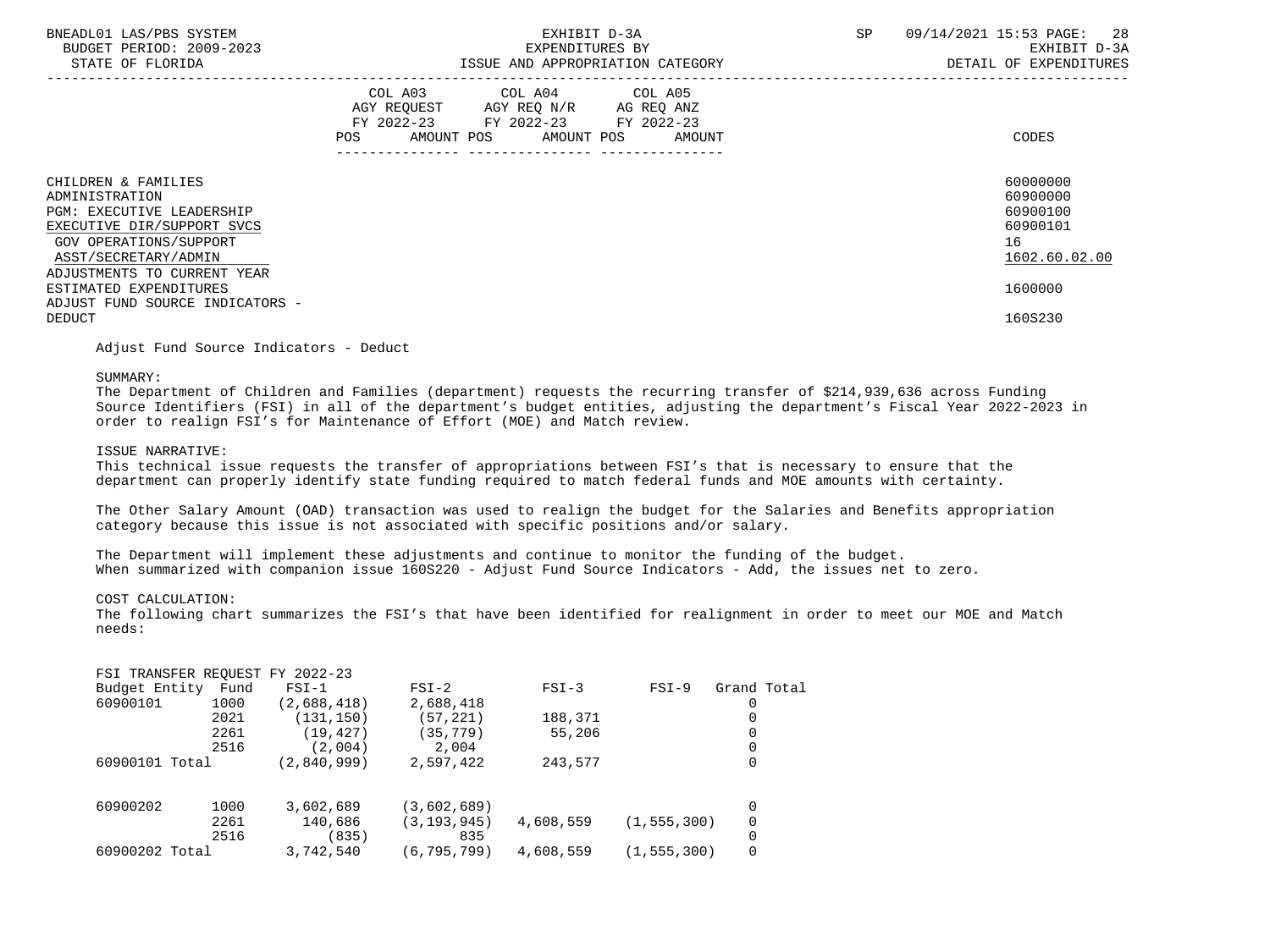| BNEADL01 LAS/PBS SYSTEM |                  |                          |
|-------------------------|------------------|--------------------------|
|                         |                  | BUDGET PERIOD: 2009-2023 |
|                         | STATE OF FLORIDA |                          |

## EXHIBIT D-3A SP 09/14/2021 15:53 PAGE: 28 BUDGET PERIOD: 2009-2023 EXPENDITURES BY EXHIBIT D-3A

|                                                                                                                                                                                          | COL A03<br>AGY REQUEST<br>$FY$ 2022-23<br><b>POS</b><br>AMOUNT POS | COL A04<br>AGY REQ N/R<br>FY 2022-23<br>AMOUNT POS | COL A05<br>AG REQ ANZ<br>FY 2022-23<br>AMOUNT | CODES                                                               |
|------------------------------------------------------------------------------------------------------------------------------------------------------------------------------------------|--------------------------------------------------------------------|----------------------------------------------------|-----------------------------------------------|---------------------------------------------------------------------|
| CHILDREN & FAMILIES<br>ADMINISTRATION<br><b>PGM: EXECUTIVE LEADERSHIP</b><br>EXECUTIVE DIR/SUPPORT SVCS<br>GOV OPERATIONS/SUPPORT<br>ASST/SECRETARY/ADMIN<br>ADJUSTMENTS TO CURRENT YEAR |                                                                    |                                                    |                                               | 60000000<br>60900000<br>60900100<br>60900101<br>16<br>1602.60.02.00 |
| ESTIMATED EXPENDITURES<br>ADJUST FUND SOURCE INDICATORS -                                                                                                                                |                                                                    |                                                    |                                               | 1600000                                                             |
| DEDUCT                                                                                                                                                                                   |                                                                    |                                                    |                                               | 160S230                                                             |

Adjust Fund Source Indicators - Deduct

#### SUMMARY:

 The Department of Children and Families (department) requests the recurring transfer of \$214,939,636 across Funding Source Identifiers (FSI) in all of the department's budget entities, adjusting the department's Fiscal Year 2022-2023 in order to realign FSI's for Maintenance of Effort (MOE) and Match review.

#### ISSUE NARRATIVE:

 This technical issue requests the transfer of appropriations between FSI's that is necessary to ensure that the department can properly identify state funding required to match federal funds and MOE amounts with certainty.

 The Other Salary Amount (OAD) transaction was used to realign the budget for the Salaries and Benefits appropriation category because this issue is not associated with specific positions and/or salary.

 The Department will implement these adjustments and continue to monitor the funding of the budget. When summarized with companion issue 160S220 - Adjust Fund Source Indicators - Add, the issues net to zero.

#### COST CALCULATION:

 The following chart summarizes the FSI's that have been identified for realignment in order to meet our MOE and Match needs:

| FSI TRANSFER REQUEST FY 2022-23 |      |             |               |           |               |             |
|---------------------------------|------|-------------|---------------|-----------|---------------|-------------|
| Budget Entity                   | Fund | $FSI-1$     | $FSI-2$       | $FSI-3$   | $FSI-9$       | Grand Total |
| 60900101                        | 1000 | (2,688,418) | 2,688,418     |           |               | 0           |
|                                 | 2021 | (131, 150)  | (57, 221)     | 188,371   |               | 0           |
|                                 | 2261 | (19, 427)   | (35,779)      | 55,206    |               | 0           |
|                                 | 2516 | (2.004)     | 2,004         |           |               | 0           |
| 60900101 Total                  |      | (2,840,999) | 2,597,422     | 243,577   |               | 0           |
| 60900202                        | 1000 | 3,602,689   | (3,602,689)   |           |               | 0           |
|                                 | 2261 | 140,686     | (3, 193, 945) | 4,608,559 | (1, 555, 300) | 0           |
|                                 | 2516 | (835)       | 835           |           |               | 0           |
| 60900202 Total                  |      | 3,742,540   | (6, 795, 799) | 4,608,559 | (1, 555, 300) | 0           |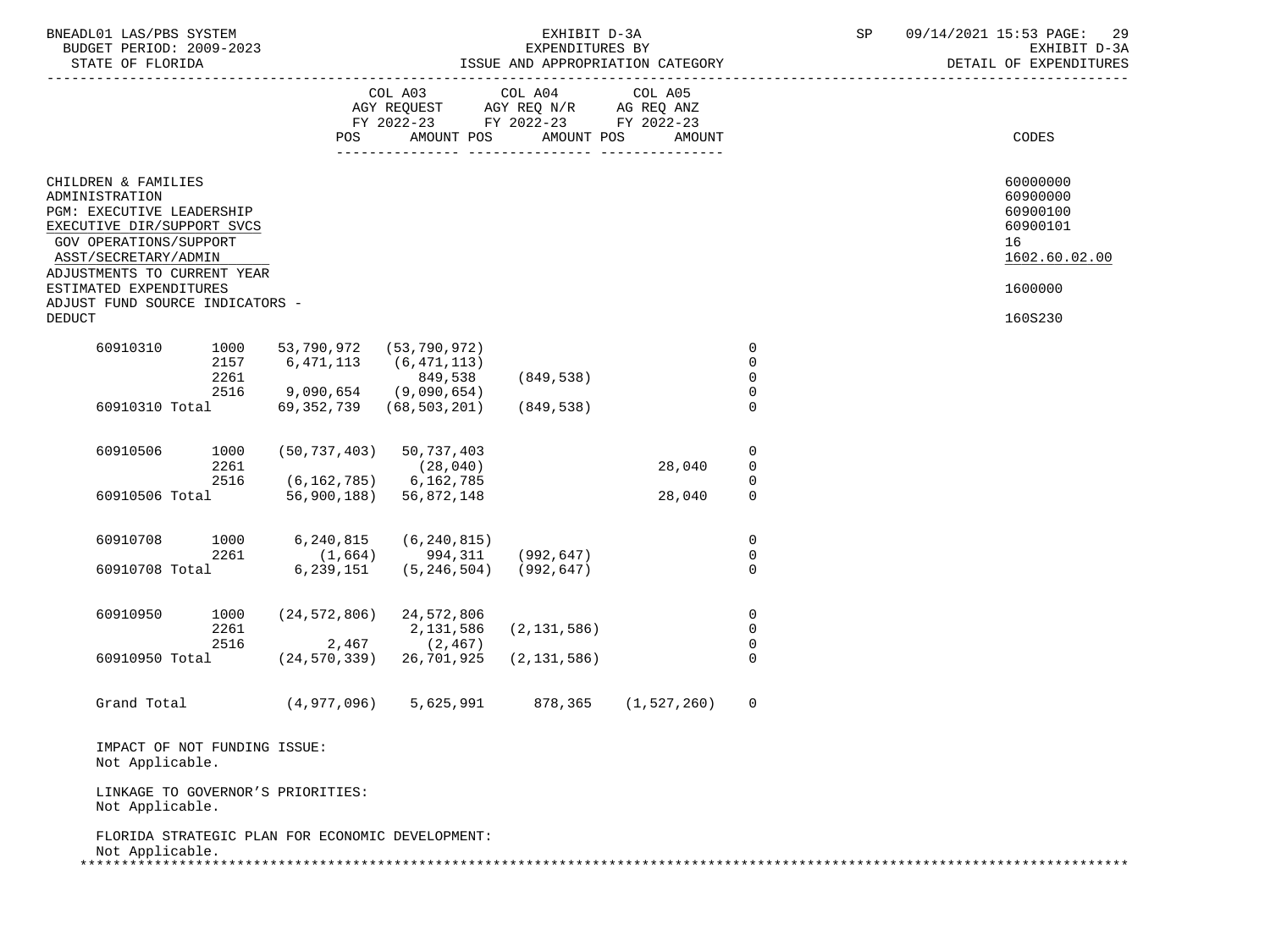| BNEADL01 LAS/PBS SYSTEM<br>BUDGET PERIOD: 2009-2023                                                                                                       |                              |                                                                      |                                                                                                   | EXHIBIT D-3A<br>EXPENDITURES BY |                               |                                              | SP | 09/14/2021 15:53 PAGE: 29<br>EXHIBIT D-3A<br>DETAIL OF EXPENDITURES |
|-----------------------------------------------------------------------------------------------------------------------------------------------------------|------------------------------|----------------------------------------------------------------------|---------------------------------------------------------------------------------------------------|---------------------------------|-------------------------------|----------------------------------------------|----|---------------------------------------------------------------------|
|                                                                                                                                                           |                              |                                                                      | COL A03 COL A04 COL A05<br>AGY REQUEST AGY REQ N/R AG REQ ANZ<br>FY 2022-23 FY 2022-23 FY 2022-23 |                                 |                               |                                              |    |                                                                     |
|                                                                                                                                                           |                              | POS                                                                  |                                                                                                   | AMOUNT POS AMOUNT POS           | AMOUNT                        |                                              |    | CODES                                                               |
| CHILDREN & FAMILIES<br>ADMINISTRATION<br>PGM: EXECUTIVE LEADERSHIP<br>EXECUTIVE DIR/SUPPORT SVCS<br><b>GOV OPERATIONS/SUPPORT</b><br>ASST/SECRETARY/ADMIN |                              |                                                                      |                                                                                                   |                                 |                               |                                              |    | 60000000<br>60900000<br>60900100<br>60900101<br>16<br>1602.60.02.00 |
| ADJUSTMENTS TO CURRENT YEAR<br>ESTIMATED EXPENDITURES<br>ADJUST FUND SOURCE INDICATORS -                                                                  |                              |                                                                      |                                                                                                   |                                 |                               |                                              |    | 1600000                                                             |
| <b>DEDUCT</b>                                                                                                                                             |                              |                                                                      |                                                                                                   |                                 |                               |                                              |    | 160S230                                                             |
| 60910310                                                                                                                                                  | 1000<br>2157<br>2261         | 53,790,972<br>6,471,113                                              | (53, 790, 972)<br>(6, 471, 113)<br>849,538                                                        | (849, 538)                      |                               | $\overline{0}$<br>$\mathbf 0$<br>$\mathbf 0$ |    |                                                                     |
|                                                                                                                                                           | 2516<br>60910310 Total       | 9,090,654 (9,090,654)<br>69,352,739                                  | (68, 503, 201)                                                                                    | (849, 538)                      |                               | $\mathbf 0$<br>$\mathbf 0$                   |    |                                                                     |
| 60910506                                                                                                                                                  | 1000<br>2261                 |                                                                      | $(50, 737, 403)$ 50, 737, 403<br>(28, 040)                                                        |                                 | 28,040                        | 0<br>$\mathbf 0$                             |    |                                                                     |
|                                                                                                                                                           | 2516                         | $(6, 162, 785)$ 6, 162, 785<br>60910506 Total 56,900,188) 56,872,148 |                                                                                                   |                                 | 28,040                        | $\mathbf 0$<br>$\Omega$                      |    |                                                                     |
| 60910708                                                                                                                                                  | 2261                         | 1000 6,240,815 (6,240,815)                                           | $(1,664)$ 994,311 (992,647)                                                                       |                                 |                               | $\mathbf 0$<br>0                             |    |                                                                     |
|                                                                                                                                                           | 60910708 Total               | 6,239,151                                                            |                                                                                                   | $(5, 246, 504)$ (992,647)       |                               | $\Omega$                                     |    |                                                                     |
| 60910950                                                                                                                                                  | 1000<br>2261<br>2516         | $2,467$ (2,467)                                                      | $(24, 572, 806)$ 24, 572, 806<br>2,131,586                                                        | (2, 131, 586)                   |                               | 0<br>$\mathbf 0$<br>$\Omega$                 |    |                                                                     |
|                                                                                                                                                           |                              | 60910950 Total (24,570,339) 26,701,925                               |                                                                                                   | (2, 131, 586)                   |                               | $\Omega$                                     |    |                                                                     |
| Grand Total                                                                                                                                               |                              | (4,977,096)                                                          |                                                                                                   |                                 | 5,625,991 878,365 (1,527,260) | 0                                            |    |                                                                     |
| Not Applicable.                                                                                                                                           | IMPACT OF NOT FUNDING ISSUE: |                                                                      |                                                                                                   |                                 |                               |                                              |    |                                                                     |
| Not Applicable.                                                                                                                                           |                              | LINKAGE TO GOVERNOR'S PRIORITIES:                                    |                                                                                                   |                                 |                               |                                              |    |                                                                     |
| Not Applicable.                                                                                                                                           |                              | FLORIDA STRATEGIC PLAN FOR ECONOMIC DEVELOPMENT:                     |                                                                                                   |                                 |                               |                                              |    |                                                                     |

\*\*\*\*\*\*\*\*\*\*\*\*\*\*\*\*\*\*\*\*\*\*\*\*\*\*\*\*\*\*\*\*\*\*\*\*\*\*\*\*\*\*\*\*\*\*\*\*\*\*\*\*\*\*\*\*\*\*\*\*\*\*\*\*\*\*\*\*\*\*\*\*\*\*\*\*\*\*\*\*\*\*\*\*\*\*\*\*\*\*\*\*\*\*\*\*\*\*\*\*\*\*\*\*\*\*\*\*\*\*\*\*\*\*\*\*\*\*\*\*\*\*\*\*\*\*\*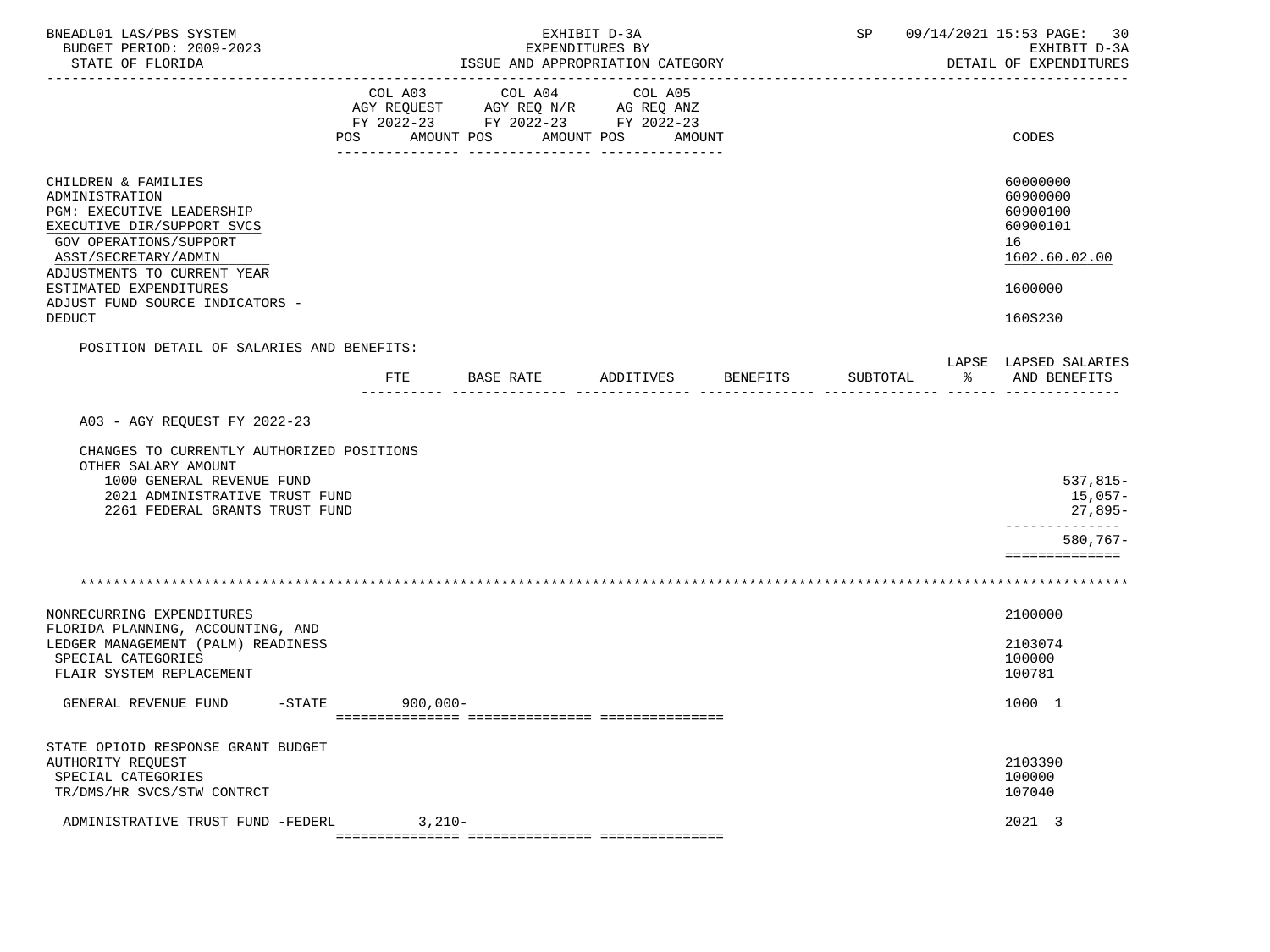| BNEADL01 LAS/PBS SYSTEM<br>BUDGET PERIOD: 2009-2023<br>STATE OF FLORIDA                                                                                                                                                                                  |                              | ISSUE AND APPROPRIATION CATEGORY                                                  | EXHIBIT D-3A<br>EXPENDITURES BY |          |          |    | SP 09/14/2021 15:53 PAGE:<br>30<br>EXHIBIT D-3A<br>DETAIL OF EXPENDITURES                 |
|----------------------------------------------------------------------------------------------------------------------------------------------------------------------------------------------------------------------------------------------------------|------------------------------|-----------------------------------------------------------------------------------|---------------------------------|----------|----------|----|-------------------------------------------------------------------------------------------|
|                                                                                                                                                                                                                                                          | COL A03<br>POS<br>AMOUNT POS | COL A04<br>AGY REQUEST AGY REQ N/R AG REQ ANZ<br>FY 2022-23 FY 2022-23 FY 2022-23 | COL A05<br>AMOUNT POS<br>AMOUNT |          |          |    | CODES                                                                                     |
| CHILDREN & FAMILIES<br>ADMINISTRATION<br>PGM: EXECUTIVE LEADERSHIP<br>EXECUTIVE DIR/SUPPORT SVCS<br>GOV OPERATIONS/SUPPORT<br>ASST/SECRETARY/ADMIN<br>ADJUSTMENTS TO CURRENT YEAR<br>ESTIMATED EXPENDITURES<br>ADJUST FUND SOURCE INDICATORS -<br>DEDUCT |                              |                                                                                   |                                 |          |          |    | 60000000<br>60900000<br>60900100<br>60900101<br>16<br>1602.60.02.00<br>1600000<br>160S230 |
| POSITION DETAIL OF SALARIES AND BENEFITS:                                                                                                                                                                                                                | FTE                          | BASE RATE                                                                         | ADDITIVES                       | BENEFITS | SUBTOTAL | ႜၟ | LAPSE LAPSED SALARIES<br>AND BENEFITS                                                     |
| CHANGES TO CURRENTLY AUTHORIZED POSITIONS<br>OTHER SALARY AMOUNT<br>1000 GENERAL REVENUE FUND<br>2021 ADMINISTRATIVE TRUST FUND<br>2261 FEDERAL GRANTS TRUST FUND                                                                                        |                              |                                                                                   |                                 |          |          |    | 537,815-<br>15,057-<br>27,895-<br>--------------<br>$580,767-$                            |
|                                                                                                                                                                                                                                                          |                              |                                                                                   |                                 |          |          |    | ==============                                                                            |
| NONRECURRING EXPENDITURES<br>FLORIDA PLANNING, ACCOUNTING, AND<br>LEDGER MANAGEMENT (PALM) READINESS<br>SPECIAL CATEGORIES<br>FLAIR SYSTEM REPLACEMENT                                                                                                   |                              |                                                                                   |                                 |          |          |    | 2100000<br>2103074<br>100000<br>100781                                                    |
| $-$ STATE<br>GENERAL REVENUE FUND                                                                                                                                                                                                                        | $900,000-$                   |                                                                                   |                                 |          |          |    | 1000 1                                                                                    |
| STATE OPIOID RESPONSE GRANT BUDGET<br>AUTHORITY REQUEST<br>SPECIAL CATEGORIES<br>TR/DMS/HR SVCS/STW CONTRCT                                                                                                                                              |                              |                                                                                   |                                 |          |          |    | 2103390<br>100000<br>107040                                                               |
| ADMINISTRATIVE TRUST FUND -FEDERL                                                                                                                                                                                                                        | $3,210-$                     |                                                                                   |                                 |          |          |    | 2021 3                                                                                    |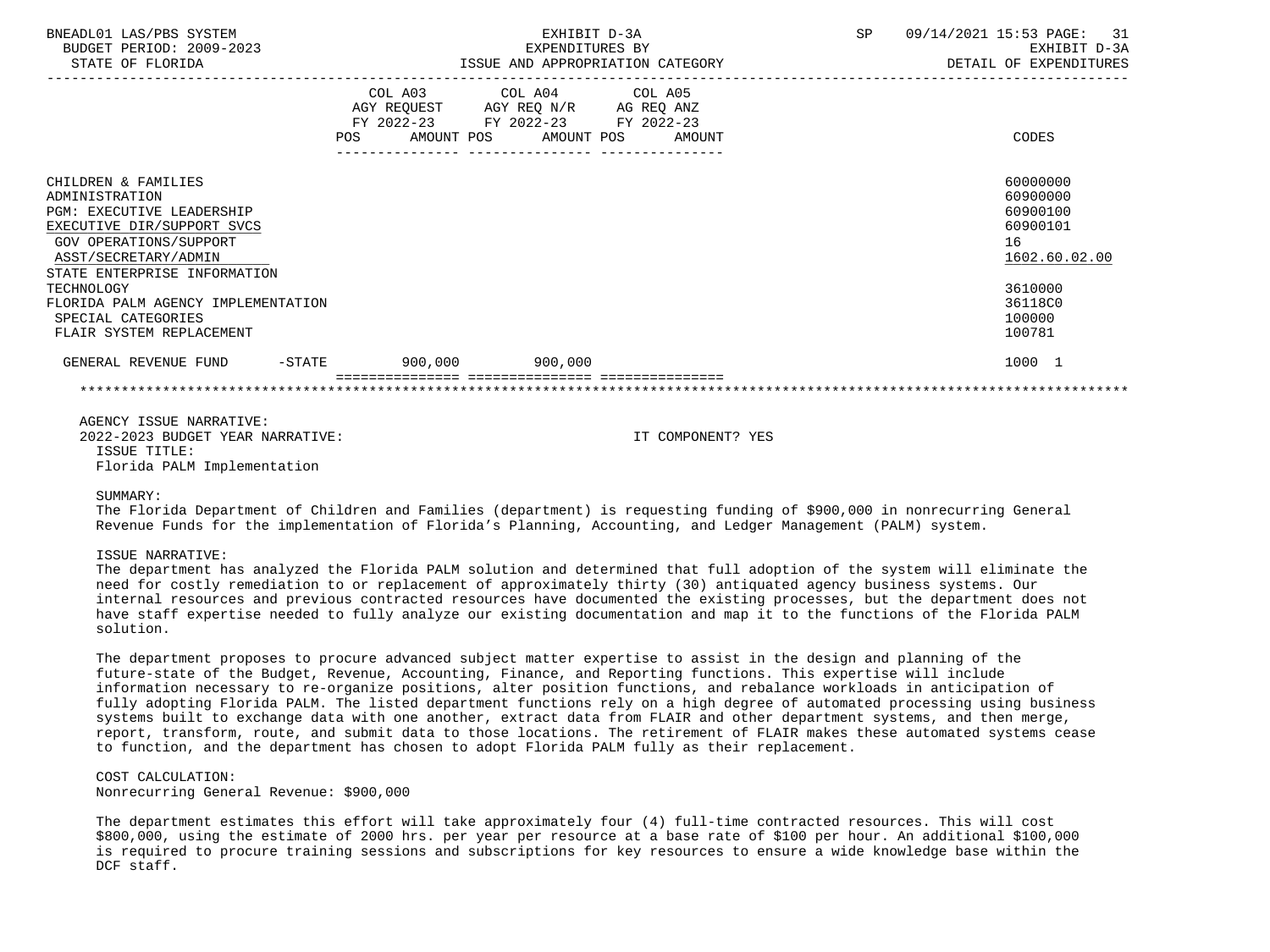| BNEADL01 LAS/PBS SYSTEM<br>BUDGET PERIOD: 2009-2023<br>STATE OF FLORIDA                                                                                                            |                          | EXHIBIT D-3A<br>EXPENDITURES BY<br>ISSUE AND APPROPRIATION CATEGORY                                                               | SP<br>09/14/2021 15:53 PAGE: 31<br>DETAIL OF EXPENDITURES           | EXHIBIT D-3A |
|------------------------------------------------------------------------------------------------------------------------------------------------------------------------------------|--------------------------|-----------------------------------------------------------------------------------------------------------------------------------|---------------------------------------------------------------------|--------------|
|                                                                                                                                                                                    | POS                      | COL A03 COL A04 COL A05<br>AGY REQUEST AGY REQ N/R AG REQ ANZ<br>FY 2022-23 FY 2022-23 FY 2022-23<br>AMOUNT POS AMOUNT POS AMOUNT | CODES                                                               |              |
| CHILDREN & FAMILIES<br>ADMINISTRATION<br>PGM: EXECUTIVE LEADERSHIP<br>EXECUTIVE DIR/SUPPORT SVCS<br>GOV OPERATIONS/SUPPORT<br>ASST/SECRETARY/ADMIN<br>STATE ENTERPRISE INFORMATION |                          |                                                                                                                                   | 60000000<br>60900000<br>60900100<br>60900101<br>16<br>1602.60.02.00 |              |
| TECHNOLOGY<br>FLORIDA PALM AGENCY IMPLEMENTATION<br>SPECIAL CATEGORIES<br>FLAIR SYSTEM REPLACEMENT                                                                                 |                          |                                                                                                                                   | 3610000<br>36118C0<br>100000<br>100781                              |              |
| GENERAL REVENUE FUND                                                                                                                                                               | $-STATE$ 900,000 900,000 |                                                                                                                                   | 1000 1                                                              |              |
|                                                                                                                                                                                    |                          |                                                                                                                                   |                                                                     |              |

 AGENCY ISSUE NARRATIVE: 2022-2023 BUDGET YEAR NARRATIVE: IT COMPONENT? YES ISSUE TITLE: Florida PALM Implementation

#### SIIMMARY:

 The Florida Department of Children and Families (department) is requesting funding of \$900,000 in nonrecurring General Revenue Funds for the implementation of Florida's Planning, Accounting, and Ledger Management (PALM) system.

#### ISSUE NARRATIVE:

 The department has analyzed the Florida PALM solution and determined that full adoption of the system will eliminate the need for costly remediation to or replacement of approximately thirty (30) antiquated agency business systems. Our internal resources and previous contracted resources have documented the existing processes, but the department does not have staff expertise needed to fully analyze our existing documentation and map it to the functions of the Florida PALM solution.

 The department proposes to procure advanced subject matter expertise to assist in the design and planning of the future-state of the Budget, Revenue, Accounting, Finance, and Reporting functions. This expertise will include information necessary to re-organize positions, alter position functions, and rebalance workloads in anticipation of fully adopting Florida PALM. The listed department functions rely on a high degree of automated processing using business systems built to exchange data with one another, extract data from FLAIR and other department systems, and then merge, report, transform, route, and submit data to those locations. The retirement of FLAIR makes these automated systems cease to function, and the department has chosen to adopt Florida PALM fully as their replacement.

### COST CALCULATION:

Nonrecurring General Revenue: \$900,000

 The department estimates this effort will take approximately four (4) full-time contracted resources. This will cost \$800,000, using the estimate of 2000 hrs. per year per resource at a base rate of \$100 per hour. An additional \$100,000 is required to procure training sessions and subscriptions for key resources to ensure a wide knowledge base within the DCF staff.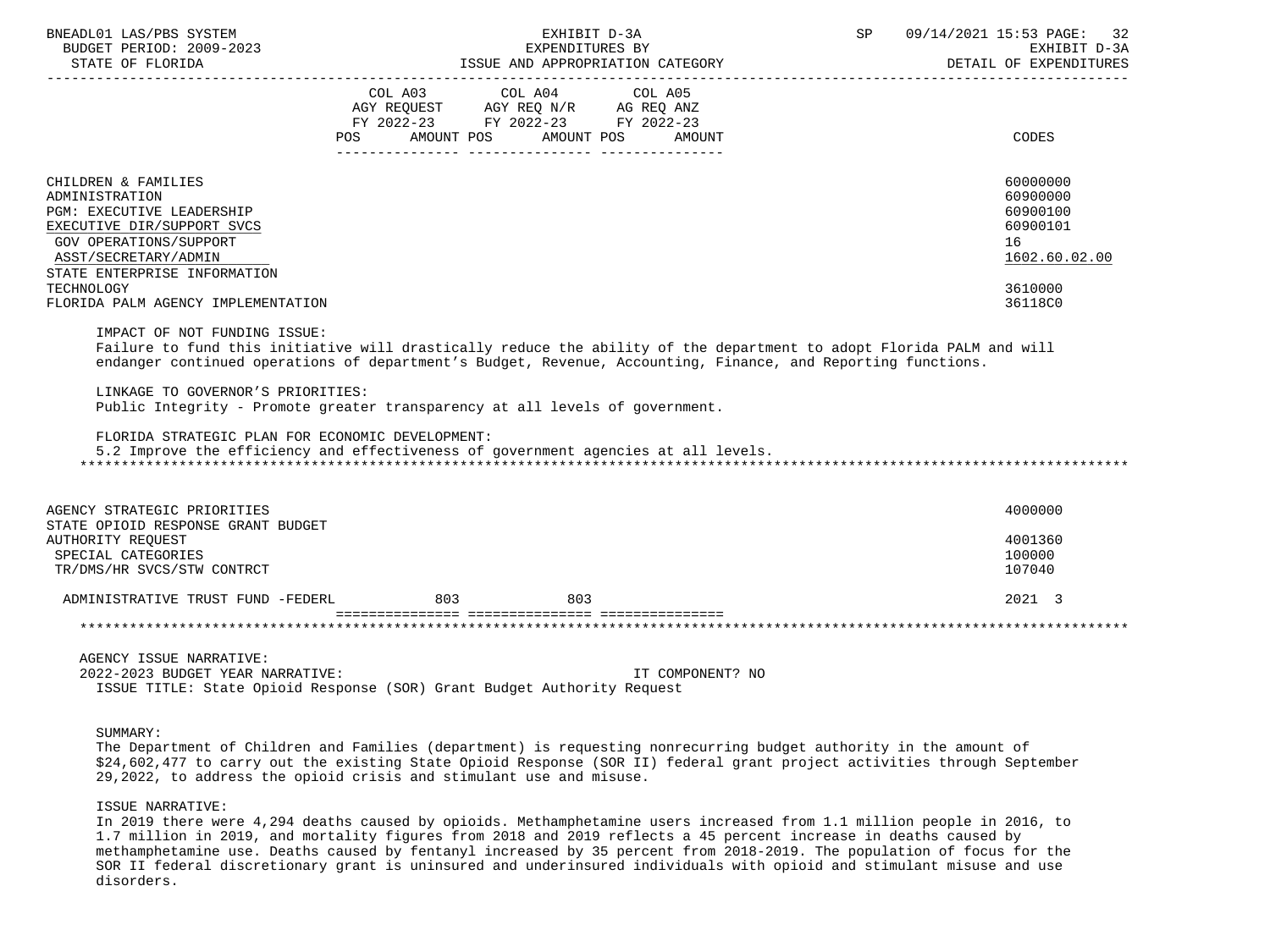| BNEADL01 LAS/PBS SYSTEM<br>BUDGET PERIOD: 2009-2023<br>STATE OF FLORIDA<br>_____________________________________                                                                                                                                     | EXHIBIT D-3A<br>EXPENDITURES BY<br>EXPENDITURES BI<br>ISSUE AND APPROPRIATION CATEGORY                                                                                                                                                                                                                                                                                                                     | 09/14/2021 15:53 PAGE:<br>SP | 32<br>EXHIBIT D-3A<br>DETAIL OF EXPENDITURES                                        |
|------------------------------------------------------------------------------------------------------------------------------------------------------------------------------------------------------------------------------------------------------|------------------------------------------------------------------------------------------------------------------------------------------------------------------------------------------------------------------------------------------------------------------------------------------------------------------------------------------------------------------------------------------------------------|------------------------------|-------------------------------------------------------------------------------------|
|                                                                                                                                                                                                                                                      | COL A03 COL A04 COL A05<br>$\begin{tabular}{lllllll} \bf AGY & \bf REQUEST & \bf AGY & \bf REQ & \bf N/R & \bf AG & \bf REQ & \bf ANZ \\ \end{tabular}$<br>FY 2022-23 FY 2022-23 FY 2022-23<br>POS AMOUNT POS AMOUNT POS AMOUNT                                                                                                                                                                            |                              | CODES                                                                               |
| CHILDREN & FAMILIES<br>ADMINISTRATION<br><b>PGM: EXECUTIVE LEADERSHIP</b><br>EXECUTIVE DIR/SUPPORT SVCS<br><b>GOV OPERATIONS/SUPPORT</b><br>ASST/SECRETARY/ADMIN<br>STATE ENTERPRISE INFORMATION<br>TECHNOLOGY<br>FLORIDA PALM AGENCY IMPLEMENTATION |                                                                                                                                                                                                                                                                                                                                                                                                            | 16                           | 60000000<br>60900000<br>60900100<br>60900101<br>1602.60.02.00<br>3610000<br>36118C0 |
| IMPACT OF NOT FUNDING ISSUE:<br>LINKAGE TO GOVERNOR'S PRIORITIES:<br>FLORIDA STRATEGIC PLAN FOR ECONOMIC DEVELOPMENT:                                                                                                                                | Failure to fund this initiative will drastically reduce the ability of the department to adopt Florida PALM and will<br>endanger continued operations of department's Budget, Revenue, Accounting, Finance, and Reporting functions.<br>Public Integrity - Promote greater transparency at all levels of government.<br>5.2 Improve the efficiency and effectiveness of government agencies at all levels. |                              |                                                                                     |
| AGENCY STRATEGIC PRIORITIES<br>STATE OPIOID RESPONSE GRANT BUDGET<br>AUTHORITY REQUEST<br>SPECIAL CATEGORIES<br>TR/DMS/HR SVCS/STW CONTRCT                                                                                                           |                                                                                                                                                                                                                                                                                                                                                                                                            |                              | 4000000<br>4001360<br>100000<br>107040                                              |
| ADMINISTRATIVE TRUST FUND -FEDERL                                                                                                                                                                                                                    | 803<br>803                                                                                                                                                                                                                                                                                                                                                                                                 |                              | 2021 3                                                                              |
|                                                                                                                                                                                                                                                      |                                                                                                                                                                                                                                                                                                                                                                                                            |                              |                                                                                     |
| AGENCY ISSUE NARRATIVE:<br>2022-2023 BUDGET YEAR NARRATIVE:                                                                                                                                                                                          | ISSUE TITLE: State Opioid Response (SOR) Grant Budget Authority Request                                                                                                                                                                                                                                                                                                                                    | IT COMPONENT? NO             |                                                                                     |
| SIJMMARY:                                                                                                                                                                                                                                            |                                                                                                                                                                                                                                                                                                                                                                                                            |                              |                                                                                     |

 The Department of Children and Families (department) is requesting nonrecurring budget authority in the amount of \$24,602,477 to carry out the existing State Opioid Response (SOR II) federal grant project activities through September 29,2022, to address the opioid crisis and stimulant use and misuse.

#### ISSUE NARRATIVE:

 In 2019 there were 4,294 deaths caused by opioids. Methamphetamine users increased from 1.1 million people in 2016, to 1.7 million in 2019, and mortality figures from 2018 and 2019 reflects a 45 percent increase in deaths caused by methamphetamine use. Deaths caused by fentanyl increased by 35 percent from 2018-2019. The population of focus for the SOR II federal discretionary grant is uninsured and underinsured individuals with opioid and stimulant misuse and use disorders.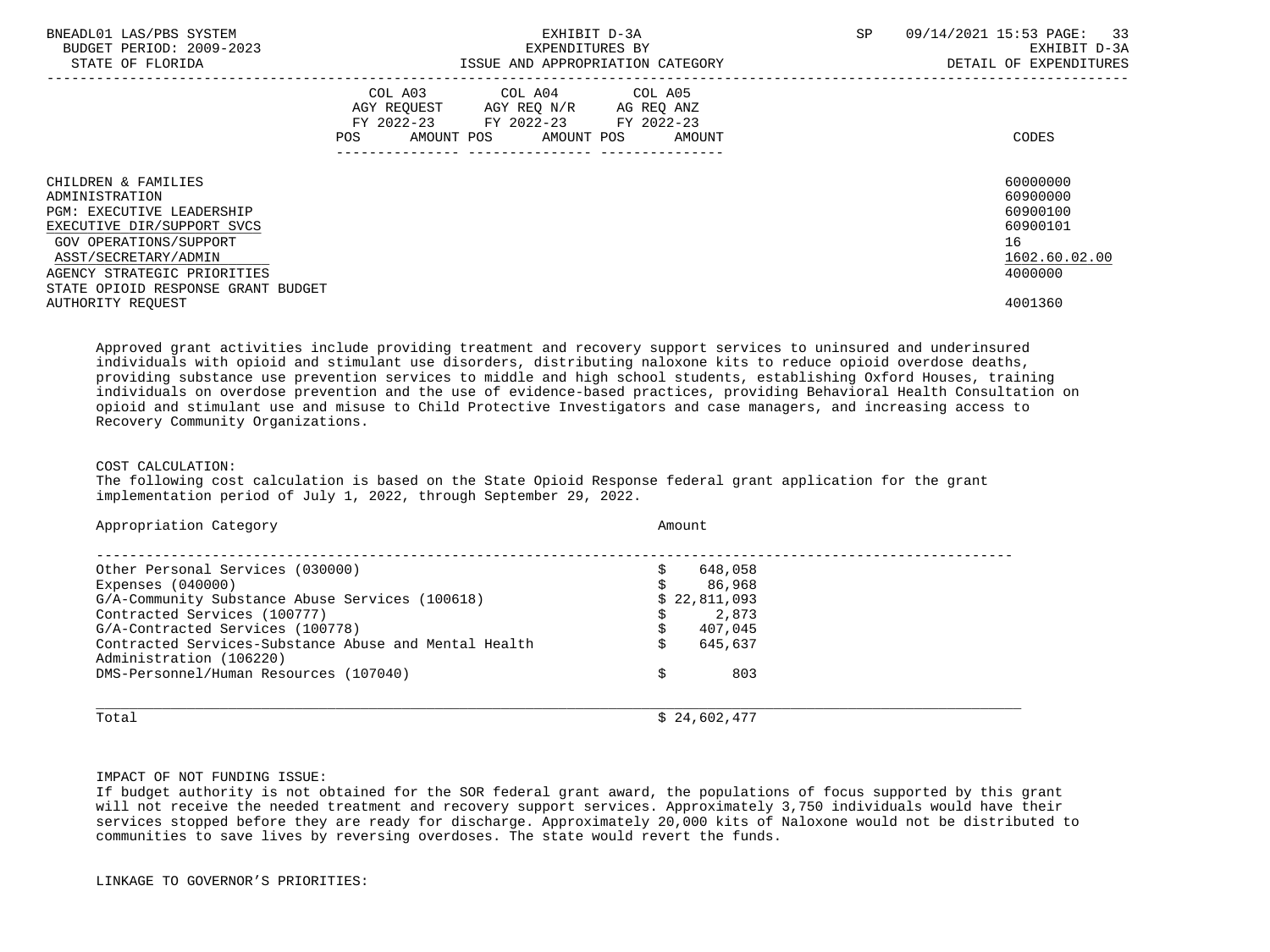| BNEADL01 LAS/PBS SYSTEM<br>BUDGET PERIOD: 2009-2023<br>STATE OF FLORIDA                   | EXHIBIT D-3A<br>EXPENDITURES BY<br>ISSUE AND APPROPRIATION CATEGORY                                                               | SP     | 33<br>09/14/2021 15:53 PAGE:<br>EXHIBIT D-3A<br>DETAIL OF EXPENDITURES |
|-------------------------------------------------------------------------------------------|-----------------------------------------------------------------------------------------------------------------------------------|--------|------------------------------------------------------------------------|
|                                                                                           | COL A03 COL A04 COL A05<br>AGY REQUEST AGY REQ N/R AG REQ ANZ<br>FY 2022-23 FY 2022-23 FY 2022-23<br>AMOUNT POS AMOUNT POS<br>POS | AMOUNT | CODES                                                                  |
| CHILDREN & FAMILIES<br>ADMINISTRATION                                                     |                                                                                                                                   |        | 60000000<br>60900000                                                   |
| <b>PGM: EXECUTIVE LEADERSHIP</b><br>EXECUTIVE DIR/SUPPORT SVCS<br>GOV OPERATIONS/SUPPORT  |                                                                                                                                   |        | 60900100<br>60900101<br>16                                             |
| ASST/SECRETARY/ADMIN<br>AGENCY STRATEGIC PRIORITIES<br>STATE OPIOID RESPONSE GRANT BUDGET |                                                                                                                                   |        | 1602.60.02.00<br>4000000                                               |
| AUTHORITY REOUEST                                                                         |                                                                                                                                   |        | 4001360                                                                |

 Approved grant activities include providing treatment and recovery support services to uninsured and underinsured individuals with opioid and stimulant use disorders, distributing naloxone kits to reduce opioid overdose deaths, providing substance use prevention services to middle and high school students, establishing Oxford Houses, training individuals on overdose prevention and the use of evidence-based practices, providing Behavioral Health Consultation on opioid and stimulant use and misuse to Child Protective Investigators and case managers, and increasing access to Recovery Community Organizations.

### COST CALCULATION:

 The following cost calculation is based on the State Opioid Response federal grant application for the grant implementation period of July 1, 2022, through September 29, 2022.

| Other Personal Services (030000)                                                 | 648,058      |
|----------------------------------------------------------------------------------|--------------|
| Expenses $(040000)$                                                              | 86,968       |
| G/A-Community Substance Abuse Services (100618)                                  | \$22,811,093 |
| Contracted Services (100777)                                                     | 2,873        |
| G/A-Contracted Services (100778)                                                 | 407,045      |
| Contracted Services-Substance Abuse and Mental Health<br>Administration (106220) | 645,637      |
| DMS-Personnel/Human Resources (107040)                                           | 803          |

IMPACT OF NOT FUNDING ISSUE:

 If budget authority is not obtained for the SOR federal grant award, the populations of focus supported by this grant will not receive the needed treatment and recovery support services. Approximately 3,750 individuals would have their services stopped before they are ready for discharge. Approximately 20,000 kits of Naloxone would not be distributed to communities to save lives by reversing overdoses. The state would revert the funds.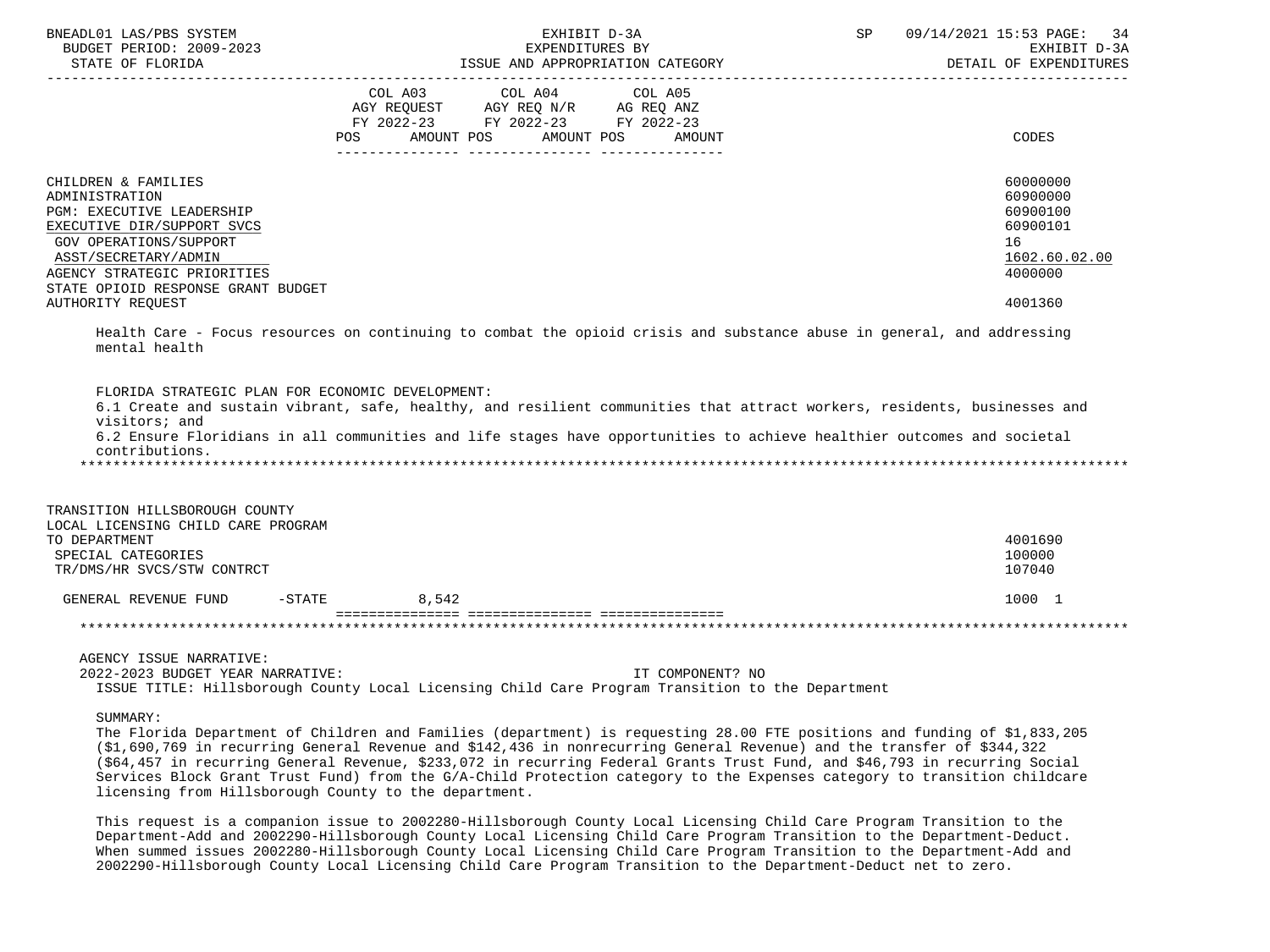| BNEADL01 LAS/PBS SYSTEM<br>BUDGET PERIOD: 2009-2023<br>STATE OF FLORIDA                                                                                                                                                                                                                                                                                                                                                                                                                                                                                                                   |                                                                                                    | EXHIBIT D-3A<br>EXPENDITURES BY<br>ISSUE AND APPROPRIATION CATEGORY |                  | SP | 09/14/2021 15:53 PAGE:<br>34<br>EXHIBIT D-3A<br>DETAIL OF EXPENDITURES                    |
|-------------------------------------------------------------------------------------------------------------------------------------------------------------------------------------------------------------------------------------------------------------------------------------------------------------------------------------------------------------------------------------------------------------------------------------------------------------------------------------------------------------------------------------------------------------------------------------------|----------------------------------------------------------------------------------------------------|---------------------------------------------------------------------|------------------|----|-------------------------------------------------------------------------------------------|
|                                                                                                                                                                                                                                                                                                                                                                                                                                                                                                                                                                                           | AGY REQUEST AGY REQ N/R AG REQ ANZ<br>FY 2022-23 FY 2022-23 FY 2022-23<br>AMOUNT POS<br><b>POS</b> | COL A03 COL A04 COL A05<br>AMOUNT POS                               | AMOUNT           |    | CODES                                                                                     |
| CHILDREN & FAMILIES<br>ADMINISTRATION<br><b>PGM: EXECUTIVE LEADERSHIP</b><br>EXECUTIVE DIR/SUPPORT SVCS<br>GOV OPERATIONS/SUPPORT<br>ASST/SECRETARY/ADMIN<br>AGENCY STRATEGIC PRIORITIES<br>STATE OPIOID RESPONSE GRANT BUDGET<br><b>AUTHORITY REQUEST</b>                                                                                                                                                                                                                                                                                                                                |                                                                                                    |                                                                     |                  |    | 60000000<br>60900000<br>60900100<br>60900101<br>16<br>1602.60.02.00<br>4000000<br>4001360 |
| Health Care - Focus resources on continuing to combat the opioid crisis and substance abuse in general, and addressing<br>mental health                                                                                                                                                                                                                                                                                                                                                                                                                                                   |                                                                                                    |                                                                     |                  |    |                                                                                           |
| FLORIDA STRATEGIC PLAN FOR ECONOMIC DEVELOPMENT:<br>6.1 Create and sustain vibrant, safe, healthy, and resilient communities that attract workers, residents, businesses and<br>visitors; and<br>6.2 Ensure Floridians in all communities and life stages have opportunities to achieve healthier outcomes and societal<br>contributions.                                                                                                                                                                                                                                                 |                                                                                                    |                                                                     |                  |    |                                                                                           |
| TRANSITION HILLSBOROUGH COUNTY<br>LOCAL LICENSING CHILD CARE PROGRAM<br>TO DEPARTMENT<br>SPECIAL CATEGORIES<br>TR/DMS/HR SVCS/STW CONTRCT                                                                                                                                                                                                                                                                                                                                                                                                                                                 |                                                                                                    |                                                                     |                  |    | 4001690<br>100000<br>107040                                                               |
| GENERAL REVENUE FUND                                                                                                                                                                                                                                                                                                                                                                                                                                                                                                                                                                      | $-$ STATE 8,542                                                                                    |                                                                     |                  |    | 1000 1                                                                                    |
|                                                                                                                                                                                                                                                                                                                                                                                                                                                                                                                                                                                           |                                                                                                    |                                                                     |                  |    |                                                                                           |
| AGENCY ISSUE NARRATIVE:<br>2022-2023 BUDGET YEAR NARRATIVE:<br>ISSUE TITLE: Hillsborough County Local Licensing Child Care Program Transition to the Department                                                                                                                                                                                                                                                                                                                                                                                                                           |                                                                                                    |                                                                     | IT COMPONENT? NO |    |                                                                                           |
| SUMMARY:<br>The Florida Department of Children and Families (department) is requesting 28.00 FTE positions and funding of \$1,833,205<br>$(\$1,690,769)$ in recurring General Revenue and $\$142,436$ in nonrecurring General Revenue) and the transfer of $\$344,322$<br>(\$64,457 in recurring General Revenue, \$233,072 in recurring Federal Grants Trust Fund, and \$46,793 in recurring Social<br>Services Block Grant Trust Fund) from the G/A-Child Protection category to the Expenses category to transition childcare<br>licensing from Hillsborough County to the department. |                                                                                                    |                                                                     |                  |    |                                                                                           |

 This request is a companion issue to 2002280-Hillsborough County Local Licensing Child Care Program Transition to the Department-Add and 2002290-Hillsborough County Local Licensing Child Care Program Transition to the Department-Deduct. When summed issues 2002280-Hillsborough County Local Licensing Child Care Program Transition to the Department-Add and 2002290-Hillsborough County Local Licensing Child Care Program Transition to the Department-Deduct net to zero.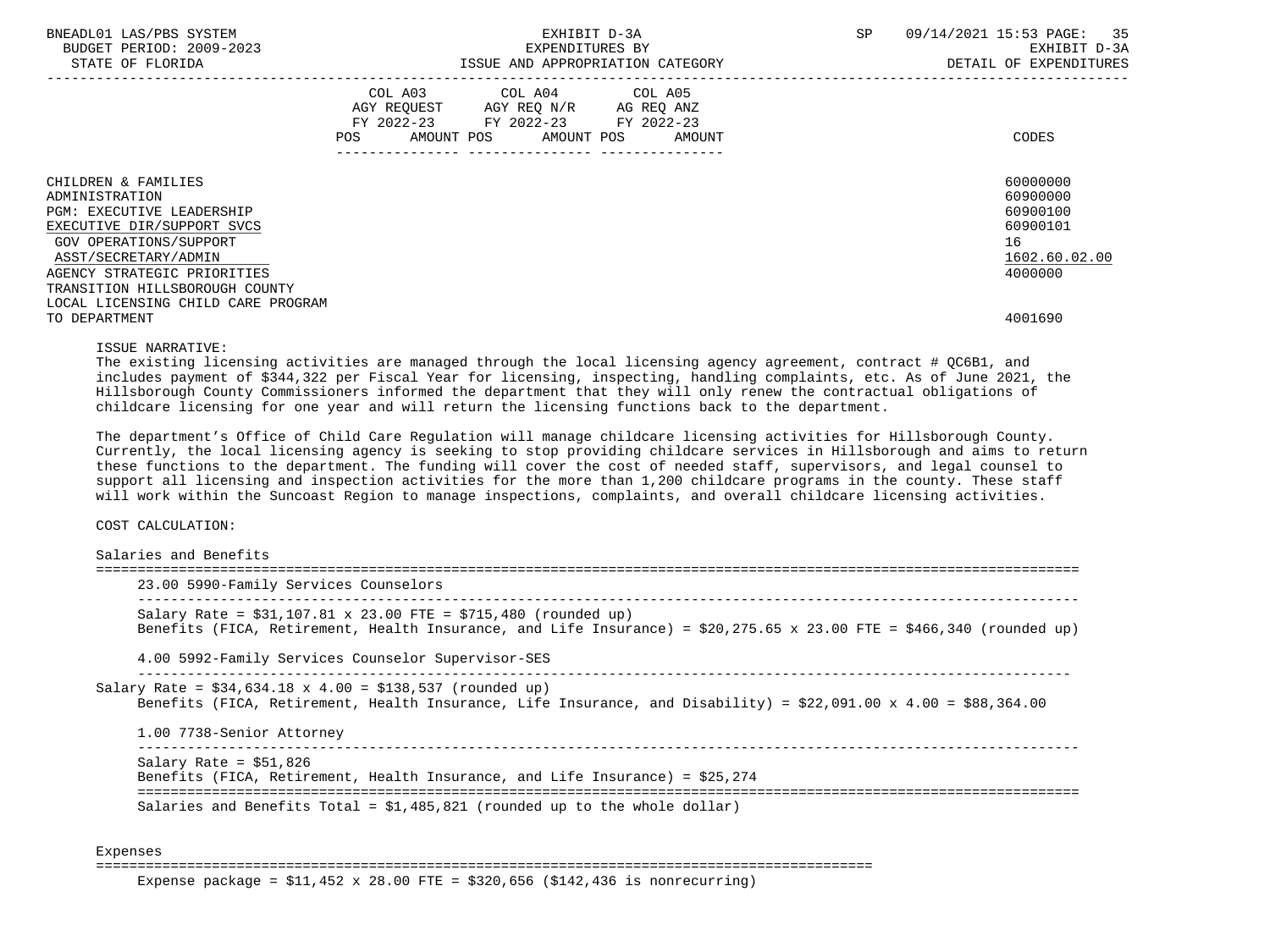| BNEADL01 LAS/PBS SYSTEM<br>BUDGET PERIOD: 2009-2023<br>STATE OF FLORIDA | EXHIBIT D-3A<br>EXPENDITURES BY<br>ISSUE AND APPROPRIATION CATEGORY                                     | 09/14/2021 15:53 PAGE: 35<br>SP<br>EXHIBIT D-3A<br>DETAIL OF EXPENDITURES |
|-------------------------------------------------------------------------|---------------------------------------------------------------------------------------------------------|---------------------------------------------------------------------------|
|                                                                         | COL A03<br>COL A04 COL A05<br>AGY REQUEST AGY REQ N/R AG REQ ANZ<br>FY 2022-23 FY 2022-23<br>FY 2022-23 |                                                                           |
|                                                                         | POS<br>AMOUNT POS AMOUNT POS<br>AMOUNT                                                                  | CODES                                                                     |
| CHILDREN & FAMILIES                                                     |                                                                                                         | 60000000                                                                  |
| ADMINISTRATION                                                          |                                                                                                         | 60900000                                                                  |
| <b>PGM: EXECUTIVE LEADERSHIP</b>                                        |                                                                                                         | 60900100                                                                  |
| EXECUTIVE DIR/SUPPORT SVCS                                              |                                                                                                         | 60900101                                                                  |
| GOV OPERATIONS/SUPPORT                                                  |                                                                                                         | 16                                                                        |
| ASST/SECRETARY/ADMIN                                                    |                                                                                                         | 1602.60.02.00                                                             |
| AGENCY STRATEGIC PRIORITIES                                             |                                                                                                         | 4000000                                                                   |
| TRANSITION HILLSBOROUGH COUNTY                                          |                                                                                                         |                                                                           |
| LOCAL LICENSING CHILD CARE PROGRAM                                      |                                                                                                         |                                                                           |
| TO DEPARTMENT                                                           |                                                                                                         | 4001690                                                                   |

#### ISSUE NARRATIVE:

The existing licensing activities are managed through the local licensing agency agreement, contract # QC6B1, and includes payment of \$344,322 per Fiscal Year for licensing, inspecting, handling complaints, etc. As of June 2021, the Hillsborough County Commissioners informed the department that they will only renew the contractual obligations of childcare licensing for one year and will return the licensing functions back to the department.

 The department's Office of Child Care Regulation will manage childcare licensing activities for Hillsborough County. Currently, the local licensing agency is seeking to stop providing childcare services in Hillsborough and aims to return these functions to the department. The funding will cover the cost of needed staff, supervisors, and legal counsel to support all licensing and inspection activities for the more than 1,200 childcare programs in the county. These staff will work within the Suncoast Region to manage inspections, complaints, and overall childcare licensing activities.

COST CALCULATION:

| 23.00 5990-Family Services Counselors                                                                                                                                                         |
|-----------------------------------------------------------------------------------------------------------------------------------------------------------------------------------------------|
| Salary Rate = $$31,107.81 \times 23.00$ FTE = $$715,480$ (rounded up)<br>Benefits (FICA, Retirement, Health Insurance, and Life Insurance) = \$20,275.65 x 23.00 FTE = \$466,340 (rounded up) |
| 4.00 5992-Family Services Counselor Supervisor-SES                                                                                                                                            |
|                                                                                                                                                                                               |
| Salary Rate = $$34,634.18 \times 4.00 = $138,537$ (rounded up)<br>Benefits (FICA, Retirement, Health Insurance, Life Insurance, and Disability) = \$22,091.00 x 4.00 = \$88,364.00            |
| 1.00 7738-Senior Attorney                                                                                                                                                                     |
| Salary Rate = $$51,826$<br>Benefits (FICA, Retirement, Health Insurance, and Life Insurance) = \$25,274                                                                                       |

Expenses

==============================================================================================

Expense package =  $$11,452 \times 28.00$  FTE =  $$320,656$  ( $$142,436$  is nonrecurring)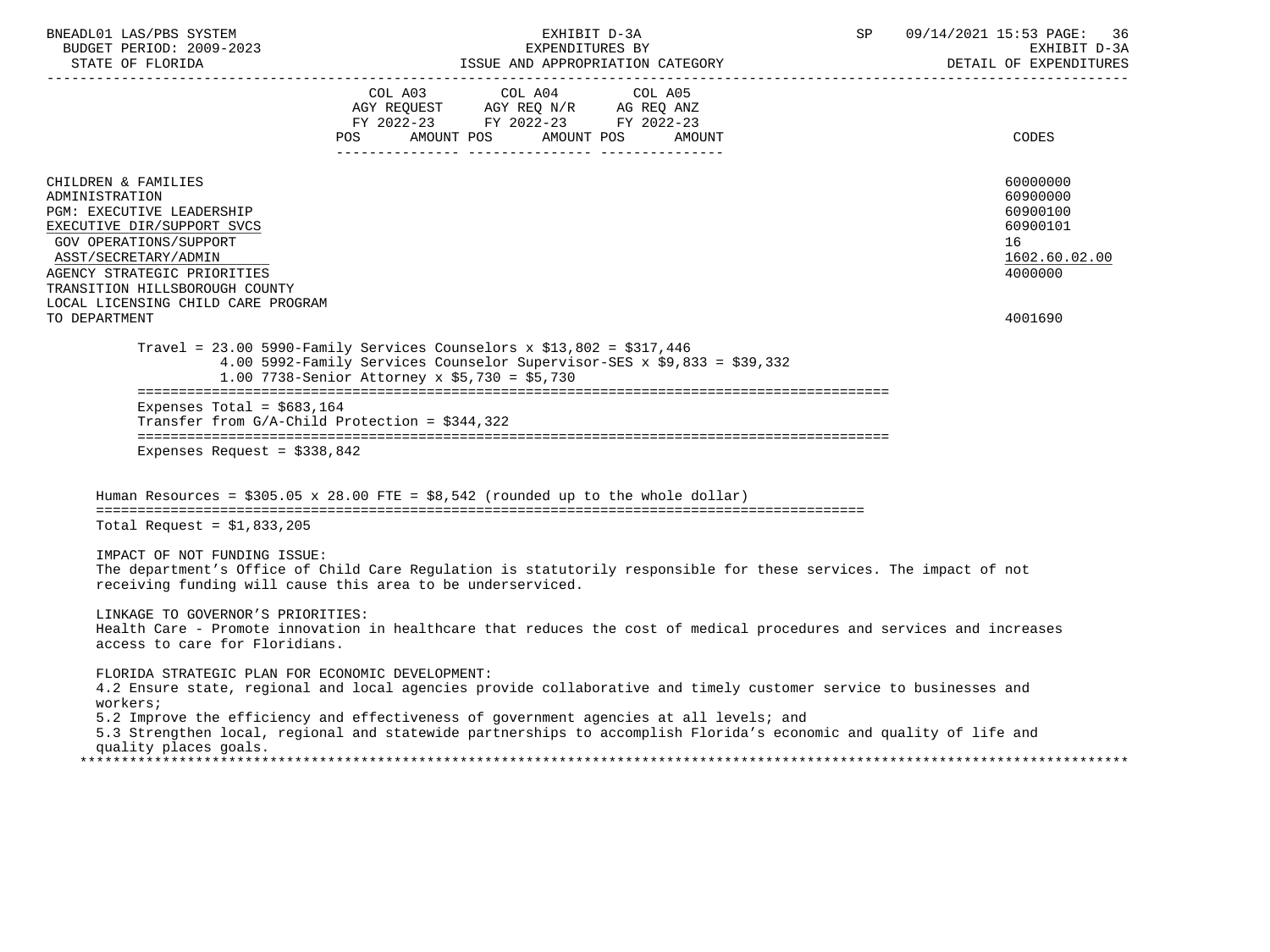| BNEADL01 LAS/PBS SYSTEM<br>BUDGET PERIOD: 2009-2023<br>STATE OF FLORIDA<br>---------------------                                                                                                                                                          | EXHIBIT D-3A<br>EXPENDITURES BY<br>ISSUE AND APPROPRIATION CATEGORY                                                                                                                                                                                                                                                               | 09/14/2021 15:53 PAGE:<br>SP<br>36<br>EXHIBIT D-3A<br>DETAIL OF EXPENDITURES   |
|-----------------------------------------------------------------------------------------------------------------------------------------------------------------------------------------------------------------------------------------------------------|-----------------------------------------------------------------------------------------------------------------------------------------------------------------------------------------------------------------------------------------------------------------------------------------------------------------------------------|--------------------------------------------------------------------------------|
|                                                                                                                                                                                                                                                           | COL A03 COL A04 COL A05<br>AGY REQUEST AGY REQ N/R AG REQ ANZ<br>FY 2022-23 FY 2022-23 FY 2022-23<br>AMOUNT POS<br>AMOUNT POS<br>POS<br>AMOUNT                                                                                                                                                                                    | CODES                                                                          |
| CHILDREN & FAMILIES<br>ADMINISTRATION<br>PGM: EXECUTIVE LEADERSHIP<br>EXECUTIVE DIR/SUPPORT SVCS<br>GOV OPERATIONS/SUPPORT<br>ASST/SECRETARY/ADMIN<br>AGENCY STRATEGIC PRIORITIES<br>TRANSITION HILLSBOROUGH COUNTY<br>LOCAL LICENSING CHILD CARE PROGRAM |                                                                                                                                                                                                                                                                                                                                   | 60000000<br>60900000<br>60900100<br>60900101<br>16<br>1602.60.02.00<br>4000000 |
| TO DEPARTMENT                                                                                                                                                                                                                                             | Travel = $23.00$ 5990-Family Services Counselors x \$13,802 = \$317,446                                                                                                                                                                                                                                                           | 4001690                                                                        |
|                                                                                                                                                                                                                                                           | 4.00 5992-Family Services Counselor Supervisor-SES x \$9,833 = \$39,332<br>1.00 7738-Senior Attorney x \$5,730 = \$5,730                                                                                                                                                                                                          |                                                                                |
| Expenses Total = $$683,164$                                                                                                                                                                                                                               | Transfer from $G/A$ -Child Protection = \$344,322                                                                                                                                                                                                                                                                                 |                                                                                |
| Expenses Request = $$338,842$                                                                                                                                                                                                                             |                                                                                                                                                                                                                                                                                                                                   |                                                                                |
|                                                                                                                                                                                                                                                           | Human Resources = $$305.05 \times 28.00$ FTE = $$8.542$ (rounded up to the whole dollar)                                                                                                                                                                                                                                          |                                                                                |
| Total Request = $$1,833,205$                                                                                                                                                                                                                              |                                                                                                                                                                                                                                                                                                                                   |                                                                                |
| IMPACT OF NOT FUNDING ISSUE:                                                                                                                                                                                                                              | The department's Office of Child Care Regulation is statutorily responsible for these services. The impact of not<br>receiving funding will cause this area to be underserviced.                                                                                                                                                  |                                                                                |
| LINKAGE TO GOVERNOR'S PRIORITIES:<br>access to care for Floridians.                                                                                                                                                                                       | Health Care - Promote innovation in healthcare that reduces the cost of medical procedures and services and increases                                                                                                                                                                                                             |                                                                                |
| FLORIDA STRATEGIC PLAN FOR ECONOMIC DEVELOPMENT:<br>workers;<br>quality places goals.                                                                                                                                                                     | 4.2 Ensure state, regional and local agencies provide collaborative and timely customer service to businesses and<br>5.2 Improve the efficiency and effectiveness of government agencies at all levels; and<br>5.3 Strengthen local, regional and statewide partnerships to accomplish Florida's economic and quality of life and |                                                                                |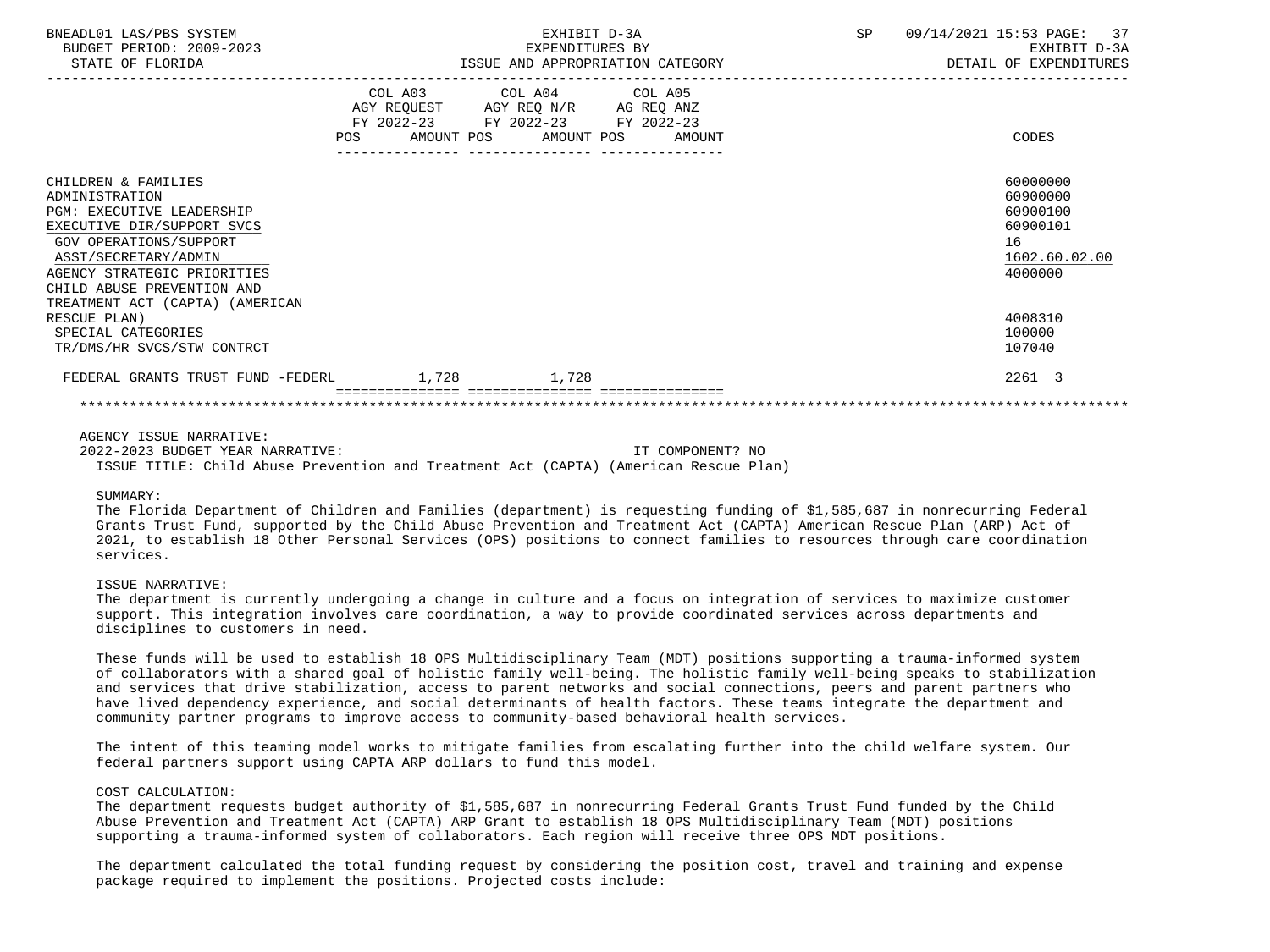| BNEADL01 LAS/PBS SYSTEM<br>BUDGET PERIOD: 2009-2023<br>STATE OF FLORIDA                                                                                                                                                                                   |                           | EXHIBIT D-3A<br>EXPENDITURES BY<br>ISSUE AND APPROPRIATION CATEGORY                               |        | SP | 09/14/2021 15:53 PAGE:<br>37<br>EXHIBIT D-3A<br>DETAIL OF EXPENDITURES         |
|-----------------------------------------------------------------------------------------------------------------------------------------------------------------------------------------------------------------------------------------------------------|---------------------------|---------------------------------------------------------------------------------------------------|--------|----|--------------------------------------------------------------------------------|
|                                                                                                                                                                                                                                                           | POS AMOUNT POS AMOUNT POS | COL A03 COL A04 COL A05<br>AGY REQUEST AGY REQ N/R AG REQ ANZ<br>FY 2022-23 FY 2022-23 FY 2022-23 | AMOUNT |    | CODES                                                                          |
| CHILDREN & FAMILIES<br>ADMINISTRATION<br><b>PGM: EXECUTIVE LEADERSHIP</b><br>EXECUTIVE DIR/SUPPORT SVCS<br>GOV OPERATIONS/SUPPORT<br>ASST/SECRETARY/ADMIN<br>AGENCY STRATEGIC PRIORITIES<br>CHILD ABUSE PREVENTION AND<br>TREATMENT ACT (CAPTA) (AMERICAN |                           |                                                                                                   |        |    | 60000000<br>60900000<br>60900100<br>60900101<br>16<br>1602.60.02.00<br>4000000 |
| RESCUE PLAN)<br>SPECIAL CATEGORIES<br>TR/DMS/HR SVCS/STW CONTRCT                                                                                                                                                                                          |                           |                                                                                                   |        |    | 4008310<br>100000<br>107040                                                    |
| FEDERAL GRANTS TRUST FUND -FEDERL 1,728                                                                                                                                                                                                                   |                           | 1,728                                                                                             |        |    | 2261 3                                                                         |
|                                                                                                                                                                                                                                                           |                           |                                                                                                   |        |    |                                                                                |

#### AGENCY ISSUE NARRATIVE:

 2022-2023 BUDGET YEAR NARRATIVE: IT COMPONENT? NO ISSUE TITLE: Child Abuse Prevention and Treatment Act (CAPTA) (American Rescue Plan)

#### SUMMARY:

 The Florida Department of Children and Families (department) is requesting funding of \$1,585,687 in nonrecurring Federal Grants Trust Fund, supported by the Child Abuse Prevention and Treatment Act (CAPTA) American Rescue Plan (ARP) Act of 2021, to establish 18 Other Personal Services (OPS) positions to connect families to resources through care coordination services.

#### ISSUE NARRATIVE:

 The department is currently undergoing a change in culture and a focus on integration of services to maximize customer support. This integration involves care coordination, a way to provide coordinated services across departments and disciplines to customers in need.

 These funds will be used to establish 18 OPS Multidisciplinary Team (MDT) positions supporting a trauma-informed system of collaborators with a shared goal of holistic family well-being. The holistic family well-being speaks to stabilization and services that drive stabilization, access to parent networks and social connections, peers and parent partners who have lived dependency experience, and social determinants of health factors. These teams integrate the department and community partner programs to improve access to community-based behavioral health services.

 The intent of this teaming model works to mitigate families from escalating further into the child welfare system. Our federal partners support using CAPTA ARP dollars to fund this model.

#### COST CALCULATION:

 The department requests budget authority of \$1,585,687 in nonrecurring Federal Grants Trust Fund funded by the Child Abuse Prevention and Treatment Act (CAPTA) ARP Grant to establish 18 OPS Multidisciplinary Team (MDT) positions supporting a trauma-informed system of collaborators. Each region will receive three OPS MDT positions.

 The department calculated the total funding request by considering the position cost, travel and training and expense package required to implement the positions. Projected costs include: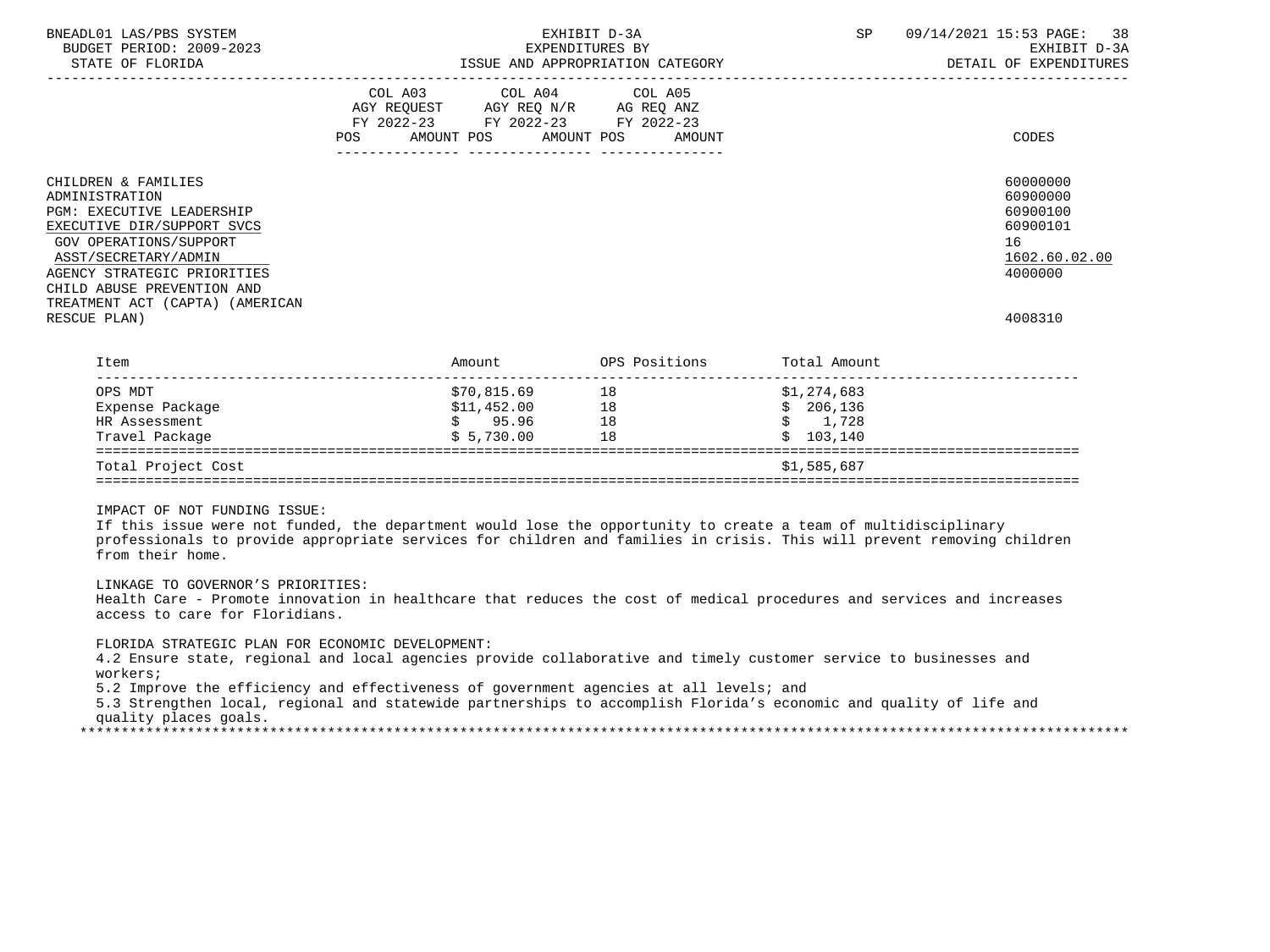| BNEADL01 LAS/PBS SYSTEM<br>BUDGET PERIOD: 2009-2023<br>STATE OF FLORIDA                                                                                                                                                | EXHIBIT D-3A<br>EXPENDITURES BY<br>ISSUE AND APPROPRIATION CATEGORY                                                                      | SP<br>38<br>09/14/2021 15:53 PAGE:<br>EXHIBIT D-3A<br>DETAIL OF EXPENDITURES   |
|------------------------------------------------------------------------------------------------------------------------------------------------------------------------------------------------------------------------|------------------------------------------------------------------------------------------------------------------------------------------|--------------------------------------------------------------------------------|
|                                                                                                                                                                                                                        | COL A03 COL A04 COL A05<br>AGY REQUEST AGY REQ N/R AG REQ ANZ<br>FY 2022-23 FY 2022-23 FY 2022-23<br>POS<br>AMOUNT POS AMOUNT POS AMOUNT | CODES                                                                          |
| CHILDREN & FAMILIES<br>ADMINISTRATION<br><b>PGM: EXECUTIVE LEADERSHIP</b><br>EXECUTIVE DIR/SUPPORT SVCS<br>GOV OPERATIONS/SUPPORT<br>ASST/SECRETARY/ADMIN<br>AGENCY STRATEGIC PRIORITIES<br>CHILD ABUSE PREVENTION AND |                                                                                                                                          | 60000000<br>60900000<br>60900100<br>60900101<br>16<br>1602.60.02.00<br>4000000 |
| TREATMENT ACT (CAPTA) (AMERICAN<br>RESCUE PLAN)                                                                                                                                                                        |                                                                                                                                          | 4008310                                                                        |

| Item               | Amount      | OPS Positions | Total Amount  |  |
|--------------------|-------------|---------------|---------------|--|
| OPS MDT            | \$70,815.69 | 18            | \$1,274,683   |  |
| Expense Package    | \$11,452.00 | 18            | 206,136<br>S. |  |
| HR Assessment      | 95.96       | 18            | 1,728         |  |
| Travel Package     | \$5,730.00  | 18            | 103,140       |  |
| Total Project Cost |             |               | \$1,585,687   |  |

 If this issue were not funded, the department would lose the opportunity to create a team of multidisciplinary professionals to provide appropriate services for children and families in crisis. This will prevent removing children from their home.

# LINKAGE TO GOVERNOR'S PRIORITIES:

 Health Care - Promote innovation in healthcare that reduces the cost of medical procedures and services and increases access to care for Floridians.

#### FLORIDA STRATEGIC PLAN FOR ECONOMIC DEVELOPMENT:

 4.2 Ensure state, regional and local agencies provide collaborative and timely customer service to businesses and workers;

5.2 Improve the efficiency and effectiveness of government agencies at all levels; and

 5.3 Strengthen local, regional and statewide partnerships to accomplish Florida's economic and quality of life and quality places goals.

\*\*\*\*\*\*\*\*\*\*\*\*\*\*\*\*\*\*\*\*\*\*\*\*\*\*\*\*\*\*\*\*\*\*\*\*\*\*\*\*\*\*\*\*\*\*\*\*\*\*\*\*\*\*\*\*\*\*\*\*\*\*\*\*\*\*\*\*\*\*\*\*\*\*\*\*\*\*\*\*\*\*\*\*\*\*\*\*\*\*\*\*\*\*\*\*\*\*\*\*\*\*\*\*\*\*\*\*\*\*\*\*\*\*\*\*\*\*\*\*\*\*\*\*\*\*\*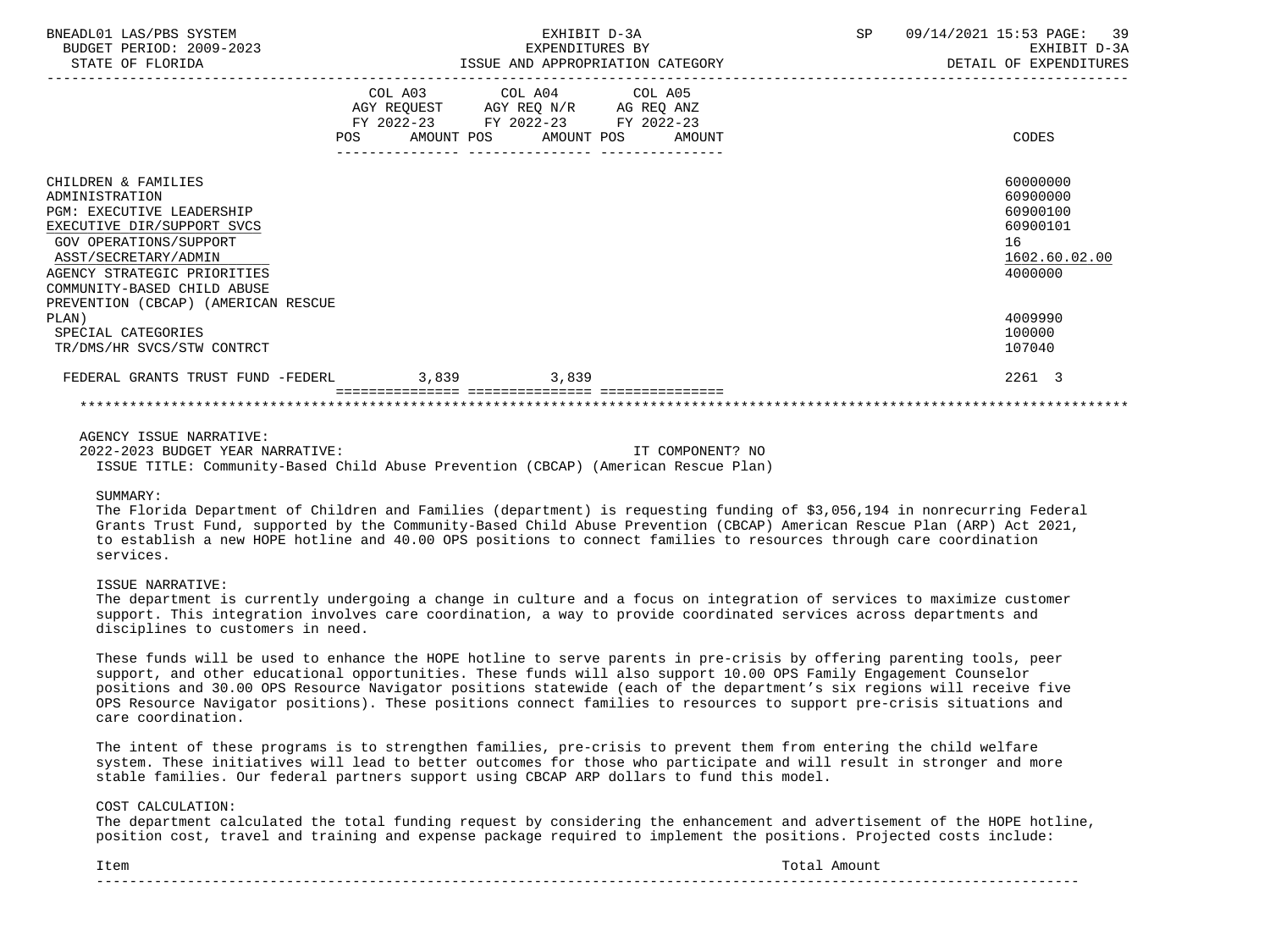| BNEADL01 LAS/PBS SYSTEM<br>BUDGET PERIOD: 2009-2023<br>STATE OF FLORIDA                                                                                                                                                                                 |            | EXHIBIT D-3A<br>EXPENDITURES BY<br>ISSUE AND APPROPRIATION CATEGORY                                                        |        | SP | 09/14/2021 15:53 PAGE:<br>39<br>EXHIBIT D-3A<br>DETAIL OF EXPENDITURES         |
|---------------------------------------------------------------------------------------------------------------------------------------------------------------------------------------------------------------------------------------------------------|------------|----------------------------------------------------------------------------------------------------------------------------|--------|----|--------------------------------------------------------------------------------|
|                                                                                                                                                                                                                                                         | <b>POS</b> | COL A03 COL A04 COL A05<br>AGY REQUEST AGY REQ N/R AG REQ ANZ<br>FY 2022-23 FY 2022-23 FY 2022-23<br>AMOUNT POS AMOUNT POS | AMOUNT |    | CODES                                                                          |
| CHILDREN & FAMILIES<br>ADMINISTRATION<br>PGM: EXECUTIVE LEADERSHIP<br>EXECUTIVE DIR/SUPPORT SVCS<br>GOV OPERATIONS/SUPPORT<br>ASST/SECRETARY/ADMIN<br>AGENCY STRATEGIC PRIORITIES<br>COMMUNITY-BASED CHILD ABUSE<br>PREVENTION (CBCAP) (AMERICAN RESCUE |            |                                                                                                                            |        |    | 60000000<br>60900000<br>60900100<br>60900101<br>16<br>1602.60.02.00<br>4000000 |
| PLAN)<br>SPECIAL CATEGORIES<br>TR/DMS/HR SVCS/STW CONTRCT                                                                                                                                                                                               |            |                                                                                                                            |        |    | 4009990<br>100000<br>107040                                                    |
| FEDERAL GRANTS TRUST FUND -FEDERL                                                                                                                                                                                                                       | 3.839      | 3,839                                                                                                                      |        |    | 2261 3                                                                         |
|                                                                                                                                                                                                                                                         |            |                                                                                                                            |        |    |                                                                                |

AGENCY ISSUE NARRATIVE:

 2022-2023 BUDGET YEAR NARRATIVE: IT COMPONENT? NO ISSUE TITLE: Community-Based Child Abuse Prevention (CBCAP) (American Rescue Plan)

#### SIIMMARY:

 The Florida Department of Children and Families (department) is requesting funding of \$3,056,194 in nonrecurring Federal Grants Trust Fund, supported by the Community-Based Child Abuse Prevention (CBCAP) American Rescue Plan (ARP) Act 2021, to establish a new HOPE hotline and 40.00 OPS positions to connect families to resources through care coordination services.

### ISSUE NARRATIVE:

 The department is currently undergoing a change in culture and a focus on integration of services to maximize customer support. This integration involves care coordination, a way to provide coordinated services across departments and disciplines to customers in need.

 These funds will be used to enhance the HOPE hotline to serve parents in pre-crisis by offering parenting tools, peer support, and other educational opportunities. These funds will also support 10.00 OPS Family Engagement Counselor positions and 30.00 OPS Resource Navigator positions statewide (each of the department's six regions will receive five OPS Resource Navigator positions). These positions connect families to resources to support pre-crisis situations and care coordination.

 The intent of these programs is to strengthen families, pre-crisis to prevent them from entering the child welfare system. These initiatives will lead to better outcomes for those who participate and will result in stronger and more stable families. Our federal partners support using CBCAP ARP dollars to fund this model.

#### COST CALCULATION:

 The department calculated the total funding request by considering the enhancement and advertisement of the HOPE hotline, position cost, travel and training and expense package required to implement the positions. Projected costs include:

 Item Total Amount -----------------------------------------------------------------------------------------------------------------------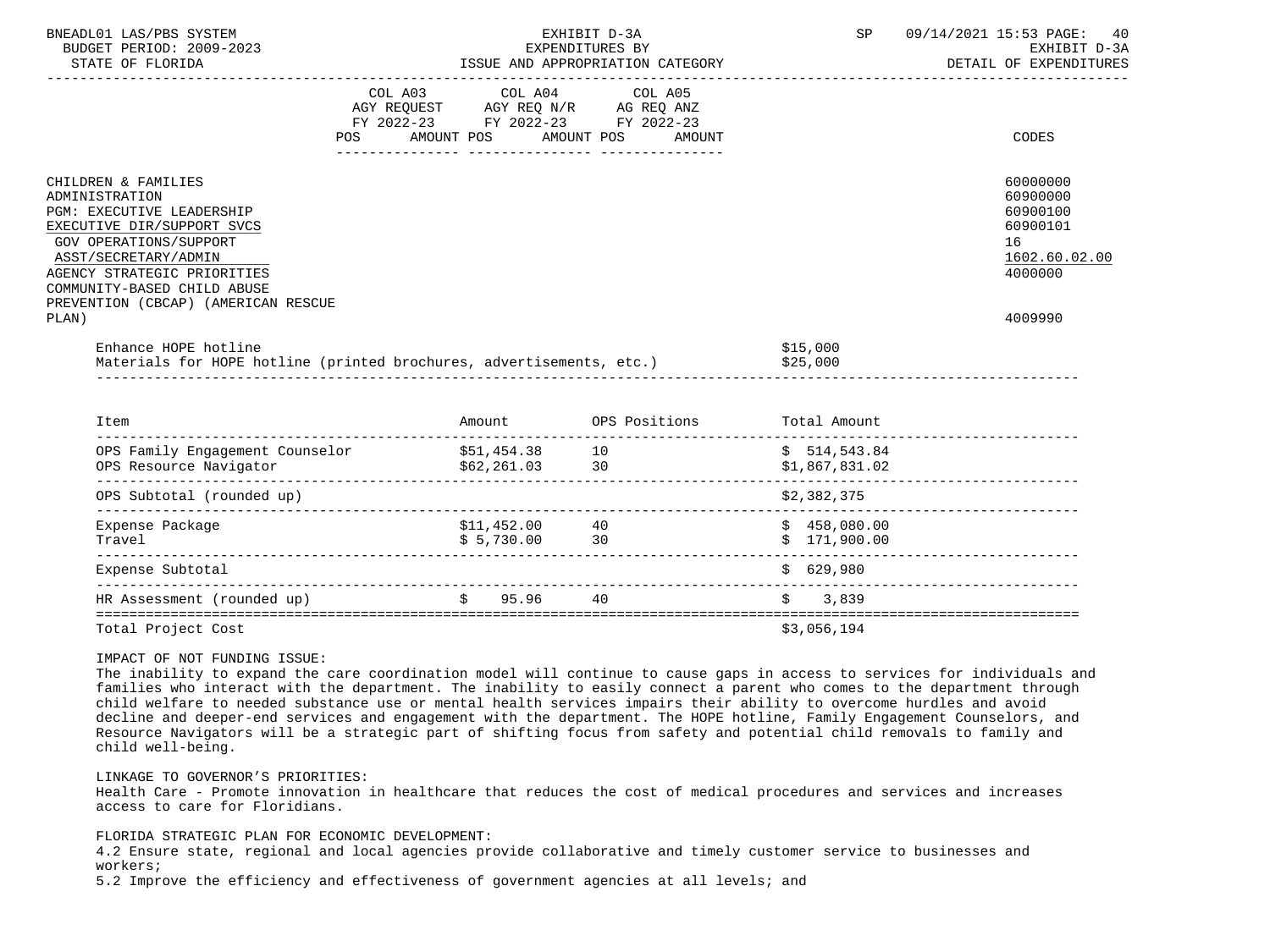| BUDGET PERIOD: 2009-2023                                                                                                                                                                                                                                                |                                                                                                                                       | EXPENDITURES BY |                                | EXHIBIT D-3A                                                                              |
|-------------------------------------------------------------------------------------------------------------------------------------------------------------------------------------------------------------------------------------------------------------------------|---------------------------------------------------------------------------------------------------------------------------------------|-----------------|--------------------------------|-------------------------------------------------------------------------------------------|
|                                                                                                                                                                                                                                                                         | COL A03 COL A04 COL A05<br>AGY REQUEST AGY REQ N/R AG REQ ANZ<br>FY 2022-23 FY 2022-23 FY 2022-23<br>POS AMOUNT POS AMOUNT POS AMOUNT |                 |                                | CODES                                                                                     |
| CHILDREN & FAMILIES<br>ADMINISTRATION<br><b>PGM: EXECUTIVE LEADERSHIP</b><br>EXECUTIVE DIR/SUPPORT SVCS<br>GOV OPERATIONS/SUPPORT<br>ASST/SECRETARY/ADMIN<br>AGENCY STRATEGIC PRIORITIES<br>COMMUNITY-BASED CHILD ABUSE<br>PREVENTION (CBCAP) (AMERICAN RESCUE<br>PLAN) |                                                                                                                                       |                 |                                | 60000000<br>60900000<br>60900100<br>60900101<br>16<br>1602.60.02.00<br>4000000<br>4009990 |
| Enhance HOPE hotline<br>Materials for HOPE hotline (printed brochures, advertisements, etc.) \$25,000                                                                                                                                                                   |                                                                                                                                       |                 | \$15,000                       |                                                                                           |
| Item                                                                                                                                                                                                                                                                    | Amount OPS Positions Total Amount                                                                                                     |                 |                                |                                                                                           |
| OPS Family Engagement Counselor \$51,454.38 10<br>OPS Resource Navigator (562,261.03 30                                                                                                                                                                                 |                                                                                                                                       |                 | \$514,543.84<br>\$1,867,831.02 |                                                                                           |
| OPS Subtotal (rounded up)                                                                                                                                                                                                                                               |                                                                                                                                       |                 | \$2,382,375                    |                                                                                           |

| OPS SUDLOLAI (IOUNQUE UP)  |                           |          | 94,904,919                   |  |
|----------------------------|---------------------------|----------|------------------------------|--|
| Expense Package<br>Travel  | \$11,452.00<br>\$5,730.00 | 40<br>30 | \$458,080.00<br>\$171,900.00 |  |
| Expense Subtotal           |                           |          | \$629.980                    |  |
| HR Assessment (rounded up) | 95.96                     | 40       | 3,839                        |  |
| Total Project Cost         |                           |          | \$3,056,194                  |  |

 The inability to expand the care coordination model will continue to cause gaps in access to services for individuals and families who interact with the department. The inability to easily connect a parent who comes to the department through child welfare to needed substance use or mental health services impairs their ability to overcome hurdles and avoid decline and deeper-end services and engagement with the department. The HOPE hotline, Family Engagement Counselors, and Resource Navigators will be a strategic part of shifting focus from safety and potential child removals to family and child well-being.

#### LINKAGE TO GOVERNOR'S PRIORITIES:

 Health Care - Promote innovation in healthcare that reduces the cost of medical procedures and services and increases access to care for Floridians.

#### FLORIDA STRATEGIC PLAN FOR ECONOMIC DEVELOPMENT:

 4.2 Ensure state, regional and local agencies provide collaborative and timely customer service to businesses and workers;

5.2 Improve the efficiency and effectiveness of government agencies at all levels; and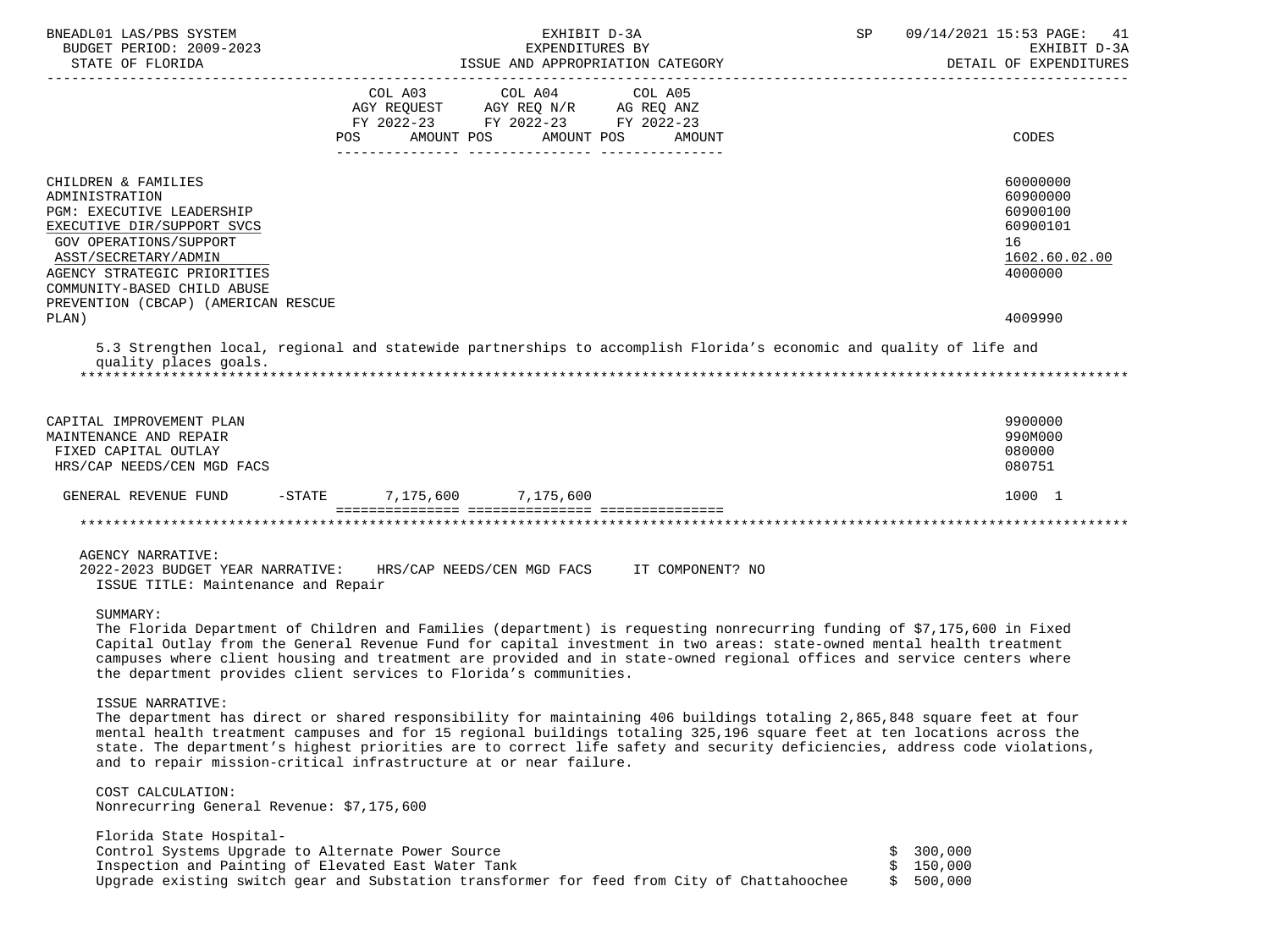| BNEADL01 LAS/PBS SYSTEM                                                                                                                                                                     | EXHIBIT D-3A                                                                                                   |                       | SP                                          | 09/14/2021 15:53 PAGE:<br>41 |         |                        |
|---------------------------------------------------------------------------------------------------------------------------------------------------------------------------------------------|----------------------------------------------------------------------------------------------------------------|-----------------------|---------------------------------------------|------------------------------|---------|------------------------|
| BUDGET PERIOD: 2009-2023                                                                                                                                                                    |                                                                                                                | EXPENDITURES BY       |                                             |                              |         | EXHIBIT D-3A           |
| STATE OF FLORIDA                                                                                                                                                                            |                                                                                                                |                       | ISSUE AND APPROPRIATION CATEGORY            |                              |         | DETAIL OF EXPENDITURES |
|                                                                                                                                                                                             | COL A03                                                                                                        | COL A04               | COL A05                                     |                              |         |                        |
|                                                                                                                                                                                             | AGY REQUEST AGY REQ N/R AG REQ ANZ                                                                             |                       |                                             |                              |         |                        |
|                                                                                                                                                                                             | FY 2022-23 FY 2022-23 FY 2022-23                                                                               |                       |                                             |                              |         |                        |
|                                                                                                                                                                                             | POS FOR THE POST OF THE STATE STATE STATE STATE STATE STATE STATE STATE STATE STATE STATE STATE STATE STATE ST | AMOUNT POS AMOUNT POS | AMOUNT                                      |                              |         | CODES                  |
|                                                                                                                                                                                             |                                                                                                                |                       |                                             |                              |         |                        |
| CHILDREN & FAMILIES                                                                                                                                                                         |                                                                                                                |                       |                                             |                              |         | 60000000               |
| ADMINISTRATION                                                                                                                                                                              |                                                                                                                |                       |                                             |                              |         | 60900000               |
| PGM: EXECUTIVE LEADERSHIP                                                                                                                                                                   |                                                                                                                |                       |                                             |                              |         | 60900100               |
| EXECUTIVE DIR/SUPPORT SVCS                                                                                                                                                                  |                                                                                                                |                       |                                             |                              |         | 60900101               |
| GOV OPERATIONS/SUPPORT                                                                                                                                                                      |                                                                                                                |                       |                                             |                              |         | 16                     |
| ASST/SECRETARY/ADMIN                                                                                                                                                                        |                                                                                                                |                       |                                             |                              |         | 1602.60.02.00          |
| AGENCY STRATEGIC PRIORITIES                                                                                                                                                                 |                                                                                                                |                       |                                             |                              |         | 4000000                |
| COMMUNITY-BASED CHILD ABUSE                                                                                                                                                                 |                                                                                                                |                       |                                             |                              |         |                        |
| PREVENTION (CBCAP) (AMERICAN RESCUE                                                                                                                                                         |                                                                                                                |                       |                                             |                              |         |                        |
| PLAN)                                                                                                                                                                                       |                                                                                                                |                       |                                             |                              |         | 4009990                |
| 5.3 Strengthen local, regional and statewide partnerships to accomplish Florida's economic and quality of life and                                                                          |                                                                                                                |                       |                                             |                              |         |                        |
| quality places goals.                                                                                                                                                                       |                                                                                                                |                       |                                             |                              |         |                        |
|                                                                                                                                                                                             |                                                                                                                |                       |                                             |                              |         |                        |
|                                                                                                                                                                                             |                                                                                                                |                       |                                             |                              |         |                        |
|                                                                                                                                                                                             |                                                                                                                |                       |                                             |                              |         |                        |
| CAPITAL IMPROVEMENT PLAN                                                                                                                                                                    |                                                                                                                |                       |                                             |                              |         | 9900000                |
| MAINTENANCE AND REPAIR<br>FIXED CAPITAL OUTLAY                                                                                                                                              |                                                                                                                |                       |                                             |                              |         | 990M000<br>080000      |
| HRS/CAP NEEDS/CEN MGD FACS                                                                                                                                                                  |                                                                                                                |                       |                                             |                              |         | 080751                 |
|                                                                                                                                                                                             |                                                                                                                |                       |                                             |                              |         |                        |
| GENERAL REVENUE FUND                                                                                                                                                                        | 7,175,600 7,175,600<br>$-$ STATE                                                                               |                       |                                             |                              |         | 1000 1                 |
|                                                                                                                                                                                             |                                                                                                                |                       |                                             |                              |         |                        |
|                                                                                                                                                                                             |                                                                                                                |                       |                                             |                              |         |                        |
| AGENCY NARRATIVE:                                                                                                                                                                           |                                                                                                                |                       |                                             |                              |         |                        |
| 2022-2023 BUDGET YEAR NARRATIVE:                                                                                                                                                            |                                                                                                                |                       | HRS/CAP NEEDS/CEN MGD FACS IT COMPONENT? NO |                              |         |                        |
| ISSUE TITLE: Maintenance and Repair                                                                                                                                                         |                                                                                                                |                       |                                             |                              |         |                        |
|                                                                                                                                                                                             |                                                                                                                |                       |                                             |                              |         |                        |
| SUMMARY:                                                                                                                                                                                    |                                                                                                                |                       |                                             |                              |         |                        |
| The Florida Department of Children and Families (department) is requesting nonrecurring funding of \$7,175,600 in Fixed                                                                     |                                                                                                                |                       |                                             |                              |         |                        |
| Capital Outlay from the General Revenue Fund for capital investment in two areas: state-owned mental health treatment                                                                       |                                                                                                                |                       |                                             |                              |         |                        |
| campuses where client housing and treatment are provided and in state-owned regional offices and service centers where<br>the department provides client services to Florida's communities. |                                                                                                                |                       |                                             |                              |         |                        |
|                                                                                                                                                                                             |                                                                                                                |                       |                                             |                              |         |                        |
| ISSUE NARRATIVE:                                                                                                                                                                            |                                                                                                                |                       |                                             |                              |         |                        |
| The department has direct or shared responsibility for maintaining 406 buildings totaling 2,865,848 square feet at four                                                                     |                                                                                                                |                       |                                             |                              |         |                        |
| mental health treatment campuses and for 15 regional buildings totaling 325,196 square feet at ten locations across the                                                                     |                                                                                                                |                       |                                             |                              |         |                        |
| state. The department's highest priorities are to correct life safety and security deficiencies, address code violations,                                                                   |                                                                                                                |                       |                                             |                              |         |                        |
| and to repair mission-critical infrastructure at or near failure.                                                                                                                           |                                                                                                                |                       |                                             |                              |         |                        |
| COST CALCULATION:                                                                                                                                                                           |                                                                                                                |                       |                                             |                              |         |                        |
| Nonrecurring General Revenue: \$7,175,600                                                                                                                                                   |                                                                                                                |                       |                                             |                              |         |                        |
|                                                                                                                                                                                             |                                                                                                                |                       |                                             |                              |         |                        |
| Florida State Hospital-                                                                                                                                                                     |                                                                                                                |                       |                                             |                              |         |                        |
| Control Systems Upgrade to Alternate Power Source                                                                                                                                           |                                                                                                                |                       |                                             |                              | 300,000 |                        |
| Inspection and Painting of Elevated East Water Tank                                                                                                                                         |                                                                                                                |                       |                                             |                              | 150,000 |                        |
| Upgrade existing switch gear and Substation transformer for feed from City of Chattahoochee                                                                                                 |                                                                                                                |                       |                                             | Ŝ.                           | 500,000 |                        |
|                                                                                                                                                                                             |                                                                                                                |                       |                                             |                              |         |                        |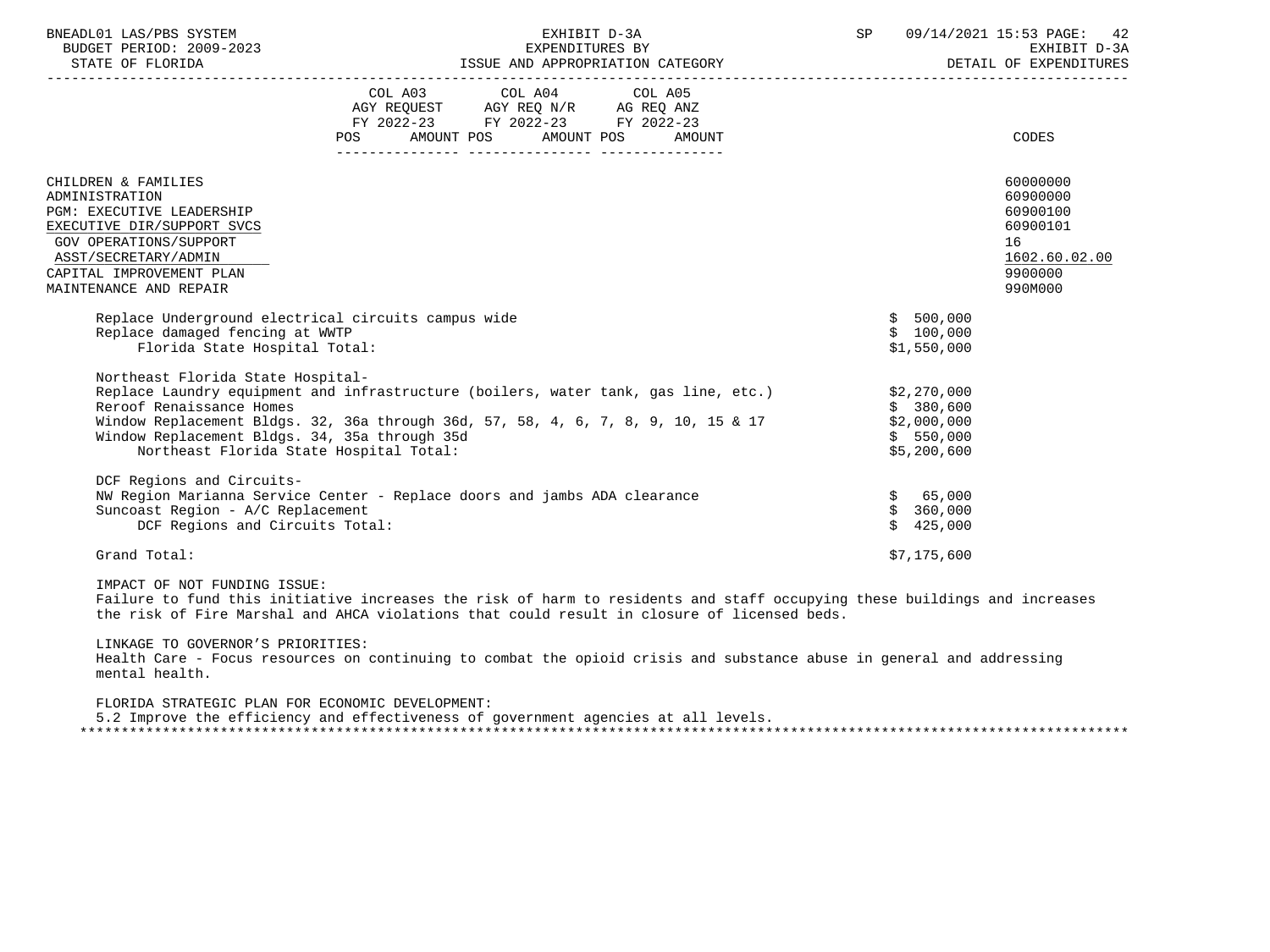| BNEADL01 LAS/PBS SYSTEM<br>BUDGET PERIOD: 2009-2023                                                                                                                                                                                                                                                                                              |            | EXHIBIT D-3A                                                                                                               |  |        | SP |                                                      | 09/14/2021 15:53 PAGE: 42<br>EXHIBIT D-3A<br>DETAIL OF EXPENDITURES                       |  |
|--------------------------------------------------------------------------------------------------------------------------------------------------------------------------------------------------------------------------------------------------------------------------------------------------------------------------------------------------|------------|----------------------------------------------------------------------------------------------------------------------------|--|--------|----|------------------------------------------------------|-------------------------------------------------------------------------------------------|--|
|                                                                                                                                                                                                                                                                                                                                                  | <b>POS</b> | COL A03 COL A04 COL A05<br>AGY REQUEST AGY REQ N/R AG REQ ANZ<br>FY 2022-23 FY 2022-23 FY 2022-23<br>AMOUNT POS AMOUNT POS |  | AMOUNT |    |                                                      | CODES                                                                                     |  |
| CHILDREN & FAMILIES<br>ADMINISTRATION<br>PGM: EXECUTIVE LEADERSHIP<br>EXECUTIVE DIR/SUPPORT SVCS<br>GOV OPERATIONS/SUPPORT<br>ASST/SECRETARY/ADMIN<br>CAPITAL IMPROVEMENT PLAN<br>MAINTENANCE AND REPAIR                                                                                                                                         |            |                                                                                                                            |  |        |    |                                                      | 60000000<br>60900000<br>60900100<br>60900101<br>16<br>1602.60.02.00<br>9900000<br>990M000 |  |
| Replace Underground electrical circuits campus wide<br>Replace damaged fencing at WWTP<br>Florida State Hospital Total:                                                                                                                                                                                                                          |            |                                                                                                                            |  |        |    | \$500,000<br>\$100,000<br>\$1,550,000                |                                                                                           |  |
| Northeast Florida State Hospital-<br>Replace Laundry equipment and infrastructure (boilers, water tank, gas line, etc.) \$2,270,000<br>Reroof Renaissance Homes<br>Window Replacement Bldgs. 32, 36a through 36d, 57, 58, 4, 6, 7, 8, 9, 10, 15 & 17<br>Window Replacement Bldgs. 34, 35a through 35d<br>Northeast Florida State Hospital Total: |            |                                                                                                                            |  |        |    | \$380,600<br>\$2,000,000<br>\$550,000<br>\$5,200,600 |                                                                                           |  |
| DCF Regions and Circuits-<br>NW Region Marianna Service Center - Replace doors and jambs ADA clearance<br>Suncoast Region - A/C Replacement<br>DCF Regions and Circuits Total:                                                                                                                                                                   |            |                                                                                                                            |  |        |    | \$ 65,000<br>\$360,000<br>\$425,000                  |                                                                                           |  |
| Grand Total:                                                                                                                                                                                                                                                                                                                                     |            |                                                                                                                            |  |        |    | \$7,175,600                                          |                                                                                           |  |

 Failure to fund this initiative increases the risk of harm to residents and staff occupying these buildings and increases the risk of Fire Marshal and AHCA violations that could result in closure of licensed beds.

 LINKAGE TO GOVERNOR'S PRIORITIES: Health Care - Focus resources on continuing to combat the opioid crisis and substance abuse in general and addressing mental health.

 FLORIDA STRATEGIC PLAN FOR ECONOMIC DEVELOPMENT: 5.2 Improve the efficiency and effectiveness of government agencies at all levels. \*\*\*\*\*\*\*\*\*\*\*\*\*\*\*\*\*\*\*\*\*\*\*\*\*\*\*\*\*\*\*\*\*\*\*\*\*\*\*\*\*\*\*\*\*\*\*\*\*\*\*\*\*\*\*\*\*\*\*\*\*\*\*\*\*\*\*\*\*\*\*\*\*\*\*\*\*\*\*\*\*\*\*\*\*\*\*\*\*\*\*\*\*\*\*\*\*\*\*\*\*\*\*\*\*\*\*\*\*\*\*\*\*\*\*\*\*\*\*\*\*\*\*\*\*\*\*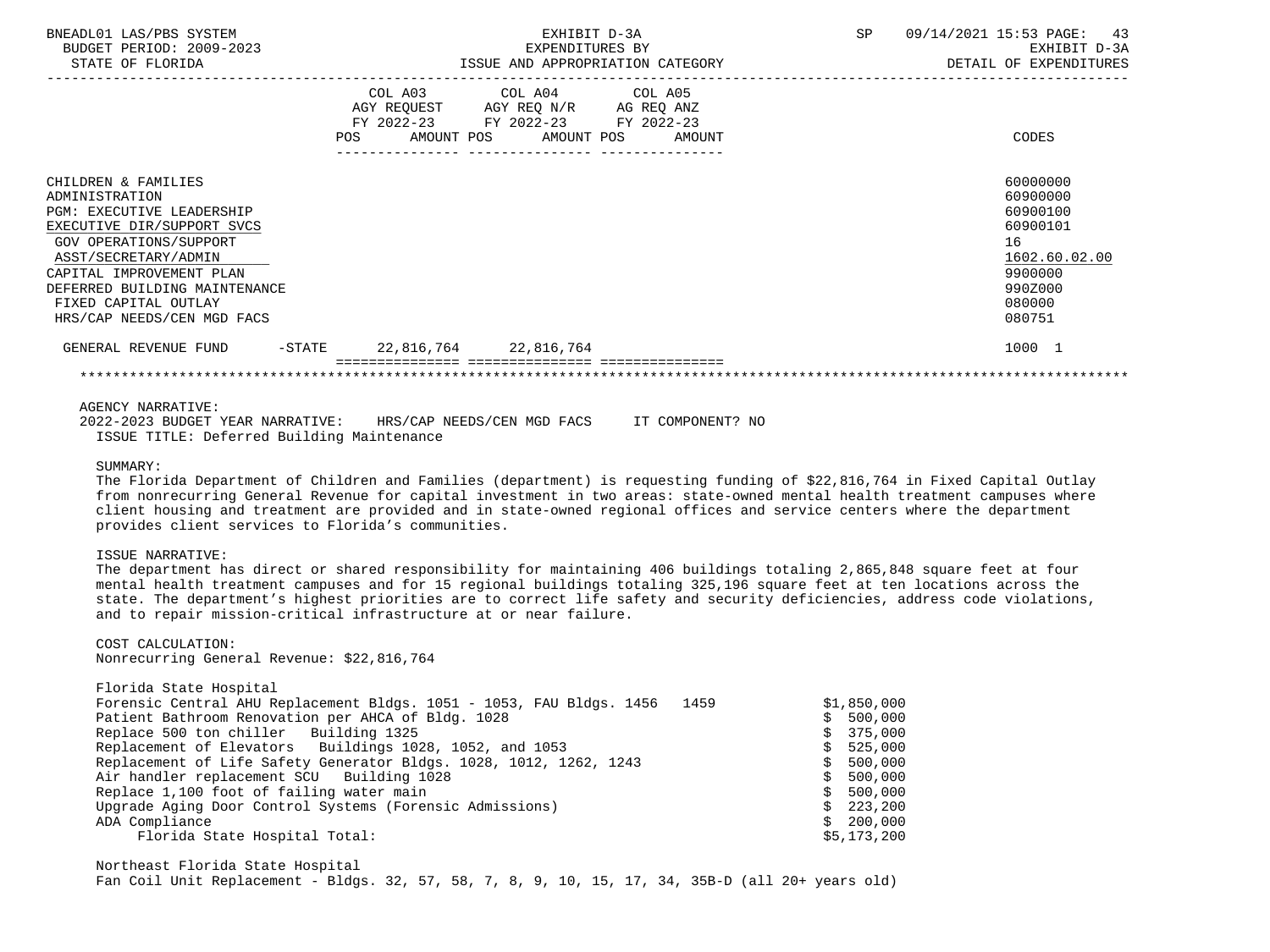| BNEADL01 LAS/PBS SYSTEM<br>BUDGET PERIOD: 2009-2023<br>STATE OF FLORIDA                                                                                                                                                                                                             |                       | EXHIBIT D-3A<br>EXPENDITURES BY<br>ISSUE AND APPROPRIATION CATEGORY                                                               | <b>SP</b> | 09/14/2021 15:53 PAGE:<br>43<br>EXHIBIT D-3A<br>DETAIL OF EXPENDITURES                                        |
|-------------------------------------------------------------------------------------------------------------------------------------------------------------------------------------------------------------------------------------------------------------------------------------|-----------------------|-----------------------------------------------------------------------------------------------------------------------------------|-----------|---------------------------------------------------------------------------------------------------------------|
|                                                                                                                                                                                                                                                                                     | POS                   | COL A03 COL A04 COL A05<br>AGY REQUEST AGY REQ N/R AG REQ ANZ<br>FY 2022-23 FY 2022-23 FY 2022-23<br>AMOUNT POS AMOUNT POS AMOUNT |           | CODES                                                                                                         |
| CHILDREN & FAMILIES<br>ADMINISTRATION<br><b>PGM: EXECUTIVE LEADERSHIP</b><br>EXECUTIVE DIR/SUPPORT SVCS<br><b>GOV OPERATIONS/SUPPORT</b><br>ASST/SECRETARY/ADMIN<br>CAPITAL IMPROVEMENT PLAN<br>DEFERRED BUILDING MAINTENANCE<br>FIXED CAPITAL OUTLAY<br>HRS/CAP NEEDS/CEN MGD FACS |                       |                                                                                                                                   |           | 60000000<br>60900000<br>60900100<br>60900101<br>16<br>1602.60.02.00<br>9900000<br>990Z000<br>080000<br>080751 |
| $-\mathtt{STATE}$<br>GENERAL REVENUE FUND                                                                                                                                                                                                                                           | 22,816,764 22,816,764 |                                                                                                                                   |           | 1000 1                                                                                                        |
|                                                                                                                                                                                                                                                                                     |                       |                                                                                                                                   |           |                                                                                                               |

## AGENCY NARRATIVE:

|  | 2022-2023 BUDGET YEAR NARRATIVE: |                                            | HRS/CAP NEEDS/CEN MGD FACS |  | IT COMPONENT? NO |  |
|--|----------------------------------|--------------------------------------------|----------------------------|--|------------------|--|
|  |                                  | ISSUE TITLE: Deferred Building Maintenance |                            |  |                  |  |

#### SUMMARY:

 The Florida Department of Children and Families (department) is requesting funding of \$22,816,764 in Fixed Capital Outlay from nonrecurring General Revenue for capital investment in two areas: state-owned mental health treatment campuses where client housing and treatment are provided and in state-owned regional offices and service centers where the department provides client services to Florida's communities.

#### ISSUE NARRATIVE:

 The department has direct or shared responsibility for maintaining 406 buildings totaling 2,865,848 square feet at four mental health treatment campuses and for 15 regional buildings totaling 325,196 square feet at ten locations across the state. The department's highest priorities are to correct life safety and security deficiencies, address code violations, and to repair mission-critical infrastructure at or near failure.

# COST CALCULATION:

Nonrecurring General Revenue: \$22,816,764

| Florida State Hospital                                                    |             |
|---------------------------------------------------------------------------|-------------|
| Forensic Central AHU Replacement Bldgs. 1051 - 1053, FAU Bldgs. 1456 1459 | \$1,850,000 |
| Patient Bathroom Renovation per AHCA of Bldg. 1028                        | \$500,000   |
| Replace 500 ton chiller Building 1325                                     | \$375,000   |
| Replacement of Elevators Buildings 1028, 1052, and 1053                   | \$525,000   |
| Replacement of Life Safety Generator Bldgs. 1028, 1012, 1262, 1243        | \$500,000   |
| Air handler replacement SCU Building 1028                                 | \$500,000   |
| Replace 1,100 foot of failing water main                                  | \$500,000   |
| Upgrade Aging Door Control Systems (Forensic Admissions)                  | \$223, 200  |
| ADA Compliance                                                            | \$200,000   |
| Florida State Hospital Total:                                             | \$5,173,200 |

 Northeast Florida State Hospital Fan Coil Unit Replacement - Bldgs. 32, 57, 58, 7, 8, 9, 10, 15, 17, 34, 35B-D (all 20+ years old)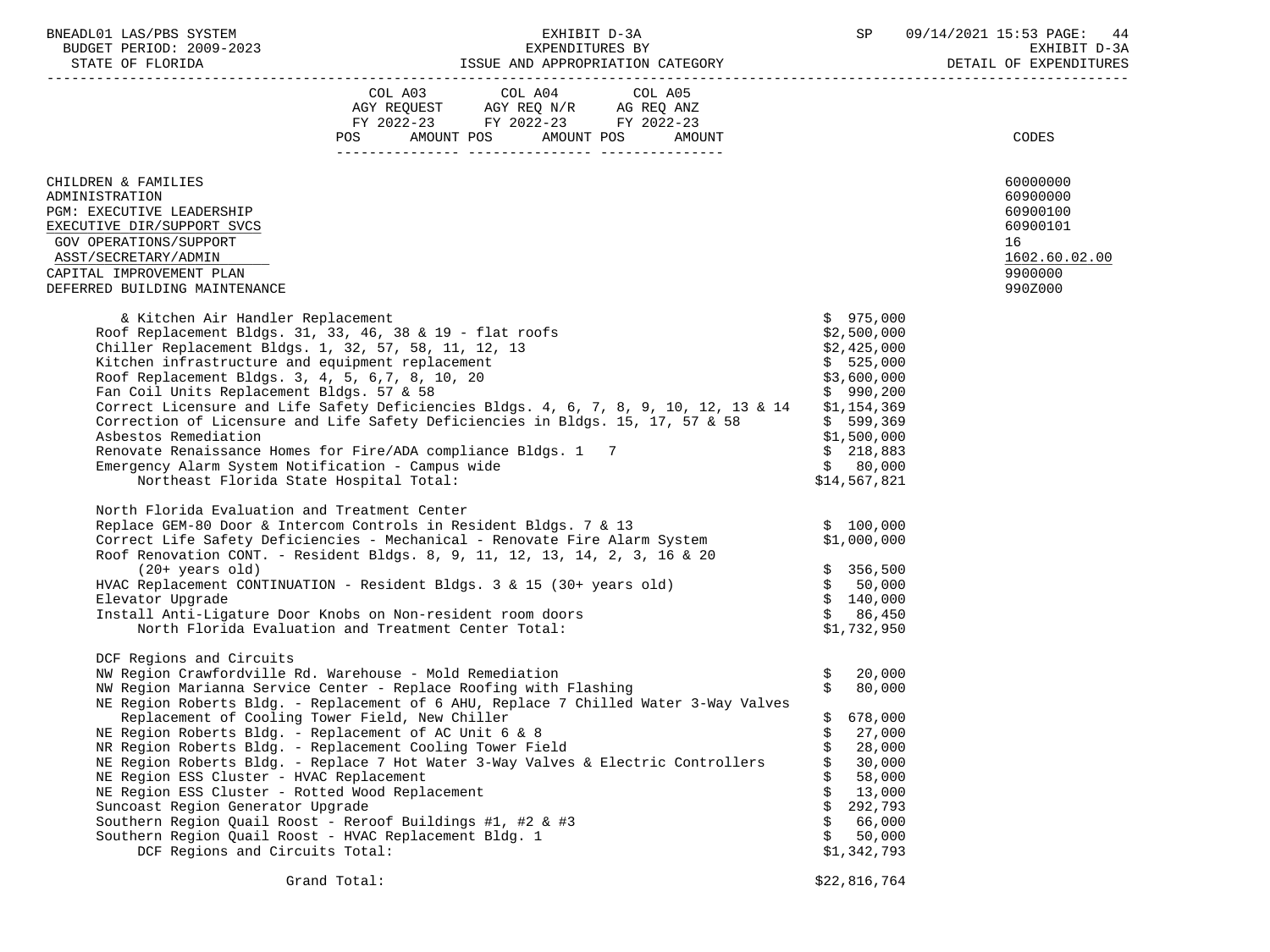BUDGET PERIOD: 2009-2023 EXPENDITURES BY EXHIBIT D-3A

|                                                                                                                                                                                                                                                                                                                                                                                                                                                                                                                                                                                                                                                                                                                                                                                                                 | POS FOR THE POST OF THE STATE STATES | FY 2022-23 FY 2022-23 FY 2022-23<br>AMOUNT POS AMOUNT POS | AMOUNT |    |                                                                                                                                                                      | CODES                                                                                     |
|-----------------------------------------------------------------------------------------------------------------------------------------------------------------------------------------------------------------------------------------------------------------------------------------------------------------------------------------------------------------------------------------------------------------------------------------------------------------------------------------------------------------------------------------------------------------------------------------------------------------------------------------------------------------------------------------------------------------------------------------------------------------------------------------------------------------|--------------------------------------|-----------------------------------------------------------|--------|----|----------------------------------------------------------------------------------------------------------------------------------------------------------------------|-------------------------------------------------------------------------------------------|
|                                                                                                                                                                                                                                                                                                                                                                                                                                                                                                                                                                                                                                                                                                                                                                                                                 |                                      |                                                           |        |    |                                                                                                                                                                      |                                                                                           |
| CHILDREN & FAMILIES<br>ADMINISTRATION<br>PGM: EXECUTIVE LEADERSHIP<br>EXECUTIVE DIR/SUPPORT SVCS<br>GOV OPERATIONS/SUPPORT<br>ASST/SECRETARY/ADMIN<br>CAPITAL IMPROVEMENT PLAN<br>DEFERRED BUILDING MAINTENANCE                                                                                                                                                                                                                                                                                                                                                                                                                                                                                                                                                                                                 |                                      |                                                           |        |    |                                                                                                                                                                      | 60000000<br>60900000<br>60900100<br>60900101<br>16<br>1602.60.02.00<br>9900000<br>990Z000 |
| & Kitchen Air Handler Replacement<br>Roof Replacement Bldgs. 31, 33, 46, 38 & 19 - flat roofs<br>Chiller Replacement Bldgs. 1, 32, 57, 58, 11, 12, 13<br>Kitchen infrastructure and equipment replacement<br>Roof Replacement Bldgs. 3, 4, 5, 6, 7, 8, 10, 20<br>Fan Coil Units Replacement Bldgs. 57 & 58<br>Correct Licensure and Life Safety Deficiencies Bldgs. 4, 6, 7, 8, 9, 10, 12, 13 & 14<br>Correction of Licensure and Life Safety Deficiencies in Bldgs. 15, 17, 57 & 58<br>Asbestos Remediation<br>Renovate Renaissance Homes for Fire/ADA compliance Bldgs. 1 7<br>Emergency Alarm System Notification - Campus wide<br>Northeast Florida State Hospital Total:                                                                                                                                   |                                      |                                                           |        |    | \$975,000<br>\$2,500,000<br>\$2,425,000<br>\$525,000<br>\$3,600,000<br>\$990,200<br>\$1,154,369<br>\$599,369<br>\$1,500,000<br>\$218,883<br>\$80,000<br>\$14,567,821 |                                                                                           |
| North Florida Evaluation and Treatment Center<br>Replace GEM-80 Door & Intercom Controls in Resident Bldgs. 7 & 13<br>Correct Life Safety Deficiencies - Mechanical - Renovate Fire Alarm System<br>Roof Renovation CONT. - Resident Bldgs. 8, 9, 11, 12, 13, 14, 2, 3, 16 & 20<br>$(20+ \text{ years old})$<br>HVAC Replacement CONTINUATION - Resident Bldgs. 3 & 15 (30+ years old)<br>Elevator Upgrade<br>Install Anti-Ligature Door Knobs on Non-resident room doors<br>North Florida Evaluation and Treatment Center Total:                                                                                                                                                                                                                                                                               |                                      |                                                           |        |    | \$100,000<br>\$1,000,000<br>\$356,500<br>\$50,000<br>\$140,000<br>\$86,450<br>\$1,732,950                                                                            |                                                                                           |
| DCF Regions and Circuits<br>NW Region Crawfordville Rd. Warehouse - Mold Remediation<br>NW Region Marianna Service Center - Replace Roofing with Flashing<br>NE Region Roberts Bldg. - Replacement of 6 AHU, Replace 7 Chilled Water 3-Way Valves<br>Replacement of Cooling Tower Field, New Chiller<br>NE Region Roberts Bldg. - Replacement of AC Unit 6 & 8<br>NR Region Roberts Bldg. - Replacement Cooling Tower Field<br>NE Region Roberts Bldg. - Replace 7 Hot Water 3-Way Valves & Electric Controllers<br>NE Region ESS Cluster - HVAC Replacement<br>NE Region ESS Cluster - Rotted Wood Replacement<br>Suncoast Region Generator Upgrade<br>Southern Region Quail Roost - Reroof Buildings #1, #2 & #3<br>Southern Region Quail Roost - HVAC Replacement Bldg. 1<br>DCF Regions and Circuits Total: |                                      |                                                           |        | \$ | 20,000<br>80,000<br>678,000<br>27,000<br>28,000<br>30,000<br>58,000<br>13,000<br>292,793<br>66,000<br>50,000<br>\$1,342,793                                          |                                                                                           |
|                                                                                                                                                                                                                                                                                                                                                                                                                                                                                                                                                                                                                                                                                                                                                                                                                 | Grand Total:                         |                                                           |        |    | \$22,816,764                                                                                                                                                         |                                                                                           |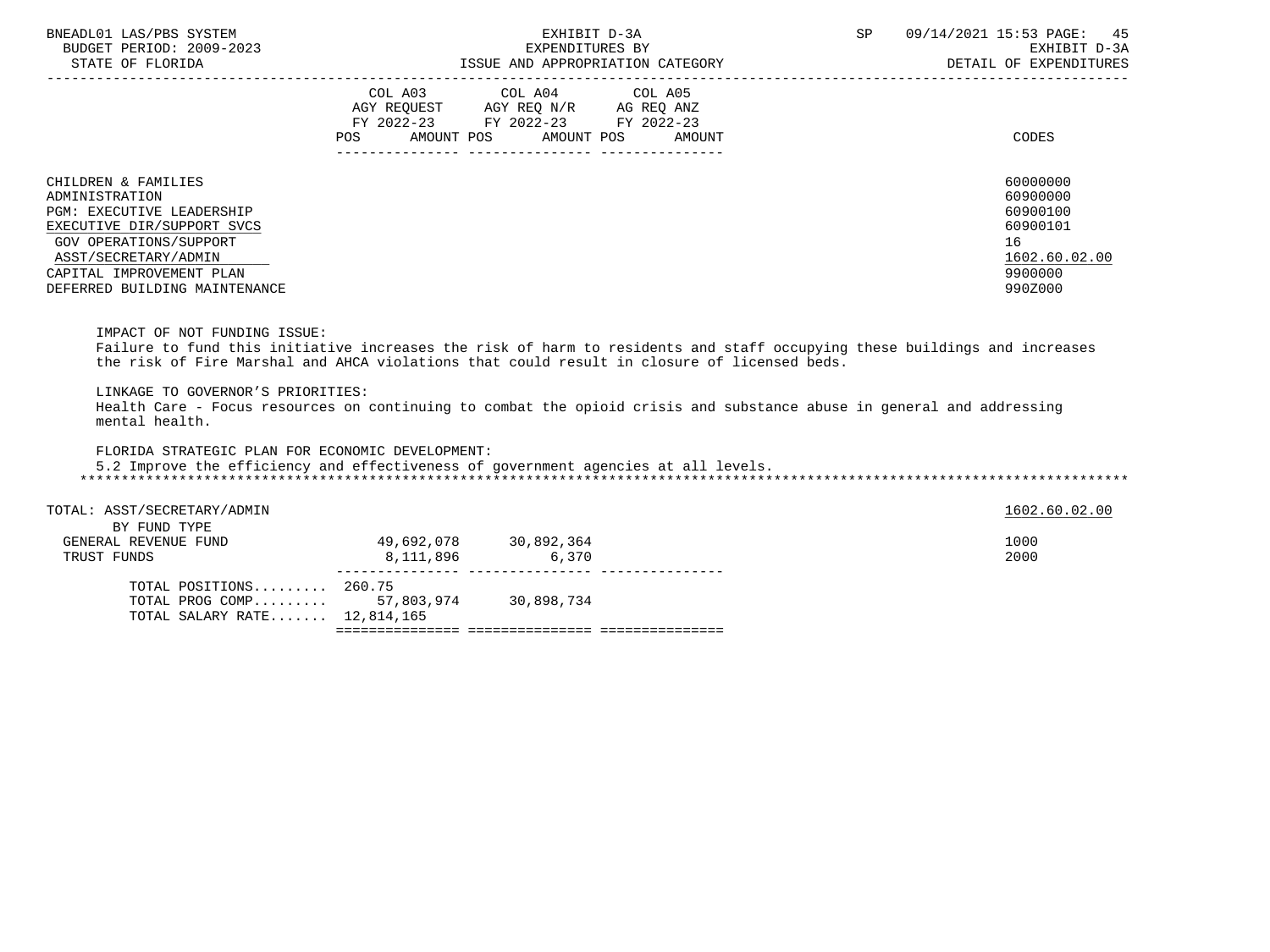| BNEADL01 LAS/PBS SYSTEM<br>BUDGET PERIOD: 2009-2023<br>STATE OF FLORIDA                                     | EXHIBIT D-3A<br>EXPENDITURES BY<br>ISSUE AND APPROPRIATION CATEGORY                                                                                  | <b>SP</b><br>09/14/2021 15:53 PAGE: 45<br>EXHIBIT D-3A<br>DETAIL OF EXPENDITURES |
|-------------------------------------------------------------------------------------------------------------|------------------------------------------------------------------------------------------------------------------------------------------------------|----------------------------------------------------------------------------------|
|                                                                                                             | COL A03<br>COL A04 COL A05<br>AGY REQUEST AGY REQ N/R<br>AG REQ ANZ<br>FY 2022-23 FY 2022-23 FY 2022-23<br>AMOUNT POS<br>AMOUNT POS<br>POS<br>AMOUNT | CODES                                                                            |
| CHILDREN & FAMILIES<br>ADMINISTRATION<br>PGM: EXECUTIVE LEADERSHIP                                          |                                                                                                                                                      | 60000000<br>60900000<br>60900100                                                 |
| EXECUTIVE DIR/SUPPORT SVCS                                                                                  |                                                                                                                                                      | 60900101                                                                         |
| GOV OPERATIONS/SUPPORT<br>ASST/SECRETARY/ADMIN<br>CAPITAL IMPROVEMENT PLAN<br>DEFERRED BUILDING MAINTENANCE |                                                                                                                                                      | 16<br>1602.60.02.00<br>9900000<br>990Z000                                        |
|                                                                                                             |                                                                                                                                                      |                                                                                  |

 Failure to fund this initiative increases the risk of harm to residents and staff occupying these buildings and increases the risk of Fire Marshal and AHCA violations that could result in closure of licensed beds.

LINKAGE TO GOVERNOR'S PRIORITIES:

 Health Care - Focus resources on continuing to combat the opioid crisis and substance abuse in general and addressing mental health.

FLORIDA STRATEGIC PLAN FOR ECONOMIC DEVELOPMENT:

 5.2 Improve the efficiency and effectiveness of government agencies at all levels. \*\*\*\*\*\*\*\*\*\*\*\*\*\*\*\*\*\*\*\*\*\*\*\*\*\*\*\*\*\*\*\*\*\*\*\*\*\*\*\*\*\*\*\*\*\*\*\*\*\*\*\*\*\*\*\*\*\*\*\*\*\*\*\*\*\*\*\*\*\*\*\*\*\*\*\*\*\*\*\*\*\*\*\*\*\*\*\*\*\*\*\*\*\*\*\*\*\*\*\*\*\*\*\*\*\*\*\*\*\*\*\*\*\*\*\*\*\*\*\*\*\*\*\*\*\*\*

| TOTAL: ASST/SECRETARY/ADMIN<br>BY FUND TYPE |            |            | 1602.60.02.00 |
|---------------------------------------------|------------|------------|---------------|
| GENERAL REVENUE FUND                        | 49,692,078 | 30,892,364 | 1000          |
| TRUST FUNDS                                 | 8,111,896  | 6,370      | 2000          |
| TOTAL POSITIONS $260.75$                    |            |            |               |
| TOTAL PROG COMP 57,803,974                  |            | 30,898,734 |               |
| TOTAL SALARY RATE 12,814,165                |            |            |               |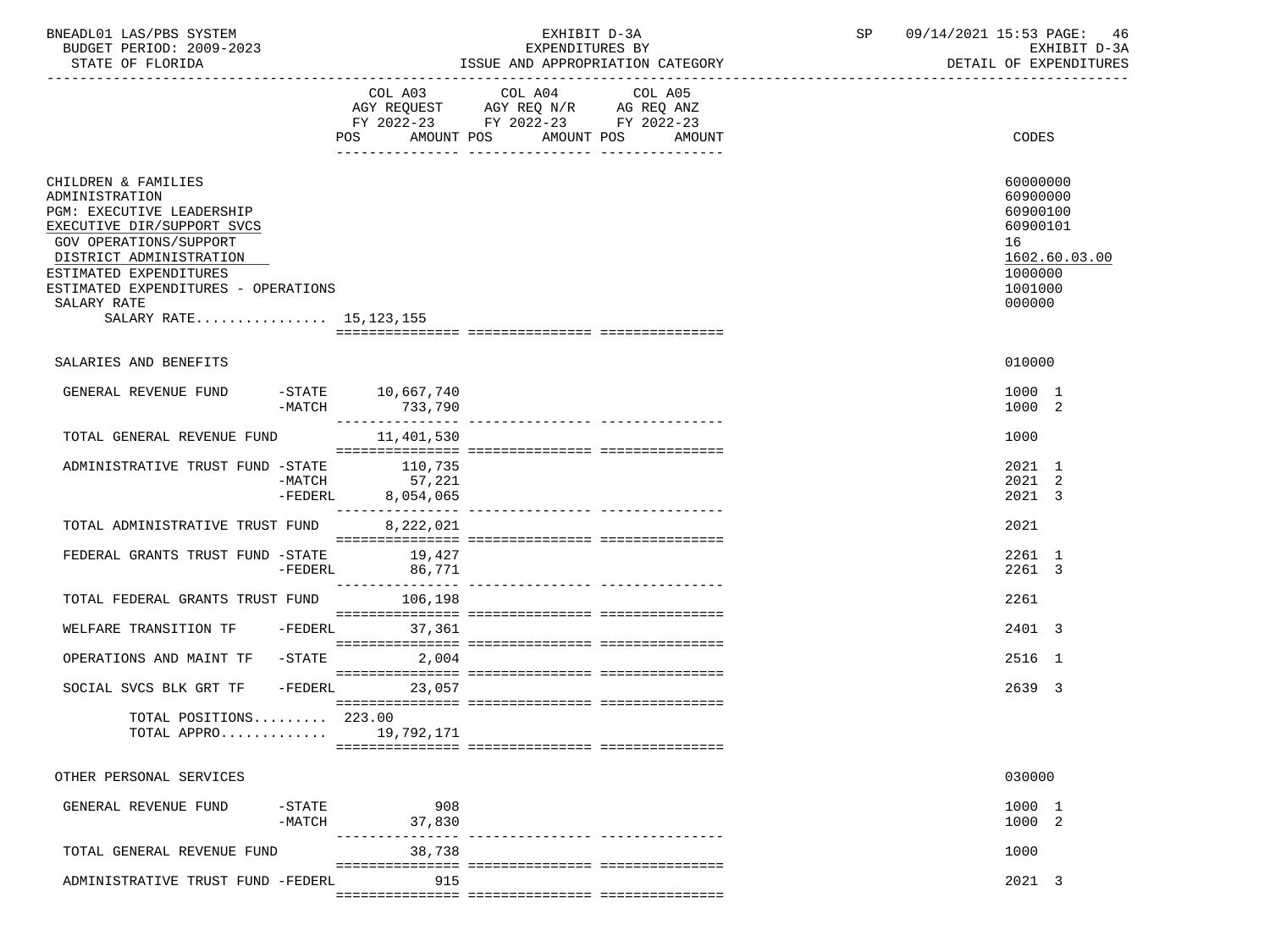| BNEADL01 LAS/PBS SYSTEM |                  |                          | EXHIBIT D-3A                     |  |
|-------------------------|------------------|--------------------------|----------------------------------|--|
|                         |                  | BUDGET PERIOD: 2009-2023 | EXPENDITURES BY                  |  |
|                         | STATE OF FLORIDA |                          | ISSUE AND APPROPRIATION CATEGORY |  |

|                                                                                                                                                                                                                                                                   | POS AMOUNT POS               | COL A03 COL A04 COL A05<br>AGY REQUEST AGY REQ N/R AG REQ ANZ<br>FY 2022-23 FY 2022-23 FY 2022-23<br>AMOUNT POS | AMOUNT | CODES                                                                                               |
|-------------------------------------------------------------------------------------------------------------------------------------------------------------------------------------------------------------------------------------------------------------------|------------------------------|-----------------------------------------------------------------------------------------------------------------|--------|-----------------------------------------------------------------------------------------------------|
| CHILDREN & FAMILIES<br>ADMINISTRATION<br>PGM: EXECUTIVE LEADERSHIP<br>EXECUTIVE DIR/SUPPORT SVCS<br>GOV OPERATIONS/SUPPORT<br>DISTRICT ADMINISTRATION<br>ESTIMATED EXPENDITURES<br>ESTIMATED EXPENDITURES - OPERATIONS<br>SALARY RATE<br>SALARY RATE 15, 123, 155 |                              |                                                                                                                 |        | 60000000<br>60900000<br>60900100<br>60900101<br>16<br>1602.60.03.00<br>1000000<br>1001000<br>000000 |
| SALARIES AND BENEFITS                                                                                                                                                                                                                                             |                              |                                                                                                                 |        | 010000                                                                                              |
| GENERAL REVENUE FUND<br>-MATCH                                                                                                                                                                                                                                    | -STATE 10,667,740<br>733,790 |                                                                                                                 |        | 1000 1<br>1000 2                                                                                    |
| TOTAL GENERAL REVENUE FUND                                                                                                                                                                                                                                        | 11,401,530                   |                                                                                                                 |        | 1000                                                                                                |
| -FEDERL                                                                                                                                                                                                                                                           | 8,054,065                    |                                                                                                                 |        | 2021 1<br>2021 2<br>2021 3                                                                          |
| TOTAL ADMINISTRATIVE TRUST FUND                                                                                                                                                                                                                                   | ---------------<br>8,222,021 |                                                                                                                 |        | 2021                                                                                                |
| FEDERAL GRANTS TRUST FUND -STATE<br>-FEDERL                                                                                                                                                                                                                       | 19,427<br>86,771             |                                                                                                                 |        | 2261 1<br>2261 3                                                                                    |
| TOTAL FEDERAL GRANTS TRUST FUND                                                                                                                                                                                                                                   | 106,198                      |                                                                                                                 |        | 2261                                                                                                |
| -FEDERL<br>WELFARE TRANSITION TF                                                                                                                                                                                                                                  | 37,361                       |                                                                                                                 |        | 2401 3                                                                                              |
| OPERATIONS AND MAINT TF<br>-STATE                                                                                                                                                                                                                                 | 2,004                        |                                                                                                                 |        | 2516 1                                                                                              |
| SOCIAL SVCS BLK GRT TF                                                                                                                                                                                                                                            | $-FEDERL$<br>23,057          |                                                                                                                 |        | 2639 3                                                                                              |
| TOTAL POSITIONS $223.00$<br>TOTAL APPRO 19,792,171                                                                                                                                                                                                                |                              |                                                                                                                 |        |                                                                                                     |
| OTHER PERSONAL SERVICES                                                                                                                                                                                                                                           |                              |                                                                                                                 |        | 030000                                                                                              |
| $-$ STATE<br>GENERAL REVENUE FUND<br>$-MATCH$                                                                                                                                                                                                                     | 908<br>37,830                |                                                                                                                 |        | 1000 1<br>1000 2                                                                                    |
| TOTAL GENERAL REVENUE FUND                                                                                                                                                                                                                                        | 38,738                       |                                                                                                                 |        | 1000                                                                                                |
| ADMINISTRATIVE TRUST FUND -FEDERL                                                                                                                                                                                                                                 | 915                          |                                                                                                                 |        | 2021 3                                                                                              |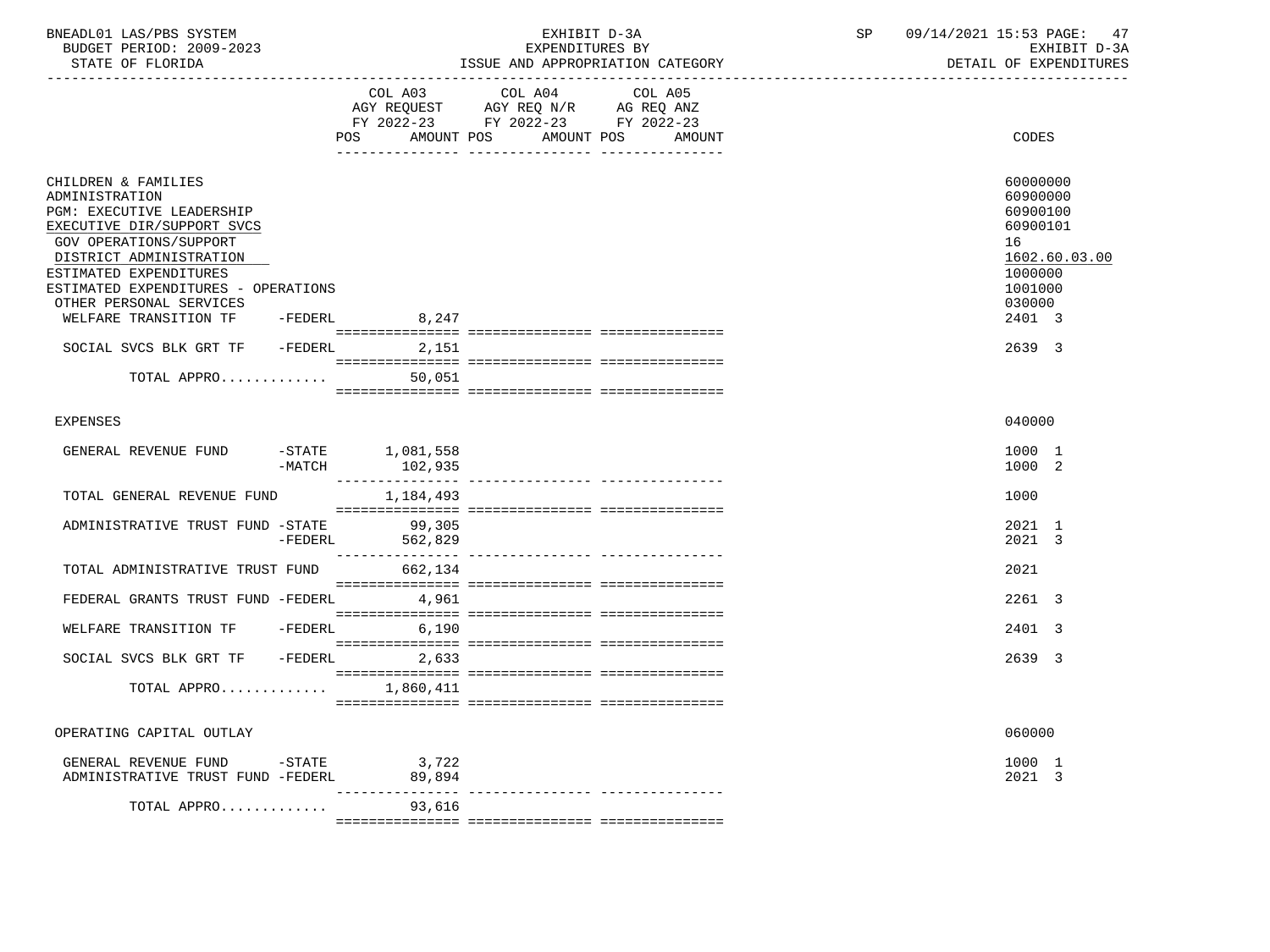| BNEADL01<br>LAS/PBS SYSTEM     |                                                    | SD | $15:53$ PAGE:<br>4/2021<br>09/7                          |
|--------------------------------|----------------------------------------------------|----|----------------------------------------------------------|
| 2009-2023<br>PERIOD:<br>BUDGET | RV<br>EXPENDITURES                                 |    | $\sqrt{2}$<br><del>rn rm</del><br>EXH.<br>$11 - 31$<br>. |
| גתדת היה הם החגדום             | MOODDIADIONI OLUMPOOLI<br>T O OTTE<br><b>7.3TD</b> |    | $\cap$ ה היוחד היוחדות הא<br>יד גההה                     |

STATE OF FLORIDA GOVERNMENT OF STATE AND APPROPRIATION CATEGORY CONTERNS OF EXPENDITURES

|                                         |           | COL A03             | COL A04                            | COL A05 |               |
|-----------------------------------------|-----------|---------------------|------------------------------------|---------|---------------|
|                                         |           |                     | AGY REQUEST AGY REQ N/R AG REQ ANZ |         |               |
|                                         |           |                     | FY 2022-23 FY 2022-23 FY 2022-23   |         |               |
|                                         |           | POS<br>AMOUNT POS   | AMOUNT POS                         | AMOUNT  | CODES         |
|                                         |           |                     |                                    |         |               |
| CHILDREN & FAMILIES                     |           |                     |                                    |         | 60000000      |
| ADMINISTRATION                          |           |                     |                                    |         | 60900000      |
| <b>PGM: EXECUTIVE LEADERSHIP</b>        |           |                     |                                    |         | 60900100      |
| EXECUTIVE DIR/SUPPORT SVCS              |           |                     |                                    |         | 60900101      |
| GOV OPERATIONS/SUPPORT                  |           |                     |                                    |         | 16            |
| DISTRICT ADMINISTRATION                 |           |                     |                                    |         | 1602.60.03.00 |
| ESTIMATED EXPENDITURES                  |           |                     |                                    |         | 1000000       |
| ESTIMATED EXPENDITURES - OPERATIONS     |           |                     |                                    |         | 1001000       |
| OTHER PERSONAL SERVICES                 |           |                     |                                    |         | 030000        |
| WELFARE TRANSITION TF                   |           | -FEDERL 8,247       |                                    |         | 2401 3        |
|                                         |           |                     |                                    |         |               |
| SOCIAL SVCS BLK GRT TF -FEDERL 2,151    |           |                     |                                    |         | 2639 3        |
|                                         |           |                     |                                    |         |               |
| TOTAL APPRO                             |           | 50,051              |                                    |         |               |
|                                         |           |                     |                                    |         |               |
|                                         |           |                     |                                    |         |               |
| <b>EXPENSES</b>                         |           |                     |                                    |         | 040000        |
|                                         |           |                     |                                    |         |               |
| GENERAL REVENUE FUND                    |           | $-$ STATE 1,081,558 |                                    |         | 1000 1        |
|                                         | $-MATCH$  | 102,935             |                                    |         | 1000 2        |
|                                         |           |                     |                                    |         |               |
| TOTAL GENERAL REVENUE FUND              |           | 1,184,493           |                                    |         | 1000          |
|                                         |           |                     |                                    |         |               |
| ADMINISTRATIVE TRUST FUND -STATE 99,305 |           |                     |                                    |         | 2021 1        |
|                                         | $-FEDERL$ | 562,829             |                                    |         | 2021 3        |
|                                         |           |                     |                                    |         |               |
| TOTAL ADMINISTRATIVE TRUST FUND         |           | 662,134             |                                    |         | 2021          |
|                                         |           |                     |                                    |         |               |
| FEDERAL GRANTS TRUST FUND -FEDERL 4,961 |           |                     |                                    |         | 2261 3        |
|                                         |           |                     |                                    |         |               |
| WELFARE TRANSITION TF -FEDERL 6,190     |           |                     |                                    |         | 2401 3        |
|                                         |           |                     |                                    |         |               |
| SOCIAL SVCS BLK GRT TF - FEDERL 2,633   |           |                     |                                    |         | 2639 3        |
|                                         |           |                     |                                    |         |               |
| TOTAL APPRO $1,860,411$                 |           |                     |                                    |         |               |
|                                         |           |                     |                                    |         |               |
|                                         |           |                     |                                    |         | 060000        |
| OPERATING CAPITAL OUTLAY                |           |                     |                                    |         |               |
| GENERAL REVENUE FUND -STATE 3,722       |           |                     |                                    |         | 1000 1        |
| ADMINISTRATIVE TRUST FUND -FEDERL       |           | 89,894              |                                    |         | 2021 3        |
|                                         |           |                     |                                    |         |               |
| TOTAL APPRO                             |           | 93,616              |                                    |         |               |
|                                         |           |                     |                                    |         |               |
|                                         |           |                     |                                    |         |               |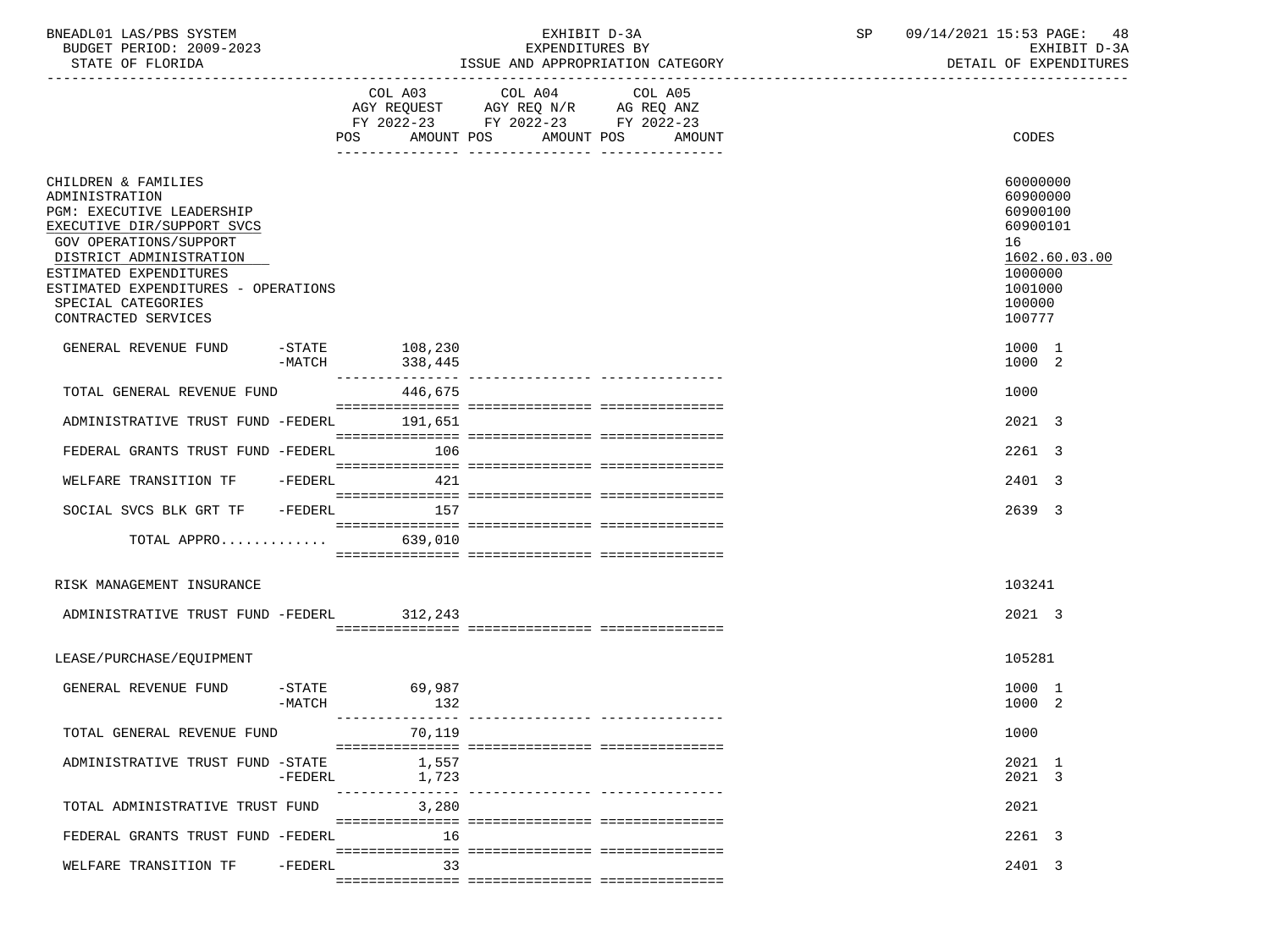| BNEADL01 LAS/PBS SYSTEM |                  |                          | EXHIBIT D-3A                     |
|-------------------------|------------------|--------------------------|----------------------------------|
|                         |                  | BUDGET PERIOD: 2009-2023 | EXPENDITURES BY                  |
|                         | STATE OF FLORIDA |                          | ISSUE AND APPROPRIATION CATEGORY |

|                                                                                                                                                                                                                                                                     |                       | COL A03<br>AMOUNT POS<br>POS       | COL A04 COL A05 | AMOUNT POS<br>AMOUNT | CODES                                                                                                         |
|---------------------------------------------------------------------------------------------------------------------------------------------------------------------------------------------------------------------------------------------------------------------|-----------------------|------------------------------------|-----------------|----------------------|---------------------------------------------------------------------------------------------------------------|
| CHILDREN & FAMILIES<br>ADMINISTRATION<br>PGM: EXECUTIVE LEADERSHIP<br>EXECUTIVE DIR/SUPPORT SVCS<br>GOV OPERATIONS/SUPPORT<br>DISTRICT ADMINISTRATION<br>ESTIMATED EXPENDITURES<br>ESTIMATED EXPENDITURES - OPERATIONS<br>SPECIAL CATEGORIES<br>CONTRACTED SERVICES |                       |                                    |                 |                      | 60000000<br>60900000<br>60900100<br>60900101<br>16<br>1602.60.03.00<br>1000000<br>1001000<br>100000<br>100777 |
| GENERAL REVENUE FUND                                                                                                                                                                                                                                                | $-$ STATE<br>-MATCH   | 108,230<br>338,445                 |                 |                      | 1000 1<br>1000 2                                                                                              |
| TOTAL GENERAL REVENUE FUND                                                                                                                                                                                                                                          |                       | 446,675                            |                 |                      | 1000                                                                                                          |
| ADMINISTRATIVE TRUST FUND -FEDERL                                                                                                                                                                                                                                   |                       | 191,651                            |                 |                      | 2021 3                                                                                                        |
| FEDERAL GRANTS TRUST FUND -FEDERL                                                                                                                                                                                                                                   |                       | 106                                |                 |                      | 2261 3                                                                                                        |
| WELFARE TRANSITION TF -FEDERL                                                                                                                                                                                                                                       |                       | 421                                |                 |                      | 2401 3                                                                                                        |
| SOCIAL SVCS BLK GRT TF -FEDERL                                                                                                                                                                                                                                      |                       | 157                                |                 |                      | 2639 3                                                                                                        |
| TOTAL APPRO                                                                                                                                                                                                                                                         |                       | 639,010                            |                 |                      |                                                                                                               |
| RISK MANAGEMENT INSURANCE                                                                                                                                                                                                                                           |                       |                                    |                 |                      | 103241                                                                                                        |
| ADMINISTRATIVE TRUST FUND -FEDERL 312,243                                                                                                                                                                                                                           |                       |                                    |                 |                      | 2021 3                                                                                                        |
| LEASE/PURCHASE/EQUIPMENT                                                                                                                                                                                                                                            |                       |                                    |                 |                      | 105281                                                                                                        |
| GENERAL REVENUE FUND                                                                                                                                                                                                                                                | $-$ STATE<br>$-MATCH$ | 69,987<br>132                      |                 |                      | 1000 1<br>1000 2                                                                                              |
| TOTAL GENERAL REVENUE FUND                                                                                                                                                                                                                                          |                       | 70,119                             |                 |                      | 1000                                                                                                          |
| ADMINISTRATIVE TRUST FUND -STATE                                                                                                                                                                                                                                    | -FEDERL               | 1,557<br>1,723<br>________________ |                 |                      | 2021 1<br>2021 3                                                                                              |
| TOTAL ADMINISTRATIVE TRUST FUND                                                                                                                                                                                                                                     |                       | 3,280                              |                 |                      | 2021                                                                                                          |
| FEDERAL GRANTS TRUST FUND -FEDERL                                                                                                                                                                                                                                   |                       | 16                                 |                 |                      | 2261 3                                                                                                        |
| WELFARE TRANSITION TF -FEDERL                                                                                                                                                                                                                                       |                       | 33                                 |                 |                      | 2401 3                                                                                                        |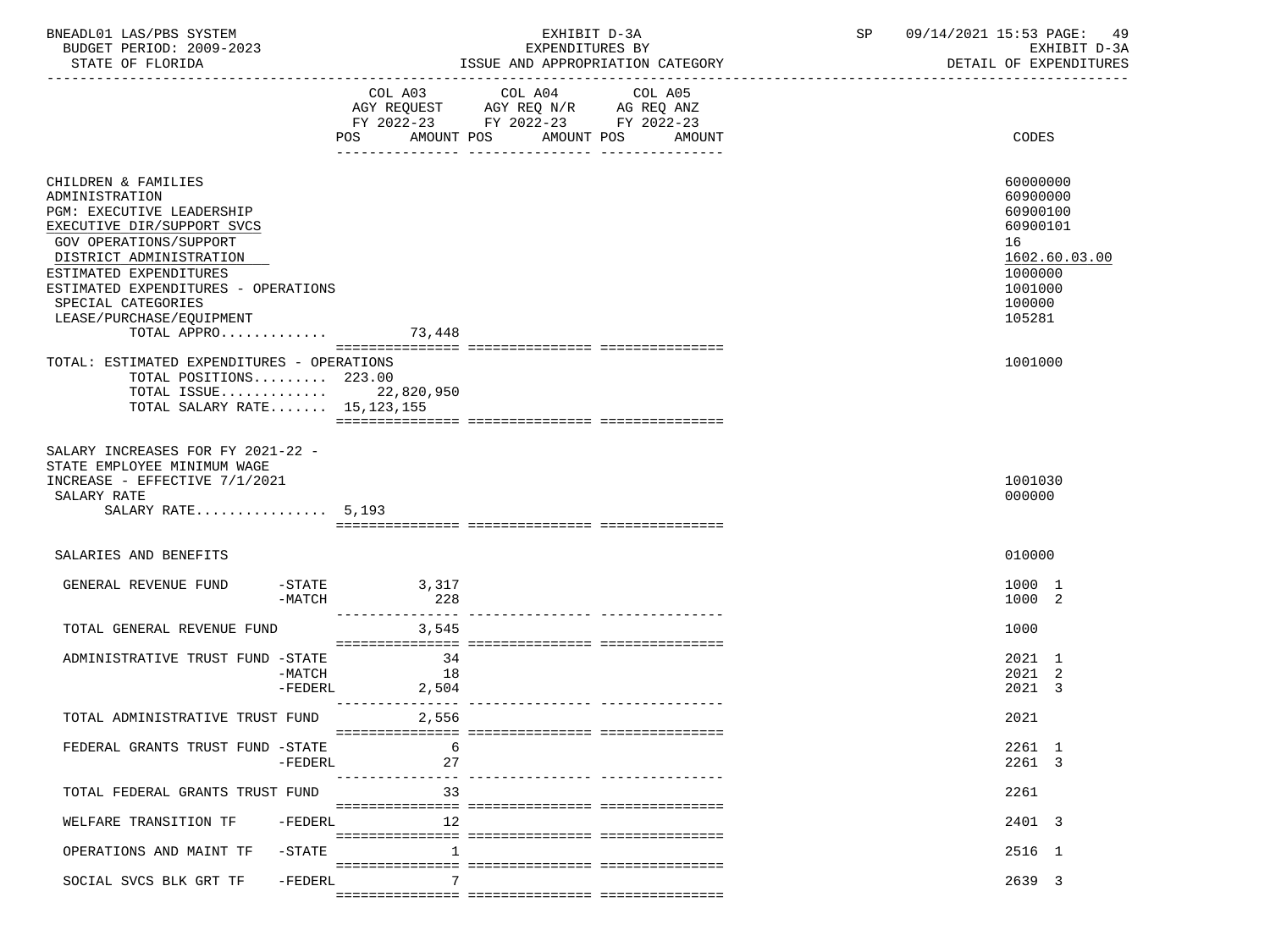| BNEADL01 LAS/PBS SYSTEM<br>BUDGET PERIOD: 2009-2023<br>STATE OF FLORIDA                                                                                                                                                                             |           | EXHIBIT D-3A<br>EXPENDITURES BY<br>ISSUE AND APPROPRIATION CATEGORY |                                                               |                                  | 09/14/2021 15:53 PAGE: 49<br>$\mathsf{SP}^-$<br>EXHIBIT D-3A<br>DETAIL OF EXPENDITURES |                                                                                                     |  |
|-----------------------------------------------------------------------------------------------------------------------------------------------------------------------------------------------------------------------------------------------------|-----------|---------------------------------------------------------------------|---------------------------------------------------------------|----------------------------------|----------------------------------------------------------------------------------------|-----------------------------------------------------------------------------------------------------|--|
|                                                                                                                                                                                                                                                     |           | FY 2022-23 FY 2022-23 FY 2022-23                                    | COL A03 COL A04 COL A05<br>AGY REQUEST AGY REQ N/R AG REQ ANZ | POS AMOUNT POS AMOUNT POS AMOUNT |                                                                                        | CODES                                                                                               |  |
| CHILDREN & FAMILIES<br>ADMINISTRATION<br>PGM: EXECUTIVE LEADERSHIP<br>EXECUTIVE DIR/SUPPORT SVCS<br><b>GOV OPERATIONS/SUPPORT</b><br>DISTRICT ADMINISTRATION<br>ESTIMATED EXPENDITURES<br>ESTIMATED EXPENDITURES - OPERATIONS<br>SPECIAL CATEGORIES |           |                                                                     |                                                               |                                  |                                                                                        | 60000000<br>60900000<br>60900100<br>60900101<br>16<br>1602.60.03.00<br>1000000<br>1001000<br>100000 |  |
| LEASE/PURCHASE/EQUIPMENT<br>TOTAL APPRO 73,448                                                                                                                                                                                                      |           |                                                                     |                                                               |                                  |                                                                                        | 105281                                                                                              |  |
| TOTAL: ESTIMATED EXPENDITURES - OPERATIONS<br>TOTAL POSITIONS 223.00<br>TOTAL ISSUE 22,820,950<br>TOTAL SALARY RATE 15, 123, 155                                                                                                                    |           |                                                                     |                                                               |                                  |                                                                                        | 1001000                                                                                             |  |
| SALARY INCREASES FOR FY 2021-22 -<br>STATE EMPLOYEE MINIMUM WAGE<br>INCREASE - EFFECTIVE 7/1/2021<br>SALARY RATE<br>SALARY RATE 5,193                                                                                                               |           |                                                                     |                                                               |                                  |                                                                                        | 1001030<br>000000                                                                                   |  |
| SALARIES AND BENEFITS                                                                                                                                                                                                                               |           |                                                                     |                                                               |                                  |                                                                                        | 010000                                                                                              |  |
| GENERAL REVENUE FUND -STATE 3,317                                                                                                                                                                                                                   | -MATCH    | 228                                                                 |                                                               |                                  |                                                                                        | 1000 1<br>1000 2                                                                                    |  |
| TOTAL GENERAL REVENUE FUND 3,545                                                                                                                                                                                                                    |           |                                                                     |                                                               |                                  |                                                                                        | 1000                                                                                                |  |
| ADMINISTRATIVE TRUST FUND -STATE                                                                                                                                                                                                                    | $-MATCH$  | 34<br>18<br>-FEDERL 2,504                                           |                                                               |                                  |                                                                                        | 2021 1<br>2021 2<br>2021 3                                                                          |  |
| TOTAL ADMINISTRATIVE TRUST FUND                                                                                                                                                                                                                     |           | 2,556                                                               |                                                               |                                  |                                                                                        | 2021                                                                                                |  |
| FEDERAL GRANTS TRUST FUND -STATE                                                                                                                                                                                                                    | $-FEDERL$ | 6<br>27                                                             |                                                               |                                  |                                                                                        | 2261 1<br>2261 3                                                                                    |  |
| TOTAL FEDERAL GRANTS TRUST FUND                                                                                                                                                                                                                     |           | 33                                                                  |                                                               |                                  |                                                                                        | 2261                                                                                                |  |
| WELFARE TRANSITION TF                                                                                                                                                                                                                               | -FEDERL   | 12                                                                  |                                                               |                                  |                                                                                        | 2401 3                                                                                              |  |
| OPERATIONS AND MAINT TF -STATE                                                                                                                                                                                                                      |           | $\mathbf{1}$                                                        |                                                               |                                  |                                                                                        | 2516 1                                                                                              |  |

=============== =============== ===============

SOCIAL SVCS BLK GRT TF -FEDERL 7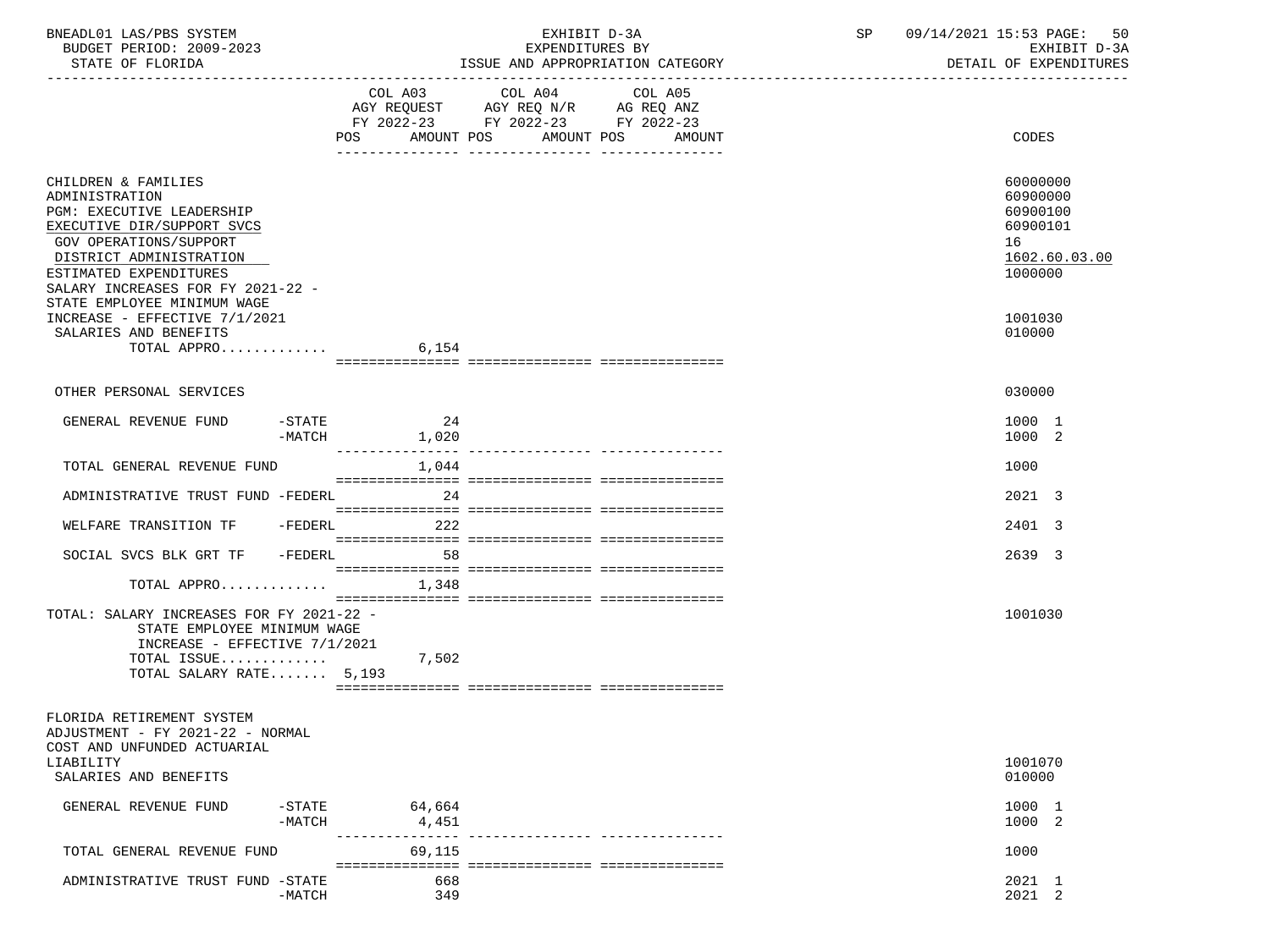| BNEADL01 LAS/PBS SYSTEM<br>BUDGET PERIOD: 2009-2023<br>STATE OF FLORIDA                                                                                                                                                                             |                                          | EXHIBIT D-3A<br>EXPENDITURES BY<br>ISSUE AND APPROPRIATION CATEGORY                                                                     | SP 09/14/2021 15:53 PAGE: 50 | EXHIBIT D-3A<br>DETAIL OF EXPENDITURES                                         |
|-----------------------------------------------------------------------------------------------------------------------------------------------------------------------------------------------------------------------------------------------------|------------------------------------------|-----------------------------------------------------------------------------------------------------------------------------------------|------------------------------|--------------------------------------------------------------------------------|
|                                                                                                                                                                                                                                                     | POS                                      | COL A03 COL A04<br>COL A05<br>AGY REQUEST AGY REQ N/R AG REQ ANZ<br>FY 2022-23 FY 2022-23 FY 2022-23<br>AMOUNT POS AMOUNT POS<br>AMOUNT |                              | CODES                                                                          |
| CHILDREN & FAMILIES<br>ADMINISTRATION<br>PGM: EXECUTIVE LEADERSHIP<br>EXECUTIVE DIR/SUPPORT SVCS<br>GOV OPERATIONS/SUPPORT<br>DISTRICT ADMINISTRATION<br>ESTIMATED EXPENDITURES<br>SALARY INCREASES FOR FY 2021-22 -<br>STATE EMPLOYEE MINIMUM WAGE |                                          |                                                                                                                                         |                              | 60000000<br>60900000<br>60900100<br>60900101<br>16<br>1602.60.03.00<br>1000000 |
| INCREASE - EFFECTIVE 7/1/2021<br>SALARIES AND BENEFITS<br>TOTAL APPRO                                                                                                                                                                               | 6,154                                    |                                                                                                                                         |                              | 1001030<br>010000                                                              |
| OTHER PERSONAL SERVICES                                                                                                                                                                                                                             |                                          |                                                                                                                                         |                              | 030000                                                                         |
|                                                                                                                                                                                                                                                     |                                          |                                                                                                                                         |                              |                                                                                |
| GENERAL REVENUE FUND -STATE                                                                                                                                                                                                                         | 24<br>$-MATCH$ 1,020                     |                                                                                                                                         |                              | 1000 1<br>1000 2                                                               |
| TOTAL GENERAL REVENUE FUND                                                                                                                                                                                                                          | 1,044                                    |                                                                                                                                         |                              | 1000                                                                           |
| ADMINISTRATIVE TRUST FUND -FEDERL                                                                                                                                                                                                                   | 24                                       |                                                                                                                                         |                              | 2021 3                                                                         |
| WELFARE TRANSITION TF - FEDERL 222                                                                                                                                                                                                                  |                                          |                                                                                                                                         |                              | 2401 3                                                                         |
| SOCIAL SVCS BLK GRT TF - FEDERL 58                                                                                                                                                                                                                  |                                          |                                                                                                                                         |                              | 2639 3                                                                         |
| TOTAL APPRO $1,348$                                                                                                                                                                                                                                 |                                          |                                                                                                                                         |                              |                                                                                |
| TOTAL: SALARY INCREASES FOR FY 2021-22 -<br>STATE EMPLOYEE MINIMUM WAGE<br>INCREASE - EFFECTIVE 7/1/2021<br>TOTAL ISSUE<br>TOTAL SALARY RATE 5,193                                                                                                  | 7,502                                    |                                                                                                                                         |                              | 1001030                                                                        |
| FLORIDA RETIREMENT SYSTEM<br>ADJUSTMENT - FY 2021-22 - NORMAL<br>COST AND UNFUNDED ACTUARIAL                                                                                                                                                        |                                          |                                                                                                                                         |                              |                                                                                |
| LIABILITY<br>SALARIES AND BENEFITS                                                                                                                                                                                                                  |                                          |                                                                                                                                         |                              | 1001070<br>010000                                                              |
| GENERAL REVENUE FUND                                                                                                                                                                                                                                | $-$ STATE<br>64,664<br>$-MATCH$<br>4,451 |                                                                                                                                         |                              | 1000 1<br>1000 2                                                               |
| TOTAL GENERAL REVENUE FUND                                                                                                                                                                                                                          | 69,115                                   |                                                                                                                                         |                              | 1000                                                                           |
| ADMINISTRATIVE TRUST FUND -STATE                                                                                                                                                                                                                    | 668<br>$-MATCH$<br>349                   |                                                                                                                                         |                              | 2021 1<br>2021 2                                                               |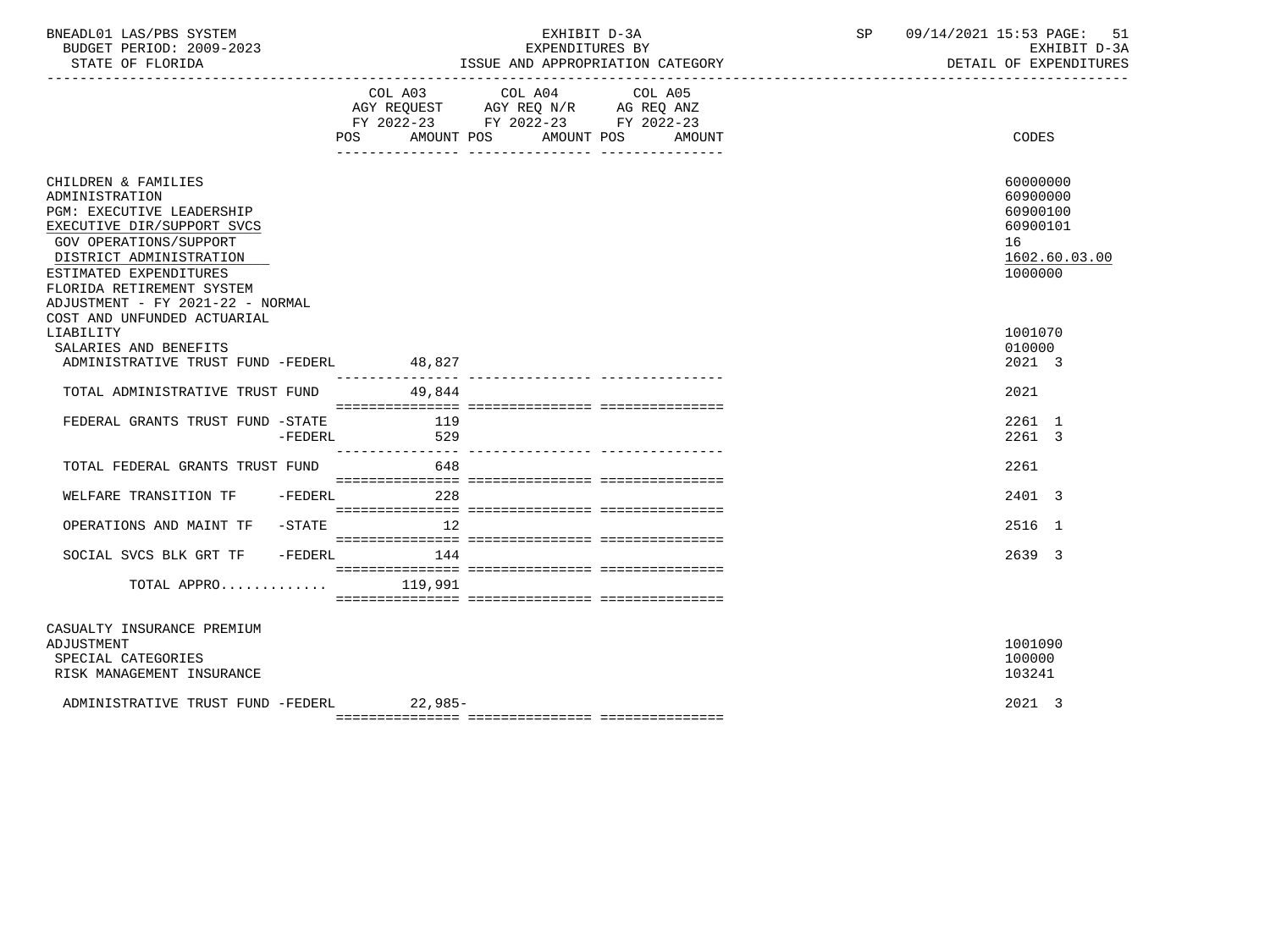| BNEADL01 LAS/PBS SYSTEM |                           |                          |
|-------------------------|---------------------------|--------------------------|
|                         |                           | BUDGET PERIOD: 2009-2023 |
|                         | $CDMMD$ $CD$ $DT$ $CDTDA$ |                          |

# EXHIBIT D-3A SP 09/14/2021 15:53 PAGE: 51<br>RPENDITURES BY

BUDGET PERIOD: 2009-2023 EXPENDITURES BY EXHIBIT D-3A

| STATE OF FLORIDA                                                                                                                                                                                                                                        |                            | ISSUE AND APPROPRIATION CATEGORY                                                                                          | DETAIL OF EXPENDITURES<br>-------------------------------                      |
|---------------------------------------------------------------------------------------------------------------------------------------------------------------------------------------------------------------------------------------------------------|----------------------------|---------------------------------------------------------------------------------------------------------------------------|--------------------------------------------------------------------------------|
|                                                                                                                                                                                                                                                         | AMOUNT POS<br>POS          | COL A03 COL A04 COL A05<br>AGY REQUEST AGY REQ N/R AG REQ ANZ<br>FY 2022-23 FY 2022-23 FY 2022-23<br>AMOUNT POS<br>AMOUNT | <b>CODES</b>                                                                   |
| CHILDREN & FAMILIES<br>ADMINISTRATION<br>PGM: EXECUTIVE LEADERSHIP<br>EXECUTIVE DIR/SUPPORT SVCS<br><b>GOV OPERATIONS/SUPPORT</b><br>DISTRICT ADMINISTRATION<br>ESTIMATED EXPENDITURES<br>FLORIDA RETIREMENT SYSTEM<br>ADJUSTMENT - FY 2021-22 - NORMAL |                            |                                                                                                                           | 60000000<br>60900000<br>60900100<br>60900101<br>16<br>1602.60.03.00<br>1000000 |
| COST AND UNFUNDED ACTUARIAL<br>LIABILITY<br>SALARIES AND BENEFITS<br>ADMINISTRATIVE TRUST FUND -FEDERL                                                                                                                                                  | 48,827<br>---------------- |                                                                                                                           | 1001070<br>010000<br>2021 3                                                    |
| TOTAL ADMINISTRATIVE TRUST FUND                                                                                                                                                                                                                         | 49,844                     |                                                                                                                           | 2021                                                                           |
| FEDERAL GRANTS TRUST FUND -STATE<br>$-FEDERL$                                                                                                                                                                                                           | 119<br>529                 |                                                                                                                           | 2261 1<br>2261 3                                                               |
| TOTAL FEDERAL GRANTS TRUST FUND                                                                                                                                                                                                                         | 648                        |                                                                                                                           | 2261                                                                           |
| WELFARE TRANSITION TF<br>$-FEDERL$                                                                                                                                                                                                                      | 228                        |                                                                                                                           | 2401 3                                                                         |
| OPERATIONS AND MAINT TF -STATE                                                                                                                                                                                                                          | 12                         |                                                                                                                           | 2516 1                                                                         |
| SOCIAL SVCS BLK GRT TF -FEDERL 144                                                                                                                                                                                                                      |                            |                                                                                                                           | 2639 3                                                                         |
| TOTAL APPRO $119,991$                                                                                                                                                                                                                                   |                            |                                                                                                                           |                                                                                |
| CASUALTY INSURANCE PREMIUM<br>ADJUSTMENT<br>SPECIAL CATEGORIES<br>RISK MANAGEMENT INSURANCE                                                                                                                                                             |                            |                                                                                                                           | 1001090<br>100000<br>103241                                                    |
| ADMINISTRATIVE TRUST FUND -FEDERL 22.985-                                                                                                                                                                                                               |                            |                                                                                                                           | 2021 3                                                                         |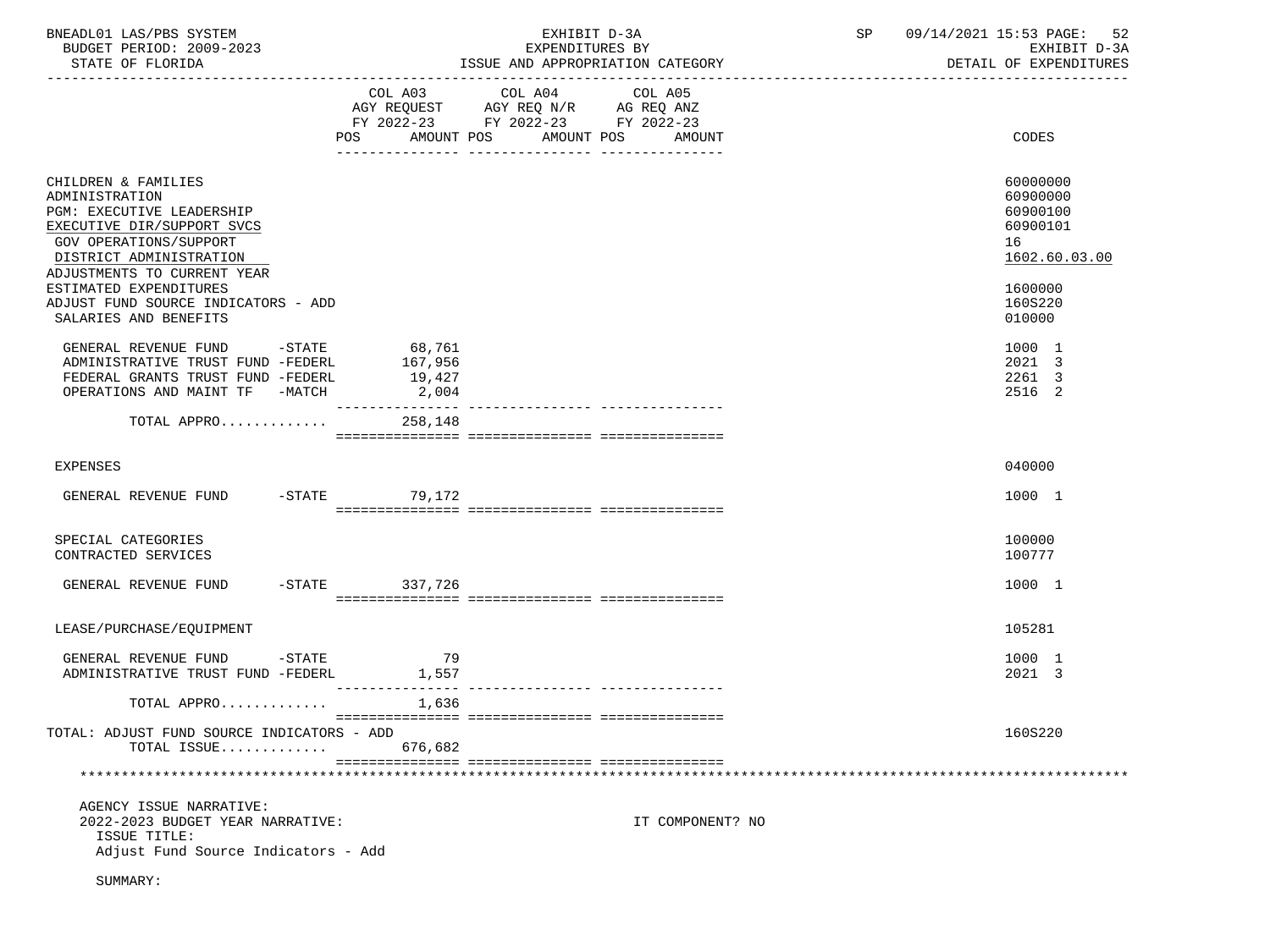| BNEADL01 LAS/PBS SYSTEM<br>BUDGET PERIOD: 2009-2023<br>STATE OF FLORIDA                                                                                                                     |                                               | EXHIBIT D-3A<br>EXPENDITURES BY<br>ISSUE AND APPROPRIATION CATEGORY                                                                                                                                                                                    | SP<br>09/14/2021 15:53 PAGE: 52<br>EXHIBIT D-3A<br>DETAIL OF EXPENDITURES |
|---------------------------------------------------------------------------------------------------------------------------------------------------------------------------------------------|-----------------------------------------------|--------------------------------------------------------------------------------------------------------------------------------------------------------------------------------------------------------------------------------------------------------|---------------------------------------------------------------------------|
|                                                                                                                                                                                             | AMOUNT POS<br>POS                             | COL A03 COL A04<br>COL A05<br>$\begin{tabular}{lllllll} AGY & \texttt{REQUEST} & & \texttt{AGY} & \texttt{REG} & \texttt{N/R} & & \texttt{AG} & \texttt{REQ} & \texttt{ANZ} \end{tabular}$<br>FY 2022-23 FY 2022-23 FY 2022-23<br>AMOUNT POS<br>AMOUNT | CODES                                                                     |
| CHILDREN & FAMILIES<br>ADMINISTRATION<br><b>PGM: EXECUTIVE LEADERSHIP</b><br>EXECUTIVE DIR/SUPPORT SVCS<br>GOV OPERATIONS/SUPPORT<br>DISTRICT ADMINISTRATION<br>ADJUSTMENTS TO CURRENT YEAR |                                               |                                                                                                                                                                                                                                                        | 60000000<br>60900000<br>60900100<br>60900101<br>16<br>1602.60.03.00       |
| ESTIMATED EXPENDITURES<br>ADJUST FUND SOURCE INDICATORS - ADD<br>SALARIES AND BENEFITS                                                                                                      |                                               |                                                                                                                                                                                                                                                        | 1600000<br>160S220<br>010000                                              |
| GENERAL REVENUE FUND<br>ADMINISTRATIVE TRUST FUND -FEDERL<br>FEDERAL GRANTS TRUST FUND -FEDERL<br>OPERATIONS AND MAINT TF -MATCH                                                            | $-STATE$ 68,761<br>167,956<br>19,427<br>2,004 |                                                                                                                                                                                                                                                        | 1000 1<br>2021 3<br>2261 3<br>2516 2                                      |
| TOTAL APPRO                                                                                                                                                                                 | 258,148                                       |                                                                                                                                                                                                                                                        |                                                                           |
| <b>EXPENSES</b>                                                                                                                                                                             |                                               |                                                                                                                                                                                                                                                        | 040000                                                                    |
| GENERAL REVENUE FUND -STATE 79,172                                                                                                                                                          |                                               |                                                                                                                                                                                                                                                        | 1000 1                                                                    |
| SPECIAL CATEGORIES<br>CONTRACTED SERVICES                                                                                                                                                   |                                               |                                                                                                                                                                                                                                                        | 100000<br>100777                                                          |
| GENERAL REVENUE FUND                                                                                                                                                                        | -STATE 337,726                                |                                                                                                                                                                                                                                                        | 1000 1                                                                    |
| LEASE/PURCHASE/EQUIPMENT                                                                                                                                                                    |                                               |                                                                                                                                                                                                                                                        | 105281                                                                    |
| GENERAL REVENUE FUND -STATE<br>ADMINISTRATIVE TRUST FUND -FEDERL                                                                                                                            | 79<br>1,557<br>----------------               |                                                                                                                                                                                                                                                        | 1000 1<br>2021 3                                                          |
| TOTAL APPRO<br>TOTAL: ADJUST FUND SOURCE INDICATORS - ADD<br>TOTAL ISSUE                                                                                                                    | 1,636<br>676,682                              |                                                                                                                                                                                                                                                        | 160S220                                                                   |
|                                                                                                                                                                                             |                                               |                                                                                                                                                                                                                                                        |                                                                           |
| AGENCY ISSUE NARRATIVE:<br>2022-2023 BUDGET YEAR NARRATIVE:<br>ISSUE TITLE:<br>Adjust Fund Source Indicators - Add                                                                          |                                               | IT COMPONENT? NO                                                                                                                                                                                                                                       |                                                                           |
| SUMMARY:                                                                                                                                                                                    |                                               |                                                                                                                                                                                                                                                        |                                                                           |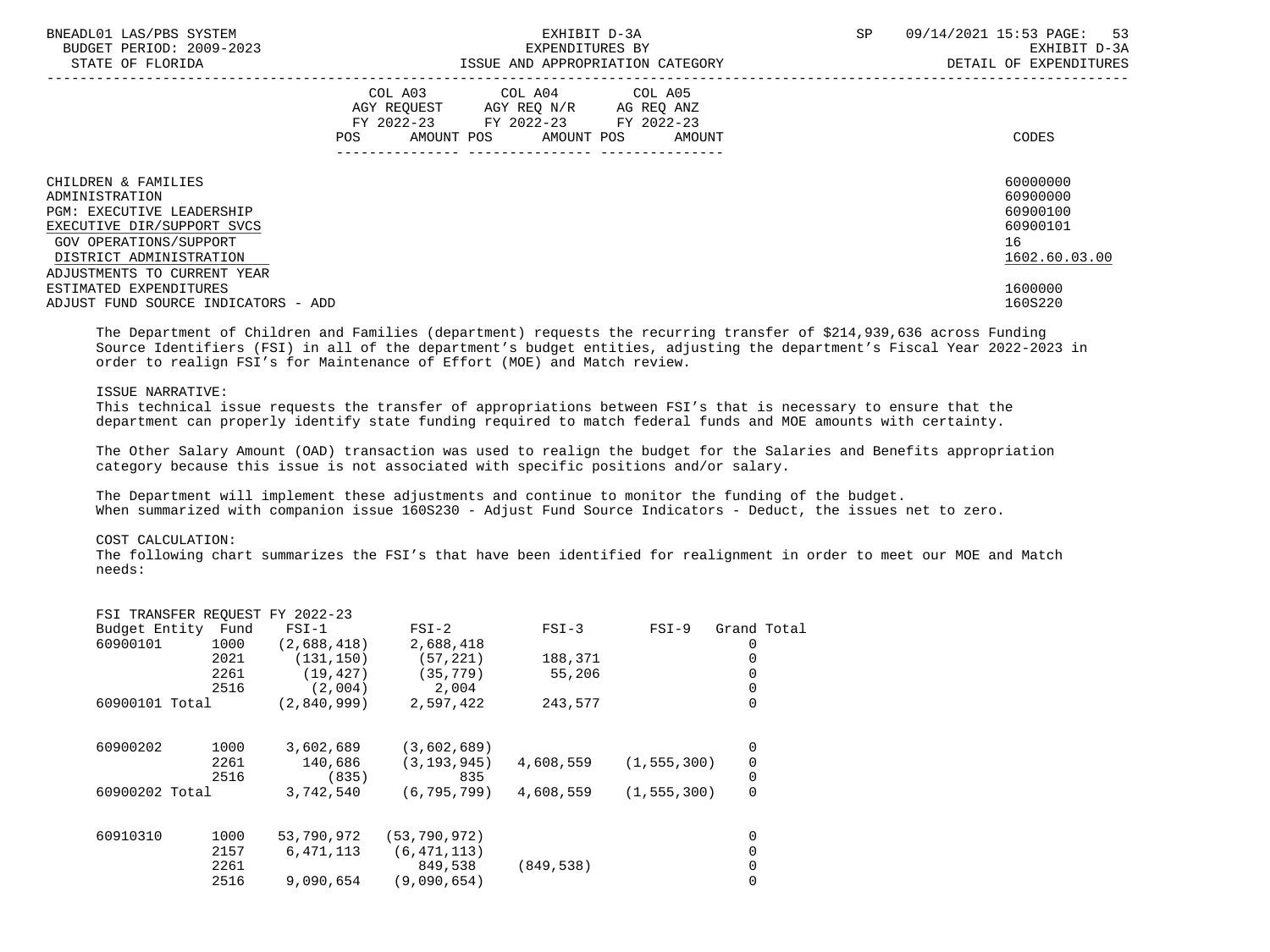| BNEADL01 LAS/PBS SYSTEM<br>BUDGET PERIOD: 2009-2023<br>STATE OF FLORIDA                      |     | EXPENDITURES BY                                                                                                                   | EXHIBIT D-3A<br>ISSUE AND APPROPRIATION CATEGORY | <b>SP</b> | -53<br>09/14/2021 15:53 PAGE:<br>EXHIBIT D-3A<br>DETAIL OF EXPENDITURES |
|----------------------------------------------------------------------------------------------|-----|-----------------------------------------------------------------------------------------------------------------------------------|--------------------------------------------------|-----------|-------------------------------------------------------------------------|
|                                                                                              | POS | COL A03 COL A04 COL A05<br>AGY REQUEST AGY REQ N/R AG REQ ANZ<br>FY 2022-23 FY 2022-23 FY 2022-23<br>AMOUNT POS AMOUNT POS AMOUNT |                                                  |           | CODES                                                                   |
| CHILDREN & FAMILIES<br>ADMINISTRATION                                                        |     |                                                                                                                                   |                                                  |           | 60000000<br>60900000                                                    |
| <b>PGM: EXECUTIVE LEADERSHIP</b><br>EXECUTIVE DIR/SUPPORT SVCS                               |     |                                                                                                                                   |                                                  |           | 60900100<br>60900101                                                    |
| GOV OPERATIONS/SUPPORT<br>DISTRICT ADMINISTRATION                                            |     |                                                                                                                                   |                                                  |           | 16<br>1602.60.03.00                                                     |
| ADJUSTMENTS TO CURRENT YEAR<br>ESTIMATED EXPENDITURES<br>ADJUST FUND SOURCE INDICATORS - ADD |     |                                                                                                                                   |                                                  |           | 1600000<br>160S220                                                      |

 The Department of Children and Families (department) requests the recurring transfer of \$214,939,636 across Funding Source Identifiers (FSI) in all of the department's budget entities, adjusting the department's Fiscal Year 2022-2023 in order to realign FSI's for Maintenance of Effort (MOE) and Match review.

# ISSUE NARRATIVE:

 This technical issue requests the transfer of appropriations between FSI's that is necessary to ensure that the department can properly identify state funding required to match federal funds and MOE amounts with certainty.

 The Other Salary Amount (OAD) transaction was used to realign the budget for the Salaries and Benefits appropriation category because this issue is not associated with specific positions and/or salary.

 The Department will implement these adjustments and continue to monitor the funding of the budget. When summarized with companion issue 160S230 - Adjust Fund Source Indicators - Deduct, the issues net to zero.

## COST CALCULATION:

FSI TRANSFER REQUEST FY 2022-23

 The following chart summarizes the FSI's that have been identified for realignment in order to meet our MOE and Match needs:

|                    |      | FSI IRANSFER REQUESI FY 2022-23 |                |            |               |             |
|--------------------|------|---------------------------------|----------------|------------|---------------|-------------|
| Budget Entity Fund |      | $FSI-1$                         | $FSI-2$        | $FSI-3$    | $FSI-9$       | Grand Total |
| 60900101           | 1000 | (2,688,418)                     | 2,688,418      |            |               |             |
|                    | 2021 | (131, 150)                      | (57, 221)      | 188,371    |               |             |
|                    | 2261 | (19, 427)                       | (35, 779)      | 55,206     |               |             |
|                    | 2516 | (2.004)                         | 2,004          |            |               |             |
| 60900101 Total     |      | (2.840.999)                     | 2,597,422      | 243,577    |               | 0           |
| 60900202           | 1000 | 3,602,689                       | (3,602,689)    |            |               | 0           |
|                    | 2261 | 140,686                         | (3, 193, 945)  | 4,608,559  | (1, 555, 300) | $\mathsf 0$ |
|                    | 2516 | (835)                           | 835            |            |               | 0           |
| 60900202 Total     |      | 3,742,540                       | (6, 795, 799)  | 4,608,559  | (1, 555, 300) | $\mathbf 0$ |
| 60910310           | 1000 | 53,790,972                      | (53, 790, 972) |            |               | 0           |
|                    | 2157 | 6,471,113                       | (6, 471, 113)  |            |               |             |
|                    | 2261 |                                 | 849,538        | (849, 538) |               |             |
|                    | 2516 | 9,090,654                       | (9,090,654)    |            |               | 0           |
|                    |      |                                 |                |            |               |             |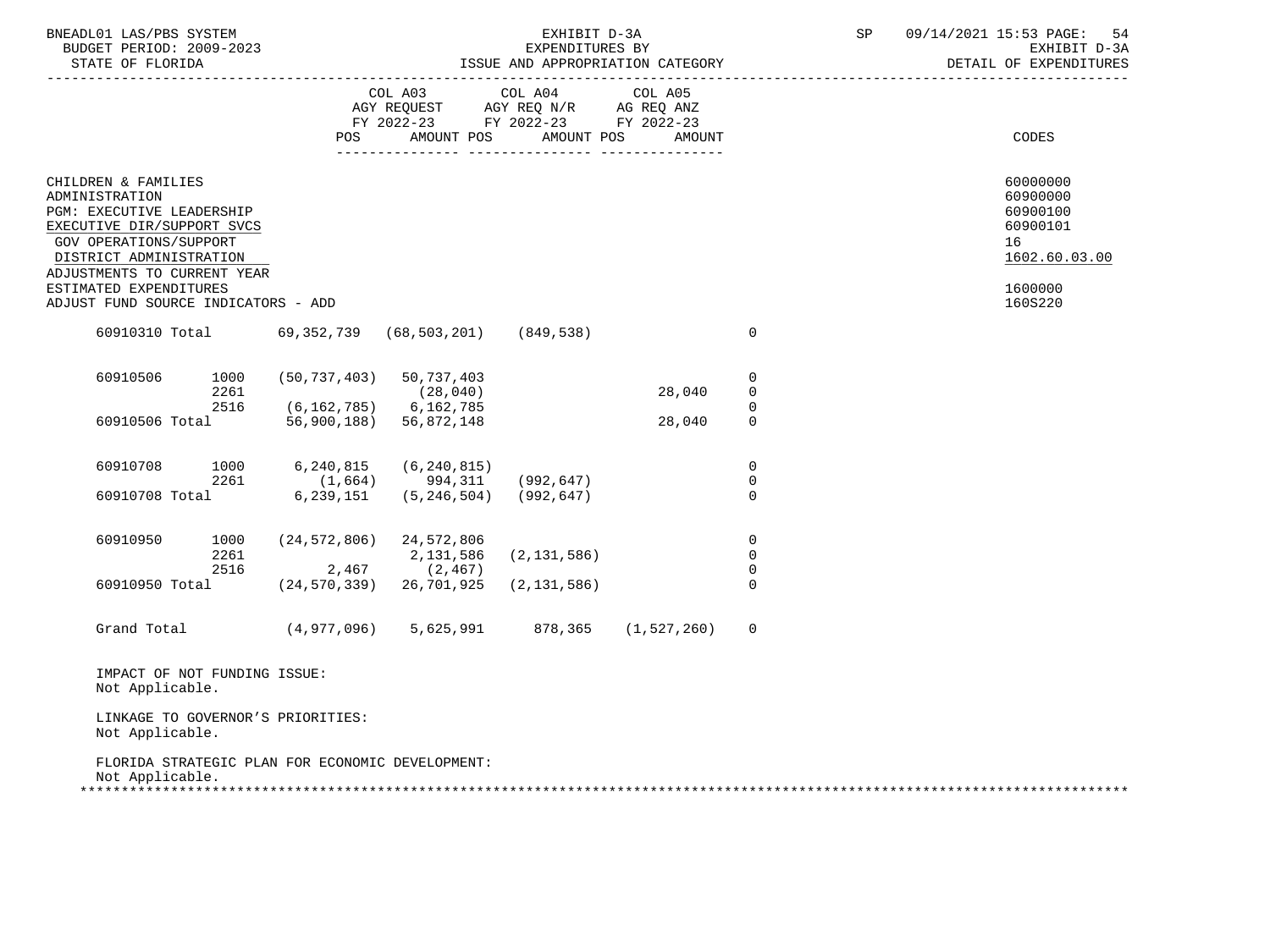| STATE OF FLORIDA                                                                                                                                                                                                                                      | BUDGET PERIOD: 2009-2023    | EXHIBIT D-3A<br>EXPENDITURES BY<br>ISSUE AND APPROPRIATION CATEGORY                             |                               |        |                                        | SP | 09/14/2021 15:53 PAGE:<br>54<br>EXHIBIT D-3A<br>DETAIL OF EXPENDITURES                    |
|-------------------------------------------------------------------------------------------------------------------------------------------------------------------------------------------------------------------------------------------------------|-----------------------------|-------------------------------------------------------------------------------------------------|-------------------------------|--------|----------------------------------------|----|-------------------------------------------------------------------------------------------|
|                                                                                                                                                                                                                                                       | POS                         | COL A03<br>AGY REQUEST AGY REQ N/R AG REQ ANZ<br>FY 2022-23 FY 2022-23 FY 2022-23<br>AMOUNT POS | COL A04 COL A05<br>AMOUNT POS | AMOUNT |                                        |    | CODES                                                                                     |
| CHILDREN & FAMILIES<br>ADMINISTRATION<br>PGM: EXECUTIVE LEADERSHIP<br>EXECUTIVE DIR/SUPPORT SVCS<br>GOV OPERATIONS/SUPPORT<br>DISTRICT ADMINISTRATION<br>ADJUSTMENTS TO CURRENT YEAR<br>ESTIMATED EXPENDITURES<br>ADJUST FUND SOURCE INDICATORS - ADD |                             |                                                                                                 |                               |        |                                        |    | 60000000<br>60900000<br>60900100<br>60900101<br>16<br>1602.60.03.00<br>1600000<br>160S220 |
| 60910310 Total 69,352,739 (68,503,201)                                                                                                                                                                                                                |                             |                                                                                                 | (849, 538)                    |        | $\mathbf 0$                            |    |                                                                                           |
| 60910506<br>1000<br>2261<br>2516                                                                                                                                                                                                                      | $(6, 162, 785)$ 6, 162, 785 | $(50, 737, 403)$ 50, 737, 403<br>(28, 040)                                                      |                               | 28,040 | 0<br>$\mathbf 0$                       |    |                                                                                           |
| 60910506 Total                                                                                                                                                                                                                                        |                             | 56,900,188) 56,872,148                                                                          |                               | 28,040 | 0<br>$\mathbf 0$                       |    |                                                                                           |
| 60910708<br>1000<br>2261<br>60910708 Total                                                                                                                                                                                                            | 6,240,815<br>6,239,151      | (6, 240, 815)<br>$(1,664)$ 994,311 (992,647)<br>$(5, 246, 504)$ (992,647)                       |                               |        | $\mathbf 0$<br>$\mathbf 0$<br>$\Omega$ |    |                                                                                           |
| 60910950<br>1000<br>2261<br>2516                                                                                                                                                                                                                      | 2,467                       | $(24, 572, 806)$ 24, 572, 806<br>2,131,586<br>(2, 467)                                          | (2, 131, 586)                 |        | $\mathbf 0$<br>$\mathbf 0$<br>$\Omega$ |    |                                                                                           |
| 60910950 Total                                                                                                                                                                                                                                        |                             | $(24, 570, 339)$ 26,701,925                                                                     | (2, 131, 586)                 |        | $\Omega$                               |    |                                                                                           |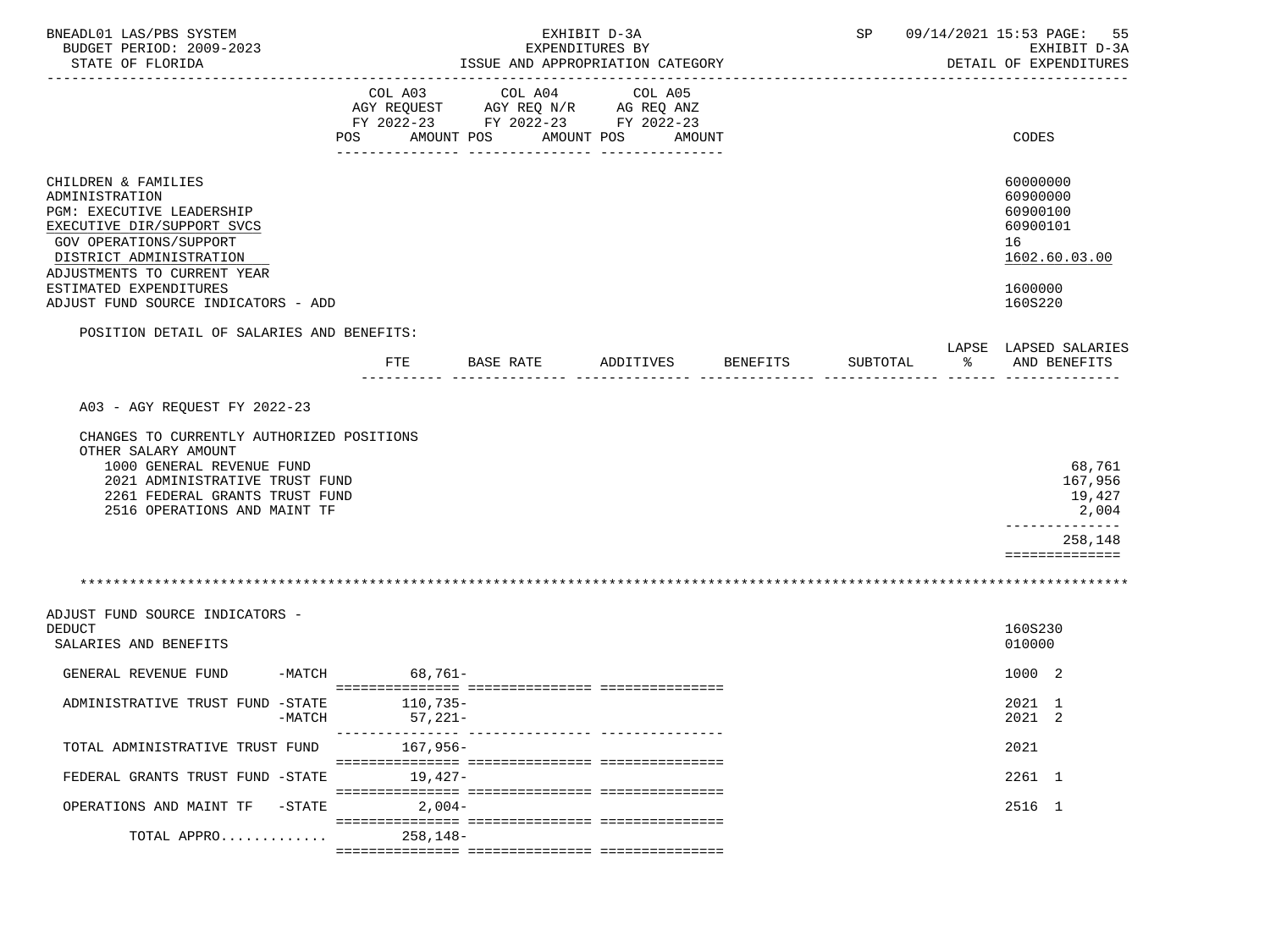| BNEADL01 LAS/PBS SYSTEM<br>BUDGET PERIOD: 2009-2023<br>STATE OF FLORIDA                                                                                                                                               | EXHIBIT D-3A<br>EXPENDITURES BY<br>ISSUE AND APPROPRIATION CATEGORY |                                                                                                 |                   |          | SP 09/14/2021 15:53 PAGE:<br>55<br>EXHIBIT D-3A<br>DETAIL OF EXPENDITURES<br>---------------------------------<br><u>.</u> |    |                                                                                |
|-----------------------------------------------------------------------------------------------------------------------------------------------------------------------------------------------------------------------|---------------------------------------------------------------------|-------------------------------------------------------------------------------------------------|-------------------|----------|----------------------------------------------------------------------------------------------------------------------------|----|--------------------------------------------------------------------------------|
|                                                                                                                                                                                                                       | COL A03<br>POS AMOUNT POS                                           | COL A04<br>AGY REQUEST AGY REQ N/R AG REQ ANZ<br>FY 2022-23 FY 2022-23 FY 2022-23<br>AMOUNT POS | COL A05<br>AMOUNT |          |                                                                                                                            |    | <b>CODES</b>                                                                   |
| CHILDREN & FAMILIES<br>ADMINISTRATION<br>PGM: EXECUTIVE LEADERSHIP<br>EXECUTIVE DIR/SUPPORT SVCS<br><b>GOV OPERATIONS/SUPPORT</b><br>DISTRICT ADMINISTRATION<br>ADJUSTMENTS TO CURRENT YEAR<br>ESTIMATED EXPENDITURES |                                                                     |                                                                                                 |                   |          |                                                                                                                            |    | 60000000<br>60900000<br>60900100<br>60900101<br>16<br>1602.60.03.00<br>1600000 |
| ADJUST FUND SOURCE INDICATORS - ADD                                                                                                                                                                                   |                                                                     |                                                                                                 |                   |          |                                                                                                                            |    | 160S220                                                                        |
| POSITION DETAIL OF SALARIES AND BENEFITS:                                                                                                                                                                             |                                                                     | FTE BASE RATE                                                                                   | ADDITIVES         | BENEFITS | SUBTOTAL                                                                                                                   | ႜၟ | LAPSE LAPSED SALARIES<br>AND BENEFITS                                          |
|                                                                                                                                                                                                                       |                                                                     |                                                                                                 |                   |          |                                                                                                                            |    |                                                                                |
| A03 - AGY REOUEST FY 2022-23                                                                                                                                                                                          |                                                                     |                                                                                                 |                   |          |                                                                                                                            |    |                                                                                |
| CHANGES TO CURRENTLY AUTHORIZED POSITIONS<br>OTHER SALARY AMOUNT<br>1000 GENERAL REVENUE FUND<br>2021 ADMINISTRATIVE TRUST FUND<br>2261 FEDERAL GRANTS TRUST FUND<br>2516 OPERATIONS AND MAINT TF                     |                                                                     |                                                                                                 |                   |          |                                                                                                                            |    | 68,761<br>167,956<br>19,427<br>2,004<br>. _ _ _ _ _ _ _ _ _ _ _ _              |
|                                                                                                                                                                                                                       |                                                                     |                                                                                                 |                   |          |                                                                                                                            |    | 258,148                                                                        |
|                                                                                                                                                                                                                       |                                                                     |                                                                                                 |                   |          |                                                                                                                            |    | ==============                                                                 |
|                                                                                                                                                                                                                       |                                                                     |                                                                                                 |                   |          |                                                                                                                            |    |                                                                                |
| ADJUST FUND SOURCE INDICATORS -<br><b>DEDUCT</b><br>SALARIES AND BENEFITS                                                                                                                                             |                                                                     |                                                                                                 |                   |          |                                                                                                                            |    | 160S230<br>010000                                                              |
| GENERAL REVENUE FUND                                                                                                                                                                                                  | -MATCH 68,761-                                                      |                                                                                                 |                   |          |                                                                                                                            |    | 1000 2                                                                         |
| ADMINISTRATIVE TRUST FUND -STATE<br>$-MATCH$                                                                                                                                                                          | 110,735-<br>$57,221-$<br>--------------- --                         |                                                                                                 |                   |          |                                                                                                                            |    | 2021 1<br>2021 2                                                               |
| TOTAL ADMINISTRATIVE TRUST FUND                                                                                                                                                                                       | 167,956-                                                            |                                                                                                 |                   |          |                                                                                                                            |    | 2021                                                                           |
| FEDERAL GRANTS TRUST FUND -STATE                                                                                                                                                                                      | 19,427-                                                             |                                                                                                 |                   |          |                                                                                                                            |    | 2261 1                                                                         |
| OPERATIONS AND MAINT TF -STATE                                                                                                                                                                                        | $2,004-$                                                            |                                                                                                 |                   |          |                                                                                                                            |    | 2516 1                                                                         |
| TOTAL APPRO                                                                                                                                                                                                           | $258, 148 -$                                                        |                                                                                                 |                   |          |                                                                                                                            |    |                                                                                |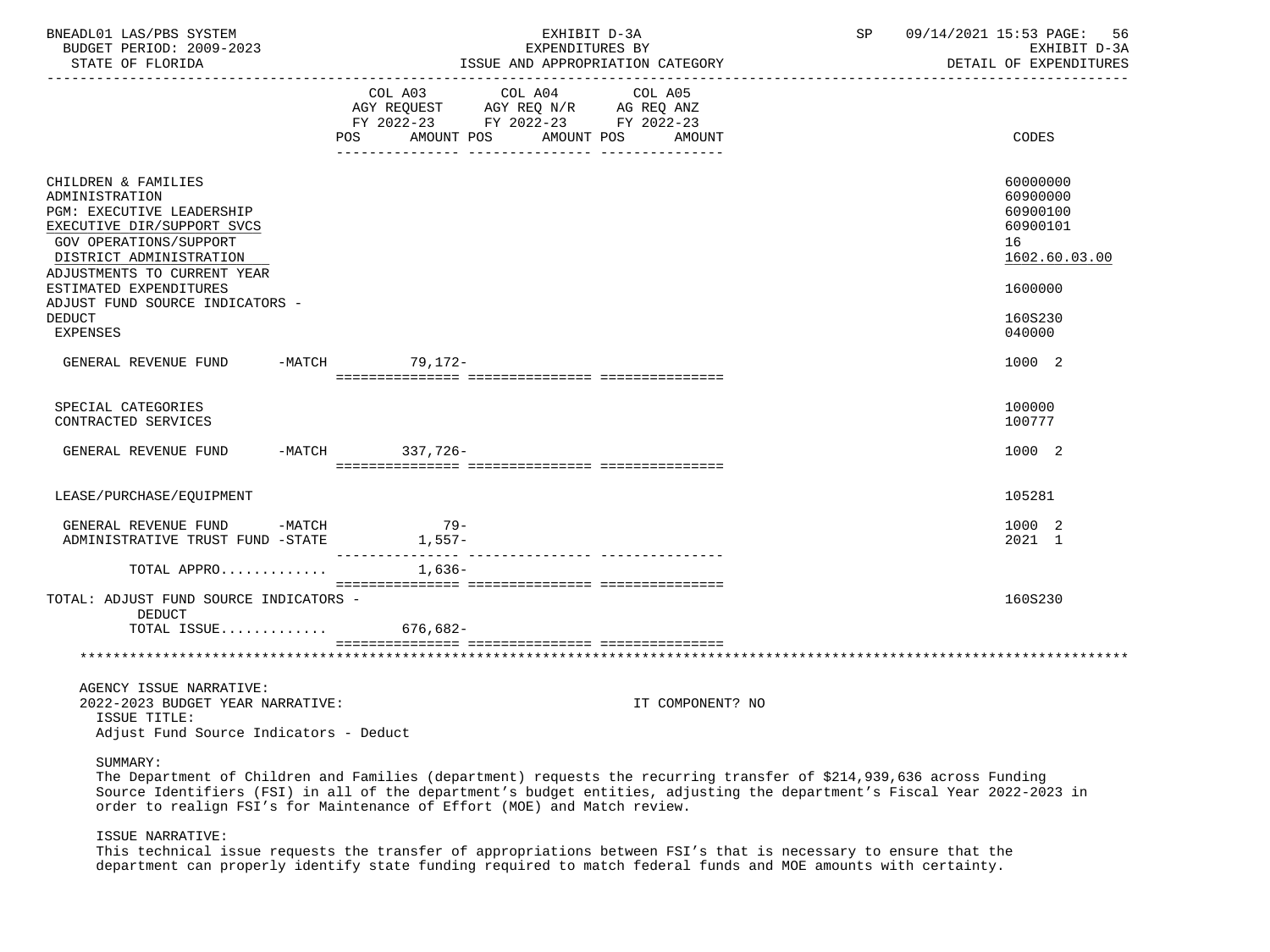| BNEADL01 LAS/PBS SYSTEM<br>BUDGET PERIOD: 2009-2023<br>STATE OF FLORIDA                                                                                                                     | EXHIBIT D-3A<br>EXPENDITURES BY<br>ISSUE AND APPROPRIATION CATEGORY                                                                         | 09/14/2021 15:53 PAGE:<br>SP<br>56<br>EXHIBIT D-3A<br>DETAIL OF EXPENDITURES |
|---------------------------------------------------------------------------------------------------------------------------------------------------------------------------------------------|---------------------------------------------------------------------------------------------------------------------------------------------|------------------------------------------------------------------------------|
|                                                                                                                                                                                             | COL A03 COL A04 COL A05<br>AGY REQUEST AGY REQ N/R AG REQ ANZ<br>FY 2022-23 FY 2022-23 FY 2022-23<br>POS<br>AMOUNT POS<br>AMOUNT POS AMOUNT | CODES                                                                        |
| CHILDREN & FAMILIES<br>ADMINISTRATION<br><b>PGM: EXECUTIVE LEADERSHIP</b><br>EXECUTIVE DIR/SUPPORT SVCS<br>GOV OPERATIONS/SUPPORT<br>DISTRICT ADMINISTRATION<br>ADJUSTMENTS TO CURRENT YEAR |                                                                                                                                             | 60000000<br>60900000<br>60900100<br>60900101<br>16<br>1602.60.03.00          |
| ESTIMATED EXPENDITURES<br>ADJUST FUND SOURCE INDICATORS -<br><b>DEDUCT</b><br><b>EXPENSES</b>                                                                                               |                                                                                                                                             | 1600000<br>160S230<br>040000                                                 |
| GENERAL REVENUE FUND -MATCH 79,172-                                                                                                                                                         |                                                                                                                                             | 1000 2                                                                       |
| SPECIAL CATEGORIES<br>CONTRACTED SERVICES                                                                                                                                                   |                                                                                                                                             | 100000<br>100777                                                             |
| GENERAL REVENUE FUND                                                                                                                                                                        | -MATCH 337,726-                                                                                                                             | 1000 2                                                                       |
| LEASE/PURCHASE/EQUIPMENT                                                                                                                                                                    |                                                                                                                                             | 105281                                                                       |
| GENERAL REVENUE FUND -MATCH<br>ADMINISTRATIVE TRUST FUND -STATE 1,557-                                                                                                                      | $79-$                                                                                                                                       | 1000 2<br>2021 1                                                             |
| TOTAL APPRO                                                                                                                                                                                 | 1,636-                                                                                                                                      |                                                                              |
| TOTAL: ADJUST FUND SOURCE INDICATORS -<br><b>DEDUCT</b><br>TOTAL ISSUE 676,682-                                                                                                             |                                                                                                                                             | 160S230                                                                      |
|                                                                                                                                                                                             |                                                                                                                                             |                                                                              |
| AGENCY ISSUE NARRATIVE:<br>2022-2023 BUDGET YEAR NARRATIVE:<br>ISSUE TITLE:<br>Adjust Fund Source Indicators - Deduct                                                                       |                                                                                                                                             | IT COMPONENT? NO                                                             |

# SUMMARY:

 The Department of Children and Families (department) requests the recurring transfer of \$214,939,636 across Funding Source Identifiers (FSI) in all of the department's budget entities, adjusting the department's Fiscal Year 2022-2023 in order to realign FSI's for Maintenance of Effort (MOE) and Match review.

#### ISSUE NARRATIVE:

 This technical issue requests the transfer of appropriations between FSI's that is necessary to ensure that the department can properly identify state funding required to match federal funds and MOE amounts with certainty.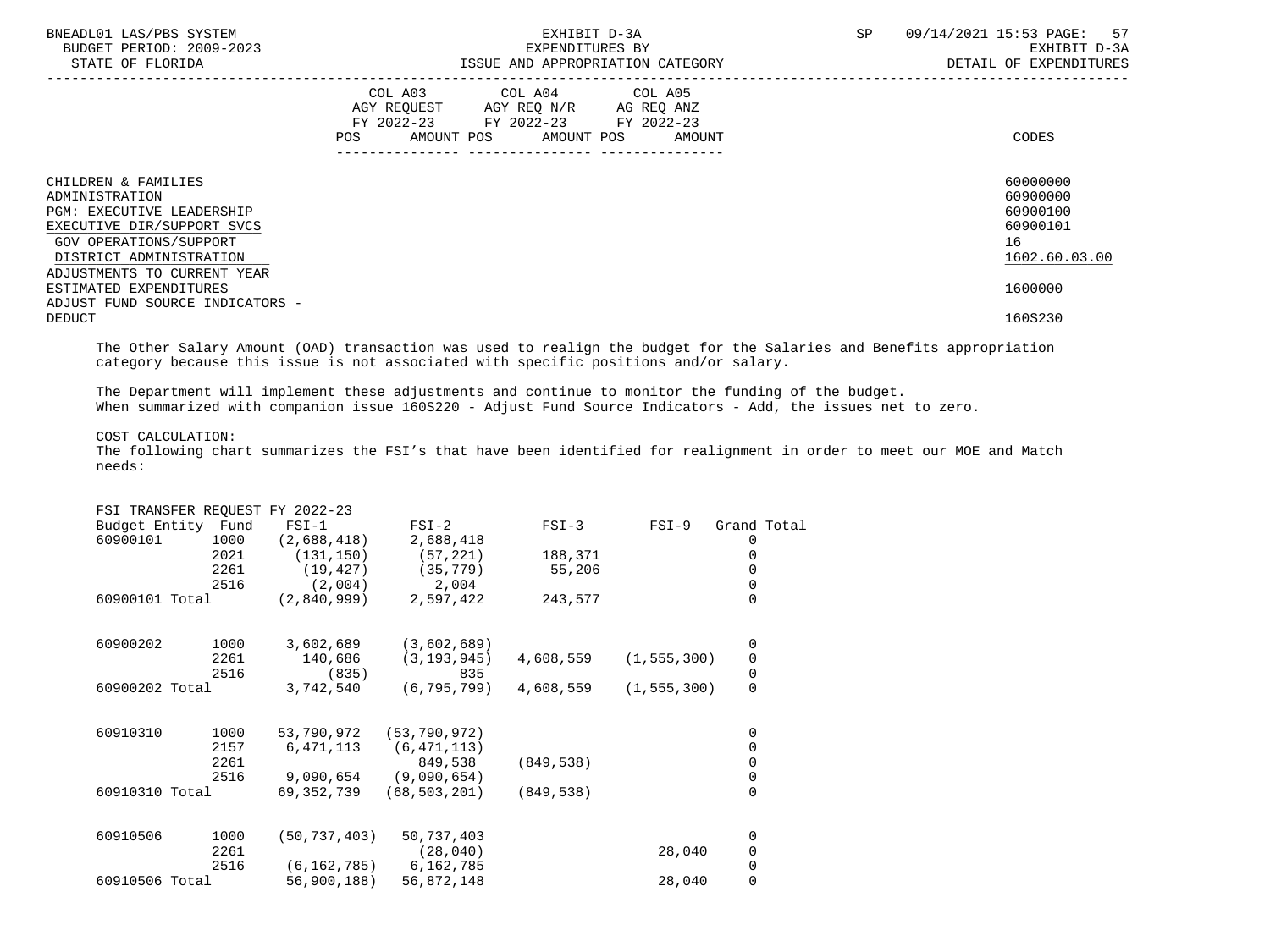| BNEADL01 LAS/PBS SYSTEM<br>BUDGET PERIOD: 2009-2023<br>STATE OF FLORIDA                                                                                                                     | EXHIBIT D-3A<br>EXPENDITURES BY<br>ISSUE AND APPROPRIATION CATEGORY                                                                      | SP<br>57<br>09/14/2021 15:53 PAGE:<br>EXHIBIT D-3A<br>DETAIL OF EXPENDITURES |
|---------------------------------------------------------------------------------------------------------------------------------------------------------------------------------------------|------------------------------------------------------------------------------------------------------------------------------------------|------------------------------------------------------------------------------|
|                                                                                                                                                                                             | COL A03 COL A04 COL A05<br>AGY REQUEST AGY REQ N/R AG REQ ANZ<br>FY 2022-23 FY 2022-23 FY 2022-23<br>POS<br>AMOUNT POS AMOUNT POS AMOUNT | CODES                                                                        |
| CHILDREN & FAMILIES<br>ADMINISTRATION<br><b>PGM: EXECUTIVE LEADERSHIP</b><br>EXECUTIVE DIR/SUPPORT SVCS<br>GOV OPERATIONS/SUPPORT<br>DISTRICT ADMINISTRATION<br>ADJUSTMENTS TO CURRENT YEAR |                                                                                                                                          | 60000000<br>60900000<br>60900100<br>60900101<br>16<br>1602.60.03.00          |
| ESTIMATED EXPENDITURES<br>ADJUST FUND SOURCE INDICATORS -<br><b>DEDUCT</b>                                                                                                                  |                                                                                                                                          | 1600000<br>160S230                                                           |

 The Other Salary Amount (OAD) transaction was used to realign the budget for the Salaries and Benefits appropriation category because this issue is not associated with specific positions and/or salary.

 The Department will implement these adjustments and continue to monitor the funding of the budget. When summarized with companion issue 160S220 - Adjust Fund Source Indicators - Add, the issues net to zero.

# COST CALCULATION:

 The following chart summarizes the FSI's that have been identified for realignment in order to meet our MOE and Match needs:

|                    |      | FSI TRANSFER REOUEST FY 2022-23 |                |            |               |                                           |  |
|--------------------|------|---------------------------------|----------------|------------|---------------|-------------------------------------------|--|
| Budget Entity Fund |      | $FSI-1$                         | $FSI-2$        | $FSI-3$    | $FSI-9$       | Grand Total                               |  |
| 60900101           | 1000 | (2,688,418)                     | 2,688,418      |            |               | 0                                         |  |
|                    | 2021 | (131, 150)                      | (57, 221)      | 188,371    |               | 0                                         |  |
|                    | 2261 | (19, 427)                       | (35, 779)      | 55,206     |               | 0                                         |  |
|                    | 2516 | (2,004)                         | 2,004          |            |               | 0                                         |  |
| 60900101 Total     |      | (2,840,999)                     | 2,597,422      | 243,577    |               | $\Omega$                                  |  |
| 60900202           | 1000 | 3,602,689                       | (3,602,689)    |            |               | 0                                         |  |
|                    | 2261 | 140,686                         | (3, 193, 945)  | 4,608,559  | (1, 555, 300) |                                           |  |
|                    | 2516 | (835)                           | 835            |            |               | $\begin{matrix} 0 \\ 0 \\ 0 \end{matrix}$ |  |
| 60900202 Total     |      | 3,742,540                       | (6, 795, 799)  | 4,608,559  | (1, 555, 300) |                                           |  |
| 60910310           | 1000 | 53,790,972                      | (53, 790, 972) |            |               | 0                                         |  |
|                    | 2157 | 6,471,113                       | (6, 471, 113)  |            |               | 0                                         |  |
|                    | 2261 |                                 | 849,538        | (849, 538) |               | $\mathsf{O}\xspace$                       |  |
|                    | 2516 | 9,090,654                       | (9,090,654)    |            |               | $\mathsf{O}\xspace$                       |  |
| 60910310 Total     |      | 69,352,739                      | (68, 503, 201) | (849, 538) |               | $\overline{0}$                            |  |
| 60910506           | 1000 | (50, 737, 403)                  | 50,737,403     |            |               | 0                                         |  |
|                    | 2261 |                                 | (28, 040)      |            | 28,040        | 0                                         |  |
|                    | 2516 | (6, 162, 785)                   | 6,162,785      |            |               | $\mathsf{O}\xspace$                       |  |
| 60910506 Total     |      | 56,900,188)                     | 56,872,148     |            | 28,040        | 0                                         |  |
|                    |      |                                 |                |            |               |                                           |  |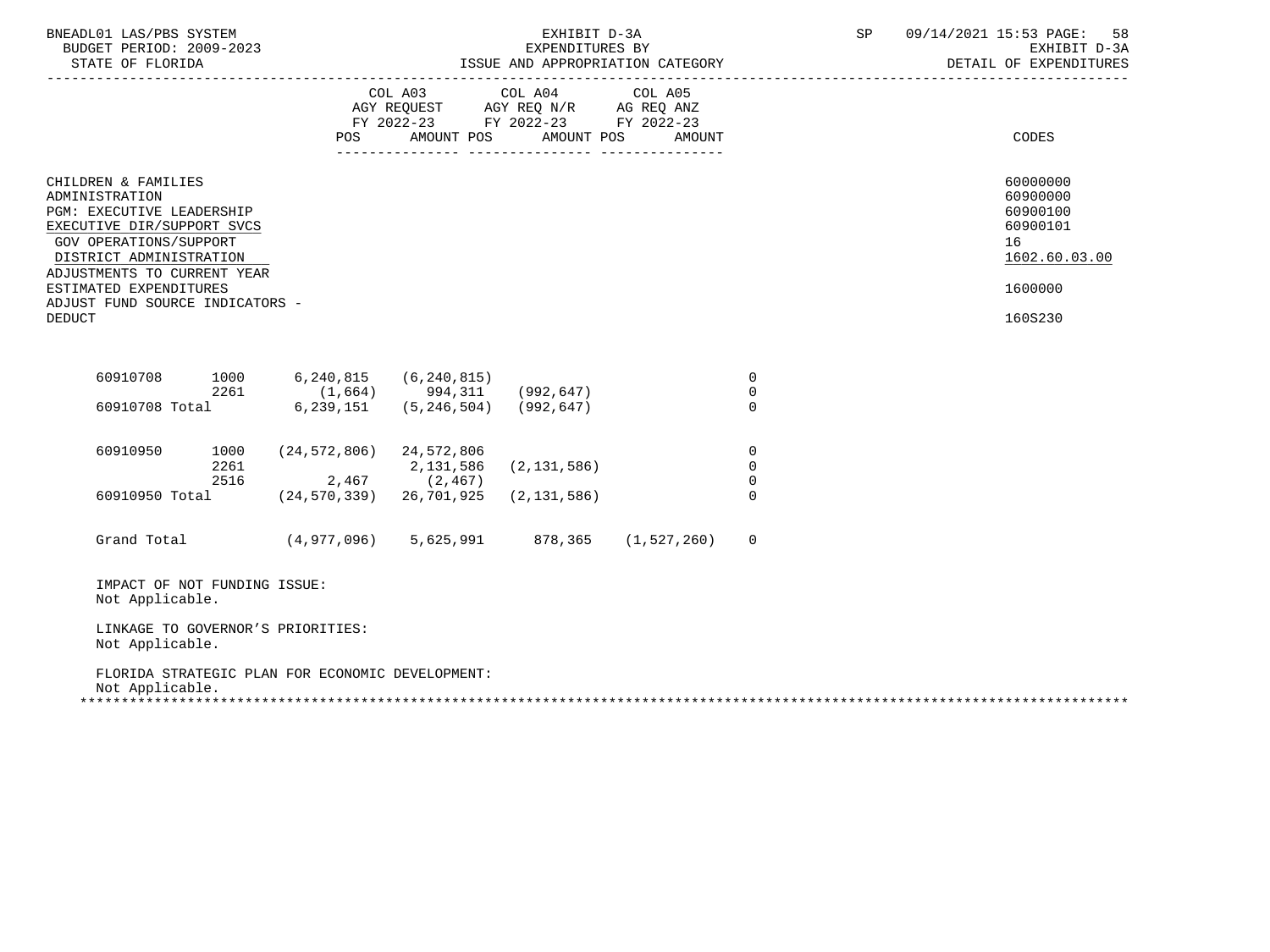| BNEADL01 LAS/PBS SYSTEM<br>BUDGET PERIOD: 2009-2023                                                                                                                                                                                                                |                                                                |                               | EXHIBIT D-3A<br>EXPENDITURES BY                                                                         |                   |                                                    | SP | 09/14/2021 15:53 PAGE:<br>58<br>EXHIBIT D-3A<br>DETAIL OF EXPENDITURES                    |
|--------------------------------------------------------------------------------------------------------------------------------------------------------------------------------------------------------------------------------------------------------------------|----------------------------------------------------------------|-------------------------------|---------------------------------------------------------------------------------------------------------|-------------------|----------------------------------------------------|----|-------------------------------------------------------------------------------------------|
|                                                                                                                                                                                                                                                                    | POS                                                            | AMOUNT POS                    | COL A03 COL A04<br>AGY REQUEST AGY REQ N/R AG REQ ANZ<br>FY 2022-23 FY 2022-23 FY 2022-23<br>AMOUNT POS | COL A05<br>AMOUNT |                                                    |    | CODES                                                                                     |
| CHILDREN & FAMILIES<br>ADMINISTRATION<br><b>PGM: EXECUTIVE LEADERSHIP</b><br>EXECUTIVE DIR/SUPPORT SVCS<br>GOV OPERATIONS/SUPPORT<br>DISTRICT ADMINISTRATION<br>ADJUSTMENTS TO CURRENT YEAR<br>ESTIMATED EXPENDITURES<br>ADJUST FUND SOURCE INDICATORS -<br>DEDUCT |                                                                |                               |                                                                                                         |                   |                                                    |    | 60000000<br>60900000<br>60900100<br>60900101<br>16<br>1602.60.03.00<br>1600000<br>160S230 |
| 60910708<br>1000<br>$2261$ (1,664) $994,311$ (992,647)<br>60910708 Total 6,239,151 (5.246.504) (992.647)                                                                                                                                                           |                                                                | $6, 240, 815$ $(6, 240, 815)$ |                                                                                                         |                   | $\mathbf 0$<br>$\overline{0}$<br>$\Omega$          |    |                                                                                           |
| 60910950<br>1000<br>2261<br>2516<br>60910950 Total                                                                                                                                                                                                                 | $(24, 572, 806)$ 24, 572, 806<br>$(24, 570, 339)$ 26, 701, 925 | 2,131,586<br>$2,467$ (2,467)  | (2, 131, 586)<br>(2, 131, 586)                                                                          |                   | $\mathbf 0$<br>$\mathbf 0$<br>$\Omega$<br>$\Omega$ |    |                                                                                           |
| Grand Total                                                                                                                                                                                                                                                        | (4,977,096)                                                    | 5,625,991                     | 878,365                                                                                                 | (1, 527, 260)     | $\mathbf 0$                                        |    |                                                                                           |
| IMPACT OF NOT FUNDING ISSUE:<br>Not Applicable.                                                                                                                                                                                                                    |                                                                |                               |                                                                                                         |                   |                                                    |    |                                                                                           |
| LINKAGE TO GOVERNOR'S PRIORITIES:<br>Not Applicable.                                                                                                                                                                                                               |                                                                |                               |                                                                                                         |                   |                                                    |    |                                                                                           |
| FLORIDA STRATEGIC PLAN FOR ECONOMIC DEVELOPMENT:<br>Not Applicable.                                                                                                                                                                                                |                                                                |                               |                                                                                                         |                   |                                                    |    |                                                                                           |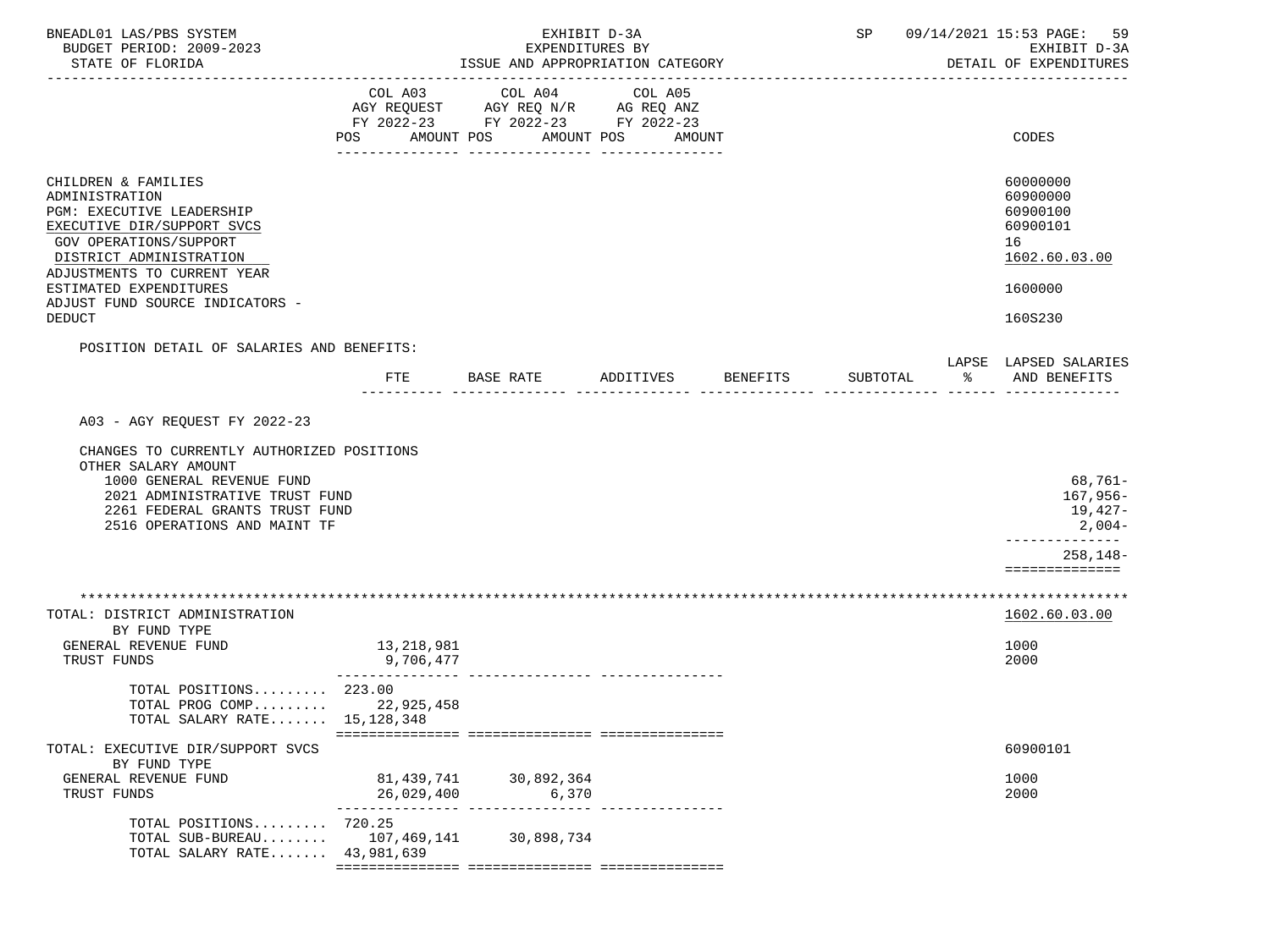| BNEADL01 LAS/PBS SYSTEM<br>BUDGET PERIOD: 2009-2023<br>STATE OF FLORIDA                                                                                                                                                           | EXHIBIT D-3A<br>EXPENDITURES BY<br>ISSUE AND APPROPRIATION CATEGORY |                                                                                                                   |           |          |          | SP 09/14/2021 15:53 PAGE:<br>59<br>EXHIBIT D-3A<br>DETAIL OF EXPENDITURES |                                                                                              |
|-----------------------------------------------------------------------------------------------------------------------------------------------------------------------------------------------------------------------------------|---------------------------------------------------------------------|-------------------------------------------------------------------------------------------------------------------|-----------|----------|----------|---------------------------------------------------------------------------|----------------------------------------------------------------------------------------------|
|                                                                                                                                                                                                                                   | COL A03<br>POS                                                      | COL A04<br>AGY REQUEST AGY REQ N/R AG REQ ANZ<br>FY 2022-23 FY 2022-23 FY 2022-23<br>AMOUNT POS AMOUNT POS AMOUNT | COL A05   |          |          |                                                                           | CODES                                                                                        |
| CHILDREN & FAMILIES<br>ADMINISTRATION<br><b>PGM: EXECUTIVE LEADERSHIP</b><br>EXECUTIVE DIR/SUPPORT SVCS<br>GOV OPERATIONS/SUPPORT<br>DISTRICT ADMINISTRATION<br>ADJUSTMENTS TO CURRENT YEAR                                       |                                                                     |                                                                                                                   |           |          |          |                                                                           | 60000000<br>60900000<br>60900100<br>60900101<br>16<br>1602.60.03.00                          |
| ESTIMATED EXPENDITURES<br>ADJUST FUND SOURCE INDICATORS -<br><b>DEDUCT</b>                                                                                                                                                        |                                                                     |                                                                                                                   |           |          |          |                                                                           | 1600000<br>160S230                                                                           |
| POSITION DETAIL OF SALARIES AND BENEFITS:                                                                                                                                                                                         | FTE                                                                 | BASE RATE                                                                                                         | ADDITIVES | BENEFITS | SUBTOTAL | ႜႂ                                                                        | LAPSE LAPSED SALARIES<br>AND BENEFITS                                                        |
| A03 - AGY REQUEST FY 2022-23<br>CHANGES TO CURRENTLY AUTHORIZED POSITIONS<br>OTHER SALARY AMOUNT<br>1000 GENERAL REVENUE FUND<br>2021 ADMINISTRATIVE TRUST FUND<br>2261 FEDERAL GRANTS TRUST FUND<br>2516 OPERATIONS AND MAINT TF |                                                                     |                                                                                                                   |           |          |          |                                                                           | 68,761-<br>$167,956-$<br>19,427-<br>$2,004-$<br>----------<br>$258, 148 -$<br>============== |
| TOTAL: DISTRICT ADMINISTRATION<br>BY FUND TYPE<br>GENERAL REVENUE FUND                                                                                                                                                            | 13,218,981                                                          |                                                                                                                   |           |          |          |                                                                           | 1602.60.03.00<br>1000                                                                        |
| TRUST FUNDS<br>TOTAL POSITIONS 223.00<br>TOTAL PROG COMP 22,925,458<br>TOTAL SALARY RATE 15,128,348                                                                                                                               | 9,706,477                                                           |                                                                                                                   |           |          |          |                                                                           | 2000                                                                                         |
| TOTAL: EXECUTIVE DIR/SUPPORT SVCS<br>BY FUND TYPE                                                                                                                                                                                 |                                                                     |                                                                                                                   |           |          |          |                                                                           | 60900101                                                                                     |
| GENERAL REVENUE FUND<br>TRUST FUNDS                                                                                                                                                                                               | 81,439,741<br>26,029,400                                            | 30,892,364<br>6,370                                                                                               |           |          |          |                                                                           | 1000<br>2000                                                                                 |
| TOTAL POSITIONS 720.25<br>TOTAL SUB-BUREAU $107,469,141$<br>TOTAL SALARY RATE 43,981,639                                                                                                                                          |                                                                     | 30,898,734                                                                                                        |           |          |          |                                                                           |                                                                                              |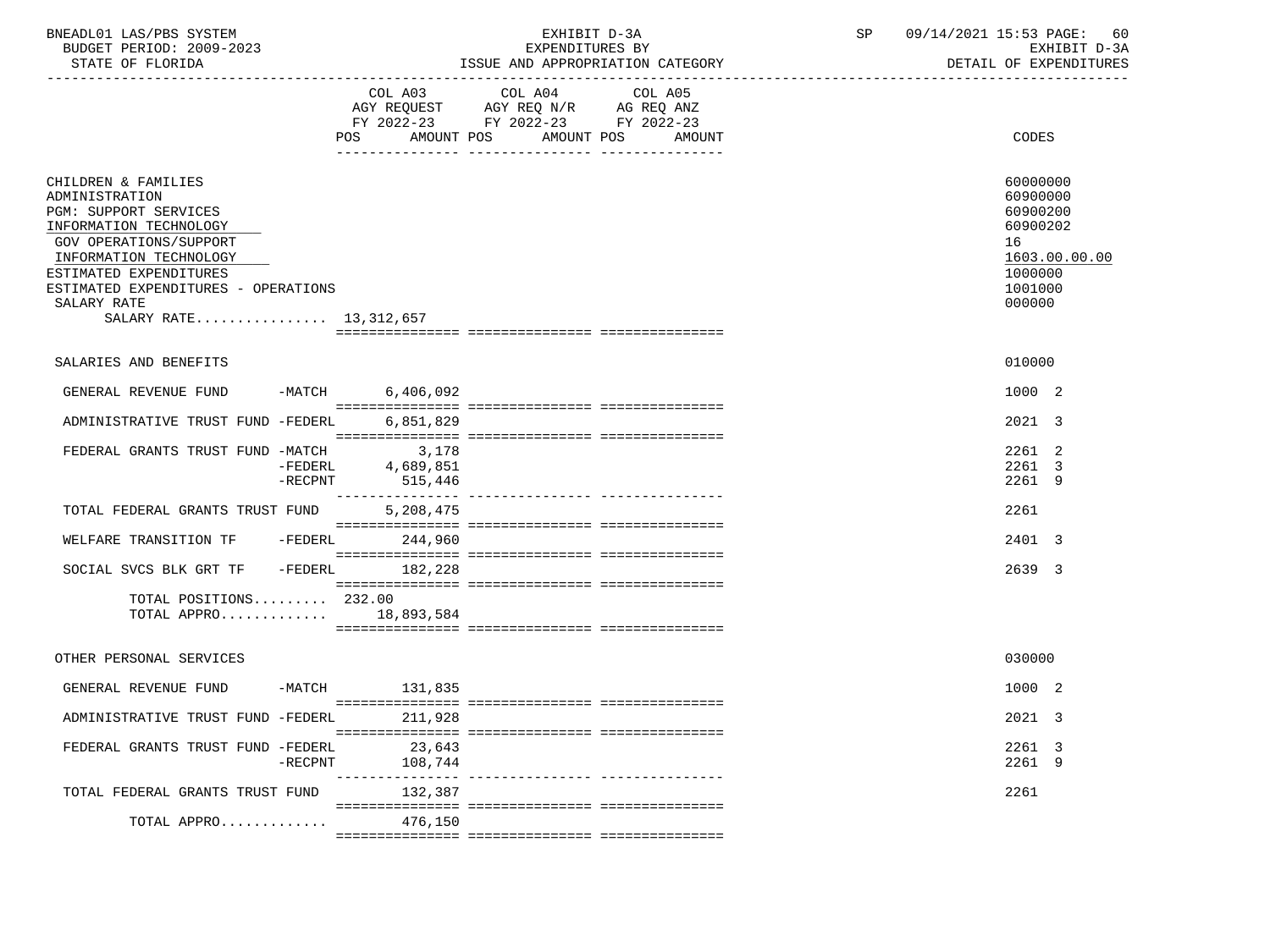| BNEADL01<br>LAS/PBS SYSTEM     | .                                                             | SD | 14/2021<br>PAGE:<br>15:53<br>09/7   | 60                                               |
|--------------------------------|---------------------------------------------------------------|----|-------------------------------------|--------------------------------------------------|
| 2009-2023<br>PERIOD:<br>BUDGET | <b>RV</b><br><b>EXPENDIT</b>                                  |    | $\cdot$ $\sim$ $\sim$ $\sim$<br>- ⊶ | $\sim$ $\sim$<br>$\cdot$ $\cdot$ $\cdot$ $\cdot$ |
| גרד כבר דקב<br>CTATE OF        | <sup>-</sup> CCIIT<br>$\lambda$<br>LODOODTATION CATECOPY<br>. |    | דתותתתים<br>∩⊏<br>דד גידי בר        |                                                  |

STATE OF FLORIDA STATE OF STATE AND APPROPRIATION CATEGORY STATE OF EXPENDITURES

|                                                                                                                                                                                                                                                        | COL A03<br>AMOUNT POS<br>POS  | COL A04<br>AGY REQUEST AGY REQ N/R AG REQ ANZ<br>FY 2022-23 FY 2022-23 FY 2022-23<br>AMOUNT POS | COL A05<br>AMOUNT | CODES                                                                                               |
|--------------------------------------------------------------------------------------------------------------------------------------------------------------------------------------------------------------------------------------------------------|-------------------------------|-------------------------------------------------------------------------------------------------|-------------------|-----------------------------------------------------------------------------------------------------|
| CHILDREN & FAMILIES<br>ADMINISTRATION<br>PGM: SUPPORT SERVICES<br>INFORMATION TECHNOLOGY<br>GOV OPERATIONS/SUPPORT<br>INFORMATION TECHNOLOGY<br>ESTIMATED EXPENDITURES<br>ESTIMATED EXPENDITURES - OPERATIONS<br>SALARY RATE<br>SALARY RATE 13,312,657 |                               |                                                                                                 |                   | 60000000<br>60900000<br>60900200<br>60900202<br>16<br>1603.00.00.00<br>1000000<br>1001000<br>000000 |
|                                                                                                                                                                                                                                                        |                               |                                                                                                 |                   |                                                                                                     |
| SALARIES AND BENEFITS                                                                                                                                                                                                                                  |                               |                                                                                                 |                   | 010000                                                                                              |
| GENERAL REVENUE FUND                                                                                                                                                                                                                                   | -MATCH 6,406,092              |                                                                                                 |                   | 1000 2                                                                                              |
| ADMINISTRATIVE TRUST FUND -FEDERL                                                                                                                                                                                                                      | 6,851,829                     |                                                                                                 |                   | 2021 3                                                                                              |
| FEDERAL GRANTS TRUST FUND -MATCH<br>$-FEDERL$<br>$-$ RECPNT                                                                                                                                                                                            | 3,178<br>4,689,851<br>515,446 |                                                                                                 |                   | 2261 2<br>2261 3<br>2261 9                                                                          |
| TOTAL FEDERAL GRANTS TRUST FUND                                                                                                                                                                                                                        | 5,208,475                     |                                                                                                 |                   | 2261                                                                                                |
| WELFARE TRANSITION TF                                                                                                                                                                                                                                  | $-FEDERL$ 244,960             |                                                                                                 |                   | 2401 3                                                                                              |
| $-FEDERL$<br>SOCIAL SVCS BLK GRT TF                                                                                                                                                                                                                    | 182,228                       |                                                                                                 |                   | 2639 3                                                                                              |
| TOTAL POSITIONS $232.00$<br>TOTAL APPRO 18,893,584                                                                                                                                                                                                     |                               |                                                                                                 |                   |                                                                                                     |
| OTHER PERSONAL SERVICES                                                                                                                                                                                                                                |                               |                                                                                                 |                   | 030000                                                                                              |
| GENERAL REVENUE FUND                                                                                                                                                                                                                                   | -MATCH 131,835                |                                                                                                 |                   | 1000 2                                                                                              |
| ADMINISTRATIVE TRUST FUND -FEDERL                                                                                                                                                                                                                      | 211,928                       |                                                                                                 |                   | 2021 3                                                                                              |
| FEDERAL GRANTS TRUST FUND -FEDERL<br>$-$ RECPNT                                                                                                                                                                                                        | 23,643<br>108,744             |                                                                                                 |                   | 2261 3<br>2261 9                                                                                    |
| TOTAL FEDERAL GRANTS TRUST FUND                                                                                                                                                                                                                        | 132,387                       |                                                                                                 |                   | 2261                                                                                                |
| TOTAL APPRO                                                                                                                                                                                                                                            | 476.150                       |                                                                                                 |                   |                                                                                                     |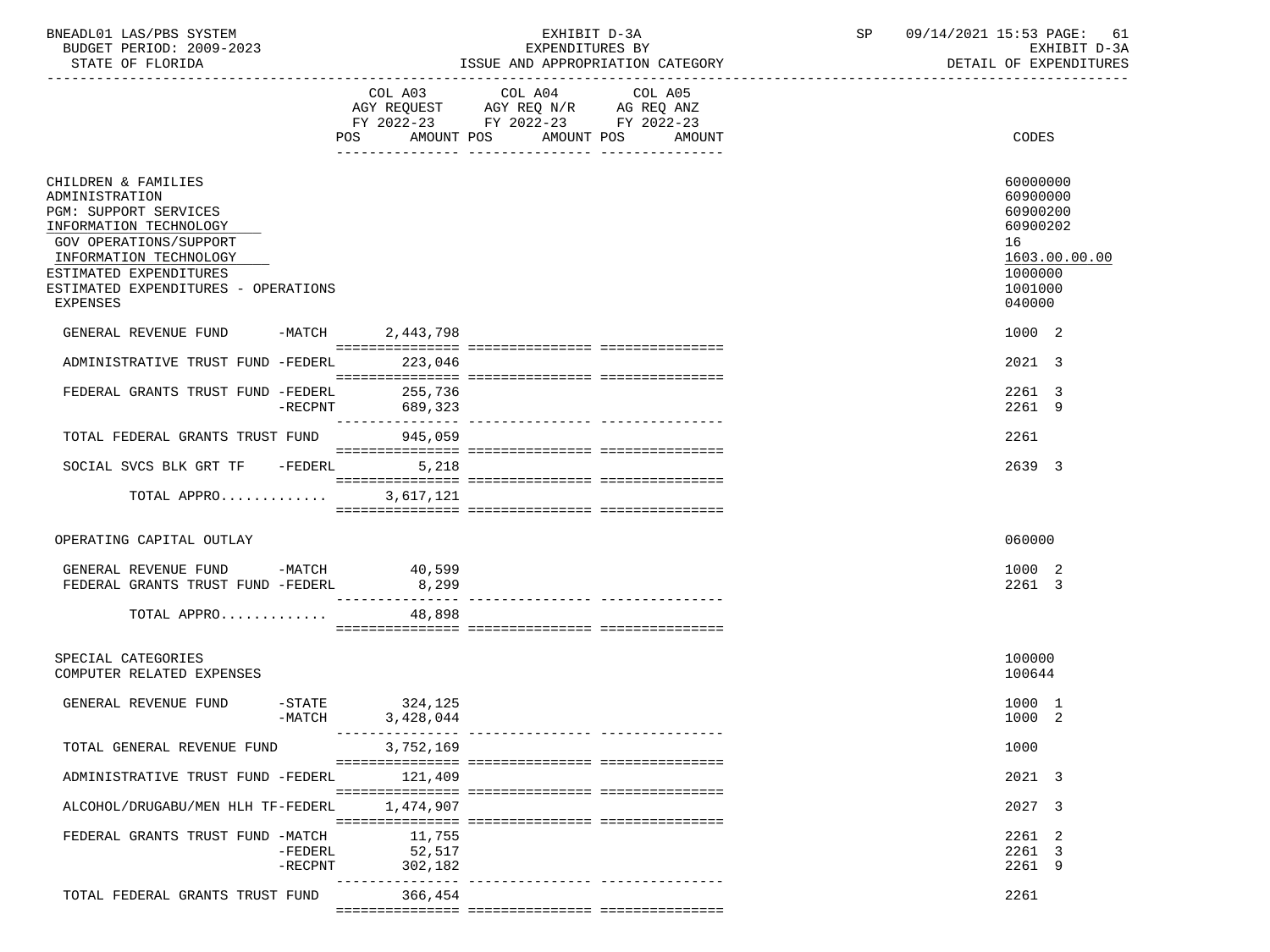| BNEADL01 LAS/PBS SYSTEM  | EXHIBIT D-3A                     | 09/14/2021 15:53 PAGE: 61 |
|--------------------------|----------------------------------|---------------------------|
| BUDGET PERIOD: 2009-2023 | EXPENDITURES BY                  | RXHIRIT D-3A              |
| STATE OF FLORIDA         | ISSUE AND APPROPRIATION CATEGORY | DETAIL OF EXPENDITURES    |

|                                                                                                                                                                                                                           |                         | POS AMOUNT POS                 | COL A03 COL A04 COL A05<br>AGY REQUEST AGY REQ N/R AG REQ ANZ FY 2022-23 FY 2022-23 FY 2022-23<br>AMOUNT POS | AMOUNT                      | CODES                                                                                               |
|---------------------------------------------------------------------------------------------------------------------------------------------------------------------------------------------------------------------------|-------------------------|--------------------------------|--------------------------------------------------------------------------------------------------------------|-----------------------------|-----------------------------------------------------------------------------------------------------|
| CHILDREN & FAMILIES<br>ADMINISTRATION<br>PGM: SUPPORT SERVICES<br>INFORMATION TECHNOLOGY<br>GOV OPERATIONS/SUPPORT<br>INFORMATION TECHNOLOGY<br>ESTIMATED EXPENDITURES<br>ESTIMATED EXPENDITURES - OPERATIONS<br>EXPENSES |                         |                                |                                                                                                              |                             | 60000000<br>60900000<br>60900200<br>60900202<br>16<br>1603.00.00.00<br>1000000<br>1001000<br>040000 |
| GENERAL REVENUE FUND -MATCH 2,443,798                                                                                                                                                                                     |                         |                                |                                                                                                              |                             | 1000 2                                                                                              |
| ADMINISTRATIVE TRUST FUND -FEDERL                                                                                                                                                                                         |                         | 223,046                        |                                                                                                              |                             | 2021 3                                                                                              |
| FEDERAL GRANTS TRUST FUND -FEDERL                                                                                                                                                                                         | $-RECPNT$               | 255,736<br>689,323             |                                                                                                              |                             | 2261 3<br>2261 9                                                                                    |
| TOTAL FEDERAL GRANTS TRUST FUND                                                                                                                                                                                           |                         | 945,059                        |                                                                                                              |                             | 2261                                                                                                |
| SOCIAL SVCS BLK GRT TF -FEDERL 5,218                                                                                                                                                                                      |                         |                                |                                                                                                              |                             | 2639 3                                                                                              |
| TOTAL APPRO                                                                                                                                                                                                               |                         | 3,617,121                      |                                                                                                              |                             |                                                                                                     |
| OPERATING CAPITAL OUTLAY                                                                                                                                                                                                  |                         |                                |                                                                                                              |                             | 060000                                                                                              |
| GENERAL REVENUE FUND -MATCH 40,599<br>FEDERAL GRANTS TRUST FUND -FEDERL                                                                                                                                                   |                         | 8,299<br>________________      |                                                                                                              |                             | 1000 2<br>2261 3                                                                                    |
| TOTAL APPRO                                                                                                                                                                                                               |                         | 48,898                         |                                                                                                              |                             |                                                                                                     |
| SPECIAL CATEGORIES<br>COMPUTER RELATED EXPENSES                                                                                                                                                                           |                         |                                |                                                                                                              |                             | 100000<br>100644                                                                                    |
| GENERAL REVENUE FUND                                                                                                                                                                                                      | $-MATCH$                | $-STATE$ 324, 125<br>3,428,044 |                                                                                                              |                             | 1000 1<br>1000 2                                                                                    |
| TOTAL GENERAL REVENUE FUND                                                                                                                                                                                                |                         | 3,752,169                      |                                                                                                              |                             | 1000                                                                                                |
| ADMINISTRATIVE TRUST FUND -FEDERL                                                                                                                                                                                         |                         | 121,409                        |                                                                                                              |                             | 2021 3                                                                                              |
| ALCOHOL/DRUGABU/MEN HLH TF-FEDERL                                                                                                                                                                                         |                         | 1,474,907                      |                                                                                                              |                             | 2027 3                                                                                              |
| FEDERAL GRANTS TRUST FUND -MATCH                                                                                                                                                                                          | $-FEDERL$<br>$-$ RECPNT | 11,755<br>52,517<br>302,182    |                                                                                                              |                             | 2261 2<br>2261 3<br>2261 9                                                                          |
| TOTAL FEDERAL GRANTS TRUST FUND                                                                                                                                                                                           |                         | 366,454                        |                                                                                                              | ___________________________ | 2261                                                                                                |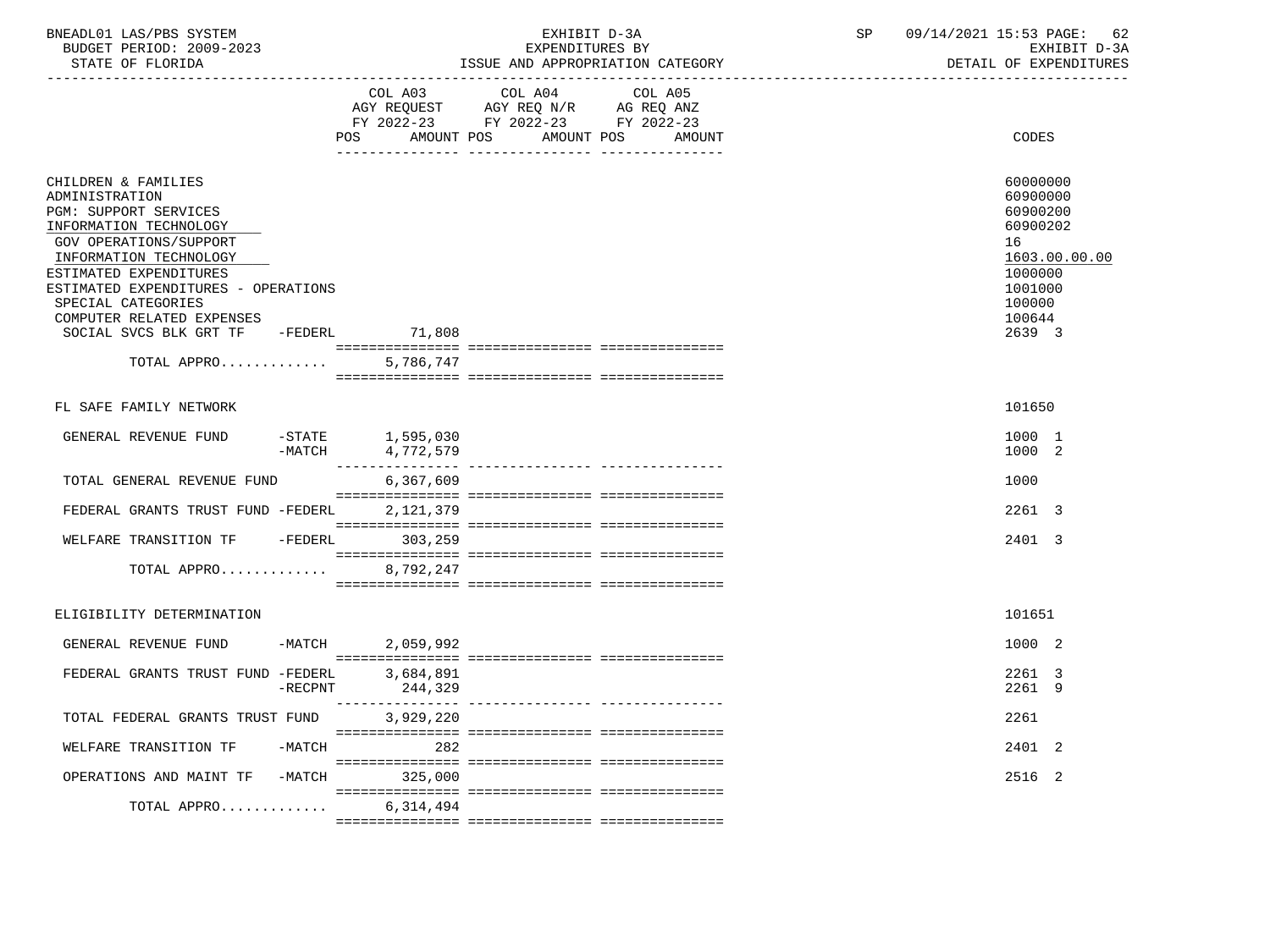| BNEADL01 LAS/PBS SYSTEM<br>BUDGET PERIOD: 2009-2023<br>STATE OF FLORIDA                                                                                                                                                                                                                                                  |            |                                    | EXHIBIT D-3A<br>EXPENDITURES BY<br>ISSUE AND APPROPRIATION CATEGORY                                                                  | SP | 09/14/2021 15:53 PAGE:<br>62<br>EXHIBIT D-3A<br>DETAIL OF EXPENDITURES                                                  |  |  |
|--------------------------------------------------------------------------------------------------------------------------------------------------------------------------------------------------------------------------------------------------------------------------------------------------------------------------|------------|------------------------------------|--------------------------------------------------------------------------------------------------------------------------------------|----|-------------------------------------------------------------------------------------------------------------------------|--|--|
|                                                                                                                                                                                                                                                                                                                          |            | POS                                | COL A03 COL A04<br>COL A05<br>AGY REQUEST AGY REQ N/R AG REQ ANZ<br>FY 2022-23 FY 2022-23 FY 2022-23<br>AMOUNT POS AMOUNT POS AMOUNT |    | CODES                                                                                                                   |  |  |
| CHILDREN & FAMILIES<br>ADMINISTRATION<br>PGM: SUPPORT SERVICES<br>INFORMATION TECHNOLOGY<br>GOV OPERATIONS/SUPPORT<br>INFORMATION TECHNOLOGY<br>ESTIMATED EXPENDITURES<br>ESTIMATED EXPENDITURES - OPERATIONS<br>SPECIAL CATEGORIES<br>COMPUTER RELATED EXPENSES<br>SOCIAL SVCS BLK GRT TF -FEDERL 71,808<br>TOTAL APPRO |            | 5,786,747                          |                                                                                                                                      |    | 60000000<br>60900000<br>60900200<br>60900202<br>16<br>1603.00.00.00<br>1000000<br>1001000<br>100000<br>100644<br>2639 3 |  |  |
| FL SAFE FAMILY NETWORK                                                                                                                                                                                                                                                                                                   |            |                                    |                                                                                                                                      |    | 101650                                                                                                                  |  |  |
| GENERAL REVENUE FUND                                                                                                                                                                                                                                                                                                     | $-MATCH$   | $-$ STATE $1,595,030$<br>4,772,579 |                                                                                                                                      |    | 1000 1<br>1000 2                                                                                                        |  |  |
| TOTAL GENERAL REVENUE FUND                                                                                                                                                                                                                                                                                               |            | 6,367,609                          |                                                                                                                                      |    | 1000                                                                                                                    |  |  |
| FEDERAL GRANTS TRUST FUND -FEDERL                                                                                                                                                                                                                                                                                        |            | 2,121,379                          |                                                                                                                                      |    | 2261 3                                                                                                                  |  |  |
| WELFARE TRANSITION TF                                                                                                                                                                                                                                                                                                    |            | -FEDERL 303,259                    |                                                                                                                                      |    | 2401 3                                                                                                                  |  |  |
| TOTAL APPRO 8,792,247                                                                                                                                                                                                                                                                                                    |            |                                    |                                                                                                                                      |    |                                                                                                                         |  |  |
| ELIGIBILITY DETERMINATION                                                                                                                                                                                                                                                                                                |            |                                    |                                                                                                                                      |    | 101651                                                                                                                  |  |  |
| GENERAL REVENUE FUND                                                                                                                                                                                                                                                                                                     |            | -MATCH 2,059,992                   |                                                                                                                                      |    | 1000 2                                                                                                                  |  |  |
| FEDERAL GRANTS TRUST FUND -FEDERL                                                                                                                                                                                                                                                                                        | $-$ RECPNT | 3,684,891                          |                                                                                                                                      |    | 2261 3<br>2261 9                                                                                                        |  |  |
| TOTAL FEDERAL GRANTS TRUST FUND 3,929,220                                                                                                                                                                                                                                                                                |            |                                    |                                                                                                                                      |    | 2261                                                                                                                    |  |  |
| WELFARE TRANSITION TF                                                                                                                                                                                                                                                                                                    |            | -MATCH 282                         |                                                                                                                                      |    | 2401 2                                                                                                                  |  |  |
| OPERATIONS AND MAINT TF -MATCH 325,000                                                                                                                                                                                                                                                                                   |            |                                    |                                                                                                                                      |    | 2516 2                                                                                                                  |  |  |
| TOTAL APPRO $6,314,494$                                                                                                                                                                                                                                                                                                  |            |                                    |                                                                                                                                      |    |                                                                                                                         |  |  |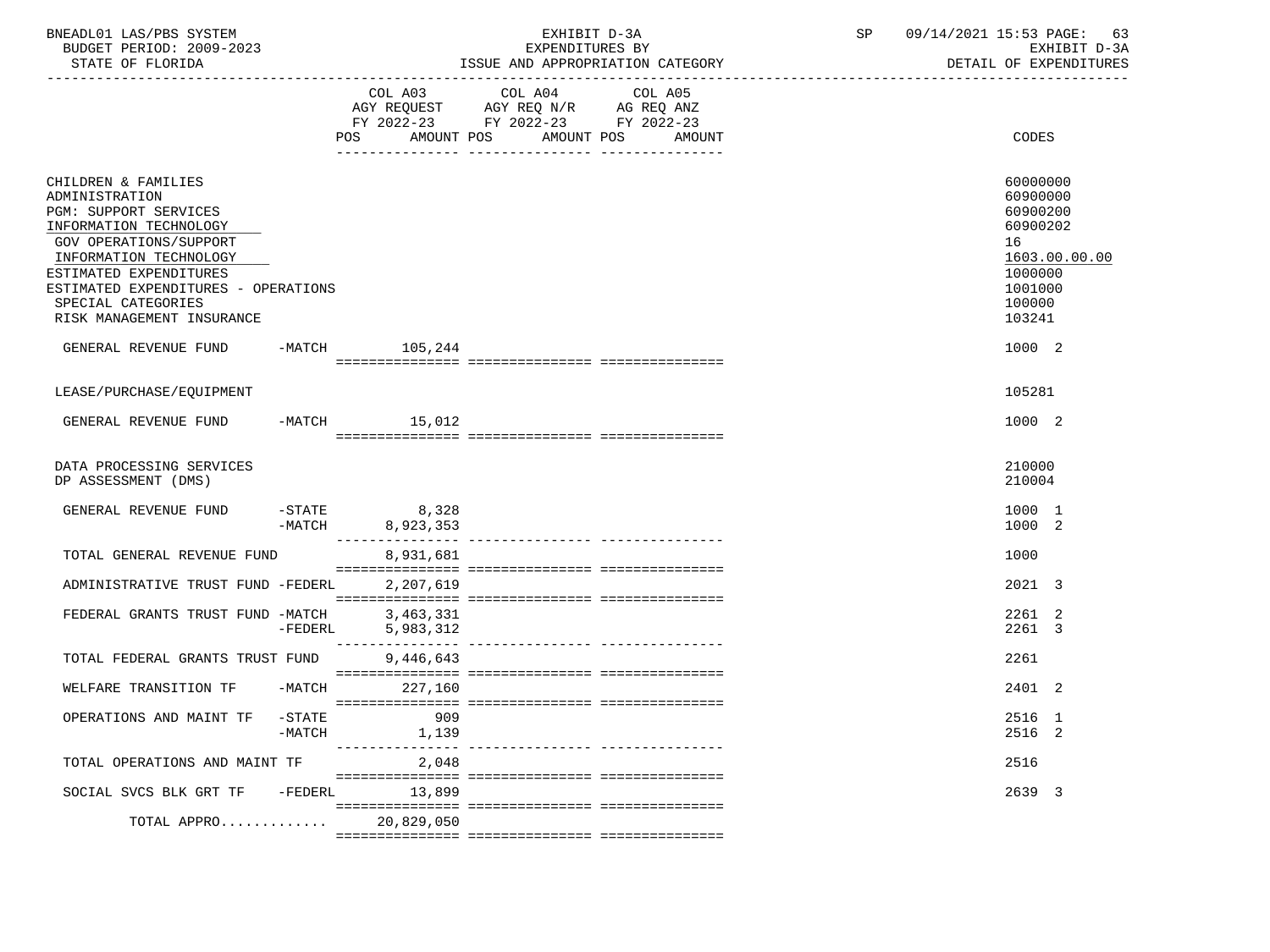| BNEADL01 LAS/PBS SYSTEM<br>BUDGET PERIOD: 2009-2023<br>STATE OF FLORIDA                                                                                                                                                                                                 |                       | EXHIBIT D-3A<br>EXPENDITURES BY<br>ISSUE AND APPROPRIATION CATEGORY | SP                                                                                                      | 09/14/2021 15:53 PAGE: | 63<br>EXHIBIT D-3A<br>DETAIL OF EXPENDITURES |  |                                                                                              |               |
|-------------------------------------------------------------------------------------------------------------------------------------------------------------------------------------------------------------------------------------------------------------------------|-----------------------|---------------------------------------------------------------------|---------------------------------------------------------------------------------------------------------|------------------------|----------------------------------------------|--|----------------------------------------------------------------------------------------------|---------------|
|                                                                                                                                                                                                                                                                         |                       | POS<br>AMOUNT POS                                                   | COL A03 COL A04<br>AGY REQUEST AGY REQ N/R AG REQ ANZ<br>FY 2022-23 FY 2022-23 FY 2022-23<br>AMOUNT POS | COL A05<br>AMOUNT      |                                              |  | <b>CODES</b>                                                                                 |               |
| CHILDREN & FAMILIES<br>ADMINISTRATION<br><b>PGM: SUPPORT SERVICES</b><br>INFORMATION TECHNOLOGY<br>GOV OPERATIONS/SUPPORT<br>INFORMATION TECHNOLOGY<br>ESTIMATED EXPENDITURES<br>ESTIMATED EXPENDITURES - OPERATIONS<br>SPECIAL CATEGORIES<br>RISK MANAGEMENT INSURANCE |                       |                                                                     |                                                                                                         |                        |                                              |  | 60000000<br>60900000<br>60900200<br>60900202<br>16<br>1000000<br>1001000<br>100000<br>103241 | 1603.00.00.00 |
| GENERAL REVENUE FUND                                                                                                                                                                                                                                                    |                       | $-MATCH$ 105,244                                                    |                                                                                                         |                        |                                              |  | 1000 2                                                                                       |               |
| LEASE/PURCHASE/EQUIPMENT                                                                                                                                                                                                                                                |                       |                                                                     |                                                                                                         |                        |                                              |  | 105281                                                                                       |               |
| GENERAL REVENUE FUND                                                                                                                                                                                                                                                    |                       | $-MATCH$ 15,012                                                     |                                                                                                         |                        |                                              |  | 1000 2                                                                                       |               |
| DATA PROCESSING SERVICES<br>DP ASSESSMENT (DMS)                                                                                                                                                                                                                         |                       |                                                                     |                                                                                                         |                        |                                              |  | 210000<br>210004                                                                             |               |
| GENERAL REVENUE FUND                                                                                                                                                                                                                                                    | $-MATCH$              | 8,328<br>$-STATE$<br>8,923,353                                      |                                                                                                         |                        |                                              |  | 1000 1<br>1000 2                                                                             |               |
| TOTAL GENERAL REVENUE FUND                                                                                                                                                                                                                                              |                       | 8,931,681                                                           |                                                                                                         |                        |                                              |  | 1000                                                                                         |               |
| ADMINISTRATIVE TRUST FUND -FEDERL                                                                                                                                                                                                                                       |                       | 2,207,619                                                           |                                                                                                         |                        |                                              |  | 2021 3                                                                                       |               |
| FEDERAL GRANTS TRUST FUND -MATCH                                                                                                                                                                                                                                        | $-FEDERL$             | 3,463,331<br>5,983,312                                              |                                                                                                         |                        |                                              |  | 2261 2<br>2261 3                                                                             |               |
| TOTAL FEDERAL GRANTS TRUST FUND                                                                                                                                                                                                                                         |                       | 9,446,643                                                           |                                                                                                         |                        |                                              |  | 2261                                                                                         |               |
| WELFARE TRANSITION TF                                                                                                                                                                                                                                                   | -MATCH                | 227,160                                                             |                                                                                                         |                        |                                              |  | 2401 2                                                                                       |               |
| OPERATIONS AND MAINT TF                                                                                                                                                                                                                                                 | $-$ STATE<br>$-MATCH$ | 909<br>1,139                                                        |                                                                                                         |                        |                                              |  | 2516 1<br>2516 2                                                                             |               |
| TOTAL OPERATIONS AND MAINT TF                                                                                                                                                                                                                                           |                       | 2,048                                                               |                                                                                                         |                        |                                              |  | 2516                                                                                         |               |
| SOCIAL SVCS BLK GRT TF                                                                                                                                                                                                                                                  | -FEDERL               | 13,899                                                              |                                                                                                         |                        |                                              |  | 2639 3                                                                                       |               |
| TOTAL APPRO                                                                                                                                                                                                                                                             |                       | 20,829,050                                                          |                                                                                                         |                        |                                              |  |                                                                                              |               |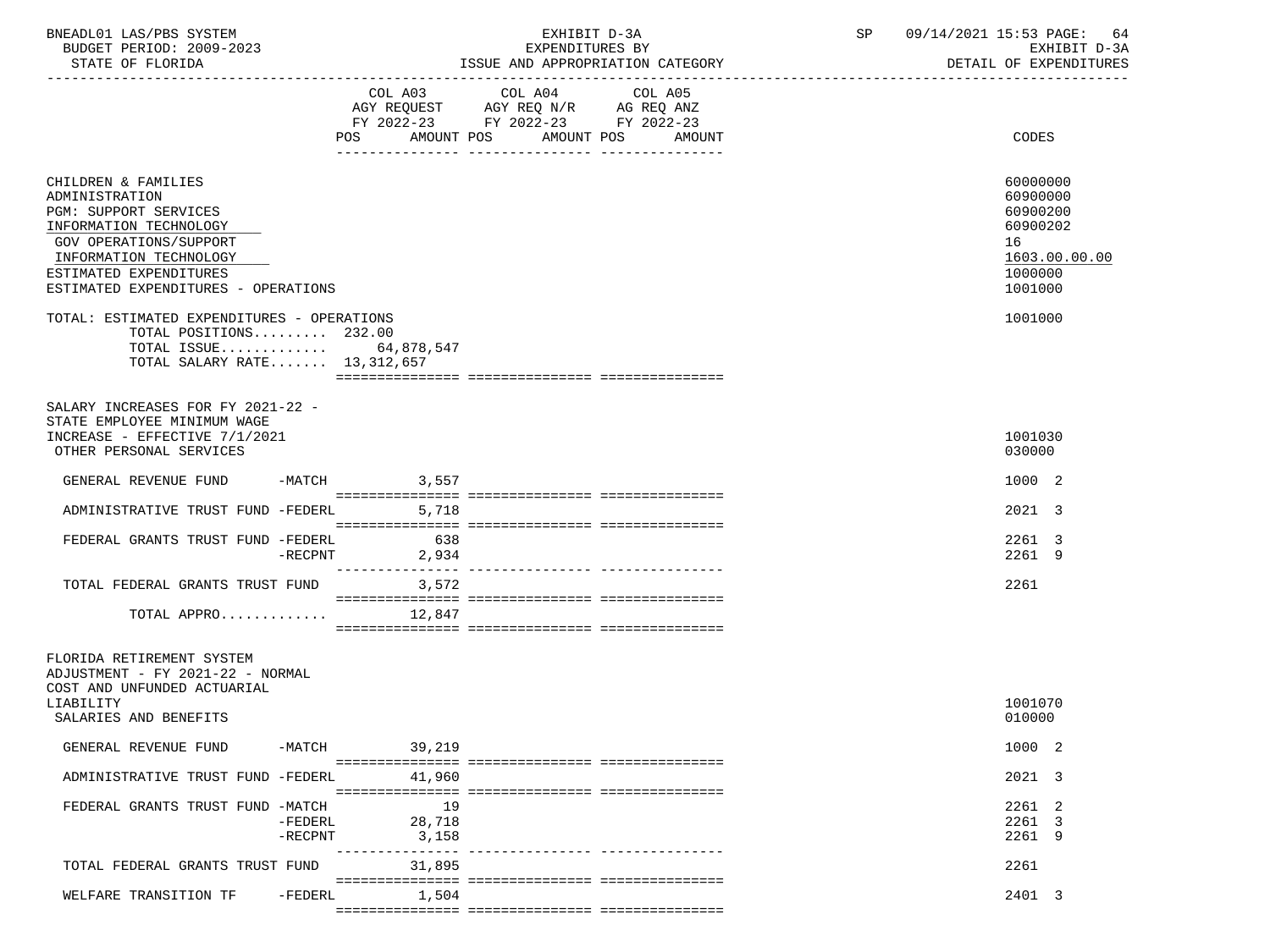| BNEADL01 LAS/PBS SYSTEM<br>BUDGET PERIOD: 2009-2023<br>STATE OF FLORIDA                                                                                                                                       |                                               | EXHIBIT D-3A<br>EXPENDITURES BY<br>ISSUE AND APPROPRIATION CATEGORY                                             | SP                                | 09/14/2021 15:53 PAGE: 64<br>EXHIBIT D-3A<br>DETAIL OF EXPENDITURES |                                                                                           |
|---------------------------------------------------------------------------------------------------------------------------------------------------------------------------------------------------------------|-----------------------------------------------|-----------------------------------------------------------------------------------------------------------------|-----------------------------------|---------------------------------------------------------------------|-------------------------------------------------------------------------------------------|
|                                                                                                                                                                                                               | POS                                           | COL A03 COL A04 COL A05<br>AGY REQUEST AGY REQ N/R AG REQ ANZ<br>FY 2022-23 FY 2022-23 FY 2022-23<br>AMOUNT POS | AMOUNT POS<br>AMOUNT              |                                                                     | CODES                                                                                     |
| CHILDREN & FAMILIES<br>ADMINISTRATION<br>PGM: SUPPORT SERVICES<br>INFORMATION TECHNOLOGY<br>GOV OPERATIONS/SUPPORT<br>INFORMATION TECHNOLOGY<br>ESTIMATED EXPENDITURES<br>ESTIMATED EXPENDITURES - OPERATIONS |                                               |                                                                                                                 |                                   |                                                                     | 60000000<br>60900000<br>60900200<br>60900202<br>16<br>1603.00.00.00<br>1000000<br>1001000 |
| TOTAL: ESTIMATED EXPENDITURES - OPERATIONS<br>TOTAL POSITIONS 232.00<br>TOTAL SALARY RATE 13,312,657                                                                                                          | TOTAL ISSUE 64,878,547                        |                                                                                                                 |                                   |                                                                     | 1001000                                                                                   |
| SALARY INCREASES FOR FY 2021-22 -<br>STATE EMPLOYEE MINIMUM WAGE<br>INCREASE - EFFECTIVE 7/1/2021<br>OTHER PERSONAL SERVICES                                                                                  |                                               |                                                                                                                 |                                   |                                                                     | 1001030<br>030000                                                                         |
| GENERAL REVENUE FUND                                                                                                                                                                                          | $-MATCH$<br>3,557                             |                                                                                                                 |                                   |                                                                     | 1000 2                                                                                    |
| ADMINISTRATIVE TRUST FUND -FEDERL 5,718                                                                                                                                                                       |                                               |                                                                                                                 |                                   |                                                                     | 2021 3                                                                                    |
| FEDERAL GRANTS TRUST FUND -FEDERL                                                                                                                                                                             | 638<br>2,934<br>$-RECPNT$                     |                                                                                                                 |                                   |                                                                     | 2261 3<br>2261 9                                                                          |
| TOTAL FEDERAL GRANTS TRUST FUND                                                                                                                                                                               | ---------------<br>3,572                      |                                                                                                                 | _________________________________ |                                                                     | 2261                                                                                      |
|                                                                                                                                                                                                               | TOTAL APPRO $12,847$                          |                                                                                                                 |                                   |                                                                     |                                                                                           |
| FLORIDA RETIREMENT SYSTEM<br>ADJUSTMENT - FY 2021-22 - NORMAL<br>COST AND UNFUNDED ACTUARIAL<br>LIABILITY<br>SALARIES AND BENEFITS                                                                            |                                               |                                                                                                                 |                                   |                                                                     | 1001070<br>010000                                                                         |
| GENERAL REVENUE FUND                                                                                                                                                                                          | -MATCH<br>39,219                              |                                                                                                                 |                                   |                                                                     | 1000 2                                                                                    |
| ADMINISTRATIVE TRUST FUND -FEDERL                                                                                                                                                                             | 41,960                                        |                                                                                                                 |                                   |                                                                     | 2021 3                                                                                    |
| FEDERAL GRANTS TRUST FUND -MATCH                                                                                                                                                                              | 19<br>28,718<br>-FEDERL<br>$-RECPNT$<br>3,158 |                                                                                                                 |                                   |                                                                     | 2261 2<br>2261 3<br>2261 9                                                                |
| TOTAL FEDERAL GRANTS TRUST FUND                                                                                                                                                                               | 31,895                                        |                                                                                                                 | ----------- ---------------       |                                                                     | 2261                                                                                      |
| WELFARE TRANSITION TF                                                                                                                                                                                         | -FEDERL<br>1,504                              |                                                                                                                 |                                   |                                                                     | 2401 3                                                                                    |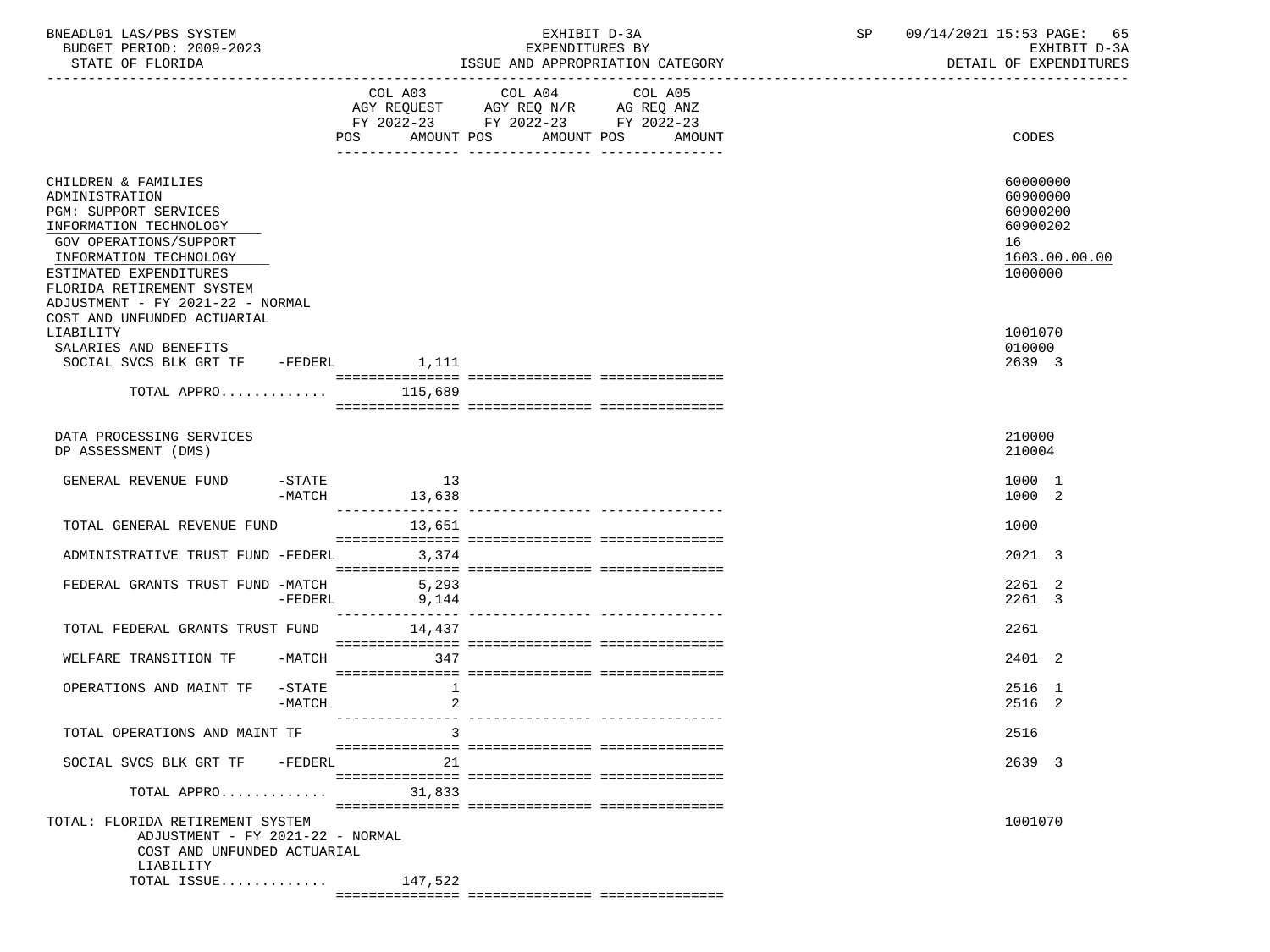| BNEADL01 LAS/PBS SYSTEM<br>BUDGET PERIOD: 2009-2023<br>STATE OF FLORIDA                                                                                                                             |                      |                       | EXHIBIT D-3A<br>EXPENDITURES BY                                                                                               | ISSUE AND APPROPRIATION CATEGORY | SP | 09/14/2021 15:53 PAGE: 65<br>EXHIBIT D-3A<br>DETAIL OF EXPENDITURES            |  |  |
|-----------------------------------------------------------------------------------------------------------------------------------------------------------------------------------------------------|----------------------|-----------------------|-------------------------------------------------------------------------------------------------------------------------------|----------------------------------|----|--------------------------------------------------------------------------------|--|--|
|                                                                                                                                                                                                     |                      |                       |                                                                                                                               |                                  |    |                                                                                |  |  |
|                                                                                                                                                                                                     |                      |                       | COL A03 COL A04<br>AGY REQUEST AGY REQ N/R AG REQ ANZ<br>FY 2022-23 FY 2022-23 FY 2022-23<br>POS AMOUNT POS AMOUNT POS AMOUNT | COL A05                          |    | CODES                                                                          |  |  |
| CHILDREN & FAMILIES<br>ADMINISTRATION<br>PGM: SUPPORT SERVICES<br>INFORMATION TECHNOLOGY<br>GOV OPERATIONS/SUPPORT<br>INFORMATION TECHNOLOGY<br>ESTIMATED EXPENDITURES<br>FLORIDA RETIREMENT SYSTEM |                      |                       |                                                                                                                               |                                  |    | 60000000<br>60900000<br>60900200<br>60900202<br>16<br>1603.00.00.00<br>1000000 |  |  |
| ADJUSTMENT - FY 2021-22 - NORMAL<br>COST AND UNFUNDED ACTUARIAL                                                                                                                                     |                      |                       |                                                                                                                               |                                  |    |                                                                                |  |  |
| LIABILITY<br>SALARIES AND BENEFITS<br>SOCIAL SVCS BLK GRT TF -FEDERL 1,111                                                                                                                          |                      |                       |                                                                                                                               |                                  |    | 1001070<br>010000<br>2639 3                                                    |  |  |
| TOTAL APPRO $115,689$                                                                                                                                                                               |                      |                       |                                                                                                                               |                                  |    |                                                                                |  |  |
| DATA PROCESSING SERVICES<br>DP ASSESSMENT (DMS)                                                                                                                                                     |                      |                       |                                                                                                                               |                                  |    | 210000<br>210004                                                               |  |  |
| GENERAL REVENUE FUND                                                                                                                                                                                | $-MATCH$             | $-STATE$ 13<br>13,638 |                                                                                                                               |                                  |    | 1000 1<br>1000 2                                                               |  |  |
| TOTAL GENERAL REVENUE FUND                                                                                                                                                                          |                      | 13,651                |                                                                                                                               |                                  |    | 1000                                                                           |  |  |
| ADMINISTRATIVE TRUST FUND -FEDERL                                                                                                                                                                   |                      | 3,374                 |                                                                                                                               |                                  |    | 2021 3                                                                         |  |  |
| FEDERAL GRANTS TRUST FUND -MATCH 5,293                                                                                                                                                              |                      | $-FEDERL$ 9,144       |                                                                                                                               |                                  |    | 2261 2<br>2261 3                                                               |  |  |
| TOTAL FEDERAL GRANTS TRUST FUND 14.437                                                                                                                                                              |                      |                       |                                                                                                                               |                                  |    | 2261                                                                           |  |  |
| WELFARE TRANSITION TF                                                                                                                                                                               |                      | $-MATCH$ 347          |                                                                                                                               |                                  |    | 2401 2                                                                         |  |  |
| OPERATIONS AND MAINT TF                                                                                                                                                                             | $ STATE$<br>$-MATCH$ | $\mathbf{1}$<br>2     |                                                                                                                               |                                  |    | 2516 1<br>2516 2                                                               |  |  |
| TOTAL OPERATIONS AND MAINT TF                                                                                                                                                                       |                      | 3                     |                                                                                                                               |                                  |    | 2516                                                                           |  |  |
| SOCIAL SVCS BLK GRT TF -FEDERL                                                                                                                                                                      |                      | 21                    |                                                                                                                               |                                  |    | 2639 3                                                                         |  |  |
| TOTAL APPRO                                                                                                                                                                                         |                      | 31,833                |                                                                                                                               |                                  |    |                                                                                |  |  |
| TOTAL: FLORIDA RETIREMENT SYSTEM<br>ADJUSTMENT - FY 2021-22 - NORMAL<br>COST AND UNFUNDED ACTUARIAL<br>LIABILITY                                                                                    |                      |                       |                                                                                                                               |                                  |    | 1001070                                                                        |  |  |
| TOTAL ISSUE                                                                                                                                                                                         |                      | 147,522               |                                                                                                                               |                                  |    |                                                                                |  |  |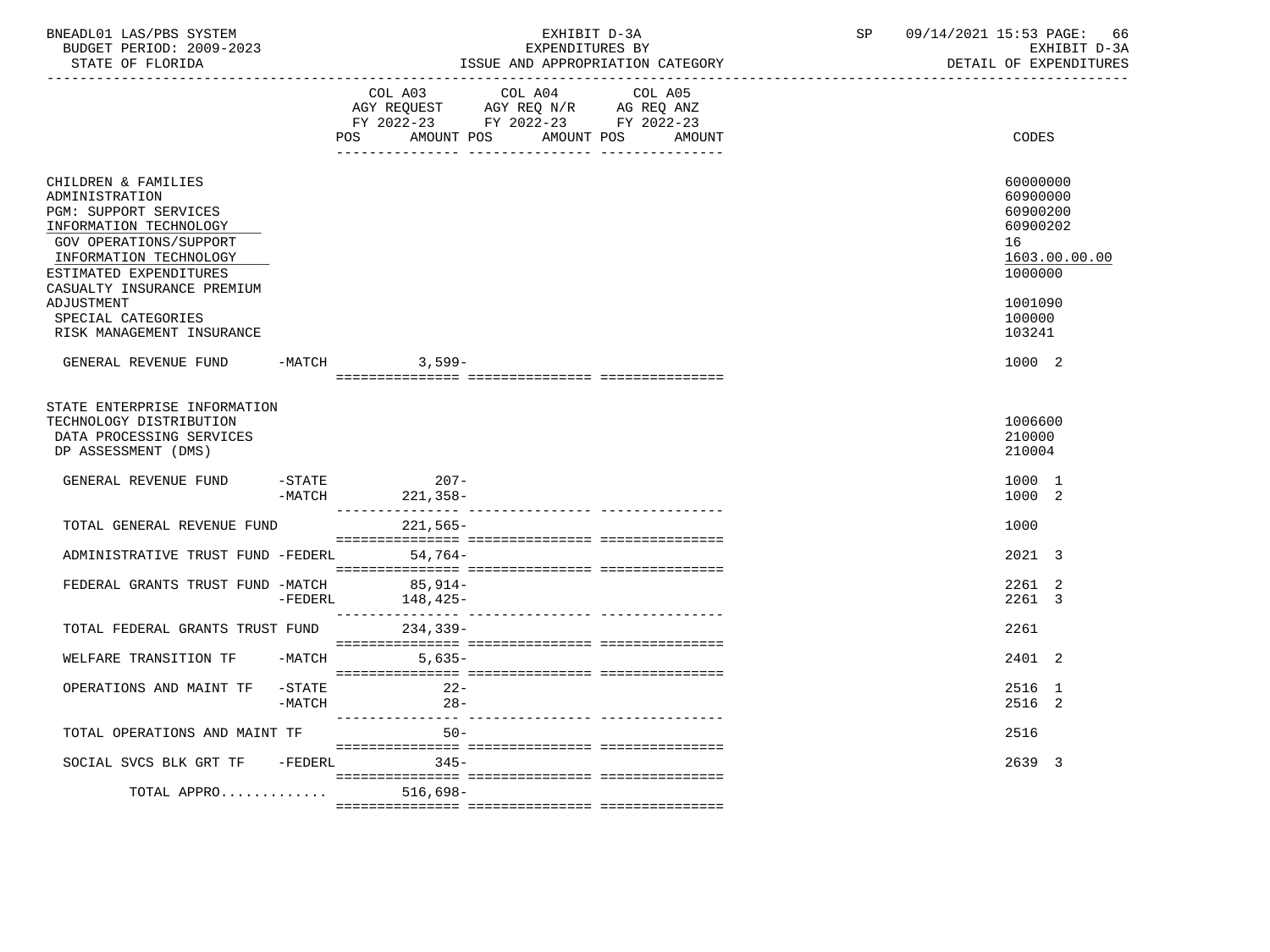| BNEADL01 LAS/PBS SYSTEM<br>BUDGET PERIOD: 2009-2023<br>STATE OF FLORIDA                                                                                                                                                                                                             |                       |                                             | EXHIBIT D-3A<br>EXPENDITURES BY<br>ISSUE AND APPROPRIATION CATEGORY                               | SP                           | 09/14/2021 15:53 PAGE: 66 | EXHIBIT D-3A<br>DETAIL OF EXPENDITURES                                                       |               |  |
|-------------------------------------------------------------------------------------------------------------------------------------------------------------------------------------------------------------------------------------------------------------------------------------|-----------------------|---------------------------------------------|---------------------------------------------------------------------------------------------------|------------------------------|---------------------------|----------------------------------------------------------------------------------------------|---------------|--|
|                                                                                                                                                                                                                                                                                     |                       | <b>POS</b>                                  | COL A03 COL A04 COL A05<br>AGY REQUEST AGY REQ N/R AG REQ ANZ<br>FY 2022-23 FY 2022-23 FY 2022-23 | AMOUNT POS AMOUNT POS AMOUNT |                           | CODES                                                                                        |               |  |
| CHILDREN & FAMILIES<br>ADMINISTRATION<br><b>PGM: SUPPORT SERVICES</b><br>INFORMATION TECHNOLOGY<br><b>GOV OPERATIONS/SUPPORT</b><br>INFORMATION TECHNOLOGY<br>ESTIMATED EXPENDITURES<br>CASUALTY INSURANCE PREMIUM<br>ADJUSTMENT<br>SPECIAL CATEGORIES<br>RISK MANAGEMENT INSURANCE |                       |                                             |                                                                                                   |                              |                           | 60000000<br>60900000<br>60900200<br>60900202<br>16<br>1000000<br>1001090<br>100000<br>103241 | 1603.00.00.00 |  |
| GENERAL REVENUE FUND                                                                                                                                                                                                                                                                |                       | -MATCH 3,599-                               |                                                                                                   |                              |                           | 1000 2                                                                                       |               |  |
| STATE ENTERPRISE INFORMATION<br>TECHNOLOGY DISTRIBUTION<br>DATA PROCESSING SERVICES<br>DP ASSESSMENT (DMS)                                                                                                                                                                          |                       |                                             |                                                                                                   |                              |                           | 1006600<br>210000<br>210004                                                                  |               |  |
| GENERAL REVENUE FUND -STATE                                                                                                                                                                                                                                                         |                       | $207 -$<br>$-MATCH$ 221, 358-               |                                                                                                   |                              |                           | 1000 1<br>1000 2                                                                             |               |  |
| TOTAL GENERAL REVENUE FUND                                                                                                                                                                                                                                                          |                       | 221,565-                                    |                                                                                                   |                              |                           | 1000                                                                                         |               |  |
| ADMINISTRATIVE TRUST FUND -FEDERL 54,764-                                                                                                                                                                                                                                           |                       |                                             |                                                                                                   |                              |                           | 2021 3                                                                                       |               |  |
| FEDERAL GRANTS TRUST FUND -MATCH 85,914-                                                                                                                                                                                                                                            |                       | $-FEDERL$ 148,425-                          |                                                                                                   |                              |                           | 2261 2<br>2261 3                                                                             |               |  |
| TOTAL FEDERAL GRANTS TRUST FUND 234,339-                                                                                                                                                                                                                                            |                       |                                             |                                                                                                   |                              |                           | 2261                                                                                         |               |  |
| WELFARE TRANSITION TF -MATCH 5,635-                                                                                                                                                                                                                                                 |                       |                                             |                                                                                                   |                              |                           | 2401 2                                                                                       |               |  |
| OPERATIONS AND MAINT TF                                                                                                                                                                                                                                                             | $-$ STATE<br>$-MATCH$ | $22-$<br>$28-$                              |                                                                                                   |                              |                           | 2516 1<br>2516 2                                                                             |               |  |
| TOTAL OPERATIONS AND MAINT TF                                                                                                                                                                                                                                                       |                       | $50 -$                                      |                                                                                                   |                              |                           | 2516                                                                                         |               |  |
| SOCIAL SVCS BLK GRT TF -FEDERL 345-                                                                                                                                                                                                                                                 |                       |                                             |                                                                                                   |                              |                           | 2639 3                                                                                       |               |  |
|                                                                                                                                                                                                                                                                                     |                       | TOTAL APPRO $\ldots \ldots \ldots$ 516,698- |                                                                                                   |                              |                           |                                                                                              |               |  |
|                                                                                                                                                                                                                                                                                     |                       |                                             |                                                                                                   |                              |                           |                                                                                              |               |  |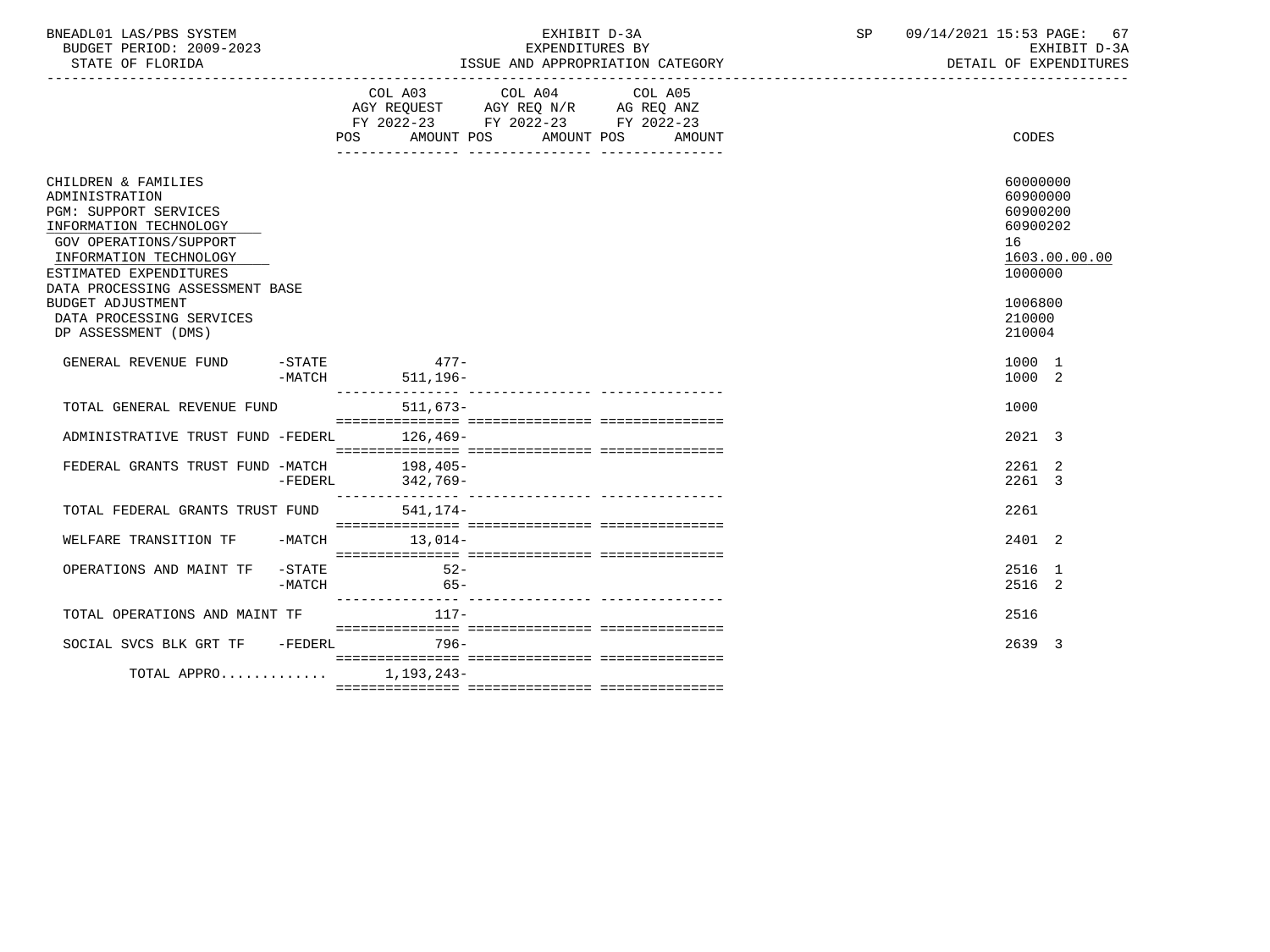| LAS/PBS SYSTEM<br>BNEADL01  |                                                     | $\sim$ $\sim$<br>4/2021<br>. 15:53 PAGE:<br>n 9<br>$\perp$ |
|-----------------------------|-----------------------------------------------------|------------------------------------------------------------|
| BUDGET PERIOD:<br>2009-2023 | DV.<br>EXPENDITURES                                 | חדם דשפת<br>- ⊷                                            |
| $CDMMRR$ $CDRTOPTDR$        | LOODOODIATION CATOOONI<br>T O OTTEL<br><b>7.3TD</b> | . <del>.</del>                                             |

STATE OF FLORIDA **ISSUE AND APPROPRIATION CATEGORY ISSUE AND APPROPRIATION** CATEGORY

|                                                                                                                                                                                                           |                       | POS AMOUNT POS AMOUNT POS |                    | COL A03 COL A04 COL A05<br>AGY REQUEST AGY REQ N/R AG REQ ANZ<br>FY 2022-23 FY 2022-23 FY 2022-23 |  | AMOUNT |  | CODES                                                         |               |
|-----------------------------------------------------------------------------------------------------------------------------------------------------------------------------------------------------------|-----------------------|---------------------------|--------------------|---------------------------------------------------------------------------------------------------|--|--------|--|---------------------------------------------------------------|---------------|
| CHILDREN & FAMILIES<br>ADMINISTRATION<br>PGM: SUPPORT SERVICES<br>INFORMATION TECHNOLOGY<br>GOV OPERATIONS/SUPPORT<br>INFORMATION TECHNOLOGY<br>ESTIMATED EXPENDITURES<br>DATA PROCESSING ASSESSMENT BASE |                       |                           |                    |                                                                                                   |  |        |  | 60000000<br>60900000<br>60900200<br>60900202<br>16<br>1000000 | 1603.00.00.00 |
| <b>BUDGET ADJUSTMENT</b><br>DATA PROCESSING SERVICES<br>DP ASSESSMENT (DMS)                                                                                                                               |                       |                           |                    |                                                                                                   |  |        |  | 1006800<br>210000<br>210004                                   |               |
| GENERAL REVENUE FUND                                                                                                                                                                                      | $-$ STATE<br>$-MATCH$ |                           | $477-$<br>511,196- |                                                                                                   |  |        |  | 1000 1<br>1000 2                                              |               |
| TOTAL GENERAL REVENUE FUND                                                                                                                                                                                |                       |                           | 511,673-           |                                                                                                   |  |        |  | 1000                                                          |               |
| ADMINISTRATIVE TRUST FUND -FEDERL                                                                                                                                                                         |                       | $126, 469-$               |                    |                                                                                                   |  |        |  | 2021 3                                                        |               |
| FEDERAL GRANTS TRUST FUND -MATCH 198,405-                                                                                                                                                                 | $-FEDERL$             | 342,769-                  |                    |                                                                                                   |  |        |  | 2261 2<br>2261 3                                              |               |
| TOTAL FEDERAL GRANTS TRUST FUND                                                                                                                                                                           |                       |                           | 541,174-           |                                                                                                   |  |        |  | 2261                                                          |               |
| WELFARE TRANSITION TF                                                                                                                                                                                     | $-MATCH$              |                           | $13.014-$          |                                                                                                   |  |        |  | 2401 2                                                        |               |
| OPERATIONS AND MAINT TF                                                                                                                                                                                   | $-$ STATE<br>$-MATCH$ |                           | $52-$<br>$65-$     |                                                                                                   |  |        |  | 2516 1<br>2516 2                                              |               |
| TOTAL OPERATIONS AND MAINT TF                                                                                                                                                                             |                       |                           | $117-$             |                                                                                                   |  |        |  | 2516                                                          |               |
| SOCIAL SVCS BLK GRT TF -FEDERL                                                                                                                                                                            |                       |                           | 796-               |                                                                                                   |  |        |  | 2639 3                                                        |               |
| TOTAL APPRO                                                                                                                                                                                               |                       |                           | 1,193,243-         |                                                                                                   |  |        |  |                                                               |               |
|                                                                                                                                                                                                           |                       |                           |                    |                                                                                                   |  |        |  |                                                               |               |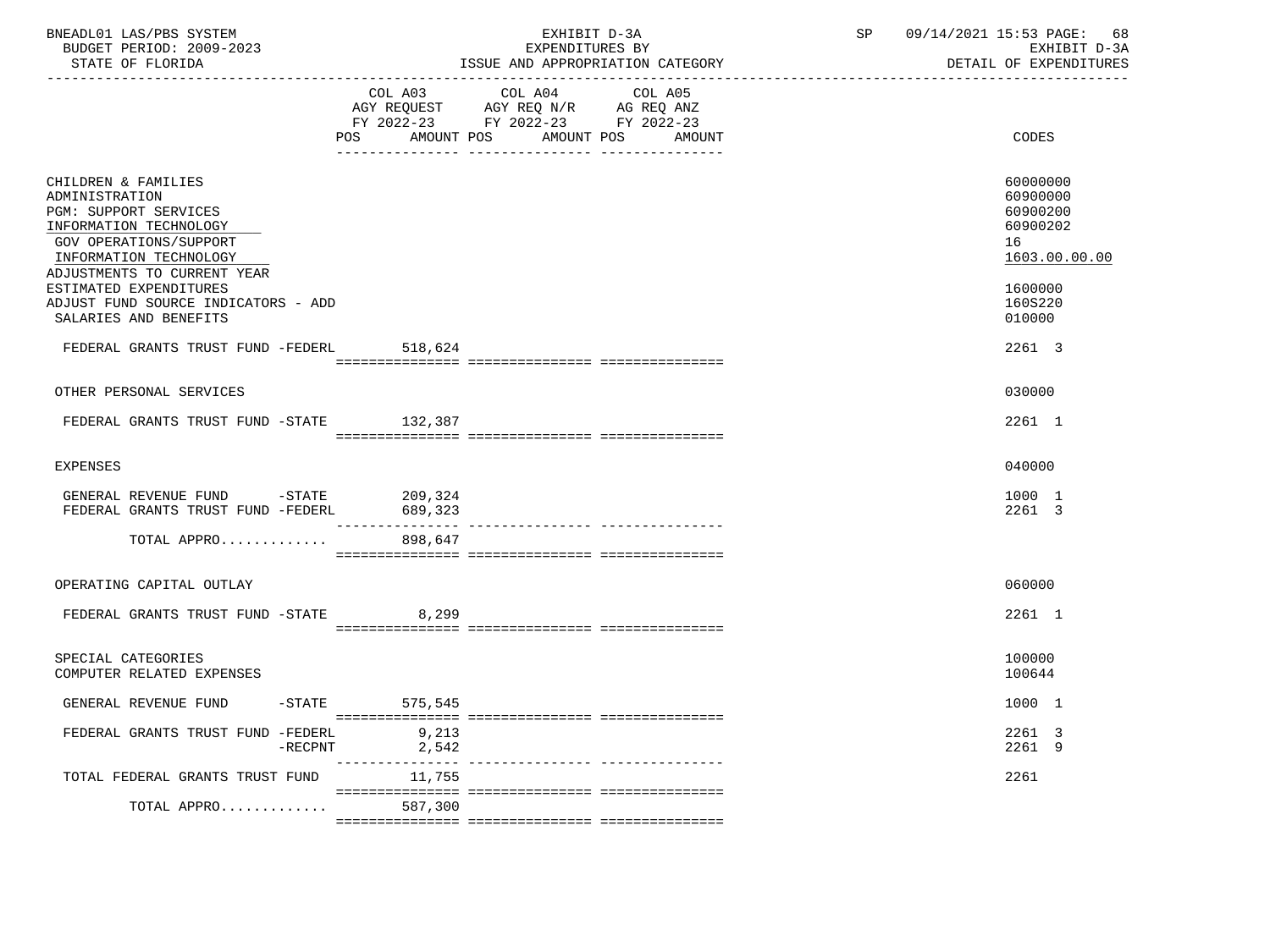| BNEADL01 LAS/PBS SYSTEM<br>BUDGET PERIOD: 2009-2023<br>STATE OF FLORIDA                                                                                                     |                    | EXHIBIT D-3A<br>EXPENDITURES BY<br>ISSUE AND APPROPRIATION CATEGORY                                                              | SP | 09/14/2021 15:53 PAGE: 68<br>EXHIBIT D-3A<br>DETAIL OF EXPENDITURES |
|-----------------------------------------------------------------------------------------------------------------------------------------------------------------------------|--------------------|----------------------------------------------------------------------------------------------------------------------------------|----|---------------------------------------------------------------------|
|                                                                                                                                                                             | COL A03            | COL A04<br>COL A05<br>AGY REQUEST AGY REQ N/R AG REQ ANZ<br>FY 2022-23 FY 2022-23 FY 2022-23<br>POS AMOUNT POS AMOUNT POS AMOUNT |    | CODES                                                               |
| CHILDREN & FAMILIES<br>ADMINISTRATION<br>PGM: SUPPORT SERVICES<br>INFORMATION TECHNOLOGY<br>GOV OPERATIONS/SUPPORT<br>INFORMATION TECHNOLOGY<br>ADJUSTMENTS TO CURRENT YEAR |                    |                                                                                                                                  |    | 60000000<br>60900000<br>60900200<br>60900202<br>16<br>1603.00.00.00 |
| ESTIMATED EXPENDITURES<br>ADJUST FUND SOURCE INDICATORS - ADD<br>SALARIES AND BENEFITS                                                                                      |                    |                                                                                                                                  |    | 1600000<br>160S220<br>010000                                        |
| FEDERAL GRANTS TRUST FUND -FEDERL                                                                                                                                           | 518,624            |                                                                                                                                  |    | 2261 3                                                              |
| OTHER PERSONAL SERVICES                                                                                                                                                     |                    |                                                                                                                                  |    | 030000                                                              |
| FEDERAL GRANTS TRUST FUND -STATE 132,387                                                                                                                                    |                    |                                                                                                                                  |    | 2261 1                                                              |
| EXPENSES                                                                                                                                                                    |                    |                                                                                                                                  |    | 040000                                                              |
| GENERAL REVENUE FUND -STATE<br>FEDERAL GRANTS TRUST FUND -FEDERL                                                                                                            | 209,324<br>689,323 |                                                                                                                                  |    | 1000 1<br>2261 3                                                    |
| TOTAL APPRO                                                                                                                                                                 | 898,647            |                                                                                                                                  |    |                                                                     |
| OPERATING CAPITAL OUTLAY                                                                                                                                                    |                    |                                                                                                                                  |    | 060000                                                              |
| FEDERAL GRANTS TRUST FUND -STATE                                                                                                                                            | 8,299              |                                                                                                                                  |    | 2261 1                                                              |
| SPECIAL CATEGORIES<br>COMPUTER RELATED EXPENSES                                                                                                                             |                    |                                                                                                                                  |    | 100000<br>100644                                                    |
| GENERAL REVENUE FUND                                                                                                                                                        | $-STATE$ 575,545   |                                                                                                                                  |    | 1000 1                                                              |
| FEDERAL GRANTS TRUST FUND -FEDERL<br>$-$ RECPNT                                                                                                                             | 9,213<br>2,542     |                                                                                                                                  |    | 2261 3<br>2261 9                                                    |
| TOTAL FEDERAL GRANTS TRUST FUND                                                                                                                                             | 11,755             |                                                                                                                                  |    | 2261                                                                |
| TOTAL APPRO                                                                                                                                                                 | 587,300            |                                                                                                                                  |    |                                                                     |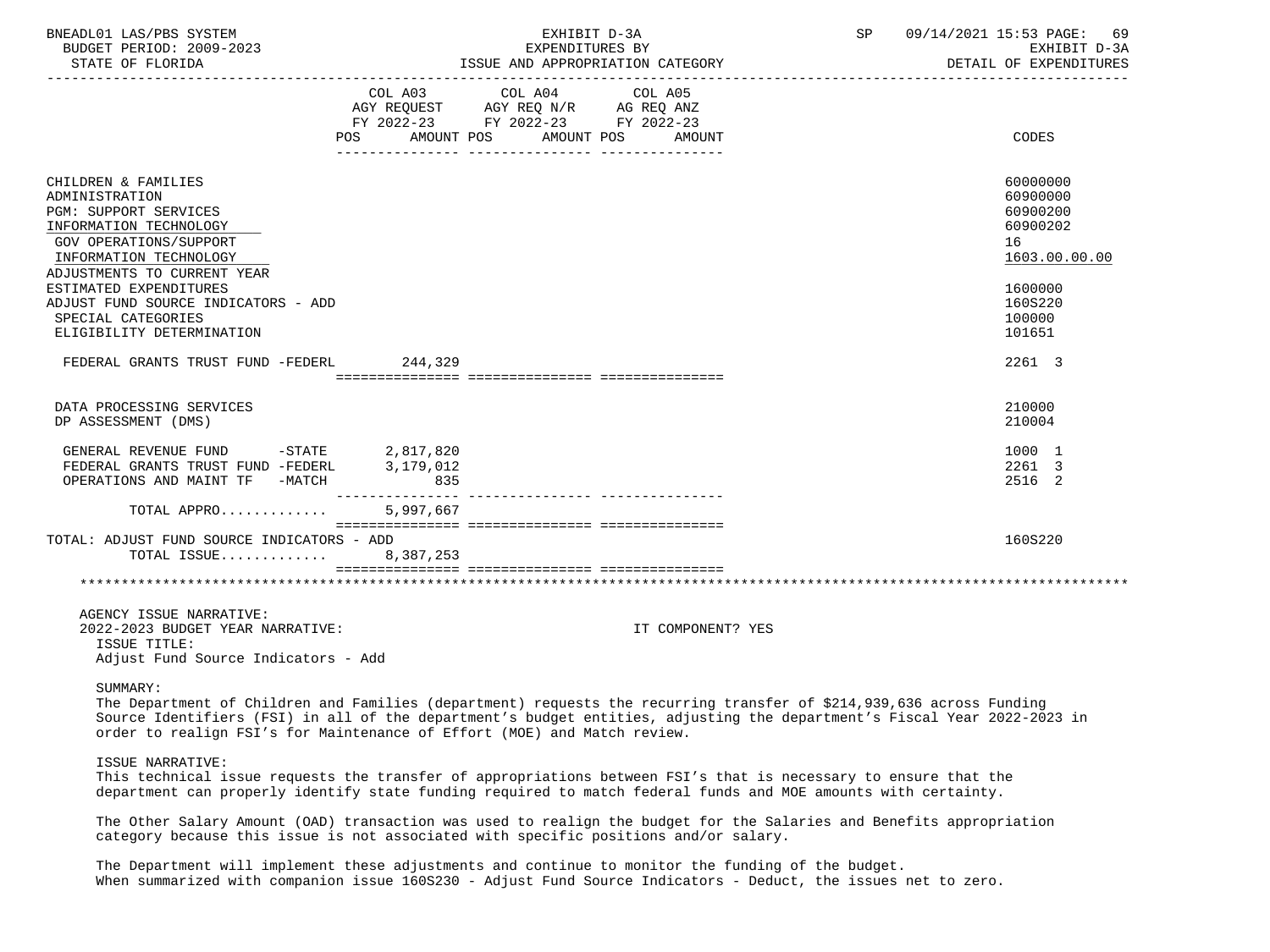| BNEADL01 LAS/PBS SYSTEM<br>BUDGET PERIOD: 2009-2023<br>STATE OF FLORIDA                                                                             |                                                                                                                            | EXHIBIT D-3A<br>EXPENDITURES BY<br>ISSUE AND APPROPRIATION CATEGORY                                                                                                                                                                              | SP | 09/14/2021 15:53 PAGE: 69<br>EXHIBIT D-3A<br>DETAIL OF EXPENDITURES |
|-----------------------------------------------------------------------------------------------------------------------------------------------------|----------------------------------------------------------------------------------------------------------------------------|--------------------------------------------------------------------------------------------------------------------------------------------------------------------------------------------------------------------------------------------------|----|---------------------------------------------------------------------|
|                                                                                                                                                     | COL A03 COL A04 COL A05<br>AGY REQUEST AGY REQ N/R AG REQ ANZ<br>FY 2022-23 FY 2022-23 FY 2022-23<br>AMOUNT POS AMOUNT POS | AMOUNT                                                                                                                                                                                                                                           |    | CODES                                                               |
| CHILDREN & FAMILIES<br>ADMINISTRATION<br><b>PGM: SUPPORT SERVICES</b><br>INFORMATION TECHNOLOGY<br>GOV OPERATIONS/SUPPORT<br>INFORMATION TECHNOLOGY |                                                                                                                            |                                                                                                                                                                                                                                                  |    | 60000000<br>60900000<br>60900200<br>60900202<br>16<br>1603.00.00.00 |
| ADJUSTMENTS TO CURRENT YEAR<br>ESTIMATED EXPENDITURES<br>ADJUST FUND SOURCE INDICATORS - ADD<br>SPECIAL CATEGORIES<br>ELIGIBILITY DETERMINATION     |                                                                                                                            |                                                                                                                                                                                                                                                  |    | 1600000<br>160S220<br>100000<br>101651                              |
| FEDERAL GRANTS TRUST FUND -FEDERL 244,329                                                                                                           |                                                                                                                            |                                                                                                                                                                                                                                                  |    | 2261 3                                                              |
|                                                                                                                                                     |                                                                                                                            |                                                                                                                                                                                                                                                  |    |                                                                     |
| DATA PROCESSING SERVICES<br>DP ASSESSMENT (DMS)                                                                                                     |                                                                                                                            |                                                                                                                                                                                                                                                  |    | 210000<br>210004                                                    |
| GENERAL REVENUE FUND -STATE 2,817,820<br>FEDERAL GRANTS TRUST FUND -FEDERL 3,179,012<br>OPERATIONS AND MAINT TF -MATCH                              | 835<br>________________                                                                                                    |                                                                                                                                                                                                                                                  |    | 1000 1<br>2261 3<br>2516 2                                          |
| TOTAL APPRO                                                                                                                                         | 5,997,667                                                                                                                  |                                                                                                                                                                                                                                                  |    |                                                                     |
| TOTAL: ADJUST FUND SOURCE INDICATORS - ADD<br>TOTAL ISSUE 8,387,253                                                                                 |                                                                                                                            |                                                                                                                                                                                                                                                  |    | 160S220                                                             |
|                                                                                                                                                     |                                                                                                                            |                                                                                                                                                                                                                                                  |    |                                                                     |
| AGENCY ISSUE NARRATIVE:<br>2022-2023 BUDGET YEAR NARRATIVE:<br>ISSUE TITLE:                                                                         |                                                                                                                            | IT COMPONENT? YES                                                                                                                                                                                                                                |    |                                                                     |
| Adjust Fund Source Indicators - Add                                                                                                                 |                                                                                                                            |                                                                                                                                                                                                                                                  |    |                                                                     |
| SUMMARY:<br>order to realign FSI's for Maintenance of Effort (MOE) and Match review.                                                                |                                                                                                                            | The Department of Children and Families (department) requests the recurring transfer of \$214,939,636 across Funding<br>Source Identifiers (FSI) in all of the department's budget entities, adjusting the department's Fiscal Year 2022-2023 in |    |                                                                     |
| ISSUE NARRATIVE:                                                                                                                                    |                                                                                                                            | This technical issue requests the transfer of appropriations between FSI's that is necessary to ensure that the<br>department can properly identify state funding required to match federal funds and MOE amounts with certainty.                |    |                                                                     |
|                                                                                                                                                     |                                                                                                                            | The Other Salary Amount (OAD) transaction was used to realign the budget for the Salaries and Benefits appropriation<br>category because this issue is not associated with specific positions and/or salary.                                     |    |                                                                     |
|                                                                                                                                                     |                                                                                                                            | The Department will implement these adjustments and continue to monitor the funding of the budget.<br>When summarized with companion issue 160S230 - Adjust Fund Source Indicators - Deduct, the issues net to zero.                             |    |                                                                     |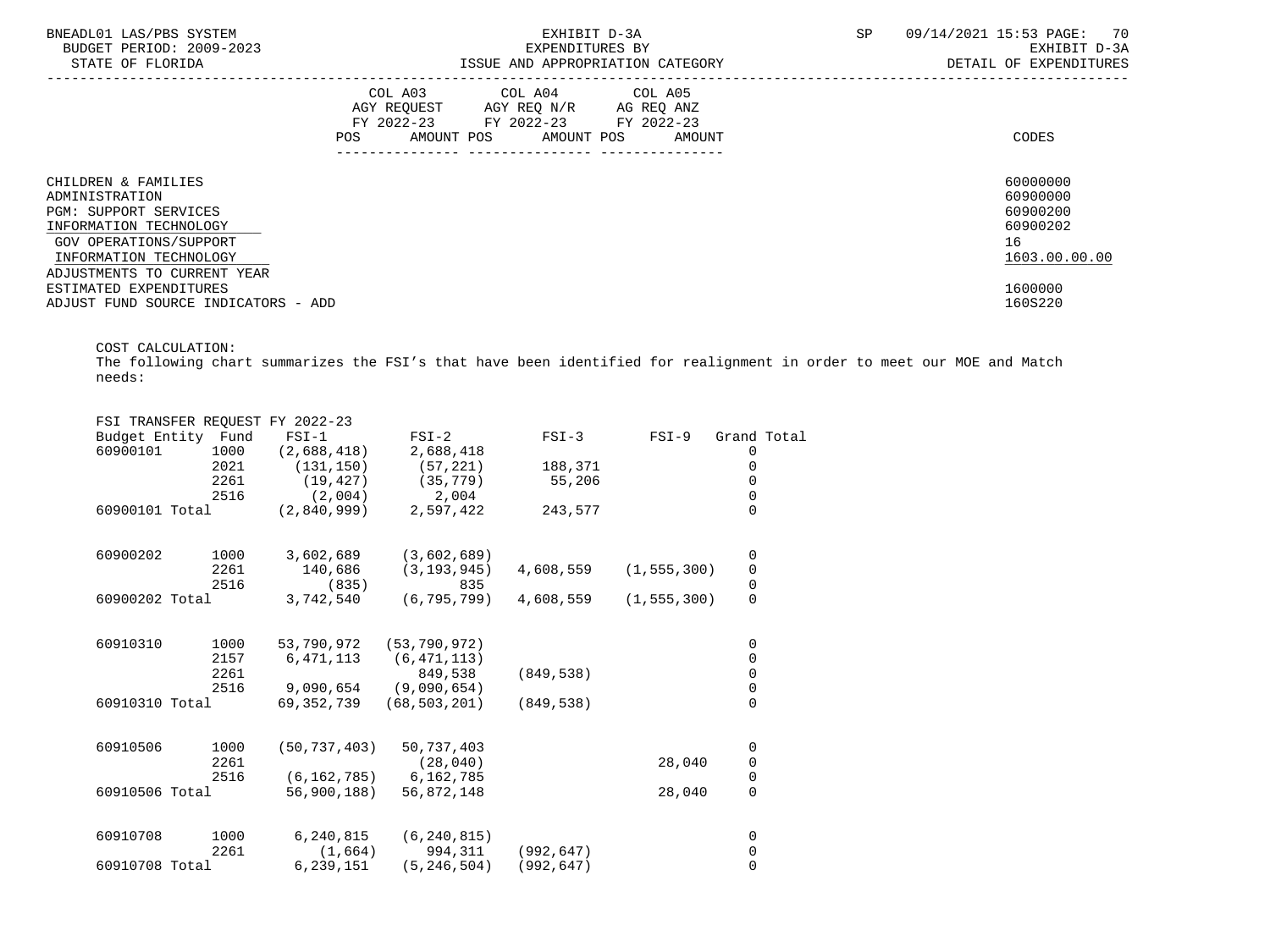| BNEADL01 LAS/PBS SYSTEM<br>BUDGET PERIOD: 2009-2023<br>STATE OF FLORIDA |     |                                                                                                                                   | EXHIBIT D-3A<br>EXPENDITURES BY<br>ISSUE AND APPROPRIATION CATEGORY | <b>SP</b> | 09/14/2021 15:53 PAGE: 70<br>EXHIBIT D-3A<br>DETAIL OF EXPENDITURES |                                  |
|-------------------------------------------------------------------------|-----|-----------------------------------------------------------------------------------------------------------------------------------|---------------------------------------------------------------------|-----------|---------------------------------------------------------------------|----------------------------------|
|                                                                         | POS | COL A03 COL A04 COL A05<br>AGY REQUEST AGY REQ N/R AG REQ ANZ<br>FY 2022-23 FY 2022-23 FY 2022-23<br>AMOUNT POS AMOUNT POS AMOUNT |                                                                     |           |                                                                     | CODES                            |
| CHILDREN & FAMILIES<br>ADMINISTRATION<br><b>PGM: SUPPORT SERVICES</b>   |     |                                                                                                                                   |                                                                     |           |                                                                     | 60000000<br>60900000<br>60900200 |
| INFORMATION TECHNOLOGY                                                  |     |                                                                                                                                   |                                                                     |           |                                                                     | 60900202                         |
| GOV OPERATIONS/SUPPORT                                                  |     |                                                                                                                                   |                                                                     |           |                                                                     | 16                               |
| INFORMATION TECHNOLOGY                                                  |     |                                                                                                                                   |                                                                     |           |                                                                     | 1603.00.00.00                    |
| ADJUSTMENTS TO CURRENT YEAR                                             |     |                                                                                                                                   |                                                                     |           |                                                                     |                                  |
| ESTIMATED EXPENDITURES                                                  |     |                                                                                                                                   |                                                                     |           |                                                                     | 1600000                          |
| ADJUST FUND SOURCE INDICATORS - ADD                                     |     |                                                                                                                                   |                                                                     |           |                                                                     | 160S220                          |

COST CALCULATION:

 The following chart summarizes the FSI's that have been identified for realignment in order to meet our MOE and Match needs:

|                    |                | FSI TRANSFER REOUEST FY 2022-23 |                           |            |               |                                       |  |
|--------------------|----------------|---------------------------------|---------------------------|------------|---------------|---------------------------------------|--|
| Budget Entity Fund |                | $FST-1$                         | $FSI-2$                   | $FSI-3$    | $FSI-9$       | Grand Total                           |  |
| 60900101           | 1000           | (2,688,418)                     | 2,688,418                 |            |               | 0                                     |  |
|                    | 2021           | (131, 150)                      | (57, 221)                 | 188,371    |               | 0                                     |  |
|                    | 2261           | (19, 427)                       | (35, 779)                 | 55,206     |               | 0                                     |  |
|                    | 2516           | (2,004)                         | 2,004                     |            |               | 0                                     |  |
| 60900101 Total     |                | (2,840,999)                     | 2,597,422                 | 243,577    |               | $\Omega$                              |  |
| 60900202           | 1000           | 3,602,689                       | (3,602,689)               |            |               | 0                                     |  |
|                    | 2261           | 140,686                         | (3, 193, 945)             | 4,608,559  | (1, 555, 300) |                                       |  |
|                    | 2516           | (835)                           | 835                       |            |               | $\begin{array}{c} 0 \\ 0 \end{array}$ |  |
| 60900202 Total     |                | 3,742,540                       | (6, 795, 799)             | 4,608,559  | (1, 555, 300) | $\mathbf 0$                           |  |
| 60910310           | 1000           | 53,790,972                      | (53, 790, 972)            |            |               | 0                                     |  |
|                    | 2157           | 6, 471, 113                     | (6, 471, 113)             |            |               | 0                                     |  |
|                    | 2261           |                                 | 849,538                   | (849, 538) |               | $\mathsf 0$                           |  |
|                    | 2516           | 9,090,654                       | (9,090,654)               |            |               | $\mathsf{O}\xspace$                   |  |
| 60910310 Total     |                | 69,352,739                      | (68, 503, 201)            | (849, 538) |               | $\overline{0}$                        |  |
| 60910506           | 1000           | (50, 737, 403)                  | 50,737,403                |            |               | 0                                     |  |
|                    | 2261           |                                 | (28, 040)                 |            | 28,040        | $\mathsf{O}\xspace$                   |  |
|                    | 2516           | (6, 162, 785)                   | 6,162,785                 |            |               | $\mathsf{O}\xspace$                   |  |
|                    | 60910506 Total |                                 | 56,900,188)<br>56,872,148 |            | 28,040        | $\mathsf{O}\xspace$                   |  |
| 60910708           | 1000           | 6,240,815                       | (6, 240, 815)             |            |               | 0                                     |  |
|                    | 2261           | (1,664)                         | 994,311                   | (992, 647) |               | 0                                     |  |
| 60910708 Total     |                | 6,239,151                       | (5, 246, 504)             | (992, 647) |               | $\mathbf 0$                           |  |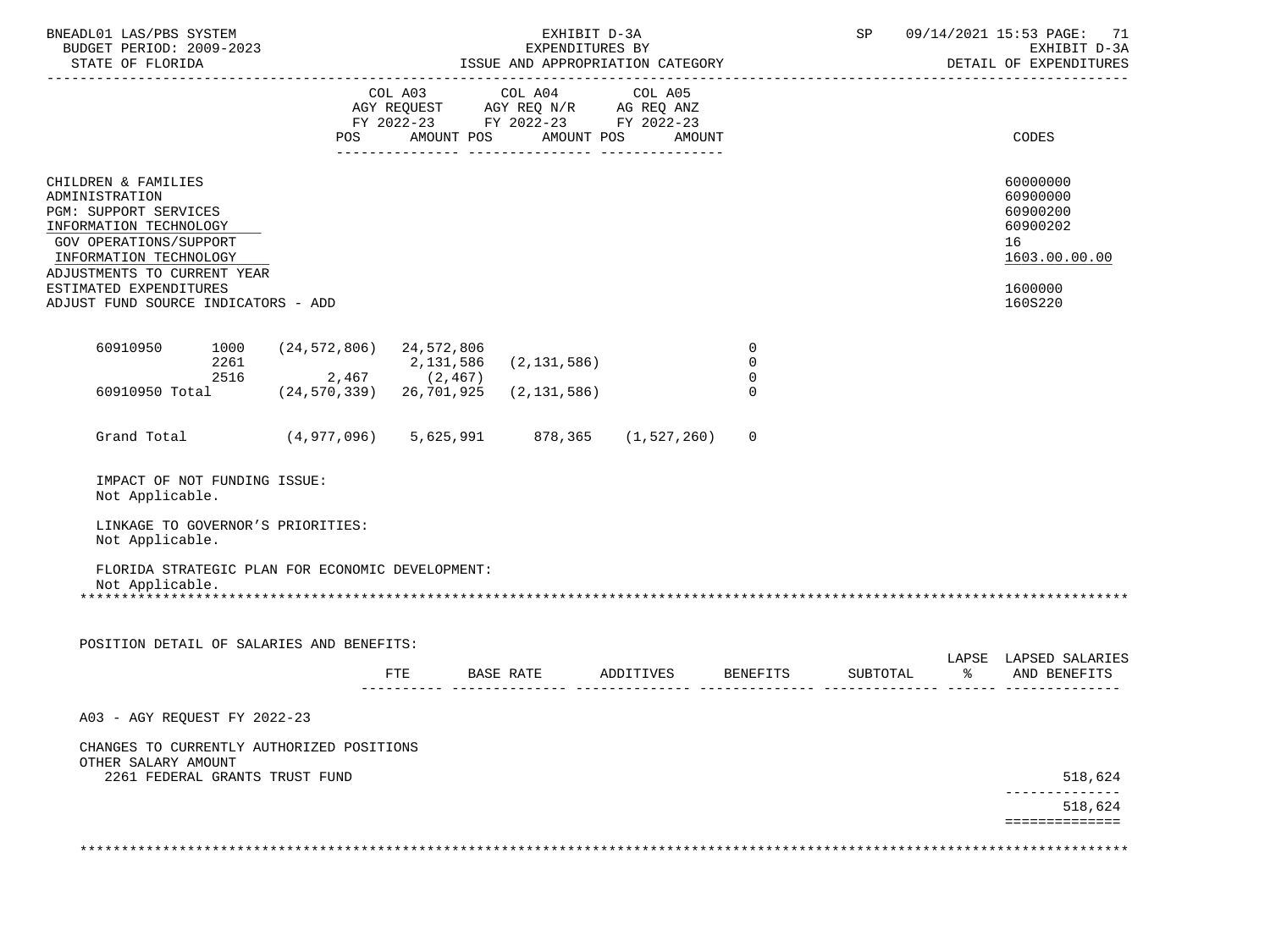| BNEADL01 LAS/PBS SYSTEM<br>BUDGET PERIOD: 2009-2023<br>STATE OF FLORIDA                                                                                                                               |                                                  | EXHIBIT D-3A<br>EXPENDITURES BY<br>ISSUE AND APPROPRIATION CATEGORY |                                                                                                   |                                  |                                                 |          | SP 09/14/2021 15:53 PAGE: 71<br>EXHIBIT D-3A<br>DETAIL OF EXPENDITURES         |
|-------------------------------------------------------------------------------------------------------------------------------------------------------------------------------------------------------|--------------------------------------------------|---------------------------------------------------------------------|---------------------------------------------------------------------------------------------------|----------------------------------|-------------------------------------------------|----------|--------------------------------------------------------------------------------|
|                                                                                                                                                                                                       |                                                  |                                                                     | COL A03 COL A04 COL A05<br>AGY REQUEST AGY REQ N/R AG REQ ANZ<br>FY 2022-23 FY 2022-23 FY 2022-23 | POS AMOUNT POS AMOUNT POS AMOUNT |                                                 |          | CODES                                                                          |
| CHILDREN & FAMILIES<br>ADMINISTRATION<br>PGM: SUPPORT SERVICES<br>INFORMATION TECHNOLOGY<br>GOV OPERATIONS/SUPPORT<br>INFORMATION TECHNOLOGY<br>ADJUSTMENTS TO CURRENT YEAR<br>ESTIMATED EXPENDITURES |                                                  |                                                                     |                                                                                                   |                                  |                                                 |          | 60000000<br>60900000<br>60900200<br>60900202<br>16<br>1603.00.00.00<br>1600000 |
| ADJUST FUND SOURCE INDICATORS - ADD                                                                                                                                                                   |                                                  |                                                                     |                                                                                                   |                                  |                                                 |          | 160S220                                                                        |
| 60910950<br>1000<br>2261<br>2516                                                                                                                                                                      | $(24, 572, 806)$ 24, 572, 806<br>$2,467$ (2,467) | 2,131,586                                                           | (2, 131, 586)                                                                                     |                                  | $\overline{0}$<br>$\mathbf 0$<br>$\overline{0}$ |          |                                                                                |
| 60910950 Total (24,570,339) 26,701,925                                                                                                                                                                |                                                  |                                                                     | (2, 131, 586)                                                                                     |                                  | $\Omega$                                        |          |                                                                                |
| Grand Total (4,977,096) 5,625,991                                                                                                                                                                     |                                                  |                                                                     |                                                                                                   | 878,365 (1,527,260)              | $\Omega$                                        |          |                                                                                |
| IMPACT OF NOT FUNDING ISSUE:<br>Not Applicable.                                                                                                                                                       |                                                  |                                                                     |                                                                                                   |                                  |                                                 |          |                                                                                |
| LINKAGE TO GOVERNOR'S PRIORITIES:<br>Not Applicable.                                                                                                                                                  |                                                  |                                                                     |                                                                                                   |                                  |                                                 |          |                                                                                |
| FLORIDA STRATEGIC PLAN FOR ECONOMIC DEVELOPMENT:<br>Not Applicable.                                                                                                                                   |                                                  |                                                                     |                                                                                                   |                                  |                                                 |          |                                                                                |
| POSITION DETAIL OF SALARIES AND BENEFITS:                                                                                                                                                             |                                                  |                                                                     |                                                                                                   |                                  |                                                 |          | LAPSE LAPSED SALARIES                                                          |
|                                                                                                                                                                                                       |                                                  | FTE                                                                 | BASE RATE                                                                                         | ADDITIVES                        | <b>BENEFITS</b>                                 | SUBTOTAL | % AND BENEFITS                                                                 |
| A03 - AGY REQUEST FY 2022-23                                                                                                                                                                          |                                                  |                                                                     |                                                                                                   |                                  |                                                 |          |                                                                                |
| CHANGES TO CURRENTLY AUTHORIZED POSITIONS<br>OTHER SALARY AMOUNT                                                                                                                                      |                                                  |                                                                     |                                                                                                   |                                  |                                                 |          |                                                                                |
| 2261 FEDERAL GRANTS TRUST FUND                                                                                                                                                                        |                                                  |                                                                     |                                                                                                   |                                  |                                                 |          | 518,624                                                                        |
|                                                                                                                                                                                                       |                                                  |                                                                     |                                                                                                   |                                  |                                                 |          | 518,624<br>==============                                                      |
|                                                                                                                                                                                                       |                                                  |                                                                     |                                                                                                   |                                  |                                                 |          |                                                                                |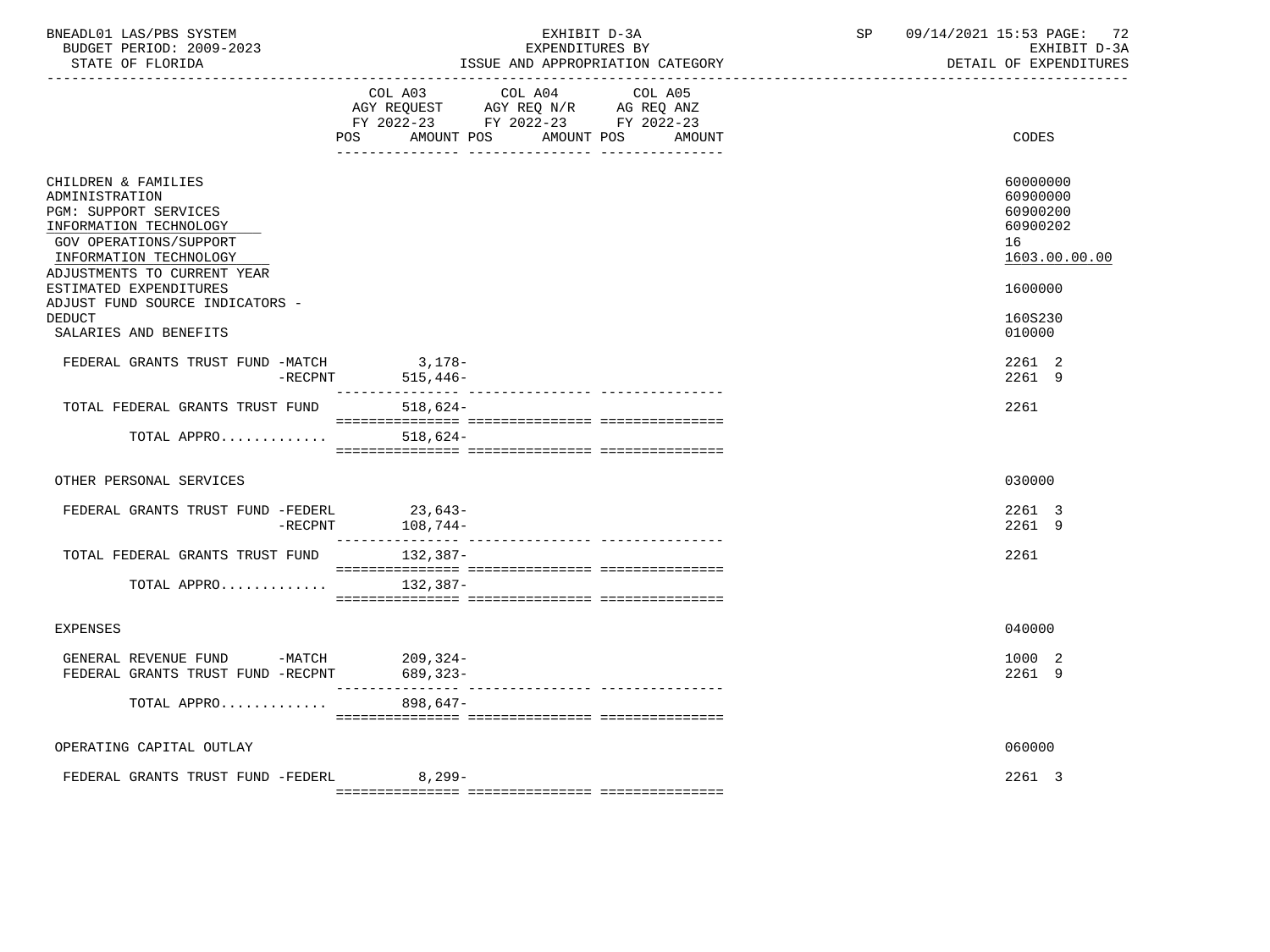| BNEADL01 LAS/PBS SYSTEM<br>BUDGET PERIOD: 2009-2023<br>STATE OF FLORIDA                                                                                                                                                                                                                          |                                                                                          | EXHIBIT D-3A<br>EXPENDITURES BY<br>______________________________________ | ISSUE AND APPROPRIATION CATEGORY        | SP | 09/14/2021 15:53 PAGE: 72 | EXHIBIT D-3A<br>DETAIL OF EXPENDITURES                                                        |
|--------------------------------------------------------------------------------------------------------------------------------------------------------------------------------------------------------------------------------------------------------------------------------------------------|------------------------------------------------------------------------------------------|---------------------------------------------------------------------------|-----------------------------------------|----|---------------------------|-----------------------------------------------------------------------------------------------|
|                                                                                                                                                                                                                                                                                                  | COL A03<br>AGY REQUEST AGY REQ N/R AG REQ ANZ<br>FY 2022-23 FY 2022-23 FY 2022-23<br>POS | COL A04                                                                   | COL A05<br>AMOUNT POS AMOUNT POS AMOUNT |    |                           | CODES                                                                                         |
| CHILDREN & FAMILIES<br>ADMINISTRATION<br><b>PGM: SUPPORT SERVICES</b><br>INFORMATION TECHNOLOGY<br><b>GOV OPERATIONS/SUPPORT</b><br>INFORMATION TECHNOLOGY<br>ADJUSTMENTS TO CURRENT YEAR<br>ESTIMATED EXPENDITURES<br>ADJUST FUND SOURCE INDICATORS -<br><b>DEDUCT</b><br>SALARIES AND BENEFITS |                                                                                          |                                                                           |                                         |    | 16                        | 60000000<br>60900000<br>60900200<br>60900202<br>1603.00.00.00<br>1600000<br>160S230<br>010000 |
| FEDERAL GRANTS TRUST FUND -MATCH 3,178-                                                                                                                                                                                                                                                          | $-$ RECPNT 515,446-                                                                      |                                                                           |                                         |    |                           | 2261 2<br>2261 9                                                                              |
| TOTAL FEDERAL GRANTS TRUST FUND                                                                                                                                                                                                                                                                  | $518,624-$                                                                               |                                                                           |                                         |    |                           | 2261                                                                                          |
| TOTAL APPRO                                                                                                                                                                                                                                                                                      | 518,624-                                                                                 |                                                                           |                                         |    |                           |                                                                                               |
| OTHER PERSONAL SERVICES                                                                                                                                                                                                                                                                          |                                                                                          |                                                                           |                                         |    |                           | 030000                                                                                        |
| FEDERAL GRANTS TRUST FUND -FEDERL<br>$-RECPNT$                                                                                                                                                                                                                                                   | $23,643-$<br>$108,744-$                                                                  |                                                                           |                                         |    |                           | 2261 3<br>2261 9                                                                              |
| TOTAL FEDERAL GRANTS TRUST FUND                                                                                                                                                                                                                                                                  | 132,387-                                                                                 |                                                                           |                                         |    |                           | 2261                                                                                          |
| TOTAL APPRO                                                                                                                                                                                                                                                                                      | 132,387-                                                                                 |                                                                           |                                         |    |                           |                                                                                               |
| <b>EXPENSES</b>                                                                                                                                                                                                                                                                                  |                                                                                          |                                                                           |                                         |    |                           | 040000                                                                                        |
| GENERAL REVENUE FUND -MATCH 209,324-<br>FEDERAL GRANTS TRUST FUND -RECPNT                                                                                                                                                                                                                        | 689,323-                                                                                 |                                                                           |                                         |    |                           | 1000 2<br>2261 9                                                                              |
| TOTAL APPRO                                                                                                                                                                                                                                                                                      | 898,647-                                                                                 |                                                                           |                                         |    |                           |                                                                                               |
| OPERATING CAPITAL OUTLAY                                                                                                                                                                                                                                                                         |                                                                                          |                                                                           |                                         |    |                           | 060000                                                                                        |
| FEDERAL GRANTS TRUST FUND -FEDERL 8,299-                                                                                                                                                                                                                                                         |                                                                                          |                                                                           |                                         |    |                           | 2261 3                                                                                        |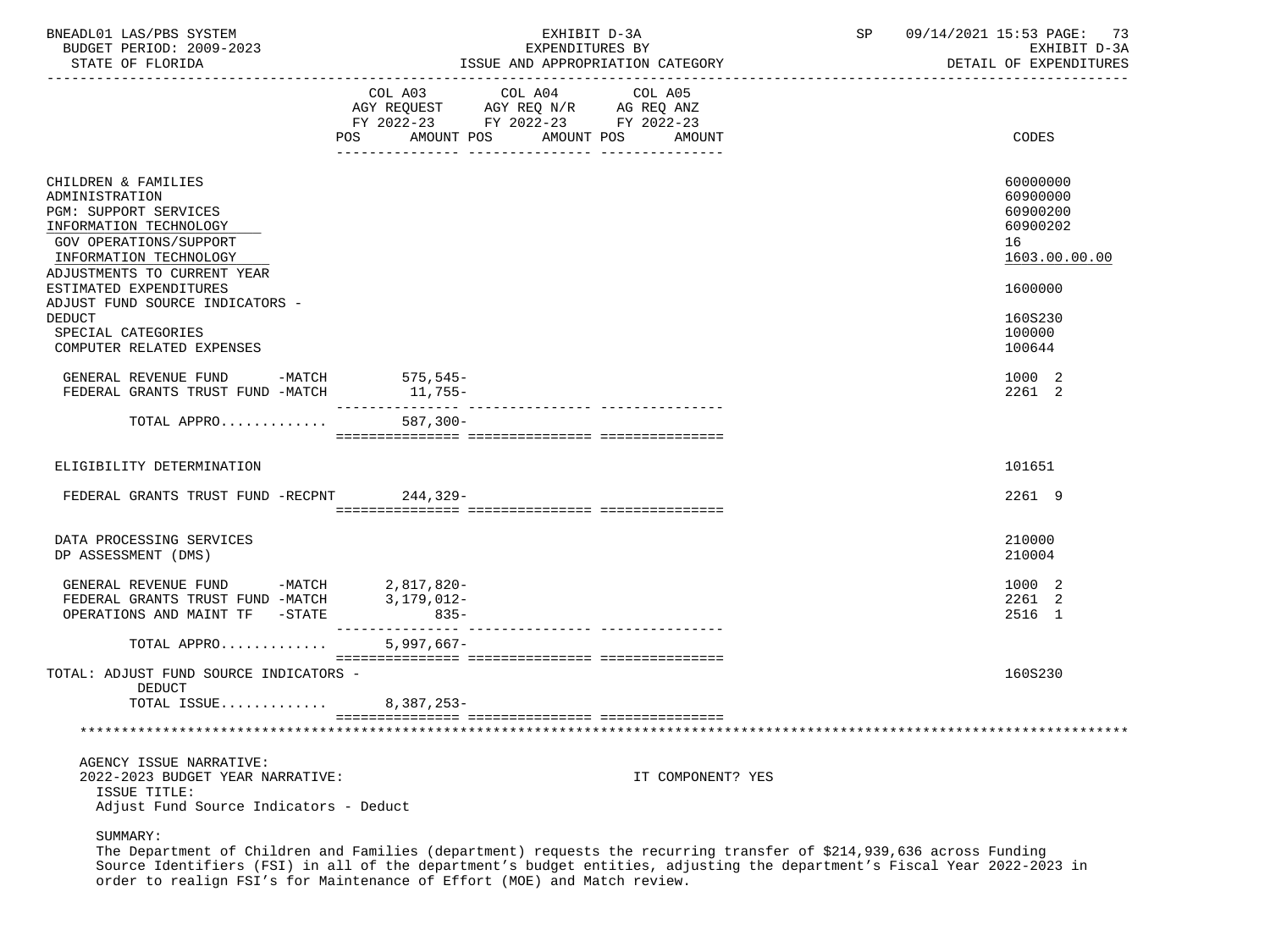| BNEADL01 LAS/PBS SYSTEM<br>BUDGET PERIOD: 2009-2023<br>STATE OF FLORIDA                                                                                                                                                                                                                                                                                                                                                                                                                                       |                                                                                                                       | EXHIBIT D-3A<br>EXPENDITURES BY<br>ISSUE AND APPROPRIATION CATEGORY |         |                   | SP | 09/14/2021 15:53 PAGE: 73<br>EXHIBIT D-3A<br>DETAIL OF EXPENDITURES |
|---------------------------------------------------------------------------------------------------------------------------------------------------------------------------------------------------------------------------------------------------------------------------------------------------------------------------------------------------------------------------------------------------------------------------------------------------------------------------------------------------------------|-----------------------------------------------------------------------------------------------------------------------|---------------------------------------------------------------------|---------|-------------------|----|---------------------------------------------------------------------|
|                                                                                                                                                                                                                                                                                                                                                                                                                                                                                                               | COL A03<br>AGY REQUEST AGY REQ N/R AG REQ ANZ<br>FY 2022-23 FY 2022-23 FY 2022-23<br>POS AMOUNT POS AMOUNT POS AMOUNT | COL A04                                                             | COL A05 |                   |    | CODES                                                               |
| CHILDREN & FAMILIES<br>ADMINISTRATION<br><b>PGM: SUPPORT SERVICES</b><br>INFORMATION TECHNOLOGY<br>GOV OPERATIONS/SUPPORT<br>INFORMATION TECHNOLOGY<br>ADJUSTMENTS TO CURRENT YEAR                                                                                                                                                                                                                                                                                                                            |                                                                                                                       |                                                                     |         |                   |    | 60000000<br>60900000<br>60900200<br>60900202<br>16<br>1603.00.00.00 |
| ESTIMATED EXPENDITURES<br>ADJUST FUND SOURCE INDICATORS -<br><b>DEDUCT</b><br>SPECIAL CATEGORIES<br>COMPUTER RELATED EXPENSES                                                                                                                                                                                                                                                                                                                                                                                 |                                                                                                                       |                                                                     |         |                   |    | 1600000<br>160S230<br>100000<br>100644                              |
| GENERAL REVENUE FUND -MATCH 575,545-<br>FEDERAL GRANTS TRUST FUND -MATCH                                                                                                                                                                                                                                                                                                                                                                                                                                      | 11,755–                                                                                                               |                                                                     |         |                   |    | 1000 2<br>2261 2                                                    |
| TOTAL APPRO                                                                                                                                                                                                                                                                                                                                                                                                                                                                                                   | $587,300-$                                                                                                            |                                                                     |         |                   |    |                                                                     |
| ELIGIBILITY DETERMINATION                                                                                                                                                                                                                                                                                                                                                                                                                                                                                     |                                                                                                                       |                                                                     |         |                   |    | 101651                                                              |
| FEDERAL GRANTS TRUST FUND -RECPNT 244,329-                                                                                                                                                                                                                                                                                                                                                                                                                                                                    |                                                                                                                       |                                                                     |         |                   |    | 2261 9                                                              |
| DATA PROCESSING SERVICES<br>DP ASSESSMENT (DMS)                                                                                                                                                                                                                                                                                                                                                                                                                                                               |                                                                                                                       |                                                                     |         |                   |    | 210000<br>210004                                                    |
| $\begin{tabular}{llllll} \multicolumn{2}{l}{{\small\tt GENERAL}} & {\small\tt REVENUE} & {\small\tt FUND} & & \multicolumn{2}{l}{-MATCH} & & \multicolumn{2}{l}{2,817,820-} \\ \multicolumn{2}{l}{\small\tt FEDERAL} & {\small\tt GRANTS} & {\small\tt TRUST} & {\small\tt FUND} & -MATCH & & \multicolumn{2}{l}{3,179,012-} \\ \multicolumn{2}{l}{\small\tt FEDERAL} & {\small\tt GRANTS} & {\small\tt TRUST} & {\small\tt FUND} & -MATCH & & \multicolumn{2}{l}{3,179,01$<br>OPERATIONS AND MAINT TF -STATE | $835 -$                                                                                                               |                                                                     |         |                   |    | 1000 2<br>2261 2<br>2516 1                                          |
| TOTAL APPRO                                                                                                                                                                                                                                                                                                                                                                                                                                                                                                   | $5,997,667-$                                                                                                          |                                                                     |         |                   |    |                                                                     |
| TOTAL: ADJUST FUND SOURCE INDICATORS -<br>DEDUCT                                                                                                                                                                                                                                                                                                                                                                                                                                                              |                                                                                                                       |                                                                     |         |                   |    | 160S230                                                             |
| TOTAL ISSUE                                                                                                                                                                                                                                                                                                                                                                                                                                                                                                   | 8,387,253-                                                                                                            |                                                                     |         |                   |    |                                                                     |
|                                                                                                                                                                                                                                                                                                                                                                                                                                                                                                               |                                                                                                                       |                                                                     |         |                   |    |                                                                     |
| AGENCY ISSUE NARRATIVE:<br>2022-2023 BUDGET YEAR NARRATIVE:<br>ISSUE TITLE:<br>Adjust Fund Source Indicators - Deduct                                                                                                                                                                                                                                                                                                                                                                                         |                                                                                                                       |                                                                     |         | IT COMPONENT? YES |    |                                                                     |

SUMMARY:

 The Department of Children and Families (department) requests the recurring transfer of \$214,939,636 across Funding Source Identifiers (FSI) in all of the department's budget entities, adjusting the department's Fiscal Year 2022-2023 in order to realign FSI's for Maintenance of Effort (MOE) and Match review.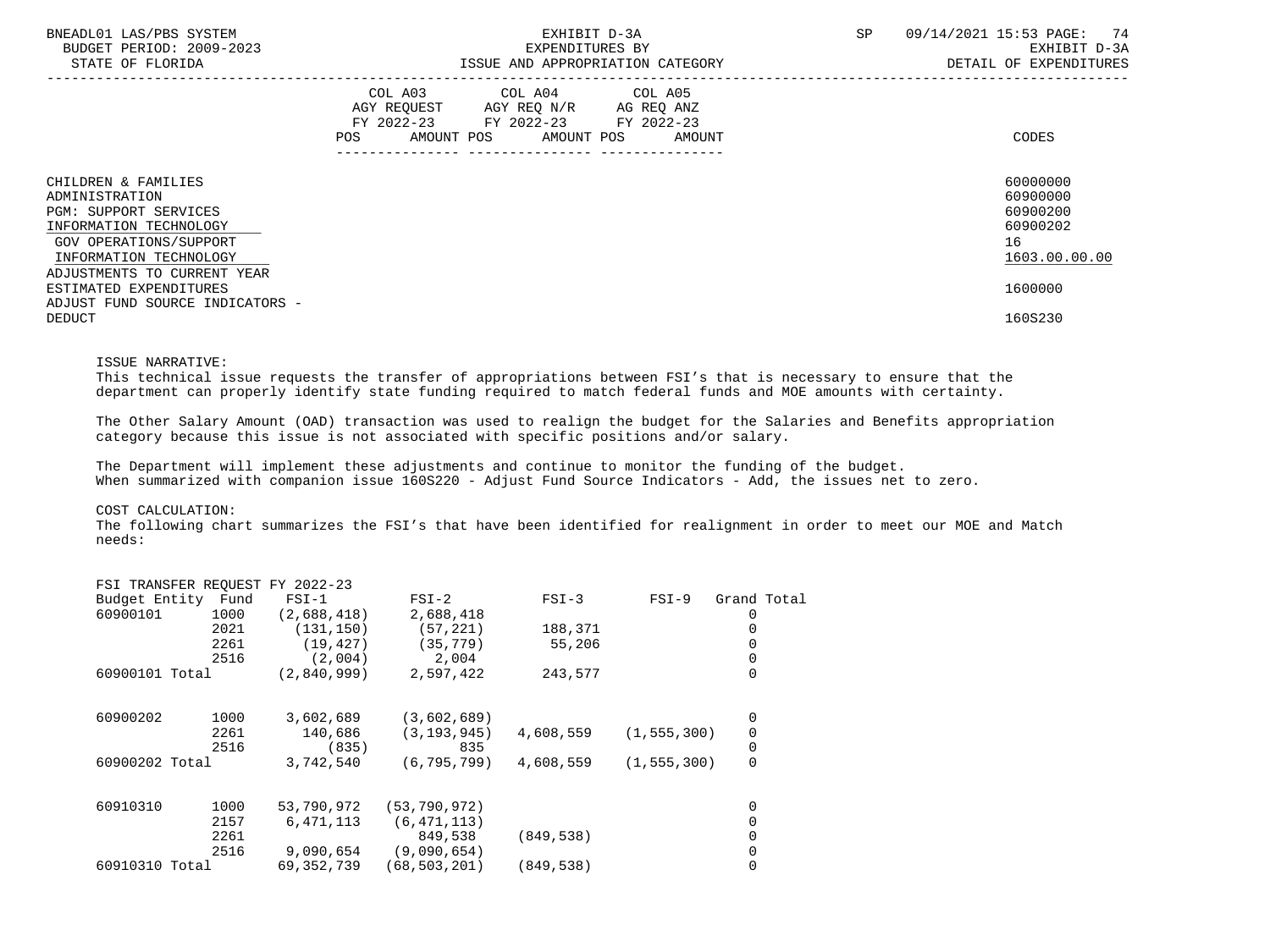| BNEADL01 LAS/PBS SYSTEM<br>BUDGET PERIOD: 2009-2023<br>STATE OF FLORIDA                                                                             | EXHIBIT D-3A<br>EXPENDITURES BY<br>ISSUE AND APPROPRIATION CATEGORY                                                                            | 74<br>SP<br>09/14/2021 15:53 PAGE:<br>EXHIBIT D-3A<br>DETAIL OF EXPENDITURES |
|-----------------------------------------------------------------------------------------------------------------------------------------------------|------------------------------------------------------------------------------------------------------------------------------------------------|------------------------------------------------------------------------------|
|                                                                                                                                                     | COL A03 COL A04 COL A05<br>AGY REQUEST AGY REQ N/R AG REQ ANZ<br>FY 2022-23 FY 2022-23 FY 2022-23<br>AMOUNT POS<br>AMOUNT POS<br>POS<br>AMOUNT | CODES                                                                        |
| CHILDREN & FAMILIES<br>ADMINISTRATION<br><b>PGM: SUPPORT SERVICES</b><br>INFORMATION TECHNOLOGY<br>GOV OPERATIONS/SUPPORT<br>INFORMATION TECHNOLOGY |                                                                                                                                                | 60000000<br>60900000<br>60900200<br>60900202<br>16<br>1603.00.00.00          |
| ADJUSTMENTS TO CURRENT YEAR<br>ESTIMATED EXPENDITURES<br>ADJUST FUND SOURCE INDICATORS -                                                            |                                                                                                                                                | 1600000                                                                      |
| <b>DEDUCT</b>                                                                                                                                       |                                                                                                                                                | 160S230                                                                      |

### ISSUE NARRATIVE:

 This technical issue requests the transfer of appropriations between FSI's that is necessary to ensure that the department can properly identify state funding required to match federal funds and MOE amounts with certainty.

 The Other Salary Amount (OAD) transaction was used to realign the budget for the Salaries and Benefits appropriation category because this issue is not associated with specific positions and/or salary.

 The Department will implement these adjustments and continue to monitor the funding of the budget. When summarized with companion issue 160S220 - Adjust Fund Source Indicators - Add, the issues net to zero.

### COST CALCULATION:

 The following chart summarizes the FSI's that have been identified for realignment in order to meet our MOE and Match needs:

|          |      | $FSI-1$                                                                  | $FSI-2$                         | $FSI-3$    | $FSI-9$ | Grand Total                    |
|----------|------|--------------------------------------------------------------------------|---------------------------------|------------|---------|--------------------------------|
| 60900101 | 1000 | (2,688,418)                                                              | 2,688,418                       |            |         |                                |
|          | 2021 | (131, 150)                                                               | (57, 221)                       | 188,371    |         |                                |
|          | 2261 | (19, 427)                                                                | (35, 779)                       | 55,206     |         |                                |
|          | 2516 | (2,004)                                                                  | 2,004                           |            |         |                                |
|          |      | (2,840,999)                                                              | 2,597,422                       | 243,577    |         | 0                              |
| 60900202 | 1000 | 3,602,689                                                                | (3,602,689)                     |            |         | 0                              |
|          | 2261 | 140,686                                                                  | (3, 193, 945)                   | 4,608,559  |         | 0                              |
|          | 2516 | (835)                                                                    | 835                             |            |         | 0                              |
|          |      | 3,742,540                                                                | (6, 795, 799)                   | 4,608,559  |         | 0                              |
| 60910310 | 1000 | 53,790,972                                                               | (53, 790, 972)                  |            |         | 0                              |
|          | 2157 | 6,471,113                                                                | (6, 471, 113)                   |            |         |                                |
|          | 2261 |                                                                          | 849,538                         | (849, 538) |         |                                |
|          | 2516 | 9,090,654                                                                | (9,090,654)                     |            |         |                                |
|          |      | 69, 352, 739                                                             | (68, 503, 201)                  | (849, 538) |         |                                |
|          |      | Budget Entity Fund<br>60900101 Total<br>60900202 Total<br>60910310 Total | FSI TRANSFER REQUEST FY 2022-23 |            |         | (1, 555, 300)<br>(1, 555, 300) |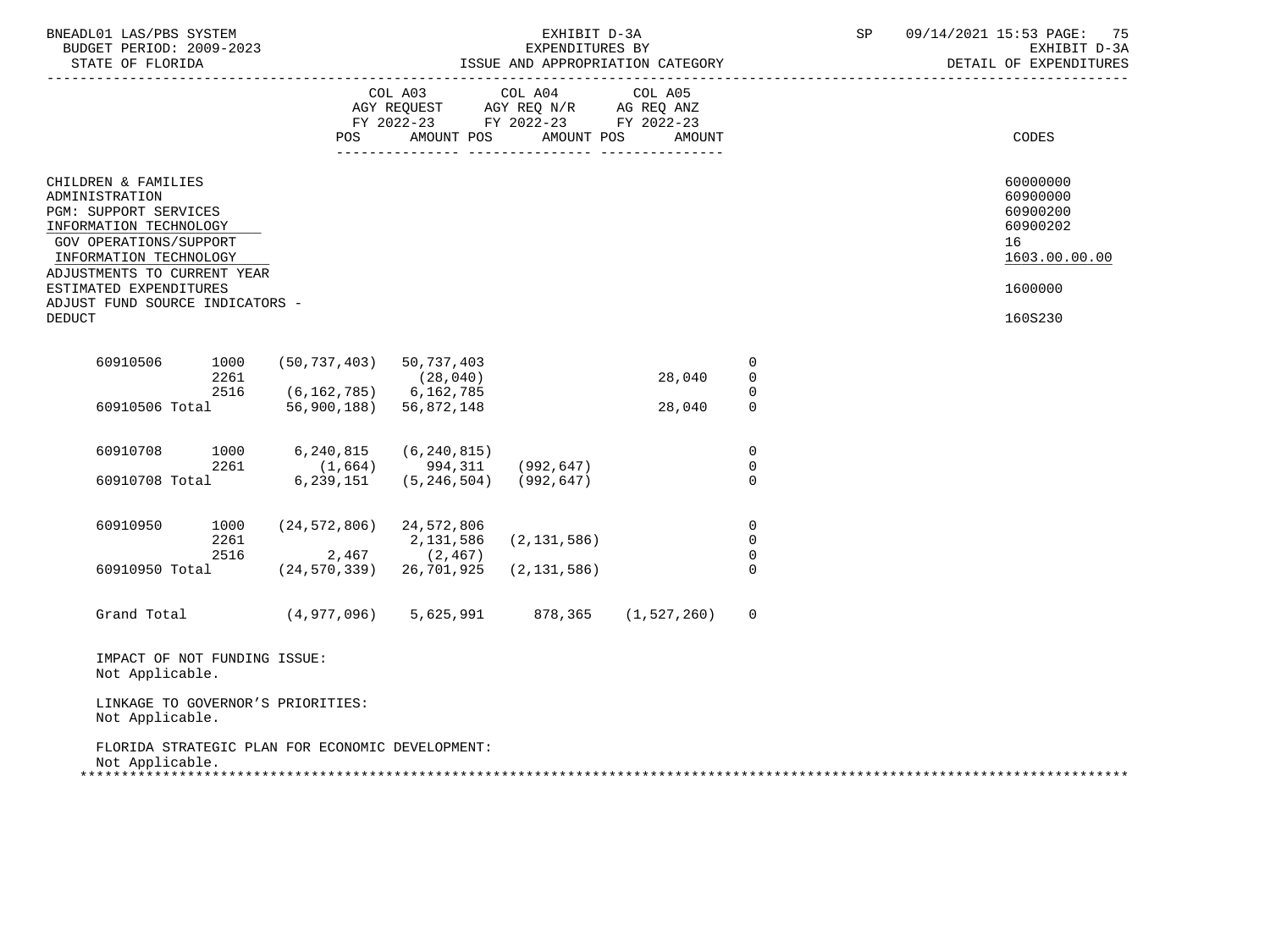| BNEADL01 LAS/PBS SYSTEM<br>BUDGET PERIOD: 2009-2023<br>STATE OF FLORIDA                                                                                                                                                                                   |              |                                                                  |                                                                                   | EXHIBIT D-3A<br>EXPENDITURES BY | ISSUE AND APPROPRIATION CATEGORY            |                                           | SP | 09/14/2021 15:53 PAGE: 75<br>EXHIBIT D-3A<br>DETAIL OF EXPENDITURES                       |
|-----------------------------------------------------------------------------------------------------------------------------------------------------------------------------------------------------------------------------------------------------------|--------------|------------------------------------------------------------------|-----------------------------------------------------------------------------------|---------------------------------|---------------------------------------------|-------------------------------------------|----|-------------------------------------------------------------------------------------------|
|                                                                                                                                                                                                                                                           |              |                                                                  | COL A03<br>AGY REQUEST AGY REQ N/R AG REQ ANZ<br>FY 2022-23 FY 2022-23 FY 2022-23 | COL A04                         | COL A05<br>POS AMOUNT POS AMOUNT POS AMOUNT |                                           |    | CODES                                                                                     |
| CHILDREN & FAMILIES<br>ADMINISTRATION<br>PGM: SUPPORT SERVICES<br>INFORMATION TECHNOLOGY<br>GOV OPERATIONS/SUPPORT<br>INFORMATION TECHNOLOGY<br>ADJUSTMENTS TO CURRENT YEAR<br>ESTIMATED EXPENDITURES<br>ADJUST FUND SOURCE INDICATORS -<br><b>DEDUCT</b> |              |                                                                  |                                                                                   |                                 |                                             |                                           |    | 60000000<br>60900000<br>60900200<br>60900202<br>16<br>1603.00.00.00<br>1600000<br>160S230 |
| 60910506                                                                                                                                                                                                                                                  | 1000<br>2261 | $(50, 737, 403)$ 50, 737, 403                                    | (28, 040)                                                                         |                                 | 28,040                                      | $\overline{0}$<br>$\mathbf 0$             |    |                                                                                           |
| 60910506 Total                                                                                                                                                                                                                                            | 2516         | $(6, 162, 785)$ 6, 162, 785<br>56,900,188) 56,872,148            |                                                                                   |                                 | 28,040                                      | $\mathbf 0$<br>$\Omega$                   |    |                                                                                           |
| 60910708<br>60910708 Total                                                                                                                                                                                                                                | 1000<br>2261 | 6,240,815<br>$(1,664)$ 994,311 (992,647)<br>6,239,151            | (6, 240, 815)<br>$(5, 246, 504)$ (992,647)                                        |                                 |                                             | $\overline{0}$<br>$\mathbf 0$<br>$\Omega$ |    |                                                                                           |
| 60910950                                                                                                                                                                                                                                                  | 1000<br>2261 | $(24, 572, 806)$ 24,572,806<br>2516                              | 2,131,586<br>$2,467$ (2,467)                                                      | (2, 131, 586)                   |                                             | $\mathbf 0$<br>$\mathbf 0$<br>$\mathbf 0$ |    |                                                                                           |
| 60910950 Total                                                                                                                                                                                                                                            |              | $(24, 570, 339)$ 26,701,925<br>Grand Total (4,977,096) 5,625,991 |                                                                                   | (2, 131, 586)                   | 878,365 (1,527,260)                         | $\Omega$<br>$\mathbf 0$                   |    |                                                                                           |
| IMPACT OF NOT FUNDING ISSUE:<br>Not Applicable.<br>Not Applicable.                                                                                                                                                                                        |              | LINKAGE TO GOVERNOR'S PRIORITIES:                                |                                                                                   |                                 |                                             |                                           |    |                                                                                           |
| Not Applicable.                                                                                                                                                                                                                                           |              | FLORIDA STRATEGIC PLAN FOR ECONOMIC DEVELOPMENT:                 |                                                                                   |                                 |                                             |                                           |    |                                                                                           |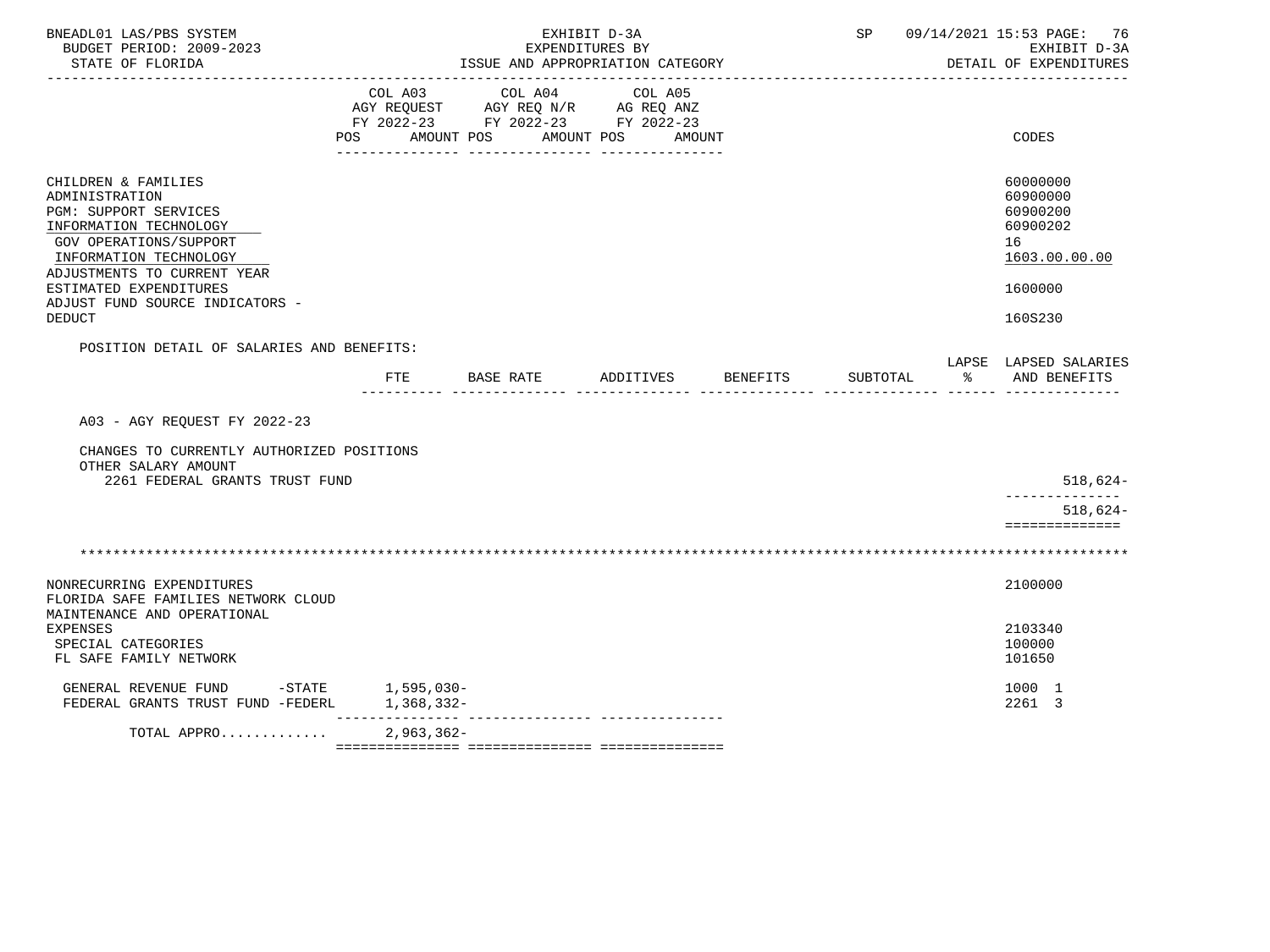| BNEADL01 LAS/PBS SYSTEM<br>BUDGET PERIOD: 2009-2023<br>STATE OF FLORIDA                                                                                                                                                                                          |                           | ISSUE AND APPROPRIATION CATEGORY<br>-------------------------------               | EXHIBIT D-3A<br>EXPENDITURES BY |          |            | SP 09/14/2021 15:53 PAGE: 76<br>EXHIBIT D-3A<br>DETAIL OF EXPENDITURES                    |
|------------------------------------------------------------------------------------------------------------------------------------------------------------------------------------------------------------------------------------------------------------------|---------------------------|-----------------------------------------------------------------------------------|---------------------------------|----------|------------|-------------------------------------------------------------------------------------------|
|                                                                                                                                                                                                                                                                  | COL A03<br>POS AMOUNT POS | COL A04<br>AGY REQUEST AGY REQ N/R AG REQ ANZ<br>FY 2022-23 FY 2022-23 FY 2022-23 | COL A05<br>AMOUNT POS<br>AMOUNT |          |            | <b>CODES</b>                                                                              |
| CHILDREN & FAMILIES<br>ADMINISTRATION<br><b>PGM: SUPPORT SERVICES</b><br>INFORMATION TECHNOLOGY<br>GOV OPERATIONS/SUPPORT<br>INFORMATION TECHNOLOGY<br>ADJUSTMENTS TO CURRENT YEAR<br>ESTIMATED EXPENDITURES<br>ADJUST FUND SOURCE INDICATORS -<br><b>DEDUCT</b> |                           |                                                                                   |                                 |          |            | 60000000<br>60900000<br>60900200<br>60900202<br>16<br>1603.00.00.00<br>1600000<br>160S230 |
| POSITION DETAIL OF SALARIES AND BENEFITS:                                                                                                                                                                                                                        | FTE                       | BASE RATE                                                                         | ADDITIVES                       | BENEFITS | SUBTOTAL % | LAPSE LAPSED SALARIES<br>AND BENEFITS                                                     |
| A03 - AGY REQUEST FY 2022-23<br>CHANGES TO CURRENTLY AUTHORIZED POSITIONS<br>OTHER SALARY AMOUNT<br>2261 FEDERAL GRANTS TRUST FUND                                                                                                                               |                           |                                                                                   |                                 |          |            | $518,624-$<br>______________<br>$518,624-$                                                |
|                                                                                                                                                                                                                                                                  |                           |                                                                                   |                                 |          |            | ==============                                                                            |
| NONRECURRING EXPENDITURES<br>FLORIDA SAFE FAMILIES NETWORK CLOUD                                                                                                                                                                                                 |                           |                                                                                   |                                 |          |            | 2100000                                                                                   |
| MAINTENANCE AND OPERATIONAL<br>EXPENSES<br>SPECIAL CATEGORIES<br>FL SAFE FAMILY NETWORK                                                                                                                                                                          |                           |                                                                                   |                                 |          |            | 2103340<br>100000<br>101650                                                               |
| GENERAL REVENUE FUND -STATE 1,595,030-<br>FEDERAL GRANTS TRUST FUND -FEDERL                                                                                                                                                                                      | 1,368,332-                |                                                                                   |                                 |          |            | 1000 1<br>2261 3                                                                          |
| TOTAL APPRO                                                                                                                                                                                                                                                      | $2,963,362-$              |                                                                                   |                                 |          |            |                                                                                           |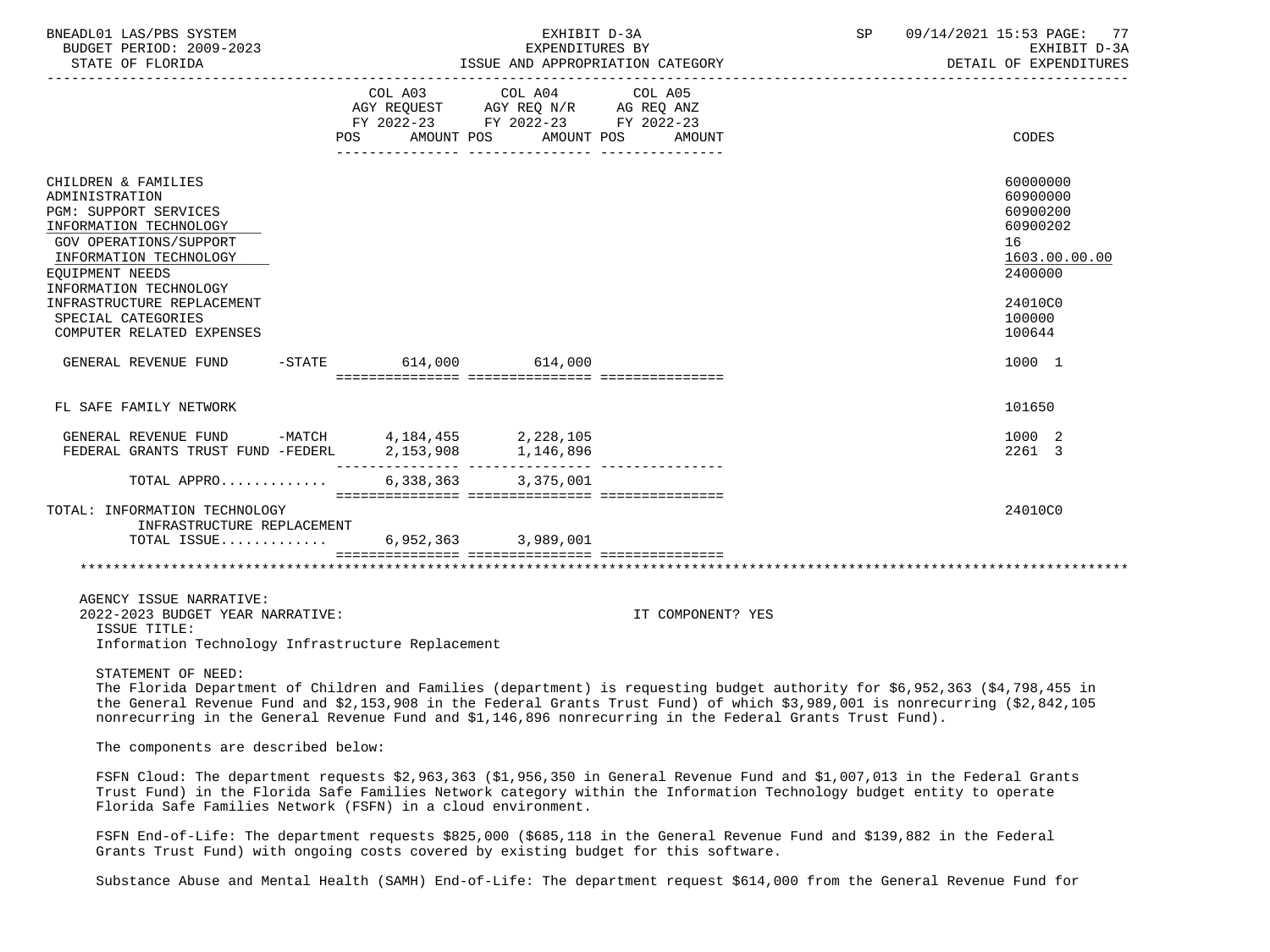| BNEADL01 LAS/PBS SYSTEM<br>BUDGET PERIOD: 2009-2023<br>STATE OF FLORIDA                                                                                                                                                                              |                        | EXHIBIT D-3A<br>EXPENDITURES BY                                                                                 | ISSUE AND APPROPRIATION CATEGORY | SP | 09/14/2021 15:53 PAGE: 77<br>EXHIBIT D-3A<br>DETAIL OF EXPENDITURES                                 |
|------------------------------------------------------------------------------------------------------------------------------------------------------------------------------------------------------------------------------------------------------|------------------------|-----------------------------------------------------------------------------------------------------------------|----------------------------------|----|-----------------------------------------------------------------------------------------------------|
| POS                                                                                                                                                                                                                                                  | AMOUNT POS             | COL A03 COL A04 COL A05<br>AGY REQUEST AGY REQ N/R AG REQ ANZ<br>FY 2022-23 FY 2022-23 FY 2022-23<br>AMOUNT POS | AMOUNT                           |    | CODES                                                                                               |
| CHILDREN & FAMILIES<br>ADMINISTRATION<br><b>PGM: SUPPORT SERVICES</b><br>INFORMATION TECHNOLOGY<br>GOV OPERATIONS/SUPPORT<br>INFORMATION TECHNOLOGY<br>EQUIPMENT NEEDS<br>INFORMATION TECHNOLOGY<br>INFRASTRUCTURE REPLACEMENT<br>SPECIAL CATEGORIES |                        |                                                                                                                 |                                  |    | 60000000<br>60900000<br>60900200<br>60900202<br>16<br>1603.00.00.00<br>2400000<br>24010C0<br>100000 |
| COMPUTER RELATED EXPENSES<br>GENERAL REVENUE FUND                                                                                                                                                                                                    | -STATE 614,000 614,000 |                                                                                                                 |                                  |    | 100644<br>1000 1                                                                                    |
| FL SAFE FAMILY NETWORK                                                                                                                                                                                                                               |                        |                                                                                                                 |                                  |    | 101650                                                                                              |
| GENERAL REVENUE FUND -MATCH 4, 184, 455 2, 228, 105<br>FEDERAL GRANTS TRUST FUND -FEDERL                                                                                                                                                             | 2,153,908              | 1,146,896                                                                                                       |                                  |    | 1000 2<br>2261 3                                                                                    |
| TOTAL APPRO                                                                                                                                                                                                                                          |                        | 6,338,363 3,375,001                                                                                             |                                  |    |                                                                                                     |
| TOTAL: INFORMATION TECHNOLOGY<br>INFRASTRUCTURE REPLACEMENT<br>TOTAL ISSUE                                                                                                                                                                           |                        | 6,952,363 3,989,001                                                                                             |                                  |    | 24010C0                                                                                             |
|                                                                                                                                                                                                                                                      |                        |                                                                                                                 |                                  |    |                                                                                                     |
| AGENCY ISSUE NARRATIVE:<br>2022-2023 BUDGET YEAR NARRATIVE:<br>ISSUE TITLE:<br>Information Technology Infrastructure Replacement                                                                                                                     |                        |                                                                                                                 | IT COMPONENT? YES                |    |                                                                                                     |
| STATEMENT OF NEED:                                                                                                                                                                                                                                   |                        |                                                                                                                 |                                  |    |                                                                                                     |

 The Florida Department of Children and Families (department) is requesting budget authority for \$6,952,363 (\$4,798,455 in the General Revenue Fund and \$2,153,908 in the Federal Grants Trust Fund) of which \$3,989,001 is nonrecurring (\$2,842,105 nonrecurring in the General Revenue Fund and \$1,146,896 nonrecurring in the Federal Grants Trust Fund).

The components are described below:

 FSFN Cloud: The department requests \$2,963,363 (\$1,956,350 in General Revenue Fund and \$1,007,013 in the Federal Grants Trust Fund) in the Florida Safe Families Network category within the Information Technology budget entity to operate Florida Safe Families Network (FSFN) in a cloud environment.

 FSFN End-of-Life: The department requests \$825,000 (\$685,118 in the General Revenue Fund and \$139,882 in the Federal Grants Trust Fund) with ongoing costs covered by existing budget for this software.

Substance Abuse and Mental Health (SAMH) End-of-Life: The department request \$614,000 from the General Revenue Fund for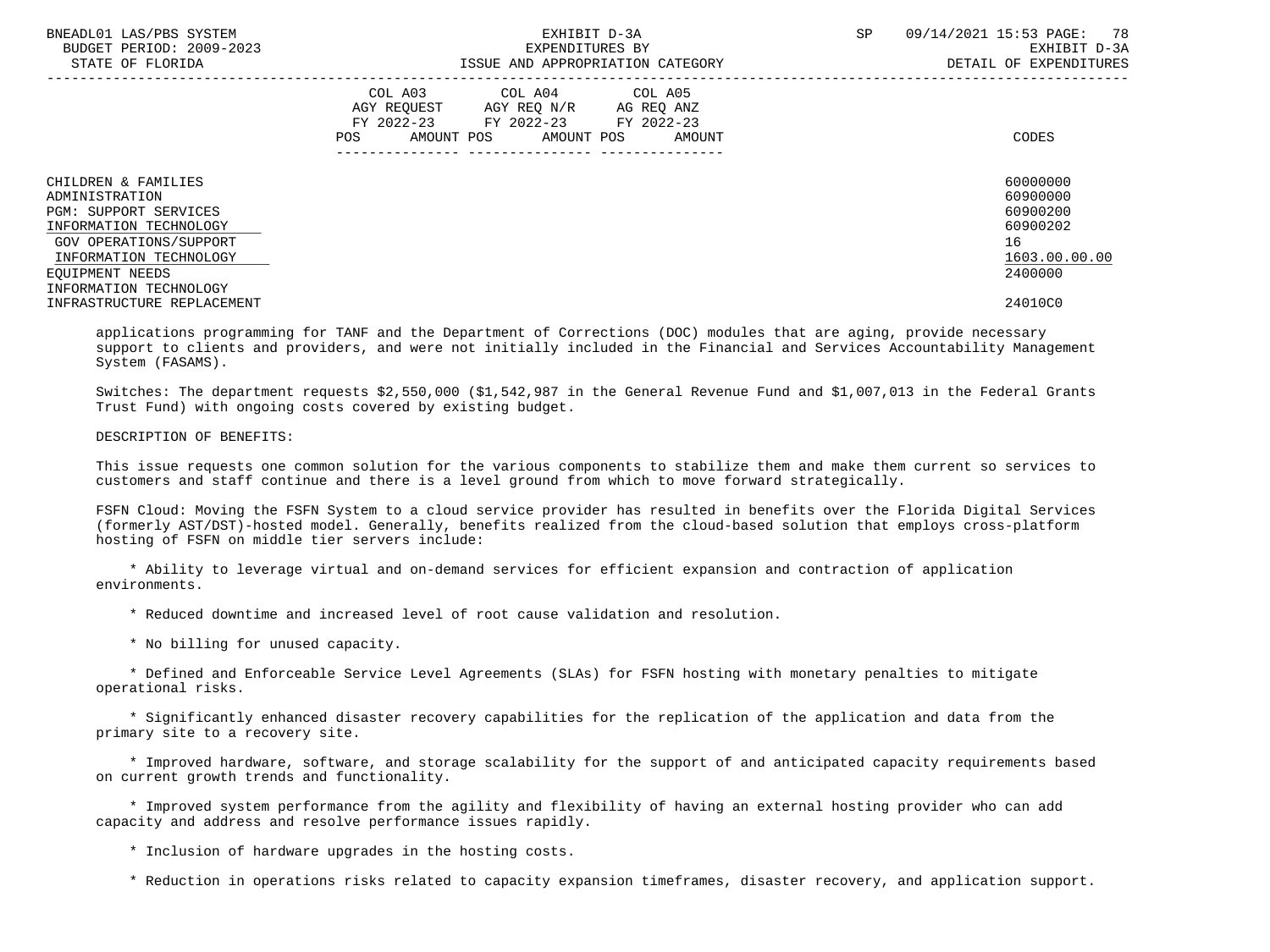| BNEADL01 LAS/PBS SYSTEM<br>BUDGET PERIOD: 2009-2023<br>STATE OF FLORIDA                         | EXHIBIT D-3A<br>EXPENDITURES BY<br>ISSUE AND APPROPRIATION CATEGORY                                                                            | 78<br>09/14/2021 15:53 PAGE:<br><b>SP</b><br>EXHIBIT D-3A<br>DETAIL OF EXPENDITURES |
|-------------------------------------------------------------------------------------------------|------------------------------------------------------------------------------------------------------------------------------------------------|-------------------------------------------------------------------------------------|
|                                                                                                 | COL A04 COL A05<br>COL A03<br>AGY REOUEST AGY REO N/R AG REO ANZ<br>FY 2022-23 FY 2022-23 FY 2022-23<br>AMOUNT POS AMOUNT POS<br>POS<br>AMOUNT | CODES                                                                               |
| CHILDREN & FAMILIES<br>ADMINISTRATION<br><b>PGM: SUPPORT SERVICES</b><br>INFORMATION TECHNOLOGY |                                                                                                                                                | 60000000<br>60900000<br>60900200<br>60900202                                        |
| GOV OPERATIONS/SUPPORT<br>INFORMATION TECHNOLOGY                                                |                                                                                                                                                | 16<br>1603.00.00.00<br>2400000                                                      |
| EOUIPMENT NEEDS<br>INFORMATION TECHNOLOGY<br>INFRASTRUCTURE REPLACEMENT                         |                                                                                                                                                | 24010C0                                                                             |

 applications programming for TANF and the Department of Corrections (DOC) modules that are aging, provide necessary support to clients and providers, and were not initially included in the Financial and Services Accountability Management System (FASAMS).

 Switches: The department requests \$2,550,000 (\$1,542,987 in the General Revenue Fund and \$1,007,013 in the Federal Grants Trust Fund) with ongoing costs covered by existing budget.

### DESCRIPTION OF BENEFITS:

 This issue requests one common solution for the various components to stabilize them and make them current so services to customers and staff continue and there is a level ground from which to move forward strategically.

 FSFN Cloud: Moving the FSFN System to a cloud service provider has resulted in benefits over the Florida Digital Services (formerly AST/DST)-hosted model. Generally, benefits realized from the cloud-based solution that employs cross-platform hosting of FSFN on middle tier servers include:

 \* Ability to leverage virtual and on-demand services for efficient expansion and contraction of application environments.

\* Reduced downtime and increased level of root cause validation and resolution.

\* No billing for unused capacity.

 \* Defined and Enforceable Service Level Agreements (SLAs) for FSFN hosting with monetary penalties to mitigate operational risks.

 \* Significantly enhanced disaster recovery capabilities for the replication of the application and data from the primary site to a recovery site.

 \* Improved hardware, software, and storage scalability for the support of and anticipated capacity requirements based on current growth trends and functionality.

 \* Improved system performance from the agility and flexibility of having an external hosting provider who can add capacity and address and resolve performance issues rapidly.

\* Inclusion of hardware upgrades in the hosting costs.

\* Reduction in operations risks related to capacity expansion timeframes, disaster recovery, and application support.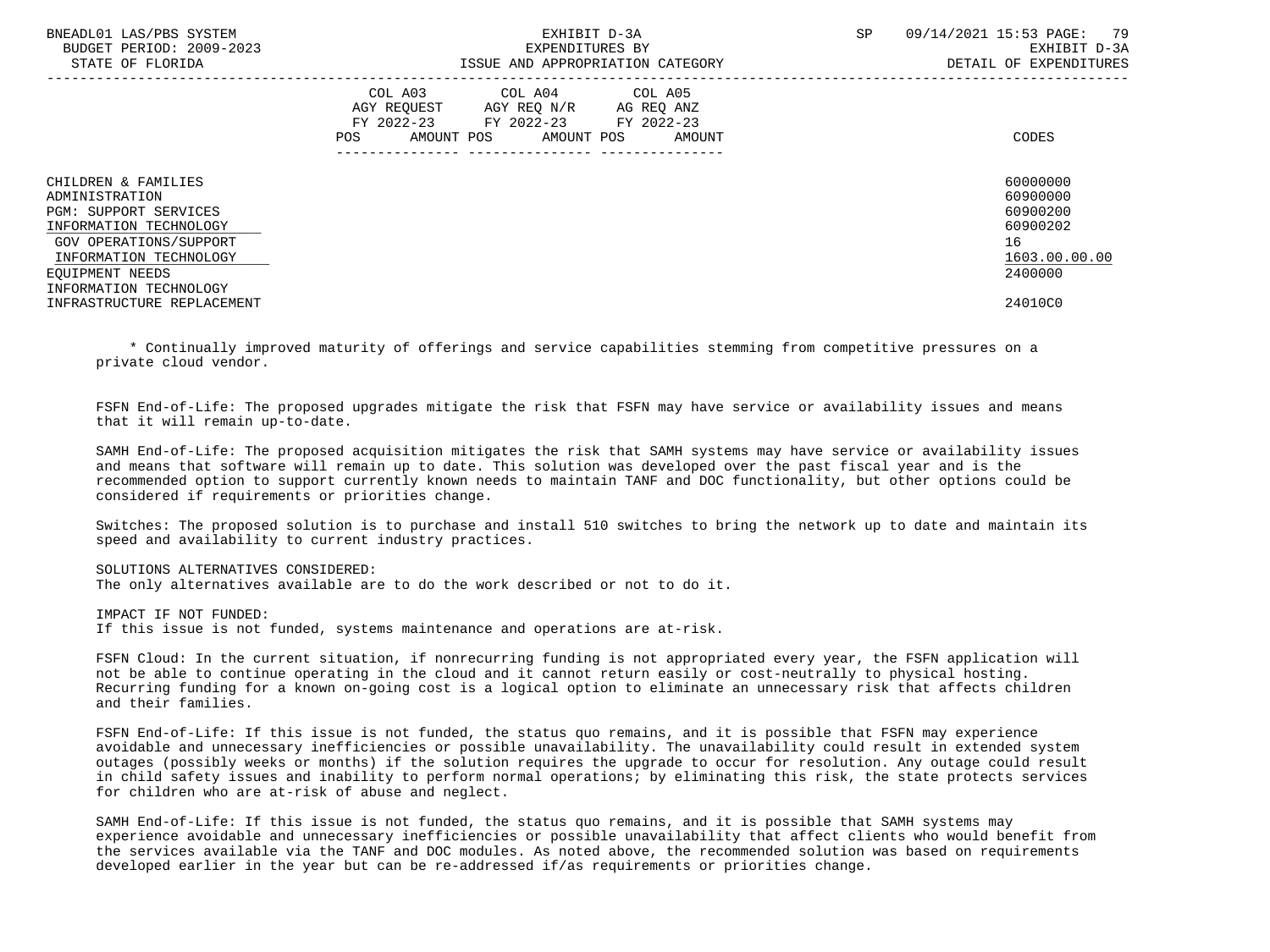| BNEADL01 LAS/PBS SYSTEM<br>BUDGET PERIOD: 2009-2023<br>STATE OF FLORIDA                                                                                                                          | EXHIBIT D-3A<br>EXPENDITURES BY<br>ISSUE AND APPROPRIATION CATEGORY                                                                               | 09/14/2021 15:53 PAGE:<br>79<br>SP<br>EXHIBIT D-3A<br>DETAIL OF EXPENDITURES   |
|--------------------------------------------------------------------------------------------------------------------------------------------------------------------------------------------------|---------------------------------------------------------------------------------------------------------------------------------------------------|--------------------------------------------------------------------------------|
|                                                                                                                                                                                                  | COL A03 COL A04 COL A05<br>AGY REQUEST<br>AGY REQ N/R<br>AG REQ ANZ<br>FY 2022-23 FY 2022-23 FY 2022-23<br>AMOUNT POS AMOUNT POS<br>AMOUNT<br>POS | CODES                                                                          |
| CHILDREN & FAMILIES<br>ADMINISTRATION<br><b>PGM: SUPPORT SERVICES</b><br>INFORMATION TECHNOLOGY<br>GOV OPERATIONS/SUPPORT<br>INFORMATION TECHNOLOGY<br>EOUIPMENT NEEDS<br>INFORMATION TECHNOLOGY |                                                                                                                                                   | 60000000<br>60900000<br>60900200<br>60900202<br>16<br>1603.00.00.00<br>2400000 |
| INFRASTRUCTURE REPLACEMENT                                                                                                                                                                       |                                                                                                                                                   | 24010C0                                                                        |

 \* Continually improved maturity of offerings and service capabilities stemming from competitive pressures on a private cloud vendor.

 FSFN End-of-Life: The proposed upgrades mitigate the risk that FSFN may have service or availability issues and means that it will remain up-to-date.

 SAMH End-of-Life: The proposed acquisition mitigates the risk that SAMH systems may have service or availability issues and means that software will remain up to date. This solution was developed over the past fiscal year and is the recommended option to support currently known needs to maintain TANF and DOC functionality, but other options could be considered if requirements or priorities change.

 Switches: The proposed solution is to purchase and install 510 switches to bring the network up to date and maintain its speed and availability to current industry practices.

SOLUTIONS ALTERNATIVES CONSIDERED:

The only alternatives available are to do the work described or not to do it.

 IMPACT IF NOT FUNDED: If this issue is not funded, systems maintenance and operations are at-risk.

 FSFN Cloud: In the current situation, if nonrecurring funding is not appropriated every year, the FSFN application will not be able to continue operating in the cloud and it cannot return easily or cost-neutrally to physical hosting. Recurring funding for a known on-going cost is a logical option to eliminate an unnecessary risk that affects children and their families.

 FSFN End-of-Life: If this issue is not funded, the status quo remains, and it is possible that FSFN may experience avoidable and unnecessary inefficiencies or possible unavailability. The unavailability could result in extended system outages (possibly weeks or months) if the solution requires the upgrade to occur for resolution. Any outage could result in child safety issues and inability to perform normal operations; by eliminating this risk, the state protects services for children who are at-risk of abuse and neglect.

 SAMH End-of-Life: If this issue is not funded, the status quo remains, and it is possible that SAMH systems may experience avoidable and unnecessary inefficiencies or possible unavailability that affect clients who would benefit from the services available via the TANF and DOC modules. As noted above, the recommended solution was based on requirements developed earlier in the year but can be re-addressed if/as requirements or priorities change.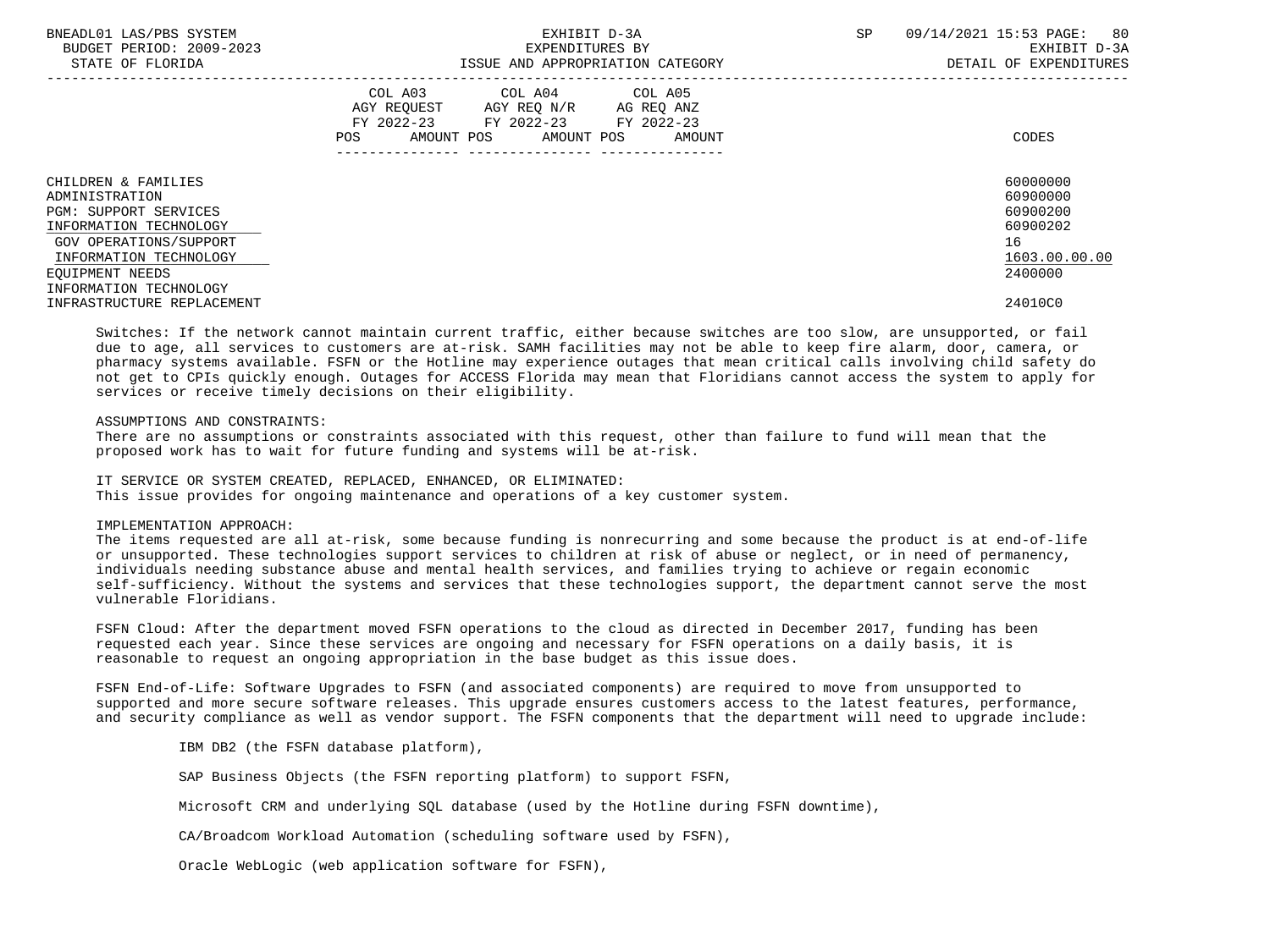| BNEADL01 LAS/PBS SYSTEM<br>BUDGET PERIOD: 2009-2023<br>STATE OF FLORIDA                                                                                                                          | EXHIBIT D-3A<br>EXPENDITURES BY<br>ISSUE AND APPROPRIATION CATEGORY                                                                                  | 80<br>09/14/2021 15:53 PAGE:<br><b>SP</b><br>EXHIBIT D-3A<br>DETAIL OF EXPENDITURES |
|--------------------------------------------------------------------------------------------------------------------------------------------------------------------------------------------------|------------------------------------------------------------------------------------------------------------------------------------------------------|-------------------------------------------------------------------------------------|
|                                                                                                                                                                                                  | COL A04<br>COL A05<br>COL A03<br>AGY REQUEST AGY REQ N/R AG REQ ANZ<br>FY 2022-23 FY 2022-23 FY 2022-23<br>AMOUNT POS<br>POS<br>AMOUNT POS<br>AMOUNT | CODES                                                                               |
| CHILDREN & FAMILIES<br>ADMINISTRATION<br><b>PGM: SUPPORT SERVICES</b><br>INFORMATION TECHNOLOGY<br>GOV OPERATIONS/SUPPORT<br>INFORMATION TECHNOLOGY<br>EOUIPMENT NEEDS<br>INFORMATION TECHNOLOGY |                                                                                                                                                      | 60000000<br>60900000<br>60900200<br>60900202<br>16<br>1603.00.00.00<br>2400000      |
| INFRASTRUCTURE REPLACEMENT                                                                                                                                                                       |                                                                                                                                                      | 24010C0                                                                             |

 Switches: If the network cannot maintain current traffic, either because switches are too slow, are unsupported, or fail due to age, all services to customers are at-risk. SAMH facilities may not be able to keep fire alarm, door, camera, or pharmacy systems available. FSFN or the Hotline may experience outages that mean critical calls involving child safety do not get to CPIs quickly enough. Outages for ACCESS Florida may mean that Floridians cannot access the system to apply for services or receive timely decisions on their eligibility.

### ASSUMPTIONS AND CONSTRAINTS:

 There are no assumptions or constraints associated with this request, other than failure to fund will mean that the proposed work has to wait for future funding and systems will be at-risk.

 IT SERVICE OR SYSTEM CREATED, REPLACED, ENHANCED, OR ELIMINATED: This issue provides for ongoing maintenance and operations of a key customer system.

### IMPLEMENTATION APPROACH:

 The items requested are all at-risk, some because funding is nonrecurring and some because the product is at end-of-life or unsupported. These technologies support services to children at risk of abuse or neglect, or in need of permanency, individuals needing substance abuse and mental health services, and families trying to achieve or regain economic self-sufficiency. Without the systems and services that these technologies support, the department cannot serve the most vulnerable Floridians.

 FSFN Cloud: After the department moved FSFN operations to the cloud as directed in December 2017, funding has been requested each year. Since these services are ongoing and necessary for FSFN operations on a daily basis, it is reasonable to request an ongoing appropriation in the base budget as this issue does.

 FSFN End-of-Life: Software Upgrades to FSFN (and associated components) are required to move from unsupported to supported and more secure software releases. This upgrade ensures customers access to the latest features, performance, and security compliance as well as vendor support. The FSFN components that the department will need to upgrade include:

IBM DB2 (the FSFN database platform),

SAP Business Objects (the FSFN reporting platform) to support FSFN,

Microsoft CRM and underlying SQL database (used by the Hotline during FSFN downtime),

CA/Broadcom Workload Automation (scheduling software used by FSFN),

Oracle WebLogic (web application software for FSFN),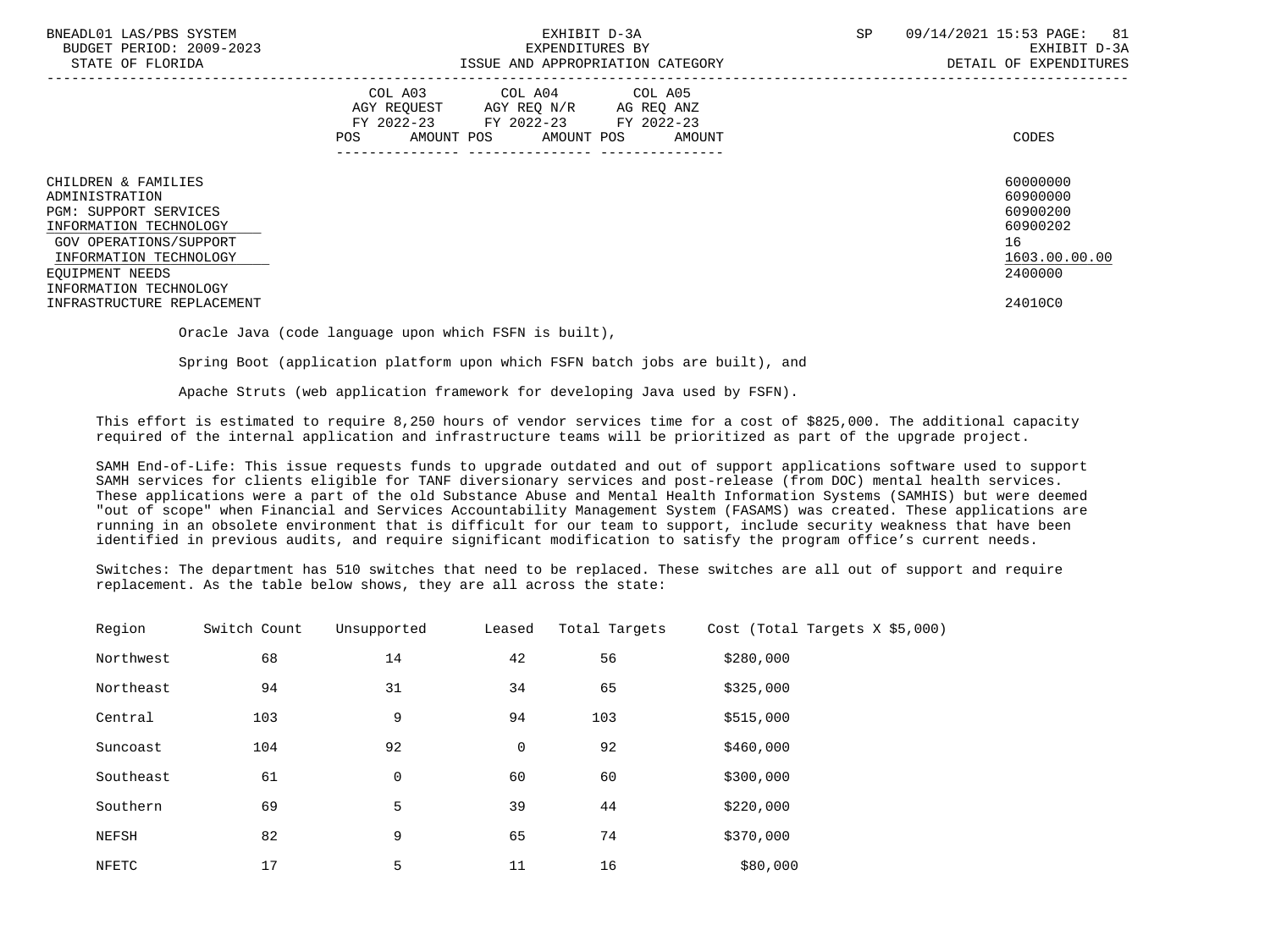| BNEADL01 LAS/PBS SYSTEM<br>BUDGET PERIOD: 2009-2023<br>STATE OF FLORIDA                                                                                                                          | EXHIBIT D-3A<br>EXPENDITURES BY<br>ISSUE AND APPROPRIATION CATEGORY                                                                            | SP<br>09/14/2021 15:53 PAGE:<br>81<br>EXHIBIT D-3A<br>DETAIL OF EXPENDITURES   |
|--------------------------------------------------------------------------------------------------------------------------------------------------------------------------------------------------|------------------------------------------------------------------------------------------------------------------------------------------------|--------------------------------------------------------------------------------|
|                                                                                                                                                                                                  | COL A03<br>COL A04 COL A05<br>AGY REQUEST AGY REQ N/R AG REQ ANZ<br>FY 2022-23 FY 2022-23 FY 2022-23<br>AMOUNT POS AMOUNT POS<br>AMOUNT<br>POS | CODES                                                                          |
| CHILDREN & FAMILIES<br>ADMINISTRATION<br><b>PGM: SUPPORT SERVICES</b><br>INFORMATION TECHNOLOGY<br>GOV OPERATIONS/SUPPORT<br>INFORMATION TECHNOLOGY<br>EOUIPMENT NEEDS<br>INFORMATION TECHNOLOGY |                                                                                                                                                | 60000000<br>60900000<br>60900200<br>60900202<br>16<br>1603.00.00.00<br>2400000 |
| INFRASTRUCTURE REPLACEMENT                                                                                                                                                                       |                                                                                                                                                | 24010C0                                                                        |

Oracle Java (code language upon which FSFN is built),

Spring Boot (application platform upon which FSFN batch jobs are built), and

Apache Struts (web application framework for developing Java used by FSFN).

 This effort is estimated to require 8,250 hours of vendor services time for a cost of \$825,000. The additional capacity required of the internal application and infrastructure teams will be prioritized as part of the upgrade project.

 SAMH End-of-Life: This issue requests funds to upgrade outdated and out of support applications software used to support SAMH services for clients eligible for TANF diversionary services and post-release (from DOC) mental health services. These applications were a part of the old Substance Abuse and Mental Health Information Systems (SAMHIS) but were deemed "out of scope" when Financial and Services Accountability Management System (FASAMS) was created. These applications are running in an obsolete environment that is difficult for our team to support, include security weakness that have been identified in previous audits, and require significant modification to satisfy the program office's current needs.

 Switches: The department has 510 switches that need to be replaced. These switches are all out of support and require replacement. As the table below shows, they are all across the state:

| Region    | Switch Count | Unsupported | Leased | Total Targets | Cost (Total Targets $X$ \$5,000) |  |
|-----------|--------------|-------------|--------|---------------|----------------------------------|--|
| Northwest | 68           | 14          | 42     | 56            | \$280,000                        |  |
| Northeast | 94           | 31          | 34     | 65            | \$325,000                        |  |
| Central   | 103          | 9           | 94     | 103           | \$515,000                        |  |
| Suncoast  | 104          | 92          | 0      | 92            | \$460,000                        |  |
| Southeast | 61           | 0           | 60     | 60            | \$300,000                        |  |
| Southern  | 69           | 5           | 39     | 44            | \$220,000                        |  |
| NEFSH     | 82           | 9           | 65     | 74            | \$370,000                        |  |
| NFETC     | 17           | 5           | 11     | 16            | \$80,000                         |  |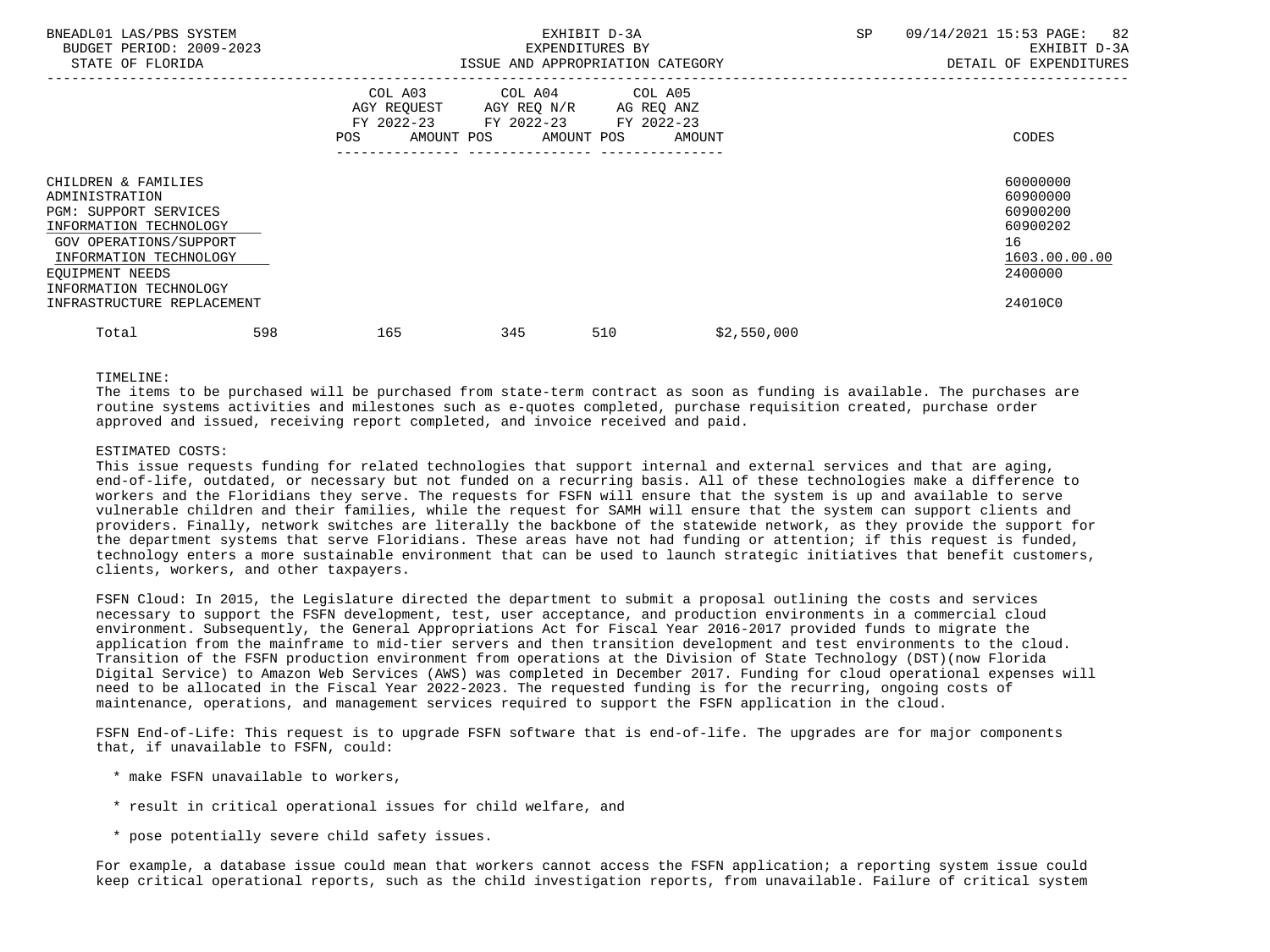| BNEADL01 LAS/PBS SYSTEM<br>BUDGET PERIOD: 2009-2023<br>STATE OF FLORIDA                                                                                                                                                        |     |     |     | EXPENDITURES BY<br>ISSUE AND APPROPRIATION CATEGORY                                                                               | EXHIBIT D-3A |             | SP |  | 09/14/2021 15:53 PAGE: 82<br>EXHIBIT D-3A<br>DETAIL OF EXPENDITURES                       |
|--------------------------------------------------------------------------------------------------------------------------------------------------------------------------------------------------------------------------------|-----|-----|-----|-----------------------------------------------------------------------------------------------------------------------------------|--------------|-------------|----|--|-------------------------------------------------------------------------------------------|
|                                                                                                                                                                                                                                |     | POS |     | COL A03 COL A04 COL A05<br>AGY REQUEST AGY REQ N/R AG REQ ANZ<br>FY 2022-23 FY 2022-23 FY 2022-23<br>AMOUNT POS AMOUNT POS AMOUNT |              |             |    |  | CODES                                                                                     |
| CHILDREN & FAMILIES<br>ADMINISTRATION<br><b>PGM: SUPPORT SERVICES</b><br>INFORMATION TECHNOLOGY<br>GOV OPERATIONS/SUPPORT<br>INFORMATION TECHNOLOGY<br>EOUIPMENT NEEDS<br>INFORMATION TECHNOLOGY<br>INFRASTRUCTURE REPLACEMENT |     |     |     |                                                                                                                                   |              |             |    |  | 60000000<br>60900000<br>60900200<br>60900202<br>16<br>1603.00.00.00<br>2400000<br>24010C0 |
| Total                                                                                                                                                                                                                          | 598 | 165 | 345 |                                                                                                                                   | 510          | \$2,550,000 |    |  |                                                                                           |

### TIMELINE:

 The items to be purchased will be purchased from state-term contract as soon as funding is available. The purchases are routine systems activities and milestones such as e-quotes completed, purchase requisition created, purchase order approved and issued, receiving report completed, and invoice received and paid.

### ESTIMATED COSTS:

This issue requests funding for related technologies that support internal and external services and that are aging, end-of-life, outdated, or necessary but not funded on a recurring basis. All of these technologies make a difference to workers and the Floridians they serve. The requests for FSFN will ensure that the system is up and available to serve vulnerable children and their families, while the request for SAMH will ensure that the system can support clients and providers. Finally, network switches are literally the backbone of the statewide network, as they provide the support for the department systems that serve Floridians. These areas have not had funding or attention; if this request is funded, technology enters a more sustainable environment that can be used to launch strategic initiatives that benefit customers, clients, workers, and other taxpayers.

 FSFN Cloud: In 2015, the Legislature directed the department to submit a proposal outlining the costs and services necessary to support the FSFN development, test, user acceptance, and production environments in a commercial cloud environment. Subsequently, the General Appropriations Act for Fiscal Year 2016-2017 provided funds to migrate the application from the mainframe to mid-tier servers and then transition development and test environments to the cloud. Transition of the FSFN production environment from operations at the Division of State Technology (DST)(now Florida Digital Service) to Amazon Web Services (AWS) was completed in December 2017. Funding for cloud operational expenses will need to be allocated in the Fiscal Year 2022-2023. The requested funding is for the recurring, ongoing costs of maintenance, operations, and management services required to support the FSFN application in the cloud.

 FSFN End-of-Life: This request is to upgrade FSFN software that is end-of-life. The upgrades are for major components that, if unavailable to FSFN, could:

- \* make FSFN unavailable to workers,
- \* result in critical operational issues for child welfare, and
- \* pose potentially severe child safety issues.

 For example, a database issue could mean that workers cannot access the FSFN application; a reporting system issue could keep critical operational reports, such as the child investigation reports, from unavailable. Failure of critical system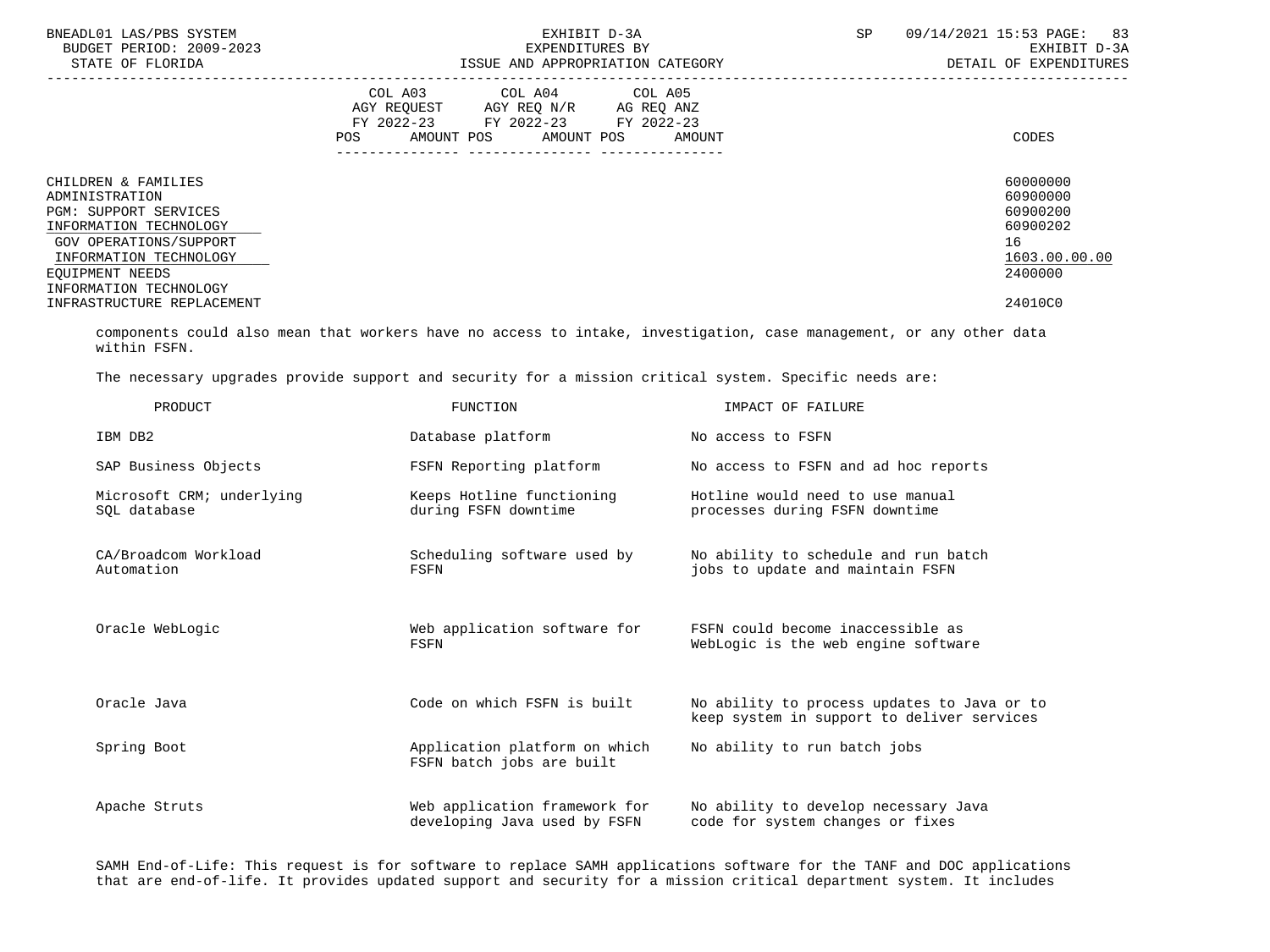| BNEADL01 LAS/PBS SYSTEM<br>BUDGET PERIOD: 2009-2023<br>STATE OF FLORIDA                                                                                                | EXHIBIT D-3A<br>EXPENDITURES BY<br>ISSUE AND APPROPRIATION CATEGORY                                                                               | 83<br>SP<br>09/14/2021 15:53 PAGE:<br>EXHIBIT D-3A<br>DETAIL OF EXPENDITURES   |
|------------------------------------------------------------------------------------------------------------------------------------------------------------------------|---------------------------------------------------------------------------------------------------------------------------------------------------|--------------------------------------------------------------------------------|
|                                                                                                                                                                        | COL A03<br>COL A04 COL A05<br>AGY REOUEST AGY REO N/R AG REO ANZ<br>FY 2022-23 FY 2022-23<br>FY 2022-23<br>AMOUNT POS AMOUNT POS<br>POS<br>AMOUNT | CODES                                                                          |
| CHILDREN & FAMILIES<br>ADMINISTRATION<br><b>PGM: SUPPORT SERVICES</b><br>INFORMATION TECHNOLOGY<br>GOV OPERATIONS/SUPPORT<br>INFORMATION TECHNOLOGY<br>EOUIPMENT NEEDS |                                                                                                                                                   | 60000000<br>60900000<br>60900200<br>60900202<br>16<br>1603.00.00.00<br>2400000 |
| INFORMATION TECHNOLOGY<br>INFRASTRUCTURE REPLACEMENT                                                                                                                   |                                                                                                                                                   | 24010C0                                                                        |

 components could also mean that workers have no access to intake, investigation, case management, or any other data within FSFN.

The necessary upgrades provide support and security for a mission critical system. Specific needs are:

| PRODUCT                                   | <b>FUNCTION</b>                                               | IMPACT OF FAILURE                                                                         |
|-------------------------------------------|---------------------------------------------------------------|-------------------------------------------------------------------------------------------|
| IBM DB2                                   | Database platform                                             | No access to FSFN                                                                         |
| SAP Business Objects                      | FSFN Reporting platform                                       | No access to FSFN and ad hoc reports                                                      |
| Microsoft CRM; underlying<br>SOL database | Keeps Hotline functioning<br>during FSFN downtime             | Hotline would need to use manual<br>processes during FSFN downtime                        |
| CA/Broadcom Workload<br>Automation        | Scheduling software used by<br>FSFN                           | No ability to schedule and run batch<br>jobs to update and maintain FSFN                  |
| Oracle WebLogic                           | Web application software for<br>FSFN                          | FSFN could become inaccessible as<br>WebLogic is the web engine software                  |
| Oracle Java                               | Code on which FSFN is built                                   | No ability to process updates to Java or to<br>keep system in support to deliver services |
| Spring Boot                               | Application platform on which<br>FSFN batch jobs are built    | No ability to run batch jobs                                                              |
| Apache Struts                             | Web application framework for<br>developing Java used by FSFN | No ability to develop necessary Java<br>code for system changes or fixes                  |

 SAMH End-of-Life: This request is for software to replace SAMH applications software for the TANF and DOC applications that are end-of-life. It provides updated support and security for a mission critical department system. It includes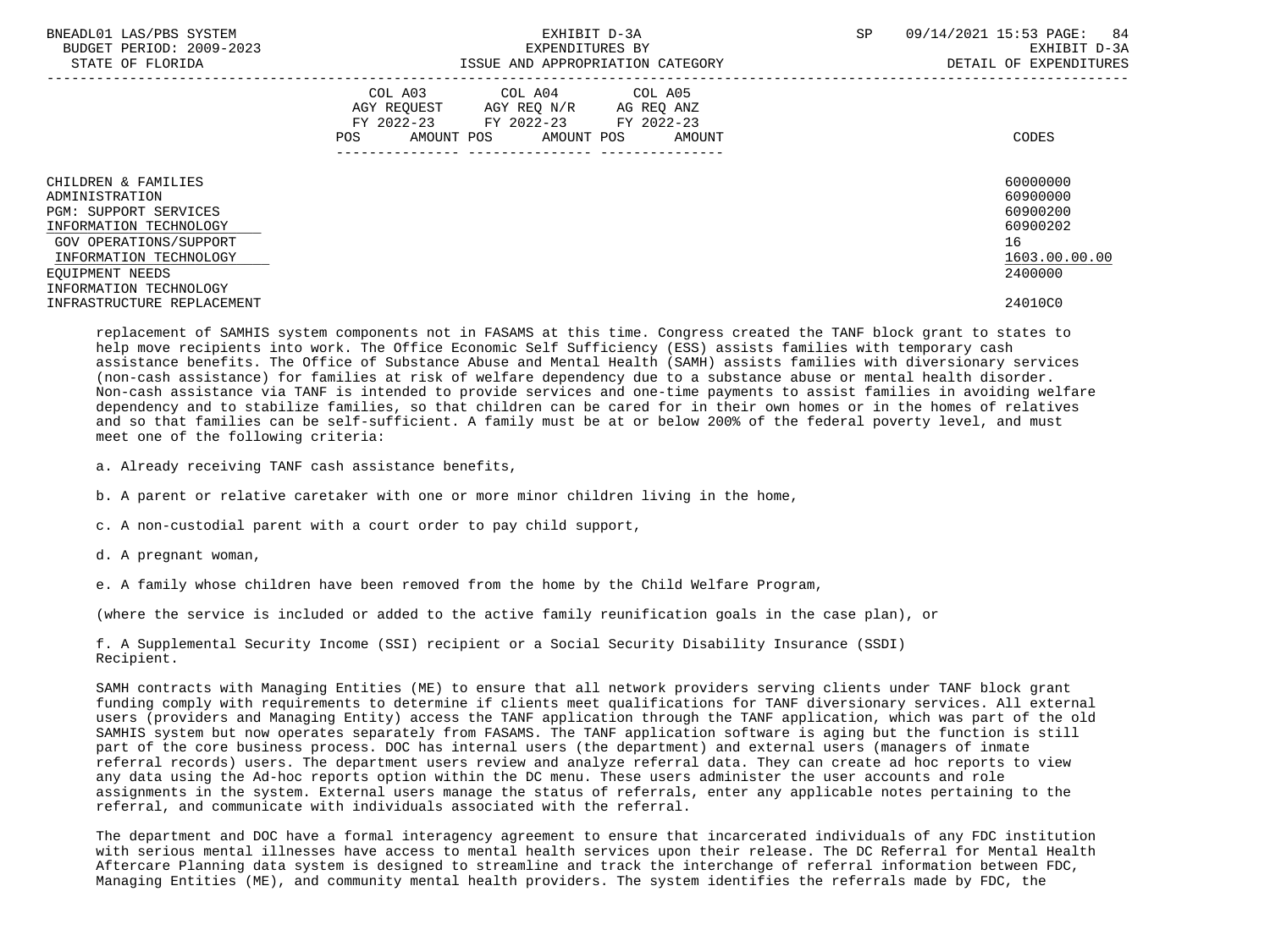| BNEADL01 LAS/PBS SYSTEM<br>BUDGET PERIOD: 2009-2023<br>STATE OF FLORIDA                                                                                                | EXHIBIT D-3A<br>EXPENDITURES BY<br>ISSUE AND APPROPRIATION CATEGORY                                                                            | SP<br>09/14/2021 15:53 PAGE:<br>84<br>EXHIBIT D-3A<br>DETAIL OF EXPENDITURES   |
|------------------------------------------------------------------------------------------------------------------------------------------------------------------------|------------------------------------------------------------------------------------------------------------------------------------------------|--------------------------------------------------------------------------------|
|                                                                                                                                                                        | COL A03<br>COL A04 COL A05<br>AGY REOUEST AGY REO N/R AG REO ANZ<br>FY 2022-23 FY 2022-23 FY 2022-23<br>AMOUNT POS AMOUNT POS<br>POS<br>AMOUNT | CODES                                                                          |
| CHILDREN & FAMILIES<br>ADMINISTRATION<br><b>PGM: SUPPORT SERVICES</b><br>INFORMATION TECHNOLOGY<br>GOV OPERATIONS/SUPPORT<br>INFORMATION TECHNOLOGY<br>EOUIPMENT NEEDS |                                                                                                                                                | 60000000<br>60900000<br>60900200<br>60900202<br>16<br>1603.00.00.00<br>2400000 |
| INFORMATION TECHNOLOGY<br>INFRASTRUCTURE REPLACEMENT                                                                                                                   |                                                                                                                                                | 24010C0                                                                        |

 replacement of SAMHIS system components not in FASAMS at this time. Congress created the TANF block grant to states to help move recipients into work. The Office Economic Self Sufficiency (ESS) assists families with temporary cash assistance benefits. The Office of Substance Abuse and Mental Health (SAMH) assists families with diversionary services (non-cash assistance) for families at risk of welfare dependency due to a substance abuse or mental health disorder. Non-cash assistance via TANF is intended to provide services and one-time payments to assist families in avoiding welfare dependency and to stabilize families, so that children can be cared for in their own homes or in the homes of relatives and so that families can be self-sufficient. A family must be at or below 200% of the federal poverty level, and must meet one of the following criteria:

a. Already receiving TANF cash assistance benefits,

b. A parent or relative caretaker with one or more minor children living in the home,

c. A non-custodial parent with a court order to pay child support,

d. A pregnant woman,

e. A family whose children have been removed from the home by the Child Welfare Program,

(where the service is included or added to the active family reunification goals in the case plan), or

 f. A Supplemental Security Income (SSI) recipient or a Social Security Disability Insurance (SSDI) Recipient.

 SAMH contracts with Managing Entities (ME) to ensure that all network providers serving clients under TANF block grant funding comply with requirements to determine if clients meet qualifications for TANF diversionary services. All external users (providers and Managing Entity) access the TANF application through the TANF application, which was part of the old SAMHIS system but now operates separately from FASAMS. The TANF application software is aging but the function is still part of the core business process. DOC has internal users (the department) and external users (managers of inmate referral records) users. The department users review and analyze referral data. They can create ad hoc reports to view any data using the Ad-hoc reports option within the DC menu. These users administer the user accounts and role assignments in the system. External users manage the status of referrals, enter any applicable notes pertaining to the referral, and communicate with individuals associated with the referral.

 The department and DOC have a formal interagency agreement to ensure that incarcerated individuals of any FDC institution with serious mental illnesses have access to mental health services upon their release. The DC Referral for Mental Health Aftercare Planning data system is designed to streamline and track the interchange of referral information between FDC, Managing Entities (ME), and community mental health providers. The system identifies the referrals made by FDC, the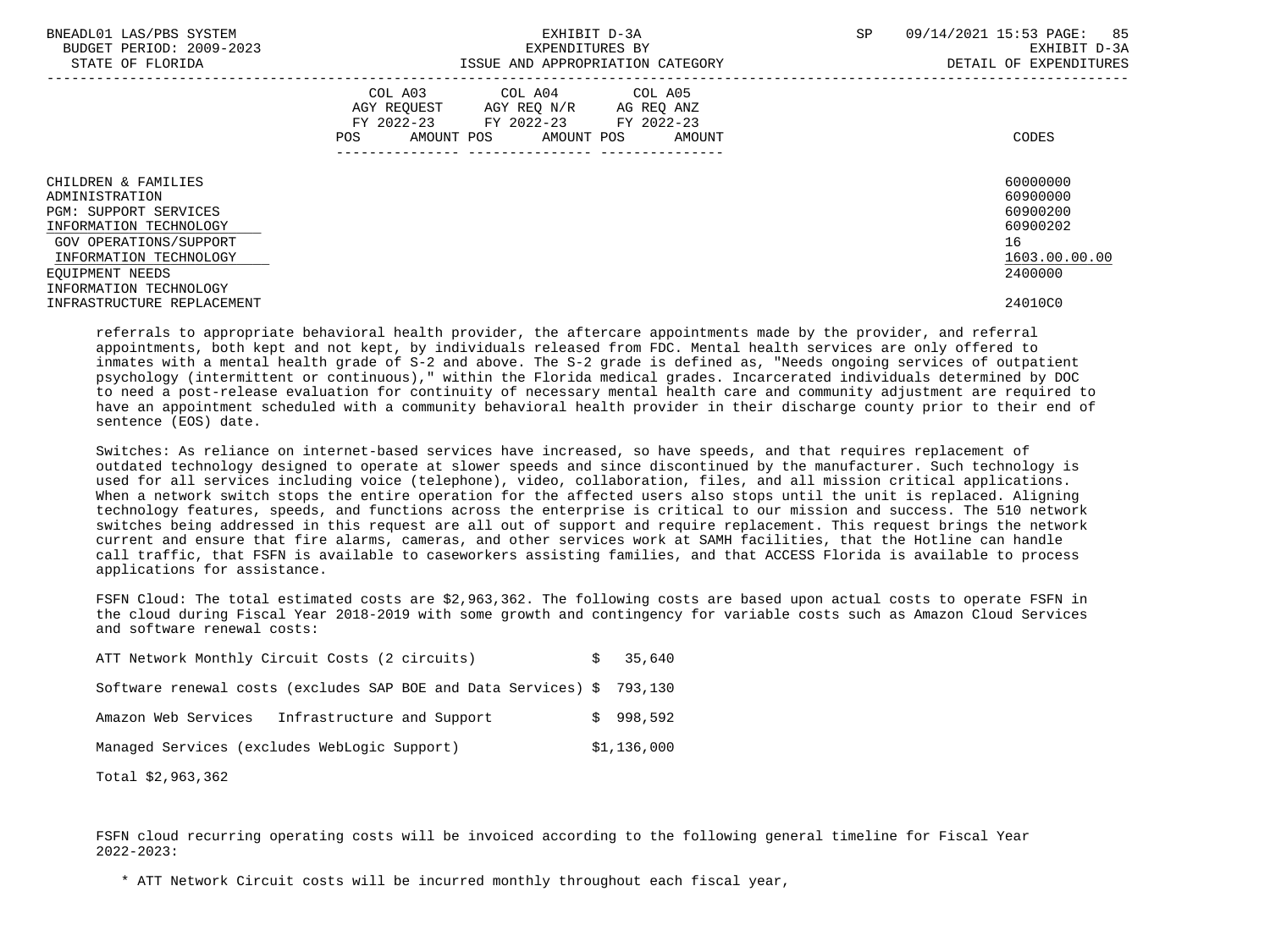| BNEADL01 LAS/PBS SYSTEM<br>BUDGET PERIOD: 2009-2023<br>STATE OF FLORIDA                         | EXHIBIT D-3A<br>EXPENDITURES BY<br>ISSUE AND APPROPRIATION CATEGORY                                                                            | 85<br>09/14/2021 15:53 PAGE:<br><b>SP</b><br>EXHIBIT D-3A<br>DETAIL OF EXPENDITURES |
|-------------------------------------------------------------------------------------------------|------------------------------------------------------------------------------------------------------------------------------------------------|-------------------------------------------------------------------------------------|
|                                                                                                 | COL A04 COL A05<br>COL A03<br>AGY REOUEST AGY REO N/R AG REO ANZ<br>FY 2022-23 FY 2022-23 FY 2022-23<br>AMOUNT POS AMOUNT POS<br>POS<br>AMOUNT | CODES                                                                               |
| CHILDREN & FAMILIES<br>ADMINISTRATION<br><b>PGM: SUPPORT SERVICES</b><br>INFORMATION TECHNOLOGY |                                                                                                                                                | 60000000<br>60900000<br>60900200<br>60900202                                        |
| GOV OPERATIONS/SUPPORT<br>INFORMATION TECHNOLOGY<br>EOUIPMENT NEEDS                             |                                                                                                                                                | 16<br>1603.00.00.00<br>2400000                                                      |
| INFORMATION TECHNOLOGY<br>INFRASTRUCTURE REPLACEMENT                                            |                                                                                                                                                | 24010C0                                                                             |

 referrals to appropriate behavioral health provider, the aftercare appointments made by the provider, and referral appointments, both kept and not kept, by individuals released from FDC. Mental health services are only offered to inmates with a mental health grade of S-2 and above. The S-2 grade is defined as, "Needs ongoing services of outpatient psychology (intermittent or continuous)," within the Florida medical grades. Incarcerated individuals determined by DOC to need a post-release evaluation for continuity of necessary mental health care and community adjustment are required to have an appointment scheduled with a community behavioral health provider in their discharge county prior to their end of sentence (EOS) date.

 Switches: As reliance on internet-based services have increased, so have speeds, and that requires replacement of outdated technology designed to operate at slower speeds and since discontinued by the manufacturer. Such technology is used for all services including voice (telephone), video, collaboration, files, and all mission critical applications. When a network switch stops the entire operation for the affected users also stops until the unit is replaced. Aligning technology features, speeds, and functions across the enterprise is critical to our mission and success. The 510 network switches being addressed in this request are all out of support and require replacement. This request brings the network current and ensure that fire alarms, cameras, and other services work at SAMH facilities, that the Hotline can handle call traffic, that FSFN is available to caseworkers assisting families, and that ACCESS Florida is available to process applications for assistance.

 FSFN Cloud: The total estimated costs are \$2,963,362. The following costs are based upon actual costs to operate FSFN in the cloud during Fiscal Year 2018-2019 with some growth and contingency for variable costs such as Amazon Cloud Services and software renewal costs:

| ATT Network Monthly Circuit Costs (2 circuits)                         | \$35.640    |
|------------------------------------------------------------------------|-------------|
| Software renewal costs (excludes SAP BOE and Data Services) \$ 793,130 |             |
| Infrastructure and Support<br>Amazon Web Services                      | \$998.592   |
| Managed Services (excludes WebLogic Support)                           | \$1,136,000 |

Total \$2,963,362

 FSFN cloud recurring operating costs will be invoiced according to the following general timeline for Fiscal Year 2022-2023:

\* ATT Network Circuit costs will be incurred monthly throughout each fiscal year,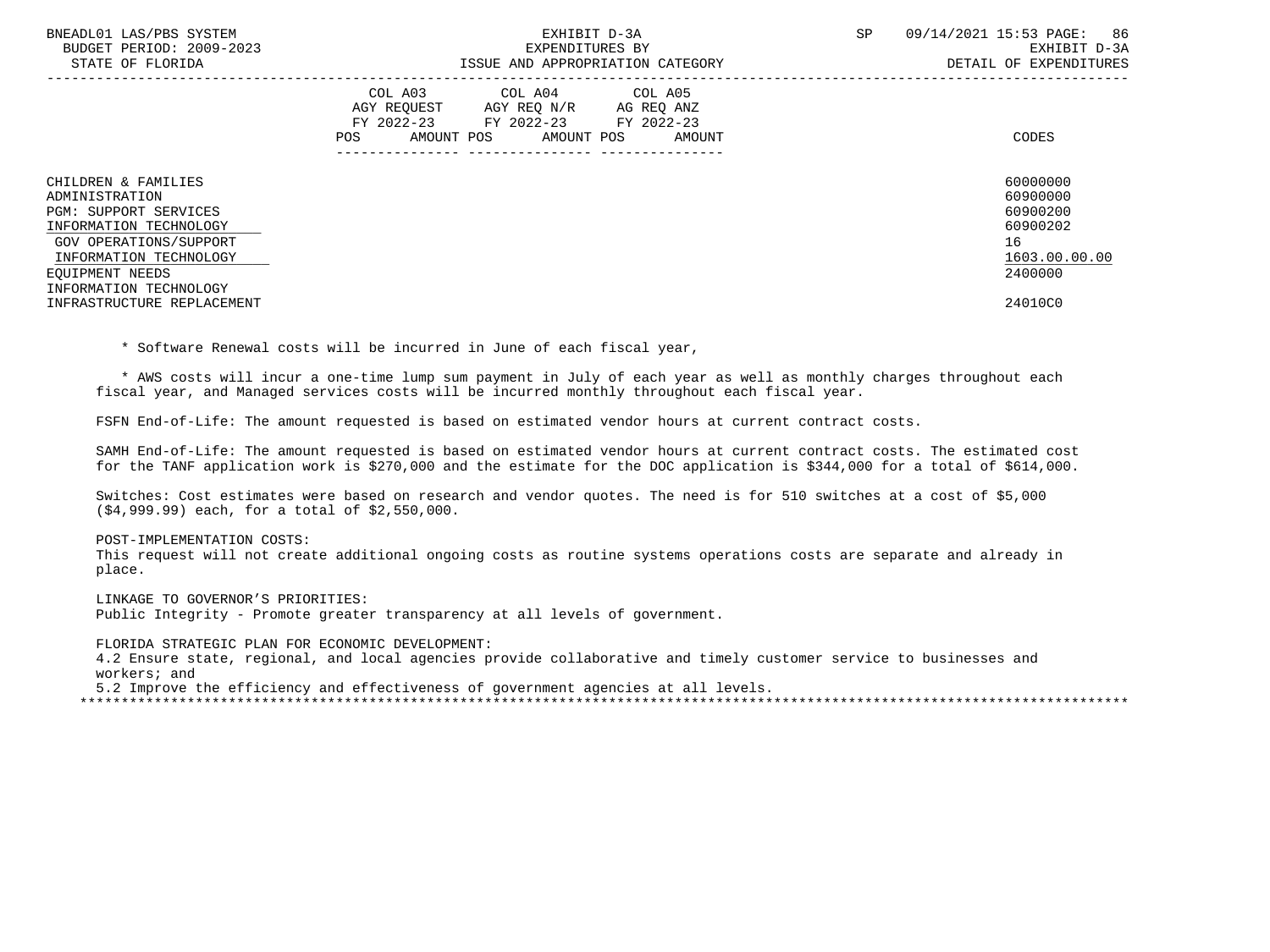| BNEADL01 LAS/PBS SYSTEM<br>BUDGET PERIOD: 2009-2023<br>STATE OF FLORIDA                                                                                                                          | EXHIBIT D-3A<br>EXPENDITURES BY<br>ISSUE AND APPROPRIATION CATEGORY                                                                         | SP.<br>09/14/2021 15:53 PAGE:<br>86<br>EXHIBIT D-3A<br>DETAIL OF EXPENDITURES  |
|--------------------------------------------------------------------------------------------------------------------------------------------------------------------------------------------------|---------------------------------------------------------------------------------------------------------------------------------------------|--------------------------------------------------------------------------------|
|                                                                                                                                                                                                  | COL A03 COL A04 COL A05<br>AGY REOUEST AGY REO N/R AG REO ANZ<br>FY 2022-23 FY 2022-23 FY 2022-23<br>AMOUNT POS AMOUNT POS<br>POS<br>AMOUNT | CODES                                                                          |
| CHILDREN & FAMILIES<br>ADMINISTRATION<br><b>PGM: SUPPORT SERVICES</b><br>INFORMATION TECHNOLOGY<br>GOV OPERATIONS/SUPPORT<br>INFORMATION TECHNOLOGY<br>EOUIPMENT NEEDS<br>INFORMATION TECHNOLOGY |                                                                                                                                             | 60000000<br>60900000<br>60900200<br>60900202<br>16<br>1603.00.00.00<br>2400000 |
| INFRASTRUCTURE REPLACEMENT                                                                                                                                                                       |                                                                                                                                             | 24010C0                                                                        |

\* Software Renewal costs will be incurred in June of each fiscal year,

 \* AWS costs will incur a one-time lump sum payment in July of each year as well as monthly charges throughout each fiscal year, and Managed services costs will be incurred monthly throughout each fiscal year.

FSFN End-of-Life: The amount requested is based on estimated vendor hours at current contract costs.

 SAMH End-of-Life: The amount requested is based on estimated vendor hours at current contract costs. The estimated cost for the TANF application work is \$270,000 and the estimate for the DOC application is \$344,000 for a total of \$614,000.

 Switches: Cost estimates were based on research and vendor quotes. The need is for 510 switches at a cost of \$5,000 (\$4,999.99) each, for a total of \$2,550,000.

POST-IMPLEMENTATION COSTS:

 This request will not create additional ongoing costs as routine systems operations costs are separate and already in place.

 LINKAGE TO GOVERNOR'S PRIORITIES: Public Integrity - Promote greater transparency at all levels of government.

 FLORIDA STRATEGIC PLAN FOR ECONOMIC DEVELOPMENT: 4.2 Ensure state, regional, and local agencies provide collaborative and timely customer service to businesses and workers; and

5.2 Improve the efficiency and effectiveness of government agencies at all levels.

\*\*\*\*\*\*\*\*\*\*\*\*\*\*\*\*\*\*\*\*\*\*\*\*\*\*\*\*\*\*\*\*\*\*\*\*\*\*\*\*\*\*\*\*\*\*\*\*\*\*\*\*\*\*\*\*\*\*\*\*\*\*\*\*\*\*\*\*\*\*\*\*\*\*\*\*\*\*\*\*\*\*\*\*\*\*\*\*\*\*\*\*\*\*\*\*\*\*\*\*\*\*\*\*\*\*\*\*\*\*\*\*\*\*\*\*\*\*\*\*\*\*\*\*\*\*\*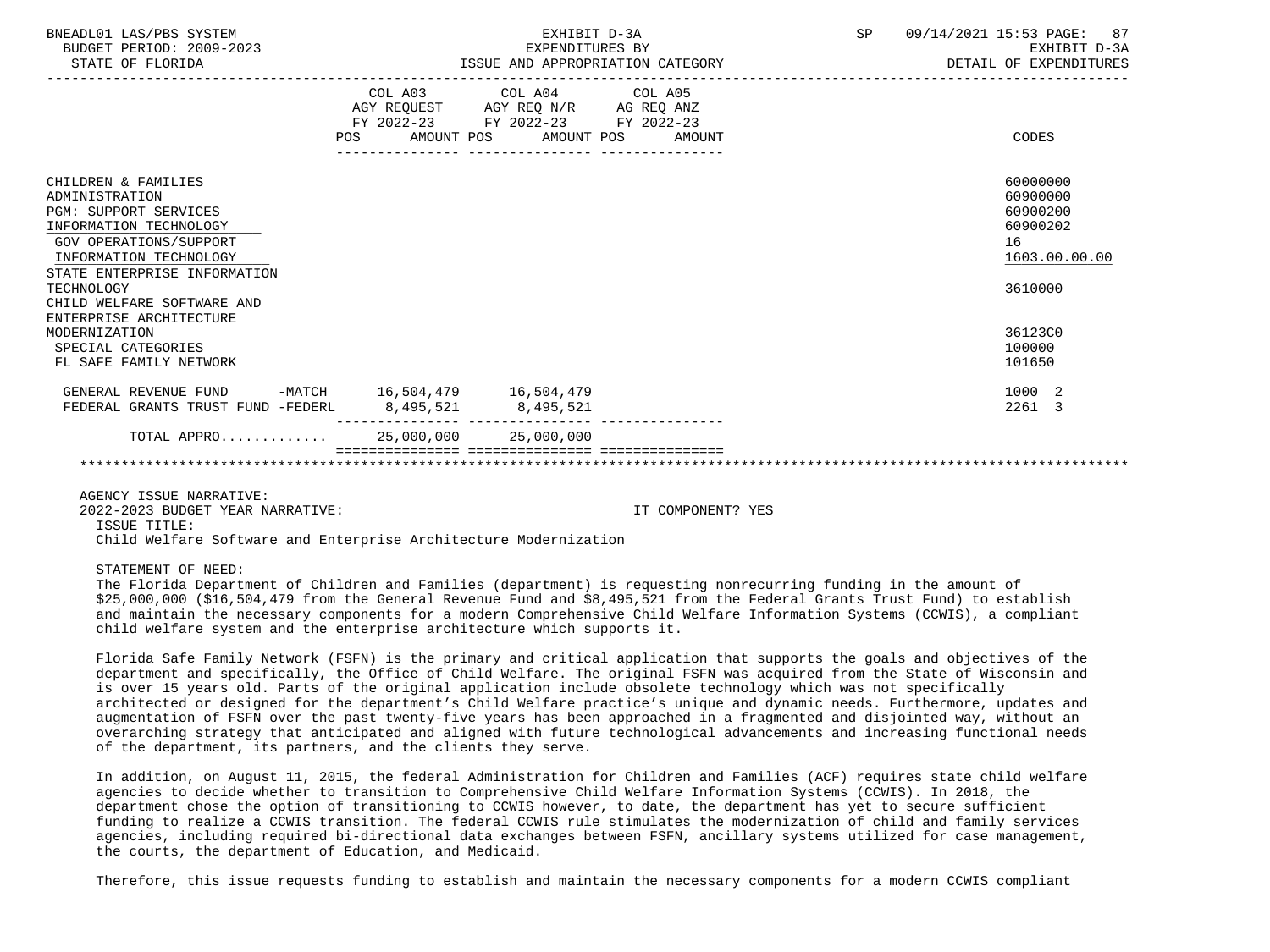| BNEADL01 LAS/PBS SYSTEM<br>BUDGET PERIOD: 2009-2023<br>STATE OF FLORIDA                                                                                                                    | EXHIBIT D-3A<br>EXPENDITURES BY<br>ISSUE AND APPROPRIATION CATEGORY                      |                                                                                                                                       | SP | 09/14/2021 15:53 PAGE: 87<br>EXHIBIT D-3A<br>DETAIL OF EXPENDITURES |                                                                     |
|--------------------------------------------------------------------------------------------------------------------------------------------------------------------------------------------|------------------------------------------------------------------------------------------|---------------------------------------------------------------------------------------------------------------------------------------|----|---------------------------------------------------------------------|---------------------------------------------------------------------|
|                                                                                                                                                                                            |                                                                                          | COL A03 COL A04 COL A05<br>AGY REQUEST AGY REQ N/R AG REQ ANZ<br>FY 2022-23 FY 2022-23 FY 2022-23<br>POS AMOUNT POS AMOUNT POS AMOUNT |    |                                                                     | CODES                                                               |
| CHILDREN & FAMILIES<br>ADMINISTRATION<br><b>PGM: SUPPORT SERVICES</b><br>INFORMATION TECHNOLOGY<br><b>GOV OPERATIONS/SUPPORT</b><br>INFORMATION TECHNOLOGY<br>STATE ENTERPRISE INFORMATION |                                                                                          |                                                                                                                                       |    |                                                                     | 60000000<br>60900000<br>60900200<br>60900202<br>16<br>1603.00.00.00 |
| TECHNOLOGY<br>CHILD WELFARE SOFTWARE AND<br>ENTERPRISE ARCHITECTURE                                                                                                                        |                                                                                          |                                                                                                                                       |    |                                                                     | 3610000                                                             |
| MODERNIZATION<br>SPECIAL CATEGORIES<br>FL SAFE FAMILY NETWORK                                                                                                                              |                                                                                          |                                                                                                                                       |    |                                                                     | 36123C0<br>100000<br>101650                                         |
| GENERAL REVENUE FUND<br>FEDERAL GRANTS TRUST FUND -FEDERL                                                                                                                                  | -MATCH 16,504,479 16,504,479<br>8,495,521 8,495,521<br>_________________________________ |                                                                                                                                       |    |                                                                     | 1000 2<br>2261 3                                                    |
| TOTAL APPRO 25,000,000 25,000,000                                                                                                                                                          |                                                                                          |                                                                                                                                       |    |                                                                     |                                                                     |
|                                                                                                                                                                                            |                                                                                          |                                                                                                                                       |    |                                                                     |                                                                     |

AGENCY ISSUE NARRATIVE:

2022-2023 BUDGET YEAR NARRATIVE: IT COMPONENT? YES

ISSUE TITLE:

Child Welfare Software and Enterprise Architecture Modernization

STATEMENT OF NEED:

 The Florida Department of Children and Families (department) is requesting nonrecurring funding in the amount of \$25,000,000 (\$16,504,479 from the General Revenue Fund and \$8,495,521 from the Federal Grants Trust Fund) to establish and maintain the necessary components for a modern Comprehensive Child Welfare Information Systems (CCWIS), a compliant child welfare system and the enterprise architecture which supports it.

 Florida Safe Family Network (FSFN) is the primary and critical application that supports the goals and objectives of the department and specifically, the Office of Child Welfare. The original FSFN was acquired from the State of Wisconsin and is over 15 years old. Parts of the original application include obsolete technology which was not specifically architected or designed for the department's Child Welfare practice's unique and dynamic needs. Furthermore, updates and augmentation of FSFN over the past twenty-five years has been approached in a fragmented and disjointed way, without an overarching strategy that anticipated and aligned with future technological advancements and increasing functional needs of the department, its partners, and the clients they serve.

 In addition, on August 11, 2015, the federal Administration for Children and Families (ACF) requires state child welfare agencies to decide whether to transition to Comprehensive Child Welfare Information Systems (CCWIS). In 2018, the department chose the option of transitioning to CCWIS however, to date, the department has yet to secure sufficient funding to realize a CCWIS transition. The federal CCWIS rule stimulates the modernization of child and family services agencies, including required bi-directional data exchanges between FSFN, ancillary systems utilized for case management, the courts, the department of Education, and Medicaid.

Therefore, this issue requests funding to establish and maintain the necessary components for a modern CCWIS compliant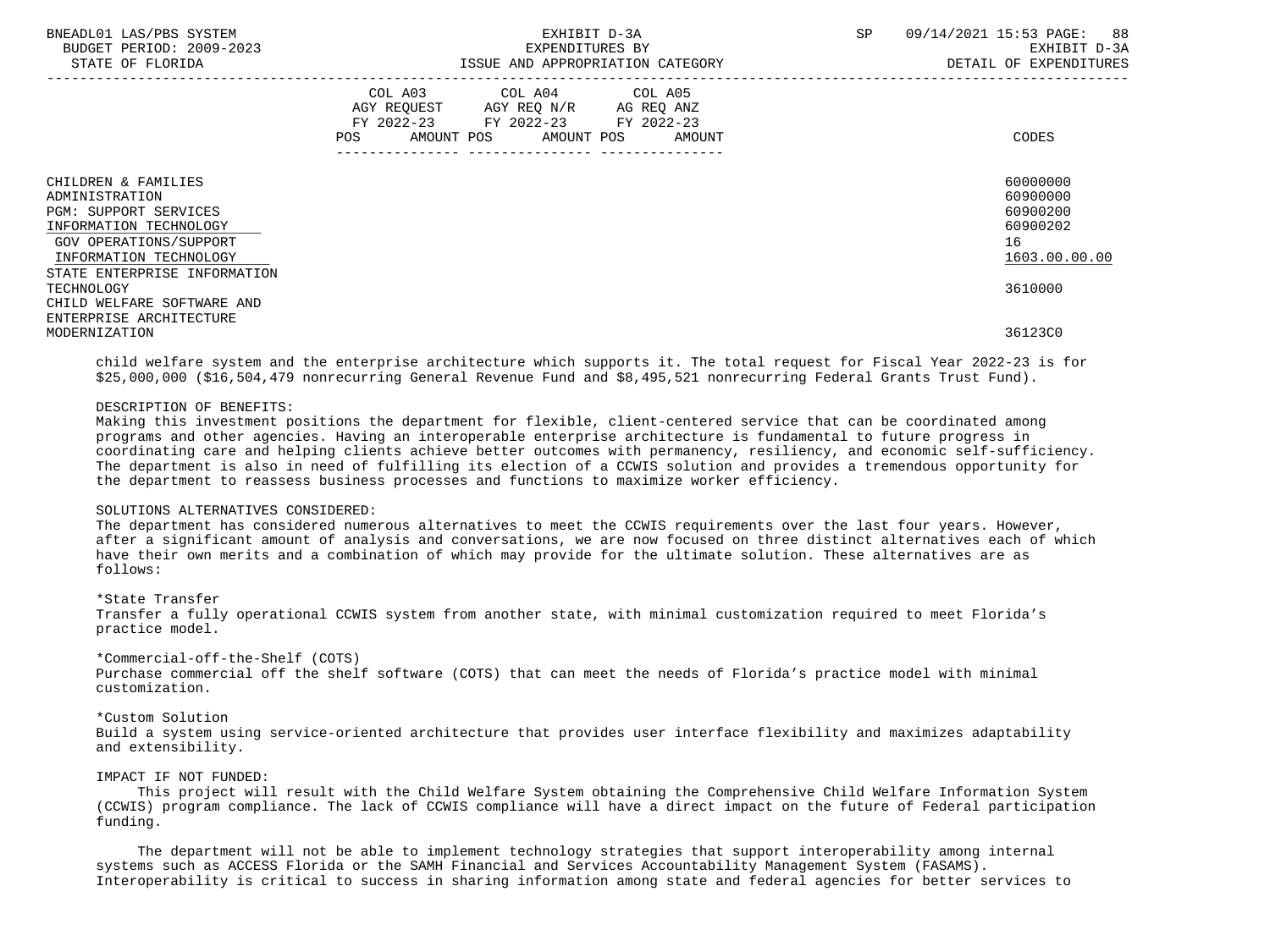| BNEADL01 LAS/PBS SYSTEM<br>BUDGET PERIOD: 2009-2023<br>STATE OF FLORIDA                                                                             | EXHIBIT D-3A<br>EXPENDITURES BY<br>ISSUE AND APPROPRIATION CATEGORY                                                                      | SP<br>09/14/2021 15:53 PAGE: 88<br>EXHIBIT D-3A<br>DETAIL OF EXPENDITURES |
|-----------------------------------------------------------------------------------------------------------------------------------------------------|------------------------------------------------------------------------------------------------------------------------------------------|---------------------------------------------------------------------------|
|                                                                                                                                                     | COL A03 COL A04 COL A05<br>AGY REQUEST AGY REQ N/R AG REQ ANZ<br>FY 2022-23 FY 2022-23 FY 2022-23<br>AMOUNT POS AMOUNT POS AMOUNT<br>POS | CODES                                                                     |
| CHILDREN & FAMILIES<br>ADMINISTRATION<br><b>PGM: SUPPORT SERVICES</b><br>INFORMATION TECHNOLOGY<br>GOV OPERATIONS/SUPPORT<br>INFORMATION TECHNOLOGY |                                                                                                                                          | 60000000<br>60900000<br>60900200<br>60900202<br>16<br>1603.00.00.00       |
| STATE ENTERPRISE INFORMATION<br>TECHNOLOGY<br>CHILD WELFARE SOFTWARE AND                                                                            |                                                                                                                                          | 3610000                                                                   |
| ENTERPRISE ARCHITECTURE<br>MODERNIZATION                                                                                                            |                                                                                                                                          | 36123C0                                                                   |

 child welfare system and the enterprise architecture which supports it. The total request for Fiscal Year 2022-23 is for \$25,000,000 (\$16,504,479 nonrecurring General Revenue Fund and \$8,495,521 nonrecurring Federal Grants Trust Fund).

### DESCRIPTION OF BENEFITS:

 Making this investment positions the department for flexible, client-centered service that can be coordinated among programs and other agencies. Having an interoperable enterprise architecture is fundamental to future progress in coordinating care and helping clients achieve better outcomes with permanency, resiliency, and economic self-sufficiency. The department is also in need of fulfilling its election of a CCWIS solution and provides a tremendous opportunity for the department to reassess business processes and functions to maximize worker efficiency.

### SOLUTIONS ALTERNATIVES CONSIDERED:

 The department has considered numerous alternatives to meet the CCWIS requirements over the last four years. However, after a significant amount of analysis and conversations, we are now focused on three distinct alternatives each of which have their own merits and a combination of which may provide for the ultimate solution. These alternatives are as follows:

### \*State Transfer

 Transfer a fully operational CCWIS system from another state, with minimal customization required to meet Florida's practice model.

### \*Commercial-off-the-Shelf (COTS)

 Purchase commercial off the shelf software (COTS) that can meet the needs of Florida's practice model with minimal customization.

### \*Custom Solution

 Build a system using service-oriented architecture that provides user interface flexibility and maximizes adaptability and extensibility.

### IMPACT IF NOT FUNDED:

 This project will result with the Child Welfare System obtaining the Comprehensive Child Welfare Information System (CCWIS) program compliance. The lack of CCWIS compliance will have a direct impact on the future of Federal participation funding.

 The department will not be able to implement technology strategies that support interoperability among internal systems such as ACCESS Florida or the SAMH Financial and Services Accountability Management System (FASAMS). Interoperability is critical to success in sharing information among state and federal agencies for better services to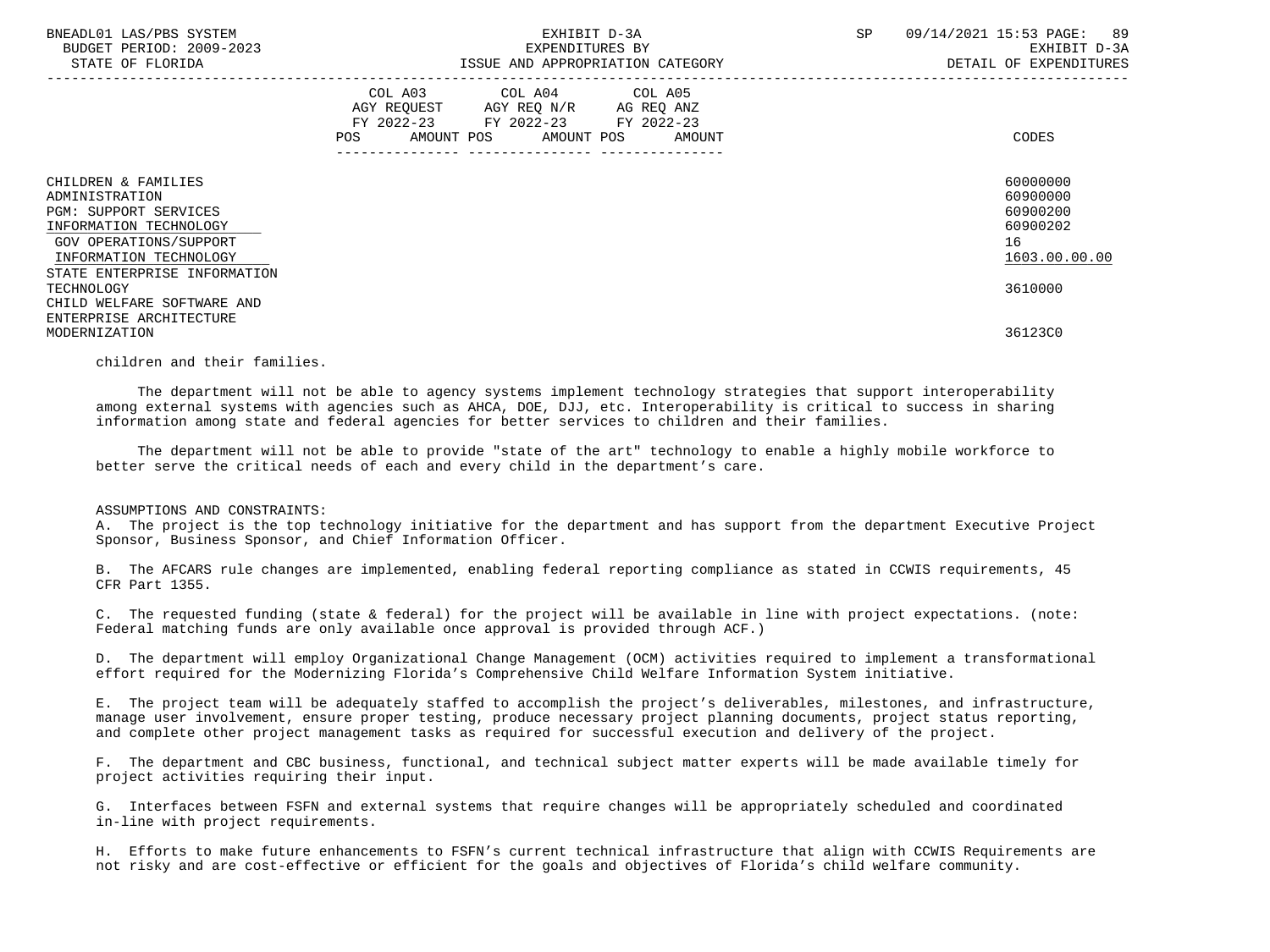| BNEADL01 LAS/PBS SYSTEM<br>BUDGET PERIOD: 2009-2023<br>STATE OF FLORIDA                                                                             | EXHIBIT D-3A<br>EXPENDITURES BY<br>ISSUE AND APPROPRIATION CATEGORY                                                                   | SP<br>09/14/2021 15:53 PAGE: 89<br>EXHIBIT D-3A<br>DETAIL OF EXPENDITURES |
|-----------------------------------------------------------------------------------------------------------------------------------------------------|---------------------------------------------------------------------------------------------------------------------------------------|---------------------------------------------------------------------------|
|                                                                                                                                                     | COL A03 COL A04 COL A05<br>AGY REQUEST AGY REQ N/R AG REQ ANZ<br>FY 2022-23 FY 2022-23 FY 2022-23<br>POS AMOUNT POS AMOUNT POS AMOUNT | CODES                                                                     |
| CHILDREN & FAMILIES<br>ADMINISTRATION<br><b>PGM: SUPPORT SERVICES</b><br>INFORMATION TECHNOLOGY<br>GOV OPERATIONS/SUPPORT<br>INFORMATION TECHNOLOGY |                                                                                                                                       | 60000000<br>60900000<br>60900200<br>60900202<br>16<br>1603.00.00.00       |
| STATE ENTERPRISE INFORMATION<br>TECHNOLOGY<br>CHILD WELFARE SOFTWARE AND                                                                            |                                                                                                                                       | 3610000                                                                   |
| ENTERPRISE ARCHITECTURE<br>MODERNIZATION                                                                                                            |                                                                                                                                       | 36123C0                                                                   |

children and their families.

 The department will not be able to agency systems implement technology strategies that support interoperability among external systems with agencies such as AHCA, DOE, DJJ, etc. Interoperability is critical to success in sharing information among state and federal agencies for better services to children and their families.

 The department will not be able to provide "state of the art" technology to enable a highly mobile workforce to better serve the critical needs of each and every child in the department's care.

### ASSUMPTIONS AND CONSTRAINTS:

 A. The project is the top technology initiative for the department and has support from the department Executive Project Sponsor, Business Sponsor, and Chief Information Officer.

 B. The AFCARS rule changes are implemented, enabling federal reporting compliance as stated in CCWIS requirements, 45 CFR Part 1355.

 C. The requested funding (state & federal) for the project will be available in line with project expectations. (note: Federal matching funds are only available once approval is provided through ACF.)

 D. The department will employ Organizational Change Management (OCM) activities required to implement a transformational effort required for the Modernizing Florida's Comprehensive Child Welfare Information System initiative.

 E. The project team will be adequately staffed to accomplish the project's deliverables, milestones, and infrastructure, manage user involvement, ensure proper testing, produce necessary project planning documents, project status reporting, and complete other project management tasks as required for successful execution and delivery of the project.

 F. The department and CBC business, functional, and technical subject matter experts will be made available timely for project activities requiring their input.

 G. Interfaces between FSFN and external systems that require changes will be appropriately scheduled and coordinated in-line with project requirements.

 H. Efforts to make future enhancements to FSFN's current technical infrastructure that align with CCWIS Requirements are not risky and are cost-effective or efficient for the goals and objectives of Florida's child welfare community.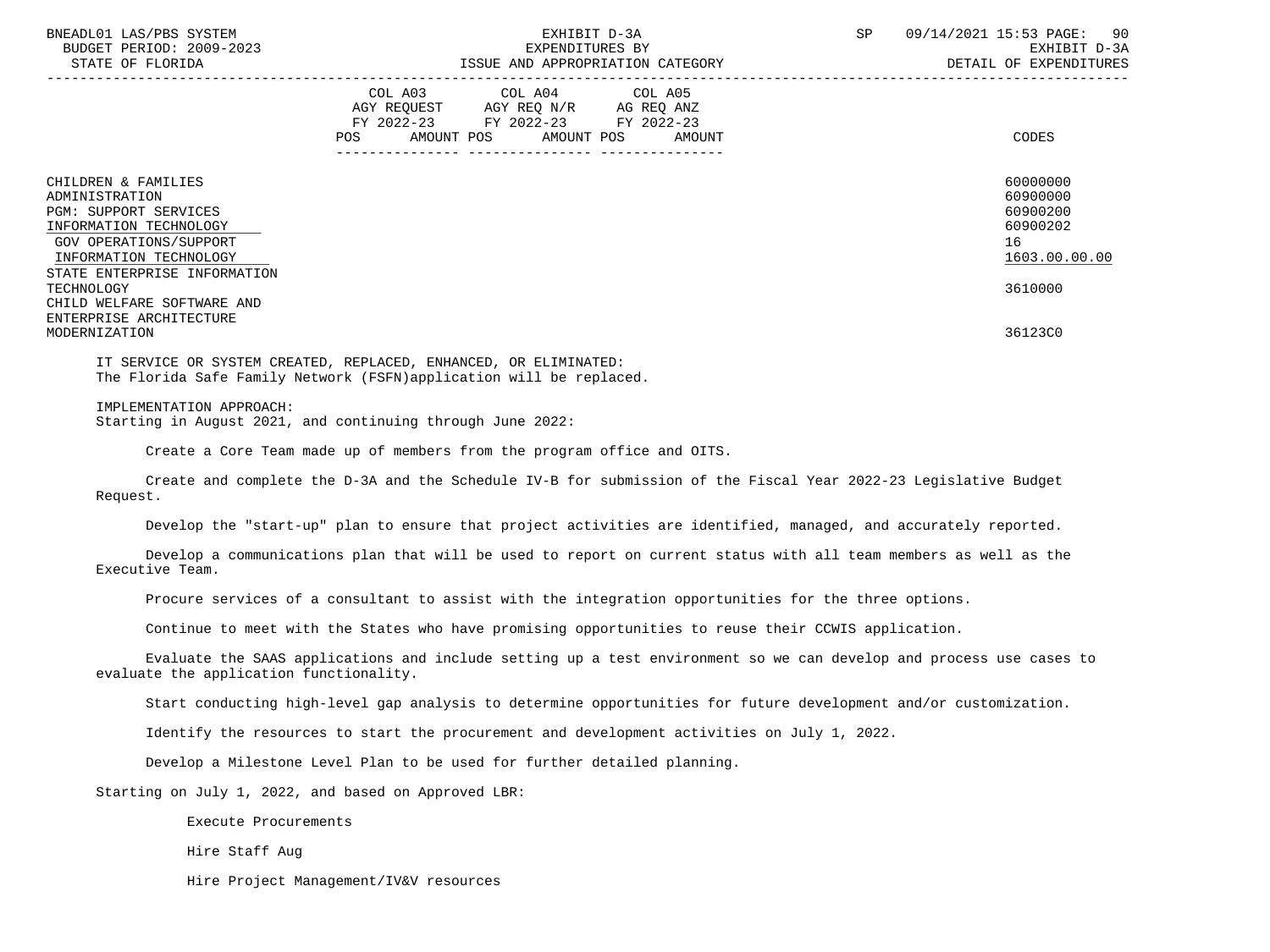| BNEADL01 LAS/PBS SYSTEM<br>BUDGET PERIOD: 2009-2023<br>STATE OF FLORIDA                                                                                                             | EXHIBIT D-3A<br>EXPENDITURES BY<br>ISSUE AND APPROPRIATION CATEGORY                                                                   | 09/14/2021 15:53 PAGE: 90<br>SP<br>EXHIBIT D-3A<br>DETAIL OF EXPENDITURES |
|-------------------------------------------------------------------------------------------------------------------------------------------------------------------------------------|---------------------------------------------------------------------------------------------------------------------------------------|---------------------------------------------------------------------------|
|                                                                                                                                                                                     | COL A03 COL A04 COL A05<br>AGY REQUEST AGY REQ N/R AG REQ ANZ<br>FY 2022-23 FY 2022-23 FY 2022-23<br>POS AMOUNT POS AMOUNT POS AMOUNT | CODES                                                                     |
| CHILDREN & FAMILIES<br>ADMINISTRATION<br><b>PGM: SUPPORT SERVICES</b><br>INFORMATION TECHNOLOGY<br>GOV OPERATIONS/SUPPORT<br>INFORMATION TECHNOLOGY<br>STATE ENTERPRISE INFORMATION |                                                                                                                                       | 60000000<br>60900000<br>60900200<br>60900202<br>16<br>1603.00.00.00       |
| TECHNOLOGY<br>CHILD WELFARE SOFTWARE AND<br>ENTERPRISE ARCHITECTURE                                                                                                                 |                                                                                                                                       | 3610000                                                                   |
| MODERNIZATION                                                                                                                                                                       |                                                                                                                                       | 36123C0                                                                   |

 IT SERVICE OR SYSTEM CREATED, REPLACED, ENHANCED, OR ELIMINATED: The Florida Safe Family Network (FSFN)application will be replaced.

### IMPLEMENTATION APPROACH:

Starting in August 2021, and continuing through June 2022:

Create a Core Team made up of members from the program office and OITS.

 Create and complete the D-3A and the Schedule IV-B for submission of the Fiscal Year 2022-23 Legislative Budget Request.

Develop the "start-up" plan to ensure that project activities are identified, managed, and accurately reported.

 Develop a communications plan that will be used to report on current status with all team members as well as the Executive Team.

Procure services of a consultant to assist with the integration opportunities for the three options.

Continue to meet with the States who have promising opportunities to reuse their CCWIS application.

 Evaluate the SAAS applications and include setting up a test environment so we can develop and process use cases to evaluate the application functionality.

Start conducting high-level gap analysis to determine opportunities for future development and/or customization.

Identify the resources to start the procurement and development activities on July 1, 2022.

Develop a Milestone Level Plan to be used for further detailed planning.

Starting on July 1, 2022, and based on Approved LBR:

Execute Procurements

Hire Staff Aug

Hire Project Management/IV&V resources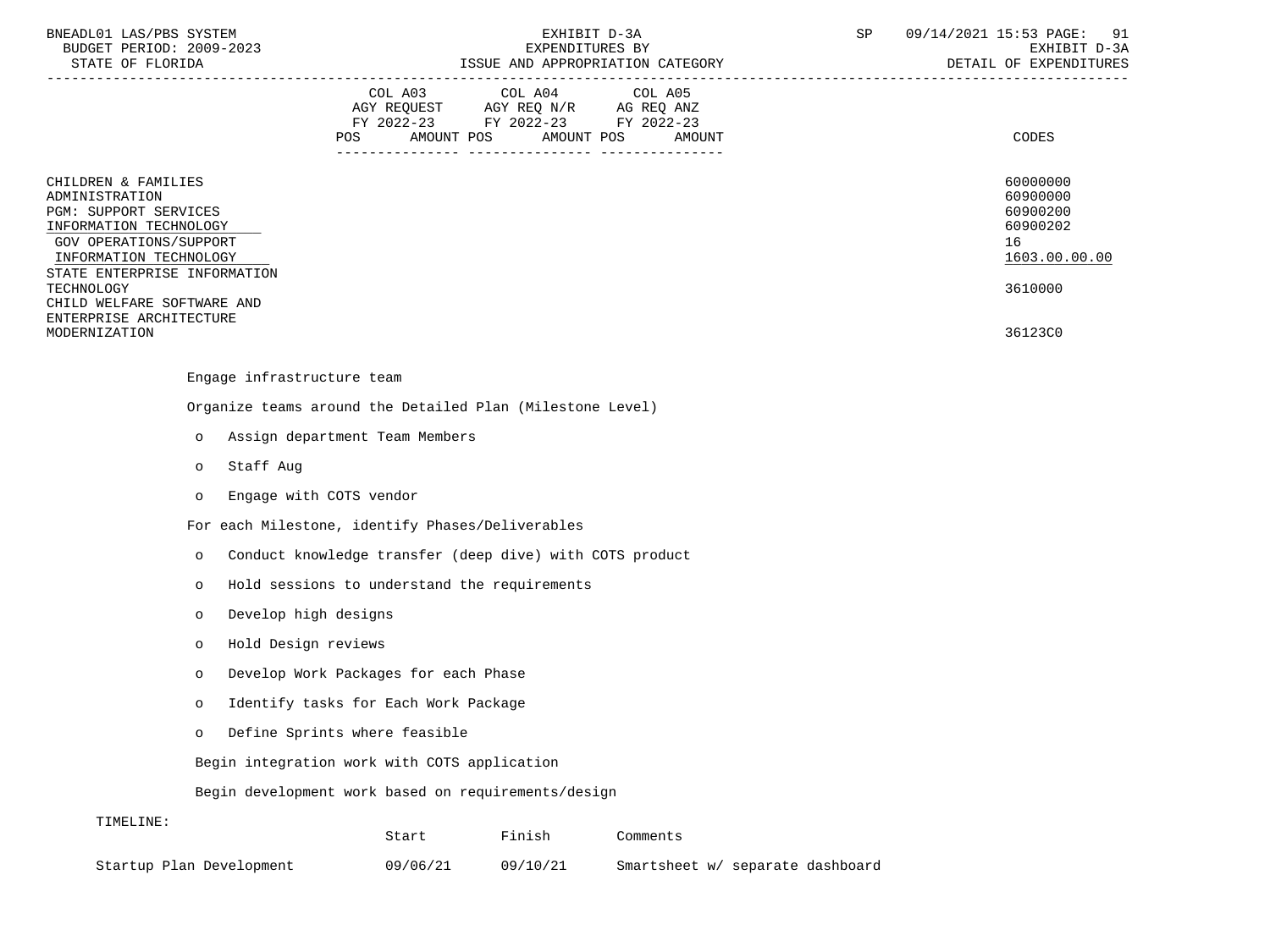| BNEADL01 LAS/PBS SYSTEM |                  |                          |
|-------------------------|------------------|--------------------------|
|                         |                  | BUDGET PERIOD: 2009-2023 |
|                         | STATE OF FLORIDA |                          |

|                                                                                                                                                                                                                          | COL A03<br>COL A04<br>COL A05<br>AGY REQUEST<br>AGY REQ N/R<br>AG REQ ANZ<br>$FY$ 2022-23<br>FY 2022-23<br>FY 2022-23<br><b>POS</b><br>AMOUNT POS<br>AMOUNT POS<br>AMOUNT | CODES                                                                          |
|--------------------------------------------------------------------------------------------------------------------------------------------------------------------------------------------------------------------------|---------------------------------------------------------------------------------------------------------------------------------------------------------------------------|--------------------------------------------------------------------------------|
| CHILDREN & FAMILIES<br>ADMINISTRATION<br>PGM: SUPPORT SERVICES<br>INFORMATION TECHNOLOGY<br>GOV OPERATIONS/SUPPORT<br>INFORMATION TECHNOLOGY<br>STATE ENTERPRISE INFORMATION<br>TECHNOLOGY<br>CHILD WELFARE SOFTWARE AND | ---------------                                                                                                                                                           | 60000000<br>60900000<br>60900200<br>60900202<br>16<br>1603.00.00.00<br>3610000 |
| ENTERPRISE ARCHITECTURE<br>MODERNIZATION                                                                                                                                                                                 |                                                                                                                                                                           | 36123C0                                                                        |

### Engage infrastructure team

Organize teams around the Detailed Plan (Milestone Level)

- o Assign department Team Members
- o Staff Aug
- o Engage with COTS vendor

For each Milestone, identify Phases/Deliverables

- o Conduct knowledge transfer (deep dive) with COTS product
- o Hold sessions to understand the requirements
- o Develop high designs
- o Hold Design reviews
- o Develop Work Packages for each Phase
- o Identify tasks for Each Work Package
- o Define Sprints where feasible

Begin integration work with COTS application

Begin development work based on requirements/design

### TIMELINE:

|                          | Start    | Finish   | Comments                         |
|--------------------------|----------|----------|----------------------------------|
| Startup Plan Development | 09/06/21 | 09/10/21 | Smartsheet w/ separate dashboard |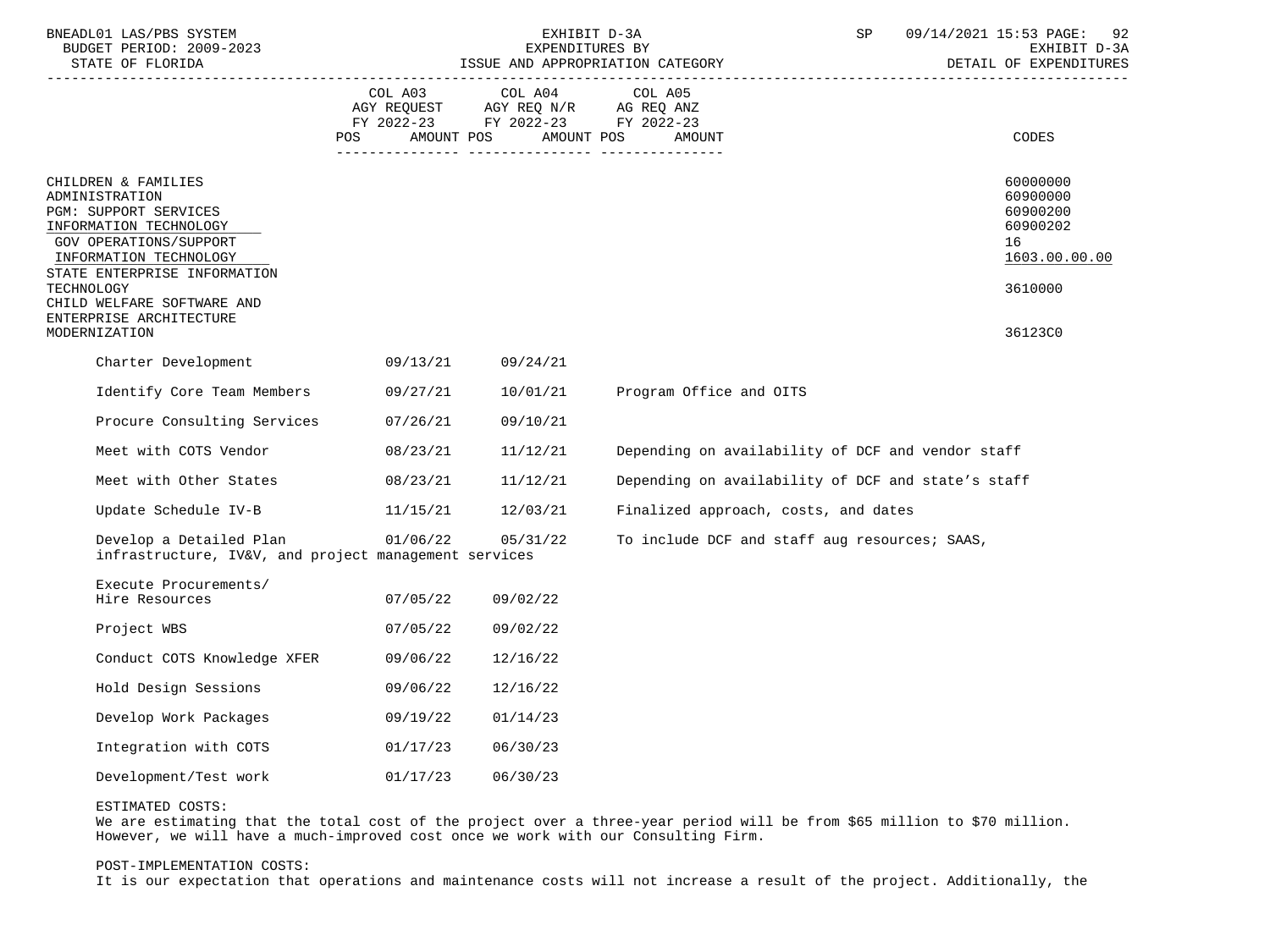| BNEADL01 LAS/PBS SYSTEM<br>BUDGET PERIOD: 2009-2023<br>STATE OF FLORIDA<br>----------------------                                                                                                                                                                    | EXHIBIT D-3A<br>EXPENDITURES BY<br>ISSUE AND APPROPRIATION CATEGORY |                                                                                                 |                                                    | SP | 09/14/2021 15:53 PAGE:<br>92<br>EXHIBIT D-3A<br>DETAIL OF EXPENDITURES                    |  |
|----------------------------------------------------------------------------------------------------------------------------------------------------------------------------------------------------------------------------------------------------------------------|---------------------------------------------------------------------|-------------------------------------------------------------------------------------------------|----------------------------------------------------|----|-------------------------------------------------------------------------------------------|--|
|                                                                                                                                                                                                                                                                      | COL A03<br>AMOUNT POS<br><b>POS</b>                                 | COL A04<br>AGY REQUEST AGY REQ N/R AG REQ ANZ<br>FY 2022-23 FY 2022-23 FY 2022-23<br>AMOUNT POS | COL A05<br>AMOUNT                                  |    | <b>CODES</b>                                                                              |  |
| CHILDREN & FAMILIES<br>ADMINISTRATION<br>PGM: SUPPORT SERVICES<br>INFORMATION TECHNOLOGY<br>GOV OPERATIONS/SUPPORT<br>INFORMATION TECHNOLOGY<br>STATE ENTERPRISE INFORMATION<br>TECHNOLOGY<br>CHILD WELFARE SOFTWARE AND<br>ENTERPRISE ARCHITECTURE<br>MODERNIZATION |                                                                     |                                                                                                 |                                                    |    | 60000000<br>60900000<br>60900200<br>60900202<br>16<br>1603.00.00.00<br>3610000<br>36123C0 |  |
| Charter Development                                                                                                                                                                                                                                                  | 09/13/21                                                            | 09/24/21                                                                                        |                                                    |    |                                                                                           |  |
| Identify Core Team Members                                                                                                                                                                                                                                           | 09/27/21                                                            | 10/01/21                                                                                        | Program Office and OITS                            |    |                                                                                           |  |
| Procure Consulting Services                                                                                                                                                                                                                                          | 07/26/21                                                            | 09/10/21                                                                                        |                                                    |    |                                                                                           |  |
| Meet with COTS Vendor                                                                                                                                                                                                                                                | 08/23/21                                                            | 11/12/21                                                                                        | Depending on availability of DCF and vendor staff  |    |                                                                                           |  |
| Meet with Other States                                                                                                                                                                                                                                               | 08/23/21                                                            | 11/12/21                                                                                        | Depending on availability of DCF and state's staff |    |                                                                                           |  |
| Update Schedule IV-B                                                                                                                                                                                                                                                 | 11/15/21                                                            | 12/03/21                                                                                        | Finalized approach, costs, and dates               |    |                                                                                           |  |
| Develop a Detailed Plan<br>infrastructure, IV&V, and project management services                                                                                                                                                                                     | 01/06/22                                                            | 05/31/22                                                                                        | To include DCF and staff aug resources; SAAS,      |    |                                                                                           |  |
| Execute Procurements/<br>Hire Resources                                                                                                                                                                                                                              | 07/05/22                                                            | 09/02/22                                                                                        |                                                    |    |                                                                                           |  |
| Project WBS                                                                                                                                                                                                                                                          | 07/05/22                                                            | 09/02/22                                                                                        |                                                    |    |                                                                                           |  |
| Conduct COTS Knowledge XFER                                                                                                                                                                                                                                          | 09/06/22                                                            | 12/16/22                                                                                        |                                                    |    |                                                                                           |  |
| Hold Design Sessions                                                                                                                                                                                                                                                 | 09/06/22                                                            | 12/16/22                                                                                        |                                                    |    |                                                                                           |  |
| Develop Work Packages                                                                                                                                                                                                                                                | 09/19/22                                                            | 01/14/23                                                                                        |                                                    |    |                                                                                           |  |
| Integration with COTS                                                                                                                                                                                                                                                | 01/17/23                                                            | 06/30/23                                                                                        |                                                    |    |                                                                                           |  |
| Development/Test work                                                                                                                                                                                                                                                | 01/17/23                                                            | 06/30/23                                                                                        |                                                    |    |                                                                                           |  |

### ESTIMATED COSTS:

We are estimating that the total cost of the project over a three-year period will be from \$65 million to \$70 million. However, we will have a much-improved cost once we work with our Consulting Firm.

### POST-IMPLEMENTATION COSTS:

It is our expectation that operations and maintenance costs will not increase a result of the project. Additionally, the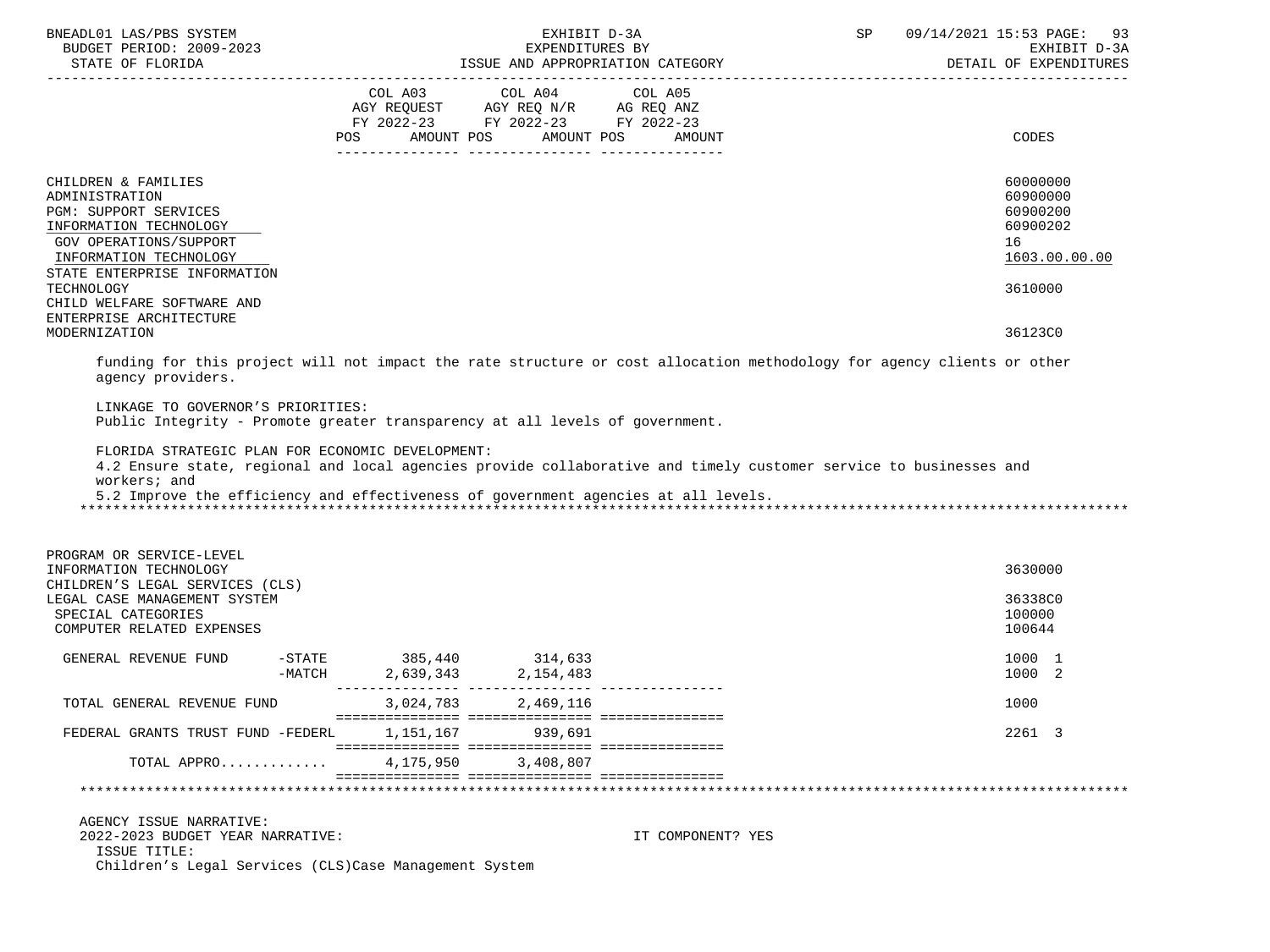| BNEADL01 LAS/PBS SYSTEM<br>BUDGET PERIOD: 2009-2023                                                                                                                                                                                                                         |           | EXHIBIT D-3A<br>EXPENDITURES BY                                                                                 |                      | $\operatorname{SP}$ | 09/14/2021 15:53 PAGE: 93<br>EXHIBIT D-3A<br>DETAIL OF EXPENDITURES |
|-----------------------------------------------------------------------------------------------------------------------------------------------------------------------------------------------------------------------------------------------------------------------------|-----------|-----------------------------------------------------------------------------------------------------------------|----------------------|---------------------|---------------------------------------------------------------------|
|                                                                                                                                                                                                                                                                             | POS       | COL A03 COL A04 COL A05<br>AGY REQUEST AGY REQ N/R AG REQ ANZ<br>FY 2022-23 FY 2022-23 FY 2022-23<br>AMOUNT POS | AMOUNT POS<br>AMOUNT |                     | CODES                                                               |
| CHILDREN & FAMILIES<br>ADMINISTRATION<br>PGM: SUPPORT SERVICES<br>INFORMATION TECHNOLOGY<br>GOV OPERATIONS/SUPPORT<br>INFORMATION TECHNOLOGY<br>STATE ENTERPRISE INFORMATION                                                                                                |           |                                                                                                                 |                      |                     | 60000000<br>60900000<br>60900200<br>60900202<br>16<br>1603.00.00.00 |
| TECHNOLOGY<br>CHILD WELFARE SOFTWARE AND<br>ENTERPRISE ARCHITECTURE<br>MODERNIZATION                                                                                                                                                                                        |           |                                                                                                                 |                      |                     | 3610000<br>36123C0                                                  |
| funding for this project will not impact the rate structure or cost allocation methodology for agency clients or other<br>agency providers.                                                                                                                                 |           |                                                                                                                 |                      |                     |                                                                     |
| LINKAGE TO GOVERNOR'S PRIORITIES:<br>Public Integrity - Promote greater transparency at all levels of government.                                                                                                                                                           |           |                                                                                                                 |                      |                     |                                                                     |
| FLORIDA STRATEGIC PLAN FOR ECONOMIC DEVELOPMENT:<br>4.2 Ensure state, regional and local agencies provide collaborative and timely customer service to businesses and<br>workers; and<br>5.2 Improve the efficiency and effectiveness of government agencies at all levels. |           |                                                                                                                 |                      |                     |                                                                     |
| PROGRAM OR SERVICE-LEVEL<br>INFORMATION TECHNOLOGY                                                                                                                                                                                                                          |           |                                                                                                                 |                      |                     | 3630000                                                             |
| CHILDREN'S LEGAL SERVICES (CLS)<br>LEGAL CASE MANAGEMENT SYSTEM<br>SPECIAL CATEGORIES<br>COMPUTER RELATED EXPENSES                                                                                                                                                          |           |                                                                                                                 |                      |                     | 36338C0<br>100000<br>100644                                         |
| $-$ STATE<br>GENERAL REVENUE FUND<br>-MATCH                                                                                                                                                                                                                                 |           | 385,440 314,633<br>2,639,343 2,154,483                                                                          |                      |                     | 1000 1<br>1000 2                                                    |
| TOTAL GENERAL REVENUE FUND                                                                                                                                                                                                                                                  | 3,024,783 | 2,469,116                                                                                                       |                      |                     | 1000                                                                |
| FEDERAL GRANTS TRUST FUND -FEDERL                                                                                                                                                                                                                                           | 1,151,167 | 939,691                                                                                                         |                      |                     | 2261 3                                                              |
| TOTAL APPRO                                                                                                                                                                                                                                                                 | 4,175,950 | 3,408,807                                                                                                       |                      |                     |                                                                     |
|                                                                                                                                                                                                                                                                             |           |                                                                                                                 |                      |                     |                                                                     |
| AGENCY ISSUE NARRATIVE:<br>2022-2023 BUDGET YEAR NARRATIVE:<br>ISSUE TITLE:<br>Children's Legal Services (CLS) Case Management System                                                                                                                                       |           |                                                                                                                 | IT COMPONENT? YES    |                     |                                                                     |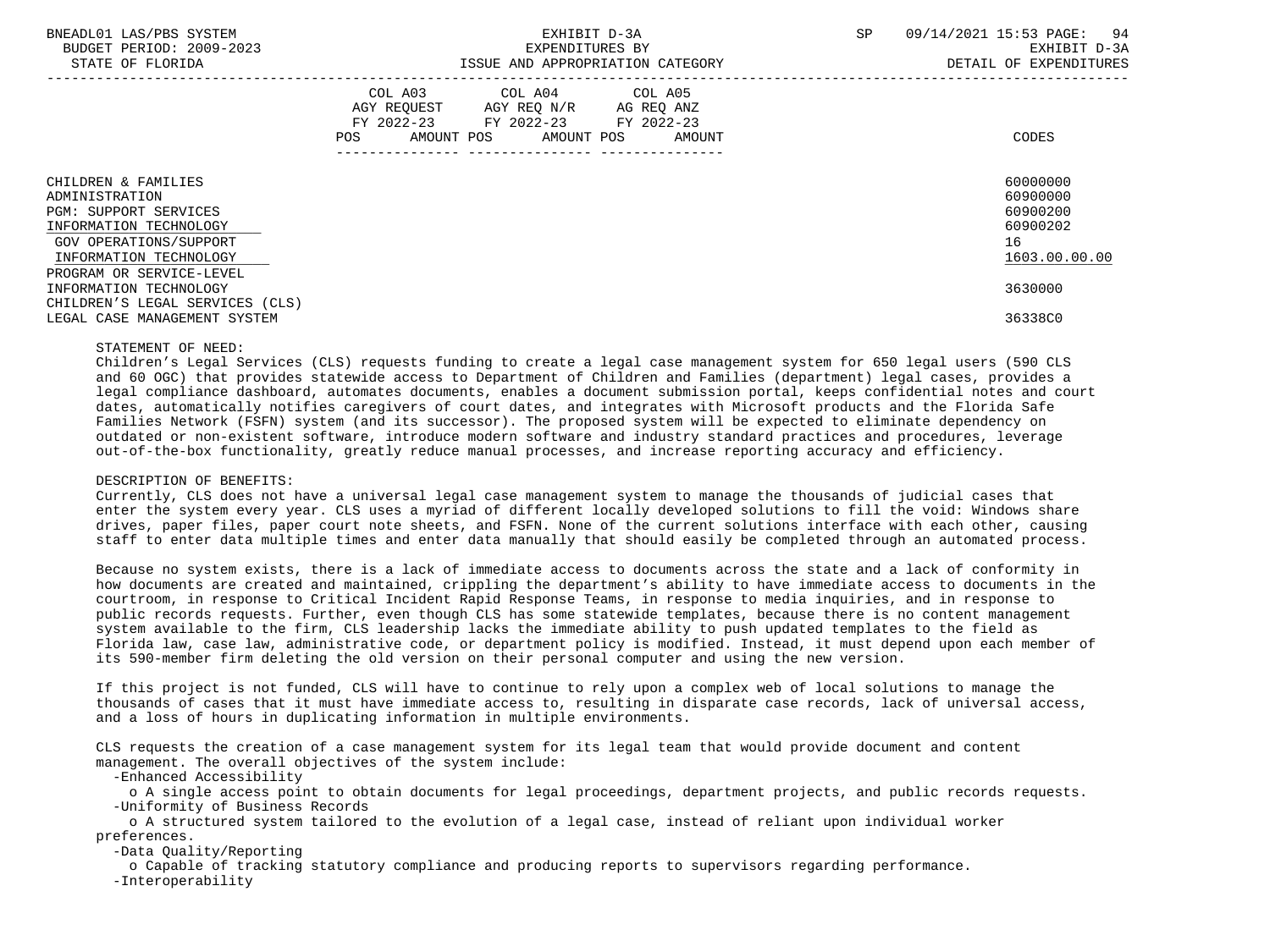### BNEADL01 LAS/PBS SYSTEM 64 CONTROLL CONTROLLER THE SEXHIBIT D-3A SP 09/14/2021 15:53 PAGE: 94 BUDGET PERIOD: 2009-2023 EXPENDITURES BY EXHIBIT D-3A

|                                                                                                                                                                                                                                                                              | COL A03<br>COL A04<br>AGY REQUEST<br>AGY REQ N/R<br>$FY$ 2022-23<br>FY 2022-23 | COL A05<br>AG REQ ANZ |                                                                                           |
|------------------------------------------------------------------------------------------------------------------------------------------------------------------------------------------------------------------------------------------------------------------------------|--------------------------------------------------------------------------------|-----------------------|-------------------------------------------------------------------------------------------|
| POS                                                                                                                                                                                                                                                                          | AMOUNT POS<br>AMOUNT POS                                                       | FY 2022-23<br>AMOUNT  | CODES                                                                                     |
| CHILDREN & FAMILIES<br>ADMINISTRATION<br><b>PGM: SUPPORT SERVICES</b><br>INFORMATION TECHNOLOGY<br>GOV OPERATIONS/SUPPORT<br>INFORMATION TECHNOLOGY<br>PROGRAM OR SERVICE-LEVEL<br>INFORMATION TECHNOLOGY<br>CHILDREN'S LEGAL SERVICES (CLS)<br>LEGAL CASE MANAGEMENT SYSTEM |                                                                                |                       | 60000000<br>60900000<br>60900200<br>60900202<br>16<br>1603.00.00.00<br>3630000<br>36338C0 |

### STATEMENT OF NEED:

 Children's Legal Services (CLS) requests funding to create a legal case management system for 650 legal users (590 CLS and 60 OGC) that provides statewide access to Department of Children and Families (department) legal cases, provides a legal compliance dashboard, automates documents, enables a document submission portal, keeps confidential notes and court dates, automatically notifies caregivers of court dates, and integrates with Microsoft products and the Florida Safe Families Network (FSFN) system (and its successor). The proposed system will be expected to eliminate dependency on outdated or non-existent software, introduce modern software and industry standard practices and procedures, leverage out-of-the-box functionality, greatly reduce manual processes, and increase reporting accuracy and efficiency.

### DESCRIPTION OF BENEFITS:

 Currently, CLS does not have a universal legal case management system to manage the thousands of judicial cases that enter the system every year. CLS uses a myriad of different locally developed solutions to fill the void: Windows share drives, paper files, paper court note sheets, and FSFN. None of the current solutions interface with each other, causing staff to enter data multiple times and enter data manually that should easily be completed through an automated process.

 Because no system exists, there is a lack of immediate access to documents across the state and a lack of conformity in how documents are created and maintained, crippling the department's ability to have immediate access to documents in the courtroom, in response to Critical Incident Rapid Response Teams, in response to media inquiries, and in response to public records requests. Further, even though CLS has some statewide templates, because there is no content management system available to the firm, CLS leadership lacks the immediate ability to push updated templates to the field as Florida law, case law, administrative code, or department policy is modified. Instead, it must depend upon each member of its 590-member firm deleting the old version on their personal computer and using the new version.

 If this project is not funded, CLS will have to continue to rely upon a complex web of local solutions to manage the thousands of cases that it must have immediate access to, resulting in disparate case records, lack of universal access, and a loss of hours in duplicating information in multiple environments.

 CLS requests the creation of a case management system for its legal team that would provide document and content management. The overall objectives of the system include:

-Enhanced Accessibility

 o A single access point to obtain documents for legal proceedings, department projects, and public records requests. -Uniformity of Business Records

 o A structured system tailored to the evolution of a legal case, instead of reliant upon individual worker preferences.

-Data Quality/Reporting

 o Capable of tracking statutory compliance and producing reports to supervisors regarding performance. -Interoperability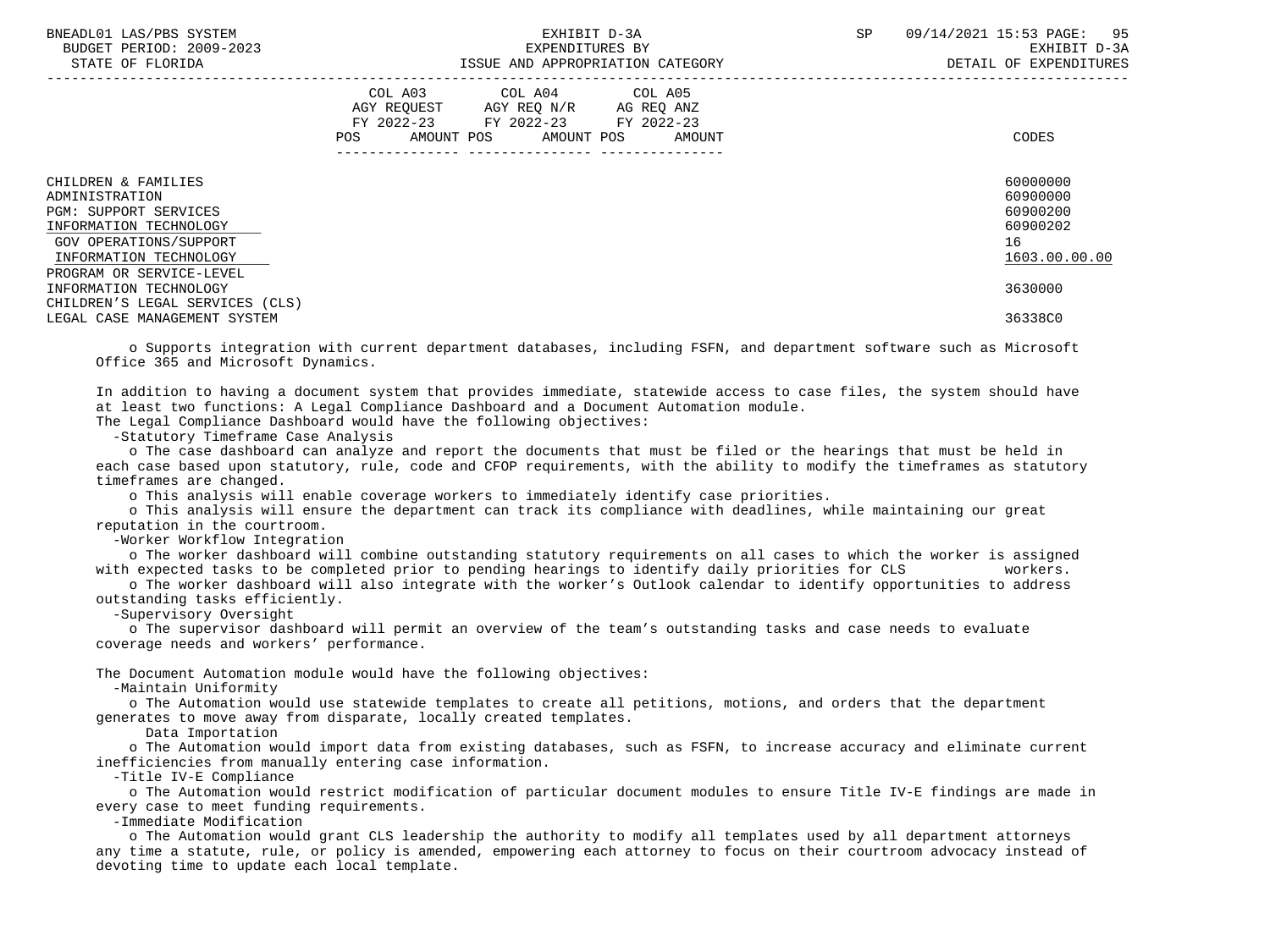| BNEADL01 LAS/PBS SYSTEM |                  |                          |
|-------------------------|------------------|--------------------------|
|                         |                  | BUDGET PERIOD: 2009-2023 |
|                         | STATE OF FLORIDA |                          |

|                                                                                                                                                                                                                                                                              | COL A03<br>AGY REOUEST<br>FY 2022-23<br>AMOUNT POS<br>POS | COL A04<br>AGY REQ N/R<br>FY 2022-23<br>AMOUNT POS | COL A05<br>AG REQ ANZ<br>FY 2022-23<br>AMOUNT | CODES                                                                                     |
|------------------------------------------------------------------------------------------------------------------------------------------------------------------------------------------------------------------------------------------------------------------------------|-----------------------------------------------------------|----------------------------------------------------|-----------------------------------------------|-------------------------------------------------------------------------------------------|
| CHILDREN & FAMILIES<br>ADMINISTRATION<br><b>PGM: SUPPORT SERVICES</b><br>INFORMATION TECHNOLOGY<br>GOV OPERATIONS/SUPPORT<br>INFORMATION TECHNOLOGY<br>PROGRAM OR SERVICE-LEVEL<br>INFORMATION TECHNOLOGY<br>CHILDREN'S LEGAL SERVICES (CLS)<br>LEGAL CASE MANAGEMENT SYSTEM |                                                           |                                                    |                                               | 60000000<br>60900000<br>60900200<br>60900202<br>16<br>1603.00.00.00<br>3630000<br>36338C0 |

 o Supports integration with current department databases, including FSFN, and department software such as Microsoft Office 365 and Microsoft Dynamics.

 In addition to having a document system that provides immediate, statewide access to case files, the system should have at least two functions: A Legal Compliance Dashboard and a Document Automation module.

The Legal Compliance Dashboard would have the following objectives:

-Statutory Timeframe Case Analysis

 o The case dashboard can analyze and report the documents that must be filed or the hearings that must be held in each case based upon statutory, rule, code and CFOP requirements, with the ability to modify the timeframes as statutory timeframes are changed.

o This analysis will enable coverage workers to immediately identify case priorities.

 o This analysis will ensure the department can track its compliance with deadlines, while maintaining our great reputation in the courtroom.

-Worker Workflow Integration

 o The worker dashboard will combine outstanding statutory requirements on all cases to which the worker is assigned with expected tasks to be completed prior to pending hearings to identify daily priorities for CLS workers.

 o The worker dashboard will also integrate with the worker's Outlook calendar to identify opportunities to address outstanding tasks efficiently.

-Supervisory Oversight

 o The supervisor dashboard will permit an overview of the team's outstanding tasks and case needs to evaluate coverage needs and workers' performance.

The Document Automation module would have the following objectives:

-Maintain Uniformity

 o The Automation would use statewide templates to create all petitions, motions, and orders that the department generates to move away from disparate, locally created templates.

Data Importation

 o The Automation would import data from existing databases, such as FSFN, to increase accuracy and eliminate current inefficiencies from manually entering case information.

-Title IV-E Compliance

 o The Automation would restrict modification of particular document modules to ensure Title IV-E findings are made in every case to meet funding requirements.

-Immediate Modification

 o The Automation would grant CLS leadership the authority to modify all templates used by all department attorneys any time a statute, rule, or policy is amended, empowering each attorney to focus on their courtroom advocacy instead of devoting time to update each local template.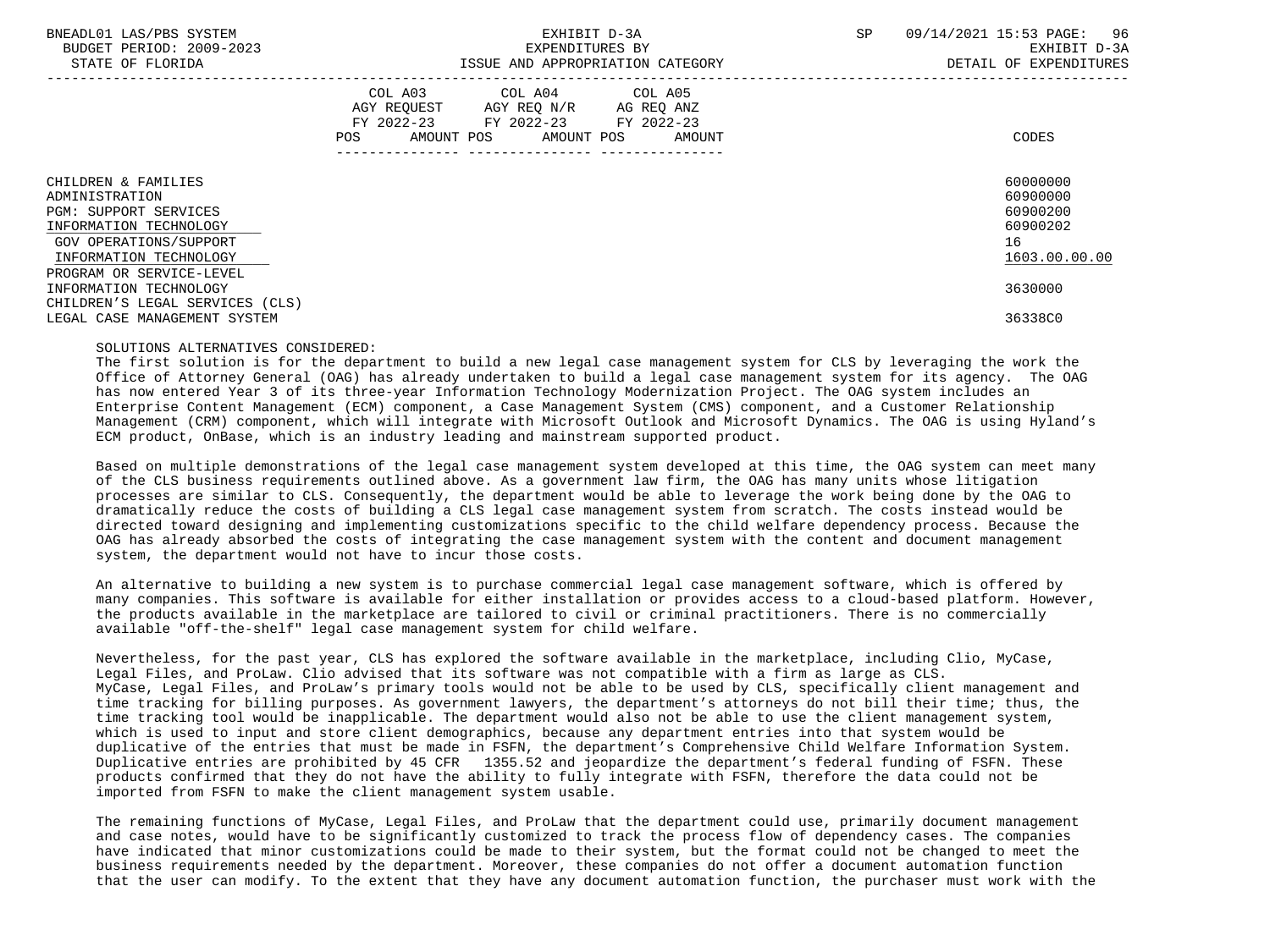## BNEADL01 LAS/PBS SYSTEM SALLER SALLER STEM SPORT STEMMENT D-3A SP 09/14/2021 15:53 PAGE: 96 BUDGET PERIOD: 2009-2023 EXPENDITURES BY EXHIBIT D-3A

| STATE OF FLORIDA                                                                                                                                                                | ISSUE AND APPROPRIATION CATEGORY                                                                                                                              | DETAIL OF EXPENDITURES                                              |
|---------------------------------------------------------------------------------------------------------------------------------------------------------------------------------|---------------------------------------------------------------------------------------------------------------------------------------------------------------|---------------------------------------------------------------------|
|                                                                                                                                                                                 | COL A03<br>COL A04<br>COL A05<br>AGY REOUEST<br>AGY REO N/R<br>AG REO ANZ<br>FY 2022-23<br>FY 2022-23 FY 2022-23<br>AMOUNT POS<br>AMOUNT POS<br>AMOUNT<br>POS | CODES                                                               |
| CHILDREN & FAMILIES<br>ADMINISTRATION<br><b>PGM: SUPPORT SERVICES</b><br>INFORMATION TECHNOLOGY<br>GOV OPERATIONS/SUPPORT<br>INFORMATION TECHNOLOGY<br>PROGRAM OR SERVICE-LEVEL |                                                                                                                                                               | 60000000<br>60900000<br>60900200<br>60900202<br>16<br>1603.00.00.00 |
| INFORMATION TECHNOLOGY<br>CHILDREN'S LEGAL SERVICES (CLS)                                                                                                                       |                                                                                                                                                               | 3630000                                                             |
| LEGAL CASE MANAGEMENT SYSTEM                                                                                                                                                    |                                                                                                                                                               | 36338C0                                                             |

### SOLUTIONS ALTERNATIVES CONSIDERED:

 The first solution is for the department to build a new legal case management system for CLS by leveraging the work the Office of Attorney General (OAG) has already undertaken to build a legal case management system for its agency. The OAG has now entered Year 3 of its three-year Information Technology Modernization Project. The OAG system includes an Enterprise Content Management (ECM) component, a Case Management System (CMS) component, and a Customer Relationship Management (CRM) component, which will integrate with Microsoft Outlook and Microsoft Dynamics. The OAG is using Hyland's ECM product, OnBase, which is an industry leading and mainstream supported product.

 Based on multiple demonstrations of the legal case management system developed at this time, the OAG system can meet many of the CLS business requirements outlined above. As a government law firm, the OAG has many units whose litigation processes are similar to CLS. Consequently, the department would be able to leverage the work being done by the OAG to dramatically reduce the costs of building a CLS legal case management system from scratch. The costs instead would be directed toward designing and implementing customizations specific to the child welfare dependency process. Because the OAG has already absorbed the costs of integrating the case management system with the content and document management system, the department would not have to incur those costs.

 An alternative to building a new system is to purchase commercial legal case management software, which is offered by many companies. This software is available for either installation or provides access to a cloud-based platform. However, the products available in the marketplace are tailored to civil or criminal practitioners. There is no commercially available "off-the-shelf" legal case management system for child welfare.

 Nevertheless, for the past year, CLS has explored the software available in the marketplace, including Clio, MyCase, Legal Files, and ProLaw. Clio advised that its software was not compatible with a firm as large as CLS. MyCase, Legal Files, and ProLaw's primary tools would not be able to be used by CLS, specifically client management and time tracking for billing purposes. As government lawyers, the department's attorneys do not bill their time; thus, the time tracking tool would be inapplicable. The department would also not be able to use the client management system, which is used to input and store client demographics, because any department entries into that system would be duplicative of the entries that must be made in FSFN, the department's Comprehensive Child Welfare Information System. Duplicative entries are prohibited by 45 CFR 1355.52 and jeopardize the department's federal funding of FSFN. These products confirmed that they do not have the ability to fully integrate with FSFN, therefore the data could not be imported from FSFN to make the client management system usable.

 The remaining functions of MyCase, Legal Files, and ProLaw that the department could use, primarily document management and case notes, would have to be significantly customized to track the process flow of dependency cases. The companies have indicated that minor customizations could be made to their system, but the format could not be changed to meet the business requirements needed by the department. Moreover, these companies do not offer a document automation function that the user can modify. To the extent that they have any document automation function, the purchaser must work with the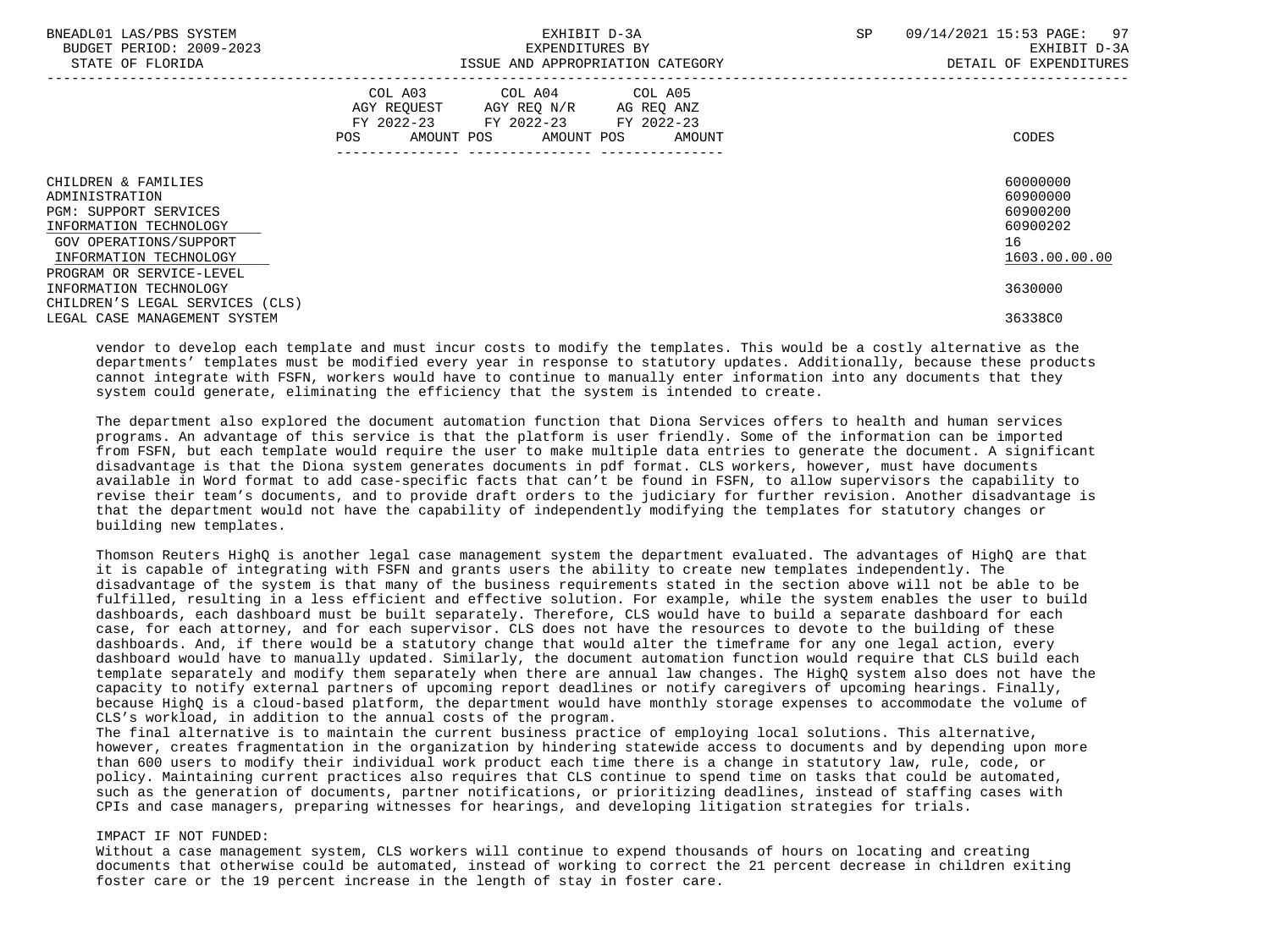| BNEADL01 LAS/PBS SYSTEM<br>BUDGET PERIOD: 2009-2023<br>STATE OF FLORIDA                                                                             | EXHIBIT D-3A<br>EXPENDITURES BY<br>ISSUE AND APPROPRIATION CATEGORY                                                                         | 09/14/2021 15:53 PAGE: 97<br><b>SP</b><br>EXHIBIT D-3A<br>DETAIL OF EXPENDITURES |
|-----------------------------------------------------------------------------------------------------------------------------------------------------|---------------------------------------------------------------------------------------------------------------------------------------------|----------------------------------------------------------------------------------|
|                                                                                                                                                     | COL A03 COL A04 COL A05<br>AGY REOUEST AGY REO N/R<br>AG REO ANZ<br>FY 2022-23 FY 2022-23 FY 2022-23<br>AMOUNT POS AMOUNT POS AMOUNT<br>POS | CODES                                                                            |
| CHILDREN & FAMILIES<br>ADMINISTRATION<br><b>PGM: SUPPORT SERVICES</b><br>INFORMATION TECHNOLOGY<br>GOV OPERATIONS/SUPPORT<br>INFORMATION TECHNOLOGY |                                                                                                                                             | 60000000<br>60900000<br>60900200<br>60900202<br>16<br>1603.00.00.00              |
| PROGRAM OR SERVICE-LEVEL<br>INFORMATION TECHNOLOGY<br>CHILDREN'S LEGAL SERVICES (CLS)<br>LEGAL CASE MANAGEMENT SYSTEM                               |                                                                                                                                             | 3630000<br>36338C0                                                               |

 vendor to develop each template and must incur costs to modify the templates. This would be a costly alternative as the departments' templates must be modified every year in response to statutory updates. Additionally, because these products cannot integrate with FSFN, workers would have to continue to manually enter information into any documents that they system could generate, eliminating the efficiency that the system is intended to create.

 The department also explored the document automation function that Diona Services offers to health and human services programs. An advantage of this service is that the platform is user friendly. Some of the information can be imported from FSFN, but each template would require the user to make multiple data entries to generate the document. A significant disadvantage is that the Diona system generates documents in pdf format. CLS workers, however, must have documents available in Word format to add case-specific facts that can't be found in FSFN, to allow supervisors the capability to revise their team's documents, and to provide draft orders to the judiciary for further revision. Another disadvantage is that the department would not have the capability of independently modifying the templates for statutory changes or building new templates.

 Thomson Reuters HighQ is another legal case management system the department evaluated. The advantages of HighQ are that it is capable of integrating with FSFN and grants users the ability to create new templates independently. The disadvantage of the system is that many of the business requirements stated in the section above will not be able to be fulfilled, resulting in a less efficient and effective solution. For example, while the system enables the user to build dashboards, each dashboard must be built separately. Therefore, CLS would have to build a separate dashboard for each case, for each attorney, and for each supervisor. CLS does not have the resources to devote to the building of these dashboards. And, if there would be a statutory change that would alter the timeframe for any one legal action, every dashboard would have to manually updated. Similarly, the document automation function would require that CLS build each template separately and modify them separately when there are annual law changes. The HighQ system also does not have the capacity to notify external partners of upcoming report deadlines or notify caregivers of upcoming hearings. Finally, because HighQ is a cloud-based platform, the department would have monthly storage expenses to accommodate the volume of CLS's workload, in addition to the annual costs of the program.

 The final alternative is to maintain the current business practice of employing local solutions. This alternative, however, creates fragmentation in the organization by hindering statewide access to documents and by depending upon more than 600 users to modify their individual work product each time there is a change in statutory law, rule, code, or policy. Maintaining current practices also requires that CLS continue to spend time on tasks that could be automated, such as the generation of documents, partner notifications, or prioritizing deadlines, instead of staffing cases with CPIs and case managers, preparing witnesses for hearings, and developing litigation strategies for trials.

### IMPACT IF NOT FUNDED:

 Without a case management system, CLS workers will continue to expend thousands of hours on locating and creating documents that otherwise could be automated, instead of working to correct the 21 percent decrease in children exiting foster care or the 19 percent increase in the length of stay in foster care.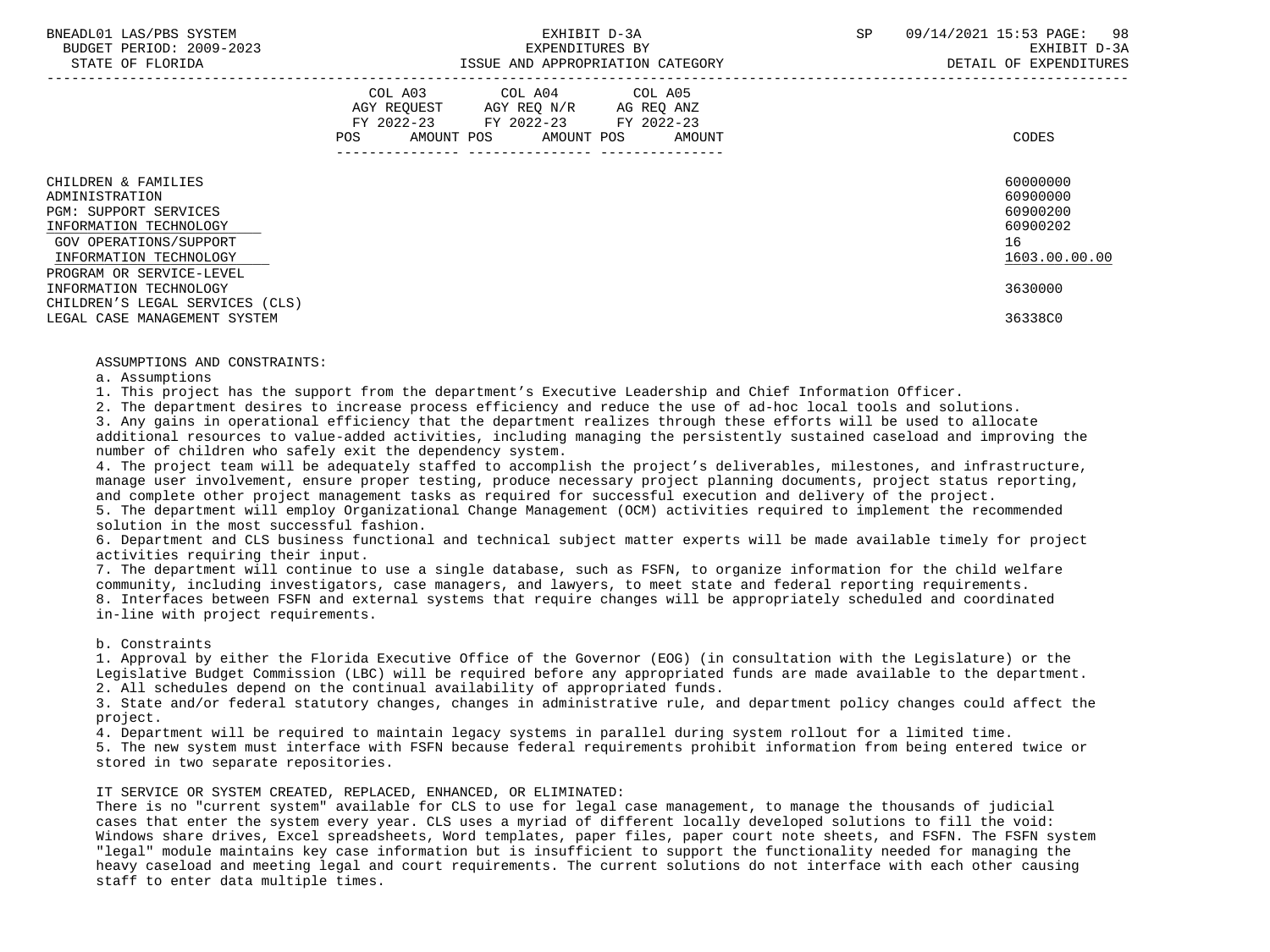# BUDGET PERIOD: 2009-2023 EXPENDITURES BY EXHIBIT D-3A

|                                                                                                                                                                                 | COL A03<br>AGY REOUEST<br>$FY$ 2022-23<br>AMOUNT POS<br>POS. | COL A04<br>AGY REQ N/R<br>FY 2022-23<br>AMOUNT POS | COL A05<br>AG REQ ANZ<br>FY 2022-23<br>AMOUNT | CODES                                                               |
|---------------------------------------------------------------------------------------------------------------------------------------------------------------------------------|--------------------------------------------------------------|----------------------------------------------------|-----------------------------------------------|---------------------------------------------------------------------|
| CHILDREN & FAMILIES<br>ADMINISTRATION<br><b>PGM: SUPPORT SERVICES</b><br>INFORMATION TECHNOLOGY<br>GOV OPERATIONS/SUPPORT<br>INFORMATION TECHNOLOGY<br>PROGRAM OR SERVICE-LEVEL |                                                              |                                                    |                                               | 60000000<br>60900000<br>60900200<br>60900202<br>16<br>1603.00.00.00 |
| INFORMATION TECHNOLOGY                                                                                                                                                          |                                                              |                                                    |                                               | 3630000                                                             |
| CHILDREN'S LEGAL SERVICES (CLS)<br>LEGAL CASE MANAGEMENT SYSTEM                                                                                                                 |                                                              |                                                    |                                               | 36338C0                                                             |

### ASSUMPTIONS AND CONSTRAINTS:

a. Assumptions

1. This project has the support from the department's Executive Leadership and Chief Information Officer.

2. The department desires to increase process efficiency and reduce the use of ad-hoc local tools and solutions.

 3. Any gains in operational efficiency that the department realizes through these efforts will be used to allocate additional resources to value-added activities, including managing the persistently sustained caseload and improving the number of children who safely exit the dependency system.

 4. The project team will be adequately staffed to accomplish the project's deliverables, milestones, and infrastructure, manage user involvement, ensure proper testing, produce necessary project planning documents, project status reporting, and complete other project management tasks as required for successful execution and delivery of the project.

 5. The department will employ Organizational Change Management (OCM) activities required to implement the recommended solution in the most successful fashion.

 6. Department and CLS business functional and technical subject matter experts will be made available timely for project activities requiring their input.

 7. The department will continue to use a single database, such as FSFN, to organize information for the child welfare community, including investigators, case managers, and lawyers, to meet state and federal reporting requirements.

 8. Interfaces between FSFN and external systems that require changes will be appropriately scheduled and coordinated in-line with project requirements.

b. Constraints

 1. Approval by either the Florida Executive Office of the Governor (EOG) (in consultation with the Legislature) or the Legislative Budget Commission (LBC) will be required before any appropriated funds are made available to the department. 2. All schedules depend on the continual availability of appropriated funds.

 3. State and/or federal statutory changes, changes in administrative rule, and department policy changes could affect the project.

4. Department will be required to maintain legacy systems in parallel during system rollout for a limited time.

 5. The new system must interface with FSFN because federal requirements prohibit information from being entered twice or stored in two separate repositories.

### IT SERVICE OR SYSTEM CREATED, REPLACED, ENHANCED, OR ELIMINATED:

There is no "current system" available for CLS to use for legal case management, to manage the thousands of judicial cases that enter the system every year. CLS uses a myriad of different locally developed solutions to fill the void: Windows share drives, Excel spreadsheets, Word templates, paper files, paper court note sheets, and FSFN. The FSFN system "legal" module maintains key case information but is insufficient to support the functionality needed for managing the heavy caseload and meeting legal and court requirements. The current solutions do not interface with each other causing staff to enter data multiple times.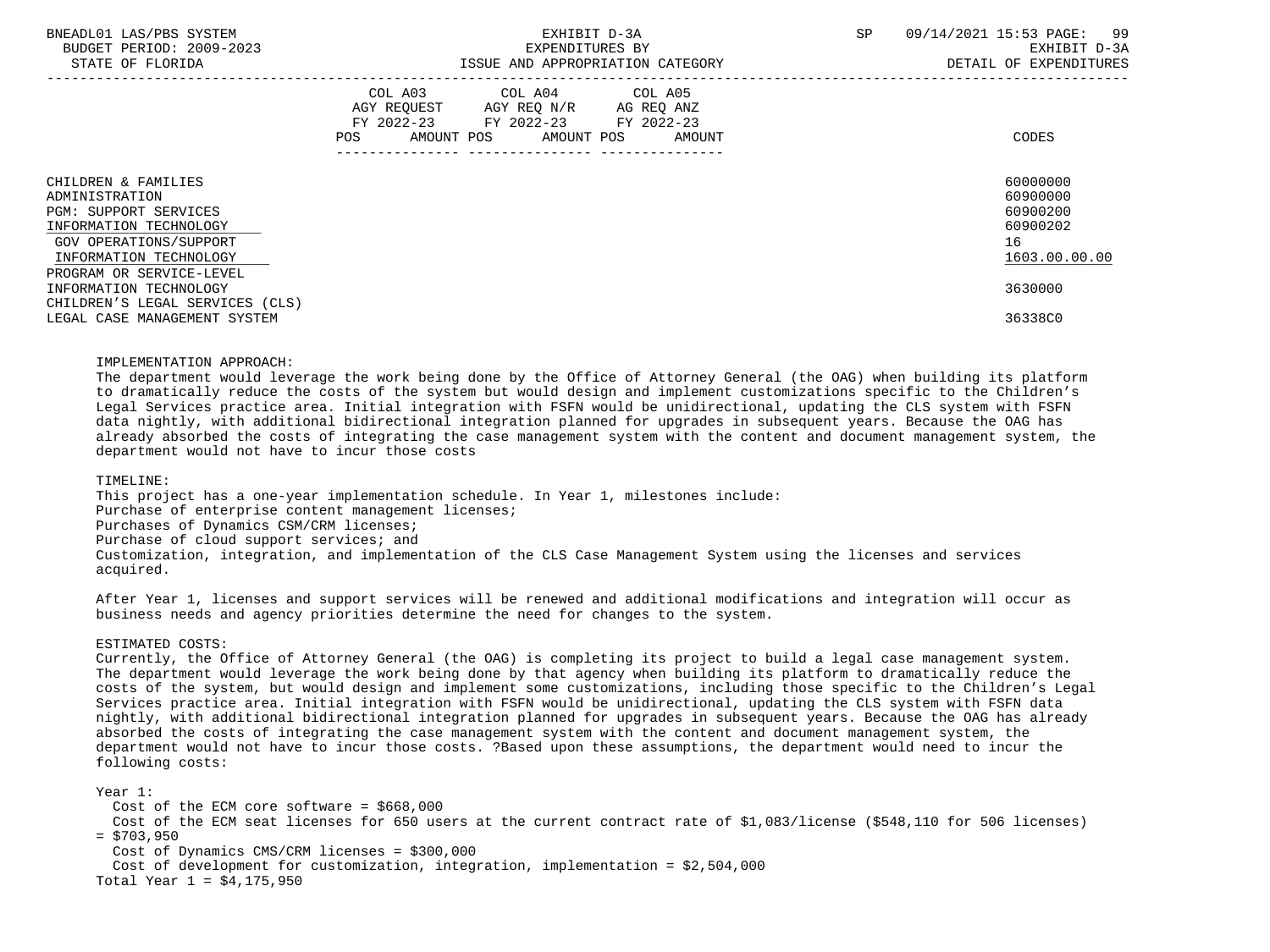| BNEADL01 LAS/PBS SYSTEM |                  |                          |
|-------------------------|------------------|--------------------------|
|                         |                  | BUDGET PERIOD: 2009-2023 |
|                         | STATE OF FLORIDA |                          |

|                                                                                                                                                                                 | COL A03<br>AGY REQUEST<br>$FY$ 2022-23<br>AMOUNT POS<br><b>POS</b> | COL A04<br>AGY REQ N/R<br>FY 2022-23<br>AMOUNT POS | COL A05<br>AG REQ ANZ<br>FY 2022-23<br>AMOUNT | CODES                                                               |
|---------------------------------------------------------------------------------------------------------------------------------------------------------------------------------|--------------------------------------------------------------------|----------------------------------------------------|-----------------------------------------------|---------------------------------------------------------------------|
| CHILDREN & FAMILIES<br>ADMINISTRATION<br><b>PGM: SUPPORT SERVICES</b><br>INFORMATION TECHNOLOGY<br>GOV OPERATIONS/SUPPORT<br>INFORMATION TECHNOLOGY<br>PROGRAM OR SERVICE-LEVEL |                                                                    |                                                    |                                               | 60000000<br>60900000<br>60900200<br>60900202<br>16<br>1603.00.00.00 |
| INFORMATION TECHNOLOGY<br>CHILDREN'S LEGAL SERVICES (CLS)                                                                                                                       |                                                                    |                                                    |                                               | 3630000                                                             |
| LEGAL CASE MANAGEMENT SYSTEM                                                                                                                                                    |                                                                    |                                                    |                                               | 36338C0                                                             |

### IMPLEMENTATION APPROACH:

 The department would leverage the work being done by the Office of Attorney General (the OAG) when building its platform to dramatically reduce the costs of the system but would design and implement customizations specific to the Children's Legal Services practice area. Initial integration with FSFN would be unidirectional, updating the CLS system with FSFN data nightly, with additional bidirectional integration planned for upgrades in subsequent years. Because the OAG has already absorbed the costs of integrating the case management system with the content and document management system, the department would not have to incur those costs

### TIMELINE:

 This project has a one-year implementation schedule. In Year 1, milestones include: Purchase of enterprise content management licenses; Purchases of Dynamics CSM/CRM licenses; Purchase of cloud support services; and Customization, integration, and implementation of the CLS Case Management System using the licenses and services acquired.

 After Year 1, licenses and support services will be renewed and additional modifications and integration will occur as business needs and agency priorities determine the need for changes to the system.

### ESTIMATED COSTS:

 Currently, the Office of Attorney General (the OAG) is completing its project to build a legal case management system. The department would leverage the work being done by that agency when building its platform to dramatically reduce the costs of the system, but would design and implement some customizations, including those specific to the Children's Legal Services practice area. Initial integration with FSFN would be unidirectional, updating the CLS system with FSFN data nightly, with additional bidirectional integration planned for upgrades in subsequent years. Because the OAG has already absorbed the costs of integrating the case management system with the content and document management system, the department would not have to incur those costs. ?Based upon these assumptions, the department would need to incur the following costs:

Year 1:

Cost of the ECM core software =  $$668,000$ 

 Cost of the ECM seat licenses for 650 users at the current contract rate of \$1,083/license (\$548,110 for 506 licenses)  $=$  \$703,950

Cost of Dynamics CMS/CRM licenses = \$300,000

Cost of development for customization, integration, implementation =  $$2,504,000$ 

Total Year 1 = \$4,175,950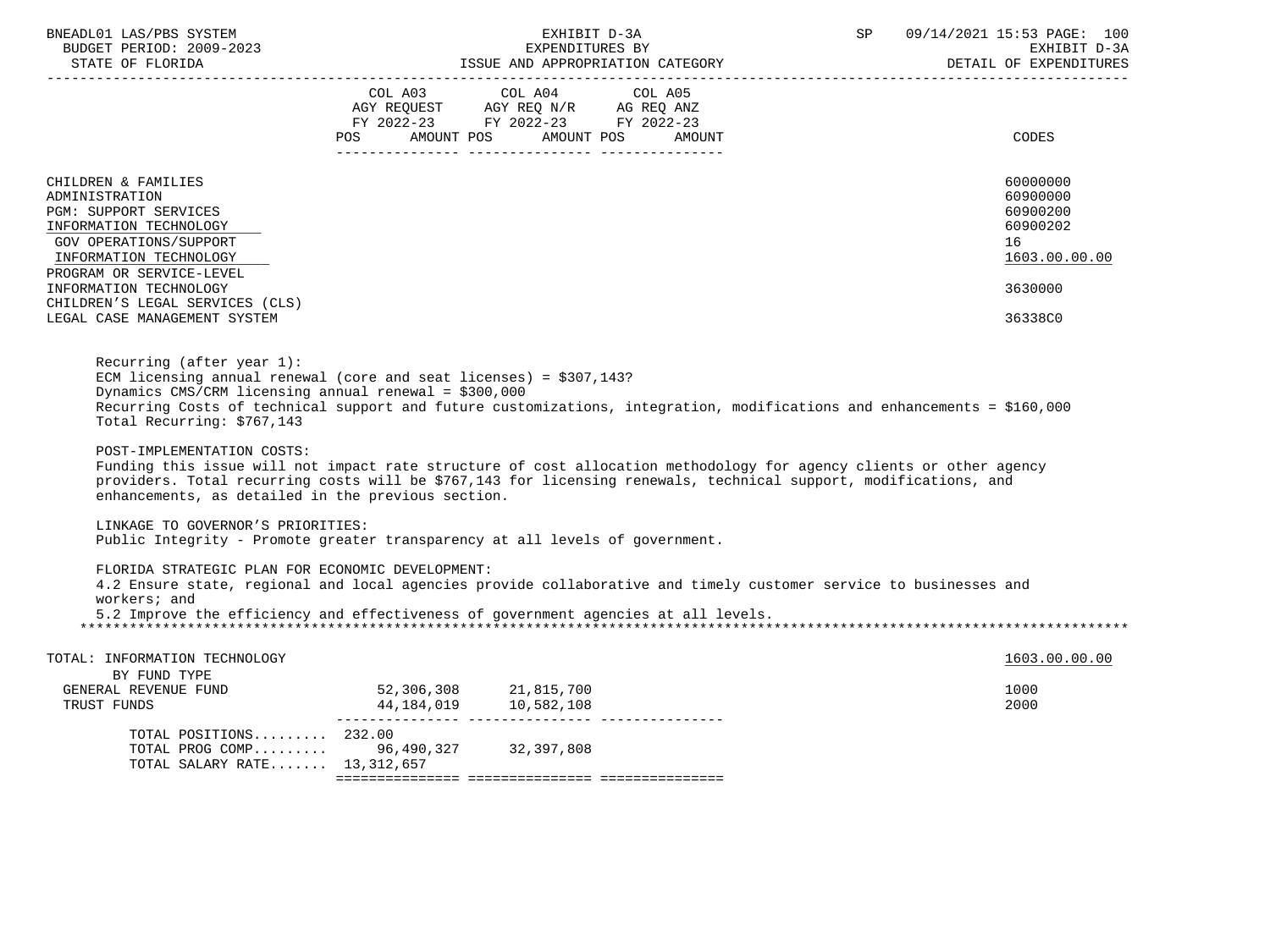| BNEADL01 LAS/PBS SYSTEM<br>BUDGET PERIOD: 2009-2023<br>STATE OF FLORIDA                                                                                                                                                                                                                                                     |                                                                                                                               | EXHIBIT D-3A | SP | 09/14/2021 15:53 PAGE: 100<br>EXHIBIT D-3A<br>DETAIL OF EXPENDITURES           |
|-----------------------------------------------------------------------------------------------------------------------------------------------------------------------------------------------------------------------------------------------------------------------------------------------------------------------------|-------------------------------------------------------------------------------------------------------------------------------|--------------|----|--------------------------------------------------------------------------------|
|                                                                                                                                                                                                                                                                                                                             | COL A03 COL A04<br>AGY REQUEST AGY REQ N/R AG REQ ANZ<br>FY 2022-23 FY 2022-23 FY 2022-23<br>POS AMOUNT POS AMOUNT POS AMOUNT | COL A05      |    | CODES                                                                          |
| CHILDREN & FAMILIES<br>ADMINISTRATION<br>PGM: SUPPORT SERVICES<br>INFORMATION TECHNOLOGY<br><b>GOV OPERATIONS/SUPPORT</b><br>INFORMATION TECHNOLOGY<br>PROGRAM OR SERVICE-LEVEL<br>INFORMATION TECHNOLOGY<br>CHILDREN'S LEGAL SERVICES (CLS)                                                                                |                                                                                                                               |              |    | 60000000<br>60900000<br>60900200<br>60900202<br>16<br>1603.00.00.00<br>3630000 |
| LEGAL CASE MANAGEMENT SYSTEM<br>Recurring (after year $1$ ):                                                                                                                                                                                                                                                                |                                                                                                                               |              |    | 36338C0                                                                        |
| ECM licensing annual renewal (core and seat licenses) = $$307,143$ ?<br>Dynamics CMS/CRM licensing annual renewal = $$300,000$<br>Recurring Costs of technical support and future customizations, integration, modifications and enhancements = \$160,000<br>Total Recurring: \$767,143                                     |                                                                                                                               |              |    |                                                                                |
| POST-IMPLEMENTATION COSTS:<br>Funding this issue will not impact rate structure of cost allocation methodology for agency clients or other agency<br>providers. Total recurring costs will be \$767,143 for licensing renewals, technical support, modifications, and<br>enhancements, as detailed in the previous section. |                                                                                                                               |              |    |                                                                                |
| LINKAGE TO GOVERNOR'S PRIORITIES:<br>Public Integrity - Promote greater transparency at all levels of government.                                                                                                                                                                                                           |                                                                                                                               |              |    |                                                                                |
| FLORIDA STRATEGIC PLAN FOR ECONOMIC DEVELOPMENT:<br>4.2 Ensure state, regional and local agencies provide collaborative and timely customer service to businesses and<br>workers; and<br>5.2 Improve the efficiency and effectiveness of government agencies at all levels.                                                 |                                                                                                                               |              |    |                                                                                |
| TOTAL: INFORMATION TECHNOLOGY<br>BY FUND TYPE                                                                                                                                                                                                                                                                               |                                                                                                                               |              |    | 1603.00.00.00                                                                  |
| GENERAL REVENUE FUND<br>TRUST FUNDS<br>TRUST FUNDS                                                                                                                                                                                                                                                                          | 52,306,308 21,815,700<br>44, 184, 019 10, 582, 108                                                                            |              |    | 1000<br>2000                                                                   |
| TOTAL POSITIONS $232.00$<br>TOTAL PROG COMP 96,490,327 32,397,808<br>TOTAL SALARY RATE 13,312,657                                                                                                                                                                                                                           |                                                                                                                               |              |    |                                                                                |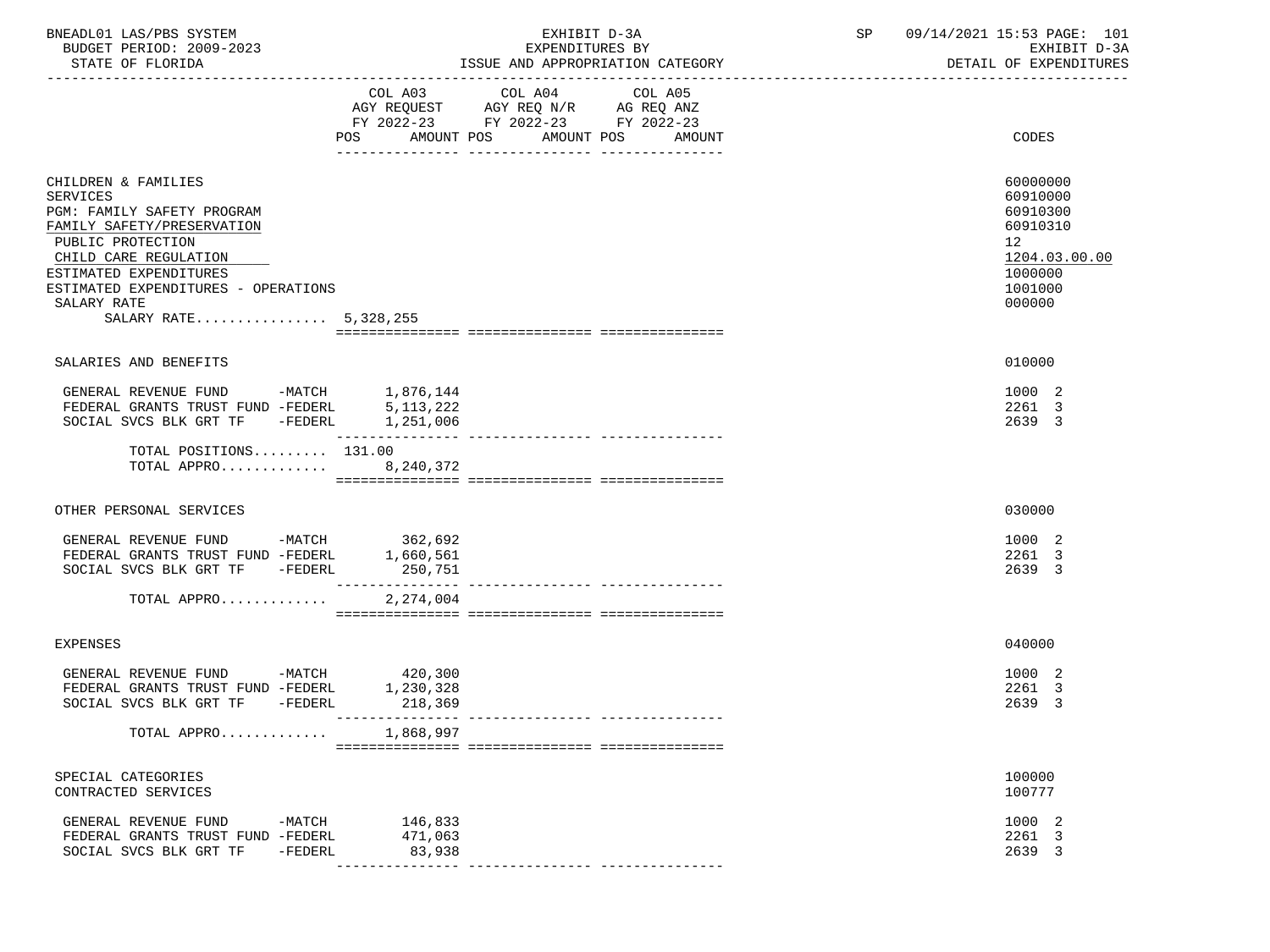| BNEADL01 LAS/PBS SYSTEM |                  |                          |  | EXHIBIT D-3A                     |  |
|-------------------------|------------------|--------------------------|--|----------------------------------|--|
|                         |                  | BUDGET PERIOD: 2009-2023 |  | EXPENDITURES BY                  |  |
|                         | STATE OF FLORIDA |                          |  | ISSUE AND APPROPRIATION CATEGORY |  |

|                                                                                                                                                                                                                                                    | COL A03 COL A04<br>AGY REQUEST AGY REQ N/R AG REQ ANZ<br>FY 2022-23 FY 2022-23 FY 2022-23 | COL A05<br>POS AMOUNT POS AMOUNT POS AMOUNT | CODES                                                                                               |
|----------------------------------------------------------------------------------------------------------------------------------------------------------------------------------------------------------------------------------------------------|-------------------------------------------------------------------------------------------|---------------------------------------------|-----------------------------------------------------------------------------------------------------|
|                                                                                                                                                                                                                                                    |                                                                                           |                                             |                                                                                                     |
| CHILDREN & FAMILIES<br>SERVICES<br>PGM: FAMILY SAFETY PROGRAM<br>FAMILY SAFETY/PRESERVATION<br>PUBLIC PROTECTION<br>CHILD CARE REGULATION<br>ESTIMATED EXPENDITURES<br>ESTIMATED EXPENDITURES - OPERATIONS<br>SALARY RATE<br>SALARY RATE 5,328,255 |                                                                                           |                                             | 60000000<br>60910000<br>60910300<br>60910310<br>12<br>1204.03.00.00<br>1000000<br>1001000<br>000000 |
|                                                                                                                                                                                                                                                    |                                                                                           |                                             |                                                                                                     |
| SALARIES AND BENEFITS                                                                                                                                                                                                                              |                                                                                           |                                             | 010000                                                                                              |
| GENERAL REVENUE FUND -MATCH 1,876,144<br>FEDERAL GRANTS TRUST FUND -FEDERL<br>SOCIAL SVCS BLK GRT TF -FEDERL 1,251,006                                                                                                                             | 5,113,222                                                                                 |                                             | 1000 2<br>2261 3<br>2639 3                                                                          |
| TOTAL POSITIONS $131.00$<br>TOTAL APPRO 8,240,372                                                                                                                                                                                                  |                                                                                           |                                             |                                                                                                     |
| OTHER PERSONAL SERVICES                                                                                                                                                                                                                            |                                                                                           |                                             | 030000                                                                                              |
| GENERAL REVENUE FUND -MATCH 362,692<br>FEDERAL GRANTS TRUST FUND -FEDERL<br>SOCIAL SVCS BLK GRT TF -FEDERL                                                                                                                                         | 1,660,561<br>250,751                                                                      |                                             | 1000 2<br>2261 3<br>2639 3                                                                          |
| TOTAL APPRO                                                                                                                                                                                                                                        | 2,274,004                                                                                 |                                             |                                                                                                     |
| <b>EXPENSES</b>                                                                                                                                                                                                                                    |                                                                                           |                                             | 040000                                                                                              |
| GENERAL REVENUE FUND -MATCH<br>FEDERAL GRANTS TRUST FUND -FEDERL<br>SOCIAL SVCS BLK GRT TF -FEDERL                                                                                                                                                 | 420,300<br>1,230,328                                                                      |                                             | 1000 2<br>2261 3<br>2639 3                                                                          |
| TOTAL APPRO                                                                                                                                                                                                                                        | 1,868,997                                                                                 |                                             |                                                                                                     |
| SPECIAL CATEGORIES<br>CONTRACTED SERVICES                                                                                                                                                                                                          |                                                                                           |                                             | 100000<br>100777                                                                                    |
| GENERAL REVENUE FUND -MATCH<br>FEDERAL GRANTS TRUST FUND -FEDERL<br>SOCIAL SVCS BLK GRT TF -FEDERL                                                                                                                                                 | 146,833<br>471,063<br>83,938                                                              |                                             | 1000 2<br>2261 3<br>2639 3                                                                          |

--------------- --------------- ---------------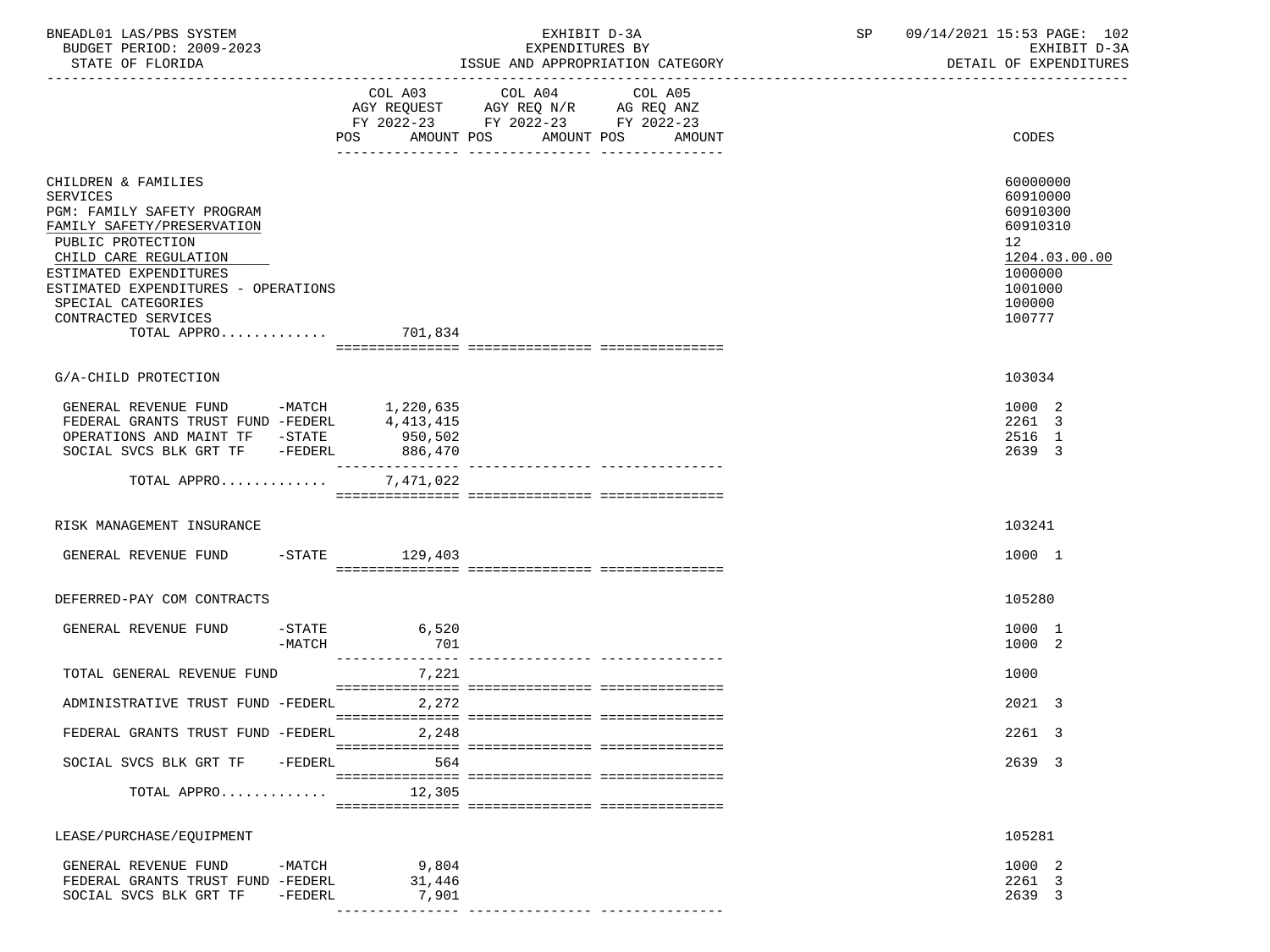| BNEADL01 LAS/PBS SYSTEM<br>BUDGET PERIOD: 2009-2023<br>STATE OF FLORIDA                                                                                                                                                                                                               |                     |                          | EXHIBIT D-3A<br>EXPENDITURES BY<br>ISSUE AND APPROPRIATION CATEGORY                                                       | SP 09/14/2021 15:53 PAGE: 102<br>EXHIBIT D-3A<br>DETAIL OF EXPENDITURES                                       |
|---------------------------------------------------------------------------------------------------------------------------------------------------------------------------------------------------------------------------------------------------------------------------------------|---------------------|--------------------------|---------------------------------------------------------------------------------------------------------------------------|---------------------------------------------------------------------------------------------------------------|
|                                                                                                                                                                                                                                                                                       |                     | AMOUNT POS               | COL A03 COL A04 COL A05<br>AGY REQUEST AGY REQ N/R AG REQ ANZ<br>FY 2022-23 FY 2022-23 FY 2022-23<br>AMOUNT POS<br>AMOUNT | CODES                                                                                                         |
| CHILDREN & FAMILIES<br><b>SERVICES</b><br>PGM: FAMILY SAFETY PROGRAM<br>FAMILY SAFETY/PRESERVATION<br>PUBLIC PROTECTION<br>CHILD CARE REGULATION<br>ESTIMATED EXPENDITURES<br>ESTIMATED EXPENDITURES - OPERATIONS<br>SPECIAL CATEGORIES<br>CONTRACTED SERVICES<br>TOTAL APPRO 701,834 |                     |                          |                                                                                                                           | 60000000<br>60910000<br>60910300<br>60910310<br>12<br>1204.03.00.00<br>1000000<br>1001000<br>100000<br>100777 |
| G/A-CHILD PROTECTION                                                                                                                                                                                                                                                                  |                     |                          |                                                                                                                           | 103034                                                                                                        |
| GENERAL REVENUE FUND -MATCH $1,220,635$<br>FEDERAL GRANTS TRUST FUND -FEDERL $4,413,415$<br>OPERATIONS AND MAINT TF -STATE 950,502<br>SOCIAL SVCS BLK GRT TF -FEDERL                                                                                                                  |                     | 886,470                  |                                                                                                                           | 1000 2<br>2261 3<br>2516 1<br>2639 3                                                                          |
| TOTAL APPRO 7,471,022                                                                                                                                                                                                                                                                 |                     |                          |                                                                                                                           |                                                                                                               |
| RISK MANAGEMENT INSURANCE                                                                                                                                                                                                                                                             |                     |                          |                                                                                                                           | 103241                                                                                                        |
| GENERAL REVENUE FUND                                                                                                                                                                                                                                                                  |                     | $-STATE$ 129,403         |                                                                                                                           | 1000 1                                                                                                        |
| DEFERRED-PAY COM CONTRACTS                                                                                                                                                                                                                                                            |                     |                          |                                                                                                                           | 105280                                                                                                        |
| GENERAL REVENUE FUND                                                                                                                                                                                                                                                                  | -MATCH              | $-STATE$ 6,520<br>701    |                                                                                                                           | 1000 1<br>1000 2                                                                                              |
| TOTAL GENERAL REVENUE FUND                                                                                                                                                                                                                                                            |                     | _______________<br>7,221 |                                                                                                                           | 1000                                                                                                          |
| ADMINISTRATIVE TRUST FUND -FEDERL                                                                                                                                                                                                                                                     |                     | 2,272                    |                                                                                                                           | 2021 3                                                                                                        |
| FEDERAL GRANTS TRUST FUND -FEDERL                                                                                                                                                                                                                                                     |                     | 2,248                    |                                                                                                                           | 2261 3                                                                                                        |
| SOCIAL SVCS BLK GRT TF                                                                                                                                                                                                                                                                | -FEDERL             | 564                      |                                                                                                                           | 2639 3                                                                                                        |
| TOTAL APPRO                                                                                                                                                                                                                                                                           |                     | 12,305                   |                                                                                                                           |                                                                                                               |
| LEASE/PURCHASE/EQUIPMENT                                                                                                                                                                                                                                                              |                     |                          |                                                                                                                           | 105281                                                                                                        |
| GENERAL REVENUE FUND<br>FEDERAL GRANTS TRUST FUND -FEDERL<br>SOCIAL SVCS BLK GRT TF                                                                                                                                                                                                   | -MATCH<br>$-FEDERL$ | 9,804<br>31,446<br>7,901 |                                                                                                                           | 1000 2<br>2261 3<br>2639 3                                                                                    |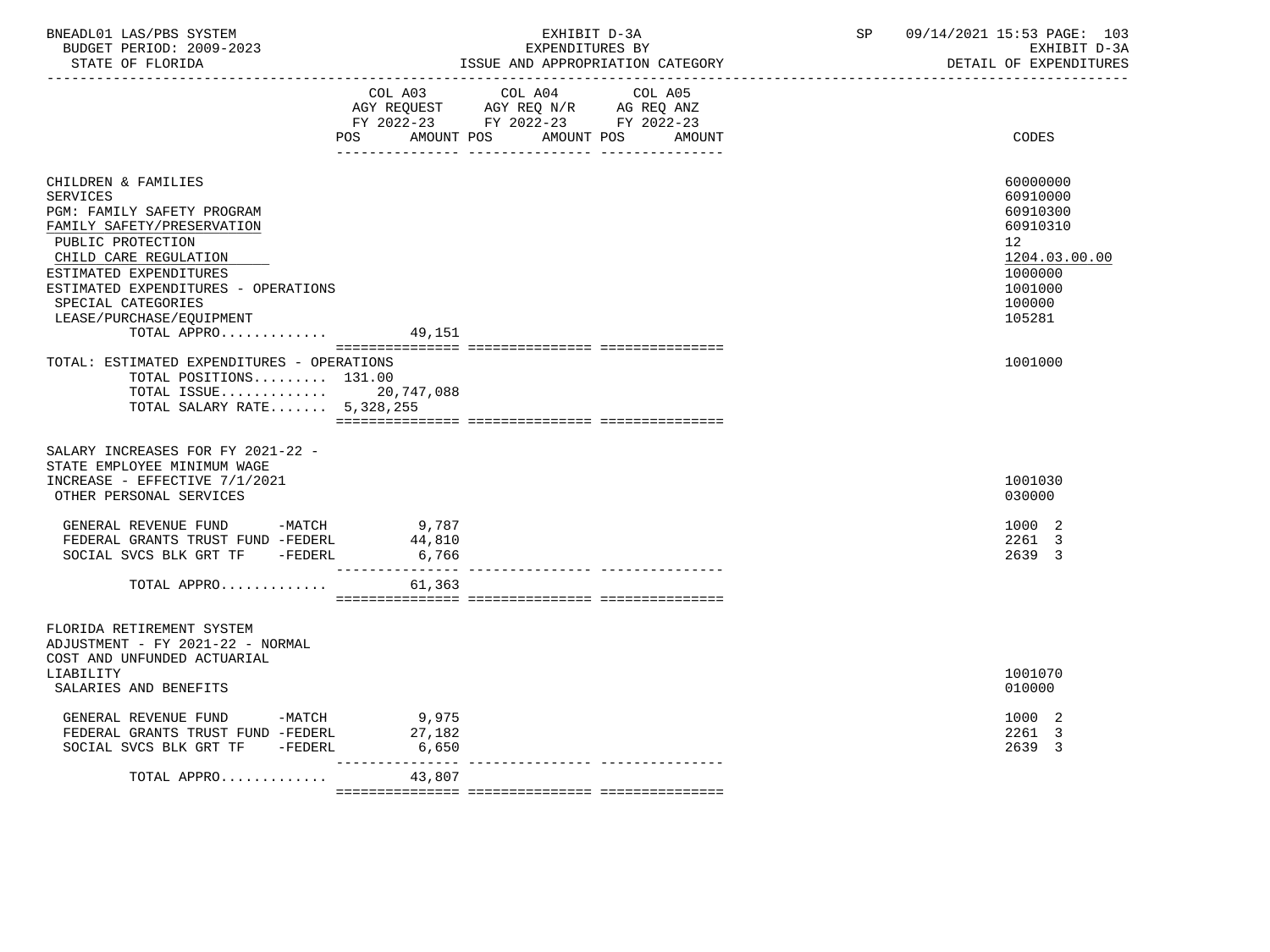| BNEADL01 LAS/PBS SYSTEM<br>BUDGET PERIOD: 2009-2023<br>STATE OF FLORIDA                                                                                                                                                                                                            |                                         | EXHIBIT D-3A<br>EXPENDITURES BY                                                                   | ISSUE AND APPROPRIATION CATEGORY | SP | 09/14/2021 15:53 PAGE: 103<br>EXHIBIT D-3A<br>DETAIL OF EXPENDITURES                                          |
|------------------------------------------------------------------------------------------------------------------------------------------------------------------------------------------------------------------------------------------------------------------------------------|-----------------------------------------|---------------------------------------------------------------------------------------------------|----------------------------------|----|---------------------------------------------------------------------------------------------------------------|
|                                                                                                                                                                                                                                                                                    | <b>POS</b><br>AMOUNT POS                | COL A03 COL A04 COL A05<br>AGY REQUEST AGY REQ N/R AG REQ ANZ<br>FY 2022-23 FY 2022-23 FY 2022-23 | AMOUNT POS<br>AMOUNT             |    | CODES                                                                                                         |
| CHILDREN & FAMILIES<br><b>SERVICES</b><br>PGM: FAMILY SAFETY PROGRAM<br>FAMILY SAFETY/PRESERVATION<br>PUBLIC PROTECTION<br>CHILD CARE REGULATION<br>ESTIMATED EXPENDITURES<br>ESTIMATED EXPENDITURES - OPERATIONS<br>SPECIAL CATEGORIES<br>LEASE/PURCHASE/EQUIPMENT<br>TOTAL APPRO | 49,151                                  |                                                                                                   |                                  |    | 60000000<br>60910000<br>60910300<br>60910310<br>12<br>1204.03.00.00<br>1000000<br>1001000<br>100000<br>105281 |
| TOTAL: ESTIMATED EXPENDITURES - OPERATIONS<br>TOTAL POSITIONS 131.00<br>TOTAL ISSUE 20,747,088<br>TOTAL SALARY RATE 5,328,255                                                                                                                                                      |                                         |                                                                                                   |                                  |    | 1001000                                                                                                       |
| SALARY INCREASES FOR FY 2021-22 -<br>STATE EMPLOYEE MINIMUM WAGE<br>INCREASE - EFFECTIVE 7/1/2021<br>OTHER PERSONAL SERVICES                                                                                                                                                       |                                         |                                                                                                   |                                  |    | 1001030<br>030000                                                                                             |
| GENERAL REVENUE FUND -MATCH<br>FEDERAL GRANTS TRUST FUND -FEDERL<br>SOCIAL SVCS BLK GRT TF - FEDERL<br>TOTAL APPRO                                                                                                                                                                 | $9,787$<br>44 ° 10<br>6,766<br>61,363   |                                                                                                   |                                  |    | 1000 2<br>2261 3<br>2639 3                                                                                    |
| FLORIDA RETIREMENT SYSTEM<br>ADJUSTMENT - FY 2021-22 - NORMAL<br>COST AND UNFUNDED ACTUARIAL<br>LIABILITY<br>SALARIES AND BENEFITS<br>GENERAL REVENUE FUND -MATCH                                                                                                                  | 9,975                                   |                                                                                                   |                                  |    | 1001070<br>010000<br>1000 2                                                                                   |
| FEDERAL GRANTS TRUST FUND -FEDERL<br>SOCIAL SVCS BLK GRT TF -FEDERL<br>TOTAL APPRO                                                                                                                                                                                                 | 27,182<br>6,650<br>__________<br>43,807 |                                                                                                   |                                  |    | 2261 3<br>2639 3                                                                                              |
|                                                                                                                                                                                                                                                                                    |                                         |                                                                                                   |                                  |    |                                                                                                               |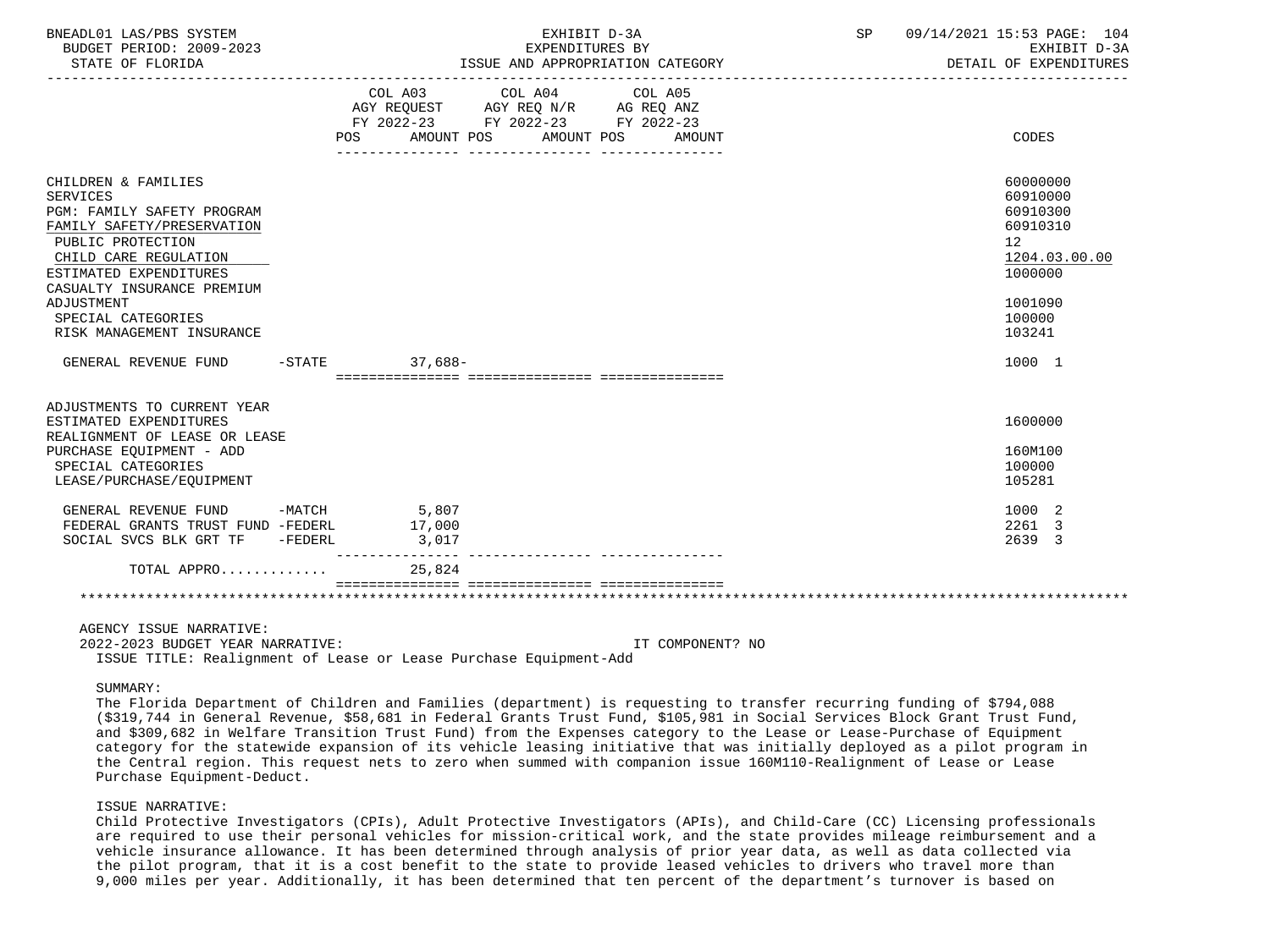| BNEADL01 LAS/PBS SYSTEM<br>BUDGET PERIOD: 2009-2023<br>STATE OF FLORIDA                                                                                                                                         | EXHIBIT D-3A<br>EXPENDITURES BY<br>ISSUE AND APPROPRIATION CATEGORY                                                                      | SP 09/14/2021 15:53 PAGE: 104<br>EXHIBIT D-3A<br>DETAIL OF EXPENDITURES        |
|-----------------------------------------------------------------------------------------------------------------------------------------------------------------------------------------------------------------|------------------------------------------------------------------------------------------------------------------------------------------|--------------------------------------------------------------------------------|
|                                                                                                                                                                                                                 | COL A03 COL A04 COL A05<br>AGY REQUEST AGY REQ N/R AG REQ ANZ<br>FY 2022-23 FY 2022-23 FY 2022-23<br>POS AMOUNT POS AMOUNT POS<br>AMOUNT | CODES                                                                          |
| CHILDREN & FAMILIES<br><b>SERVICES</b><br><b>PGM: FAMILY SAFETY PROGRAM</b><br>FAMILY SAFETY/PRESERVATION<br>PUBLIC PROTECTION<br>CHILD CARE REGULATION<br>ESTIMATED EXPENDITURES<br>CASUALTY INSURANCE PREMIUM |                                                                                                                                          | 60000000<br>60910000<br>60910300<br>60910310<br>12<br>1204.03.00.00<br>1000000 |
| ADJUSTMENT<br>SPECIAL CATEGORIES<br>RISK MANAGEMENT INSURANCE                                                                                                                                                   |                                                                                                                                          | 1001090<br>100000<br>103241                                                    |
| GENERAL REVENUE FUND -STATE                                                                                                                                                                                     | $37.688 -$                                                                                                                               | 1000 1                                                                         |
| ADJUSTMENTS TO CURRENT YEAR<br>ESTIMATED EXPENDITURES<br>REALIGNMENT OF LEASE OR LEASE                                                                                                                          |                                                                                                                                          | 1600000                                                                        |
| PURCHASE EQUIPMENT - ADD<br>SPECIAL CATEGORIES<br>LEASE/PURCHASE/EOUIPMENT                                                                                                                                      |                                                                                                                                          | 160M100<br>100000<br>105281                                                    |
| GENERAL REVENUE FUND -MATCH 5,807<br>FEDERAL GRANTS TRUST FUND -FEDERL<br>SOCIAL SVCS BLK GRT TF -FEDERL                                                                                                        | 17,000<br>3,017                                                                                                                          | 1000 2<br>2261 3<br>2639 3                                                     |
| TOTAL APPRO                                                                                                                                                                                                     | 25,824                                                                                                                                   |                                                                                |
|                                                                                                                                                                                                                 |                                                                                                                                          |                                                                                |
| AGENCY ISSUE NARRATIVE:<br>2022-2023 BUDGET YEAR NARRATIVE:                                                                                                                                                     | IT COMPONENT? NO                                                                                                                         |                                                                                |

 2022-2023 BUDGET YEAR NARRATIVE: IT COMPONENT? NO ISSUE TITLE: Realignment of Lease or Lease Purchase Equipment-Add

### SUMMARY:

 The Florida Department of Children and Families (department) is requesting to transfer recurring funding of \$794,088 (\$319,744 in General Revenue, \$58,681 in Federal Grants Trust Fund, \$105,981 in Social Services Block Grant Trust Fund, and \$309,682 in Welfare Transition Trust Fund) from the Expenses category to the Lease or Lease-Purchase of Equipment category for the statewide expansion of its vehicle leasing initiative that was initially deployed as a pilot program in the Central region. This request nets to zero when summed with companion issue 160M110-Realignment of Lease or Lease Purchase Equipment-Deduct.

### ISSUE NARRATIVE:

 Child Protective Investigators (CPIs), Adult Protective Investigators (APIs), and Child-Care (CC) Licensing professionals are required to use their personal vehicles for mission-critical work, and the state provides mileage reimbursement and a vehicle insurance allowance. It has been determined through analysis of prior year data, as well as data collected via the pilot program, that it is a cost benefit to the state to provide leased vehicles to drivers who travel more than 9,000 miles per year. Additionally, it has been determined that ten percent of the department's turnover is based on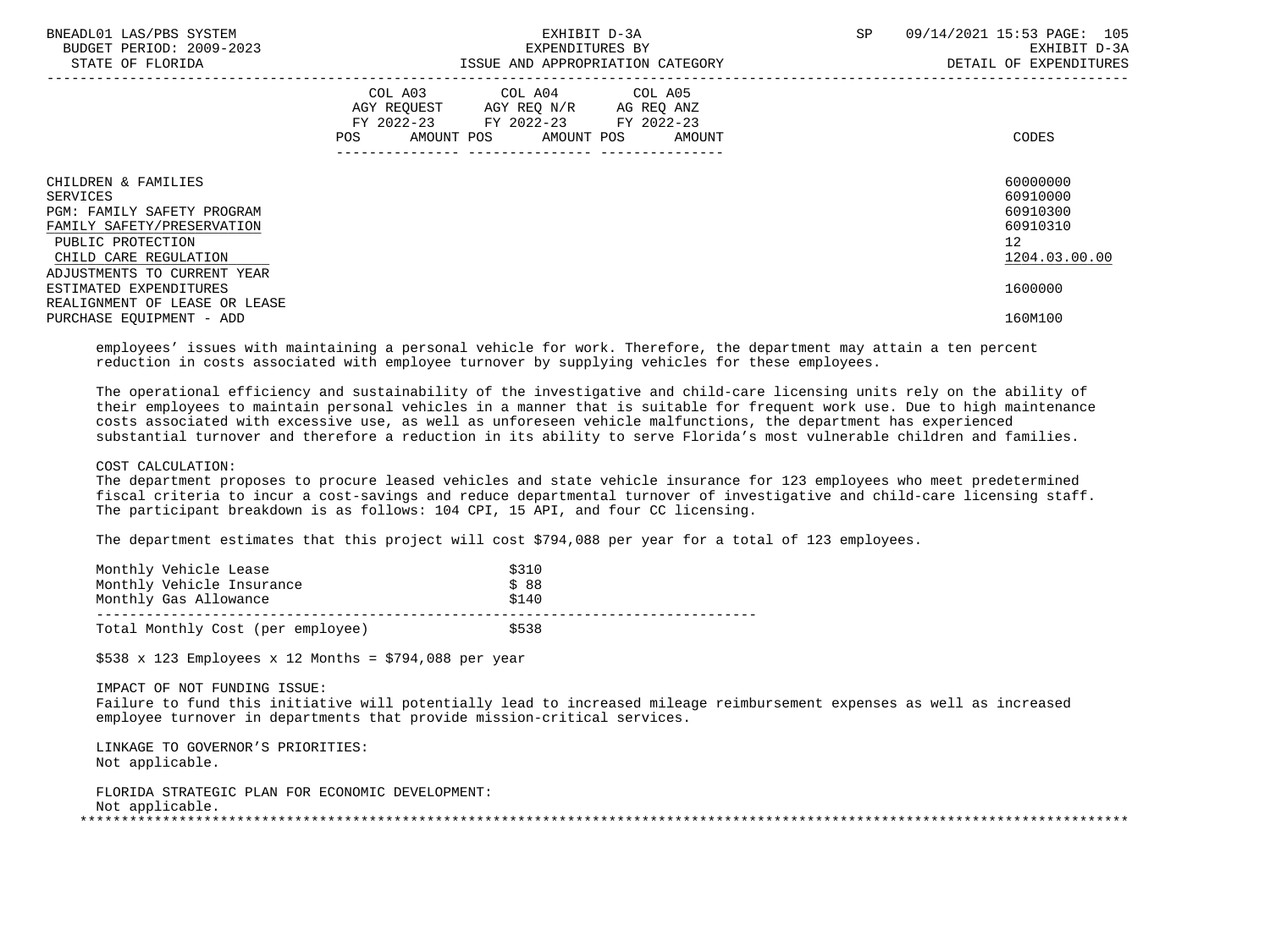| BNEADL01 LAS/PBS SYSTEM<br>BUDGET PERIOD: 2009-2023<br>STATE OF FLORIDA                                                                          | EXHIBIT D-3A<br>EXPENDITURES BY<br>ISSUE AND APPROPRIATION CATEGORY                                                                                                                                                                                 | 09/14/2021 15:53 PAGE: 105<br>SP<br>EXHIBIT D-3A<br>DETAIL OF EXPENDITURES       |
|--------------------------------------------------------------------------------------------------------------------------------------------------|-----------------------------------------------------------------------------------------------------------------------------------------------------------------------------------------------------------------------------------------------------|----------------------------------------------------------------------------------|
|                                                                                                                                                  | COL A03 COL A04 COL A05<br>AGY REQUEST AGY REQ N/R AG REQ ANZ<br>FY 2022-23 FY 2022-23 FY 2022-23<br>AMOUNT POS AMOUNT POS AMOUNT<br>POS FOR THE POST OF THE STATE STATE STATE STATE STATE STATE STATE STATE STATE STATE STATE STATE STATE STATE ST | CODES                                                                            |
| CHILDREN & FAMILIES<br>SERVICES<br><b>PGM: FAMILY SAFETY PROGRAM</b><br>FAMILY SAFETY/PRESERVATION<br>PUBLIC PROTECTION<br>CHILD CARE REGULATION |                                                                                                                                                                                                                                                     | 60000000<br>60910000<br>60910300<br>60910310<br>12 <sup>°</sup><br>1204.03.00.00 |
| ADJUSTMENTS TO CURRENT YEAR<br>ESTIMATED EXPENDITURES<br>REALIGNMENT OF LEASE OR LEASE<br>PURCHASE EQUIPMENT - ADD                               |                                                                                                                                                                                                                                                     | 1600000<br>160M100                                                               |

 employees' issues with maintaining a personal vehicle for work. Therefore, the department may attain a ten percent reduction in costs associated with employee turnover by supplying vehicles for these employees.

 The operational efficiency and sustainability of the investigative and child-care licensing units rely on the ability of their employees to maintain personal vehicles in a manner that is suitable for frequent work use. Due to high maintenance costs associated with excessive use, as well as unforeseen vehicle malfunctions, the department has experienced substantial turnover and therefore a reduction in its ability to serve Florida's most vulnerable children and families.

### COST CALCULATION:

 The department proposes to procure leased vehicles and state vehicle insurance for 123 employees who meet predetermined fiscal criteria to incur a cost-savings and reduce departmental turnover of investigative and child-care licensing staff. The participant breakdown is as follows: 104 CPI, 15 API, and four CC licensing.

The department estimates that this project will cost \$794,088 per year for a total of 123 employees.

| Monthly Vehicle Lease<br>Monthly Vehicle Insurance<br>Monthly Gas Allowance | \$310<br>\$88<br>\$140 |  |
|-----------------------------------------------------------------------------|------------------------|--|
| Total Monthly Cost (per employee)                                           | \$538                  |  |

 $$538 \times 123$  Employees x 12 Months = \$794,088 per year

IMPACT OF NOT FUNDING ISSUE:

 Failure to fund this initiative will potentially lead to increased mileage reimbursement expenses as well as increased employee turnover in departments that provide mission-critical services.

 LINKAGE TO GOVERNOR'S PRIORITIES: Not applicable.

 FLORIDA STRATEGIC PLAN FOR ECONOMIC DEVELOPMENT: Not applicable. \*\*\*\*\*\*\*\*\*\*\*\*\*\*\*\*\*\*\*\*\*\*\*\*\*\*\*\*\*\*\*\*\*\*\*\*\*\*\*\*\*\*\*\*\*\*\*\*\*\*\*\*\*\*\*\*\*\*\*\*\*\*\*\*\*\*\*\*\*\*\*\*\*\*\*\*\*\*\*\*\*\*\*\*\*\*\*\*\*\*\*\*\*\*\*\*\*\*\*\*\*\*\*\*\*\*\*\*\*\*\*\*\*\*\*\*\*\*\*\*\*\*\*\*\*\*\*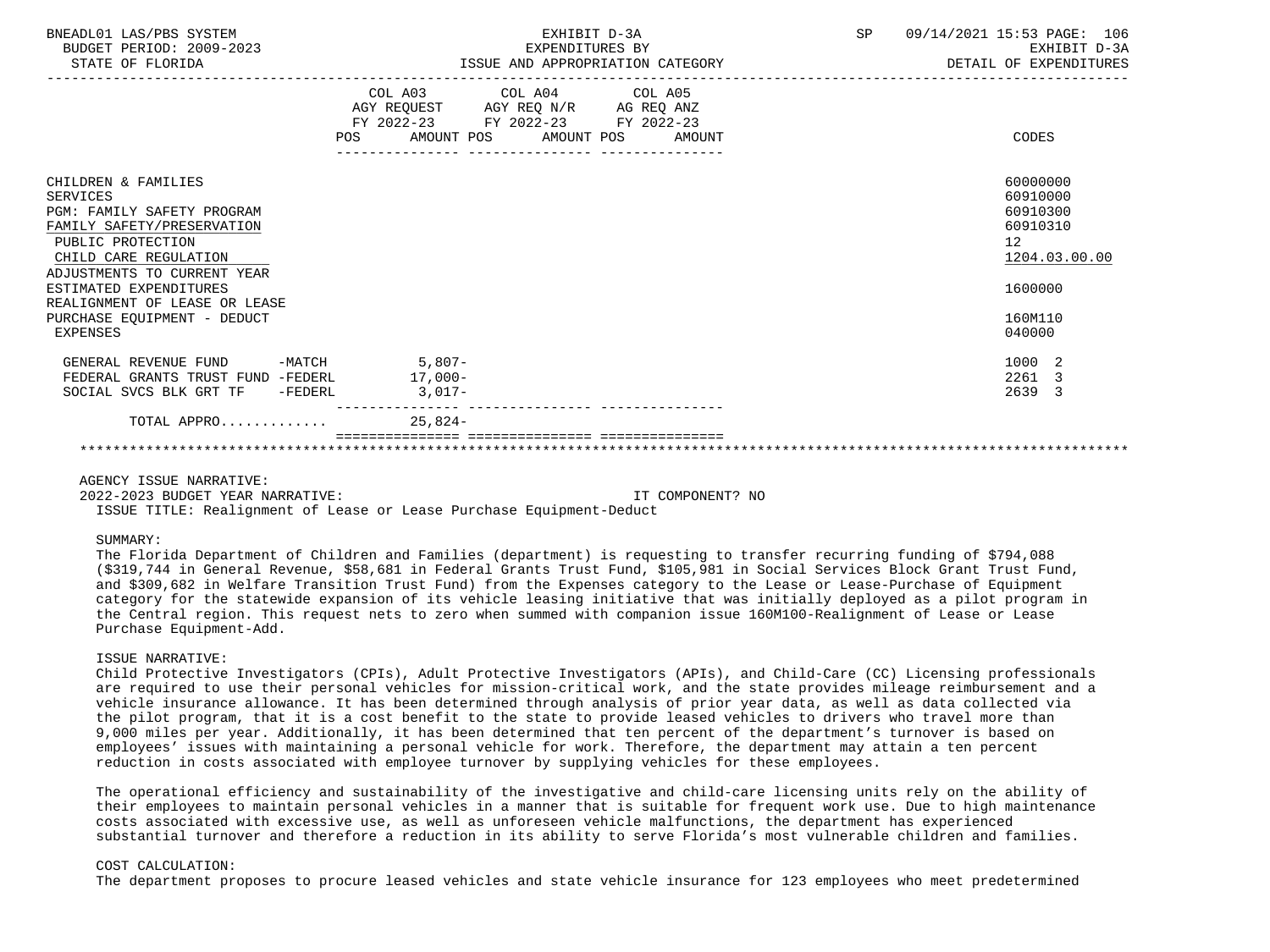| BNEADL01 LAS/PBS SYSTEM<br>BUDGET PERIOD: 2009-2023<br>STATE OF FLORIDA                                                                                                                            | EXHIBIT D-3A<br>EXPENDITURES BY<br>EXPENDITURES BY<br>ISSUE AND APPROPRIATION CATEGORY                                                   | SP | 09/14/2021 15:53 PAGE: 106<br>EXHIBIT D-3A<br>DETAIL OF EXPENDITURES           |
|----------------------------------------------------------------------------------------------------------------------------------------------------------------------------------------------------|------------------------------------------------------------------------------------------------------------------------------------------|----|--------------------------------------------------------------------------------|
|                                                                                                                                                                                                    | COL A03 COL A04 COL A05<br>AGY REQUEST AGY REQ N/R AG REQ ANZ<br>FY 2022-23 FY 2022-23 FY 2022-23<br>AMOUNT POS AMOUNT POS AMOUNT<br>POS |    | CODES                                                                          |
| CHILDREN & FAMILIES<br>SERVICES<br>PGM: FAMILY SAFETY PROGRAM<br>FAMILY SAFETY/PRESERVATION<br>PUBLIC PROTECTION<br>CHILD CARE REGULATION<br>ADJUSTMENTS TO CURRENT YEAR<br>ESTIMATED EXPENDITURES |                                                                                                                                          |    | 60000000<br>60910000<br>60910300<br>60910310<br>12<br>1204.03.00.00<br>1600000 |
| REALIGNMENT OF LEASE OR LEASE<br>PURCHASE EQUIPMENT - DEDUCT<br>EXPENSES                                                                                                                           |                                                                                                                                          |    | 160M110<br>040000                                                              |
| GENERAL REVENUE FUND -MATCH 5,807-<br>FEDERAL GRANTS TRUST FUND -FEDERL 17,000-<br>SOCIAL SVCS BLK GRT TF -FEDERL                                                                                  | $3,017-$                                                                                                                                 |    | 1000 2<br>2261 3<br>2639 3                                                     |
| TOTAL APPRO $\ldots \ldots \ldots$                                                                                                                                                                 |                                                                                                                                          |    |                                                                                |
|                                                                                                                                                                                                    |                                                                                                                                          |    |                                                                                |

AGENCY ISSUE NARRATIVE:

 2022-2023 BUDGET YEAR NARRATIVE: IT COMPONENT? NO ISSUE TITLE: Realignment of Lease or Lease Purchase Equipment-Deduct

### SUMMARY:

 The Florida Department of Children and Families (department) is requesting to transfer recurring funding of \$794,088 (\$319,744 in General Revenue, \$58,681 in Federal Grants Trust Fund, \$105,981 in Social Services Block Grant Trust Fund, and \$309,682 in Welfare Transition Trust Fund) from the Expenses category to the Lease or Lease-Purchase of Equipment category for the statewide expansion of its vehicle leasing initiative that was initially deployed as a pilot program in the Central region. This request nets to zero when summed with companion issue 160M100-Realignment of Lease or Lease Purchase Equipment-Add.

### ISSUE NARRATIVE:

 Child Protective Investigators (CPIs), Adult Protective Investigators (APIs), and Child-Care (CC) Licensing professionals are required to use their personal vehicles for mission-critical work, and the state provides mileage reimbursement and a vehicle insurance allowance. It has been determined through analysis of prior year data, as well as data collected via the pilot program, that it is a cost benefit to the state to provide leased vehicles to drivers who travel more than 9,000 miles per year. Additionally, it has been determined that ten percent of the department's turnover is based on employees' issues with maintaining a personal vehicle for work. Therefore, the department may attain a ten percent reduction in costs associated with employee turnover by supplying vehicles for these employees.

 The operational efficiency and sustainability of the investigative and child-care licensing units rely on the ability of their employees to maintain personal vehicles in a manner that is suitable for frequent work use. Due to high maintenance costs associated with excessive use, as well as unforeseen vehicle malfunctions, the department has experienced substantial turnover and therefore a reduction in its ability to serve Florida's most vulnerable children and families.

### COST CALCULATION:

The department proposes to procure leased vehicles and state vehicle insurance for 123 employees who meet predetermined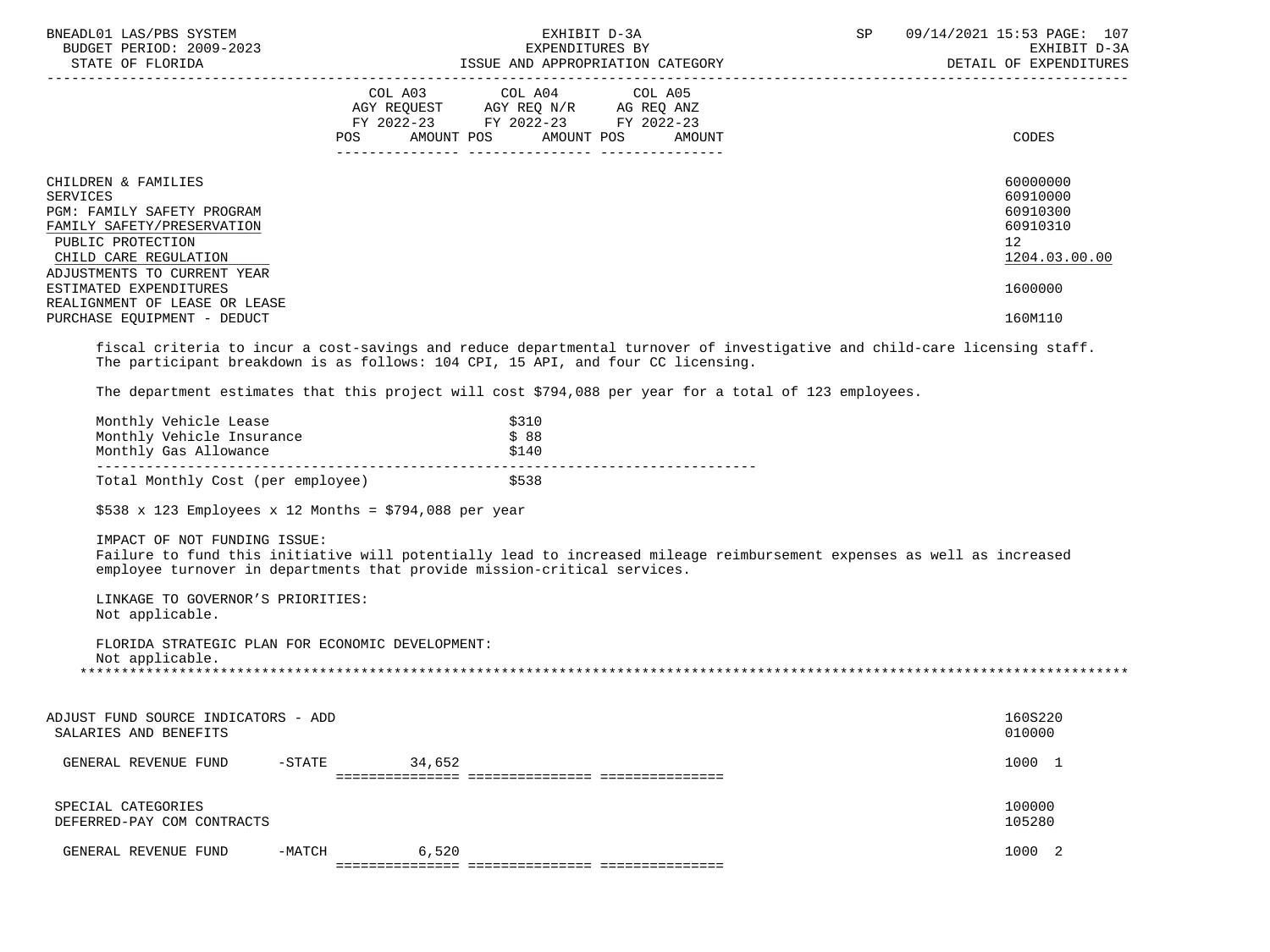| BNEADL01 LAS/PBS SYSTEM<br>BUDGET PERIOD: 2009-2023<br>STATE OF FLORIDA                                                                                                                                                                                                                                                                                                                         |                                                               | EXHIBIT D-3A<br>EXPENDITURES BY                               | ISSUE AND APPROPRIATION CATEGORY | SP | 09/14/2021 15:53 PAGE: 107<br>EXHIBIT D-3A<br>DETAIL OF EXPENDITURES                                   |
|-------------------------------------------------------------------------------------------------------------------------------------------------------------------------------------------------------------------------------------------------------------------------------------------------------------------------------------------------------------------------------------------------|---------------------------------------------------------------|---------------------------------------------------------------|----------------------------------|----|--------------------------------------------------------------------------------------------------------|
|                                                                                                                                                                                                                                                                                                                                                                                                 | FY 2022-23 FY 2022-23 FY 2022-23<br>POS AMOUNT POS AMOUNT POS | COL A03 COL A04 COL A05<br>AGY REQUEST AGY REQ N/R AG REQ ANZ | AMOUNT                           |    | CODES                                                                                                  |
| CHILDREN & FAMILIES<br>SERVICES<br>PGM: FAMILY SAFETY PROGRAM<br>FAMILY SAFETY/PRESERVATION<br>PUBLIC PROTECTION<br>CHILD CARE REGULATION<br>ADJUSTMENTS TO CURRENT YEAR<br>ESTIMATED EXPENDITURES<br>REALIGNMENT OF LEASE OR LEASE<br>PURCHASE EOUIPMENT - DEDUCT<br>fiscal criteria to incur a cost-savings and reduce departmental turnover of investigative and child-care licensing staff. |                                                               |                                                               |                                  |    | 60000000<br>60910000<br>60910300<br>60910310<br>12 <sup>°</sup><br>1204.03.00.00<br>1600000<br>160M110 |
| The participant breakdown is as follows: 104 CPI, 15 API, and four CC licensing.<br>The department estimates that this project will cost \$794,088 per year for a total of 123 employees.                                                                                                                                                                                                       |                                                               |                                                               |                                  |    |                                                                                                        |
| Monthly Vehicle Lease<br>Monthly Vehicle Insurance                                                                                                                                                                                                                                                                                                                                              |                                                               | \$310<br>\$88                                                 |                                  |    |                                                                                                        |
| Total Monthly Cost (per employee)                                                                                                                                                                                                                                                                                                                                                               |                                                               | \$538                                                         |                                  |    |                                                                                                        |
| \$538 x 123 Employees x 12 Months = \$794,088 per year                                                                                                                                                                                                                                                                                                                                          |                                                               |                                                               |                                  |    |                                                                                                        |
| IMPACT OF NOT FUNDING ISSUE:<br>Failure to fund this initiative will potentially lead to increased mileage reimbursement expenses as well as increased<br>employee turnover in departments that provide mission-critical services.                                                                                                                                                              |                                                               |                                                               |                                  |    |                                                                                                        |
| LINKAGE TO GOVERNOR'S PRIORITIES:<br>Not applicable.                                                                                                                                                                                                                                                                                                                                            |                                                               |                                                               |                                  |    |                                                                                                        |
| FLORIDA STRATEGIC PLAN FOR ECONOMIC DEVELOPMENT:<br>Not applicable.                                                                                                                                                                                                                                                                                                                             |                                                               |                                                               |                                  |    |                                                                                                        |
| ADJUST FUND SOURCE INDICATORS - ADD<br>SALARIES AND BENEFITS                                                                                                                                                                                                                                                                                                                                    |                                                               |                                                               |                                  |    | 160S220<br>010000                                                                                      |
| GENERAL REVENUE FUND<br>$-$ STATE                                                                                                                                                                                                                                                                                                                                                               | 34,652                                                        |                                                               |                                  |    | 1000 1                                                                                                 |
| SPECIAL CATEGORIES<br>DEFERRED-PAY COM CONTRACTS                                                                                                                                                                                                                                                                                                                                                |                                                               |                                                               |                                  |    | 100000<br>105280                                                                                       |

GENERAL REVENUE FUND -MATCH 6,520 6 6 0 1000 2 =============== =============== ===============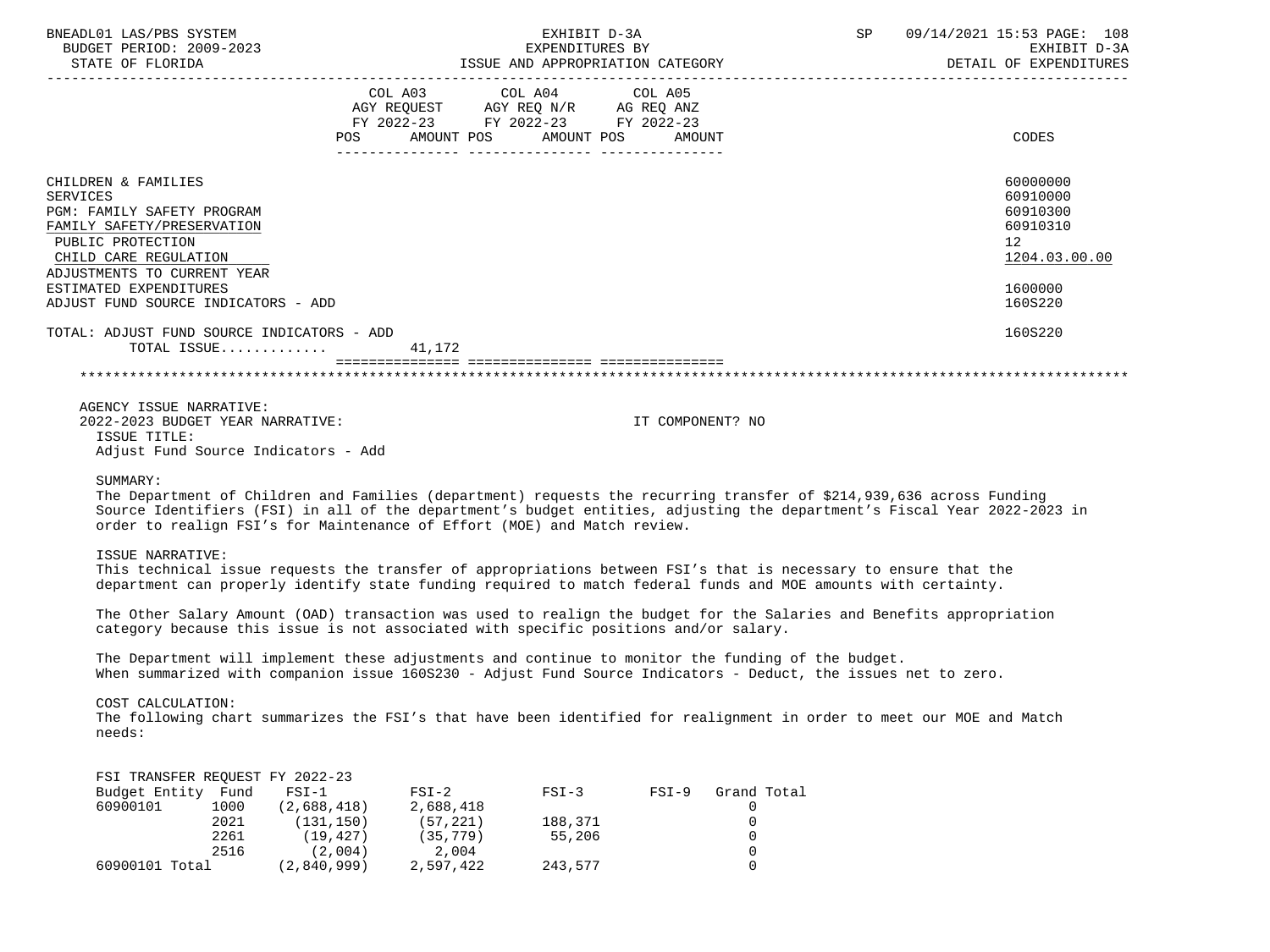| BNEADL01 LAS/PBS SYSTEM<br>BUDGET PERIOD: 2009-2023                                                                                                                                                                                              | EXHIBIT D-3A<br>EXPENDITURES BY<br>EXALUELY PROPERTION ON BAPENDITION OF SUPERVIOUS SUPPROPRIATION CATEGORY<br>DETAIL OF EXPENDITION TESUE AND APPROPRIATION CATEGORY DETAIL OF EXPENDITION OF EXERENT                                                                                                                                                                                                                                                                                                                                                      | SP 09/14/2021 15:53 PAGE: 108<br>EXHIBIT D-3A<br>DETAIL OF EXPENDITURES                   |
|--------------------------------------------------------------------------------------------------------------------------------------------------------------------------------------------------------------------------------------------------|-------------------------------------------------------------------------------------------------------------------------------------------------------------------------------------------------------------------------------------------------------------------------------------------------------------------------------------------------------------------------------------------------------------------------------------------------------------------------------------------------------------------------------------------------------------|-------------------------------------------------------------------------------------------|
|                                                                                                                                                                                                                                                  | $\begin{tabular}{lllllllllll} \multicolumn{4}{l}{{\small\textsf{COL A03}}} & $\hspace{6pt}{\small\textsf{COL A04}}$ & $\hspace{6pt}{\small\textsf{COL A05}}$ \\ \multicolumn{4}{l}{\small\textsf{AGY REQUEST}}$ & $\hspace{6pt}\textsf{AGY REQ N/R}$ & $\hspace{6pt}\textsf{AG REQ ANZ}$ \\ \multicolumn{4}{l}{\small\textsf{AG REQUEST}}$ & $\hspace{6pt}\textsf{AGY REQ N/R}$ & $\hspace{6pt}\textsf{AG REQ ANZ}$ \\ \multicolumn{4}{l}{\small\textsf{AG R01}}$ & $\hspace{6pt}\$<br>FY 2022-23 FY 2022-23 FY 2022-23<br>POS AMOUNT POS AMOUNT POS AMOUNT | CODES                                                                                     |
| CHILDREN & FAMILIES<br><b>SERVICES</b><br>PGM: FAMILY SAFETY PROGRAM<br>FAMILY SAFETY/PRESERVATION<br>PUBLIC PROTECTION<br>CHILD CARE REGULATION<br>ADJUSTMENTS TO CURRENT YEAR<br>ESTIMATED EXPENDITURES<br>ADJUST FUND SOURCE INDICATORS - ADD |                                                                                                                                                                                                                                                                                                                                                                                                                                                                                                                                                             | 60000000<br>60910000<br>60910300<br>60910310<br>12<br>1204.03.00.00<br>1600000<br>160S220 |
| TOTAL: ADJUST FUND SOURCE INDICATORS - ADD                                                                                                                                                                                                       |                                                                                                                                                                                                                                                                                                                                                                                                                                                                                                                                                             | 160S220                                                                                   |
| TOTAL ISSUE                                                                                                                                                                                                                                      | 41,172                                                                                                                                                                                                                                                                                                                                                                                                                                                                                                                                                      |                                                                                           |
|                                                                                                                                                                                                                                                  |                                                                                                                                                                                                                                                                                                                                                                                                                                                                                                                                                             |                                                                                           |
| AGENCY ISSUE NARRATIVE:<br>2022-2023 BUDGET YEAR NARRATIVE:<br>ISSUE TITLE:<br>Adjust Fund Source Indicators - Add                                                                                                                               | IT COMPONENT? NO                                                                                                                                                                                                                                                                                                                                                                                                                                                                                                                                            |                                                                                           |
| SUMMARY:                                                                                                                                                                                                                                         | The Department of Children and Families (department) requests the recurring transfer of \$214,939,636 across Funding<br>Source Identifiers (FSI) in all of the department's budget entities, adjusting the department's Fiscal Year 2022-2023 in<br>order to realign FSI's for Maintenance of Effort (MOE) and Match review.                                                                                                                                                                                                                                |                                                                                           |
| ISSUE NARRATIVE:                                                                                                                                                                                                                                 | This technical issue requests the transfer of appropriations between FSI's that is necessary to ensure that the<br>department can properly identify state funding required to match federal funds and MOE amounts with certainty.                                                                                                                                                                                                                                                                                                                           |                                                                                           |
|                                                                                                                                                                                                                                                  | The Other Salary Amount (OAD) transaction was used to realign the budget for the Salaries and Benefits appropriation<br>category because this issue is not associated with specific positions and/or salary.                                                                                                                                                                                                                                                                                                                                                |                                                                                           |
|                                                                                                                                                                                                                                                  | The Department will implement these adjustments and continue to monitor the funding of the budget.<br>When summarized with companion issue 160S230 - Adjust Fund Source Indicators - Deduct, the issues net to zero.                                                                                                                                                                                                                                                                                                                                        |                                                                                           |
| COST CALCULATION:<br>needs:                                                                                                                                                                                                                      | The following chart summarizes the FSI's that have been identified for realignment in order to meet our MOE and Match                                                                                                                                                                                                                                                                                                                                                                                                                                       |                                                                                           |
| FSI TRANSFER REQUEST FY 2022-23<br>$FSI-1$<br>Budget Entity Fund<br>60900101<br>1000<br>(2,688,418)<br>2021<br>(131, 150)<br>2261<br>2516<br>(2,840,999)<br>60900101 Total                                                                       | $FSI-2$<br>$FSI-3$<br>Grand Total<br>$FSI-9$<br>2,688,418<br>0<br>0<br>(57, 221)<br>188,371<br>(35, 779)<br>55,206<br>0<br>(19, 427)<br>2,004<br>0<br>(2,004)<br>0<br>243,577<br>2,597,422                                                                                                                                                                                                                                                                                                                                                                  |                                                                                           |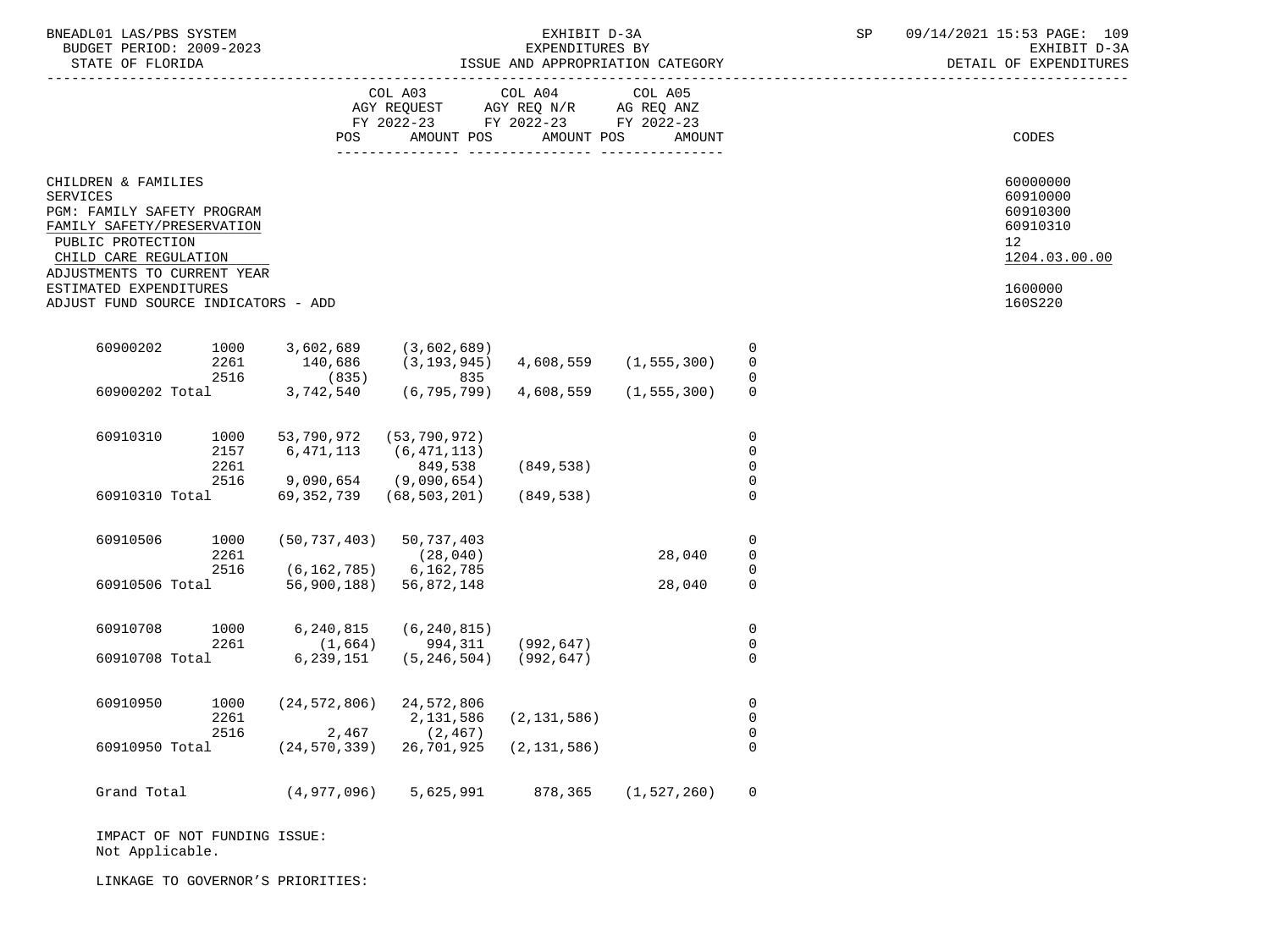| BNEADL01 LAS/PBS SYSTEM |                  |                          | EXHIBIT D-3A                     |  |
|-------------------------|------------------|--------------------------|----------------------------------|--|
|                         |                  | BUDGET PERIOD: 2009-2023 | EXPENDITURES BY                  |  |
|                         | STATE OF FLORIDA |                          | ISSUE AND APPROPRIATION CATEGORY |  |

|                                                                                                                                                                                                                                                  |                                                |                         | COL A03<br>AGY REQUEST AGY REQ N/R AG REQ ANZ<br>FY 2022-23 FY 2022-23 FY 2022-23<br>POS<br>AMOUNT POS        | COL A04 COL A05<br>AMOUNT POS | AMOUNT        |                                                                | CODES                                                                                                  |
|--------------------------------------------------------------------------------------------------------------------------------------------------------------------------------------------------------------------------------------------------|------------------------------------------------|-------------------------|---------------------------------------------------------------------------------------------------------------|-------------------------------|---------------|----------------------------------------------------------------|--------------------------------------------------------------------------------------------------------|
| CHILDREN & FAMILIES<br><b>SERVICES</b><br>PGM: FAMILY SAFETY PROGRAM<br>FAMILY SAFETY/PRESERVATION<br>PUBLIC PROTECTION<br>CHILD CARE REGULATION<br>ADJUSTMENTS TO CURRENT YEAR<br>ESTIMATED EXPENDITURES<br>ADJUST FUND SOURCE INDICATORS - ADD |                                                |                         |                                                                                                               |                               |               |                                                                | 60000000<br>60910000<br>60910300<br>60910310<br>12 <sup>°</sup><br>1204.03.00.00<br>1600000<br>160S220 |
| 60900202                                                                                                                                                                                                                                         | 2261<br>2516                                   | 1000 3,602,689<br>(835) | (3,602,689)<br>$140,686$ $(3,193,945)$ $4,608,559$ $(1,555,300)$<br>835                                       |                               |               | $\mathbf 0$<br>$\Omega$<br>$\Omega$                            |                                                                                                        |
|                                                                                                                                                                                                                                                  | 60900202 Total                                 | 3,742,540               |                                                                                                               | (6,795,799) 4,608,559         | (1, 555, 300) | $\Omega$                                                       |                                                                                                        |
| 60910310                                                                                                                                                                                                                                         | 1000<br>2157<br>2261<br>2516<br>60910310 Total | 6,471,113               | 53,790,972 (53,790,972)<br>(6, 471, 113)<br>849,538<br>$9,090,654$ (9,090,654)<br>69, 352, 739 (68, 503, 201) | (849,538)<br>(849,538)        |               | $\mathbf 0$<br>$\Omega$<br>$\mathbf 0$<br>$\Omega$<br>$\Omega$ |                                                                                                        |
| 60910506                                                                                                                                                                                                                                         | 1000<br>2261<br>2516                           |                         | $(50, 737, 403)$ 50, 737, 403<br>(28, 040)<br>$(6, 162, 785)$ 6, 162, 785                                     |                               | 28,040        | $\mathbf 0$<br>$\mathbf 0$<br>$\Omega$                         |                                                                                                        |
|                                                                                                                                                                                                                                                  | 60910506 Total                                 |                         | 56,900,188) 56,872,148                                                                                        |                               | 28,040        | $\mathbf 0$                                                    |                                                                                                        |
| 60910708                                                                                                                                                                                                                                         | 1000<br>2261<br>60910708 Total                 | 6,240,815               | (6, 240, 815)<br>$(1,664)$ 994, 311 (992, 647)                                                                |                               |               | $\mathbf 0$<br>$\mathbf 0$<br>$\Omega$                         |                                                                                                        |
| 60910950                                                                                                                                                                                                                                         | 1000<br>2261                                   |                         | $6, 239, 151$ $(5, 246, 504)$ $(992, 647)$<br>$(24, 572, 806)$ 24, 572, 806<br>2,131,586                      | (2, 131, 586)                 |               | $\mathbf 0$<br>$\mathbf 0$                                     |                                                                                                        |
|                                                                                                                                                                                                                                                  | 2516<br>60910950 Total                         |                         | 2,467<br>(2, 467)<br>$(24, 570, 339)$ 26, 701, 925                                                            | (2, 131, 586)                 |               | $\mathbf 0$<br>$\Omega$                                        |                                                                                                        |
| Grand Total                                                                                                                                                                                                                                      |                                                |                         | $(4,977,096)$ 5,625,991 878,365 (1,527,260)                                                                   |                               |               | $\Omega$                                                       |                                                                                                        |

 IMPACT OF NOT FUNDING ISSUE: Not Applicable.

LINKAGE TO GOVERNOR'S PRIORITIES: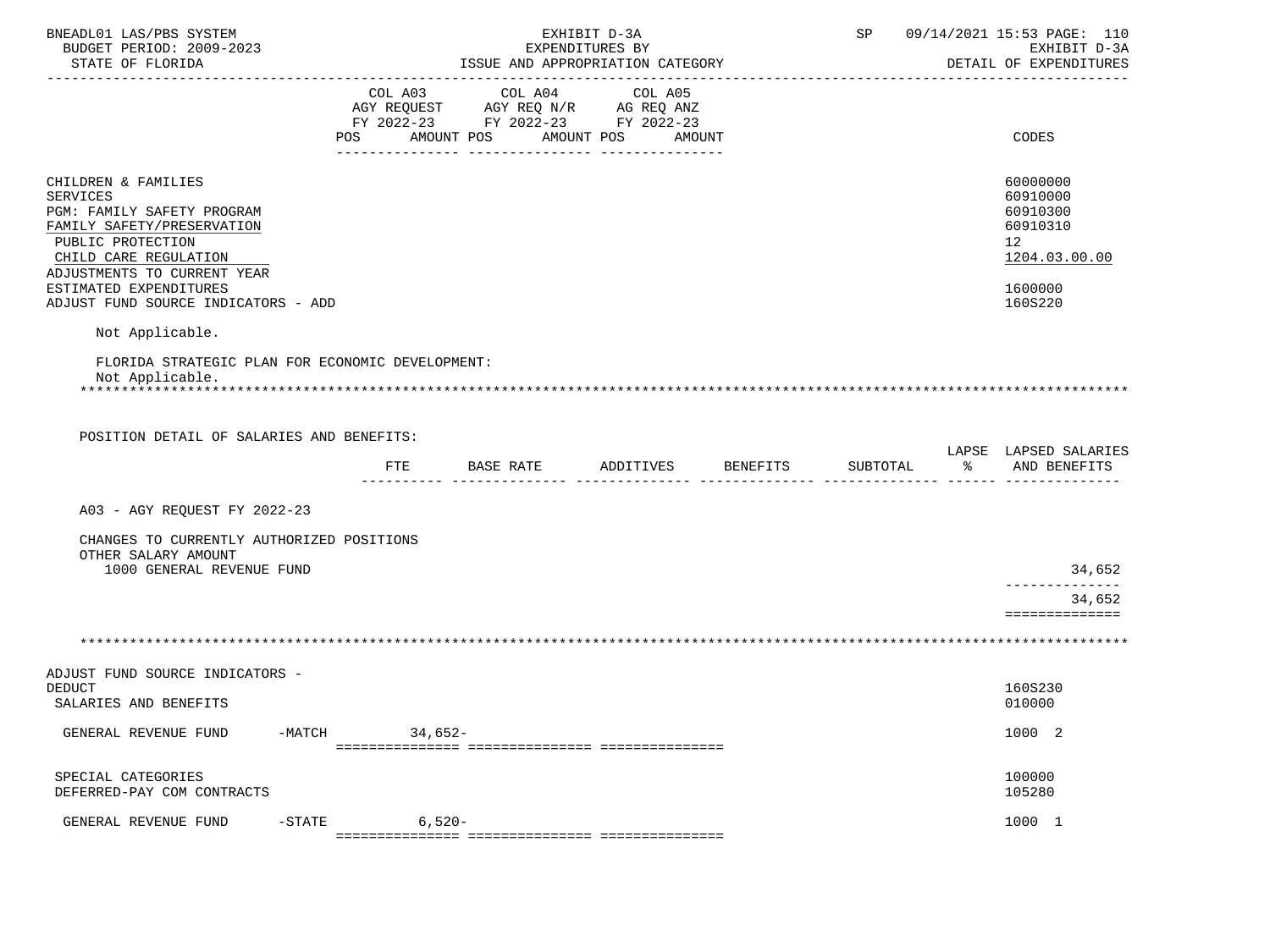| BNEADL01 LAS/PBS SYSTEM<br>BUDGET PERIOD: 2009-2023<br>STATE OF FLORIDA                                                                                                                                                                                             |                                                    | EXHIBIT D-3A<br>EXPENDITURES BY<br>ISSUE AND APPROPRIATION CATEGORY |                   |  | SP 09/14/2021 15:53 PAGE: 110<br>EXHIBIT D-3A<br>DETAIL OF EXPENDITURES                   |
|---------------------------------------------------------------------------------------------------------------------------------------------------------------------------------------------------------------------------------------------------------------------|----------------------------------------------------|---------------------------------------------------------------------|-------------------|--|-------------------------------------------------------------------------------------------|
|                                                                                                                                                                                                                                                                     | FY 2022-23 FY 2022-23 FY 2022-23<br>POS AMOUNT POS |                                                                     | AMOUNT POS AMOUNT |  | CODES                                                                                     |
| CHILDREN & FAMILIES<br><b>SERVICES</b><br>PGM: FAMILY SAFETY PROGRAM<br>FAMILY SAFETY/PRESERVATION<br>PUBLIC PROTECTION<br>CHILD CARE REGULATION<br>ADJUSTMENTS TO CURRENT YEAR<br>ESTIMATED EXPENDITURES<br>ADJUST FUND SOURCE INDICATORS - ADD<br>Not Applicable. |                                                    |                                                                     |                   |  | 60000000<br>60910000<br>60910300<br>60910310<br>12<br>1204.03.00.00<br>1600000<br>160S220 |
| FLORIDA STRATEGIC PLAN FOR ECONOMIC DEVELOPMENT:<br>Not Applicable.<br>POSITION DETAIL OF SALARIES AND BENEFITS:                                                                                                                                                    |                                                    |                                                                     |                   |  |                                                                                           |
|                                                                                                                                                                                                                                                                     | FTE                                                |                                                                     |                   |  | LAPSE LAPSED SALARIES<br>% AND BENEFITS                                                   |
| A03 - AGY REQUEST FY 2022-23                                                                                                                                                                                                                                        |                                                    |                                                                     |                   |  |                                                                                           |
| CHANGES TO CURRENTLY AUTHORIZED POSITIONS<br>OTHER SALARY AMOUNT<br>1000 GENERAL REVENUE FUND                                                                                                                                                                       |                                                    |                                                                     |                   |  | 34,652<br>______________<br>34,652<br>==============                                      |
|                                                                                                                                                                                                                                                                     |                                                    |                                                                     |                   |  |                                                                                           |
| ADJUST FUND SOURCE INDICATORS -<br><b>DEDUCT</b><br>SALARIES AND BENEFITS                                                                                                                                                                                           |                                                    |                                                                     |                   |  | 160S230<br>010000                                                                         |
| GENERAL REVENUE FUND<br>-MATCH                                                                                                                                                                                                                                      | $34,652-$                                          |                                                                     |                   |  | 1000 2                                                                                    |
| SPECIAL CATEGORIES<br>DEFERRED-PAY COM CONTRACTS                                                                                                                                                                                                                    |                                                    |                                                                     |                   |  | 100000<br>105280                                                                          |
| GENERAL REVENUE FUND<br>$-$ STATE                                                                                                                                                                                                                                   | $6,520-$                                           |                                                                     |                   |  | 1000 1                                                                                    |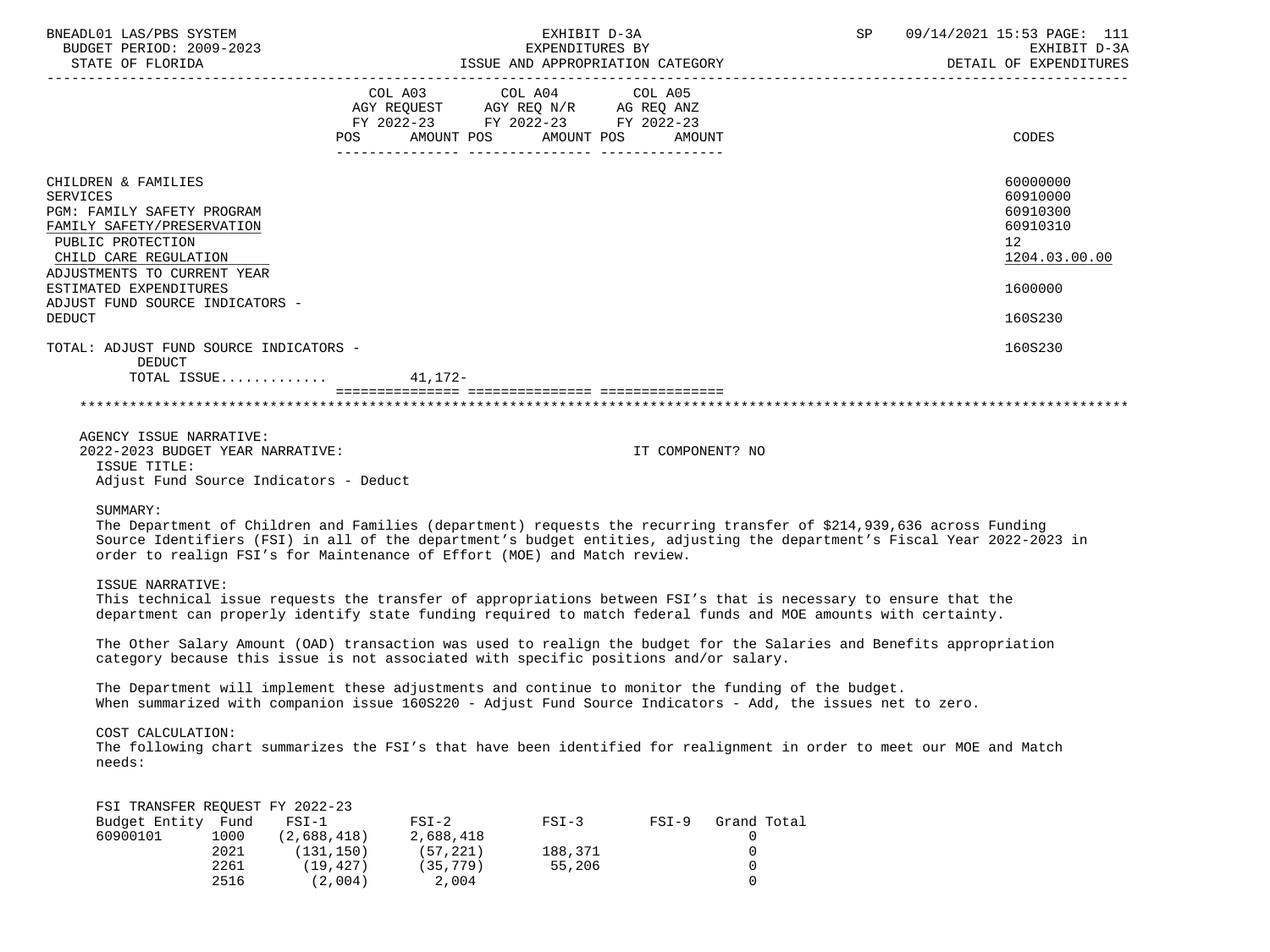| BNEADL01 LAS/PBS SYSTEM<br>BUDGET PERIOD: 2009-2023<br>STATE OF FLORIDA                                                                                                         |                                                                                                                                 |                                                               | EXHIBIT D-3A                 |                  | EXPENDITURES BY<br>ISSUE AND APPROPRIATION CATEGORY DETAIL OF EXPENDITURES                                                                                                                                                                       | SP 09/14/2021 15:53 PAGE: 111                                       |
|---------------------------------------------------------------------------------------------------------------------------------------------------------------------------------|---------------------------------------------------------------------------------------------------------------------------------|---------------------------------------------------------------|------------------------------|------------------|--------------------------------------------------------------------------------------------------------------------------------------------------------------------------------------------------------------------------------------------------|---------------------------------------------------------------------|
|                                                                                                                                                                                 |                                                                                                                                 | FY 2022-23 FY 2022-23 FY 2022-23<br>POS AMOUNT POS AMOUNT POS |                              | AMOUNT           |                                                                                                                                                                                                                                                  | CODES                                                               |
| CHILDREN & FAMILIES<br><b>SERVICES</b><br>PGM: FAMILY SAFETY PROGRAM<br>FAMILY SAFETY/PRESERVATION<br>PUBLIC PROTECTION<br>CHILD CARE REGULATION<br>ADJUSTMENTS TO CURRENT YEAR |                                                                                                                                 |                                                               |                              |                  |                                                                                                                                                                                                                                                  | 60000000<br>60910000<br>60910300<br>60910310<br>12<br>1204.03.00.00 |
| ESTIMATED EXPENDITURES                                                                                                                                                          |                                                                                                                                 |                                                               |                              |                  |                                                                                                                                                                                                                                                  | 1600000                                                             |
| ADJUST FUND SOURCE INDICATORS -<br><b>DEDUCT</b>                                                                                                                                |                                                                                                                                 |                                                               |                              |                  |                                                                                                                                                                                                                                                  | 160S230                                                             |
| TOTAL: ADJUST FUND SOURCE INDICATORS -<br>DEDUCT                                                                                                                                | TOTAL ISSUE $41,172-$                                                                                                           |                                                               |                              |                  |                                                                                                                                                                                                                                                  | 160S230                                                             |
|                                                                                                                                                                                 |                                                                                                                                 |                                                               |                              |                  |                                                                                                                                                                                                                                                  |                                                                     |
|                                                                                                                                                                                 |                                                                                                                                 |                                                               |                              |                  |                                                                                                                                                                                                                                                  |                                                                     |
| AGENCY ISSUE NARRATIVE:<br>2022-2023 BUDGET YEAR NARRATIVE:<br>ISSUE TITLE:                                                                                                     | Adjust Fund Source Indicators - Deduct                                                                                          |                                                               |                              | IT COMPONENT? NO |                                                                                                                                                                                                                                                  |                                                                     |
| SUMMARY:                                                                                                                                                                        | order to realign FSI's for Maintenance of Effort (MOE) and Match review.                                                        |                                                               |                              |                  | The Department of Children and Families (department) requests the recurring transfer of \$214,939,636 across Funding<br>Source Identifiers (FSI) in all of the department's budget entities, adjusting the department's Fiscal Year 2022-2023 in |                                                                     |
| ISSUE NARRATIVE:                                                                                                                                                                |                                                                                                                                 |                                                               |                              |                  | This technical issue requests the transfer of appropriations between FSI's that is necessary to ensure that the<br>department can properly identify state funding required to match federal funds and MOE amounts with certainty.                |                                                                     |
|                                                                                                                                                                                 | category because this issue is not associated with specific positions and/or salary.                                            |                                                               |                              |                  | The Other Salary Amount (OAD) transaction was used to realign the budget for the Salaries and Benefits appropriation                                                                                                                             |                                                                     |
|                                                                                                                                                                                 |                                                                                                                                 |                                                               |                              |                  | The Department will implement these adjustments and continue to monitor the funding of the budget.<br>When summarized with companion issue 160S220 - Adjust Fund Source Indicators - Add, the issues net to zero.                                |                                                                     |
| COST CALCULATION:<br>needs:                                                                                                                                                     |                                                                                                                                 |                                                               |                              |                  | The following chart summarizes the FSI's that have been identified for realignment in order to meet our MOE and Match                                                                                                                            |                                                                     |
| Budget Entity Fund<br>60900101                                                                                                                                                  | FSI TRANSFER REQUEST FY 2022-23<br>$FSI-1$<br>1000<br>(2,688,418)<br>2021<br>(131, 150)<br>2261<br>(19, 427)<br>2516<br>(2,004) | $FSI-2$<br>2,688,418<br>(57, 221)<br>(35, 779)<br>2,004       | $FSI-3$<br>188,371<br>55,206 | $FSI-9$          | Grand Total<br>0<br>0<br>0<br>0                                                                                                                                                                                                                  |                                                                     |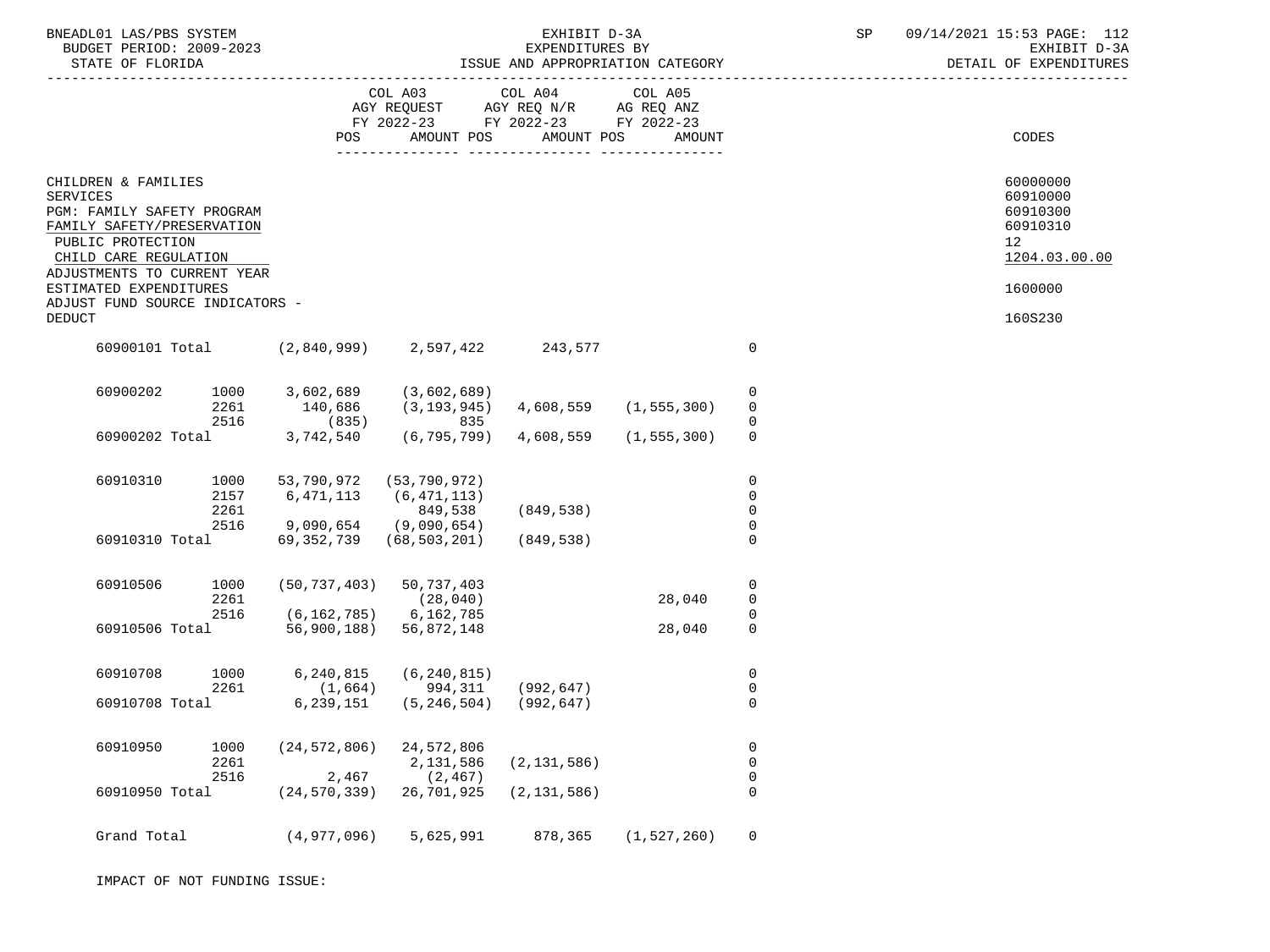| BNEADL01 LAS/PBS SYSTEM<br>BUDGET PERIOD: 2009-2023<br>STATE OF FLORIDA                                                                                                         |                              |                                                               |                                                                                                                 | EXHIBIT D-3A<br>EXPENDITURES BY | ISSUE AND APPROPRIATION CATEGORY |                                           | SP | 09/14/2021 15:53 PAGE: 112<br>EXHIBIT D-3A<br>DETAIL OF EXPENDITURES             |
|---------------------------------------------------------------------------------------------------------------------------------------------------------------------------------|------------------------------|---------------------------------------------------------------|-----------------------------------------------------------------------------------------------------------------|---------------------------------|----------------------------------|-------------------------------------------|----|----------------------------------------------------------------------------------|
|                                                                                                                                                                                 |                              | POS                                                           | COL A03 COL A04 COL A05<br>AGY REQUEST AGY REQ N/R AG REQ ANZ<br>FY 2022-23 FY 2022-23 FY 2022-23<br>AMOUNT POS | AMOUNT POS                      | AMOUNT                           |                                           |    | CODES                                                                            |
| CHILDREN & FAMILIES<br><b>SERVICES</b><br>PGM: FAMILY SAFETY PROGRAM<br>FAMILY SAFETY/PRESERVATION<br>PUBLIC PROTECTION<br>CHILD CARE REGULATION<br>ADJUSTMENTS TO CURRENT YEAR |                              |                                                               |                                                                                                                 |                                 |                                  |                                           |    | 60000000<br>60910000<br>60910300<br>60910310<br>12 <sub>2</sub><br>1204.03.00.00 |
| ESTIMATED EXPENDITURES                                                                                                                                                          |                              |                                                               |                                                                                                                 |                                 |                                  |                                           |    | 1600000                                                                          |
| ADJUST FUND SOURCE INDICATORS -<br><b>DEDUCT</b>                                                                                                                                |                              |                                                               |                                                                                                                 |                                 |                                  |                                           |    | 160S230                                                                          |
|                                                                                                                                                                                 |                              | 60900101 Total (2,840,999) 2,597,422                          |                                                                                                                 | 243,577                         |                                  | $\mathbf 0$                               |    |                                                                                  |
| 60900202                                                                                                                                                                        | 1000<br>2261<br>2516         | 3,602,689 (3,602,689)<br>140,686<br>(835)                     | $(3, 193, 945)$ $4, 608, 559$ $(1, 555, 300)$<br>835                                                            |                                 |                                  | 0<br>$\mathbf 0$                          |    |                                                                                  |
|                                                                                                                                                                                 |                              | 60900202 Total 3,742,540 (6,795,799) 4,608,559 (1,555,300)    |                                                                                                                 |                                 |                                  | $\Omega$                                  |    |                                                                                  |
| 60910310                                                                                                                                                                        | 1000<br>2157<br>2261<br>2516 | 53,790,972 (53,790,972)<br>6,471,113<br>9,090,654 (9,090,654) | (6, 471, 113)<br>849,538                                                                                        | (849,538)                       |                                  | $\mathbf 0$<br>$\mathbf 0$<br>$\mathbf 0$ |    |                                                                                  |
| 60910310 Total                                                                                                                                                                  |                              | 69, 352, 739 (68, 503, 201)                                   |                                                                                                                 | (849,538)                       |                                  | $\Omega$                                  |    |                                                                                  |
| 60910506                                                                                                                                                                        | 1000<br>2261<br>2516         | (50, 737, 403)<br>$(6, 162, 785)$ 6, 162, 785                 | 50,737,403<br>(28, 040)                                                                                         |                                 | 28,040                           | 0<br>0<br>0                               |    |                                                                                  |
| 60910506 Total                                                                                                                                                                  |                              | 56,900,188) 56,872,148                                        |                                                                                                                 |                                 | 28,040                           | $\Omega$                                  |    |                                                                                  |
| 60910708                                                                                                                                                                        | 1000<br>2261                 | 6,240,815<br>(1, 664)                                         | (6, 240, 815)<br>994,311                                                                                        | (992, 647)                      |                                  | 0<br>0                                    |    |                                                                                  |
| 60910708 Total                                                                                                                                                                  |                              | 6,239,151                                                     | (5, 246, 504)                                                                                                   | (992, 647)                      |                                  | $\Omega$                                  |    |                                                                                  |
| 60910950                                                                                                                                                                        | 1000<br>2261<br>2516         | (24, 572, 806)<br>2,467                                       | 24,572,806<br>2,131,586<br>(2, 467)                                                                             | (2, 131, 586)                   |                                  | 0<br>$\mathsf{O}$<br>$\mathsf 0$          |    |                                                                                  |
| 60910950 Total                                                                                                                                                                  |                              | (24, 570, 339)                                                | 26,701,925                                                                                                      | (2, 131, 586)                   |                                  | 0                                         |    |                                                                                  |
| Grand Total                                                                                                                                                                     |                              | (4,977,096)                                                   | 5,625,991                                                                                                       | 878,365                         | (1, 527, 260)                    | $\mathsf{O}$                              |    |                                                                                  |

IMPACT OF NOT FUNDING ISSUE: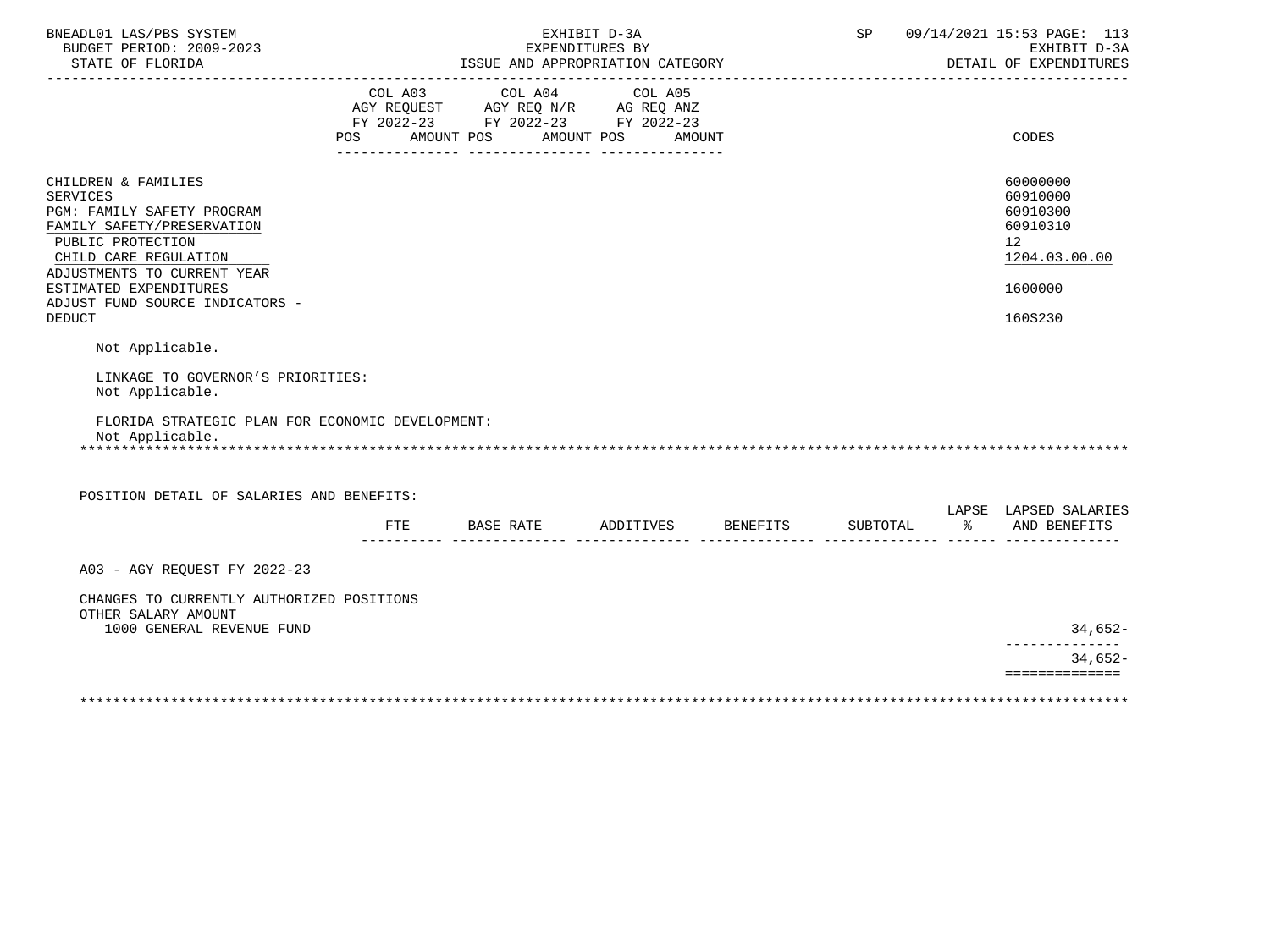| BNEADL01 LAS/PBS SYSTEM<br>BUDGET PERIOD: 2009-2023                                                                                                                                                                                                           |     |                                                                                                                 | EXHIBIT D-3A<br>EXPENDITURES BY  |               | SP       |           | 09/14/2021 15:53 PAGE: 113<br>EXHIBIT D-3A                                                |
|---------------------------------------------------------------------------------------------------------------------------------------------------------------------------------------------------------------------------------------------------------------|-----|-----------------------------------------------------------------------------------------------------------------|----------------------------------|---------------|----------|-----------|-------------------------------------------------------------------------------------------|
| STATE OF FLORIDA                                                                                                                                                                                                                                              |     |                                                                                                                 | ISSUE AND APPROPRIATION CATEGORY |               |          |           | DETAIL OF EXPENDITURES                                                                    |
|                                                                                                                                                                                                                                                               | POS | COL A03 COL A04 COL A05<br>AGY REQUEST AGY REQ N/R AG REQ ANZ<br>FY 2022-23 FY 2022-23 FY 2022-23<br>AMOUNT POS | AMOUNT POS                       | <b>AMOUNT</b> |          |           | CODES                                                                                     |
| CHILDREN & FAMILIES<br><b>SERVICES</b><br>PGM: FAMILY SAFETY PROGRAM<br>FAMILY SAFETY/PRESERVATION<br>PUBLIC PROTECTION<br>CHILD CARE REGULATION<br>ADJUSTMENTS TO CURRENT YEAR<br>ESTIMATED EXPENDITURES<br>ADJUST FUND SOURCE INDICATORS -<br><b>DEDUCT</b> |     |                                                                                                                 |                                  |               |          |           | 60000000<br>60910000<br>60910300<br>60910310<br>12<br>1204.03.00.00<br>1600000<br>160S230 |
| Not Applicable.                                                                                                                                                                                                                                               |     |                                                                                                                 |                                  |               |          |           |                                                                                           |
| LINKAGE TO GOVERNOR'S PRIORITIES:<br>Not Applicable.                                                                                                                                                                                                          |     |                                                                                                                 |                                  |               |          |           |                                                                                           |
| FLORIDA STRATEGIC PLAN FOR ECONOMIC DEVELOPMENT:<br>Not Applicable.                                                                                                                                                                                           |     |                                                                                                                 |                                  |               |          |           |                                                                                           |
| POSITION DETAIL OF SALARIES AND BENEFITS:                                                                                                                                                                                                                     |     |                                                                                                                 |                                  |               |          |           | LAPSE LAPSED SALARIES                                                                     |
|                                                                                                                                                                                                                                                               | FTE | BASE RATE ADDITIVES BENEFITS                                                                                    |                                  |               | SUBTOTAL | $\approx$ | AND BENEFITS                                                                              |
| A03 - AGY REQUEST FY 2022-23                                                                                                                                                                                                                                  |     |                                                                                                                 |                                  |               |          |           |                                                                                           |
| CHANGES TO CURRENTLY AUTHORIZED POSITIONS<br>OTHER SALARY AMOUNT<br>1000 GENERAL REVENUE FUND                                                                                                                                                                 |     |                                                                                                                 |                                  |               |          |           | $34,652-$                                                                                 |
|                                                                                                                                                                                                                                                               |     |                                                                                                                 |                                  |               |          |           |                                                                                           |
|                                                                                                                                                                                                                                                               |     |                                                                                                                 |                                  |               |          |           | $34,652-$<br>==============                                                               |
|                                                                                                                                                                                                                                                               |     |                                                                                                                 |                                  |               |          |           |                                                                                           |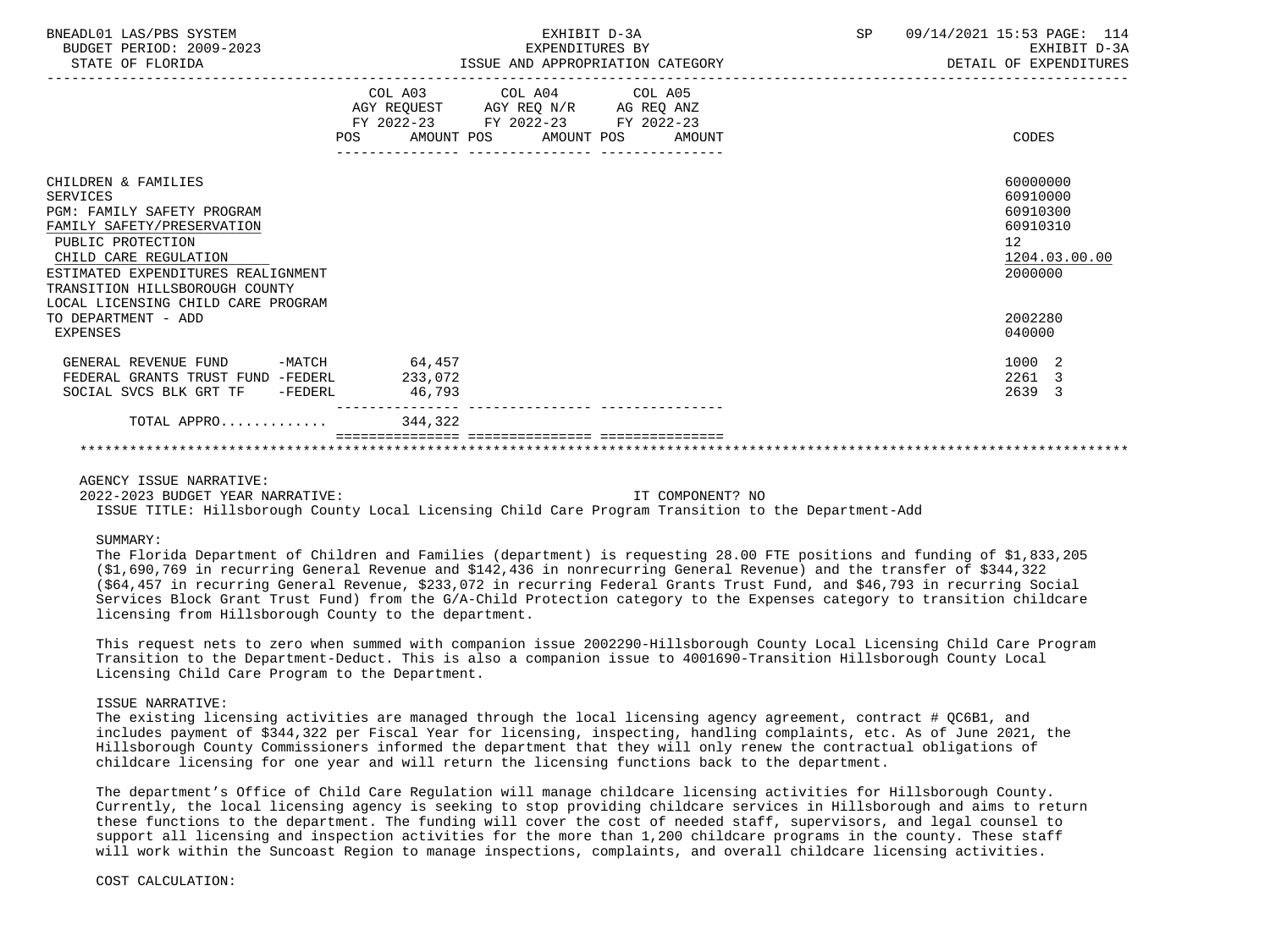| BNEADL01 LAS/PBS SYSTEM<br>BUDGET PERIOD: 2009-2023<br>STATE OF FLORIDA                                                                                                                                                                                 |         | EXHIBIT D-3A<br>EXPENDITURES BY<br>ISSUE AND APPROPRIATION CATEGORY                                                               | SP 09/14/2021 15:53 PAGE: 114 | EXHIBIT D-3A<br>DETAIL OF EXPENDITURES                                         |
|---------------------------------------------------------------------------------------------------------------------------------------------------------------------------------------------------------------------------------------------------------|---------|-----------------------------------------------------------------------------------------------------------------------------------|-------------------------------|--------------------------------------------------------------------------------|
|                                                                                                                                                                                                                                                         | POS     | COL A03 COL A04 COL A05<br>AGY REQUEST AGY REQ N/R AG REQ ANZ<br>FY 2022-23 FY 2022-23 FY 2022-23<br>AMOUNT POS AMOUNT POS AMOUNT |                               | CODES                                                                          |
| CHILDREN & FAMILIES<br>SERVICES<br>PGM: FAMILY SAFETY PROGRAM<br>FAMILY SAFETY/PRESERVATION<br>PUBLIC PROTECTION<br>CHILD CARE REGULATION<br>ESTIMATED EXPENDITURES REALIGNMENT<br>TRANSITION HILLSBOROUGH COUNTY<br>LOCAL LICENSING CHILD CARE PROGRAM |         |                                                                                                                                   |                               | 60000000<br>60910000<br>60910300<br>60910310<br>12<br>1204.03.00.00<br>2000000 |
| TO DEPARTMENT - ADD<br>EXPENSES                                                                                                                                                                                                                         |         |                                                                                                                                   |                               | 2002280<br>040000                                                              |
| GENERAL REVENUE FUND -MATCH 64,457                                                                                                                                                                                                                      |         |                                                                                                                                   |                               | 1000 2                                                                         |
| FEDERAL GRANTS TRUST FUND -FEDERL                                                                                                                                                                                                                       | 233,072 |                                                                                                                                   |                               | 2261 3                                                                         |
| SOCIAL SVCS BLK GRT TF -FEDERL                                                                                                                                                                                                                          | 46,793  |                                                                                                                                   |                               | 2639 3                                                                         |
| TOTAL APPRO                                                                                                                                                                                                                                             | 344,322 |                                                                                                                                   |                               |                                                                                |
|                                                                                                                                                                                                                                                         |         |                                                                                                                                   |                               |                                                                                |

## AGENCY ISSUE NARRATIVE:

 2022-2023 BUDGET YEAR NARRATIVE: IT COMPONENT? NO ISSUE TITLE: Hillsborough County Local Licensing Child Care Program Transition to the Department-Add

### SUMMARY:

 The Florida Department of Children and Families (department) is requesting 28.00 FTE positions and funding of \$1,833,205 (\$1,690,769 in recurring General Revenue and \$142,436 in nonrecurring General Revenue) and the transfer of \$344,322 (\$64,457 in recurring General Revenue, \$233,072 in recurring Federal Grants Trust Fund, and \$46,793 in recurring Social Services Block Grant Trust Fund) from the G/A-Child Protection category to the Expenses category to transition childcare licensing from Hillsborough County to the department.

 This request nets to zero when summed with companion issue 2002290-Hillsborough County Local Licensing Child Care Program Transition to the Department-Deduct. This is also a companion issue to 4001690-Transition Hillsborough County Local Licensing Child Care Program to the Department.

### ISSUE NARRATIVE:

The existing licensing activities are managed through the local licensing agency agreement, contract # QC6B1, and includes payment of \$344,322 per Fiscal Year for licensing, inspecting, handling complaints, etc. As of June 2021, the Hillsborough County Commissioners informed the department that they will only renew the contractual obligations of childcare licensing for one year and will return the licensing functions back to the department.

 The department's Office of Child Care Regulation will manage childcare licensing activities for Hillsborough County. Currently, the local licensing agency is seeking to stop providing childcare services in Hillsborough and aims to return these functions to the department. The funding will cover the cost of needed staff, supervisors, and legal counsel to support all licensing and inspection activities for the more than 1,200 childcare programs in the county. These staff will work within the Suncoast Region to manage inspections, complaints, and overall childcare licensing activities.

COST CALCULATION: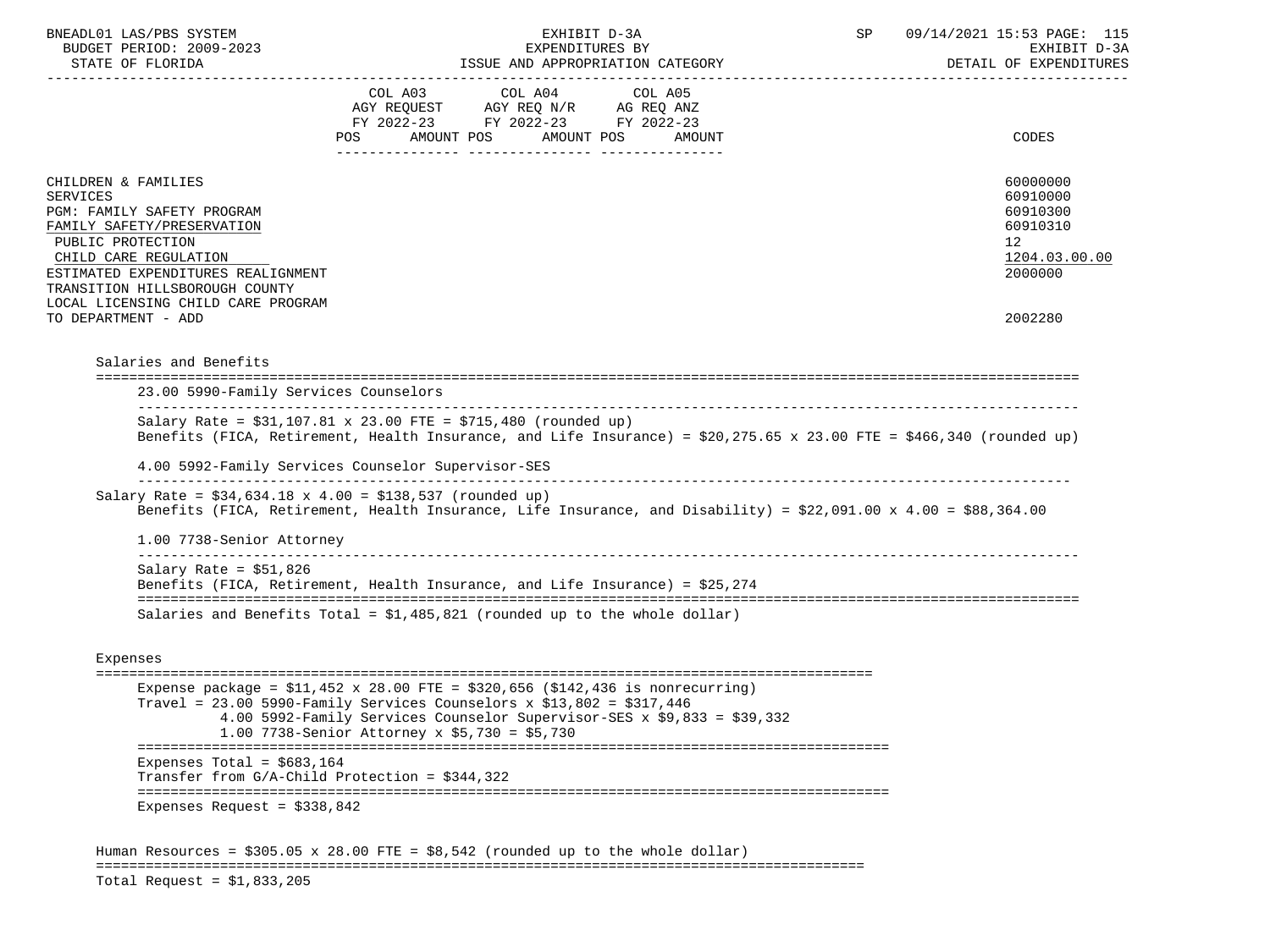| BNEADL01 LAS/PBS SYSTEM<br>BUDGET PERIOD: 2009-2023                                                                                                                                                                                                            |         | EXPENDITURES BY                                                                   | EXHIBIT D-3A                                                            | SP | 09/14/2021 15:53 PAGE: 115<br>EXHIBIT D-3A                                     |
|----------------------------------------------------------------------------------------------------------------------------------------------------------------------------------------------------------------------------------------------------------------|---------|-----------------------------------------------------------------------------------|-------------------------------------------------------------------------|----|--------------------------------------------------------------------------------|
| STATE OF FLORIDA                                                                                                                                                                                                                                               |         |                                                                                   | ISSUE AND APPROPRIATION CATEGORY                                        |    | DETAIL OF EXPENDITURES                                                         |
|                                                                                                                                                                                                                                                                | COL A03 | COL A04<br>AGY REQUEST AGY REQ N/R AG REQ ANZ<br>FY 2022-23 FY 2022-23 FY 2022-23 | COL A05<br>POS AMOUNT POS AMOUNT POS AMOUNT                             |    | CODES                                                                          |
| CHILDREN & FAMILIES<br><b>SERVICES</b><br>PGM: FAMILY SAFETY PROGRAM<br>FAMILY SAFETY/PRESERVATION<br>PUBLIC PROTECTION<br>CHILD CARE REGULATION<br>ESTIMATED EXPENDITURES REALIGNMENT<br>TRANSITION HILLSBOROUGH COUNTY<br>LOCAL LICENSING CHILD CARE PROGRAM |         |                                                                                   |                                                                         |    | 60000000<br>60910000<br>60910300<br>60910310<br>12<br>1204.03.00.00<br>2000000 |
| TO DEPARTMENT - ADD                                                                                                                                                                                                                                            |         |                                                                                   |                                                                         |    | 2002280                                                                        |
|                                                                                                                                                                                                                                                                |         |                                                                                   |                                                                         |    |                                                                                |
| Salaries and Benefits                                                                                                                                                                                                                                          |         |                                                                                   |                                                                         |    |                                                                                |
|                                                                                                                                                                                                                                                                |         |                                                                                   |                                                                         |    |                                                                                |
| 23.00 5990-Family Services Counselors                                                                                                                                                                                                                          |         |                                                                                   |                                                                         |    |                                                                                |
| Salary Rate = $$31,107.81 \times 23.00$ FTE = $$715,480$ (rounded up)<br>Benefits (FICA, Retirement, Health Insurance, and Life Insurance) = $$20,275.65 \times 23.00$ FTE = $$466,340$ (rounded up)                                                           |         |                                                                                   |                                                                         |    |                                                                                |
| 4.00 5992-Family Services Counselor Supervisor-SES                                                                                                                                                                                                             |         |                                                                                   |                                                                         |    |                                                                                |
| Salary Rate = $$34,634.18 \times 4.00 = $138,537$ (rounded up)<br>Benefits (FICA, Retirement, Health Insurance, Life Insurance, and Disability) = $$22,091.00 \times 4.00 = $88,364.00$                                                                        |         |                                                                                   |                                                                         |    |                                                                                |
| 1.00 7738-Senior Attorney                                                                                                                                                                                                                                      |         |                                                                                   |                                                                         |    |                                                                                |
| Salary Rate = $$51,826$<br>Benefits (FICA, Retirement, Health Insurance, and Life Insurance) = \$25,274                                                                                                                                                        |         |                                                                                   |                                                                         |    |                                                                                |
| Salaries and Benefits Total = $$1,485,821$ (rounded up to the whole dollar)                                                                                                                                                                                    |         |                                                                                   |                                                                         |    |                                                                                |
|                                                                                                                                                                                                                                                                |         |                                                                                   |                                                                         |    |                                                                                |
| Expenses                                                                                                                                                                                                                                                       |         |                                                                                   |                                                                         |    |                                                                                |
| Expense package = $$11,452 \times 28.00$ FTE = $$320,656$ ( $$142,436$ is nonrecurring)<br>Travel = $23.00$ 5990-Family Services Counselors x \$13,802 = \$317,446<br>1.00 7738-Senior Attorney x \$5,730 = \$5,730                                            |         |                                                                                   | 4.00 5992-Family Services Counselor Supervisor-SES x \$9,833 = \$39,332 |    |                                                                                |
| Expenses Total = $$683,164$<br>Transfer from $G/A$ -Child Protection = \$344,322                                                                                                                                                                               |         |                                                                                   |                                                                         |    |                                                                                |

Total Request = \$1,833,205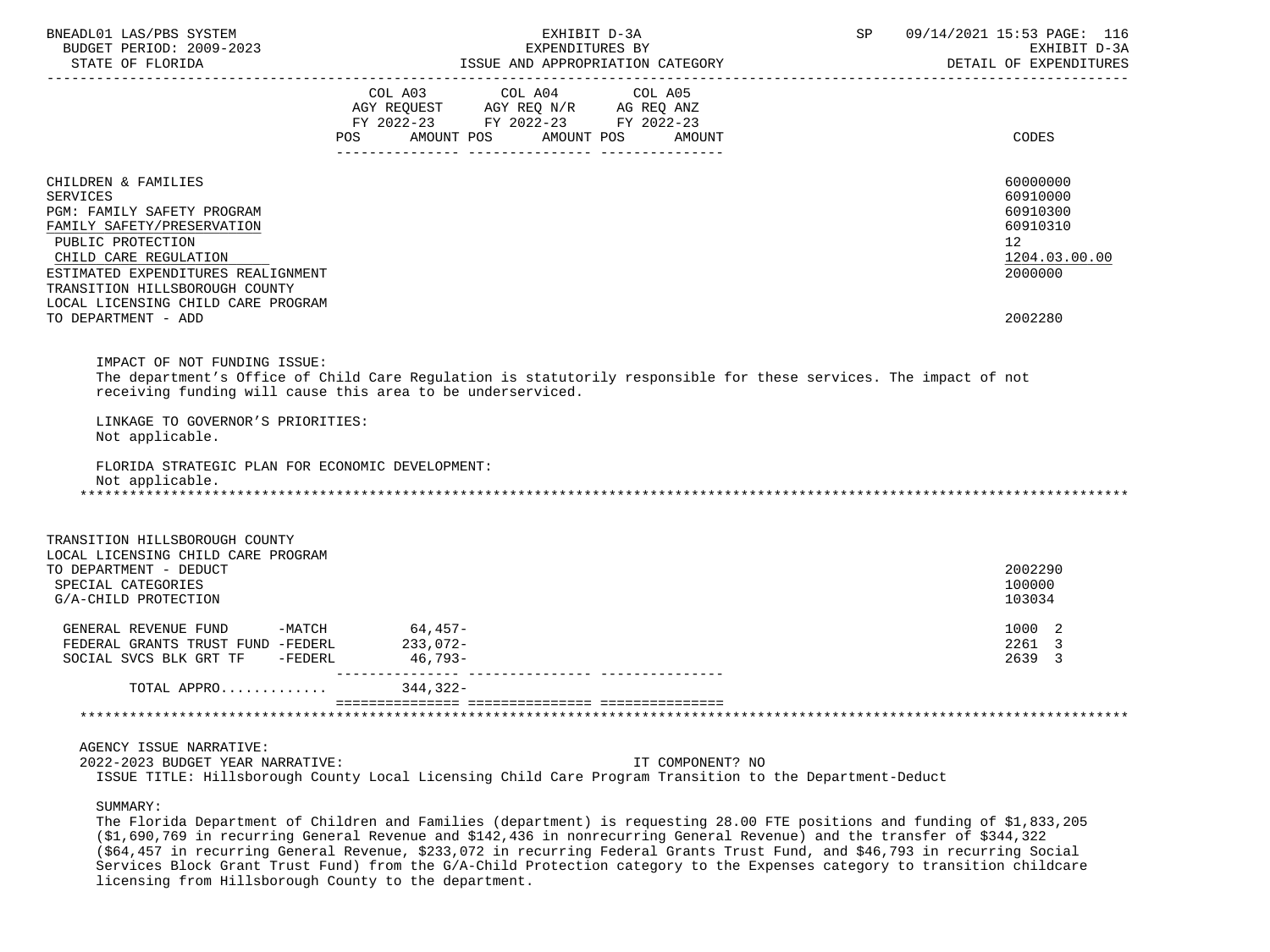| BNEADL01 LAS/PBS SYSTEM<br>BUDGET PERIOD: 2009-2023<br>STATE OF FLORIDA           | EXHIBIT D-3A<br>EXPENDITURES BY<br>ISSUE AND APPROPRIATION CATEGORY                                                                                                              | SP | 09/14/2021 15:53 PAGE: 116<br>EXHIBIT D-3A<br>DETAIL OF EXPENDITURES |
|-----------------------------------------------------------------------------------|----------------------------------------------------------------------------------------------------------------------------------------------------------------------------------|----|----------------------------------------------------------------------|
|                                                                                   |                                                                                                                                                                                  |    |                                                                      |
|                                                                                   | COL A03 COL A04 COL A05                                                                                                                                                          |    |                                                                      |
|                                                                                   | AGY REQUEST AGY REQ N/R AG REQ ANZ<br>FY 2022-23 FY 2022-23 FY 2022-23                                                                                                           |    |                                                                      |
|                                                                                   | AMOUNT POS<br>AMOUNT POS<br>POS DO<br>AMOUNT                                                                                                                                     |    | CODES                                                                |
| CHILDREN & FAMILIES                                                               |                                                                                                                                                                                  |    | 60000000                                                             |
| <b>SERVICES</b>                                                                   |                                                                                                                                                                                  |    | 60910000                                                             |
| PGM: FAMILY SAFETY PROGRAM                                                        |                                                                                                                                                                                  |    | 60910300                                                             |
| FAMILY SAFETY/PRESERVATION                                                        |                                                                                                                                                                                  |    | 60910310                                                             |
| PUBLIC PROTECTION<br>CHILD CARE REGULATION                                        |                                                                                                                                                                                  |    | 12<br>1204.03.00.00                                                  |
| ESTIMATED EXPENDITURES REALIGNMENT                                                |                                                                                                                                                                                  |    | 2000000                                                              |
| TRANSITION HILLSBOROUGH COUNTY                                                    |                                                                                                                                                                                  |    |                                                                      |
| LOCAL LICENSING CHILD CARE PROGRAM<br>TO DEPARTMENT - ADD                         |                                                                                                                                                                                  |    | 2002280                                                              |
|                                                                                   |                                                                                                                                                                                  |    |                                                                      |
| IMPACT OF NOT FUNDING ISSUE:<br>LINKAGE TO GOVERNOR'S PRIORITIES:                 | The department's Office of Child Care Regulation is statutorily responsible for these services. The impact of not<br>receiving funding will cause this area to be underserviced. |    |                                                                      |
| Not applicable.                                                                   |                                                                                                                                                                                  |    |                                                                      |
| FLORIDA STRATEGIC PLAN FOR ECONOMIC DEVELOPMENT:<br>Not applicable.               |                                                                                                                                                                                  |    |                                                                      |
| TRANSITION HILLSBOROUGH COUNTY                                                    |                                                                                                                                                                                  |    |                                                                      |
| LOCAL LICENSING CHILD CARE PROGRAM                                                |                                                                                                                                                                                  |    |                                                                      |
| TO DEPARTMENT - DEDUCT<br>SPECIAL CATEGORIES                                      |                                                                                                                                                                                  |    | 2002290<br>100000                                                    |
| G/A-CHILD PROTECTION                                                              |                                                                                                                                                                                  |    | 103034                                                               |
| GENERAL REVENUE FUND -MATCH 64,457-<br>FEDERAL GRANTS TRUST FUND -FEDERL 233,072- |                                                                                                                                                                                  |    | 1000 2                                                               |
|                                                                                   |                                                                                                                                                                                  |    | 2261 3                                                               |
| SOCIAL SVCS BLK GRT TF -FEDERL                                                    | 46,793-                                                                                                                                                                          |    | 2639 3                                                               |
| TOTAL APPRO                                                                       | 344,322-                                                                                                                                                                         |    |                                                                      |
|                                                                                   |                                                                                                                                                                                  |    |                                                                      |
| AGENCY ISSUE NARRATIVE:<br>2022-2023 BUDGET YEAR NARRATIVE:                       | IT COMPONENT? NO<br>ISSUE TITLE: Hillsborough County Local Licensing Child Care Program Transition to the Department-Deduct                                                      |    |                                                                      |
|                                                                                   |                                                                                                                                                                                  |    |                                                                      |

SUMMARY:

 The Florida Department of Children and Families (department) is requesting 28.00 FTE positions and funding of \$1,833,205 (\$1,690,769 in recurring General Revenue and \$142,436 in nonrecurring General Revenue) and the transfer of \$344,322 (\$64,457 in recurring General Revenue, \$233,072 in recurring Federal Grants Trust Fund, and \$46,793 in recurring Social Services Block Grant Trust Fund) from the G/A-Child Protection category to the Expenses category to transition childcare licensing from Hillsborough County to the department.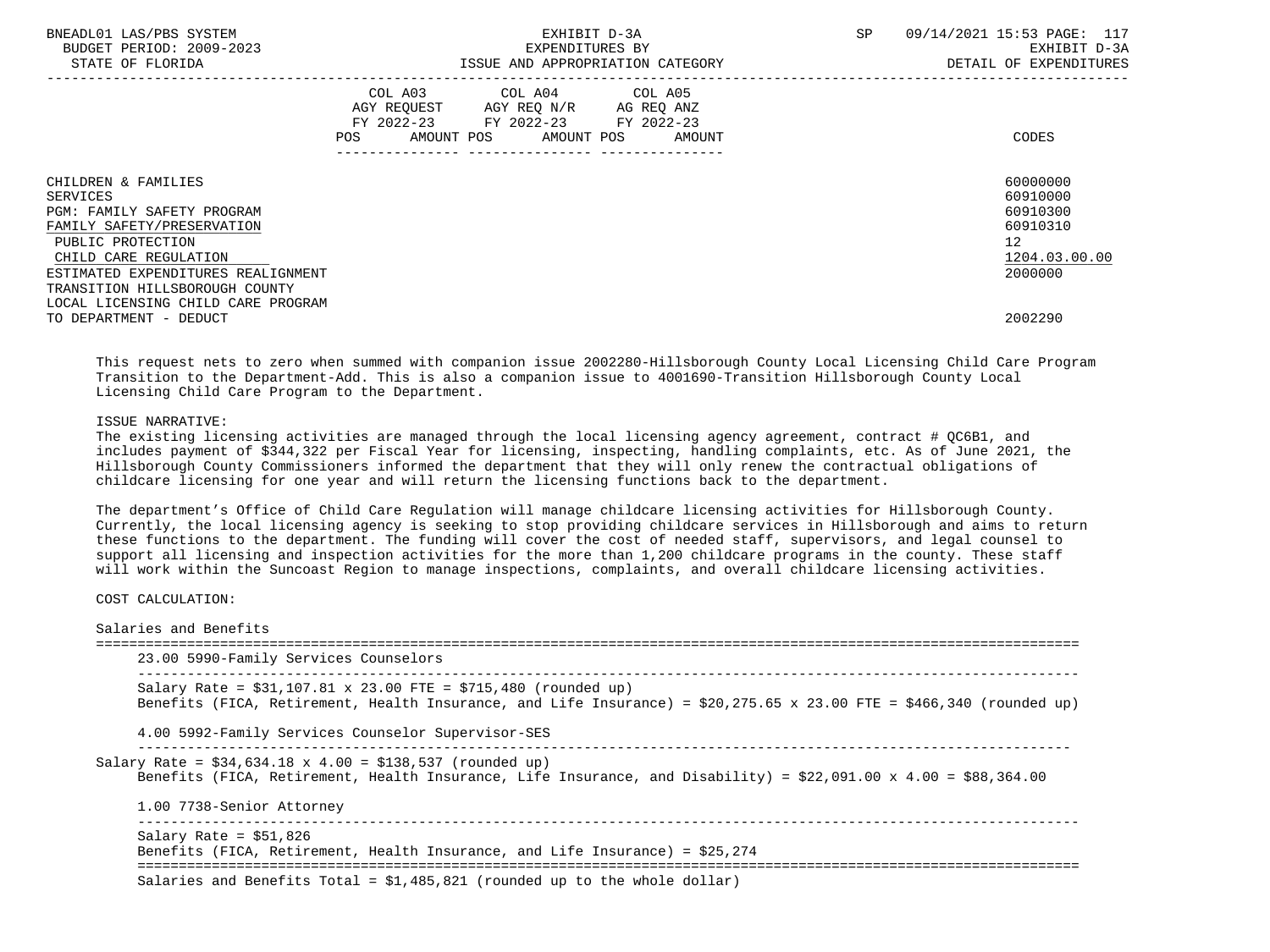| BNEADL01 LAS/PBS SYSTEM<br>BUDGET PERIOD: 2009-2023<br>STATE OF FLORIDA | EXHIBIT D-3A<br>EXPENDITURES BY<br>ISSUE AND APPROPRIATION CATEGORY                                                                         | 09/14/2021 15:53 PAGE: 117<br>SP<br>EXHIBIT D-3A<br>DETAIL OF EXPENDITURES |
|-------------------------------------------------------------------------|---------------------------------------------------------------------------------------------------------------------------------------------|----------------------------------------------------------------------------|
|                                                                         | COL A03 COL A04 COL A05<br>AGY REQUEST AGY REQ N/R AG REQ ANZ<br>FY 2022-23 FY 2022-23 FY 2022-23<br>AMOUNT POS AMOUNT POS<br>POS<br>AMOUNT | CODES                                                                      |
| CHILDREN & FAMILIES                                                     |                                                                                                                                             | 60000000                                                                   |
| SERVICES                                                                |                                                                                                                                             | 60910000                                                                   |
| PGM: FAMILY SAFETY PROGRAM                                              |                                                                                                                                             | 60910300                                                                   |
| FAMILY SAFETY/PRESERVATION                                              |                                                                                                                                             | 60910310                                                                   |
| PUBLIC PROTECTION                                                       |                                                                                                                                             | $12 \overline{ }$                                                          |
| CHILD CARE REGULATION                                                   |                                                                                                                                             | 1204.03.00.00                                                              |
| ESTIMATED EXPENDITURES REALIGNMENT                                      |                                                                                                                                             | 2000000                                                                    |
| TRANSITION HILLSBOROUGH COUNTY                                          |                                                                                                                                             |                                                                            |
| LOCAL LICENSING CHILD CARE PROGRAM                                      |                                                                                                                                             |                                                                            |
| TO DEPARTMENT - DEDUCT                                                  |                                                                                                                                             | 2002290                                                                    |

 This request nets to zero when summed with companion issue 2002280-Hillsborough County Local Licensing Child Care Program Transition to the Department-Add. This is also a companion issue to 4001690-Transition Hillsborough County Local Licensing Child Care Program to the Department.

## ISSUE NARRATIVE:

 The existing licensing activities are managed through the local licensing agency agreement, contract # QC6B1, and includes payment of \$344,322 per Fiscal Year for licensing, inspecting, handling complaints, etc. As of June 2021, the Hillsborough County Commissioners informed the department that they will only renew the contractual obligations of childcare licensing for one year and will return the licensing functions back to the department.

 The department's Office of Child Care Regulation will manage childcare licensing activities for Hillsborough County. Currently, the local licensing agency is seeking to stop providing childcare services in Hillsborough and aims to return these functions to the department. The funding will cover the cost of needed staff, supervisors, and legal counsel to support all licensing and inspection activities for the more than 1,200 childcare programs in the county. These staff will work within the Suncoast Region to manage inspections, complaints, and overall childcare licensing activities.

COST CALCULATION:

| 23.00 5990-Family Services Counselors                                                                                                                                                                |
|------------------------------------------------------------------------------------------------------------------------------------------------------------------------------------------------------|
| Salary Rate = $$31,107.81 \times 23.00$ FTE = $$715,480$ (rounded up)<br>Benefits (FICA, Retirement, Health Insurance, and Life Insurance) = $$20,275.65 \times 23.00$ FTE = $$466,340$ (rounded up) |
| 4.00 5992-Family Services Counselor Supervisor-SES                                                                                                                                                   |
| Salary Rate = $$34,634.18 \times 4.00 = $138,537$ (rounded up)<br>Benefits (FICA, Retirement, Health Insurance, Life Insurance, and Disability) = \$22,091.00 x 4.00 = \$88,364.00                   |
| 1.00 7738-Senior Attorney                                                                                                                                                                            |
| Salary Rate = $$51,826$<br>Benefits (FICA, Retirement, Health Insurance, and Life Insurance) = \$25,274                                                                                              |
|                                                                                                                                                                                                      |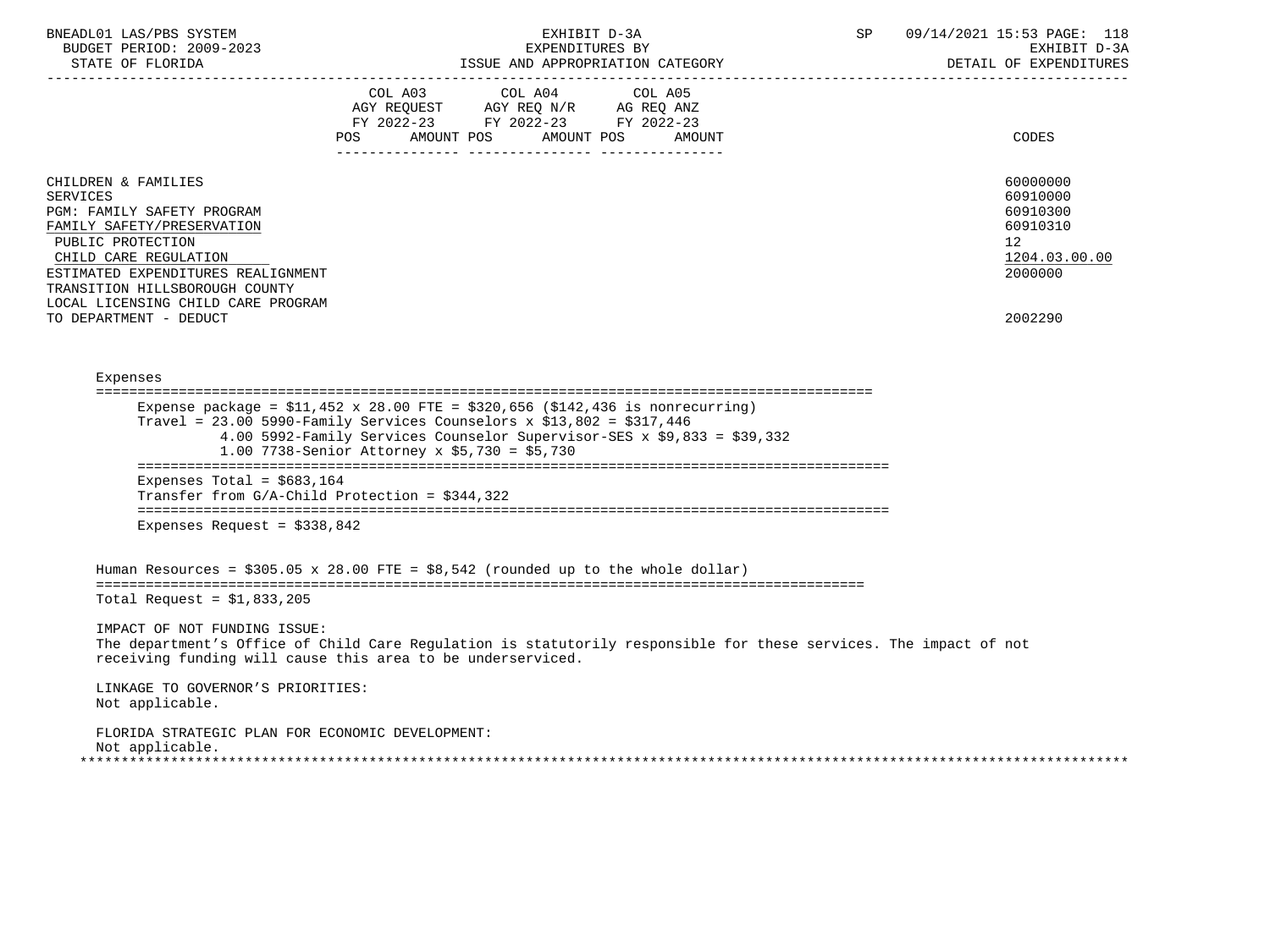| BNEADL01 LAS/PBS SYSTEM<br>BUDGET PERIOD: 2009-2023<br>STATE OF FLORIDA<br>----------------------                                                                                                                                                                                        | EXHIBIT D-3A<br>EXPENDITURES BY<br>ISSUE AND APPROPRIATION CATEGORY                                                                                                                                                                                                                            | SP | 09/14/2021 15:53 PAGE: 118<br>EXHIBIT D-3A<br>DETAIL OF EXPENDITURES                      |
|------------------------------------------------------------------------------------------------------------------------------------------------------------------------------------------------------------------------------------------------------------------------------------------|------------------------------------------------------------------------------------------------------------------------------------------------------------------------------------------------------------------------------------------------------------------------------------------------|----|-------------------------------------------------------------------------------------------|
|                                                                                                                                                                                                                                                                                          | COL A03 COL A04 COL A05<br>AGY REQUEST AGY REQ N/R AG REQ ANZ<br>FY 2022-23 FY 2022-23 FY 2022-23<br>POS AMOUNT POS AMOUNT POS AMOUNT                                                                                                                                                          |    | <b>CODES</b>                                                                              |
| CHILDREN & FAMILIES<br><b>SERVICES</b><br>PGM: FAMILY SAFETY PROGRAM<br>FAMILY SAFETY/PRESERVATION<br>PUBLIC PROTECTION<br>CHILD CARE REGULATION<br>ESTIMATED EXPENDITURES REALIGNMENT<br>TRANSITION HILLSBOROUGH COUNTY<br>LOCAL LICENSING CHILD CARE PROGRAM<br>TO DEPARTMENT - DEDUCT |                                                                                                                                                                                                                                                                                                |    | 60000000<br>60910000<br>60910300<br>60910310<br>12<br>1204.03.00.00<br>2000000<br>2002290 |
| Expenses                                                                                                                                                                                                                                                                                 | Expense package = $$11,452 \times 28.00$ FTE = $$320,656$ ( $$142,436$ is nonrecurring)<br>Travel = $23.00$ 5990-Family Services Counselors x \$13,802 = \$317,446<br>4.00 5992-Family Services Counselor Supervisor-SES x \$9,833 = \$39,332<br>1.00 7738-Senior Attorney x $$5,730 = $5,730$ |    |                                                                                           |
| Expenses Total = $$683,164$                                                                                                                                                                                                                                                              | Transfer from $G/A$ -Child Protection = \$344,322                                                                                                                                                                                                                                              |    |                                                                                           |
| Expenses Request = $$338,842$                                                                                                                                                                                                                                                            |                                                                                                                                                                                                                                                                                                |    |                                                                                           |
|                                                                                                                                                                                                                                                                                          | Human Resources = $$305.05 \times 28.00$ FTE = $$8,542$ (rounded up to the whole dollar)                                                                                                                                                                                                       |    |                                                                                           |
| Total Request = $$1,833,205$                                                                                                                                                                                                                                                             |                                                                                                                                                                                                                                                                                                |    |                                                                                           |
| IMPACT OF NOT FUNDING ISSUE:                                                                                                                                                                                                                                                             | The department's Office of Child Care Regulation is statutorily responsible for these services. The impact of not<br>receiving funding will cause this area to be underserviced.                                                                                                               |    |                                                                                           |
| LINKAGE TO GOVERNOR'S PRIORITIES:<br>Not applicable.                                                                                                                                                                                                                                     |                                                                                                                                                                                                                                                                                                |    |                                                                                           |
| FLORIDA STRATEGIC PLAN FOR ECONOMIC DEVELOPMENT:<br>Not applicable.                                                                                                                                                                                                                      |                                                                                                                                                                                                                                                                                                |    |                                                                                           |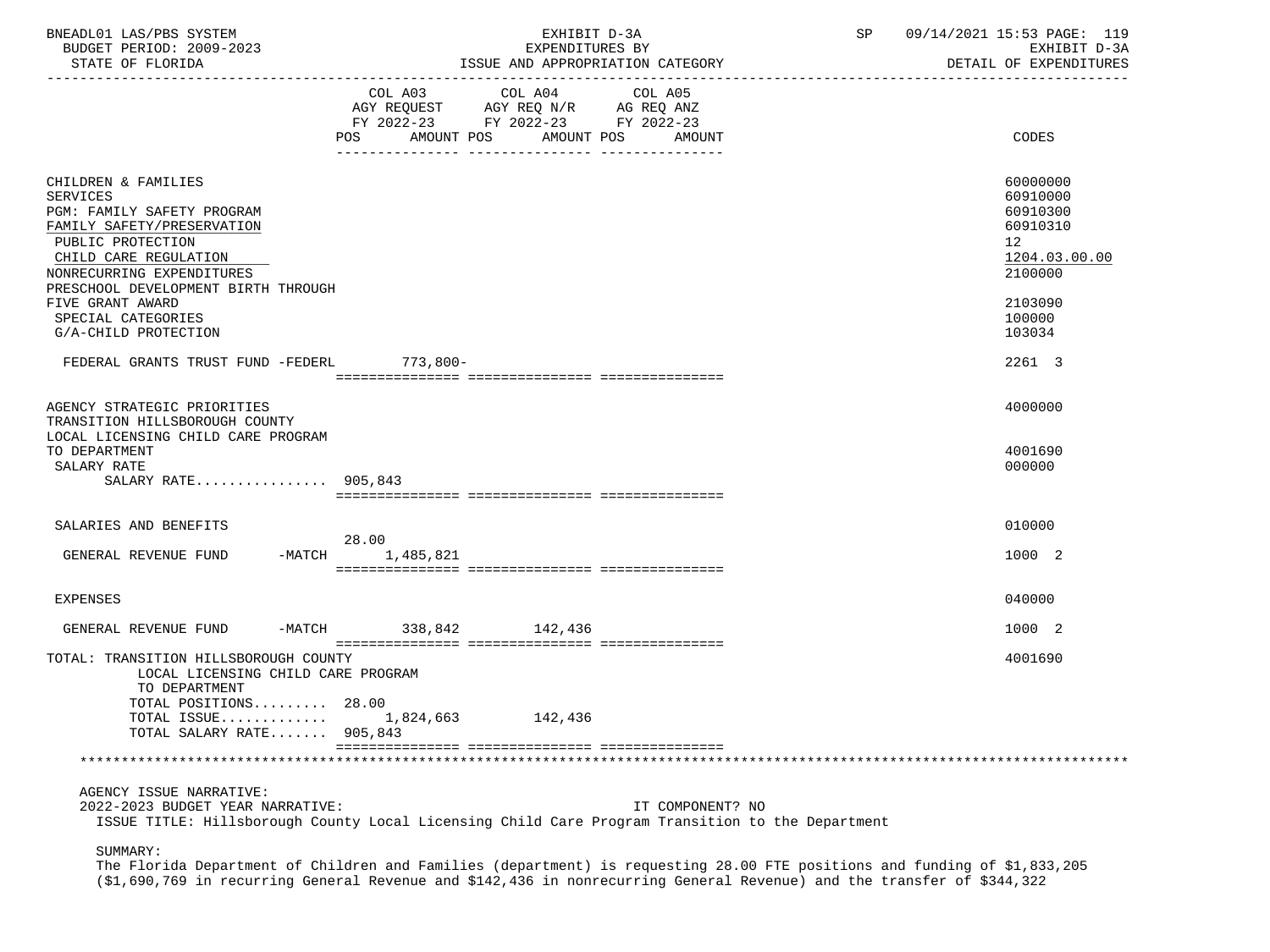| BNEADL01 LAS/PBS SYSTEM<br>BUDGET PERIOD: 2009-2023<br>STATE OF FLORIDA                                                                                                                                                                  | EXHIBIT D-3A<br>EXPENDITURES BY<br>ISSUE AND APPROPRIATION CATEGORY                                                                               | SP 09/14/2021 15:53 PAGE: 119<br>EXHIBIT D-3A<br>DETAIL OF EXPENDITURES                   |
|------------------------------------------------------------------------------------------------------------------------------------------------------------------------------------------------------------------------------------------|---------------------------------------------------------------------------------------------------------------------------------------------------|-------------------------------------------------------------------------------------------|
|                                                                                                                                                                                                                                          | COL A03 COL A04<br>COL A05<br>AGY REQUEST AGY REQ N/R AG REQ ANZ<br>FY 2022-23 FY 2022-23 FY 2022-23<br>AMOUNT POS<br>POS<br>AMOUNT POS<br>AMOUNT | CODES                                                                                     |
| CHILDREN & FAMILIES<br><b>SERVICES</b><br>PGM: FAMILY SAFETY PROGRAM<br>FAMILY SAFETY/PRESERVATION<br>PUBLIC PROTECTION<br>CHILD CARE REGULATION<br>NONRECURRING EXPENDITURES<br>PRESCHOOL DEVELOPMENT BIRTH THROUGH<br>FIVE GRANT AWARD |                                                                                                                                                   | 60000000<br>60910000<br>60910300<br>60910310<br>12<br>1204.03.00.00<br>2100000<br>2103090 |
| SPECIAL CATEGORIES<br>G/A-CHILD PROTECTION                                                                                                                                                                                               |                                                                                                                                                   | 100000<br>103034                                                                          |
| FEDERAL GRANTS TRUST FUND -FEDERL 773,800-                                                                                                                                                                                               |                                                                                                                                                   | 2261 3                                                                                    |
| AGENCY STRATEGIC PRIORITIES<br>TRANSITION HILLSBOROUGH COUNTY<br>LOCAL LICENSING CHILD CARE PROGRAM                                                                                                                                      |                                                                                                                                                   | 4000000                                                                                   |
| TO DEPARTMENT<br>SALARY RATE<br>SALARY RATE 905,843                                                                                                                                                                                      |                                                                                                                                                   | 4001690<br>000000                                                                         |
|                                                                                                                                                                                                                                          |                                                                                                                                                   |                                                                                           |
| SALARIES AND BENEFITS                                                                                                                                                                                                                    | 28.00                                                                                                                                             | 010000                                                                                    |
| GENERAL REVENUE FUND                                                                                                                                                                                                                     | -MATCH 1,485,821                                                                                                                                  | 1000 2                                                                                    |
| <b>EXPENSES</b>                                                                                                                                                                                                                          |                                                                                                                                                   | 040000                                                                                    |
| GENERAL REVENUE FUND -MATCH 338,842 142,436                                                                                                                                                                                              |                                                                                                                                                   | 1000 2                                                                                    |
| TOTAL: TRANSITION HILLSBOROUGH COUNTY<br>LOCAL LICENSING CHILD CARE PROGRAM<br>TO DEPARTMENT<br>TOTAL POSITIONS 28.00                                                                                                                    |                                                                                                                                                   | 4001690                                                                                   |
| TOTAL ISSUE<br>TOTAL SALARY RATE 905,843                                                                                                                                                                                                 | 1,824,663<br>142,436                                                                                                                              |                                                                                           |
|                                                                                                                                                                                                                                          |                                                                                                                                                   |                                                                                           |
| AGENCY ISSUE NARRATIVE:                                                                                                                                                                                                                  |                                                                                                                                                   |                                                                                           |
| 2022-2023 BUDGET YEAR NARRATIVE:                                                                                                                                                                                                         | IT COMPONENT? NO<br>ISSUE TITLE: Hillsborough County Local Licensing Child Care Program Transition to the Department                              |                                                                                           |
| SUMMARY:                                                                                                                                                                                                                                 |                                                                                                                                                   |                                                                                           |

 The Florida Department of Children and Families (department) is requesting 28.00 FTE positions and funding of \$1,833,205 (\$1,690,769 in recurring General Revenue and \$142,436 in nonrecurring General Revenue) and the transfer of \$344,322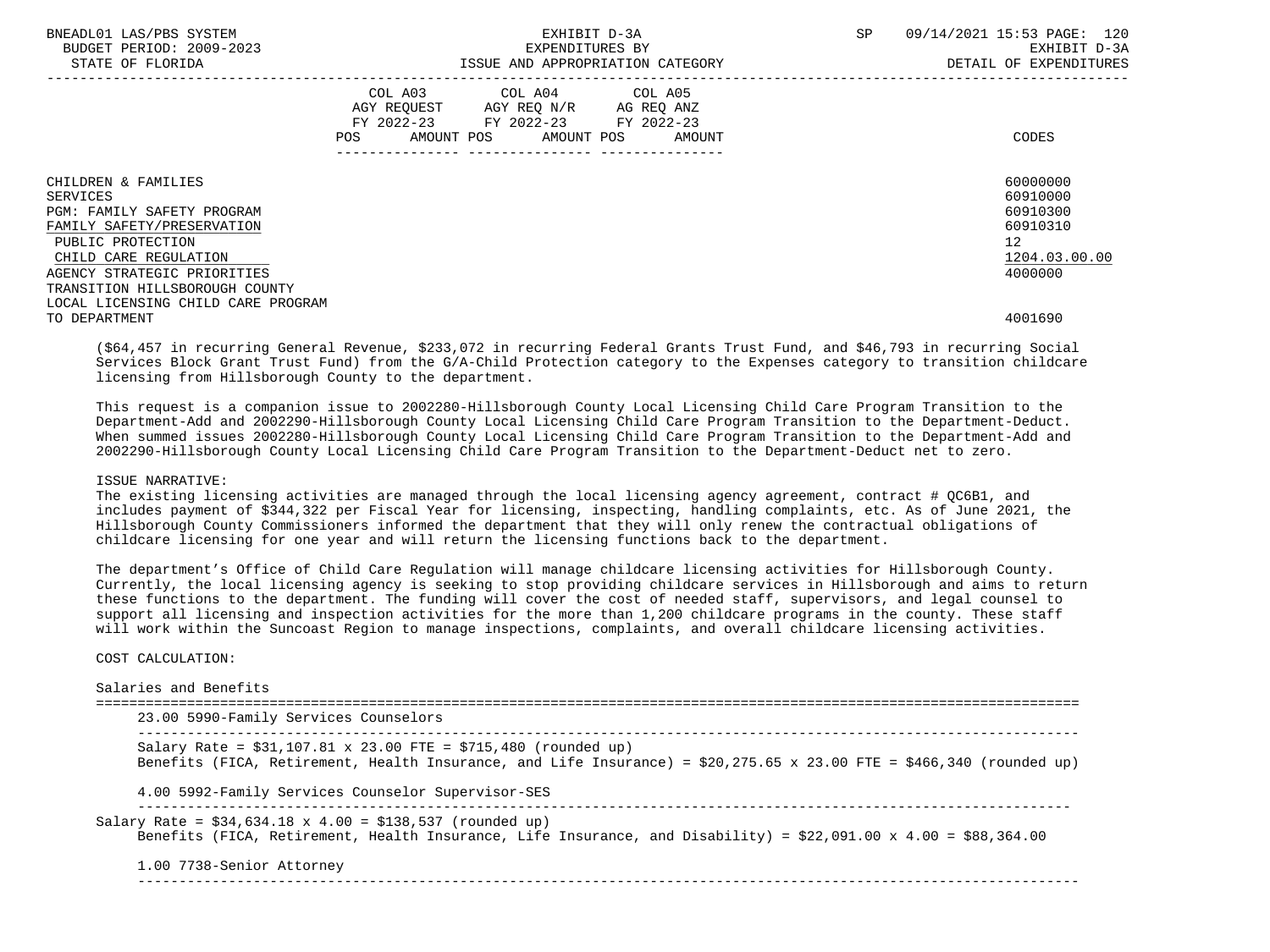| BNEADL01 LAS/PBS SYSTEM<br>BUDGET PERIOD: 2009-2023<br>STATE OF FLORIDA                                                                                                                                                                                 | EXHIBIT D-3A<br>EXPENDITURES BY<br>ISSUE AND APPROPRIATION CATEGORY                                                                            | 09/14/2021 15:53 PAGE: 120<br><b>SP</b><br>EXHIBIT D-3A<br>DETAIL OF EXPENDITURES           |
|---------------------------------------------------------------------------------------------------------------------------------------------------------------------------------------------------------------------------------------------------------|------------------------------------------------------------------------------------------------------------------------------------------------|---------------------------------------------------------------------------------------------|
|                                                                                                                                                                                                                                                         | COL A03 COL A04 COL A05<br>AGY REOUEST AGY REO N/R<br>AG REQ ANZ<br>FY 2022-23 FY 2022-23 FY 2022-23<br>POS<br>AMOUNT POS AMOUNT POS<br>AMOUNT | CODES                                                                                       |
| CHILDREN & FAMILIES<br>SERVICES<br><b>PGM: FAMILY SAFETY PROGRAM</b><br>FAMILY SAFETY/PRESERVATION<br>PUBLIC PROTECTION<br>CHILD CARE REGULATION<br>AGENCY STRATEGIC PRIORITIES<br>TRANSITION HILLSBOROUGH COUNTY<br>LOCAL LICENSING CHILD CARE PROGRAM |                                                                                                                                                | 60000000<br>60910000<br>60910300<br>60910310<br>12 <sup>7</sup><br>1204.03.00.00<br>4000000 |
| TO DEPARTMENT                                                                                                                                                                                                                                           |                                                                                                                                                | 4001690                                                                                     |

 (\$64,457 in recurring General Revenue, \$233,072 in recurring Federal Grants Trust Fund, and \$46,793 in recurring Social Services Block Grant Trust Fund) from the G/A-Child Protection category to the Expenses category to transition childcare licensing from Hillsborough County to the department.

 This request is a companion issue to 2002280-Hillsborough County Local Licensing Child Care Program Transition to the Department-Add and 2002290-Hillsborough County Local Licensing Child Care Program Transition to the Department-Deduct. When summed issues 2002280-Hillsborough County Local Licensing Child Care Program Transition to the Department-Add and 2002290-Hillsborough County Local Licensing Child Care Program Transition to the Department-Deduct net to zero.

#### ISSUE NARRATIVE:

 The existing licensing activities are managed through the local licensing agency agreement, contract # QC6B1, and includes payment of \$344,322 per Fiscal Year for licensing, inspecting, handling complaints, etc. As of June 2021, the Hillsborough County Commissioners informed the department that they will only renew the contractual obligations of childcare licensing for one year and will return the licensing functions back to the department.

 The department's Office of Child Care Regulation will manage childcare licensing activities for Hillsborough County. Currently, the local licensing agency is seeking to stop providing childcare services in Hillsborough and aims to return these functions to the department. The funding will cover the cost of needed staff, supervisors, and legal counsel to support all licensing and inspection activities for the more than 1,200 childcare programs in the county. These staff will work within the Suncoast Region to manage inspections, complaints, and overall childcare licensing activities.

## COST CALCULATION:

| 23.00 5990-Family Services Counselors                                                                                                                                                         |
|-----------------------------------------------------------------------------------------------------------------------------------------------------------------------------------------------|
| Salary Rate = $$31,107.81 \times 23.00$ FTE = $$715,480$ (rounded up)<br>Benefits (FICA, Retirement, Health Insurance, and Life Insurance) = \$20,275.65 x 23.00 FTE = \$466,340 (rounded up) |
| 4.00 5992-Family Services Counselor Supervisor-SES                                                                                                                                            |
| Salary Rate = $$34,634.18 \times 4.00 = $138,537$ (rounded up)<br>Benefits (FICA, Retirement, Health Insurance, Life Insurance, and Disability) = \$22,091.00 x 4.00 = \$88,364.00            |
| 1.00 7738-Senior Attorney                                                                                                                                                                     |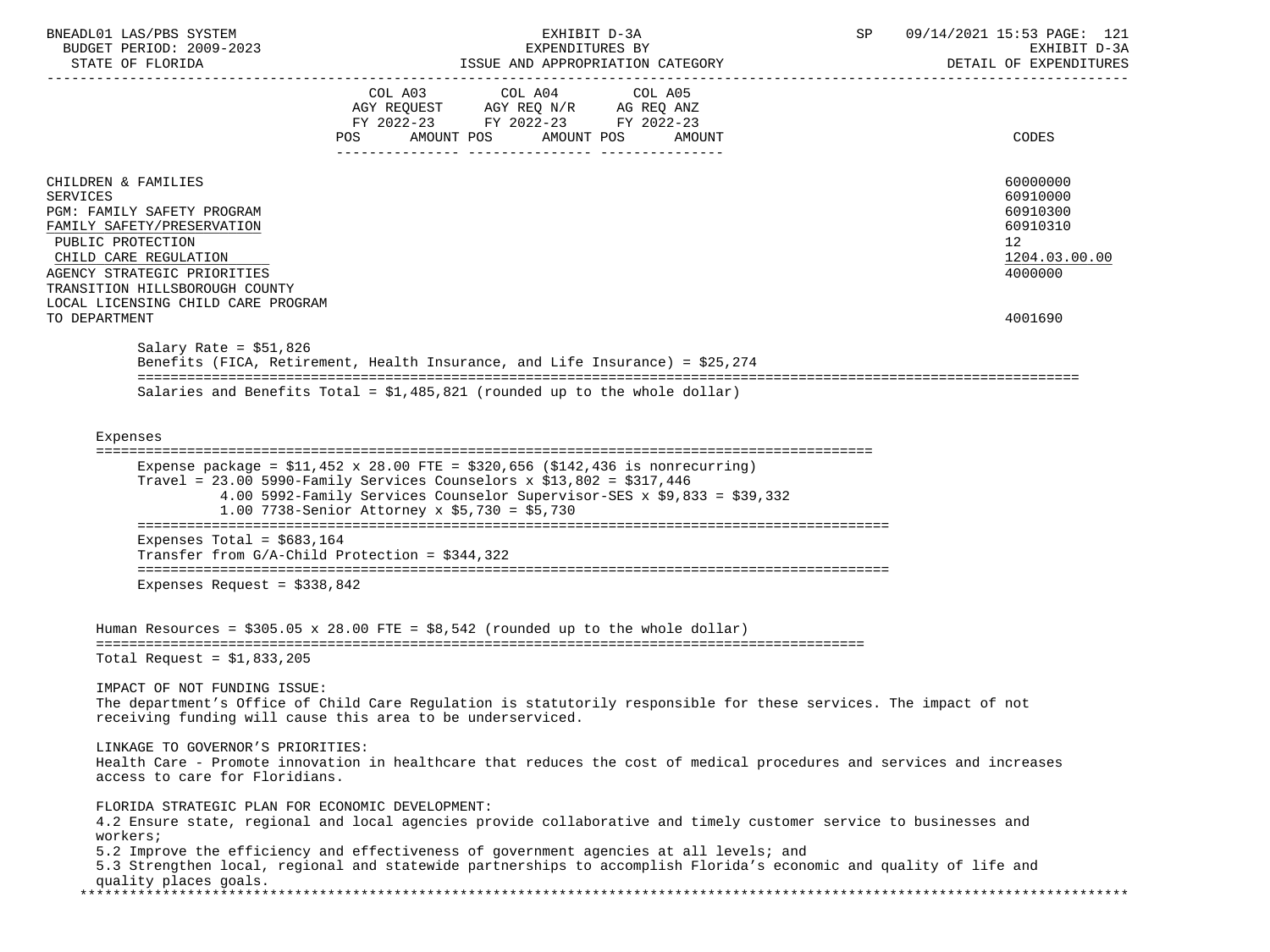| BNEADL01 LAS/PBS SYSTEM<br>BUDGET PERIOD: 2009-2023             | EXHIBIT D-3A<br>EXPENDITURES BY                                                                                                                                                                                                                                                                | SP | 09/14/2021 15:53 PAGE: 121<br>EXHIBIT D-3A |
|-----------------------------------------------------------------|------------------------------------------------------------------------------------------------------------------------------------------------------------------------------------------------------------------------------------------------------------------------------------------------|----|--------------------------------------------|
| STATE OF FLORIDA                                                | ISSUE AND APPROPRIATION CATEGORY                                                                                                                                                                                                                                                               |    | DETAIL OF EXPENDITURES                     |
|                                                                 |                                                                                                                                                                                                                                                                                                |    |                                            |
|                                                                 | FY 2022-23 FY 2022-23 FY 2022-23                                                                                                                                                                                                                                                               |    |                                            |
|                                                                 | AMOUNT POS AMOUNT POS<br>POS<br>AMOUNT                                                                                                                                                                                                                                                         |    | CODES                                      |
|                                                                 |                                                                                                                                                                                                                                                                                                |    |                                            |
| CHILDREN & FAMILIES                                             |                                                                                                                                                                                                                                                                                                |    | 60000000                                   |
| <b>SERVICES</b>                                                 |                                                                                                                                                                                                                                                                                                |    | 60910000                                   |
| <b>PGM: FAMILY SAFETY PROGRAM</b><br>FAMILY SAFETY/PRESERVATION |                                                                                                                                                                                                                                                                                                |    | 60910300<br>60910310                       |
| PUBLIC PROTECTION                                               |                                                                                                                                                                                                                                                                                                |    | 12 <sup>°</sup>                            |
| CHILD CARE REGULATION                                           |                                                                                                                                                                                                                                                                                                |    | 1204.03.00.00                              |
| AGENCY STRATEGIC PRIORITIES                                     |                                                                                                                                                                                                                                                                                                |    | 4000000                                    |
| TRANSITION HILLSBOROUGH COUNTY                                  |                                                                                                                                                                                                                                                                                                |    |                                            |
| LOCAL LICENSING CHILD CARE PROGRAM<br>TO DEPARTMENT             |                                                                                                                                                                                                                                                                                                |    | 4001690                                    |
|                                                                 |                                                                                                                                                                                                                                                                                                |    |                                            |
| Salary Rate = $$51,826$                                         |                                                                                                                                                                                                                                                                                                |    |                                            |
|                                                                 | Benefits (FICA, Retirement, Health Insurance, and Life Insurance) = \$25,274                                                                                                                                                                                                                   |    |                                            |
|                                                                 | Salaries and Benefits Total = $$1,485,821$ (rounded up to the whole dollar)                                                                                                                                                                                                                    |    |                                            |
|                                                                 |                                                                                                                                                                                                                                                                                                |    |                                            |
|                                                                 |                                                                                                                                                                                                                                                                                                |    |                                            |
| Expenses                                                        |                                                                                                                                                                                                                                                                                                |    |                                            |
|                                                                 | Expense package = $$11,452 \times 28.00$ FTE = $$320,656$ ( $$142,436$ is nonrecurring)<br>Travel = $23.00$ 5990-Family Services Counselors x \$13,802 = \$317,446<br>4.00 5992-Family Services Counselor Supervisor-SES x \$9,833 = \$39,332<br>1.00 7738-Senior Attorney x \$5,730 = \$5,730 |    |                                            |
|                                                                 |                                                                                                                                                                                                                                                                                                |    |                                            |
| Expenses Total = $$683,164$                                     |                                                                                                                                                                                                                                                                                                |    |                                            |
|                                                                 | Transfer from $G/A$ -Child Protection = \$344,322                                                                                                                                                                                                                                              |    |                                            |
| Expenses Request = $$338,842$                                   |                                                                                                                                                                                                                                                                                                |    |                                            |
|                                                                 |                                                                                                                                                                                                                                                                                                |    |                                            |
|                                                                 | Human Resources = $$305.05 \times 28.00$ FTE = $$8,542$ (rounded up to the whole dollar)                                                                                                                                                                                                       |    |                                            |
| Total Request = $$1,833,205$                                    |                                                                                                                                                                                                                                                                                                |    |                                            |
|                                                                 |                                                                                                                                                                                                                                                                                                |    |                                            |
| IMPACT OF NOT FUNDING ISSUE:                                    | The department's Office of Child Care Regulation is statutorily responsible for these services. The impact of not<br>receiving funding will cause this area to be underserviced.                                                                                                               |    |                                            |
| LINKAGE TO GOVERNOR'S PRIORITIES:                               |                                                                                                                                                                                                                                                                                                |    |                                            |
|                                                                 | Health Care - Promote innovation in healthcare that reduces the cost of medical procedures and services and increases                                                                                                                                                                          |    |                                            |
| access to care for Floridians.                                  |                                                                                                                                                                                                                                                                                                |    |                                            |
| FLORIDA STRATEGIC PLAN FOR ECONOMIC DEVELOPMENT:                |                                                                                                                                                                                                                                                                                                |    |                                            |
| workers;                                                        | 4.2 Ensure state, regional and local agencies provide collaborative and timely customer service to businesses and                                                                                                                                                                              |    |                                            |
|                                                                 | 5.2 Improve the efficiency and effectiveness of government agencies at all levels; and                                                                                                                                                                                                         |    |                                            |
|                                                                 | 5.3 Strengthen local, regional and statewide partnerships to accomplish Florida's economic and quality of life and                                                                                                                                                                             |    |                                            |
| quality places goals.                                           |                                                                                                                                                                                                                                                                                                |    |                                            |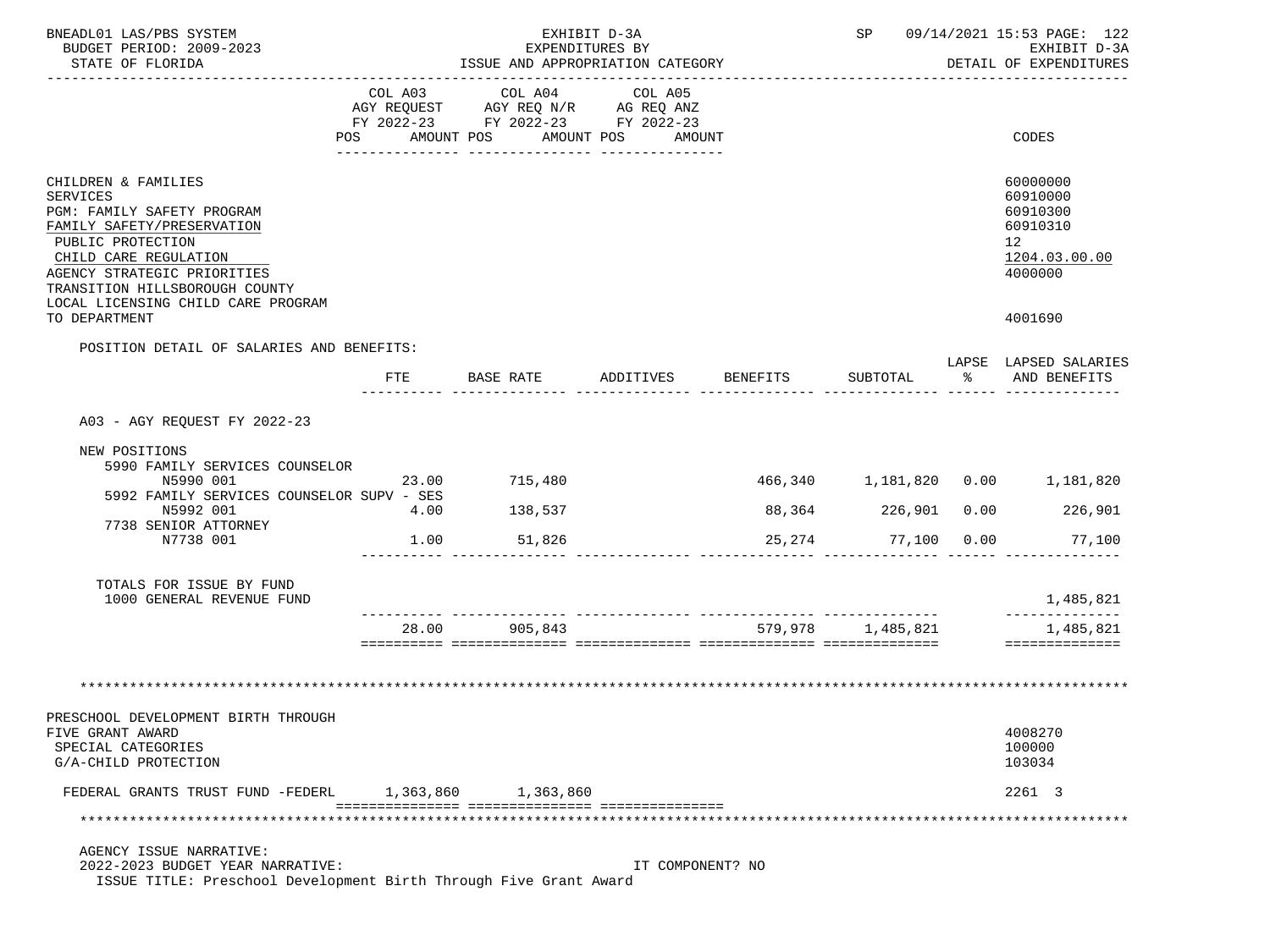| BNEADL01 LAS/PBS SYSTEM<br>BUDGET PERIOD: 2009-2023                                                                                                                                                                                              |           |                                                                                                                | EXHIBIT D-3A<br>EXPENDITURES BY |                     |              | SP 09/14/2021 15:53 PAGE: 122<br>EXHIBIT D-3A                                  |
|--------------------------------------------------------------------------------------------------------------------------------------------------------------------------------------------------------------------------------------------------|-----------|----------------------------------------------------------------------------------------------------------------|---------------------------------|---------------------|--------------|--------------------------------------------------------------------------------|
| STATE OF FLORIDA                                                                                                                                                                                                                                 |           | ISSUE AND APPROPRIATION CATEGORY                                                                               |                                 |                     |              | DETAIL OF EXPENDITURES<br>_____________________                                |
|                                                                                                                                                                                                                                                  | COL A03   | COL A04<br>AGY REQUEST AGY REQ N/R AG REQ ANZ<br>FY 2022-23 FY 2022-23 FY 2022-23<br>POS AMOUNT POS AMOUNT POS | COL A05<br>AMOUNT               |                     |              | CODES                                                                          |
| CHILDREN & FAMILIES<br>SERVICES<br>PGM: FAMILY SAFETY PROGRAM<br>FAMILY SAFETY/PRESERVATION<br>PUBLIC PROTECTION<br>CHILD CARE REGULATION<br>AGENCY STRATEGIC PRIORITIES<br>TRANSITION HILLSBOROUGH COUNTY<br>LOCAL LICENSING CHILD CARE PROGRAM |           |                                                                                                                |                                 |                     |              | 60000000<br>60910000<br>60910300<br>60910310<br>12<br>1204.03.00.00<br>4000000 |
| TO DEPARTMENT                                                                                                                                                                                                                                    |           |                                                                                                                |                                 |                     |              | 4001690                                                                        |
| POSITION DETAIL OF SALARIES AND BENEFITS:                                                                                                                                                                                                        |           |                                                                                                                |                                 |                     |              | LAPSE LAPSED SALARIES                                                          |
|                                                                                                                                                                                                                                                  | FTE       |                                                                                                                |                                 |                     | ားကို $\sim$ | AND BENEFITS                                                                   |
| A03 - AGY REQUEST FY 2022-23                                                                                                                                                                                                                     |           |                                                                                                                |                                 |                     |              |                                                                                |
| NEW POSITIONS<br>5990 FAMILY SERVICES COUNSELOR<br>N5990 001                                                                                                                                                                                     | 23.00     | 715,480                                                                                                        |                                 |                     |              | 466,340   1,181,820   0.00   1,181,820                                         |
| 5992 FAMILY SERVICES COUNSELOR SUPV - SES<br>N5992 001<br>7738 SENIOR ATTORNEY                                                                                                                                                                   | 4.00      | 138,537                                                                                                        |                                 | 88,364 226,901 0.00 |              | 226,901                                                                        |
| N7738 001                                                                                                                                                                                                                                        | 1.00      | 51,826                                                                                                         |                                 |                     |              | 25,274 77,100 0.00 77,100                                                      |
| TOTALS FOR ISSUE BY FUND<br>1000 GENERAL REVENUE FUND                                                                                                                                                                                            |           |                                                                                                                |                                 |                     |              | 1,485,821                                                                      |
|                                                                                                                                                                                                                                                  | 28.00     | 905,843                                                                                                        |                                 |                     |              | 1,485,821<br>==============                                                    |
|                                                                                                                                                                                                                                                  |           |                                                                                                                |                                 |                     |              |                                                                                |
| PRESCHOOL DEVELOPMENT BIRTH THROUGH<br>FIVE GRANT AWARD<br>SPECIAL CATEGORIES<br>G/A-CHILD PROTECTION                                                                                                                                            |           |                                                                                                                |                                 |                     |              | 4008270<br>100000<br>103034                                                    |
| FEDERAL GRANTS TRUST FUND -FEDERL                                                                                                                                                                                                                | 1,363,860 | 1,363,860                                                                                                      |                                 |                     |              | 2261 3                                                                         |
|                                                                                                                                                                                                                                                  |           |                                                                                                                |                                 |                     |              |                                                                                |
| AGENCY ISSUE NARRATIVE:<br>2022-2023 BUDGET YEAR NARRATIVE:<br>ISSUE TITLE: Preschool Development Birth Through Five Grant Award                                                                                                                 |           |                                                                                                                | IT COMPONENT? NO                |                     |              |                                                                                |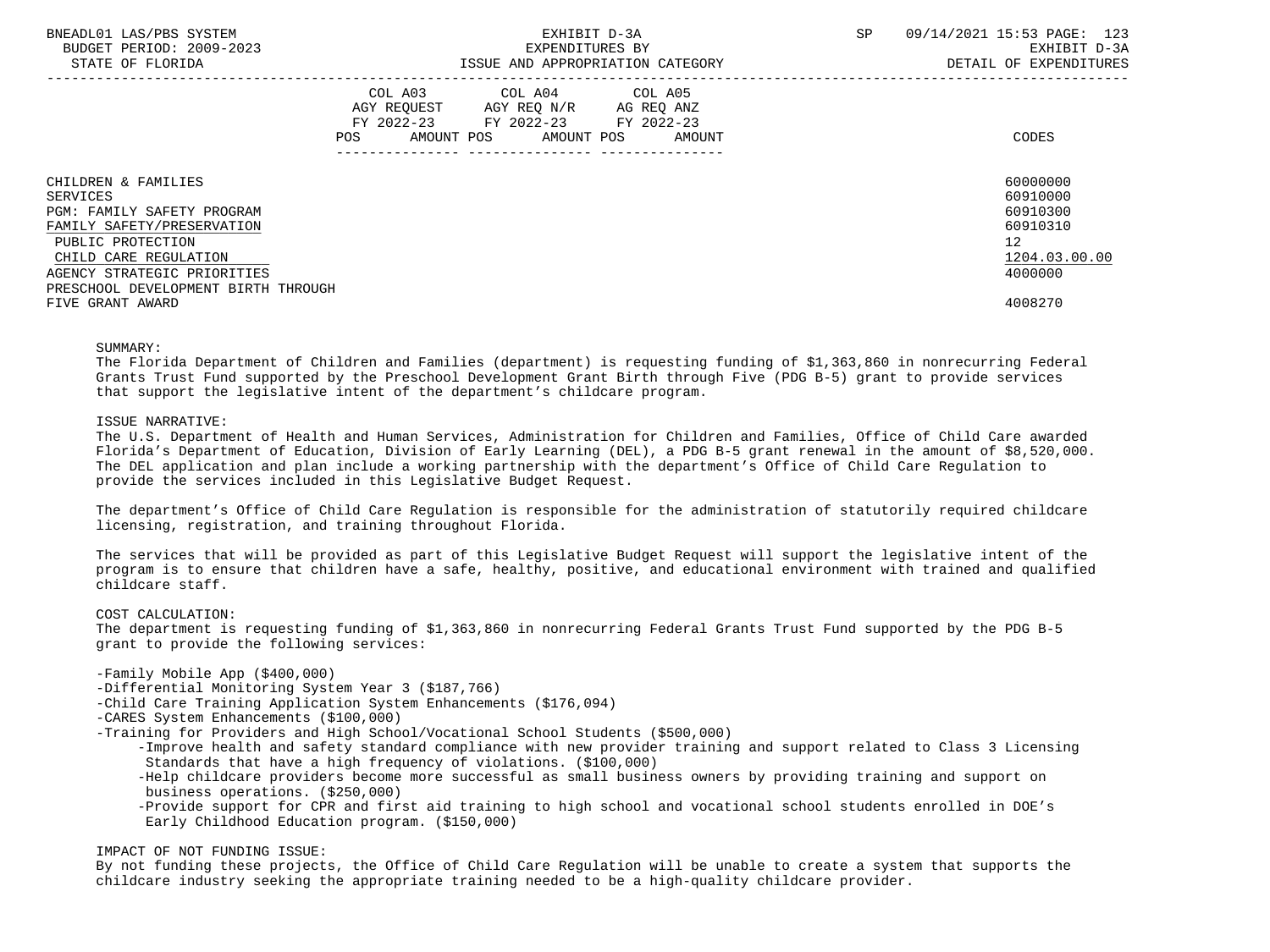| BNEADL01 LAS/PBS SYSTEM<br>BUDGET PERIOD: 2009-2023<br>STATE OF FLORIDA                     | EXHIBIT D-3A<br>EXPENDITURES BY<br>ISSUE AND APPROPRIATION CATEGORY |  |                                                                                                                                   |  | <b>SP</b> | 09/14/2021 15:53 PAGE: 123<br>EXHIBIT D-3A<br>DETAIL OF EXPENDITURES |
|---------------------------------------------------------------------------------------------|---------------------------------------------------------------------|--|-----------------------------------------------------------------------------------------------------------------------------------|--|-----------|----------------------------------------------------------------------|
|                                                                                             | POS                                                                 |  | COL A03 COL A04 COL A05<br>AGY REOUEST AGY REO N/R AG REO ANZ<br>FY 2022-23 FY 2022-23 FY 2022-23<br>AMOUNT POS AMOUNT POS AMOUNT |  |           | CODES                                                                |
| CHILDREN & FAMILIES<br>SERVICES<br>PGM: FAMILY SAFETY PROGRAM<br>FAMILY SAFETY/PRESERVATION |                                                                     |  |                                                                                                                                   |  |           | 60000000<br>60910000<br>60910300<br>60910310                         |
| PUBLIC PROTECTION<br>CHILD CARE REGULATION                                                  |                                                                     |  |                                                                                                                                   |  |           | 12 <sup>°</sup><br>1204.03.00.00                                     |
| AGENCY STRATEGIC PRIORITIES<br>PRESCHOOL DEVELOPMENT BIRTH THROUGH<br>FIVE GRANT AWARD      |                                                                     |  |                                                                                                                                   |  |           | 4000000<br>4008270                                                   |

## SUMMARY:

 The Florida Department of Children and Families (department) is requesting funding of \$1,363,860 in nonrecurring Federal Grants Trust Fund supported by the Preschool Development Grant Birth through Five (PDG B-5) grant to provide services that support the legislative intent of the department's childcare program.

## ISSUE NARRATIVE:

 The U.S. Department of Health and Human Services, Administration for Children and Families, Office of Child Care awarded Florida's Department of Education, Division of Early Learning (DEL), a PDG B-5 grant renewal in the amount of \$8,520,000. The DEL application and plan include a working partnership with the department's Office of Child Care Regulation to provide the services included in this Legislative Budget Request.

 The department's Office of Child Care Regulation is responsible for the administration of statutorily required childcare licensing, registration, and training throughout Florida.

 The services that will be provided as part of this Legislative Budget Request will support the legislative intent of the program is to ensure that children have a safe, healthy, positive, and educational environment with trained and qualified childcare staff.

# COST CALCULATION:

 The department is requesting funding of \$1,363,860 in nonrecurring Federal Grants Trust Fund supported by the PDG B-5 grant to provide the following services:

 -Family Mobile App (\$400,000) -Differential Monitoring System Year 3 (\$187,766) -Child Care Training Application System Enhancements (\$176,094) -CARES System Enhancements (\$100,000) -Training for Providers and High School/Vocational School Students (\$500,000) -Improve health and safety standard compliance with new provider training and support related to Class 3 Licensing Standards that have a high frequency of violations. (\$100,000) -Help childcare providers become more successful as small business owners by providing training and support on business operations. (\$250,000) -Provide support for CPR and first aid training to high school and vocational school students enrolled in DOE's Early Childhood Education program. (\$150,000)

IMPACT OF NOT FUNDING ISSUE:

 By not funding these projects, the Office of Child Care Regulation will be unable to create a system that supports the childcare industry seeking the appropriate training needed to be a high-quality childcare provider.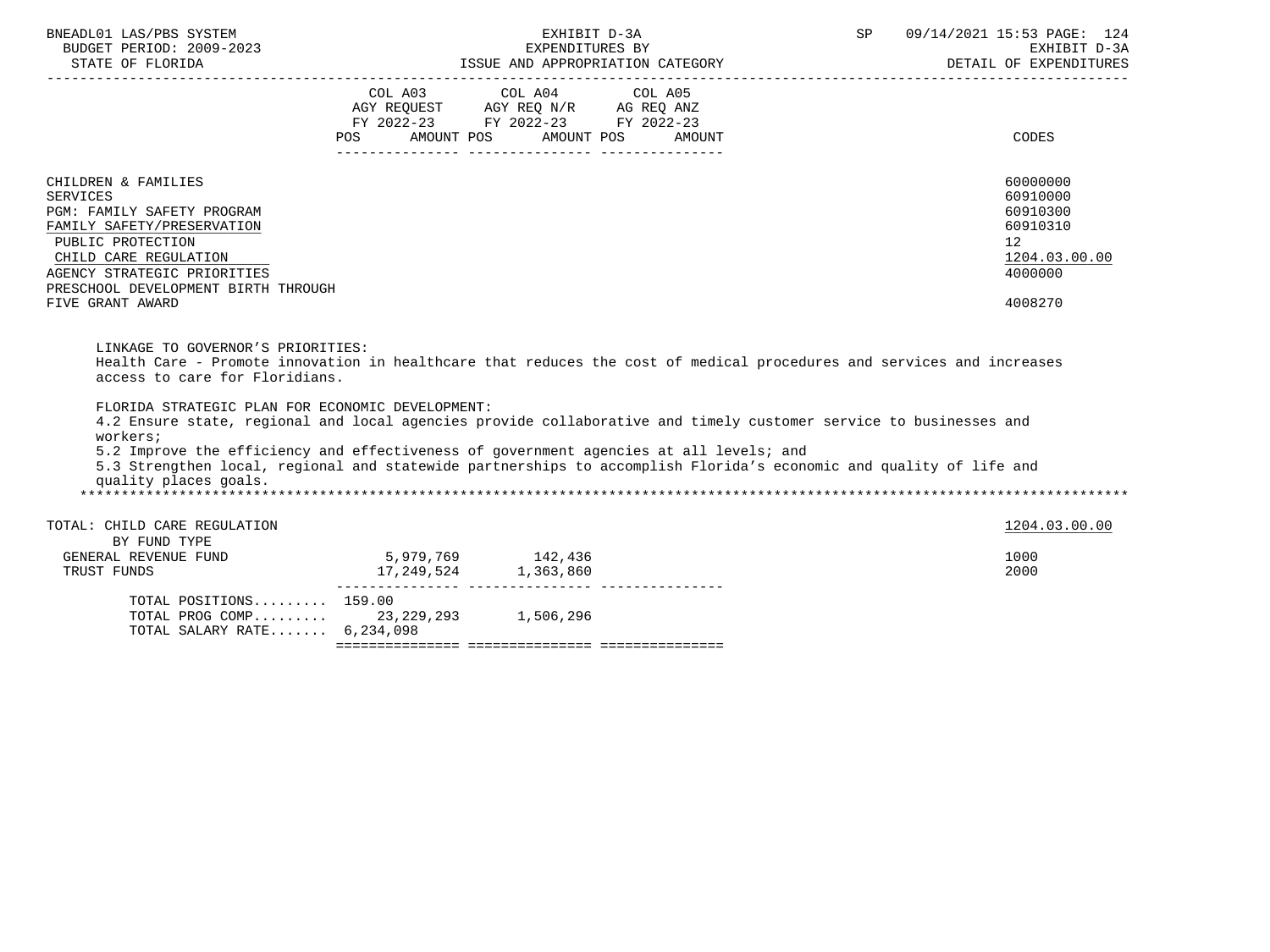| BNEADL01 LAS/PBS SYSTEM<br>BUDGET PERIOD: 2009-2023<br>STATE OF FLORIDA                                                                                                                                                                                                                                                                                                                                                    |                                                 | EXHIBIT D-3A<br>EXPENDITURES BY<br>ISSUE AND APPROPRIATION CATEGORY                                                                   | SP | 09/14/2021 15:53 PAGE: 124<br>EXHIBIT D-3A<br>DETAIL OF EXPENDITURES                                   |
|----------------------------------------------------------------------------------------------------------------------------------------------------------------------------------------------------------------------------------------------------------------------------------------------------------------------------------------------------------------------------------------------------------------------------|-------------------------------------------------|---------------------------------------------------------------------------------------------------------------------------------------|----|--------------------------------------------------------------------------------------------------------|
|                                                                                                                                                                                                                                                                                                                                                                                                                            |                                                 | COL A03 COL A04 COL A05<br>AGY REQUEST AGY REQ N/R AG REQ ANZ<br>FY 2022-23 FY 2022-23 FY 2022-23<br>POS AMOUNT POS AMOUNT POS AMOUNT |    | CODES                                                                                                  |
| CHILDREN & FAMILIES<br><b>SERVICES</b><br><b>PGM: FAMILY SAFETY PROGRAM</b><br>FAMILY SAFETY/PRESERVATION<br>PUBLIC PROTECTION<br>CHILD CARE REGULATION<br>AGENCY STRATEGIC PRIORITIES<br>PRESCHOOL DEVELOPMENT BIRTH THROUGH<br>FIVE GRANT AWARD                                                                                                                                                                          |                                                 |                                                                                                                                       |    | 60000000<br>60910000<br>60910300<br>60910310<br>12 <sup>°</sup><br>1204.03.00.00<br>4000000<br>4008270 |
| LINKAGE TO GOVERNOR'S PRIORITIES:<br>Health Care - Promote innovation in healthcare that reduces the cost of medical procedures and services and increases<br>access to care for Floridians.                                                                                                                                                                                                                               |                                                 |                                                                                                                                       |    |                                                                                                        |
| FLORIDA STRATEGIC PLAN FOR ECONOMIC DEVELOPMENT:<br>4.2 Ensure state, regional and local agencies provide collaborative and timely customer service to businesses and<br>workers;<br>5.2 Improve the efficiency and effectiveness of government agencies at all levels; and<br>5.3 Strengthen local, regional and statewide partnerships to accomplish Florida's economic and quality of life and<br>quality places goals. |                                                 |                                                                                                                                       |    |                                                                                                        |
| TOTAL: CHILD CARE REGULATION                                                                                                                                                                                                                                                                                                                                                                                               |                                                 |                                                                                                                                       |    | 1204.03.00.00                                                                                          |
| BY FUND TYPE<br>GENERAL REVENUE FUND<br>TRUST FUNDS                                                                                                                                                                                                                                                                                                                                                                        | $5,979,769$ 142,436<br>17, 249, 524 1, 363, 860 |                                                                                                                                       |    | 1000<br>2000                                                                                           |
| TOTAL POSITIONS 159.00<br>TOTAL PROG COMP 23, 229, 293 1, 506, 296<br>TOTAL SALARY RATE 6,234,098                                                                                                                                                                                                                                                                                                                          |                                                 |                                                                                                                                       |    |                                                                                                        |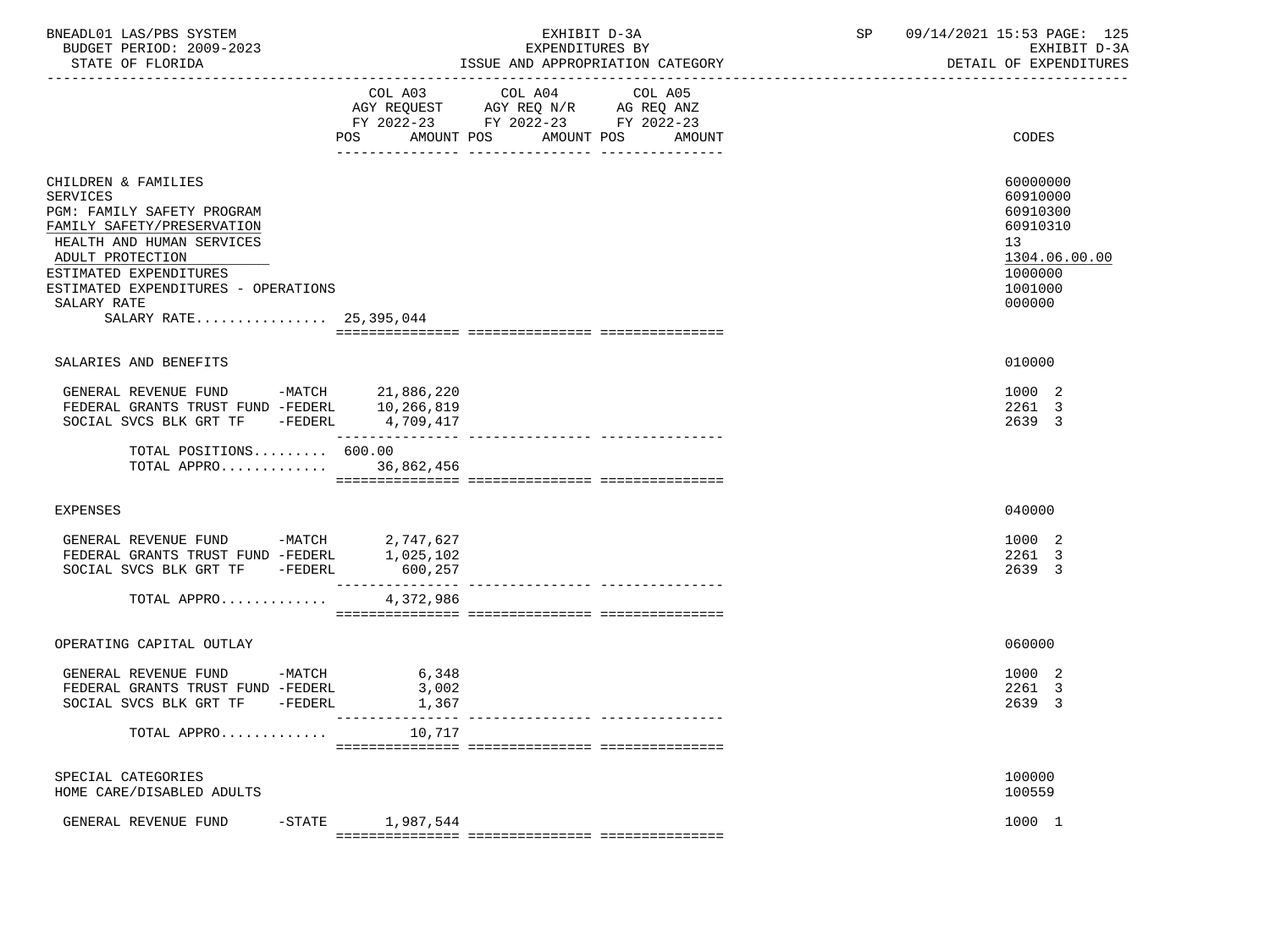| BNEADL01 LAS/PBS SYSTEM  | EXHIBIT D-3A                     | 09/14/2021 15:53 PAGE: 125 |
|--------------------------|----------------------------------|----------------------------|
| BUDGET PERIOD: 2009-2023 | EXPENDITURES BY                  | EXHIBIT D-3A               |
| STATE OF FLORIDA         | ISSUE AND APPROPRIATION CATEGORY | DETAIL OF EXPENDITURES     |

|                                                                                                                                                                                                                                                               | COL A03<br>AMOUNT POS<br>POS               | COL A04<br>AGY REQUEST AGY REQ N/R AG REQ ANZ<br>FY 2022-23 FY 2022-23 FY 2022-23 | COL A05<br>AMOUNT POS<br><b>AMOUNT</b> | CODES                                                                                               |
|---------------------------------------------------------------------------------------------------------------------------------------------------------------------------------------------------------------------------------------------------------------|--------------------------------------------|-----------------------------------------------------------------------------------|----------------------------------------|-----------------------------------------------------------------------------------------------------|
| CHILDREN & FAMILIES<br><b>SERVICES</b><br>PGM: FAMILY SAFETY PROGRAM<br>FAMILY SAFETY/PRESERVATION<br>HEALTH AND HUMAN SERVICES<br>ADULT PROTECTION<br>ESTIMATED EXPENDITURES<br>ESTIMATED EXPENDITURES - OPERATIONS<br>SALARY RATE<br>SALARY RATE 25,395,044 |                                            |                                                                                   |                                        | 60000000<br>60910000<br>60910300<br>60910310<br>13<br>1304.06.00.00<br>1000000<br>1001000<br>000000 |
| SALARIES AND BENEFITS                                                                                                                                                                                                                                         |                                            |                                                                                   |                                        | 010000                                                                                              |
| GENERAL REVENUE FUND<br>FEDERAL GRANTS TRUST FUND -FEDERL 10,266,819<br>SOCIAL SVCS BLK GRT TF<br>-FEDERL<br>TOTAL POSITIONS 600.00                                                                                                                           | -MATCH 21,886,220<br>4,709,417             |                                                                                   |                                        | 1000 2<br>2261 3<br>2639 3                                                                          |
| TOTAL APPRO 36,862,456                                                                                                                                                                                                                                        |                                            |                                                                                   |                                        |                                                                                                     |
| <b>EXPENSES</b>                                                                                                                                                                                                                                               |                                            |                                                                                   |                                        | 040000                                                                                              |
| GENERAL REVENUE FUND -MATCH $2,747,627$<br>FEDERAL GRANTS TRUST FUND -FEDERL $1,025,102$<br>SOCIAL SVCS BLK GRT TF<br>-FEDERL                                                                                                                                 | 600,257                                    |                                                                                   |                                        | 1000 2<br>2261 3<br>2639 3                                                                          |
| TOTAL APPRO                                                                                                                                                                                                                                                   | 4,372,986                                  |                                                                                   |                                        |                                                                                                     |
| OPERATING CAPITAL OUTLAY                                                                                                                                                                                                                                      |                                            |                                                                                   |                                        | 060000                                                                                              |
| GENERAL REVENUE FUND -MATCH<br>FEDERAL GRANTS TRUST FUND -FEDERL<br>SOCIAL SVCS BLK GRT TF -FEDERL                                                                                                                                                            | 6,348<br>3,002<br>1,367<br>--------------- |                                                                                   |                                        | 1000 2<br>2261 3<br>2639 3                                                                          |
| TOTAL APPRO                                                                                                                                                                                                                                                   | 10,717                                     |                                                                                   |                                        |                                                                                                     |
| SPECIAL CATEGORIES<br>HOME CARE/DISABLED ADULTS                                                                                                                                                                                                               |                                            |                                                                                   |                                        | 100000<br>100559                                                                                    |
| $-$ STATE<br>GENERAL REVENUE FUND                                                                                                                                                                                                                             | 1,987,544                                  |                                                                                   |                                        | 1000 1                                                                                              |

=============== =============== ===============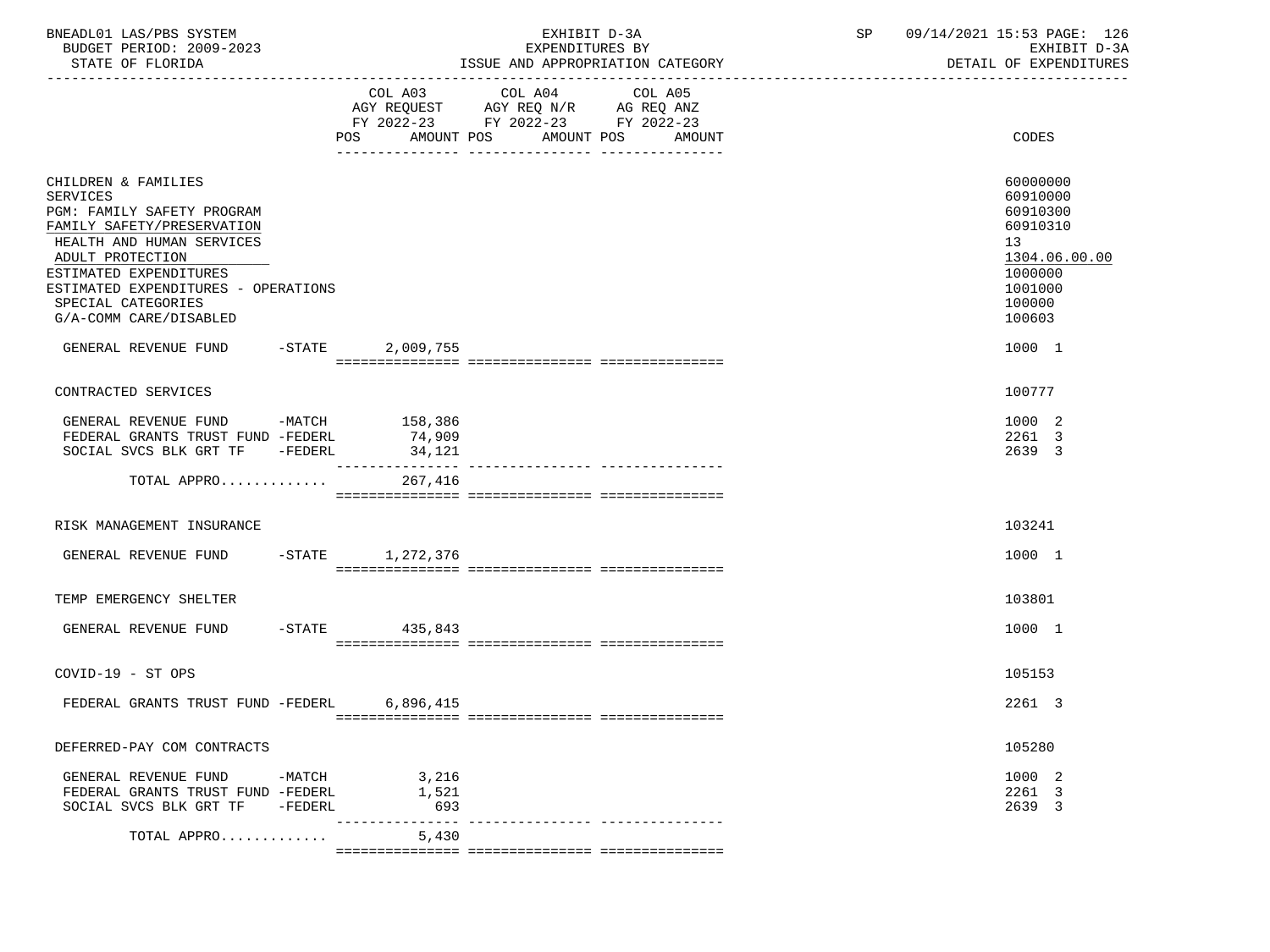| BNEADL01 LAS/PBS SYSTEM<br>BUDGET PERIOD: 2009-2023<br>STATE OF FLORIDA                                                                                                                                                                                       |                     |                                 | EXHIBIT D-3A<br>EXPENDITURES BY                                                                   | ISSUE AND APPROPRIATION CATEGORY |  | SP 09/14/2021 15:53 PAGE: 126<br>EXHIBIT D-3A<br>DETAIL OF EXPENDITURES                                       |
|---------------------------------------------------------------------------------------------------------------------------------------------------------------------------------------------------------------------------------------------------------------|---------------------|---------------------------------|---------------------------------------------------------------------------------------------------|----------------------------------|--|---------------------------------------------------------------------------------------------------------------|
|                                                                                                                                                                                                                                                               |                     | AMOUNT POS<br>POS               | COL A03 COL A04 COL A05<br>AGY REQUEST AGY REQ N/R AG REQ ANZ<br>FY 2022-23 FY 2022-23 FY 2022-23 | AMOUNT POS<br>AMOUNT             |  | CODES                                                                                                         |
| CHILDREN & FAMILIES<br>SERVICES<br>PGM: FAMILY SAFETY PROGRAM<br>FAMILY SAFETY/PRESERVATION<br>HEALTH AND HUMAN SERVICES<br>ADULT PROTECTION<br>ESTIMATED EXPENDITURES<br>ESTIMATED EXPENDITURES - OPERATIONS<br>SPECIAL CATEGORIES<br>G/A-COMM CARE/DISABLED |                     |                                 |                                                                                                   |                                  |  | 60000000<br>60910000<br>60910300<br>60910310<br>13<br>1304.06.00.00<br>1000000<br>1001000<br>100000<br>100603 |
| GENERAL REVENUE FUND -STATE                                                                                                                                                                                                                                   |                     | 2,009,755                       |                                                                                                   |                                  |  | 1000 1                                                                                                        |
| CONTRACTED SERVICES                                                                                                                                                                                                                                           |                     |                                 |                                                                                                   |                                  |  | 100777                                                                                                        |
| GENERAL REVENUE FUND -MATCH 158,386<br>FEDERAL GRANTS TRUST FUND -FEDERL<br>SOCIAL SVCS BLK GRT TF -FEDERL                                                                                                                                                    |                     | 74,909<br>34,121<br>----------- |                                                                                                   |                                  |  | 1000 2<br>2261 3<br>2639 3                                                                                    |
| TOTAL APPRO                                                                                                                                                                                                                                                   |                     | 267,416                         |                                                                                                   |                                  |  |                                                                                                               |
| RISK MANAGEMENT INSURANCE                                                                                                                                                                                                                                     |                     |                                 |                                                                                                   |                                  |  | 103241                                                                                                        |
| GENERAL REVENUE FUND                                                                                                                                                                                                                                          |                     | -STATE 1,272,376                |                                                                                                   |                                  |  | 1000 1                                                                                                        |
| TEMP EMERGENCY SHELTER                                                                                                                                                                                                                                        |                     |                                 |                                                                                                   |                                  |  | 103801                                                                                                        |
| GENERAL REVENUE FUND                                                                                                                                                                                                                                          |                     | $-STATE$ 435,843                |                                                                                                   |                                  |  | 1000 1                                                                                                        |
| COVID-19 - ST OPS                                                                                                                                                                                                                                             |                     |                                 |                                                                                                   |                                  |  | 105153                                                                                                        |
| FEDERAL GRANTS TRUST FUND -FEDERL 6,896,415                                                                                                                                                                                                                   |                     |                                 |                                                                                                   |                                  |  | 2261 3                                                                                                        |
| DEFERRED-PAY COM CONTRACTS                                                                                                                                                                                                                                    |                     |                                 |                                                                                                   |                                  |  | 105280                                                                                                        |
| GENERAL REVENUE FUND<br>FEDERAL GRANTS TRUST FUND -FEDERL<br>SOCIAL SVCS BLK GRT TF                                                                                                                                                                           | -MATCH<br>$-FEDERL$ | 3,216<br>1,521<br>693           |                                                                                                   |                                  |  | 1000 2<br>2261 3<br>2639 3                                                                                    |
| TOTAL APPRO                                                                                                                                                                                                                                                   |                     | 5,430                           |                                                                                                   |                                  |  |                                                                                                               |

=============== =============== ===============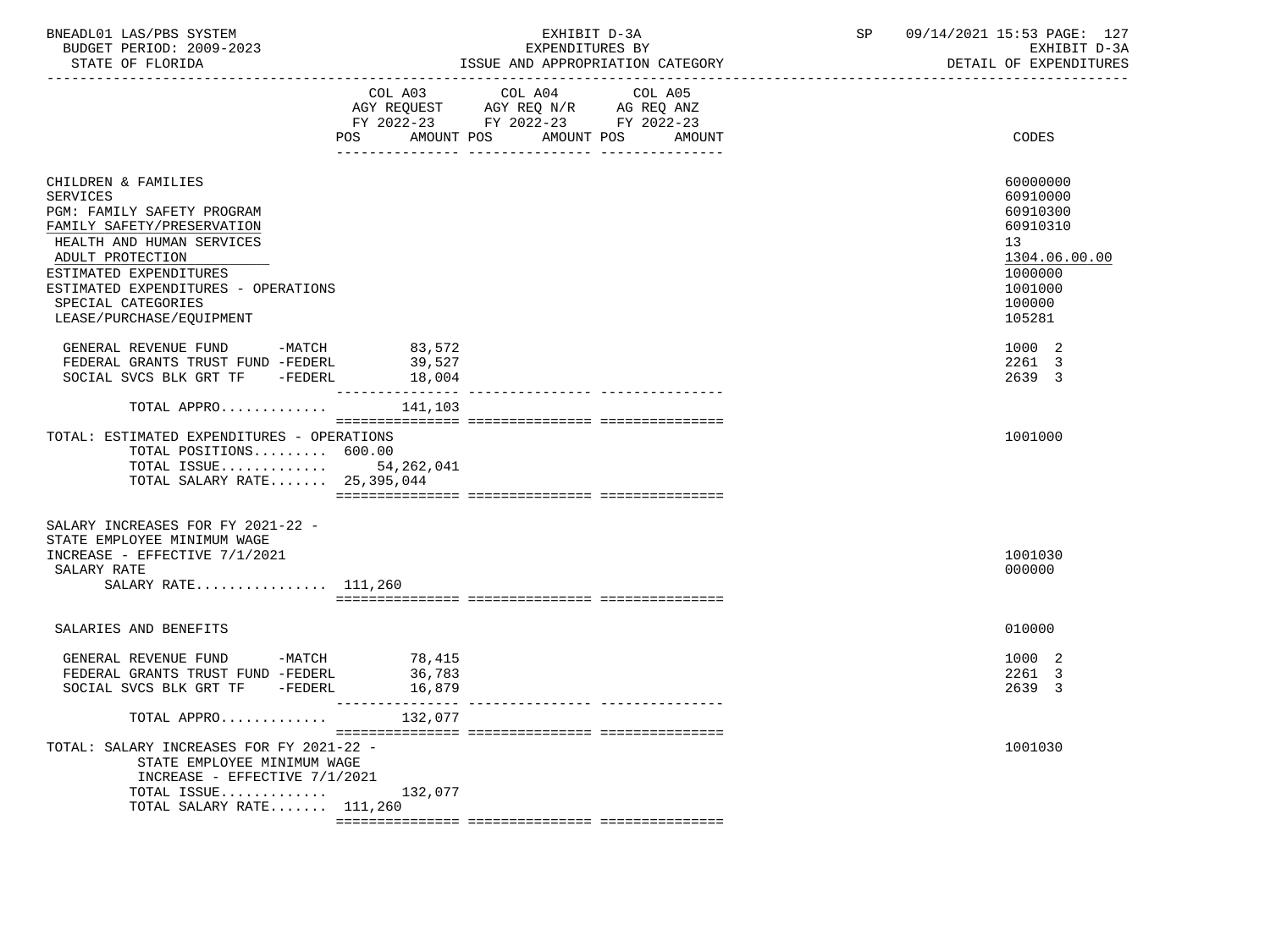| BNEADL01 LAS/PBS SYSTEM  | <b>R</b> 1                 | CD<br>JЕ | 09/7<br>4/2021<br>15:53 PAGE:<br>127 |
|--------------------------|----------------------------|----------|--------------------------------------|
| BUDGET PERIOD: 2009-2023 | EXPENDITURES BY            |          | EXHIBIT D-3A                         |
| STATE OF FLORIDA         | AND APPROPRIATION CATEGORY |          | EXPENDITURES<br>DETAIL OF            |

|                                                                                                                                |                   | -------------------------------------- |         |                              |
|--------------------------------------------------------------------------------------------------------------------------------|-------------------|----------------------------------------|---------|------------------------------|
|                                                                                                                                | COL A03           | COL A04                                | COL A05 |                              |
|                                                                                                                                |                   | AGY REQUEST AGY REQ N/R AG REQ ANZ     |         |                              |
|                                                                                                                                |                   | FY 2022-23 FY 2022-23 FY 2022-23       |         |                              |
|                                                                                                                                | AMOUNT POS<br>POS | AMOUNT POS                             | AMOUNT  | CODES                        |
|                                                                                                                                |                   |                                        |         |                              |
| CHILDREN & FAMILIES<br><b>SERVICES</b>                                                                                         |                   |                                        |         | 60000000<br>60910000         |
| PGM: FAMILY SAFETY PROGRAM<br>FAMILY SAFETY/PRESERVATION                                                                       |                   |                                        |         | 60910300<br>60910310         |
| HEALTH AND HUMAN SERVICES<br>ADULT PROTECTION                                                                                  |                   |                                        |         | 13<br>1304.06.00.00          |
| ESTIMATED EXPENDITURES<br>ESTIMATED EXPENDITURES - OPERATIONS<br>SPECIAL CATEGORIES                                            |                   |                                        |         | 1000000<br>1001000<br>100000 |
| LEASE/PURCHASE/EQUIPMENT                                                                                                       |                   |                                        |         | 105281                       |
| GENERAL REVENUE FUND -MATCH                                                                                                    |                   |                                        |         | 1000 2                       |
| FEDERAL GRANTS TRUST FUND -FEDERL                                                                                              | 83,572<br>39,527  |                                        |         | 2261 3                       |
| SOCIAL SVCS BLK GRT TF -FEDERL                                                                                                 | 18,004            |                                        |         | 2639 3                       |
| TOTAL APPRO                                                                                                                    | 141,103           |                                        |         |                              |
|                                                                                                                                |                   |                                        |         |                              |
| TOTAL: ESTIMATED EXPENDITURES - OPERATIONS<br>TOTAL POSITIONS 600.00<br>TOTAL ISSUE 54,262,041<br>TOTAL SALARY RATE 25,395,044 |                   |                                        |         | 1001000                      |
| SALARY INCREASES FOR FY 2021-22 -<br>STATE EMPLOYEE MINIMUM WAGE                                                               |                   |                                        |         |                              |
| INCREASE - EFFECTIVE 7/1/2021                                                                                                  |                   |                                        |         | 1001030                      |
| SALARY RATE                                                                                                                    |                   |                                        |         | 000000                       |
| SALARY RATE 111,260                                                                                                            |                   |                                        |         |                              |
|                                                                                                                                |                   |                                        |         |                              |
| SALARIES AND BENEFITS                                                                                                          |                   |                                        |         | 010000                       |
| GENERAL REVENUE FUND -MATCH 78,415                                                                                             |                   |                                        |         | 1000 2                       |
| FEDERAL GRANTS TRUST FUND -FEDERL                                                                                              | 36,783            |                                        |         | 2261 3                       |
| SOCIAL SVCS BLK GRT TF<br>$-FEDERL$                                                                                            | 16,879            |                                        |         | 2639 3                       |
|                                                                                                                                | -----------       |                                        |         |                              |
| TOTAL APPRO                                                                                                                    | 132,077           |                                        |         |                              |
| TOTAL: SALARY INCREASES FOR FY 2021-22 -<br>STATE EMPLOYEE MINIMUM WAGE<br>INCREASE - EFFECTIVE 7/1/2021                       |                   |                                        |         | 1001030                      |
| TOTAL ISSUE                                                                                                                    | 132,077           |                                        |         |                              |
| TOTAL SALARY RATE 111,260                                                                                                      |                   |                                        |         |                              |
|                                                                                                                                |                   |                                        |         |                              |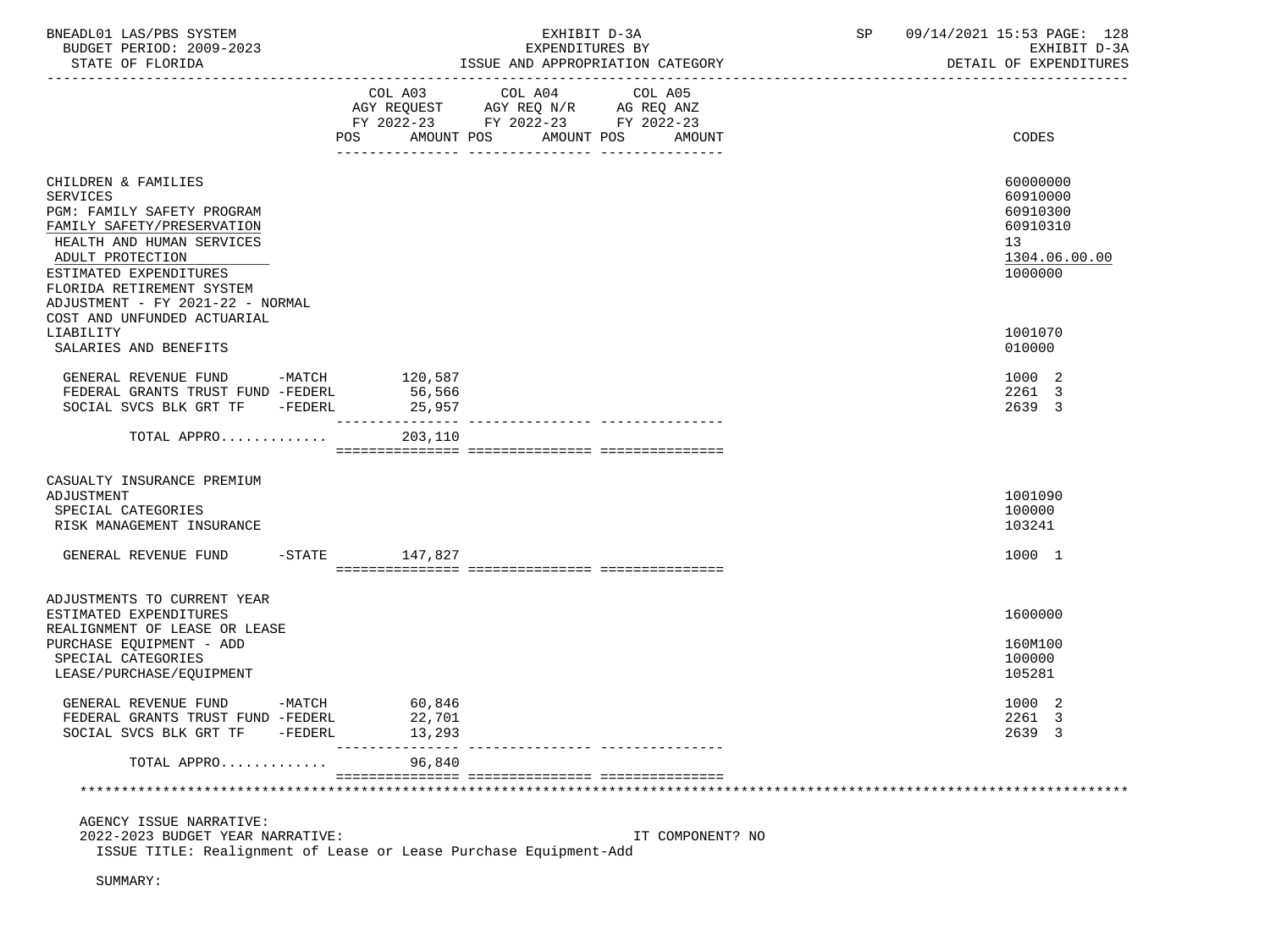| BNEADL01 LAS/PBS SYSTEM                                           |           |                                                     |                                    |  |  | EXHIBIT D-3A |                                        | SP |  | 09/14/2021 15:53 PAGE: 128 |
|-------------------------------------------------------------------|-----------|-----------------------------------------------------|------------------------------------|--|--|--------------|----------------------------------------|----|--|----------------------------|
| BUDGET PERIOD: 2009-2023                                          |           | EXPENDITURES BY<br>ISSUE AND APPROPRIATION CATEGORY |                                    |  |  |              | EXHIBIT D-3A<br>DETAIL OF EXPENDITURES |    |  |                            |
| STATE OF FLORIDA                                                  |           |                                                     |                                    |  |  |              |                                        |    |  |                            |
|                                                                   |           |                                                     | COL A03 COL A04                    |  |  | COL A05      |                                        |    |  |                            |
|                                                                   |           |                                                     | AGY REQUEST AGY REQ N/R AG REQ ANZ |  |  |              |                                        |    |  |                            |
|                                                                   |           |                                                     | FY 2022-23 FY 2022-23 FY 2022-23   |  |  |              |                                        |    |  |                            |
|                                                                   |           |                                                     | POS AMOUNT POS AMOUNT POS          |  |  |              | AMOUNT                                 |    |  | CODES                      |
|                                                                   |           |                                                     |                                    |  |  |              |                                        |    |  |                            |
| CHILDREN & FAMILIES                                               |           |                                                     |                                    |  |  |              |                                        |    |  | 60000000                   |
| SERVICES                                                          |           |                                                     |                                    |  |  |              |                                        |    |  | 60910000                   |
| PGM: FAMILY SAFETY PROGRAM                                        |           |                                                     |                                    |  |  |              |                                        |    |  | 60910300                   |
| FAMILY SAFETY/PRESERVATION                                        |           |                                                     |                                    |  |  |              |                                        |    |  | 60910310                   |
| HEALTH AND HUMAN SERVICES                                         |           |                                                     |                                    |  |  |              |                                        |    |  | 13                         |
| ADULT PROTECTION                                                  |           |                                                     |                                    |  |  |              |                                        |    |  | 1304.06.00.00              |
| ESTIMATED EXPENDITURES                                            |           |                                                     |                                    |  |  |              |                                        |    |  | 1000000                    |
| FLORIDA RETIREMENT SYSTEM                                         |           |                                                     |                                    |  |  |              |                                        |    |  |                            |
| ADJUSTMENT - FY 2021-22 - NORMAL                                  |           |                                                     |                                    |  |  |              |                                        |    |  |                            |
| COST AND UNFUNDED ACTUARIAL                                       |           |                                                     |                                    |  |  |              |                                        |    |  |                            |
| LIABILITY                                                         |           |                                                     |                                    |  |  |              |                                        |    |  | 1001070                    |
| SALARIES AND BENEFITS                                             |           |                                                     |                                    |  |  |              |                                        |    |  | 010000                     |
|                                                                   |           |                                                     |                                    |  |  |              |                                        |    |  |                            |
| GENERAL REVENUE FUND -MATCH 120,587                               |           |                                                     |                                    |  |  |              |                                        |    |  | 1000 2                     |
| FEDERAL GRANTS TRUST FUND -FEDERL                                 |           |                                                     | 56,566                             |  |  |              |                                        |    |  | 2261 3                     |
| SOCIAL SVCS BLK GRT TF -FEDERL                                    |           |                                                     | 25,957                             |  |  |              |                                        |    |  | 2639 3                     |
|                                                                   |           |                                                     |                                    |  |  |              |                                        |    |  |                            |
| TOTAL APPRO                                                       |           |                                                     | 203,110                            |  |  |              |                                        |    |  |                            |
|                                                                   |           |                                                     |                                    |  |  |              |                                        |    |  |                            |
| CASUALTY INSURANCE PREMIUM                                        |           |                                                     |                                    |  |  |              |                                        |    |  |                            |
| ADJUSTMENT                                                        |           |                                                     |                                    |  |  |              |                                        |    |  | 1001090                    |
| SPECIAL CATEGORIES                                                |           |                                                     |                                    |  |  |              |                                        |    |  | 100000                     |
| RISK MANAGEMENT INSURANCE                                         |           |                                                     |                                    |  |  |              |                                        |    |  | 103241                     |
| GENERAL REVENUE FUND -STATE 147,827                               |           |                                                     |                                    |  |  |              |                                        |    |  | 1000 1                     |
|                                                                   |           |                                                     |                                    |  |  |              |                                        |    |  |                            |
|                                                                   |           |                                                     |                                    |  |  |              |                                        |    |  |                            |
| ADJUSTMENTS TO CURRENT YEAR                                       |           |                                                     |                                    |  |  |              |                                        |    |  |                            |
| ESTIMATED EXPENDITURES                                            |           |                                                     |                                    |  |  |              |                                        |    |  | 1600000                    |
| REALIGNMENT OF LEASE OR LEASE                                     |           |                                                     |                                    |  |  |              |                                        |    |  |                            |
| PURCHASE EOUIPMENT - ADD                                          |           |                                                     |                                    |  |  |              |                                        |    |  | 160M100                    |
| SPECIAL CATEGORIES                                                |           |                                                     |                                    |  |  |              |                                        |    |  | 100000                     |
| LEASE/PURCHASE/EQUIPMENT                                          |           |                                                     |                                    |  |  |              |                                        |    |  | 105281                     |
| GENERAL REVENUE FUND -MATCH                                       |           |                                                     | 60,846                             |  |  |              |                                        |    |  | 1000 2                     |
| FEDERAL GRANTS TRUST FUND -FEDERL                                 |           |                                                     | 22,701                             |  |  |              |                                        |    |  | 2261 3                     |
| SOCIAL SVCS BLK GRT TF                                            | $-FEDERL$ |                                                     | 13,293                             |  |  |              |                                        |    |  | 2639 3                     |
|                                                                   |           |                                                     |                                    |  |  |              |                                        |    |  |                            |
| TOTAL APPRO                                                       |           |                                                     | 96,840                             |  |  |              |                                        |    |  |                            |
|                                                                   |           |                                                     |                                    |  |  |              |                                        |    |  |                            |
|                                                                   |           |                                                     |                                    |  |  |              |                                        |    |  |                            |
| AGENCY ISSUE NARRATIVE:                                           |           |                                                     |                                    |  |  |              |                                        |    |  |                            |
| 2022-2023 BUDGET YEAR NARRATIVE:                                  |           |                                                     |                                    |  |  |              | IT COMPONENT? NO                       |    |  |                            |
| ISSUE TITLE: Realignment of Lease or Lease Purchase Equipment-Add |           |                                                     |                                    |  |  |              |                                        |    |  |                            |
| SUMMARY:                                                          |           |                                                     |                                    |  |  |              |                                        |    |  |                            |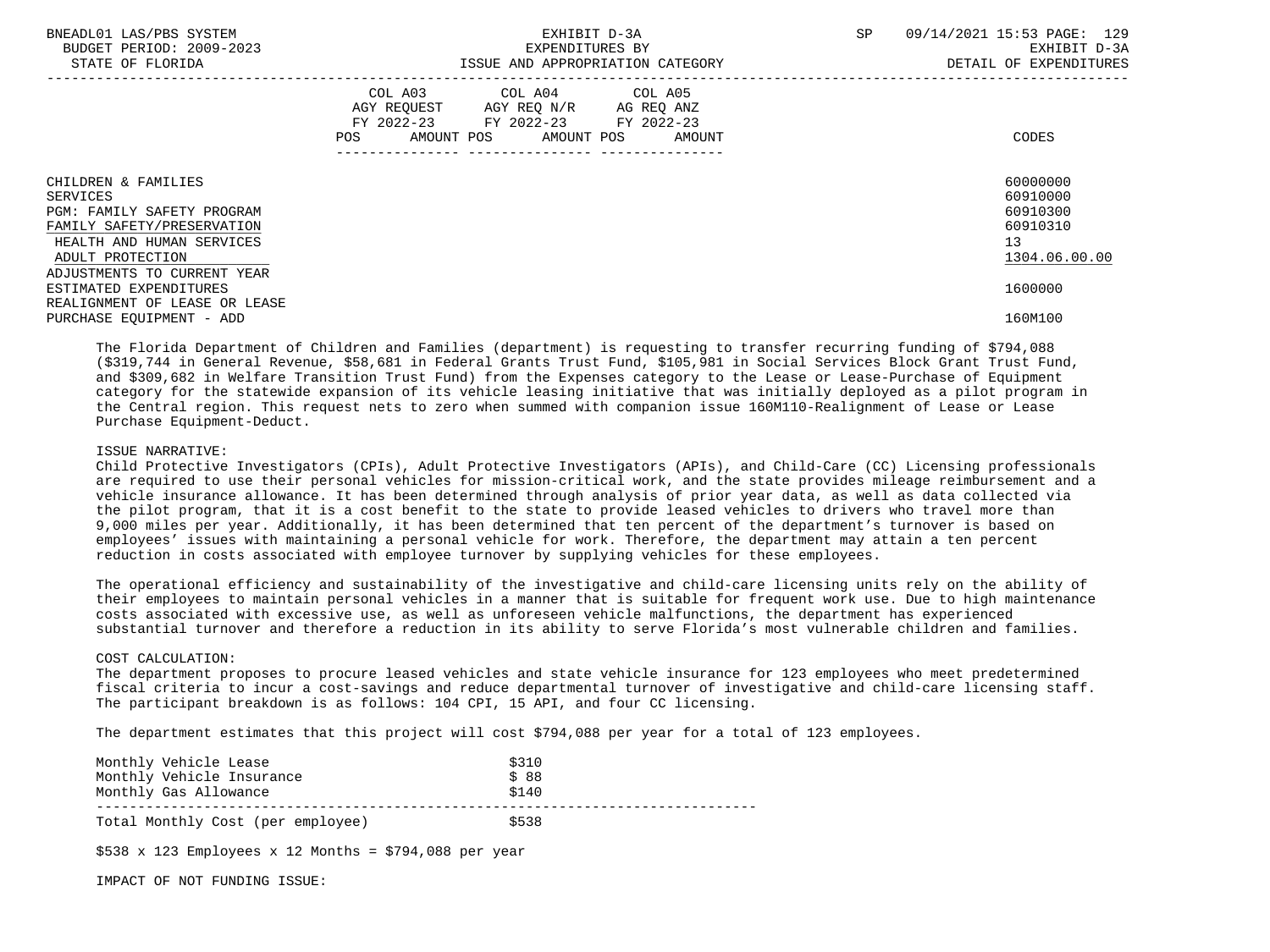| BNEADL01 LAS/PBS SYSTEM<br>BUDGET PERIOD: 2009-2023<br>STATE OF FLORIDA                                                                             | EXHIBIT D-3A<br>EXPENDITURES BY<br>ISSUE AND APPROPRIATION CATEGORY                                                                                                                                                                                 | 09/14/2021 15:53 PAGE: 129<br><b>SP</b><br>EXHIBIT D-3A<br>DETAIL OF EXPENDITURES |
|-----------------------------------------------------------------------------------------------------------------------------------------------------|-----------------------------------------------------------------------------------------------------------------------------------------------------------------------------------------------------------------------------------------------------|-----------------------------------------------------------------------------------|
|                                                                                                                                                     | COL A03 COL A04 COL A05<br>AGY REQUEST AGY REQ N/R AG REQ ANZ<br>FY 2022-23 FY 2022-23 FY 2022-23<br>AMOUNT POS AMOUNT POS AMOUNT<br>POS FOR THE POST OF THE POST OF THE POST OF THE POST OF THE POST OF THE POST OF THE POST OF THE POST OF THE PO | CODES                                                                             |
| CHILDREN & FAMILIES<br>SERVICES<br><b>PGM: FAMILY SAFETY PROGRAM</b><br>FAMILY SAFETY/PRESERVATION<br>HEALTH AND HUMAN SERVICES<br>ADULT PROTECTION |                                                                                                                                                                                                                                                     | 60000000<br>60910000<br>60910300<br>60910310<br>13<br>1304.06.00.00               |
| ADJUSTMENTS TO CURRENT YEAR<br>ESTIMATED EXPENDITURES<br>REALIGNMENT OF LEASE OR LEASE<br>PURCHASE EQUIPMENT - ADD                                  |                                                                                                                                                                                                                                                     | 1600000<br>160M100                                                                |

 The Florida Department of Children and Families (department) is requesting to transfer recurring funding of \$794,088 (\$319,744 in General Revenue, \$58,681 in Federal Grants Trust Fund, \$105,981 in Social Services Block Grant Trust Fund, and \$309,682 in Welfare Transition Trust Fund) from the Expenses category to the Lease or Lease-Purchase of Equipment category for the statewide expansion of its vehicle leasing initiative that was initially deployed as a pilot program in the Central region. This request nets to zero when summed with companion issue 160M110-Realignment of Lease or Lease Purchase Equipment-Deduct.

### ISSUE NARRATIVE:

 Child Protective Investigators (CPIs), Adult Protective Investigators (APIs), and Child-Care (CC) Licensing professionals are required to use their personal vehicles for mission-critical work, and the state provides mileage reimbursement and a vehicle insurance allowance. It has been determined through analysis of prior year data, as well as data collected via the pilot program, that it is a cost benefit to the state to provide leased vehicles to drivers who travel more than 9,000 miles per year. Additionally, it has been determined that ten percent of the department's turnover is based on employees' issues with maintaining a personal vehicle for work. Therefore, the department may attain a ten percent reduction in costs associated with employee turnover by supplying vehicles for these employees.

 The operational efficiency and sustainability of the investigative and child-care licensing units rely on the ability of their employees to maintain personal vehicles in a manner that is suitable for frequent work use. Due to high maintenance costs associated with excessive use, as well as unforeseen vehicle malfunctions, the department has experienced substantial turnover and therefore a reduction in its ability to serve Florida's most vulnerable children and families.

### COST CALCULATION:

 The department proposes to procure leased vehicles and state vehicle insurance for 123 employees who meet predetermined fiscal criteria to incur a cost-savings and reduce departmental turnover of investigative and child-care licensing staff. The participant breakdown is as follows: 104 CPI, 15 API, and four CC licensing.

The department estimates that this project will cost \$794,088 per year for a total of 123 employees.

| Monthly Vehicle Lease<br>Monthly Vehicle Insurance<br>Monthly Gas Allowance | \$310<br>\$88<br>\$140 |
|-----------------------------------------------------------------------------|------------------------|
| Total Monthly Cost (per employee)                                           | \$538                  |

 $$538 \times 123$  Employees x 12 Months = \$794,088 per year

IMPACT OF NOT FUNDING ISSUE: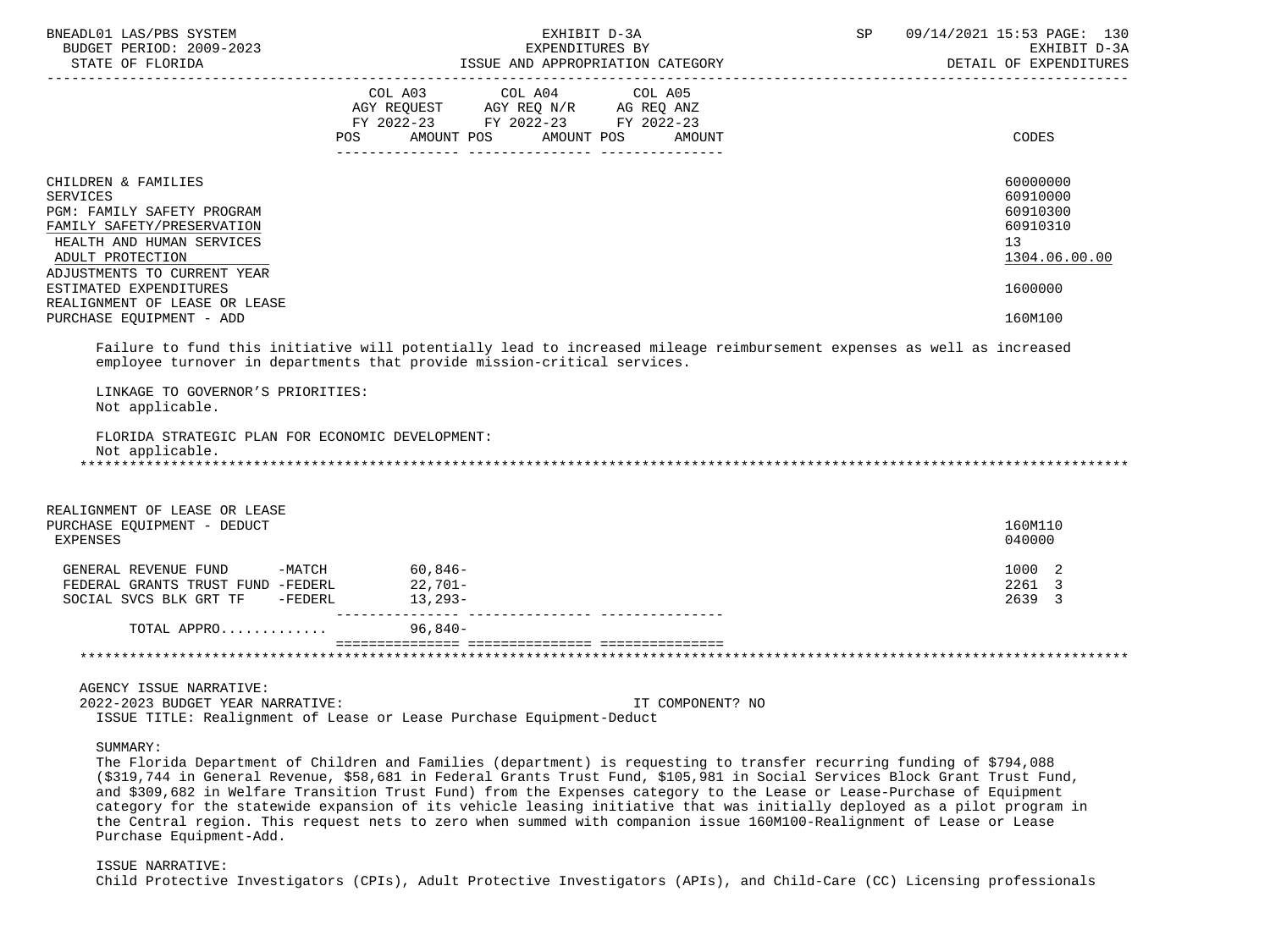| BNEADL01 LAS/PBS SYSTEM<br>BUDGET PERIOD: 2009-2023                                                                                                                                                                                                                       |     | EXHIBIT D-3A<br>EXPENDITURES BY                                                                                                                                                                                                                                                                                                                                                                                                                                                                                                                                                                                                   | SP | 09/14/2021 15:53 PAGE: 130<br>EXHIBIT D-3A<br>DETAIL OF EXPENDITURES                      |
|---------------------------------------------------------------------------------------------------------------------------------------------------------------------------------------------------------------------------------------------------------------------------|-----|-----------------------------------------------------------------------------------------------------------------------------------------------------------------------------------------------------------------------------------------------------------------------------------------------------------------------------------------------------------------------------------------------------------------------------------------------------------------------------------------------------------------------------------------------------------------------------------------------------------------------------------|----|-------------------------------------------------------------------------------------------|
|                                                                                                                                                                                                                                                                           | POS | COL A03 COL A04 COL A05<br>AGY REQUEST AGY REQ N/R AG REQ ANZ<br>FY 2022-23 FY 2022-23 FY 2022-23<br>AMOUNT POS AMOUNT POS<br>AMOUNT                                                                                                                                                                                                                                                                                                                                                                                                                                                                                              |    | CODES                                                                                     |
| CHILDREN & FAMILIES<br><b>SERVICES</b><br>PGM: FAMILY SAFETY PROGRAM<br>FAMILY SAFETY/PRESERVATION<br>HEALTH AND HUMAN SERVICES<br>ADULT PROTECTION<br>ADJUSTMENTS TO CURRENT YEAR<br>ESTIMATED EXPENDITURES<br>REALIGNMENT OF LEASE OR LEASE<br>PURCHASE EQUIPMENT - ADD |     |                                                                                                                                                                                                                                                                                                                                                                                                                                                                                                                                                                                                                                   |    | 60000000<br>60910000<br>60910300<br>60910310<br>13<br>1304.06.00.00<br>1600000<br>160M100 |
|                                                                                                                                                                                                                                                                           |     | Failure to fund this initiative will potentially lead to increased mileage reimbursement expenses as well as increased<br>employee turnover in departments that provide mission-critical services.                                                                                                                                                                                                                                                                                                                                                                                                                                |    |                                                                                           |
| LINKAGE TO GOVERNOR'S PRIORITIES:<br>Not applicable.                                                                                                                                                                                                                      |     |                                                                                                                                                                                                                                                                                                                                                                                                                                                                                                                                                                                                                                   |    |                                                                                           |
| FLORIDA STRATEGIC PLAN FOR ECONOMIC DEVELOPMENT:<br>Not applicable.                                                                                                                                                                                                       |     |                                                                                                                                                                                                                                                                                                                                                                                                                                                                                                                                                                                                                                   |    |                                                                                           |
| REALIGNMENT OF LEASE OR LEASE<br>PURCHASE EQUIPMENT - DEDUCT<br>EXPENSES                                                                                                                                                                                                  |     |                                                                                                                                                                                                                                                                                                                                                                                                                                                                                                                                                                                                                                   |    | 160M110<br>040000                                                                         |
| GENERAL REVENUE FUND -MATCH<br>FEDERAL GRANTS TRUST FUND -FEDERL<br>SOCIAL SVCS BLK GRT TF -FEDERL 13,293-                                                                                                                                                                |     | $60,846-$<br>22,701-                                                                                                                                                                                                                                                                                                                                                                                                                                                                                                                                                                                                              |    | 1000 2<br>2261 3<br>2639 3                                                                |
| TOTAL APPRO                                                                                                                                                                                                                                                               |     | 96,840-                                                                                                                                                                                                                                                                                                                                                                                                                                                                                                                                                                                                                           |    |                                                                                           |
|                                                                                                                                                                                                                                                                           |     |                                                                                                                                                                                                                                                                                                                                                                                                                                                                                                                                                                                                                                   |    |                                                                                           |
| AGENCY ISSUE NARRATIVE:<br>2022-2023 BUDGET YEAR NARRATIVE:                                                                                                                                                                                                               |     | IT COMPONENT? NO<br>ISSUE TITLE: Realignment of Lease or Lease Purchase Equipment-Deduct                                                                                                                                                                                                                                                                                                                                                                                                                                                                                                                                          |    |                                                                                           |
| SUMMARY:<br>Purchase Equipment-Add.                                                                                                                                                                                                                                       |     | The Florida Department of Children and Families (department) is requesting to transfer recurring funding of \$794,088<br>(\$319,744 in General Revenue, \$58,681 in Federal Grants Trust Fund, \$105,981 in Social Services Block Grant Trust Fund,<br>and \$309,682 in Welfare Transition Trust Fund) from the Expenses category to the Lease or Lease-Purchase of Equipment<br>category for the statewide expansion of its vehicle leasing initiative that was initially deployed as a pilot program in<br>the Central region. This request nets to zero when summed with companion issue 160M100-Realignment of Lease or Lease |    |                                                                                           |

# ISSUE NARRATIVE:

Child Protective Investigators (CPIs), Adult Protective Investigators (APIs), and Child-Care (CC) Licensing professionals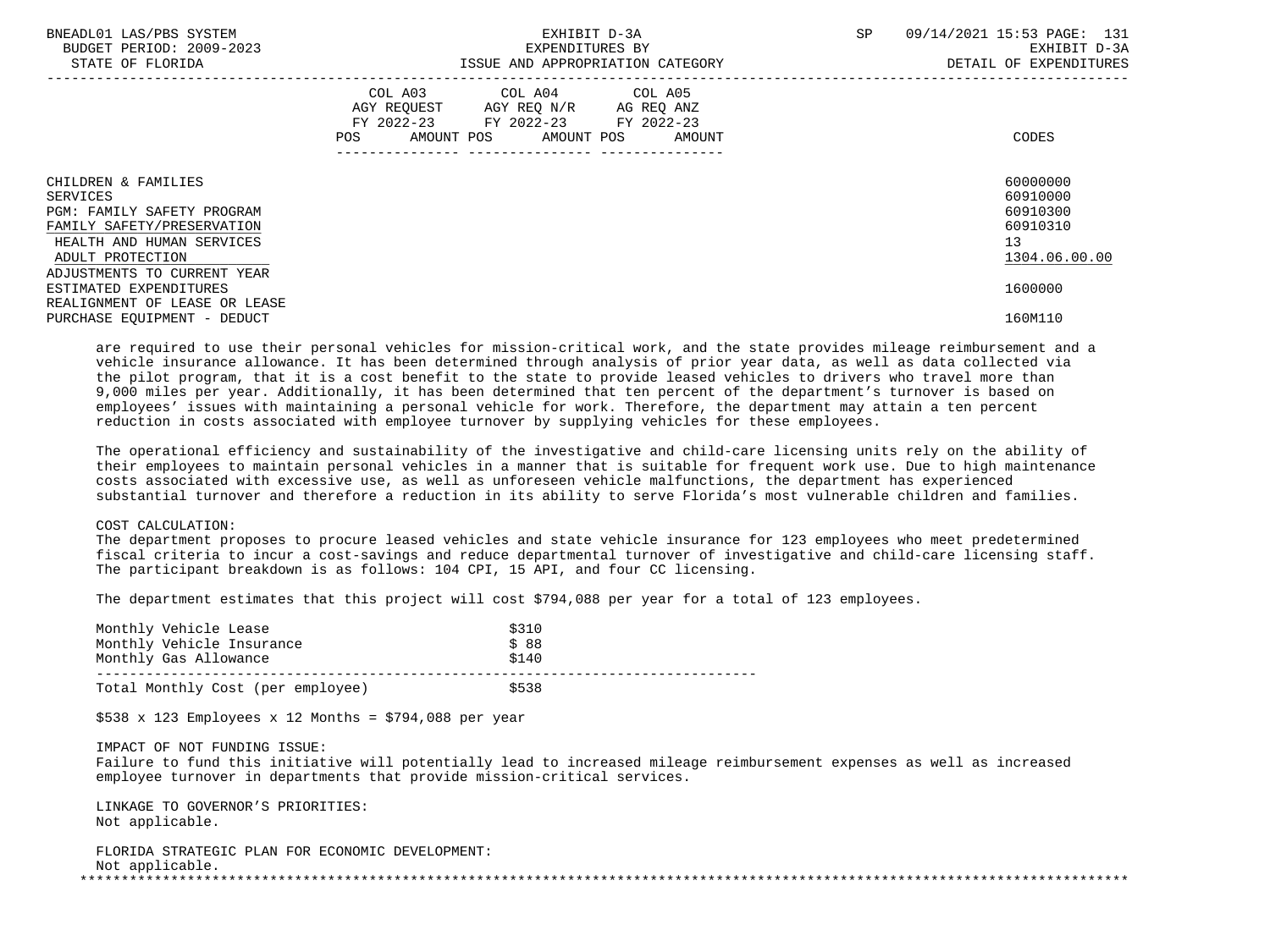| BNEADL01 LAS/PBS SYSTEM<br>BUDGET PERIOD: 2009-2023<br>STATE OF FLORIDA                                                                                                            | EXHIBIT D-3A<br>EXPENDITURES BY<br>ISSUE AND APPROPRIATION CATEGORY                                                                         | 09/14/2021 15:53 PAGE: 131<br><b>SP</b><br>EXHIBIT D-3A<br>DETAIL OF EXPENDITURES |
|------------------------------------------------------------------------------------------------------------------------------------------------------------------------------------|---------------------------------------------------------------------------------------------------------------------------------------------|-----------------------------------------------------------------------------------|
|                                                                                                                                                                                    | COL A03 COL A04 COL A05<br>AGY REQUEST AGY REQ N/R AG REQ ANZ<br>FY 2022-23 FY 2022-23 FY 2022-23<br>AMOUNT POS AMOUNT POS<br>POS<br>AMOUNT | CODES                                                                             |
| CHILDREN & FAMILIES<br>SERVICES<br><b>PGM: FAMILY SAFETY PROGRAM</b><br>FAMILY SAFETY/PRESERVATION<br>HEALTH AND HUMAN SERVICES<br>ADULT PROTECTION<br>ADJUSTMENTS TO CURRENT YEAR |                                                                                                                                             | 60000000<br>60910000<br>60910300<br>60910310<br>13 <sup>°</sup><br>1304.06.00.00  |
| ESTIMATED EXPENDITURES<br>REALIGNMENT OF LEASE OR LEASE<br>PURCHASE EQUIPMENT - DEDUCT                                                                                             |                                                                                                                                             | 1600000<br>160M110                                                                |

 are required to use their personal vehicles for mission-critical work, and the state provides mileage reimbursement and a vehicle insurance allowance. It has been determined through analysis of prior year data, as well as data collected via the pilot program, that it is a cost benefit to the state to provide leased vehicles to drivers who travel more than 9,000 miles per year. Additionally, it has been determined that ten percent of the department's turnover is based on employees' issues with maintaining a personal vehicle for work. Therefore, the department may attain a ten percent reduction in costs associated with employee turnover by supplying vehicles for these employees.

 The operational efficiency and sustainability of the investigative and child-care licensing units rely on the ability of their employees to maintain personal vehicles in a manner that is suitable for frequent work use. Due to high maintenance costs associated with excessive use, as well as unforeseen vehicle malfunctions, the department has experienced substantial turnover and therefore a reduction in its ability to serve Florida's most vulnerable children and families.

## COST CALCULATION:

 The department proposes to procure leased vehicles and state vehicle insurance for 123 employees who meet predetermined fiscal criteria to incur a cost-savings and reduce departmental turnover of investigative and child-care licensing staff. The participant breakdown is as follows: 104 CPI, 15 API, and four CC licensing.

The department estimates that this project will cost \$794,088 per year for a total of 123 employees.

| Monthly Vehicle Lease<br>Monthly Vehicle Insurance<br>Monthly Gas Allowance | \$310<br>\$88<br>\$140 |
|-----------------------------------------------------------------------------|------------------------|
| Total Monthly Cost (per employee)                                           | \$538                  |

 $$538 \times 123$  Employees x 12 Months = \$794,088 per year

### IMPACT OF NOT FUNDING ISSUE:

 Failure to fund this initiative will potentially lead to increased mileage reimbursement expenses as well as increased employee turnover in departments that provide mission-critical services.

 LINKAGE TO GOVERNOR'S PRIORITIES: Not applicable.

 FLORIDA STRATEGIC PLAN FOR ECONOMIC DEVELOPMENT: Not applicable. \*\*\*\*\*\*\*\*\*\*\*\*\*\*\*\*\*\*\*\*\*\*\*\*\*\*\*\*\*\*\*\*\*\*\*\*\*\*\*\*\*\*\*\*\*\*\*\*\*\*\*\*\*\*\*\*\*\*\*\*\*\*\*\*\*\*\*\*\*\*\*\*\*\*\*\*\*\*\*\*\*\*\*\*\*\*\*\*\*\*\*\*\*\*\*\*\*\*\*\*\*\*\*\*\*\*\*\*\*\*\*\*\*\*\*\*\*\*\*\*\*\*\*\*\*\*\*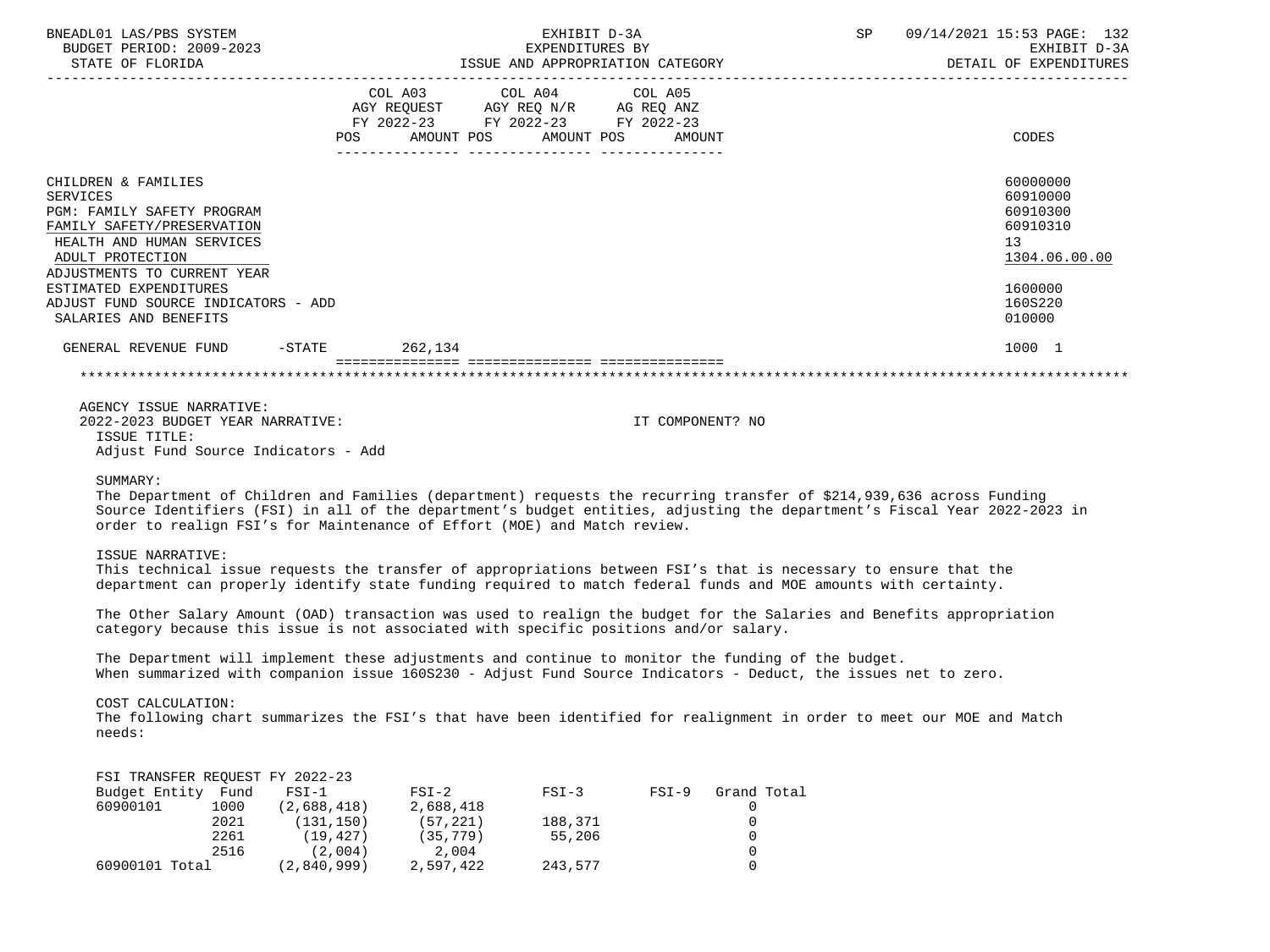| BNEADL01 LAS/PBS SYSTEM<br>BUDGET PERIOD: 2009-2023<br>STATE OF FLORIDA                                                                                                                                                                                                      |                                  | EXHIBIT D-3A<br>EXPENDITURES BY<br>ISSUE AND APPROPRIATION CATEGORY                               | SP 09/14/2021 15:53 PAGE: 132<br>EXHIBIT D-3A<br>DETAIL OF EXPENDITURES |                                                                                                     |
|------------------------------------------------------------------------------------------------------------------------------------------------------------------------------------------------------------------------------------------------------------------------------|----------------------------------|---------------------------------------------------------------------------------------------------|-------------------------------------------------------------------------|-----------------------------------------------------------------------------------------------------|
|                                                                                                                                                                                                                                                                              | POS AMOUNT POS AMOUNT POS AMOUNT | COL A03 COL A04 COL A05<br>AGY REQUEST AGY REQ N/R AG REQ ANZ<br>FY 2022-23 FY 2022-23 FY 2022-23 |                                                                         | CODES                                                                                               |
| CHILDREN & FAMILIES<br><b>SERVICES</b><br>PGM: FAMILY SAFETY PROGRAM<br>FAMILY SAFETY/PRESERVATION<br>HEALTH AND HUMAN SERVICES<br>ADULT PROTECTION<br>ADJUSTMENTS TO CURRENT YEAR<br>ESTIMATED EXPENDITURES<br>ADJUST FUND SOURCE INDICATORS - ADD<br>SALARIES AND BENEFITS |                                  |                                                                                                   |                                                                         | 60000000<br>60910000<br>60910300<br>60910310<br>13<br>1304.06.00.00<br>1600000<br>160S220<br>010000 |
| GENERAL REVENUE FUND -STATE 262.134                                                                                                                                                                                                                                          |                                  |                                                                                                   |                                                                         | 1000 1                                                                                              |
|                                                                                                                                                                                                                                                                              | ;===========================     |                                                                                                   |                                                                         |                                                                                                     |
| AGENCY ISSUE NARRATIVE:<br>2022-2023 BUDGET YEAR NARRATIVE:<br>ISSUE TITLE:<br>Adjust Fund Source Indicators - Add                                                                                                                                                           |                                  |                                                                                                   | IT COMPONENT? NO                                                        |                                                                                                     |
| SUMMARY:<br>The Department of Children and Families (department) requests the recurring transfer of \$214,939,636 across Funding<br>Course Identifiers (FCI) in all of the department (a budget entities, adjusting the department (a Figgs) Vear 2022, 10                   |                                  |                                                                                                   |                                                                         |                                                                                                     |

 Source Identifiers (FSI) in all of the department's budget entities, adjusting the department's Fiscal Year 2022-2023 in order to realign FSI's for Maintenance of Effort (MOE) and Match review.

### ISSUE NARRATIVE:

 This technical issue requests the transfer of appropriations between FSI's that is necessary to ensure that the department can properly identify state funding required to match federal funds and MOE amounts with certainty.

 The Other Salary Amount (OAD) transaction was used to realign the budget for the Salaries and Benefits appropriation category because this issue is not associated with specific positions and/or salary.

 The Department will implement these adjustments and continue to monitor the funding of the budget. When summarized with companion issue 160S230 - Adjust Fund Source Indicators - Deduct, the issues net to zero.

# COST CALCULATION:

FSI TRANSFER REQUEST FY 2022-23

 The following chart summarizes the FSI's that have been identified for realignment in order to meet our MOE and Match needs:

| FSI IRANSFER REQUESI FY 2022-23 |      |             |           |         |         |             |
|---------------------------------|------|-------------|-----------|---------|---------|-------------|
| Budget Entity Fund              |      | $FST-1$     | $FSI-2$   | $FSI-3$ | $FSI-9$ | Grand Total |
| 60900101                        | 1000 | (2,688,418) | 2,688,418 |         |         |             |
|                                 | 2021 | (131, 150)  | (57, 221) | 188,371 |         |             |
|                                 | 2261 | (19, 427)   | (35, 779) | 55,206  |         |             |
|                                 | 2516 | (2.004)     | 2,004     |         |         |             |
| 60900101 Total                  |      | (2,840,999) | 2,597,422 | 243,577 |         |             |
|                                 |      |             |           |         |         |             |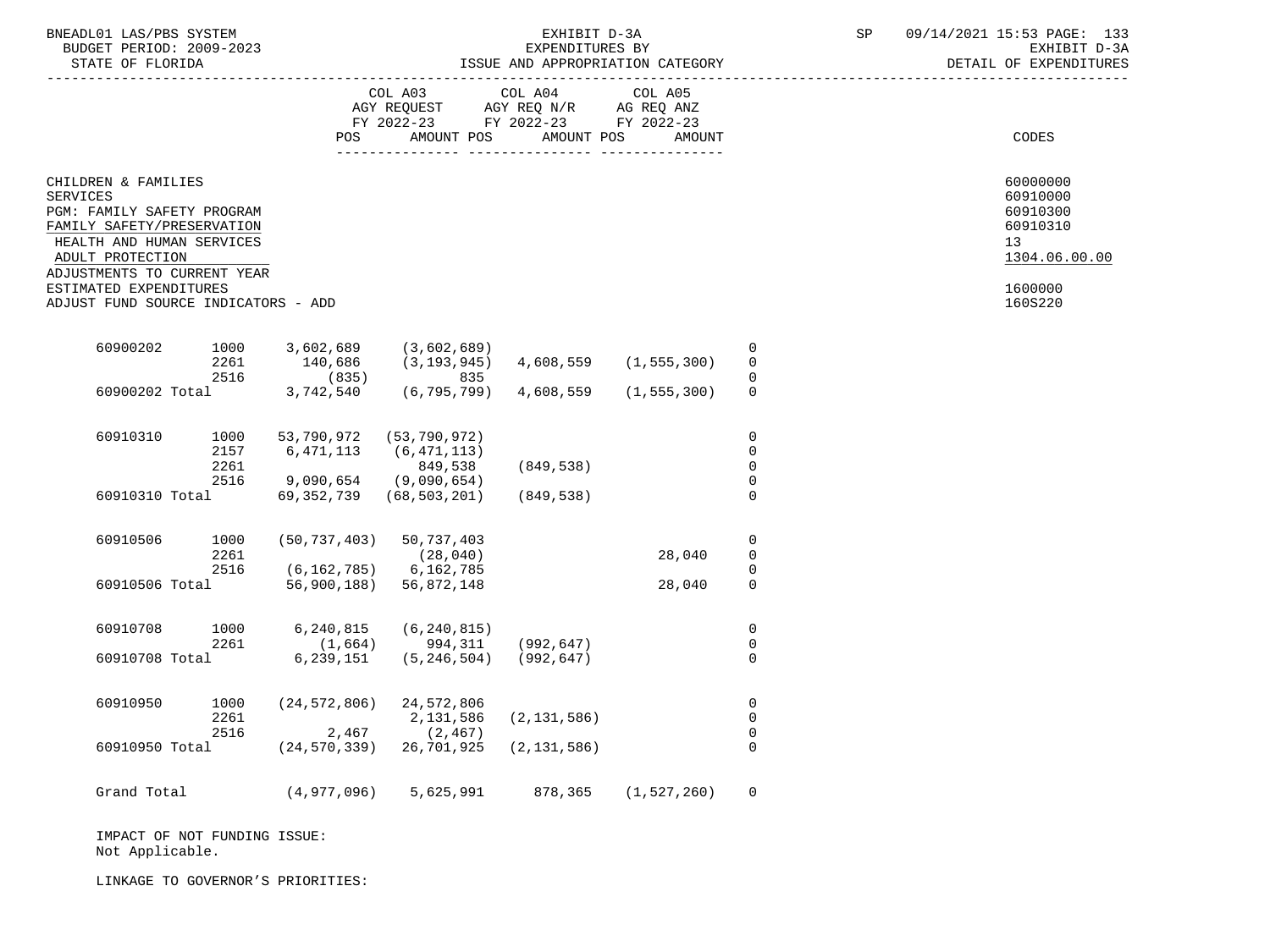| BNEADL01<br>AS/DRS<br>SYSTEM<br>AS       |                                                                                                                                                                                                                                                                                                                                                                                               | `^^^`<br>n a<br>ユロー<br>$\sqrt{2}$<br>כיווכי<br>PAGL .<br>$\sim$<br>∸ ~ ~ |
|------------------------------------------|-----------------------------------------------------------------------------------------------------------------------------------------------------------------------------------------------------------------------------------------------------------------------------------------------------------------------------------------------------------------------------------------------|--------------------------------------------------------------------------|
| 2009-2023<br>: חמד סתם<br>BUDGET<br>,,,, | RY                                                                                                                                                                                                                                                                                                                                                                                            | $\sim$ $\sim$<br>$m \tau$<br>rvu<br>- ⊷                                  |
| $27.777$ $27.777$ $27.777$               | $ \alpha$ $\alpha$ $\alpha$ $\alpha$ $\alpha$<br>$\ldots$ $\ldots$ $\ldots$ $\ldots$ $\ldots$ $\ldots$ $\ldots$ $\ldots$ $\ldots$ $\ldots$ $\ldots$ $\ldots$ $\ldots$ $\ldots$ $\ldots$ $\ldots$ $\ldots$ $\ldots$ $\ldots$ $\ldots$ $\ldots$ $\ldots$ $\ldots$ $\ldots$ $\ldots$ $\ldots$ $\ldots$ $\ldots$ $\ldots$ $\ldots$ $\ldots$ $\ldots$ $\ldots$ $\ldots$ $\ldots$ $\ldots$ $\ldots$ | <b>BEERTH AR</b>                                                         |

STATE OF FLORIDA **ISSUE AND APPROPRIATION CATEGORY ISSUE AND APPROPRIATION** CATEGORY

|                                                                                                                                                     |                        |                                             | COL A03 COL A04 COL A05<br>AGY REQUEST AGY REQ N/R AG REQ ANZ<br>FY 2022-23 FY 2022-23 FY 2022-23 |                   |                           |                                           |                                                                     |
|-----------------------------------------------------------------------------------------------------------------------------------------------------|------------------------|---------------------------------------------|---------------------------------------------------------------------------------------------------|-------------------|---------------------------|-------------------------------------------|---------------------------------------------------------------------|
|                                                                                                                                                     |                        | POS                                         | AMOUNT POS                                                                                        | AMOUNT POS        | AMOUNT                    |                                           | CODES                                                               |
| CHILDREN & FAMILIES<br><b>SERVICES</b><br>PGM: FAMILY SAFETY PROGRAM<br>FAMILY SAFETY/PRESERVATION<br>HEALTH AND HUMAN SERVICES<br>ADULT PROTECTION |                        |                                             |                                                                                                   |                   |                           |                                           | 60000000<br>60910000<br>60910300<br>60910310<br>13<br>1304.06.00.00 |
| ADJUSTMENTS TO CURRENT YEAR<br>ESTIMATED EXPENDITURES<br>ADJUST FUND SOURCE INDICATORS - ADD                                                        |                        |                                             |                                                                                                   |                   |                           |                                           | 1600000<br>160S220                                                  |
|                                                                                                                                                     |                        |                                             |                                                                                                   |                   |                           |                                           |                                                                     |
| 60900202                                                                                                                                            | 1000<br>2261<br>2516   | (835)                                       | 3,602,689 (3,602,689)<br>$140,686$ (3,193,945)<br>835                                             |                   | $4,608,559$ $(1,555,300)$ | $\mathbf 0$<br>$\mathbf 0$<br>$\mathbf 0$ |                                                                     |
|                                                                                                                                                     |                        | 60900202 Total 3,742,540                    | (6, 795, 799)                                                                                     | 4,608,559         | (1, 555, 300)             | $\mathbf 0$                               |                                                                     |
| 60910310                                                                                                                                            | 1000<br>2157<br>2261   | 53,790,972<br>6,471,113                     | (53, 790, 972)<br>(6, 471, 113)<br>849,538                                                        | (849, 538)        |                           | $\mathbf 0$<br>$\mathbf 0$<br>$\mathbf 0$ |                                                                     |
|                                                                                                                                                     | 2516<br>60910310 Total | 9,090,654<br>69,352,739                     | (9,090,654)<br>(68, 503, 201)                                                                     | (849, 538)        |                           | $\mathbf 0$<br>$\Omega$                   |                                                                     |
| 60910506                                                                                                                                            | 1000<br>2261<br>2516   | (50,737,403)<br>$(6, 162, 785)$ 6, 162, 785 | 50,737,403<br>(28, 040)                                                                           |                   | 28,040                    | 0<br>$\mathbf 0$<br>$\mathbf 0$           |                                                                     |
|                                                                                                                                                     | 60910506 Total         | 56,900,188)                                 | 56,872,148                                                                                        |                   | 28,040                    | $\mathsf{O}$                              |                                                                     |
| 60910708                                                                                                                                            | 1000<br>2261           |                                             | $6, 240, 815$ $(6, 240, 815)$<br>$(1,664)$ 994,311 (992,647)                                      |                   |                           | $\mathbf 0$<br>$\mathbf 0$                |                                                                     |
|                                                                                                                                                     | 60910708 Total         |                                             | $6, 239, 151$ $(5, 246, 504)$ $(992, 647)$                                                        |                   |                           | $\Omega$                                  |                                                                     |
| 60910950                                                                                                                                            | 1000<br>2261<br>2516   |                                             | $(24, 572, 806)$ 24, 572, 806<br>2,131,586<br>$2,467$ (2,467)                                     | (2, 131, 586)     |                           | 0<br>0<br>$\mathbf 0$                     |                                                                     |
|                                                                                                                                                     | 60910950 Total         | $(24, 570, 339)$ 26,701,925                 |                                                                                                   | (2, 131, 586)     |                           | $\mathbf 0$                               |                                                                     |
| Grand Total                                                                                                                                         |                        | (4,977,096)                                 |                                                                                                   | 5,625,991 878,365 | (1,527,260)               | $\mathbf 0$                               |                                                                     |

 IMPACT OF NOT FUNDING ISSUE: Not Applicable.

LINKAGE TO GOVERNOR'S PRIORITIES: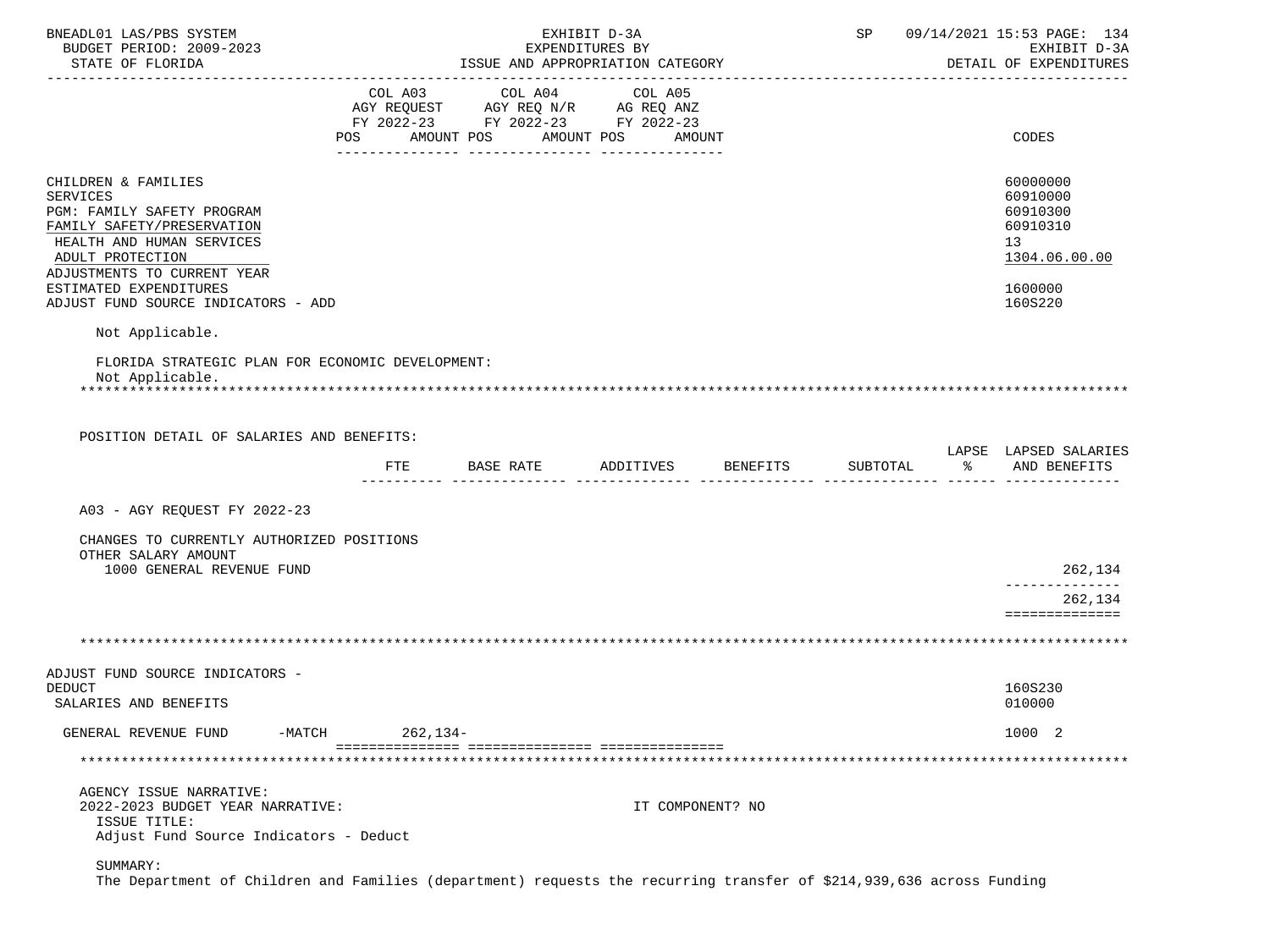| BNEADL01 LAS/PBS SYSTEM<br>BUDGET PERIOD: 2009-2023<br>STATE OF FLORIDA                                                                                                                                                                             |     | EXHIBIT D-3A<br>EXPENDITURES BY<br>ISSUE AND APPROPRIATION CATEGORY                                             |                   |                  | SP 09/14/2021 15:53 PAGE: 134<br>EXHIBIT D-3A<br>DETAIL OF EXPENDITURES |                                                                                           |
|-----------------------------------------------------------------------------------------------------------------------------------------------------------------------------------------------------------------------------------------------------|-----|-----------------------------------------------------------------------------------------------------------------|-------------------|------------------|-------------------------------------------------------------------------|-------------------------------------------------------------------------------------------|
|                                                                                                                                                                                                                                                     | POS | COL A03 COL A04 COL A05<br>AGY REQUEST AGY REQ N/R AG REQ ANZ<br>FY 2022-23 FY 2022-23 FY 2022-23<br>AMOUNT POS | AMOUNT POS AMOUNT |                  |                                                                         | CODES                                                                                     |
| CHILDREN & FAMILIES<br><b>SERVICES</b><br>PGM: FAMILY SAFETY PROGRAM<br>FAMILY SAFETY/PRESERVATION<br>HEALTH AND HUMAN SERVICES<br>ADULT PROTECTION<br>ADJUSTMENTS TO CURRENT YEAR<br>ESTIMATED EXPENDITURES<br>ADJUST FUND SOURCE INDICATORS - ADD |     |                                                                                                                 |                   |                  |                                                                         | 60000000<br>60910000<br>60910300<br>60910310<br>13<br>1304.06.00.00<br>1600000<br>160S220 |
| Not Applicable.                                                                                                                                                                                                                                     |     |                                                                                                                 |                   |                  |                                                                         |                                                                                           |
| FLORIDA STRATEGIC PLAN FOR ECONOMIC DEVELOPMENT:<br>Not Applicable.<br>POSITION DETAIL OF SALARIES AND BENEFITS:                                                                                                                                    |     |                                                                                                                 |                   |                  |                                                                         |                                                                                           |
|                                                                                                                                                                                                                                                     | FTE | BASE RATE ADDITIVES BENEFITS                                                                                    |                   |                  | SUBTOTAL                                                                | LAPSE LAPSED SALARIES<br>% AND BENEFITS                                                   |
| A03 - AGY REQUEST FY 2022-23                                                                                                                                                                                                                        |     |                                                                                                                 |                   |                  |                                                                         |                                                                                           |
| CHANGES TO CURRENTLY AUTHORIZED POSITIONS<br>OTHER SALARY AMOUNT<br>1000 GENERAL REVENUE FUND                                                                                                                                                       |     |                                                                                                                 |                   |                  |                                                                         | 262,134                                                                                   |
|                                                                                                                                                                                                                                                     |     |                                                                                                                 |                   |                  |                                                                         | -------------<br>262,134<br>==============                                                |
|                                                                                                                                                                                                                                                     |     |                                                                                                                 |                   |                  |                                                                         |                                                                                           |
| ADJUST FUND SOURCE INDICATORS -<br><b>DEDUCT</b><br>SALARIES AND BENEFITS                                                                                                                                                                           |     |                                                                                                                 |                   |                  |                                                                         | 160S230<br>010000                                                                         |
| GENERAL REVENUE FUND<br>-MATCH                                                                                                                                                                                                                      |     | $262, 134-$                                                                                                     |                   |                  |                                                                         | 1000 2                                                                                    |
|                                                                                                                                                                                                                                                     |     |                                                                                                                 |                   |                  |                                                                         |                                                                                           |
| AGENCY ISSUE NARRATIVE:<br>2022-2023 BUDGET YEAR NARRATIVE:<br>ISSUE TITLE:<br>Adjust Fund Source Indicators - Deduct                                                                                                                               |     |                                                                                                                 |                   | IT COMPONENT? NO |                                                                         |                                                                                           |
| SUMMARY:                                                                                                                                                                                                                                            |     |                                                                                                                 |                   |                  |                                                                         |                                                                                           |

The Department of Children and Families (department) requests the recurring transfer of \$214,939,636 across Funding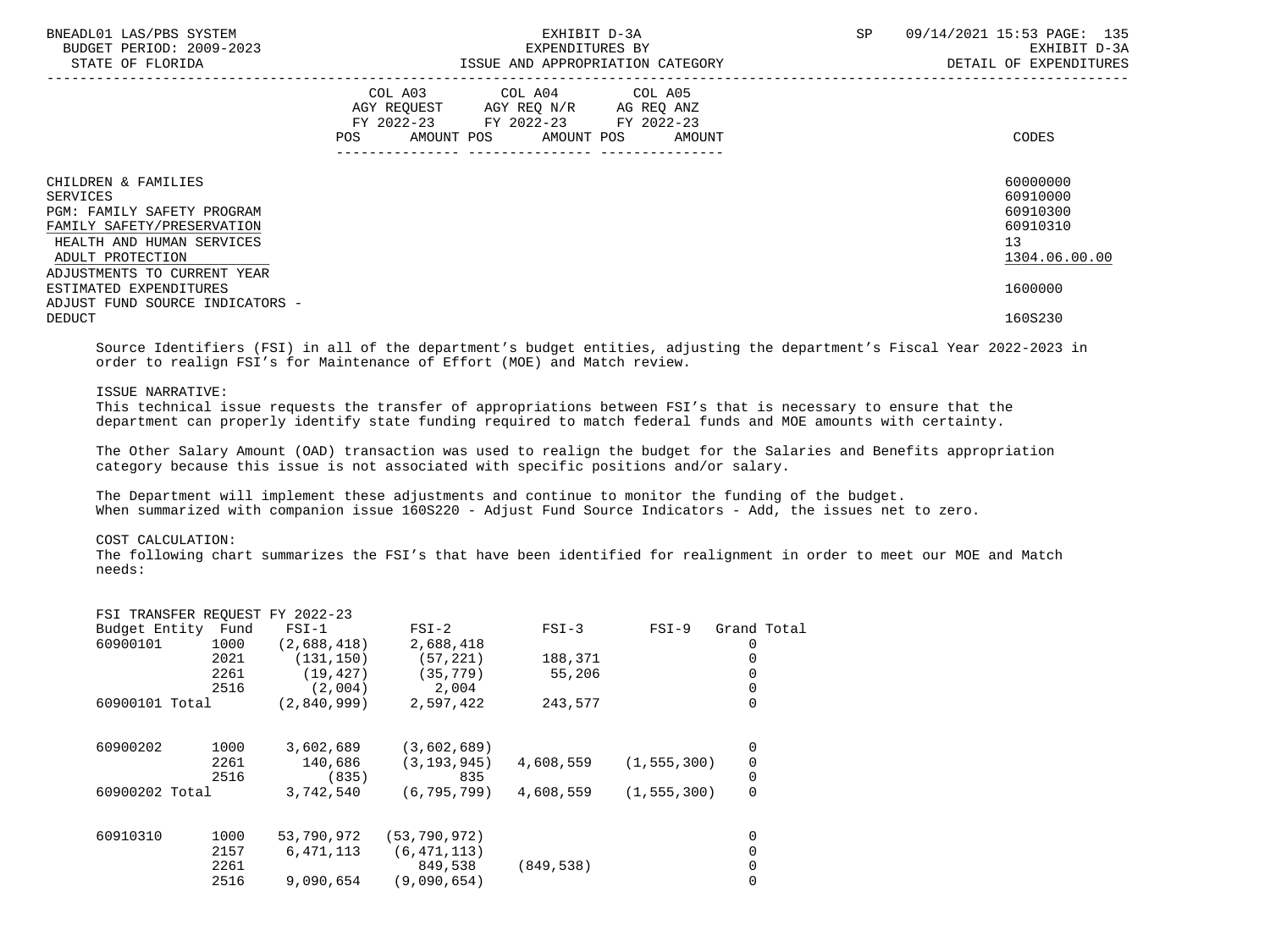| BNEADL01 LAS/PBS SYSTEM<br>BUDGET PERIOD: 2009-2023<br>STATE OF FLORIDA                                                                      | EXHIBIT D-3A<br>EXPENDITURES BY<br>ISSUE AND APPROPRIATION CATEGORY                                                                         | 09/14/2021 15:53 PAGE: 135<br>SP<br>EXHIBIT D-3A<br>DETAIL OF EXPENDITURES |
|----------------------------------------------------------------------------------------------------------------------------------------------|---------------------------------------------------------------------------------------------------------------------------------------------|----------------------------------------------------------------------------|
|                                                                                                                                              | COL A03 COL A04 COL A05<br>AGY REQUEST AGY REQ N/R AG REQ ANZ<br>FY 2022-23 FY 2022-23 FY 2022-23<br>POS<br>AMOUNT POS AMOUNT POS<br>AMOUNT | CODES                                                                      |
| CHILDREN & FAMILIES<br>SERVICES<br>PGM: FAMILY SAFETY PROGRAM<br>FAMILY SAFETY/PRESERVATION<br>HEALTH AND HUMAN SERVICES<br>ADULT PROTECTION |                                                                                                                                             | 60000000<br>60910000<br>60910300<br>60910310<br>13<br>1304.06.00.00        |
| ADJUSTMENTS TO CURRENT YEAR<br>ESTIMATED EXPENDITURES<br>ADJUST FUND SOURCE INDICATORS -<br><b>DEDUCT</b>                                    |                                                                                                                                             | 1600000<br>160S230                                                         |

 Source Identifiers (FSI) in all of the department's budget entities, adjusting the department's Fiscal Year 2022-2023 in order to realign FSI's for Maintenance of Effort (MOE) and Match review.

# ISSUE NARRATIVE:

 This technical issue requests the transfer of appropriations between FSI's that is necessary to ensure that the department can properly identify state funding required to match federal funds and MOE amounts with certainty.

 The Other Salary Amount (OAD) transaction was used to realign the budget for the Salaries and Benefits appropriation category because this issue is not associated with specific positions and/or salary.

 The Department will implement these adjustments and continue to monitor the funding of the budget. When summarized with companion issue 160S220 - Adjust Fund Source Indicators - Add, the issues net to zero.

# COST CALCULATION:

FSI TRANSFER REQUEST FY 2022-23

 The following chart summarizes the FSI's that have been identified for realignment in order to meet our MOE and Match needs:

|                    |      | FSI IRANSFER REQUESI FY 2022-23 |                |            |               |             |
|--------------------|------|---------------------------------|----------------|------------|---------------|-------------|
| Budget Entity Fund |      | $FSI-1$                         | $FSI-2$        | $FSI-3$    | $FSI-9$       | Grand Total |
| 60900101           | 1000 | (2,688,418)                     | 2,688,418      |            |               | 0           |
|                    | 2021 | (131, 150)                      | (57, 221)      | 188,371    |               | 0           |
|                    | 2261 | (19, 427)                       | (35, 779)      | 55,206     |               |             |
|                    | 2516 | (2,004)                         | 2,004          |            |               | 0           |
| 60900101 Total     |      | (2,840,999)                     | 2,597,422      | 243,577    |               | 0           |
| 60900202           | 1000 | 3,602,689                       | (3,602,689)    |            |               | 0           |
|                    | 2261 | 140,686                         | (3, 193, 945)  | 4,608,559  | (1, 555, 300) | 0           |
|                    | 2516 | (835)                           | 835            |            |               | 0           |
| 60900202 Total     |      | 3,742,540                       | (6.795.799)    | 4,608,559  | (1, 555, 300) | $\mathbf 0$ |
| 60910310           | 1000 | 53,790,972                      | (53, 790, 972) |            |               | 0           |
|                    | 2157 | 6,471,113                       | (6, 471, 113)  |            |               |             |
|                    | 2261 |                                 | 849,538        | (849, 538) |               |             |
|                    | 2516 | 9,090,654                       | (9,090,654)    |            |               | 0           |
|                    |      |                                 |                |            |               |             |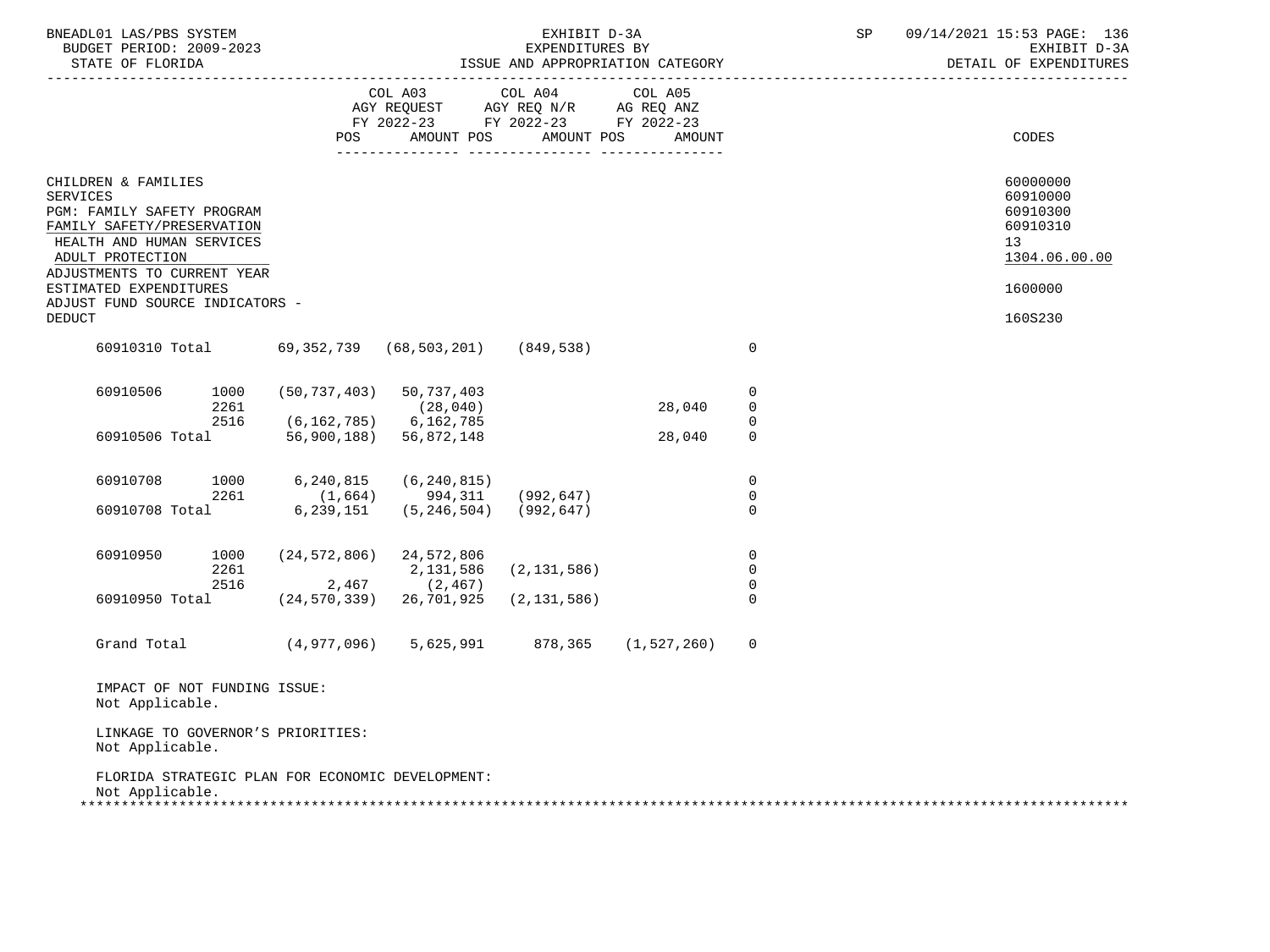| BNEADL01 LAS/PBS SYSTEM<br>BUDGET PERIOD: 2009-2023<br>STATE OF FLORIDA                                                                                                            |                                                       |                                                                                                 | EXHIBIT D-3A<br>EXPENDITURES BY | ISSUE AND APPROPRIATION CATEGORY |                                                 | SP | 09/14/2021 15:53 PAGE: 136<br>EXHIBIT D-3A<br>DETAIL OF EXPENDITURES |
|------------------------------------------------------------------------------------------------------------------------------------------------------------------------------------|-------------------------------------------------------|-------------------------------------------------------------------------------------------------|---------------------------------|----------------------------------|-------------------------------------------------|----|----------------------------------------------------------------------|
|                                                                                                                                                                                    | POS                                                   | COL A03<br>AGY REQUEST AGY REQ N/R AG REQ ANZ<br>FY 2022-23 FY 2022-23 FY 2022-23<br>AMOUNT POS | COL A04<br>AMOUNT POS           | COL A05<br>AMOUNT                |                                                 |    | CODES                                                                |
| CHILDREN & FAMILIES<br><b>SERVICES</b><br>PGM: FAMILY SAFETY PROGRAM<br>FAMILY SAFETY/PRESERVATION<br>HEALTH AND HUMAN SERVICES<br>ADULT PROTECTION<br>ADJUSTMENTS TO CURRENT YEAR |                                                       |                                                                                                 |                                 |                                  |                                                 |    | 60000000<br>60910000<br>60910300<br>60910310<br>13<br>1304.06.00.00  |
| ESTIMATED EXPENDITURES<br>ADJUST FUND SOURCE INDICATORS -<br><b>DEDUCT</b>                                                                                                         |                                                       |                                                                                                 |                                 |                                  |                                                 |    | 1600000<br>160S230                                                   |
| 60910310 Total                                                                                                                                                                     |                                                       | 69,352,739 (68,503,201) (849,538)                                                               |                                 |                                  | $\overline{0}$                                  |    |                                                                      |
| 60910506<br>1000<br>2261                                                                                                                                                           | $(50, 737, 403)$ 50, 737, 403                         | (28, 040)                                                                                       |                                 | 28,040                           | 0<br>$\mathbf 0$                                |    |                                                                      |
| 2516<br>60910506 Total                                                                                                                                                             | $(6, 162, 785)$ 6, 162, 785<br>56,900,188) 56,872,148 |                                                                                                 |                                 | 28,040                           | 0<br>$\mathbf 0$                                |    |                                                                      |
| 60910708<br>1000<br>2261<br>60910708 Total 6,239,151                                                                                                                               | 6,240,815<br>(1, 664)                                 | (6, 240, 815)<br>994,311<br>$(5, 246, 504)$ (992,647)                                           | (992, 647)                      |                                  | $\mathbf 0$<br>$\overline{0}$<br>$\overline{0}$ |    |                                                                      |
| 60910950<br>1000<br>2261<br>2516                                                                                                                                                   | $(24, 572, 806)$ 24, 572, 806                         | 2,131,586<br>$2,467$ (2,467)                                                                    | (2, 131, 586)                   |                                  | $\overline{0}$<br>$\mathbf 0$<br>$\overline{0}$ |    |                                                                      |
| 60910950 Total                                                                                                                                                                     | $(24, 570, 339)$ 26, 701, 925                         |                                                                                                 | (2, 131, 586)                   |                                  | $\mathbf 0$                                     |    |                                                                      |
| Grand Total                                                                                                                                                                        |                                                       | (4,977,096) 5,625,991                                                                           | 878,365                         | (1, 527, 260)                    | $\overline{0}$                                  |    |                                                                      |
| IMPACT OF NOT FUNDING ISSUE:<br>Not Applicable.                                                                                                                                    |                                                       |                                                                                                 |                                 |                                  |                                                 |    |                                                                      |
| LINKAGE TO GOVERNOR'S PRIORITIES:<br>Not Applicable.                                                                                                                               |                                                       |                                                                                                 |                                 |                                  |                                                 |    |                                                                      |
| FLORIDA STRATEGIC PLAN FOR ECONOMIC DEVELOPMENT:<br>Not Applicable.                                                                                                                |                                                       |                                                                                                 |                                 |                                  |                                                 |    |                                                                      |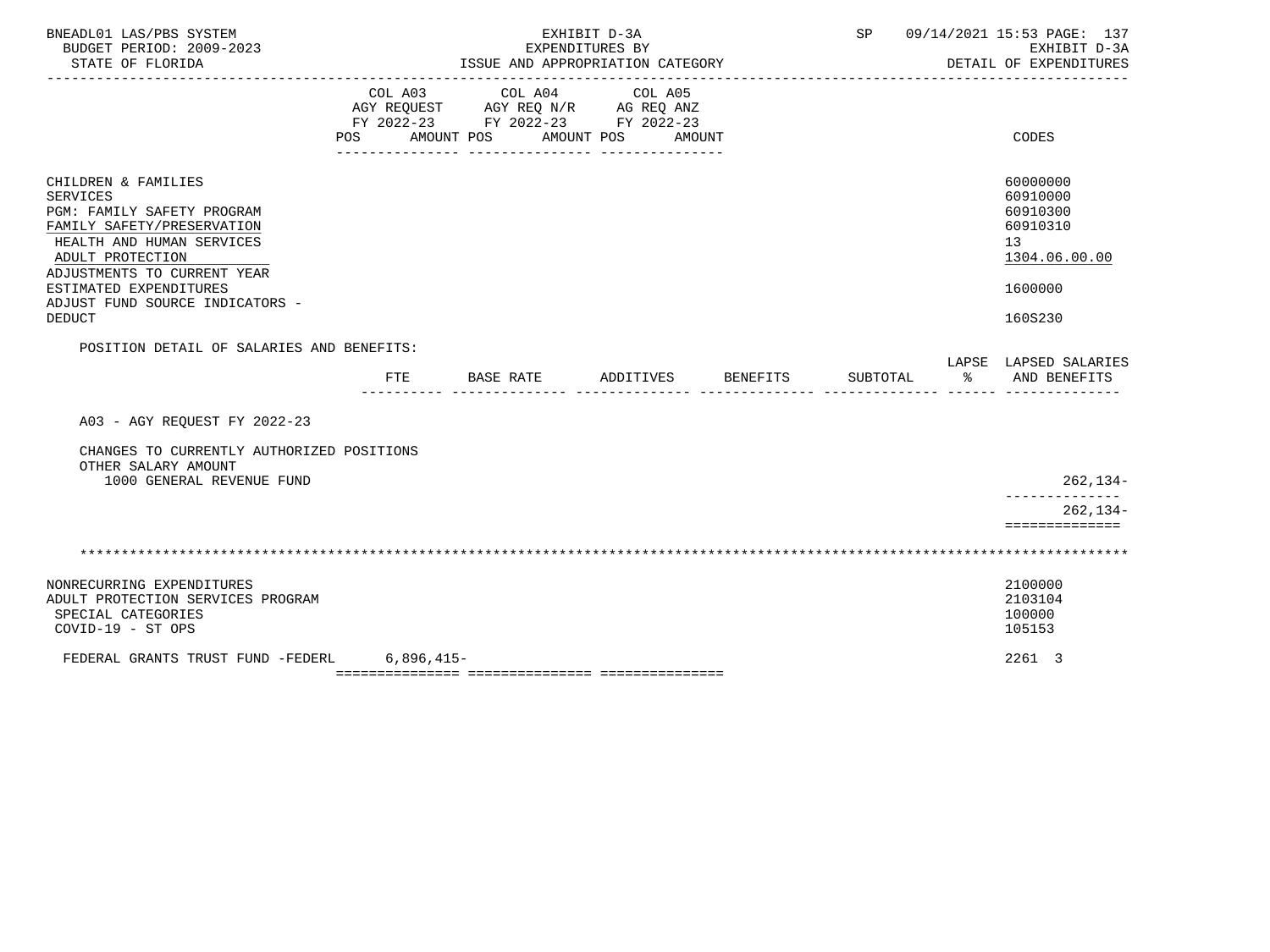| BNEADL01 LAS/PBS SYSTEM<br>BUDGET PERIOD: 2009-2023<br>STATE OF FLORIDA                                                                                                                                                                                          |     | ISSUE AND APPROPRIATION CATEGORY                                                                        | EXHIBIT D-3A<br>EXPENDITURES BY |          |          |               | SP 09/14/2021 15:53 PAGE: 137<br>EXHIBIT D-3A<br>DETAIL OF EXPENDITURES                                |
|------------------------------------------------------------------------------------------------------------------------------------------------------------------------------------------------------------------------------------------------------------------|-----|---------------------------------------------------------------------------------------------------------|---------------------------------|----------|----------|---------------|--------------------------------------------------------------------------------------------------------|
|                                                                                                                                                                                                                                                                  | POS | COL A03 COL A04<br>AGY REQUEST AGY REQ N/R AG REQ ANZ<br>FY 2022-23 FY 2022-23 FY 2022-23<br>AMOUNT POS | COL A05<br>AMOUNT POS AMOUNT    |          |          |               | CODES                                                                                                  |
| CHILDREN & FAMILIES<br><b>SERVICES</b><br>PGM: FAMILY SAFETY PROGRAM<br>FAMILY SAFETY/PRESERVATION<br>HEALTH AND HUMAN SERVICES<br>ADULT PROTECTION<br>ADJUSTMENTS TO CURRENT YEAR<br>ESTIMATED EXPENDITURES<br>ADJUST FUND SOURCE INDICATORS -<br><b>DEDUCT</b> |     |                                                                                                         |                                 |          |          |               | 60000000<br>60910000<br>60910300<br>60910310<br>13 <sup>°</sup><br>1304.06.00.00<br>1600000<br>160S230 |
| POSITION DETAIL OF SALARIES AND BENEFITS:                                                                                                                                                                                                                        | FTE | BASE RATE                                                                                               | ADDITIVES                       | BENEFITS | SUBTOTAL | $\sim$ $\sim$ | LAPSE LAPSED SALARIES<br>AND BENEFITS                                                                  |
| A03 - AGY REQUEST FY 2022-23                                                                                                                                                                                                                                     |     |                                                                                                         |                                 |          |          |               |                                                                                                        |
| CHANGES TO CURRENTLY AUTHORIZED POSITIONS<br>OTHER SALARY AMOUNT                                                                                                                                                                                                 |     |                                                                                                         |                                 |          |          |               |                                                                                                        |
| 1000 GENERAL REVENUE FUND                                                                                                                                                                                                                                        |     |                                                                                                         |                                 |          |          |               | $262, 134-$<br>--------                                                                                |
|                                                                                                                                                                                                                                                                  |     |                                                                                                         |                                 |          |          |               | $262, 134-$<br>==============                                                                          |
|                                                                                                                                                                                                                                                                  |     |                                                                                                         |                                 |          |          |               |                                                                                                        |
| NONRECURRING EXPENDITURES<br>ADULT PROTECTION SERVICES PROGRAM<br>SPECIAL CATEGORIES<br>$COVID-19 - ST OPS$                                                                                                                                                      |     |                                                                                                         |                                 |          |          |               | 2100000<br>2103104<br>100000<br>105153                                                                 |
| FEDERAL GRANTS TRUST FUND -FEDERL 6,896,415-                                                                                                                                                                                                                     |     |                                                                                                         |                                 |          |          |               | 2261 3                                                                                                 |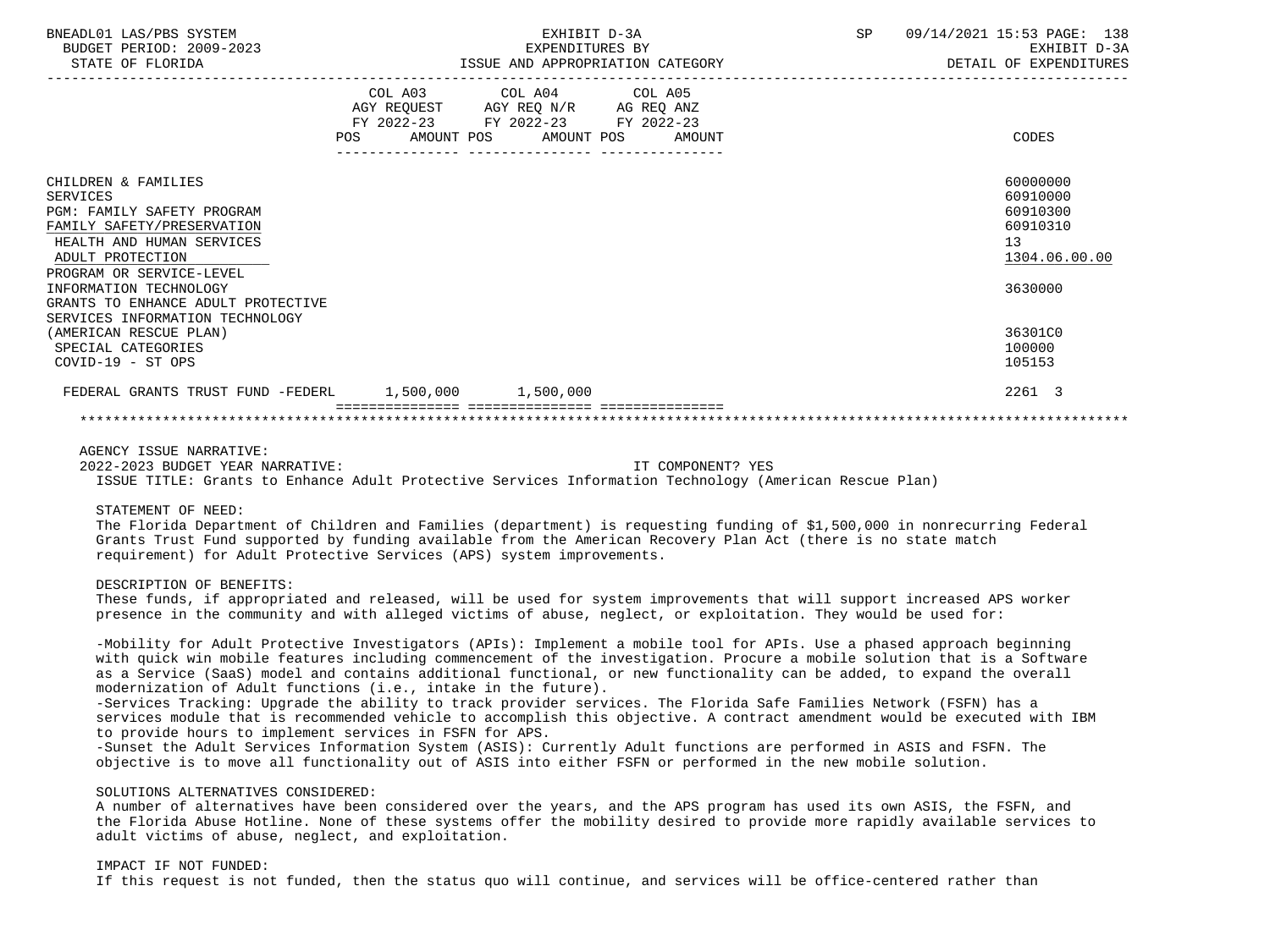| BNEADL01 LAS/PBS SYSTEM<br>BUDGET PERIOD: 2009-2023<br>STATE OF FLORIDA                                                                                                     | EXHIBIT D-3A<br>EXPENDITURES BY                                                                                                       | <b>SP</b> | 09/14/2021 15:53 PAGE: 138<br>EXHIBIT D-3A<br>ISSUE AND APPROPRIATION CATEGORY <b>ALCOMOTOM</b> DETAIL OF EXPENDITURES |
|-----------------------------------------------------------------------------------------------------------------------------------------------------------------------------|---------------------------------------------------------------------------------------------------------------------------------------|-----------|------------------------------------------------------------------------------------------------------------------------|
|                                                                                                                                                                             | COL A03 COL A04 COL A05<br>AGY REQUEST AGY REQ N/R AG REQ ANZ<br>FY 2022-23 FY 2022-23 FY 2022-23<br>POS AMOUNT POS AMOUNT POS AMOUNT |           | CODES                                                                                                                  |
| CHILDREN & FAMILIES<br><b>SERVICES</b><br><b>PGM: FAMILY SAFETY PROGRAM</b><br>FAMILY SAFETY/PRESERVATION<br>HEALTH AND HUMAN SERVICES<br>ADULT PROTECTION                  |                                                                                                                                       |           | 60000000<br>60910000<br>60910300<br>60910310<br>13<br>1304.06.00.00                                                    |
| PROGRAM OR SERVICE-LEVEL<br>INFORMATION TECHNOLOGY<br>GRANTS TO ENHANCE ADULT PROTECTIVE<br>SERVICES INFORMATION TECHNOLOGY<br>(AMERICAN RESCUE PLAN)<br>SPECIAL CATEGORIES |                                                                                                                                       |           | 3630000<br>36301C0<br>100000                                                                                           |
| COVID-19 - ST OPS<br>FEDERAL GRANTS TRUST FUND -FEDERL 1,500,000 1,500,000                                                                                                  |                                                                                                                                       |           | 105153<br>2261 3                                                                                                       |
|                                                                                                                                                                             |                                                                                                                                       |           |                                                                                                                        |

AGENCY ISSUE NARRATIVE:

2022-2023 BUDGET YEAR NARRATIVE: IT COMPONENT? YES

ISSUE TITLE: Grants to Enhance Adult Protective Services Information Technology (American Rescue Plan)

STATEMENT OF NEED:

 The Florida Department of Children and Families (department) is requesting funding of \$1,500,000 in nonrecurring Federal Grants Trust Fund supported by funding available from the American Recovery Plan Act (there is no state match requirement) for Adult Protective Services (APS) system improvements.

DESCRIPTION OF BENEFITS:

 These funds, if appropriated and released, will be used for system improvements that will support increased APS worker presence in the community and with alleged victims of abuse, neglect, or exploitation. They would be used for:

 -Mobility for Adult Protective Investigators (APIs): Implement a mobile tool for APIs. Use a phased approach beginning with quick win mobile features including commencement of the investigation. Procure a mobile solution that is a Software as a Service (SaaS) model and contains additional functional, or new functionality can be added, to expand the overall modernization of Adult functions (i.e., intake in the future).

 -Services Tracking: Upgrade the ability to track provider services. The Florida Safe Families Network (FSFN) has a services module that is recommended vehicle to accomplish this objective. A contract amendment would be executed with IBM to provide hours to implement services in FSFN for APS.

 -Sunset the Adult Services Information System (ASIS): Currently Adult functions are performed in ASIS and FSFN. The objective is to move all functionality out of ASIS into either FSFN or performed in the new mobile solution.

# SOLUTIONS ALTERNATIVES CONSIDERED:

 A number of alternatives have been considered over the years, and the APS program has used its own ASIS, the FSFN, and the Florida Abuse Hotline. None of these systems offer the mobility desired to provide more rapidly available services to adult victims of abuse, neglect, and exploitation.

IMPACT IF NOT FUNDED:

If this request is not funded, then the status quo will continue, and services will be office-centered rather than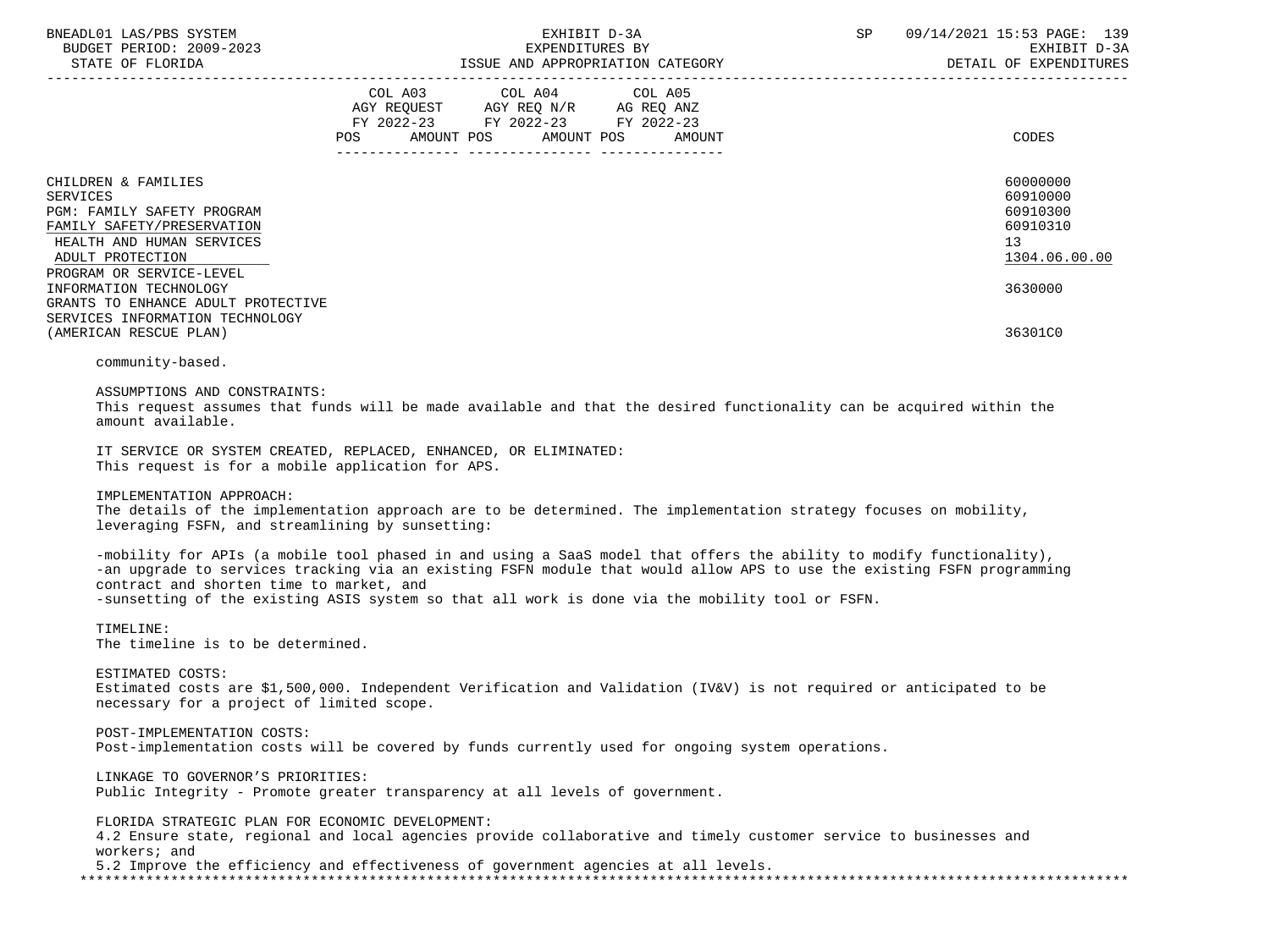| BNEADL01 LAS/PBS SYSTEM |                  |                          |
|-------------------------|------------------|--------------------------|
|                         |                  | BUDGET PERIOD: 2009-2023 |
|                         | STATE OF FLORIDA |                          |

|                                                                                                                                              | <b>POS</b> | COL A03 COL A04 COL A05<br>AGY REQUEST AGY REQ N/R AG REQ ANZ<br>FY 2022-23 FY 2022-23 FY 2022-23<br>AMOUNT POS AMOUNT POS | AMOUNT |                                                                                                                      | CODES                                                               |
|----------------------------------------------------------------------------------------------------------------------------------------------|------------|----------------------------------------------------------------------------------------------------------------------------|--------|----------------------------------------------------------------------------------------------------------------------|---------------------------------------------------------------------|
|                                                                                                                                              |            |                                                                                                                            |        |                                                                                                                      |                                                                     |
| CHILDREN & FAMILIES<br>SERVICES<br>PGM: FAMILY SAFETY PROGRAM<br>FAMILY SAFETY/PRESERVATION<br>HEALTH AND HUMAN SERVICES<br>ADULT PROTECTION |            |                                                                                                                            |        |                                                                                                                      | 60000000<br>60910000<br>60910300<br>60910310<br>13<br>1304.06.00.00 |
| PROGRAM OR SERVICE-LEVEL                                                                                                                     |            |                                                                                                                            |        |                                                                                                                      |                                                                     |
| INFORMATION TECHNOLOGY                                                                                                                       |            |                                                                                                                            |        |                                                                                                                      | 3630000                                                             |
| GRANTS TO ENHANCE ADULT PROTECTIVE<br>SERVICES INFORMATION TECHNOLOGY<br>(AMERICAN RESCUE PLAN)                                              |            |                                                                                                                            |        |                                                                                                                      | 36301C0                                                             |
| community-based.                                                                                                                             |            |                                                                                                                            |        |                                                                                                                      |                                                                     |
| ASSUMPTIONS AND CONSTRAINTS:<br>amount available.                                                                                            |            |                                                                                                                            |        | This request assumes that funds will be made available and that the desired functionality can be acquired within the |                                                                     |
| IT SERVICE OR SYSTEM CREATED, REPLACED, ENHANCED, OR ELIMINATED:<br>This request is for a mobile application for APS.                        |            |                                                                                                                            |        |                                                                                                                      |                                                                     |

IMPLEMENTATION APPROACH:

 The details of the implementation approach are to be determined. The implementation strategy focuses on mobility, leveraging FSFN, and streamlining by sunsetting:

 -mobility for APIs (a mobile tool phased in and using a SaaS model that offers the ability to modify functionality), -an upgrade to services tracking via an existing FSFN module that would allow APS to use the existing FSFN programming contract and shorten time to market, and -sunsetting of the existing ASIS system so that all work is done via the mobility tool or FSFN.

 TIMELINE: The timeline is to be determined.

 ESTIMATED COSTS: Estimated costs are \$1,500,000. Independent Verification and Validation (IV&V) is not required or anticipated to be necessary for a project of limited scope.

 POST-IMPLEMENTATION COSTS: Post-implementation costs will be covered by funds currently used for ongoing system operations.

 LINKAGE TO GOVERNOR'S PRIORITIES: Public Integrity - Promote greater transparency at all levels of government.

 FLORIDA STRATEGIC PLAN FOR ECONOMIC DEVELOPMENT: 4.2 Ensure state, regional and local agencies provide collaborative and timely customer service to businesses and workers; and 5.2 Improve the efficiency and effectiveness of government agencies at all levels. \*\*\*\*\*\*\*\*\*\*\*\*\*\*\*\*\*\*\*\*\*\*\*\*\*\*\*\*\*\*\*\*\*\*\*\*\*\*\*\*\*\*\*\*\*\*\*\*\*\*\*\*\*\*\*\*\*\*\*\*\*\*\*\*\*\*\*\*\*\*\*\*\*\*\*\*\*\*\*\*\*\*\*\*\*\*\*\*\*\*\*\*\*\*\*\*\*\*\*\*\*\*\*\*\*\*\*\*\*\*\*\*\*\*\*\*\*\*\*\*\*\*\*\*\*\*\*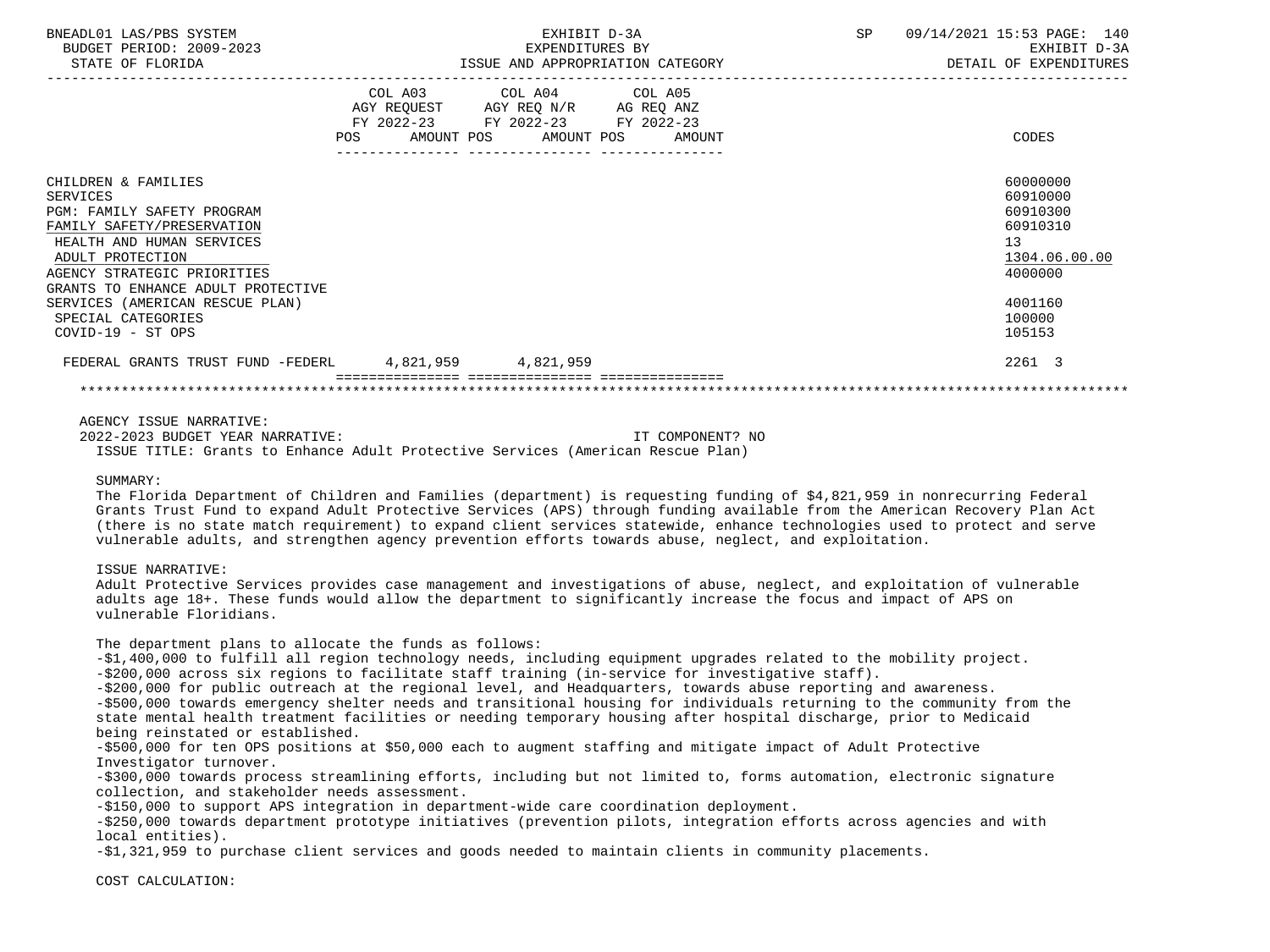| BNEADL01 LAS/PBS SYSTEM<br>BUDGET PERIOD: 2009-2023<br>STATE OF FLORIDA                                                                                                                                                                                                                                  | EXHIBIT D-3A<br>EXPENDITURES BY                                                                   | ISSUE AND APPROPRIATION CATEGORY | SP 09/14/2021 15:53 PAGE: 140<br>EXHIBIT D-3A<br>DETAIL OF EXPENDITURES                                       |
|----------------------------------------------------------------------------------------------------------------------------------------------------------------------------------------------------------------------------------------------------------------------------------------------------------|---------------------------------------------------------------------------------------------------|----------------------------------|---------------------------------------------------------------------------------------------------------------|
|                                                                                                                                                                                                                                                                                                          | COL A03 COL A04 COL A05<br>AGY REQUEST AGY REQ N/R AG REQ ANZ<br>FY 2022-23 FY 2022-23 FY 2022-23 | POS AMOUNT POS AMOUNT POS AMOUNT | CODES                                                                                                         |
| CHILDREN & FAMILIES<br>SERVICES<br><b>PGM: FAMILY SAFETY PROGRAM</b><br>FAMILY SAFETY/PRESERVATION<br>HEALTH AND HUMAN SERVICES<br>ADULT PROTECTION<br>AGENCY STRATEGIC PRIORITIES<br>GRANTS TO ENHANCE ADULT PROTECTIVE<br>SERVICES (AMERICAN RESCUE PLAN)<br>SPECIAL CATEGORIES<br>$COVID-19 - ST OPS$ |                                                                                                   |                                  | 60000000<br>60910000<br>60910300<br>60910310<br>13<br>1304.06.00.00<br>4000000<br>4001160<br>100000<br>105153 |
| FEDERAL GRANTS TRUST FUND -FEDERL 4,821,959 4,821,959                                                                                                                                                                                                                                                    |                                                                                                   |                                  | 2261 3                                                                                                        |
|                                                                                                                                                                                                                                                                                                          |                                                                                                   |                                  |                                                                                                               |
| AGENCY ISSUE NARRATIVE:<br>2022-2023 BUDGET YEAR NARRATIVE:                                                                                                                                                                                                                                              |                                                                                                   | IT COMPONENT? NO                 |                                                                                                               |

ISSUE TITLE: Grants to Enhance Adult Protective Services (American Rescue Plan)

#### SUMMARY:

 The Florida Department of Children and Families (department) is requesting funding of \$4,821,959 in nonrecurring Federal Grants Trust Fund to expand Adult Protective Services (APS) through funding available from the American Recovery Plan Act (there is no state match requirement) to expand client services statewide, enhance technologies used to protect and serve vulnerable adults, and strengthen agency prevention efforts towards abuse, neglect, and exploitation.

# ISSUE NARRATIVE:

 Adult Protective Services provides case management and investigations of abuse, neglect, and exploitation of vulnerable adults age 18+. These funds would allow the department to significantly increase the focus and impact of APS on vulnerable Floridians.

The department plans to allocate the funds as follows:

 -\$1,400,000 to fulfill all region technology needs, including equipment upgrades related to the mobility project. -\$200,000 across six regions to facilitate staff training (in-service for investigative staff).

-\$200,000 for public outreach at the regional level, and Headquarters, towards abuse reporting and awareness.

 -\$500,000 towards emergency shelter needs and transitional housing for individuals returning to the community from the state mental health treatment facilities or needing temporary housing after hospital discharge, prior to Medicaid being reinstated or established.

 -\$500,000 for ten OPS positions at \$50,000 each to augment staffing and mitigate impact of Adult Protective Investigator turnover.

 -\$300,000 towards process streamlining efforts, including but not limited to, forms automation, electronic signature collection, and stakeholder needs assessment.

-\$150,000 to support APS integration in department-wide care coordination deployment.

 -\$250,000 towards department prototype initiatives (prevention pilots, integration efforts across agencies and with local entities).

-\$1,321,959 to purchase client services and goods needed to maintain clients in community placements.

COST CALCULATION: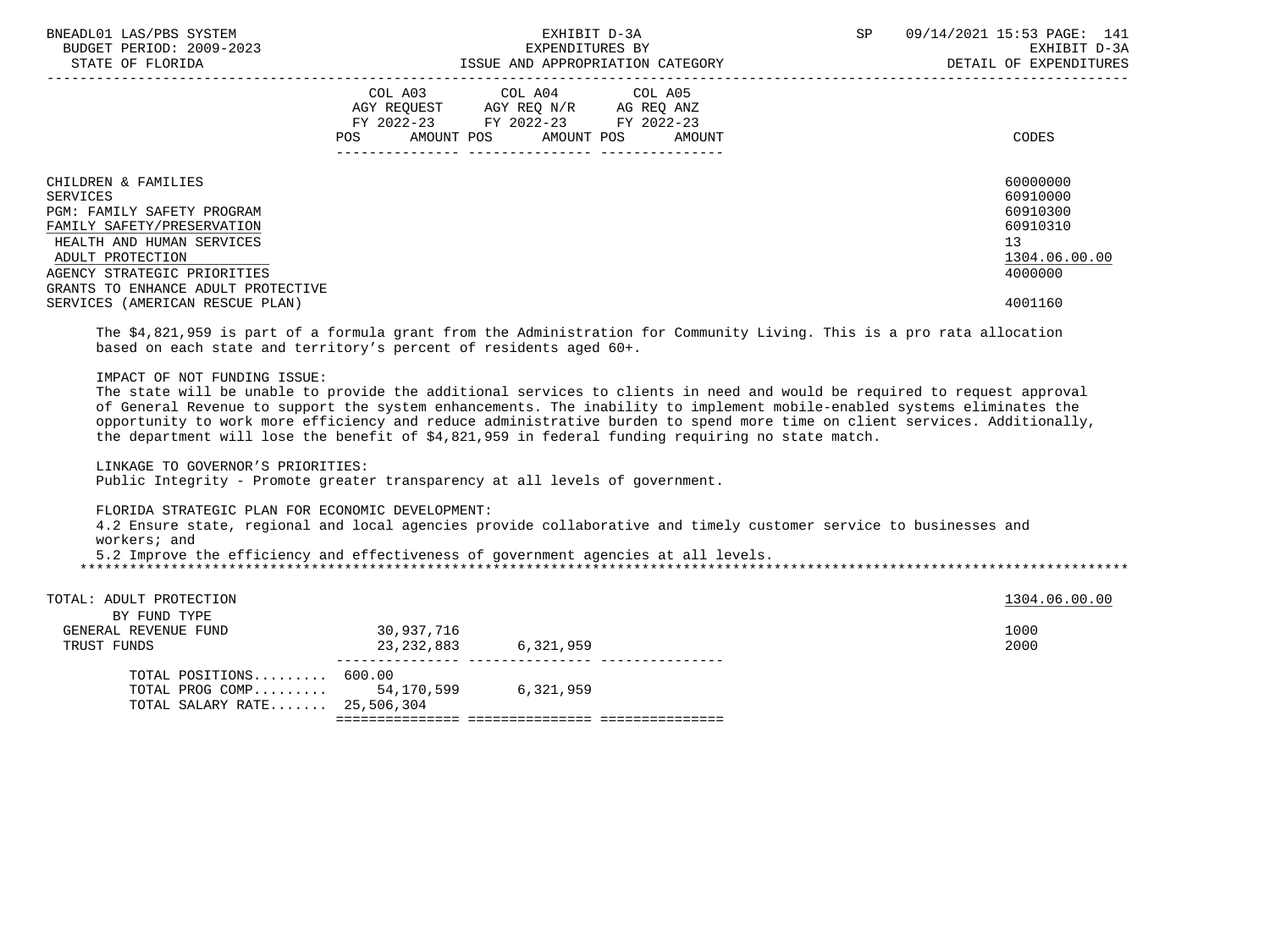| BNEADL01 LAS/PBS SYSTEM<br>BUDGET PERIOD: 2009-2023<br>STATE OF FLORIDA                                                                                                                                                  | EXHIBIT D-3A<br>EXPENDITURES BY<br>ISSUE AND APPROPRIATION CATEGORY                                                                         | 09/14/2021 15:53 PAGE: 141<br>SP<br>EXHIBIT D-3A<br>DETAIL OF EXPENDITURES     |
|--------------------------------------------------------------------------------------------------------------------------------------------------------------------------------------------------------------------------|---------------------------------------------------------------------------------------------------------------------------------------------|--------------------------------------------------------------------------------|
|                                                                                                                                                                                                                          | COL A03 COL A04 COL A05<br>AGY REOUEST AGY REO N/R AG REO ANZ<br>FY 2022-23 FY 2022-23 FY 2022-23<br>AMOUNT POS AMOUNT POS<br>POS<br>AMOUNT | CODES                                                                          |
| CHILDREN & FAMILIES<br>SERVICES<br><b>PGM: FAMILY SAFETY PROGRAM</b><br>FAMILY SAFETY/PRESERVATION<br>HEALTH AND HUMAN SERVICES<br>ADULT PROTECTION<br>AGENCY STRATEGIC PRIORITIES<br>GRANTS TO ENHANCE ADULT PROTECTIVE |                                                                                                                                             | 60000000<br>60910000<br>60910300<br>60910310<br>13<br>1304.06.00.00<br>4000000 |
| SERVICES (AMERICAN RESCUE PLAN)                                                                                                                                                                                          |                                                                                                                                             | 4001160                                                                        |

 The \$4,821,959 is part of a formula grant from the Administration for Community Living. This is a pro rata allocation based on each state and territory's percent of residents aged 60+.

IMPACT OF NOT FUNDING ISSUE:

 The state will be unable to provide the additional services to clients in need and would be required to request approval of General Revenue to support the system enhancements. The inability to implement mobile-enabled systems eliminates the opportunity to work more efficiency and reduce administrative burden to spend more time on client services. Additionally, the department will lose the benefit of \$4,821,959 in federal funding requiring no state match.

LINKAGE TO GOVERNOR'S PRIORITIES:

Public Integrity - Promote greater transparency at all levels of government.

FLORIDA STRATEGIC PLAN FOR ECONOMIC DEVELOPMENT:

 4.2 Ensure state, regional and local agencies provide collaborative and timely customer service to businesses and workers; and

5.2 Improve the efficiency and effectiveness of government agencies at all levels.

\*\*\*\*\*\*\*\*\*\*\*\*\*\*\*\*\*\*\*\*\*\*\*\*\*\*\*\*\*\*\*\*\*\*\*\*\*\*\*\*\*\*\*\*\*\*\*\*\*\*\*\*\*\*\*\*\*\*\*\*\*\*\*\*\*\*\*\*\*\*\*\*\*\*\*\*\*\*\*\*\*\*\*\*\*\*\*\*\*\*\*\*\*\*\*\*\*\*\*\*\*\*\*\*\*\*\*\*\*\*\*\*\*\*\*\*\*\*\*\*\*\*\*\*\*\*\*

| TOTAL: ADULT PROTECTION      |            |           |      | 1304.06.00.00 |  |  |  |  |
|------------------------------|------------|-----------|------|---------------|--|--|--|--|
| BY FUND TYPE                 |            |           |      |               |  |  |  |  |
| GENERAL REVENUE FUND         | 30,937,716 |           | 1000 |               |  |  |  |  |
| TRUST FUNDS                  | 23,232,883 | 6,321,959 | 2000 |               |  |  |  |  |
|                              |            |           |      |               |  |  |  |  |
| TOTAL POSITIONS 600.00       |            |           |      |               |  |  |  |  |
| TOTAL PROG COMP $54,170,599$ |            | 6,321,959 |      |               |  |  |  |  |
| TOTAL SALARY RATE 25,506,304 |            |           |      |               |  |  |  |  |
|                              |            |           |      |               |  |  |  |  |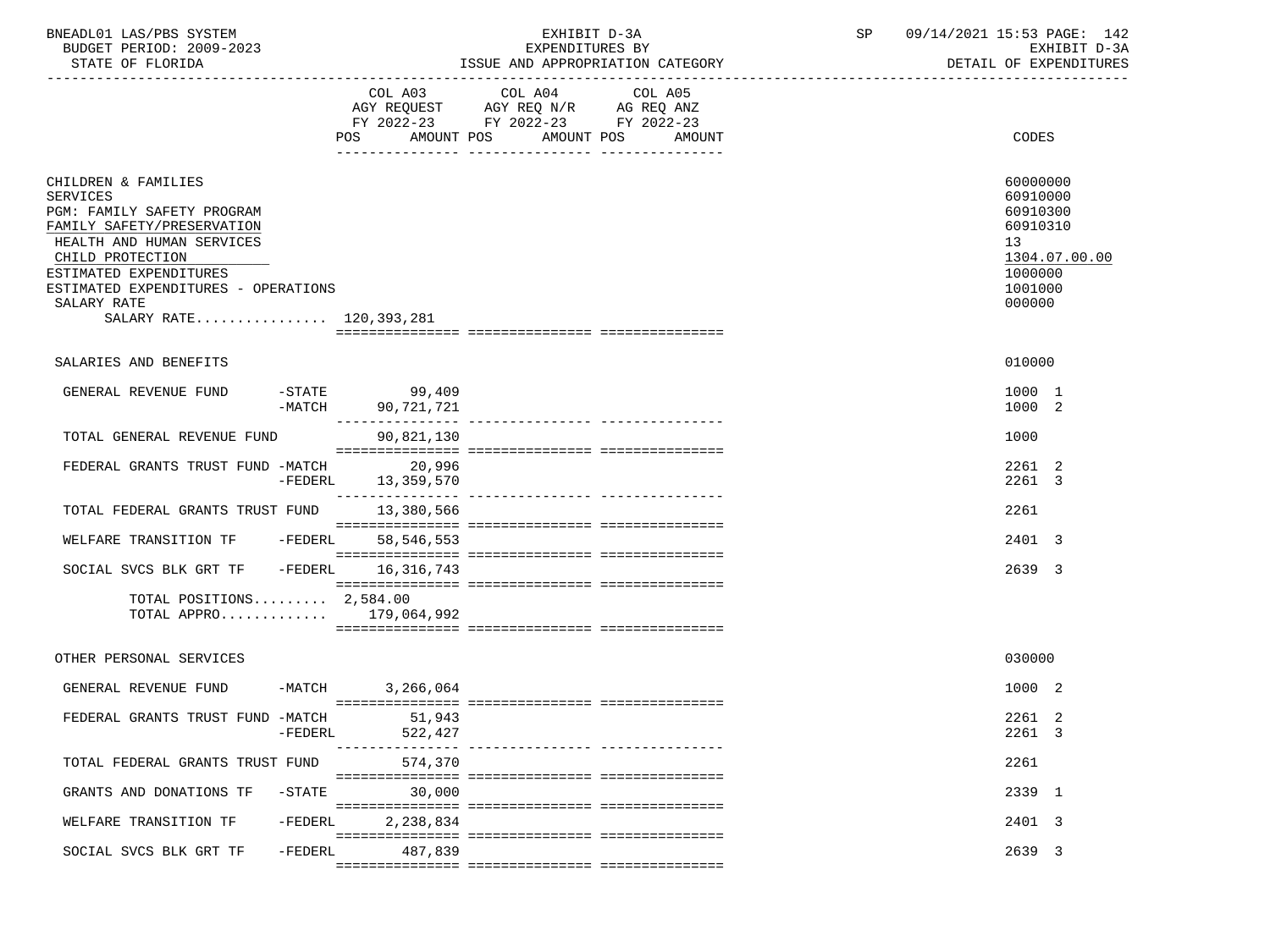| BNEADL01 LAS/PBS SYSTEM |                  |                          |  | EXHIBIT D-3A                     |  |
|-------------------------|------------------|--------------------------|--|----------------------------------|--|
|                         |                  | BUDGET PERIOD: 2009-2023 |  | EXPENDITURES BY                  |  |
|                         | STATE OF FLORIDA |                          |  | ISSUE AND APPROPRIATION CATEGORY |  |

BUDGET PERIOD: 2009-2023 EXPENDITURES BY EXHIBIT D-3A

|                                                                                                                                                                                                                                                                | COL A03<br><b>POS</b><br>AMOUNT POS               | COL A04<br>$\begin{tabular}{lllllll} \bf AGY & \bf REQUEST & \bf AGY & \bf REQ & \tt N/R & \tt AG & \tt REQ & \tt ANZ \\ \bf FY & \tt 2022-23 & \tt FY & \tt 2022-23 & \tt FY & \tt 2022-23 \\ \end{tabular}$ | COL A05<br>AMOUNT POS AMOUNT           | <b>CODES</b>                                                                       |               |
|----------------------------------------------------------------------------------------------------------------------------------------------------------------------------------------------------------------------------------------------------------------|---------------------------------------------------|---------------------------------------------------------------------------------------------------------------------------------------------------------------------------------------------------------------|----------------------------------------|------------------------------------------------------------------------------------|---------------|
| CHILDREN & FAMILIES<br><b>SERVICES</b><br>PGM: FAMILY SAFETY PROGRAM<br>FAMILY SAFETY/PRESERVATION<br>HEALTH AND HUMAN SERVICES<br>CHILD PROTECTION<br>ESTIMATED EXPENDITURES<br>ESTIMATED EXPENDITURES - OPERATIONS<br>SALARY RATE<br>SALARY RATE 120,393,281 |                                                   |                                                                                                                                                                                                               |                                        | 60000000<br>60910000<br>60910300<br>60910310<br>13<br>1000000<br>1001000<br>000000 | 1304.07.00.00 |
|                                                                                                                                                                                                                                                                |                                                   |                                                                                                                                                                                                               |                                        |                                                                                    |               |
| SALARIES AND BENEFITS                                                                                                                                                                                                                                          |                                                   |                                                                                                                                                                                                               |                                        | 010000                                                                             |               |
| GENERAL REVENUE FUND                                                                                                                                                                                                                                           | $-$ STATE<br>99,409<br>$-MATCH$<br>90,721,721     |                                                                                                                                                                                                               |                                        | 1000 1<br>1000 2                                                                   |               |
| TOTAL GENERAL REVENUE FUND                                                                                                                                                                                                                                     | 90,821,130                                        |                                                                                                                                                                                                               |                                        | 1000                                                                               |               |
| FEDERAL GRANTS TRUST FUND -MATCH                                                                                                                                                                                                                               | 20,996<br>-FEDERL<br>13,359,570                   |                                                                                                                                                                                                               |                                        | 2261 2<br>2261 3                                                                   |               |
| TOTAL FEDERAL GRANTS TRUST FUND                                                                                                                                                                                                                                | 13,380,566                                        |                                                                                                                                                                                                               |                                        | 2261                                                                               |               |
| WELFARE TRANSITION TF                                                                                                                                                                                                                                          | -FEDERL 58,546,553                                |                                                                                                                                                                                                               |                                        | 2401 3                                                                             |               |
| SOCIAL SVCS BLK GRT TF                                                                                                                                                                                                                                         | -FEDERL 16,316,743                                |                                                                                                                                                                                                               |                                        | 2639 3                                                                             |               |
| TOTAL POSITIONS $2,584.00$                                                                                                                                                                                                                                     | TOTAL APPRO 179,064,992                           |                                                                                                                                                                                                               |                                        |                                                                                    |               |
| OTHER PERSONAL SERVICES                                                                                                                                                                                                                                        |                                                   |                                                                                                                                                                                                               |                                        | 030000                                                                             |               |
| GENERAL REVENUE FUND                                                                                                                                                                                                                                           | $-MATCH$<br>3,266,064                             |                                                                                                                                                                                                               |                                        | 1000 2                                                                             |               |
| FEDERAL GRANTS TRUST FUND -MATCH                                                                                                                                                                                                                               | 51,943<br>$-FEDERL$<br>522,427<br>_______________ |                                                                                                                                                                                                               | ______________________________________ | 2261 2<br>2261 3                                                                   |               |
| TOTAL FEDERAL GRANTS TRUST FUND                                                                                                                                                                                                                                | 574,370                                           |                                                                                                                                                                                                               |                                        | 2261                                                                               |               |
| GRANTS AND DONATIONS TF                                                                                                                                                                                                                                        | 30,000<br>$-$ STATE                               |                                                                                                                                                                                                               |                                        | 2339 1                                                                             |               |
| WELFARE TRANSITION TF                                                                                                                                                                                                                                          | $-FEDERL$<br>2,238,834                            |                                                                                                                                                                                                               |                                        | 2401 3                                                                             |               |
| SOCIAL SVCS BLK GRT TF                                                                                                                                                                                                                                         | -FEDERL<br>487,839                                |                                                                                                                                                                                                               |                                        | 2639 3                                                                             |               |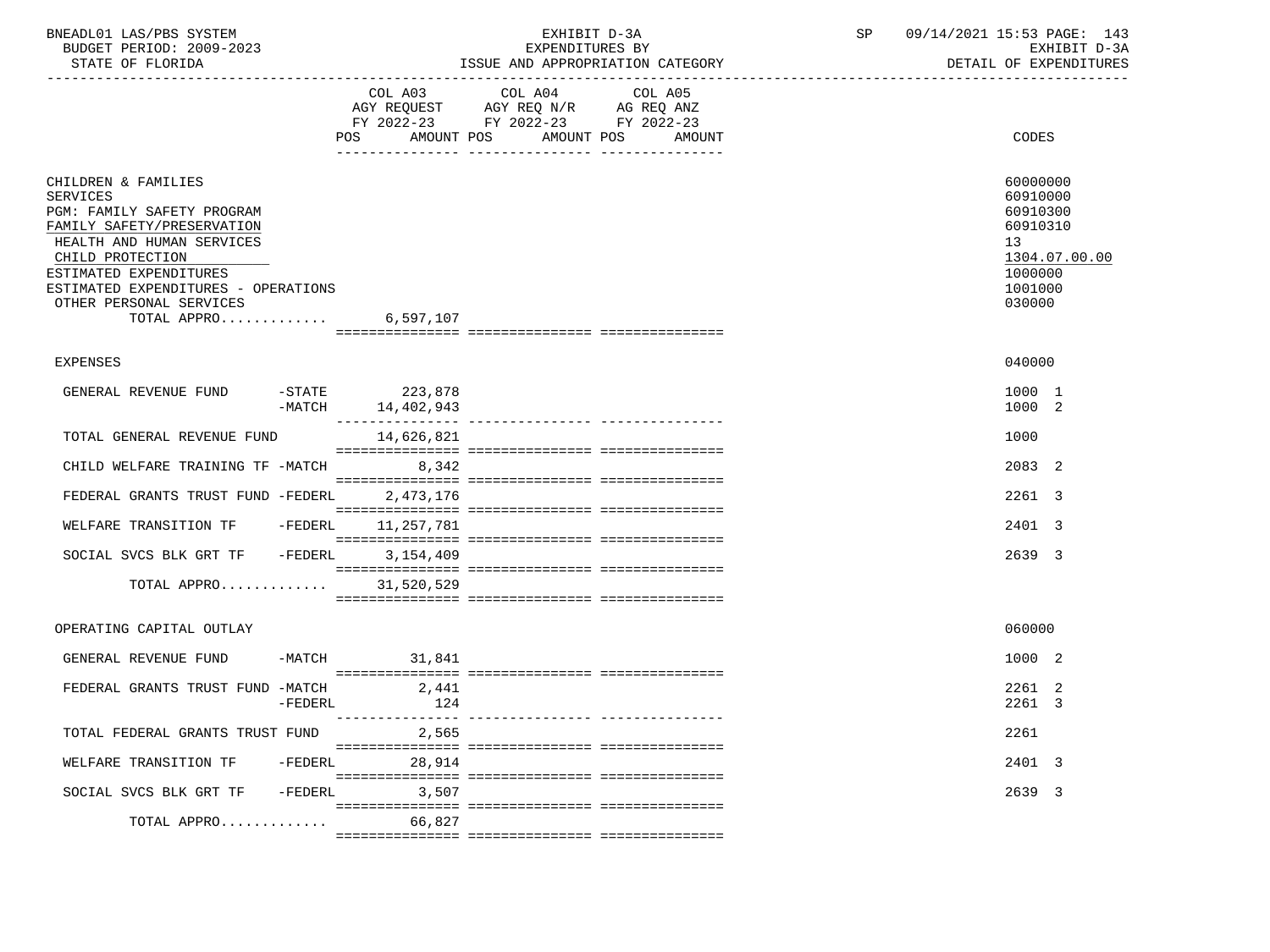| BNEADL01 LAS/PBS SYSTEM<br>BUDGET PERIOD: 2009-2023<br>STATE OF FLORIDA                                                                                                                                                                                                  |                   | EXHIBIT D-3A<br>EXPENDITURES BY<br>ISSUE AND APPROPRIATION CATEGORY                                                                      | SP | 09/14/2021 15:53 PAGE: 143<br>EXHIBIT D-3A<br>DETAIL OF EXPENDITURES                                |
|--------------------------------------------------------------------------------------------------------------------------------------------------------------------------------------------------------------------------------------------------------------------------|-------------------|------------------------------------------------------------------------------------------------------------------------------------------|----|-----------------------------------------------------------------------------------------------------|
|                                                                                                                                                                                                                                                                          |                   | COL A03 COL A04<br>COL A05<br>AGY REQUEST AGY REQ N/R AG REQ ANZ<br>FY 2022-23 FY 2022-23 FY 2022-23<br>POS AMOUNT POS AMOUNT POS AMOUNT |    | CODES                                                                                               |
| CHILDREN & FAMILIES<br><b>SERVICES</b><br>PGM: FAMILY SAFETY PROGRAM<br>FAMILY SAFETY/PRESERVATION<br>HEALTH AND HUMAN SERVICES<br>CHILD PROTECTION<br>ESTIMATED EXPENDITURES<br>ESTIMATED EXPENDITURES - OPERATIONS<br>OTHER PERSONAL SERVICES<br>TOTAL APPRO 6,597,107 |                   |                                                                                                                                          |    | 60000000<br>60910000<br>60910300<br>60910310<br>13<br>1304.07.00.00<br>1000000<br>1001000<br>030000 |
| <b>EXPENSES</b>                                                                                                                                                                                                                                                          |                   |                                                                                                                                          |    | 040000                                                                                              |
| GENERAL REVENUE FUND -STATE 223,878                                                                                                                                                                                                                                      | -MATCH 14,402,943 |                                                                                                                                          |    | 1000 1<br>1000 2                                                                                    |
| TOTAL GENERAL REVENUE FUND 14,626,821                                                                                                                                                                                                                                    |                   |                                                                                                                                          |    | 1000                                                                                                |
| CHILD WELFARE TRAINING TF -MATCH 8,342                                                                                                                                                                                                                                   |                   |                                                                                                                                          |    | 2083 2                                                                                              |
| FEDERAL GRANTS TRUST FUND -FEDERL                                                                                                                                                                                                                                        | 2,473,176         |                                                                                                                                          |    | 2261 3                                                                                              |
| WELFARE TRANSITION TF -FEDERL 11,257,781                                                                                                                                                                                                                                 |                   |                                                                                                                                          |    | 2401 3                                                                                              |
| SOCIAL SVCS BLK GRT TF -FEDERL 3,154,409                                                                                                                                                                                                                                 |                   |                                                                                                                                          |    | 2639 3                                                                                              |
| TOTAL APPRO                                                                                                                                                                                                                                                              | 31,520,529        |                                                                                                                                          |    |                                                                                                     |
| OPERATING CAPITAL OUTLAY                                                                                                                                                                                                                                                 |                   |                                                                                                                                          |    | 060000                                                                                              |
| GENERAL REVENUE FUND                                                                                                                                                                                                                                                     | $-MATCH$ 31,841   |                                                                                                                                          |    | 1000 2                                                                                              |
| FEDERAL GRANTS TRUST FUND -MATCH 2,441                                                                                                                                                                                                                                   | 124<br>-FEDERL    |                                                                                                                                          |    | 2261 2<br>2261 3                                                                                    |
| TOTAL FEDERAL GRANTS TRUST FUND                                                                                                                                                                                                                                          | 2,565             |                                                                                                                                          |    | 2261                                                                                                |
| WELFARE TRANSITION TF -FEDERL                                                                                                                                                                                                                                            | 28,914            |                                                                                                                                          |    | 2401 3                                                                                              |
| SOCIAL SVCS BLK GRT TF                                                                                                                                                                                                                                                   | -FEDERL<br>3,507  |                                                                                                                                          |    | 2639 3                                                                                              |
| TOTAL APPRO                                                                                                                                                                                                                                                              | 66,827            |                                                                                                                                          |    |                                                                                                     |
|                                                                                                                                                                                                                                                                          |                   |                                                                                                                                          |    |                                                                                                     |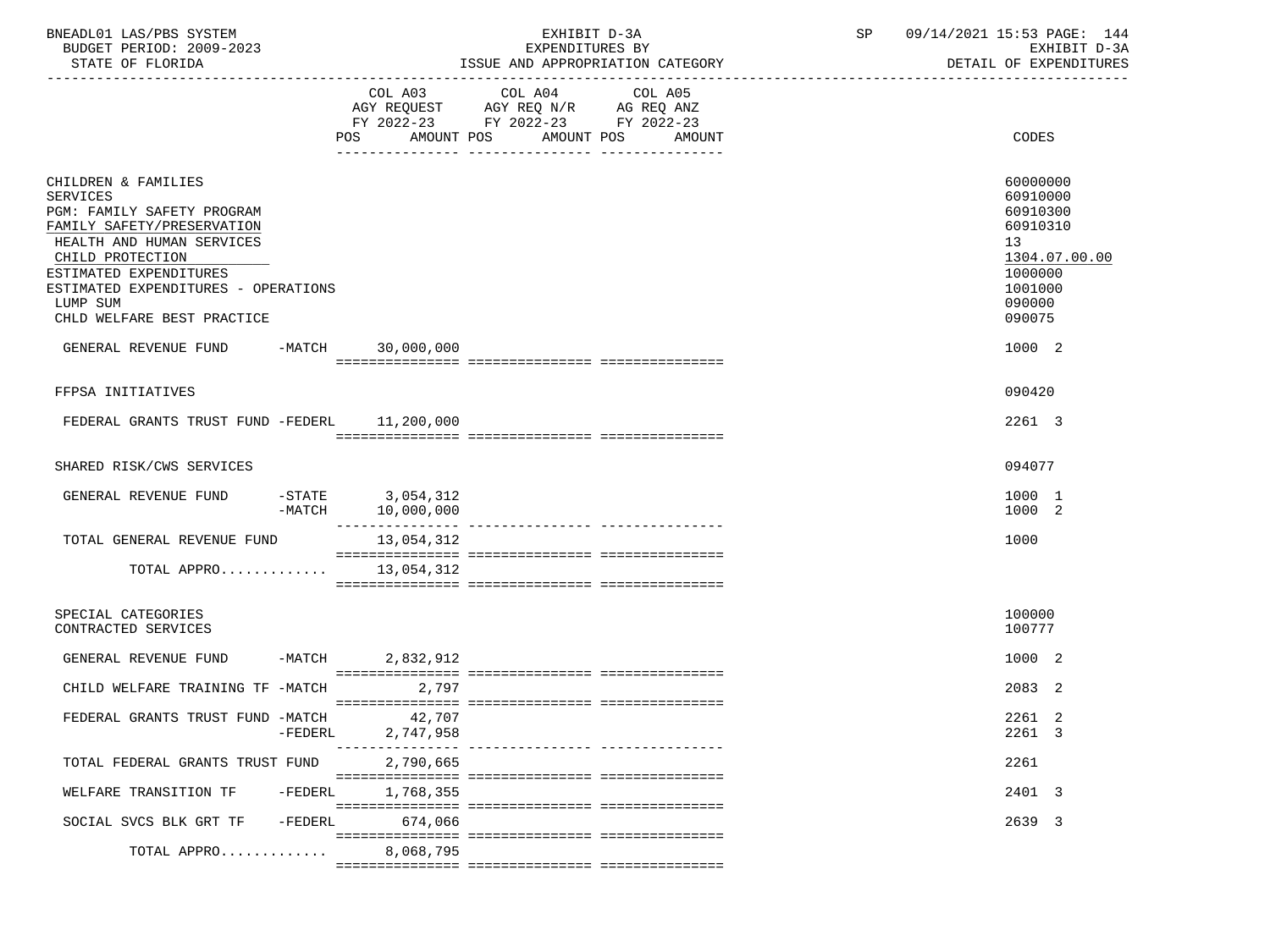| BNEADL01 LAS/PBS SYSTEM  | EXHIBIT D-3A                     |
|--------------------------|----------------------------------|
| BUDGET PERIOD: 2009-2023 | EXPENDITURES BY                  |
| STATE OF FLORIDA         | ISSUE AND APPROPRIATION CATEGORY |

|                                                                                                                                                                                                                                                                | COL A03<br>AMOUNT POS<br><b>POS</b>        | COL A04<br>AGY REQUEST AGY REQ N/R AG REQ ANZ<br>FY 2022-23 FY 2022-23 FY 2022-23 | COL A05<br>AMOUNT POS AMOUNT | CODES                                                                                                         |
|----------------------------------------------------------------------------------------------------------------------------------------------------------------------------------------------------------------------------------------------------------------|--------------------------------------------|-----------------------------------------------------------------------------------|------------------------------|---------------------------------------------------------------------------------------------------------------|
| CHILDREN & FAMILIES<br><b>SERVICES</b><br>PGM: FAMILY SAFETY PROGRAM<br>FAMILY SAFETY/PRESERVATION<br>HEALTH AND HUMAN SERVICES<br>CHILD PROTECTION<br>ESTIMATED EXPENDITURES<br>ESTIMATED EXPENDITURES - OPERATIONS<br>LUMP SUM<br>CHLD WELFARE BEST PRACTICE |                                            |                                                                                   |                              | 60000000<br>60910000<br>60910300<br>60910310<br>13<br>1304.07.00.00<br>1000000<br>1001000<br>090000<br>090075 |
| GENERAL REVENUE FUND<br>$-MATCH$                                                                                                                                                                                                                               | 30,000,000                                 |                                                                                   |                              | 1000 2                                                                                                        |
| FFPSA INITIATIVES<br>FEDERAL GRANTS TRUST FUND -FEDERL 11,200,000                                                                                                                                                                                              |                                            |                                                                                   |                              | 090420<br>2261 3                                                                                              |
| SHARED RISK/CWS SERVICES                                                                                                                                                                                                                                       |                                            |                                                                                   |                              | 094077                                                                                                        |
| GENERAL REVENUE FUND                                                                                                                                                                                                                                           | $-STATE$ 3,054,312<br>-MATCH<br>10,000,000 |                                                                                   |                              | 1000 1<br>1000 2                                                                                              |
| TOTAL GENERAL REVENUE FUND                                                                                                                                                                                                                                     | 13,054,312                                 |                                                                                   |                              | 1000                                                                                                          |
| TOTAL APPRO $13,054,312$                                                                                                                                                                                                                                       |                                            |                                                                                   |                              |                                                                                                               |
| SPECIAL CATEGORIES<br>CONTRACTED SERVICES                                                                                                                                                                                                                      |                                            |                                                                                   |                              | 100000<br>100777                                                                                              |
| GENERAL REVENUE FUND -MATCH 2,832,912                                                                                                                                                                                                                          |                                            |                                                                                   |                              | 1000 2                                                                                                        |
| CHILD WELFARE TRAINING TF -MATCH                                                                                                                                                                                                                               | 2,797                                      |                                                                                   |                              | 2083 2                                                                                                        |
| FEDERAL GRANTS TRUST FUND -MATCH<br>-FEDERL                                                                                                                                                                                                                    | 42,707<br>2,747,958                        |                                                                                   |                              | 2261 2<br>2261 3                                                                                              |
| TOTAL FEDERAL GRANTS TRUST FUND                                                                                                                                                                                                                                | 2,790,665                                  |                                                                                   |                              | 2261                                                                                                          |
| WELFARE TRANSITION TF<br>-FEDERL                                                                                                                                                                                                                               | 1,768,355                                  |                                                                                   |                              | 2401 3                                                                                                        |
| SOCIAL SVCS BLK GRT TF                                                                                                                                                                                                                                         | -FEDERL 674,066                            |                                                                                   |                              | 2639 3                                                                                                        |
| TOTAL APPRO                                                                                                                                                                                                                                                    | 8,068,795                                  |                                                                                   |                              |                                                                                                               |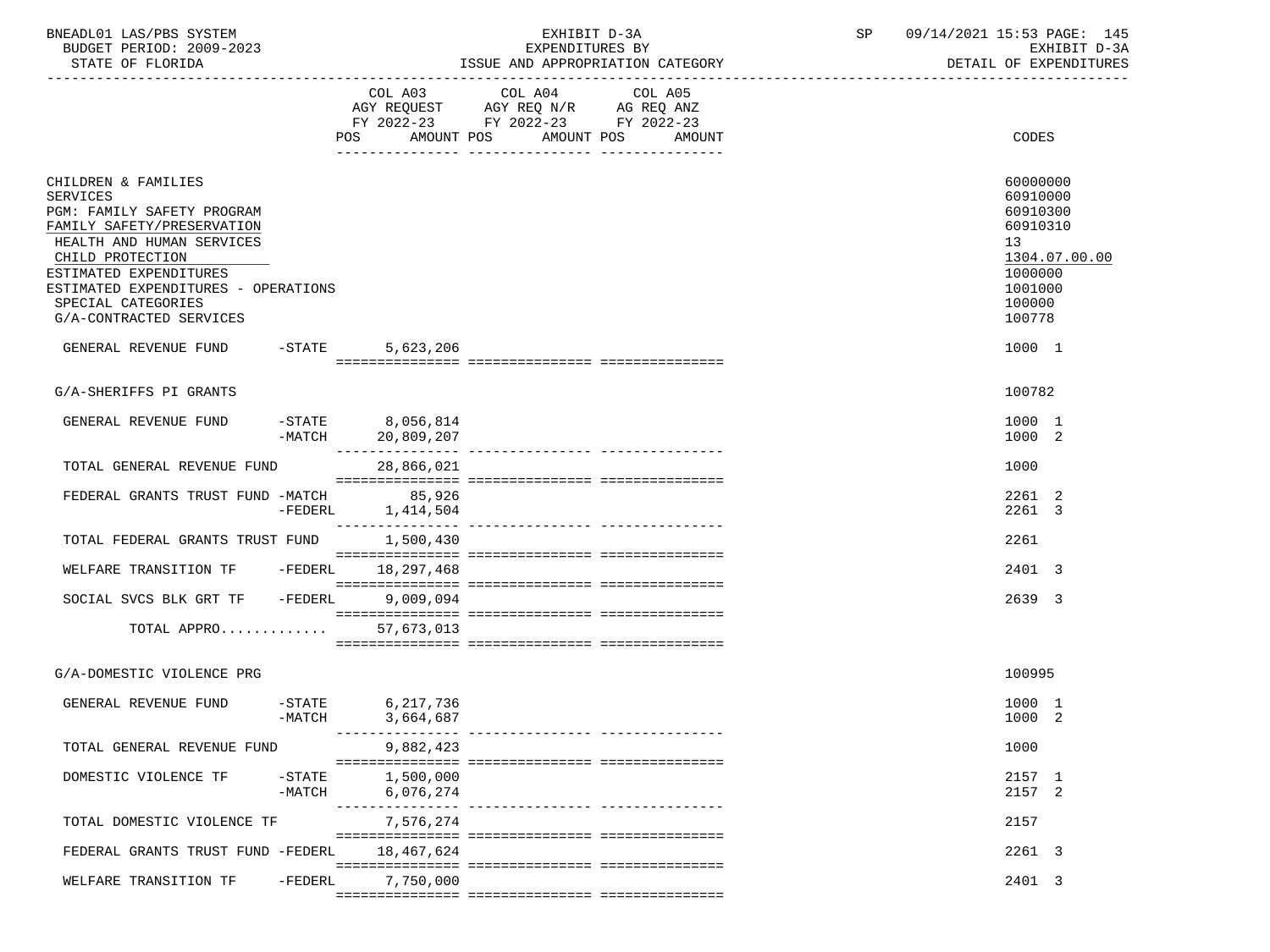| BNEADL01 LAS/PBS SYSTEM |                  |                          | EXHIBIT D-3A                     |
|-------------------------|------------------|--------------------------|----------------------------------|
|                         |                  | BUDGET PERIOD: 2009-2023 | EXPENDITURES BY                  |
|                         | STATE OF FLORIDA |                          | ISSUE AND APPROPRIATION CATEGORY |

|                                                                                                                                                                                                                                                                |                       | POS<br>AMOUNT POS                                              | FY 2022-23 FY 2022-23 FY 2022-23 | AMOUNT POS<br>AMOUNT               | CODES                                                                                        |               |
|----------------------------------------------------------------------------------------------------------------------------------------------------------------------------------------------------------------------------------------------------------------|-----------------------|----------------------------------------------------------------|----------------------------------|------------------------------------|----------------------------------------------------------------------------------------------|---------------|
| CHILDREN & FAMILIES<br>SERVICES<br>PGM: FAMILY SAFETY PROGRAM<br>FAMILY SAFETY/PRESERVATION<br>HEALTH AND HUMAN SERVICES<br>CHILD PROTECTION<br>ESTIMATED EXPENDITURES<br>ESTIMATED EXPENDITURES - OPERATIONS<br>SPECIAL CATEGORIES<br>G/A-CONTRACTED SERVICES |                       |                                                                |                                  |                                    | 60000000<br>60910000<br>60910300<br>60910310<br>13<br>1000000<br>1001000<br>100000<br>100778 | 1304.07.00.00 |
| GENERAL REVENUE FUND                                                                                                                                                                                                                                           | $-$ STATE             | 5,623,206                                                      |                                  |                                    | 1000 1                                                                                       |               |
|                                                                                                                                                                                                                                                                |                       |                                                                |                                  |                                    |                                                                                              |               |
| G/A-SHERIFFS PI GRANTS                                                                                                                                                                                                                                         |                       |                                                                |                                  |                                    | 100782                                                                                       |               |
| GENERAL REVENUE FUND                                                                                                                                                                                                                                           |                       | $-$ STATE $8,056,814$<br>-MATCH 20,809,207<br>________________ |                                  |                                    | 1000 1<br>1000 2                                                                             |               |
| TOTAL GENERAL REVENUE FUND                                                                                                                                                                                                                                     |                       | 28,866,021                                                     |                                  |                                    | 1000                                                                                         |               |
| FEDERAL GRANTS TRUST FUND -MATCH                                                                                                                                                                                                                               | $-FEDERL$             | 85,926<br>1,414,504                                            |                                  |                                    | 2261 2<br>2261 3                                                                             |               |
| TOTAL FEDERAL GRANTS TRUST FUND                                                                                                                                                                                                                                |                       | ---------------<br>1,500,430                                   |                                  | __________________________________ | 2261                                                                                         |               |
| WELFARE TRANSITION TF                                                                                                                                                                                                                                          | -FEDERL               | 18,297,468                                                     |                                  |                                    | 2401 3                                                                                       |               |
| SOCIAL SVCS BLK GRT TF                                                                                                                                                                                                                                         | -FEDERL               | 9,009,094                                                      |                                  |                                    | 2639 3                                                                                       |               |
| TOTAL APPRO                                                                                                                                                                                                                                                    |                       | 57,673,013                                                     |                                  |                                    |                                                                                              |               |
|                                                                                                                                                                                                                                                                |                       |                                                                |                                  |                                    |                                                                                              |               |
| G/A-DOMESTIC VIOLENCE PRG                                                                                                                                                                                                                                      |                       |                                                                |                                  |                                    | 100995                                                                                       |               |
| GENERAL REVENUE FUND                                                                                                                                                                                                                                           | $-$ STATE<br>$-MATCH$ | 6, 217, 736<br>3,664,687                                       |                                  |                                    | 1000 1<br>1000 2                                                                             |               |
| TOTAL GENERAL REVENUE FUND                                                                                                                                                                                                                                     |                       | 9,882,423                                                      |                                  |                                    | 1000                                                                                         |               |
| DOMESTIC VIOLENCE TF                                                                                                                                                                                                                                           | $-$ STATE<br>$-MATCH$ | 1,500,000<br>6,076,274                                         |                                  |                                    | 2157 1<br>2157 2                                                                             |               |
| TOTAL DOMESTIC VIOLENCE TF                                                                                                                                                                                                                                     |                       | 7,576,274                                                      |                                  |                                    | 2157                                                                                         |               |
| FEDERAL GRANTS TRUST FUND -FEDERL                                                                                                                                                                                                                              |                       | 18,467,624                                                     |                                  |                                    | 2261 3                                                                                       |               |
| WELFARE TRANSITION TF                                                                                                                                                                                                                                          | $-FEDERL$             | 7,750,000                                                      |                                  |                                    | 2401 3                                                                                       |               |
|                                                                                                                                                                                                                                                                |                       |                                                                |                                  |                                    |                                                                                              |               |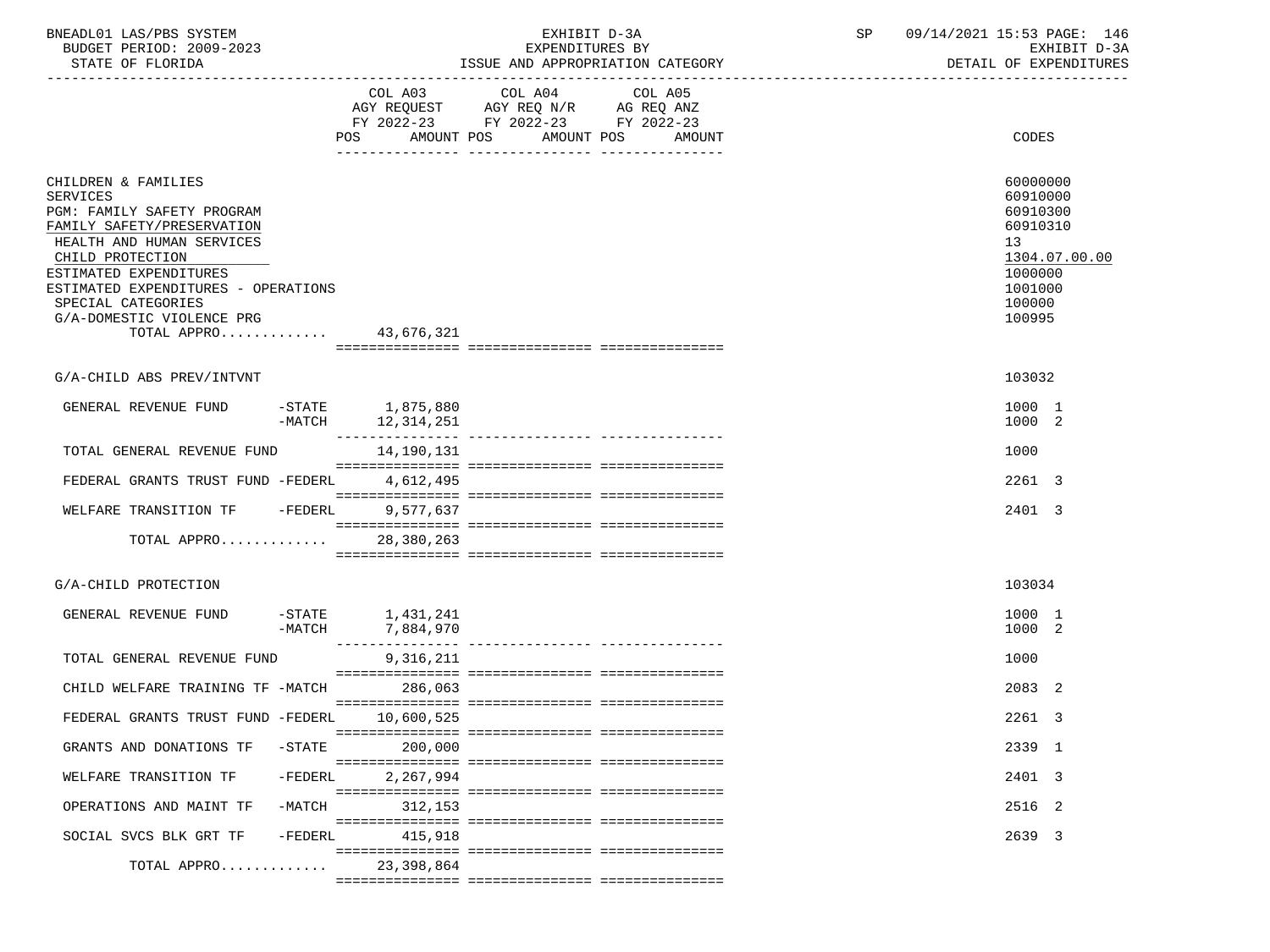| BNEADL01 LAS/PBS SYSTEM<br>EXHIBIT D-3A<br>BUDGET PERIOD: 2009-2023<br>EXPENDITURES BY                                                                                                                                                                                                            |           |  | SP                                                                                                                     | 09/14/2021 15:53 PAGE: 146<br>EXHIBIT D-3A |         |                                  |  |                                                                                              |                        |
|---------------------------------------------------------------------------------------------------------------------------------------------------------------------------------------------------------------------------------------------------------------------------------------------------|-----------|--|------------------------------------------------------------------------------------------------------------------------|--------------------------------------------|---------|----------------------------------|--|----------------------------------------------------------------------------------------------|------------------------|
| STATE OF FLORIDA                                                                                                                                                                                                                                                                                  |           |  |                                                                                                                        |                                            |         | ISSUE AND APPROPRIATION CATEGORY |  |                                                                                              | DETAIL OF EXPENDITURES |
|                                                                                                                                                                                                                                                                                                   |           |  | COL A03 COL A04<br>AGY REQUEST AGY REQ N/R AG REQ ANZ<br>FY 2022-23 FY 2022-23 FY 2022-23<br>POS AMOUNT POS AMOUNT POS |                                            | COL A05 | AMOUNT                           |  | CODES                                                                                        |                        |
| CHILDREN & FAMILIES<br><b>SERVICES</b><br>PGM: FAMILY SAFETY PROGRAM<br>FAMILY SAFETY/PRESERVATION<br>HEALTH AND HUMAN SERVICES<br>CHILD PROTECTION<br>ESTIMATED EXPENDITURES<br>ESTIMATED EXPENDITURES - OPERATIONS<br>SPECIAL CATEGORIES<br>G/A-DOMESTIC VIOLENCE PRG<br>TOTAL APPRO 43,676,321 |           |  |                                                                                                                        |                                            |         |                                  |  | 60000000<br>60910000<br>60910300<br>60910310<br>13<br>1000000<br>1001000<br>100000<br>100995 | 1304.07.00.00          |
| G/A-CHILD ABS PREV/INTVNT                                                                                                                                                                                                                                                                         |           |  |                                                                                                                        |                                            |         |                                  |  | 103032                                                                                       |                        |
| GENERAL REVENUE FUND                                                                                                                                                                                                                                                                              | $-MATCH$  |  | $-STATE$ 1,875,880<br>12,314,251                                                                                       |                                            |         |                                  |  | 1000 1<br>1000 2                                                                             |                        |
| TOTAL GENERAL REVENUE FUND                                                                                                                                                                                                                                                                        |           |  | 14,190,131                                                                                                             |                                            |         |                                  |  | 1000                                                                                         |                        |
| FEDERAL GRANTS TRUST FUND -FEDERL                                                                                                                                                                                                                                                                 |           |  | 4,612,495                                                                                                              |                                            |         |                                  |  | 2261 3                                                                                       |                        |
| WELFARE TRANSITION TF -FEDERL                                                                                                                                                                                                                                                                     |           |  | 9,577,637                                                                                                              |                                            |         |                                  |  | 2401 3                                                                                       |                        |
| TOTAL APPRO 28,380,263                                                                                                                                                                                                                                                                            |           |  |                                                                                                                        |                                            |         |                                  |  |                                                                                              |                        |
| G/A-CHILD PROTECTION                                                                                                                                                                                                                                                                              |           |  |                                                                                                                        |                                            |         |                                  |  | 103034                                                                                       |                        |
| GENERAL REVENUE FUND                                                                                                                                                                                                                                                                              |           |  | $-STATE$ 1, 431, 241<br>-MATCH 7,884,970                                                                               |                                            |         |                                  |  | 1000 1<br>1000 2                                                                             |                        |
| TOTAL GENERAL REVENUE FUND                                                                                                                                                                                                                                                                        |           |  | 9,316,211                                                                                                              |                                            |         |                                  |  | 1000                                                                                         |                        |
| CHILD WELFARE TRAINING TF -MATCH 286,063                                                                                                                                                                                                                                                          |           |  |                                                                                                                        |                                            |         |                                  |  | 2083 2                                                                                       |                        |
| FEDERAL GRANTS TRUST FUND -FEDERL 10,600,525                                                                                                                                                                                                                                                      |           |  |                                                                                                                        |                                            |         |                                  |  | 2261 3                                                                                       |                        |
| GRANTS AND DONATIONS TF                                                                                                                                                                                                                                                                           | $-STATE$  |  | 200,000                                                                                                                |                                            |         |                                  |  | 2339 1                                                                                       |                        |
| WELFARE TRANSITION TF                                                                                                                                                                                                                                                                             | $-FEDERL$ |  | 2,267,994                                                                                                              |                                            |         |                                  |  | 2401 3                                                                                       |                        |
| OPERATIONS AND MAINT TF                                                                                                                                                                                                                                                                           | $-MATCH$  |  | 312,153                                                                                                                |                                            |         |                                  |  | 2516 2                                                                                       |                        |
| SOCIAL SVCS BLK GRT TF                                                                                                                                                                                                                                                                            | -FEDERL   |  | 415,918                                                                                                                |                                            |         |                                  |  | 2639 3                                                                                       |                        |
| TOTAL APPRO                                                                                                                                                                                                                                                                                       |           |  | 23,398,864                                                                                                             |                                            |         |                                  |  |                                                                                              |                        |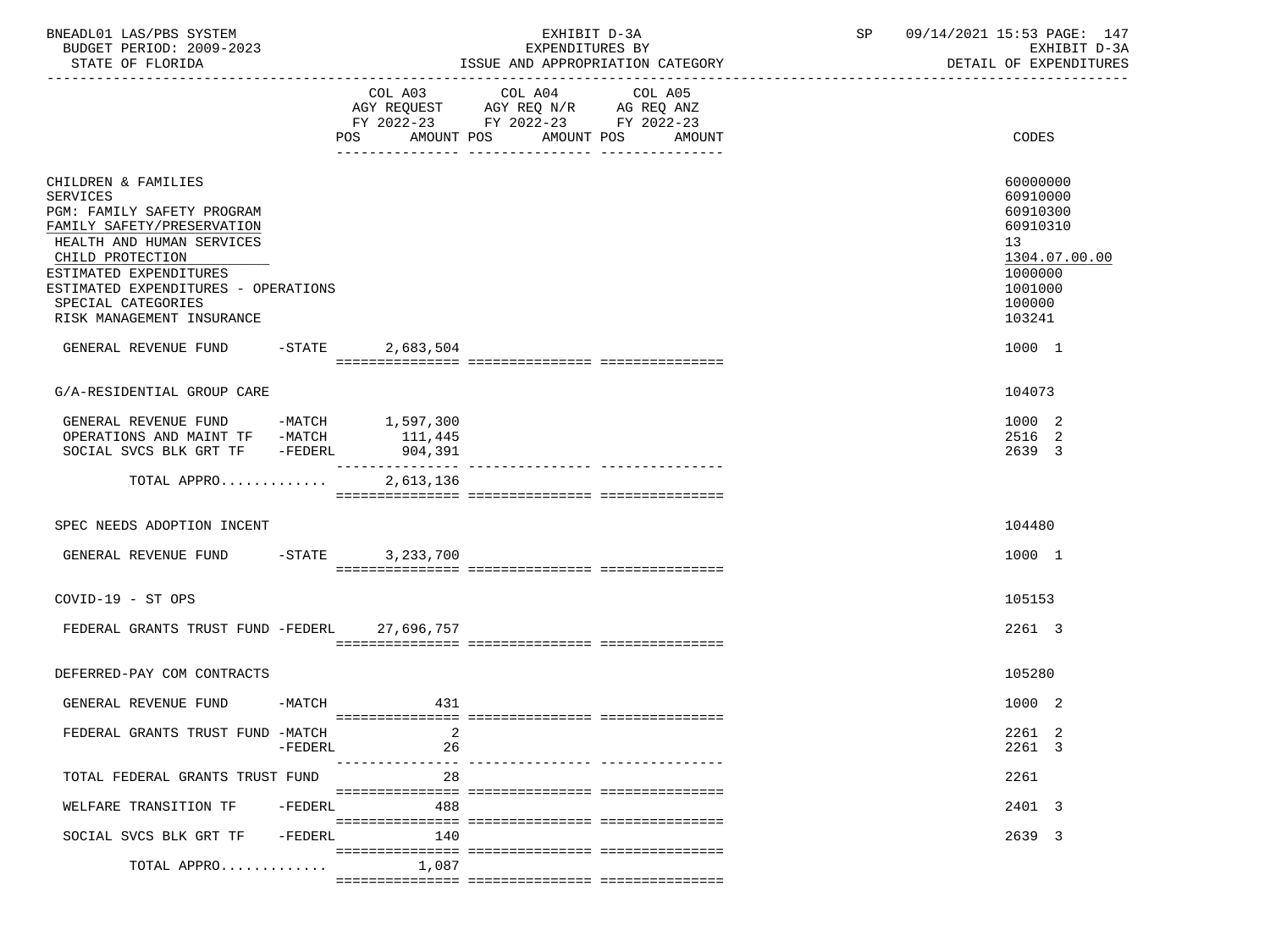| BNEADL01 LAS/PBS SYSTEM<br>BUDGET PERIOD: 2009-2023<br>STATE OF FLORIDA                                                                                                                                                                                                 |          |                        | EXHIBIT D-3A<br>EXPENDITURES BY<br>ISSUE AND APPROPRIATION CATEGORY                                                                  | SP 09/14/2021 15:53 PAGE: 147<br>EXHIBIT D-3A<br>DETAIL OF EXPENDITURES                                                    |
|-------------------------------------------------------------------------------------------------------------------------------------------------------------------------------------------------------------------------------------------------------------------------|----------|------------------------|--------------------------------------------------------------------------------------------------------------------------------------|----------------------------------------------------------------------------------------------------------------------------|
|                                                                                                                                                                                                                                                                         |          | COL A03<br><b>POS</b>  | COL A04<br>COL A05<br>AGY REQUEST AGY REQ $N/R$ AG REQ ANZ<br>FY 2022-23 FY 2022-23 FY 2022-23<br>AMOUNT POS<br>AMOUNT POS<br>AMOUNT | CODES                                                                                                                      |
| CHILDREN & FAMILIES<br><b>SERVICES</b><br>PGM: FAMILY SAFETY PROGRAM<br>FAMILY SAFETY/PRESERVATION<br>HEALTH AND HUMAN SERVICES<br>CHILD PROTECTION<br>ESTIMATED EXPENDITURES<br>ESTIMATED EXPENDITURES - OPERATIONS<br>SPECIAL CATEGORIES<br>RISK MANAGEMENT INSURANCE |          |                        |                                                                                                                                      | 60000000<br>60910000<br>60910300<br>60910310<br>13 <sup>7</sup><br>1304.07.00.00<br>1000000<br>1001000<br>100000<br>103241 |
| GENERAL REVENUE FUND -STATE                                                                                                                                                                                                                                             |          | 2,683,504              |                                                                                                                                      | 1000 1                                                                                                                     |
| G/A-RESIDENTIAL GROUP CARE                                                                                                                                                                                                                                              |          |                        |                                                                                                                                      | 104073                                                                                                                     |
| GENERAL REVENUE FUND -MATCH 1,597,300<br>OPERATIONS AND MAINT TF -MATCH<br>SOCIAL SVCS BLK GRT TF -FEDERL                                                                                                                                                               |          | 111,445<br>904,391     |                                                                                                                                      | 1000 2<br>2516 2<br>2639 3                                                                                                 |
| TOTAL APPRO                                                                                                                                                                                                                                                             |          | 2,613,136              |                                                                                                                                      |                                                                                                                            |
| SPEC NEEDS ADOPTION INCENT                                                                                                                                                                                                                                              |          |                        |                                                                                                                                      | 104480                                                                                                                     |
| GENERAL REVENUE FUND -STATE                                                                                                                                                                                                                                             |          | 3,233,700              |                                                                                                                                      | 1000 1                                                                                                                     |
| $COVID-19 - ST OPS$                                                                                                                                                                                                                                                     |          |                        |                                                                                                                                      | 105153                                                                                                                     |
| FEDERAL GRANTS TRUST FUND -FEDERL 27,696,757                                                                                                                                                                                                                            |          |                        |                                                                                                                                      | 2261 3                                                                                                                     |
| DEFERRED-PAY COM CONTRACTS                                                                                                                                                                                                                                              |          |                        |                                                                                                                                      | 105280                                                                                                                     |
| GENERAL REVENUE FUND                                                                                                                                                                                                                                                    | $-MATCH$ | 431                    |                                                                                                                                      | 1000 2                                                                                                                     |
| FEDERAL GRANTS TRUST FUND -MATCH                                                                                                                                                                                                                                        | -FEDERL  | 26                     |                                                                                                                                      | 2261 2<br>2261 3                                                                                                           |
| TOTAL FEDERAL GRANTS TRUST FUND                                                                                                                                                                                                                                         |          | ----------------<br>28 | .__________________________________                                                                                                  | 2261                                                                                                                       |
| WELFARE TRANSITION TF                                                                                                                                                                                                                                                   | -FEDERL  | 488                    |                                                                                                                                      | 2401 3                                                                                                                     |
| SOCIAL SVCS BLK GRT TF                                                                                                                                                                                                                                                  | -FEDERL  | 140                    |                                                                                                                                      | 2639 3                                                                                                                     |
| TOTAL APPRO                                                                                                                                                                                                                                                             |          | 1,087                  |                                                                                                                                      |                                                                                                                            |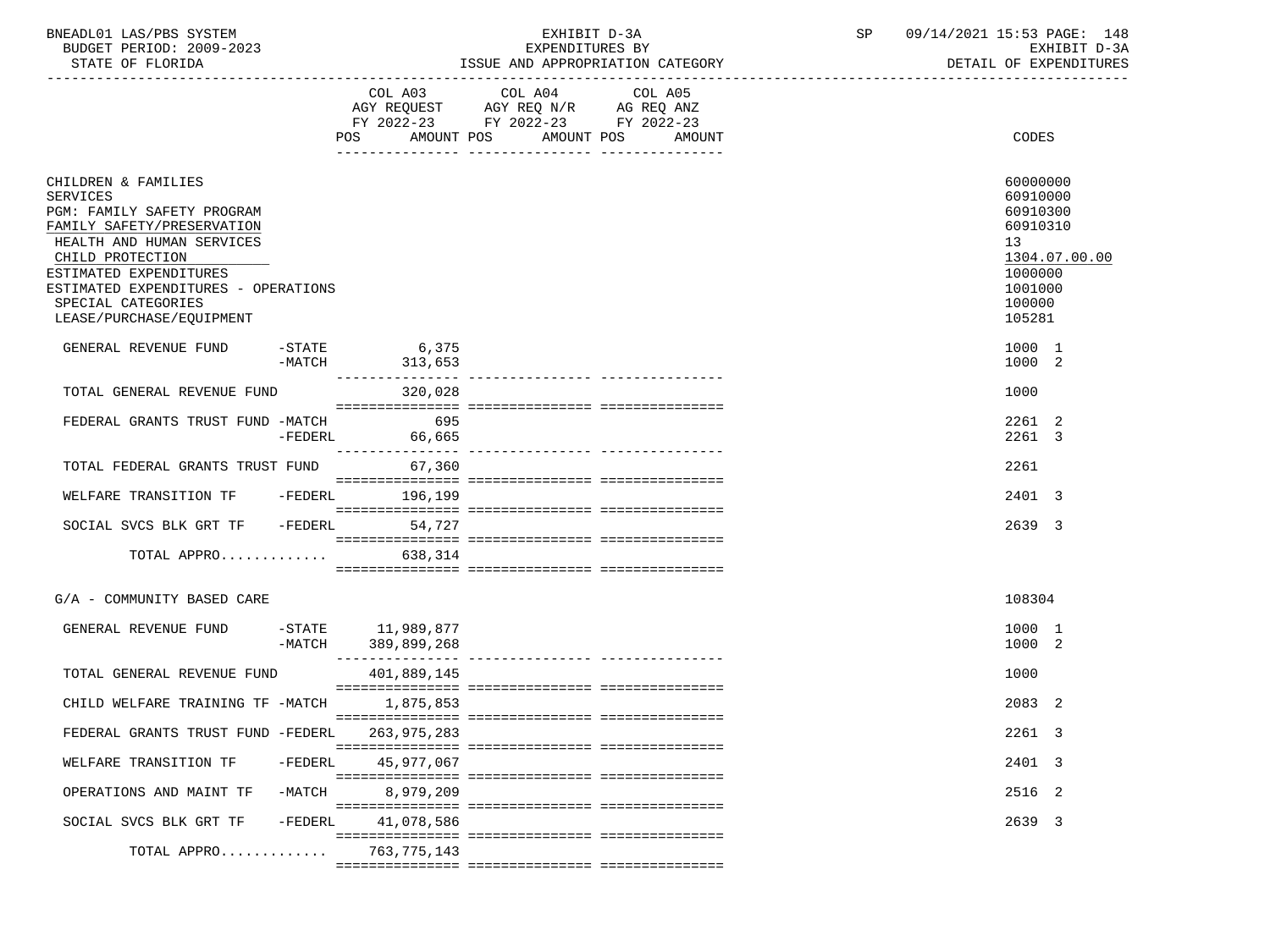| BNEADL01<br>LAS/PBS<br>SYSTEM  |                                     | 09/1<br>4/2021<br>15.52<br>$\mathtt{PAGE}$ :<br>148<br>4. |
|--------------------------------|-------------------------------------|-----------------------------------------------------------|
| 2009-2023<br>PERIOD:<br>BUDGET | EXPENDITURES BY                     | $\sim$<br>הדסדטעת                                         |
|                                | AND ADDOODDIAMION CAMBOODH<br>TATIT | <b>DIADRIC TOURS</b><br>$\sim$ $\sim$ $\sim$              |

-----------------------------------------------------------------------------------------------------------------------------------

STATE OF FLORIDA STATE OF STATE AND APPROPRIATION CATEGORY STATE OF EXPENDITURES

|                                                                                                                                                                                                                                                                        |                      | COL A03<br>AGY REQUEST<br>FY 2022-23<br>POS.<br>AMOUNT POS | COL A04 COL A05<br>AGY REQ N/R<br>FY 2022-23 FY 2022-23<br>AMOUNT POS | AG REQ ANZ | AMOUNT | <b>CODES</b>                                                                                                  |
|------------------------------------------------------------------------------------------------------------------------------------------------------------------------------------------------------------------------------------------------------------------------|----------------------|------------------------------------------------------------|-----------------------------------------------------------------------|------------|--------|---------------------------------------------------------------------------------------------------------------|
| CHILDREN & FAMILIES<br><b>SERVICES</b><br>PGM: FAMILY SAFETY PROGRAM<br>FAMILY SAFETY/PRESERVATION<br>HEALTH AND HUMAN SERVICES<br>CHILD PROTECTION<br>ESTIMATED EXPENDITURES<br>ESTIMATED EXPENDITURES - OPERATIONS<br>SPECIAL CATEGORIES<br>LEASE/PURCHASE/EQUIPMENT |                      |                                                            |                                                                       |            |        | 60000000<br>60910000<br>60910300<br>60910310<br>13<br>1304.07.00.00<br>1000000<br>1001000<br>100000<br>105281 |
| GENERAL REVENUE FUND                                                                                                                                                                                                                                                   | $-STATE$<br>$-MATCH$ | 6,375<br>313,653                                           |                                                                       |            |        | 1000 1<br>1000 2                                                                                              |
| TOTAL GENERAL REVENUE FUND                                                                                                                                                                                                                                             |                      | 320,028                                                    |                                                                       |            |        | 1000                                                                                                          |
| FEDERAL GRANTS TRUST FUND -MATCH                                                                                                                                                                                                                                       | $-FEDERL$            | 695<br>66,665                                              |                                                                       |            |        | 2261 2<br>2261 3                                                                                              |
| TOTAL FEDERAL GRANTS TRUST FUND                                                                                                                                                                                                                                        |                      | 67,360                                                     |                                                                       |            |        | 2261                                                                                                          |
| WELFARE TRANSITION TF                                                                                                                                                                                                                                                  | -FEDERL              | 196,199                                                    |                                                                       |            |        | 2401 3                                                                                                        |
| SOCIAL SVCS BLK GRT TF                                                                                                                                                                                                                                                 | $-FEDERL$            | 54,727                                                     |                                                                       |            |        | 2639 3                                                                                                        |
| TOTAL APPRO                                                                                                                                                                                                                                                            |                      | 638,314                                                    |                                                                       |            |        |                                                                                                               |
| G/A - COMMUNITY BASED CARE                                                                                                                                                                                                                                             |                      |                                                            |                                                                       |            |        | 108304                                                                                                        |
| GENERAL REVENUE FUND                                                                                                                                                                                                                                                   | $-MATCH$             | -STATE 11,989,877<br>389,899,268                           |                                                                       |            |        | 1000 1<br>1000 2                                                                                              |
| TOTAL GENERAL REVENUE FUND                                                                                                                                                                                                                                             |                      | 401,889,145                                                |                                                                       |            |        | 1000                                                                                                          |
| CHILD WELFARE TRAINING TF -MATCH                                                                                                                                                                                                                                       |                      | 1,875,853                                                  |                                                                       |            |        | 2083 2                                                                                                        |
| FEDERAL GRANTS TRUST FUND -FEDERL                                                                                                                                                                                                                                      |                      | 263,975,283                                                |                                                                       |            |        | 2261 3                                                                                                        |
| WELFARE TRANSITION TF                                                                                                                                                                                                                                                  | $-FEDERL$            | 45,977,067                                                 |                                                                       |            |        | 2401 3                                                                                                        |
| OPERATIONS AND MAINT TF                                                                                                                                                                                                                                                | $-MATCH$             | 8,979,209                                                  |                                                                       |            |        | 2516 2                                                                                                        |
| SOCIAL SVCS BLK GRT TF                                                                                                                                                                                                                                                 | $-FEDERL$            | 41,078,586                                                 |                                                                       |            |        | 2639 3                                                                                                        |
| TOTAL APPRO                                                                                                                                                                                                                                                            |                      | 763,775,143                                                |                                                                       |            |        |                                                                                                               |
|                                                                                                                                                                                                                                                                        |                      |                                                            |                                                                       |            |        |                                                                                                               |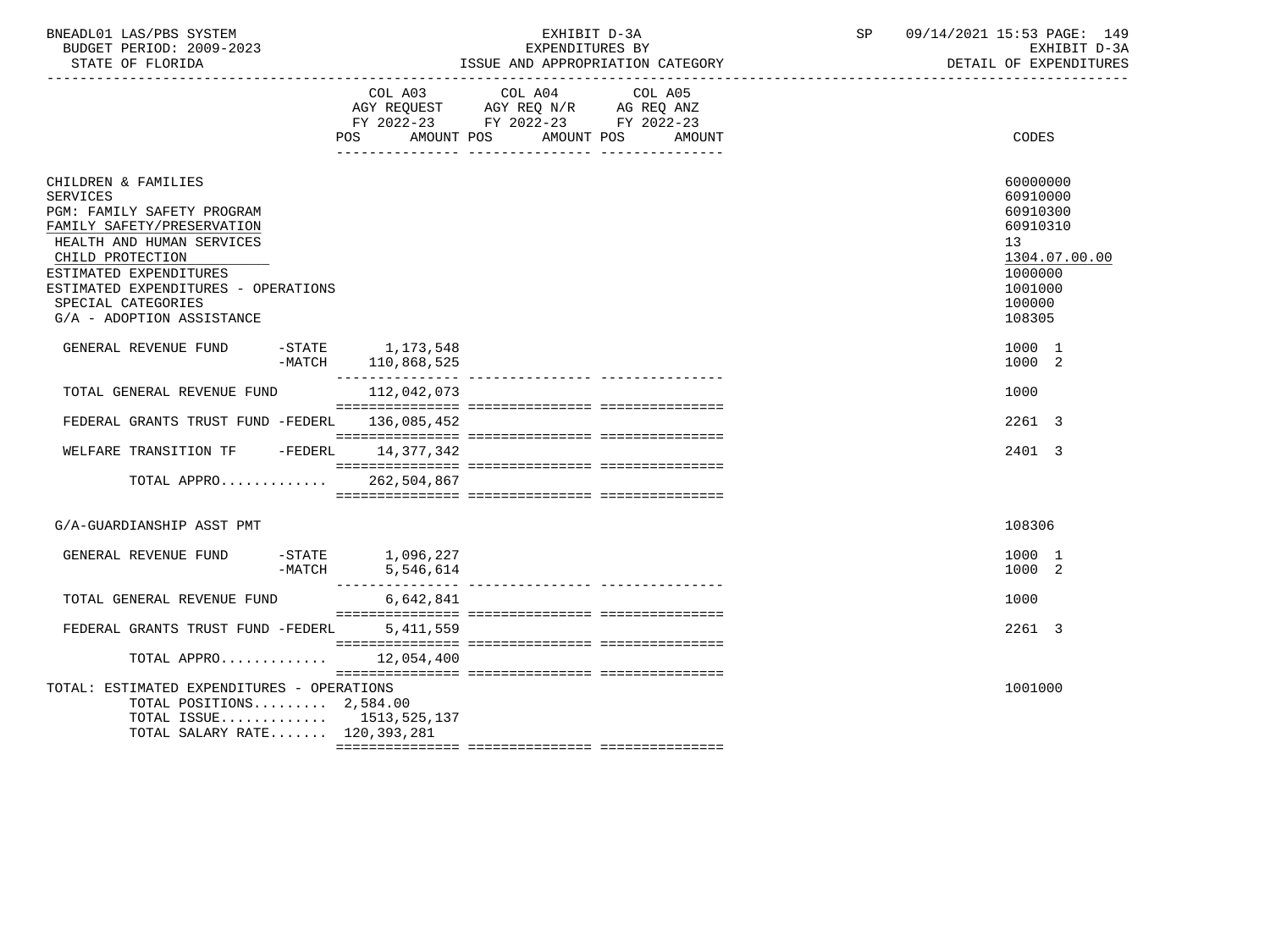| BNEADL01 LAS/PBS SYSTEM  | 'R ⊺                       | OT.<br>JЕ | 09/7<br>4/2021<br>. 15:53 PAGE:<br>149 |
|--------------------------|----------------------------|-----------|----------------------------------------|
| BUDGET PERIOD: 2009-2023 | EXPENDITURES BY            |           | EXHIBIT D-3A                           |
| STATE OF FLORIDA         | AND APPROPRIATION CATEGORY |           | EXPENDITURES<br>DETAIL OF              |

-----------------------------------------------------------------------------------------------------------------------------------

|                                                                                                                                                                                                                                                                  | COL A03<br>POS.                     | COL A04<br>AGY REQUEST AGY REQ N/R<br>FY 2022-23 FY 2022-23 FY 2022-23<br>AMOUNT POS | COL A05<br>AG REQ ANZ<br>AMOUNT POS<br>AMOUNT | CODES                                                                                                         |
|------------------------------------------------------------------------------------------------------------------------------------------------------------------------------------------------------------------------------------------------------------------|-------------------------------------|--------------------------------------------------------------------------------------|-----------------------------------------------|---------------------------------------------------------------------------------------------------------------|
| CHILDREN & FAMILIES<br>SERVICES<br>PGM: FAMILY SAFETY PROGRAM<br>FAMILY SAFETY/PRESERVATION<br>HEALTH AND HUMAN SERVICES<br>CHILD PROTECTION<br>ESTIMATED EXPENDITURES<br>ESTIMATED EXPENDITURES - OPERATIONS<br>SPECIAL CATEGORIES<br>G/A - ADOPTION ASSISTANCE |                                     |                                                                                      |                                               | 60000000<br>60910000<br>60910300<br>60910310<br>13<br>1304.07.00.00<br>1000000<br>1001000<br>100000<br>108305 |
| GENERAL REVENUE FUND<br>-MATCH                                                                                                                                                                                                                                   | $-STATE$ 1, 173, 548<br>110,868,525 |                                                                                      |                                               | 1000 1<br>1000 2                                                                                              |
| TOTAL GENERAL REVENUE FUND                                                                                                                                                                                                                                       | 112,042,073                         |                                                                                      |                                               | 1000                                                                                                          |
| FEDERAL GRANTS TRUST FUND -FEDERL                                                                                                                                                                                                                                | 136,085,452                         |                                                                                      |                                               | 2261 3                                                                                                        |
| WELFARE TRANSITION TF -FEDERL 14,377,342                                                                                                                                                                                                                         |                                     |                                                                                      |                                               | 2401 3                                                                                                        |
| TOTAL APPRO 262,504,867                                                                                                                                                                                                                                          |                                     |                                                                                      |                                               |                                                                                                               |
| G/A-GUARDIANSHIP ASST PMT                                                                                                                                                                                                                                        |                                     |                                                                                      |                                               | 108306                                                                                                        |
| GENERAL REVENUE FUND<br>-MATCH                                                                                                                                                                                                                                   | -STATE 1,096,227<br>5,546,614       |                                                                                      |                                               | 1000 1<br>1000 2                                                                                              |
| TOTAL GENERAL REVENUE FUND                                                                                                                                                                                                                                       | 6,642,841                           |                                                                                      |                                               | 1000                                                                                                          |
| FEDERAL GRANTS TRUST FUND -FEDERL                                                                                                                                                                                                                                | 5, 411, 559                         |                                                                                      |                                               | 2261 3                                                                                                        |
| TOTAL APPRO 12,054,400                                                                                                                                                                                                                                           |                                     |                                                                                      |                                               |                                                                                                               |
| TOTAL: ESTIMATED EXPENDITURES - OPERATIONS<br>TOTAL POSITIONS 2,584.00<br>TOTAL ISSUE 1513,525,137<br>TOTAL SALARY RATE 120,393,281                                                                                                                              |                                     |                                                                                      |                                               | 1001000                                                                                                       |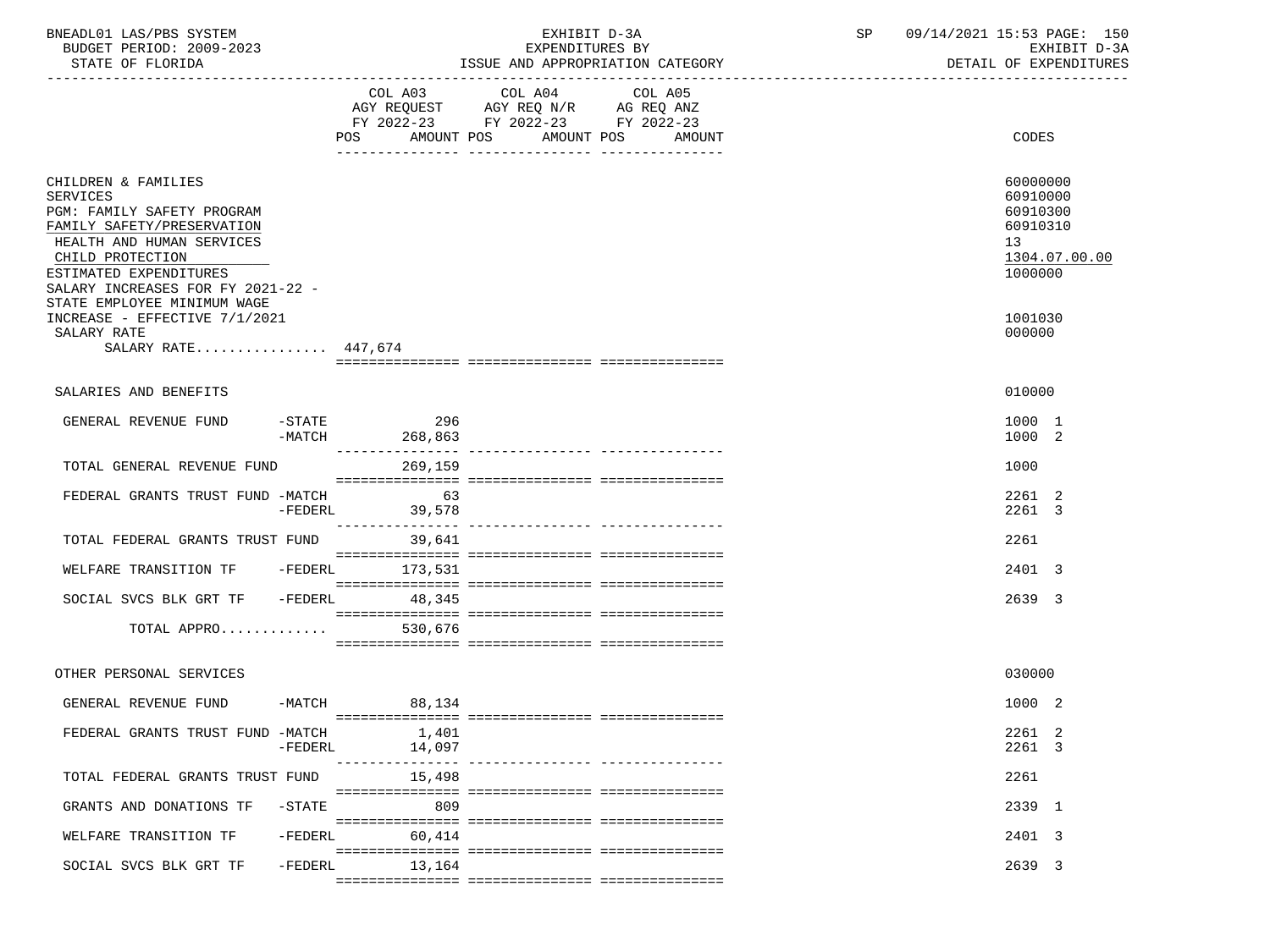| BNEADL01 LAS/PBS SYSTEM<br>BUDGET PERIOD: 2009-2023<br>STATE OF FLORIDA                                                                                                                                                                           |           |                                      | EXHIBIT D-3A<br>EXPENDITURES BY<br>ISSUE AND APPROPRIATION CATEGORY               | SP                                                                                                                                                                                                                                                                                                                                                                                                                                  | 09/14/2021 15:53 PAGE: 150<br>EXHIBIT D-3A<br>DETAIL OF EXPENDITURES |                                                                                |
|---------------------------------------------------------------------------------------------------------------------------------------------------------------------------------------------------------------------------------------------------|-----------|--------------------------------------|-----------------------------------------------------------------------------------|-------------------------------------------------------------------------------------------------------------------------------------------------------------------------------------------------------------------------------------------------------------------------------------------------------------------------------------------------------------------------------------------------------------------------------------|----------------------------------------------------------------------|--------------------------------------------------------------------------------|
|                                                                                                                                                                                                                                                   |           | COL A03<br>POS AMOUNT POS AMOUNT POS | COL A04<br>AGY REQUEST AGY REQ N/R AG REQ ANZ<br>FY 2022-23 FY 2022-23 FY 2022-23 | COL A05<br>AMOUNT                                                                                                                                                                                                                                                                                                                                                                                                                   |                                                                      | CODES                                                                          |
| CHILDREN & FAMILIES<br><b>SERVICES</b><br>PGM: FAMILY SAFETY PROGRAM<br>FAMILY SAFETY/PRESERVATION<br>HEALTH AND HUMAN SERVICES<br>CHILD PROTECTION<br>ESTIMATED EXPENDITURES<br>SALARY INCREASES FOR FY 2021-22 -<br>STATE EMPLOYEE MINIMUM WAGE |           |                                      |                                                                                   |                                                                                                                                                                                                                                                                                                                                                                                                                                     |                                                                      | 60000000<br>60910000<br>60910300<br>60910310<br>13<br>1304.07.00.00<br>1000000 |
| INCREASE - EFFECTIVE 7/1/2021<br>SALARY RATE<br>SALARY RATE 447,674                                                                                                                                                                               |           |                                      |                                                                                   |                                                                                                                                                                                                                                                                                                                                                                                                                                     |                                                                      | 1001030<br>000000                                                              |
| SALARIES AND BENEFITS                                                                                                                                                                                                                             |           |                                      |                                                                                   |                                                                                                                                                                                                                                                                                                                                                                                                                                     |                                                                      | 010000                                                                         |
| GENERAL REVENUE FUND                                                                                                                                                                                                                              |           | $-STATE$ 296<br>-MATCH 268,863       |                                                                                   |                                                                                                                                                                                                                                                                                                                                                                                                                                     |                                                                      | 1000 1<br>1000 2                                                               |
| TOTAL GENERAL REVENUE FUND                                                                                                                                                                                                                        |           | 269,159                              |                                                                                   |                                                                                                                                                                                                                                                                                                                                                                                                                                     |                                                                      | 1000                                                                           |
| FEDERAL GRANTS TRUST FUND -MATCH 63                                                                                                                                                                                                               |           | -FEDERL 39,578                       |                                                                                   |                                                                                                                                                                                                                                                                                                                                                                                                                                     |                                                                      | 2261 2<br>2261 3                                                               |
| TOTAL FEDERAL GRANTS TRUST FUND                                                                                                                                                                                                                   |           | 39,641                               |                                                                                   | $\begin{minipage}{0.03\textwidth} \begin{tabular}{l} \textbf{1} & \textbf{2} & \textbf{3} & \textbf{5} & \textbf{5} & \textbf{6} & \textbf{6} & \textbf{7} & \textbf{8} & \textbf{8} & \textbf{9} & \textbf{9} & \textbf{9} & \textbf{9} & \textbf{9} & \textbf{9} & \textbf{9} & \textbf{9} & \textbf{9} & \textbf{9} & \textbf{9} & \textbf{9} & \textbf{9} & \textbf{9} & \textbf{9} & \textbf{9} & \textbf{9} & \textbf{9} & \$ |                                                                      | 2261                                                                           |
| WELFARE TRANSITION TF - FEDERL 173,531                                                                                                                                                                                                            |           |                                      |                                                                                   |                                                                                                                                                                                                                                                                                                                                                                                                                                     |                                                                      | 2401 3                                                                         |
| SOCIAL SVCS BLK GRT TF -FEDERL 48,345<br>TOTAL APPRO                                                                                                                                                                                              |           | 530,676                              |                                                                                   |                                                                                                                                                                                                                                                                                                                                                                                                                                     |                                                                      | 2639 3                                                                         |
| OTHER PERSONAL SERVICES                                                                                                                                                                                                                           |           |                                      |                                                                                   |                                                                                                                                                                                                                                                                                                                                                                                                                                     |                                                                      | 030000                                                                         |
| GENERAL REVENUE FUND -MATCH 88,134                                                                                                                                                                                                                |           |                                      |                                                                                   |                                                                                                                                                                                                                                                                                                                                                                                                                                     |                                                                      | 1000 2                                                                         |
| FEDERAL GRANTS TRUST FUND -MATCH                                                                                                                                                                                                                  | $-FEDERL$ | 1,401<br>14,097                      |                                                                                   | ---------------- ---------------                                                                                                                                                                                                                                                                                                                                                                                                    |                                                                      | 2261 2<br>2261 3                                                               |
| TOTAL FEDERAL GRANTS TRUST FUND                                                                                                                                                                                                                   |           | 15,498                               |                                                                                   |                                                                                                                                                                                                                                                                                                                                                                                                                                     |                                                                      | 2261                                                                           |
| GRANTS AND DONATIONS TF                                                                                                                                                                                                                           | $-$ STATE | 809                                  |                                                                                   |                                                                                                                                                                                                                                                                                                                                                                                                                                     |                                                                      | 2339 1                                                                         |
| WELFARE TRANSITION TF                                                                                                                                                                                                                             | $-FEDERL$ | 60,414                               |                                                                                   |                                                                                                                                                                                                                                                                                                                                                                                                                                     |                                                                      | 2401 3                                                                         |
| SOCIAL SVCS BLK GRT TF                                                                                                                                                                                                                            | $-FEDERL$ | 13,164                               |                                                                                   |                                                                                                                                                                                                                                                                                                                                                                                                                                     |                                                                      | 2639 3                                                                         |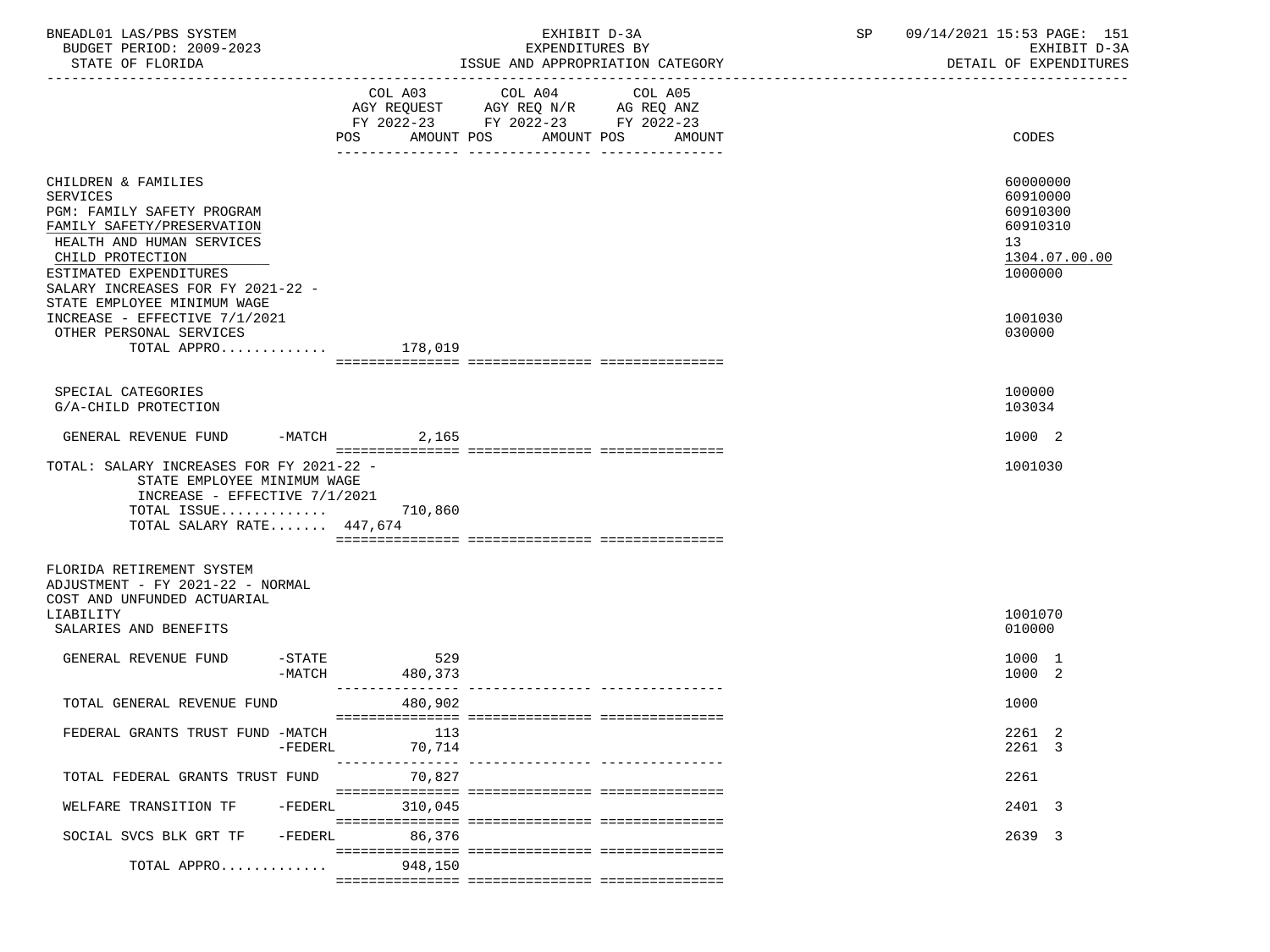| BNEADL01 LAS/PBS SYSTEM<br>BUDGET PERIOD: 2009-2023<br>STATE OF FLORIDA                                                                                                                                            |                            | EXHIBIT D-3A<br>EXPENDITURES BY<br>ISSUE AND APPROPRIATION CATEGORY                                                                     | SP | 09/14/2021 15:53 PAGE: 151<br>EXHIBIT D-3A<br>DETAIL OF EXPENDITURES           |
|--------------------------------------------------------------------------------------------------------------------------------------------------------------------------------------------------------------------|----------------------------|-----------------------------------------------------------------------------------------------------------------------------------------|----|--------------------------------------------------------------------------------|
|                                                                                                                                                                                                                    | POS                        | COL A03 COL A04<br>COL A05<br>AGY REQUEST AGY REQ N/R AG REQ ANZ<br>FY 2022-23 FY 2022-23 FY 2022-23<br>AMOUNT POS AMOUNT POS<br>AMOUNT |    | <b>CODES</b>                                                                   |
| CHILDREN & FAMILIES<br><b>SERVICES</b><br>PGM: FAMILY SAFETY PROGRAM<br>FAMILY SAFETY/PRESERVATION<br>HEALTH AND HUMAN SERVICES<br>CHILD PROTECTION<br>ESTIMATED EXPENDITURES<br>SALARY INCREASES FOR FY 2021-22 - |                            |                                                                                                                                         |    | 60000000<br>60910000<br>60910300<br>60910310<br>13<br>1304.07.00.00<br>1000000 |
| STATE EMPLOYEE MINIMUM WAGE<br>INCREASE - EFFECTIVE 7/1/2021<br>OTHER PERSONAL SERVICES<br>TOTAL APPRO 178,019                                                                                                     |                            |                                                                                                                                         |    | 1001030<br>030000                                                              |
| SPECIAL CATEGORIES<br>G/A-CHILD PROTECTION                                                                                                                                                                         |                            |                                                                                                                                         |    | 100000<br>103034                                                               |
| GENERAL REVENUE FUND -MATCH 2,165                                                                                                                                                                                  |                            |                                                                                                                                         |    | 1000 2                                                                         |
| TOTAL: SALARY INCREASES FOR FY 2021-22 -<br>STATE EMPLOYEE MINIMUM WAGE<br>INCREASE - EFFECTIVE 7/1/2021<br>TOTAL ISSUE $710,860$<br>TOTAL SALARY RATE 447,674                                                     |                            |                                                                                                                                         |    | 1001030                                                                        |
| FLORIDA RETIREMENT SYSTEM<br>ADJUSTMENT - FY 2021-22 - NORMAL<br>COST AND UNFUNDED ACTUARIAL<br>LIABILITY<br>SALARIES AND BENEFITS                                                                                 |                            |                                                                                                                                         |    | 1001070<br>010000                                                              |
| GENERAL REVENUE FUND<br>-MATCH                                                                                                                                                                                     | $-STATE$<br>529<br>480,373 |                                                                                                                                         |    | 1000 1<br>1000 2                                                               |
| TOTAL GENERAL REVENUE FUND                                                                                                                                                                                         | 480,902                    |                                                                                                                                         |    | 1000                                                                           |
| FEDERAL GRANTS TRUST FUND -MATCH<br>$-FEDERL$                                                                                                                                                                      | 113<br>70,714              |                                                                                                                                         |    | 2261 2<br>2261 3                                                               |
| TOTAL FEDERAL GRANTS TRUST FUND                                                                                                                                                                                    | ----------------<br>70,827 |                                                                                                                                         |    | 2261                                                                           |
| WELFARE TRANSITION TF<br>$-FEDERL$                                                                                                                                                                                 | 310,045                    |                                                                                                                                         |    | 2401 3                                                                         |
| $-FEDERL$<br>SOCIAL SVCS BLK GRT TF<br>TOTAL APPRO                                                                                                                                                                 | 86,376<br>948,150          |                                                                                                                                         |    | 2639 3                                                                         |
|                                                                                                                                                                                                                    |                            |                                                                                                                                         |    |                                                                                |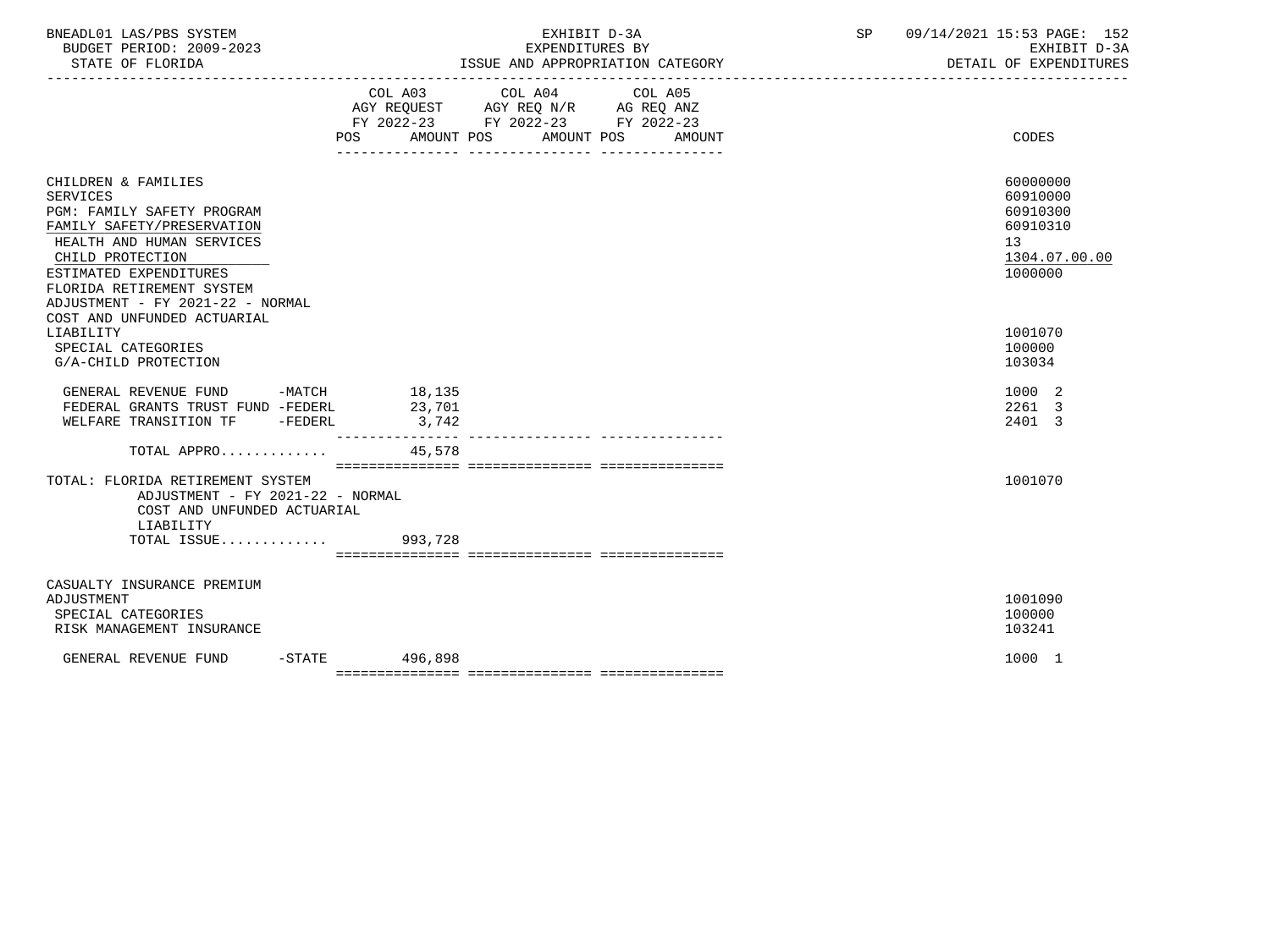| COL A03 COL A04 COL A05<br>AGY REQUEST AGY REQ N/R AG REQ ANZ<br>FY 2022-23 FY 2022-23 FY 2022-23<br>AMOUNT POS<br>AMOUNT POS<br><b>CODES</b><br>POS<br>AMOUNT<br>CHILDREN & FAMILIES<br>60000000<br><b>SERVICES</b><br>60910000<br>PGM: FAMILY SAFETY PROGRAM<br>60910300<br>FAMILY SAFETY/PRESERVATION<br>60910310<br>HEALTH AND HUMAN SERVICES<br>13<br>CHILD PROTECTION<br>1304.07.00.00<br>1000000<br>ESTIMATED EXPENDITURES<br>FLORIDA RETIREMENT SYSTEM<br>ADJUSTMENT - FY 2021-22 - NORMAL<br>COST AND UNFUNDED ACTUARIAL<br>1001070<br>LIABILITY<br>SPECIAL CATEGORIES<br>100000<br>G/A-CHILD PROTECTION<br>103034<br>GENERAL REVENUE FUND -MATCH 18,135<br>1000 2<br>23,701<br>2261 3<br>FEDERAL GRANTS TRUST FUND -FEDERL<br>WELFARE TRANSITION TF -FEDERL<br>2401 3<br>3,742<br>________________<br>45,578<br>TOTAL APPRO<br>1001070<br>TOTAL: FLORIDA RETIREMENT SYSTEM<br>ADJUSTMENT - FY 2021-22 - NORMAL<br>COST AND UNFUNDED ACTUARIAL<br>LIABILITY<br>TOTAL ISSUE 993,728<br>CASUALTY INSURANCE PREMIUM<br>1001090<br>ADJUSTMENT<br>100000<br>SPECIAL CATEGORIES<br>RISK MANAGEMENT INSURANCE<br>103241<br>$-STATE$ 496,898<br>GENERAL REVENUE FUND<br>1000 1 | BNEADL01 LAS/PBS SYSTEM<br>BUDGET PERIOD: 2009-2023<br>STATE OF FLORIDA | EXHIBIT D-3A<br>EXPENDITURES BY | 09/14/2021 15:53 PAGE: 152<br>SP | EXHIBIT D-3A<br>DETAIL OF EXPENDITURES |
|---------------------------------------------------------------------------------------------------------------------------------------------------------------------------------------------------------------------------------------------------------------------------------------------------------------------------------------------------------------------------------------------------------------------------------------------------------------------------------------------------------------------------------------------------------------------------------------------------------------------------------------------------------------------------------------------------------------------------------------------------------------------------------------------------------------------------------------------------------------------------------------------------------------------------------------------------------------------------------------------------------------------------------------------------------------------------------------------------------------------------------------------------------------------------------|-------------------------------------------------------------------------|---------------------------------|----------------------------------|----------------------------------------|
|                                                                                                                                                                                                                                                                                                                                                                                                                                                                                                                                                                                                                                                                                                                                                                                                                                                                                                                                                                                                                                                                                                                                                                                 |                                                                         |                                 |                                  |                                        |
|                                                                                                                                                                                                                                                                                                                                                                                                                                                                                                                                                                                                                                                                                                                                                                                                                                                                                                                                                                                                                                                                                                                                                                                 |                                                                         |                                 |                                  |                                        |
|                                                                                                                                                                                                                                                                                                                                                                                                                                                                                                                                                                                                                                                                                                                                                                                                                                                                                                                                                                                                                                                                                                                                                                                 |                                                                         |                                 |                                  |                                        |
|                                                                                                                                                                                                                                                                                                                                                                                                                                                                                                                                                                                                                                                                                                                                                                                                                                                                                                                                                                                                                                                                                                                                                                                 |                                                                         |                                 |                                  |                                        |
|                                                                                                                                                                                                                                                                                                                                                                                                                                                                                                                                                                                                                                                                                                                                                                                                                                                                                                                                                                                                                                                                                                                                                                                 |                                                                         |                                 |                                  |                                        |
|                                                                                                                                                                                                                                                                                                                                                                                                                                                                                                                                                                                                                                                                                                                                                                                                                                                                                                                                                                                                                                                                                                                                                                                 |                                                                         |                                 |                                  |                                        |
|                                                                                                                                                                                                                                                                                                                                                                                                                                                                                                                                                                                                                                                                                                                                                                                                                                                                                                                                                                                                                                                                                                                                                                                 |                                                                         |                                 |                                  |                                        |
|                                                                                                                                                                                                                                                                                                                                                                                                                                                                                                                                                                                                                                                                                                                                                                                                                                                                                                                                                                                                                                                                                                                                                                                 |                                                                         |                                 |                                  |                                        |
|                                                                                                                                                                                                                                                                                                                                                                                                                                                                                                                                                                                                                                                                                                                                                                                                                                                                                                                                                                                                                                                                                                                                                                                 |                                                                         |                                 |                                  |                                        |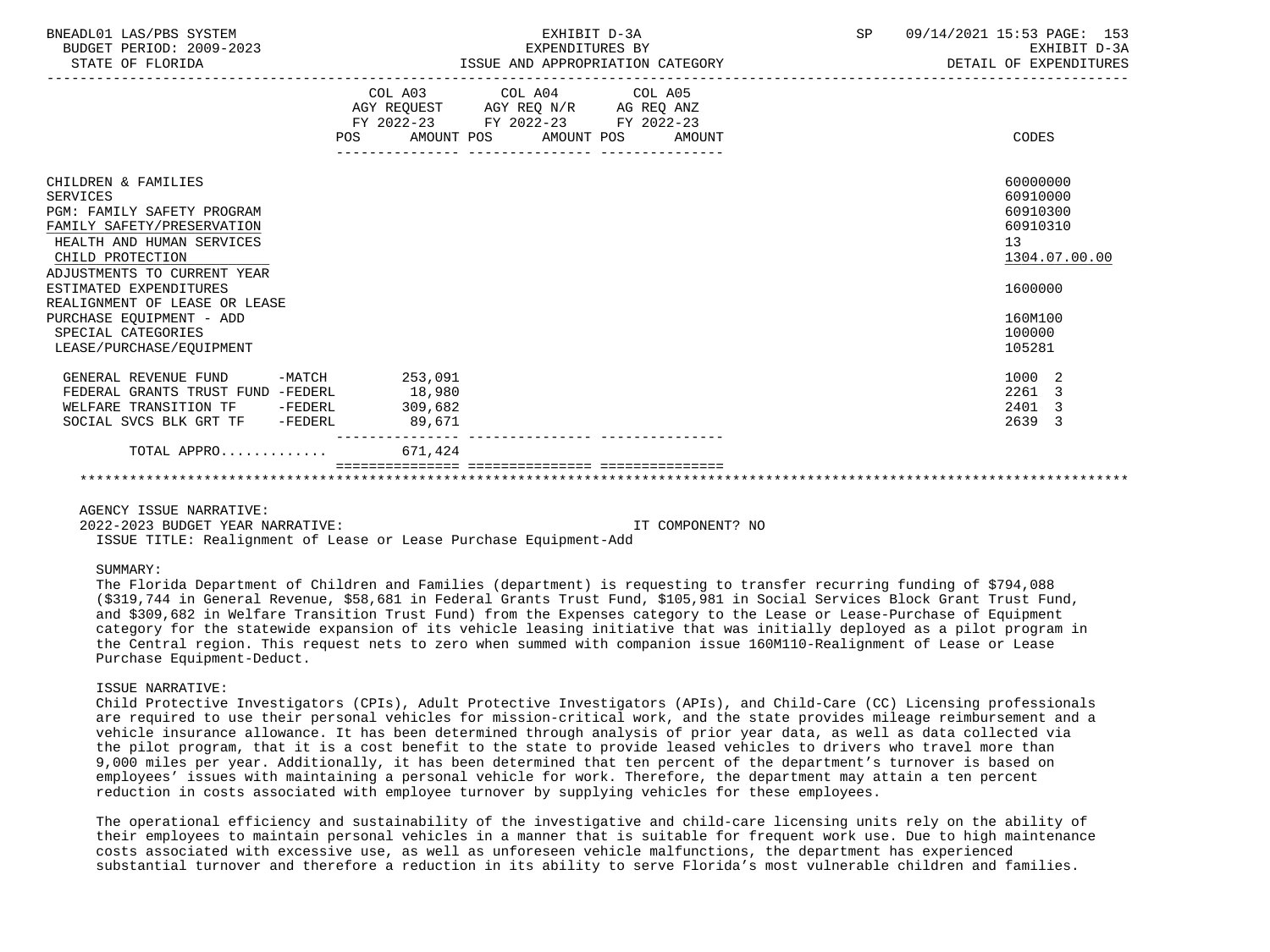| BNEADL01 LAS/PBS SYSTEM<br>BUDGET PERIOD: 2009-2023<br>STATE OF FLORIDA                                                                                                                                                                                                                                                     | EXHIBIT D-3A<br>EXPENDITURES BY<br>ISSUE AND APPROPRIATION CATEGORY                                                                                | 09/14/2021 15:53 PAGE: 153<br>SP and the set of the set of the set of the set of the set of the set of the set of the set of the set of the s<br>EXHIBIT D-3A<br>DETAIL OF EXPENDITURES |
|-----------------------------------------------------------------------------------------------------------------------------------------------------------------------------------------------------------------------------------------------------------------------------------------------------------------------------|----------------------------------------------------------------------------------------------------------------------------------------------------|-----------------------------------------------------------------------------------------------------------------------------------------------------------------------------------------|
|                                                                                                                                                                                                                                                                                                                             | COL A03 COL A04 COL A05<br>AGY REQUEST AGY REQ N/R AG REQ ANZ<br>FY 2022-23 FY 2022-23 FY 2022-23<br><b>POS</b><br>AMOUNT POS AMOUNT POS<br>AMOUNT | CODES                                                                                                                                                                                   |
| CHILDREN & FAMILIES<br><b>SERVICES</b><br>PGM: FAMILY SAFETY PROGRAM<br>FAMILY SAFETY/PRESERVATION<br>HEALTH AND HUMAN SERVICES<br>CHILD PROTECTION<br>ADJUSTMENTS TO CURRENT YEAR<br>ESTIMATED EXPENDITURES<br>REALIGNMENT OF LEASE OR LEASE<br>PURCHASE EQUIPMENT - ADD<br>SPECIAL CATEGORIES<br>LEASE/PURCHASE/EOUIPMENT |                                                                                                                                                    | 60000000<br>60910000<br>60910300<br>60910310<br>13<br>1304.07.00.00<br>1600000<br>160M100<br>100000<br>105281                                                                           |
| GENERAL REVENUE FUND -MATCH 253,091                                                                                                                                                                                                                                                                                         |                                                                                                                                                    | 1000 2                                                                                                                                                                                  |
| FEDERAL GRANTS TRUST FUND -FEDERL                                                                                                                                                                                                                                                                                           | 18,980                                                                                                                                             | 2261 3                                                                                                                                                                                  |
| WELFARE TRANSITION TF -FEDERL                                                                                                                                                                                                                                                                                               | 309,682                                                                                                                                            | 2401 3                                                                                                                                                                                  |
| SOCIAL SVCS BLK GRT TF -FEDERL                                                                                                                                                                                                                                                                                              | 89,671                                                                                                                                             | 2639 3                                                                                                                                                                                  |
| TOTAL APPRO                                                                                                                                                                                                                                                                                                                 | ---------------<br>671,424                                                                                                                         |                                                                                                                                                                                         |
|                                                                                                                                                                                                                                                                                                                             |                                                                                                                                                    |                                                                                                                                                                                         |

2022-2023 BUDGET YEAR NARRATIVE: IT COMPONENT? NO

ISSUE TITLE: Realignment of Lease or Lease Purchase Equipment-Add

# SUMMARY:

 The Florida Department of Children and Families (department) is requesting to transfer recurring funding of \$794,088 (\$319,744 in General Revenue, \$58,681 in Federal Grants Trust Fund, \$105,981 in Social Services Block Grant Trust Fund, and \$309,682 in Welfare Transition Trust Fund) from the Expenses category to the Lease or Lease-Purchase of Equipment category for the statewide expansion of its vehicle leasing initiative that was initially deployed as a pilot program in the Central region. This request nets to zero when summed with companion issue 160M110-Realignment of Lease or Lease Purchase Equipment-Deduct.

#### ISSUE NARRATIVE:

 Child Protective Investigators (CPIs), Adult Protective Investigators (APIs), and Child-Care (CC) Licensing professionals are required to use their personal vehicles for mission-critical work, and the state provides mileage reimbursement and a vehicle insurance allowance. It has been determined through analysis of prior year data, as well as data collected via the pilot program, that it is a cost benefit to the state to provide leased vehicles to drivers who travel more than 9,000 miles per year. Additionally, it has been determined that ten percent of the department's turnover is based on employees' issues with maintaining a personal vehicle for work. Therefore, the department may attain a ten percent reduction in costs associated with employee turnover by supplying vehicles for these employees.

 The operational efficiency and sustainability of the investigative and child-care licensing units rely on the ability of their employees to maintain personal vehicles in a manner that is suitable for frequent work use. Due to high maintenance costs associated with excessive use, as well as unforeseen vehicle malfunctions, the department has experienced substantial turnover and therefore a reduction in its ability to serve Florida's most vulnerable children and families.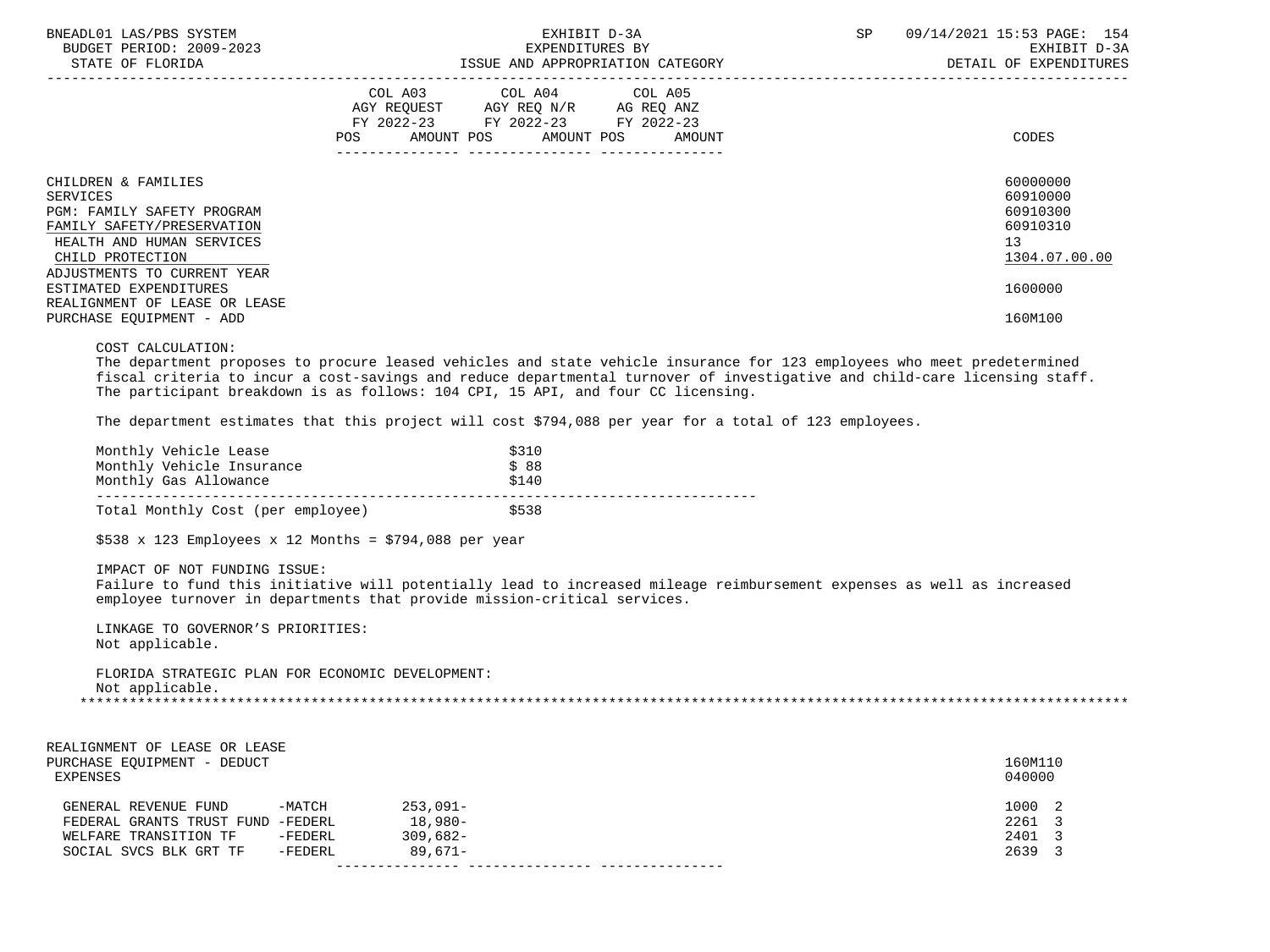| BNEADL01 LAS/PBS SYSTEM<br>BUDGET PERIOD: 2009-2023<br>STATE OF FLORIDA                                                                                                     | EXHIBIT D-3A<br>EXPENDITURES BY<br>ISSUE AND APPROPRIATION CATEGORY                                                                                                                                                                       | 09/14/2021 15:53 PAGE: 154<br>SP<br>EXHIBIT D-3A<br>DETAIL OF EXPENDITURES |
|-----------------------------------------------------------------------------------------------------------------------------------------------------------------------------|-------------------------------------------------------------------------------------------------------------------------------------------------------------------------------------------------------------------------------------------|----------------------------------------------------------------------------|
|                                                                                                                                                                             | COL A03 COL A04 COL A05<br>AGY REQUEST AGY REQ N/R AG REQ ANZ<br>FY 2022-23 FY 2022-23<br>FY 2022-23<br>AMOUNT POS AMOUNT POS<br>POS<br>AMOUNT                                                                                            | CODES                                                                      |
| CHILDREN & FAMILIES<br>SERVICES<br>PGM: FAMILY SAFETY PROGRAM<br>FAMILY SAFETY/PRESERVATION<br>HEALTH AND HUMAN SERVICES<br>CHILD PROTECTION<br>ADJUSTMENTS TO CURRENT YEAR |                                                                                                                                                                                                                                           | 60000000<br>60910000<br>60910300<br>60910310<br>13<br>1304.07.00.00        |
| ESTIMATED EXPENDITURES<br>REALIGNMENT OF LEASE OR LEASE<br>PURCHASE EQUIPMENT - ADD                                                                                         |                                                                                                                                                                                                                                           | 1600000<br>160M100                                                         |
| COST CALCULATION:                                                                                                                                                           | The department proposes to procure leased vehicles and state vehicle insurance for 123 employees who meet predetermined<br>et a traditional contracts and a strategic contract of the state and the state of the state of the state of th |                                                                            |

 fiscal criteria to incur a cost-savings and reduce departmental turnover of investigative and child-care licensing staff. The participant breakdown is as follows: 104 CPI, 15 API, and four CC licensing.

The department estimates that this project will cost \$794,088 per year for a total of 123 employees.

| Monthly Vehicle Lease     |                                   | \$310 |
|---------------------------|-----------------------------------|-------|
| Monthly Vehicle Insurance |                                   | \$88  |
| Monthly Gas Allowance     |                                   | \$140 |
|                           |                                   |       |
|                           | Total Monthly Cost (per employee) | \$538 |

 $$538 \times 123$  Employees x 12 Months = \$794,088 per year

IMPACT OF NOT FUNDING ISSUE:

 Failure to fund this initiative will potentially lead to increased mileage reimbursement expenses as well as increased employee turnover in departments that provide mission-critical services.

 LINKAGE TO GOVERNOR'S PRIORITIES: Not applicable.

 FLORIDA STRATEGIC PLAN FOR ECONOMIC DEVELOPMENT: Not applicable. \*\*\*\*\*\*\*\*\*\*\*\*\*\*\*\*\*\*\*\*\*\*\*\*\*\*\*\*\*\*\*\*\*\*\*\*\*\*\*\*\*\*\*\*\*\*\*\*\*\*\*\*\*\*\*\*\*\*\*\*\*\*\*\*\*\*\*\*\*\*\*\*\*\*\*\*\*\*\*\*\*\*\*\*\*\*\*\*\*\*\*\*\*\*\*\*\*\*\*\*\*\*\*\*\*\*\*\*\*\*\*\*\*\*\*\*\*\*\*\*\*\*\*\*\*\*\*

| REALIGNMENT OF LEASE OR LEASE<br>PURCHASE EQUIPMENT - DEDUCT<br>EXPENSES |          |             | 160M110<br>040000 |  |
|--------------------------------------------------------------------------|----------|-------------|-------------------|--|
| GENERAL REVENUE FUND                                                     | $-MATCH$ | $253.091 -$ | 1000 2            |  |
| FEDERAL GRANTS TRUST FUND -FEDERL                                        |          | $18,980-$   | 2261 3            |  |
| WELFARE TRANSITION TF                                                    | -FEDERL  | $309.682 -$ | 2401 3            |  |
| SOCIAL SVCS BLK GRT TF                                                   | -FEDERL  | $89.671 -$  | 2639 3            |  |
|                                                                          |          |             |                   |  |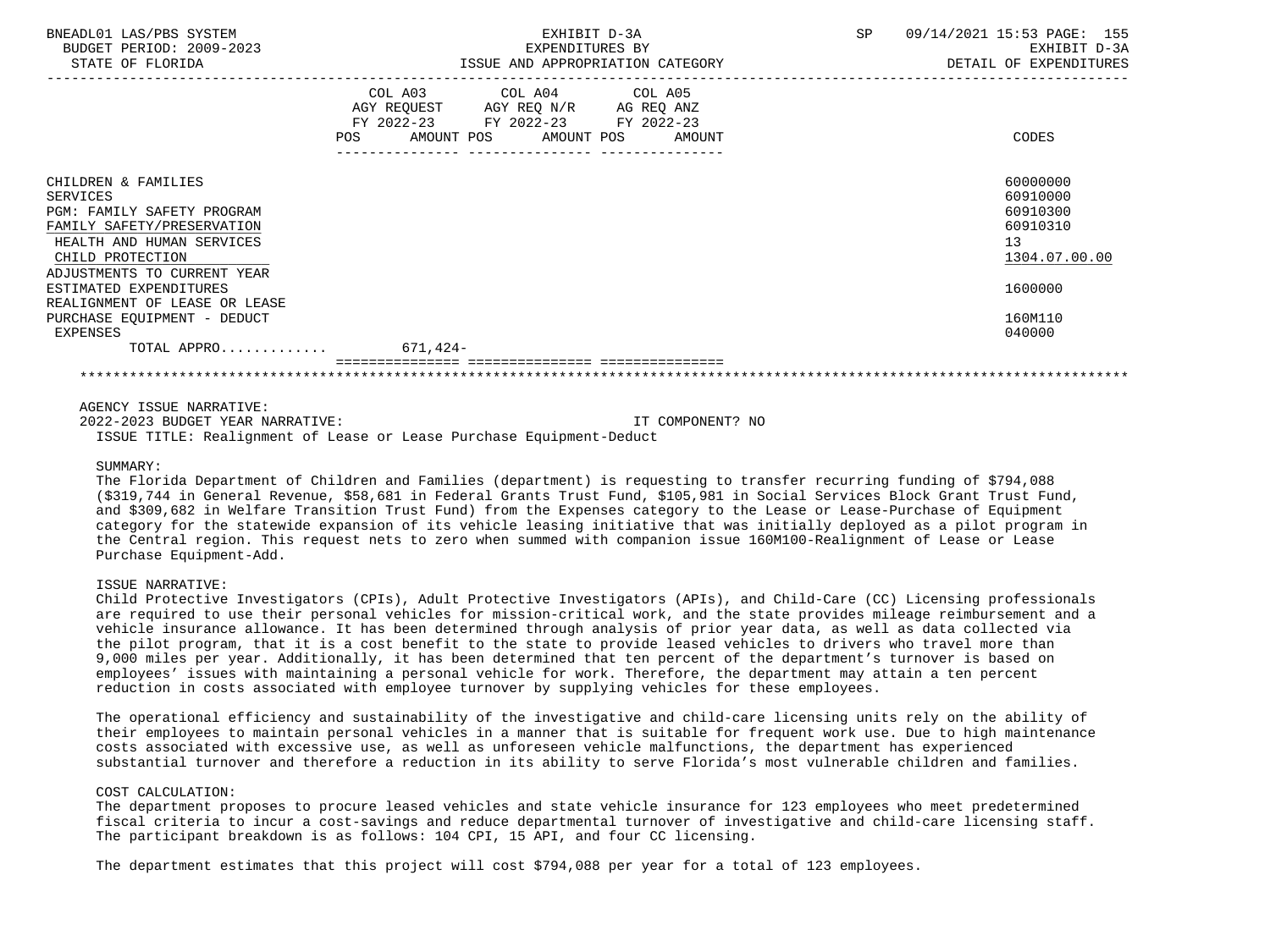| BNEADL01 LAS/PBS SYSTEM<br>BUDGET PERIOD: 2009-2023<br>STATE OF FLORIDA                                                                                                            | EXHIBIT D-3A<br>EXPENDITURES BY<br>ISSUE AND APPROPRIATION CATEGORY                                                                      | SP<br>09/14/2021 15:53 PAGE: 155<br>EXHIBIT D-3A<br>DETAIL OF EXPENDITURES |  |
|------------------------------------------------------------------------------------------------------------------------------------------------------------------------------------|------------------------------------------------------------------------------------------------------------------------------------------|----------------------------------------------------------------------------|--|
|                                                                                                                                                                                    | COL A03 COL A04 COL A05<br>AGY REQUEST AGY REQ N/R AG REQ ANZ<br>FY 2022-23 FY 2022-23 FY 2022-23<br>POS<br>AMOUNT POS AMOUNT POS AMOUNT | CODES                                                                      |  |
| CHILDREN & FAMILIES<br><b>SERVICES</b><br>PGM: FAMILY SAFETY PROGRAM<br>FAMILY SAFETY/PRESERVATION<br>HEALTH AND HUMAN SERVICES<br>CHILD PROTECTION<br>ADJUSTMENTS TO CURRENT YEAR |                                                                                                                                          | 60000000<br>60910000<br>60910300<br>60910310<br>13<br>1304.07.00.00        |  |
| ESTIMATED EXPENDITURES<br>REALIGNMENT OF LEASE OR LEASE                                                                                                                            |                                                                                                                                          | 1600000                                                                    |  |
| PURCHASE EQUIPMENT - DEDUCT<br>EXPENSES                                                                                                                                            |                                                                                                                                          | 160M110<br>040000                                                          |  |
| TOTAL APPRO                                                                                                                                                                        | $671,424-$                                                                                                                               |                                                                            |  |

| 2022-2023 BUDGET YEAR NARRATIVE: |  |  |                                                                      | IT COMPONENT? NO |  |
|----------------------------------|--|--|----------------------------------------------------------------------|------------------|--|
|                                  |  |  | ISSUE TITLE: Realignment of Lease or Lease Purchase Equipment-Deduct |                  |  |

#### SUMMARY:

 The Florida Department of Children and Families (department) is requesting to transfer recurring funding of \$794,088 (\$319,744 in General Revenue, \$58,681 in Federal Grants Trust Fund, \$105,981 in Social Services Block Grant Trust Fund, and \$309,682 in Welfare Transition Trust Fund) from the Expenses category to the Lease or Lease-Purchase of Equipment category for the statewide expansion of its vehicle leasing initiative that was initially deployed as a pilot program in the Central region. This request nets to zero when summed with companion issue 160M100-Realignment of Lease or Lease Purchase Equipment-Add.

# ISSUE NARRATIVE:

 Child Protective Investigators (CPIs), Adult Protective Investigators (APIs), and Child-Care (CC) Licensing professionals are required to use their personal vehicles for mission-critical work, and the state provides mileage reimbursement and a vehicle insurance allowance. It has been determined through analysis of prior year data, as well as data collected via the pilot program, that it is a cost benefit to the state to provide leased vehicles to drivers who travel more than 9,000 miles per year. Additionally, it has been determined that ten percent of the department's turnover is based on employees' issues with maintaining a personal vehicle for work. Therefore, the department may attain a ten percent reduction in costs associated with employee turnover by supplying vehicles for these employees.

 The operational efficiency and sustainability of the investigative and child-care licensing units rely on the ability of their employees to maintain personal vehicles in a manner that is suitable for frequent work use. Due to high maintenance costs associated with excessive use, as well as unforeseen vehicle malfunctions, the department has experienced substantial turnover and therefore a reduction in its ability to serve Florida's most vulnerable children and families.

## COST CALCULATION:

 The department proposes to procure leased vehicles and state vehicle insurance for 123 employees who meet predetermined fiscal criteria to incur a cost-savings and reduce departmental turnover of investigative and child-care licensing staff. The participant breakdown is as follows: 104 CPI, 15 API, and four CC licensing.

The department estimates that this project will cost \$794,088 per year for a total of 123 employees.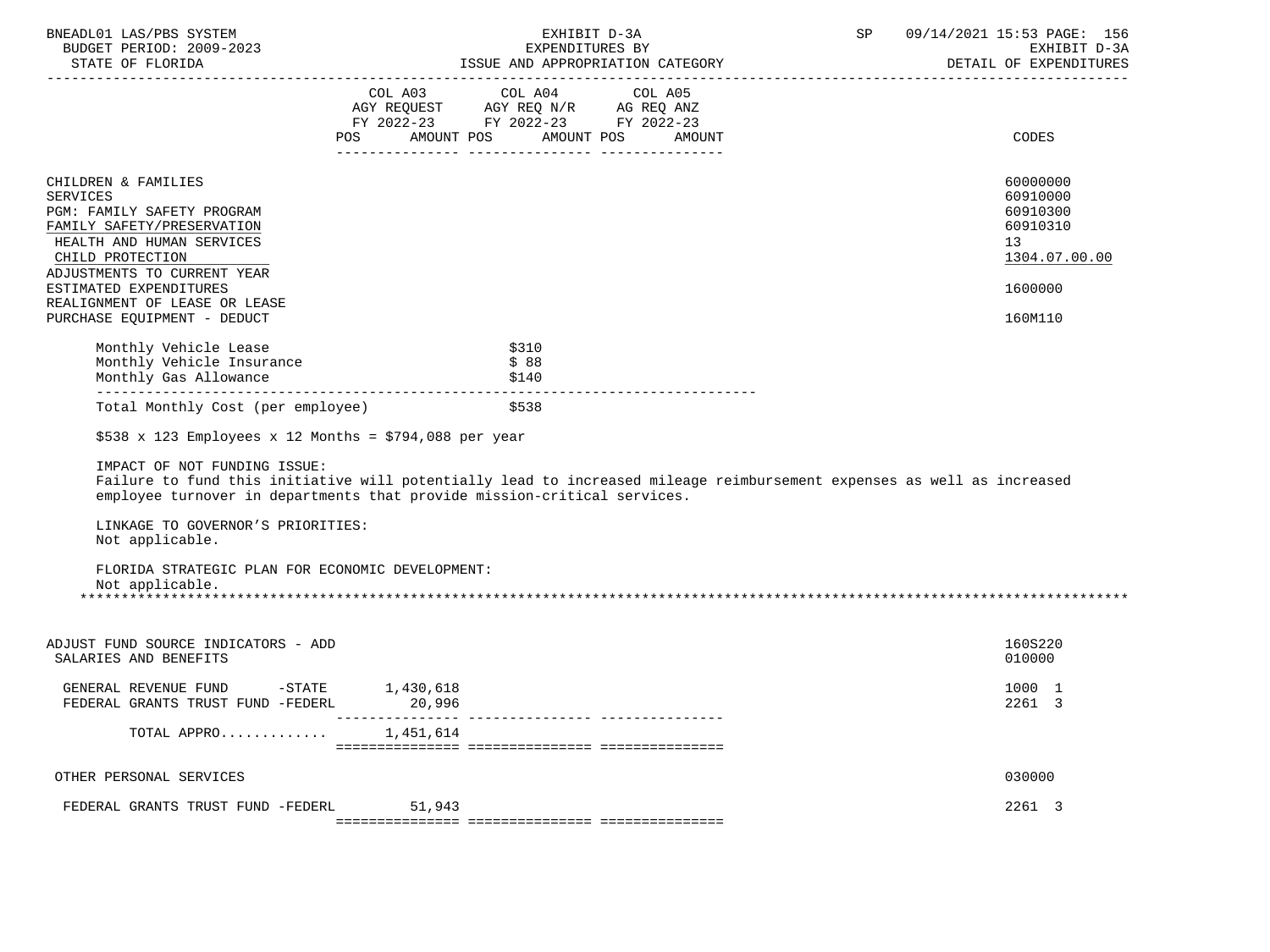| BNEADL01 LAS/PBS SYSTEM<br>BUDGET PERIOD: 2009-2023<br>STATE OF FLORIDA                                                                                                                                                            |        | EXHIBIT D-3A<br>EXPENDITURES BY<br>ISSUE AND APPROPRIATION CATEGORY                                                               | SP | 09/14/2021 15:53 PAGE: 156<br>EXHIBIT D-3A<br>DETAIL OF EXPENDITURES                        |
|------------------------------------------------------------------------------------------------------------------------------------------------------------------------------------------------------------------------------------|--------|-----------------------------------------------------------------------------------------------------------------------------------|----|---------------------------------------------------------------------------------------------|
|                                                                                                                                                                                                                                    | POS    | COL A03 COL A04 COL A05<br>AGY REQUEST AGY REQ N/R AG REQ ANZ<br>FY 2022-23 FY 2022-23 FY 2022-23<br>AMOUNT POS AMOUNT POS AMOUNT |    | CODES                                                                                       |
| CHILDREN & FAMILIES<br><b>SERVICES</b><br>PGM: FAMILY SAFETY PROGRAM<br>FAMILY SAFETY/PRESERVATION<br>HEALTH AND HUMAN SERVICES<br>CHILD PROTECTION<br>ADJUSTMENTS TO CURRENT YEAR<br>ESTIMATED EXPENDITURES                       |        |                                                                                                                                   |    | 60000000<br>60910000<br>60910300<br>60910310<br>13 <sup>°</sup><br>1304.07.00.00<br>1600000 |
| REALIGNMENT OF LEASE OR LEASE<br>PURCHASE EQUIPMENT - DEDUCT                                                                                                                                                                       |        |                                                                                                                                   |    | 160M110                                                                                     |
| Monthly Vehicle Lease<br>Monthly Vehicle Insurance<br>Monthly Gas Allowance                                                                                                                                                        |        | \$310<br>\$88<br>\$140                                                                                                            |    |                                                                                             |
| Total Monthly Cost (per employee)                                                                                                                                                                                                  |        | \$538                                                                                                                             |    |                                                                                             |
| \$538 x 123 Employees x 12 Months = \$794,088 per year                                                                                                                                                                             |        |                                                                                                                                   |    |                                                                                             |
| IMPACT OF NOT FUNDING ISSUE:<br>Failure to fund this initiative will potentially lead to increased mileage reimbursement expenses as well as increased<br>employee turnover in departments that provide mission-critical services. |        |                                                                                                                                   |    |                                                                                             |
| LINKAGE TO GOVERNOR'S PRIORITIES:<br>Not applicable.                                                                                                                                                                               |        |                                                                                                                                   |    |                                                                                             |
| FLORIDA STRATEGIC PLAN FOR ECONOMIC DEVELOPMENT:<br>Not applicable.                                                                                                                                                                |        |                                                                                                                                   |    |                                                                                             |
| ADJUST FUND SOURCE INDICATORS - ADD<br>SALARIES AND BENEFITS                                                                                                                                                                       |        |                                                                                                                                   |    | 160S220<br>010000                                                                           |
| GENERAL REVENUE FUND -STATE 1,430,618<br>FEDERAL GRANTS TRUST FUND -FEDERL                                                                                                                                                         | 20,996 |                                                                                                                                   |    | 1000 1<br>2261 3                                                                            |
| TOTAL APPRO 1,451,614                                                                                                                                                                                                              |        |                                                                                                                                   |    |                                                                                             |
| OTHER PERSONAL SERVICES                                                                                                                                                                                                            |        |                                                                                                                                   |    | 030000                                                                                      |
| FEDERAL GRANTS TRUST FUND -FEDERL                                                                                                                                                                                                  | 51,943 |                                                                                                                                   |    | 2261 3                                                                                      |
|                                                                                                                                                                                                                                    |        |                                                                                                                                   |    |                                                                                             |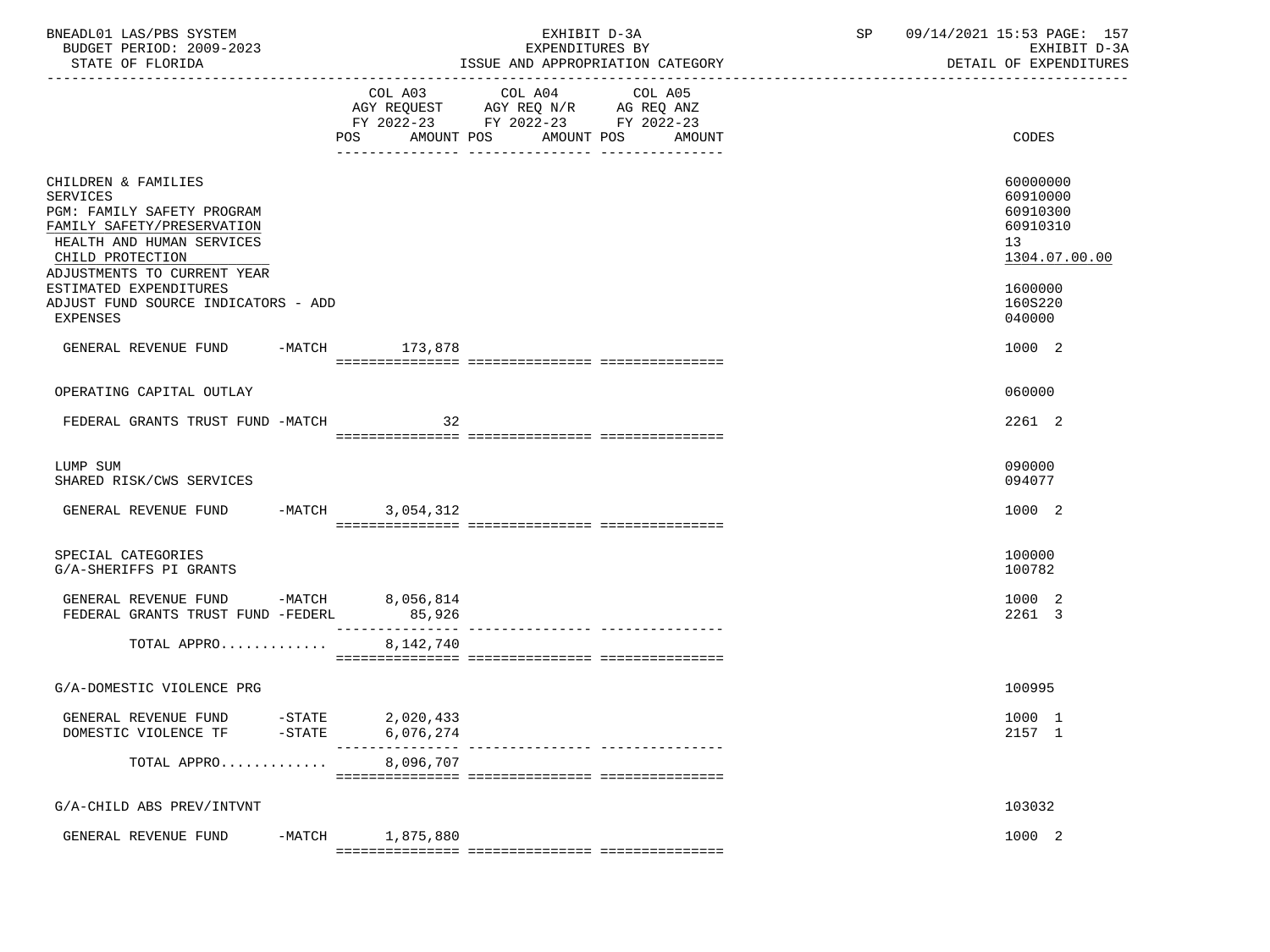| BNEADL01 LAS/PBS SYSTEM<br>BUDGET PERIOD: 2009-2023<br>STATE OF FLORIDA                                                                                                            |                        | EXHIBIT D-3A<br>EXPENDITURES BY<br>ISSUE AND APPROPRIATION CATEGORY                                                          | SP | 09/14/2021 15:53 PAGE: 157<br>EXHIBIT D-3A<br>DETAIL OF EXPENDITURES |
|------------------------------------------------------------------------------------------------------------------------------------------------------------------------------------|------------------------|------------------------------------------------------------------------------------------------------------------------------|----|----------------------------------------------------------------------|
|                                                                                                                                                                                    | POS<br>AMOUNT POS      | COL A03 COL A04<br>COL A05<br>AGY REQUEST AGY REQ N/R AG REQ ANZ<br>FY 2022-23 FY 2022-23 FY 2022-23<br>AMOUNT POS<br>AMOUNT |    | CODES                                                                |
| CHILDREN & FAMILIES<br><b>SERVICES</b><br>PGM: FAMILY SAFETY PROGRAM<br>FAMILY SAFETY/PRESERVATION<br>HEALTH AND HUMAN SERVICES<br>CHILD PROTECTION<br>ADJUSTMENTS TO CURRENT YEAR |                        |                                                                                                                              |    | 60000000<br>60910000<br>60910300<br>60910310<br>13<br>1304.07.00.00  |
| ESTIMATED EXPENDITURES<br>ADJUST FUND SOURCE INDICATORS - ADD<br>EXPENSES                                                                                                          |                        |                                                                                                                              |    | 1600000<br>160S220<br>040000                                         |
| GENERAL REVENUE FUND -MATCH 173,878                                                                                                                                                |                        |                                                                                                                              |    | 1000 2                                                               |
| OPERATING CAPITAL OUTLAY                                                                                                                                                           |                        |                                                                                                                              |    | 060000                                                               |
| FEDERAL GRANTS TRUST FUND -MATCH                                                                                                                                                   | 32                     |                                                                                                                              |    | 2261 2                                                               |
| LUMP SUM<br>SHARED RISK/CWS SERVICES                                                                                                                                               |                        |                                                                                                                              |    | 090000<br>094077                                                     |
| GENERAL REVENUE FUND                                                                                                                                                               | -MATCH 3,054,312       |                                                                                                                              |    | 1000 2                                                               |
| SPECIAL CATEGORIES<br>G/A-SHERIFFS PI GRANTS                                                                                                                                       |                        |                                                                                                                              |    | 100000<br>100782                                                     |
| GENERAL REVENUE FUND -MATCH 8,056,814<br>FEDERAL GRANTS TRUST FUND -FEDERL                                                                                                         | 85,926                 |                                                                                                                              |    | 1000 2<br>2261 3                                                     |
| TOTAL APPRO                                                                                                                                                                        | 8,142,740              |                                                                                                                              |    |                                                                      |
| G/A-DOMESTIC VIOLENCE PRG                                                                                                                                                          |                        |                                                                                                                              |    | 100995                                                               |
| GENERAL REVENUE FUND<br>$-STATE$<br>DOMESTIC VIOLENCE TF<br>$-$ STATE                                                                                                              | 2,020,433<br>6,076,274 | ___________ _______________                                                                                                  |    | 1000 1<br>2157 1                                                     |
| TOTAL APPRO                                                                                                                                                                        | 8,096,707              |                                                                                                                              |    |                                                                      |
| G/A-CHILD ABS PREV/INTVNT                                                                                                                                                          |                        |                                                                                                                              |    | 103032                                                               |
| GENERAL REVENUE FUND                                                                                                                                                               | $-MATCH$<br>1,875,880  |                                                                                                                              |    | 1000 2                                                               |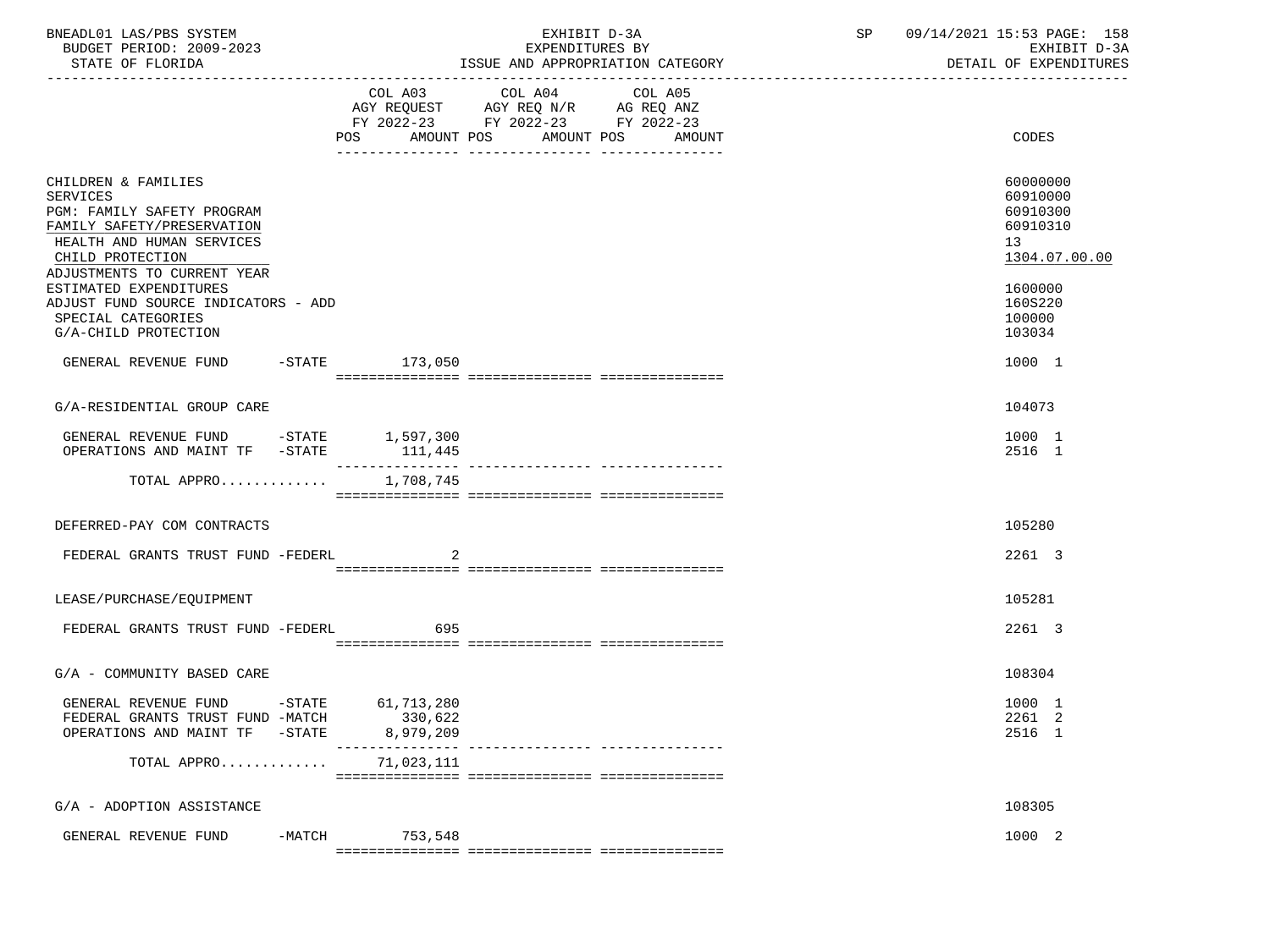| BNEADL01 LAS/PBS SYSTEM<br>BUDGET PERIOD: 2009-2023<br>STATE OF FLORIDA                                                                                                     |                                                             | EXHIBIT D-3A<br>EXPENDITURES BY<br>ISSUE AND APPROPRIATION CATEGORY                                                                | SP 09/14/2021 15:53 PAGE: 158<br>EXHIBIT D-3A<br>DETAIL OF EXPENDITURES          |
|-----------------------------------------------------------------------------------------------------------------------------------------------------------------------------|-------------------------------------------------------------|------------------------------------------------------------------------------------------------------------------------------------|----------------------------------------------------------------------------------|
|                                                                                                                                                                             | COL A03<br>POS                                              | COL A04<br>COL A05<br>AGY REQUEST AGY REQ N/R AG REQ ANZ<br>FY 2022-23 FY 2022-23 FY 2022-23<br>AMOUNT POS<br>AMOUNT POS<br>AMOUNT | CODES                                                                            |
|                                                                                                                                                                             |                                                             |                                                                                                                                    |                                                                                  |
| CHILDREN & FAMILIES<br>SERVICES<br>PGM: FAMILY SAFETY PROGRAM<br>FAMILY SAFETY/PRESERVATION<br>HEALTH AND HUMAN SERVICES<br>CHILD PROTECTION<br>ADJUSTMENTS TO CURRENT YEAR |                                                             |                                                                                                                                    | 60000000<br>60910000<br>60910300<br>60910310<br>13 <sup>7</sup><br>1304.07.00.00 |
| ESTIMATED EXPENDITURES<br>ADJUST FUND SOURCE INDICATORS - ADD<br>SPECIAL CATEGORIES<br>G/A-CHILD PROTECTION                                                                 |                                                             |                                                                                                                                    | 1600000<br>160S220<br>100000<br>103034                                           |
| GENERAL REVENUE FUND -STATE 173,050                                                                                                                                         |                                                             |                                                                                                                                    | 1000 1                                                                           |
|                                                                                                                                                                             |                                                             |                                                                                                                                    |                                                                                  |
| G/A-RESIDENTIAL GROUP CARE                                                                                                                                                  |                                                             |                                                                                                                                    | 104073                                                                           |
| GENERAL REVENUE FUND -STATE 1,597,300<br>OPERATIONS AND MAINT TF -STATE                                                                                                     | 111,445                                                     |                                                                                                                                    | 1000 1<br>2516 1                                                                 |
| TOTAL APPRO                                                                                                                                                                 | 1,708,745                                                   |                                                                                                                                    |                                                                                  |
| DEFERRED-PAY COM CONTRACTS                                                                                                                                                  |                                                             |                                                                                                                                    | 105280                                                                           |
| FEDERAL GRANTS TRUST FUND -FEDERL                                                                                                                                           |                                                             |                                                                                                                                    | 2261 3                                                                           |
| LEASE/PURCHASE/EQUIPMENT                                                                                                                                                    |                                                             |                                                                                                                                    | 105281                                                                           |
| FEDERAL GRANTS TRUST FUND -FEDERL 695                                                                                                                                       |                                                             |                                                                                                                                    | 2261 3                                                                           |
| G/A - COMMUNITY BASED CARE                                                                                                                                                  |                                                             |                                                                                                                                    | 108304                                                                           |
| GENERAL REVENUE FUND<br>FEDERAL GRANTS TRUST FUND -MATCH<br>OPERATIONS AND MAINT TF                                                                                         | $-$ STATE<br>61,713,280<br>330,622<br>$-STATE$<br>8,979,209 | _____________________________                                                                                                      | 1000 1<br>2261 2<br>2516 1                                                       |
| TOTAL APPRO                                                                                                                                                                 | 71,023,111                                                  |                                                                                                                                    |                                                                                  |
| G/A - ADOPTION ASSISTANCE                                                                                                                                                   |                                                             |                                                                                                                                    | 108305                                                                           |
| GENERAL REVENUE FUND                                                                                                                                                        | 753,548<br>-MATCH                                           |                                                                                                                                    | 1000 2                                                                           |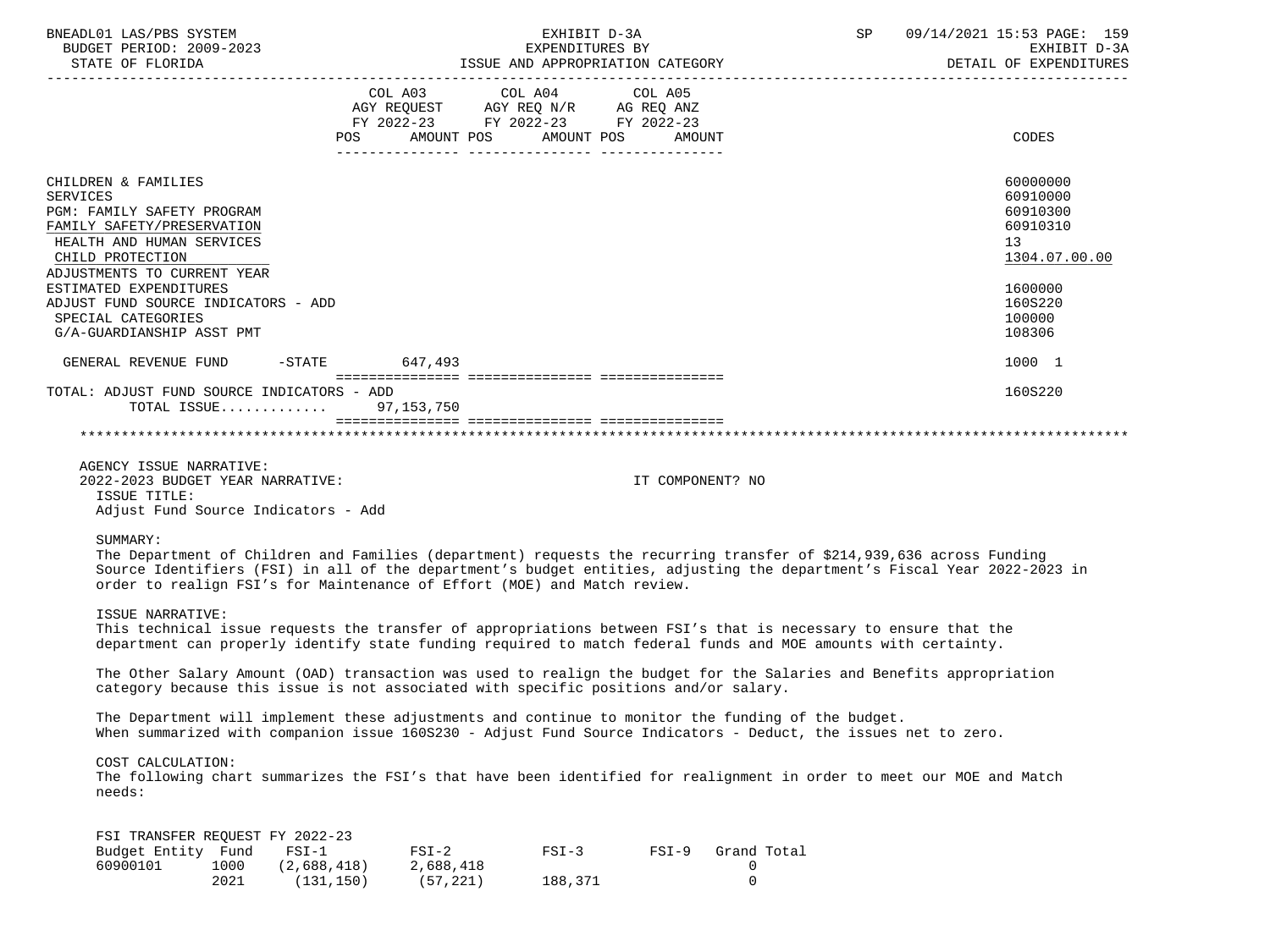| BNEADL01 LAS/PBS SYSTEM<br>BUDGET PERIOD: 2009-2023                                                                                                                                |              |                                      |                                   | EXHIBIT D-3A<br>EXPENDITURES BY                                                                                            |         |                                                                                                                                                                                                                                                                      | SP | 09/14/2021 15:53 PAGE: 159<br>EXHIBIT D-3A<br>DETAIL OF EXPENDITURES             |  |
|------------------------------------------------------------------------------------------------------------------------------------------------------------------------------------|--------------|--------------------------------------|-----------------------------------|----------------------------------------------------------------------------------------------------------------------------|---------|----------------------------------------------------------------------------------------------------------------------------------------------------------------------------------------------------------------------------------------------------------------------|----|----------------------------------------------------------------------------------|--|
|                                                                                                                                                                                    |              | POS                                  |                                   | COL A03 COL A04 COL A05<br>AGY REQUEST AGY REQ N/R AG REQ ANZ<br>FY 2022-23 FY 2022-23 FY 2022-23<br>AMOUNT POS AMOUNT POS |         | AMOUNT                                                                                                                                                                                                                                                               |    | CODES                                                                            |  |
| CHILDREN & FAMILIES<br><b>SERVICES</b><br>PGM: FAMILY SAFETY PROGRAM<br>FAMILY SAFETY/PRESERVATION<br>HEALTH AND HUMAN SERVICES<br>CHILD PROTECTION<br>ADJUSTMENTS TO CURRENT YEAR |              |                                      |                                   |                                                                                                                            |         |                                                                                                                                                                                                                                                                      |    | 60000000<br>60910000<br>60910300<br>60910310<br>13 <sup>°</sup><br>1304.07.00.00 |  |
| ESTIMATED EXPENDITURES<br>ADJUST FUND SOURCE INDICATORS - ADD<br>SPECIAL CATEGORIES<br>G/A-GUARDIANSHIP ASST PMT                                                                   |              |                                      |                                   |                                                                                                                            |         |                                                                                                                                                                                                                                                                      |    | 1600000<br>160S220<br>100000<br>108306                                           |  |
| GENERAL REVENUE FUND -STATE 647,493                                                                                                                                                |              |                                      |                                   |                                                                                                                            |         |                                                                                                                                                                                                                                                                      |    | 1000 1                                                                           |  |
| TOTAL: ADJUST FUND SOURCE INDICATORS - ADD                                                                                                                                         |              | TOTAL ISSUE 97,153,750               |                                   |                                                                                                                            |         |                                                                                                                                                                                                                                                                      |    | 160S220                                                                          |  |
| AGENCY ISSUE NARRATIVE:<br>2022-2023 BUDGET YEAR NARRATIVE:<br>ISSUE TITLE:<br>Adjust Fund Source Indicators - Add<br>SUMMARY:                                                     |              |                                      |                                   |                                                                                                                            |         | IT COMPONENT? NO<br>The Department of Children and Families (department) requests the recurring transfer of \$214,939,636 across Funding<br>Source Identifiers (FSI) in all of the department's budget entities, adjusting the department's Fiscal Year 2022-2023 in |    |                                                                                  |  |
| order to realign FSI's for Maintenance of Effort (MOE) and Match review.<br>ISSUE NARRATIVE:                                                                                       |              |                                      |                                   |                                                                                                                            |         |                                                                                                                                                                                                                                                                      |    |                                                                                  |  |
|                                                                                                                                                                                    |              |                                      |                                   |                                                                                                                            |         | This technical issue requests the transfer of appropriations between FSI's that is necessary to ensure that the<br>department can properly identify state funding required to match federal funds and MOE amounts with certainty.                                    |    |                                                                                  |  |
| category because this issue is not associated with specific positions and/or salary.                                                                                               |              |                                      |                                   |                                                                                                                            |         | The Other Salary Amount (OAD) transaction was used to realign the budget for the Salaries and Benefits appropriation                                                                                                                                                 |    |                                                                                  |  |
|                                                                                                                                                                                    |              |                                      |                                   |                                                                                                                            |         | The Department will implement these adjustments and continue to monitor the funding of the budget.<br>When summarized with companion issue 160S230 - Adjust Fund Source Indicators - Deduct, the issues net to zero.                                                 |    |                                                                                  |  |
| COST CALCULATION:<br>needs:                                                                                                                                                        |              |                                      |                                   |                                                                                                                            |         | The following chart summarizes the FSI's that have been identified for realignment in order to meet our MOE and Match                                                                                                                                                |    |                                                                                  |  |
| FSI TRANSFER REQUEST FY 2022-23<br>Budget Entity Fund<br>60900101                                                                                                                  | 1000<br>2021 | $FSI-1$<br>(2,688,418)<br>(131, 150) | $FSI-2$<br>2,688,418<br>(57, 221) | $FSI-3$<br>188,371                                                                                                         | $FSI-9$ | Grand Total<br>0<br>0                                                                                                                                                                                                                                                |    |                                                                                  |  |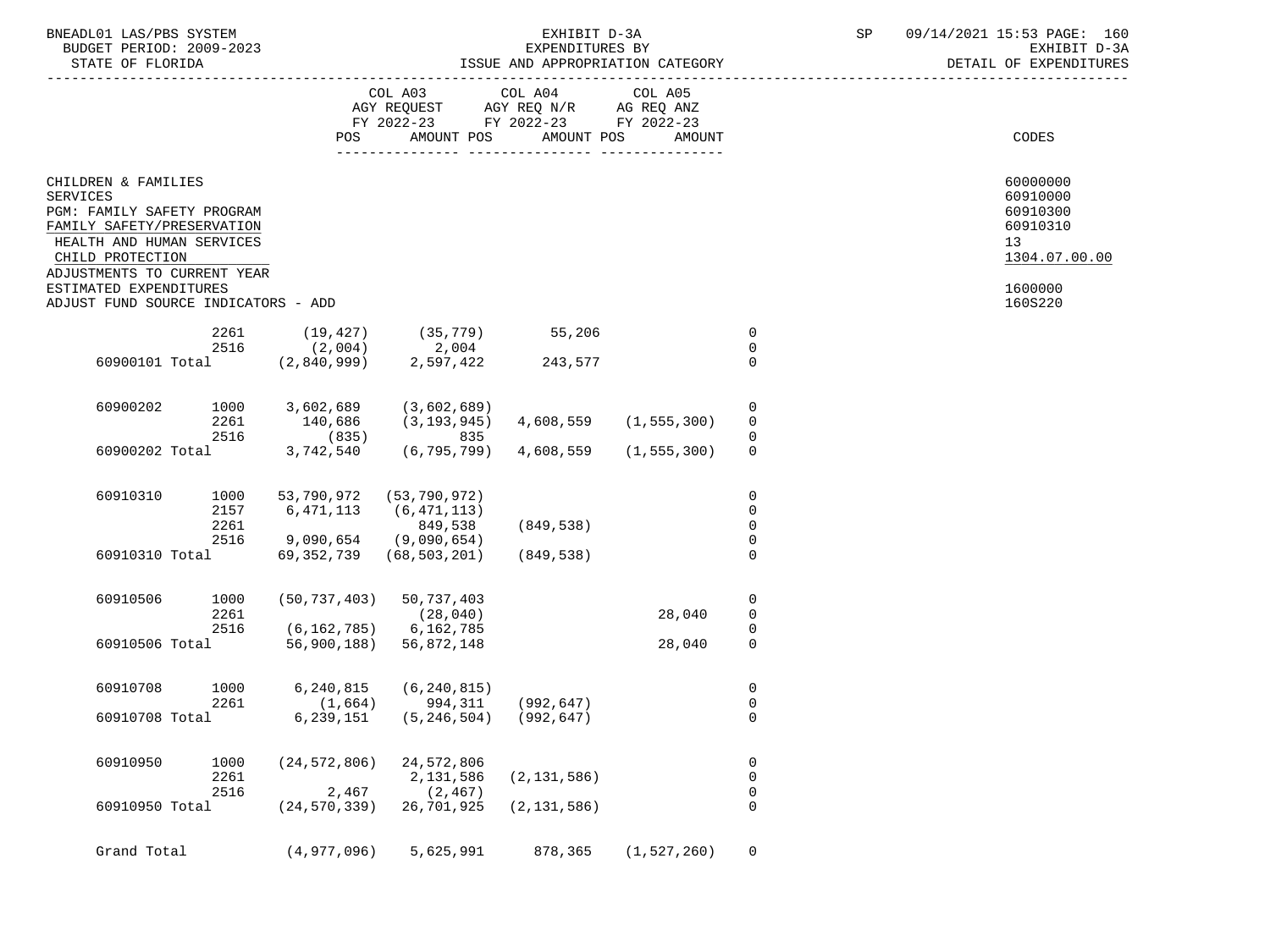| SYSTEM<br>BNEADL01<br>AS/DRS<br>ىدىر               |                                  | - - -<br>.<br>ם ר<br>1 E ·<br>$\sqrt{2}$<br>-2112<br>160<br>PAGE.<br>$\overline{\phantom{a}}$<br>the contract of the contract of the contract of the contract of the contract of the contract of the contract of |
|----------------------------------------------------|----------------------------------|------------------------------------------------------------------------------------------------------------------------------------------------------------------------------------------------------------------|
| $2009 - 2023$<br>חמד פתם<br><b>BUDGET</b><br>⊥ີ∪ ∗ | ΡV<br>EXPENDITURES<br><u>، ب</u> | ∼                                                                                                                                                                                                                |
|                                                    |                                  | ----------------------                                                                                                                                                                                           |

|          |                                                                                                                                                                                                                                  |                              |                                                                                 | COL A03                                                               | COL A04 COL A05 |               |                                                       |                                                                                           |
|----------|----------------------------------------------------------------------------------------------------------------------------------------------------------------------------------------------------------------------------------|------------------------------|---------------------------------------------------------------------------------|-----------------------------------------------------------------------|-----------------|---------------|-------------------------------------------------------|-------------------------------------------------------------------------------------------|
|          |                                                                                                                                                                                                                                  |                              | POS                                                                             | AMOUNT POS                                                            | AMOUNT POS      | AMOUNT        |                                                       | CODES                                                                                     |
| SERVICES | CHILDREN & FAMILIES<br>PGM: FAMILY SAFETY PROGRAM<br>FAMILY SAFETY/PRESERVATION<br>HEALTH AND HUMAN SERVICES<br>CHILD PROTECTION<br>ADJUSTMENTS TO CURRENT YEAR<br>ESTIMATED EXPENDITURES<br>ADJUST FUND SOURCE INDICATORS - ADD |                              |                                                                                 |                                                                       |                 |               |                                                       | 60000000<br>60910000<br>60910300<br>60910310<br>13<br>1304.07.00.00<br>1600000<br>160S220 |
|          |                                                                                                                                                                                                                                  |                              | 2261 (19,427)                                                                   | $(35, 779)$ 55,206                                                    |                 |               | 0                                                     |                                                                                           |
|          |                                                                                                                                                                                                                                  | 2516                         | (2,004)                                                                         |                                                                       |                 |               | $\mathbf 0$                                           |                                                                                           |
|          |                                                                                                                                                                                                                                  |                              | 60900101 Total (2,840,999)                                                      | 2,004<br>2,597,422<br>2,597,422                                       | 243,577         |               | $\mathbf 0$                                           |                                                                                           |
|          | 60900202                                                                                                                                                                                                                         | 1000<br>2261                 | 3,602,689                                                                       | (3,602,689)<br>140,686 (3,193,945) 4,608,559 (1,555,300)<br>(835) 835 |                 |               | $\mathbf 0$<br>$\mathbf 0$                            |                                                                                           |
|          |                                                                                                                                                                                                                                  | 2516                         |                                                                                 |                                                                       |                 |               | 0                                                     |                                                                                           |
|          | 60900202 Total                                                                                                                                                                                                                   |                              | 3,742,540                                                                       | (6,795,799) 4,608,559                                                 |                 | (1, 555, 300) | 0                                                     |                                                                                           |
|          | 60910310                                                                                                                                                                                                                         | 1000<br>2157<br>2261<br>2516 | 53,790,972 (53,790,972)<br>6, 471, 113 (6, 471, 113)<br>$9,090,654$ (9,090,654) | 849,538                                                               | (849, 538)      |               | $\mathbf 0$<br>$\mathbf 0$<br>$\mathbf 0$<br>$\Omega$ |                                                                                           |
|          | 60910310 Total                                                                                                                                                                                                                   |                              |                                                                                 | 69, 352, 739 (68, 503, 201)                                           | (849,538)       |               | $\Omega$                                              |                                                                                           |
|          | 60910506                                                                                                                                                                                                                         | 1000<br>2261<br>2516         | $(50, 737, 403)$ 50, 737, 403<br>$(6, 162, 785)$ 6, 162, 785                    | (28, 040)                                                             |                 | 28,040        | $\mathbf 0$<br>$\mathbf 0$<br>0                       |                                                                                           |
|          |                                                                                                                                                                                                                                  |                              | 60910506 Total 56,900,188) 56,872,148                                           |                                                                       |                 | 28,040        | $\mathbf 0$                                           |                                                                                           |
|          | 60910708                                                                                                                                                                                                                         | 1000<br>2261                 | 6,240,815                                                                       | (6, 240, 815)<br>$(1,664)$ 994,311 (992,647)                          |                 |               | 0<br>$\mathbf 0$                                      |                                                                                           |
|          | 60910708 Total                                                                                                                                                                                                                   |                              | 6,239,151                                                                       | $(5, 246, 504)$ (992,647)                                             |                 |               | $\Omega$                                              |                                                                                           |
|          | 60910950                                                                                                                                                                                                                         | 1000<br>2261<br>2516         | $(24, 572, 806)$ 24, 572, 806<br>2,467                                          | 2,131,586<br>(2, 467)                                                 | (2, 131, 586)   |               | $\mathbf 0$<br>$\mathbf 0$<br>$\mathbf 0$             |                                                                                           |
|          | 60910950 Total                                                                                                                                                                                                                   |                              | $(24, 570, 339)$ 26,701,925                                                     |                                                                       | (2, 131, 586)   |               | $\mathbf 0$                                           |                                                                                           |
|          | Grand Total                                                                                                                                                                                                                      |                              | (4,977,096)                                                                     | 5,625,991                                                             | 878,365         | (1, 527, 260) | $\Omega$                                              |                                                                                           |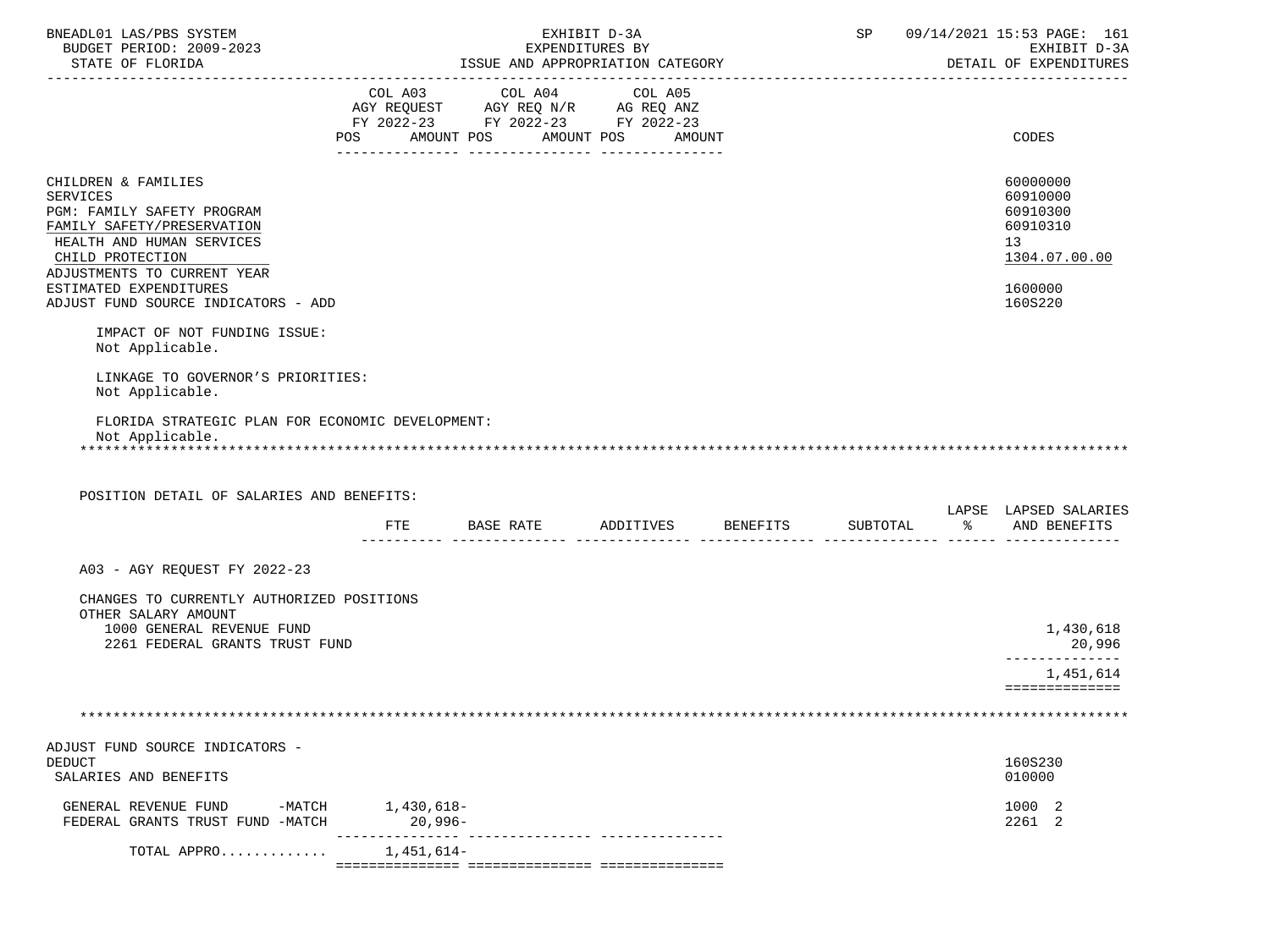| BNEADL01 LAS/PBS SYSTEM<br>BUDGET PERIOD: 2009-2023                                                                                                                                                          |                |                                                                                                   | EXHIBIT D-3A<br>EXPENDITURES BY |          |          | SP 09/14/2021 15:53 PAGE: 161<br>EXHIBIT D-3A                                  |
|--------------------------------------------------------------------------------------------------------------------------------------------------------------------------------------------------------------|----------------|---------------------------------------------------------------------------------------------------|---------------------------------|----------|----------|--------------------------------------------------------------------------------|
| STATE OF FLORIDA                                                                                                                                                                                             |                | ISSUE AND APPROPRIATION CATEGORY                                                                  |                                 |          |          | DETAIL OF EXPENDITURES                                                         |
|                                                                                                                                                                                                              | POS AMOUNT POS | COL A03 COL A04 COL A05<br>AGY REQUEST AGY REQ N/R AG REQ ANZ<br>FY 2022-23 FY 2022-23 FY 2022-23 | AMOUNT POS                      | AMOUNT   |          | CODES                                                                          |
| CHILDREN & FAMILIES<br><b>SERVICES</b><br>PGM: FAMILY SAFETY PROGRAM<br>FAMILY SAFETY/PRESERVATION<br>HEALTH AND HUMAN SERVICES<br>CHILD PROTECTION<br>ADJUSTMENTS TO CURRENT YEAR<br>ESTIMATED EXPENDITURES |                |                                                                                                   |                                 |          |          | 60000000<br>60910000<br>60910300<br>60910310<br>13<br>1304.07.00.00<br>1600000 |
| ADJUST FUND SOURCE INDICATORS - ADD                                                                                                                                                                          |                |                                                                                                   |                                 |          |          | 160S220                                                                        |
| IMPACT OF NOT FUNDING ISSUE:<br>Not Applicable.                                                                                                                                                              |                |                                                                                                   |                                 |          |          |                                                                                |
| LINKAGE TO GOVERNOR'S PRIORITIES:<br>Not Applicable.                                                                                                                                                         |                |                                                                                                   |                                 |          |          |                                                                                |
| FLORIDA STRATEGIC PLAN FOR ECONOMIC DEVELOPMENT:<br>Not Applicable.                                                                                                                                          |                |                                                                                                   |                                 |          |          |                                                                                |
| POSITION DETAIL OF SALARIES AND BENEFITS:                                                                                                                                                                    |                |                                                                                                   |                                 |          |          | LAPSE LAPSED SALARIES                                                          |
|                                                                                                                                                                                                              |                | FTE BASE RATE ADDITIVES                                                                           |                                 | BENEFITS | SUBTOTAL | % AND BENEFITS                                                                 |
| A03 - AGY REQUEST FY 2022-23                                                                                                                                                                                 |                |                                                                                                   |                                 |          |          |                                                                                |
| CHANGES TO CURRENTLY AUTHORIZED POSITIONS<br>OTHER SALARY AMOUNT<br>1000 GENERAL REVENUE FUND<br>2261 FEDERAL GRANTS TRUST FUND                                                                              |                |                                                                                                   |                                 |          |          | 1,430,618<br>20,996                                                            |
|                                                                                                                                                                                                              |                |                                                                                                   |                                 |          |          | -------------                                                                  |
|                                                                                                                                                                                                              |                |                                                                                                   |                                 |          |          | 1,451,614                                                                      |
|                                                                                                                                                                                                              |                |                                                                                                   |                                 |          |          | ==============                                                                 |
|                                                                                                                                                                                                              |                |                                                                                                   |                                 |          |          |                                                                                |
| ADJUST FUND SOURCE INDICATORS -<br>DEDUCT<br>SALARIES AND BENEFITS                                                                                                                                           |                |                                                                                                   |                                 |          |          | 160S230<br>010000                                                              |
| GENERAL REVENUE FUND<br>-MATCH<br>FEDERAL GRANTS TRUST FUND -MATCH                                                                                                                                           | 1,430,618-     | $20,996-$                                                                                         |                                 |          |          | 1000 2<br>2261 2                                                               |
| TOTAL APPRO                                                                                                                                                                                                  | 1,451,614-     |                                                                                                   |                                 |          |          |                                                                                |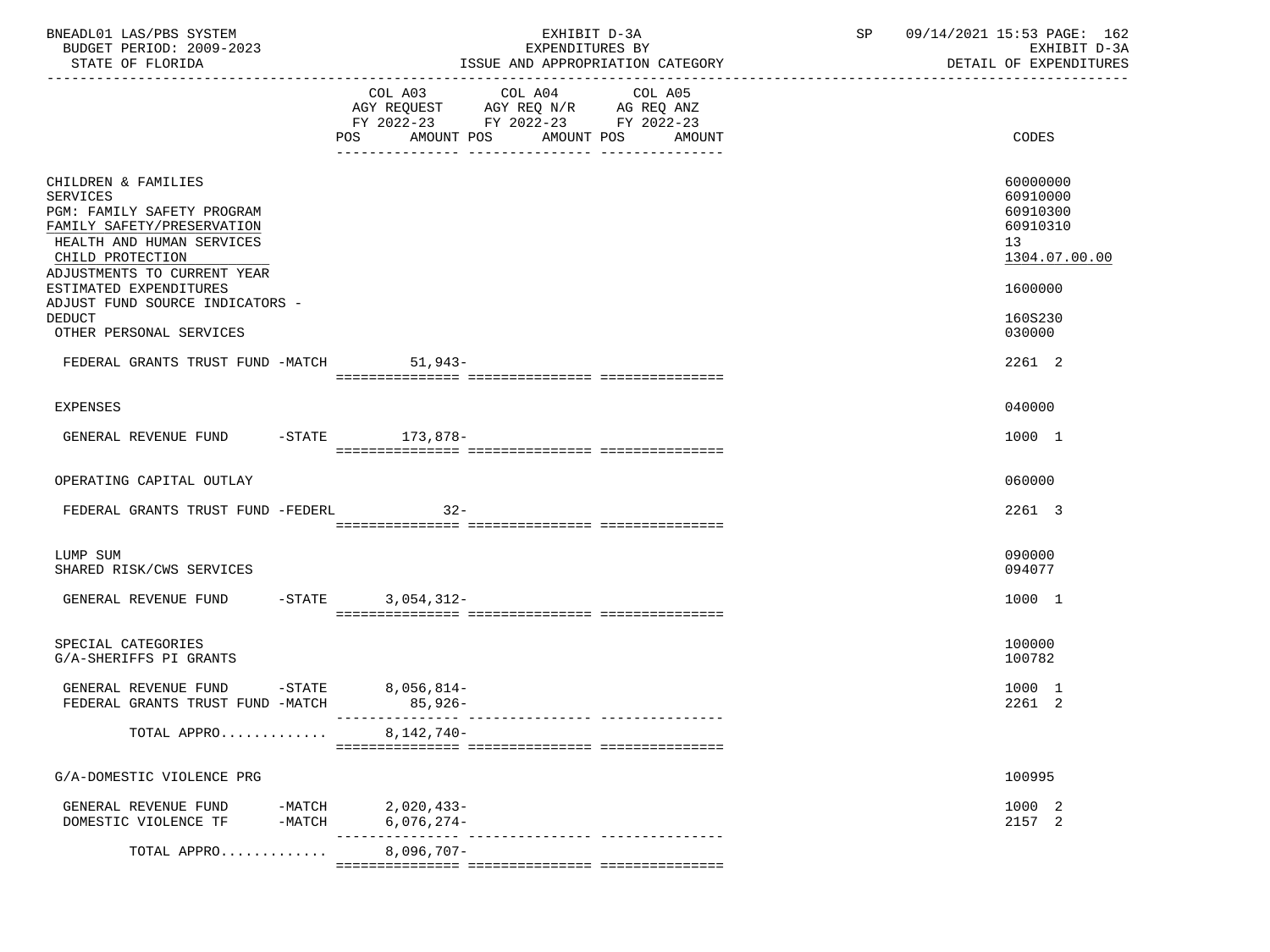| BNEADL01 LAS/PBS SYSTEM<br>BUDGET PERIOD: 2009-2023<br>STATE OF FLORIDA                                                                                                            | EXHIBIT D-3A<br>EXPENDITURES BY<br>ISSUE AND APPROPRIATION CATEGORY                                                                         | SP<br>09/14/2021 15:53 PAGE: 162<br>EXHIBIT D-3A<br>DETAIL OF EXPENDITURES<br>--------------------------- |
|------------------------------------------------------------------------------------------------------------------------------------------------------------------------------------|---------------------------------------------------------------------------------------------------------------------------------------------|-----------------------------------------------------------------------------------------------------------|
|                                                                                                                                                                                    | COL A03 COL A04 COL A05<br>AGY REQUEST AGY REQ N/R AG REQ ANZ<br>FY 2022-23 FY 2022-23 FY 2022-23<br>AMOUNT POS AMOUNT POS<br>POS<br>AMOUNT | CODES                                                                                                     |
| CHILDREN & FAMILIES<br><b>SERVICES</b><br>PGM: FAMILY SAFETY PROGRAM<br>FAMILY SAFETY/PRESERVATION<br>HEALTH AND HUMAN SERVICES<br>CHILD PROTECTION<br>ADJUSTMENTS TO CURRENT YEAR |                                                                                                                                             | 60000000<br>60910000<br>60910300<br>60910310<br>13<br>1304.07.00.00                                       |
| ESTIMATED EXPENDITURES<br>ADJUST FUND SOURCE INDICATORS -<br><b>DEDUCT</b><br>OTHER PERSONAL SERVICES                                                                              |                                                                                                                                             | 1600000<br>160S230<br>030000                                                                              |
| FEDERAL GRANTS TRUST FUND -MATCH 51,943-                                                                                                                                           |                                                                                                                                             | 2261 2                                                                                                    |
| <b>EXPENSES</b>                                                                                                                                                                    |                                                                                                                                             | 040000                                                                                                    |
| GENERAL REVENUE FUND -STATE 173,878-                                                                                                                                               |                                                                                                                                             | 1000 1                                                                                                    |
| OPERATING CAPITAL OUTLAY                                                                                                                                                           |                                                                                                                                             | 060000                                                                                                    |
| FEDERAL GRANTS TRUST FUND -FEDERL 32-                                                                                                                                              |                                                                                                                                             | 2261 3                                                                                                    |
| LUMP SUM<br>SHARED RISK/CWS SERVICES                                                                                                                                               |                                                                                                                                             | 090000<br>094077                                                                                          |
| GENERAL REVENUE FUND                                                                                                                                                               | $-STATE$ 3, 054, 312-                                                                                                                       | 1000 1                                                                                                    |
| SPECIAL CATEGORIES<br>G/A-SHERIFFS PI GRANTS                                                                                                                                       |                                                                                                                                             | 100000<br>100782                                                                                          |
| GENERAL REVENUE FUND<br>$-$ STATE<br>FEDERAL GRANTS TRUST FUND -MATCH                                                                                                              | $8,056,814-$<br>$85,926-$                                                                                                                   | 1000 1<br>2261 2                                                                                          |
| TOTAL APPRO                                                                                                                                                                        | $8,142,740-$                                                                                                                                |                                                                                                           |
| G/A-DOMESTIC VIOLENCE PRG                                                                                                                                                          |                                                                                                                                             | 100995                                                                                                    |
| GENERAL REVENUE FUND<br>-MATCH<br>DOMESTIC VIOLENCE TF<br>-MATCH                                                                                                                   | 2,020,433-<br>$6,076,274-$                                                                                                                  | 1000 2<br>2157 2                                                                                          |
| TOTAL APPRO                                                                                                                                                                        | $8,096,707-$                                                                                                                                |                                                                                                           |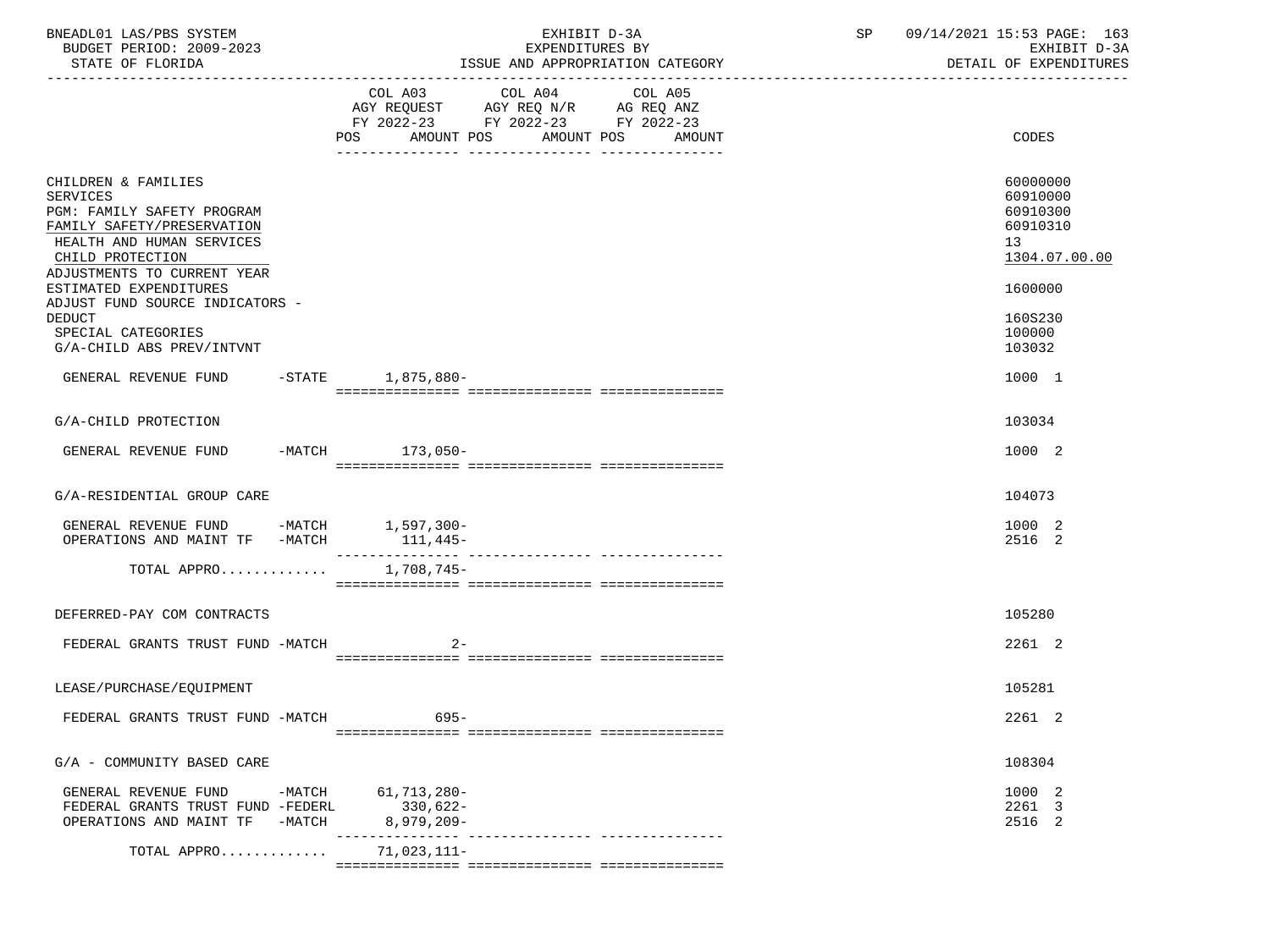| BNEADL01 LAS/PBS SYSTEM<br>BUDGET PERIOD: 2009-2023<br>STATE OF FLORIDA                                                                                                                                      | EXHIBIT D-3A<br>EXPENDITURES BY<br>ISSUE AND APPROPRIATION CATEGORY                                                                                | SP<br>09/14/2021 15:53 PAGE: 163<br>EXHIBIT D-3A<br>DETAIL OF EXPENDITURES     |
|--------------------------------------------------------------------------------------------------------------------------------------------------------------------------------------------------------------|----------------------------------------------------------------------------------------------------------------------------------------------------|--------------------------------------------------------------------------------|
|                                                                                                                                                                                                              | COL A03 COL A04<br>COL A05<br>AGY REQUEST AGY REQ N/R AG REQ ANZ<br>FY 2022-23 FY 2022-23 FY 2022-23<br>POS.<br>AMOUNT POS<br>AMOUNT POS<br>AMOUNT | CODES                                                                          |
| CHILDREN & FAMILIES<br><b>SERVICES</b><br>PGM: FAMILY SAFETY PROGRAM<br>FAMILY SAFETY/PRESERVATION<br>HEALTH AND HUMAN SERVICES<br>CHILD PROTECTION<br>ADJUSTMENTS TO CURRENT YEAR<br>ESTIMATED EXPENDITURES |                                                                                                                                                    | 60000000<br>60910000<br>60910300<br>60910310<br>13<br>1304.07.00.00<br>1600000 |
| ADJUST FUND SOURCE INDICATORS -<br><b>DEDUCT</b><br>SPECIAL CATEGORIES<br>G/A-CHILD ABS PREV/INTVNT                                                                                                          |                                                                                                                                                    | 160S230<br>100000<br>103032                                                    |
| GENERAL REVENUE FUND -STATE 1,875,880-                                                                                                                                                                       |                                                                                                                                                    | 1000 1                                                                         |
| G/A-CHILD PROTECTION                                                                                                                                                                                         |                                                                                                                                                    | 103034                                                                         |
| GENERAL REVENUE FUND -MATCH 173,050-                                                                                                                                                                         |                                                                                                                                                    | 1000 2                                                                         |
| G/A-RESIDENTIAL GROUP CARE                                                                                                                                                                                   |                                                                                                                                                    | 104073                                                                         |
| GENERAL REVENUE FUND -MATCH 1,597,300-<br>OPERATIONS AND MAINT TF -MATCH                                                                                                                                     | $111,445-$                                                                                                                                         | 1000 2<br>2516 2                                                               |
| TOTAL APPRO                                                                                                                                                                                                  | 1,708,745-                                                                                                                                         |                                                                                |
| DEFERRED-PAY COM CONTRACTS                                                                                                                                                                                   |                                                                                                                                                    | 105280                                                                         |
| FEDERAL GRANTS TRUST FUND -MATCH                                                                                                                                                                             | $2 -$                                                                                                                                              | 2261 2                                                                         |
| LEASE/PURCHASE/EQUIPMENT                                                                                                                                                                                     |                                                                                                                                                    | 105281                                                                         |
| FEDERAL GRANTS TRUST FUND -MATCH                                                                                                                                                                             | $695 -$                                                                                                                                            | 2261 2                                                                         |
| G/A - COMMUNITY BASED CARE                                                                                                                                                                                   |                                                                                                                                                    | 108304                                                                         |
| GENERAL REVENUE FUND<br>-MATCH<br>FEDERAL GRANTS TRUST FUND -FEDERL<br>OPERATIONS AND MAINT TF<br>$-MATCH$                                                                                                   | 61,713,280-<br>$330,622-$<br>$8,979,209-$                                                                                                          | 1000 2<br>2261 3<br>2516 2                                                     |
| TOTAL APPRO                                                                                                                                                                                                  | $71,023,111-$                                                                                                                                      |                                                                                |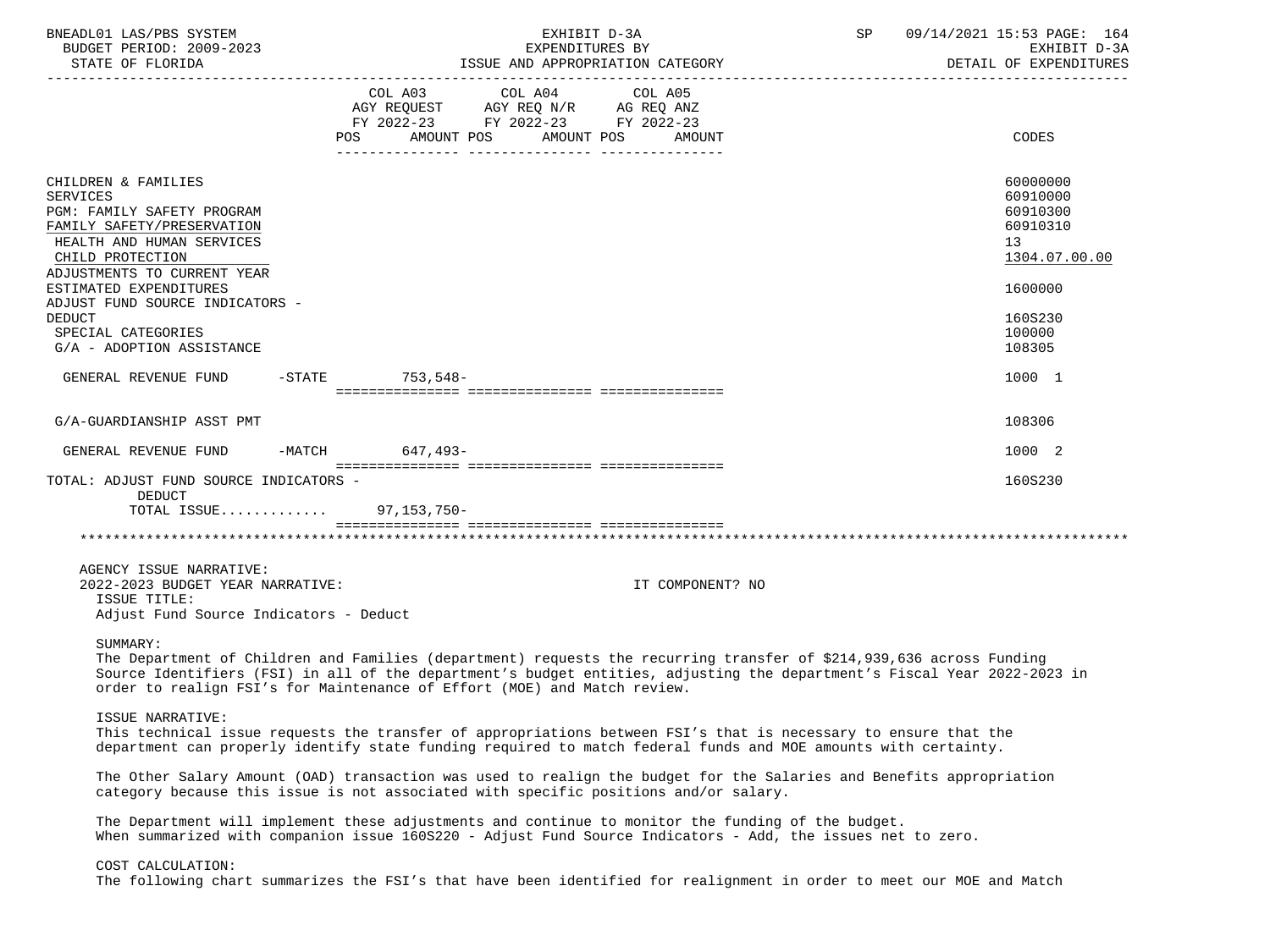| BNEADL01 LAS/PBS SYSTEM<br>BUDGET PERIOD: 2009-2023<br>STATE OF FLORIDA                                                                                                                                                                                                                                             |                                                                                                                                                                                                                                                                                                                              | EXHIBIT D-3A<br>EXPENDITURES BY<br>ISSUE AND APPROPRIATION CATEGORY | SP. | 09/14/2021 15:53 PAGE: 164<br>EXHIBIT D-3A<br>DETAIL OF EXPENDITURES                                          |
|---------------------------------------------------------------------------------------------------------------------------------------------------------------------------------------------------------------------------------------------------------------------------------------------------------------------|------------------------------------------------------------------------------------------------------------------------------------------------------------------------------------------------------------------------------------------------------------------------------------------------------------------------------|---------------------------------------------------------------------|-----|---------------------------------------------------------------------------------------------------------------|
|                                                                                                                                                                                                                                                                                                                     | COL A03 COL A04<br>AGY REQUEST AGY REQ N/R AG REQ ANZ<br>FY 2022-23 FY 2022-23 FY 2022-23<br>AMOUNT POS<br>POS                                                                                                                                                                                                               | COL A05<br>AMOUNT POS<br>AMOUNT                                     |     | CODES                                                                                                         |
| CHILDREN & FAMILIES<br><b>SERVICES</b><br>PGM: FAMILY SAFETY PROGRAM<br>FAMILY SAFETY/PRESERVATION<br>HEALTH AND HUMAN SERVICES<br>CHILD PROTECTION<br>ADJUSTMENTS TO CURRENT YEAR<br>ESTIMATED EXPENDITURES<br>ADJUST FUND SOURCE INDICATORS -<br><b>DEDUCT</b><br>SPECIAL CATEGORIES<br>G/A - ADOPTION ASSISTANCE |                                                                                                                                                                                                                                                                                                                              |                                                                     |     | 60000000<br>60910000<br>60910300<br>60910310<br>13<br>1304.07.00.00<br>1600000<br>160S230<br>100000<br>108305 |
| GENERAL REVENUE FUND                                                                                                                                                                                                                                                                                                | -STATE 753,548-                                                                                                                                                                                                                                                                                                              |                                                                     |     | 1000 1                                                                                                        |
| G/A-GUARDIANSHIP ASST PMT                                                                                                                                                                                                                                                                                           |                                                                                                                                                                                                                                                                                                                              |                                                                     |     | 108306                                                                                                        |
| GENERAL REVENUE FUND                                                                                                                                                                                                                                                                                                | -MATCH 647,493-                                                                                                                                                                                                                                                                                                              |                                                                     |     | 1000 2                                                                                                        |
| TOTAL: ADJUST FUND SOURCE INDICATORS -<br><b>DEDUCT</b><br>TOTAL ISSUE                                                                                                                                                                                                                                              | 97,153,750-                                                                                                                                                                                                                                                                                                                  |                                                                     |     | 160S230                                                                                                       |
| AGENCY ISSUE NARRATIVE:<br>2022-2023 BUDGET YEAR NARRATIVE:<br>ISSUE TITLE:<br>Adjust Fund Source Indicators - Deduct<br>SUMMARY:                                                                                                                                                                                   |                                                                                                                                                                                                                                                                                                                              | IT COMPONENT? NO                                                    |     |                                                                                                               |
|                                                                                                                                                                                                                                                                                                                     | The Department of Children and Families (department) requests the recurring transfer of \$214,939,636 across Funding<br>Source Identifiers (FSI) in all of the department's budget entities, adjusting the department's Fiscal Year 2022-2023 in<br>order to realign FSI's for Maintenance of Effort (MOE) and Match review. |                                                                     |     |                                                                                                               |
| ISSUE NARRATIVE:                                                                                                                                                                                                                                                                                                    | This technical issue requests the transfer of appropriations between FSI's that is necessary to ensure that the<br>department can properly identify state funding required to match federal funds and MOE amounts with certainty.                                                                                            |                                                                     |     |                                                                                                               |
|                                                                                                                                                                                                                                                                                                                     | The Other Salary Amount (OAD) transaction was used to realign the budget for the Salaries and Benefits appropriation<br>category because this issue is not associated with specific positions and/or salary.                                                                                                                 |                                                                     |     |                                                                                                               |
|                                                                                                                                                                                                                                                                                                                     | The Department will implement these adjustments and continue to monitor the funding of the budget.<br>When summarized with companion issue 160S220 - Adjust Fund Source Indicators - Add, the issues net to zero.                                                                                                            |                                                                     |     |                                                                                                               |
| COST CALCULATION:                                                                                                                                                                                                                                                                                                   | The following chart summarizes the FSI's that have been identified for realignment in order to meet our MOE and Match                                                                                                                                                                                                        |                                                                     |     |                                                                                                               |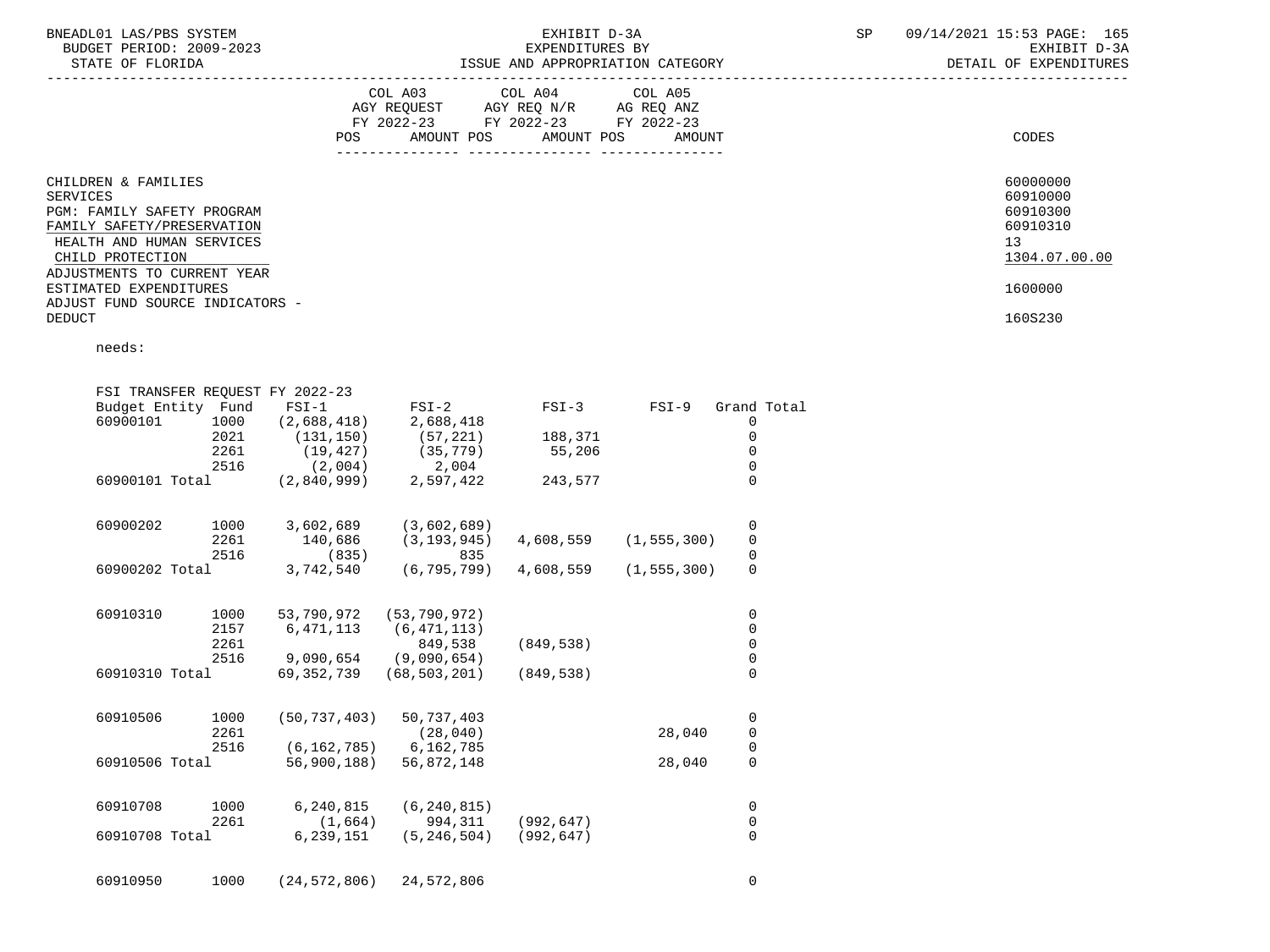|                                                                                                                                              | COL A03<br>AGY REQUEST<br>FY 2022-23<br>POS. | COL A04<br>AGY REQ N/R<br>FY 2022-23<br>AMOUNT POS<br>AMOUNT POS<br>------------- | COL A05<br>AG REQ ANZ<br>FY 2022-23<br>AMOUNT<br>--------------- | CODES                                                               |
|----------------------------------------------------------------------------------------------------------------------------------------------|----------------------------------------------|-----------------------------------------------------------------------------------|------------------------------------------------------------------|---------------------------------------------------------------------|
| CHILDREN & FAMILIES<br>SERVICES<br>PGM: FAMILY SAFETY PROGRAM<br>FAMILY SAFETY/PRESERVATION<br>HEALTH AND HUMAN SERVICES<br>CHILD PROTECTION |                                              |                                                                                   |                                                                  | 60000000<br>60910000<br>60910300<br>60910310<br>13<br>1304.07.00.00 |
| ADJUSTMENTS TO CURRENT YEAR<br>ESTIMATED EXPENDITURES                                                                                        |                                              |                                                                                   |                                                                  | 1600000                                                             |
| ADJUST FUND SOURCE INDICATORS -<br>DEDUCT                                                                                                    |                                              |                                                                                   |                                                                  | 160S230                                                             |

needs:

|          |                                              | $FSI-1$                                                                                                                                                                                                      | $FSI-2$                                                                                                                                                                | $FSI-3$                                                                                                                                                                                             | $FSI-9$                               | Grand Total         |                                                                                                                                                                                                |
|----------|----------------------------------------------|--------------------------------------------------------------------------------------------------------------------------------------------------------------------------------------------------------------|------------------------------------------------------------------------------------------------------------------------------------------------------------------------|-----------------------------------------------------------------------------------------------------------------------------------------------------------------------------------------------------|---------------------------------------|---------------------|------------------------------------------------------------------------------------------------------------------------------------------------------------------------------------------------|
| 60900101 | 1000                                         | (2,688,418)                                                                                                                                                                                                  | 2,688,418                                                                                                                                                              |                                                                                                                                                                                                     |                                       | 0                   |                                                                                                                                                                                                |
|          | 2021                                         | (131, 150)                                                                                                                                                                                                   | (57, 221)                                                                                                                                                              | 188,371                                                                                                                                                                                             |                                       | 0                   |                                                                                                                                                                                                |
|          | 2261                                         | (19, 427)                                                                                                                                                                                                    | (35, 779)                                                                                                                                                              | 55,206                                                                                                                                                                                              |                                       | 0                   |                                                                                                                                                                                                |
|          | 2516                                         | (2,004)                                                                                                                                                                                                      | 2,004                                                                                                                                                                  |                                                                                                                                                                                                     |                                       | 0                   |                                                                                                                                                                                                |
|          |                                              | (2,840,999)                                                                                                                                                                                                  | 2,597,422                                                                                                                                                              | 243,577                                                                                                                                                                                             |                                       | $\Omega$            |                                                                                                                                                                                                |
|          |                                              |                                                                                                                                                                                                              |                                                                                                                                                                        |                                                                                                                                                                                                     |                                       |                     |                                                                                                                                                                                                |
|          |                                              |                                                                                                                                                                                                              |                                                                                                                                                                        |                                                                                                                                                                                                     |                                       |                     |                                                                                                                                                                                                |
|          |                                              |                                                                                                                                                                                                              |                                                                                                                                                                        |                                                                                                                                                                                                     |                                       |                     |                                                                                                                                                                                                |
|          |                                              | 3,742,540                                                                                                                                                                                                    | (6, 795, 799)                                                                                                                                                          | 4,608,559                                                                                                                                                                                           |                                       | $\mathsf{O}\xspace$ |                                                                                                                                                                                                |
|          |                                              |                                                                                                                                                                                                              |                                                                                                                                                                        |                                                                                                                                                                                                     |                                       |                     |                                                                                                                                                                                                |
|          |                                              |                                                                                                                                                                                                              |                                                                                                                                                                        |                                                                                                                                                                                                     |                                       |                     |                                                                                                                                                                                                |
|          |                                              |                                                                                                                                                                                                              |                                                                                                                                                                        |                                                                                                                                                                                                     |                                       |                     |                                                                                                                                                                                                |
|          |                                              |                                                                                                                                                                                                              |                                                                                                                                                                        |                                                                                                                                                                                                     |                                       |                     |                                                                                                                                                                                                |
|          |                                              | 69, 352, 739                                                                                                                                                                                                 | (68, 503, 201)                                                                                                                                                         | (849, 538)                                                                                                                                                                                          |                                       | $\mathsf{O}\xspace$ |                                                                                                                                                                                                |
|          |                                              |                                                                                                                                                                                                              |                                                                                                                                                                        |                                                                                                                                                                                                     |                                       |                     |                                                                                                                                                                                                |
|          |                                              |                                                                                                                                                                                                              |                                                                                                                                                                        |                                                                                                                                                                                                     |                                       |                     |                                                                                                                                                                                                |
|          |                                              |                                                                                                                                                                                                              |                                                                                                                                                                        |                                                                                                                                                                                                     |                                       |                     |                                                                                                                                                                                                |
|          |                                              | 56,900,188)                                                                                                                                                                                                  | 56,872,148                                                                                                                                                             |                                                                                                                                                                                                     | 28,040                                | 0                   |                                                                                                                                                                                                |
|          |                                              |                                                                                                                                                                                                              |                                                                                                                                                                        |                                                                                                                                                                                                     |                                       |                     |                                                                                                                                                                                                |
|          |                                              |                                                                                                                                                                                                              |                                                                                                                                                                        |                                                                                                                                                                                                     |                                       |                     |                                                                                                                                                                                                |
|          |                                              | 6,239,151                                                                                                                                                                                                    | (5, 246, 504)                                                                                                                                                          | (992, 647)                                                                                                                                                                                          |                                       | $\overline{0}$      |                                                                                                                                                                                                |
| 60910950 | 1000                                         |                                                                                                                                                                                                              |                                                                                                                                                                        |                                                                                                                                                                                                     |                                       | 0                   |                                                                                                                                                                                                |
|          | 60900202<br>60910310<br>60910506<br>60910708 | Budget Entity Fund<br>60900101 Total<br>1000<br>2261<br>2516<br>60900202 Total<br>1000<br>2157<br>2261<br>2516<br>60910310 Total<br>1000<br>2261<br>2516<br>60910506 Total<br>1000<br>2261<br>60910708 Total | FSI TRANSFER REOUEST FY 2022-23<br>3,602,689<br>140,686<br>(835)<br>53,790,972<br>6, 471, 113<br>9,090,654<br>(50, 737, 403)<br>6,240,815<br>(1,664)<br>(24, 572, 806) | (3,602,689)<br>(3, 193, 945)<br>835<br>(53, 790, 972)<br>(6, 471, 113)<br>849,538<br>(9,090,654)<br>50,737,403<br>(28, 040)<br>6,162,785<br>(6, 162, 785)<br>(6, 240, 815)<br>994,311<br>24,572,806 | 4,608,559<br>(849, 538)<br>(992, 647) | 28,040              | 0<br>$\pmb{0}$<br>(1, 555, 300)<br>$\mathsf{O}\xspace$<br>(1, 555, 300)<br>0<br>$\mathsf 0$<br>$\mathsf{O}\xspace$<br>$\pmb{0}$<br>0<br>$\mathsf{O}\xspace$<br>$\mathsf 0$<br>0<br>$\mathsf 0$ |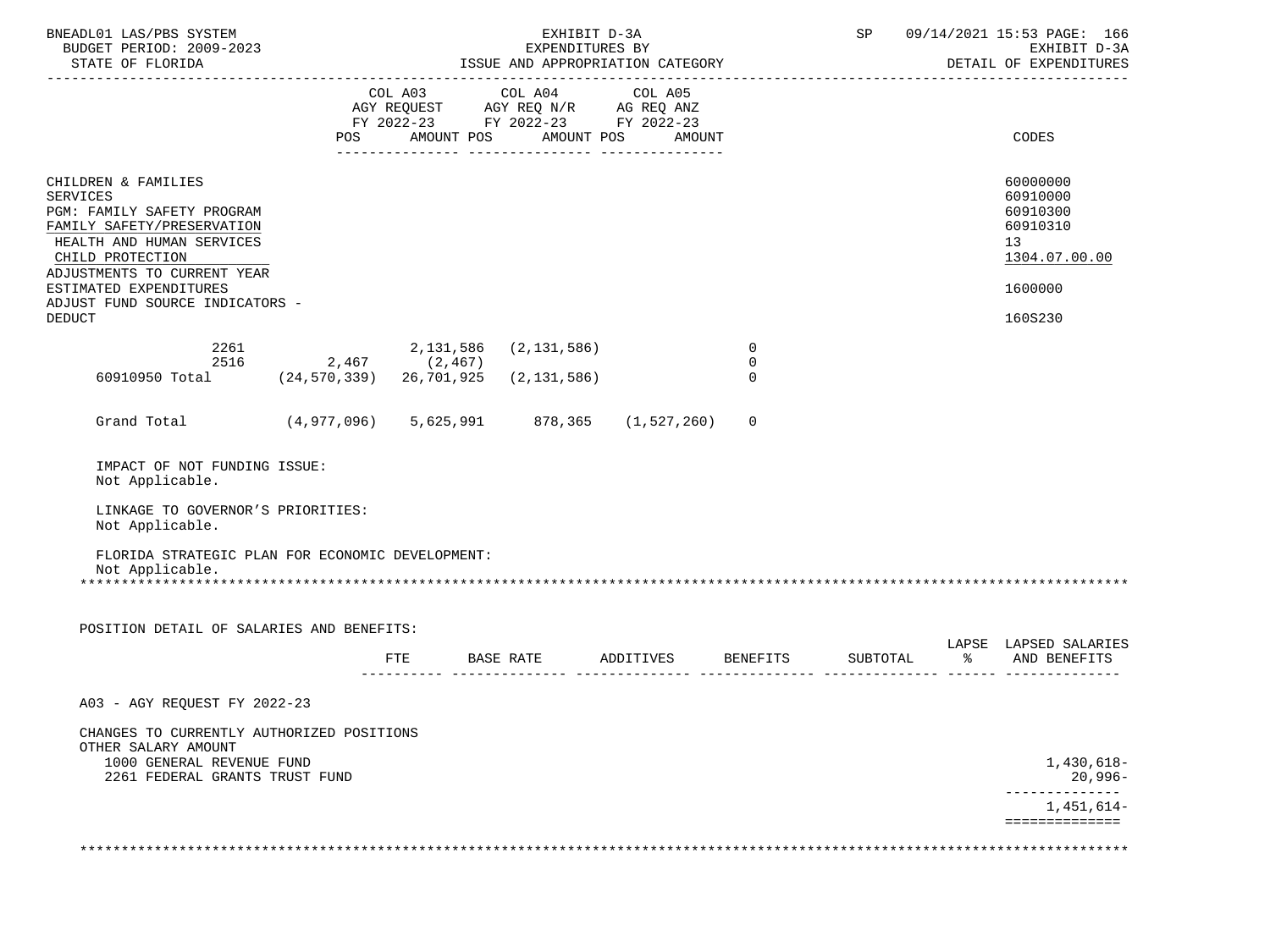| BNEADL01 LAS/PBS SYSTEM<br>BUDGET PERIOD: 2009-2023<br>STATE OF FLORIDA                                                                                                                                                                         |                    |     |                                            | EXHIBIT D-3A<br>EXPENDITURES BY<br>ISSUE AND APPROPRIATION CATEGORY |                                 |          |                            | SP 09/14/2021 15:53 PAGE: 166<br>EXHIBIT D-3A<br>DETAIL OF EXPENDITURES        |
|-------------------------------------------------------------------------------------------------------------------------------------------------------------------------------------------------------------------------------------------------|--------------------|-----|--------------------------------------------|---------------------------------------------------------------------|---------------------------------|----------|----------------------------|--------------------------------------------------------------------------------|
|                                                                                                                                                                                                                                                 | POS                |     |                                            | FY 2022-23 FY 2022-23 FY 2022-23<br>AMOUNT POS AMOUNT POS AMOUNT    |                                 |          |                            | CODES                                                                          |
| CHILDREN & FAMILIES<br><b>SERVICES</b><br>PGM: FAMILY SAFETY PROGRAM<br>FAMILY SAFETY/PRESERVATION<br>HEALTH AND HUMAN SERVICES<br>CHILD PROTECTION<br>ADJUSTMENTS TO CURRENT YEAR<br>ESTIMATED EXPENDITURES<br>ADJUST FUND SOURCE INDICATORS - |                    |     |                                            |                                                                     |                                 |          |                            | 60000000<br>60910000<br>60910300<br>60910310<br>13<br>1304.07.00.00<br>1600000 |
| <b>DEDUCT</b>                                                                                                                                                                                                                                   |                    |     |                                            |                                                                     |                                 |          |                            | 160S230                                                                        |
| 2261<br>60910950 Total (24,570,339) 26,701,925                                                                                                                                                                                                  | 2516 2,467 (2,467) |     | 2, 131, 586 (2, 131, 586)<br>(2, 131, 586) |                                                                     | 0<br>$\overline{0}$<br>$\Omega$ |          |                            |                                                                                |
|                                                                                                                                                                                                                                                 |                    |     |                                            |                                                                     |                                 |          |                            |                                                                                |
| Grand Total (4,977,096) 5,625,991 878,365 (1,527,260)                                                                                                                                                                                           |                    |     |                                            |                                                                     | 0                               |          |                            |                                                                                |
| IMPACT OF NOT FUNDING ISSUE:<br>Not Applicable.                                                                                                                                                                                                 |                    |     |                                            |                                                                     |                                 |          |                            |                                                                                |
| LINKAGE TO GOVERNOR'S PRIORITIES:<br>Not Applicable.                                                                                                                                                                                            |                    |     |                                            |                                                                     |                                 |          |                            |                                                                                |
| FLORIDA STRATEGIC PLAN FOR ECONOMIC DEVELOPMENT:<br>Not Applicable.                                                                                                                                                                             |                    |     |                                            |                                                                     |                                 |          |                            |                                                                                |
| POSITION DETAIL OF SALARIES AND BENEFITS:                                                                                                                                                                                                       |                    |     |                                            |                                                                     |                                 |          |                            |                                                                                |
|                                                                                                                                                                                                                                                 |                    | FTE |                                            |                                                                     | BASE RATE ADDITIVES BENEFITS    | SUBTOTAL | နွေ တ<br>---------- ------ | LAPSE LAPSED SALARIES<br>AND BENEFITS                                          |
| A03 - AGY REOUEST FY 2022-23                                                                                                                                                                                                                    |                    |     |                                            |                                                                     |                                 |          |                            |                                                                                |
| CHANGES TO CURRENTLY AUTHORIZED POSITIONS<br>OTHER SALARY AMOUNT<br>1000 GENERAL REVENUE FUND<br>2261 FEDERAL GRANTS TRUST FUND                                                                                                                 |                    |     |                                            |                                                                     |                                 |          |                            | 1,430,618-<br>$20,996-$                                                        |
|                                                                                                                                                                                                                                                 |                    |     |                                            |                                                                     |                                 |          |                            | --------------<br>1,451,614-<br>==============                                 |
|                                                                                                                                                                                                                                                 |                    |     |                                            |                                                                     |                                 |          |                            |                                                                                |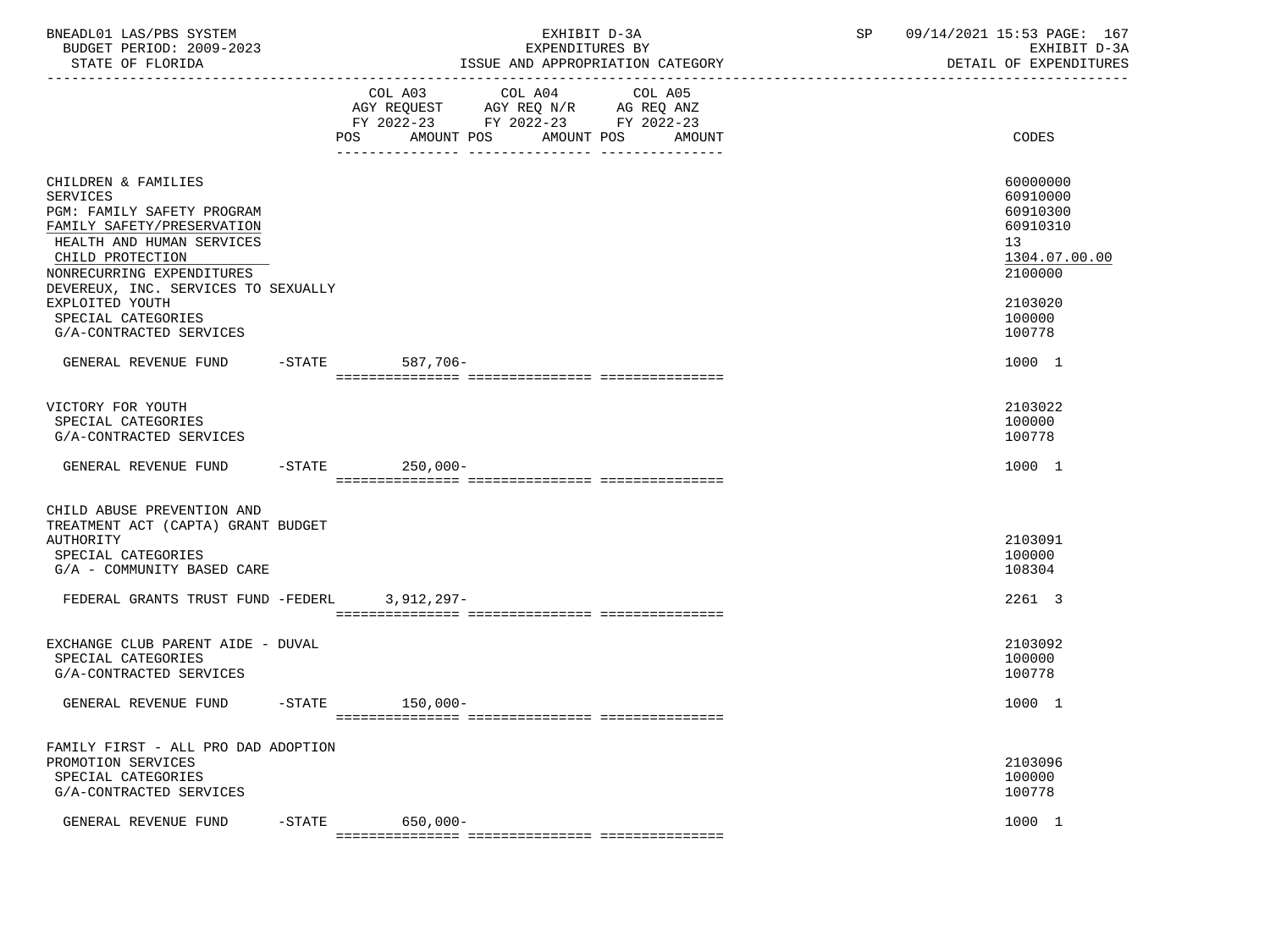| BNEADL01 LAS/PBS SYSTEM<br>BUDGET PERIOD: 2009-2023<br>STATE OF FLORIDA                                                                                                                                                 |                         |                                                                                                            | EXHIBIT D-3A<br>EXPENDITURES BY<br>ISSUE AND APPROPRIATION CATEGORY | SP | 09/14/2021 15:53 PAGE: 167<br>EXHIBIT D-3A<br>DETAIL OF EXPENDITURES           |
|-------------------------------------------------------------------------------------------------------------------------------------------------------------------------------------------------------------------------|-------------------------|------------------------------------------------------------------------------------------------------------|---------------------------------------------------------------------|----|--------------------------------------------------------------------------------|
|                                                                                                                                                                                                                         | POS                     | COL A04<br>COL A03<br>AGY REQUEST AGY REQ N/R AG REQ ANZ<br>FY 2022-23 FY 2022-23 FY 2022-23<br>AMOUNT POS | COL A05<br>AMOUNT POS<br>AMOUNT                                     |    | CODES                                                                          |
| CHILDREN & FAMILIES<br><b>SERVICES</b><br>PGM: FAMILY SAFETY PROGRAM<br>FAMILY SAFETY/PRESERVATION<br>HEALTH AND HUMAN SERVICES<br>CHILD PROTECTION<br>NONRECURRING EXPENDITURES<br>DEVEREUX, INC. SERVICES TO SEXUALLY |                         |                                                                                                            |                                                                     |    | 60000000<br>60910000<br>60910300<br>60910310<br>13<br>1304.07.00.00<br>2100000 |
| EXPLOITED YOUTH<br>SPECIAL CATEGORIES<br>G/A-CONTRACTED SERVICES                                                                                                                                                        |                         |                                                                                                            |                                                                     |    | 2103020<br>100000<br>100778                                                    |
| GENERAL REVENUE FUND                                                                                                                                                                                                    | $-$ STATE               | 587,706-                                                                                                   |                                                                     |    | 1000 1                                                                         |
| VICTORY FOR YOUTH<br>SPECIAL CATEGORIES<br>G/A-CONTRACTED SERVICES                                                                                                                                                      |                         |                                                                                                            |                                                                     |    | 2103022<br>100000<br>100778                                                    |
| GENERAL REVENUE FUND -STATE                                                                                                                                                                                             |                         | $250,000-$                                                                                                 |                                                                     |    | 1000 1                                                                         |
| CHILD ABUSE PREVENTION AND<br>TREATMENT ACT (CAPTA) GRANT BUDGET<br>AUTHORITY<br>SPECIAL CATEGORIES<br>G/A - COMMUNITY BASED CARE                                                                                       |                         |                                                                                                            |                                                                     |    | 2103091<br>100000<br>108304                                                    |
| FEDERAL GRANTS TRUST FUND -FEDERL                                                                                                                                                                                       |                         | $3,912,297-$                                                                                               |                                                                     |    | 2261 3                                                                         |
| EXCHANGE CLUB PARENT AIDE - DUVAL<br>SPECIAL CATEGORIES<br>G/A-CONTRACTED SERVICES                                                                                                                                      |                         |                                                                                                            |                                                                     |    | 2103092<br>100000<br>100778                                                    |
| GENERAL REVENUE FUND                                                                                                                                                                                                    | $-$ STATE<br>$150,000-$ |                                                                                                            |                                                                     |    | 1000 1                                                                         |
| FAMILY FIRST - ALL PRO DAD ADOPTION<br>PROMOTION SERVICES<br>SPECIAL CATEGORIES<br>G/A-CONTRACTED SERVICES                                                                                                              |                         |                                                                                                            |                                                                     |    | 2103096<br>100000<br>100778                                                    |
| GENERAL REVENUE FUND                                                                                                                                                                                                    | $-$ STATE               | $650,000 -$                                                                                                |                                                                     |    | 1000 1                                                                         |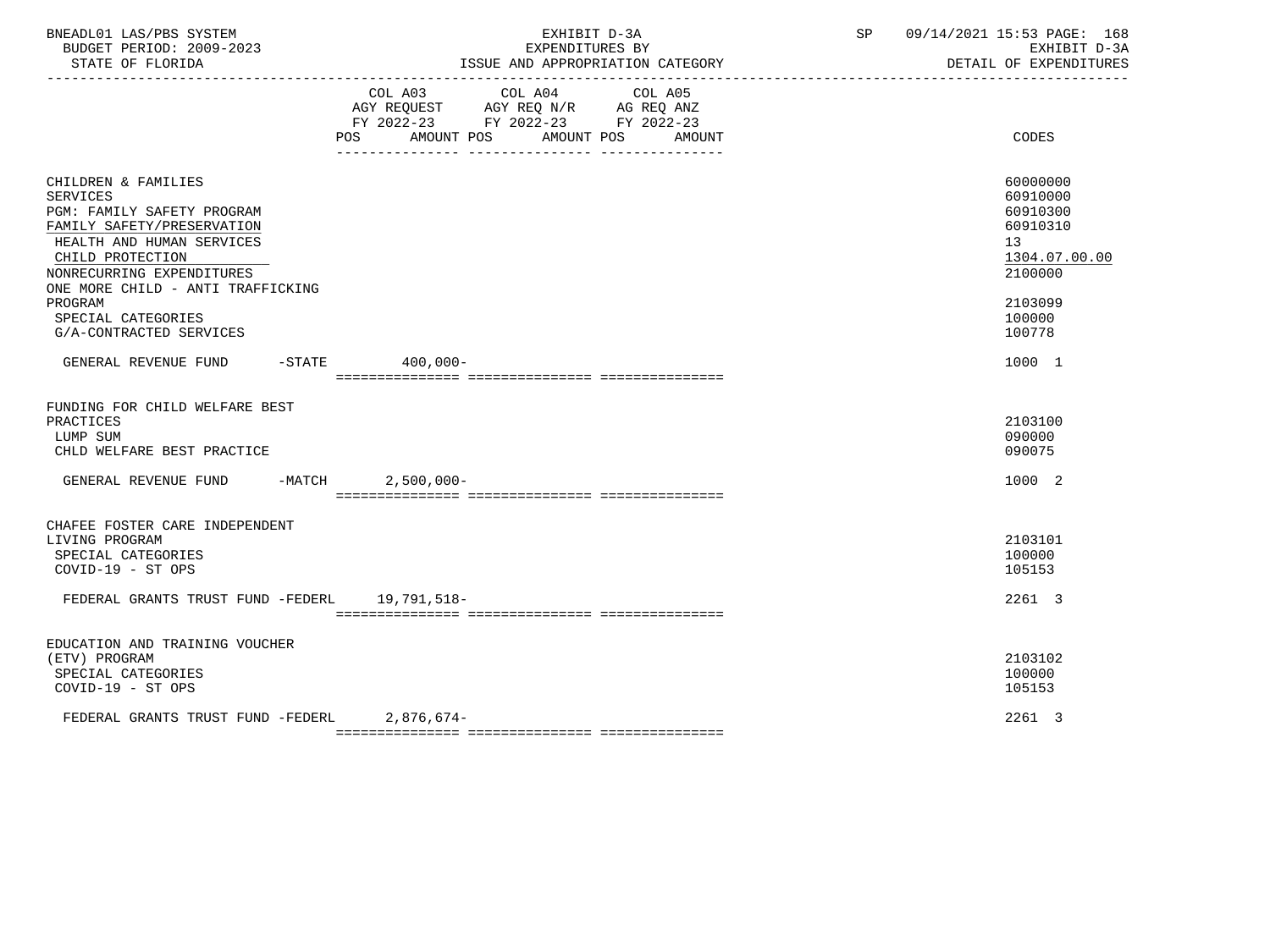| BNEADL01 LAS/PBS SYSTEM<br>BUDGET PERIOD: 2009-2023<br>STATE OF FLORIDA                                                                                                                                                                                                           | EXHIBIT D-3A<br>EXPENDITURES BY<br>ISSUE AND APPROPRIATION CATEGORY<br>----------------------------------                                   | 09/14/2021 15:53 PAGE: 168<br>SP<br>EXHIBIT D-3A<br>DETAIL OF EXPENDITURES                                    |
|-----------------------------------------------------------------------------------------------------------------------------------------------------------------------------------------------------------------------------------------------------------------------------------|---------------------------------------------------------------------------------------------------------------------------------------------|---------------------------------------------------------------------------------------------------------------|
|                                                                                                                                                                                                                                                                                   | COL A03 COL A04<br>COL A05<br>AGY REQUEST AGY REQ N/R AG REQ ANZ<br>FY 2022-23 FY 2022-23 FY 2022-23<br>POS AMOUNT POS AMOUNT POS<br>AMOUNT | CODES                                                                                                         |
| CHILDREN & FAMILIES<br><b>SERVICES</b><br>PGM: FAMILY SAFETY PROGRAM<br>FAMILY SAFETY/PRESERVATION<br>HEALTH AND HUMAN SERVICES<br>CHILD PROTECTION<br>NONRECURRING EXPENDITURES<br>ONE MORE CHILD - ANTI TRAFFICKING<br>PROGRAM<br>SPECIAL CATEGORIES<br>G/A-CONTRACTED SERVICES |                                                                                                                                             | 60000000<br>60910000<br>60910300<br>60910310<br>13<br>1304.07.00.00<br>2100000<br>2103099<br>100000<br>100778 |
| GENERAL REVENUE FUND                                                                                                                                                                                                                                                              | $-STATE$ 400,000-                                                                                                                           | 1000 1                                                                                                        |
| FUNDING FOR CHILD WELFARE BEST<br>PRACTICES<br>LUMP SUM<br>CHLD WELFARE BEST PRACTICE<br>GENERAL REVENUE FUND -MATCH                                                                                                                                                              | $2,500,000 -$                                                                                                                               | 2103100<br>090000<br>090075<br>1000 2                                                                         |
| CHAFEE FOSTER CARE INDEPENDENT<br>LIVING PROGRAM<br>SPECIAL CATEGORIES<br>COVID-19 - ST OPS<br>FEDERAL GRANTS TRUST FUND -FEDERL 19,791,518-                                                                                                                                      |                                                                                                                                             | 2103101<br>100000<br>105153<br>2261 3                                                                         |
| EDUCATION AND TRAINING VOUCHER<br>(ETV) PROGRAM<br>SPECIAL CATEGORIES<br>COVID-19 - ST OPS                                                                                                                                                                                        |                                                                                                                                             | 2103102<br>100000<br>105153                                                                                   |
| FEDERAL GRANTS TRUST FUND -FEDERL 2,876,674-                                                                                                                                                                                                                                      |                                                                                                                                             | 2261 3                                                                                                        |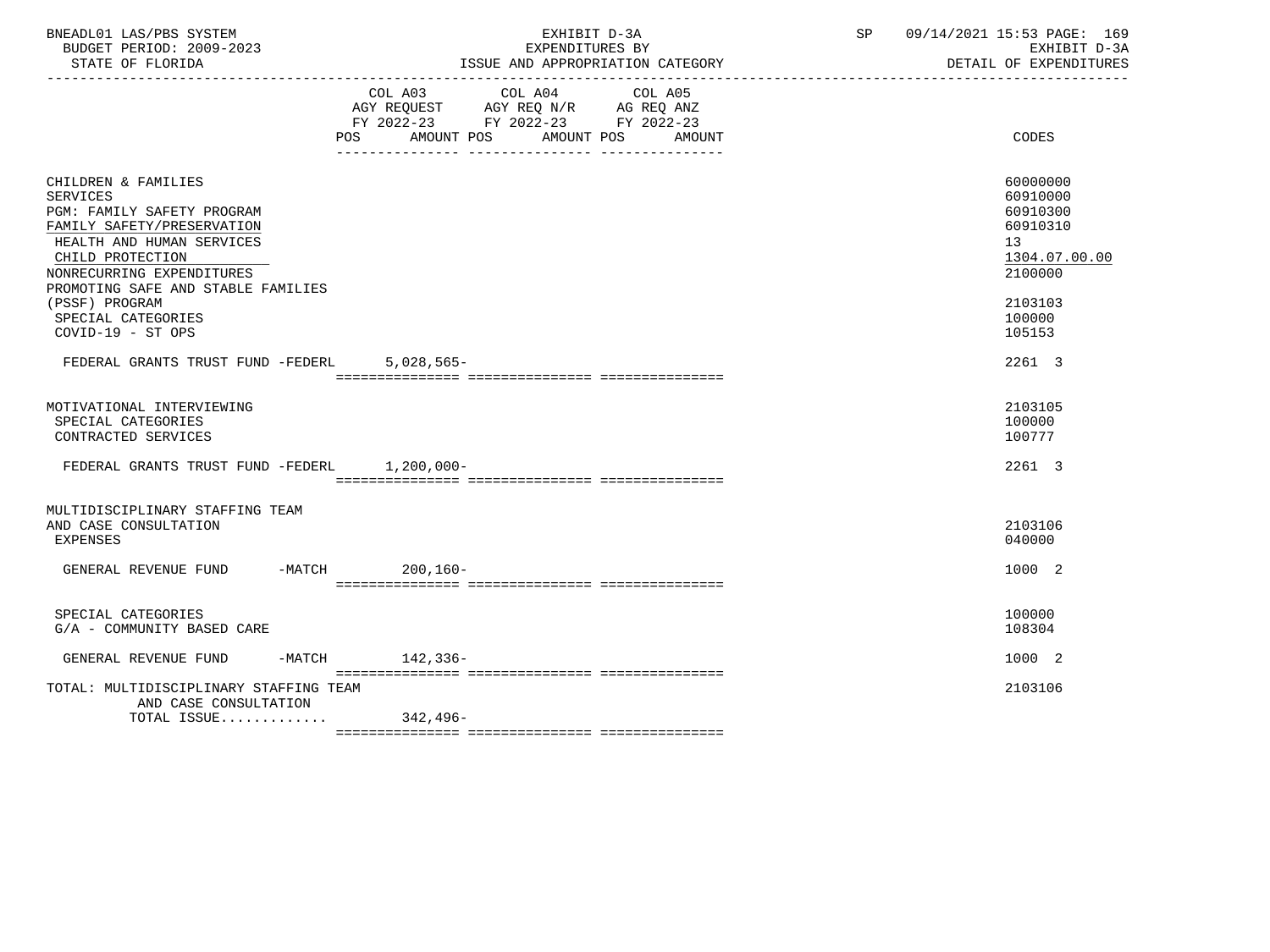| BNEADL01 LAS/PBS SYSTEM<br>BUDGET PERIOD: 2009-2023<br>STATE OF FLORIDA                                                                                                                                                                                                      | EXHIBIT D-3A<br>EXPENDITURES BY<br>ISSUE AND APPROPRIATION CATEGORY                                                                                                                                                                                                    | SP | 09/14/2021 15:53 PAGE: 169<br>EXHIBIT D-3A<br>DETAIL OF EXPENDITURES                                          |
|------------------------------------------------------------------------------------------------------------------------------------------------------------------------------------------------------------------------------------------------------------------------------|------------------------------------------------------------------------------------------------------------------------------------------------------------------------------------------------------------------------------------------------------------------------|----|---------------------------------------------------------------------------------------------------------------|
| POS                                                                                                                                                                                                                                                                          | COL A03<br>COL A04<br>COL A05<br>$\begin{tabular}{lllllll} \bf AGY \,\, REQUEST \,\, & \bf AGY \,\, REQ \,\, N/R & \bf AG \,\, REQ \,\, ANZ \\ \bf FY \,\, 2022-23 & \bf FY \,\, 2022-23 & \bf FY \,\, 2022-23 \\ \end{tabular}$<br>AMOUNT POS<br>AMOUNT POS<br>AMOUNT |    | CODES                                                                                                         |
| CHILDREN & FAMILIES<br>SERVICES<br>PGM: FAMILY SAFETY PROGRAM<br>FAMILY SAFETY/PRESERVATION<br>HEALTH AND HUMAN SERVICES<br>CHILD PROTECTION<br>NONRECURRING EXPENDITURES<br>PROMOTING SAFE AND STABLE FAMILIES<br>(PSSF) PROGRAM<br>SPECIAL CATEGORIES<br>COVID-19 - ST OPS |                                                                                                                                                                                                                                                                        |    | 60000000<br>60910000<br>60910300<br>60910310<br>13<br>1304.07.00.00<br>2100000<br>2103103<br>100000<br>105153 |
| FEDERAL GRANTS TRUST FUND -FEDERL                                                                                                                                                                                                                                            | $5,028,565-$                                                                                                                                                                                                                                                           |    | 2261 3                                                                                                        |
| MOTIVATIONAL INTERVIEWING<br>SPECIAL CATEGORIES<br>CONTRACTED SERVICES<br>FEDERAL GRANTS TRUST FUND -FEDERL 1,200,000-                                                                                                                                                       |                                                                                                                                                                                                                                                                        |    | 2103105<br>100000<br>100777<br>2261 3                                                                         |
| MULTIDISCIPLINARY STAFFING TEAM<br>AND CASE CONSULTATION<br><b>EXPENSES</b><br>-MATCH 200,160-<br>GENERAL REVENUE FUND                                                                                                                                                       |                                                                                                                                                                                                                                                                        |    | 2103106<br>040000<br>1000 2                                                                                   |
| SPECIAL CATEGORIES<br>G/A - COMMUNITY BASED CARE                                                                                                                                                                                                                             |                                                                                                                                                                                                                                                                        |    | 100000<br>108304                                                                                              |
| -MATCH 142,336-<br>GENERAL REVENUE FUND                                                                                                                                                                                                                                      |                                                                                                                                                                                                                                                                        |    | 1000 2                                                                                                        |
| TOTAL: MULTIDISCIPLINARY STAFFING TEAM<br>AND CASE CONSULTATION<br>TOTAL ISSUE 342,496-                                                                                                                                                                                      |                                                                                                                                                                                                                                                                        |    | 2103106                                                                                                       |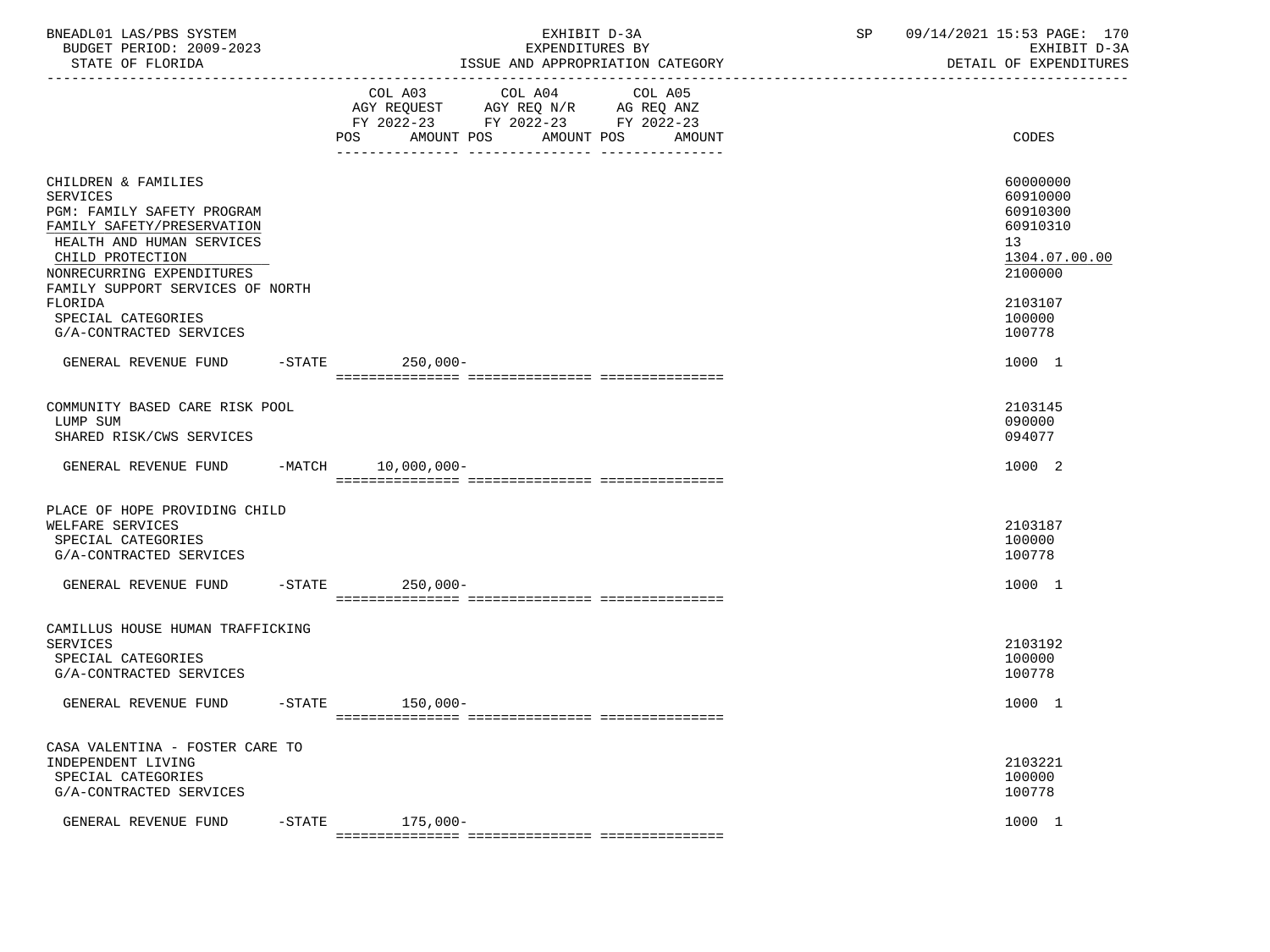| BNEADL01 LAS/PBS SYSTEM<br>BUDGET PERIOD: 2009-2023<br>STATE OF FLORIDA                                                                                                                                                                               | EXHIBIT D-3A<br>EXPENDITURES BY<br>ISSUE AND APPROPRIATION CATEGORY                                                                                  | SP<br>09/14/2021 15:53 PAGE: 170<br>EXHIBIT D-3A<br>DETAIL OF EXPENDITURES                          |
|-------------------------------------------------------------------------------------------------------------------------------------------------------------------------------------------------------------------------------------------------------|------------------------------------------------------------------------------------------------------------------------------------------------------|-----------------------------------------------------------------------------------------------------|
|                                                                                                                                                                                                                                                       | COL A03<br>COL A04<br>COL A05<br>AGY REQUEST AGY REQ N/R AG REQ ANZ<br>FY 2022-23 FY 2022-23 FY 2022-23<br>AMOUNT POS<br>AMOUNT POS<br>POS<br>AMOUNT | CODES                                                                                               |
| CHILDREN & FAMILIES<br><b>SERVICES</b><br>PGM: FAMILY SAFETY PROGRAM<br>FAMILY SAFETY/PRESERVATION<br>HEALTH AND HUMAN SERVICES<br>CHILD PROTECTION<br>NONRECURRING EXPENDITURES<br>FAMILY SUPPORT SERVICES OF NORTH<br>FLORIDA<br>SPECIAL CATEGORIES |                                                                                                                                                      | 60000000<br>60910000<br>60910300<br>60910310<br>13<br>1304.07.00.00<br>2100000<br>2103107<br>100000 |
| G/A-CONTRACTED SERVICES<br>GENERAL REVENUE FUND                                                                                                                                                                                                       | -STATE 250,000-                                                                                                                                      | 100778<br>1000 1                                                                                    |
| COMMUNITY BASED CARE RISK POOL<br>LUMP SUM<br>SHARED RISK/CWS SERVICES<br>GENERAL REVENUE FUND -MATCH 10,000,000-                                                                                                                                     |                                                                                                                                                      | 2103145<br>090000<br>094077<br>1000 2                                                               |
| PLACE OF HOPE PROVIDING CHILD<br>WELFARE SERVICES<br>SPECIAL CATEGORIES<br>G/A-CONTRACTED SERVICES                                                                                                                                                    |                                                                                                                                                      | 2103187<br>100000<br>100778                                                                         |
| GENERAL REVENUE FUND                                                                                                                                                                                                                                  | $-$ STATE<br>$250,000-$                                                                                                                              | 1000 1                                                                                              |
| CAMILLUS HOUSE HUMAN TRAFFICKING<br><b>SERVICES</b><br>SPECIAL CATEGORIES<br>G/A-CONTRACTED SERVICES                                                                                                                                                  |                                                                                                                                                      | 2103192<br>100000<br>100778                                                                         |
| GENERAL REVENUE FUND                                                                                                                                                                                                                                  | $-\mathtt{STATE}$<br>150,000-                                                                                                                        | 1000 1                                                                                              |
| CASA VALENTINA - FOSTER CARE TO<br>INDEPENDENT LIVING<br>SPECIAL CATEGORIES<br>G/A-CONTRACTED SERVICES                                                                                                                                                |                                                                                                                                                      | 2103221<br>100000<br>100778                                                                         |
| GENERAL REVENUE FUND                                                                                                                                                                                                                                  | $175,000-$<br>$-$ STATE                                                                                                                              | 1000 1                                                                                              |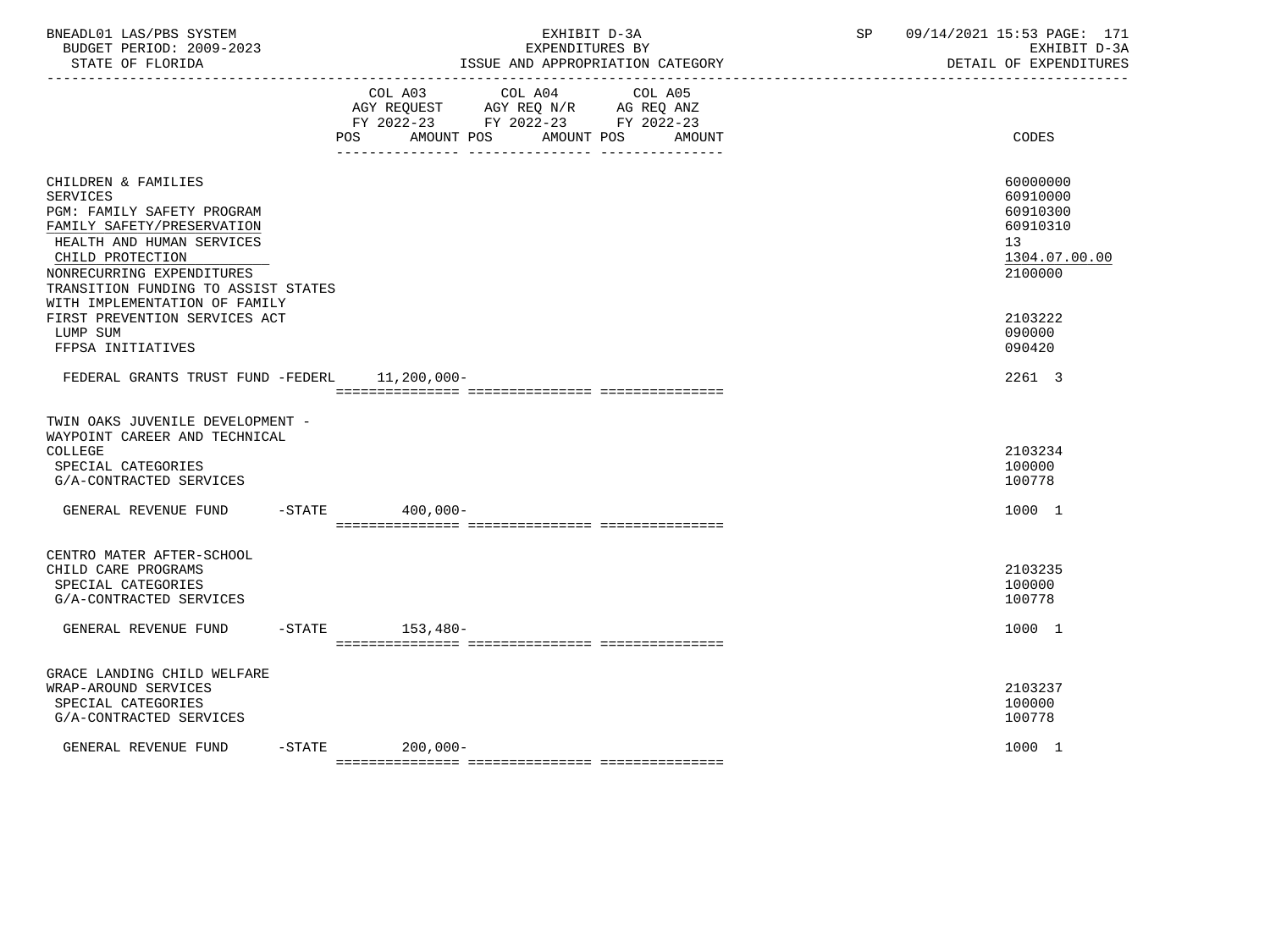| BNEADL01 LAS/PBS SYSTEM<br>BUDGET PERIOD: 2009-2023<br>STATE OF FLORIDA                                                                                                                                                                                                                   | EXHIBIT D-3A<br>EXPENDITURES BY<br>ISSUE AND APPROPRIATION CATEGORY                                                                         | SP | 09/14/2021 15:53 PAGE: 171<br>EXHIBIT D-3A<br>DETAIL OF EXPENDITURES                      |
|-------------------------------------------------------------------------------------------------------------------------------------------------------------------------------------------------------------------------------------------------------------------------------------------|---------------------------------------------------------------------------------------------------------------------------------------------|----|-------------------------------------------------------------------------------------------|
|                                                                                                                                                                                                                                                                                           | COL A03<br>COL A04<br>COL A05<br>AGY REQUEST AGY REQ N/R AG REQ ANZ<br>FY 2022-23 FY 2022-23 FY 2022-23<br>POS AMOUNT POS AMOUNT POS AMOUNT |    | CODES                                                                                     |
| CHILDREN & FAMILIES<br>SERVICES<br><b>PGM: FAMILY SAFETY PROGRAM</b><br>FAMILY SAFETY/PRESERVATION<br>HEALTH AND HUMAN SERVICES<br>CHILD PROTECTION<br>NONRECURRING EXPENDITURES<br>TRANSITION FUNDING TO ASSIST STATES<br>WITH IMPLEMENTATION OF FAMILY<br>FIRST PREVENTION SERVICES ACT |                                                                                                                                             |    | 60000000<br>60910000<br>60910300<br>60910310<br>13<br>1304.07.00.00<br>2100000<br>2103222 |
| LUMP SUM<br>FFPSA INITIATIVES<br>FEDERAL GRANTS TRUST FUND -FEDERL 11,200,000-                                                                                                                                                                                                            |                                                                                                                                             |    | 090000<br>090420<br>2261 3                                                                |
| TWIN OAKS JUVENILE DEVELOPMENT -<br>WAYPOINT CAREER AND TECHNICAL<br>COLLEGE<br>SPECIAL CATEGORIES<br>G/A-CONTRACTED SERVICES                                                                                                                                                             |                                                                                                                                             |    | 2103234<br>100000<br>100778                                                               |
| GENERAL REVENUE FUND                                                                                                                                                                                                                                                                      | $-STATE$ 400,000-                                                                                                                           |    | 1000 1                                                                                    |
| CENTRO MATER AFTER-SCHOOL<br>CHILD CARE PROGRAMS<br>SPECIAL CATEGORIES<br>G/A-CONTRACTED SERVICES                                                                                                                                                                                         |                                                                                                                                             |    | 2103235<br>100000<br>100778                                                               |
| GENERAL REVENUE FUND                                                                                                                                                                                                                                                                      | $-STATE$ 153,480-                                                                                                                           |    | 1000 1                                                                                    |
| GRACE LANDING CHILD WELFARE<br>WRAP-AROUND SERVICES<br>SPECIAL CATEGORIES<br>G/A-CONTRACTED SERVICES                                                                                                                                                                                      |                                                                                                                                             |    | 2103237<br>100000<br>100778                                                               |
| GENERAL REVENUE FUND                                                                                                                                                                                                                                                                      | $-STATE$<br>200,000-                                                                                                                        |    | 1000 1                                                                                    |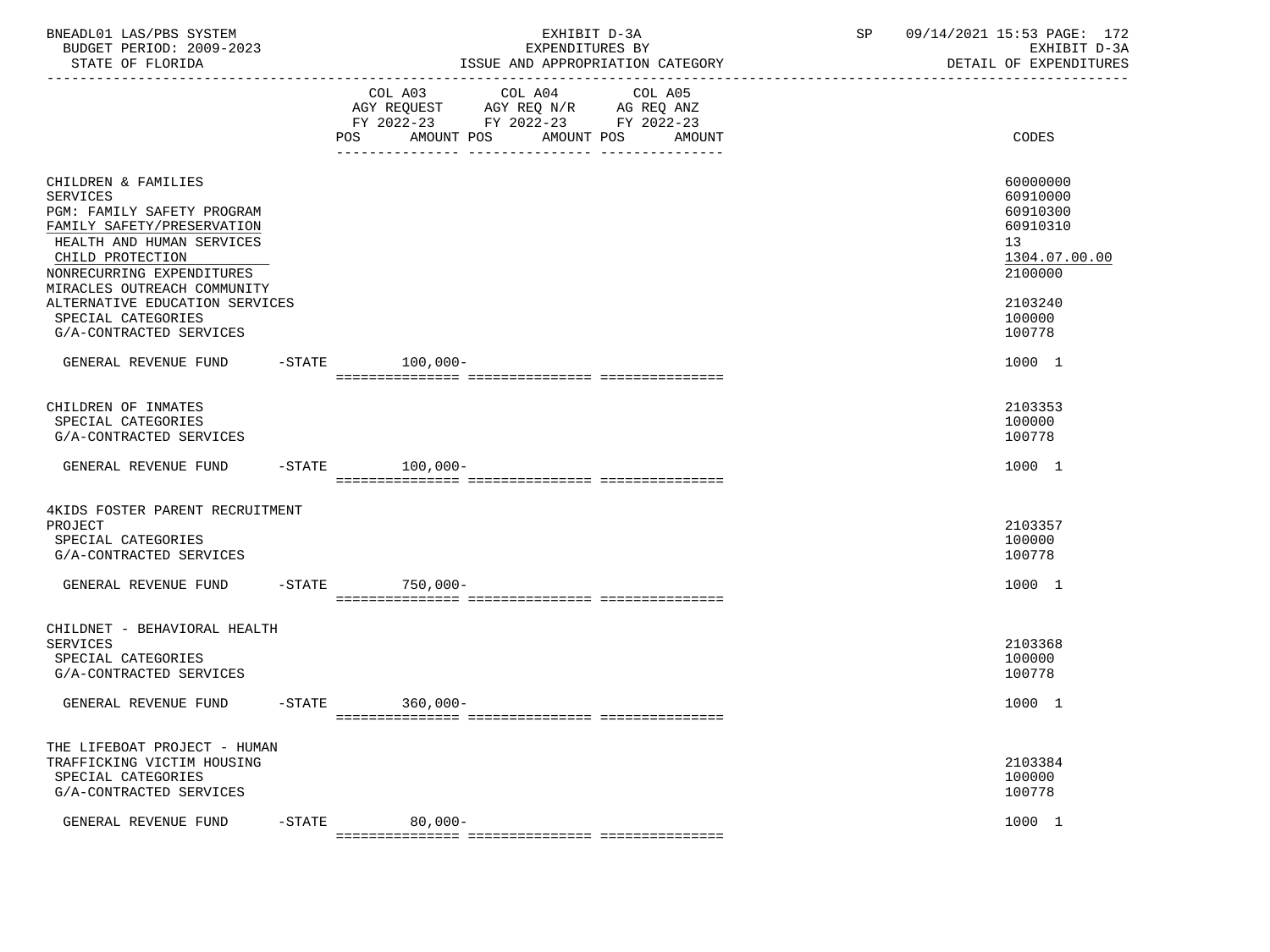| BNEADL01 LAS/PBS SYSTEM<br>BUDGET PERIOD: 2009-2023<br>STATE OF FLORIDA                                                                                                                                         | EXHIBIT D-3A<br>EXPENDITURES BY<br>ISSUE AND APPROPRIATION CATEGORY                                                                                  | SP<br>09/14/2021 15:53 PAGE: 172<br>EXHIBIT D-3A<br>DETAIL OF EXPENDITURES     |
|-----------------------------------------------------------------------------------------------------------------------------------------------------------------------------------------------------------------|------------------------------------------------------------------------------------------------------------------------------------------------------|--------------------------------------------------------------------------------|
|                                                                                                                                                                                                                 | COL A03<br>COL A04<br>COL A05<br>AGY REQUEST AGY REQ N/R AG REQ ANZ<br>FY 2022-23 FY 2022-23 FY 2022-23<br>AMOUNT POS<br>AMOUNT POS<br>POS<br>AMOUNT | CODES                                                                          |
| CHILDREN & FAMILIES<br><b>SERVICES</b><br>PGM: FAMILY SAFETY PROGRAM<br>FAMILY SAFETY/PRESERVATION<br>HEALTH AND HUMAN SERVICES<br>CHILD PROTECTION<br>NONRECURRING EXPENDITURES<br>MIRACLES OUTREACH COMMUNITY |                                                                                                                                                      | 60000000<br>60910000<br>60910300<br>60910310<br>13<br>1304.07.00.00<br>2100000 |
| ALTERNATIVE EDUCATION SERVICES<br>SPECIAL CATEGORIES<br>G/A-CONTRACTED SERVICES                                                                                                                                 |                                                                                                                                                      | 2103240<br>100000<br>100778                                                    |
| GENERAL REVENUE FUND                                                                                                                                                                                            | $-$ STATE 100,000 -                                                                                                                                  | 1000 1                                                                         |
| CHILDREN OF INMATES<br>SPECIAL CATEGORIES<br>G/A-CONTRACTED SERVICES                                                                                                                                            |                                                                                                                                                      | 2103353<br>100000<br>100778                                                    |
| GENERAL REVENUE FUND                                                                                                                                                                                            | $-STATE$ 100,000-                                                                                                                                    | 1000 1                                                                         |
| 4KIDS FOSTER PARENT RECRUITMENT<br>PROJECT<br>SPECIAL CATEGORIES<br>G/A-CONTRACTED SERVICES                                                                                                                     |                                                                                                                                                      | 2103357<br>100000<br>100778                                                    |
| GENERAL REVENUE FUND                                                                                                                                                                                            | $-$ STATE<br>750,000-                                                                                                                                | 1000 1                                                                         |
| CHILDNET - BEHAVIORAL HEALTH<br>SERVICES<br>SPECIAL CATEGORIES<br>G/A-CONTRACTED SERVICES                                                                                                                       |                                                                                                                                                      | 2103368<br>100000<br>100778                                                    |
| GENERAL REVENUE FUND                                                                                                                                                                                            | $-STATE$<br>$360,000 -$                                                                                                                              | 1000 1                                                                         |
| THE LIFEBOAT PROJECT - HUMAN<br>TRAFFICKING VICTIM HOUSING<br>SPECIAL CATEGORIES<br>G/A-CONTRACTED SERVICES                                                                                                     |                                                                                                                                                      | 2103384<br>100000<br>100778                                                    |
| GENERAL REVENUE FUND                                                                                                                                                                                            | $80,000-$<br>$-$ STATE                                                                                                                               | 1000 1                                                                         |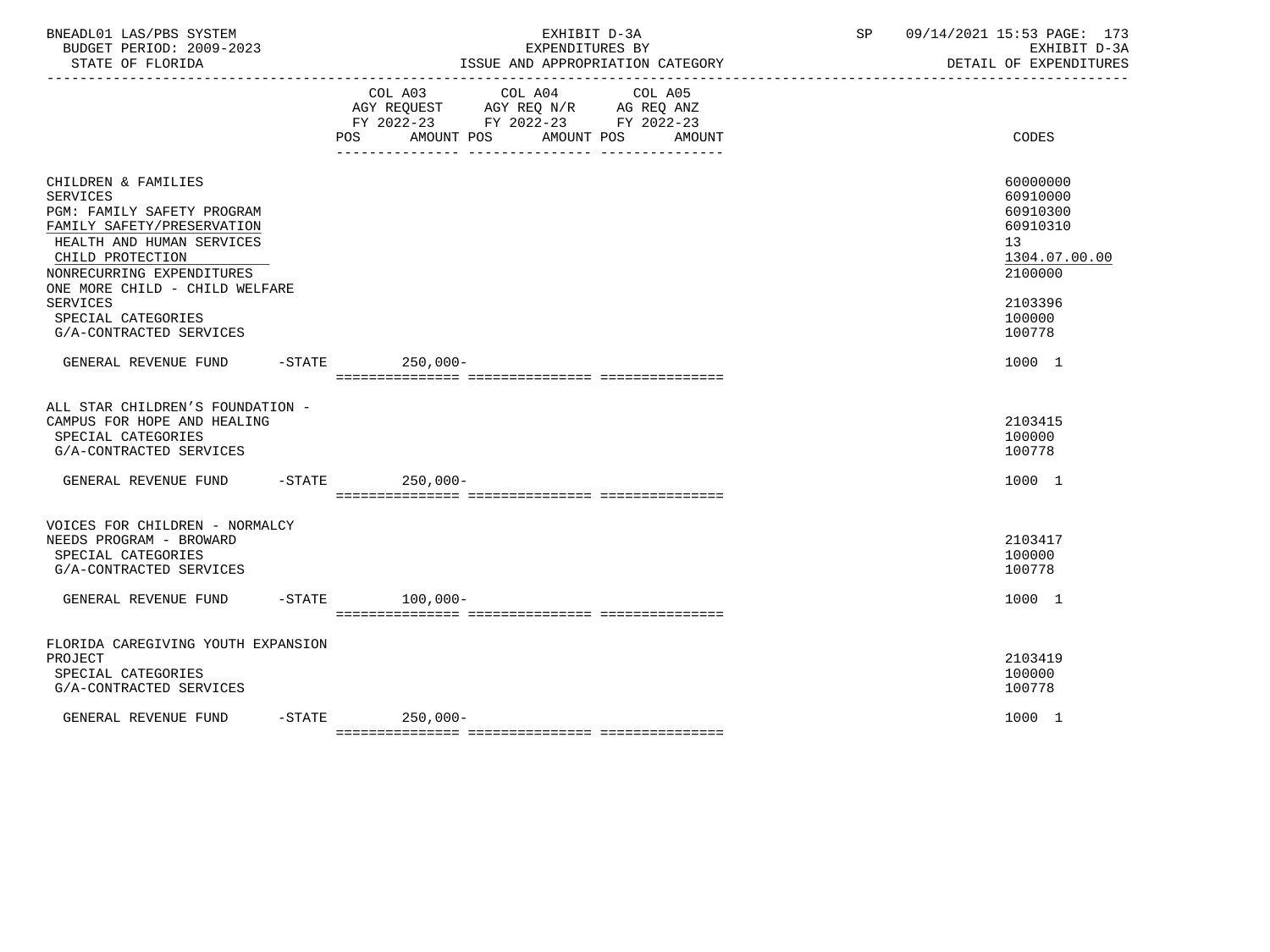| BNEADL01 LAS/PBS SYSTEM<br>BUDGET PERIOD: 2009-2023<br>STATE OF FLORIDA<br>-------------------                                                                                                                                                                                         |  | EXHIBIT D-3A<br>EXPENDITURES BY<br>ISSUE AND APPROPRIATION CATEGORY<br>---------------------------------                                                                                                                                                       | SP | 09/14/2021 15:53 PAGE: 173<br>EXHIBIT D-3A<br>DETAIL OF EXPENDITURES                                    |  |
|----------------------------------------------------------------------------------------------------------------------------------------------------------------------------------------------------------------------------------------------------------------------------------------|--|----------------------------------------------------------------------------------------------------------------------------------------------------------------------------------------------------------------------------------------------------------------|----|---------------------------------------------------------------------------------------------------------|--|
|                                                                                                                                                                                                                                                                                        |  | COL A03 COL A04 COL A05<br>$\begin{tabular}{lllllll} AGY & \texttt{REQUEST} & \texttt{AGY} & \texttt{REG} & \texttt{N/R} & \texttt{AG} & \texttt{REQ} & \texttt{ANZ} \end{tabular}$<br>FY 2022-23 FY 2022-23 FY 2022-23<br>POS AMOUNT POS AMOUNT POS<br>AMOUNT |    | CODES                                                                                                   |  |
| CHILDREN & FAMILIES<br><b>SERVICES</b><br>PGM: FAMILY SAFETY PROGRAM<br>FAMILY SAFETY/PRESERVATION<br>HEALTH AND HUMAN SERVICES<br>CHILD PROTECTION<br>NONRECURRING EXPENDITURES<br>ONE MORE CHILD - CHILD WELFARE<br><b>SERVICES</b><br>SPECIAL CATEGORIES<br>G/A-CONTRACTED SERVICES |  |                                                                                                                                                                                                                                                                | 13 | 60000000<br>60910000<br>60910300<br>60910310<br>1304.07.00.00<br>2100000<br>2103396<br>100000<br>100778 |  |
| GENERAL REVENUE FUND -STATE 250.000-                                                                                                                                                                                                                                                   |  |                                                                                                                                                                                                                                                                |    | 1000 1                                                                                                  |  |
| ALL STAR CHILDREN'S FOUNDATION -<br>CAMPUS FOR HOPE AND HEALING<br>SPECIAL CATEGORIES<br>G/A-CONTRACTED SERVICES                                                                                                                                                                       |  |                                                                                                                                                                                                                                                                |    | 2103415<br>100000<br>100778                                                                             |  |
| GENERAL REVENUE FUND -STATE 250.000-                                                                                                                                                                                                                                                   |  |                                                                                                                                                                                                                                                                |    | 1000 1                                                                                                  |  |
| VOICES FOR CHILDREN - NORMALCY<br>NEEDS PROGRAM - BROWARD<br>SPECIAL CATEGORIES<br>G/A-CONTRACTED SERVICES                                                                                                                                                                             |  |                                                                                                                                                                                                                                                                |    | 2103417<br>100000<br>100778                                                                             |  |
| GENERAL REVENUE FUND                                                                                                                                                                                                                                                                   |  | $-$ STATE $100.000 -$                                                                                                                                                                                                                                          |    | 1000 1                                                                                                  |  |
| FLORIDA CAREGIVING YOUTH EXPANSION<br>PROJECT<br>SPECIAL CATEGORIES<br>G/A-CONTRACTED SERVICES                                                                                                                                                                                         |  |                                                                                                                                                                                                                                                                |    | 2103419<br>100000<br>100778                                                                             |  |
| GENERAL REVENUE FUND                                                                                                                                                                                                                                                                   |  | $-STATE$ 250.000-                                                                                                                                                                                                                                              |    | 1000 1                                                                                                  |  |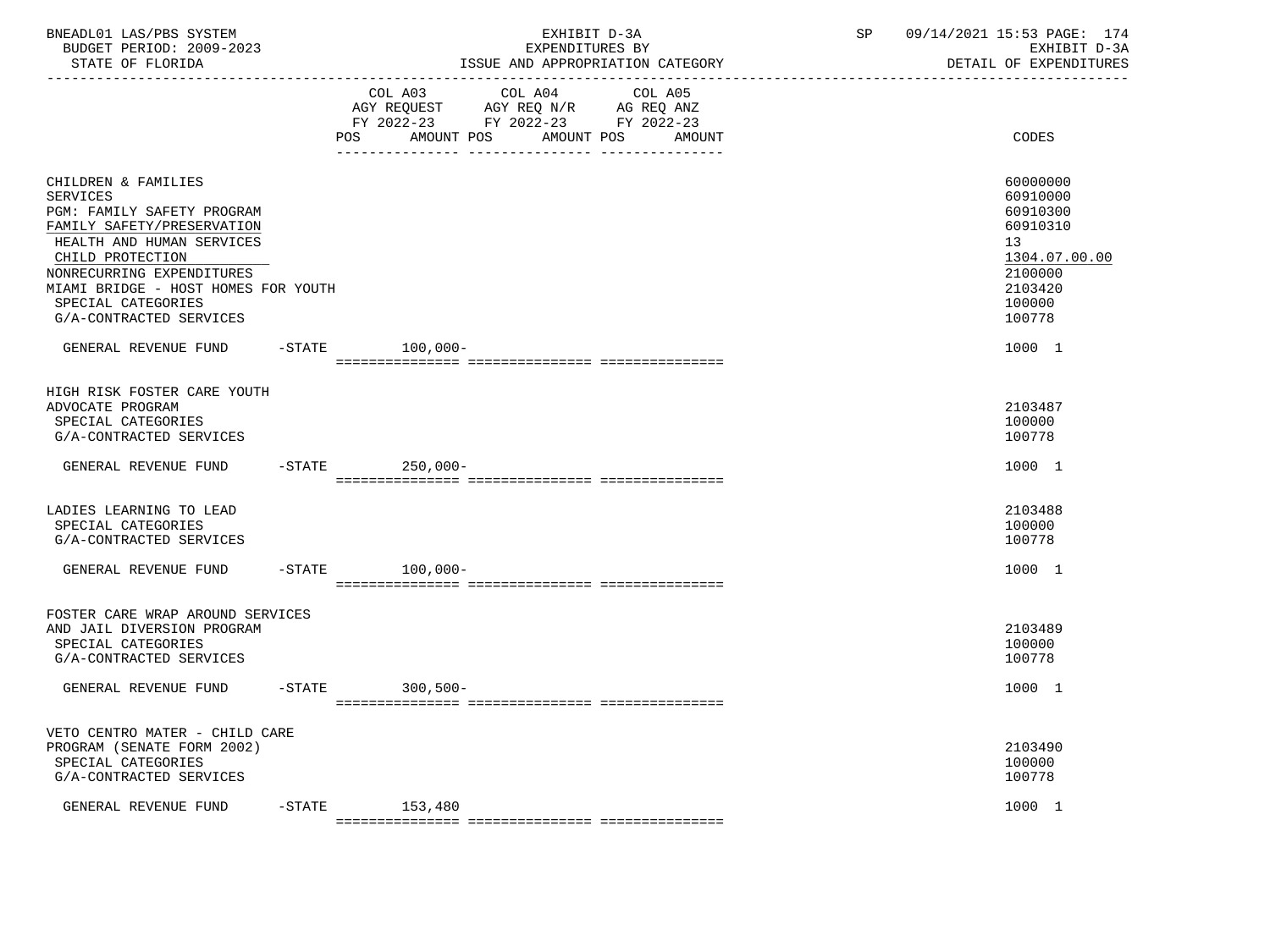| BNEADL01 LAS/PBS SYSTEM     |                            | 09/14/2021 15:53 PAGE:     | 174 |
|-----------------------------|----------------------------|----------------------------|-----|
| 2009-2023<br>BUDGET PERIOD: | TXPENDITURES BY            | EXHIRIT D-3A               |     |
| STATE OF FLORIDA            | AND APPROPRIATION CATEGORY | <b>EXPENDITIRES</b><br>OF. |     |

STATE OF FLORIDA STATE OF STATE OF STATE OF EXPENDITURES -----------------------------------------------------------------------------------------------------------------------------------

|                                                                                                                                                                                                                                                                          | POS       | COL A03<br>COL A04<br>AGY REQUEST<br>AGY REQ N/R<br>FY 2022-23<br>FY 2022-23<br>AMOUNT POS | COL A05<br>AG REQ ANZ<br>FY 2022-23<br>AMOUNT POS<br>AMOUNT | CODES                                                                                                         |
|--------------------------------------------------------------------------------------------------------------------------------------------------------------------------------------------------------------------------------------------------------------------------|-----------|--------------------------------------------------------------------------------------------|-------------------------------------------------------------|---------------------------------------------------------------------------------------------------------------|
| CHILDREN & FAMILIES<br><b>SERVICES</b><br>PGM: FAMILY SAFETY PROGRAM<br>FAMILY SAFETY/PRESERVATION<br>HEALTH AND HUMAN SERVICES<br>CHILD PROTECTION<br>NONRECURRING EXPENDITURES<br>MIAMI BRIDGE - HOST HOMES FOR YOUTH<br>SPECIAL CATEGORIES<br>G/A-CONTRACTED SERVICES |           |                                                                                            |                                                             | 60000000<br>60910000<br>60910300<br>60910310<br>13<br>1304.07.00.00<br>2100000<br>2103420<br>100000<br>100778 |
| GENERAL REVENUE FUND                                                                                                                                                                                                                                                     | $-$ STATE | $100,000 -$                                                                                |                                                             | 1000 1                                                                                                        |
| HIGH RISK FOSTER CARE YOUTH<br>ADVOCATE PROGRAM<br>SPECIAL CATEGORIES<br>G/A-CONTRACTED SERVICES                                                                                                                                                                         |           |                                                                                            |                                                             | 2103487<br>100000<br>100778                                                                                   |
| GENERAL REVENUE FUND                                                                                                                                                                                                                                                     | $-STATE$  | $250,000-$                                                                                 |                                                             | 1000 1                                                                                                        |
| LADIES LEARNING TO LEAD<br>SPECIAL CATEGORIES<br>G/A-CONTRACTED SERVICES                                                                                                                                                                                                 |           |                                                                                            |                                                             | 2103488<br>100000<br>100778                                                                                   |
| GENERAL REVENUE FUND                                                                                                                                                                                                                                                     | $-STATE$  | $100,000 -$                                                                                |                                                             | 1000 1                                                                                                        |
| FOSTER CARE WRAP AROUND SERVICES<br>AND JAIL DIVERSION PROGRAM<br>SPECIAL CATEGORIES<br>G/A-CONTRACTED SERVICES                                                                                                                                                          |           |                                                                                            |                                                             | 2103489<br>100000<br>100778                                                                                   |
| GENERAL REVENUE FUND                                                                                                                                                                                                                                                     | $-$ STATE | $300,500 -$                                                                                |                                                             | 1000 1                                                                                                        |
| VETO CENTRO MATER - CHILD CARE<br>PROGRAM (SENATE FORM 2002)<br>SPECIAL CATEGORIES<br>G/A-CONTRACTED SERVICES                                                                                                                                                            |           |                                                                                            |                                                             | 2103490<br>100000<br>100778                                                                                   |
| GENERAL REVENUE FUND                                                                                                                                                                                                                                                     | $-STATE$  | 153,480                                                                                    |                                                             | 1000 1                                                                                                        |

=============== =============== ===============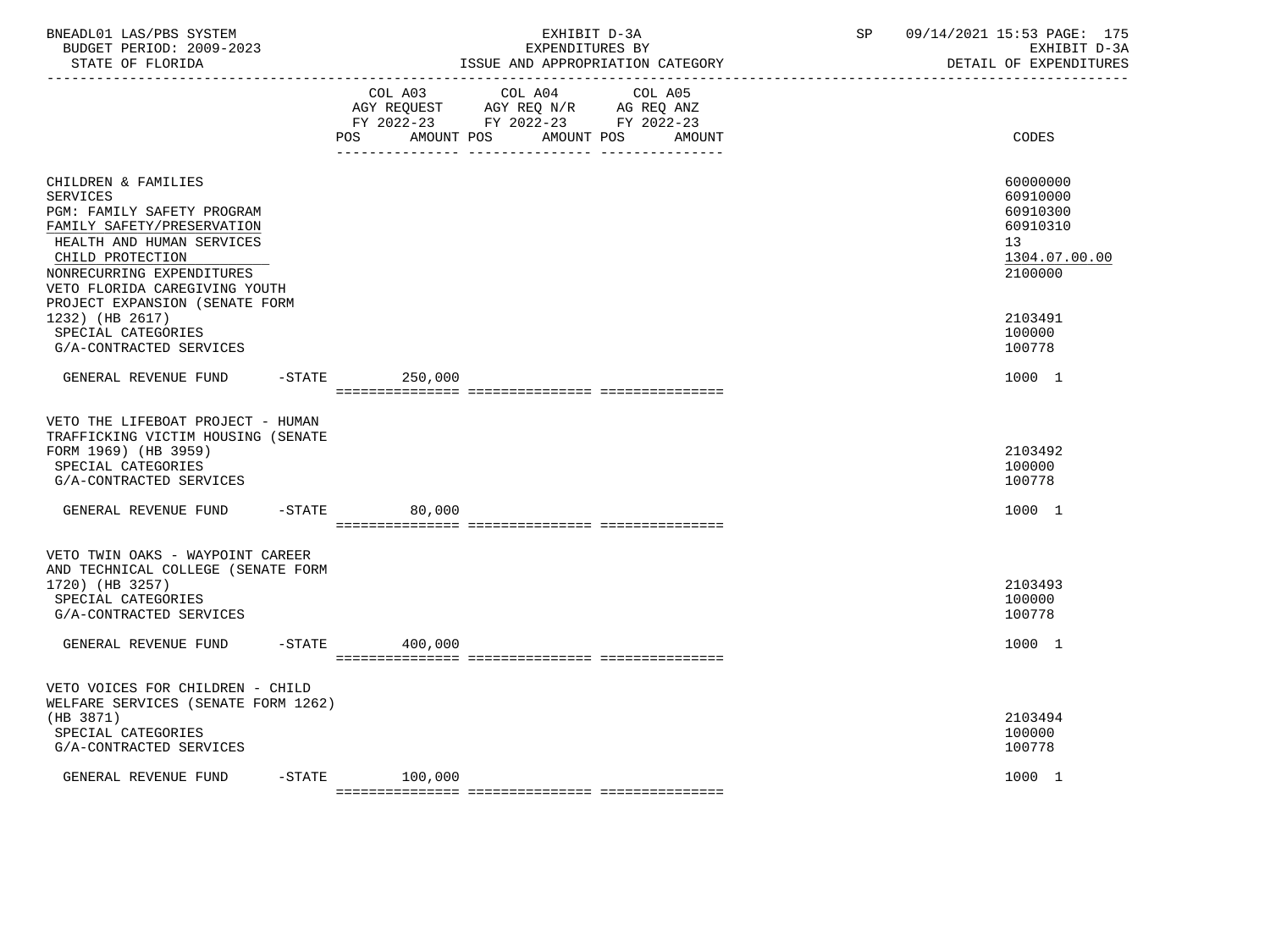| BNEADL01 LAS/PBS SYSTEM<br>BUDGET PERIOD: 2009-2023<br>STATE OF FLORIDA                                                                                                                                                                                                                                                 |                  | EXHIBIT D-3A<br>EXPENDITURES BY<br>ISSUE AND APPROPRIATION CATEGORY | SP<br>09/14/2021 15:53 PAGE: 175<br>EXHIBIT D-3A<br>DETAIL OF EXPENDITURES                                    |
|-------------------------------------------------------------------------------------------------------------------------------------------------------------------------------------------------------------------------------------------------------------------------------------------------------------------------|------------------|---------------------------------------------------------------------|---------------------------------------------------------------------------------------------------------------|
|                                                                                                                                                                                                                                                                                                                         | POS AMOUNT POS   | AMOUNT POS<br>AMOUNT                                                | CODES                                                                                                         |
| CHILDREN & FAMILIES<br><b>SERVICES</b><br>PGM: FAMILY SAFETY PROGRAM<br>FAMILY SAFETY/PRESERVATION<br>HEALTH AND HUMAN SERVICES<br>CHILD PROTECTION<br>NONRECURRING EXPENDITURES<br>VETO FLORIDA CAREGIVING YOUTH<br>PROJECT EXPANSION (SENATE FORM<br>1232) (HB 2617)<br>SPECIAL CATEGORIES<br>G/A-CONTRACTED SERVICES |                  |                                                                     | 60000000<br>60910000<br>60910300<br>60910310<br>13<br>1304.07.00.00<br>2100000<br>2103491<br>100000<br>100778 |
| GENERAL REVENUE FUND -STATE 250,000                                                                                                                                                                                                                                                                                     |                  |                                                                     | 1000 1                                                                                                        |
| VETO THE LIFEBOAT PROJECT - HUMAN<br>TRAFFICKING VICTIM HOUSING (SENATE<br>FORM 1969) (HB 3959)<br>SPECIAL CATEGORIES<br>G/A-CONTRACTED SERVICES                                                                                                                                                                        |                  |                                                                     | 2103492<br>100000<br>100778                                                                                   |
| GENERAL REVENUE FUND                                                                                                                                                                                                                                                                                                    | -STATE 80,000    |                                                                     | 1000 1                                                                                                        |
| VETO TWIN OAKS - WAYPOINT CAREER<br>AND TECHNICAL COLLEGE (SENATE FORM<br>1720) (HB 3257)<br>SPECIAL CATEGORIES<br>G/A-CONTRACTED SERVICES                                                                                                                                                                              |                  |                                                                     | 2103493<br>100000<br>100778                                                                                   |
| GENERAL REVENUE FUND                                                                                                                                                                                                                                                                                                    | -STATE 400,000   |                                                                     | 1000 1                                                                                                        |
| VETO VOICES FOR CHILDREN - CHILD<br>WELFARE SERVICES (SENATE FORM 1262)<br>(HB 3871)<br>SPECIAL CATEGORIES<br>G/A-CONTRACTED SERVICES                                                                                                                                                                                   |                  |                                                                     | 2103494<br>100000<br>100778                                                                                   |
| GENERAL REVENUE FUND                                                                                                                                                                                                                                                                                                    | $-STATE$ 100,000 |                                                                     | 1000 1                                                                                                        |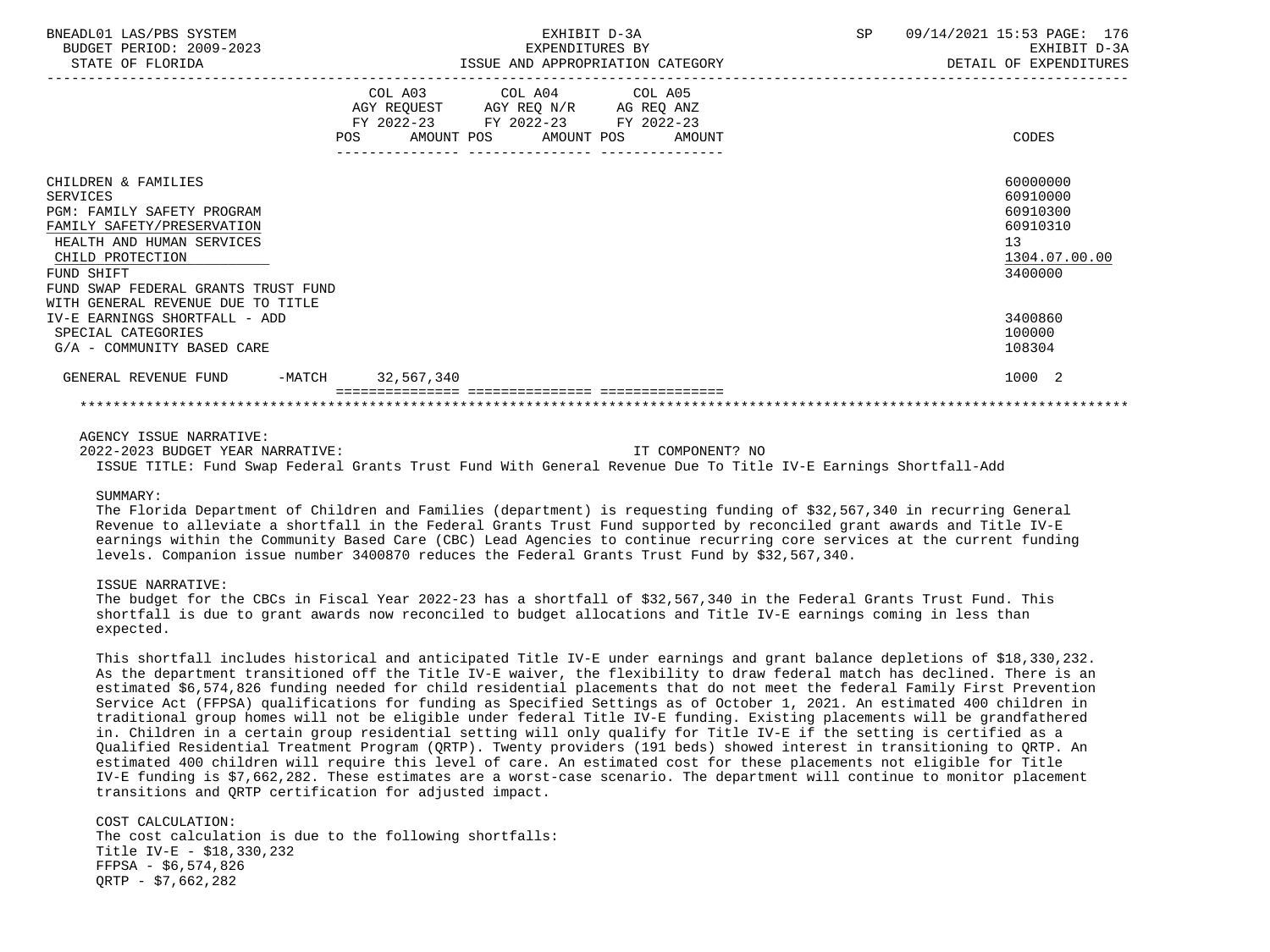| BNEADL01 LAS/PBS SYSTEM<br>BUDGET PERIOD: 2009-2023<br>STATE OF FLORIDA                                                                                                                                         |                                                                                                                                   | EXHIBIT D-3A<br>EXPENDITURES BY<br>ISSUE AND APPROPRIATION CATEGORY | <b>SP</b> | 09/14/2021 15:53 PAGE: 176<br>EXHIBIT D-3A<br>DETAIL OF EXPENDITURES           |
|-----------------------------------------------------------------------------------------------------------------------------------------------------------------------------------------------------------------|-----------------------------------------------------------------------------------------------------------------------------------|---------------------------------------------------------------------|-----------|--------------------------------------------------------------------------------|
|                                                                                                                                                                                                                 | COL A03 COL A04 COL A05<br>AGY REQUEST AGY REQ N/R AG REQ ANZ<br>FY 2022-23 FY 2022-23 FY 2022-23<br>POS<br>AMOUNT POS AMOUNT POS | AMOUNT                                                              |           | CODES                                                                          |
| CHILDREN & FAMILIES<br><b>SERVICES</b><br><b>PGM: FAMILY SAFETY PROGRAM</b><br>FAMILY SAFETY/PRESERVATION<br>HEALTH AND HUMAN SERVICES<br>CHILD PROTECTION<br>FUND SHIFT<br>FUND SWAP FEDERAL GRANTS TRUST FUND |                                                                                                                                   |                                                                     |           | 60000000<br>60910000<br>60910300<br>60910310<br>13<br>1304.07.00.00<br>3400000 |
| WITH GENERAL REVENUE DUE TO TITLE<br>IV-E EARNINGS SHORTFALL - ADD<br>SPECIAL CATEGORIES<br>G/A - COMMUNITY BASED CARE                                                                                          |                                                                                                                                   |                                                                     |           | 3400860<br>100000<br>108304                                                    |
| GENERAL REVENUE FUND -MATCH 32,567,340                                                                                                                                                                          |                                                                                                                                   |                                                                     |           | 1000 2                                                                         |
|                                                                                                                                                                                                                 |                                                                                                                                   |                                                                     |           |                                                                                |

2022-2023 BUDGET YEAR NARRATIVE: IT COMPONENT? NO

ISSUE TITLE: Fund Swap Federal Grants Trust Fund With General Revenue Due To Title IV-E Earnings Shortfall-Add

#### SIIMMARY:

 The Florida Department of Children and Families (department) is requesting funding of \$32,567,340 in recurring General Revenue to alleviate a shortfall in the Federal Grants Trust Fund supported by reconciled grant awards and Title IV-E earnings within the Community Based Care (CBC) Lead Agencies to continue recurring core services at the current funding levels. Companion issue number 3400870 reduces the Federal Grants Trust Fund by \$32,567,340.

# ISSUE NARRATIVE:

 The budget for the CBCs in Fiscal Year 2022-23 has a shortfall of \$32,567,340 in the Federal Grants Trust Fund. This shortfall is due to grant awards now reconciled to budget allocations and Title IV-E earnings coming in less than expected.

 This shortfall includes historical and anticipated Title IV-E under earnings and grant balance depletions of \$18,330,232. As the department transitioned off the Title IV-E waiver, the flexibility to draw federal match has declined. There is an estimated \$6,574,826 funding needed for child residential placements that do not meet the federal Family First Prevention Service Act (FFPSA) qualifications for funding as Specified Settings as of October 1, 2021. An estimated 400 children in traditional group homes will not be eligible under federal Title IV-E funding. Existing placements will be grandfathered in. Children in a certain group residential setting will only qualify for Title IV-E if the setting is certified as a Qualified Residential Treatment Program (QRTP). Twenty providers (191 beds) showed interest in transitioning to QRTP. An estimated 400 children will require this level of care. An estimated cost for these placements not eligible for Title IV-E funding is \$7,662,282. These estimates are a worst-case scenario. The department will continue to monitor placement transitions and QRTP certification for adjusted impact.

 COST CALCULATION: The cost calculation is due to the following shortfalls: Title IV-E - \$18,330,232 FFPSA - \$6,574,826 QRTP - \$7,662,282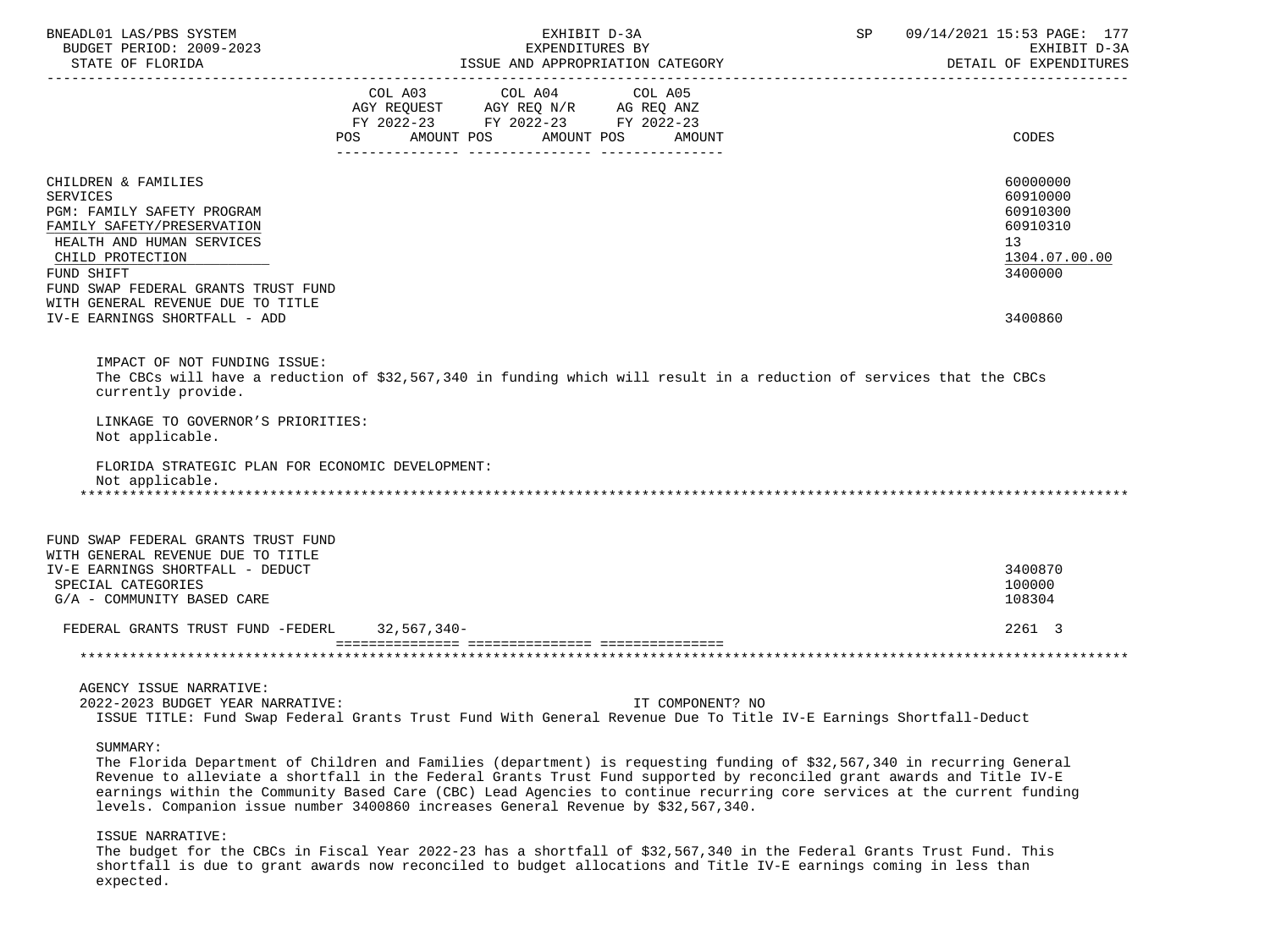| BNEADL01 LAS/PBS SYSTEM<br>BUDGET PERIOD: 2009-2023<br>STATE OF FLORIDA                                                                                                                                  | EXHIBIT D-3A<br>EXPENDITURES BY<br>ISSUE AND APPROPRIATION CATEGORY                                                                               | 09/14/2021 15:53 PAGE: 177<br>SP<br>EXHIBIT D-3A<br>DETAIL OF EXPENDITURES     |
|----------------------------------------------------------------------------------------------------------------------------------------------------------------------------------------------------------|---------------------------------------------------------------------------------------------------------------------------------------------------|--------------------------------------------------------------------------------|
|                                                                                                                                                                                                          | COL A03 COL A04<br>COL A05<br>AGY REQUEST AGY REQ N/R AG REQ ANZ<br>FY 2022-23 FY 2022-23 FY 2022-23<br>POS<br>AMOUNT POS<br>AMOUNT POS<br>AMOUNT | CODES                                                                          |
| CHILDREN & FAMILIES<br><b>SERVICES</b><br>PGM: FAMILY SAFETY PROGRAM<br>FAMILY SAFETY/PRESERVATION<br>HEALTH AND HUMAN SERVICES<br>CHILD PROTECTION<br>FUND SHIFT<br>FUND SWAP FEDERAL GRANTS TRUST FUND |                                                                                                                                                   | 60000000<br>60910000<br>60910300<br>60910310<br>13<br>1304.07.00.00<br>3400000 |
| WITH GENERAL REVENUE DUE TO TITLE<br>IV-E EARNINGS SHORTFALL - ADD                                                                                                                                       |                                                                                                                                                   | 3400860                                                                        |
| IMPACT OF NOT FUNDING ISSUE:<br>currently provide.<br>LINKAGE TO GOVERNOR'S PRIORITIES:<br>Not applicable.<br>FLORIDA STRATEGIC PLAN FOR ECONOMIC DEVELOPMENT:<br>Not applicable.                        | The CBCs will have a reduction of \$32,567,340 in funding which will result in a reduction of services that the CBCs                              |                                                                                |
| FUND SWAP FEDERAL GRANTS TRUST FUND<br>WITH GENERAL REVENUE DUE TO TITLE<br>IV-E EARNINGS SHORTFALL - DEDUCT<br>SPECIAL CATEGORIES<br>G/A - COMMUNITY BASED CARE                                         |                                                                                                                                                   | 3400870<br>100000<br>108304                                                    |
| FEDERAL GRANTS TRUST FUND -FEDERL 32,567,340-                                                                                                                                                            |                                                                                                                                                   | 2261 3                                                                         |
|                                                                                                                                                                                                          |                                                                                                                                                   |                                                                                |
| AGENCY ISSUE NARRATIVE:<br>2022-2023 BUDGET YEAR NARRATIVE:<br>SIJMMARY:                                                                                                                                 | IT COMPONENT? NO<br>ISSUE TITLE: Fund Swap Federal Grants Trust Fund With General Revenue Due To Title IV-E Earnings Shortfall-Deduct             |                                                                                |

 The Florida Department of Children and Families (department) is requesting funding of \$32,567,340 in recurring General Revenue to alleviate a shortfall in the Federal Grants Trust Fund supported by reconciled grant awards and Title IV-E earnings within the Community Based Care (CBC) Lead Agencies to continue recurring core services at the current funding levels. Companion issue number 3400860 increases General Revenue by \$32,567,340.

## ISSUE NARRATIVE:

 The budget for the CBCs in Fiscal Year 2022-23 has a shortfall of \$32,567,340 in the Federal Grants Trust Fund. This shortfall is due to grant awards now reconciled to budget allocations and Title IV-E earnings coming in less than expected.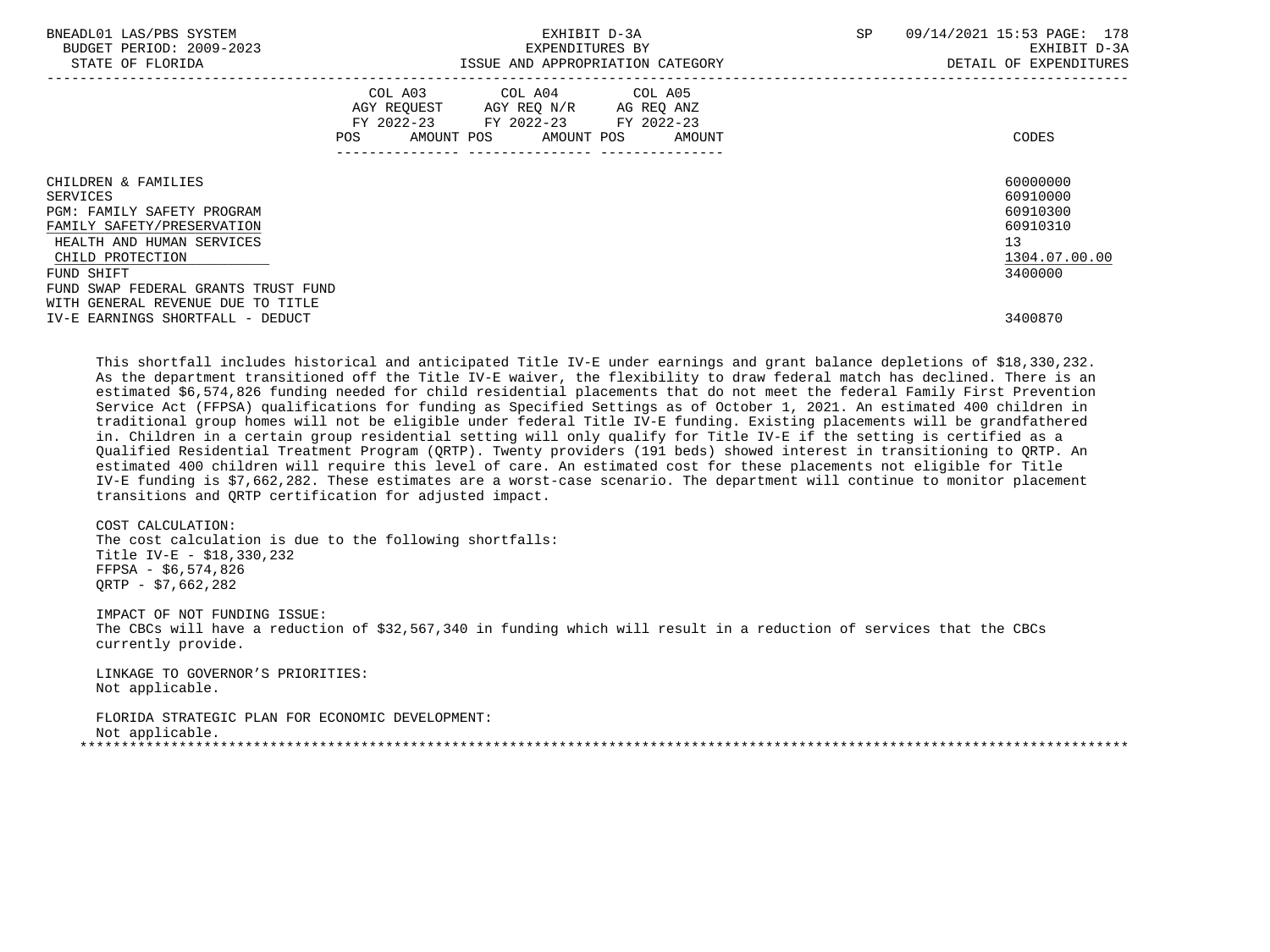| BNEADL01 LAS/PBS SYSTEM<br>BUDGET PERIOD: 2009-2023<br>STATE OF FLORIDA | EXHIBIT D-3A<br>EXPENDITURES BY<br>ISSUE AND APPROPRIATION CATEGORY                                                    |                      | SP | 09/14/2021 15:53 PAGE: 178<br>EXHIBIT D-3A<br>DETAIL OF EXPENDITURES |  |
|-------------------------------------------------------------------------|------------------------------------------------------------------------------------------------------------------------|----------------------|----|----------------------------------------------------------------------|--|
|                                                                         | COL A03 COL A04 COL A05<br>AGY REQUEST AGY REQ N/R AG REQ ANZ<br>FY 2022-23 FY 2022-23<br>AMOUNT POS AMOUNT POS<br>POS | FY 2022-23<br>AMOUNT |    | CODES                                                                |  |
| CHILDREN & FAMILIES                                                     |                                                                                                                        |                      |    | 60000000                                                             |  |
| SERVICES                                                                |                                                                                                                        |                      |    | 60910000                                                             |  |
| PGM: FAMILY SAFETY PROGRAM                                              |                                                                                                                        |                      |    | 60910300                                                             |  |
| FAMILY SAFETY/PRESERVATION                                              |                                                                                                                        |                      |    | 60910310                                                             |  |
| HEALTH AND HUMAN SERVICES                                               |                                                                                                                        |                      | 13 |                                                                      |  |
| CHILD PROTECTION                                                        |                                                                                                                        |                      |    | 1304.07.00.00                                                        |  |
| FUND SHIFT                                                              |                                                                                                                        |                      |    | 3400000                                                              |  |
| FUND SWAP FEDERAL GRANTS TRUST FUND                                     |                                                                                                                        |                      |    |                                                                      |  |
| WITH GENERAL REVENUE DUE TO TITLE                                       |                                                                                                                        |                      |    |                                                                      |  |
| IV-E EARNINGS SHORTFALL - DEDUCT                                        |                                                                                                                        |                      |    | 3400870                                                              |  |

 This shortfall includes historical and anticipated Title IV-E under earnings and grant balance depletions of \$18,330,232. As the department transitioned off the Title IV-E waiver, the flexibility to draw federal match has declined. There is an estimated \$6,574,826 funding needed for child residential placements that do not meet the federal Family First Prevention Service Act (FFPSA) qualifications for funding as Specified Settings as of October 1, 2021. An estimated 400 children in traditional group homes will not be eligible under federal Title IV-E funding. Existing placements will be grandfathered in. Children in a certain group residential setting will only qualify for Title IV-E if the setting is certified as a Qualified Residential Treatment Program (QRTP). Twenty providers (191 beds) showed interest in transitioning to QRTP. An estimated 400 children will require this level of care. An estimated cost for these placements not eligible for Title IV-E funding is \$7,662,282. These estimates are a worst-case scenario. The department will continue to monitor placement transitions and QRTP certification for adjusted impact.

 COST CALCULATION: The cost calculation is due to the following shortfalls: Title IV-E - \$18,330,232 FFPSA - \$6,574,826 QRTP - \$7,662,282

 IMPACT OF NOT FUNDING ISSUE: The CBCs will have a reduction of \$32,567,340 in funding which will result in a reduction of services that the CBCs currently provide.

 LINKAGE TO GOVERNOR'S PRIORITIES: Not applicable.

 FLORIDA STRATEGIC PLAN FOR ECONOMIC DEVELOPMENT: Not applicable. \*\*\*\*\*\*\*\*\*\*\*\*\*\*\*\*\*\*\*\*\*\*\*\*\*\*\*\*\*\*\*\*\*\*\*\*\*\*\*\*\*\*\*\*\*\*\*\*\*\*\*\*\*\*\*\*\*\*\*\*\*\*\*\*\*\*\*\*\*\*\*\*\*\*\*\*\*\*\*\*\*\*\*\*\*\*\*\*\*\*\*\*\*\*\*\*\*\*\*\*\*\*\*\*\*\*\*\*\*\*\*\*\*\*\*\*\*\*\*\*\*\*\*\*\*\*\*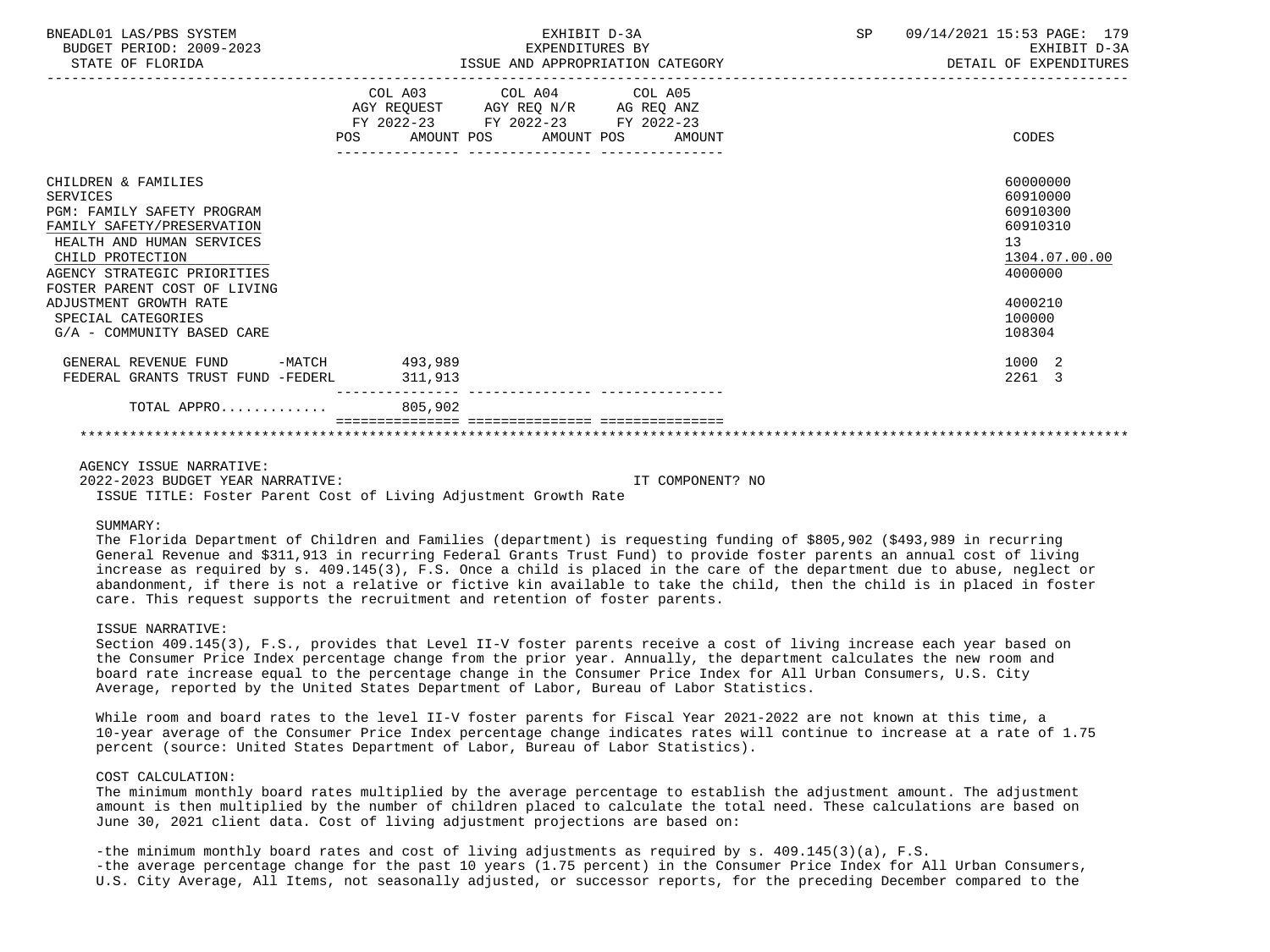| BNEADL01 LAS/PBS SYSTEM<br>BUDGET PERIOD: 2009-2023<br>STATE OF FLORIDA                                                                                                                                                                                                                          | EXHIBIT D-3A<br>EXPENDITURES BY<br>ISSUE AND APPROPRIATION CATEGORY                                                                      | SP<br>09/14/2021 15:53 PAGE: 179<br>EXHIBIT D-3A<br>DETAIL OF EXPENDITURES                                    |
|--------------------------------------------------------------------------------------------------------------------------------------------------------------------------------------------------------------------------------------------------------------------------------------------------|------------------------------------------------------------------------------------------------------------------------------------------|---------------------------------------------------------------------------------------------------------------|
|                                                                                                                                                                                                                                                                                                  | COL A03 COL A04 COL A05<br>AGY REQUEST AGY REQ N/R AG REQ ANZ<br>FY 2022-23 FY 2022-23 FY 2022-23<br>POS AMOUNT POS AMOUNT POS<br>AMOUNT | CODES                                                                                                         |
| CHILDREN & FAMILIES<br>SERVICES<br><b>PGM: FAMILY SAFETY PROGRAM</b><br>FAMILY SAFETY/PRESERVATION<br>HEALTH AND HUMAN SERVICES<br>CHILD PROTECTION<br>AGENCY STRATEGIC PRIORITIES<br>FOSTER PARENT COST OF LIVING<br>ADJUSTMENT GROWTH RATE<br>SPECIAL CATEGORIES<br>G/A - COMMUNITY BASED CARE |                                                                                                                                          | 60000000<br>60910000<br>60910300<br>60910310<br>13<br>1304.07.00.00<br>4000000<br>4000210<br>100000<br>108304 |
| GENERAL REVENUE FUND -MATCH 493,989<br>FEDERAL GRANTS TRUST FUND -FEDERL                                                                                                                                                                                                                         | 311,913                                                                                                                                  | 1000 2<br>2261 3                                                                                              |
| TOTAL APPRO                                                                                                                                                                                                                                                                                      | ----------------<br>805,902                                                                                                              |                                                                                                               |
|                                                                                                                                                                                                                                                                                                  |                                                                                                                                          |                                                                                                               |

 2022-2023 BUDGET YEAR NARRATIVE: IT COMPONENT? NO ISSUE TITLE: Foster Parent Cost of Living Adjustment Growth Rate

SUMMARY:

 The Florida Department of Children and Families (department) is requesting funding of \$805,902 (\$493,989 in recurring General Revenue and \$311,913 in recurring Federal Grants Trust Fund) to provide foster parents an annual cost of living increase as required by s. 409.145(3), F.S. Once a child is placed in the care of the department due to abuse, neglect or abandonment, if there is not a relative or fictive kin available to take the child, then the child is in placed in foster care. This request supports the recruitment and retention of foster parents.

### ISSUE NARRATIVE:

 Section 409.145(3), F.S., provides that Level II-V foster parents receive a cost of living increase each year based on the Consumer Price Index percentage change from the prior year. Annually, the department calculates the new room and board rate increase equal to the percentage change in the Consumer Price Index for All Urban Consumers, U.S. City Average, reported by the United States Department of Labor, Bureau of Labor Statistics.

While room and board rates to the level II-V foster parents for Fiscal Year 2021-2022 are not known at this time, a 10-year average of the Consumer Price Index percentage change indicates rates will continue to increase at a rate of 1.75 percent (source: United States Department of Labor, Bureau of Labor Statistics).

# COST CALCULATION:

 The minimum monthly board rates multiplied by the average percentage to establish the adjustment amount. The adjustment amount is then multiplied by the number of children placed to calculate the total need. These calculations are based on June 30, 2021 client data. Cost of living adjustment projections are based on:

 -the minimum monthly board rates and cost of living adjustments as required by s. 409.145(3)(a), F.S. -the average percentage change for the past 10 years (1.75 percent) in the Consumer Price Index for All Urban Consumers, U.S. City Average, All Items, not seasonally adjusted, or successor reports, for the preceding December compared to the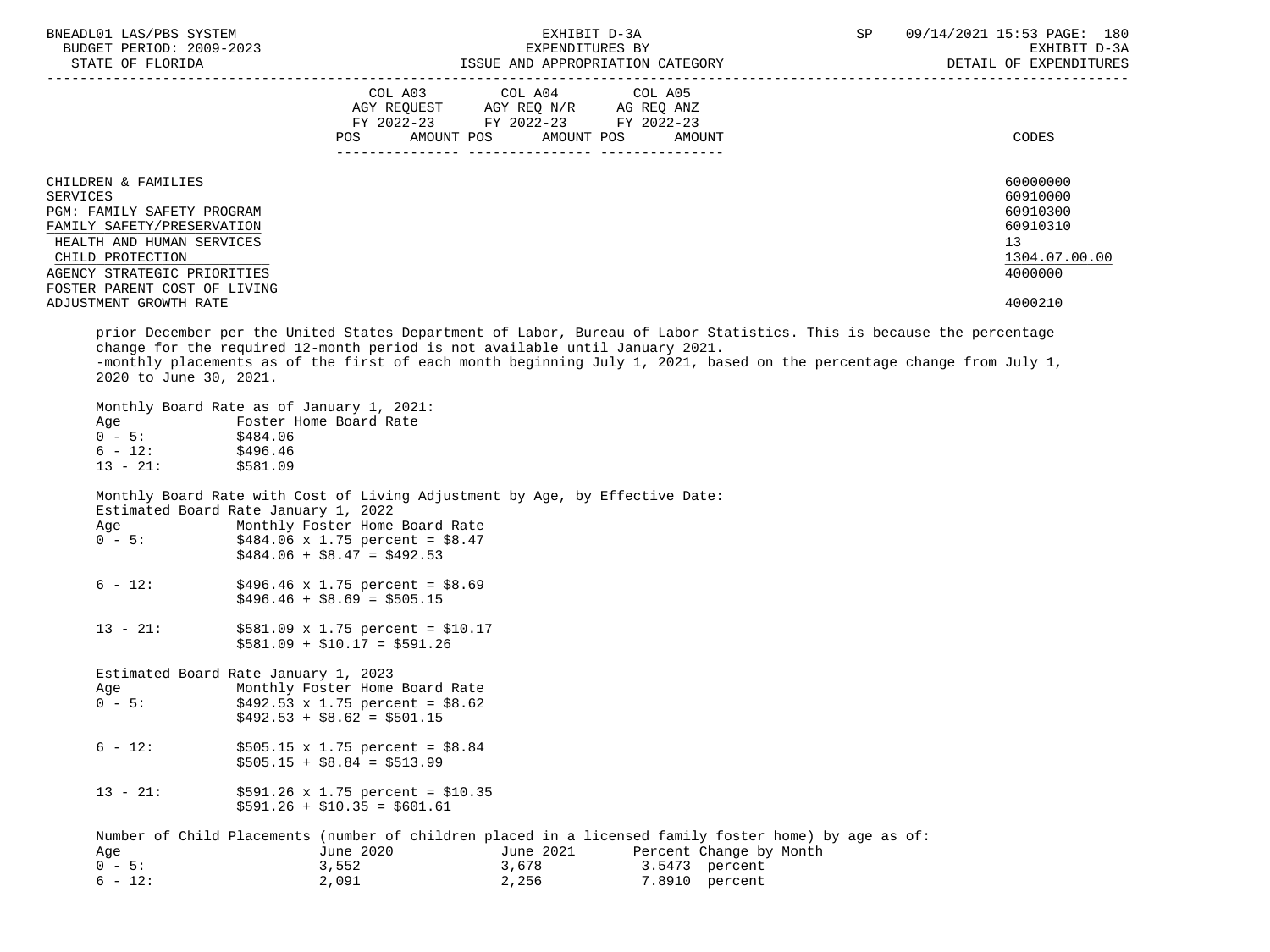| BNEADL01 LAS/PBS SYSTEM<br>BUDGET PERIOD: 2009-2023<br>STATE OF FLORIDA                                                                                                                                                                                                                                                                                 |                                                                                                                                                                                                                                      | EXHIBIT D-3A<br>EXPENDITURES BY<br>ISSUE AND APPROPRIATION CATEGORY |                                                             | SP | 09/14/2021 15:53 PAGE: 180<br>EXHIBIT D-3A<br>DETAIL OF EXPENDITURES                      |
|---------------------------------------------------------------------------------------------------------------------------------------------------------------------------------------------------------------------------------------------------------------------------------------------------------------------------------------------------------|--------------------------------------------------------------------------------------------------------------------------------------------------------------------------------------------------------------------------------------|---------------------------------------------------------------------|-------------------------------------------------------------|----|-------------------------------------------------------------------------------------------|
|                                                                                                                                                                                                                                                                                                                                                         | COL A03 COL A04 COL A05<br>$\begin{tabular}{lllllll} \bf AGY & \bf REQUEST & \bf AGY & \bf REQ & \tt N/R & \tt AG & \tt REQ & \tt ANZ \\ \bf FY & \tt 2022-23 & \tt FY & \tt 2022-23 & \tt FY & \tt 2022-23 \\ \end{tabular}$<br>POS | AMOUNT POS AMOUNT POS                                               | AMOUNT                                                      |    | CODES                                                                                     |
| CHILDREN & FAMILIES<br><b>SERVICES</b><br>PGM: FAMILY SAFETY PROGRAM<br>FAMILY SAFETY/PRESERVATION<br>HEALTH AND HUMAN SERVICES<br>CHILD PROTECTION<br>AGENCY STRATEGIC PRIORITIES<br>FOSTER PARENT COST OF LIVING<br>ADJUSTMENT GROWTH RATE                                                                                                            |                                                                                                                                                                                                                                      |                                                                     |                                                             |    | 60000000<br>60910000<br>60910300<br>60910310<br>13<br>1304.07.00.00<br>4000000<br>4000210 |
| prior December per the United States Department of Labor, Bureau of Labor Statistics. This is because the percentage<br>change for the required 12-month period is not available until January 2021.<br>-monthly placements as of the first of each month beginning July 1, 2021, based on the percentage change from July 1,<br>2020 to June 30, 2021. |                                                                                                                                                                                                                                      |                                                                     |                                                             |    |                                                                                           |
| Monthly Board Rate as of January 1, 2021:<br>Age Foster Home Board Rate<br>0 - 5: \$484.06<br>$6 - 12$ : \$496.46<br>$13 - 21:$ \$581.09                                                                                                                                                                                                                |                                                                                                                                                                                                                                      |                                                                     |                                                             |    |                                                                                           |
| Monthly Board Rate with Cost of Living Adjustment by Age, by Effective Date:<br>Estimated Board Rate January 1, 2022<br>Age<br>$0 - 5:$                                                                                                                                                                                                                 | Monthly Foster Home Board Rate<br>$$484.06 \times 1.75$ percent = \$8.47<br>$$484.06 + $8.47 = $492.53$                                                                                                                              |                                                                     |                                                             |    |                                                                                           |
| $6 - 12:$                                                                                                                                                                                                                                                                                                                                               | $$496.46 \times 1.75$ percent = \$8.69<br>$$496.46 + $8.69 = $505.15$                                                                                                                                                                |                                                                     |                                                             |    |                                                                                           |
| $13 - 21$ :                                                                                                                                                                                                                                                                                                                                             | $$581.09 \times 1.75$ percent = \$10.17<br>$$581.09 + $10.17 = $591.26$                                                                                                                                                              |                                                                     |                                                             |    |                                                                                           |
| Estimated Board Rate January 1, 2023<br>Age<br>$0 - 5:$                                                                                                                                                                                                                                                                                                 | Monthly Foster Home Board Rate<br>$$492.53 \times 1.75$ percent = \$8.62<br>$$492.53 + $8.62 = $501.15$                                                                                                                              |                                                                     |                                                             |    |                                                                                           |
| $6 - 12$ :                                                                                                                                                                                                                                                                                                                                              | $$505.15 \times 1.75$ percent = \$8.84<br>$$505.15 + $8.84 = $513.99$                                                                                                                                                                |                                                                     |                                                             |    |                                                                                           |
| $13 - 21$ :                                                                                                                                                                                                                                                                                                                                             | $$591.26 \times 1.75$ percent = \$10.35<br>$$591.26 + $10.35 = $601.61$                                                                                                                                                              |                                                                     |                                                             |    |                                                                                           |
| Number of Child Placements (number of children placed in a licensed family foster home) by age as of:<br>Age<br>$0 - 5:$<br>$6 - 12$ :                                                                                                                                                                                                                  | June 2020<br>3,552<br>2,091                                                                                                                                                                                                          | June 2021<br>3,678<br>2,256                                         | Percent Change by Month<br>3.5473 percent<br>7.8910 percent |    |                                                                                           |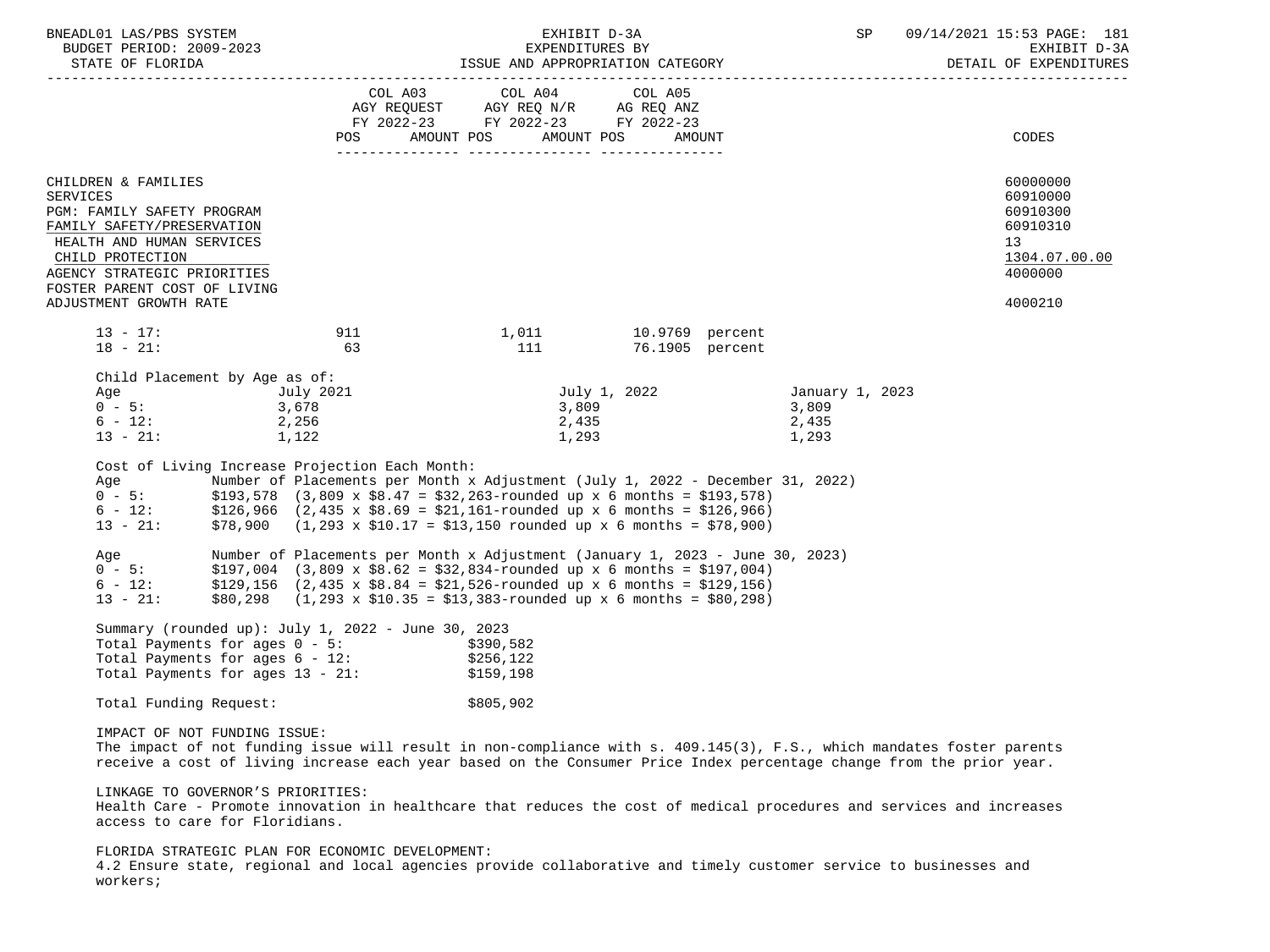| BNEADL01 LAS/PBS SYSTEM<br>BUDGET PERIOD: 2009-2023                                                                                                                                                                                                                                                                                                                                                                                                                                                                                                                                                                    | EXHIBIT D-3A<br>EXPENDITURES BY |                                                                                                                                                                                                                                                                                                                                                                                                                                                                                                 |                       |        | SP                                         | 09/14/2021 15:53 PAGE: 181<br>EXHIBIT D-3A<br>DETAIL OF EXPENDITURES |                                                                                           |
|------------------------------------------------------------------------------------------------------------------------------------------------------------------------------------------------------------------------------------------------------------------------------------------------------------------------------------------------------------------------------------------------------------------------------------------------------------------------------------------------------------------------------------------------------------------------------------------------------------------------|---------------------------------|-------------------------------------------------------------------------------------------------------------------------------------------------------------------------------------------------------------------------------------------------------------------------------------------------------------------------------------------------------------------------------------------------------------------------------------------------------------------------------------------------|-----------------------|--------|--------------------------------------------|----------------------------------------------------------------------|-------------------------------------------------------------------------------------------|
|                                                                                                                                                                                                                                                                                                                                                                                                                                                                                                                                                                                                                        | POS                             | COL A03 COL A04 COL A05<br>AGY REQUEST AGY REQ N/R AG REQ ANZ<br>FY 2022-23 FY 2022-23 FY 2022-23<br>AMOUNT POS<br>AMOUNT POS                                                                                                                                                                                                                                                                                                                                                                   |                       | AMOUNT |                                            |                                                                      | CODES                                                                                     |
| CHILDREN & FAMILIES<br>SERVICES<br>PGM: FAMILY SAFETY PROGRAM<br>FAMILY SAFETY/PRESERVATION<br>HEALTH AND HUMAN SERVICES<br>CHILD PROTECTION<br>AGENCY STRATEGIC PRIORITIES<br>FOSTER PARENT COST OF LIVING<br>ADJUSTMENT GROWTH RATE                                                                                                                                                                                                                                                                                                                                                                                  |                                 |                                                                                                                                                                                                                                                                                                                                                                                                                                                                                                 |                       |        |                                            |                                                                      | 60000000<br>60910000<br>60910300<br>60910310<br>13<br>1304.07.00.00<br>4000000<br>4000210 |
| $13 - 17$ :<br>$18 - 21$ :                                                                                                                                                                                                                                                                                                                                                                                                                                                                                                                                                                                             | 911<br>63                       | 1,011 10.9769 percent<br>111                                                                                                                                                                                                                                                                                                                                                                                                                                                                    | 76.1905 percent       |        |                                            |                                                                      |                                                                                           |
| Child Placement by Age as of:<br>Age July 2021<br>0 - 5: 3,678<br>$6 - 12$ : 2,256<br>$13 - 21:$<br>1,122<br>Cost of Living Increase Projection Each Month:<br>Age<br>0 - 5: \$193,578 (3,809 x \$8.47 = \$32,263-rounded up x 6 months = \$193,578)<br>$6 - 12:$<br>13 - 21:<br>Aqe<br>$0 - 5$ : \$197,004 (3,809 x \$8.62 = \$32,834-rounded up x 6 months = \$197,004)<br>$6 - 12$ :<br>$12 - 21$ :<br>$13 - 21$ :<br>Summary (rounded up): July 1, 2022 - June 30, 2023<br>Total Payments for ages $0 - 5$ : $$390,582$<br>Total Payments for ages 6 - 12: \$256,122<br>Total Payments for ages 13 - 21: \$159,198 |                                 | 2,435<br>1,293<br>Number of Placements per Month x Adjustment (July 1, 2022 - December 31, 2022)<br>$$126,966$ (2,435 x $$8.69 = $21,161$ -rounded up x 6 months = \$126,966)<br>$$78,900$ (1,293 x $$10.17 = $13,150$ rounded up x 6 months = \$78,900)<br>Number of Placements per Month x Adjustment (January 1, 2023 - June 30, 2023)<br>\$129,156 (2,435 x \$8.84 = \$21,526-rounded up x 6 months = \$129,156)<br>$$80,298$ (1,293 x \$10.35 = \$13,383-rounded up x 6 months = \$80,298) | July 1, 2022<br>3,809 |        | January 1, 2023<br>3,809<br>2,435<br>1,293 |                                                                      |                                                                                           |
| Total Funding Request:                                                                                                                                                                                                                                                                                                                                                                                                                                                                                                                                                                                                 |                                 | \$805,902                                                                                                                                                                                                                                                                                                                                                                                                                                                                                       |                       |        |                                            |                                                                      |                                                                                           |
| IMPACT OF NOT FUNDING ISSUE:<br>The impact of not funding issue will result in non-compliance with s. 409.145(3), F.S., which mandates foster parents<br>receive a cost of living increase each year based on the Consumer Price Index percentage change from the prior year.<br>LINKAGE TO GOVERNOR'S PRIORITIES:<br>Health Care - Promote innovation in healthcare that reduces the cost of medical procedures and services and increases<br>access to care for Floridians.                                                                                                                                          |                                 |                                                                                                                                                                                                                                                                                                                                                                                                                                                                                                 |                       |        |                                            |                                                                      |                                                                                           |
| FLORIDA STRATEGIC PLAN FOR ECONOMIC DEVELOPMENT:<br>4.2 Ensure state, regional and local agencies provide collaborative and timely customer service to businesses and<br>workers;                                                                                                                                                                                                                                                                                                                                                                                                                                      |                                 |                                                                                                                                                                                                                                                                                                                                                                                                                                                                                                 |                       |        |                                            |                                                                      |                                                                                           |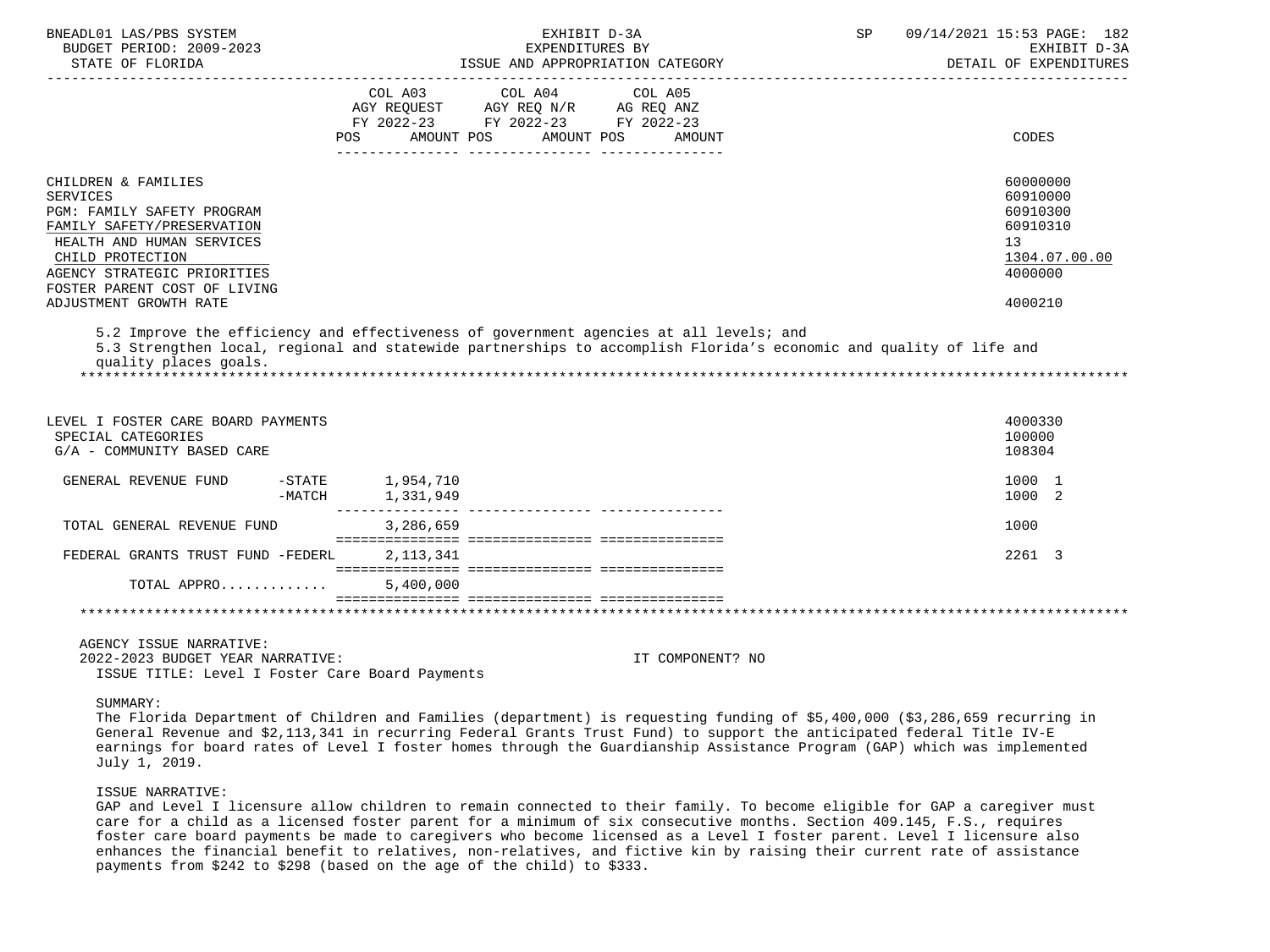| BNEADL01 LAS/PBS SYSTEM<br>BUDGET PERIOD: 2009-2023<br>STATE OF FLORIDA                                                                                                                                            | EXHIBIT D-3A<br>EXPENDITURES BY<br>ISSUE AND APPROPRIATION CATEGORY                                                                                                                                                                                                                                                                                                              | 09/14/2021 15:53 PAGE: 182<br>SP<br>EXHIBIT D-3A<br>DETAIL OF EXPENDITURES     |
|--------------------------------------------------------------------------------------------------------------------------------------------------------------------------------------------------------------------|----------------------------------------------------------------------------------------------------------------------------------------------------------------------------------------------------------------------------------------------------------------------------------------------------------------------------------------------------------------------------------|--------------------------------------------------------------------------------|
|                                                                                                                                                                                                                    | COL A03 COL A04<br>COL A05<br>AGY REQUEST AGY REQ N/R AG REQ ANZ<br>FY 2022-23 FY 2022-23 FY 2022-23<br><b>POS</b><br>AMOUNT POS<br>AMOUNT POS<br>AMOUNT                                                                                                                                                                                                                         | CODES                                                                          |
| CHILDREN & FAMILIES<br><b>SERVICES</b><br>PGM: FAMILY SAFETY PROGRAM<br>FAMILY SAFETY/PRESERVATION<br>HEALTH AND HUMAN SERVICES<br>CHILD PROTECTION<br>AGENCY STRATEGIC PRIORITIES<br>FOSTER PARENT COST OF LIVING |                                                                                                                                                                                                                                                                                                                                                                                  | 60000000<br>60910000<br>60910300<br>60910310<br>13<br>1304.07.00.00<br>4000000 |
| ADJUSTMENT GROWTH RATE                                                                                                                                                                                             |                                                                                                                                                                                                                                                                                                                                                                                  | 4000210                                                                        |
| quality places goals.<br>LEVEL I FOSTER CARE BOARD PAYMENTS<br>SPECIAL CATEGORIES<br>G/A - COMMUNITY BASED CARE                                                                                                    | 5.3 Strengthen local, regional and statewide partnerships to accomplish Florida's economic and quality of life and                                                                                                                                                                                                                                                               | 4000330<br>100000<br>108304                                                    |
| GENERAL REVENUE FUND<br>-MATCH                                                                                                                                                                                     | -STATE 1,954,710<br>1,331,949                                                                                                                                                                                                                                                                                                                                                    | 1000 1<br>1000 2                                                               |
| TOTAL GENERAL REVENUE FUND                                                                                                                                                                                         | 3,286,659                                                                                                                                                                                                                                                                                                                                                                        | 1000                                                                           |
| FEDERAL GRANTS TRUST FUND -FEDERL                                                                                                                                                                                  | 2, 113, 341                                                                                                                                                                                                                                                                                                                                                                      | 2261 3                                                                         |
| TOTAL APPRO                                                                                                                                                                                                        | 5,400,000                                                                                                                                                                                                                                                                                                                                                                        |                                                                                |
|                                                                                                                                                                                                                    |                                                                                                                                                                                                                                                                                                                                                                                  |                                                                                |
| AGENCY ISSUE NARRATIVE:<br>2022-2023 BUDGET YEAR NARRATIVE:<br>ISSUE TITLE: Level I Foster Care Board Payments                                                                                                     | IT COMPONENT? NO                                                                                                                                                                                                                                                                                                                                                                 |                                                                                |
| SUMMARY:<br>July 1, 2019.                                                                                                                                                                                          | The Florida Department of Children and Families (department) is requesting funding of \$5,400,000 (\$3,286,659 recurring in<br>General Revenue and \$2,113,341 in recurring Federal Grants Trust Fund) to support the anticipated federal Title IV-E<br>earnings for board rates of Level I foster homes through the Guardianship Assistance Program (GAP) which was implemented |                                                                                |

ISSUE NARRATIVE:

 GAP and Level I licensure allow children to remain connected to their family. To become eligible for GAP a caregiver must care for a child as a licensed foster parent for a minimum of six consecutive months. Section 409.145, F.S., requires foster care board payments be made to caregivers who become licensed as a Level I foster parent. Level I licensure also enhances the financial benefit to relatives, non-relatives, and fictive kin by raising their current rate of assistance payments from \$242 to \$298 (based on the age of the child) to \$333.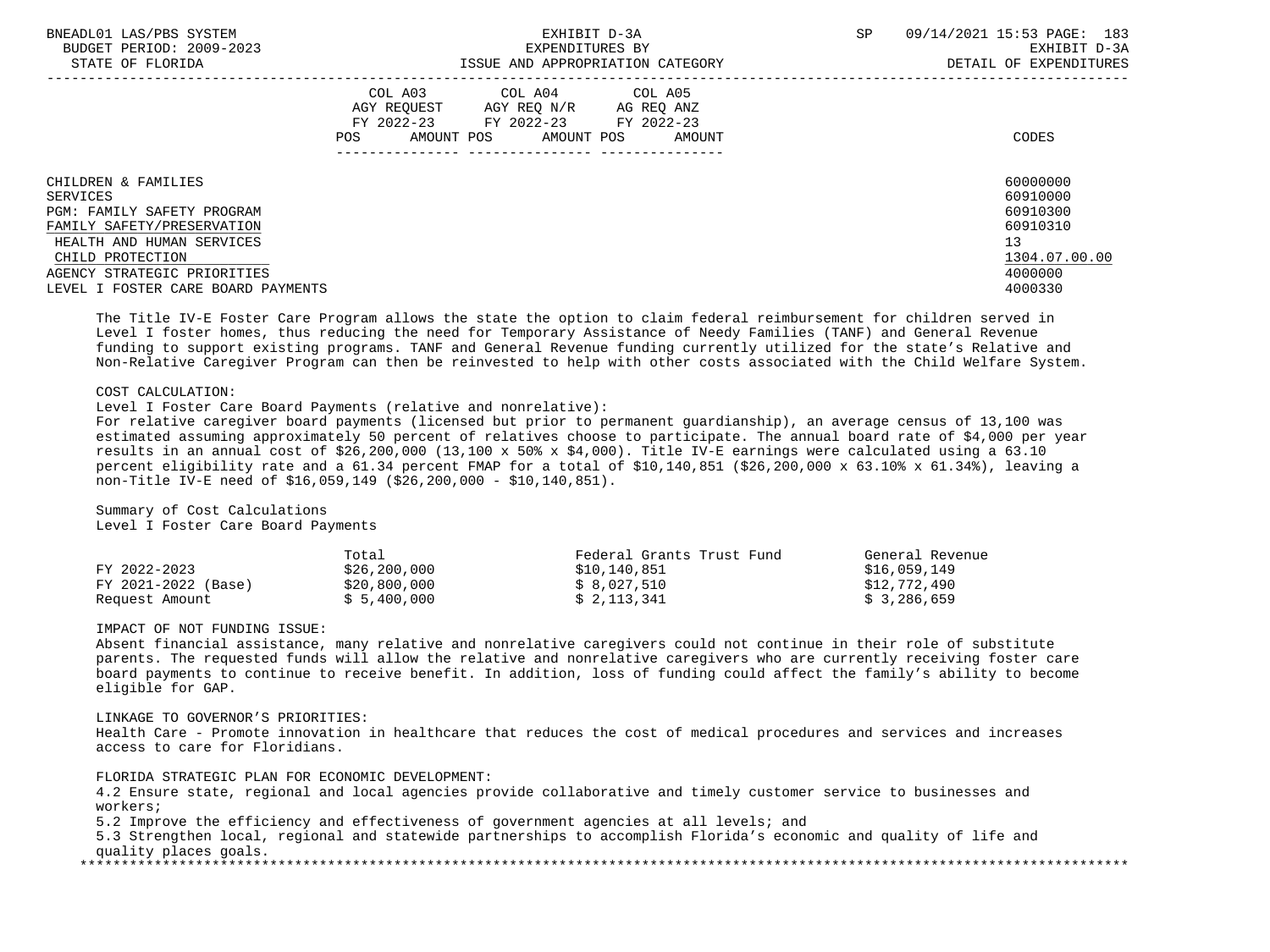| BNEADL01 LAS/PBS SYSTEM<br>BUDGET PERIOD: 2009-2023<br>STATE OF FLORIDA |                                                           | EXHIBIT D-3A<br>EXPENDITURES BY<br>ISSUE AND APPROPRIATION CATEGORY |                                    | SP. | 09/14/2021 15:53 PAGE: 183<br>EXHIBIT D-3A<br>DETAIL OF EXPENDITURES |
|-------------------------------------------------------------------------|-----------------------------------------------------------|---------------------------------------------------------------------|------------------------------------|-----|----------------------------------------------------------------------|
|                                                                         | COL A03<br>AGY REOUEST<br>FY 2022-23<br>AMOUNT POS<br>POS | COL A04 COL A05<br>AGY REO N/R<br>FY 2022-23<br>AMOUNT POS          | AG REO ANZ<br>FY 2022-23<br>AMOUNT |     | CODES                                                                |
| CHILDREN & FAMILIES<br>SERVICES                                         |                                                           |                                                                     |                                    |     | 60000000<br>60910000                                                 |
| PGM: FAMILY SAFETY PROGRAM                                              |                                                           |                                                                     |                                    |     | 60910300                                                             |
| FAMILY SAFETY/PRESERVATION                                              |                                                           |                                                                     |                                    |     | 60910310                                                             |
| HEALTH AND HUMAN SERVICES                                               |                                                           |                                                                     |                                    |     | 13                                                                   |
| CHILD PROTECTION                                                        |                                                           |                                                                     |                                    |     | 1304.07.00.00                                                        |
| AGENCY STRATEGIC PRIORITIES                                             |                                                           |                                                                     |                                    |     | 4000000                                                              |
| LEVEL I FOSTER CARE BOARD PAYMENTS                                      |                                                           |                                                                     |                                    |     | 4000330                                                              |

 The Title IV-E Foster Care Program allows the state the option to claim federal reimbursement for children served in Level I foster homes, thus reducing the need for Temporary Assistance of Needy Families (TANF) and General Revenue funding to support existing programs. TANF and General Revenue funding currently utilized for the state's Relative and Non-Relative Caregiver Program can then be reinvested to help with other costs associated with the Child Welfare System.

# COST CALCULATION:

Level I Foster Care Board Payments (relative and nonrelative):

 For relative caregiver board payments (licensed but prior to permanent guardianship), an average census of 13,100 was estimated assuming approximately 50 percent of relatives choose to participate. The annual board rate of \$4,000 per year results in an annual cost of \$26,200,000 (13,100 x 50% x \$4,000). Title IV-E earnings were calculated using a 63.10 percent eligibility rate and a 61.34 percent FMAP for a total of \$10,140,851 (\$26,200,000 x 63.10% x 61.34%), leaving a non-Title IV-E need of \$16,059,149 (\$26,200,000 - \$10,140,851).

 Summary of Cost Calculations Level I Foster Care Board Payments

|                     | Total        | Federal Grants Trust Fund | General Revenue |
|---------------------|--------------|---------------------------|-----------------|
| FY 2022-2023        | \$26,200,000 | \$10,140,851              | \$16.059.149    |
| FY 2021-2022 (Base) | \$20,800,000 | \$ 8,027,510              | \$12,772,490    |
| Request Amount      | \$5,400,000  | \$ 2,113,341              | \$3,286,659     |

### IMPACT OF NOT FUNDING ISSUE:

 Absent financial assistance, many relative and nonrelative caregivers could not continue in their role of substitute parents. The requested funds will allow the relative and nonrelative caregivers who are currently receiving foster care board payments to continue to receive benefit. In addition, loss of funding could affect the family's ability to become eligible for GAP.

LINKAGE TO GOVERNOR'S PRIORITIES:

 Health Care - Promote innovation in healthcare that reduces the cost of medical procedures and services and increases access to care for Floridians.

FLORIDA STRATEGIC PLAN FOR ECONOMIC DEVELOPMENT:

 4.2 Ensure state, regional and local agencies provide collaborative and timely customer service to businesses and workers; 5.2 Improve the efficiency and effectiveness of government agencies at all levels; and

 5.3 Strengthen local, regional and statewide partnerships to accomplish Florida's economic and quality of life and quality places goals. \*\*\*\*\*\*\*\*\*\*\*\*\*\*\*\*\*\*\*\*\*\*\*\*\*\*\*\*\*\*\*\*\*\*\*\*\*\*\*\*\*\*\*\*\*\*\*\*\*\*\*\*\*\*\*\*\*\*\*\*\*\*\*\*\*\*\*\*\*\*\*\*\*\*\*\*\*\*\*\*\*\*\*\*\*\*\*\*\*\*\*\*\*\*\*\*\*\*\*\*\*\*\*\*\*\*\*\*\*\*\*\*\*\*\*\*\*\*\*\*\*\*\*\*\*\*\*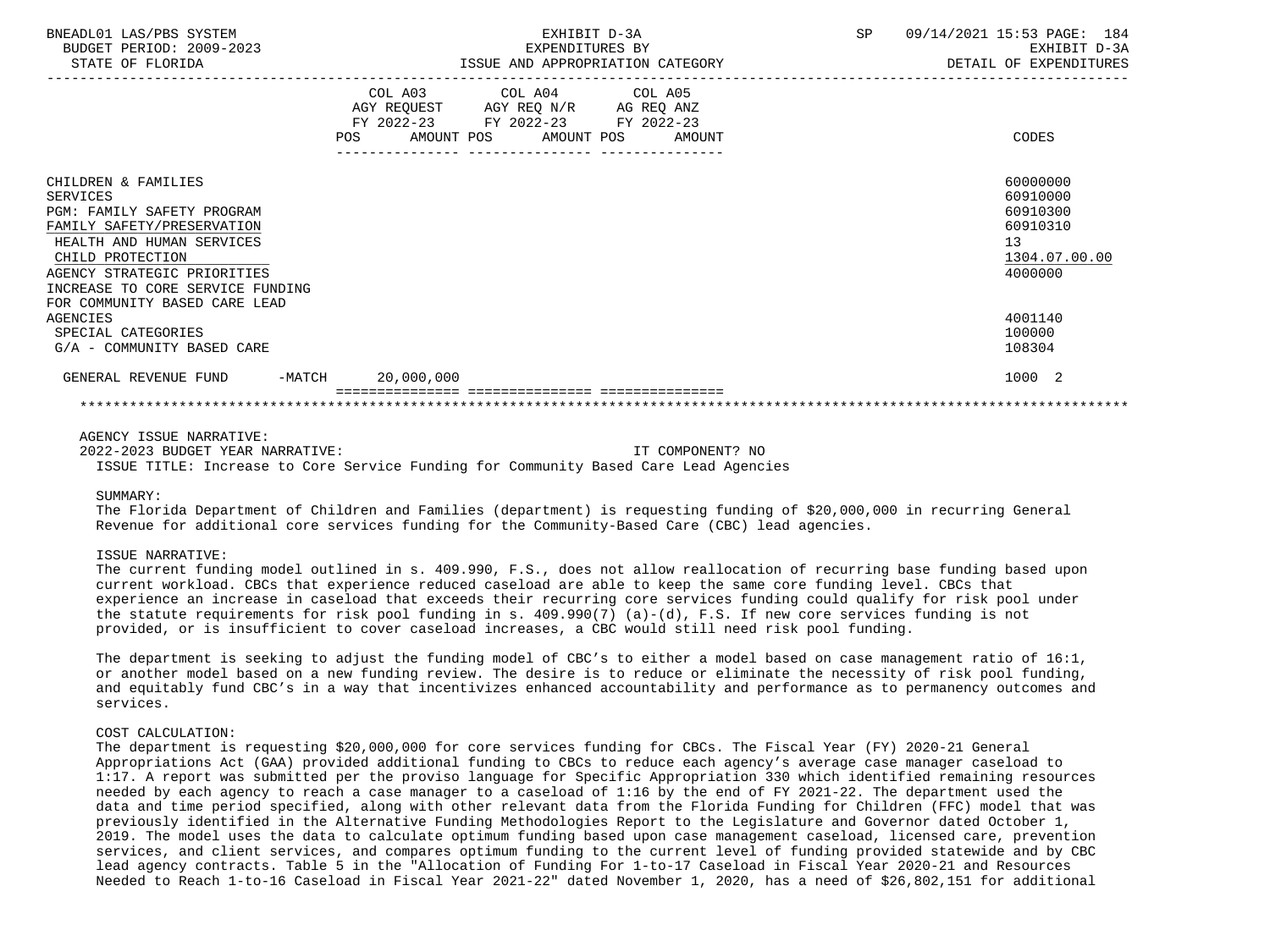| BNEADL01 LAS/PBS SYSTEM<br>BUDGET PERIOD: 2009-2023<br>STATE OF FLORIDA                                                                                                                                                                                 | EXHIBIT D-3A<br>EXPENDITURES BY<br>ISSUE AND APPROPRIATION CATEGORY                                                                      | 09/14/2021 15:53 PAGE: 184<br>SP<br>EXHIBIT D-3A<br>DETAIL OF EXPENDITURES     |
|---------------------------------------------------------------------------------------------------------------------------------------------------------------------------------------------------------------------------------------------------------|------------------------------------------------------------------------------------------------------------------------------------------|--------------------------------------------------------------------------------|
|                                                                                                                                                                                                                                                         | COL A03 COL A04 COL A05<br>AGY REQUEST AGY REQ N/R AG REQ ANZ<br>FY 2022-23 FY 2022-23 FY 2022-23<br>POS<br>AMOUNT POS AMOUNT POS AMOUNT | CODES                                                                          |
| CHILDREN & FAMILIES<br>SERVICES<br><b>PGM: FAMILY SAFETY PROGRAM</b><br>FAMILY SAFETY/PRESERVATION<br>HEALTH AND HUMAN SERVICES<br>CHILD PROTECTION<br>AGENCY STRATEGIC PRIORITIES<br>INCREASE TO CORE SERVICE FUNDING<br>FOR COMMUNITY BASED CARE LEAD |                                                                                                                                          | 60000000<br>60910000<br>60910300<br>60910310<br>13<br>1304.07.00.00<br>4000000 |
| AGENCIES<br>SPECIAL CATEGORIES<br>G/A - COMMUNITY BASED CARE                                                                                                                                                                                            |                                                                                                                                          | 4001140<br>100000<br>108304                                                    |
| GENERAL REVENUE FUND -MATCH                                                                                                                                                                                                                             | 20,000,000                                                                                                                               | 1000 2                                                                         |
|                                                                                                                                                                                                                                                         |                                                                                                                                          |                                                                                |

 2022-2023 BUDGET YEAR NARRATIVE: IT COMPONENT? NO ISSUE TITLE: Increase to Core Service Funding for Community Based Care Lead Agencies

#### SIIMMARY:

 The Florida Department of Children and Families (department) is requesting funding of \$20,000,000 in recurring General Revenue for additional core services funding for the Community-Based Care (CBC) lead agencies.

#### ISSUE NARRATIVE:

 The current funding model outlined in s. 409.990, F.S., does not allow reallocation of recurring base funding based upon current workload. CBCs that experience reduced caseload are able to keep the same core funding level. CBCs that experience an increase in caseload that exceeds their recurring core services funding could qualify for risk pool under the statute requirements for risk pool funding in s. 409.990(7) (a)-(d), F.S. If new core services funding is not provided, or is insufficient to cover caseload increases, a CBC would still need risk pool funding.

 The department is seeking to adjust the funding model of CBC's to either a model based on case management ratio of 16:1, or another model based on a new funding review. The desire is to reduce or eliminate the necessity of risk pool funding, and equitably fund CBC's in a way that incentivizes enhanced accountability and performance as to permanency outcomes and services.

### COST CALCULATION:

 The department is requesting \$20,000,000 for core services funding for CBCs. The Fiscal Year (FY) 2020-21 General Appropriations Act (GAA) provided additional funding to CBCs to reduce each agency's average case manager caseload to 1:17. A report was submitted per the proviso language for Specific Appropriation 330 which identified remaining resources needed by each agency to reach a case manager to a caseload of 1:16 by the end of FY 2021-22. The department used the data and time period specified, along with other relevant data from the Florida Funding for Children (FFC) model that was previously identified in the Alternative Funding Methodologies Report to the Legislature and Governor dated October 1, 2019. The model uses the data to calculate optimum funding based upon case management caseload, licensed care, prevention services, and client services, and compares optimum funding to the current level of funding provided statewide and by CBC lead agency contracts. Table 5 in the "Allocation of Funding For 1-to-17 Caseload in Fiscal Year 2020-21 and Resources Needed to Reach 1-to-16 Caseload in Fiscal Year 2021-22" dated November 1, 2020, has a need of \$26,802,151 for additional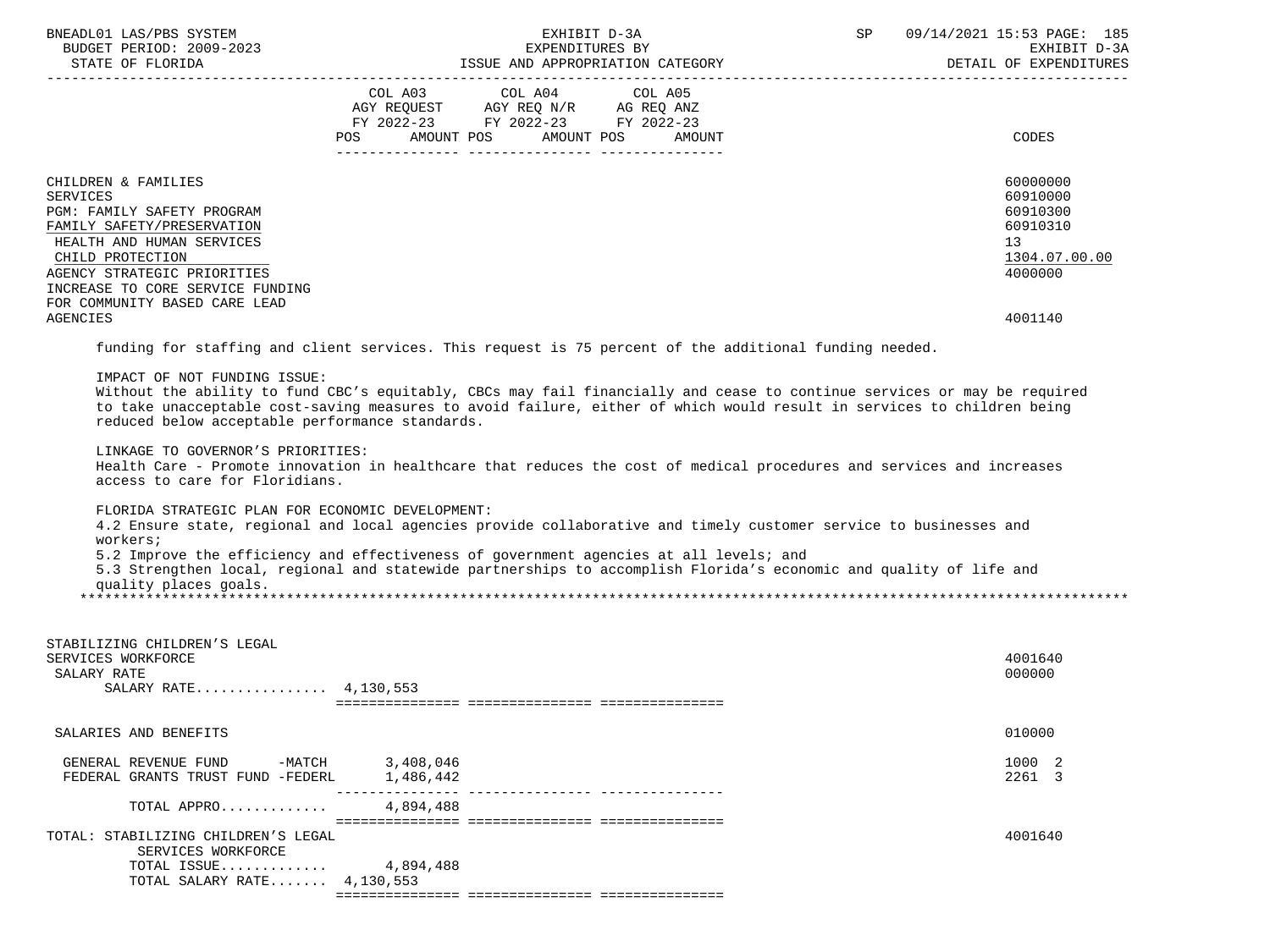| BNEADL01 LAS/PBS SYSTEM<br>BUDGET PERIOD: 2009-2023<br>STATE OF FLORIDA                                                                                                                                                                          | EXHIBIT D-3A<br>EXPENDITURES BY<br>ISSUE AND APPROPRIATION CATEGORY                                                                                                                                                                                                                                                                                                                                                                                                                              | SP 09/14/2021 15:53 PAGE: 185<br>EXHIBIT D-3A<br>DETAIL OF EXPENDITURES        |
|--------------------------------------------------------------------------------------------------------------------------------------------------------------------------------------------------------------------------------------------------|--------------------------------------------------------------------------------------------------------------------------------------------------------------------------------------------------------------------------------------------------------------------------------------------------------------------------------------------------------------------------------------------------------------------------------------------------------------------------------------------------|--------------------------------------------------------------------------------|
|                                                                                                                                                                                                                                                  | COL A03 COL A04 COL A05<br>AGY REQUEST AGY REQ N/R AG REQ ANZ<br>FY 2022-23 FY 2022-23 FY 2022-23<br>POS AMOUNT POS AMOUNT POS<br>AMOUNT                                                                                                                                                                                                                                                                                                                                                         | CODES                                                                          |
| CHILDREN & FAMILIES<br>SERVICES<br>PGM: FAMILY SAFETY PROGRAM<br>FAMILY SAFETY/PRESERVATION<br>HEALTH AND HUMAN SERVICES<br>CHILD PROTECTION<br>AGENCY STRATEGIC PRIORITIES<br>INCREASE TO CORE SERVICE FUNDING<br>FOR COMMUNITY BASED CARE LEAD |                                                                                                                                                                                                                                                                                                                                                                                                                                                                                                  | 60000000<br>60910000<br>60910300<br>60910310<br>13<br>1304.07.00.00<br>4000000 |
| <b>AGENCIES</b>                                                                                                                                                                                                                                  |                                                                                                                                                                                                                                                                                                                                                                                                                                                                                                  | 4001140                                                                        |
|                                                                                                                                                                                                                                                  | funding for staffing and client services. This request is 75 percent of the additional funding needed.                                                                                                                                                                                                                                                                                                                                                                                           |                                                                                |
| IMPACT OF NOT FUNDING ISSUE:<br>reduced below acceptable performance standards.<br>LINKAGE TO GOVERNOR'S PRIORITIES:<br>access to care for Floridians.<br>FLORIDA STRATEGIC PLAN FOR ECONOMIC DEVELOPMENT:                                       | Without the ability to fund CBC's equitably, CBCs may fail financially and cease to continue services or may be required<br>to take unacceptable cost-saving measures to avoid failure, either of which would result in services to children being<br>Health Care - Promote innovation in healthcare that reduces the cost of medical procedures and services and increases<br>4.2 Ensure state, regional and local agencies provide collaborative and timely customer service to businesses and |                                                                                |
| workers;<br>quality places goals.                                                                                                                                                                                                                | 5.2 Improve the efficiency and effectiveness of government agencies at all levels; and<br>5.3 Strengthen local, regional and statewide partnerships to accomplish Florida's economic and quality of life and                                                                                                                                                                                                                                                                                     |                                                                                |
| STABILIZING CHILDREN'S LEGAL<br>SERVICES WORKFORCE<br>SALARY RATE<br>SALARY RATE 4, 130, 553                                                                                                                                                     |                                                                                                                                                                                                                                                                                                                                                                                                                                                                                                  | 4001640<br>000000                                                              |
| SALARIES AND BENEFITS                                                                                                                                                                                                                            |                                                                                                                                                                                                                                                                                                                                                                                                                                                                                                  | 010000                                                                         |
| GENERAL REVENUE FUND -MATCH 3,408,046<br>FEDERAL GRANTS TRUST FUND -FEDERL 1,486,442                                                                                                                                                             | ---------------                                                                                                                                                                                                                                                                                                                                                                                                                                                                                  | 1000 2<br>2261 3                                                               |
| TOTAL APPRO                                                                                                                                                                                                                                      | 4,894,488                                                                                                                                                                                                                                                                                                                                                                                                                                                                                        |                                                                                |
| TOTAL: STABILIZING CHILDREN'S LEGAL                                                                                                                                                                                                              |                                                                                                                                                                                                                                                                                                                                                                                                                                                                                                  | 4001640                                                                        |
| SERVICES WORKFORCE<br>TOTAL ISSUE<br>TOTAL SALARY RATE $4,130,553$                                                                                                                                                                               | 4,894,488                                                                                                                                                                                                                                                                                                                                                                                                                                                                                        |                                                                                |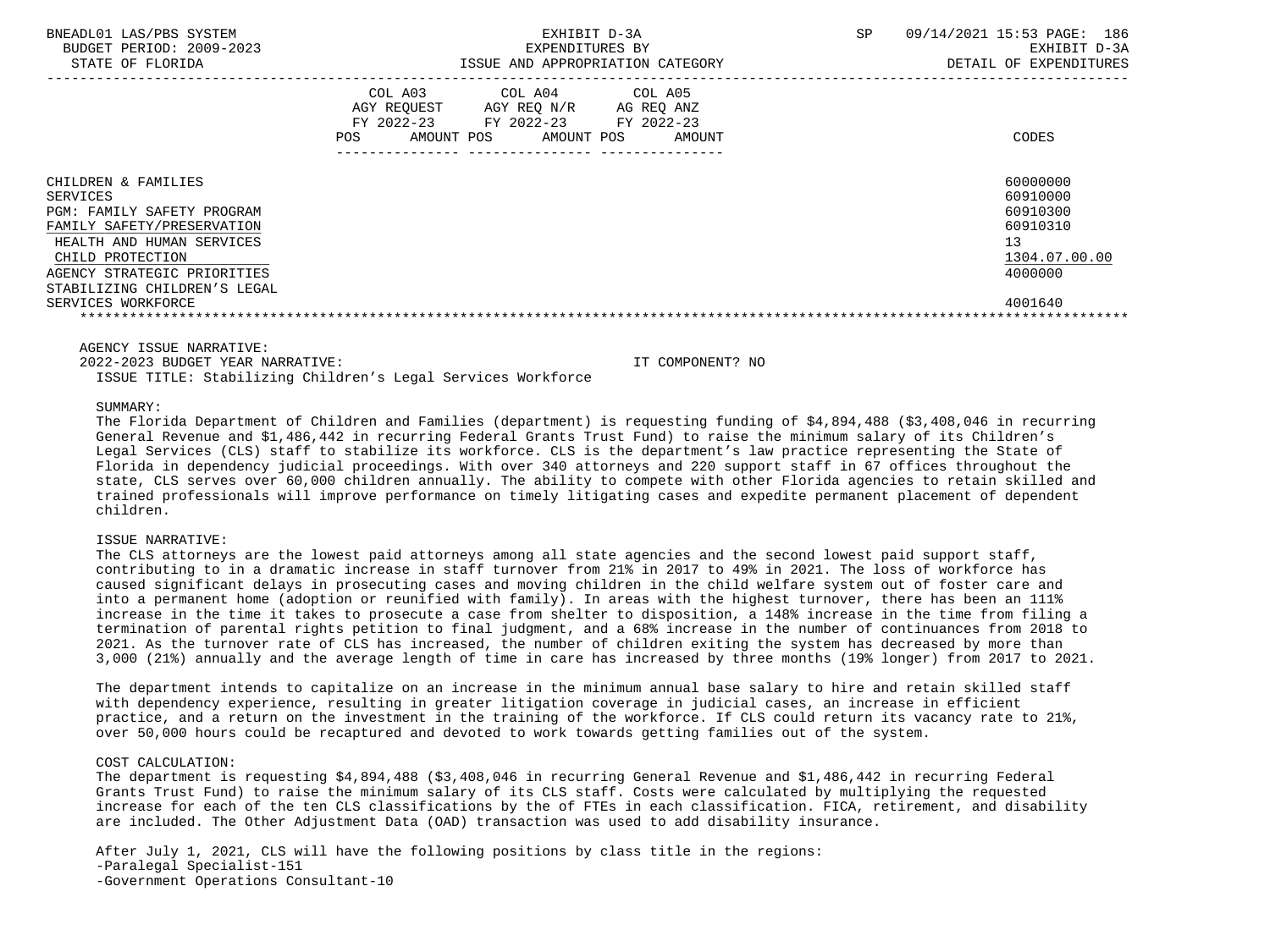| BNEADL01 LAS/PBS SYSTEM<br>BUDGET PERIOD: 2009-2023<br>STATE OF FLORIDA                                                                                                                                                                  | EXHIBIT D-3A<br>EXPENDITURES BY<br>ISSUE AND APPROPRIATION CATEGORY                                                                                      | 09/14/2021 15:53 PAGE: 186<br><b>SP</b><br>EXHIBIT D-3A<br>DETAIL OF EXPENDITURES         |
|------------------------------------------------------------------------------------------------------------------------------------------------------------------------------------------------------------------------------------------|----------------------------------------------------------------------------------------------------------------------------------------------------------|-------------------------------------------------------------------------------------------|
|                                                                                                                                                                                                                                          | COL A03 COL A04 COL A05<br>AGY REOUEST<br>AGY REQ N/R<br>AG REO ANZ<br>FY 2022-23 FY 2022-23 FY 2022-23<br><b>POS</b><br>AMOUNT POS AMOUNT POS<br>AMOUNT | CODES                                                                                     |
| CHILDREN & FAMILIES<br>SERVICES<br><b>PGM: FAMILY SAFETY PROGRAM</b><br>FAMILY SAFETY/PRESERVATION<br>HEALTH AND HUMAN SERVICES<br>CHILD PROTECTION<br>AGENCY STRATEGIC PRIORITIES<br>STABILIZING CHILDREN'S LEGAL<br>SERVICES WORKFORCE |                                                                                                                                                          | 60000000<br>60910000<br>60910300<br>60910310<br>13<br>1304.07.00.00<br>4000000<br>4001640 |

2022-2023 BUDGET YEAR NARRATIVE: IT COMPONENT? NO

ISSUE TITLE: Stabilizing Children's Legal Services Workforce

#### SUMMARY:

 The Florida Department of Children and Families (department) is requesting funding of \$4,894,488 (\$3,408,046 in recurring General Revenue and \$1,486,442 in recurring Federal Grants Trust Fund) to raise the minimum salary of its Children's Legal Services (CLS) staff to stabilize its workforce. CLS is the department's law practice representing the State of Florida in dependency judicial proceedings. With over 340 attorneys and 220 support staff in 67 offices throughout the state, CLS serves over 60,000 children annually. The ability to compete with other Florida agencies to retain skilled and trained professionals will improve performance on timely litigating cases and expedite permanent placement of dependent children.

## ISSUE NARRATIVE:

 The CLS attorneys are the lowest paid attorneys among all state agencies and the second lowest paid support staff, contributing to in a dramatic increase in staff turnover from 21% in 2017 to 49% in 2021. The loss of workforce has caused significant delays in prosecuting cases and moving children in the child welfare system out of foster care and into a permanent home (adoption or reunified with family). In areas with the highest turnover, there has been an 111% increase in the time it takes to prosecute a case from shelter to disposition, a 148% increase in the time from filing a termination of parental rights petition to final judgment, and a 68% increase in the number of continuances from 2018 to 2021. As the turnover rate of CLS has increased, the number of children exiting the system has decreased by more than 3,000 (21%) annually and the average length of time in care has increased by three months (19% longer) from 2017 to 2021.

 The department intends to capitalize on an increase in the minimum annual base salary to hire and retain skilled staff with dependency experience, resulting in greater litigation coverage in judicial cases, an increase in efficient practice, and a return on the investment in the training of the workforce. If CLS could return its vacancy rate to 21%, over 50,000 hours could be recaptured and devoted to work towards getting families out of the system.

#### COST CALCULATION:

 The department is requesting \$4,894,488 (\$3,408,046 in recurring General Revenue and \$1,486,442 in recurring Federal Grants Trust Fund) to raise the minimum salary of its CLS staff. Costs were calculated by multiplying the requested increase for each of the ten CLS classifications by the of FTEs in each classification. FICA, retirement, and disability are included. The Other Adjustment Data (OAD) transaction was used to add disability insurance.

 After July 1, 2021, CLS will have the following positions by class title in the regions: -Paralegal Specialist-151 -Government Operations Consultant-10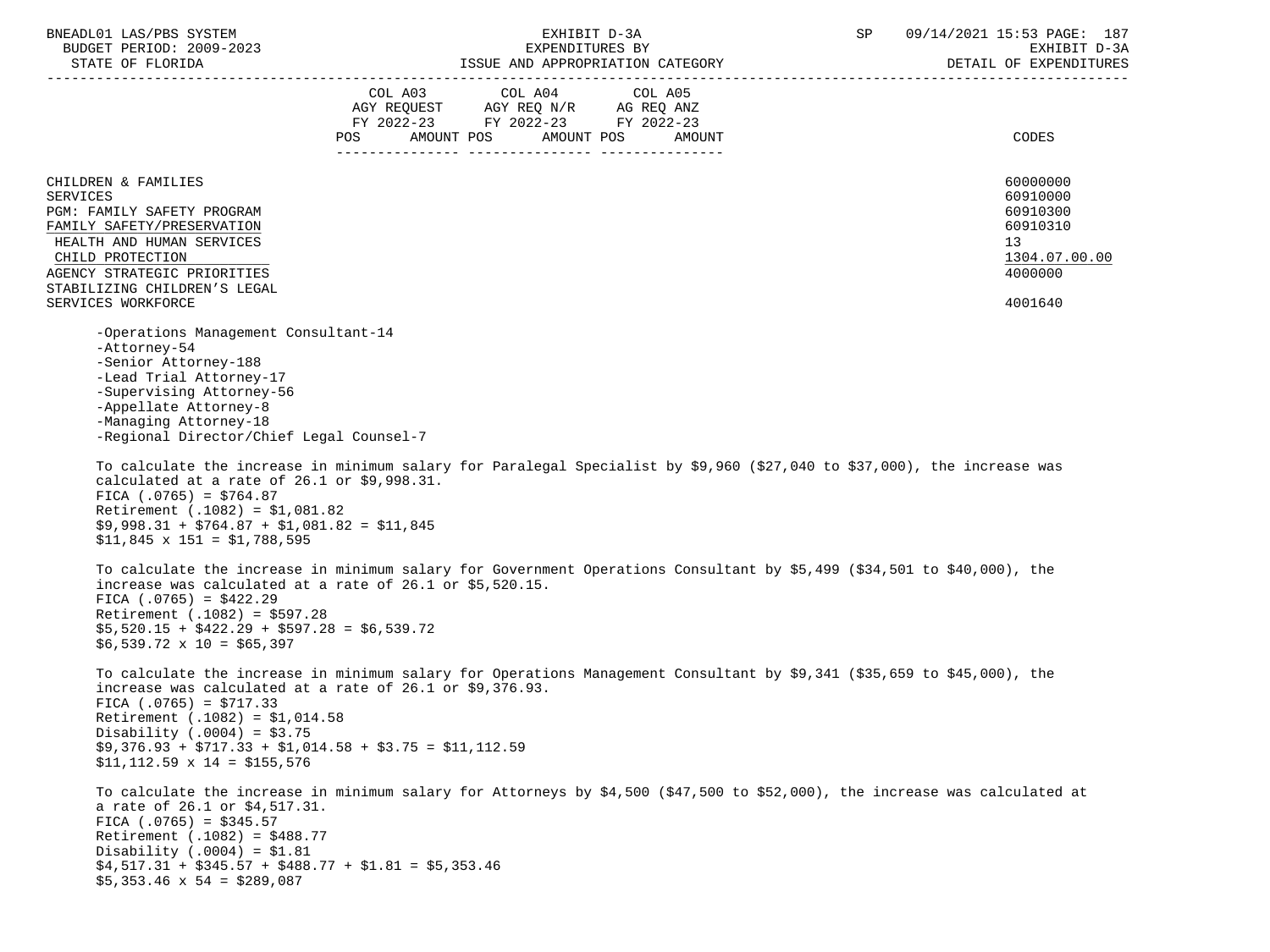| BNEADL01 LAS/PBS SYSTEM                                                                                                                                                                                                                                 | EXHIBIT D-3A    |                                    |         | 09/14/2021 15:53 PAGE: 187<br>SP                                                                                            |                        |  |
|---------------------------------------------------------------------------------------------------------------------------------------------------------------------------------------------------------------------------------------------------------|-----------------|------------------------------------|---------|-----------------------------------------------------------------------------------------------------------------------------|------------------------|--|
| BUDGET PERIOD: 2009-2023                                                                                                                                                                                                                                | EXPENDITURES BY |                                    |         | EXHIBIT D-3A                                                                                                                |                        |  |
|                                                                                                                                                                                                                                                         |                 |                                    |         |                                                                                                                             | DETAIL OF EXPENDITURES |  |
|                                                                                                                                                                                                                                                         |                 | COL A03 COL A04                    | COL A05 |                                                                                                                             |                        |  |
|                                                                                                                                                                                                                                                         |                 | AGY REQUEST AGY REQ N/R AG REQ ANZ |         |                                                                                                                             |                        |  |
|                                                                                                                                                                                                                                                         |                 | FY 2022-23 FY 2022-23 FY 2022-23   |         |                                                                                                                             |                        |  |
|                                                                                                                                                                                                                                                         |                 | POS AMOUNT POS AMOUNT POS          | AMOUNT  |                                                                                                                             | CODES                  |  |
|                                                                                                                                                                                                                                                         |                 |                                    |         |                                                                                                                             |                        |  |
|                                                                                                                                                                                                                                                         |                 |                                    |         |                                                                                                                             |                        |  |
| CHILDREN & FAMILIES                                                                                                                                                                                                                                     |                 |                                    |         |                                                                                                                             | 60000000<br>60910000   |  |
| <b>SERVICES</b><br>PGM: FAMILY SAFETY PROGRAM                                                                                                                                                                                                           |                 |                                    |         |                                                                                                                             | 60910300               |  |
| FAMILY SAFETY/PRESERVATION                                                                                                                                                                                                                              |                 |                                    |         |                                                                                                                             | 60910310               |  |
| HEALTH AND HUMAN SERVICES                                                                                                                                                                                                                               |                 |                                    |         |                                                                                                                             | 13                     |  |
| CHILD PROTECTION                                                                                                                                                                                                                                        |                 |                                    |         |                                                                                                                             | 1304.07.00.00          |  |
| AGENCY STRATEGIC PRIORITIES                                                                                                                                                                                                                             |                 |                                    |         |                                                                                                                             | 4000000                |  |
| STABILIZING CHILDREN'S LEGAL                                                                                                                                                                                                                            |                 |                                    |         |                                                                                                                             |                        |  |
| SERVICES WORKFORCE                                                                                                                                                                                                                                      |                 |                                    |         |                                                                                                                             | 4001640                |  |
|                                                                                                                                                                                                                                                         |                 |                                    |         |                                                                                                                             |                        |  |
| -Operations Management Consultant-14<br>-Attorney-54                                                                                                                                                                                                    |                 |                                    |         |                                                                                                                             |                        |  |
| -Senior Attorney-188                                                                                                                                                                                                                                    |                 |                                    |         |                                                                                                                             |                        |  |
| -Lead Trial Attorney-17                                                                                                                                                                                                                                 |                 |                                    |         |                                                                                                                             |                        |  |
| -Supervising Attorney-56                                                                                                                                                                                                                                |                 |                                    |         |                                                                                                                             |                        |  |
| -Appellate Attorney-8                                                                                                                                                                                                                                   |                 |                                    |         |                                                                                                                             |                        |  |
| -Managing Attorney-18                                                                                                                                                                                                                                   |                 |                                    |         |                                                                                                                             |                        |  |
| -Regional Director/Chief Legal Counsel-7                                                                                                                                                                                                                |                 |                                    |         |                                                                                                                             |                        |  |
| calculated at a rate of $26.1$ or $$9,998.31$ .<br>FICA $(.0765) = $764.87$<br>Retirement $(.1082) = $1,081.82$<br>$$9,998.31 + $764.87 + $1,081.82 = $11,845$<br>$$11,845 \times 151 = $1,788,595$                                                     |                 |                                    |         | To calculate the increase in minimum salary for Paralegal Specialist by \$9,960 (\$27,040 to \$37,000), the increase was    |                        |  |
| increase was calculated at a rate of 26.1 or \$5,520.15.<br>FICA $(.0765) = $422.29$<br>Retirement $(.1082) = $597.28$<br>$$5,520.15 + $422.29 + $597.28 = $6,539.72$<br>$$6,539.72 \times 10 = $65,397$                                                |                 |                                    |         | To calculate the increase in minimum salary for Government Operations Consultant by \$5,499 (\$34,501 to \$40,000), the     |                        |  |
| increase was calculated at a rate of 26.1 or \$9,376.93.<br>FICA $(.0765) = $717.33$<br>Retirement (.1082) = \$1,014.58<br>Disability (.0004) = $$3.75$<br>$$9,376.93 + $717.33 + $1,014.58 + $3.75 = $11,112.59$<br>$$11, 112.59 \times 14 = $155,576$ |                 |                                    |         | To calculate the increase in minimum salary for Operations Management Consultant by \$9,341 (\$35,659 to \$45,000), the     |                        |  |
| a rate of 26.1 or \$4,517.31.<br>FICA $(.0765) = $345.57$<br>Retirement (.1082) = \$488.77<br>Disability (.0004) = $$1.81$<br>$$4,517.31 + $345.57 + $488.77 + $1.81 = $5,353.46$<br>$$5,353.46 \times 54 = $289.087$                                   |                 |                                    |         | To calculate the increase in minimum salary for Attorneys by \$4,500 (\$47,500 to \$52,000), the increase was calculated at |                        |  |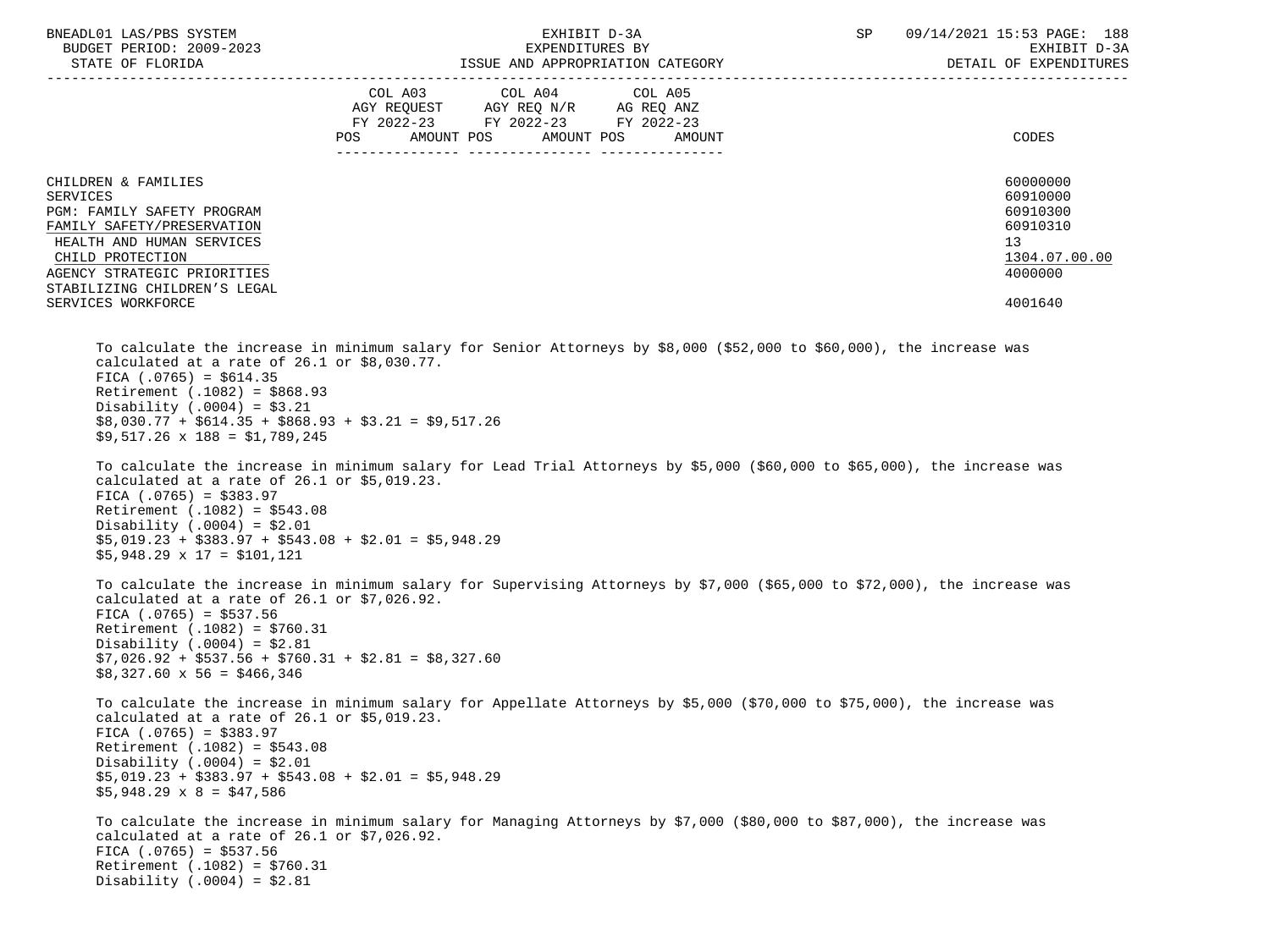| BNEADL01 LAS/PBS SYSTEM                                                                                                                                                                                                                                                                                                                                                                                                                                                                | EXHIBIT D-3A                                                                                                                                                                                                                                     | 09/14/2021 15:53 PAGE: 188<br>SP                                                          |
|----------------------------------------------------------------------------------------------------------------------------------------------------------------------------------------------------------------------------------------------------------------------------------------------------------------------------------------------------------------------------------------------------------------------------------------------------------------------------------------|--------------------------------------------------------------------------------------------------------------------------------------------------------------------------------------------------------------------------------------------------|-------------------------------------------------------------------------------------------|
| BUDGET PERIOD: 2009-2023<br>STATE OF FLORIDA                                                                                                                                                                                                                                                                                                                                                                                                                                           | EXPENDITURES BY<br>ISSUE AND APPROPRIATION CATEGORY                                                                                                                                                                                              | EXHIBIT D-3A<br>DETAIL OF EXPENDITURES                                                    |
|                                                                                                                                                                                                                                                                                                                                                                                                                                                                                        | COL A03 COL A04<br>COL A05<br>AGY REQUEST AGY REQ N/R AG REQ ANZ<br>FY 2022-23 FY 2022-23 FY 2022-23<br>AMOUNT POS<br>AMOUNT POS<br>POS<br>AMOUNT                                                                                                | CODES                                                                                     |
| CHILDREN & FAMILIES<br>SERVICES<br>PGM: FAMILY SAFETY PROGRAM<br>FAMILY SAFETY/PRESERVATION<br>HEALTH AND HUMAN SERVICES<br>CHILD PROTECTION<br>AGENCY STRATEGIC PRIORITIES<br>STABILIZING CHILDREN'S LEGAL<br>SERVICES WORKFORCE                                                                                                                                                                                                                                                      |                                                                                                                                                                                                                                                  | 60000000<br>60910000<br>60910300<br>60910310<br>13<br>1304.07.00.00<br>4000000<br>4001640 |
| calculated at a rate of $26.1$ or $$8,030.77$ .<br>FICA $(.0765) = $614.35$<br>Retirement $(.1082) = $868.93$<br>Disability (.0004) = $$3.21$<br>$$8,030.77 + $614.35 + $868.93 + $3.21 = $9,517.26$<br>$$9,517.26 \times 188 = $1,789.245$<br>calculated at a rate of $26.1$ or $$5,019.23$ .<br>FICA $(.0765) = $383.97$<br>Retirement (.1082) = \$543.08<br>Disability (.0004) = $$2.01$<br>$$5,019.23 + $383.97 + $543.08 + $2.01 = $5,948.29$<br>$$5,948.29 \times 17 = $101,121$ | To calculate the increase in minimum salary for Senior Attorneys by \$8,000 (\$52,000 to \$60,000), the increase was<br>To calculate the increase in minimum salary for Lead Trial Attorneys by \$5,000 (\$60,000 to \$65,000), the increase was |                                                                                           |
| calculated at a rate of $26.1$ or $$7,026.92$ .<br>FICA $(.0765) = $537.56$<br>Retirement $(.1082) = $760.31$<br>Disability (.0004) = $$2.81$<br>$$7,026.92 + $537.56 + $760.31 + $2.81 = $8,327.60$<br>$$8,327.60 \times 56 = $466,346$                                                                                                                                                                                                                                               | To calculate the increase in minimum salary for Supervising Attorneys by \$7,000 (\$65,000 to \$72,000), the increase was                                                                                                                        |                                                                                           |
| calculated at a rate of $26.1$ or $$5,019.23$ .<br>FICA $(.0765) = $383.97$<br>Retirement $(.1082) = $543.08$<br>Disability $(.0004) = $2.01$<br>$$5,019.23 + $383.97 + $543.08 + $2.01 = $5,948.29$<br>$$5,948.29 \times 8 = $47,586$                                                                                                                                                                                                                                                 | To calculate the increase in minimum salary for Appellate Attorneys by \$5,000 (\$70,000 to \$75,000), the increase was                                                                                                                          |                                                                                           |
| calculated at a rate of $26.1$ or \$7,026.92.<br>FICA $(.0765) = $537.56$<br>Retirement $(.1082) = $760.31$<br>Disability $(.0004) = $2.81$                                                                                                                                                                                                                                                                                                                                            | To calculate the increase in minimum salary for Managing Attorneys by \$7,000 (\$80,000 to \$87,000), the increase was                                                                                                                           |                                                                                           |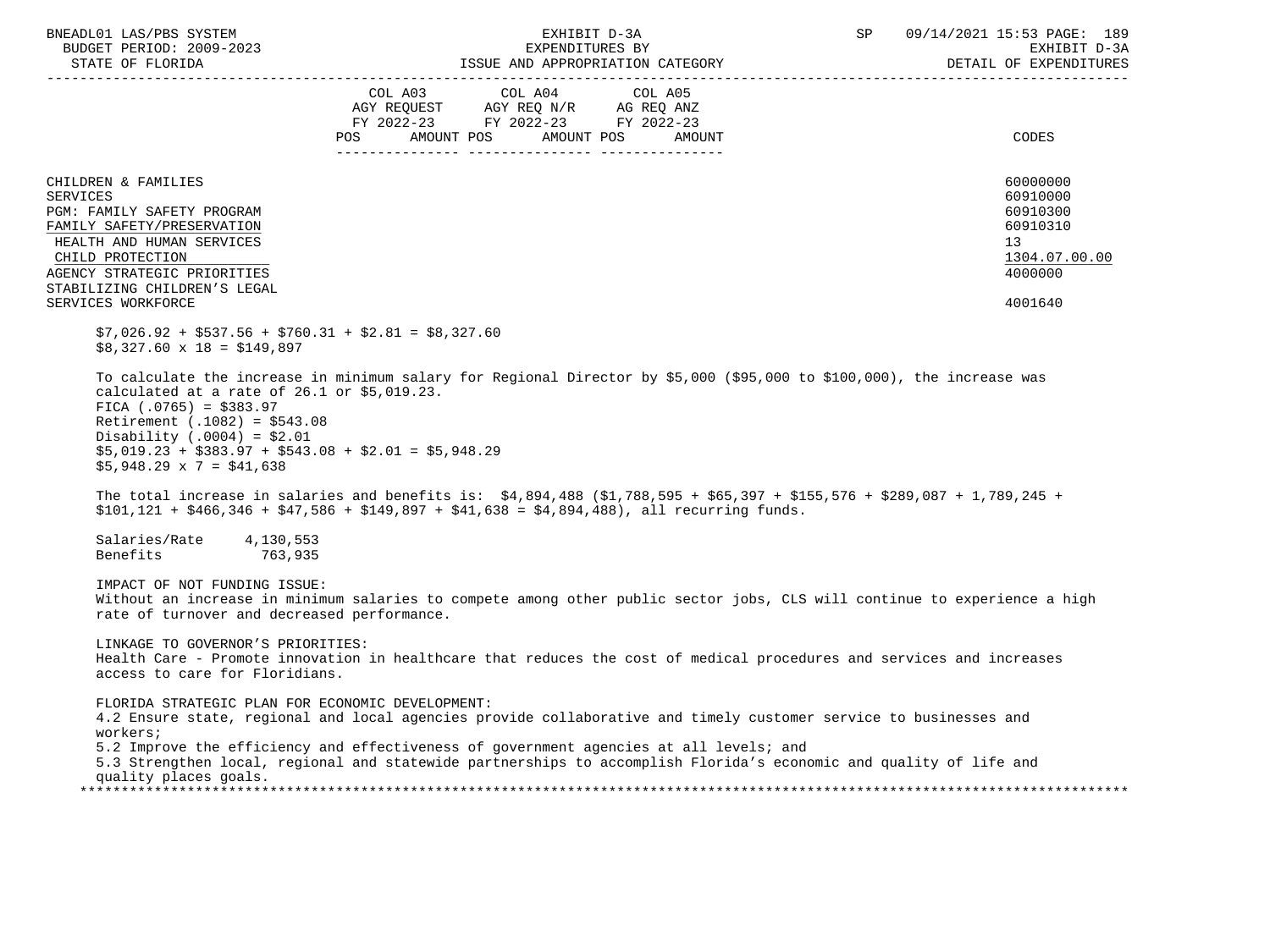| BNEADL01 LAS/PBS SYSTEM<br>BUDGET PERIOD: 2009-2023<br>STATE OF FLORIDA                                                                                                                                                                | EXHIBIT D-3A<br>EXPENDITURES BY<br>ISSUE AND APPROPRIATION CATEGORY                                                                                                                                                                                                                                                                             | SP | 09/14/2021 15:53 PAGE: 189<br>EXHIBIT D-3A<br>DETAIL OF EXPENDITURES           |
|----------------------------------------------------------------------------------------------------------------------------------------------------------------------------------------------------------------------------------------|-------------------------------------------------------------------------------------------------------------------------------------------------------------------------------------------------------------------------------------------------------------------------------------------------------------------------------------------------|----|--------------------------------------------------------------------------------|
|                                                                                                                                                                                                                                        | COL A03 COL A04 COL A05<br>AGY REQUEST AGY REQ N/R AG REQ ANZ<br>FY 2022-23 FY 2022-23 FY 2022-23<br>AMOUNT POS<br>AMOUNT POS<br><b>POS</b><br>AMOUNT                                                                                                                                                                                           |    | CODES                                                                          |
| CHILDREN & FAMILIES<br><b>SERVICES</b><br>PGM: FAMILY SAFETY PROGRAM<br>FAMILY SAFETY/PRESERVATION<br>HEALTH AND HUMAN SERVICES<br>CHILD PROTECTION<br>AGENCY STRATEGIC PRIORITIES<br>STABILIZING CHILDREN'S LEGAL                     |                                                                                                                                                                                                                                                                                                                                                 |    | 60000000<br>60910000<br>60910300<br>60910310<br>13<br>1304.07.00.00<br>4000000 |
| SERVICES WORKFORCE                                                                                                                                                                                                                     |                                                                                                                                                                                                                                                                                                                                                 |    | 4001640                                                                        |
| $$7,026.92 + $537.56 + $760.31 + $2.81 = $8,327.60$<br>$$8,327.60 \times 18 = $149,897$                                                                                                                                                |                                                                                                                                                                                                                                                                                                                                                 |    |                                                                                |
| calculated at a rate of $26.1$ or $$5,019.23$ .<br>FICA $(.0765) = $383.97$<br>Retirement $(.1082) = $543.08$<br>Disability (.0004) = $$2.01$<br>$$5,019.23 + $383.97 + $543.08 + $2.01 = $5,948.29$<br>$$5,948.29 \times 7 = $41,638$ | To calculate the increase in minimum salary for Regional Director by \$5,000 (\$95,000 to \$100,000), the increase was<br>The total increase in salaries and benefits is: \$4,894,488 (\$1,788,595 + \$65,397 + \$155,576 + \$289,087 + 1,789,245 +<br>$$101,121 + $466,346 + $47,586 + $149,897 + $41,638 = $4,894,488$ , all recurring funds. |    |                                                                                |
| Salaries/Rate<br>4,130,553<br>Benefits<br>763,935                                                                                                                                                                                      |                                                                                                                                                                                                                                                                                                                                                 |    |                                                                                |
| IMPACT OF NOT FUNDING ISSUE:<br>rate of turnover and decreased performance.                                                                                                                                                            | Without an increase in minimum salaries to compete among other public sector jobs, CLS will continue to experience a high                                                                                                                                                                                                                       |    |                                                                                |
| LINKAGE TO GOVERNOR'S PRIORITIES:<br>access to care for Floridians.                                                                                                                                                                    | Health Care - Promote innovation in healthcare that reduces the cost of medical procedures and services and increases                                                                                                                                                                                                                           |    |                                                                                |
| FLORIDA STRATEGIC PLAN FOR ECONOMIC DEVELOPMENT:<br>workers;<br>quality places goals.                                                                                                                                                  | 4.2 Ensure state, regional and local agencies provide collaborative and timely customer service to businesses and<br>5.2 Improve the efficiency and effectiveness of government agencies at all levels; and<br>5.3 Strengthen local, regional and statewide partnerships to accomplish Florida's economic and quality of life and               |    |                                                                                |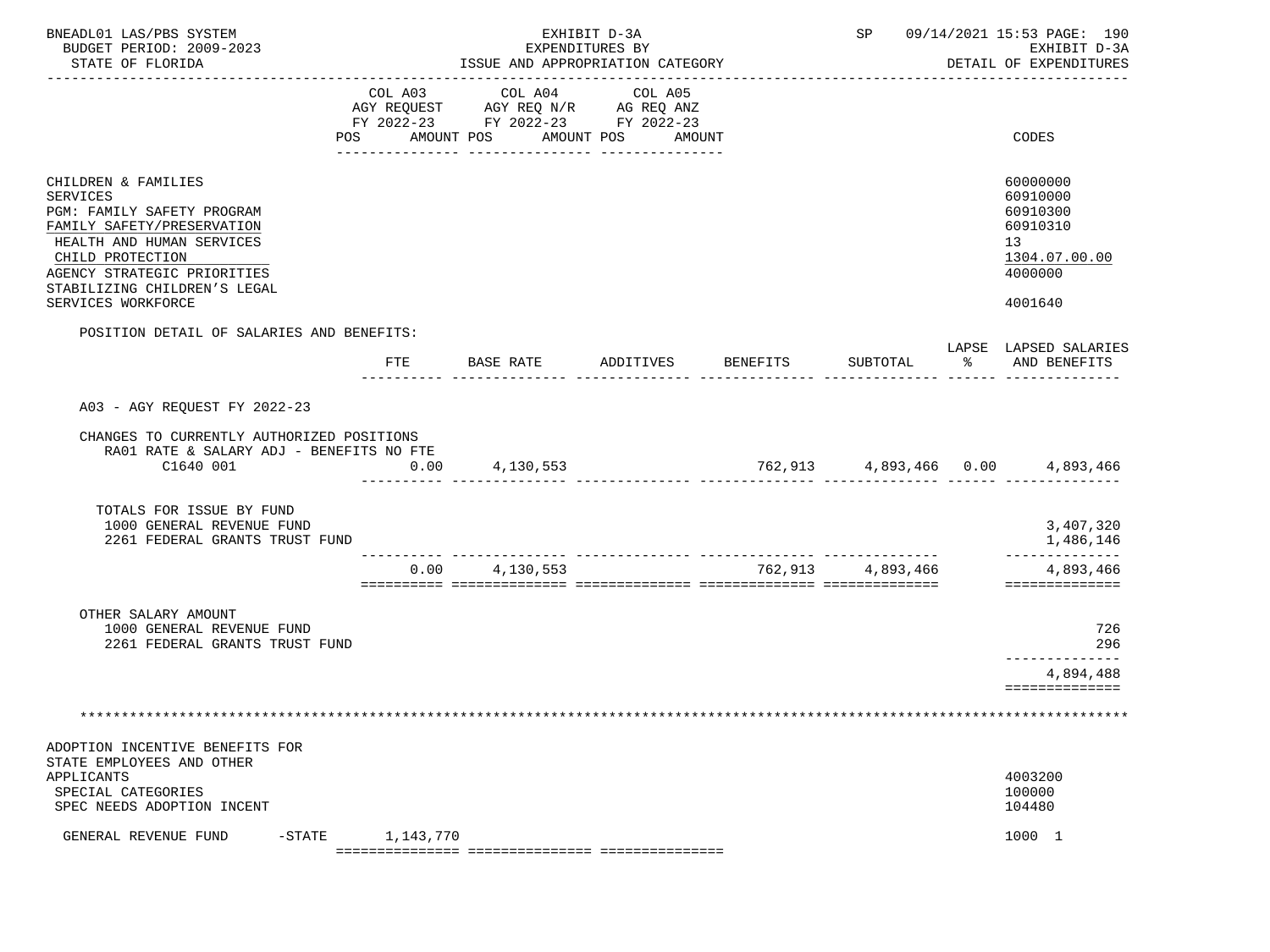| BNEADL01 LAS/PBS SYSTEM<br>BUDGET PERIOD: 2009-2023<br>STATE OF FLORIDA<br>------------------------                                                                                                                               |                           | ISSUE AND APPROPRIATION CATEGORY                                                  | EXHIBIT D-3A<br>EXPENDITURES BY |                    |                                           | SP 09/14/2021 15:53 PAGE: 190<br>EXHIBIT D-3A<br>DETAIL OF EXPENDITURES                   |
|-----------------------------------------------------------------------------------------------------------------------------------------------------------------------------------------------------------------------------------|---------------------------|-----------------------------------------------------------------------------------|---------------------------------|--------------------|-------------------------------------------|-------------------------------------------------------------------------------------------|
|                                                                                                                                                                                                                                   | COL A03<br>POS AMOUNT POS | COL A04<br>AGY REQUEST AGY REQ N/R AG REQ ANZ<br>FY 2022-23 FY 2022-23 FY 2022-23 | COL A05<br>AMOUNT POS AMOUNT    |                    |                                           | CODES                                                                                     |
| CHILDREN & FAMILIES<br>SERVICES<br>PGM: FAMILY SAFETY PROGRAM<br>FAMILY SAFETY/PRESERVATION<br>HEALTH AND HUMAN SERVICES<br>CHILD PROTECTION<br>AGENCY STRATEGIC PRIORITIES<br>STABILIZING CHILDREN'S LEGAL<br>SERVICES WORKFORCE |                           |                                                                                   |                                 |                    |                                           | 60000000<br>60910000<br>60910300<br>60910310<br>13<br>1304.07.00.00<br>4000000<br>4001640 |
| POSITION DETAIL OF SALARIES AND BENEFITS:                                                                                                                                                                                         |                           |                                                                                   |                                 |                    |                                           | LAPSE LAPSED SALARIES                                                                     |
|                                                                                                                                                                                                                                   | FTE                       | BASE RATE                                                                         |                                 | ADDITIVES BENEFITS | SUBTOTAL<br>------- -------------- ------ | AND BENEFITS                                                                              |
| A03 - AGY REQUEST FY 2022-23<br>CHANGES TO CURRENTLY AUTHORIZED POSITIONS<br>RA01 RATE & SALARY ADJ - BENEFITS NO FTE<br>C1640 001                                                                                                | 0.00                      | 4,130,553                                                                         |                                 |                    |                                           | $762,913$ $4,893,466$ $0.00$ $4,893,466$                                                  |
|                                                                                                                                                                                                                                   |                           |                                                                                   |                                 |                    |                                           |                                                                                           |
| TOTALS FOR ISSUE BY FUND<br>1000 GENERAL REVENUE FUND<br>2261 FEDERAL GRANTS TRUST FUND                                                                                                                                           |                           |                                                                                   |                                 |                    |                                           | 3,407,320<br>1,486,146                                                                    |
|                                                                                                                                                                                                                                   |                           | $0.00$ 4, 130, 553                                                                |                                 |                    | 762,913 4,893,466                         | ______________<br>4,893,466<br>==============                                             |
| OTHER SALARY AMOUNT<br>1000 GENERAL REVENUE FUND<br>2261 FEDERAL GRANTS TRUST FUND                                                                                                                                                |                           |                                                                                   |                                 |                    |                                           | 726<br>296<br>-------------                                                               |
|                                                                                                                                                                                                                                   |                           |                                                                                   |                                 |                    |                                           | 4,894,488<br>==============                                                               |
|                                                                                                                                                                                                                                   |                           |                                                                                   |                                 |                    |                                           |                                                                                           |
|                                                                                                                                                                                                                                   |                           |                                                                                   |                                 |                    |                                           |                                                                                           |
| ADOPTION INCENTIVE BENEFITS FOR<br>STATE EMPLOYEES AND OTHER<br>APPLICANTS<br>SPECIAL CATEGORIES<br>SPEC NEEDS ADOPTION INCENT                                                                                                    |                           |                                                                                   |                                 |                    |                                           | 4003200<br>100000<br>104480                                                               |
| $-$ STATE<br>GENERAL REVENUE FUND                                                                                                                                                                                                 | 1,143,770                 |                                                                                   |                                 |                    |                                           | 1000 1                                                                                    |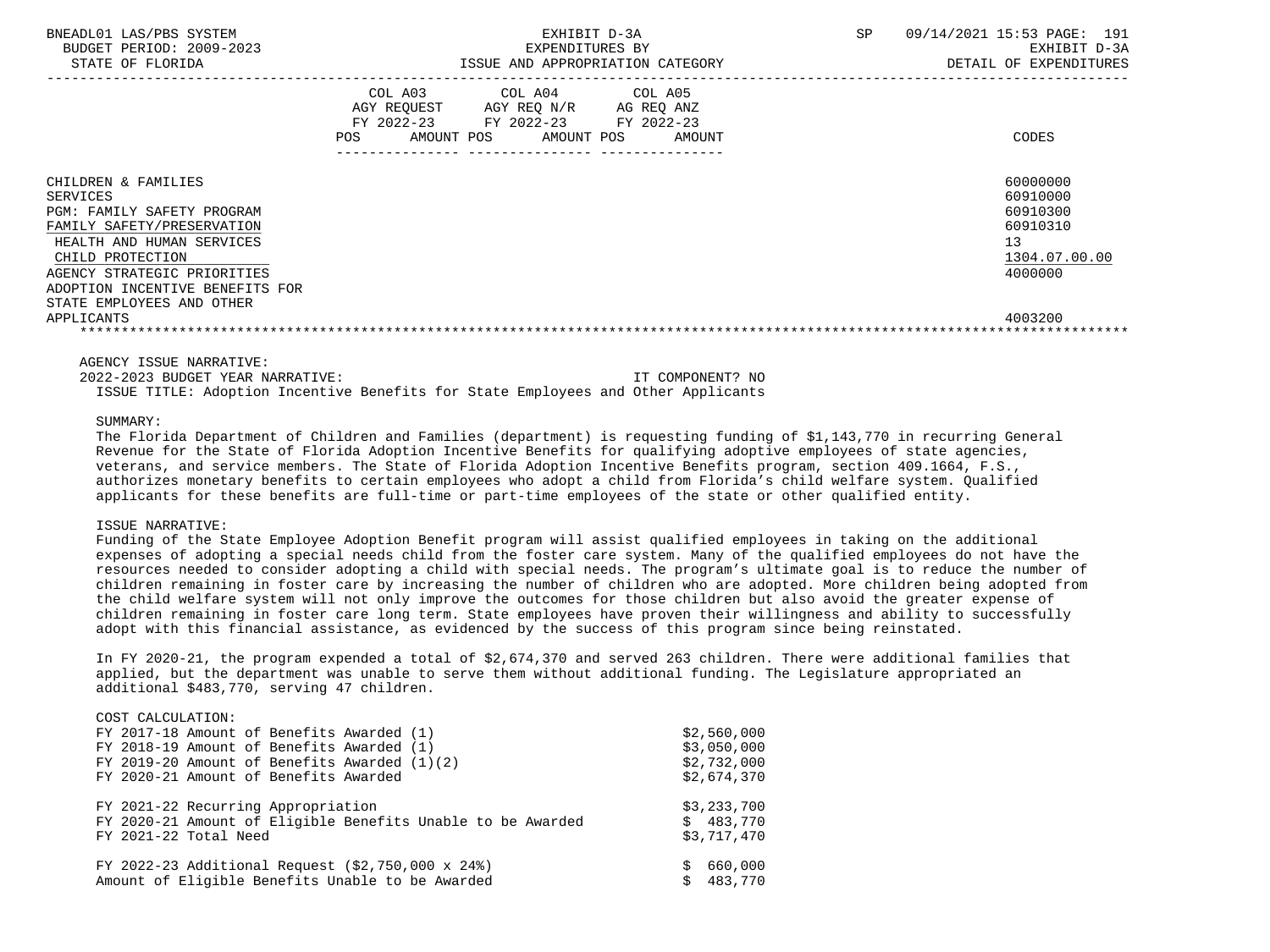| BNEADL01 LAS/PBS SYSTEM<br>BUDGET PERIOD: 2009-2023<br>STATE OF FLORIDA                                                                                                                                                                                          | EXHIBIT D-3A<br>EXPENDITURES BY<br>ISSUE AND APPROPRIATION CATEGORY                                                                         | <b>SP</b><br>09/14/2021 15:53 PAGE: 191<br>EXHIBIT D-3A<br>DETAIL OF EXPENDITURES         |
|------------------------------------------------------------------------------------------------------------------------------------------------------------------------------------------------------------------------------------------------------------------|---------------------------------------------------------------------------------------------------------------------------------------------|-------------------------------------------------------------------------------------------|
|                                                                                                                                                                                                                                                                  | COL A03 COL A04 COL A05<br>AGY REQUEST AGY REQ N/R AG REQ ANZ<br>FY 2022-23 FY 2022-23 FY 2022-23<br>AMOUNT POS AMOUNT POS<br>POS<br>AMOUNT | CODES                                                                                     |
| CHILDREN & FAMILIES<br>SERVICES<br><b>PGM: FAMILY SAFETY PROGRAM</b><br>FAMILY SAFETY/PRESERVATION<br>HEALTH AND HUMAN SERVICES<br>CHILD PROTECTION<br>AGENCY STRATEGIC PRIORITIES<br>ADOPTION INCENTIVE BENEFITS FOR<br>STATE EMPLOYEES AND OTHER<br>APPLICANTS |                                                                                                                                             | 60000000<br>60910000<br>60910300<br>60910310<br>13<br>1304.07.00.00<br>4000000<br>4003200 |

 2022-2023 BUDGET YEAR NARRATIVE: IT COMPONENT? NO ISSUE TITLE: Adoption Incentive Benefits for State Employees and Other Applicants

### SUMMARY:

 The Florida Department of Children and Families (department) is requesting funding of \$1,143,770 in recurring General Revenue for the State of Florida Adoption Incentive Benefits for qualifying adoptive employees of state agencies, veterans, and service members. The State of Florida Adoption Incentive Benefits program, section 409.1664, F.S., authorizes monetary benefits to certain employees who adopt a child from Florida's child welfare system. Qualified applicants for these benefits are full-time or part-time employees of the state or other qualified entity.

### ISSUE NARRATIVE:

 Funding of the State Employee Adoption Benefit program will assist qualified employees in taking on the additional expenses of adopting a special needs child from the foster care system. Many of the qualified employees do not have the resources needed to consider adopting a child with special needs. The program's ultimate goal is to reduce the number of children remaining in foster care by increasing the number of children who are adopted. More children being adopted from the child welfare system will not only improve the outcomes for those children but also avoid the greater expense of children remaining in foster care long term. State employees have proven their willingness and ability to successfully adopt with this financial assistance, as evidenced by the success of this program since being reinstated.

 In FY 2020-21, the program expended a total of \$2,674,370 and served 263 children. There were additional families that applied, but the department was unable to serve them without additional funding. The Legislature appropriated an additional \$483,770, serving 47 children.

| COST CALCULATION:                                           |             |
|-------------------------------------------------------------|-------------|
| FY 2017-18 Amount of Benefits Awarded (1)                   | \$2,560,000 |
| FY 2018-19 Amount of Benefits Awarded (1)                   | \$3,050,000 |
| FY 2019-20 Amount of Benefits Awarded $(1)(2)$              | \$2,732,000 |
| FY 2020-21 Amount of Benefits Awarded                       | \$2,674,370 |
| FY 2021-22 Recurring Appropriation                          | \$3,233,700 |
| FY 2020-21 Amount of Eligible Benefits Unable to be Awarded | \$483.770   |
| FY 2021-22 Total Need                                       | \$3,717,470 |
| FY 2022-23 Additional Request (\$2,750,000 x 24%)           | 660,000     |
| Amount of Eligible Benefits Unable to be Awarded            | 483,770     |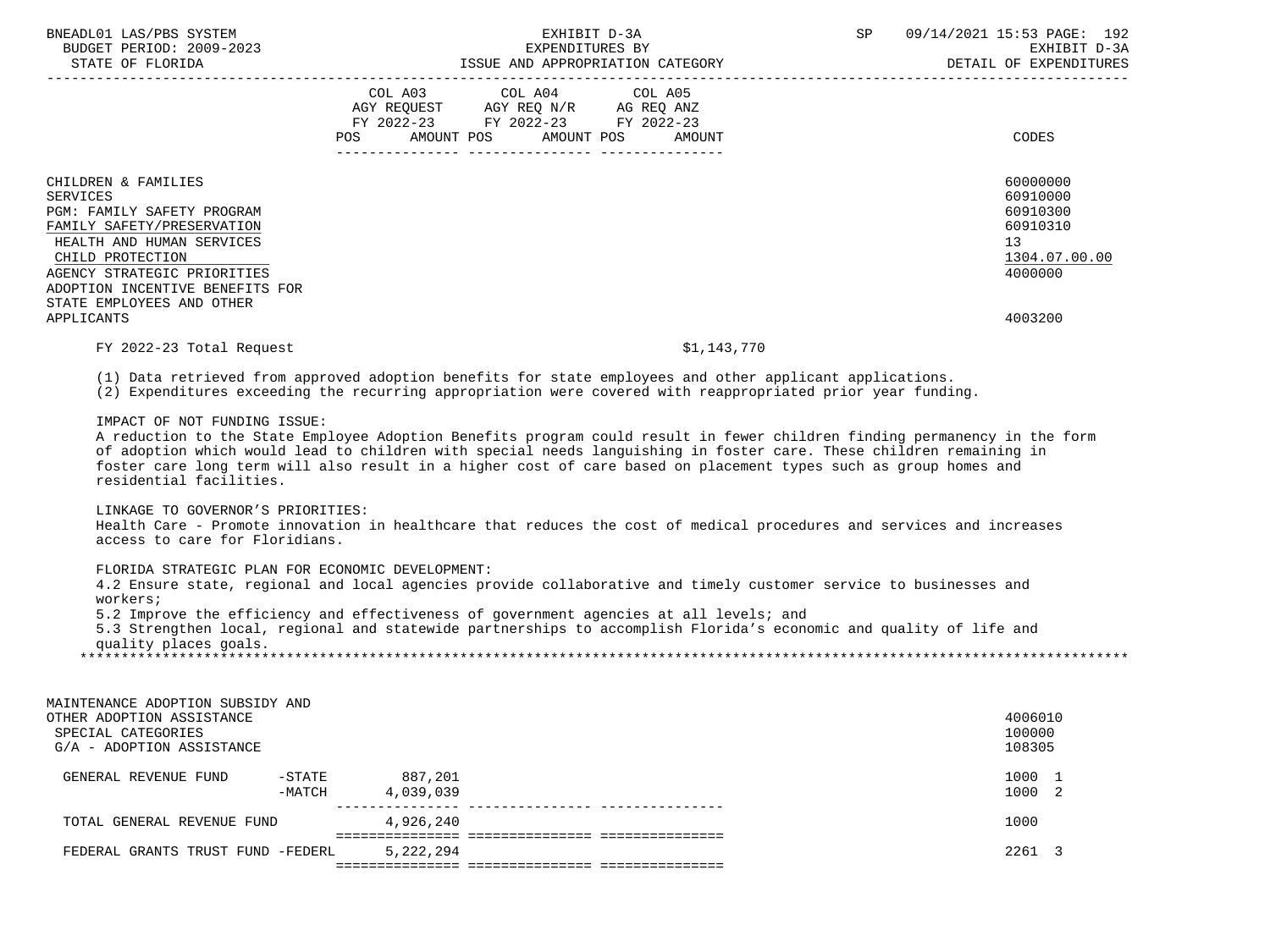| BNEADL01 LAS/PBS SYSTEM<br>BUDGET PERIOD: 2009-2023                                                                                                                                                                                                                                                                                                                                                                                                                                                                                                                                                                                                                                                                                                                                                                                                                                                                                                                                                                                                                                                                                                                                                                                                                                      |                             | EXHIBIT D-3A<br>EXPENDITURES BY                                                                                       |             | <b>SP</b> | 09/14/2021 15:53 PAGE: 192<br>EXHIBIT D-3A<br>DETAIL OF EXPENDITURES                                   |
|------------------------------------------------------------------------------------------------------------------------------------------------------------------------------------------------------------------------------------------------------------------------------------------------------------------------------------------------------------------------------------------------------------------------------------------------------------------------------------------------------------------------------------------------------------------------------------------------------------------------------------------------------------------------------------------------------------------------------------------------------------------------------------------------------------------------------------------------------------------------------------------------------------------------------------------------------------------------------------------------------------------------------------------------------------------------------------------------------------------------------------------------------------------------------------------------------------------------------------------------------------------------------------------|-----------------------------|-----------------------------------------------------------------------------------------------------------------------|-------------|-----------|--------------------------------------------------------------------------------------------------------|
|                                                                                                                                                                                                                                                                                                                                                                                                                                                                                                                                                                                                                                                                                                                                                                                                                                                                                                                                                                                                                                                                                                                                                                                                                                                                                          | COL A03                     | COL A04<br>AGY REQUEST AGY REQ N/R AG REQ ANZ<br>FY 2022-23 FY 2022-23 FY 2022-23<br>POS AMOUNT POS AMOUNT POS AMOUNT | COL A05     |           | CODES                                                                                                  |
| CHILDREN & FAMILIES<br><b>SERVICES</b><br>PGM: FAMILY SAFETY PROGRAM<br>FAMILY SAFETY/PRESERVATION<br>HEALTH AND HUMAN SERVICES<br>CHILD PROTECTION<br>AGENCY STRATEGIC PRIORITIES<br>ADOPTION INCENTIVE BENEFITS FOR<br>STATE EMPLOYEES AND OTHER<br>APPLICANTS                                                                                                                                                                                                                                                                                                                                                                                                                                                                                                                                                                                                                                                                                                                                                                                                                                                                                                                                                                                                                         |                             |                                                                                                                       |             |           | 60000000<br>60910000<br>60910300<br>60910310<br>13 <sup>°</sup><br>1304.07.00.00<br>4000000<br>4003200 |
| FY 2022-23 Total Request                                                                                                                                                                                                                                                                                                                                                                                                                                                                                                                                                                                                                                                                                                                                                                                                                                                                                                                                                                                                                                                                                                                                                                                                                                                                 |                             |                                                                                                                       | \$1,143,770 |           |                                                                                                        |
| (1) Data retrieved from approved adoption benefits for state employees and other applicant applications.<br>(2) Expenditures exceeding the recurring appropriation were covered with reappropriated prior year funding.<br>IMPACT OF NOT FUNDING ISSUE:<br>A reduction to the State Employee Adoption Benefits program could result in fewer children finding permanency in the form<br>of adoption which would lead to children with special needs languishing in foster care. These children remaining in<br>foster care long term will also result in a higher cost of care based on placement types such as group homes and<br>residential facilities.<br>LINKAGE TO GOVERNOR'S PRIORITIES:<br>Health Care - Promote innovation in healthcare that reduces the cost of medical procedures and services and increases<br>access to care for Floridians.<br>FLORIDA STRATEGIC PLAN FOR ECONOMIC DEVELOPMENT:<br>4.2 Ensure state, regional and local agencies provide collaborative and timely customer service to businesses and<br>workers;<br>5.2 Improve the efficiency and effectiveness of government agencies at all levels; and<br>5.3 Strengthen local, regional and statewide partnerships to accomplish Florida's economic and quality of life and<br>quality places goals. |                             |                                                                                                                       |             |           |                                                                                                        |
| MAINTENANCE ADOPTION SUBSIDY AND<br>OTHER ADOPTION ASSISTANCE<br>SPECIAL CATEGORIES<br>G/A - ADOPTION ASSISTANCE                                                                                                                                                                                                                                                                                                                                                                                                                                                                                                                                                                                                                                                                                                                                                                                                                                                                                                                                                                                                                                                                                                                                                                         |                             |                                                                                                                       |             |           | 4006010<br>100000<br>108305                                                                            |
| GENERAL REVENUE FUND<br>$-MATCH$                                                                                                                                                                                                                                                                                                                                                                                                                                                                                                                                                                                                                                                                                                                                                                                                                                                                                                                                                                                                                                                                                                                                                                                                                                                         | -STATE 887,201<br>4,039,039 |                                                                                                                       |             |           | 1000 1<br>1000 2                                                                                       |
| TOTAL GENERAL REVENUE FUND                                                                                                                                                                                                                                                                                                                                                                                                                                                                                                                                                                                                                                                                                                                                                                                                                                                                                                                                                                                                                                                                                                                                                                                                                                                               | 4,926,240                   |                                                                                                                       |             |           | 1000                                                                                                   |
| FEDERAL GRANTS TRUST FUND -FEDERL                                                                                                                                                                                                                                                                                                                                                                                                                                                                                                                                                                                                                                                                                                                                                                                                                                                                                                                                                                                                                                                                                                                                                                                                                                                        | 5,222,294                   |                                                                                                                       |             |           | 2261 3                                                                                                 |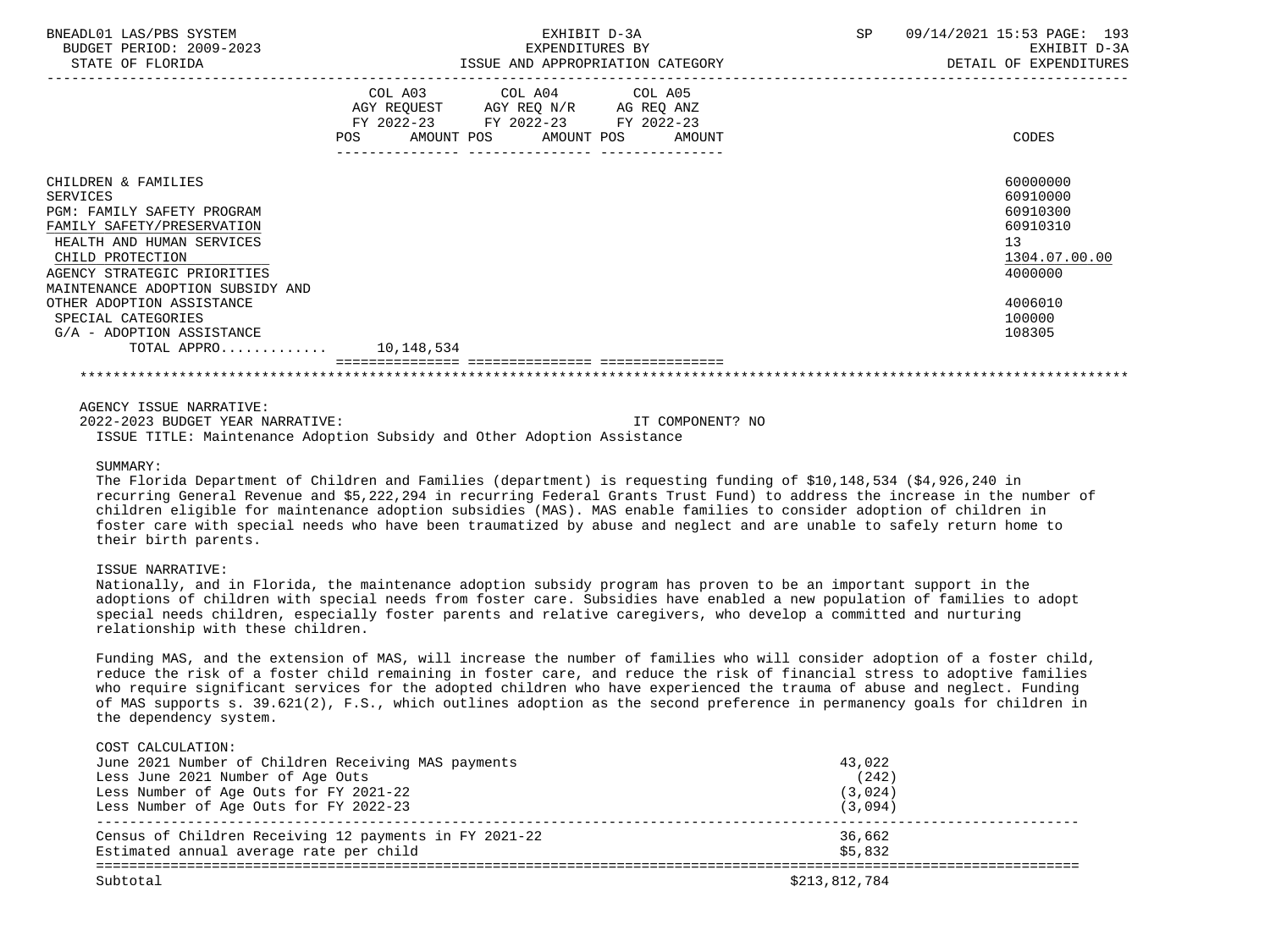| BNEADL01 LAS/PBS SYSTEM<br>BUDGET PERIOD: 2009-2023<br>STATE OF FLORIDA | EXHIBIT D-3A<br>EXPENDITURES BY<br>ISSUE AND APPROPRIATION CATEGORY                                                                         | 09/14/2021 15:53 PAGE: 193<br>SP<br>EXHIBIT D-3A<br>DETAIL OF EXPENDITURES |
|-------------------------------------------------------------------------|---------------------------------------------------------------------------------------------------------------------------------------------|----------------------------------------------------------------------------|
|                                                                         |                                                                                                                                             |                                                                            |
|                                                                         | COL A03 COL A04 COL A05<br>AGY REQUEST AGY REQ N/R AG REQ ANZ<br>FY 2022-23 FY 2022-23 FY 2022-23<br>POS<br>AMOUNT POS AMOUNT POS<br>AMOUNT | CODES                                                                      |
| CHILDREN & FAMILIES                                                     |                                                                                                                                             | 60000000                                                                   |
| SERVICES                                                                |                                                                                                                                             | 60910000                                                                   |
| <b>PGM: FAMILY SAFETY PROGRAM</b>                                       |                                                                                                                                             | 60910300                                                                   |
| FAMILY SAFETY/PRESERVATION                                              |                                                                                                                                             | 60910310                                                                   |
| HEALTH AND HUMAN SERVICES                                               |                                                                                                                                             | 13<br>1304.07.00.00                                                        |
| CHILD PROTECTION<br>AGENCY STRATEGIC PRIORITIES                         |                                                                                                                                             | 4000000                                                                    |
| MAINTENANCE ADOPTION SUBSIDY AND                                        |                                                                                                                                             |                                                                            |
| OTHER ADOPTION ASSISTANCE                                               |                                                                                                                                             | 4006010                                                                    |
| SPECIAL CATEGORIES                                                      |                                                                                                                                             | 100000                                                                     |
| G/A - ADOPTION ASSISTANCE                                               |                                                                                                                                             | 108305                                                                     |
| TOTAL APPRO $10,148,534$                                                |                                                                                                                                             |                                                                            |
|                                                                         |                                                                                                                                             |                                                                            |

 2022-2023 BUDGET YEAR NARRATIVE: IT COMPONENT? NO ISSUE TITLE: Maintenance Adoption Subsidy and Other Adoption Assistance

SUMMARY:

 The Florida Department of Children and Families (department) is requesting funding of \$10,148,534 (\$4,926,240 in recurring General Revenue and \$5,222,294 in recurring Federal Grants Trust Fund) to address the increase in the number of children eligible for maintenance adoption subsidies (MAS). MAS enable families to consider adoption of children in foster care with special needs who have been traumatized by abuse and neglect and are unable to safely return home to their birth parents.

## ISSUE NARRATIVE:

 Nationally, and in Florida, the maintenance adoption subsidy program has proven to be an important support in the adoptions of children with special needs from foster care. Subsidies have enabled a new population of families to adopt special needs children, especially foster parents and relative caregivers, who develop a committed and nurturing relationship with these children.

 Funding MAS, and the extension of MAS, will increase the number of families who will consider adoption of a foster child, reduce the risk of a foster child remaining in foster care, and reduce the risk of financial stress to adoptive families who require significant services for the adopted children who have experienced the trauma of abuse and neglect. Funding of MAS supports s. 39.621(2), F.S., which outlines adoption as the second preference in permanency goals for children in the dependency system.

| June 2021 Number of Children Receiving MAS payments<br>Less June 2021 Number of Age Outs | 43,022<br>(242) |
|------------------------------------------------------------------------------------------|-----------------|
| Less Number of Age Outs for FY 2021-22                                                   | (3,024)         |
| Less Number of Age Outs for FY 2022-23                                                   | (3.094)         |
| Census of Children Receiving 12 payments in FY 2021-22                                   | 36,662          |
| Estimated annual average rate per child                                                  | \$5,832         |
| Subtotal                                                                                 | \$213,812,784   |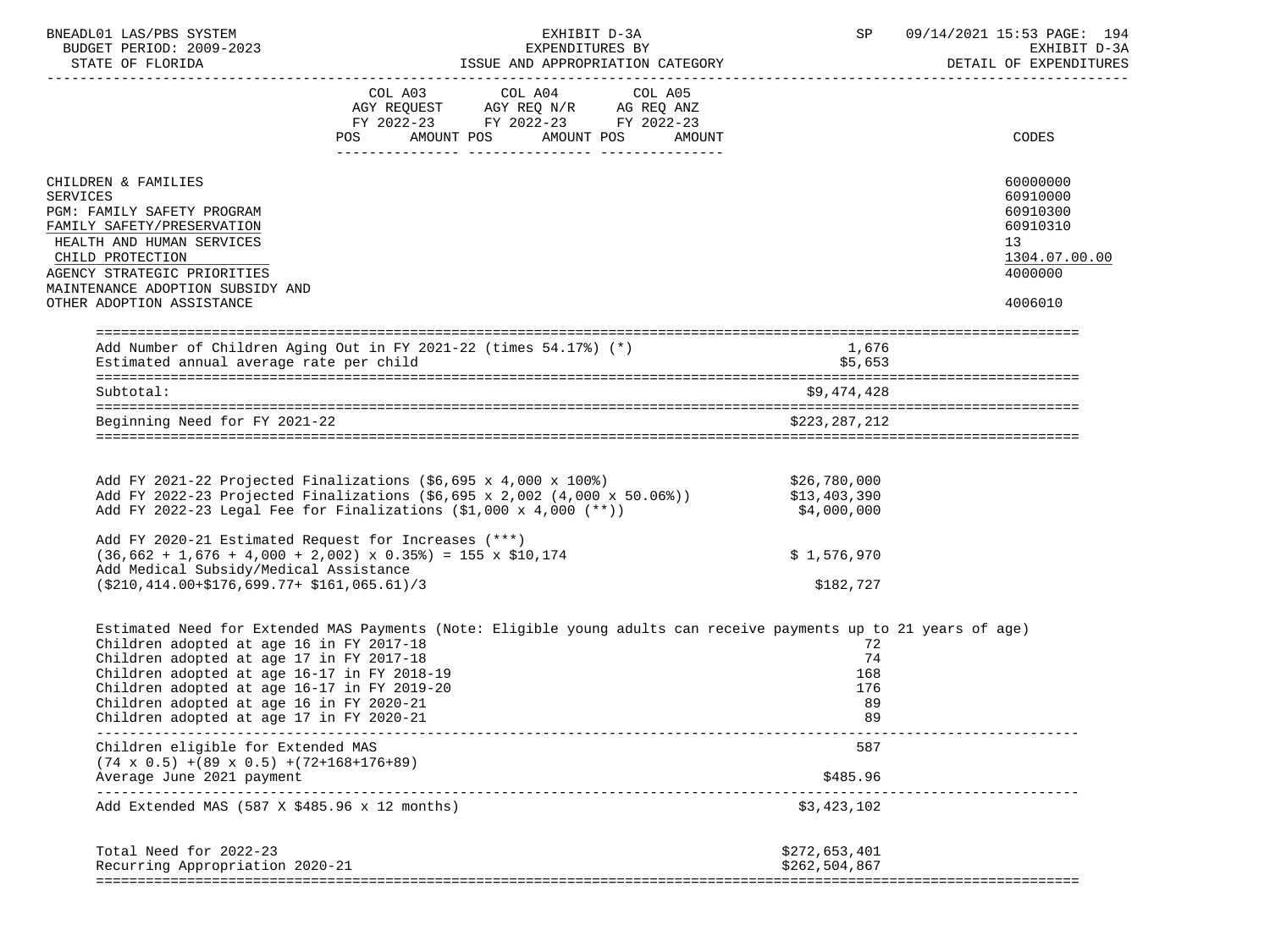| BNEADL01 LAS/PBS SYSTEM<br>BUDGET PERIOD: 2009-2023                                  | EXHIBIT D-3A<br>EXPENDITURES BY                                                                                                                                                                                                                                                                | <b>SP</b> SP                                | 09/14/2021 15:53 PAGE: 194<br>EXHIBIT D-3A |
|--------------------------------------------------------------------------------------|------------------------------------------------------------------------------------------------------------------------------------------------------------------------------------------------------------------------------------------------------------------------------------------------|---------------------------------------------|--------------------------------------------|
|                                                                                      |                                                                                                                                                                                                                                                                                                |                                             |                                            |
|                                                                                      | COL A03 COL A04 COL A05<br>AGY REQUEST AGY REQ N/R AG REQ ANZ                                                                                                                                                                                                                                  |                                             |                                            |
|                                                                                      |                                                                                                                                                                                                                                                                                                |                                             |                                            |
|                                                                                      | FY 2022-23 FY 2022-23 FY 2022-23                                                                                                                                                                                                                                                               |                                             |                                            |
|                                                                                      | POS AMOUNT POS AMOUNT POS AMOUNT                                                                                                                                                                                                                                                               |                                             | <b>CODES</b>                               |
| CHILDREN & FAMILIES                                                                  |                                                                                                                                                                                                                                                                                                |                                             | 60000000                                   |
| <b>SERVICES</b>                                                                      |                                                                                                                                                                                                                                                                                                |                                             | 60910000                                   |
| PGM: FAMILY SAFETY PROGRAM                                                           |                                                                                                                                                                                                                                                                                                |                                             | 60910300                                   |
| FAMILY SAFETY/PRESERVATION                                                           |                                                                                                                                                                                                                                                                                                |                                             | 60910310                                   |
| HEALTH AND HUMAN SERVICES                                                            |                                                                                                                                                                                                                                                                                                |                                             | 13 <sup>°</sup>                            |
| CHILD PROTECTION                                                                     |                                                                                                                                                                                                                                                                                                |                                             | 1304.07.00.00                              |
| AGENCY STRATEGIC PRIORITIES                                                          |                                                                                                                                                                                                                                                                                                |                                             | 4000000                                    |
| MAINTENANCE ADOPTION SUBSIDY AND<br>OTHER ADOPTION ASSISTANCE                        |                                                                                                                                                                                                                                                                                                |                                             | 4006010                                    |
|                                                                                      |                                                                                                                                                                                                                                                                                                |                                             |                                            |
|                                                                                      | Add Number of Children Aging Out in FY 2021-22 (times 54.17%) (*)                                                                                                                                                                                                                              | 1,676                                       |                                            |
| Estimated annual average rate per child                                              |                                                                                                                                                                                                                                                                                                | \$5,653                                     |                                            |
| Subtotal:                                                                            |                                                                                                                                                                                                                                                                                                | \$9,474,428                                 |                                            |
| Beginning Need for FY 2021-22                                                        |                                                                                                                                                                                                                                                                                                | \$223,287,212                               |                                            |
|                                                                                      |                                                                                                                                                                                                                                                                                                |                                             |                                            |
|                                                                                      | Add FY 2021-22 Projected Finalizations (\$6,695 x 4,000 x 100%)<br>Add FY 2022-23 Projected Finalizations (\$6,695 x 2,002 (4,000 x 50.06%))<br>Add FY 2022-23 Legal Fee for Finalizations (\$1,000 x 4,000 (**))<br>Add FY 2022-23 Legal Fee for Finalizations $(\$1,000 \times 4,000 (**)$ ) | \$26,780,000<br>\$13,403,390<br>\$4,000,000 |                                            |
|                                                                                      | Add FY 2020-21 Estimated Request for Increases (***)                                                                                                                                                                                                                                           |                                             |                                            |
|                                                                                      | $(36,662 + 1,676 + 4,000 + 2,002) \times 0.35%) = 155 \times $10,174$                                                                                                                                                                                                                          | \$1,576,970                                 |                                            |
| Add Medical Subsidy/Medical Assistance                                               |                                                                                                                                                                                                                                                                                                |                                             |                                            |
| $( $210, 414.00 + $176.699.77 + $161.065.61)/3$                                      |                                                                                                                                                                                                                                                                                                | \$182,727                                   |                                            |
|                                                                                      | Estimated Need for Extended MAS Payments (Note: Eligible young adults can receive payments up to 21 years of age)                                                                                                                                                                              |                                             |                                            |
| Children adopted at age 16 in FY 2017-18                                             |                                                                                                                                                                                                                                                                                                | 72                                          |                                            |
| Children adopted at age 17 in FY 2017-18                                             |                                                                                                                                                                                                                                                                                                | 74                                          |                                            |
| Children adopted at age 16-17 in FY 2018-19                                          |                                                                                                                                                                                                                                                                                                | 168                                         |                                            |
| Children adopted at age 16-17 in FY 2019-20                                          |                                                                                                                                                                                                                                                                                                | 176                                         |                                            |
| Children adopted at age 16 in FY 2020-21<br>Children adopted at age 17 in FY 2020-21 |                                                                                                                                                                                                                                                                                                | 89<br>89                                    |                                            |
| Children eligible for Extended MAS                                                   |                                                                                                                                                                                                                                                                                                | 587                                         |                                            |
| $(74 \times 0.5)$ +(89 x 0.5) +(72+168+176+89)                                       |                                                                                                                                                                                                                                                                                                |                                             |                                            |
| Average June 2021 payment                                                            |                                                                                                                                                                                                                                                                                                | \$485.96                                    | -----------------------                    |
| Add Extended MAS (587 X \$485.96 x 12 months)                                        |                                                                                                                                                                                                                                                                                                | \$3,423,102                                 |                                            |
| Total Need for 2022-23                                                               |                                                                                                                                                                                                                                                                                                | \$272,653,401                               |                                            |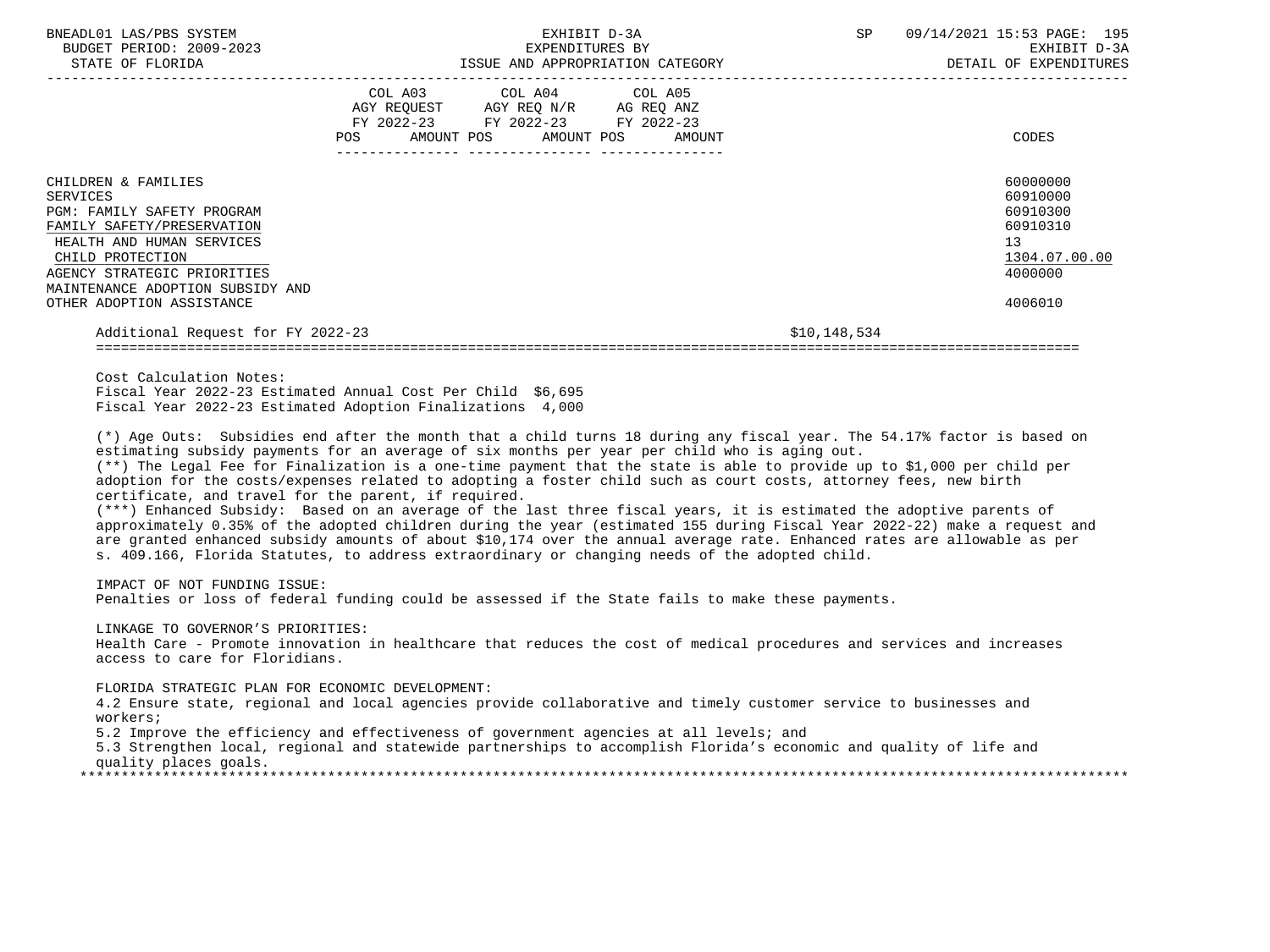| BNEADL01 LAS/PBS SYSTEM<br>BUDGET PERIOD: 2009-2023<br>STATE OF FLORIDA                                                                                                                                                                             | LATENVILLUNED DI                                                                                                                                                                                                                                                                                                                                                                                                                                                                                                                                                                                                                                                                                                                                                                                                                                                                                                                                                                                                                                                                                                                                                                                                                                    | EXHIBIT D-3A<br>EXPENDITURES BY | SP           | 09/14/2021 15:53 PAGE: 195<br>EXHIBIT D-3A<br>DETAIL OF EXPENDITURES                      |
|-----------------------------------------------------------------------------------------------------------------------------------------------------------------------------------------------------------------------------------------------------|-----------------------------------------------------------------------------------------------------------------------------------------------------------------------------------------------------------------------------------------------------------------------------------------------------------------------------------------------------------------------------------------------------------------------------------------------------------------------------------------------------------------------------------------------------------------------------------------------------------------------------------------------------------------------------------------------------------------------------------------------------------------------------------------------------------------------------------------------------------------------------------------------------------------------------------------------------------------------------------------------------------------------------------------------------------------------------------------------------------------------------------------------------------------------------------------------------------------------------------------------------|---------------------------------|--------------|-------------------------------------------------------------------------------------------|
|                                                                                                                                                                                                                                                     | $\begin{tabular}{lllllllllllll} &\multicolumn{4}{c }{COL\ \ \text{A03}} &\multicolumn{4}{c }{COL\ \ \text{A04}} &\multicolumn{4}{c }{COL\ \ \text{A05}} \\ \multicolumn{4}{c }{AGY\ \ \text{REQUEST}} &\multicolumn{4}{c }{AGY\ \ \text{REQ}\ \ \text{N/R}} &\multicolumn{4}{c }{AG\ \ \text{REQ}\ \ \text{ANZ}} \\ \multicolumn{4}{c }{FY\ \ 2022-23} &\multicolumn{4}{c }{FY\ \ 2022-23} &\multicolumn{4}{c }{FY\ \ 20$<br>AMOUNT POS<br>POS                                                                                                                                                                                                                                                                                                                                                                                                                                                                                                                                                                                                                                                                                                                                                                                                      | AMOUNT POS<br>AMOUNT            |              | CODES                                                                                     |
| CHILDREN & FAMILIES<br><b>SERVICES</b><br>PGM: FAMILY SAFETY PROGRAM<br>FAMILY SAFETY/PRESERVATION<br>HEALTH AND HUMAN SERVICES<br>CHILD PROTECTION<br>AGENCY STRATEGIC PRIORITIES<br>MAINTENANCE ADOPTION SUBSIDY AND<br>OTHER ADOPTION ASSISTANCE |                                                                                                                                                                                                                                                                                                                                                                                                                                                                                                                                                                                                                                                                                                                                                                                                                                                                                                                                                                                                                                                                                                                                                                                                                                                     |                                 |              | 60000000<br>60910000<br>60910300<br>60910310<br>13<br>1304.07.00.00<br>4000000<br>4006010 |
| Additional Request for FY 2022-23                                                                                                                                                                                                                   |                                                                                                                                                                                                                                                                                                                                                                                                                                                                                                                                                                                                                                                                                                                                                                                                                                                                                                                                                                                                                                                                                                                                                                                                                                                     |                                 | \$10,148,534 |                                                                                           |
| Cost Calculation Notes:<br>IMPACT OF NOT FUNDING ISSUE:                                                                                                                                                                                             | Fiscal Year 2022-23 Estimated Annual Cost Per Child \$6,695<br>Fiscal Year 2022-23 Estimated Adoption Finalizations 4,000<br>(*) Age Outs: Subsidies end after the month that a child turns 18 during any fiscal year. The 54.17% factor is based on<br>estimating subsidy payments for an average of six months per year per child who is aging out.<br>(**) The Legal Fee for Finalization is a one-time payment that the state is able to provide up to \$1,000 per child per<br>adoption for the costs/expenses related to adopting a foster child such as court costs, attorney fees, new birth<br>certificate, and travel for the parent, if required.<br>(***) Enhanced Subsidy: Based on an average of the last three fiscal years, it is estimated the adoptive parents of<br>approximately 0.35% of the adopted children during the year (estimated 155 during Fiscal Year 2022-22) make a request and<br>are granted enhanced subsidy amounts of about \$10,174 over the annual average rate. Enhanced rates are allowable as per<br>s. 409.166, Florida Statutes, to address extraordinary or changing needs of the adopted child.<br>Penalties or loss of federal funding could be assessed if the State fails to make these payments. |                                 |              |                                                                                           |
| LINKAGE TO GOVERNOR'S PRIORITIES:<br>access to care for Floridians.                                                                                                                                                                                 | Health Care - Promote innovation in healthcare that reduces the cost of medical procedures and services and increases                                                                                                                                                                                                                                                                                                                                                                                                                                                                                                                                                                                                                                                                                                                                                                                                                                                                                                                                                                                                                                                                                                                               |                                 |              |                                                                                           |
| FLORIDA STRATEGIC PLAN FOR ECONOMIC DEVELOPMENT:<br>workers;<br>quality places goals.                                                                                                                                                               | 4.2 Ensure state, regional and local agencies provide collaborative and timely customer service to businesses and<br>5.2 Improve the efficiency and effectiveness of government agencies at all levels; and<br>5.3 Strengthen local, regional and statewide partnerships to accomplish Florida's economic and quality of life and                                                                                                                                                                                                                                                                                                                                                                                                                                                                                                                                                                                                                                                                                                                                                                                                                                                                                                                   |                                 |              |                                                                                           |
|                                                                                                                                                                                                                                                     |                                                                                                                                                                                                                                                                                                                                                                                                                                                                                                                                                                                                                                                                                                                                                                                                                                                                                                                                                                                                                                                                                                                                                                                                                                                     |                                 |              |                                                                                           |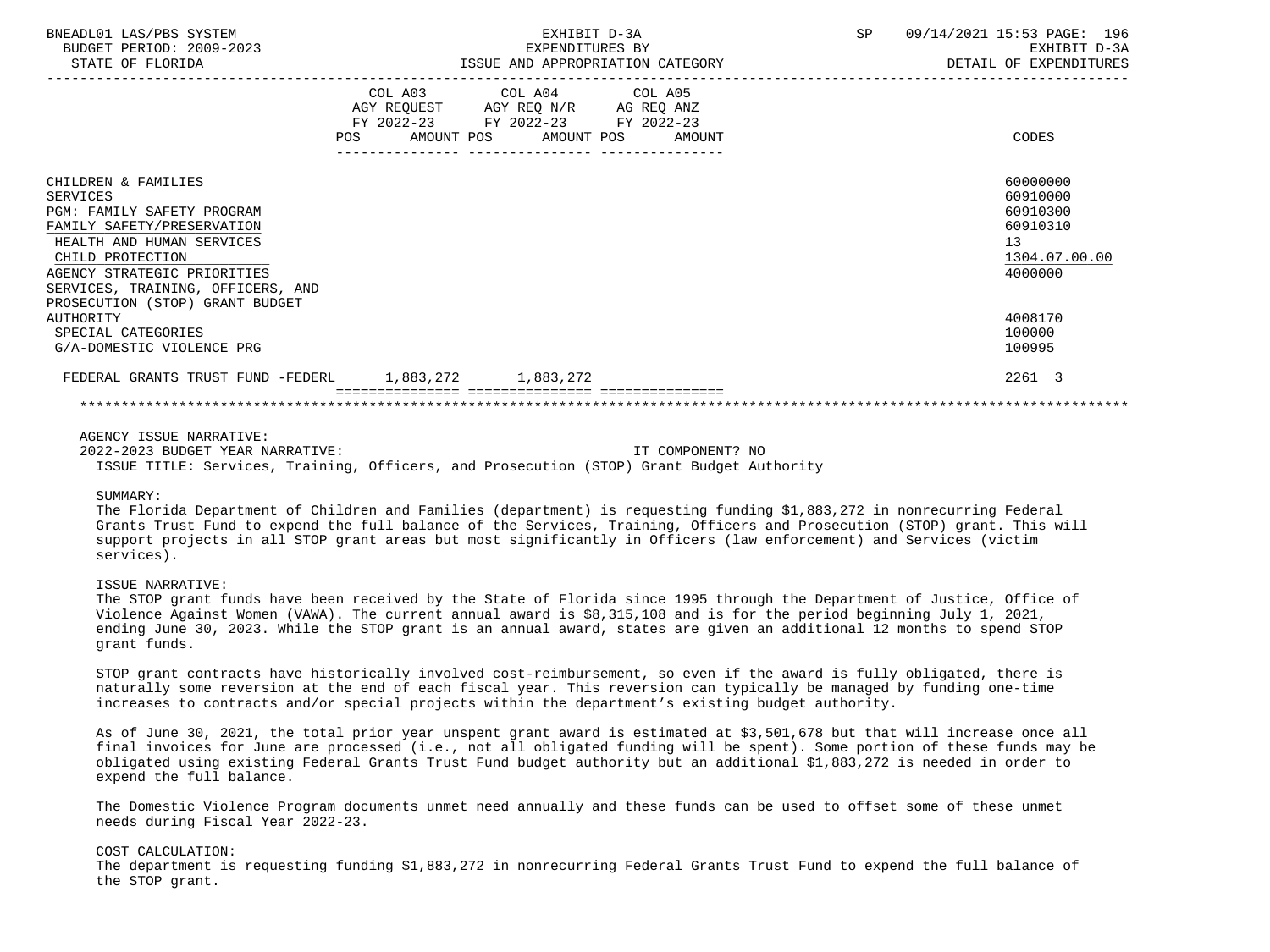| BNEADL01 LAS/PBS SYSTEM<br>BUDGET PERIOD: 2009-2023<br>STATE OF FLORIDA                                                                                                                                                                                    |     | EXHIBIT D-3A<br>EXPENDITURES BY<br>ISSUE AND APPROPRIATION CATEGORY                                                               | SP<br>09/14/2021 15:53 PAGE: 196<br>EXHIBIT D-3A<br>DETAIL OF EXPENDITURES     |
|------------------------------------------------------------------------------------------------------------------------------------------------------------------------------------------------------------------------------------------------------------|-----|-----------------------------------------------------------------------------------------------------------------------------------|--------------------------------------------------------------------------------|
|                                                                                                                                                                                                                                                            | POS | COL A03 COL A04 COL A05<br>AGY REQUEST AGY REQ N/R AG REQ ANZ<br>FY 2022-23 FY 2022-23 FY 2022-23<br>AMOUNT POS AMOUNT POS AMOUNT | CODES                                                                          |
| CHILDREN & FAMILIES<br><b>SERVICES</b><br>PGM: FAMILY SAFETY PROGRAM<br>FAMILY SAFETY/PRESERVATION<br>HEALTH AND HUMAN SERVICES<br>CHILD PROTECTION<br>AGENCY STRATEGIC PRIORITIES<br>SERVICES, TRAINING, OFFICERS, AND<br>PROSECUTION (STOP) GRANT BUDGET |     |                                                                                                                                   | 60000000<br>60910000<br>60910300<br>60910310<br>13<br>1304.07.00.00<br>4000000 |
| AUTHORITY<br>SPECIAL CATEGORIES<br>G/A-DOMESTIC VIOLENCE PRG                                                                                                                                                                                               |     |                                                                                                                                   | 4008170<br>100000<br>100995                                                    |
| FEDERAL GRANTS TRUST FUND -FEDERL 1,883,272 1,883,272                                                                                                                                                                                                      |     |                                                                                                                                   | 2261 3                                                                         |
|                                                                                                                                                                                                                                                            |     |                                                                                                                                   |                                                                                |

 2022-2023 BUDGET YEAR NARRATIVE: IT COMPONENT? NO ISSUE TITLE: Services, Training, Officers, and Prosecution (STOP) Grant Budget Authority

#### SIIMMARY:

 The Florida Department of Children and Families (department) is requesting funding \$1,883,272 in nonrecurring Federal Grants Trust Fund to expend the full balance of the Services, Training, Officers and Prosecution (STOP) grant. This will support projects in all STOP grant areas but most significantly in Officers (law enforcement) and Services (victim services).

## ISSUE NARRATIVE:

 The STOP grant funds have been received by the State of Florida since 1995 through the Department of Justice, Office of Violence Against Women (VAWA). The current annual award is \$8,315,108 and is for the period beginning July 1, 2021, ending June 30, 2023. While the STOP grant is an annual award, states are given an additional 12 months to spend STOP grant funds.

 STOP grant contracts have historically involved cost-reimbursement, so even if the award is fully obligated, there is naturally some reversion at the end of each fiscal year. This reversion can typically be managed by funding one-time increases to contracts and/or special projects within the department's existing budget authority.

 As of June 30, 2021, the total prior year unspent grant award is estimated at \$3,501,678 but that will increase once all final invoices for June are processed (i.e., not all obligated funding will be spent). Some portion of these funds may be obligated using existing Federal Grants Trust Fund budget authority but an additional \$1,883,272 is needed in order to expend the full balance.

 The Domestic Violence Program documents unmet need annually and these funds can be used to offset some of these unmet needs during Fiscal Year 2022-23.

### COST CALCULATION:

 The department is requesting funding \$1,883,272 in nonrecurring Federal Grants Trust Fund to expend the full balance of the STOP grant.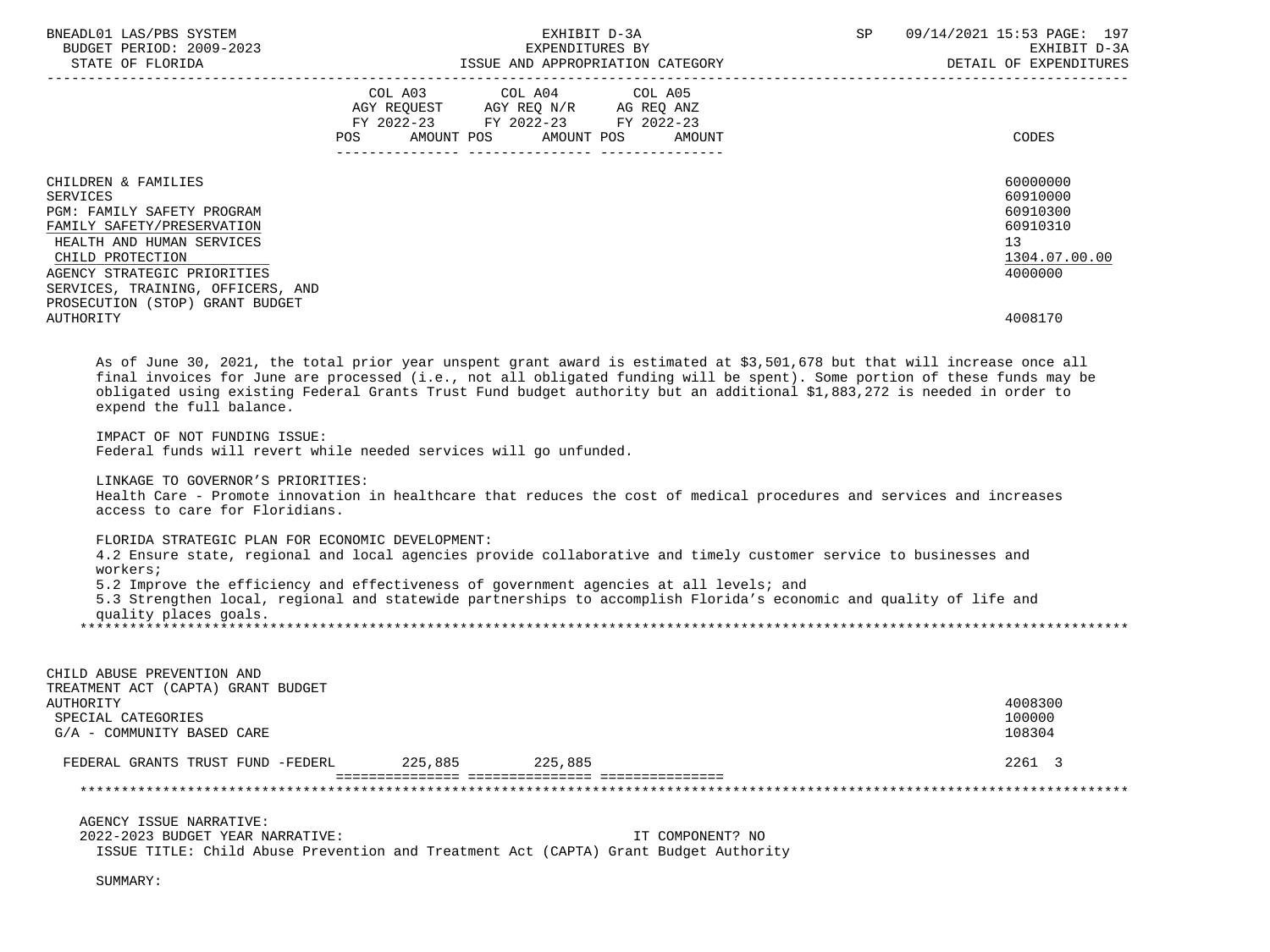| BNEADL01 LAS/PBS SYSTEM                                                                                                                                                                                                                                                          |         |                                                       | EXHIBIT D-3A     | SP | 09/14/2021 15:53 PAGE: 197 |
|----------------------------------------------------------------------------------------------------------------------------------------------------------------------------------------------------------------------------------------------------------------------------------|---------|-------------------------------------------------------|------------------|----|----------------------------|
| BUDGET PERIOD: 2009-2023                                                                                                                                                                                                                                                         |         | EXPENDITURES BY                                       |                  |    | EXHIBIT D-3A               |
|                                                                                                                                                                                                                                                                                  |         |                                                       |                  |    | DETAIL OF EXPENDITURES     |
|                                                                                                                                                                                                                                                                                  |         |                                                       |                  |    |                            |
|                                                                                                                                                                                                                                                                                  |         | COL A03 COL A04<br>AGY REQUEST AGY REQ N/R AG REQ ANZ | COL A05          |    |                            |
|                                                                                                                                                                                                                                                                                  |         | FY 2022-23 FY 2022-23 FY 2022-23                      |                  |    |                            |
|                                                                                                                                                                                                                                                                                  |         | POS AMOUNT POS AMOUNT POS AMOUNT                      |                  |    | CODES                      |
|                                                                                                                                                                                                                                                                                  |         |                                                       |                  |    |                            |
|                                                                                                                                                                                                                                                                                  |         |                                                       |                  |    |                            |
| CHILDREN & FAMILIES                                                                                                                                                                                                                                                              |         |                                                       |                  |    | 60000000                   |
| <b>SERVICES</b>                                                                                                                                                                                                                                                                  |         |                                                       |                  |    | 60910000                   |
| PGM: FAMILY SAFETY PROGRAM                                                                                                                                                                                                                                                       |         |                                                       |                  |    | 60910300                   |
| FAMILY SAFETY/PRESERVATION                                                                                                                                                                                                                                                       |         |                                                       |                  |    | 60910310                   |
| HEALTH AND HUMAN SERVICES                                                                                                                                                                                                                                                        |         |                                                       |                  |    | 13                         |
| CHILD PROTECTION                                                                                                                                                                                                                                                                 |         |                                                       |                  |    | 1304.07.00.00              |
| AGENCY STRATEGIC PRIORITIES                                                                                                                                                                                                                                                      |         |                                                       |                  |    | 4000000                    |
| SERVICES, TRAINING, OFFICERS, AND                                                                                                                                                                                                                                                |         |                                                       |                  |    |                            |
| PROSECUTION (STOP) GRANT BUDGET                                                                                                                                                                                                                                                  |         |                                                       |                  |    |                            |
| AUTHORITY                                                                                                                                                                                                                                                                        |         |                                                       |                  |    | 4008170                    |
|                                                                                                                                                                                                                                                                                  |         |                                                       |                  |    |                            |
| final invoices for June are processed (i.e., not all obligated funding will be spent). Some portion of these funds may be<br>obligated using existing Federal Grants Trust Fund budget authority but an additional \$1,883,272 is needed in order to<br>expend the full balance. |         |                                                       |                  |    |                            |
| IMPACT OF NOT FUNDING ISSUE:<br>Federal funds will revert while needed services will go unfunded.                                                                                                                                                                                |         |                                                       |                  |    |                            |
|                                                                                                                                                                                                                                                                                  |         |                                                       |                  |    |                            |
| LINKAGE TO GOVERNOR'S PRIORITIES:                                                                                                                                                                                                                                                |         |                                                       |                  |    |                            |
| Health Care - Promote innovation in healthcare that reduces the cost of medical procedures and services and increases                                                                                                                                                            |         |                                                       |                  |    |                            |
| access to care for Floridians.                                                                                                                                                                                                                                                   |         |                                                       |                  |    |                            |
| FLORIDA STRATEGIC PLAN FOR ECONOMIC DEVELOPMENT:                                                                                                                                                                                                                                 |         |                                                       |                  |    |                            |
| 4.2 Ensure state, regional and local agencies provide collaborative and timely customer service to businesses and                                                                                                                                                                |         |                                                       |                  |    |                            |
| workers;                                                                                                                                                                                                                                                                         |         |                                                       |                  |    |                            |
| 5.2 Improve the efficiency and effectiveness of government agencies at all levels; and                                                                                                                                                                                           |         |                                                       |                  |    |                            |
| 5.3 Strengthen local, regional and statewide partnerships to accomplish Florida's economic and quality of life and                                                                                                                                                               |         |                                                       |                  |    |                            |
| quality places goals.                                                                                                                                                                                                                                                            |         |                                                       |                  |    |                            |
|                                                                                                                                                                                                                                                                                  |         |                                                       |                  |    |                            |
|                                                                                                                                                                                                                                                                                  |         |                                                       |                  |    |                            |
| CHILD ABUSE PREVENTION AND                                                                                                                                                                                                                                                       |         |                                                       |                  |    |                            |
| TREATMENT ACT (CAPTA) GRANT BUDGET                                                                                                                                                                                                                                               |         |                                                       |                  |    |                            |
| AUTHORITY                                                                                                                                                                                                                                                                        |         |                                                       |                  |    | 4008300                    |
| SPECIAL CATEGORIES                                                                                                                                                                                                                                                               |         |                                                       |                  |    | 100000                     |
| G/A - COMMUNITY BASED CARE                                                                                                                                                                                                                                                       |         |                                                       |                  |    | 108304                     |
|                                                                                                                                                                                                                                                                                  |         |                                                       |                  |    |                            |
| FEDERAL GRANTS TRUST FUND -FEDERL                                                                                                                                                                                                                                                | 225,885 | 225,885                                               |                  |    | 2261 3                     |
|                                                                                                                                                                                                                                                                                  |         |                                                       |                  |    |                            |
|                                                                                                                                                                                                                                                                                  |         |                                                       |                  |    |                            |
| AGENCY ISSUE NARRATIVE:                                                                                                                                                                                                                                                          |         |                                                       |                  |    |                            |
| 2022-2023 BUDGET YEAR NARRATIVE:                                                                                                                                                                                                                                                 |         |                                                       | IT COMPONENT? NO |    |                            |
| ISSUE TITLE: Child Abuse Prevention and Treatment Act (CAPTA) Grant Budget Authority                                                                                                                                                                                             |         |                                                       |                  |    |                            |
|                                                                                                                                                                                                                                                                                  |         |                                                       |                  |    |                            |
| SUMMARY:                                                                                                                                                                                                                                                                         |         |                                                       |                  |    |                            |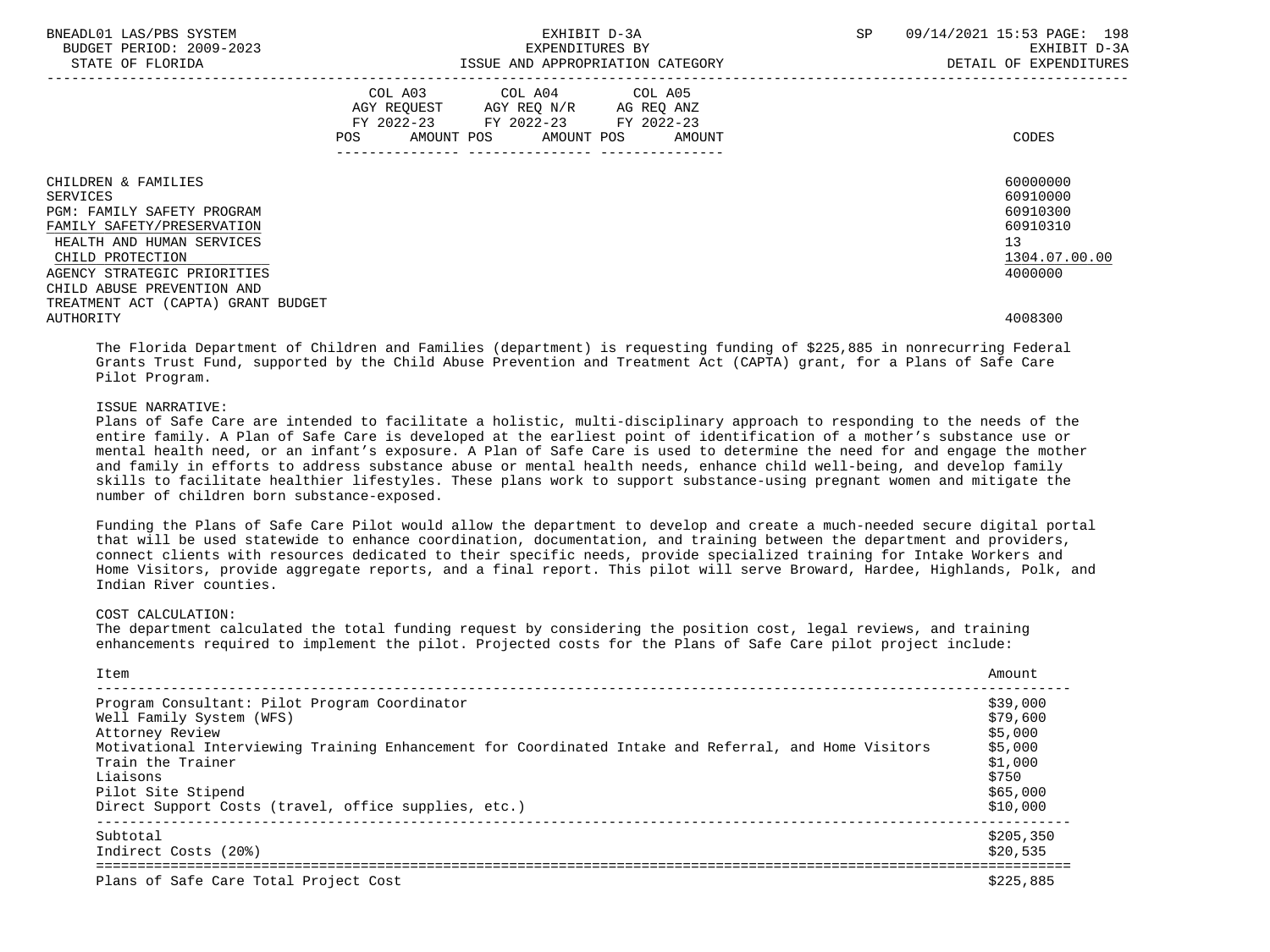| BNEADL01 LAS/PBS SYSTEM<br>BUDGET PERIOD: 2009-2023<br>STATE OF FLORIDA | EXHIBIT D-3A<br>EXPENDITURES BY<br>ISSUE AND APPROPRIATION CATEGORY                                                                         | 09/14/2021 15:53 PAGE: 198<br>SP<br>EXHIBIT D-3A<br>DETAIL OF EXPENDITURES |
|-------------------------------------------------------------------------|---------------------------------------------------------------------------------------------------------------------------------------------|----------------------------------------------------------------------------|
|                                                                         | COL A03 COL A04 COL A05<br>AGY REQUEST AGY REQ N/R AG REQ ANZ<br>FY 2022-23 FY 2022-23 FY 2022-23<br>POS<br>AMOUNT POS AMOUNT POS<br>AMOUNT | CODES                                                                      |
|                                                                         |                                                                                                                                             |                                                                            |
| CHILDREN & FAMILIES                                                     |                                                                                                                                             | 60000000                                                                   |
| SERVICES                                                                |                                                                                                                                             | 60910000                                                                   |
| <b>PGM: FAMILY SAFETY PROGRAM</b>                                       |                                                                                                                                             | 60910300                                                                   |
| FAMILY SAFETY/PRESERVATION                                              |                                                                                                                                             | 60910310                                                                   |
| HEALTH AND HUMAN SERVICES                                               |                                                                                                                                             | 13                                                                         |
| CHILD PROTECTION                                                        |                                                                                                                                             | 1304.07.00.00                                                              |
| AGENCY STRATEGIC PRIORITIES                                             |                                                                                                                                             | 4000000                                                                    |
| CHILD ABUSE PREVENTION AND                                              |                                                                                                                                             |                                                                            |
| TREATMENT ACT (CAPTA) GRANT BUDGET                                      |                                                                                                                                             |                                                                            |
| AUTHORITY                                                               |                                                                                                                                             | 4008300                                                                    |

 The Florida Department of Children and Families (department) is requesting funding of \$225,885 in nonrecurring Federal Grants Trust Fund, supported by the Child Abuse Prevention and Treatment Act (CAPTA) grant, for a Plans of Safe Care Pilot Program.

### ISSUE NARRATIVE:

 Plans of Safe Care are intended to facilitate a holistic, multi-disciplinary approach to responding to the needs of the entire family. A Plan of Safe Care is developed at the earliest point of identification of a mother's substance use or mental health need, or an infant's exposure. A Plan of Safe Care is used to determine the need for and engage the mother and family in efforts to address substance abuse or mental health needs, enhance child well-being, and develop family skills to facilitate healthier lifestyles. These plans work to support substance-using pregnant women and mitigate the number of children born substance-exposed.

 Funding the Plans of Safe Care Pilot would allow the department to develop and create a much-needed secure digital portal that will be used statewide to enhance coordination, documentation, and training between the department and providers, connect clients with resources dedicated to their specific needs, provide specialized training for Intake Workers and Home Visitors, provide aggregate reports, and a final report. This pilot will serve Broward, Hardee, Highlands, Polk, and Indian River counties.

## COST CALCULATION:

 The department calculated the total funding request by considering the position cost, legal reviews, and training enhancements required to implement the pilot. Projected costs for the Plans of Safe Care pilot project include:

| Item                                                                                                  | Amount    |
|-------------------------------------------------------------------------------------------------------|-----------|
| Program Consultant: Pilot Program Coordinator                                                         | \$39,000  |
| Well Family System (WFS)                                                                              | \$79,600  |
| Attorney Review                                                                                       | \$5,000   |
| Motivational Interviewing Training Enhancement for Coordinated Intake and Referral, and Home Visitors | \$5,000   |
| Train the Trainer                                                                                     | \$1,000   |
| Liaisons                                                                                              | \$750     |
| Pilot Site Stipend                                                                                    | \$65,000  |
| Direct Support Costs (travel, office supplies, etc.)                                                  | \$10,000  |
| Subtotal                                                                                              | \$205.350 |
| Indirect Costs (20%)                                                                                  | \$20,535  |
| Plans of Safe Care Total Project Cost                                                                 | \$225,885 |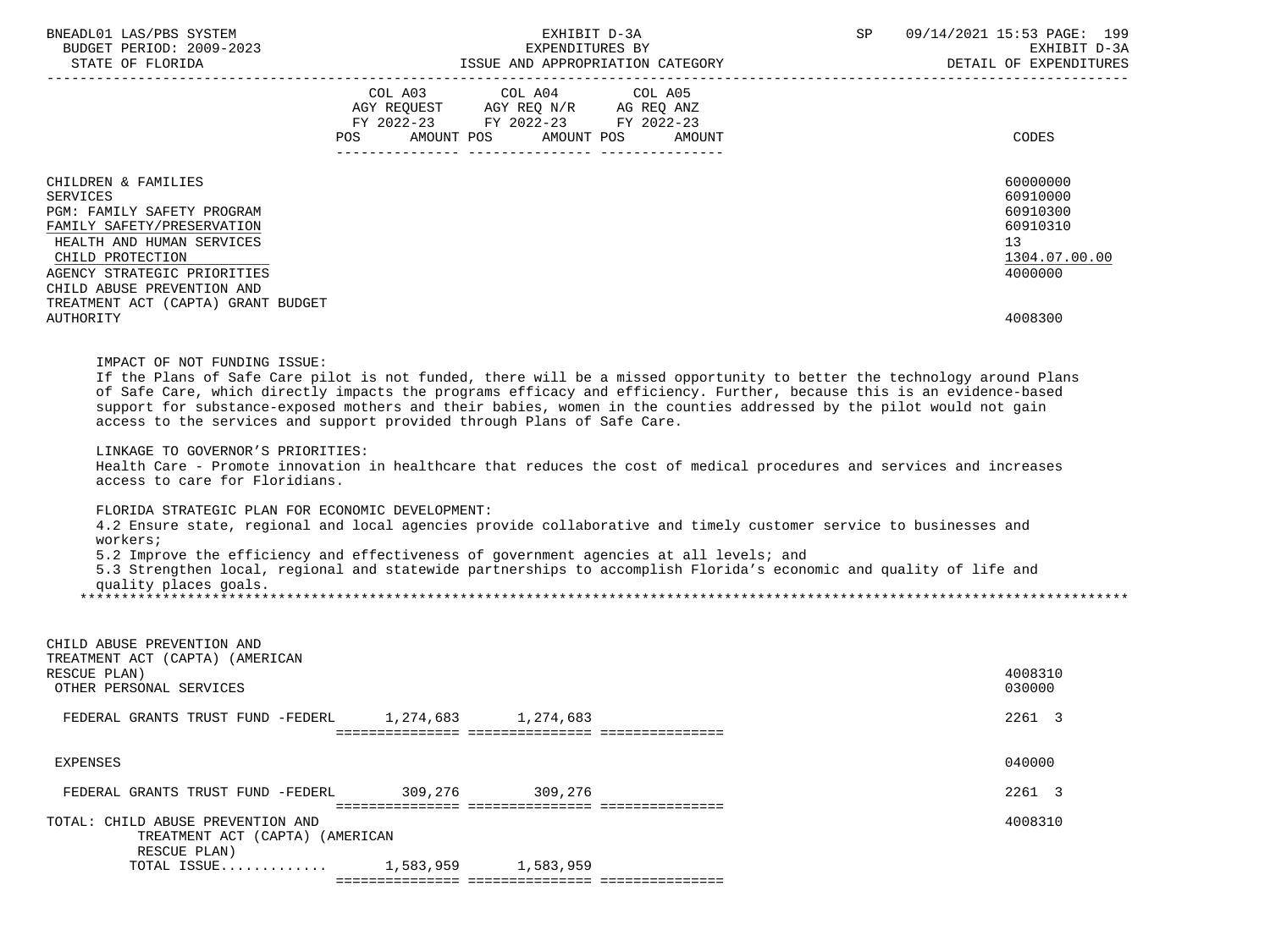| BNEADL01 LAS/PBS SYSTEM<br>BUDGET PERIOD: 2009-2023<br>STATE OF FLORIDA                                                                                                                                                                 |                   | EXHIBIT D-3A<br>EXPENDITURES BY<br>ISSUE AND APPROPRIATION CATEGORY                                                                                                                                                                                                                                                                                                                                                                                                                                                                                                               | SP and the set of the set of the set of the set of the set of the set of the set of the set of the set of the set of the set of the set of the set of the set of the set of the set of the set of the set of the set of the se | 09/14/2021 15:53 PAGE: 199<br>EXHIBIT D-3A<br>DETAIL OF EXPENDITURES           |
|-----------------------------------------------------------------------------------------------------------------------------------------------------------------------------------------------------------------------------------------|-------------------|-----------------------------------------------------------------------------------------------------------------------------------------------------------------------------------------------------------------------------------------------------------------------------------------------------------------------------------------------------------------------------------------------------------------------------------------------------------------------------------------------------------------------------------------------------------------------------------|--------------------------------------------------------------------------------------------------------------------------------------------------------------------------------------------------------------------------------|--------------------------------------------------------------------------------|
|                                                                                                                                                                                                                                         | AMOUNT POS<br>POS | COL A03 COL A04 COL A05<br>AGY REQUEST AGY REQ N/R AG REQ ANZ<br>FY 2022-23 FY 2022-23 FY 2022-23<br>AMOUNT POS<br>AMOUNT                                                                                                                                                                                                                                                                                                                                                                                                                                                         |                                                                                                                                                                                                                                | CODES                                                                          |
|                                                                                                                                                                                                                                         |                   |                                                                                                                                                                                                                                                                                                                                                                                                                                                                                                                                                                                   |                                                                                                                                                                                                                                |                                                                                |
| CHILDREN & FAMILIES<br><b>SERVICES</b><br>PGM: FAMILY SAFETY PROGRAM<br>FAMILY SAFETY/PRESERVATION<br>HEALTH AND HUMAN SERVICES<br>CHILD PROTECTION<br>AGENCY STRATEGIC PRIORITIES<br>CHILD ABUSE PREVENTION AND                        |                   |                                                                                                                                                                                                                                                                                                                                                                                                                                                                                                                                                                                   |                                                                                                                                                                                                                                | 60000000<br>60910000<br>60910300<br>60910310<br>13<br>1304.07.00.00<br>4000000 |
| TREATMENT ACT (CAPTA) GRANT BUDGET<br>AUTHORITY                                                                                                                                                                                         |                   |                                                                                                                                                                                                                                                                                                                                                                                                                                                                                                                                                                                   |                                                                                                                                                                                                                                | 4008300                                                                        |
| access to the services and support provided through Plans of Safe Care.<br>LINKAGE TO GOVERNOR'S PRIORITIES:<br>access to care for Floridians.<br>FLORIDA STRATEGIC PLAN FOR ECONOMIC DEVELOPMENT:<br>workers;<br>quality places goals. |                   | support for substance-exposed mothers and their babies, women in the counties addressed by the pilot would not gain<br>Health Care - Promote innovation in healthcare that reduces the cost of medical procedures and services and increases<br>4.2 Ensure state, regional and local agencies provide collaborative and timely customer service to businesses and<br>5.2 Improve the efficiency and effectiveness of government agencies at all levels; and<br>5.3 Strengthen local, regional and statewide partnerships to accomplish Florida's economic and quality of life and |                                                                                                                                                                                                                                |                                                                                |
|                                                                                                                                                                                                                                         |                   |                                                                                                                                                                                                                                                                                                                                                                                                                                                                                                                                                                                   |                                                                                                                                                                                                                                |                                                                                |
| CHILD ABUSE PREVENTION AND<br>TREATMENT ACT (CAPTA) (AMERICAN<br>RESCUE PLAN)<br>OTHER PERSONAL SERVICES                                                                                                                                |                   |                                                                                                                                                                                                                                                                                                                                                                                                                                                                                                                                                                                   |                                                                                                                                                                                                                                | 4008310<br>030000                                                              |
| FEDERAL GRANTS TRUST FUND -FEDERL                                                                                                                                                                                                       | 1,274,683         | 1,274,683                                                                                                                                                                                                                                                                                                                                                                                                                                                                                                                                                                         |                                                                                                                                                                                                                                | 2261 3                                                                         |
| <b>EXPENSES</b>                                                                                                                                                                                                                         |                   |                                                                                                                                                                                                                                                                                                                                                                                                                                                                                                                                                                                   |                                                                                                                                                                                                                                | 040000                                                                         |
| FEDERAL GRANTS TRUST FUND -FEDERL                                                                                                                                                                                                       | 309,276           | 309,276                                                                                                                                                                                                                                                                                                                                                                                                                                                                                                                                                                           |                                                                                                                                                                                                                                | 2261 3                                                                         |
| TOTAL: CHILD ABUSE PREVENTION AND<br>TREATMENT ACT (CAPTA) (AMERICAN<br>RESCUE PLAN)<br>TOTAL ISSUE $1,583,959$                                                                                                                         |                   |                                                                                                                                                                                                                                                                                                                                                                                                                                                                                                                                                                                   |                                                                                                                                                                                                                                | 4008310                                                                        |
|                                                                                                                                                                                                                                         |                   | 1,583,959                                                                                                                                                                                                                                                                                                                                                                                                                                                                                                                                                                         |                                                                                                                                                                                                                                |                                                                                |

=============== =============== ===============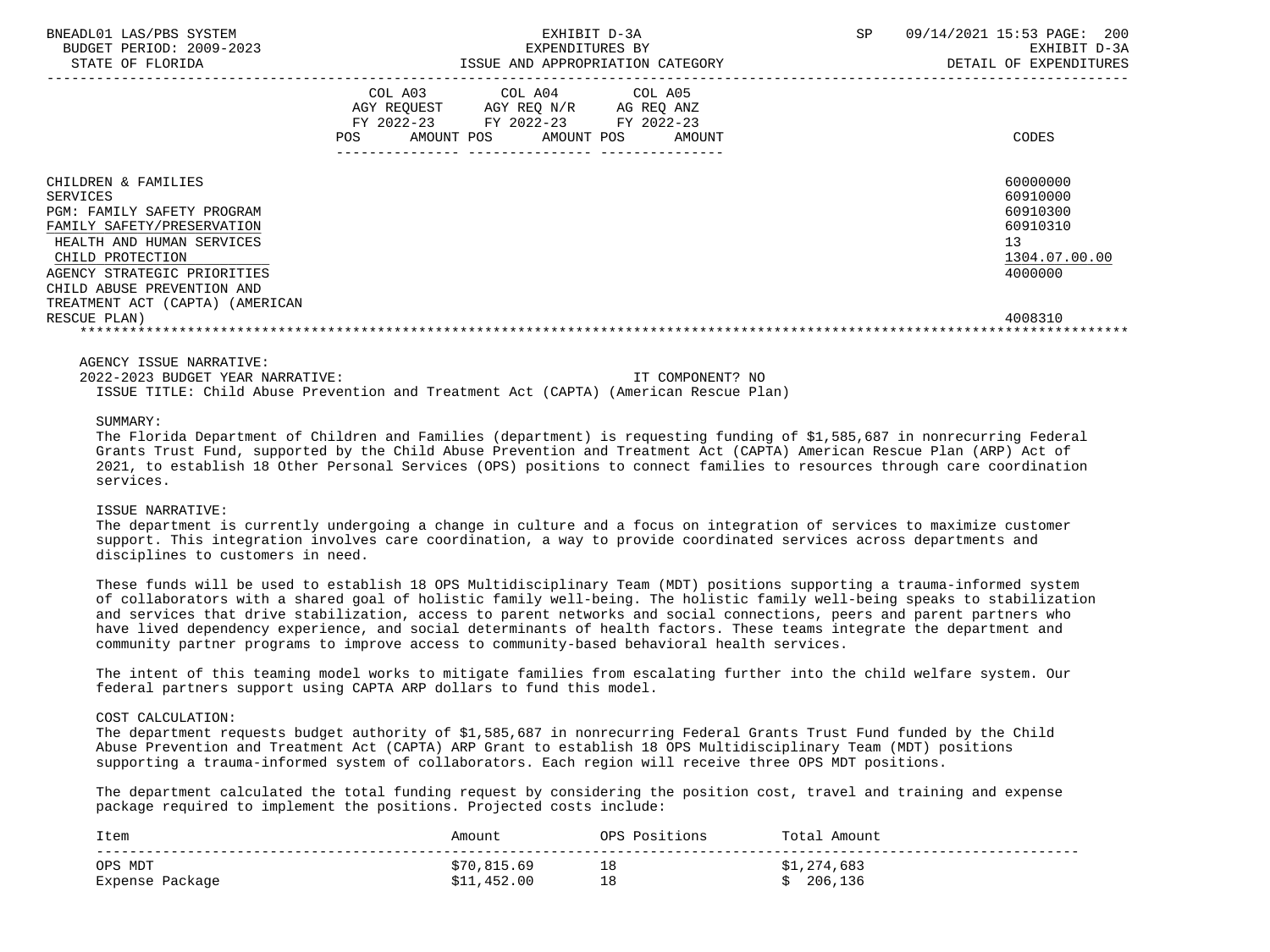| BNEADL01 LAS/PBS SYSTEM<br>BUDGET PERIOD: 2009-2023<br>STATE OF FLORIDA                                                                                                                                                                                             | EXHIBIT D-3A<br>EXPENDITURES BY<br>ISSUE AND APPROPRIATION CATEGORY                                                                         | SP<br>09/14/2021 15:53 PAGE:<br>200<br>EXHIBIT D-3A<br>DETAIL OF EXPENDITURES                          |
|---------------------------------------------------------------------------------------------------------------------------------------------------------------------------------------------------------------------------------------------------------------------|---------------------------------------------------------------------------------------------------------------------------------------------|--------------------------------------------------------------------------------------------------------|
|                                                                                                                                                                                                                                                                     | COL A03 COL A04 COL A05<br>AGY REQUEST AGY REQ N/R AG REQ ANZ<br>FY 2022-23 FY 2022-23 FY 2022-23<br>AMOUNT POS AMOUNT POS<br>POS<br>AMOUNT | CODES                                                                                                  |
| CHILDREN & FAMILIES<br>SERVICES<br><b>PGM: FAMILY SAFETY PROGRAM</b><br>FAMILY SAFETY/PRESERVATION<br>HEALTH AND HUMAN SERVICES<br>CHILD PROTECTION<br>AGENCY STRATEGIC PRIORITIES<br>CHILD ABUSE PREVENTION AND<br>TREATMENT ACT (CAPTA) (AMERICAN<br>RESCUE PLAN) |                                                                                                                                             | 60000000<br>60910000<br>60910300<br>60910310<br>13 <sup>°</sup><br>1304.07.00.00<br>4000000<br>4008310 |

 2022-2023 BUDGET YEAR NARRATIVE: IT COMPONENT? NO ISSUE TITLE: Child Abuse Prevention and Treatment Act (CAPTA) (American Rescue Plan)

### SUMMARY:

 The Florida Department of Children and Families (department) is requesting funding of \$1,585,687 in nonrecurring Federal Grants Trust Fund, supported by the Child Abuse Prevention and Treatment Act (CAPTA) American Rescue Plan (ARP) Act of 2021, to establish 18 Other Personal Services (OPS) positions to connect families to resources through care coordination services.

#### ISSUE NARRATIVE:

 The department is currently undergoing a change in culture and a focus on integration of services to maximize customer support. This integration involves care coordination, a way to provide coordinated services across departments and disciplines to customers in need.

 These funds will be used to establish 18 OPS Multidisciplinary Team (MDT) positions supporting a trauma-informed system of collaborators with a shared goal of holistic family well-being. The holistic family well-being speaks to stabilization and services that drive stabilization, access to parent networks and social connections, peers and parent partners who have lived dependency experience, and social determinants of health factors. These teams integrate the department and community partner programs to improve access to community-based behavioral health services.

 The intent of this teaming model works to mitigate families from escalating further into the child welfare system. Our federal partners support using CAPTA ARP dollars to fund this model.

### COST CALCULATION:

 The department requests budget authority of \$1,585,687 in nonrecurring Federal Grants Trust Fund funded by the Child Abuse Prevention and Treatment Act (CAPTA) ARP Grant to establish 18 OPS Multidisciplinary Team (MDT) positions supporting a trauma-informed system of collaborators. Each region will receive three OPS MDT positions.

 The department calculated the total funding request by considering the position cost, travel and training and expense package required to implement the positions. Projected costs include:

| Item            | Amount      | NP.S<br>Positions | Tota.<br>Amount |
|-----------------|-------------|-------------------|-----------------|
| OPS MDT         | \$70,815.69 | ᅩ◡                | \$1,274,683     |
| Expense Package | \$11,452.00 | ᅩᅩ                | 206,136         |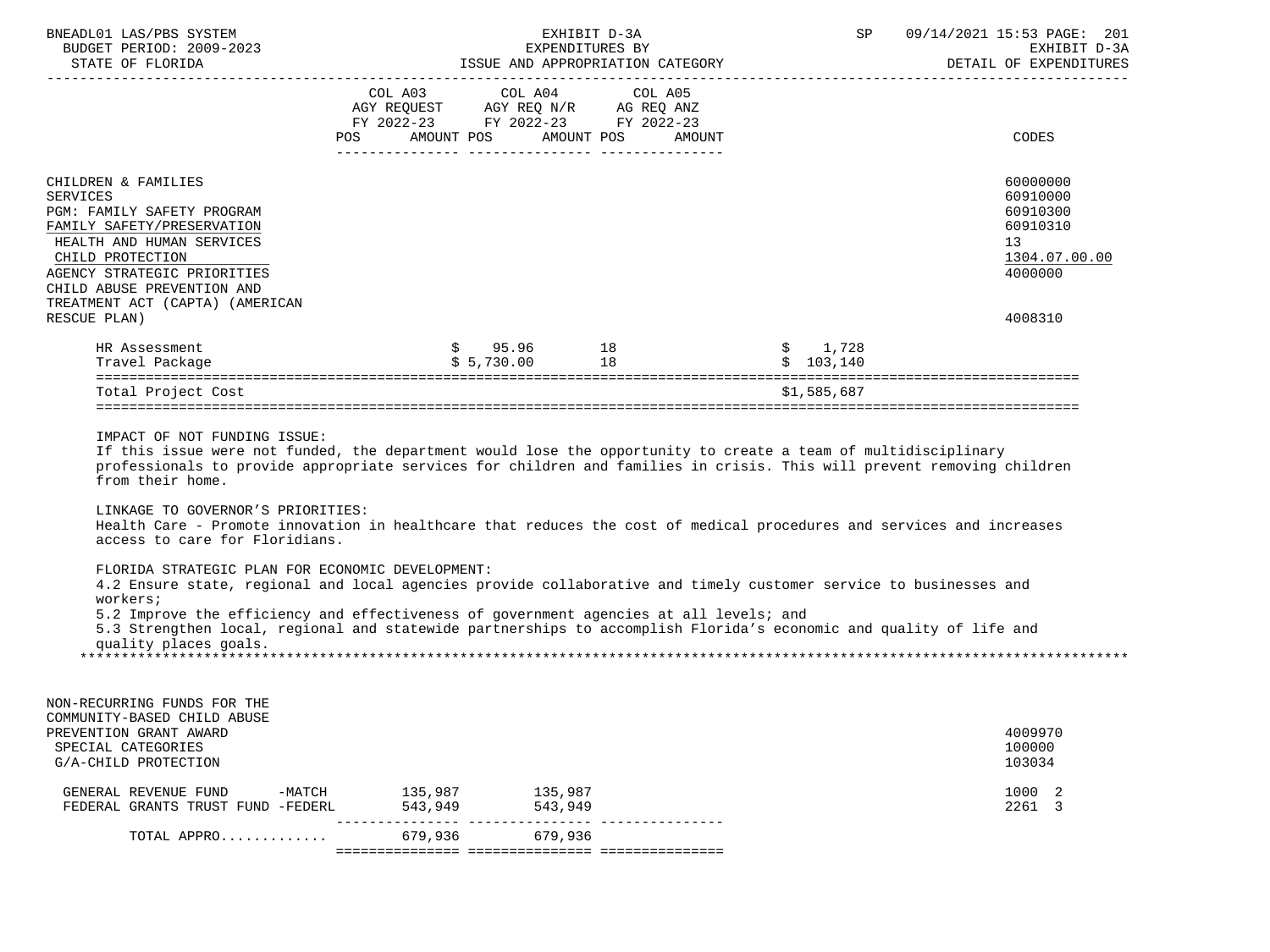| BNEADL01 LAS/PBS SYSTEM<br>BUDGET PERIOD: 2009-2023<br>STATE OF FLORIDA                                                                                                                                                                                                                                                                                                                                                                                                                      |         |                                                                                                                                                                                                                                             | EXHIBIT D-3A<br>EXPENDITURES BY<br>ISSUE AND APPROPRIATION CATEGORY | SP                                                           | 09/14/2021 15:53 PAGE: 201<br>EXHIBIT D-3A<br>DETAIL OF EXPENDITURES           |
|----------------------------------------------------------------------------------------------------------------------------------------------------------------------------------------------------------------------------------------------------------------------------------------------------------------------------------------------------------------------------------------------------------------------------------------------------------------------------------------------|---------|---------------------------------------------------------------------------------------------------------------------------------------------------------------------------------------------------------------------------------------------|---------------------------------------------------------------------|--------------------------------------------------------------|--------------------------------------------------------------------------------|
|                                                                                                                                                                                                                                                                                                                                                                                                                                                                                              | POS     | COL A03 COL A04 COL A05<br>$\begin{tabular}{lllllll} \bf AGY & \bf REQUEST & \bf AGY & \bf REQ & \tt N/R & \tt AG & \tt REQ & \tt ANZ \\ \bf FY & \tt 2022-23 & \tt FY & \tt 2022-23 & \tt FY & \tt 2022-23 \\ \end{tabular}$<br>AMOUNT POS | AMOUNT POS<br>AMOUNT                                                |                                                              | <b>CODES</b>                                                                   |
| CHILDREN & FAMILIES<br><b>SERVICES</b><br>PGM: FAMILY SAFETY PROGRAM<br>FAMILY SAFETY/PRESERVATION<br>HEALTH AND HUMAN SERVICES<br>CHILD PROTECTION<br>AGENCY STRATEGIC PRIORITIES<br>CHILD ABUSE PREVENTION AND<br>TREATMENT ACT (CAPTA) (AMERICAN                                                                                                                                                                                                                                          |         |                                                                                                                                                                                                                                             |                                                                     |                                                              | 60000000<br>60910000<br>60910300<br>60910310<br>13<br>1304.07.00.00<br>4000000 |
| RESCUE PLAN)<br>HR Assessment                                                                                                                                                                                                                                                                                                                                                                                                                                                                |         | $$95.96$ 18<br>$$5,730.00$ 18                                                                                                                                                                                                               |                                                                     | $\begin{array}{cc} \xi & 1,728 \\ \xi & 103.140 \end{array}$ | 4008310                                                                        |
| Travel Package                                                                                                                                                                                                                                                                                                                                                                                                                                                                               |         |                                                                                                                                                                                                                                             |                                                                     |                                                              |                                                                                |
| Total Project Cost                                                                                                                                                                                                                                                                                                                                                                                                                                                                           |         |                                                                                                                                                                                                                                             |                                                                     | \$1,585,687                                                  |                                                                                |
| IMPACT OF NOT FUNDING ISSUE:<br>If this issue were not funded, the department would lose the opportunity to create a team of multidisciplinary<br>professionals to provide appropriate services for children and families in crisis. This will prevent removing children<br>from their home.<br>LINKAGE TO GOVERNOR'S PRIORITIES:<br>Health Care - Promote innovation in healthcare that reduces the cost of medical procedures and services and increases<br>access to care for Floridians. |         |                                                                                                                                                                                                                                             |                                                                     |                                                              |                                                                                |
| FLORIDA STRATEGIC PLAN FOR ECONOMIC DEVELOPMENT:<br>4.2 Ensure state, regional and local agencies provide collaborative and timely customer service to businesses and<br>workers;<br>5.2 Improve the efficiency and effectiveness of government agencies at all levels; and<br>5.3 Strengthen local, regional and statewide partnerships to accomplish Florida's economic and quality of life and<br>quality places goals.                                                                   |         |                                                                                                                                                                                                                                             |                                                                     |                                                              |                                                                                |
|                                                                                                                                                                                                                                                                                                                                                                                                                                                                                              |         |                                                                                                                                                                                                                                             |                                                                     |                                                              |                                                                                |
| NON-RECURRING FUNDS FOR THE<br>COMMUNITY-BASED CHILD ABUSE<br>PREVENTION GRANT AWARD<br>SPECIAL CATEGORIES<br>G/A-CHILD PROTECTION                                                                                                                                                                                                                                                                                                                                                           |         |                                                                                                                                                                                                                                             |                                                                     |                                                              | 4009970<br>100000<br>103034                                                    |
| GENERAL REVENUE FUND -MATCH 135,987 135,987<br>FEDERAL GRANTS TRUST FUND -FEDERL                                                                                                                                                                                                                                                                                                                                                                                                             | 543,949 | 543,949                                                                                                                                                                                                                                     |                                                                     |                                                              | 1000 2<br>2261 3                                                               |
| TOTAL APPRO                                                                                                                                                                                                                                                                                                                                                                                                                                                                                  | 679,936 | 679,936                                                                                                                                                                                                                                     |                                                                     |                                                              |                                                                                |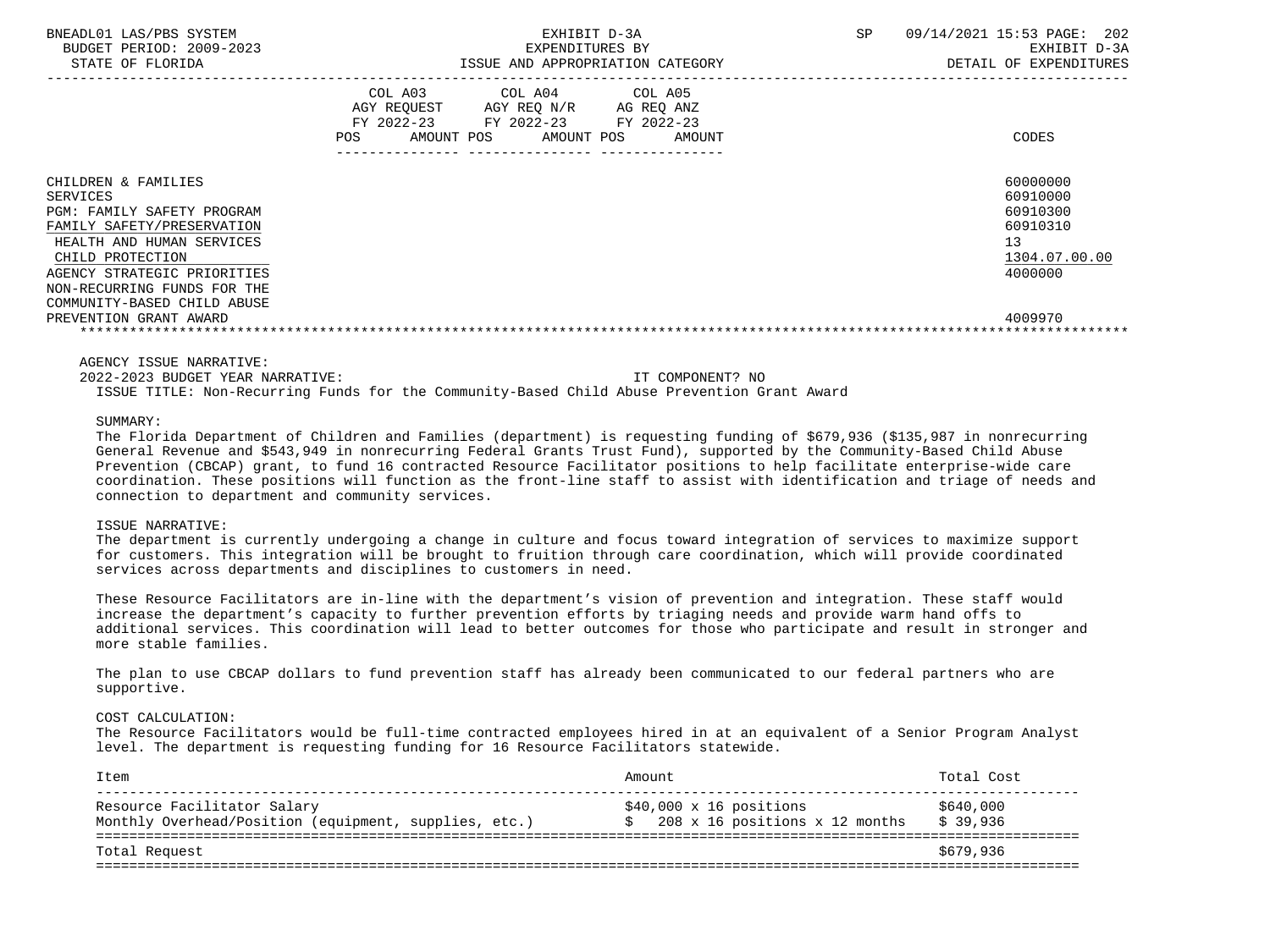| BNEADL01 LAS/PBS SYSTEM<br>BUDGET PERIOD: 2009-2023<br>STATE OF FLORIDA                                                                                                                                                                                             | EXHIBIT D-3A<br>EXPENDITURES BY<br>ISSUE AND APPROPRIATION CATEGORY                                                                         | SP<br>09/14/2021 15:53 PAGE: 202<br>EXHIBIT D-3A<br>DETAIL OF EXPENDITURES                |
|---------------------------------------------------------------------------------------------------------------------------------------------------------------------------------------------------------------------------------------------------------------------|---------------------------------------------------------------------------------------------------------------------------------------------|-------------------------------------------------------------------------------------------|
|                                                                                                                                                                                                                                                                     | COL A03 COL A04 COL A05<br>AGY REQUEST AGY REQ N/R AG REQ ANZ<br>FY 2022-23 FY 2022-23 FY 2022-23<br>AMOUNT POS AMOUNT POS<br>POS<br>AMOUNT | ------------------------------<br>CODES                                                   |
| CHILDREN & FAMILIES<br>SERVICES<br>PGM: FAMILY SAFETY PROGRAM<br>FAMILY SAFETY/PRESERVATION<br>HEALTH AND HUMAN SERVICES<br>CHILD PROTECTION<br>AGENCY STRATEGIC PRIORITIES<br>NON-RECURRING FUNDS FOR THE<br>COMMUNITY-BASED CHILD ABUSE<br>PREVENTION GRANT AWARD |                                                                                                                                             | 60000000<br>60910000<br>60910300<br>60910310<br>13<br>1304.07.00.00<br>4000000<br>4009970 |

 2022-2023 BUDGET YEAR NARRATIVE: IT COMPONENT? NO ISSUE TITLE: Non-Recurring Funds for the Community-Based Child Abuse Prevention Grant Award

### SUMMARY:

 The Florida Department of Children and Families (department) is requesting funding of \$679,936 (\$135,987 in nonrecurring General Revenue and \$543,949 in nonrecurring Federal Grants Trust Fund), supported by the Community-Based Child Abuse Prevention (CBCAP) grant, to fund 16 contracted Resource Facilitator positions to help facilitate enterprise-wide care coordination. These positions will function as the front-line staff to assist with identification and triage of needs and connection to department and community services.

### ISSUE NARRATIVE:

 The department is currently undergoing a change in culture and focus toward integration of services to maximize support for customers. This integration will be brought to fruition through care coordination, which will provide coordinated services across departments and disciplines to customers in need.

 These Resource Facilitators are in-line with the department's vision of prevention and integration. These staff would increase the department's capacity to further prevention efforts by triaging needs and provide warm hand offs to additional services. This coordination will lead to better outcomes for those who participate and result in stronger and more stable families.

 The plan to use CBCAP dollars to fund prevention staff has already been communicated to our federal partners who are supportive.

### COST CALCULATION:

 The Resource Facilitators would be full-time contracted employees hired in at an equivalent of a Senior Program Analyst level. The department is requesting funding for 16 Resource Facilitators statewide.

| Item                                                                                 | Amount                                                                | Total Cost            |
|--------------------------------------------------------------------------------------|-----------------------------------------------------------------------|-----------------------|
| Resource Facilitator Salary<br>Monthly Overhead/Position (equipment, supplies, etc.) | $$40,000 \times 16$ positions<br>208 x 16 positions x 12 months<br>S. | \$640,000<br>\$39,936 |
| Total Request                                                                        |                                                                       | \$679,936             |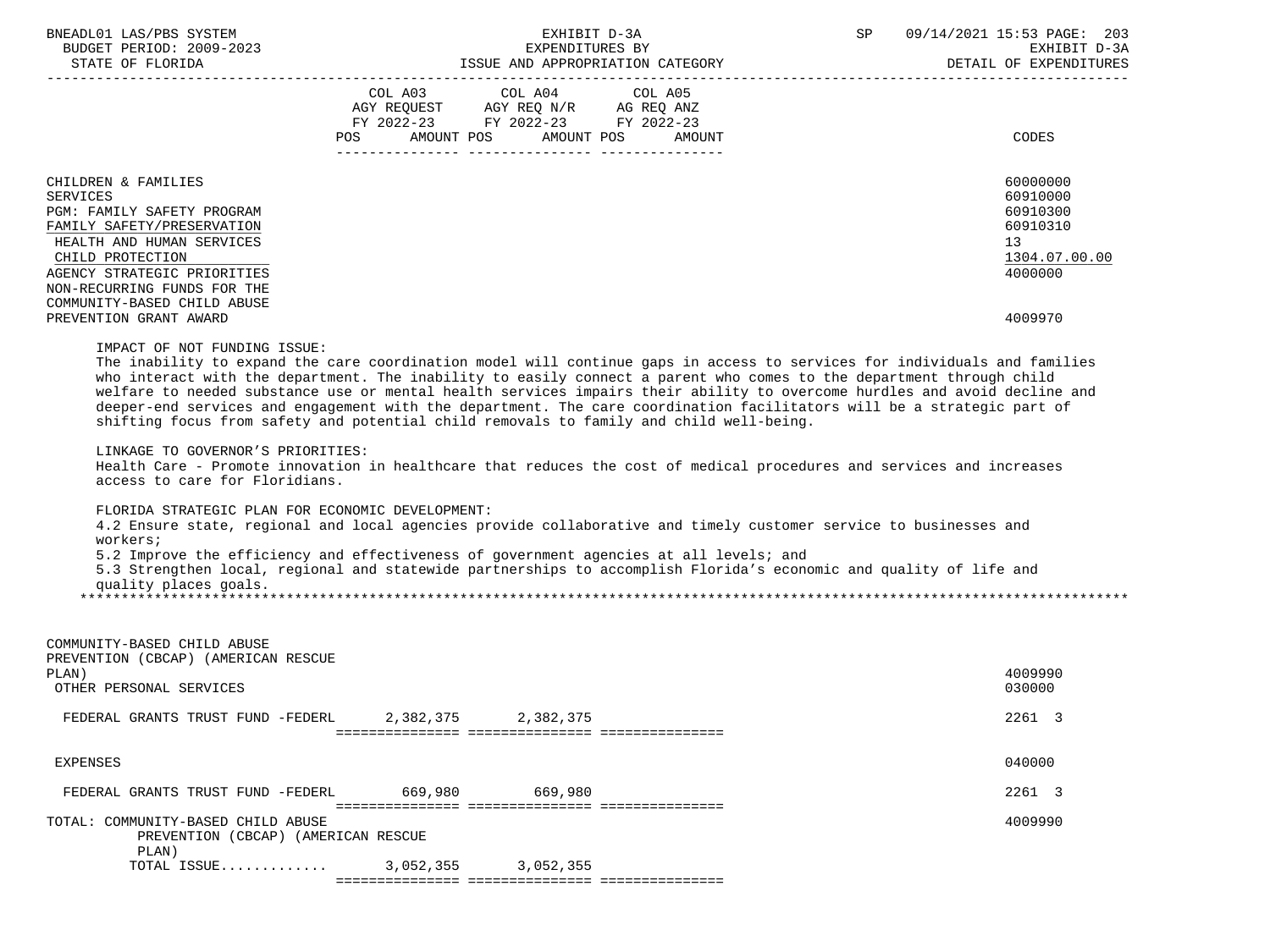| BNEADL01 LAS/PBS SYSTEM<br>BUDGET PERIOD: 2009-2023                                                                                                                                                                                                                 | EXHIBIT D-3A<br>EXPENDITURES BY<br>DETAIL OF EXPENDINE THE STATE OF FLORIDA TESSUE AND APPROPRIATION CATEGORY DETAIL OF EXPENDI                                                                                                                                                                                                                                                                                                                                                                                                                                                                     | SP and the set of the set of the set of the set of the set of the set of the set of the set of the set of the set of the set of the set of the set of the set of the set of the set of the set of the set of the set of the se | 09/14/2021 15:53 PAGE: 203<br>EXHIBIT D-3A<br>DETAIL OF EXPENDITURES                                   |
|---------------------------------------------------------------------------------------------------------------------------------------------------------------------------------------------------------------------------------------------------------------------|-----------------------------------------------------------------------------------------------------------------------------------------------------------------------------------------------------------------------------------------------------------------------------------------------------------------------------------------------------------------------------------------------------------------------------------------------------------------------------------------------------------------------------------------------------------------------------------------------------|--------------------------------------------------------------------------------------------------------------------------------------------------------------------------------------------------------------------------------|--------------------------------------------------------------------------------------------------------|
|                                                                                                                                                                                                                                                                     | COL A03 COL A04 COL A05<br>AGY REQUEST AGY REQ N/R AG REQ ANZ<br>FY 2022-23 FY 2022-23 FY 2022-23<br>AMOUNT POS<br>AMOUNT POS<br>AMOUNT<br>POS                                                                                                                                                                                                                                                                                                                                                                                                                                                      |                                                                                                                                                                                                                                | CODES                                                                                                  |
| CHILDREN & FAMILIES<br>SERVICES<br>PGM: FAMILY SAFETY PROGRAM<br>FAMILY SAFETY/PRESERVATION<br>HEALTH AND HUMAN SERVICES<br>CHILD PROTECTION<br>AGENCY STRATEGIC PRIORITIES<br>NON-RECURRING FUNDS FOR THE<br>COMMUNITY-BASED CHILD ABUSE<br>PREVENTION GRANT AWARD |                                                                                                                                                                                                                                                                                                                                                                                                                                                                                                                                                                                                     |                                                                                                                                                                                                                                | 60000000<br>60910000<br>60910300<br>60910310<br>13 <sup>°</sup><br>1304.07.00.00<br>4000000<br>4009970 |
| IMPACT OF NOT FUNDING ISSUE:<br>LINKAGE TO GOVERNOR'S PRIORITIES:                                                                                                                                                                                                   | The inability to expand the care coordination model will continue gaps in access to services for individuals and families<br>who interact with the department. The inability to easily connect a parent who comes to the department through child<br>welfare to needed substance use or mental health services impairs their ability to overcome hurdles and avoid decline and<br>deeper-end services and engagement with the department. The care coordination facilitators will be a strategic part of<br>shifting focus from safety and potential child removals to family and child well-being. |                                                                                                                                                                                                                                |                                                                                                        |
| access to care for Floridians.                                                                                                                                                                                                                                      | Health Care - Promote innovation in healthcare that reduces the cost of medical procedures and services and increases                                                                                                                                                                                                                                                                                                                                                                                                                                                                               |                                                                                                                                                                                                                                |                                                                                                        |
| FLORIDA STRATEGIC PLAN FOR ECONOMIC DEVELOPMENT:<br>workers;                                                                                                                                                                                                        | 4.2 Ensure state, regional and local agencies provide collaborative and timely customer service to businesses and                                                                                                                                                                                                                                                                                                                                                                                                                                                                                   |                                                                                                                                                                                                                                |                                                                                                        |
| quality places goals.                                                                                                                                                                                                                                               | 5.2 Improve the efficiency and effectiveness of government agencies at all levels; and<br>5.3 Strengthen local, regional and statewide partnerships to accomplish Florida's economic and quality of life and                                                                                                                                                                                                                                                                                                                                                                                        |                                                                                                                                                                                                                                |                                                                                                        |
| COMMUNITY-BASED CHILD ABUSE<br>PREVENTION (CBCAP) (AMERICAN RESCUE<br>PLAN)<br>OTHER PERSONAL SERVICES                                                                                                                                                              |                                                                                                                                                                                                                                                                                                                                                                                                                                                                                                                                                                                                     |                                                                                                                                                                                                                                | 4009990<br>030000                                                                                      |
| FEDERAL GRANTS TRUST FUND -FEDERL                                                                                                                                                                                                                                   | 2,382,375<br>2,382,375                                                                                                                                                                                                                                                                                                                                                                                                                                                                                                                                                                              |                                                                                                                                                                                                                                | 2261 3                                                                                                 |
| <b>EXPENSES</b>                                                                                                                                                                                                                                                     |                                                                                                                                                                                                                                                                                                                                                                                                                                                                                                                                                                                                     |                                                                                                                                                                                                                                | 040000                                                                                                 |
| FEDERAL GRANTS TRUST FUND -FEDERL                                                                                                                                                                                                                                   | 669,980 700<br>669,980                                                                                                                                                                                                                                                                                                                                                                                                                                                                                                                                                                              |                                                                                                                                                                                                                                | 2261 3                                                                                                 |
| TOTAL: COMMUNITY-BASED CHILD ABUSE<br>PREVENTION (CBCAP) (AMERICAN RESCUE                                                                                                                                                                                           |                                                                                                                                                                                                                                                                                                                                                                                                                                                                                                                                                                                                     |                                                                                                                                                                                                                                | 4009990                                                                                                |
| PLAN)<br>TOTAL ISSUE                                                                                                                                                                                                                                                | 3,052,355 3,052,355                                                                                                                                                                                                                                                                                                                                                                                                                                                                                                                                                                                 |                                                                                                                                                                                                                                |                                                                                                        |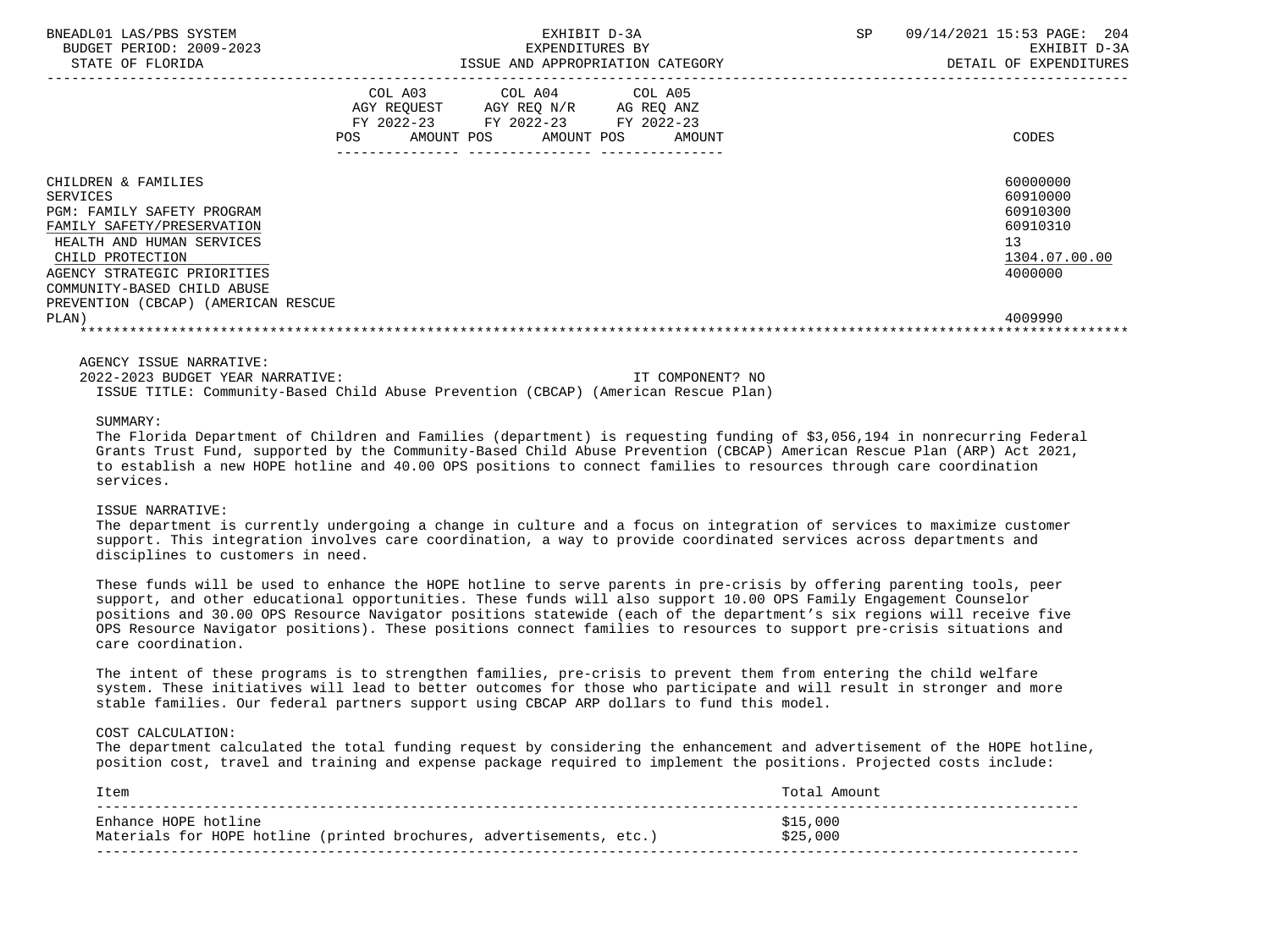| BNEADL01 LAS/PBS SYSTEM<br>BUDGET PERIOD: 2009-2023<br>STATE OF FLORIDA                                                                                                                                                                                           | EXHIBIT D-3A<br>EXPENDITURES BY<br>ISSUE AND APPROPRIATION CATEGORY                                                                         | SP.<br>09/14/2021 15:53 PAGE:<br>204<br>EXHIBIT D-3A<br>DETAIL OF EXPENDITURES            |  |  |
|-------------------------------------------------------------------------------------------------------------------------------------------------------------------------------------------------------------------------------------------------------------------|---------------------------------------------------------------------------------------------------------------------------------------------|-------------------------------------------------------------------------------------------|--|--|
|                                                                                                                                                                                                                                                                   | COL A03 COL A04 COL A05<br>AGY REQUEST AGY REQ N/R AG REQ ANZ<br>FY 2022-23 FY 2022-23 FY 2022-23<br>AMOUNT POS AMOUNT POS<br>POS<br>AMOUNT | CODES                                                                                     |  |  |
| CHILDREN & FAMILIES<br>SERVICES<br><b>PGM: FAMILY SAFETY PROGRAM</b><br>FAMILY SAFETY/PRESERVATION<br>HEALTH AND HUMAN SERVICES<br>CHILD PROTECTION<br>AGENCY STRATEGIC PRIORITIES<br>COMMUNITY-BASED CHILD ABUSE<br>PREVENTION (CBCAP) (AMERICAN RESCUE<br>PLAN) |                                                                                                                                             | 60000000<br>60910000<br>60910300<br>60910310<br>13<br>1304.07.00.00<br>4000000<br>4009990 |  |  |

 2022-2023 BUDGET YEAR NARRATIVE: IT COMPONENT? NO ISSUE TITLE: Community-Based Child Abuse Prevention (CBCAP) (American Rescue Plan)

### SUMMARY:

 The Florida Department of Children and Families (department) is requesting funding of \$3,056,194 in nonrecurring Federal Grants Trust Fund, supported by the Community-Based Child Abuse Prevention (CBCAP) American Rescue Plan (ARP) Act 2021, to establish a new HOPE hotline and 40.00 OPS positions to connect families to resources through care coordination services.

### ISSUE NARRATIVE:

 The department is currently undergoing a change in culture and a focus on integration of services to maximize customer support. This integration involves care coordination, a way to provide coordinated services across departments and disciplines to customers in need.

 These funds will be used to enhance the HOPE hotline to serve parents in pre-crisis by offering parenting tools, peer support, and other educational opportunities. These funds will also support 10.00 OPS Family Engagement Counselor positions and 30.00 OPS Resource Navigator positions statewide (each of the department's six regions will receive five OPS Resource Navigator positions). These positions connect families to resources to support pre-crisis situations and care coordination.

 The intent of these programs is to strengthen families, pre-crisis to prevent them from entering the child welfare system. These initiatives will lead to better outcomes for those who participate and will result in stronger and more stable families. Our federal partners support using CBCAP ARP dollars to fund this model.

### COST CALCULATION:

 The department calculated the total funding request by considering the enhancement and advertisement of the HOPE hotline, position cost, travel and training and expense package required to implement the positions. Projected costs include:

| [tem                                                                 | Amount   |
|----------------------------------------------------------------------|----------|
| Enhance HOPE hotline                                                 | \$15,000 |
| Materials for HOPE hotline (printed brochures, advertisements, etc.) | \$25,000 |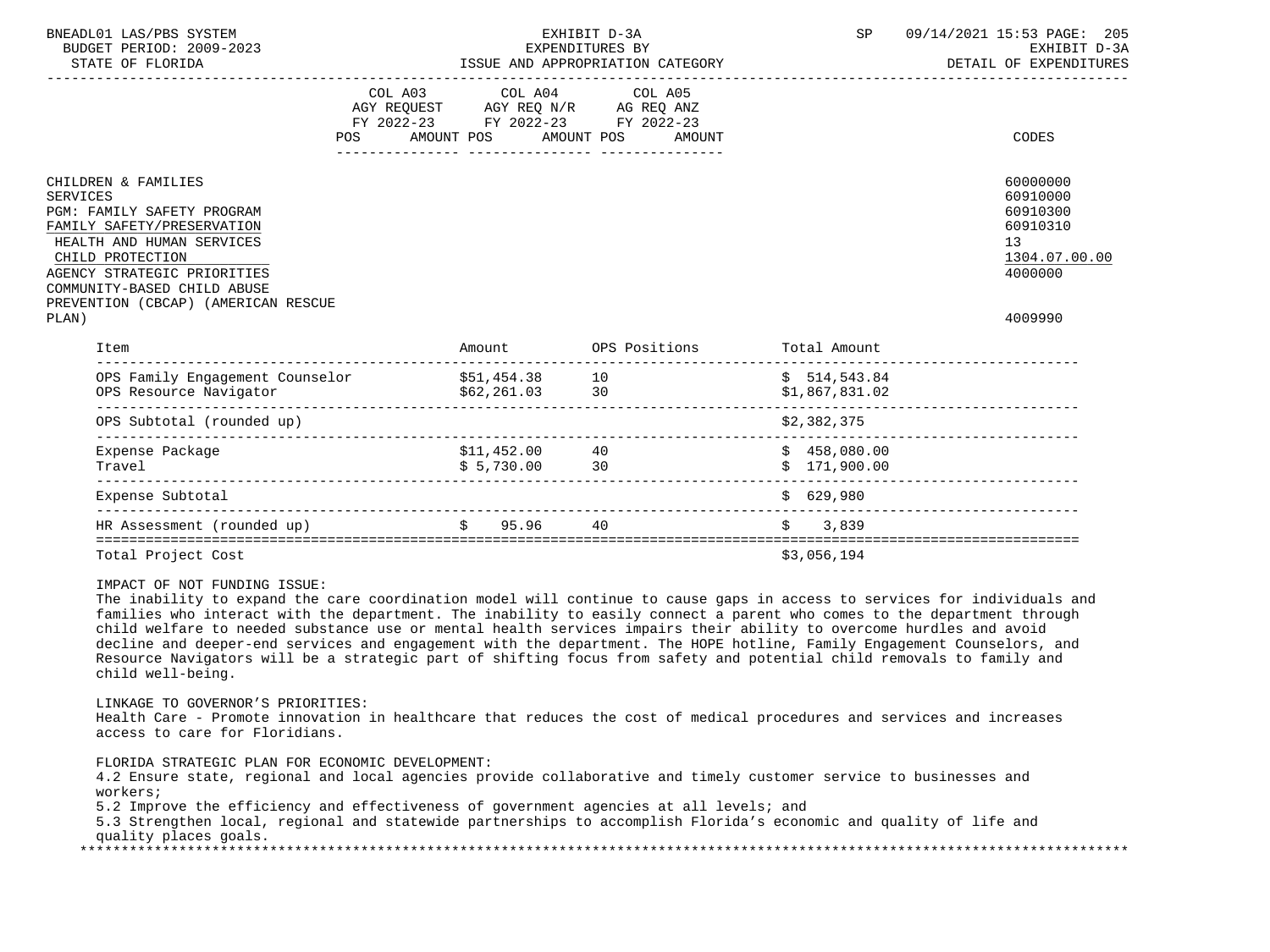| BNEADL01 LAS/PBS SYSTEM<br>BUDGET PERIOD: 2009-2023<br>STATE OF FLORIDA                                                                                                                                                                                           |            |                                                                                                                                                                                            | EXHIBIT D-3A<br>EXPENDITURES BY   | SP                             | 09/14/2021 15:53 PAGE: 205<br>EXHIBIT D-3A                                                |
|-------------------------------------------------------------------------------------------------------------------------------------------------------------------------------------------------------------------------------------------------------------------|------------|--------------------------------------------------------------------------------------------------------------------------------------------------------------------------------------------|-----------------------------------|--------------------------------|-------------------------------------------------------------------------------------------|
|                                                                                                                                                                                                                                                                   | <b>POS</b> | COL A03 COL A04 COL A05<br>$\begin{tabular}{lllllll} AGY & REGUEST & AGY & REG & N/R & AG REQ ANZ \\ FY & 2022-23 & FY & 2022-23 & FY & 2022-23 \\ \end{tabular}$<br>AMOUNT POS AMOUNT POS | AMOUNT                            |                                | CODES                                                                                     |
| CHILDREN & FAMILIES<br><b>SERVICES</b><br>PGM: FAMILY SAFETY PROGRAM<br>FAMILY SAFETY/PRESERVATION<br>HEALTH AND HUMAN SERVICES<br>CHILD PROTECTION<br>AGENCY STRATEGIC PRIORITIES<br>COMMUNITY-BASED CHILD ABUSE<br>PREVENTION (CBCAP) (AMERICAN RESCUE<br>PLAN) |            |                                                                                                                                                                                            |                                   |                                | 60000000<br>60910000<br>60910300<br>60910310<br>13<br>1304.07.00.00<br>4000000<br>4009990 |
| Item                                                                                                                                                                                                                                                              |            |                                                                                                                                                                                            | Amount OPS Positions Total Amount |                                |                                                                                           |
|                                                                                                                                                                                                                                                                   |            |                                                                                                                                                                                            |                                   | \$514,543.84<br>\$1,867,831.02 | -------------------------                                                                 |
| OPS Subtotal (rounded up)                                                                                                                                                                                                                                         |            |                                                                                                                                                                                            |                                   | \$2,382,375                    |                                                                                           |
| Expense Package<br>Travel                                                                                                                                                                                                                                         |            | $$11,452.00$ 40<br>$$5,730.00$ 30                                                                                                                                                          |                                   | \$458,080.00<br>\$171,900.00   |                                                                                           |
| Expense Subtotal                                                                                                                                                                                                                                                  |            |                                                                                                                                                                                            |                                   | \$629,980                      |                                                                                           |
| HR Assessment (rounded up) $\frac{1}{2}$ 95.96                                                                                                                                                                                                                    |            |                                                                                                                                                                                            | 40                                | \$3,839                        |                                                                                           |

Total Project Cost  $\frac{1}{9}$  and  $\frac{1}{9}$  and  $\frac{1}{9}$  and  $\frac{1}{9}$  and  $\frac{1}{9}$  and  $\frac{1}{9}$  and  $\frac{1}{9}$  and  $\frac{1}{9}$  and  $\frac{1}{9}$  and  $\frac{1}{9}$  and  $\frac{1}{9}$  and  $\frac{1}{9}$  and  $\frac{1}{9}$  and  $\frac{1}{9}$  and  $\frac{1}{9$ 

IMPACT OF NOT FUNDING ISSUE:

 The inability to expand the care coordination model will continue to cause gaps in access to services for individuals and families who interact with the department. The inability to easily connect a parent who comes to the department through child welfare to needed substance use or mental health services impairs their ability to overcome hurdles and avoid decline and deeper-end services and engagement with the department. The HOPE hotline, Family Engagement Counselors, and Resource Navigators will be a strategic part of shifting focus from safety and potential child removals to family and child well-being.

LINKAGE TO GOVERNOR'S PRIORITIES:

 Health Care - Promote innovation in healthcare that reduces the cost of medical procedures and services and increases access to care for Floridians.

FLORIDA STRATEGIC PLAN FOR ECONOMIC DEVELOPMENT:

 4.2 Ensure state, regional and local agencies provide collaborative and timely customer service to businesses and workers;

5.2 Improve the efficiency and effectiveness of government agencies at all levels; and

 5.3 Strengthen local, regional and statewide partnerships to accomplish Florida's economic and quality of life and quality places goals. \*\*\*\*\*\*\*\*\*\*\*\*\*\*\*\*\*\*\*\*\*\*\*\*\*\*\*\*\*\*\*\*\*\*\*\*\*\*\*\*\*\*\*\*\*\*\*\*\*\*\*\*\*\*\*\*\*\*\*\*\*\*\*\*\*\*\*\*\*\*\*\*\*\*\*\*\*\*\*\*\*\*\*\*\*\*\*\*\*\*\*\*\*\*\*\*\*\*\*\*\*\*\*\*\*\*\*\*\*\*\*\*\*\*\*\*\*\*\*\*\*\*\*\*\*\*\*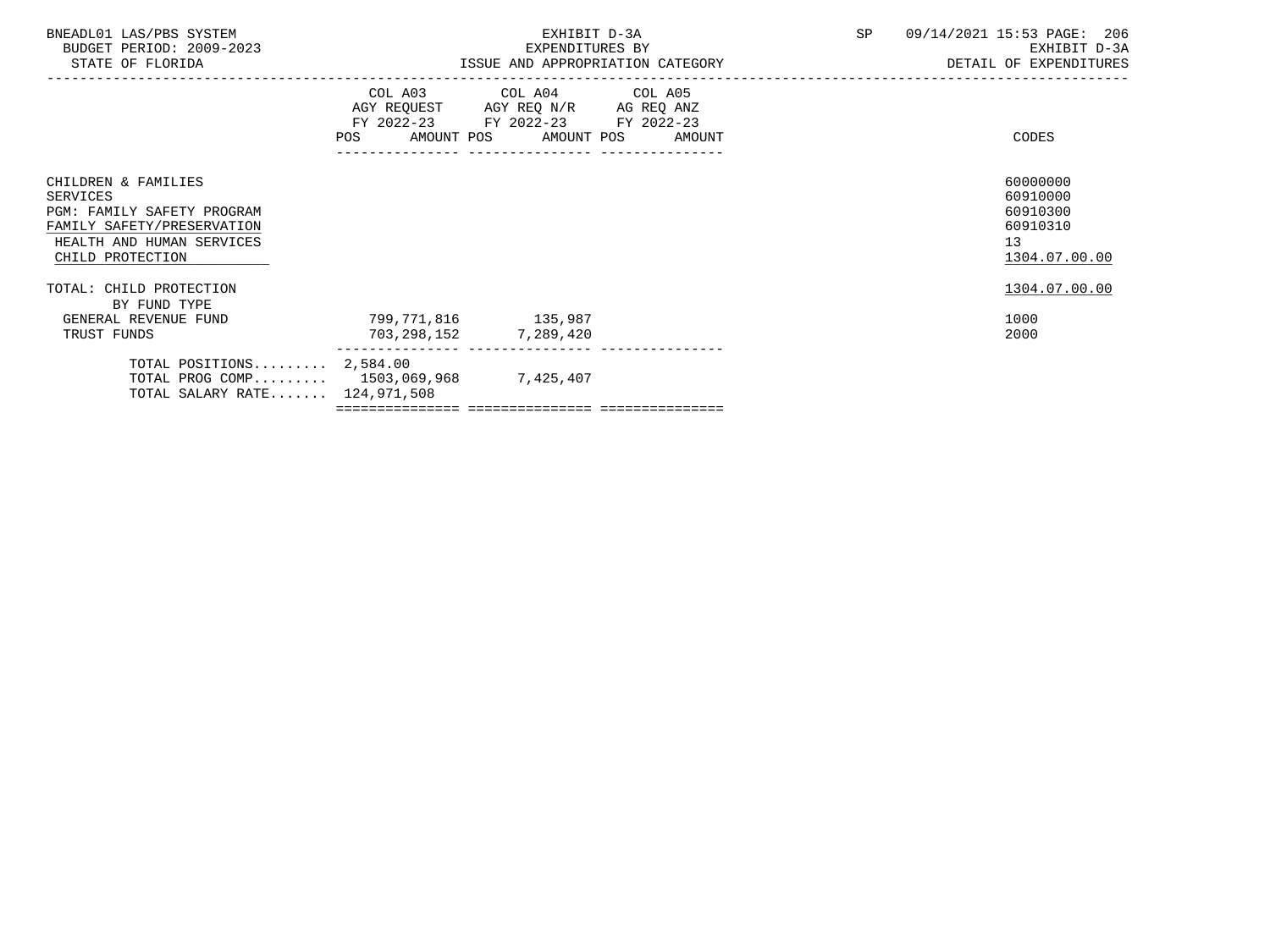| BNEADL01 LAS/PBS SYSTEM<br>BUDGET PERIOD: 2009-2023<br>STATE OF FLORIDA                                                                      |                                              | EXHIBIT D-3A<br>EXPENDITURES BY                                                                   | ISSUE AND APPROPRIATION CATEGORY | SP | 09/14/2021 15:53 PAGE: 206<br>EXHIBIT D-3A<br>DETAIL OF EXPENDITURES             |
|----------------------------------------------------------------------------------------------------------------------------------------------|----------------------------------------------|---------------------------------------------------------------------------------------------------|----------------------------------|----|----------------------------------------------------------------------------------|
|                                                                                                                                              | POS AMOUNT POS AMOUNT POS AMOUNT             | COL A03 COL A04 COL A05<br>AGY REQUEST AGY REQ N/R AG REQ ANZ<br>FY 2022-23 FY 2022-23 FY 2022-23 |                                  |    | CODES                                                                            |
| CHILDREN & FAMILIES<br>SERVICES<br>PGM: FAMILY SAFETY PROGRAM<br>FAMILY SAFETY/PRESERVATION<br>HEALTH AND HUMAN SERVICES<br>CHILD PROTECTION |                                              |                                                                                                   |                                  |    | 60000000<br>60910000<br>60910300<br>60910310<br>13 <sup>°</sup><br>1304.07.00.00 |
| TOTAL: CHILD PROTECTION<br>BY FUND TYPE                                                                                                      |                                              |                                                                                                   |                                  |    | 1304.07.00.00                                                                    |
| GENERAL REVENUE FUND<br>TRUST FUNDS                                                                                                          | 799,771,816 135,987<br>703,298,152 7,289,420 |                                                                                                   |                                  |    | 1000<br>2000                                                                     |
| TOTAL POSITIONS $2,584.00$<br>TOTAL PROG COMP 1503,069,968 7,425,407<br>TOTAL SALARY RATE 124,971,508                                        |                                              |                                                                                                   |                                  |    |                                                                                  |
|                                                                                                                                              |                                              |                                                                                                   |                                  |    |                                                                                  |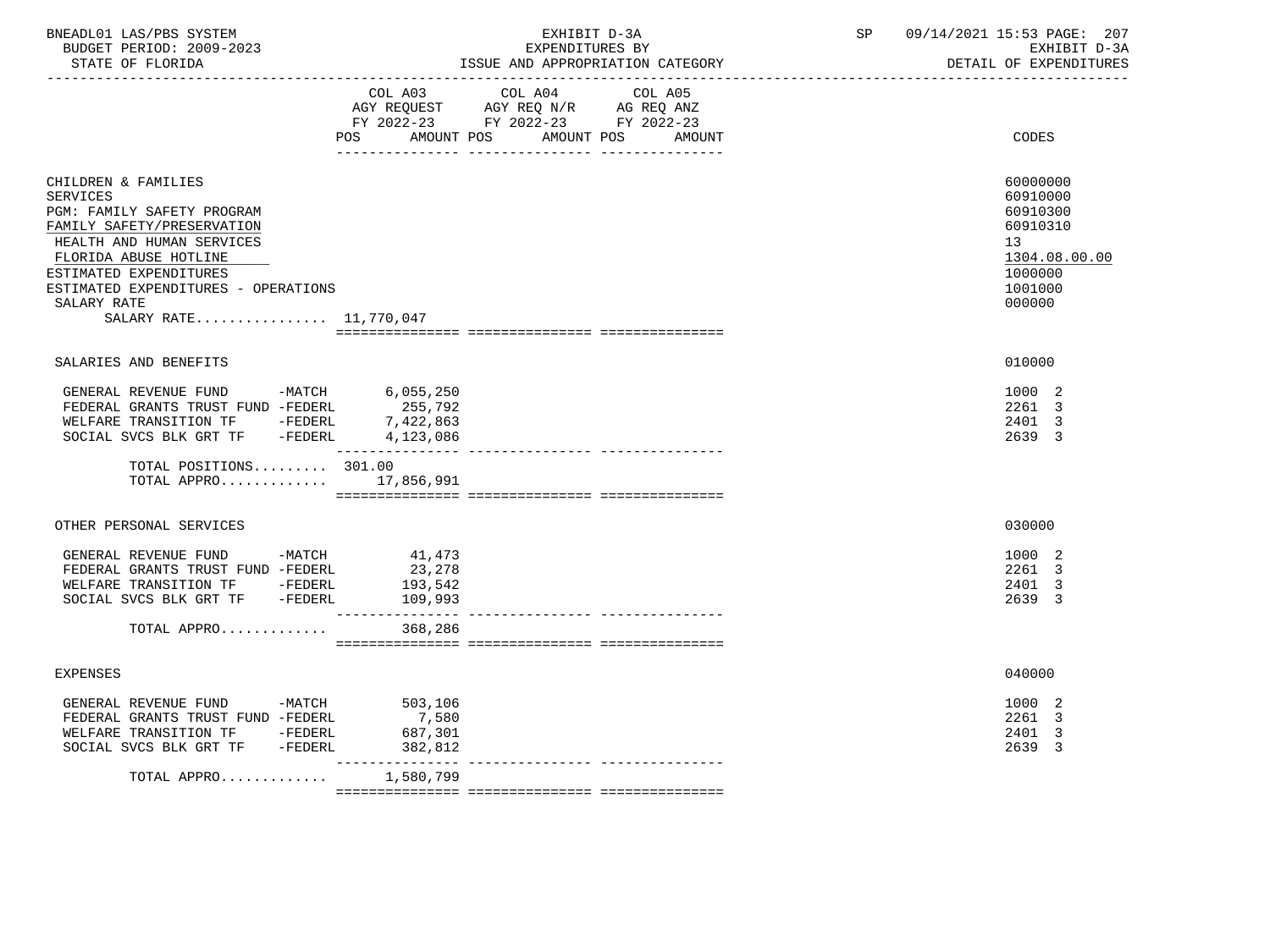| BNEADL01 LAS/PBS SYSTEM  |                            | 09/14/2021 15:53 PAGE: | 207 |
|--------------------------|----------------------------|------------------------|-----|
| BUDGET PERIOD: 2009-2023 | EXPENDITURES BY            | EXHIBIT D-3A           |     |
| STATE OF FLORIDA         | AND APPROPRIATION CATEGORY | EXPENDITHIRES<br>T. OF |     |

STATE OF FLORIDA STATE OF STATE OF STATE OF EXPENDITURES

| COL A03 COL A04<br>COL A05<br>AGY REQUEST AGY REQ N/R AG REQ ANZ<br>FY 2022-23 FY 2022-23 FY 2022-23                                                                                                                                                               |                                                                                                     |
|--------------------------------------------------------------------------------------------------------------------------------------------------------------------------------------------------------------------------------------------------------------------|-----------------------------------------------------------------------------------------------------|
| POS<br>AMOUNT POS<br>AMOUNT POS<br>AMOUNT                                                                                                                                                                                                                          | CODES                                                                                               |
| CHILDREN & FAMILIES<br><b>SERVICES</b><br>PGM: FAMILY SAFETY PROGRAM<br>FAMILY SAFETY/PRESERVATION<br>HEALTH AND HUMAN SERVICES<br>FLORIDA ABUSE HOTLINE<br>ESTIMATED EXPENDITURES<br>ESTIMATED EXPENDITURES - OPERATIONS<br>SALARY RATE<br>SALARY RATE 11,770,047 | 60000000<br>60910000<br>60910300<br>60910310<br>13<br>1304.08.00.00<br>1000000<br>1001000<br>000000 |
|                                                                                                                                                                                                                                                                    |                                                                                                     |
| SALARIES AND BENEFITS                                                                                                                                                                                                                                              | 010000                                                                                              |
| GENERAL REVENUE FUND -MATCH<br>6,055,250<br>FEDERAL GRANTS TRUST FUND -FEDERL<br>255,792<br>WELFARE TRANSITION TF -FEDERL<br>7,422,863<br>SOCIAL SVCS BLK GRT TF -FEDERL<br>4,123,086<br>_______________                                                           | 1000 2<br>2261 3<br>2401 3<br>2639 3                                                                |
| TOTAL POSITIONS 301.00                                                                                                                                                                                                                                             |                                                                                                     |
| TOTAL APPRO $17,856,991$                                                                                                                                                                                                                                           |                                                                                                     |
|                                                                                                                                                                                                                                                                    |                                                                                                     |
| OTHER PERSONAL SERVICES                                                                                                                                                                                                                                            | 030000                                                                                              |
| GENERAL REVENUE FUND -MATCH<br>41,473<br>FEDERAL GRANTS TRUST FUND -FEDERL<br>23,278<br>193,542<br>WELFARE TRANSITION TF -FEDERL<br>SOCIAL SVCS BLK GRT TF -FEDERL<br>109,993                                                                                      | 1000 2<br>2261 3<br>2401 3<br>2639 3                                                                |
| 368,286<br>TOTAL APPRO                                                                                                                                                                                                                                             |                                                                                                     |
| <b>EXPENSES</b>                                                                                                                                                                                                                                                    | 040000                                                                                              |
| GENERAL REVENUE FUND -MATCH<br>503,106                                                                                                                                                                                                                             | 1000 2                                                                                              |
| FEDERAL GRANTS TRUST FUND -FEDERL<br>7,580                                                                                                                                                                                                                         | 2261 3                                                                                              |
| WELFARE TRANSITION TF -FEDERL<br>687,301                                                                                                                                                                                                                           | 2401 3                                                                                              |
| SOCIAL SVCS BLK GRT TF -FEDERL<br>382,812                                                                                                                                                                                                                          | 2639 3                                                                                              |
| TOTAL APPRO<br>1,580,799                                                                                                                                                                                                                                           |                                                                                                     |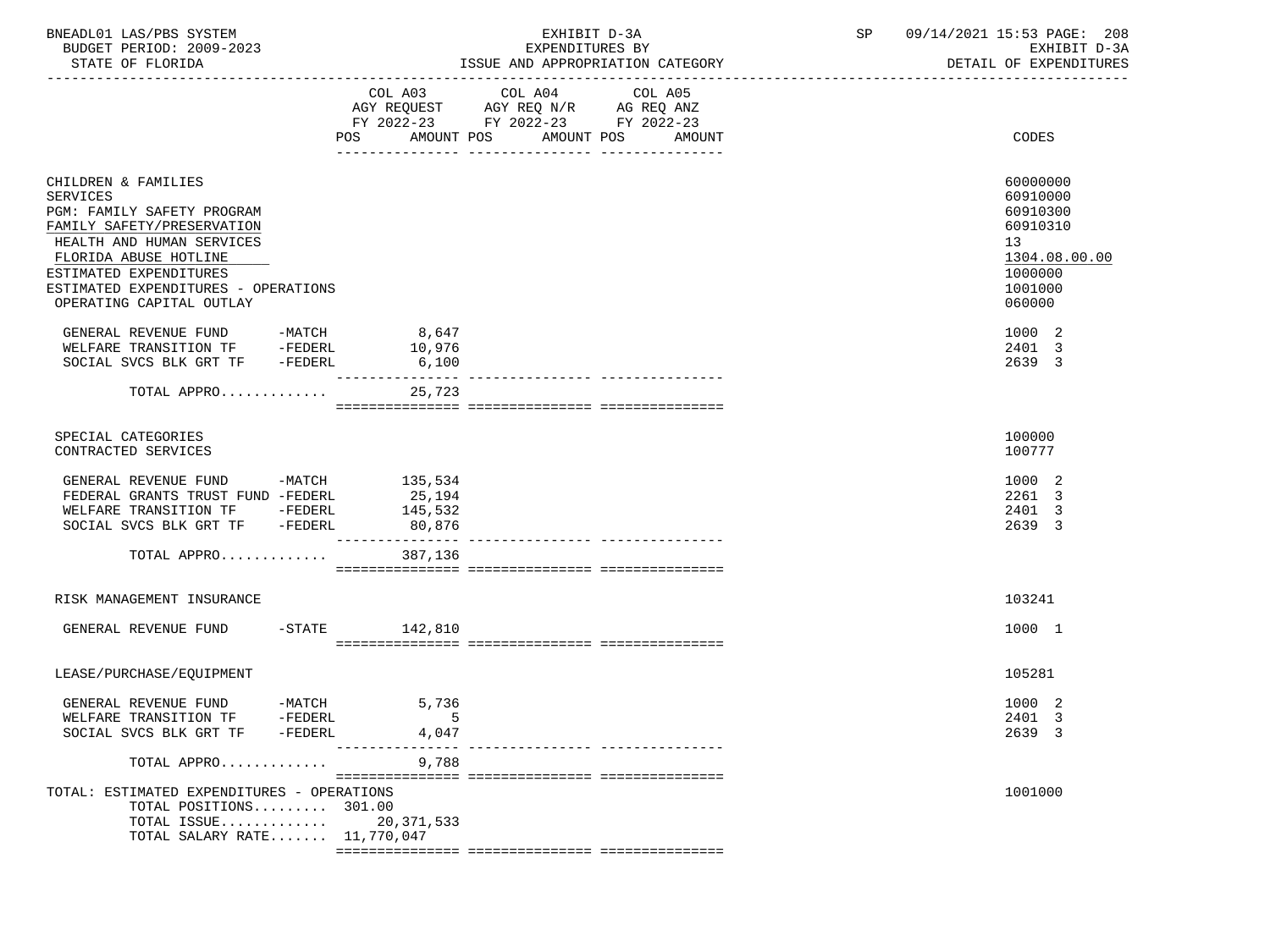| BNEADL01 LAS/PBS SYSTEM |                  |                          |  | EXHIBIT D-3A                     |  |
|-------------------------|------------------|--------------------------|--|----------------------------------|--|
|                         |                  | BUDGET PERIOD: 2009-2023 |  | EXPENDITURES BY                  |  |
|                         | STATE OF FLORIDA |                          |  | ISSUE AND APPROPRIATION CATEGORY |  |

|                                                                                                                                                                                                                                                | COL A03<br>AMOUNT POS<br>POS | COL A04 | COL A05<br>AMOUNT POS AMOUNT         | CODES                                                                                               |
|------------------------------------------------------------------------------------------------------------------------------------------------------------------------------------------------------------------------------------------------|------------------------------|---------|--------------------------------------|-----------------------------------------------------------------------------------------------------|
| CHILDREN & FAMILIES<br>SERVICES<br>PGM: FAMILY SAFETY PROGRAM<br>FAMILY SAFETY/PRESERVATION<br>HEALTH AND HUMAN SERVICES<br>FLORIDA ABUSE HOTLINE<br>ESTIMATED EXPENDITURES<br>ESTIMATED EXPENDITURES - OPERATIONS<br>OPERATING CAPITAL OUTLAY |                              |         |                                      | 60000000<br>60910000<br>60910300<br>60910310<br>13<br>1304.08.00.00<br>1000000<br>1001000<br>060000 |
| GENERAL REVENUE FUND -MATCH 8,647                                                                                                                                                                                                              |                              |         |                                      | 1000 2                                                                                              |
| WELFARE TRANSITION TF -FEDERL                                                                                                                                                                                                                  | 10,976                       |         |                                      |                                                                                                     |
|                                                                                                                                                                                                                                                |                              |         |                                      | 2401 3                                                                                              |
| SOCIAL SVCS BLK GRT TF -FEDERL                                                                                                                                                                                                                 | 6,100                        |         |                                      | 2639 3                                                                                              |
| TOTAL APPRO                                                                                                                                                                                                                                    | ________________<br>25,723   |         |                                      |                                                                                                     |
| SPECIAL CATEGORIES<br>CONTRACTED SERVICES                                                                                                                                                                                                      |                              |         |                                      | 100000<br>100777                                                                                    |
| GENERAL REVENUE FUND -MATCH 135,534<br>FEDERAL GRANTS TRUST FUND -FEDERL<br>WELFARE TRANSITION TF -FEDERL<br>SOCIAL SVCS BLK GRT TF -FEDERL                                                                                                    | 25,194<br>145,532<br>80,876  |         |                                      | 1000 2<br>2261 3<br>2401 3<br>2639 3                                                                |
| TOTAL APPRO                                                                                                                                                                                                                                    | 387,136                      |         |                                      |                                                                                                     |
| RISK MANAGEMENT INSURANCE                                                                                                                                                                                                                      |                              |         |                                      | 103241                                                                                              |
| GENERAL REVENUE FUND -STATE 142,810                                                                                                                                                                                                            |                              |         |                                      | 1000 1                                                                                              |
| LEASE/PURCHASE/EQUIPMENT                                                                                                                                                                                                                       |                              |         |                                      | 105281                                                                                              |
|                                                                                                                                                                                                                                                |                              |         |                                      | 1000 2                                                                                              |
|                                                                                                                                                                                                                                                |                              |         |                                      |                                                                                                     |
|                                                                                                                                                                                                                                                |                              |         |                                      | 2401 3                                                                                              |
| SOCIAL SVCS BLK GRT TF -FEDERL                                                                                                                                                                                                                 | 4,047                        |         |                                      | 2639 3                                                                                              |
| TOTAL APPRO                                                                                                                                                                                                                                    | 9,788                        |         | ____________________________________ |                                                                                                     |
| TOTAL: ESTIMATED EXPENDITURES - OPERATIONS<br>TOTAL POSITIONS 301.00<br>TOTAL ISSUE 20,371,533<br>TOTAL SALARY RATE 11,770,047                                                                                                                 |                              |         |                                      | 1001000                                                                                             |
|                                                                                                                                                                                                                                                |                              |         |                                      |                                                                                                     |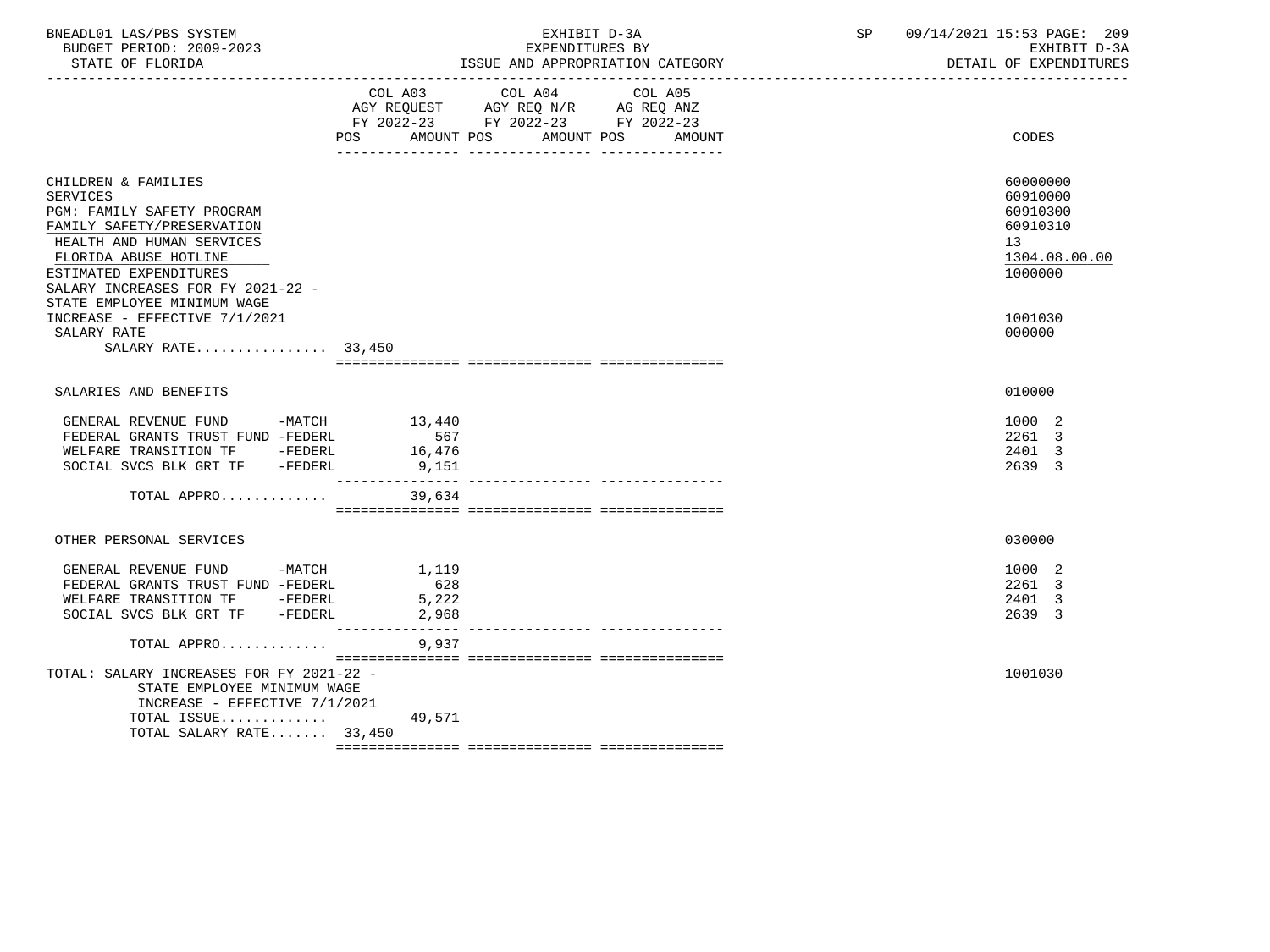| BNEADL01 LAS/PBS SYSTEM<br>BUDGET PERIOD: 2009-2023<br>STATE OF FLORIDA<br>-------------------                                                                                                                                                                                                                               |                                | EXHIBIT D-3A<br>EXPENDITURES BY<br>ISSUE AND APPROPRIATION CATEGORY                                                                   | SP | 09/14/2021 15:53 PAGE: 209<br>EXHIBIT D-3A<br>DETAIL OF EXPENDITURES                                |
|------------------------------------------------------------------------------------------------------------------------------------------------------------------------------------------------------------------------------------------------------------------------------------------------------------------------------|--------------------------------|---------------------------------------------------------------------------------------------------------------------------------------|----|-----------------------------------------------------------------------------------------------------|
|                                                                                                                                                                                                                                                                                                                              |                                | COL A03 COL A04 COL A05<br>AGY REQUEST AGY REQ N/R AG REQ ANZ<br>FY 2022-23 FY 2022-23 FY 2022-23<br>POS AMOUNT POS AMOUNT POS AMOUNT |    | CODES                                                                                               |
| CHILDREN & FAMILIES<br><b>SERVICES</b><br>PGM: FAMILY SAFETY PROGRAM<br>FAMILY SAFETY/PRESERVATION<br>HEALTH AND HUMAN SERVICES<br>FLORIDA ABUSE HOTLINE<br>ESTIMATED EXPENDITURES<br>SALARY INCREASES FOR FY 2021-22 -<br>STATE EMPLOYEE MINIMUM WAGE<br>INCREASE - EFFECTIVE 7/1/2021<br>SALARY RATE<br>SALARY RATE 33,450 |                                |                                                                                                                                       |    | 60000000<br>60910000<br>60910300<br>60910310<br>13<br>1304.08.00.00<br>1000000<br>1001030<br>000000 |
|                                                                                                                                                                                                                                                                                                                              |                                |                                                                                                                                       |    |                                                                                                     |
| SALARIES AND BENEFITS<br>GENERAL REVENUE FUND -MATCH 13,440<br>FEDERAL GRANTS TRUST FUND -FEDERL<br>WELFARE TRANSITION TF -FEDERL<br>SOCIAL SVCS BLK GRT TF -FEDERL<br>TOTAL APPRO 39,634                                                                                                                                    | 567<br>16,476<br>9,151         |                                                                                                                                       |    | 010000<br>1000 2<br>2261 3<br>2401 3<br>2639 3                                                      |
|                                                                                                                                                                                                                                                                                                                              |                                |                                                                                                                                       |    |                                                                                                     |
| OTHER PERSONAL SERVICES                                                                                                                                                                                                                                                                                                      |                                |                                                                                                                                       |    | 030000                                                                                              |
| GENERAL REVENUE FUND -MATCH<br>FEDERAL GRANTS TRUST FUND -FEDERL<br>WELFARE TRANSITION TF - FEDERL<br>SOCIAL SVCS BLK GRT TF -FEDERL                                                                                                                                                                                         | 1,119<br>628<br>5,222<br>2,968 |                                                                                                                                       |    | 1000 2<br>2261 3<br>2401 3<br>2639 3                                                                |
| TOTAL APPRO                                                                                                                                                                                                                                                                                                                  | 9,937                          |                                                                                                                                       |    |                                                                                                     |
| TOTAL: SALARY INCREASES FOR FY 2021-22 -<br>STATE EMPLOYEE MINIMUM WAGE<br>INCREASE - EFFECTIVE 7/1/2021<br>TOTAL ISSUE<br>TOTAL SALARY RATE 33,450                                                                                                                                                                          | 49,571                         |                                                                                                                                       |    | 1001030                                                                                             |
|                                                                                                                                                                                                                                                                                                                              |                                |                                                                                                                                       |    |                                                                                                     |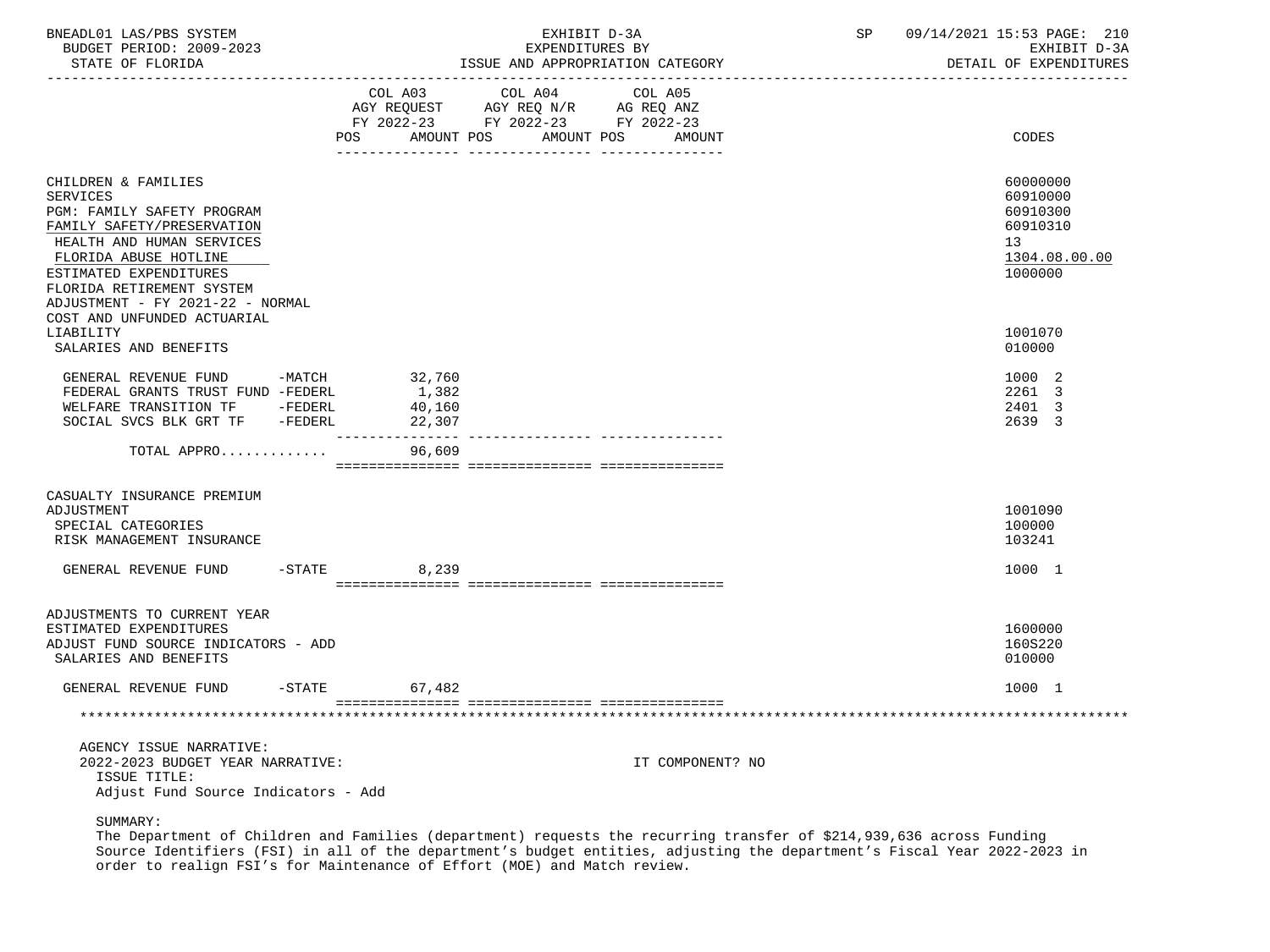| BNEADL01 LAS/PBS SYSTEM<br>BUDGET PERIOD: 2009-2023<br>STATE OF FLORIDA                                                                                                                                                                             |                            | EXHIBIT D-3A<br>EXPENDITURES BY<br>ISSUE AND APPROPRIATION CATEGORY                             | SP | 09/14/2021 15:53 PAGE: 210<br>EXHIBIT D-3A<br>DETAIL OF EXPENDITURES           |
|-----------------------------------------------------------------------------------------------------------------------------------------------------------------------------------------------------------------------------------------------------|----------------------------|-------------------------------------------------------------------------------------------------|----|--------------------------------------------------------------------------------|
|                                                                                                                                                                                                                                                     |                            | COL A03 COL A04 COL A05<br>FY 2022-23 FY 2022-23 FY 2022-23<br>POS AMOUNT POS AMOUNT POS AMOUNT |    | <b>CODES</b>                                                                   |
| CHILDREN & FAMILIES<br><b>SERVICES</b><br>PGM: FAMILY SAFETY PROGRAM<br>FAMILY SAFETY/PRESERVATION<br>HEALTH AND HUMAN SERVICES<br>FLORIDA ABUSE HOTLINE<br>ESTIMATED EXPENDITURES<br>FLORIDA RETIREMENT SYSTEM<br>ADJUSTMENT - FY 2021-22 - NORMAL |                            |                                                                                                 |    | 60000000<br>60910000<br>60910300<br>60910310<br>13<br>1304.08.00.00<br>1000000 |
| COST AND UNFUNDED ACTUARIAL<br>LIABILITY<br>SALARIES AND BENEFITS                                                                                                                                                                                   |                            |                                                                                                 |    | 1001070<br>010000                                                              |
| GENERAL REVENUE FUND -MATCH 32,760<br>FEDERAL GRANTS TRUST FUND -FEDERL<br>WELFARE TRANSITION TF -FEDERL<br>SOCIAL SVCS BLK GRT TF -FEDERL                                                                                                          | 1,382<br>40,160<br>22,307  |                                                                                                 |    | 1000 2<br>2261 3<br>2401 3<br>2639 3                                           |
| TOTAL APPRO                                                                                                                                                                                                                                         | ________________<br>96,609 | -------------- ----------------                                                                 |    |                                                                                |
| CASUALTY INSURANCE PREMIUM<br>ADJUSTMENT<br>SPECIAL CATEGORIES<br>RISK MANAGEMENT INSURANCE                                                                                                                                                         |                            |                                                                                                 |    | 1001090<br>100000<br>103241                                                    |
| GENERAL REVENUE FUND -STATE 6,239                                                                                                                                                                                                                   |                            |                                                                                                 |    | 1000 1                                                                         |
| ADJUSTMENTS TO CURRENT YEAR<br>ESTIMATED EXPENDITURES<br>ADJUST FUND SOURCE INDICATORS - ADD<br>SALARIES AND BENEFITS                                                                                                                               |                            |                                                                                                 |    | 1600000<br>160S220<br>010000                                                   |
| GENERAL REVENUE FUND                                                                                                                                                                                                                                | $-STATE$<br>67,482         |                                                                                                 |    | 1000 1                                                                         |
|                                                                                                                                                                                                                                                     |                            |                                                                                                 |    |                                                                                |
| AGENCY ISSUE NARRATIVE:<br>2022-2023 BUDGET YEAR NARRATIVE:<br>ISSUE TITLE:<br>Adjust Fund Source Indicators - Add                                                                                                                                  |                            | IT COMPONENT? NO                                                                                |    |                                                                                |
| SUMMARY:                                                                                                                                                                                                                                            |                            |                                                                                                 |    |                                                                                |

 The Department of Children and Families (department) requests the recurring transfer of \$214,939,636 across Funding Source Identifiers (FSI) in all of the department's budget entities, adjusting the department's Fiscal Year 2022-2023 in order to realign FSI's for Maintenance of Effort (MOE) and Match review.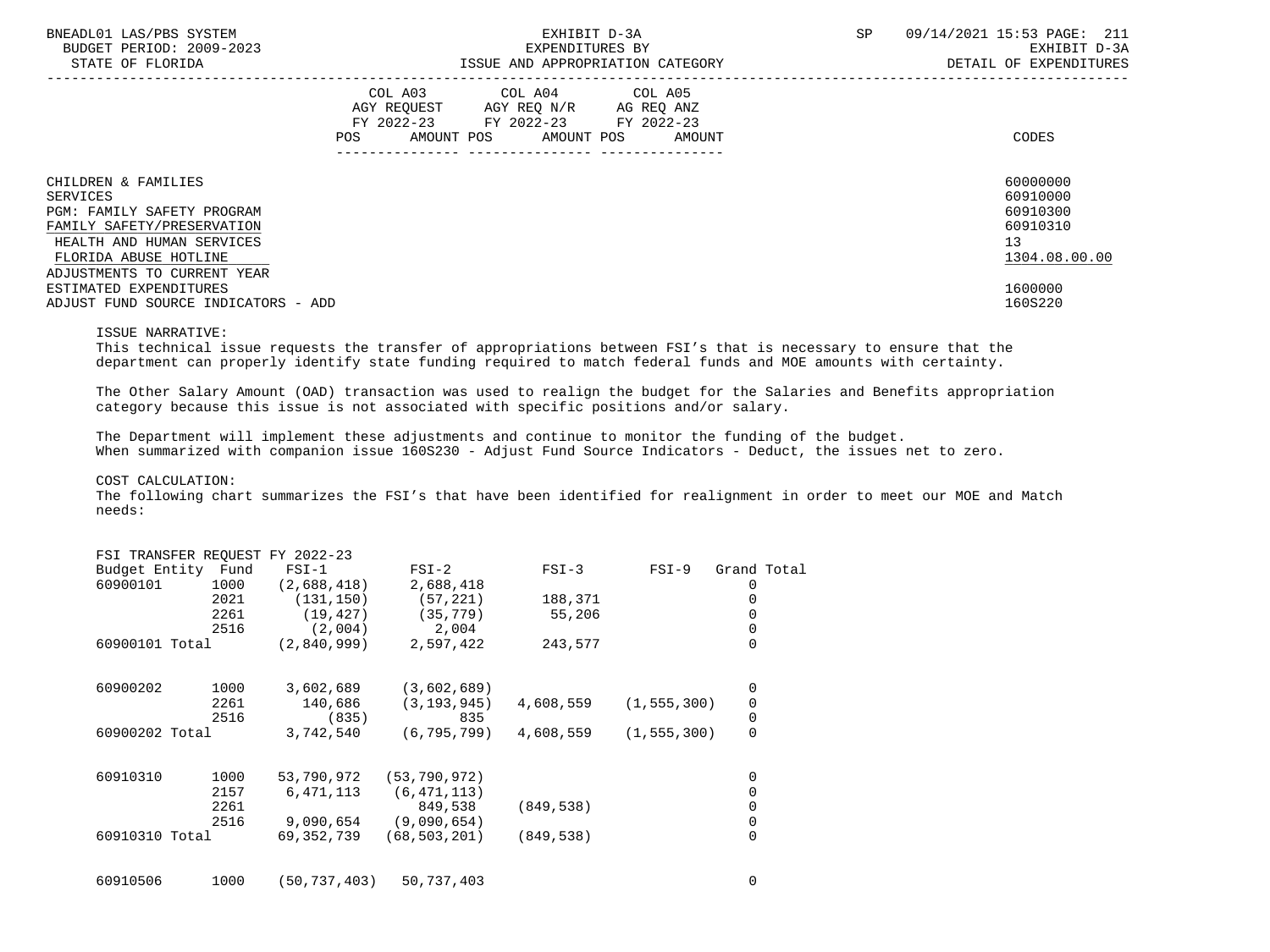| BNEADL01 LAS/PBS SYSTEM<br>BUDGET PERIOD: 2009-2023<br>STATE OF FLORIDA                                                                                                          | EXHIBIT D-3A<br>EXPENDITURES BY<br>ISSUE AND APPROPRIATION CATEGORY                                                                   | SP | 09/14/2021 15:53 PAGE: 211<br>EXHIBIT D-3A<br>DETAIL OF EXPENDITURES |                                                                     |
|----------------------------------------------------------------------------------------------------------------------------------------------------------------------------------|---------------------------------------------------------------------------------------------------------------------------------------|----|----------------------------------------------------------------------|---------------------------------------------------------------------|
|                                                                                                                                                                                  | COL A03 COL A04 COL A05<br>AGY REOUEST AGY REO N/R AG REO ANZ<br>FY 2022-23 FY 2022-23 FY 2022-23<br>POS AMOUNT POS AMOUNT POS AMOUNT |    |                                                                      | CODES                                                               |
| CHILDREN & FAMILIES<br>SERVICES<br>PGM: FAMILY SAFETY PROGRAM<br>FAMILY SAFETY/PRESERVATION<br>HEALTH AND HUMAN SERVICES<br>FLORIDA ABUSE HOTLINE<br>ADJUSTMENTS TO CURRENT YEAR |                                                                                                                                       |    |                                                                      | 60000000<br>60910000<br>60910300<br>60910310<br>13<br>1304.08.00.00 |
| ESTIMATED EXPENDITURES<br>ADJUST FUND SOURCE INDICATORS - ADD                                                                                                                    |                                                                                                                                       |    |                                                                      | 1600000<br>160S220                                                  |

#### ISSUE NARRATIVE:

 This technical issue requests the transfer of appropriations between FSI's that is necessary to ensure that the department can properly identify state funding required to match federal funds and MOE amounts with certainty.

 The Other Salary Amount (OAD) transaction was used to realign the budget for the Salaries and Benefits appropriation category because this issue is not associated with specific positions and/or salary.

 The Department will implement these adjustments and continue to monitor the funding of the budget. When summarized with companion issue 160S230 - Adjust Fund Source Indicators - Deduct, the issues net to zero.

#### COST CALCULATION:

 The following chart summarizes the FSI's that have been identified for realignment in order to meet our MOE and Match needs:

#### FSI TRANSFER REQUEST FY 2022-23

| Budget Entity  | Fund | $FSI-1$     | $FSI-2$        | $FSI-3$    | $FSI-9$       | Grand Total |  |
|----------------|------|-------------|----------------|------------|---------------|-------------|--|
| 60900101       | 1000 | (2,688,418) | 2,688,418      |            |               | 0           |  |
|                | 2021 | (131, 150)  | (57, 221)      | 188,371    |               |             |  |
|                | 2261 | (19, 427)   | (35, 779)      | 55,206     |               |             |  |
|                | 2516 | (2,004)     | 2,004          |            |               |             |  |
| 60900101 Total |      | (2,840,999) | 2,597,422      | 243,577    |               | $\Omega$    |  |
| 60900202       | 1000 | 3,602,689   | (3,602,689)    |            |               | 0           |  |
|                | 2261 | 140,686     | (3, 193, 945)  | 4,608,559  | (1, 555, 300) | 0           |  |
|                | 2516 | (835)       | 835            |            |               | 0           |  |
| 60900202 Total |      | 3,742,540   | (6, 795, 799)  | 4,608,559  | (1, 555, 300) | 0           |  |
| 60910310       | 1000 | 53,790,972  | (53, 790, 972) |            |               | 0           |  |
|                | 2157 | 6,471,113   | (6, 471, 113)  |            |               | 0           |  |
|                | 2261 |             | 849,538        | (849, 538) |               | 0           |  |
|                | 2516 | 9,090,654   | (9,090,654)    |            |               | 0           |  |
| 60910310 Total |      | 69,352,739  | (68, 503, 201) | (849, 538) |               | 0           |  |
| 60910506       | 1000 | 50,737,403) | 50,737,403     |            |               | 0           |  |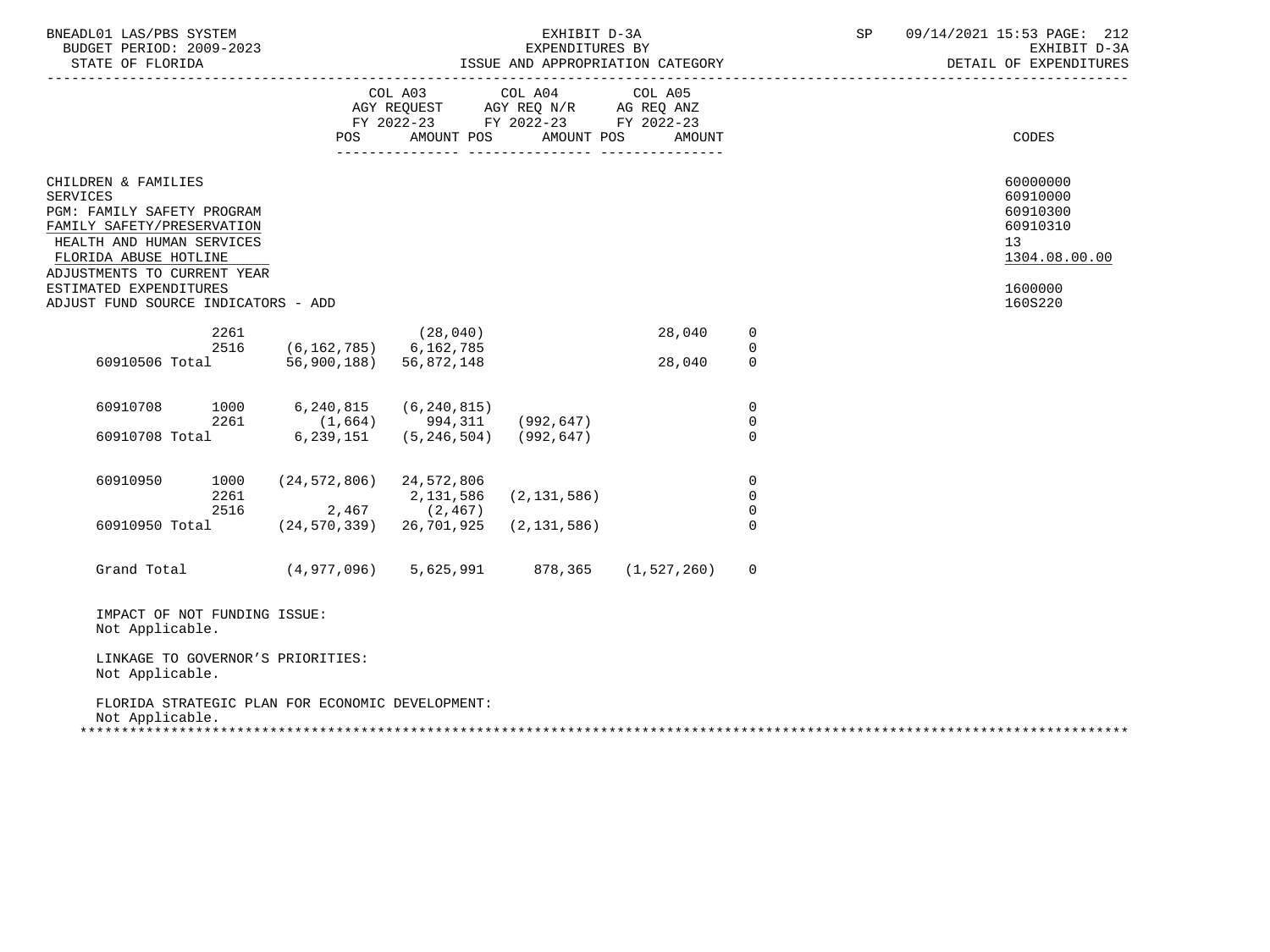| BNEADL01 LAS/PBS SYSTEM<br>BUDGET PERIOD: 2009-2023<br>STATE OF FLORIDA                                                                                                                                                                                  |                                                       |                                                                                   | EXHIBIT D-3A<br>EXPENDITURES BY<br>------------------------------- | ISSUE AND APPROPRIATION CATEGORY |                         | SP | 09/14/2021 15:53 PAGE: 212<br>EXHIBIT D-3A<br>DETAIL OF EXPENDITURES                      |
|----------------------------------------------------------------------------------------------------------------------------------------------------------------------------------------------------------------------------------------------------------|-------------------------------------------------------|-----------------------------------------------------------------------------------|--------------------------------------------------------------------|----------------------------------|-------------------------|----|-------------------------------------------------------------------------------------------|
|                                                                                                                                                                                                                                                          | <b>POS</b>                                            | COL A03<br>AGY REQUEST AGY REQ N/R AG REQ ANZ<br>FY 2022-23 FY 2022-23 FY 2022-23 | COL A04<br>AMOUNT POS AMOUNT POS                                   | COL A05<br><b>AMOUNT</b>         |                         |    | CODES                                                                                     |
| CHILDREN & FAMILIES<br><b>SERVICES</b><br>PGM: FAMILY SAFETY PROGRAM<br>FAMILY SAFETY/PRESERVATION<br>HEALTH AND HUMAN SERVICES<br>FLORIDA ABUSE HOTLINE<br>ADJUSTMENTS TO CURRENT YEAR<br>ESTIMATED EXPENDITURES<br>ADJUST FUND SOURCE INDICATORS - ADD |                                                       |                                                                                   |                                                                    |                                  |                         |    | 60000000<br>60910000<br>60910300<br>60910310<br>13<br>1304.08.00.00<br>1600000<br>160S220 |
| 2261                                                                                                                                                                                                                                                     |                                                       | (28, 040)                                                                         |                                                                    | 28,040                           | $\mathbf 0$             |    |                                                                                           |
| 2516<br>60910506 Total                                                                                                                                                                                                                                   | $(6, 162, 785)$ 6, 162, 785<br>56,900,188) 56,872,148 |                                                                                   |                                                                    | 28,040                           | $\mathbf 0$<br>$\Omega$ |    |                                                                                           |
| 60910708<br>1000                                                                                                                                                                                                                                         | 6,240,815                                             | (6, 240, 815)                                                                     |                                                                    |                                  | $\mathbf 0$             |    |                                                                                           |
| 2261<br>60910708 Total                                                                                                                                                                                                                                   | $(1,664)$ 994, 311 (992, 647)                         | $6, 239, 151$ $(5, 246, 504)$ $(992, 647)$                                        |                                                                    |                                  | $\Omega$<br>$\Omega$    |    |                                                                                           |
| 60910950<br>1000<br>2261                                                                                                                                                                                                                                 | $(24, 572, 806)$ 24, 572, 806                         | 2,131,586                                                                         | (2, 131, 586)                                                      |                                  | $\Omega$<br>$\mathbf 0$ |    |                                                                                           |
| 2516<br>60910950 Total                                                                                                                                                                                                                                   | $(24, 570, 339)$ 26, 701, 925                         | $2,467$ (2,467)                                                                   | (2, 131, 586)                                                      |                                  | 0<br>$\Omega$           |    |                                                                                           |
| Grand Total (4,977,096)                                                                                                                                                                                                                                  |                                                       | 5,625,991                                                                         | 878,365 (1,527,260)                                                |                                  | $\Omega$                |    |                                                                                           |
| IMPACT OF NOT FUNDING ISSUE:<br>Not Applicable.                                                                                                                                                                                                          |                                                       |                                                                                   |                                                                    |                                  |                         |    |                                                                                           |
| LINKAGE TO GOVERNOR'S PRIORITIES:<br>Not Applicable.                                                                                                                                                                                                     |                                                       |                                                                                   |                                                                    |                                  |                         |    |                                                                                           |
| FLORIDA STRATEGIC PLAN FOR ECONOMIC DEVELOPMENT:<br>Not Applicable.                                                                                                                                                                                      |                                                       |                                                                                   |                                                                    |                                  |                         |    |                                                                                           |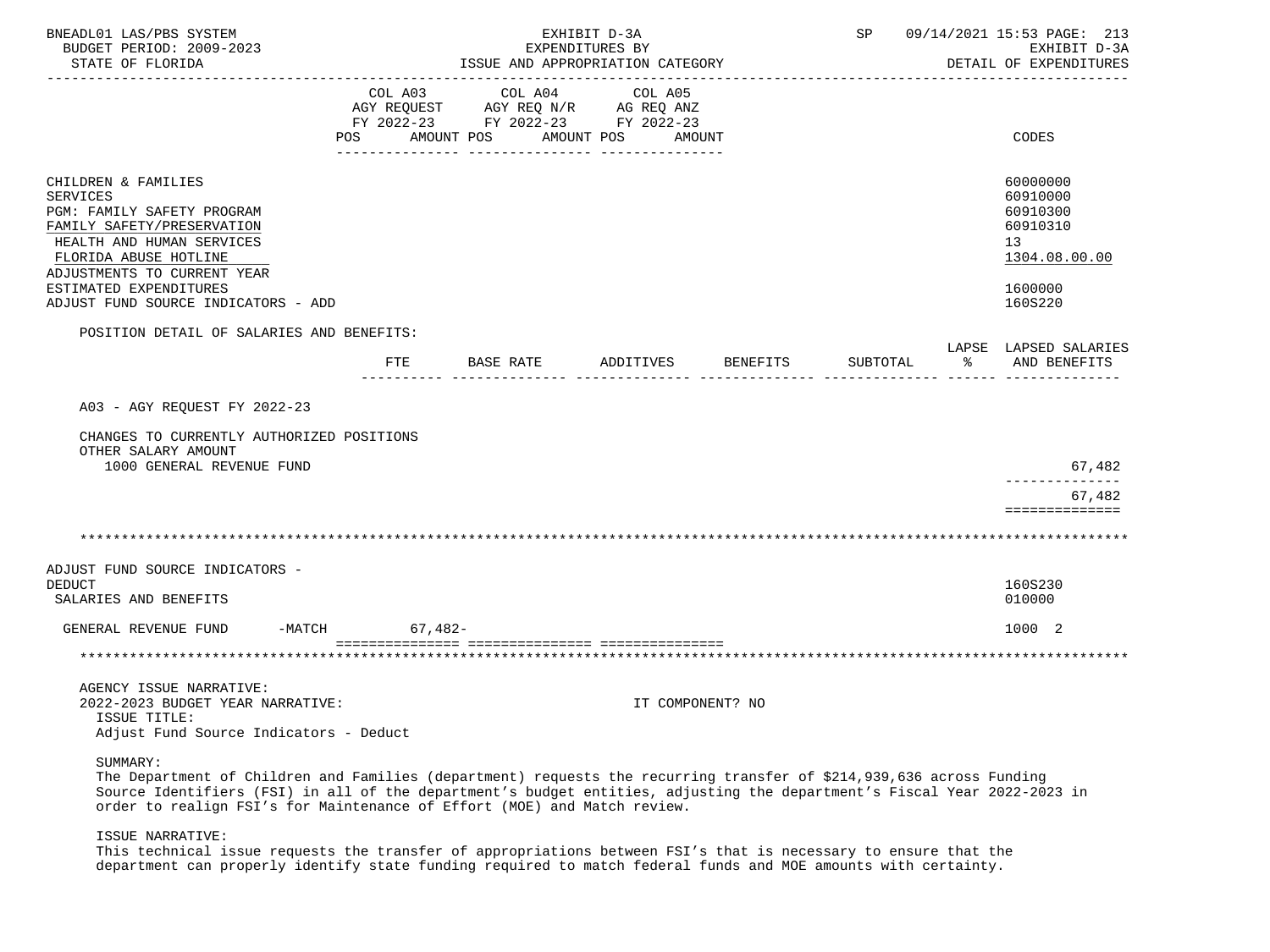| BNEADL01 LAS/PBS SYSTEM<br>BUDGET PERIOD: 2009-2023<br>STATE OF FLORIDA                                                                                                                                                                                  | EXHIBIT D-3A<br>EXPENDITURES BY<br>ISSUE AND APPROPRIATION CATEGORY |                                                                                   |                       |                  |          |   | 09/14/2021 15:53 PAGE: 213<br>EXHIBIT D-3A<br>DETAIL OF EXPENDITURES                      |
|----------------------------------------------------------------------------------------------------------------------------------------------------------------------------------------------------------------------------------------------------------|---------------------------------------------------------------------|-----------------------------------------------------------------------------------|-----------------------|------------------|----------|---|-------------------------------------------------------------------------------------------|
|                                                                                                                                                                                                                                                          | COL A03<br>POS AMOUNT POS                                           | COL A04<br>AGY REQUEST AGY REQ N/R AG REQ ANZ<br>FY 2022-23 FY 2022-23 FY 2022-23 | COL A05<br>AMOUNT POS | AMOUNT           |          |   | CODES                                                                                     |
| CHILDREN & FAMILIES<br><b>SERVICES</b><br>PGM: FAMILY SAFETY PROGRAM<br>FAMILY SAFETY/PRESERVATION<br>HEALTH AND HUMAN SERVICES<br>FLORIDA ABUSE HOTLINE<br>ADJUSTMENTS TO CURRENT YEAR<br>ESTIMATED EXPENDITURES<br>ADJUST FUND SOURCE INDICATORS - ADD |                                                                     |                                                                                   |                       |                  |          |   | 60000000<br>60910000<br>60910300<br>60910310<br>13<br>1304.08.00.00<br>1600000<br>160S220 |
| POSITION DETAIL OF SALARIES AND BENEFITS:                                                                                                                                                                                                                | FTE                                                                 | BASE RATE                                                                         | ADDITIVES             | BENEFITS         | SUBTOTAL | ႜ | LAPSE LAPSED SALARIES<br>AND BENEFITS                                                     |
| A03 - AGY REQUEST FY 2022-23<br>CHANGES TO CURRENTLY AUTHORIZED POSITIONS<br>OTHER SALARY AMOUNT<br>1000 GENERAL REVENUE FUND                                                                                                                            |                                                                     |                                                                                   |                       |                  |          |   | 67,482<br>______________<br>67,482<br>==============                                      |
|                                                                                                                                                                                                                                                          |                                                                     |                                                                                   |                       |                  |          |   |                                                                                           |
| ADJUST FUND SOURCE INDICATORS -<br><b>DEDUCT</b><br>SALARIES AND BENEFITS                                                                                                                                                                                |                                                                     |                                                                                   |                       |                  |          |   | 160S230<br>010000                                                                         |
| GENERAL REVENUE FUND<br>$-MATCH$                                                                                                                                                                                                                         | $67,482-$                                                           |                                                                                   |                       |                  |          |   | 1000 2                                                                                    |
|                                                                                                                                                                                                                                                          |                                                                     |                                                                                   |                       |                  |          |   |                                                                                           |
| AGENCY ISSUE NARRATIVE:<br>2022-2023 BUDGET YEAR NARRATIVE:<br>ISSUE TITLE:<br>Adjust Fund Source Indicators - Deduct                                                                                                                                    |                                                                     |                                                                                   |                       | IT COMPONENT? NO |          |   |                                                                                           |

SUMMARY:

 The Department of Children and Families (department) requests the recurring transfer of \$214,939,636 across Funding Source Identifiers (FSI) in all of the department's budget entities, adjusting the department's Fiscal Year 2022-2023 in order to realign FSI's for Maintenance of Effort (MOE) and Match review.

ISSUE NARRATIVE:

 This technical issue requests the transfer of appropriations between FSI's that is necessary to ensure that the department can properly identify state funding required to match federal funds and MOE amounts with certainty.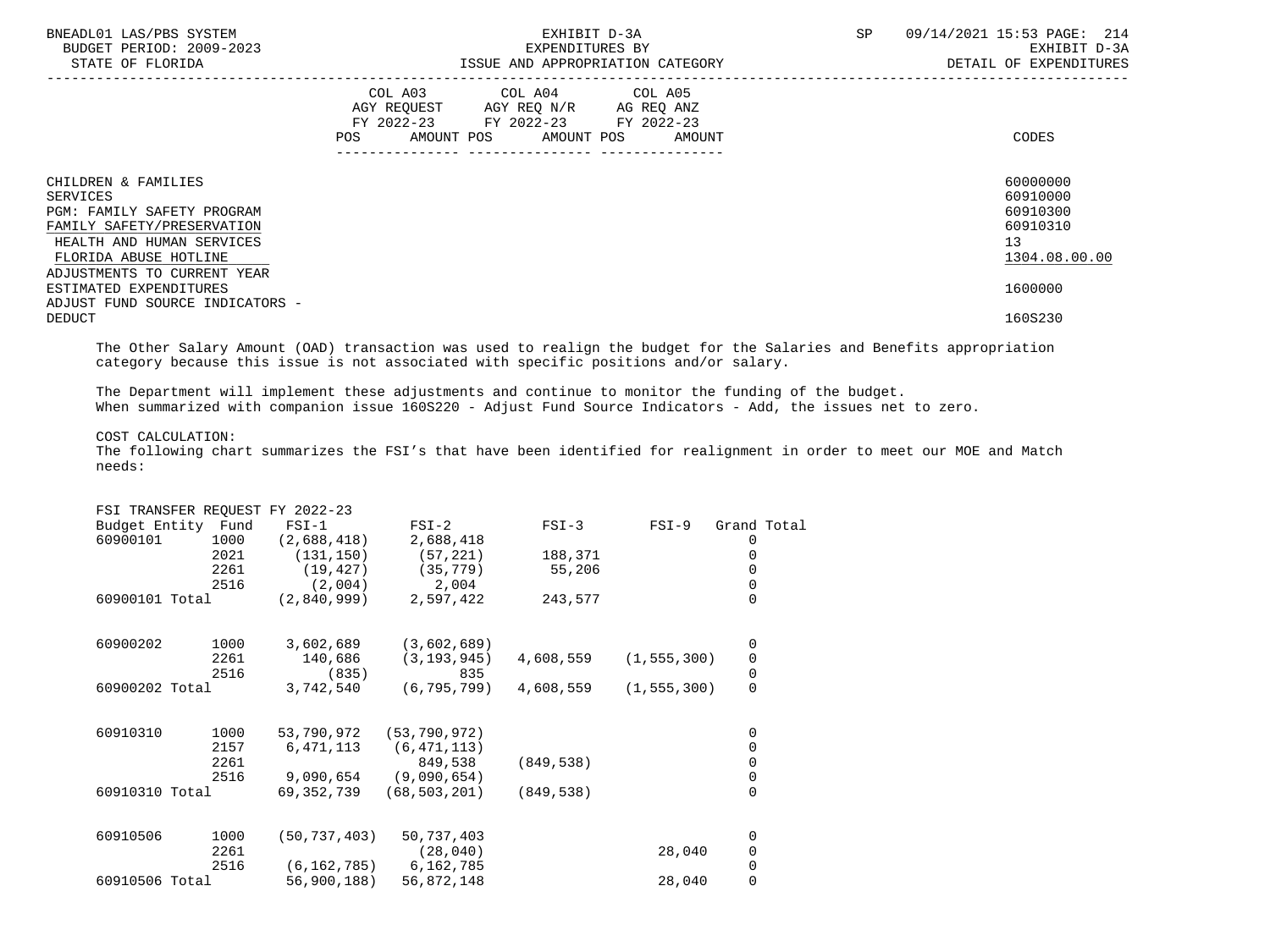| BNEADL01 LAS/PBS SYSTEM<br>BUDGET PERIOD: 2009-2023<br>STATE OF FLORIDA                                                                                                          | EXHIBIT D-3A<br>EXPENDITURES BY<br>ISSUE AND APPROPRIATION CATEGORY                                                                   | SP<br>09/14/2021 15:53 PAGE: 214<br>EXHIBIT D-3A<br>DETAIL OF EXPENDITURES |
|----------------------------------------------------------------------------------------------------------------------------------------------------------------------------------|---------------------------------------------------------------------------------------------------------------------------------------|----------------------------------------------------------------------------|
|                                                                                                                                                                                  | COL A03 COL A04 COL A05<br>AGY REQUEST AGY REO N/R AG REO ANZ<br>FY 2022-23 FY 2022-23 FY 2022-23<br>POS AMOUNT POS AMOUNT POS AMOUNT | CODES                                                                      |
| CHILDREN & FAMILIES<br>SERVICES<br>PGM: FAMILY SAFETY PROGRAM<br>FAMILY SAFETY/PRESERVATION<br>HEALTH AND HUMAN SERVICES<br>FLORIDA ABUSE HOTLINE<br>ADJUSTMENTS TO CURRENT YEAR |                                                                                                                                       | 60000000<br>60910000<br>60910300<br>60910310<br>13<br>1304.08.00.00        |
| ESTIMATED EXPENDITURES<br>ADJUST FUND SOURCE INDICATORS -<br><b>DEDUCT</b>                                                                                                       |                                                                                                                                       | 1600000<br>160S230                                                         |

 The Other Salary Amount (OAD) transaction was used to realign the budget for the Salaries and Benefits appropriation category because this issue is not associated with specific positions and/or salary.

 The Department will implement these adjustments and continue to monitor the funding of the budget. When summarized with companion issue 160S220 - Adjust Fund Source Indicators - Add, the issues net to zero.

# COST CALCULATION:

 The following chart summarizes the FSI's that have been identified for realignment in order to meet our MOE and Match needs:

|                    |      | FSI TRANSFER REQUEST FY 2022-23 |                |            |               |                                           |
|--------------------|------|---------------------------------|----------------|------------|---------------|-------------------------------------------|
| Budget Entity Fund |      | $FSI-1$                         | $FSI-2$        | $FSI-3$    | $FSI-9$       | Grand Total                               |
| 60900101           | 1000 | (2,688,418)                     | 2,688,418      |            |               | 0                                         |
|                    | 2021 | (131, 150)                      | (57, 221)      | 188,371    |               | 0                                         |
|                    | 2261 | (19, 427)                       | (35, 779)      | 55,206     |               | 0                                         |
|                    | 2516 | (2,004)                         | 2,004          |            |               | 0                                         |
| 60900101 Total     |      | (2,840,999)                     | 2,597,422      | 243,577    |               | $\Omega$                                  |
| 60900202           | 1000 | 3,602,689                       | (3,602,689)    |            |               | 0                                         |
|                    | 2261 | 140,686                         | (3, 193, 945)  | 4,608,559  | (1, 555, 300) |                                           |
|                    | 2516 | (835)                           | 835            |            |               | $\begin{matrix} 0 \\ 0 \\ 0 \end{matrix}$ |
| 60900202 Total     |      | 3,742,540                       | (6, 795, 799)  | 4,608,559  | (1, 555, 300) |                                           |
| 60910310           | 1000 | 53,790,972                      | (53, 790, 972) |            |               | 0                                         |
|                    | 2157 | 6,471,113                       | (6, 471, 113)  |            |               | 0                                         |
|                    | 2261 |                                 | 849,538        | (849, 538) |               | $\mathsf{O}\xspace$                       |
|                    | 2516 | 9,090,654                       | (9,090,654)    |            |               | $\mathsf{O}\xspace$                       |
| 60910310 Total     |      | 69,352,739                      | (68, 503, 201) | (849, 538) |               | $\overline{0}$                            |
| 60910506           | 1000 | (50, 737, 403)                  | 50,737,403     |            |               | 0                                         |
|                    | 2261 |                                 | (28, 040)      |            | 28,040        | 0                                         |
|                    | 2516 | (6, 162, 785)                   | 6,162,785      |            |               | $\mathsf{O}\xspace$                       |
| 60910506 Total     |      | 56,900,188)                     | 56,872,148     |            | 28,040        | 0                                         |
|                    |      |                                 |                |            |               |                                           |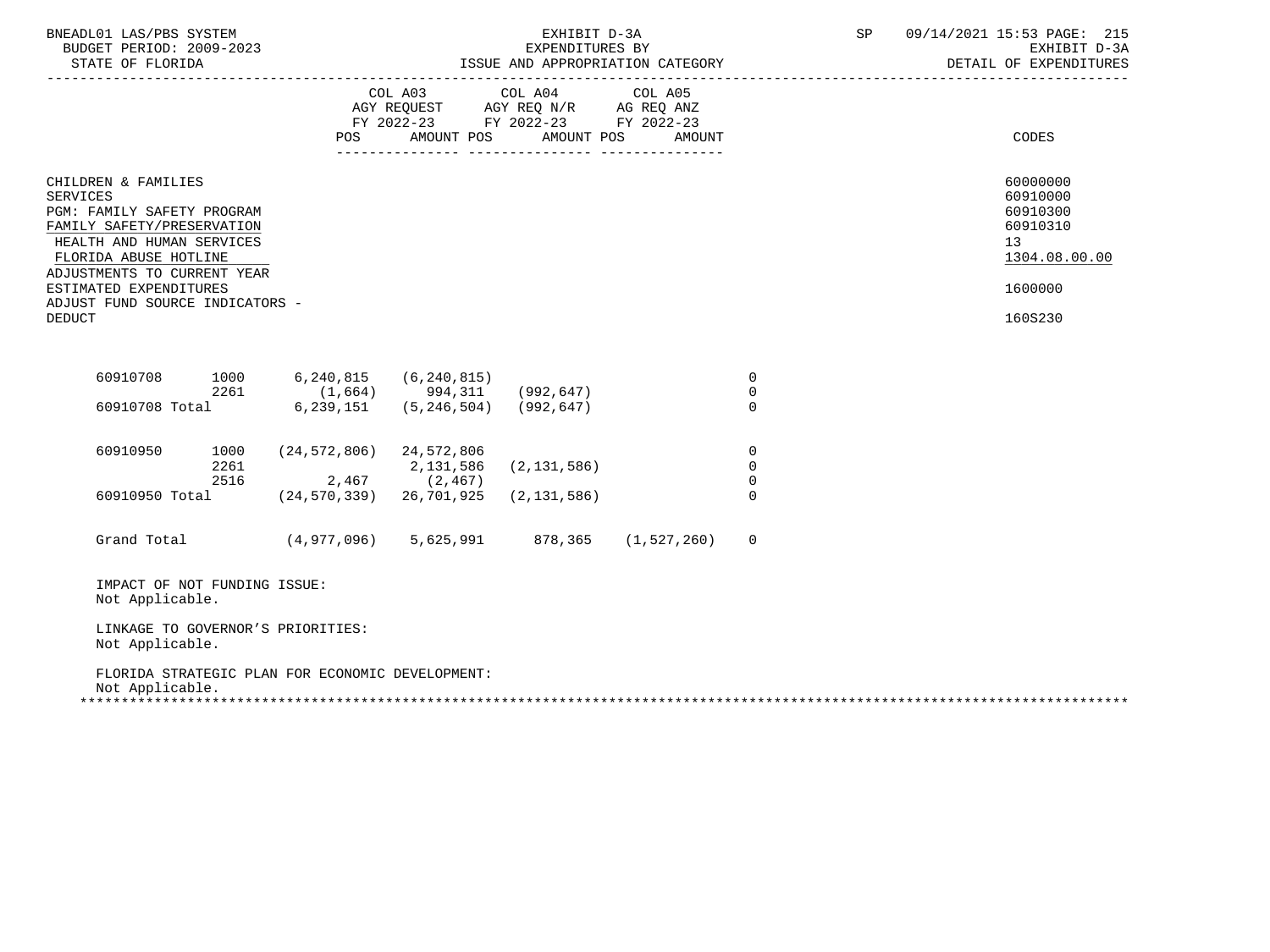| BNEADL01 LAS/PBS SYSTEM<br>BUDGET PERIOD: 2009-2023<br>STATE OF FLORIDA<br>----------------------                                                                                                                 |                                                  |                       | EXHIBIT D-3A<br>EXPENDITURES BY                                                                                    |                   |                                        | SP | 09/14/2021 15:53 PAGE: 215<br>EXHIBIT D-3A<br>DETAIL OF EXPENDITURES           |
|-------------------------------------------------------------------------------------------------------------------------------------------------------------------------------------------------------------------|--------------------------------------------------|-----------------------|--------------------------------------------------------------------------------------------------------------------|-------------------|----------------------------------------|----|--------------------------------------------------------------------------------|
|                                                                                                                                                                                                                   | POS FOR                                          |                       | COL A03 COL A04<br>AGY REQUEST AGY REQ N/R AG REQ ANZ<br>FY 2022-23 FY 2022-23 FY 2022-23<br>AMOUNT POS AMOUNT POS | COL A05<br>AMOUNT |                                        |    | CODES                                                                          |
|                                                                                                                                                                                                                   |                                                  |                       |                                                                                                                    |                   |                                        |    |                                                                                |
| CHILDREN & FAMILIES<br><b>SERVICES</b><br>PGM: FAMILY SAFETY PROGRAM<br>FAMILY SAFETY/PRESERVATION<br>HEALTH AND HUMAN SERVICES<br>FLORIDA ABUSE HOTLINE<br>ADJUSTMENTS TO CURRENT YEAR<br>ESTIMATED EXPENDITURES |                                                  |                       |                                                                                                                    |                   |                                        |    | 60000000<br>60910000<br>60910300<br>60910310<br>13<br>1304.08.00.00<br>1600000 |
| ADJUST FUND SOURCE INDICATORS -<br><b>DEDUCT</b>                                                                                                                                                                  |                                                  |                       |                                                                                                                    |                   |                                        |    | 160S230                                                                        |
| 60910708<br>1000                                                                                                                                                                                                  |                                                  | 6,240,815 (6,240,815) |                                                                                                                    |                   | $\mathbf 0$<br>$\mathbf 0$             |    |                                                                                |
| $2261$ (1,664) 994,311 (992,647)<br>60910708 Total 6,239,151 (5,246,504) (992,647)                                                                                                                                |                                                  |                       |                                                                                                                    |                   | $\Omega$                               |    |                                                                                |
| 60910950<br>1000<br>2261<br>2516                                                                                                                                                                                  | $(24, 572, 806)$ 24, 572, 806<br>$2,467$ (2,467) | 2,131,586             | (2, 131, 586)                                                                                                      |                   | $\mathbf 0$<br>$\mathbf 0$<br>$\Omega$ |    |                                                                                |
| 60910950 Total                                                                                                                                                                                                    | $(24, 570, 339)$ 26,701,925                      |                       | (2, 131, 586)                                                                                                      |                   | $\Omega$                               |    |                                                                                |
| Grand Total                                                                                                                                                                                                       | $(4,977,096)$ 5,625,991 878,365 (1,527,260)      |                       |                                                                                                                    |                   | $\mathbf 0$                            |    |                                                                                |
| IMPACT OF NOT FUNDING ISSUE:<br>Not Applicable.                                                                                                                                                                   |                                                  |                       |                                                                                                                    |                   |                                        |    |                                                                                |
| LINKAGE TO GOVERNOR'S PRIORITIES:<br>Not Applicable.                                                                                                                                                              |                                                  |                       |                                                                                                                    |                   |                                        |    |                                                                                |
| FLORIDA STRATEGIC PLAN FOR ECONOMIC DEVELOPMENT:<br>Not Applicable.                                                                                                                                               |                                                  |                       |                                                                                                                    |                   |                                        |    |                                                                                |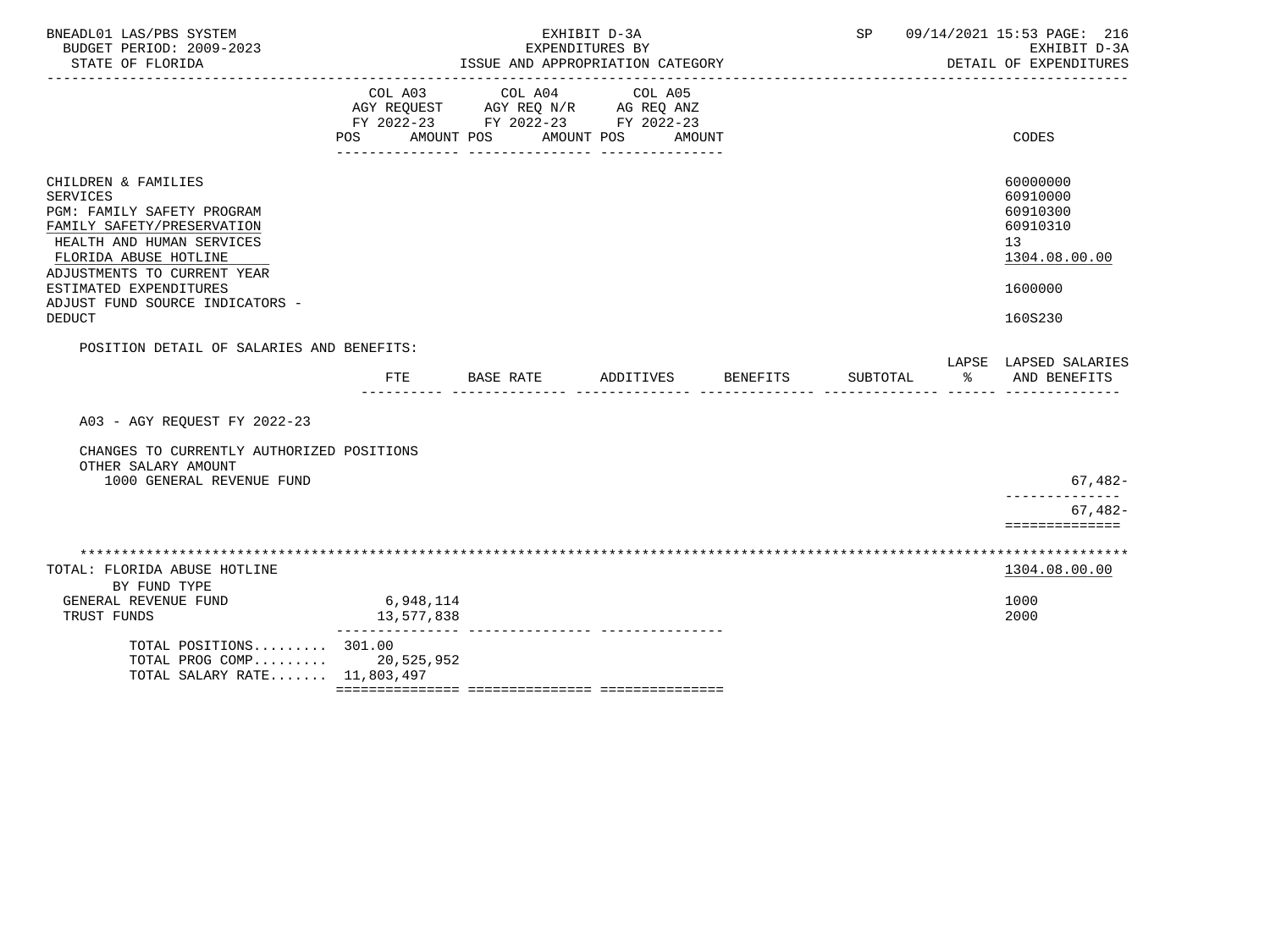| BNEADL01 LAS/PBS SYSTEM<br>BUDGET PERIOD: 2009-2023                                                                                                                                                                                                                   |                                     | EXHIBIT D-3A<br>EXPENDITURES BY                                                   |                                 | 09/14/2021 15:53 PAGE: 216<br>SP<br>EXHIBIT D-3A |          |                                                                                                        |
|-----------------------------------------------------------------------------------------------------------------------------------------------------------------------------------------------------------------------------------------------------------------------|-------------------------------------|-----------------------------------------------------------------------------------|---------------------------------|--------------------------------------------------|----------|--------------------------------------------------------------------------------------------------------|
| STATE OF FLORIDA                                                                                                                                                                                                                                                      |                                     | ISSUE AND APPROPRIATION CATEGORY                                                  |                                 | DETAIL OF EXPENDITURES                           |          |                                                                                                        |
|                                                                                                                                                                                                                                                                       | COL A03<br><b>POS</b><br>AMOUNT POS | COL A04<br>AGY REQUEST AGY REQ N/R AG REQ ANZ<br>FY 2022-23 FY 2022-23 FY 2022-23 | COL A05<br>AMOUNT POS<br>AMOUNT |                                                  |          | CODES                                                                                                  |
| CHILDREN & FAMILIES<br><b>SERVICES</b><br>PGM: FAMILY SAFETY PROGRAM<br>FAMILY SAFETY/PRESERVATION<br>HEALTH AND HUMAN SERVICES<br>FLORIDA ABUSE HOTLINE<br>ADJUSTMENTS TO CURRENT YEAR<br>ESTIMATED EXPENDITURES<br>ADJUST FUND SOURCE INDICATORS -<br><b>DEDUCT</b> |                                     |                                                                                   |                                 |                                                  |          | 60000000<br>60910000<br>60910300<br>60910310<br>13 <sup>°</sup><br>1304.08.00.00<br>1600000<br>160S230 |
| POSITION DETAIL OF SALARIES AND BENEFITS:                                                                                                                                                                                                                             | FTE                                 | BASE RATE                                                                         | ADDITIVES                       | BENEFITS                                         | SUBTOTAL | LAPSE LAPSED SALARIES<br>ႜ<br>AND BENEFITS                                                             |
| A03 - AGY REQUEST FY 2022-23<br>CHANGES TO CURRENTLY AUTHORIZED POSITIONS                                                                                                                                                                                             |                                     |                                                                                   |                                 |                                                  |          |                                                                                                        |
| OTHER SALARY AMOUNT<br>1000 GENERAL REVENUE FUND                                                                                                                                                                                                                      |                                     |                                                                                   |                                 |                                                  |          | $67,482-$                                                                                              |
|                                                                                                                                                                                                                                                                       |                                     |                                                                                   |                                 |                                                  |          | --------------<br>$67,482-$<br>==============                                                          |
|                                                                                                                                                                                                                                                                       |                                     |                                                                                   |                                 |                                                  |          |                                                                                                        |
| TOTAL: FLORIDA ABUSE HOTLINE<br>BY FUND TYPE                                                                                                                                                                                                                          |                                     |                                                                                   |                                 |                                                  |          | 1304.08.00.00                                                                                          |
| GENERAL REVENUE FUND<br>TRUST FUNDS                                                                                                                                                                                                                                   | 6,948,114<br>13,577,838             |                                                                                   |                                 |                                                  |          | 1000<br>2000                                                                                           |
| TOTAL POSITIONS 301.00<br>TOTAL PROG COMP 20,525,952<br>TOTAL SALARY RATE 11,803,497                                                                                                                                                                                  |                                     |                                                                                   |                                 |                                                  |          |                                                                                                        |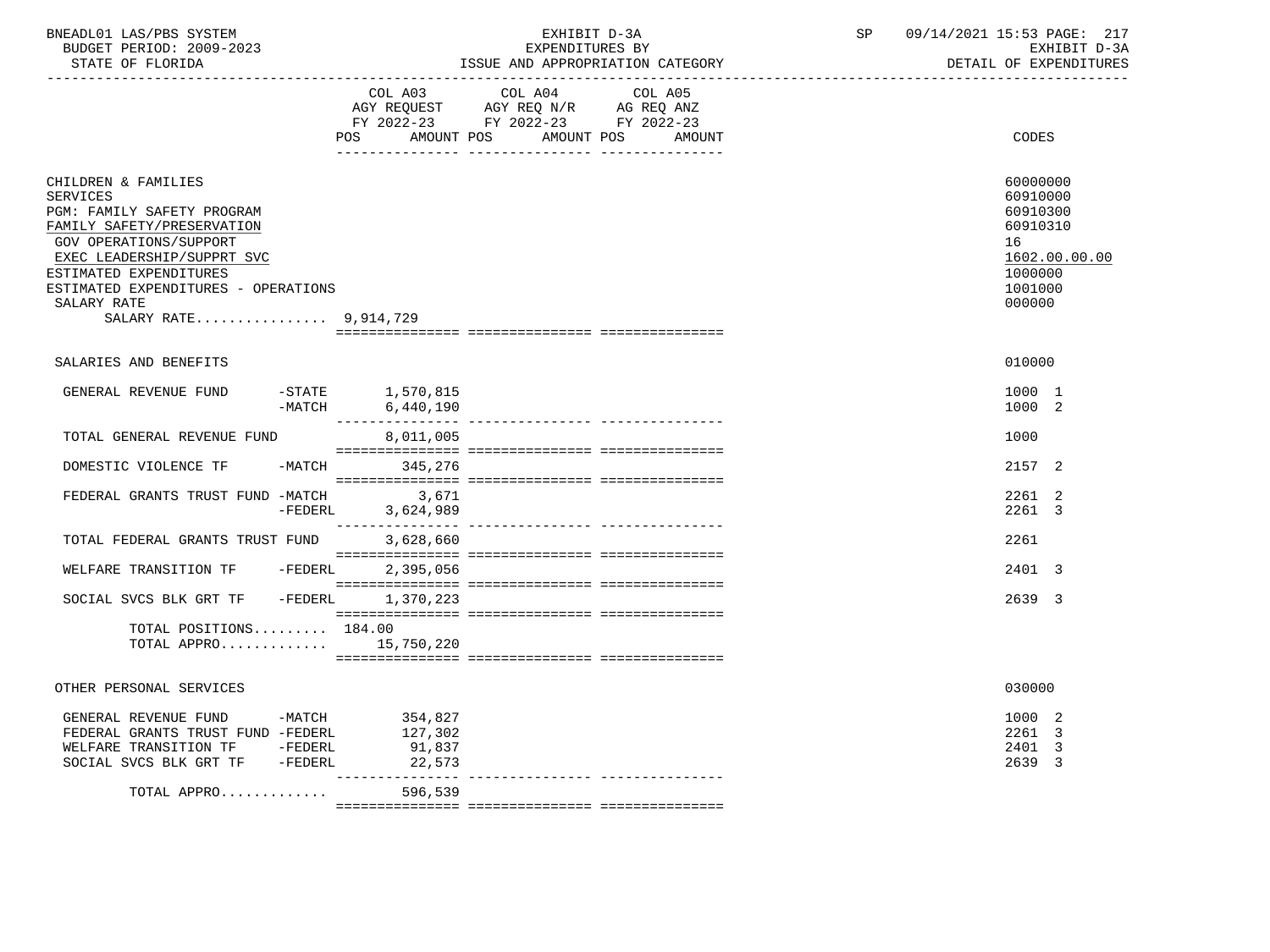| BNEADL01 LAS/PBS SYSTEM |                  |                          | EXHIBIT D-3A |  |                                  |  |  |
|-------------------------|------------------|--------------------------|--------------|--|----------------------------------|--|--|
|                         |                  | BUDGET PERIOD: 2009-2023 |              |  | EXPENDITURES BY                  |  |  |
|                         | STATE OF FLORIDA |                          |              |  | ISSUE AND APPROPRIATION CATEGORY |  |  |

BUDGET PERIOD: 2009-2023 EXPENDITURES BY EXHIBIT D-3A

|                                                                                                                                                                                                                                                                     |           | COL A03                                                    | COL A04                                                                | COL A05 |        |                                                                                                     |
|---------------------------------------------------------------------------------------------------------------------------------------------------------------------------------------------------------------------------------------------------------------------|-----------|------------------------------------------------------------|------------------------------------------------------------------------|---------|--------|-----------------------------------------------------------------------------------------------------|
|                                                                                                                                                                                                                                                                     |           |                                                            | AGY REQUEST AGY REQ N/R AG REQ ANZ<br>FY 2022-23 FY 2022-23 FY 2022-23 |         |        |                                                                                                     |
|                                                                                                                                                                                                                                                                     |           | POS<br>AMOUNT POS                                          | AMOUNT POS                                                             |         | AMOUNT | <b>CODES</b>                                                                                        |
| CHILDREN & FAMILIES<br><b>SERVICES</b><br>PGM: FAMILY SAFETY PROGRAM<br>FAMILY SAFETY/PRESERVATION<br>GOV OPERATIONS/SUPPORT<br>EXEC_LEADERSHIP/SUPPRT_SVC<br>ESTIMATED EXPENDITURES<br>ESTIMATED EXPENDITURES - OPERATIONS<br>SALARY RATE<br>SALARY RATE 9,914,729 |           |                                                            |                                                                        |         |        | 60000000<br>60910000<br>60910300<br>60910310<br>16<br>1602.00.00.00<br>1000000<br>1001000<br>000000 |
| SALARIES AND BENEFITS                                                                                                                                                                                                                                               |           |                                                            |                                                                        |         |        | 010000                                                                                              |
| GENERAL REVENUE FUND                                                                                                                                                                                                                                                | $-MATCH$  | $-$ STATE $1,570,815$<br>6,440,190<br>________________     |                                                                        |         |        | 1000 1<br>1000 2                                                                                    |
| TOTAL GENERAL REVENUE FUND                                                                                                                                                                                                                                          |           | 8,011,005                                                  |                                                                        |         |        | 1000                                                                                                |
| DOMESTIC VIOLENCE TF                                                                                                                                                                                                                                                |           | -MATCH 345,276                                             |                                                                        |         |        | 2157 2                                                                                              |
| FEDERAL GRANTS TRUST FUND -MATCH                                                                                                                                                                                                                                    | -FEDERL   | 3,671<br>3,624,989                                         |                                                                        |         |        | 2261 2<br>2261 3                                                                                    |
| TOTAL FEDERAL GRANTS TRUST FUND                                                                                                                                                                                                                                     |           | 3,628,660                                                  |                                                                        |         |        | 2261                                                                                                |
| WELFARE TRANSITION TF                                                                                                                                                                                                                                               | $-FEDERL$ | 2,395,056                                                  |                                                                        |         |        | 2401 3                                                                                              |
| SOCIAL SVCS BLK GRT TF                                                                                                                                                                                                                                              | $-FEDERL$ | 1,370,223                                                  |                                                                        |         |        | 2639 3                                                                                              |
| TOTAL POSITIONS 184.00<br>TOTAL APPRO $15,750,220$                                                                                                                                                                                                                  |           |                                                            |                                                                        |         |        |                                                                                                     |
| OTHER PERSONAL SERVICES                                                                                                                                                                                                                                             |           |                                                            |                                                                        |         |        | 030000                                                                                              |
| GENERAL REVENUE FUND -MATCH<br>FEDERAL GRANTS TRUST FUND -FEDERL<br>WELFARE TRANSITION TF -FEDERL<br>SOCIAL SVCS BLK GRT TF -FEDERL                                                                                                                                 |           | 354,827<br>127,302<br>91,837<br>22,573<br>________________ |                                                                        |         |        | 1000 2<br>2261 3<br>2401 3<br>2639 3                                                                |
| TOTAL APPRO                                                                                                                                                                                                                                                         |           | 596,539                                                    |                                                                        |         |        |                                                                                                     |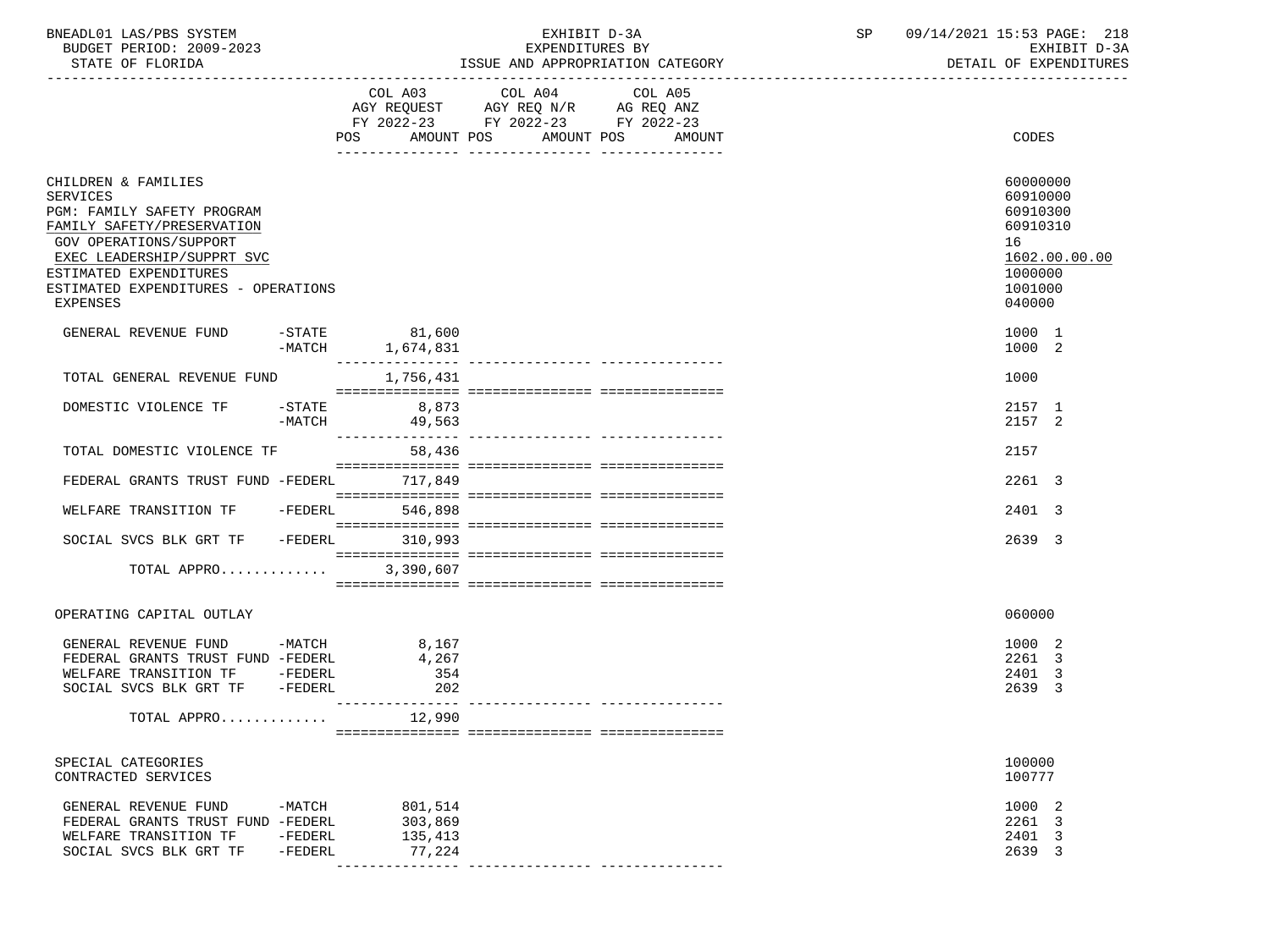| BNEADL01 LAS/PBS SYSTEM  | EXHIBIT D-3A                     | 09/14/2021 15:53 PAGE: 218 |
|--------------------------|----------------------------------|----------------------------|
| BUDGET PERIOD: 2009-2023 | EXPENDITURES BY                  | EXHIBIT D-3A               |
| STATE OF FLORIDA         | ISSUE AND APPROPRIATION CATEGORY | DETAIL OF EXPENDITURES     |

-----------------------------------------------------------------------------------------------------------------------------------

|                                                                                                                                                                                                                                                       | COL A03<br>AGY REQUEST<br>FY 2022-23<br>AMOUNT POS<br>POS | COL A04<br>COL A05<br>AGY REQ N/R<br>AG REQ ANZ<br>FY 2022-23 FY 2022-23<br>AMOUNT POS<br>AMOUNT | CODES                                                                                               |
|-------------------------------------------------------------------------------------------------------------------------------------------------------------------------------------------------------------------------------------------------------|-----------------------------------------------------------|--------------------------------------------------------------------------------------------------|-----------------------------------------------------------------------------------------------------|
|                                                                                                                                                                                                                                                       |                                                           |                                                                                                  |                                                                                                     |
| CHILDREN & FAMILIES<br><b>SERVICES</b><br>PGM: FAMILY SAFETY PROGRAM<br>FAMILY SAFETY/PRESERVATION<br><b>GOV OPERATIONS/SUPPORT</b><br>EXEC LEADERSHIP/SUPPRT SVC<br>ESTIMATED EXPENDITURES<br>ESTIMATED EXPENDITURES - OPERATIONS<br><b>EXPENSES</b> |                                                           |                                                                                                  | 60000000<br>60910000<br>60910300<br>60910310<br>16<br>1602.00.00.00<br>1000000<br>1001000<br>040000 |
| $-$ STATE<br>GENERAL REVENUE FUND                                                                                                                                                                                                                     | 81,600<br>$-MATCH$<br>1,674,831                           |                                                                                                  | 1000 1<br>1000 2                                                                                    |
| TOTAL GENERAL REVENUE FUND                                                                                                                                                                                                                            | 1,756,431                                                 |                                                                                                  | 1000                                                                                                |
| $-$ STATE<br>DOMESTIC VIOLENCE TF<br>$-MATCH$                                                                                                                                                                                                         | 8,873<br>49,563                                           |                                                                                                  | 2157 1<br>2157 2                                                                                    |
| TOTAL DOMESTIC VIOLENCE TF                                                                                                                                                                                                                            | 58,436                                                    |                                                                                                  | 2157                                                                                                |
| FEDERAL GRANTS TRUST FUND -FEDERL                                                                                                                                                                                                                     | 717,849                                                   |                                                                                                  | 2261 3                                                                                              |
| WELFARE TRANSITION TF                                                                                                                                                                                                                                 | $-FEDERL$<br>546,898                                      |                                                                                                  | 2401 3                                                                                              |
| SOCIAL SVCS BLK GRT TF                                                                                                                                                                                                                                | $-FEDERL$<br>310,993                                      |                                                                                                  | 2639 3                                                                                              |
| TOTAL APPRO                                                                                                                                                                                                                                           | 3,390,607                                                 |                                                                                                  |                                                                                                     |
| OPERATING CAPITAL OUTLAY                                                                                                                                                                                                                              |                                                           |                                                                                                  | 060000                                                                                              |
| $-MATCH$<br>GENERAL REVENUE FUND<br>FEDERAL GRANTS TRUST FUND -FEDERL<br>WELFARE TRANSITION TF -FEDERL<br>SOCIAL SVCS BLK GRT TF<br>-FEDERL                                                                                                           | 8,167<br>4,267<br>354<br>202<br>_________________         |                                                                                                  | 1000 2<br>2261 3<br>2401 3<br>2639 3                                                                |
| TOTAL APPRO                                                                                                                                                                                                                                           | 12,990                                                    |                                                                                                  |                                                                                                     |
| SPECIAL CATEGORIES<br>CONTRACTED SERVICES                                                                                                                                                                                                             |                                                           |                                                                                                  | 100000<br>100777                                                                                    |
| $-MATCH$<br>GENERAL REVENUE FUND<br>FEDERAL GRANTS TRUST FUND -FEDERL<br>WELFARE TRANSITION TF<br>-FEDERL<br>SOCIAL SVCS BLK GRT TF<br>$-FEDERL$                                                                                                      | 801,514<br>303,869<br>135,413<br>77,224                   | ---------------- ----------------                                                                | 1000 2<br>2261 3<br>$\overline{\mathbf{3}}$<br>2401<br>2639 3                                       |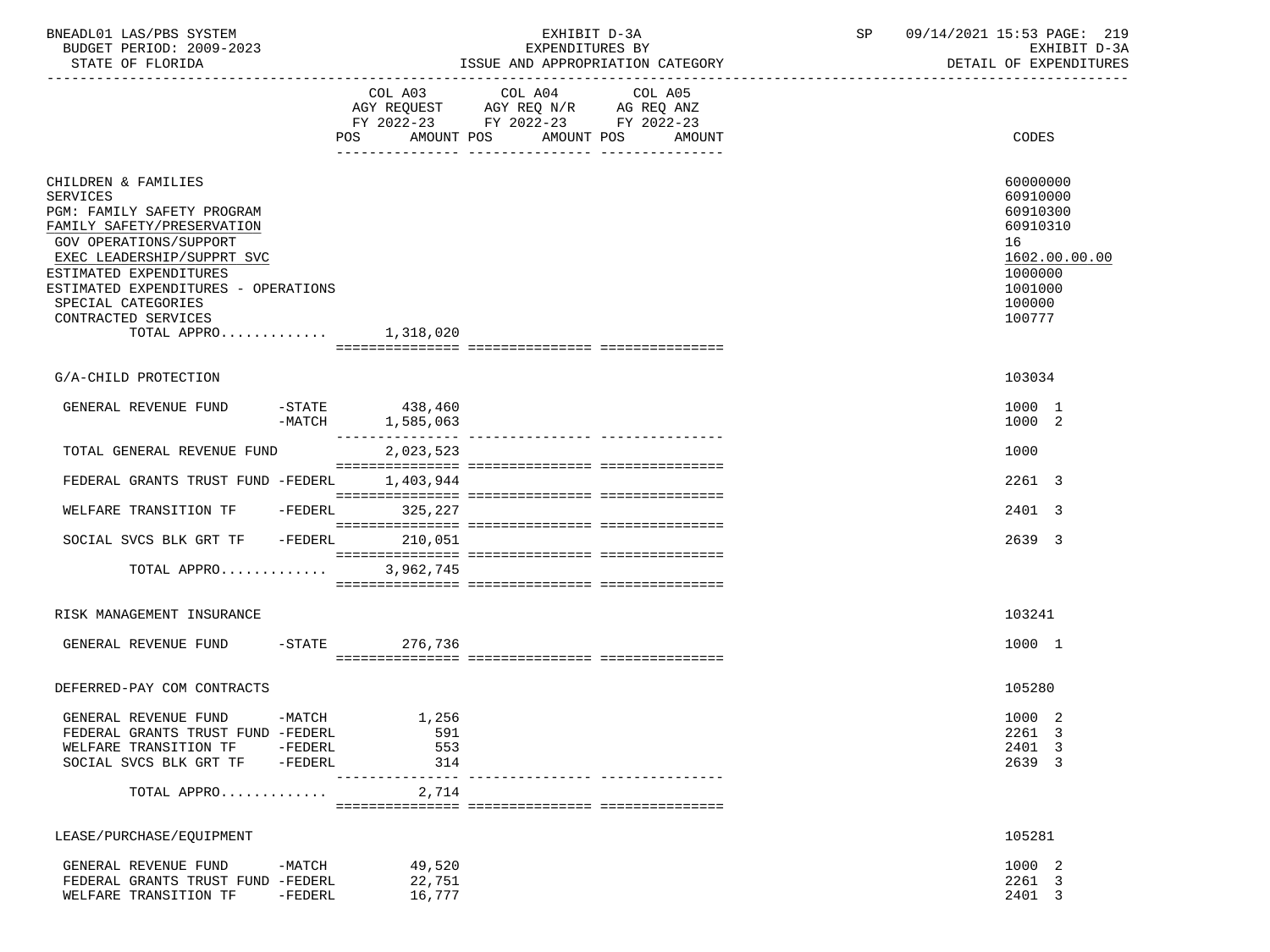| BNEADL01 LAS/PBS SYSTEM<br>BUDGET PERIOD: 2009-2023<br>STATE OF FLORIDA                                                                                                                                                                                                                             |           | EXHIBIT D-3A<br>EXPENDITURES BY<br>ISSUE AND APPROPRIATION CATEGORY |                                                                                                                                                                                                                               | SP                | 09/14/2021 15:53 PAGE: 219<br>EXHIBIT D-3A<br>DETAIL OF EXPENDITURES |                                                                                                               |
|-----------------------------------------------------------------------------------------------------------------------------------------------------------------------------------------------------------------------------------------------------------------------------------------------------|-----------|---------------------------------------------------------------------|-------------------------------------------------------------------------------------------------------------------------------------------------------------------------------------------------------------------------------|-------------------|----------------------------------------------------------------------|---------------------------------------------------------------------------------------------------------------|
|                                                                                                                                                                                                                                                                                                     |           |                                                                     |                                                                                                                                                                                                                               |                   |                                                                      |                                                                                                               |
|                                                                                                                                                                                                                                                                                                     |           | POS<br>AMOUNT POS                                                   | COL A03 COL A04<br>$\begin{tabular}{lllllll} AGY & \texttt{REQUEST} & \texttt{AGY} & \texttt{REG} & \texttt{N/R} & \texttt{AG} & \texttt{REQ} & \texttt{ANZ} \end{tabular}$<br>FY 2022-23 FY 2022-23 FY 2022-23<br>AMOUNT POS | COL A05<br>AMOUNT |                                                                      | CODES                                                                                                         |
| CHILDREN & FAMILIES<br><b>SERVICES</b><br>PGM: FAMILY SAFETY PROGRAM<br>FAMILY SAFETY/PRESERVATION<br>GOV OPERATIONS/SUPPORT<br>EXEC LEADERSHIP/SUPPRT SVC<br>ESTIMATED EXPENDITURES<br>ESTIMATED EXPENDITURES - OPERATIONS<br>SPECIAL CATEGORIES<br>CONTRACTED SERVICES<br>TOTAL APPRO $1,318,020$ |           |                                                                     |                                                                                                                                                                                                                               |                   |                                                                      | 60000000<br>60910000<br>60910300<br>60910310<br>16<br>1602.00.00.00<br>1000000<br>1001000<br>100000<br>100777 |
| G/A-CHILD PROTECTION                                                                                                                                                                                                                                                                                |           |                                                                     |                                                                                                                                                                                                                               |                   |                                                                      | 103034                                                                                                        |
| GENERAL REVENUE FUND                                                                                                                                                                                                                                                                                |           | $-STATE$ 438,460<br>$-MATCH$ 1,585,063                              |                                                                                                                                                                                                                               |                   |                                                                      | 1000 1<br>1000 2                                                                                              |
| TOTAL GENERAL REVENUE FUND                                                                                                                                                                                                                                                                          |           | _______________<br>2,023,523                                        |                                                                                                                                                                                                                               |                   |                                                                      | 1000                                                                                                          |
| FEDERAL GRANTS TRUST FUND -FEDERL                                                                                                                                                                                                                                                                   |           | 1,403,944                                                           |                                                                                                                                                                                                                               |                   |                                                                      | 2261 3                                                                                                        |
| WELFARE TRANSITION TF                                                                                                                                                                                                                                                                               | $-FEDERL$ | 325,227                                                             |                                                                                                                                                                                                                               |                   |                                                                      | 2401 3                                                                                                        |
| SOCIAL SVCS BLK GRT TF -FEDERL                                                                                                                                                                                                                                                                      |           | 210,051                                                             |                                                                                                                                                                                                                               |                   |                                                                      | 2639 3                                                                                                        |
| TOTAL APPRO 3,962,745                                                                                                                                                                                                                                                                               |           |                                                                     |                                                                                                                                                                                                                               |                   |                                                                      |                                                                                                               |
| RISK MANAGEMENT INSURANCE                                                                                                                                                                                                                                                                           |           |                                                                     |                                                                                                                                                                                                                               |                   |                                                                      | 103241                                                                                                        |
| GENERAL REVENUE FUND -STATE                                                                                                                                                                                                                                                                         |           | 276,736                                                             |                                                                                                                                                                                                                               |                   |                                                                      | 1000 1                                                                                                        |
| DEFERRED-PAY COM CONTRACTS                                                                                                                                                                                                                                                                          |           |                                                                     |                                                                                                                                                                                                                               |                   |                                                                      | 105280                                                                                                        |
| GENERAL REVENUE FUND                                                                                                                                                                                                                                                                                | -MATCH    | 1,256                                                               |                                                                                                                                                                                                                               |                   |                                                                      | 1000 2                                                                                                        |
| FEDERAL GRANTS TRUST FUND -FEDERL                                                                                                                                                                                                                                                                   |           | 591                                                                 |                                                                                                                                                                                                                               |                   |                                                                      | 2261 3                                                                                                        |
| WELFARE TRANSITION TF                                                                                                                                                                                                                                                                               | $-FEDERL$ | 553                                                                 |                                                                                                                                                                                                                               |                   |                                                                      | 2401 3                                                                                                        |
| SOCIAL SVCS BLK GRT TF                                                                                                                                                                                                                                                                              | $-FEDERL$ | 314                                                                 |                                                                                                                                                                                                                               |                   |                                                                      | 2639 3                                                                                                        |
| TOTAL APPRO                                                                                                                                                                                                                                                                                         |           | 2,714                                                               |                                                                                                                                                                                                                               |                   |                                                                      |                                                                                                               |
| LEASE/PURCHASE/EQUIPMENT                                                                                                                                                                                                                                                                            |           |                                                                     |                                                                                                                                                                                                                               |                   |                                                                      | 105281                                                                                                        |
| GENERAL REVENUE FUND                                                                                                                                                                                                                                                                                | -MATCH    | 49,520                                                              |                                                                                                                                                                                                                               |                   |                                                                      | 1000 2                                                                                                        |
| FEDERAL GRANTS TRUST FUND -FEDERL                                                                                                                                                                                                                                                                   |           | 22,751                                                              |                                                                                                                                                                                                                               |                   |                                                                      | 2261 3                                                                                                        |
| WELFARE TRANSITION TF                                                                                                                                                                                                                                                                               | $-FEDERL$ | 16,777                                                              |                                                                                                                                                                                                                               |                   |                                                                      | 2401 3                                                                                                        |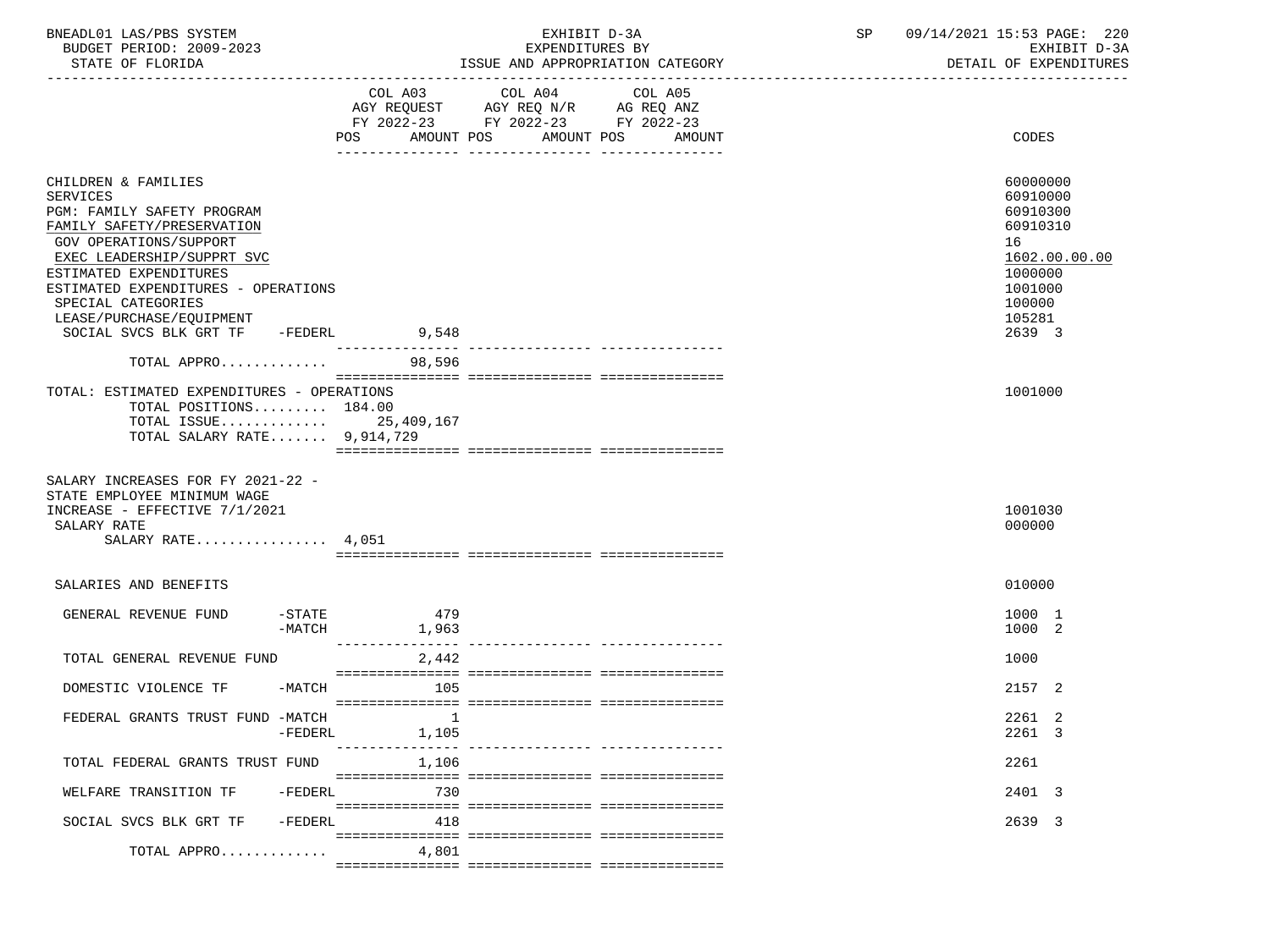| BNEADL01 LAS/PBS SYSTEM |                  |                          | RXHIRIT D-3A                     |  |
|-------------------------|------------------|--------------------------|----------------------------------|--|
|                         |                  | BUDGET PERIOD: 2009-2023 | EXPENDITURES BY                  |  |
|                         | STATE OF FLORIDA |                          | ISSUE AND APPROPRIATION CATEGORY |  |

|                                                                                                                                                                                                                                                                                                          | COL A03<br>AMOUNT POS<br>POS | COL A04<br>FY 2022-23 FY 2022-23 FY 2022-23 | COL A05<br>AMOUNT POS AMOUNT | CODES                                                                                                                   |
|----------------------------------------------------------------------------------------------------------------------------------------------------------------------------------------------------------------------------------------------------------------------------------------------------------|------------------------------|---------------------------------------------|------------------------------|-------------------------------------------------------------------------------------------------------------------------|
| CHILDREN & FAMILIES<br>SERVICES<br>PGM: FAMILY SAFETY PROGRAM<br>FAMILY SAFETY/PRESERVATION<br>GOV OPERATIONS/SUPPORT<br>EXEC LEADERSHIP/SUPPRT SVC<br>ESTIMATED EXPENDITURES<br>ESTIMATED EXPENDITURES - OPERATIONS<br>SPECIAL CATEGORIES<br>LEASE/PURCHASE/EQUIPMENT<br>SOCIAL SVCS BLK GRT TF -FEDERL | 9,548                        |                                             |                              | 60000000<br>60910000<br>60910300<br>60910310<br>16<br>1602.00.00.00<br>1000000<br>1001000<br>100000<br>105281<br>2639 3 |
| TOTAL APPRO                                                                                                                                                                                                                                                                                              | 98,596                       |                                             |                              |                                                                                                                         |
| TOTAL: ESTIMATED EXPENDITURES - OPERATIONS<br>TOTAL POSITIONS 184.00<br>TOTAL ISSUE 25,409,167<br>TOTAL SALARY RATE 9,914,729                                                                                                                                                                            |                              |                                             |                              | 1001000                                                                                                                 |
| SALARY INCREASES FOR FY 2021-22 -<br>STATE EMPLOYEE MINIMUM WAGE<br>INCREASE - EFFECTIVE 7/1/2021<br>SALARY RATE<br>SALARY RATE $4,051$                                                                                                                                                                  |                              |                                             |                              | 1001030<br>000000                                                                                                       |
| SALARIES AND BENEFITS                                                                                                                                                                                                                                                                                    |                              |                                             |                              | 010000                                                                                                                  |
| $-$ STATE<br>GENERAL REVENUE FUND<br>$-MATCH$                                                                                                                                                                                                                                                            | 479<br>1,963                 |                                             |                              | 1000 1<br>1000 2                                                                                                        |
| TOTAL GENERAL REVENUE FUND                                                                                                                                                                                                                                                                               | 2,442                        |                                             |                              | 1000                                                                                                                    |
| -MATCH<br>DOMESTIC VIOLENCE TF                                                                                                                                                                                                                                                                           | 105                          |                                             |                              | 2157 2                                                                                                                  |
| FEDERAL GRANTS TRUST FUND -MATCH<br>$-FEDERL$                                                                                                                                                                                                                                                            | -1<br>1,105                  |                                             |                              | 2261 2<br>2261 3                                                                                                        |
| TOTAL FEDERAL GRANTS TRUST FUND                                                                                                                                                                                                                                                                          | 1,106                        |                                             |                              | 2261                                                                                                                    |
| -FEDERL<br>WELFARE TRANSITION TF                                                                                                                                                                                                                                                                         | 730                          |                                             |                              | 2401 3                                                                                                                  |
| $-FEDERL$<br>SOCIAL SVCS BLK GRT TF                                                                                                                                                                                                                                                                      | 418                          |                                             |                              | 2639 3                                                                                                                  |
| TOTAL APPRO                                                                                                                                                                                                                                                                                              | 4,801                        |                                             |                              |                                                                                                                         |

=============== =============== ===============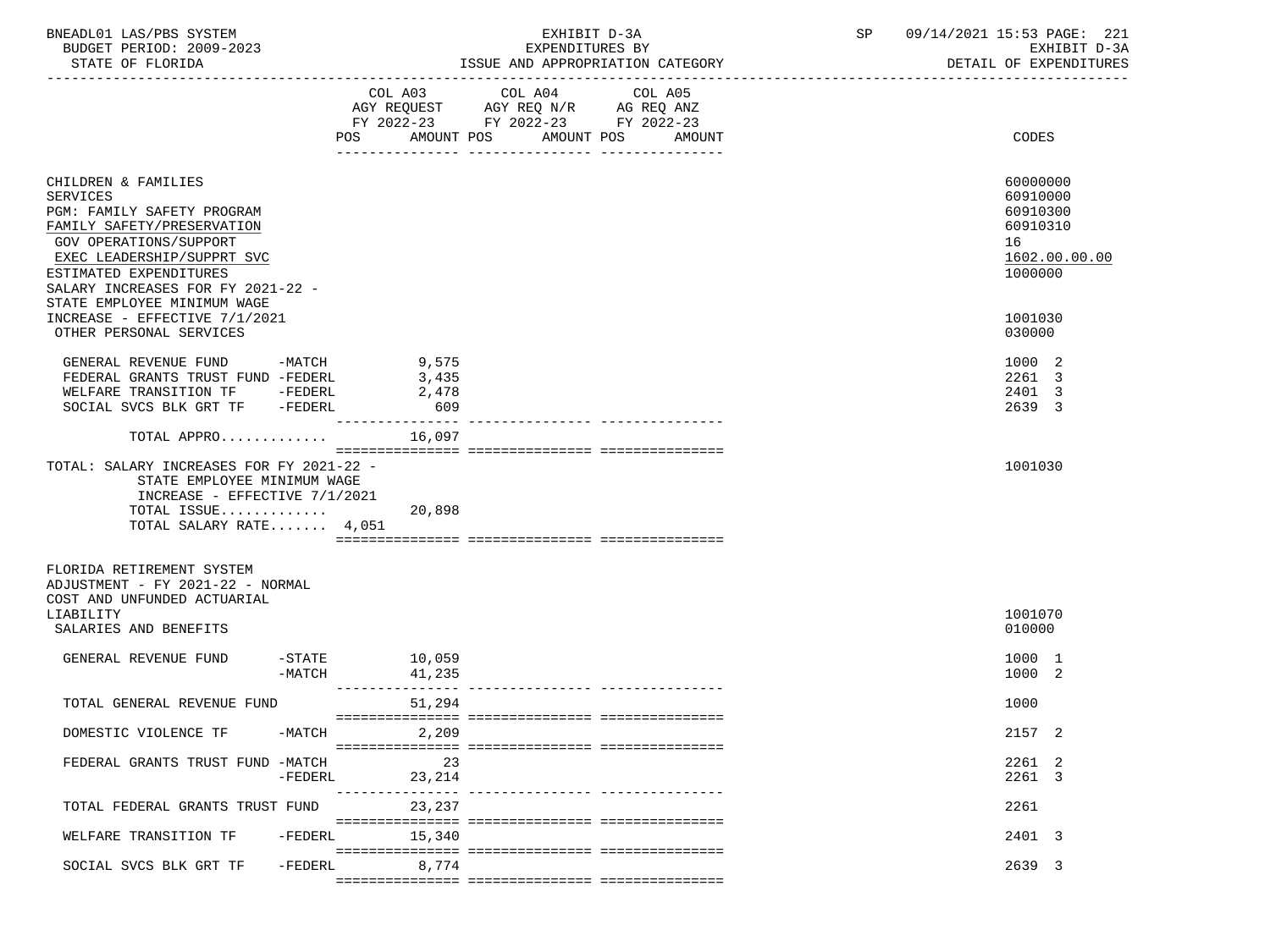| BNEADL01 LAS/PBS SYSTEM<br>BUDGET PERIOD: 2009-2023<br>STATE OF FLORIDA                                                                                                                                            |                                                    | EXHIBIT D-3A<br>EXPENDITURES BY<br>ISSUE AND APPROPRIATION CATEGORY                                                          | <b>SP</b> | 09/14/2021 15:53 PAGE: 221<br>EXHIBIT D-3A<br>DETAIL OF EXPENDITURES           |
|--------------------------------------------------------------------------------------------------------------------------------------------------------------------------------------------------------------------|----------------------------------------------------|------------------------------------------------------------------------------------------------------------------------------|-----------|--------------------------------------------------------------------------------|
|                                                                                                                                                                                                                    | AMOUNT POS                                         | COL A03 COL A04<br>COL A05<br>AGY REQUEST AGY REQ N/R AG REQ ANZ<br>FY 2022-23 FY 2022-23 FY 2022-23<br>AMOUNT POS<br>AMOUNT |           | CODES                                                                          |
| CHILDREN & FAMILIES<br>SERVICES<br>PGM: FAMILY SAFETY PROGRAM<br>FAMILY SAFETY/PRESERVATION<br>GOV OPERATIONS/SUPPORT<br>EXEC LEADERSHIP/SUPPRT SVC<br>ESTIMATED EXPENDITURES<br>SALARY INCREASES FOR FY 2021-22 - |                                                    |                                                                                                                              |           | 60000000<br>60910000<br>60910300<br>60910310<br>16<br>1602.00.00.00<br>1000000 |
| STATE EMPLOYEE MINIMUM WAGE<br>INCREASE - EFFECTIVE 7/1/2021<br>OTHER PERSONAL SERVICES                                                                                                                            |                                                    |                                                                                                                              |           | 1001030<br>030000                                                              |
| GENERAL REVENUE FUND -MATCH<br>FEDERAL GRANTS TRUST FUND -FEDERL<br>WELFARE TRANSITION TF -FEDERL<br>SOCIAL SVCS BLK GRT TF -FEDERL                                                                                | 9,575<br>3,435<br>2,478<br>609<br>________________ |                                                                                                                              |           | 1000 2<br>2261 3<br>2401 3<br>2639 3                                           |
| TOTAL APPRO $16,097$                                                                                                                                                                                               |                                                    |                                                                                                                              |           |                                                                                |
| TOTAL: SALARY INCREASES FOR FY 2021-22 -<br>STATE EMPLOYEE MINIMUM WAGE<br>INCREASE - EFFECTIVE 7/1/2021<br>TOTAL ISSUE<br>TOTAL SALARY RATE 4,051                                                                 | 20,898                                             |                                                                                                                              |           | 1001030                                                                        |
| FLORIDA RETIREMENT SYSTEM<br>ADJUSTMENT - FY 2021-22 - NORMAL<br>COST AND UNFUNDED ACTUARIAL<br>LIABILITY                                                                                                          |                                                    |                                                                                                                              |           | 1001070                                                                        |
| SALARIES AND BENEFITS                                                                                                                                                                                              |                                                    |                                                                                                                              |           | 010000                                                                         |
| $-\mathtt{STATE}$<br>GENERAL REVENUE FUND<br>-MATCH                                                                                                                                                                | 10,059<br>41,235                                   |                                                                                                                              |           | 1000 1<br>1000 2                                                               |
| TOTAL GENERAL REVENUE FUND                                                                                                                                                                                         | ---------------<br>51,294                          |                                                                                                                              |           | 1000                                                                           |
| -MATCH<br>DOMESTIC VIOLENCE TF                                                                                                                                                                                     | 2,209                                              |                                                                                                                              |           | 2157 2                                                                         |
| FEDERAL GRANTS TRUST FUND -MATCH<br>-FEDERL                                                                                                                                                                        | 23<br>23,214                                       |                                                                                                                              |           | 2261 2<br>2261 3                                                               |
| TOTAL FEDERAL GRANTS TRUST FUND                                                                                                                                                                                    | 23,237                                             |                                                                                                                              |           | 2261                                                                           |
| WELFARE TRANSITION TF<br>-FEDERL                                                                                                                                                                                   | 15,340                                             |                                                                                                                              |           | 2401 3                                                                         |
| SOCIAL SVCS BLK GRT TF<br>$-FEDERL$                                                                                                                                                                                | 8,774                                              |                                                                                                                              |           | 2639 3                                                                         |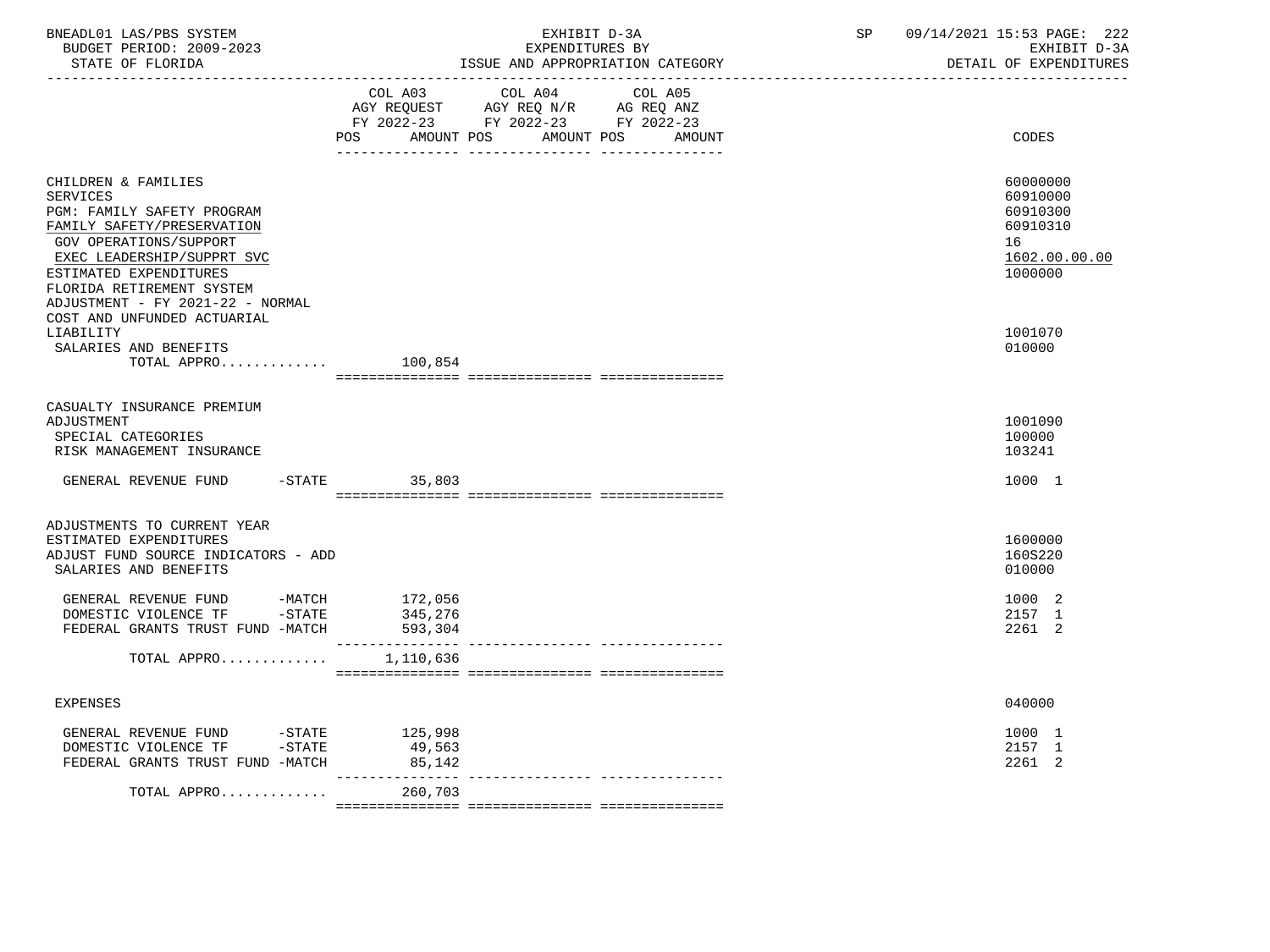| BNEADL01 LAS/PBS SYSTEM<br>BUDGET PERIOD: 2009-2023<br>STATE OF FLORIDA                                                                                                                                                                                                                                                    | _______________________________ | EXHIBIT D-3A<br>EXPENDITURES BY<br>ISSUE AND APPROPRIATION CATEGORY                                                       | SP | 09/14/2021 15:53 PAGE: 222<br>EXHIBIT D-3A<br>DETAIL OF EXPENDITURES                                |
|----------------------------------------------------------------------------------------------------------------------------------------------------------------------------------------------------------------------------------------------------------------------------------------------------------------------------|---------------------------------|---------------------------------------------------------------------------------------------------------------------------|----|-----------------------------------------------------------------------------------------------------|
|                                                                                                                                                                                                                                                                                                                            | AMOUNT POS<br>POS               | COL A03 COL A04 COL A05<br>AGY REQUEST AGY REQ N/R AG REQ ANZ<br>FY 2022-23 FY 2022-23 FY 2022-23<br>AMOUNT POS<br>AMOUNT |    | CODES                                                                                               |
| CHILDREN & FAMILIES<br><b>SERVICES</b><br>PGM: FAMILY SAFETY PROGRAM<br>FAMILY SAFETY/PRESERVATION<br>GOV OPERATIONS/SUPPORT<br>EXEC LEADERSHIP/SUPPRT SVC<br>ESTIMATED EXPENDITURES<br>FLORIDA RETIREMENT SYSTEM<br>ADJUSTMENT - FY 2021-22 - NORMAL<br>COST AND UNFUNDED ACTUARIAL<br>LIABILITY<br>SALARIES AND BENEFITS |                                 |                                                                                                                           |    | 60000000<br>60910000<br>60910300<br>60910310<br>16<br>1602.00.00.00<br>1000000<br>1001070<br>010000 |
| TOTAL APPRO                                                                                                                                                                                                                                                                                                                | 100,854                         |                                                                                                                           |    |                                                                                                     |
| CASUALTY INSURANCE PREMIUM<br>ADJUSTMENT<br>SPECIAL CATEGORIES<br>RISK MANAGEMENT INSURANCE<br>GENERAL REVENUE FUND                                                                                                                                                                                                        | $-STATE$ 35,803                 |                                                                                                                           |    | 1001090<br>100000<br>103241<br>1000 1                                                               |
| ADJUSTMENTS TO CURRENT YEAR<br>ESTIMATED EXPENDITURES<br>ADJUST FUND SOURCE INDICATORS - ADD<br>SALARIES AND BENEFITS                                                                                                                                                                                                      |                                 |                                                                                                                           |    | 1600000<br>160S220<br>010000                                                                        |
| GENERAL REVENUE FUND -MATCH 172,056<br>DOMESTIC VIOLENCE TF -STATE<br>FEDERAL GRANTS TRUST FUND -MATCH                                                                                                                                                                                                                     | 345,276<br>593,304              |                                                                                                                           |    | 1000 2<br>2157 1<br>2261 2                                                                          |
| TOTAL APPRO $1,110,636$                                                                                                                                                                                                                                                                                                    |                                 |                                                                                                                           |    |                                                                                                     |
| <b>EXPENSES</b>                                                                                                                                                                                                                                                                                                            |                                 |                                                                                                                           |    | 040000                                                                                              |
| GENERAL REVENUE FUND - STATE<br>DOMESTIC VIOLENCE TF - STATE<br>FEDERAL GRANTS TRUST FUND -MATCH                                                                                                                                                                                                                           | 125,998<br>49,563<br>85,142     |                                                                                                                           |    | 1000 1<br>2157 1<br>2261 2                                                                          |
| TOTAL APPRO                                                                                                                                                                                                                                                                                                                | ____________<br>260,703         | -------------- ----------------                                                                                           |    |                                                                                                     |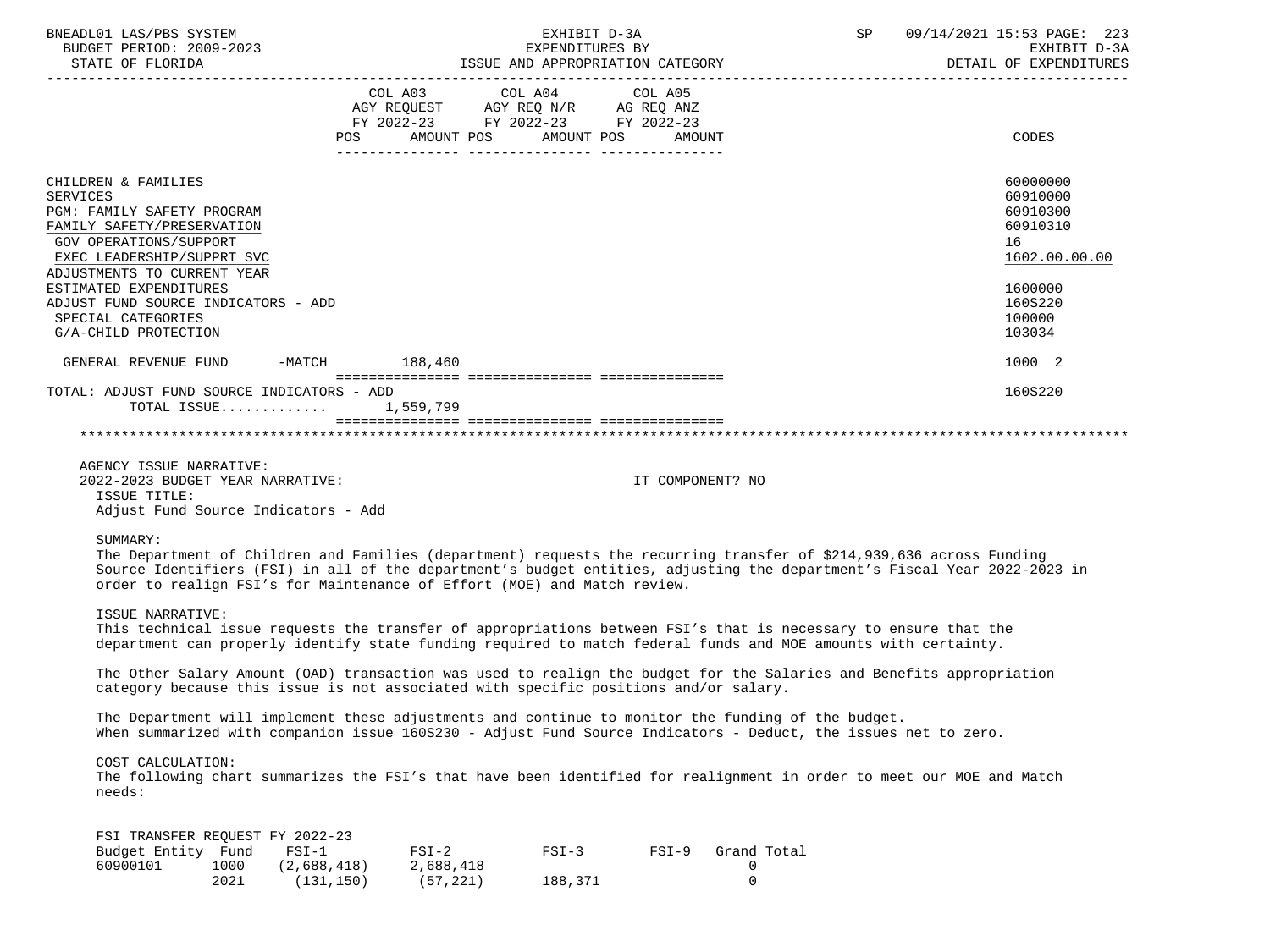| BNEADL01 LAS/PBS SYSTEM<br>BUDGET PERIOD: 2009-2023                                                                                                                                                                                                                                                                                      |                                                                                                                                   | EXHIBIT D-3A<br>EXPENDITURES BY |                  |                                 | SP 09/14/2021 15:53 PAGE: 223<br>EXHIBIT D-3A<br>DETAIL OF EXPENDITURES |
|------------------------------------------------------------------------------------------------------------------------------------------------------------------------------------------------------------------------------------------------------------------------------------------------------------------------------------------|-----------------------------------------------------------------------------------------------------------------------------------|---------------------------------|------------------|---------------------------------|-------------------------------------------------------------------------|
|                                                                                                                                                                                                                                                                                                                                          | COL A03 COL A04 COL A05<br>AGY REQUEST AGY REQ N/R AG REQ ANZ<br>FY 2022-23 FY 2022-23 FY 2022-23<br>AMOUNT POS AMOUNT POS<br>POS |                                 | AMOUNT           |                                 | CODES                                                                   |
| CHILDREN & FAMILIES<br><b>SERVICES</b><br>PGM: FAMILY SAFETY PROGRAM<br>FAMILY SAFETY/PRESERVATION<br>GOV OPERATIONS/SUPPORT<br>EXEC LEADERSHIP/SUPPRT SVC<br>ADJUSTMENTS TO CURRENT YEAR                                                                                                                                                |                                                                                                                                   |                                 |                  |                                 | 60000000<br>60910000<br>60910300<br>60910310<br>16<br>1602.00.00.00     |
| ESTIMATED EXPENDITURES<br>ADJUST FUND SOURCE INDICATORS - ADD<br>SPECIAL CATEGORIES<br>G/A-CHILD PROTECTION                                                                                                                                                                                                                              |                                                                                                                                   |                                 |                  |                                 | 1600000<br>160S220<br>100000<br>103034                                  |
| GENERAL REVENUE FUND -MATCH 188,460                                                                                                                                                                                                                                                                                                      |                                                                                                                                   |                                 |                  |                                 | 1000 2                                                                  |
| TOTAL: ADJUST FUND SOURCE INDICATORS - ADD<br>TOTAL ISSUE 1,559,799                                                                                                                                                                                                                                                                      |                                                                                                                                   |                                 |                  |                                 | 160S220                                                                 |
| AGENCY ISSUE NARRATIVE:<br>2022-2023 BUDGET YEAR NARRATIVE:<br>ISSUE TITLE:<br>Adjust Fund Source Indicators - Add                                                                                                                                                                                                                       |                                                                                                                                   |                                 | IT COMPONENT? NO |                                 |                                                                         |
| SUMMARY:<br>The Department of Children and Families (department) requests the recurring transfer of \$214,939,636 across Funding<br>Source Identifiers (FSI) in all of the department's budget entities, adjusting the department's Fiscal Year 2022-2023 in<br>order to realign FSI's for Maintenance of Effort (MOE) and Match review. |                                                                                                                                   |                                 |                  |                                 |                                                                         |
| ISSUE NARRATIVE:<br>This technical issue requests the transfer of appropriations between FSI's that is necessary to ensure that the<br>department can properly identify state funding required to match federal funds and MOE amounts with certainty.                                                                                    |                                                                                                                                   |                                 |                  |                                 |                                                                         |
| The Other Salary Amount (OAD) transaction was used to realign the budget for the Salaries and Benefits appropriation<br>category because this issue is not associated with specific positions and/or salary.                                                                                                                             |                                                                                                                                   |                                 |                  |                                 |                                                                         |
| The Department will implement these adjustments and continue to monitor the funding of the budget.<br>When summarized with companion issue 160S230 - Adjust Fund Source Indicators - Deduct, the issues net to zero.                                                                                                                     |                                                                                                                                   |                                 |                  |                                 |                                                                         |
| COST CALCULATION:<br>The following chart summarizes the FSI's that have been identified for realignment in order to meet our MOE and Match<br>needs:                                                                                                                                                                                     |                                                                                                                                   |                                 |                  |                                 |                                                                         |
| FSI TRANSFER REOUEST FY 2022-23<br>Budget Entity Fund<br>$FSI-1$<br>60900101<br>1000<br>(2,688,418)<br>2021                                                                                                                                                                                                                              | $FSI-2$<br>2,688,418<br>(131, 150)<br>(57, 221)                                                                                   | $FSI-3$<br>188,371              | $FSI-9$          | Grand Total<br>0<br>$\mathsf 0$ |                                                                         |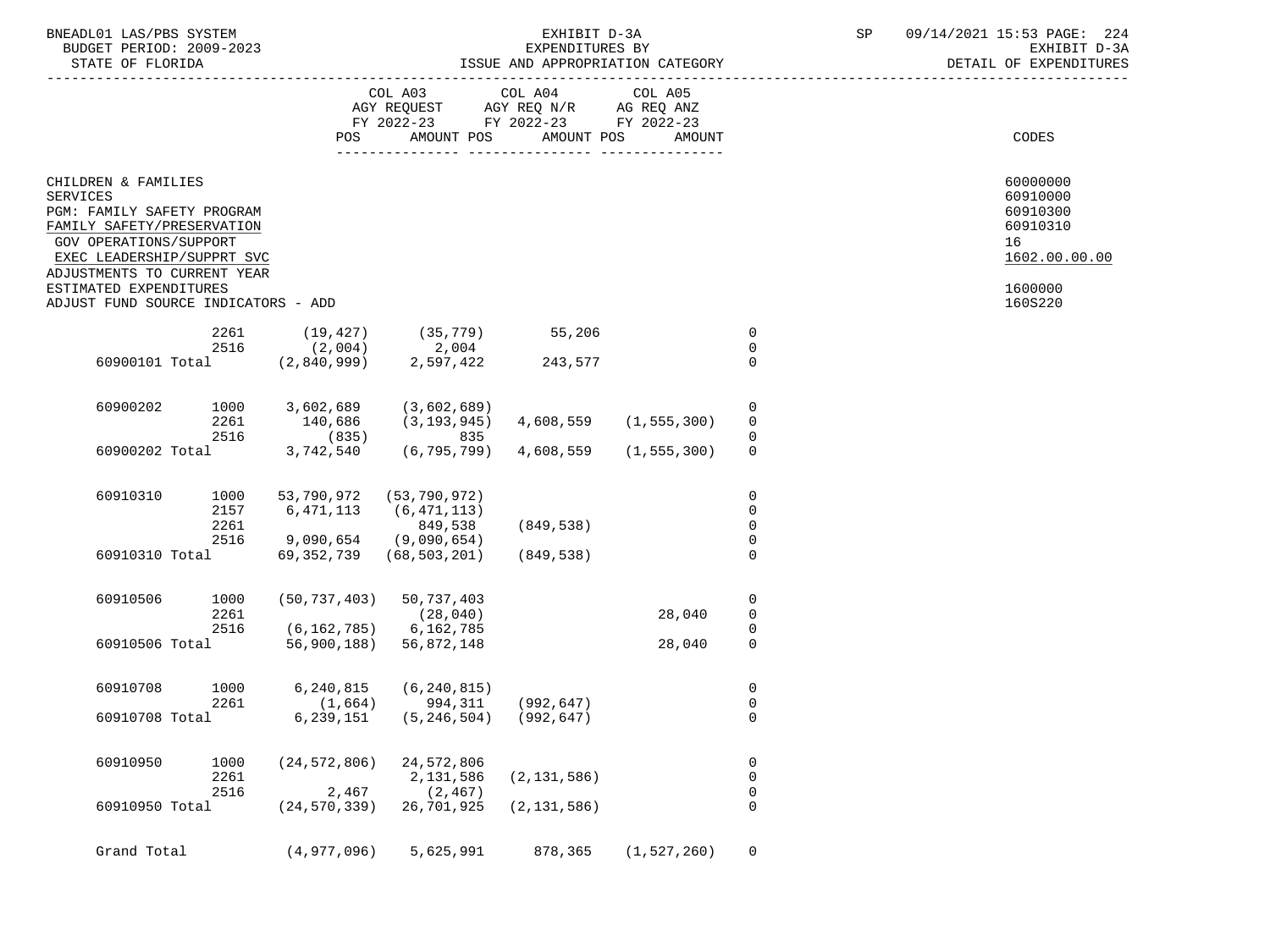| BNEADL01<br>AS/DRS<br>SYSTEM<br>A.S     |                                                                                                                                                                                                                                                                                                                                                                                               | $\sim$ $\sim$ $\sim$<br>` ^ ^ ^ <b>`</b><br>n a<br>ユロー<br>$\sqrt{2}$<br>フロン<br>PAGL.<br>$\sim$<br>22 J |
|-----------------------------------------|-----------------------------------------------------------------------------------------------------------------------------------------------------------------------------------------------------------------------------------------------------------------------------------------------------------------------------------------------------------------------------------------------|--------------------------------------------------------------------------------------------------------|
| 2009-2023<br>: ת∩דפתם<br>BUDGET<br>,,,, | RY                                                                                                                                                                                                                                                                                                                                                                                            | $\sim$ $\sim$<br>$   -$<br>rvu:<br>- ⊷                                                                 |
| $27.777$ $27.777$ $27.777$              | $ \alpha$ $\alpha$ $\alpha$ $\alpha$ $\alpha$<br>$\ldots$ $\ldots$ $\ldots$ $\ldots$ $\ldots$ $\ldots$ $\ldots$ $\ldots$ $\ldots$ $\ldots$ $\ldots$ $\ldots$ $\ldots$ $\ldots$ $\ldots$ $\ldots$ $\ldots$ $\ldots$ $\ldots$ $\ldots$ $\ldots$ $\ldots$ $\ldots$ $\ldots$ $\ldots$ $\ldots$ $\ldots$ $\ldots$ $\ldots$ $\ldots$ $\ldots$ $\ldots$ $\ldots$ $\ldots$ $\ldots$ $\ldots$ $\ldots$ | <b>BEERTH AR</b>                                                                                       |

STATE OF FLORIDA ISSUE AND APPROPRIATION CATEGORY DETAIL OF EXPENDITURES

|                 |                                                                                                                                                                                                                                         |                      |                                                  | FY 2022-23 FY 2022-23 FY 2022-23                                                         |               |                       |                                           |                                                                                           |
|-----------------|-----------------------------------------------------------------------------------------------------------------------------------------------------------------------------------------------------------------------------------------|----------------------|--------------------------------------------------|------------------------------------------------------------------------------------------|---------------|-----------------------|-------------------------------------------|-------------------------------------------------------------------------------------------|
|                 |                                                                                                                                                                                                                                         |                      | POS                                              | AMOUNT POS                                                                               | AMOUNT POS    | AMOUNT                |                                           | CODES                                                                                     |
| <b>SERVICES</b> | CHILDREN & FAMILIES<br>PGM: FAMILY SAFETY PROGRAM<br>FAMILY SAFETY/PRESERVATION<br>GOV OPERATIONS/SUPPORT<br>EXEC LEADERSHIP/SUPPRT SVC<br>ADJUSTMENTS TO CURRENT YEAR<br>ESTIMATED EXPENDITURES<br>ADJUST FUND SOURCE INDICATORS - ADD |                      |                                                  |                                                                                          |               |                       |                                           | 60000000<br>60910000<br>60910300<br>60910310<br>16<br>1602.00.00.00<br>1600000<br>160S220 |
|                 |                                                                                                                                                                                                                                         |                      |                                                  |                                                                                          |               |                       |                                           |                                                                                           |
|                 |                                                                                                                                                                                                                                         |                      |                                                  | 2261 (19,427) (35,779) 55,206                                                            |               |                       | $\overline{0}$                            |                                                                                           |
|                 |                                                                                                                                                                                                                                         |                      | 2516 (2,004)                                     | 2,004<br>2,597,422                                                                       |               |                       | $\mathbf 0$                               |                                                                                           |
|                 |                                                                                                                                                                                                                                         |                      | 60900101 Total (2,840,999)                       |                                                                                          | 243,577       |                       | $\mathbf 0$                               |                                                                                           |
|                 | 60900202                                                                                                                                                                                                                                | 1000                 | 3,602,689                                        | (3,602,689)                                                                              |               | 4,608,559 (1,555,300) | $\mathbf 0$<br>$\mathbf 0$                |                                                                                           |
|                 |                                                                                                                                                                                                                                         | 2516                 |                                                  | 2261 140,686 (3,193,945)                                                                 |               |                       |                                           |                                                                                           |
|                 |                                                                                                                                                                                                                                         |                      | 60900202 Total 3,742,540                         | $(835)$ 835                                                                              |               |                       | 0                                         |                                                                                           |
|                 |                                                                                                                                                                                                                                         |                      |                                                  | (6, 795, 799)                                                                            | 4,608,559     | (1, 555, 300)         | $\mathbf 0$                               |                                                                                           |
|                 | 60910310                                                                                                                                                                                                                                | 1000<br>2157<br>2261 | 53,790,972 (53,790,972)<br>6,471,113 (6,471,113) | 849,538                                                                                  | (849,538)     |                       | $\mathbf 0$<br>$\mathbf 0$<br>$\mathbf 0$ |                                                                                           |
|                 |                                                                                                                                                                                                                                         |                      |                                                  |                                                                                          |               |                       |                                           |                                                                                           |
|                 |                                                                                                                                                                                                                                         | 2516                 | $9,090,654$ (9,090,654)                          |                                                                                          |               |                       | $\mathbf 0$                               |                                                                                           |
|                 | 60910310 Total                                                                                                                                                                                                                          |                      |                                                  | 69,352,739 (68,503,201)                                                                  | (849, 538)    |                       | $\Omega$                                  |                                                                                           |
|                 | 60910506                                                                                                                                                                                                                                | 1000                 |                                                  | $(50, 737, 403)$ 50, 737, 403                                                            |               |                       | $\mathbf 0$                               |                                                                                           |
|                 |                                                                                                                                                                                                                                         | 2261                 |                                                  | (28, 040)                                                                                |               | 28,040                | $\overline{0}$                            |                                                                                           |
|                 |                                                                                                                                                                                                                                         | 2516                 | $(6, 162, 785)$ 6, 162, 785                      |                                                                                          |               |                       | $\mathbf 0$                               |                                                                                           |
|                 | 60910506 Total                                                                                                                                                                                                                          |                      |                                                  | 56,900,188) 56,872,148                                                                   |               | 28,040                | $\mathbf 0$                               |                                                                                           |
|                 | 60910708                                                                                                                                                                                                                                | 1000                 |                                                  | $6, 240, 815$ $(6, 240, 815)$                                                            |               |                       | $\mathbf 0$<br>$\mathbf 0$                |                                                                                           |
|                 |                                                                                                                                                                                                                                         |                      |                                                  | $2261$ $(1,664)$ $994,311$ $(992,647)$<br>60910708 Total 6,239,151 $(5,345)$ $(992,647)$ |               |                       | $\Omega$                                  |                                                                                           |
|                 | 60910950                                                                                                                                                                                                                                | 1000<br>2261         |                                                  | $(24, 572, 806)$ 24, 572, 806<br>2,131,586                                               | (2, 131, 586) |                       | $\mathbf 0$<br>$\mathbf 0$                |                                                                                           |
|                 |                                                                                                                                                                                                                                         | 2516                 |                                                  | $2,467$ (2,467)                                                                          |               |                       | $\mathbf 0$                               |                                                                                           |
|                 | 60910950 Total                                                                                                                                                                                                                          |                      | (24,570,339) 26,701,925                          |                                                                                          | (2, 131, 586) |                       | $\Omega$                                  |                                                                                           |
|                 | Grand Total                                                                                                                                                                                                                             |                      | (4,977,096)                                      | 5,625,991                                                                                |               | 878,365 (1,527,260)   | $\mathbf 0$                               |                                                                                           |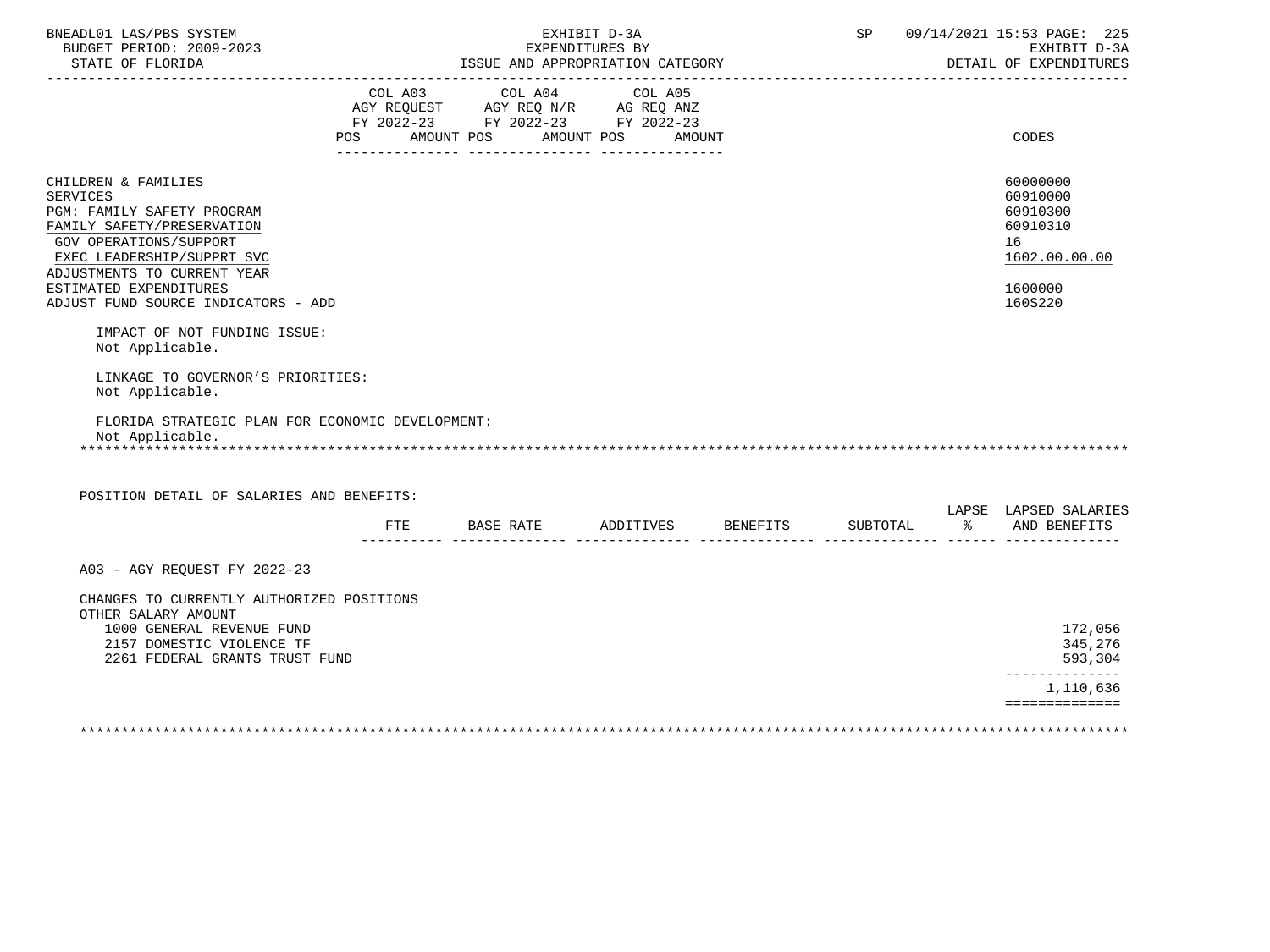| BNEADL01 LAS/PBS SYSTEM<br>BUDGET PERIOD: 2009-2023<br>STATE OF FLORIDA                                                                                                                                                                                                                                                                                                                                                                             |     | ISSUE AND APPROPRIATION CATEGORY                                                                                               | EXHIBIT D-3A<br>EXPENDITURES BY |        |  | SP 09/14/2021 15:53 PAGE: 225<br>EXHIBIT D-3A<br>DETAIL OF EXPENDITURES                   |
|-----------------------------------------------------------------------------------------------------------------------------------------------------------------------------------------------------------------------------------------------------------------------------------------------------------------------------------------------------------------------------------------------------------------------------------------------------|-----|--------------------------------------------------------------------------------------------------------------------------------|---------------------------------|--------|--|-------------------------------------------------------------------------------------------|
|                                                                                                                                                                                                                                                                                                                                                                                                                                                     |     | COL A03 COL A04 COL A05<br>AGY REQUEST AGY REQ N/R AG REQ ANZ<br>FY 2022-23 FY 2022-23 FY 2022-23<br>POS AMOUNT POS AMOUNT POS |                                 | AMOUNT |  | CODES                                                                                     |
| CHILDREN & FAMILIES<br><b>SERVICES</b><br>PGM: FAMILY SAFETY PROGRAM<br>FAMILY SAFETY/PRESERVATION<br><b>GOV OPERATIONS/SUPPORT</b><br>EXEC LEADERSHIP/SUPPRT SVC<br>ADJUSTMENTS TO CURRENT YEAR<br>ESTIMATED EXPENDITURES<br>ADJUST FUND SOURCE INDICATORS - ADD<br>IMPACT OF NOT FUNDING ISSUE:<br>Not Applicable.<br>LINKAGE TO GOVERNOR'S PRIORITIES:<br>Not Applicable.<br>FLORIDA STRATEGIC PLAN FOR ECONOMIC DEVELOPMENT:<br>Not Applicable. |     |                                                                                                                                |                                 |        |  | 60000000<br>60910000<br>60910300<br>60910310<br>16<br>1602.00.00.00<br>1600000<br>160S220 |
|                                                                                                                                                                                                                                                                                                                                                                                                                                                     |     |                                                                                                                                |                                 |        |  |                                                                                           |
| POSITION DETAIL OF SALARIES AND BENEFITS:                                                                                                                                                                                                                                                                                                                                                                                                           | ETE | BASE RATE ADDITIVES BENEFITS                                                                                                   |                                 |        |  | LAPSE LAPSED SALARIES<br>SUBTOTAL % AND BENEFITS                                          |
| A03 - AGY REQUEST FY 2022-23                                                                                                                                                                                                                                                                                                                                                                                                                        |     |                                                                                                                                |                                 |        |  |                                                                                           |
| CHANGES TO CURRENTLY AUTHORIZED POSITIONS<br>OTHER SALARY AMOUNT<br>1000 GENERAL REVENUE FUND<br>2157 DOMESTIC VIOLENCE TF<br>2261 FEDERAL GRANTS TRUST FUND                                                                                                                                                                                                                                                                                        |     |                                                                                                                                |                                 |        |  | 172,056<br>345,276<br>593,304<br>--------------<br>1,110,636<br>==============            |

\*\*\*\*\*\*\*\*\*\*\*\*\*\*\*\*\*\*\*\*\*\*\*\*\*\*\*\*\*\*\*\*\*\*\*\*\*\*\*\*\*\*\*\*\*\*\*\*\*\*\*\*\*\*\*\*\*\*\*\*\*\*\*\*\*\*\*\*\*\*\*\*\*\*\*\*\*\*\*\*\*\*\*\*\*\*\*\*\*\*\*\*\*\*\*\*\*\*\*\*\*\*\*\*\*\*\*\*\*\*\*\*\*\*\*\*\*\*\*\*\*\*\*\*\*\*\*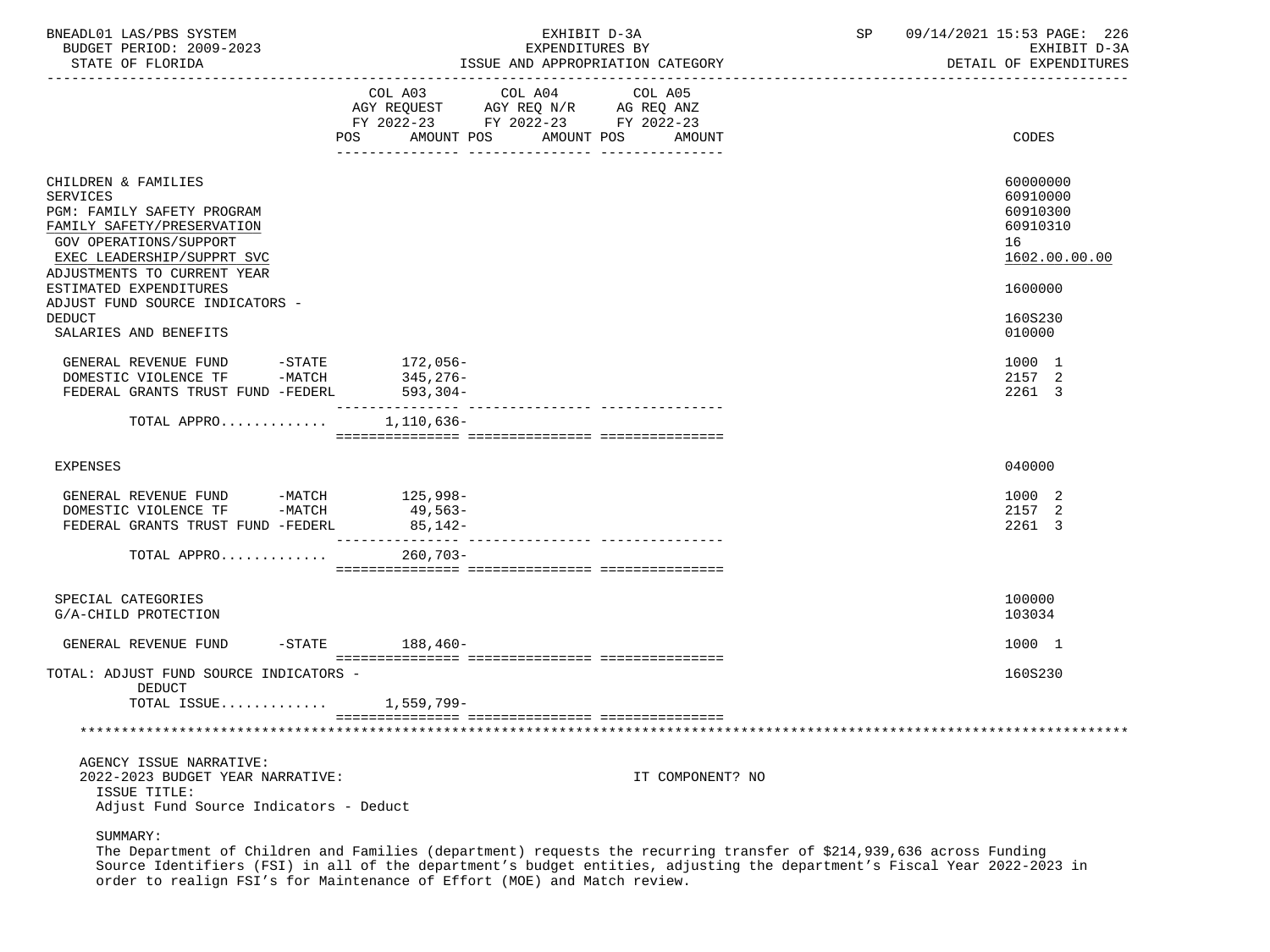| BNEADL01 LAS/PBS SYSTEM<br>BUDGET PERIOD: 2009-2023<br>STATE OF FLORIDA                                                                                                                                                                                                        |                                | EXHIBIT D-3A<br>EXPENDITURES BY<br>ISSUE AND APPROPRIATION CATEGORY                                                              | 09/14/2021 15:53 PAGE: 226<br>SP<br>EXHIBIT D-3A<br>DETAIL OF EXPENDITURES                |
|--------------------------------------------------------------------------------------------------------------------------------------------------------------------------------------------------------------------------------------------------------------------------------|--------------------------------|----------------------------------------------------------------------------------------------------------------------------------|-------------------------------------------------------------------------------------------|
|                                                                                                                                                                                                                                                                                | COL A03                        | COL A04<br>COL A05<br>AGY REQUEST AGY REQ N/R AG REQ ANZ<br>FY 2022-23 FY 2022-23 FY 2022-23<br>POS AMOUNT POS AMOUNT POS AMOUNT | CODES                                                                                     |
| CHILDREN & FAMILIES<br><b>SERVICES</b><br>PGM: FAMILY SAFETY PROGRAM<br>FAMILY SAFETY/PRESERVATION<br><b>GOV OPERATIONS/SUPPORT</b><br>EXEC LEADERSHIP/SUPPRT SVC<br>ADJUSTMENTS TO CURRENT YEAR<br>ESTIMATED EXPENDITURES<br>ADJUST FUND SOURCE INDICATORS -<br><b>DEDUCT</b> |                                |                                                                                                                                  | 60000000<br>60910000<br>60910300<br>60910310<br>16<br>1602.00.00.00<br>1600000<br>160S230 |
| SALARIES AND BENEFITS<br>GENERAL REVENUE FUND $-$ STATE 172,056-DOMESTIC VIOLENCE TF $-$ MATCH 345,276-<br>FEDERAL GRANTS TRUST FUND -FEDERL                                                                                                                                   | $593, 304 -$                   |                                                                                                                                  | 010000<br>1000 1<br>2157 2<br>2261 3                                                      |
| TOTAL APPRO                                                                                                                                                                                                                                                                    | ________________<br>1,110,636- | ---------------- ----------------                                                                                                |                                                                                           |
| <b>EXPENSES</b>                                                                                                                                                                                                                                                                |                                |                                                                                                                                  | 040000                                                                                    |
| GENERAL REVENUE FUND -MATCH 125,998-<br>DOMESTIC VIOLENCE TF -MATCH 49,563-<br>FEDERAL GRANTS TRUST FUND -FEDERL                                                                                                                                                               | 85,142-                        |                                                                                                                                  | 1000 2<br>2157 2<br>2261 3                                                                |
| TOTAL APPRO                                                                                                                                                                                                                                                                    | 260,703-                       |                                                                                                                                  |                                                                                           |
| SPECIAL CATEGORIES<br>G/A-CHILD PROTECTION                                                                                                                                                                                                                                     |                                |                                                                                                                                  | 100000<br>103034                                                                          |
| GENERAL REVENUE FUND                                                                                                                                                                                                                                                           | $-STATE$ 188.460-              |                                                                                                                                  | 1000 1                                                                                    |
| TOTAL: ADJUST FUND SOURCE INDICATORS -<br>DEDUCT                                                                                                                                                                                                                               |                                |                                                                                                                                  | 160S230                                                                                   |
| TOTAL ISSUE 1,559,799-                                                                                                                                                                                                                                                         |                                |                                                                                                                                  |                                                                                           |
|                                                                                                                                                                                                                                                                                |                                |                                                                                                                                  |                                                                                           |
| AGENCY ISSUE NARRATIVE:<br>2022-2023 BUDGET YEAR NARRATIVE:<br>ISSUE TITLE:<br>Adjust Fund Source Indicators - Deduct                                                                                                                                                          |                                | IT COMPONENT? NO                                                                                                                 |                                                                                           |

 The Department of Children and Families (department) requests the recurring transfer of \$214,939,636 across Funding Source Identifiers (FSI) in all of the department's budget entities, adjusting the department's Fiscal Year 2022-2023 in order to realign FSI's for Maintenance of Effort (MOE) and Match review.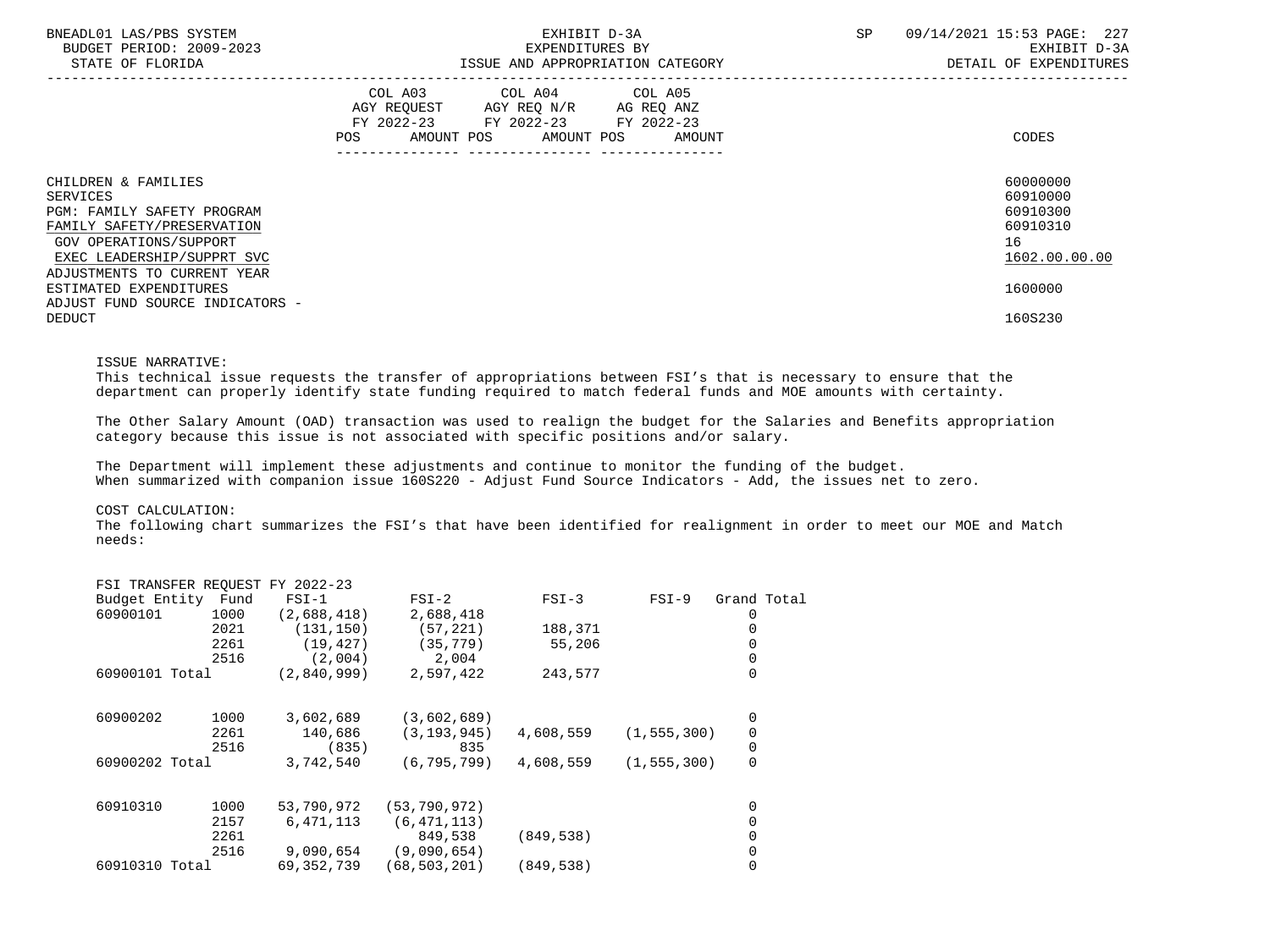| BNEADL01 LAS/PBS SYSTEM<br>BUDGET PERIOD: 2009-2023<br>STATE OF FLORIDA                                               | EXHIBIT D-3A<br>EXPENDITURES BY<br>ISSUE AND APPROPRIATION CATEGORY                                                                         | 09/14/2021 15:53 PAGE: 227<br><b>SP</b><br>EXHIBIT D-3A<br>DETAIL OF EXPENDITURES |
|-----------------------------------------------------------------------------------------------------------------------|---------------------------------------------------------------------------------------------------------------------------------------------|-----------------------------------------------------------------------------------|
|                                                                                                                       | COL A03 COL A04 COL A05<br>AGY REQUEST AGY REQ N/R AG REQ ANZ<br>FY 2022-23 FY 2022-23 FY 2022-23<br>AMOUNT POS AMOUNT POS<br>POS<br>AMOUNT | CODES                                                                             |
| CHILDREN & FAMILIES<br>SERVICES<br>PGM: FAMILY SAFETY PROGRAM<br>FAMILY SAFETY/PRESERVATION<br>GOV OPERATIONS/SUPPORT |                                                                                                                                             | 60000000<br>60910000<br>60910300<br>60910310<br>16                                |
| EXEC LEADERSHIP/SUPPRT SVC<br>ADJUSTMENTS TO CURRENT YEAR                                                             |                                                                                                                                             | 1602.00.00.00                                                                     |
| ESTIMATED EXPENDITURES<br>ADJUST FUND SOURCE INDICATORS -                                                             |                                                                                                                                             | 1600000                                                                           |
| <b>DEDUCT</b>                                                                                                         |                                                                                                                                             | 160S230                                                                           |

#### ISSUE NARRATIVE:

 This technical issue requests the transfer of appropriations between FSI's that is necessary to ensure that the department can properly identify state funding required to match federal funds and MOE amounts with certainty.

 The Other Salary Amount (OAD) transaction was used to realign the budget for the Salaries and Benefits appropriation category because this issue is not associated with specific positions and/or salary.

 The Department will implement these adjustments and continue to monitor the funding of the budget. When summarized with companion issue 160S220 - Adjust Fund Source Indicators - Add, the issues net to zero.

## COST CALCULATION:

 The following chart summarizes the FSI's that have been identified for realignment in order to meet our MOE and Match needs:

|          |      | $FSI-1$                                                                  | $FSI-2$                         | $FSI-3$    | $FSI-9$ | Grand Total                    |
|----------|------|--------------------------------------------------------------------------|---------------------------------|------------|---------|--------------------------------|
| 60900101 | 1000 | (2,688,418)                                                              | 2,688,418                       |            |         |                                |
|          | 2021 | (131, 150)                                                               | (57, 221)                       | 188,371    |         |                                |
|          | 2261 | (19, 427)                                                                | (35, 779)                       | 55,206     |         |                                |
|          | 2516 | (2,004)                                                                  | 2,004                           |            |         |                                |
|          |      | (2,840,999)                                                              | 2,597,422                       | 243,577    |         | 0                              |
| 60900202 | 1000 | 3,602,689                                                                | (3,602,689)                     |            |         | 0                              |
|          | 2261 | 140,686                                                                  | (3, 193, 945)                   | 4,608,559  |         | 0                              |
|          | 2516 | (835)                                                                    | 835                             |            |         | 0                              |
|          |      | 3,742,540                                                                | (6, 795, 799)                   | 4,608,559  |         | 0                              |
| 60910310 | 1000 | 53,790,972                                                               | (53, 790, 972)                  |            |         | 0                              |
|          | 2157 | 6,471,113                                                                | (6, 471, 113)                   |            |         |                                |
|          | 2261 |                                                                          | 849,538                         | (849, 538) |         |                                |
|          | 2516 | 9,090,654                                                                | (9,090,654)                     |            |         |                                |
|          |      | 69, 352, 739                                                             | (68, 503, 201)                  | (849, 538) |         |                                |
|          |      | Budget Entity Fund<br>60900101 Total<br>60900202 Total<br>60910310 Total | FSI TRANSFER REQUEST FY 2022-23 |            |         | (1, 555, 300)<br>(1, 555, 300) |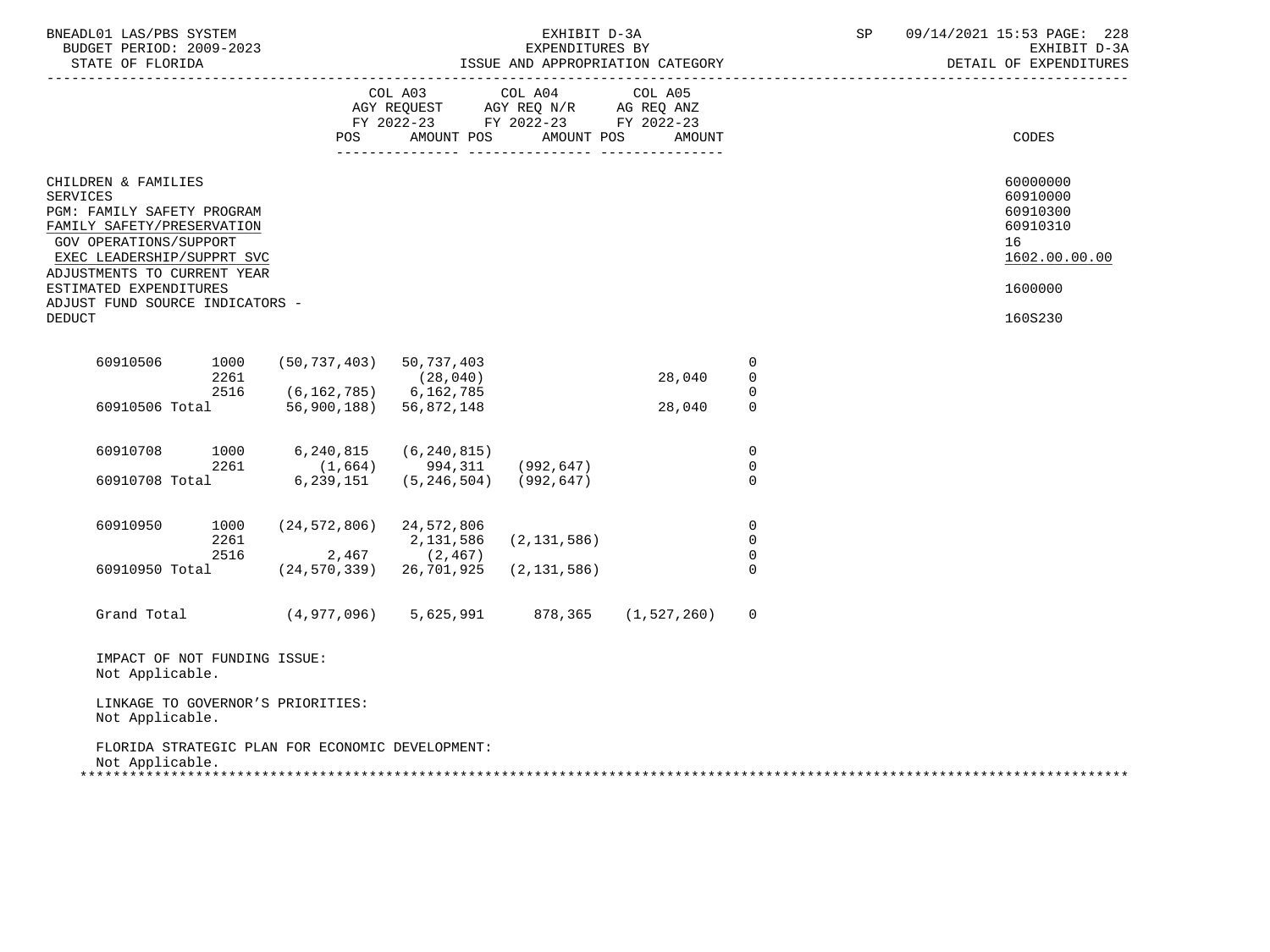| BNEADL01 LAS/PBS SYSTEM<br>BUDGET PERIOD: 2009-2023<br>STATE OF FLORIDA                                                                                                                                                                                                 |                               |                                                                                   | EXHIBIT D-3A<br>EXPENDITURES BY | ISSUE AND APPROPRIATION CATEGORY            |                                              | SP | 09/14/2021 15:53 PAGE: 228<br>EXHIBIT D-3A<br>DETAIL OF EXPENDITURES                      |
|-------------------------------------------------------------------------------------------------------------------------------------------------------------------------------------------------------------------------------------------------------------------------|-------------------------------|-----------------------------------------------------------------------------------|---------------------------------|---------------------------------------------|----------------------------------------------|----|-------------------------------------------------------------------------------------------|
|                                                                                                                                                                                                                                                                         |                               | COL A03<br>AGY REQUEST AGY REQ N/R AG REQ ANZ<br>FY 2022-23 FY 2022-23 FY 2022-23 | COL A04                         | COL A05<br>POS AMOUNT POS AMOUNT POS AMOUNT |                                              |    | CODES                                                                                     |
| CHILDREN & FAMILIES<br><b>SERVICES</b><br>PGM: FAMILY SAFETY PROGRAM<br>FAMILY SAFETY/PRESERVATION<br>GOV OPERATIONS/SUPPORT<br>EXEC LEADERSHIP/SUPPRT SVC<br>ADJUSTMENTS TO CURRENT YEAR<br>ESTIMATED EXPENDITURES<br>ADJUST FUND SOURCE INDICATORS -<br><b>DEDUCT</b> |                               |                                                                                   |                                 |                                             |                                              |    | 60000000<br>60910000<br>60910300<br>60910310<br>16<br>1602.00.00.00<br>1600000<br>160S230 |
| 60910506<br>1000<br>2261                                                                                                                                                                                                                                                | $(50, 737, 403)$ 50, 737, 403 | (28, 040)                                                                         |                                 | 28,040                                      | 0<br>$\mathbf 0$                             |    |                                                                                           |
| 2516                                                                                                                                                                                                                                                                    | $(6, 162, 785)$ 6, 162, 785   |                                                                                   |                                 |                                             | $\overline{0}$                               |    |                                                                                           |
| 60910506 Total                                                                                                                                                                                                                                                          | 56,900,188) 56,872,148        |                                                                                   |                                 | 28,040                                      | $\mathsf{O}$                                 |    |                                                                                           |
| 60910708<br>1000<br>2261                                                                                                                                                                                                                                                | 6,240,815                     | (6, 240, 815)<br>$(1,664)$ 994, 311 (992, 647)                                    |                                 |                                             | $\mathbf 0$<br>0                             |    |                                                                                           |
| 60910708 Total                                                                                                                                                                                                                                                          | 6,239,151                     | $(5, 246, 504)$ (992,647)                                                         |                                 |                                             | $\mathbf 0$                                  |    |                                                                                           |
| 60910950<br>1000<br>2261<br>2516                                                                                                                                                                                                                                        | $(24, 572, 806)$ 24, 572, 806 | 2,131,586<br>$2,467$ (2,467)                                                      | (2, 131, 586)                   |                                             | $\mathbf 0$<br>$\mathbf 0$<br>$\overline{0}$ |    |                                                                                           |
| 60910950 Total                                                                                                                                                                                                                                                          | (24,570,339) 26,701,925       |                                                                                   | (2, 131, 586)                   |                                             | $\Omega$                                     |    |                                                                                           |
| Grand Total (4,977,096) 5,625,991 878,365 (1,527,260)                                                                                                                                                                                                                   |                               |                                                                                   |                                 |                                             | $\mathbf 0$                                  |    |                                                                                           |
| IMPACT OF NOT FUNDING ISSUE:<br>Not Applicable.                                                                                                                                                                                                                         |                               |                                                                                   |                                 |                                             |                                              |    |                                                                                           |
| LINKAGE TO GOVERNOR'S PRIORITIES:<br>Not Applicable.                                                                                                                                                                                                                    |                               |                                                                                   |                                 |                                             |                                              |    |                                                                                           |
| FLORIDA STRATEGIC PLAN FOR ECONOMIC DEVELOPMENT:<br>Not Applicable.                                                                                                                                                                                                     |                               |                                                                                   |                                 |                                             |                                              |    |                                                                                           |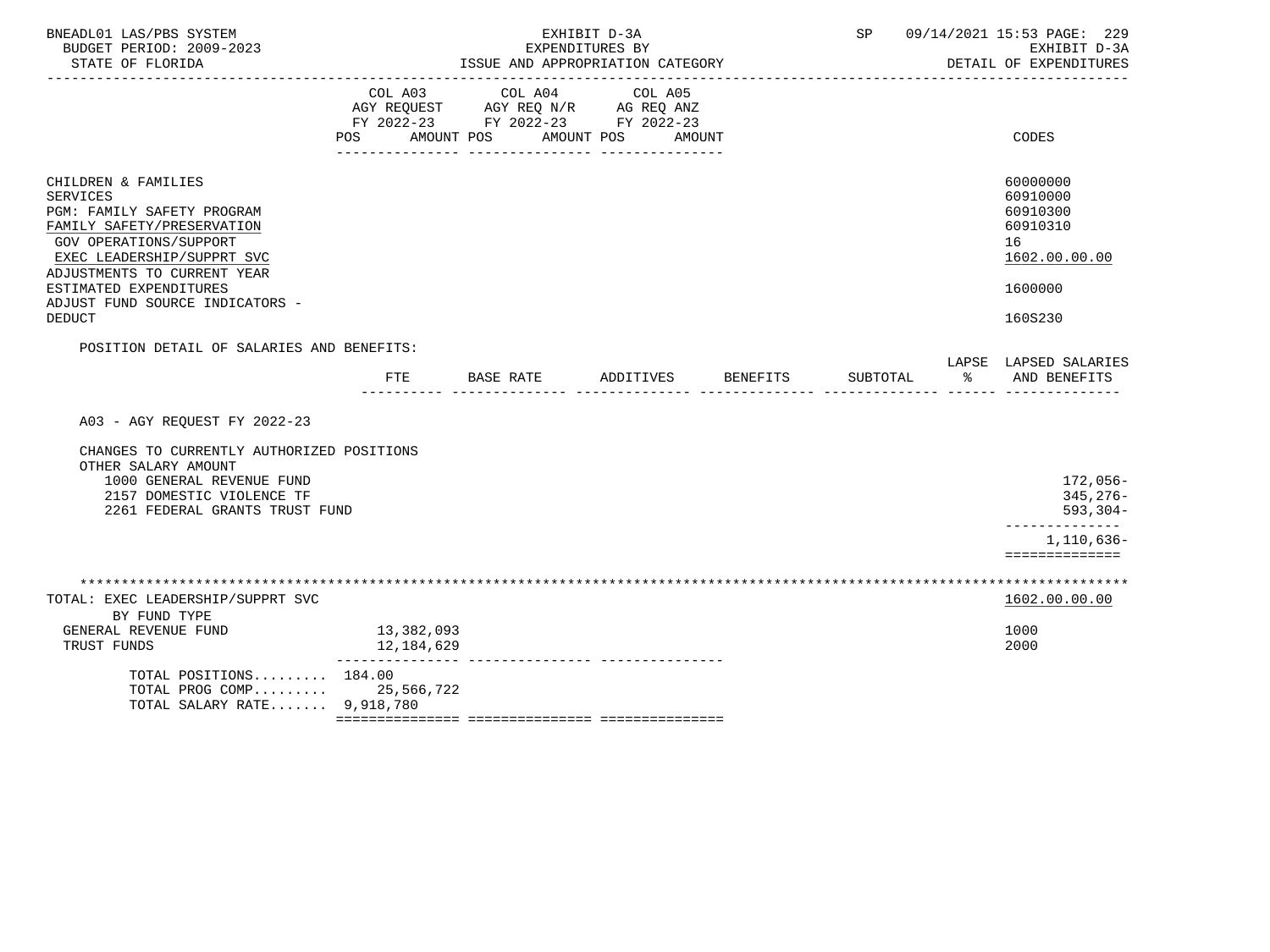| BNEADL01 LAS/PBS SYSTEM<br>BUDGET PERIOD: 2009-2023<br>STATE OF FLORIDA                                                                                                                                                                                                 | EXHIBIT D-3A<br>EXPENDITURES BY<br>ISSUE AND APPROPRIATION CATEGORY |                                  |                    |  | SP<br>09/14/2021 15:53 PAGE: 229<br>EXHIBIT D-3A<br>DETAIL OF EXPENDITURES |                                                                                            |  |
|-------------------------------------------------------------------------------------------------------------------------------------------------------------------------------------------------------------------------------------------------------------------------|---------------------------------------------------------------------|----------------------------------|--------------------|--|----------------------------------------------------------------------------|--------------------------------------------------------------------------------------------|--|
|                                                                                                                                                                                                                                                                         | POS AMOUNT POS                                                      | FY 2022-23 FY 2022-23 FY 2022-23 | AMOUNT POS AMOUNT  |  |                                                                            | CODES                                                                                      |  |
| CHILDREN & FAMILIES<br><b>SERVICES</b><br>PGM: FAMILY SAFETY PROGRAM<br>FAMILY SAFETY/PRESERVATION<br>GOV OPERATIONS/SUPPORT<br>EXEC LEADERSHIP/SUPPRT SVC<br>ADJUSTMENTS TO CURRENT YEAR<br>ESTIMATED EXPENDITURES<br>ADJUST FUND SOURCE INDICATORS -<br><b>DEDUCT</b> |                                                                     |                                  |                    |  |                                                                            | 60000000<br>60910000<br>60910300<br>60910310<br>16<br>1602.00.00.00<br>1600000<br>160S230  |  |
| POSITION DETAIL OF SALARIES AND BENEFITS:                                                                                                                                                                                                                               | FTE                                                                 | BASE RATE                        | ADDITIVES BENEFITS |  | SUBTOTAL                                                                   | LAPSE LAPSED SALARIES<br>$rac{1}{2}$<br>AND BENEFITS                                       |  |
| A03 - AGY REQUEST FY 2022-23<br>CHANGES TO CURRENTLY AUTHORIZED POSITIONS<br>OTHER SALARY AMOUNT<br>1000 GENERAL REVENUE FUND<br>2157 DOMESTIC VIOLENCE TF<br>2261 FEDERAL GRANTS TRUST FUND                                                                            |                                                                     |                                  |                    |  |                                                                            | 172,056-<br>$345, 276 -$<br>$593, 304 -$<br>--------------<br>1,110,636-<br>============== |  |
| TOTAL: EXEC LEADERSHIP/SUPPRT SVC<br>BY FUND TYPE<br>GENERAL REVENUE FUND<br>TRUST FUNDS                                                                                                                                                                                | 13,382,093<br>12,184,629<br>----------------                        | --------------- ---------------  |                    |  |                                                                            | 1602.00.00.00<br>1000<br>2000                                                              |  |
| TOTAL POSITIONS 184.00<br>TOTAL PROG COMP 25,566,722<br>TOTAL SALARY RATE 9,918,780                                                                                                                                                                                     |                                                                     |                                  |                    |  |                                                                            |                                                                                            |  |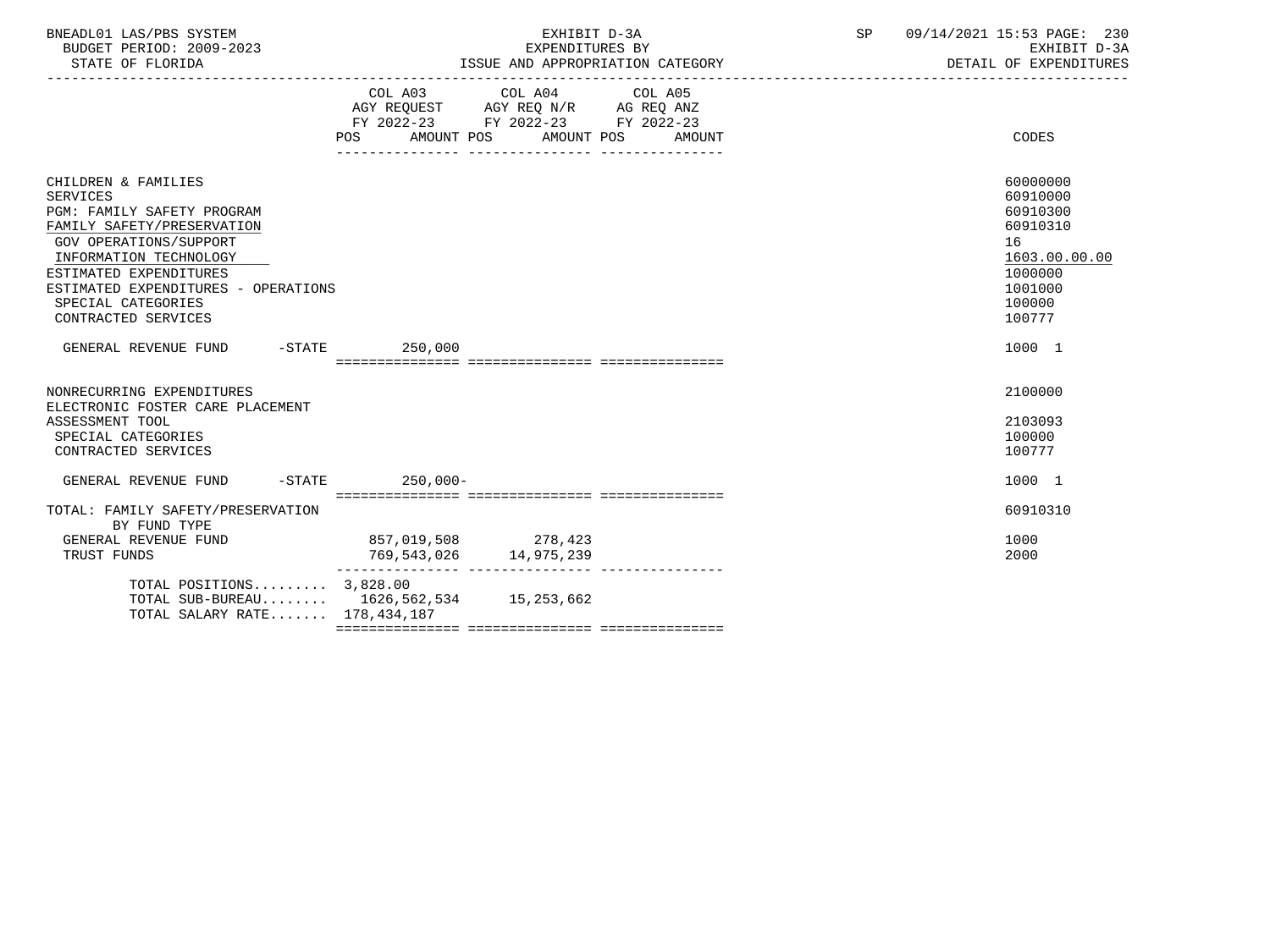| BNEADL01 LAS/PBS SYSTEM  | TRTT<br>CXH.               | SΡ | 09/14/2021 15:53 PAGE:<br>230 |
|--------------------------|----------------------------|----|-------------------------------|
| BUDGET PERIOD: 2009-2023 | EXPENDITURES BY            |    | EXHIBIT D-3A                  |
| STATE OF FLORIDA         | AND APPROPRIATION CATEGORY |    | DETAIL OF EXPENDITURES        |

|                                                                                                                                                                                                                                                                      | POS                                           | COL A03 COL A04 COL A05<br>AGY REQUEST AGY REQ N/R AG REQ ANZ<br>FY 2022-23 FY 2022-23 FY 2022-23<br>AMOUNT POS AMOUNT POS | AMOUNT | CODES                                                                                                         |
|----------------------------------------------------------------------------------------------------------------------------------------------------------------------------------------------------------------------------------------------------------------------|-----------------------------------------------|----------------------------------------------------------------------------------------------------------------------------|--------|---------------------------------------------------------------------------------------------------------------|
| CHILDREN & FAMILIES<br><b>SERVICES</b><br>PGM: FAMILY SAFETY PROGRAM<br>FAMILY SAFETY/PRESERVATION<br>GOV OPERATIONS/SUPPORT<br>INFORMATION TECHNOLOGY<br>ESTIMATED EXPENDITURES<br>ESTIMATED EXPENDITURES - OPERATIONS<br>SPECIAL CATEGORIES<br>CONTRACTED SERVICES |                                               |                                                                                                                            |        | 60000000<br>60910000<br>60910300<br>60910310<br>16<br>1603.00.00.00<br>1000000<br>1001000<br>100000<br>100777 |
| GENERAL REVENUE FUND                                                                                                                                                                                                                                                 | $-STATE$ 250,000                              |                                                                                                                            |        | 1000 1                                                                                                        |
| NONRECURRING EXPENDITURES<br>ELECTRONIC FOSTER CARE PLACEMENT<br>ASSESSMENT TOOL<br>SPECIAL CATEGORIES<br>CONTRACTED SERVICES                                                                                                                                        |                                               |                                                                                                                            |        | 2100000<br>2103093<br>100000<br>100777                                                                        |
| $-STATE$<br>GENERAL REVENUE FUND                                                                                                                                                                                                                                     | $250.000 -$                                   |                                                                                                                            |        | 1000 1                                                                                                        |
| TOTAL: FAMILY SAFETY/PRESERVATION<br>BY FUND TYPE                                                                                                                                                                                                                    |                                               |                                                                                                                            |        | 60910310                                                                                                      |
| GENERAL REVENUE FUND<br>TRUST FUNDS                                                                                                                                                                                                                                  | 857,019,508 278,423<br>769,543,026 14,975,239 |                                                                                                                            |        | 1000<br>2000                                                                                                  |
| TOTAL POSITIONS 3,828.00<br>TOTAL SUB-BUREAU 1626,562,534 15,253,662<br>TOTAL SALARY RATE 178,434,187                                                                                                                                                                |                                               |                                                                                                                            |        |                                                                                                               |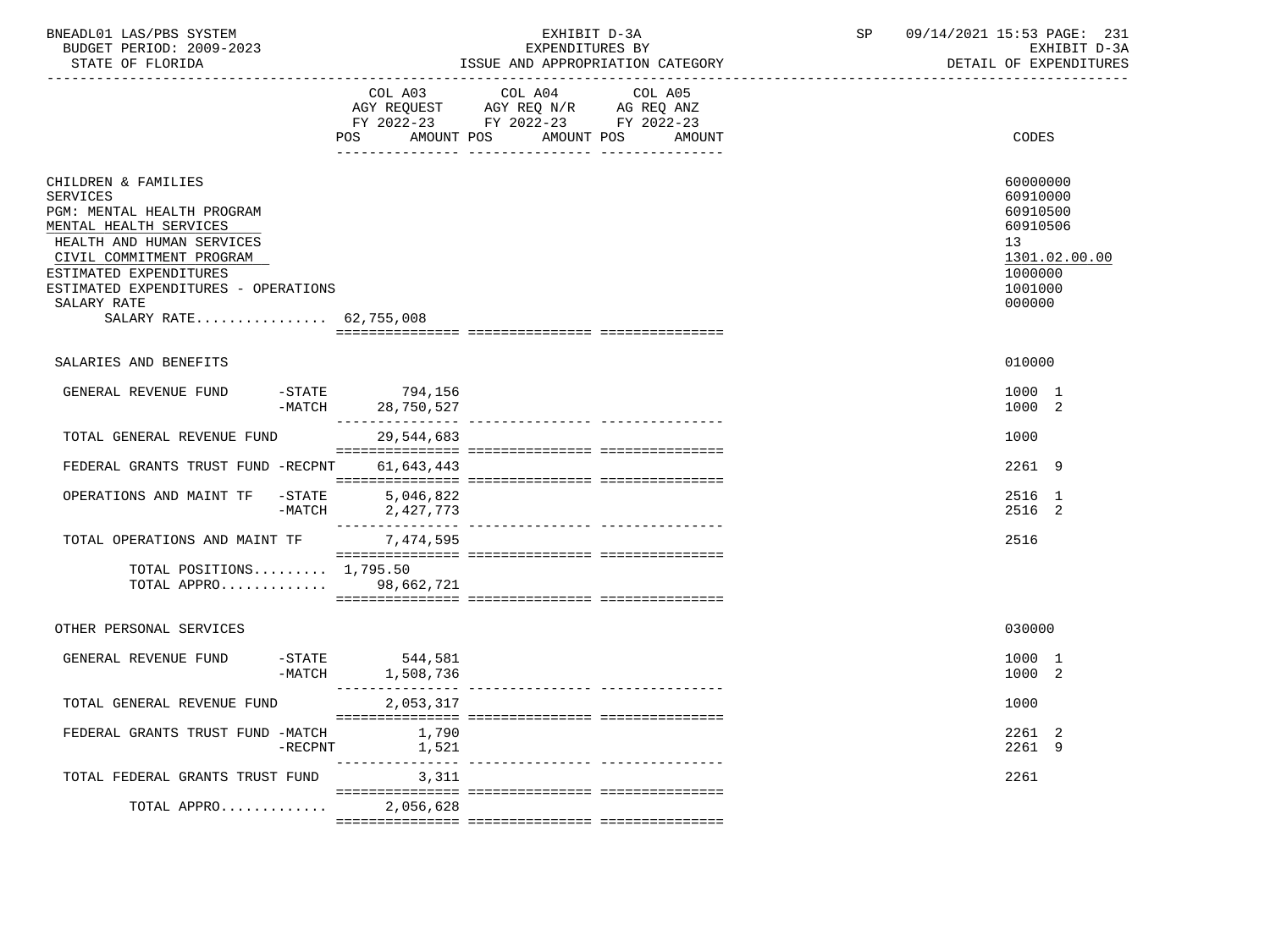| BNEADL01 LAS/PBS SYSTEM  | EXHIBIT D-3A                     | 09/14/2021 15:53 PAGE: 231 |
|--------------------------|----------------------------------|----------------------------|
| BUDGET PERIOD: 2009-2023 | EXPENDITURES BY                  | EXHIBIT D-3A               |
| STATE OF FLORIDA         | ISSUE AND APPROPRIATION CATEGORY | DETAIL OF EXPENDITURES     |

|                                                                                                                                                                                                                                                                   | COL A03<br>POS<br>AMOUNT POS             | COL A04<br>COL A05<br>AGY REQUEST AGY REQ N/R AG REQ ANZ<br>FY 2022-23 FY 2022-23 FY 2022-23<br>AMOUNT POS<br>AMOUNT | CODES                                                                                               |
|-------------------------------------------------------------------------------------------------------------------------------------------------------------------------------------------------------------------------------------------------------------------|------------------------------------------|----------------------------------------------------------------------------------------------------------------------|-----------------------------------------------------------------------------------------------------|
| CHILDREN & FAMILIES<br><b>SERVICES</b><br>PGM: MENTAL HEALTH PROGRAM<br>MENTAL HEALTH SERVICES<br>HEALTH AND HUMAN SERVICES<br>CIVIL COMMITMENT PROGRAM<br>ESTIMATED EXPENDITURES<br>ESTIMATED EXPENDITURES - OPERATIONS<br>SALARY RATE<br>SALARY RATE 62,755,008 |                                          |                                                                                                                      | 60000000<br>60910000<br>60910500<br>60910506<br>13<br>1301.02.00.00<br>1000000<br>1001000<br>000000 |
| SALARIES AND BENEFITS                                                                                                                                                                                                                                             |                                          |                                                                                                                      | 010000                                                                                              |
| $-$ STATE<br>GENERAL REVENUE FUND<br>$-MATCH$                                                                                                                                                                                                                     | 794,156<br>28,750,527                    |                                                                                                                      | 1000 1<br>1000 2                                                                                    |
| TOTAL GENERAL REVENUE FUND                                                                                                                                                                                                                                        | 29,544,683                               |                                                                                                                      | 1000                                                                                                |
| FEDERAL GRANTS TRUST FUND -RECPNT                                                                                                                                                                                                                                 | 61,643,443                               |                                                                                                                      | 2261 9                                                                                              |
| OPERATIONS AND MAINT TF<br>$-\mathtt{STATE}$<br>$-MATCH$                                                                                                                                                                                                          | 5,046,822<br>2,427,773                   |                                                                                                                      | 2516 1<br>2516 2                                                                                    |
| TOTAL OPERATIONS AND MAINT TF                                                                                                                                                                                                                                     | 7,474,595                                |                                                                                                                      | 2516                                                                                                |
| TOTAL POSITIONS $1,795.50$<br>TOTAL APPRO 98,662,721                                                                                                                                                                                                              |                                          |                                                                                                                      |                                                                                                     |
| OTHER PERSONAL SERVICES                                                                                                                                                                                                                                           |                                          |                                                                                                                      | 030000                                                                                              |
| $-$ STATE<br>GENERAL REVENUE FUND<br>-MATCH                                                                                                                                                                                                                       | 544,581<br>1,508,736<br>________________ |                                                                                                                      | 1000 1<br>1000 2                                                                                    |
| TOTAL GENERAL REVENUE FUND                                                                                                                                                                                                                                        | 2,053,317                                |                                                                                                                      | 1000                                                                                                |
| FEDERAL GRANTS TRUST FUND -MATCH<br>$-$ RECPNT                                                                                                                                                                                                                    | 1,790<br>1,521                           |                                                                                                                      | 2261 2<br>2261 9                                                                                    |
| TOTAL FEDERAL GRANTS TRUST FUND                                                                                                                                                                                                                                   | 3,311                                    |                                                                                                                      | 2261                                                                                                |
| TOTAL APPRO                                                                                                                                                                                                                                                       | 2,056,628                                |                                                                                                                      |                                                                                                     |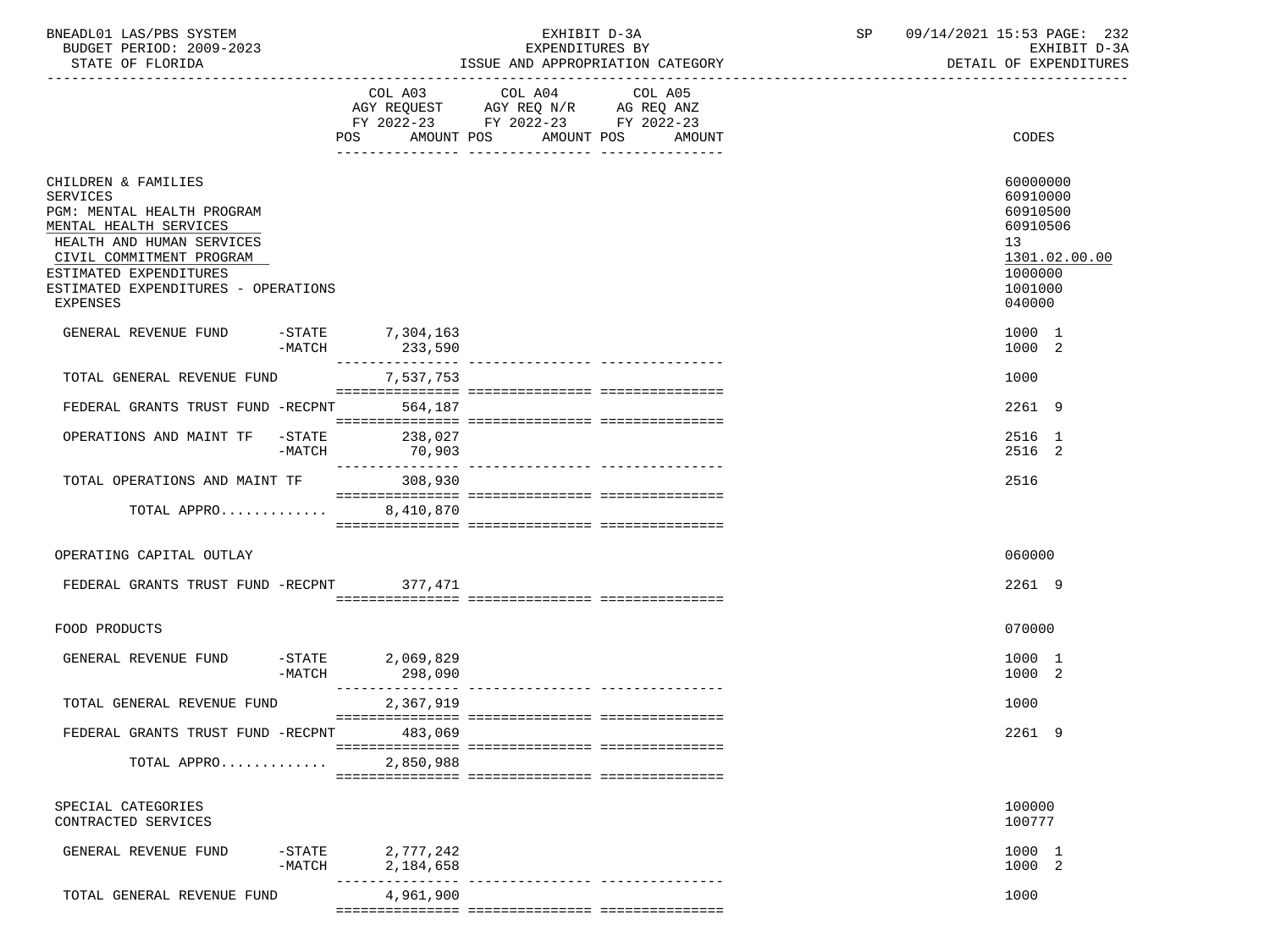| BNEADL01 LAS/PBS SYSTEM |                  |                          | EXHIBIT D-3A                     |  |
|-------------------------|------------------|--------------------------|----------------------------------|--|
|                         |                  | BUDGET PERIOD: 2009-2023 | EXPENDITURES BY                  |  |
|                         | STATE OF FLORIDA |                          | ISSUE AND APPROPRIATION CATEGORY |  |

BUDGET PERIOD: 2009-2023 EXPENDITURES BY EXHIBIT D-3A

|                                           |           |                  | FY 2022-23 FY 2022-23 FY 2022-23 |        |               |
|-------------------------------------------|-----------|------------------|----------------------------------|--------|---------------|
|                                           |           |                  | POS AMOUNT POS AMOUNT POS        | AMOUNT | CODES         |
|                                           |           |                  |                                  |        |               |
|                                           |           |                  |                                  |        |               |
| CHILDREN & FAMILIES                       |           |                  |                                  |        | 60000000      |
| SERVICES                                  |           |                  |                                  |        | 60910000      |
| PGM: MENTAL HEALTH PROGRAM                |           |                  |                                  |        | 60910500      |
| MENTAL HEALTH SERVICES                    |           |                  |                                  |        | 60910506      |
| HEALTH AND HUMAN SERVICES                 |           |                  |                                  |        | 13            |
| CIVIL COMMITMENT PROGRAM                  |           |                  |                                  |        | 1301.02.00.00 |
|                                           |           |                  |                                  |        |               |
| ESTIMATED EXPENDITURES                    |           |                  |                                  |        | 1000000       |
| ESTIMATED EXPENDITURES - OPERATIONS       |           |                  |                                  |        | 1001000       |
| EXPENSES                                  |           |                  |                                  |        | 040000        |
|                                           |           |                  |                                  |        |               |
| GENERAL REVENUE FUND                      |           | -STATE 7,304,163 |                                  |        | 1000 1        |
|                                           | $-MATCH$  | 233,590          |                                  |        | 1000 2        |
|                                           |           |                  |                                  |        |               |
| TOTAL GENERAL REVENUE FUND                |           | 7,537,753        |                                  |        | 1000          |
|                                           |           |                  |                                  |        |               |
| FEDERAL GRANTS TRUST FUND -RECPNT 564,187 |           |                  |                                  |        | 2261 9        |
|                                           |           |                  |                                  |        |               |
| OPERATIONS AND MAINT TF -STATE            |           | 238,027          |                                  |        | 2516 1        |
|                                           | -MATCH    | 70,903           |                                  |        | 2516 2        |
|                                           |           |                  |                                  |        |               |
| TOTAL OPERATIONS AND MAINT TF 308,930     |           |                  |                                  |        | 2516          |
|                                           |           |                  |                                  |        |               |
| TOTAL APPRO                               |           | 8,410,870        |                                  |        |               |
|                                           |           |                  |                                  |        |               |
|                                           |           |                  |                                  |        | 060000        |
| OPERATING CAPITAL OUTLAY                  |           |                  |                                  |        |               |
| FEDERAL GRANTS TRUST FUND -RECPNT 377,471 |           |                  |                                  |        | 2261 9        |
|                                           |           |                  |                                  |        |               |
|                                           |           |                  |                                  |        |               |
| FOOD PRODUCTS                             |           |                  |                                  |        | 070000        |
|                                           |           |                  |                                  |        |               |
| GENERAL REVENUE FUND                      | $-STATE$  | 2,069,829        |                                  |        | 1000 1        |
|                                           | $-MATCH$  | 298,090          |                                  |        | 1000 2        |
|                                           |           |                  |                                  |        |               |
| TOTAL GENERAL REVENUE FUND                |           | 2,367,919        |                                  |        | 1000          |
|                                           |           |                  |                                  |        |               |
| FEDERAL GRANTS TRUST FUND -RECPNT 483,069 |           |                  |                                  |        | 2261 9        |
|                                           |           |                  |                                  |        |               |
| TOTAL APPRO                               |           | 2,850,988        |                                  |        |               |
|                                           |           |                  |                                  |        |               |
|                                           |           |                  |                                  |        |               |
| SPECIAL CATEGORIES                        |           |                  |                                  |        | 100000        |
| CONTRACTED SERVICES                       |           |                  |                                  |        |               |
|                                           |           |                  |                                  |        | 100777        |
| GENERAL REVENUE FUND                      |           |                  |                                  |        | 1000 1        |
|                                           | $-$ STATE | 2,777,242        |                                  |        |               |
|                                           | $-MATCH$  | 2,184,658        |                                  |        | 1000 2        |
|                                           |           |                  |                                  |        | 1000          |
| TOTAL GENERAL REVENUE FUND                |           | 4,961,900        |                                  |        |               |

=============== =============== ===============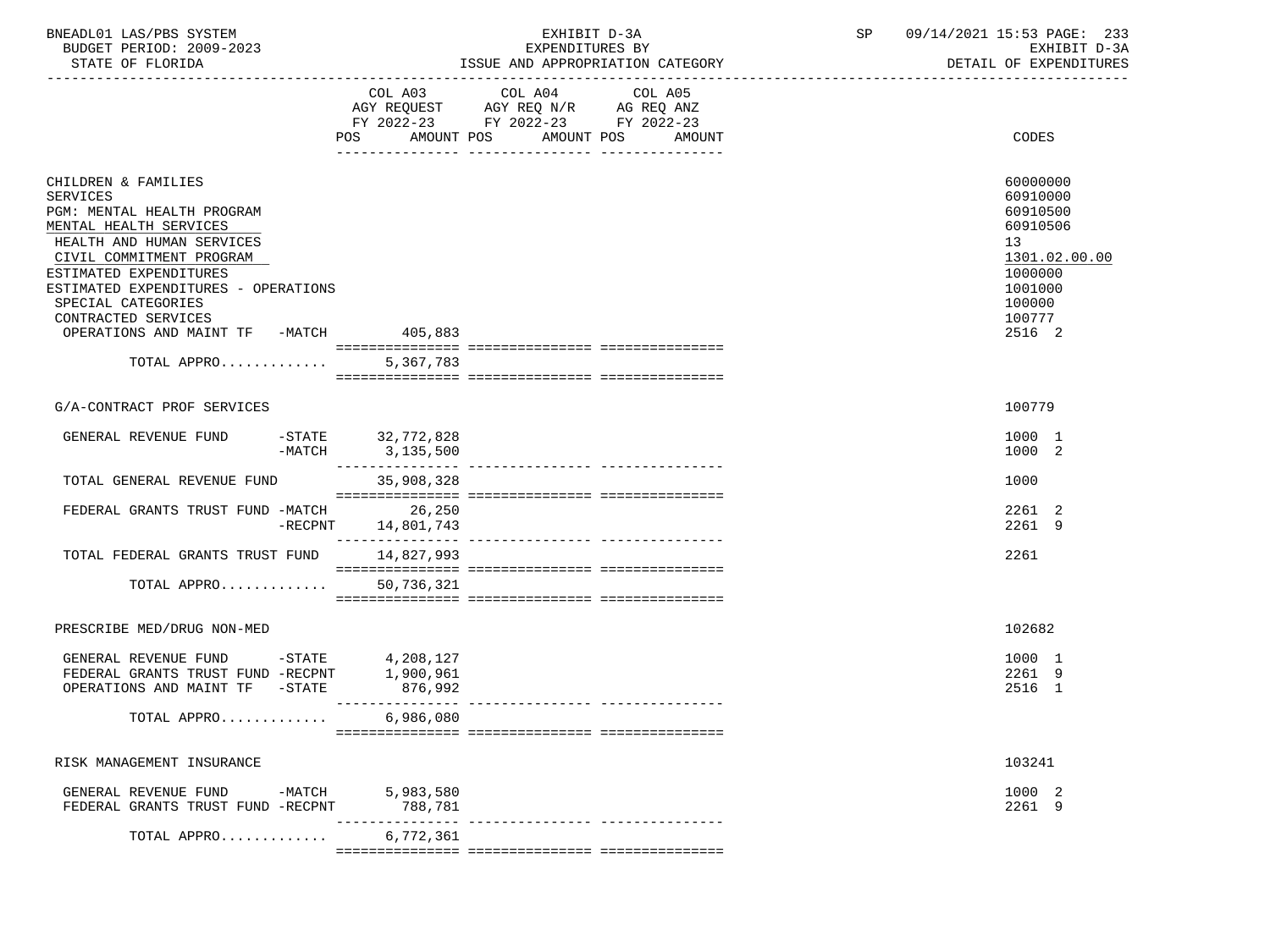| BNEADL01<br>LAS/PBS<br>SYSTEM  |                                                          | 4/2021<br>15.5<br>PAGE:<br>n al<br>ـ ت ک |
|--------------------------------|----------------------------------------------------------|------------------------------------------|
| 2009-2023<br>PERIOD:<br>BUDGET | ITURES BY<br>EXPENDI                                     | $\sim$ $\sim$<br>חדרי<br>tvu:<br>- ⊶     |
| חת התמידי<br>ET.ORTDA          | עסמביקימי ומרדידמדססמספסמ<br>ידת ה<br><b>ANII</b><br>--- | FYDFNDT                                  |

-----------------------------------------------------------------------------------------------------------------------------------

STATE OF FLORIDA STATE OF STATE OF STATE OF EXPENDITURES

|                                                                                                                            | COL A03<br>AGY REQUEST<br>FY 2022-23<br>AMOUNT POS<br>POS. | COL A04<br>COL A05<br>AGY REQ N/R<br>AG REQ ANZ<br>FY 2022-23<br>FY 2022-23<br>AMOUNT POS | AMOUNT | CODES                                 |
|----------------------------------------------------------------------------------------------------------------------------|------------------------------------------------------------|-------------------------------------------------------------------------------------------|--------|---------------------------------------|
| CHILDREN & FAMILIES<br><b>SERVICES</b>                                                                                     |                                                            |                                                                                           |        | 60000000<br>60910000                  |
| PGM: MENTAL HEALTH PROGRAM<br>MENTAL HEALTH SERVICES                                                                       |                                                            |                                                                                           |        | 60910500<br>60910506                  |
| HEALTH AND HUMAN SERVICES<br>CIVIL COMMITMENT PROGRAM<br>ESTIMATED EXPENDITURES                                            |                                                            |                                                                                           |        | 13<br>1301.02.00.00<br>1000000        |
| ESTIMATED EXPENDITURES - OPERATIONS<br>SPECIAL CATEGORIES<br>CONTRACTED SERVICES<br>OPERATIONS AND MAINT TF -MATCH 405,883 |                                                            |                                                                                           |        | 1001000<br>100000<br>100777<br>2516 2 |
|                                                                                                                            |                                                            |                                                                                           |        |                                       |
| TOTAL APPRO                                                                                                                | 5,367,783                                                  |                                                                                           |        |                                       |
| G/A-CONTRACT PROF SERVICES                                                                                                 |                                                            |                                                                                           |        | 100779                                |
| GENERAL REVENUE FUND<br>$-$ STATE                                                                                          | 32,772,828<br>-MATCH 3, 135, 500                           |                                                                                           |        | 1000 1<br>1000 2                      |
| TOTAL GENERAL REVENUE FUND                                                                                                 | 35,908,328                                                 |                                                                                           |        | 1000                                  |
| FEDERAL GRANTS TRUST FUND -MATCH                                                                                           | 26,250<br>$-$ RECPNT $14,801,743$                          |                                                                                           |        | 2261 2<br>2261 9                      |
| TOTAL FEDERAL GRANTS TRUST FUND                                                                                            | 14,827,993                                                 |                                                                                           |        | 2261                                  |
| TOTAL APPRO                                                                                                                | 50,736,321                                                 |                                                                                           |        |                                       |
| PRESCRIBE MED/DRUG NON-MED                                                                                                 |                                                            |                                                                                           |        | 102682                                |
| GENERAL REVENUE FUND -STATE<br>FEDERAL GRANTS TRUST FUND -RECPNT<br>$-$ STATE<br>OPERATIONS AND MAINT TF                   | 4,208,127<br>1,900,961<br>876,992                          |                                                                                           |        | 1000 1<br>2261 9<br>2516 1            |
| TOTAL APPRO                                                                                                                | 6,986,080                                                  |                                                                                           |        |                                       |
| RISK MANAGEMENT INSURANCE                                                                                                  |                                                            |                                                                                           |        | 103241                                |
| GENERAL REVENUE FUND -MATCH 5,983,580<br>FEDERAL GRANTS TRUST FUND -RECPNT                                                 | 788,781                                                    |                                                                                           |        | 1000 2<br>2261 9                      |
| TOTAL APPRO                                                                                                                | 6,772,361                                                  |                                                                                           |        |                                       |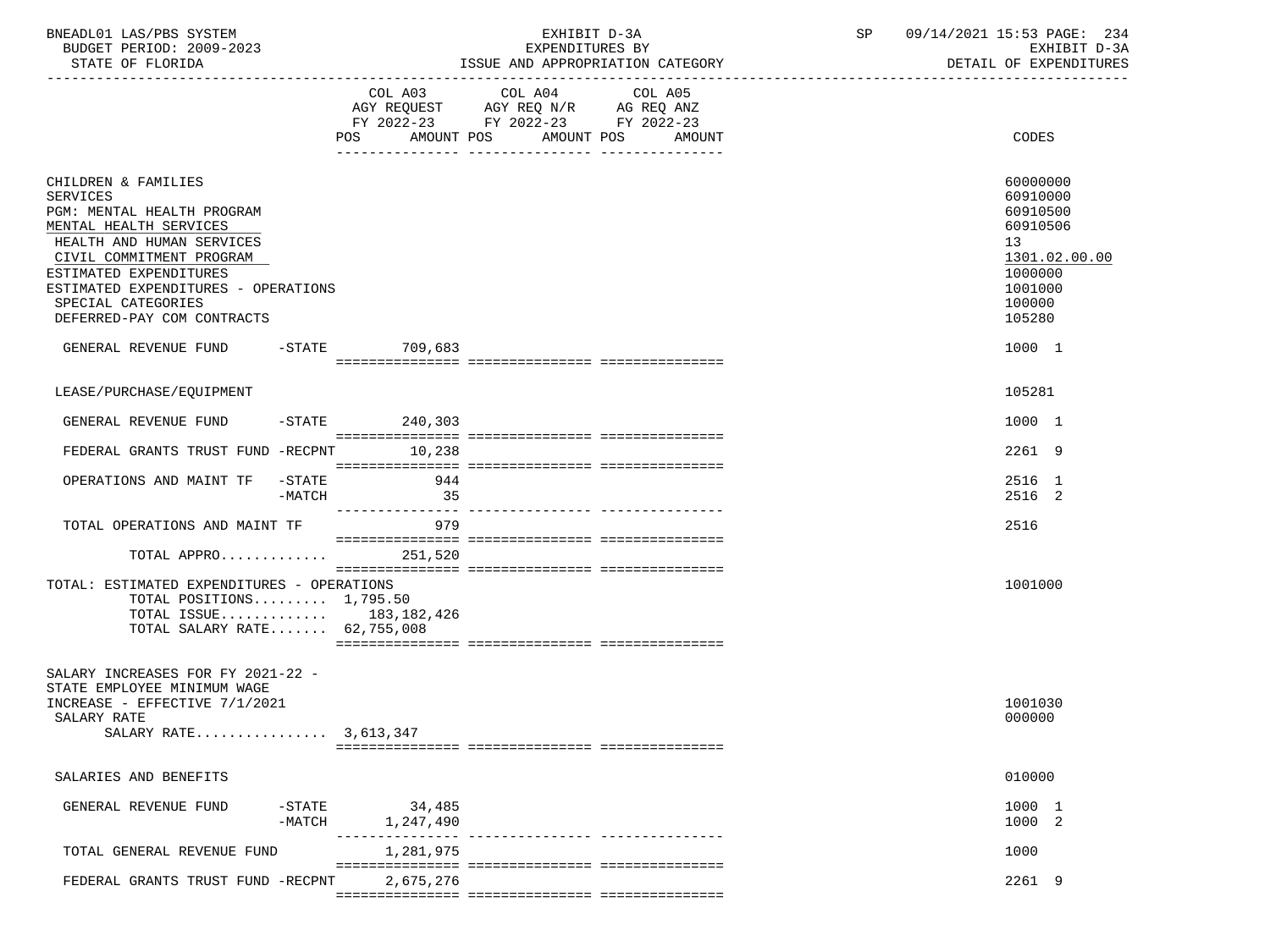| BNEADL01 LAS/PBS SYSTEM |                  |                          | EXHIBIT D-3A                     |
|-------------------------|------------------|--------------------------|----------------------------------|
|                         |                  | BUDGET PERIOD: 2009-2023 | EXPENDITURES BY                  |
|                         | STATE OF FLORIDA |                          | ISSUE AND APPROPRIATION CATEGORY |

BUDGET PERIOD: 2009-2023 EXPENDITURES BY EXHIBIT D-3A

|                                                                                                                                                                                                                                                                              | POS<br>AMOUNT POS   | FY 2022-23 FY 2022-23 FY 2022-23<br>AMOUNT POS<br>AMOUNT | CODES                                                                                                         |
|------------------------------------------------------------------------------------------------------------------------------------------------------------------------------------------------------------------------------------------------------------------------------|---------------------|----------------------------------------------------------|---------------------------------------------------------------------------------------------------------------|
|                                                                                                                                                                                                                                                                              |                     |                                                          |                                                                                                               |
| CHILDREN & FAMILIES<br><b>SERVICES</b><br>PGM: MENTAL HEALTH PROGRAM<br>MENTAL HEALTH SERVICES<br>HEALTH AND HUMAN SERVICES<br>CIVIL COMMITMENT PROGRAM<br>ESTIMATED EXPENDITURES<br>ESTIMATED EXPENDITURES - OPERATIONS<br>SPECIAL CATEGORIES<br>DEFERRED-PAY COM CONTRACTS |                     |                                                          | 60000000<br>60910000<br>60910500<br>60910506<br>13<br>1301.02.00.00<br>1000000<br>1001000<br>100000<br>105280 |
| GENERAL REVENUE FUND -STATE 709,683                                                                                                                                                                                                                                          |                     |                                                          | 1000 1                                                                                                        |
|                                                                                                                                                                                                                                                                              |                     |                                                          |                                                                                                               |
| LEASE/PURCHASE/EQUIPMENT                                                                                                                                                                                                                                                     |                     |                                                          | 105281                                                                                                        |
| GENERAL REVENUE FUND                                                                                                                                                                                                                                                         | $-STATE$ 240,303    |                                                          | 1000 1                                                                                                        |
| FEDERAL GRANTS TRUST FUND -RECPNT                                                                                                                                                                                                                                            | 10,238              |                                                          | 2261 9                                                                                                        |
| $-\mathtt{STATE}$<br>OPERATIONS AND MAINT TF                                                                                                                                                                                                                                 | 944                 |                                                          | 2516 1                                                                                                        |
| -MATCH                                                                                                                                                                                                                                                                       | 35                  |                                                          | 2516 2                                                                                                        |
| TOTAL OPERATIONS AND MAINT TF                                                                                                                                                                                                                                                | 979                 |                                                          | 2516                                                                                                          |
| TOTAL APPRO                                                                                                                                                                                                                                                                  | 251,520             |                                                          |                                                                                                               |
| TOTAL: ESTIMATED EXPENDITURES - OPERATIONS<br>TOTAL POSITIONS $1,795.50$<br>TOTAL ISSUE 183, 182, 426<br>TOTAL SALARY RATE 62,755,008                                                                                                                                        |                     |                                                          | 1001000                                                                                                       |
| SALARY INCREASES FOR FY 2021-22 -<br>STATE EMPLOYEE MINIMUM WAGE<br>INCREASE - EFFECTIVE 7/1/2021<br>SALARY RATE<br>SALARY RATE 3.613.347                                                                                                                                    |                     |                                                          | 1001030<br>000000                                                                                             |
| SALARIES AND BENEFITS                                                                                                                                                                                                                                                        |                     |                                                          | 010000                                                                                                        |
| $-$ STATE<br>GENERAL REVENUE FUND<br>$-MATCH$                                                                                                                                                                                                                                | 34,485<br>1,247,490 |                                                          | 1000 1<br>1000 2                                                                                              |
| TOTAL GENERAL REVENUE FUND                                                                                                                                                                                                                                                   | 1,281,975           | -------------- ----------------                          | 1000                                                                                                          |
| FEDERAL GRANTS TRUST FUND -RECPNT                                                                                                                                                                                                                                            | 2,675,276           |                                                          | 2261 9                                                                                                        |
|                                                                                                                                                                                                                                                                              |                     |                                                          |                                                                                                               |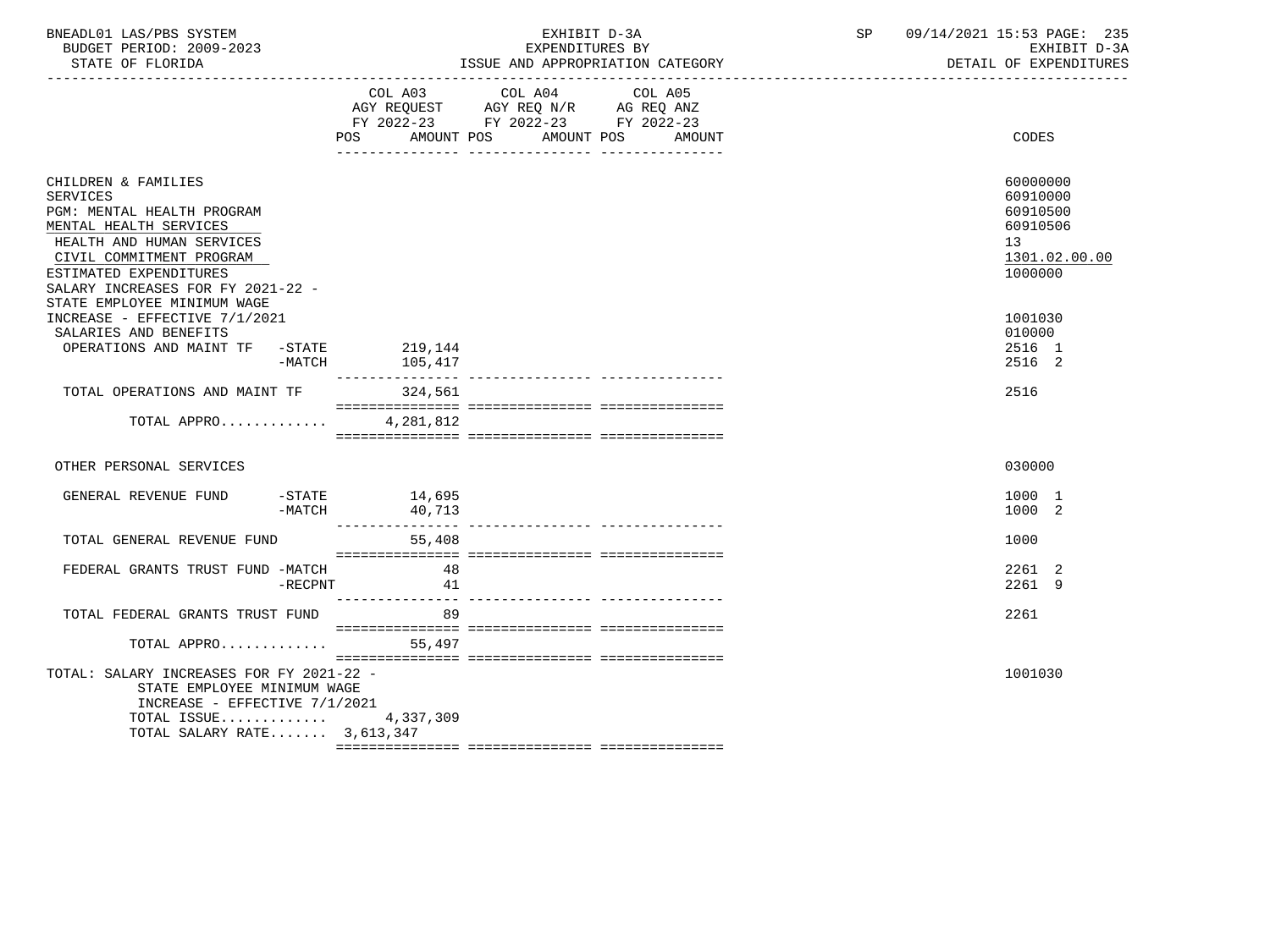| BNEADL01 LAS/PBS SYSTEM<br>BUDGET PERIOD: 2009-2023<br>STATE OF FLORIDA<br>___________________________________                                                                                                                                                                         |                                         | EXHIBIT D-3A<br>EXPENDITURES BY<br>ISSUE AND APPROPRIATION CATEGORY                                                                     | SP 09/14/2021 15:53 PAGE: 235<br>EXHIBIT D-3A<br>DETAIL OF EXPENDITURES                   |
|----------------------------------------------------------------------------------------------------------------------------------------------------------------------------------------------------------------------------------------------------------------------------------------|-----------------------------------------|-----------------------------------------------------------------------------------------------------------------------------------------|-------------------------------------------------------------------------------------------|
|                                                                                                                                                                                                                                                                                        | <b>POS</b>                              | COL A03 COL A04 COL A05<br>AGY REQUEST AGY REQ N/R AG REQ ANZ<br>FY 2022-23 FY 2022-23 FY 2022-23<br>AMOUNT POS<br>AMOUNT POS<br>AMOUNT | <b>CODES</b>                                                                              |
| CHILDREN & FAMILIES<br><b>SERVICES</b><br>PGM: MENTAL HEALTH PROGRAM<br>MENTAL HEALTH SERVICES<br>HEALTH AND HUMAN SERVICES<br>CIVIL COMMITMENT PROGRAM<br>ESTIMATED EXPENDITURES<br>SALARY INCREASES FOR FY 2021-22 -<br>STATE EMPLOYEE MINIMUM WAGE<br>INCREASE - EFFECTIVE 7/1/2021 |                                         |                                                                                                                                         | 60000000<br>60910000<br>60910500<br>60910506<br>13<br>1301.02.00.00<br>1000000<br>1001030 |
| SALARIES AND BENEFITS<br>OPERATIONS AND MAINT TF -STATE 219,144<br>$-MATCH$                                                                                                                                                                                                            | 105,417                                 |                                                                                                                                         | 010000<br>2516 1<br>2516 2                                                                |
| TOTAL OPERATIONS AND MAINT TF                                                                                                                                                                                                                                                          | 324,561                                 |                                                                                                                                         | 2516                                                                                      |
| TOTAL APPRO 4, 281, 812                                                                                                                                                                                                                                                                |                                         |                                                                                                                                         |                                                                                           |
| OTHER PERSONAL SERVICES                                                                                                                                                                                                                                                                |                                         |                                                                                                                                         | 030000                                                                                    |
| GENERAL REVENUE FUND -STATE 14,695<br>$-MATCH$                                                                                                                                                                                                                                         | 40,713                                  |                                                                                                                                         | 1000 1<br>1000 2                                                                          |
| TOTAL GENERAL REVENUE FUND                                                                                                                                                                                                                                                             | 55,408                                  |                                                                                                                                         | 1000                                                                                      |
| FEDERAL GRANTS TRUST FUND -MATCH<br>$-$ RECPNT                                                                                                                                                                                                                                         | $\begin{array}{c} 48 \\ 41 \end{array}$ |                                                                                                                                         | 2261 2<br>2261 9                                                                          |
| TOTAL FEDERAL GRANTS TRUST FUND                                                                                                                                                                                                                                                        | 89                                      |                                                                                                                                         | 2261                                                                                      |
| TOTAL APPRO $\dots\dots\dots\dots$                                                                                                                                                                                                                                                     |                                         |                                                                                                                                         |                                                                                           |
| TOTAL: SALARY INCREASES FOR FY 2021-22 -<br>STATE EMPLOYEE MINIMUM WAGE<br>INCREASE - EFFECTIVE 7/1/2021<br>TOTAL ISSUE $4,337,309$<br>TOTAL SALARY RATE 3,613,347                                                                                                                     |                                         |                                                                                                                                         | 1001030                                                                                   |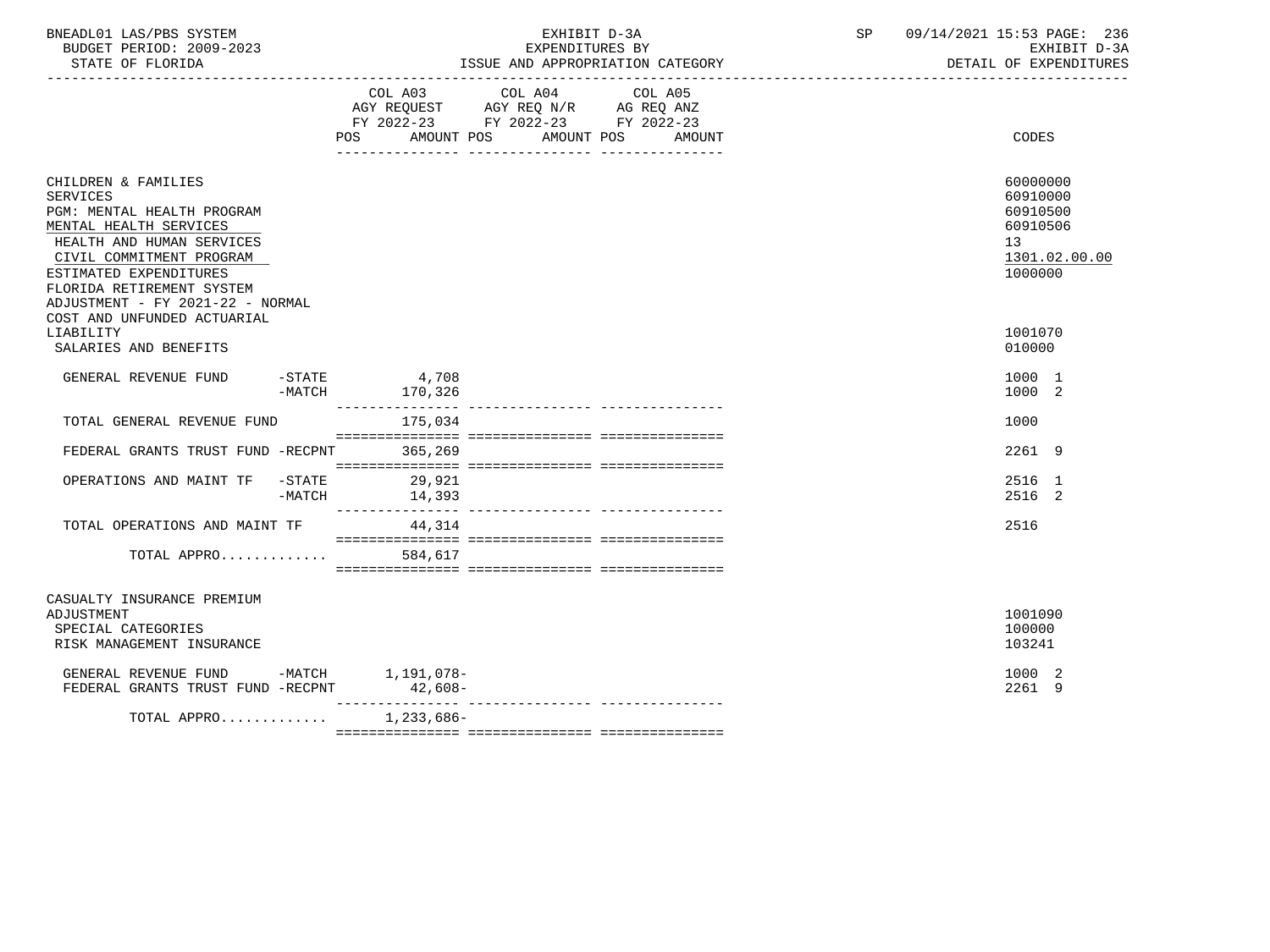| BNEADL01 LAS/PBS SYSTEM<br>BUDGET PERIOD: 2009-2023<br>STATE OF FLORIDA<br>--------------------------------------                                                                                                                                                                 |        |                                    | EXHIBIT D-3A<br>EXPENDITURES BY<br>ISSUE AND APPROPRIATION CATEGORY                                                                                                                                                                         | SP | 09/14/2021 15:53 PAGE: 236<br>EXHIBIT D-3A<br>DETAIL OF EXPENDITURES           |  |
|-----------------------------------------------------------------------------------------------------------------------------------------------------------------------------------------------------------------------------------------------------------------------------------|--------|------------------------------------|---------------------------------------------------------------------------------------------------------------------------------------------------------------------------------------------------------------------------------------------|----|--------------------------------------------------------------------------------|--|
|                                                                                                                                                                                                                                                                                   |        |                                    | COL A03 COL A04<br>COL A05<br>$\begin{tabular}{lllllll} AGY & \texttt{REQUEST} & \texttt{AGY REQ} & \texttt{N/R} & \texttt{AG REQ} & \texttt{ANZ} \end{tabular}$<br>FY 2022-23 FY 2022-23 FY 2022-23<br>POS AMOUNT POS AMOUNT POS<br>AMOUNT |    | <b>CODES</b>                                                                   |  |
| CHILDREN & FAMILIES<br><b>SERVICES</b><br>PGM: MENTAL HEALTH PROGRAM<br>MENTAL HEALTH SERVICES<br>HEALTH AND HUMAN SERVICES<br>CIVIL COMMITMENT PROGRAM<br>ESTIMATED EXPENDITURES<br>FLORIDA RETIREMENT SYSTEM<br>ADJUSTMENT - FY 2021-22 - NORMAL<br>COST AND UNFUNDED ACTUARIAL |        |                                    |                                                                                                                                                                                                                                             |    | 60000000<br>60910000<br>60910500<br>60910506<br>13<br>1301.02.00.00<br>1000000 |  |
| LIABILITY<br>SALARIES AND BENEFITS                                                                                                                                                                                                                                                |        |                                    |                                                                                                                                                                                                                                             |    | 1001070<br>010000                                                              |  |
| GENERAL REVENUE FUND                                                                                                                                                                                                                                                              |        | $-STATE$ 4,708<br>$-MATCH$ 170,326 |                                                                                                                                                                                                                                             |    | 1000 1<br>1000 2                                                               |  |
| TOTAL GENERAL REVENUE FUND                                                                                                                                                                                                                                                        |        | 175,034                            |                                                                                                                                                                                                                                             |    | 1000                                                                           |  |
| FEDERAL GRANTS TRUST FUND -RECPNT 365,269                                                                                                                                                                                                                                         |        |                                    |                                                                                                                                                                                                                                             |    | 2261 9                                                                         |  |
| OPERATIONS AND MAINT TF -STATE 29,921                                                                                                                                                                                                                                             | -MATCH | 14,393                             |                                                                                                                                                                                                                                             |    | 2516 1<br>2516 2                                                               |  |
| TOTAL OPERATIONS AND MAINT TF                                                                                                                                                                                                                                                     |        | 44,314                             |                                                                                                                                                                                                                                             |    | 2516                                                                           |  |
| TOTAL APPRO                                                                                                                                                                                                                                                                       |        | 584,617                            |                                                                                                                                                                                                                                             |    |                                                                                |  |
| CASUALTY INSURANCE PREMIUM<br>ADJUSTMENT<br>SPECIAL CATEGORIES<br>RISK MANAGEMENT INSURANCE                                                                                                                                                                                       |        |                                    |                                                                                                                                                                                                                                             |    | 1001090<br>100000<br>103241                                                    |  |
| GENERAL REVENUE FUND -MATCH 1,191,078-<br>FEDERAL GRANTS TRUST FUND -RECPNT                                                                                                                                                                                                       |        |                                    |                                                                                                                                                                                                                                             |    | 1000 2<br>2261 9                                                               |  |
| TOTAL APPRO                                                                                                                                                                                                                                                                       |        | 1,233,686-                         |                                                                                                                                                                                                                                             |    |                                                                                |  |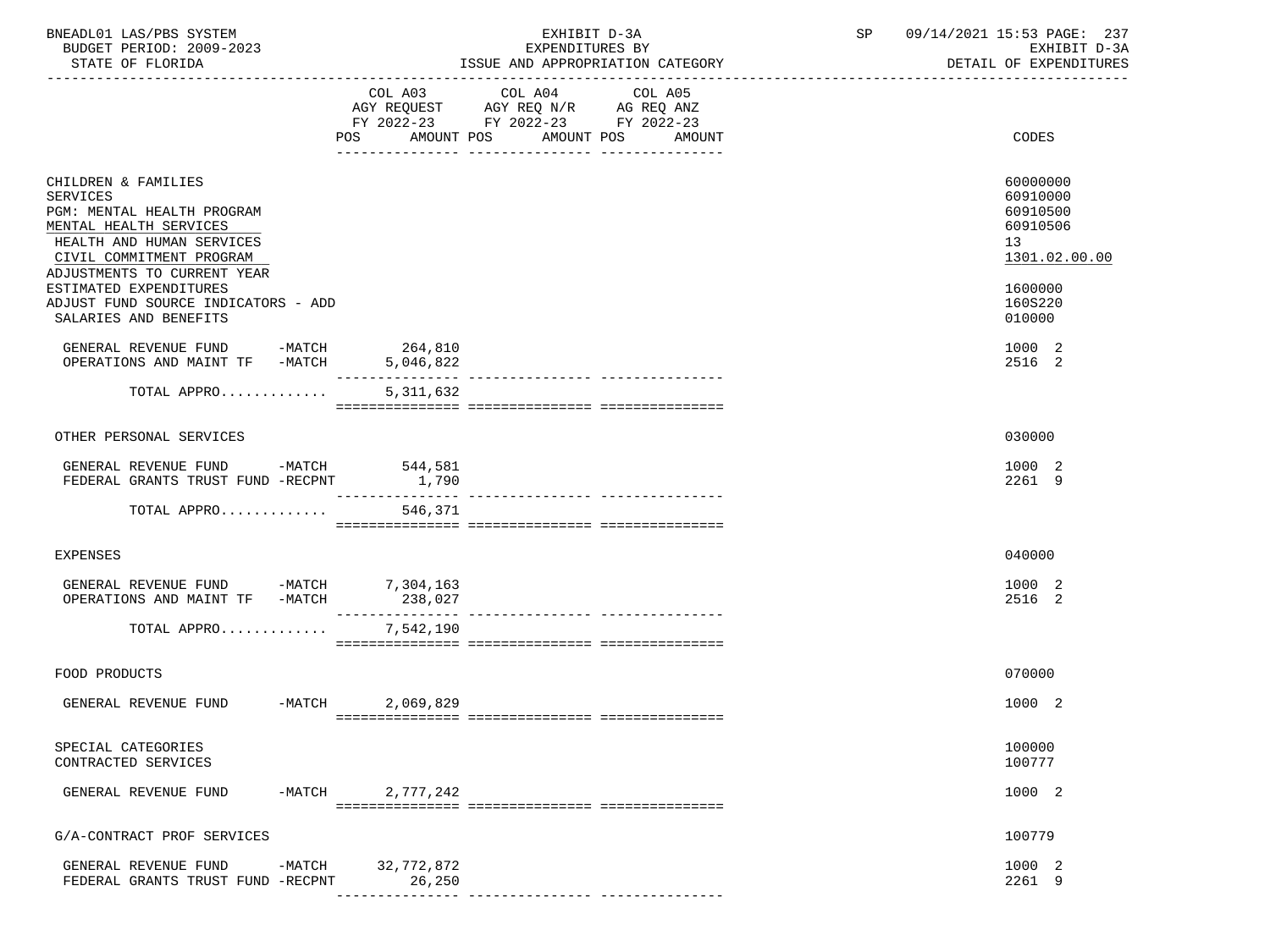| BNEADL01 LAS/PBS SYSTEM<br>BUDGET PERIOD: 2009-2023<br>STATE OF FLORIDA                                                                                                                |                      | EXHIBIT D-3A<br>EXPENDITURES BY<br>ISSUE AND APPROPRIATION CATEGORY                                                                                                                                                                                | SP | 09/14/2021 15:53 PAGE: 237<br>EXHIBIT D-3A<br>DETAIL OF EXPENDITURES |
|----------------------------------------------------------------------------------------------------------------------------------------------------------------------------------------|----------------------|----------------------------------------------------------------------------------------------------------------------------------------------------------------------------------------------------------------------------------------------------|----|----------------------------------------------------------------------|
|                                                                                                                                                                                        | AMOUNT POS<br>POS    | COL A03 COL A04<br>COL A05<br>$\begin{tabular}{lllllll} AGY & \texttt{REQUEST} & \texttt{AGY} & \texttt{REG} & \texttt{N/R} & \texttt{AG} & \texttt{REQ} & \texttt{ANZ} \end{tabular}$<br>FY 2022-23 FY 2022-23 FY 2022-23<br>AMOUNT POS<br>AMOUNT |    | CODES                                                                |
| CHILDREN & FAMILIES<br><b>SERVICES</b><br>PGM: MENTAL HEALTH PROGRAM<br>MENTAL HEALTH SERVICES<br>HEALTH AND HUMAN SERVICES<br>CIVIL COMMITMENT PROGRAM<br>ADJUSTMENTS TO CURRENT YEAR |                      |                                                                                                                                                                                                                                                    |    | 60000000<br>60910000<br>60910500<br>60910506<br>13<br>1301.02.00.00  |
| ESTIMATED EXPENDITURES<br>ADJUST FUND SOURCE INDICATORS - ADD<br>SALARIES AND BENEFITS                                                                                                 |                      |                                                                                                                                                                                                                                                    |    | 1600000<br>160S220<br>010000                                         |
| GENERAL REVENUE FUND -MATCH 264,810<br>OPERATIONS AND MAINT TF -MATCH                                                                                                                  | 5,046,822            |                                                                                                                                                                                                                                                    |    | 1000 2<br>2516 2                                                     |
| TOTAL APPRO                                                                                                                                                                            | 5,311,632            |                                                                                                                                                                                                                                                    |    |                                                                      |
| OTHER PERSONAL SERVICES                                                                                                                                                                |                      |                                                                                                                                                                                                                                                    |    | 030000                                                               |
| GENERAL REVENUE FUND -MATCH 544,581<br>FEDERAL GRANTS TRUST FUND -RECPNT                                                                                                               | 1,790                |                                                                                                                                                                                                                                                    |    | 1000 2<br>2261 9                                                     |
| TOTAL APPRO                                                                                                                                                                            | 546,371              |                                                                                                                                                                                                                                                    |    |                                                                      |
| <b>EXPENSES</b>                                                                                                                                                                        |                      |                                                                                                                                                                                                                                                    |    | 040000                                                               |
| GENERAL REVENUE FUND -MATCH 7,304,163<br>OPERATIONS AND MAINT TF -MATCH                                                                                                                | 238,027              |                                                                                                                                                                                                                                                    |    | 1000 2<br>2516 2                                                     |
| TOTAL APPRO                                                                                                                                                                            | 7,542,190            |                                                                                                                                                                                                                                                    |    |                                                                      |
| FOOD PRODUCTS                                                                                                                                                                          |                      |                                                                                                                                                                                                                                                    |    | 070000                                                               |
| $-MATCH$<br>GENERAL REVENUE FUND                                                                                                                                                       | 2,069,829            |                                                                                                                                                                                                                                                    |    | 1000 2                                                               |
| SPECIAL CATEGORIES<br>CONTRACTED SERVICES                                                                                                                                              |                      |                                                                                                                                                                                                                                                    |    | 100000<br>100777                                                     |
| GENERAL REVENUE FUND<br>-MATCH                                                                                                                                                         | 2,777,242            |                                                                                                                                                                                                                                                    |    | 1000 2                                                               |
| G/A-CONTRACT PROF SERVICES                                                                                                                                                             |                      |                                                                                                                                                                                                                                                    |    | 100779                                                               |
| GENERAL REVENUE FUND<br>-MATCH<br>FEDERAL GRANTS TRUST FUND -RECPNT                                                                                                                    | 32,772,872<br>26,250 | ---------------- -------------                                                                                                                                                                                                                     |    | 1000 2<br>2261 9                                                     |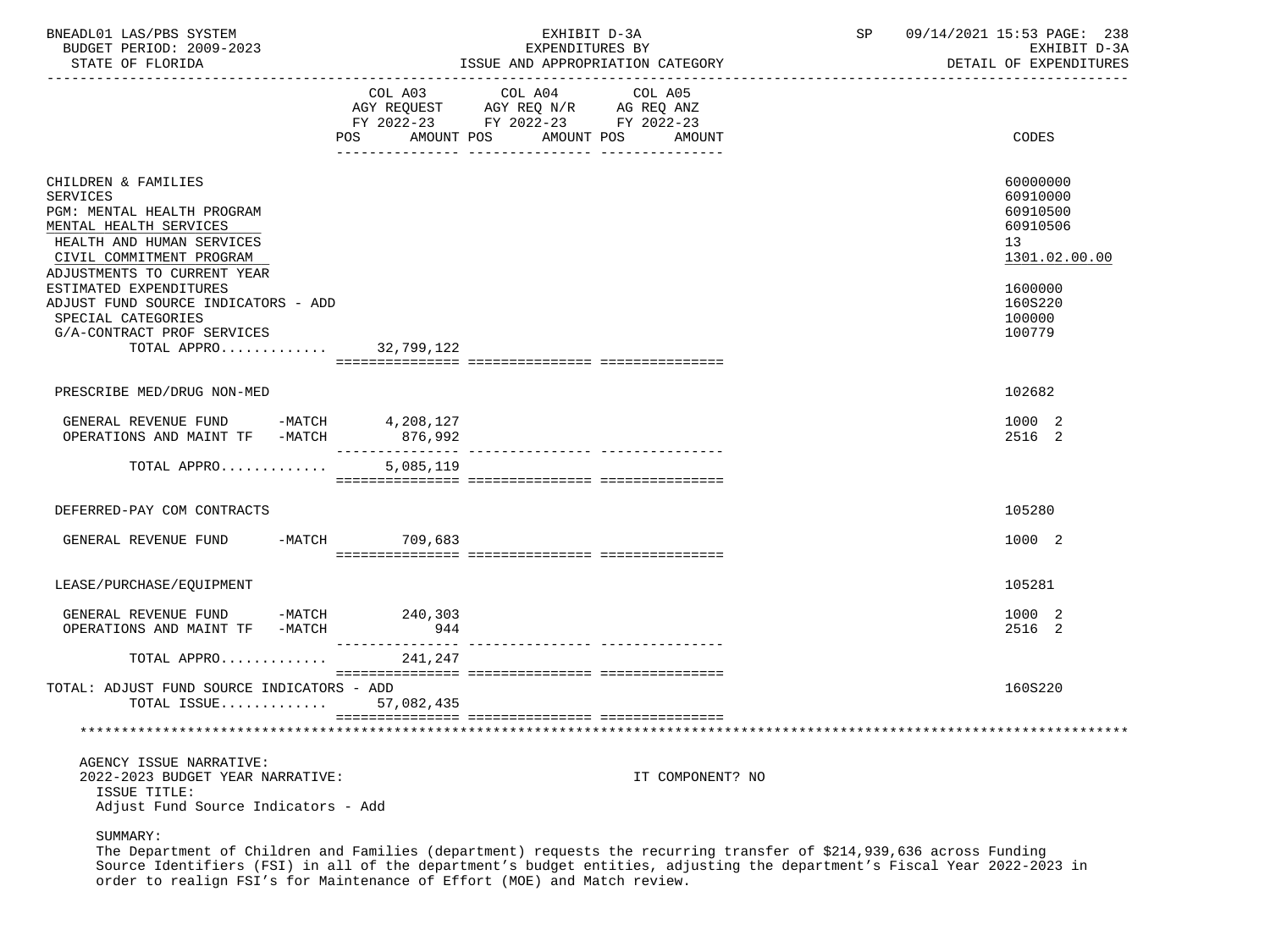| BNEADL01 LAS/PBS SYSTEM<br>BUDGET PERIOD: 2009-2023<br>STATE OF FLORIDA                                                                                                                |                              | EXHIBIT D-3A<br>EXPENDITURES BY<br>ISSUE AND APPROPRIATION CATEGORY                                               | SP | 09/14/2021 15:53 PAGE: 238<br>EXHIBIT D-3A<br>DETAIL OF EXPENDITURES             |
|----------------------------------------------------------------------------------------------------------------------------------------------------------------------------------------|------------------------------|-------------------------------------------------------------------------------------------------------------------|----|----------------------------------------------------------------------------------|
|                                                                                                                                                                                        | COL A03<br>POS<br>AMOUNT POS | COL A04<br>COL A05<br>AGY REQUEST AGY REQ N/R AG REQ ANZ<br>FY 2022-23 FY 2022-23 FY 2022-23<br>AMOUNT POS AMOUNT |    | CODES                                                                            |
| CHILDREN & FAMILIES<br><b>SERVICES</b><br>PGM: MENTAL HEALTH PROGRAM<br>MENTAL HEALTH SERVICES<br>HEALTH AND HUMAN SERVICES<br>CIVIL COMMITMENT PROGRAM<br>ADJUSTMENTS TO CURRENT YEAR |                              |                                                                                                                   |    | 60000000<br>60910000<br>60910500<br>60910506<br>13 <sup>7</sup><br>1301.02.00.00 |
| ESTIMATED EXPENDITURES<br>ADJUST FUND SOURCE INDICATORS - ADD<br>SPECIAL CATEGORIES<br>G/A-CONTRACT PROF SERVICES<br>TOTAL APPRO 32,799,122                                            |                              |                                                                                                                   |    | 1600000<br>160S220<br>100000<br>100779                                           |
|                                                                                                                                                                                        |                              |                                                                                                                   |    |                                                                                  |
| PRESCRIBE MED/DRUG NON-MED                                                                                                                                                             |                              |                                                                                                                   |    | 102682                                                                           |
| GENERAL REVENUE FUND -MATCH 4,208,127<br>OPERATIONS AND MAINT TF -MATCH 876,992                                                                                                        |                              |                                                                                                                   |    | 1000 2<br>2516 2                                                                 |
| TOTAL APPRO                                                                                                                                                                            | 5,085,119                    |                                                                                                                   |    |                                                                                  |
| DEFERRED-PAY COM CONTRACTS                                                                                                                                                             |                              |                                                                                                                   |    | 105280                                                                           |
| GENERAL REVENUE FUND                                                                                                                                                                   | -MATCH 709,683               |                                                                                                                   |    | 1000 2                                                                           |
| LEASE/PURCHASE/EQUIPMENT                                                                                                                                                               |                              |                                                                                                                   |    | 105281                                                                           |
| GENERAL REVENUE FUND -MATCH<br>OPERATIONS AND MAINT TF -MATCH                                                                                                                          | 240,303<br>944               |                                                                                                                   |    | 1000 2<br>2516 2                                                                 |
| TOTAL APPRO                                                                                                                                                                            | 241,247                      |                                                                                                                   |    |                                                                                  |
| TOTAL: ADJUST FUND SOURCE INDICATORS - ADD<br>TOTAL ISSUE $57,082,435$                                                                                                                 |                              |                                                                                                                   |    | 160S220                                                                          |
|                                                                                                                                                                                        |                              |                                                                                                                   |    |                                                                                  |
| AGENCY ISSUE NARRATIVE:<br>2022-2023 BUDGET YEAR NARRATIVE:<br>ISSUE TITLE:<br>Adjust Fund Source Indicators - Add                                                                     |                              | IT COMPONENT? NO                                                                                                  |    |                                                                                  |

 The Department of Children and Families (department) requests the recurring transfer of \$214,939,636 across Funding Source Identifiers (FSI) in all of the department's budget entities, adjusting the department's Fiscal Year 2022-2023 in order to realign FSI's for Maintenance of Effort (MOE) and Match review.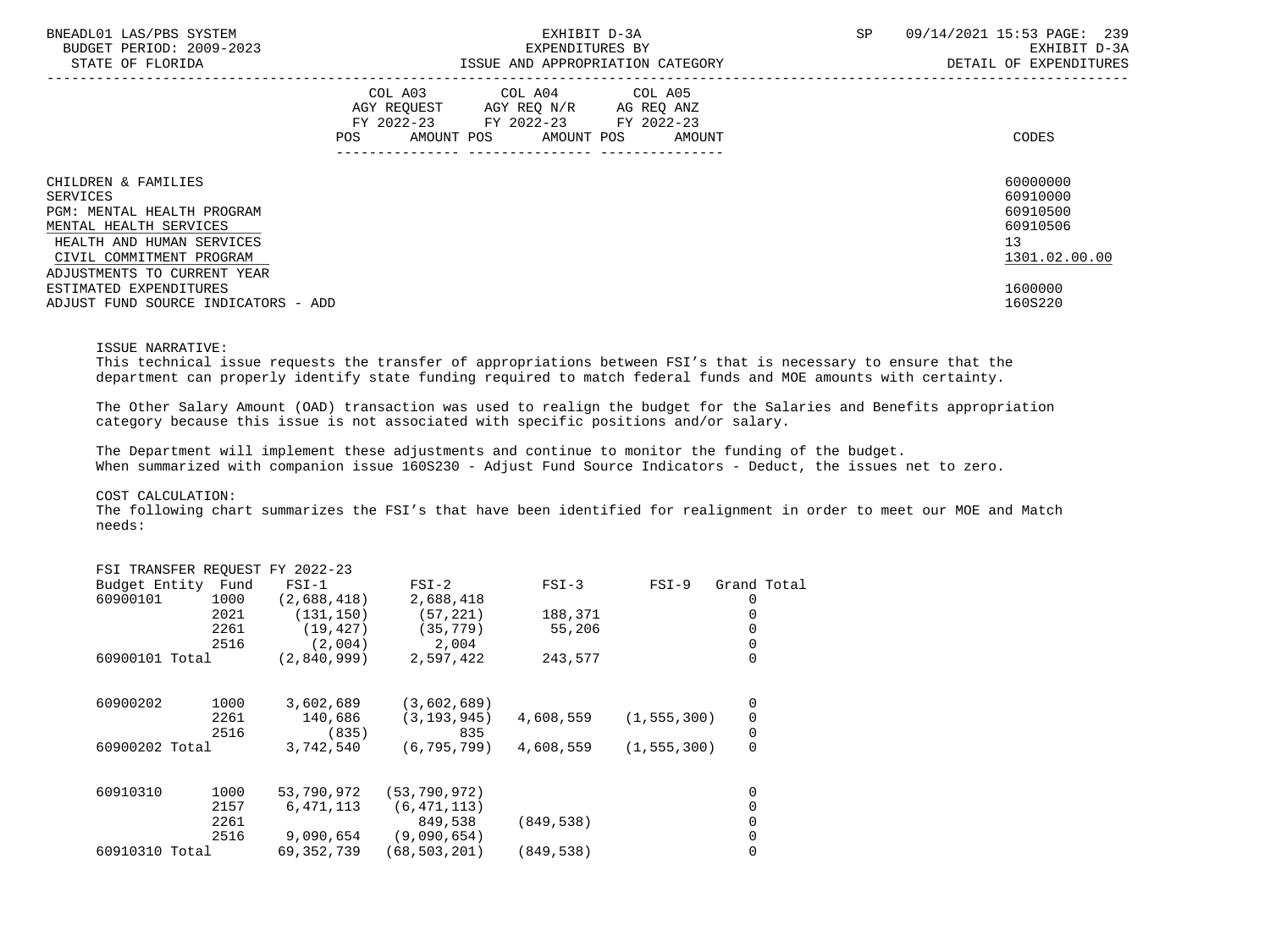| BNEADL01 LAS/PBS SYSTEM<br>BUDGET PERIOD: 2009-2023<br>STATE OF FLORIDA | EXHIBIT D-3A<br>EXPENDITURES BY<br>ISSUE AND APPROPRIATION CATEGORY |                                                                                                   |  |                              |  |  | SP | 09/14/2021 15:53 PAGE: 239<br>EXHIBIT D-3A<br>DETAIL OF EXPENDITURES |
|-------------------------------------------------------------------------|---------------------------------------------------------------------|---------------------------------------------------------------------------------------------------|--|------------------------------|--|--|----|----------------------------------------------------------------------|
|                                                                         | POS                                                                 | COL A03 COL A04 COL A05<br>AGY REOUEST AGY REO N/R AG REO ANZ<br>FY 2022-23 FY 2022-23 FY 2022-23 |  | AMOUNT POS AMOUNT POS AMOUNT |  |  |    | CODES                                                                |
| CHILDREN & FAMILIES                                                     |                                                                     |                                                                                                   |  |                              |  |  |    | 60000000                                                             |
| SERVICES<br>PGM: MENTAL HEALTH PROGRAM                                  |                                                                     |                                                                                                   |  |                              |  |  |    | 60910000<br>60910500                                                 |
| MENTAL HEALTH SERVICES                                                  |                                                                     |                                                                                                   |  |                              |  |  |    | 60910506                                                             |
| HEALTH AND HUMAN SERVICES                                               |                                                                     |                                                                                                   |  |                              |  |  |    | 13                                                                   |
| CIVIL COMMITMENT PROGRAM                                                |                                                                     |                                                                                                   |  |                              |  |  |    | 1301.02.00.00                                                        |
| ADJUSTMENTS TO CURRENT YEAR                                             |                                                                     |                                                                                                   |  |                              |  |  |    |                                                                      |
| ESTIMATED EXPENDITURES                                                  |                                                                     |                                                                                                   |  |                              |  |  |    | 1600000                                                              |
| ADJUST FUND SOURCE INDICATORS - ADD                                     |                                                                     |                                                                                                   |  |                              |  |  |    | 160S220                                                              |

#### ISSUE NARRATIVE:

 This technical issue requests the transfer of appropriations between FSI's that is necessary to ensure that the department can properly identify state funding required to match federal funds and MOE amounts with certainty.

 The Other Salary Amount (OAD) transaction was used to realign the budget for the Salaries and Benefits appropriation category because this issue is not associated with specific positions and/or salary.

 The Department will implement these adjustments and continue to monitor the funding of the budget. When summarized with companion issue 160S230 - Adjust Fund Source Indicators - Deduct, the issues net to zero.

#### COST CALCULATION:

 The following chart summarizes the FSI's that have been identified for realignment in order to meet our MOE and Match needs:

|          |      | $FSI-1$                                                                          | $FSI-2$                                      | $FSI-3$     | $FSI-9$ | Grand Total                    |
|----------|------|----------------------------------------------------------------------------------|----------------------------------------------|-------------|---------|--------------------------------|
| 60900101 | 1000 | (2,688,418)                                                                      | 2,688,418                                    |             |         |                                |
|          | 2021 | (131, 150)                                                                       | (57, 221)                                    | 188,371     |         |                                |
|          | 2261 | (19, 427)                                                                        | (35, 779)                                    | 55,206      |         |                                |
|          | 2516 | (2,004)                                                                          | 2,004                                        |             |         |                                |
|          |      | (2,840,999)                                                                      | 2,597,422                                    | 243,577     |         | 0                              |
| 60900202 |      |                                                                                  |                                              |             |         | 0                              |
|          | 2261 | 140,686                                                                          | (3, 193, 945)                                | 4,608,559   |         | 0                              |
|          | 2516 | (835)                                                                            | 835                                          |             |         | 0                              |
|          |      | 3,742,540                                                                        | (6, 795, 799)                                | 4,608,559   |         | 0                              |
| 60910310 | 1000 | 53,790,972                                                                       | (53, 790, 972)                               |             |         | 0                              |
|          | 2157 | 6,471,113                                                                        | (6, 471, 113)                                |             |         | 0                              |
|          | 2261 |                                                                                  | 849,538                                      | (849, 538)  |         | 0                              |
|          | 2516 | 9,090,654                                                                        | (9,090,654)                                  |             |         |                                |
|          |      | 69, 352, 739                                                                     | (68,503,201)                                 | (849, 538)  |         | 0                              |
|          |      | Budget Entity Fund<br>60900101 Total<br>1000<br>60900202 Total<br>60910310 Total | FSI TRANSFER REQUEST FY 2022-23<br>3,602,689 | (3,602,689) |         | (1, 555, 300)<br>(1, 555, 300) |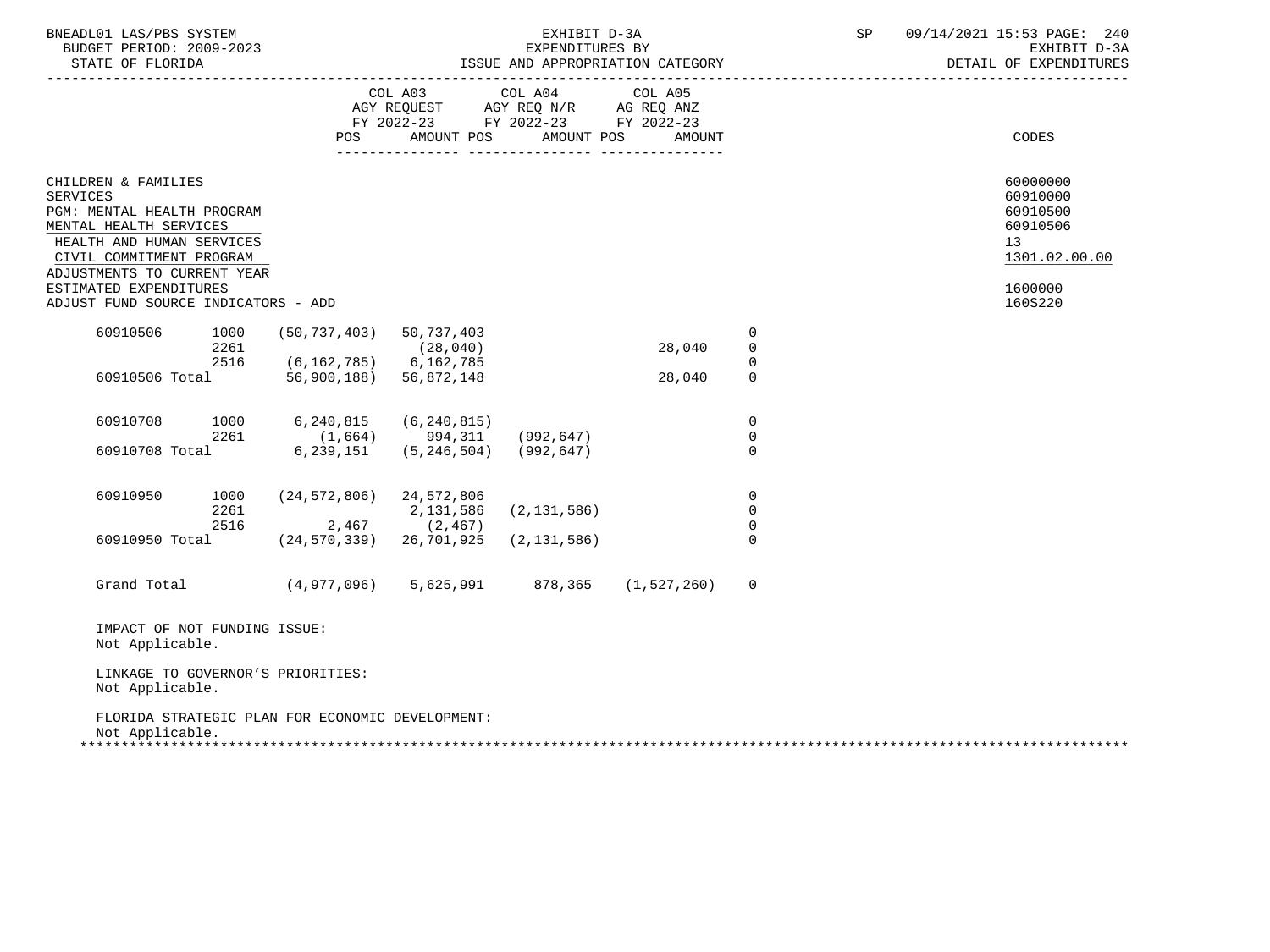| BNEADL01 LAS/PBS SYSTEM<br>BUDGET PERIOD: 2009-2023<br>STATE OF FLORIDA                                                                                 | EXHIBIT D-3A<br>EXPENDITURES BY       |                                                                                                   |                       |        |                                                    |  | 09/14/2021 15:53 PAGE: 240<br>EXHIBIT D-3A<br>DETAIL OF EXPENDITURES             |
|---------------------------------------------------------------------------------------------------------------------------------------------------------|---------------------------------------|---------------------------------------------------------------------------------------------------|-----------------------|--------|----------------------------------------------------|--|----------------------------------------------------------------------------------|
|                                                                                                                                                         | <b>POS</b>                            | COL A03 COL A04 COL A05<br>AGY REQUEST AGY REQ N/R AG REQ ANZ<br>FY 2022-23 FY 2022-23 FY 2022-23 | AMOUNT POS AMOUNT POS | AMOUNT |                                                    |  | CODES                                                                            |
|                                                                                                                                                         |                                       |                                                                                                   |                       |        |                                                    |  |                                                                                  |
| CHILDREN & FAMILIES<br><b>SERVICES</b><br>PGM: MENTAL HEALTH PROGRAM<br>MENTAL HEALTH SERVICES<br>HEALTH AND HUMAN SERVICES<br>CIVIL COMMITMENT PROGRAM |                                       |                                                                                                   |                       |        |                                                    |  | 60000000<br>60910000<br>60910500<br>60910506<br>13 <sup>°</sup><br>1301.02.00.00 |
| ADJUSTMENTS TO CURRENT YEAR                                                                                                                             |                                       |                                                                                                   |                       |        |                                                    |  |                                                                                  |
| ESTIMATED EXPENDITURES<br>ADJUST FUND SOURCE INDICATORS - ADD                                                                                           |                                       |                                                                                                   |                       |        |                                                    |  | 1600000<br>160S220                                                               |
| 60910506<br>1000<br>2261                                                                                                                                | $(50, 737, 403)$ 50, 737, 403         | (28, 040)                                                                                         |                       | 28,040 | 0<br>$\mathsf{O}$                                  |  |                                                                                  |
| 2516<br>60910506 Total 56,900,188) 56,872,148                                                                                                           | $(6, 162, 785)$ 6, 162, 785           |                                                                                                   |                       | 28,040 | $\mathbf 0$<br>$\Omega$                            |  |                                                                                  |
| 60910708<br>(992,647) 1,664 (1,664) 1,664 (1,664) 50910708 Total 6,239,151                                                                              | 1000 6,240,815 (6,240,815)            |                                                                                                   |                       |        | $\overline{0}$<br>$\overline{0}$<br>$\overline{0}$ |  |                                                                                  |
|                                                                                                                                                         |                                       |                                                                                                   |                       |        |                                                    |  |                                                                                  |
| 60910950<br>1000<br>2261                                                                                                                                | $(24, 572, 806)$ 24, 572, 806<br>2516 | 2,131,586<br>$2,467$ (2,467)                                                                      | (2, 131, 586)         |        | $\mathbf 0$<br>0<br>$\Omega$                       |  |                                                                                  |
| 60910950 Total (24,570,339) 26,701,925 (2,131,586)                                                                                                      |                                       |                                                                                                   |                       |        | $\Omega$                                           |  |                                                                                  |
| Grand Total (4,977,096) 5,625,991 878,365 (1,527,260)                                                                                                   |                                       |                                                                                                   |                       |        | $\overline{0}$                                     |  |                                                                                  |
| IMPACT OF NOT FUNDING ISSUE:<br>Not Applicable.                                                                                                         |                                       |                                                                                                   |                       |        |                                                    |  |                                                                                  |
| LINKAGE TO GOVERNOR'S PRIORITIES:<br>Not Applicable.                                                                                                    |                                       |                                                                                                   |                       |        |                                                    |  |                                                                                  |
| FLORIDA STRATEGIC PLAN FOR ECONOMIC DEVELOPMENT:<br>Not Applicable.                                                                                     |                                       |                                                                                                   |                       |        |                                                    |  |                                                                                  |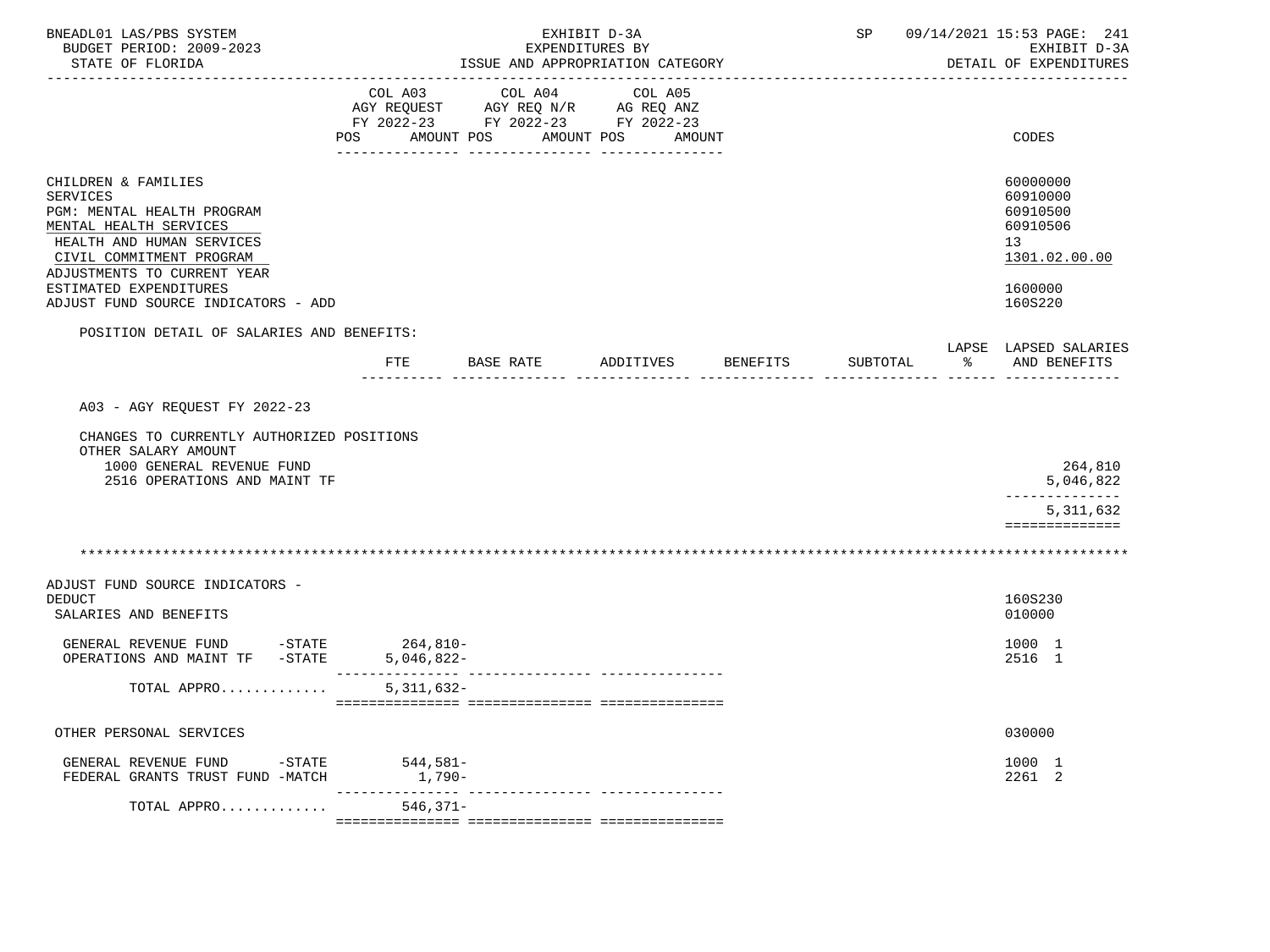| BNEADL01 LAS/PBS SYSTEM<br>BUDGET PERIOD: 2009-2023<br>STATE OF FLORIDA                                                                                                                                   | EXHIBIT D-3A<br>EXPENDITURES BY<br>ISSUE AND APPROPRIATION CATEGORY |                                                                                   |                               |          |          | 09/14/2021 15:53 PAGE: 241<br>SP<br>EXHIBIT D-3A<br>DETAIL OF EXPENDITURES     |  |  |
|-----------------------------------------------------------------------------------------------------------------------------------------------------------------------------------------------------------|---------------------------------------------------------------------|-----------------------------------------------------------------------------------|-------------------------------|----------|----------|--------------------------------------------------------------------------------|--|--|
|                                                                                                                                                                                                           | COL A03<br>POS<br>AMOUNT POS                                        | COL A04<br>AGY REQUEST AGY REQ N/R AG REQ ANZ<br>FY 2022-23 FY 2022-23 FY 2022-23 | COL A05<br>AMOUNT POS         | AMOUNT   |          | CODES                                                                          |  |  |
| CHILDREN & FAMILIES<br>SERVICES<br>PGM: MENTAL HEALTH PROGRAM<br>MENTAL HEALTH SERVICES<br>HEALTH AND HUMAN SERVICES<br>CIVIL COMMITMENT PROGRAM<br>ADJUSTMENTS TO CURRENT YEAR<br>ESTIMATED EXPENDITURES |                                                                     |                                                                                   |                               |          |          | 60000000<br>60910000<br>60910500<br>60910506<br>13<br>1301.02.00.00<br>1600000 |  |  |
| ADJUST FUND SOURCE INDICATORS - ADD                                                                                                                                                                       |                                                                     |                                                                                   |                               |          |          | 160S220                                                                        |  |  |
| POSITION DETAIL OF SALARIES AND BENEFITS:                                                                                                                                                                 |                                                                     |                                                                                   |                               |          |          |                                                                                |  |  |
|                                                                                                                                                                                                           |                                                                     | FTE BASE RATE                                                                     | ADDITIVES                     | BENEFITS | SUBTOTAL | LAPSE LAPSED SALARIES<br>ာ အေ<br>AND BENEFITS                                  |  |  |
| A03 - AGY REQUEST FY 2022-23<br>CHANGES TO CURRENTLY AUTHORIZED POSITIONS<br>OTHER SALARY AMOUNT<br>1000 GENERAL REVENUE FUND<br>2516 OPERATIONS AND MAINT TF                                             |                                                                     |                                                                                   |                               |          |          | 264,810<br>5,046,822                                                           |  |  |
|                                                                                                                                                                                                           |                                                                     |                                                                                   |                               |          |          | 5, 311, 632<br>==============                                                  |  |  |
|                                                                                                                                                                                                           |                                                                     |                                                                                   |                               |          |          |                                                                                |  |  |
| ADJUST FUND SOURCE INDICATORS -<br><b>DEDUCT</b><br>SALARIES AND BENEFITS                                                                                                                                 |                                                                     |                                                                                   |                               |          |          | 160S230<br>010000                                                              |  |  |
| GENERAL REVENUE FUND<br>OPERATIONS AND MAINT TF -STATE                                                                                                                                                    | $-STATE$ 264,810-<br>$5,046,822-$                                   |                                                                                   |                               |          |          | 1000 1<br>2516 1                                                               |  |  |
| TOTAL APPRO                                                                                                                                                                                               | 5, 311, 632-                                                        |                                                                                   |                               |          |          |                                                                                |  |  |
| OTHER PERSONAL SERVICES                                                                                                                                                                                   |                                                                     |                                                                                   |                               |          |          | 030000                                                                         |  |  |
| GENERAL REVENUE FUND<br>FEDERAL GRANTS TRUST FUND -MATCH                                                                                                                                                  | $-STATE$ 544,581-<br>1,790-                                         |                                                                                   |                               |          |          | 1000 1<br>2261 2                                                               |  |  |
| TOTAL APPRO                                                                                                                                                                                               | $546, 371 -$                                                        |                                                                                   | ------------- --------------- |          |          |                                                                                |  |  |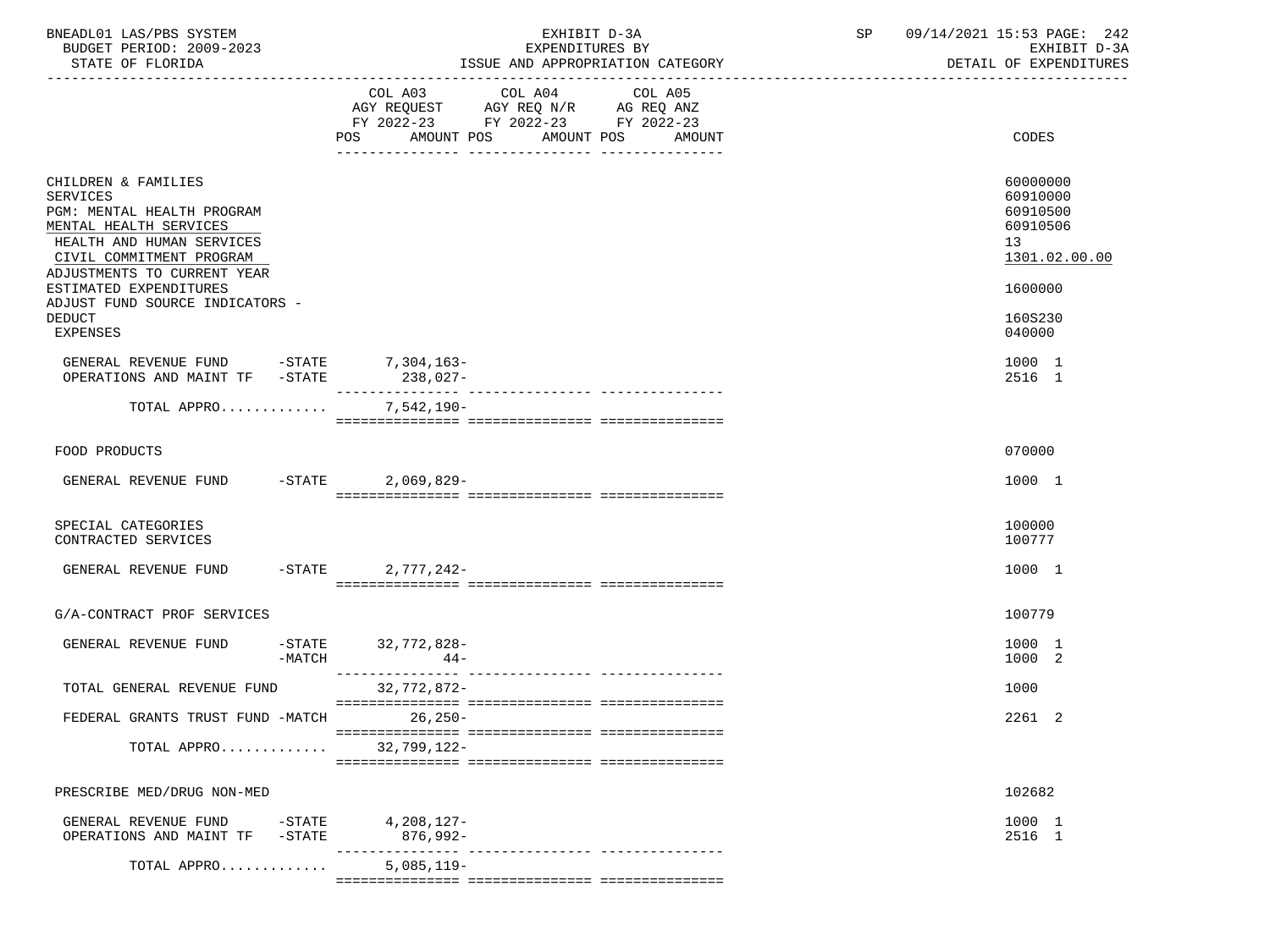| BNEADL01 LAS/PBS SYSTEM<br>BUDGET PERIOD: 2009-2023<br>STATE OF FLORIDA                                                                                                                                                                                              |                             | EXHIBIT D-3A<br>EXPENDITURES BY<br>ISSUE AND APPROPRIATION CATEGORY                                                                                                                                                                                     | <b>SP</b> | 09/14/2021 15:53 PAGE: 242<br>EXHIBIT D-3A<br>DETAIL OF EXPENDITURES                      |
|----------------------------------------------------------------------------------------------------------------------------------------------------------------------------------------------------------------------------------------------------------------------|-----------------------------|---------------------------------------------------------------------------------------------------------------------------------------------------------------------------------------------------------------------------------------------------------|-----------|-------------------------------------------------------------------------------------------|
|                                                                                                                                                                                                                                                                      | AMOUNT POS<br>POS           | COL A03 COL A04 COL A05<br>$\begin{tabular}{lllllllll} \bf AGY & \bf REQUEST & \bf AGY & \bf REQ & \tt N/R & \bf AG & \tt REQ & \tt ANZ \\ \bf FY & \tt 2022-23 & \tt FY & \tt 2022-23 & \tt FY & \tt 2022-23 \\ \end{tabular}$<br>AMOUNT POS<br>AMOUNT |           | CODES                                                                                     |
| CHILDREN & FAMILIES<br><b>SERVICES</b><br>PGM: MENTAL HEALTH PROGRAM<br>MENTAL HEALTH SERVICES<br>HEALTH AND HUMAN SERVICES<br>CIVIL COMMITMENT PROGRAM<br>ADJUSTMENTS TO CURRENT YEAR<br>ESTIMATED EXPENDITURES<br>ADJUST FUND SOURCE INDICATORS -<br><b>DEDUCT</b> |                             |                                                                                                                                                                                                                                                         |           | 60000000<br>60910000<br>60910500<br>60910506<br>13<br>1301.02.00.00<br>1600000<br>160S230 |
| <b>EXPENSES</b><br>GENERAL REVENUE FUND -STATE 7,304,163-                                                                                                                                                                                                            | $238,027-$                  |                                                                                                                                                                                                                                                         |           | 040000<br>1000 1                                                                          |
| OPERATIONS AND MAINT TF -STATE<br>TOTAL APPRO                                                                                                                                                                                                                        | 7,542,190-                  |                                                                                                                                                                                                                                                         |           | 2516 1                                                                                    |
| FOOD PRODUCTS                                                                                                                                                                                                                                                        |                             |                                                                                                                                                                                                                                                         |           | 070000                                                                                    |
| GENERAL REVENUE FUND -STATE 2,069,829-                                                                                                                                                                                                                               |                             |                                                                                                                                                                                                                                                         |           | 1000 1                                                                                    |
| SPECIAL CATEGORIES<br>CONTRACTED SERVICES                                                                                                                                                                                                                            |                             |                                                                                                                                                                                                                                                         |           | 100000<br>100777                                                                          |
| GENERAL REVENUE FUND                                                                                                                                                                                                                                                 | -STATE 2,777,242-           |                                                                                                                                                                                                                                                         |           | 1000 1                                                                                    |
| G/A-CONTRACT PROF SERVICES                                                                                                                                                                                                                                           |                             |                                                                                                                                                                                                                                                         |           | 100779                                                                                    |
| GENERAL REVENUE FUND<br>$-MATCH$                                                                                                                                                                                                                                     | -STATE 32,772,828-<br>$44-$ |                                                                                                                                                                                                                                                         |           | 1000 1<br>1000<br>-2                                                                      |
| TOTAL GENERAL REVENUE FUND                                                                                                                                                                                                                                           | $32,772,872$ -              |                                                                                                                                                                                                                                                         |           | 1000                                                                                      |
| FEDERAL GRANTS TRUST FUND -MATCH                                                                                                                                                                                                                                     | $26,250-$                   |                                                                                                                                                                                                                                                         |           | 2261 2                                                                                    |
| TOTAL APPRO                                                                                                                                                                                                                                                          | $32,799,122-$               |                                                                                                                                                                                                                                                         |           |                                                                                           |
| PRESCRIBE MED/DRUG NON-MED                                                                                                                                                                                                                                           |                             |                                                                                                                                                                                                                                                         |           | 102682                                                                                    |
| GENERAL REVENUE FUND<br>$-$ STATE<br>OPERATIONS AND MAINT TF<br>$-$ STATE                                                                                                                                                                                            | 4,208,127-<br>876,992-      | --------------- ----------------                                                                                                                                                                                                                        |           | 1000 1<br>2516 1                                                                          |
| TOTAL APPRO                                                                                                                                                                                                                                                          | $5,085,119-$                |                                                                                                                                                                                                                                                         |           |                                                                                           |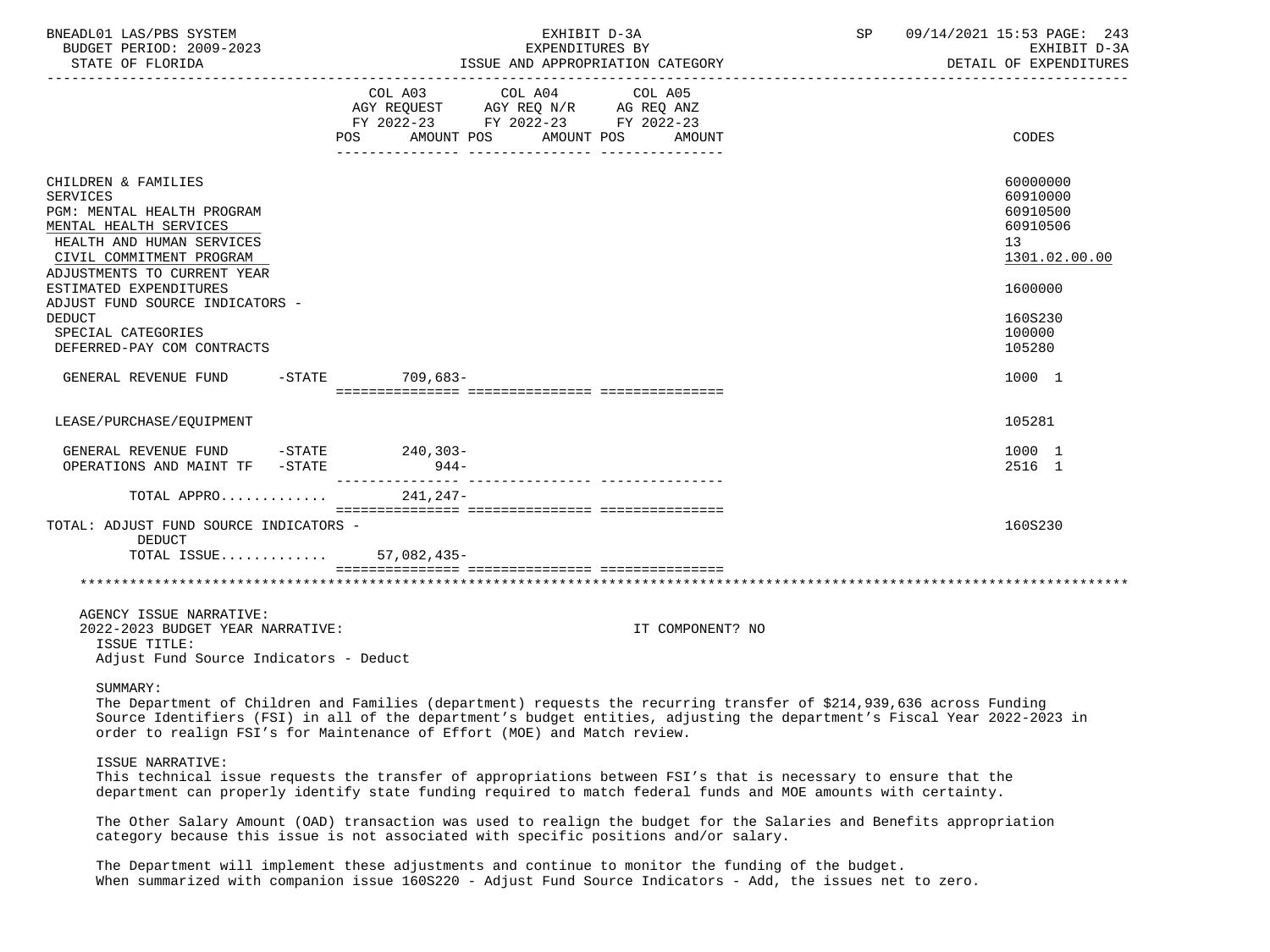| BNEADL01 LAS/PBS SYSTEM<br>BUDGET PERIOD: 2009-2023                                                                                                                                                                                                                                                               | EXHIBIT D-3A<br>EXPENDITURES BY                                                                                                                                                                                                                                                                                              | 09/14/2021 15:53 PAGE: 243<br>SP<br>EXHIBIT D-3A                                                              |
|-------------------------------------------------------------------------------------------------------------------------------------------------------------------------------------------------------------------------------------------------------------------------------------------------------------------|------------------------------------------------------------------------------------------------------------------------------------------------------------------------------------------------------------------------------------------------------------------------------------------------------------------------------|---------------------------------------------------------------------------------------------------------------|
| STATE OF FLORIDA                                                                                                                                                                                                                                                                                                  | ISSUE AND APPROPRIATION CATEGORY                                                                                                                                                                                                                                                                                             | DETAIL OF EXPENDITURES                                                                                        |
|                                                                                                                                                                                                                                                                                                                   | COL A03 COL A04<br>COL A05<br>AGY REQUEST AGY REQ N/R AG REQ ANZ<br>FY 2022-23 FY 2022-23 FY 2022-23<br>POS AMOUNT POS AMOUNT POS AMOUNT                                                                                                                                                                                     | CODES                                                                                                         |
| CHILDREN & FAMILIES<br><b>SERVICES</b><br>PGM: MENTAL HEALTH PROGRAM<br>MENTAL HEALTH SERVICES<br>HEALTH AND HUMAN SERVICES<br>CIVIL COMMITMENT PROGRAM<br>ADJUSTMENTS TO CURRENT YEAR<br>ESTIMATED EXPENDITURES<br>ADJUST FUND SOURCE INDICATORS -<br>DEDUCT<br>SPECIAL CATEGORIES<br>DEFERRED-PAY COM CONTRACTS |                                                                                                                                                                                                                                                                                                                              | 60000000<br>60910000<br>60910500<br>60910506<br>13<br>1301.02.00.00<br>1600000<br>160S230<br>100000<br>105280 |
| GENERAL REVENUE FUND                                                                                                                                                                                                                                                                                              | -STATE 709,683-                                                                                                                                                                                                                                                                                                              | 1000 1                                                                                                        |
| LEASE/PURCHASE/EOUIPMENT                                                                                                                                                                                                                                                                                          |                                                                                                                                                                                                                                                                                                                              | 105281                                                                                                        |
| GENERAL REVENUE FUND -STATE 240,303-<br>OPERATIONS AND MAINT TF -STATE                                                                                                                                                                                                                                            | $944-$                                                                                                                                                                                                                                                                                                                       | 1000 1<br>2516 1                                                                                              |
| TOTAL APPRO                                                                                                                                                                                                                                                                                                       | 241,247-                                                                                                                                                                                                                                                                                                                     |                                                                                                               |
| TOTAL: ADJUST FUND SOURCE INDICATORS -<br>DEDUCT<br>TOTAL ISSUE 57,082,435-                                                                                                                                                                                                                                       |                                                                                                                                                                                                                                                                                                                              | 160S230                                                                                                       |
|                                                                                                                                                                                                                                                                                                                   |                                                                                                                                                                                                                                                                                                                              |                                                                                                               |
| AGENCY ISSUE NARRATIVE:<br>2022-2023 BUDGET YEAR NARRATIVE:<br>ISSUE TITLE:<br>Adjust Fund Source Indicators - Deduct                                                                                                                                                                                             | IT COMPONENT? NO                                                                                                                                                                                                                                                                                                             |                                                                                                               |
| SUMMARY:                                                                                                                                                                                                                                                                                                          | The Department of Children and Families (department) requests the recurring transfer of \$214,939,636 across Funding<br>Source Identifiers (FSI) in all of the department's budget entities, adjusting the department's Fiscal Year 2022-2023 in<br>order to realign FSI's for Maintenance of Effort (MOE) and Match review. |                                                                                                               |
| ISSUE NARRATIVE:                                                                                                                                                                                                                                                                                                  | This technical issue requests the transfer of appropriations between FSI's that is necessary to ensure that the<br>department can properly identify state funding required to match federal funds and MOE amounts with certainty.                                                                                            |                                                                                                               |
|                                                                                                                                                                                                                                                                                                                   | The Other Salary Amount (OAD) transaction was used to realign the budget for the Salaries and Benefits appropriation<br>category because this issue is not associated with specific positions and/or salary.                                                                                                                 |                                                                                                               |
|                                                                                                                                                                                                                                                                                                                   | The Department will implement these adjustments and continue to monitor the funding of the budget.<br>When summarized with companion issue 160S220 - Adjust Fund Source Indicators - Add, the issues net to zero.                                                                                                            |                                                                                                               |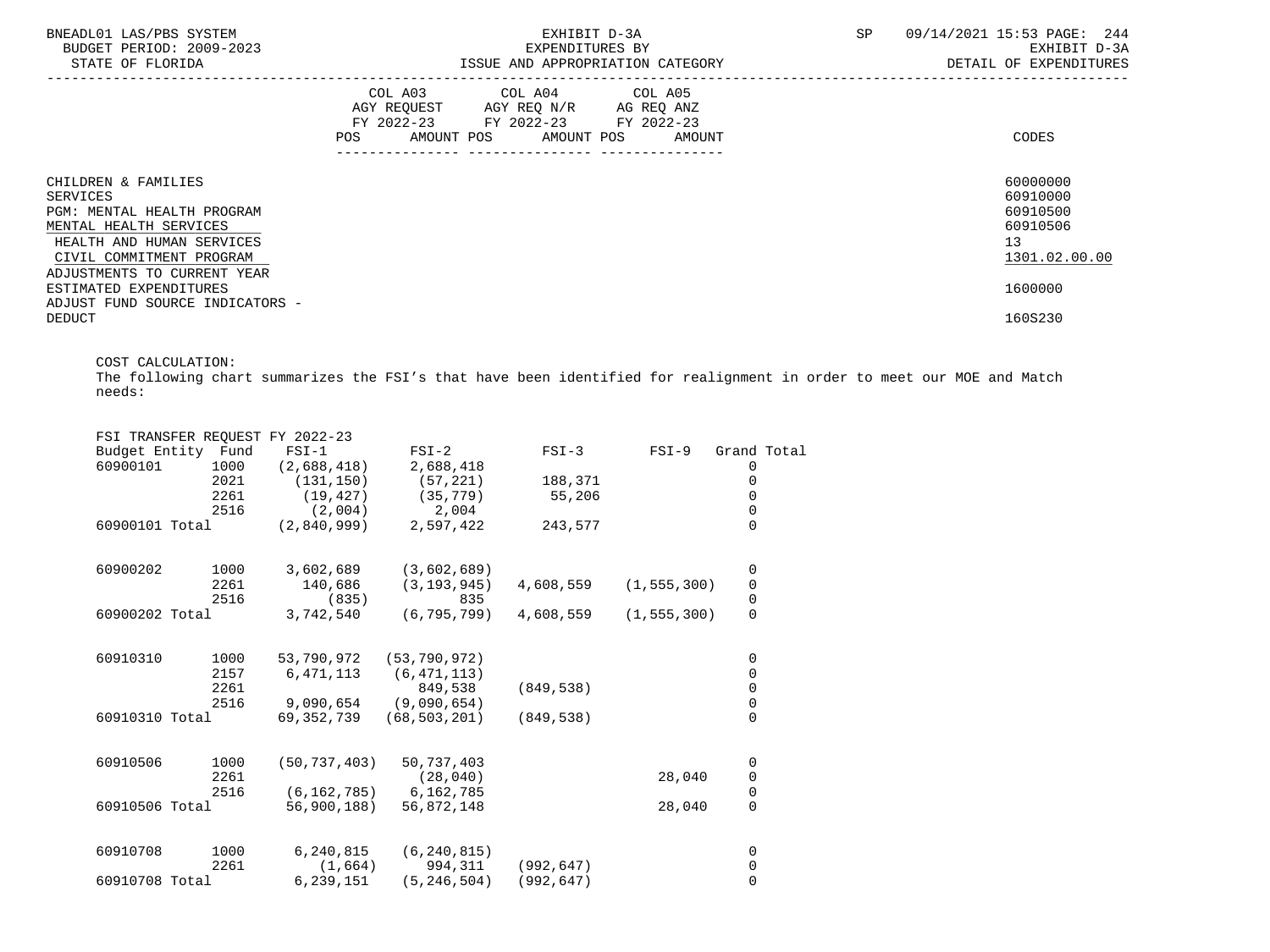| BNEADL01 LAS/PBS SYSTEM<br>BUDGET PERIOD: 2009-2023<br>STATE OF FLORIDA                                                                                                         | EXHIBIT D-3A<br>EXPENDITURES BY<br>ISSUE AND APPROPRIATION CATEGORY                                                                                          | 09/14/2021 15:53 PAGE: 244<br>SP<br>EXHIBIT D-3A<br>DETAIL OF EXPENDITURES |
|---------------------------------------------------------------------------------------------------------------------------------------------------------------------------------|--------------------------------------------------------------------------------------------------------------------------------------------------------------|----------------------------------------------------------------------------|
|                                                                                                                                                                                 | COL A03 COL A04 COL A05<br>AGY REQUEST AGY REQ N/R AG REQ ANZ<br>FY 2022-23 FY 2022-23 FY 2022-23<br>POS<br>AMOUNT POS AMOUNT POS AMOUNT<br>---------------- | CODES                                                                      |
| CHILDREN & FAMILIES<br>SERVICES<br>PGM: MENTAL HEALTH PROGRAM<br>MENTAL HEALTH SERVICES<br>HEALTH AND HUMAN SERVICES<br>CIVIL COMMITMENT PROGRAM<br>ADJUSTMENTS TO CURRENT YEAR |                                                                                                                                                              | 60000000<br>60910000<br>60910500<br>60910506<br>13<br>1301.02.00.00        |
| ESTIMATED EXPENDITURES<br>ADJUST FUND SOURCE INDICATORS -<br>DEDUCT                                                                                                             |                                                                                                                                                              | 1600000<br>160S230                                                         |

COST CALCULATION:

 The following chart summarizes the FSI's that have been identified for realignment in order to meet our MOE and Match needs:

|                    |      | FSI TRANSFER REQUEST FY 2022-23 |                |            |               |                     |  |
|--------------------|------|---------------------------------|----------------|------------|---------------|---------------------|--|
| Budget Entity Fund |      | $FSI-1$                         | $FSI-2$        | $FSI-3$    | $FSI-9$       | Grand Total         |  |
| 60900101           | 1000 | (2,688,418)                     | 2,688,418      |            |               | 0                   |  |
|                    | 2021 | (131, 150)                      | (57, 221)      | 188,371    |               | 0                   |  |
|                    | 2261 | (19, 427)                       | (35, 779)      | 55,206     |               | 0                   |  |
|                    | 2516 | (2,004)                         | 2,004          |            |               | $\mathsf 0$         |  |
| 60900101 Total     |      | (2,840,999)                     | 2,597,422      | 243,577    |               | $\Omega$            |  |
| 60900202           | 1000 | 3,602,689                       | (3,602,689)    |            |               | 0                   |  |
|                    | 2261 | 140,686                         | (3, 193, 945)  | 4,608,559  | (1, 555, 300) | $\mathbf 0$         |  |
|                    | 2516 | (835)                           | 835            |            |               | $\pmb{0}$           |  |
| 60900202 Total     |      | 3,742,540                       | (6, 795, 799)  | 4,608,559  | (1, 555, 300) | $\mathbf 0$         |  |
| 60910310           | 1000 | 53,790,972                      | (53, 790, 972) |            |               | 0                   |  |
|                    | 2157 | 6,471,113                       | (6, 471, 113)  |            |               | 0                   |  |
|                    | 2261 |                                 | 849,538        | (849, 538) |               | $\mathsf{O}\xspace$ |  |
|                    | 2516 | 9,090,654                       | (9,090,654)    |            |               | $\pmb{0}$           |  |
| 60910310 Total     |      | 69,352,739                      | (68, 503, 201) | (849, 538) |               | $\overline{0}$      |  |
| 60910506           | 1000 | (50, 737, 403)                  | 50,737,403     |            |               | 0                   |  |
|                    | 2261 |                                 | (28, 040)      |            | 28,040        | $\mathsf{O}\xspace$ |  |
|                    | 2516 | (6, 162, 785)                   | 6,162,785      |            |               | $\mathbf 0$         |  |
| 60910506 Total     |      | 56,900,188)                     | 56,872,148     |            | 28,040        | $\mathbf 0$         |  |
| 60910708           | 1000 | 6,240,815                       | (6, 240, 815)  |            |               | 0                   |  |
|                    | 2261 | (1,664)                         | 994,311        | (992, 647) |               | 0                   |  |
| 60910708 Total     |      | 6,239,151                       | (5, 246, 504)  | (992, 647) |               | $\mathbf 0$         |  |
|                    |      |                                 |                |            |               |                     |  |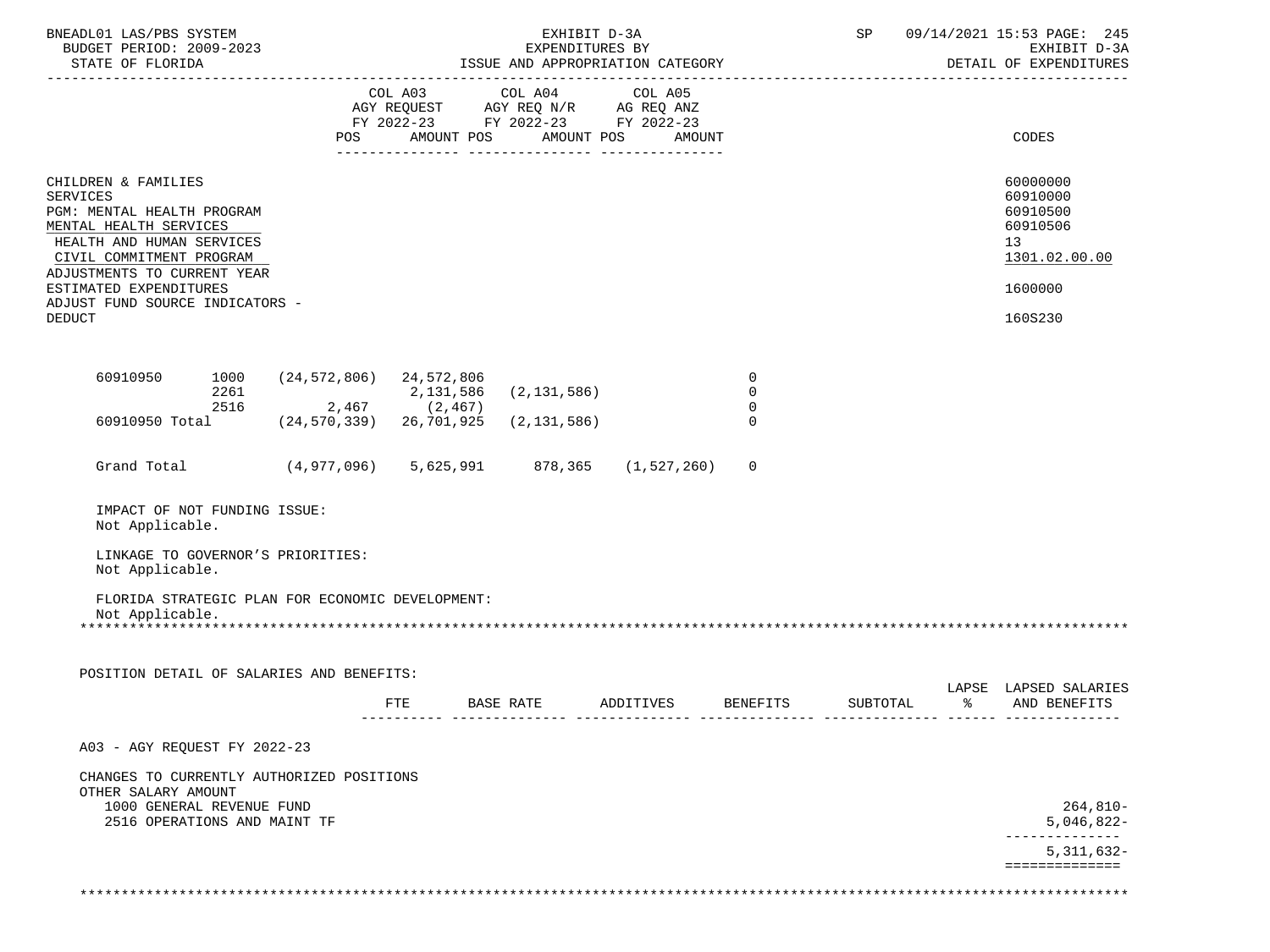| BNEADL01 LAS/PBS SYSTEM<br>BUDGET PERIOD: 2009-2023<br>STATE OF FLORIDA                                                                                                                                                                                              |              |                                                  | EXHIBIT D-3A<br>EXPENDITURES BY<br>ISSUE AND APPROPRIATION CATEGORY |               |                                                                                                                       |                                           | SP       |               | 09/14/2021 15:53 PAGE: 245<br>EXHIBIT D-3A<br>DETAIL OF EXPENDITURES                      |  |
|----------------------------------------------------------------------------------------------------------------------------------------------------------------------------------------------------------------------------------------------------------------------|--------------|--------------------------------------------------|---------------------------------------------------------------------|---------------|-----------------------------------------------------------------------------------------------------------------------|-------------------------------------------|----------|---------------|-------------------------------------------------------------------------------------------|--|
|                                                                                                                                                                                                                                                                      |              |                                                  | COL A03                                                             | COL A04       | COL A05<br>AGY REQUEST AGY REQ N/R AG REQ ANZ<br>FY 2022-23 FY 2022-23 FY 2022-23<br>POS AMOUNT POS AMOUNT POS AMOUNT |                                           |          |               | CODES                                                                                     |  |
| CHILDREN & FAMILIES<br><b>SERVICES</b><br>PGM: MENTAL HEALTH PROGRAM<br>MENTAL HEALTH SERVICES<br>HEALTH AND HUMAN SERVICES<br>CIVIL COMMITMENT PROGRAM<br>ADJUSTMENTS TO CURRENT YEAR<br>ESTIMATED EXPENDITURES<br>ADJUST FUND SOURCE INDICATORS -<br><b>DEDUCT</b> |              |                                                  |                                                                     |               |                                                                                                                       |                                           |          |               | 60000000<br>60910000<br>60910500<br>60910506<br>13<br>1301.02.00.00<br>1600000<br>160S230 |  |
| 60910950                                                                                                                                                                                                                                                             | 2261<br>2516 | 1000 (24,572,806) 24,572,806                     | 2,131,586<br>$2,467$ (2,467)                                        | (2, 131, 586) |                                                                                                                       | $\mathbf 0$<br>$\mathbf 0$<br>$\mathbf 0$ |          |               |                                                                                           |  |
| 60910950 Total                                                                                                                                                                                                                                                       |              | $(24, 570, 339)$ 26,701,925                      |                                                                     | (2, 131, 586) |                                                                                                                       | $\Omega$                                  |          |               |                                                                                           |  |
|                                                                                                                                                                                                                                                                      |              |                                                  |                                                                     |               | Grand Total (4,977,096) 5,625,991 878,365 (1,527,260)                                                                 | $\overline{0}$                            |          |               |                                                                                           |  |
| IMPACT OF NOT FUNDING ISSUE:<br>Not Applicable.                                                                                                                                                                                                                      |              |                                                  |                                                                     |               |                                                                                                                       |                                           |          |               |                                                                                           |  |
| Not Applicable.                                                                                                                                                                                                                                                      |              | LINKAGE TO GOVERNOR'S PRIORITIES:                |                                                                     |               |                                                                                                                       |                                           |          |               |                                                                                           |  |
| Not Applicable.                                                                                                                                                                                                                                                      |              | FLORIDA STRATEGIC PLAN FOR ECONOMIC DEVELOPMENT: |                                                                     |               |                                                                                                                       |                                           |          |               |                                                                                           |  |
|                                                                                                                                                                                                                                                                      |              | POSITION DETAIL OF SALARIES AND BENEFITS:        |                                                                     |               |                                                                                                                       |                                           |          |               | LAPSE LAPSED SALARIES                                                                     |  |
|                                                                                                                                                                                                                                                                      |              |                                                  | <b>FTE</b>                                                          | BASE RATE     | ADDITIVES                                                                                                             | <b>BENEFITS</b>                           | SUBTOTAL | $\frac{1}{6}$ | AND BENEFITS                                                                              |  |
| A03 - AGY REQUEST FY 2022-23                                                                                                                                                                                                                                         |              |                                                  |                                                                     |               |                                                                                                                       |                                           |          |               |                                                                                           |  |
| OTHER SALARY AMOUNT<br>1000 GENERAL REVENUE FUND<br>2516 OPERATIONS AND MAINT TF                                                                                                                                                                                     |              | CHANGES TO CURRENTLY AUTHORIZED POSITIONS        |                                                                     |               |                                                                                                                       |                                           |          |               | $264,810-$<br>$5,046,822-$                                                                |  |
|                                                                                                                                                                                                                                                                      |              |                                                  |                                                                     |               |                                                                                                                       |                                           |          |               | $5,311,632-$                                                                              |  |
|                                                                                                                                                                                                                                                                      |              |                                                  |                                                                     |               |                                                                                                                       |                                           |          |               | ==============                                                                            |  |
|                                                                                                                                                                                                                                                                      |              |                                                  |                                                                     |               |                                                                                                                       |                                           |          |               |                                                                                           |  |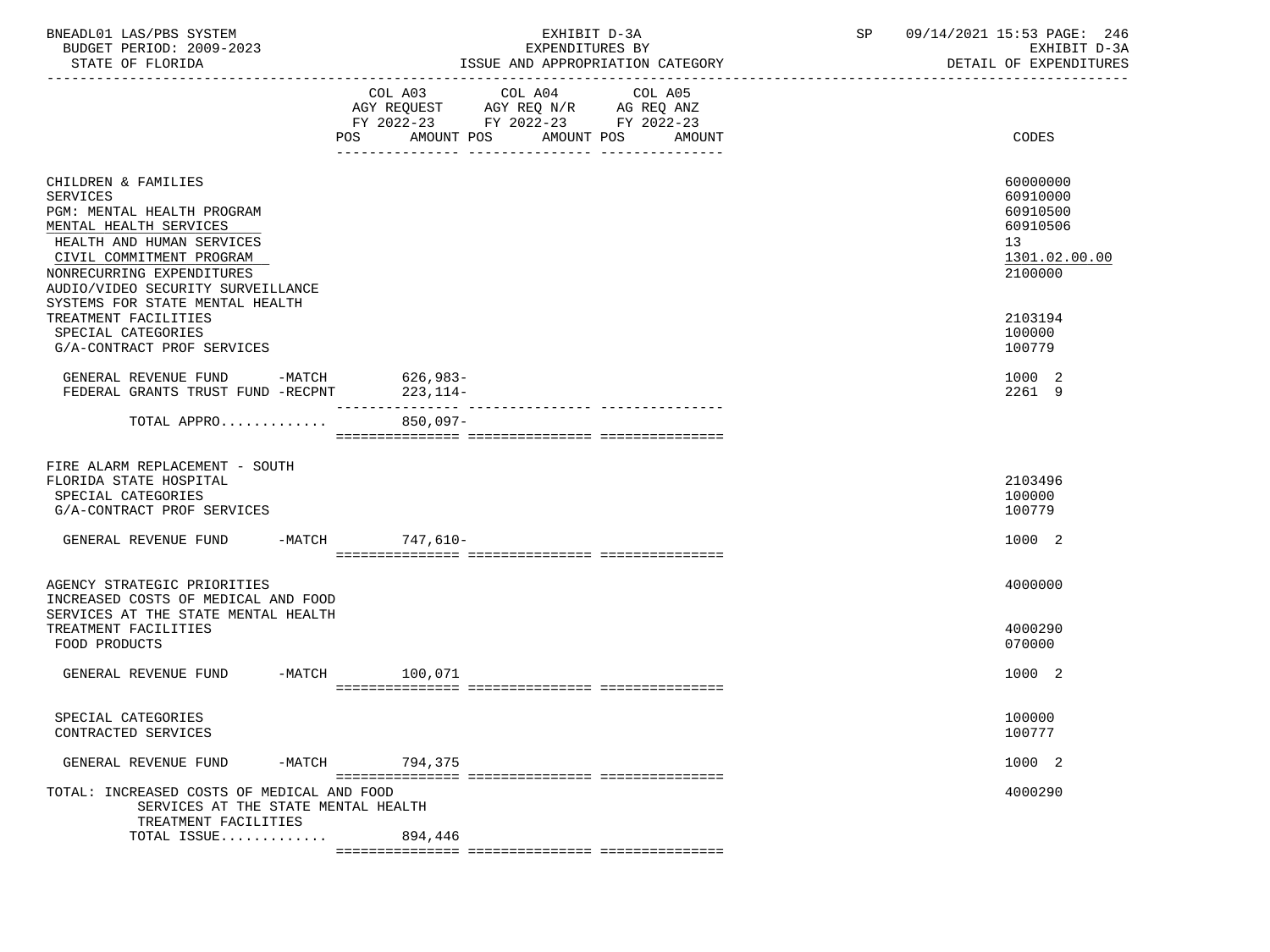| BNEADL01 LAS/PBS SYSTEM<br>BUDGET PERIOD: 2009-2023<br>STATE OF FLORIDA                                                                                                                                                   | EXHIBIT D-3A<br>EXPENDITURES BY<br>ISSUE AND APPROPRIATION CATEGORY  | SP<br>09/14/2021 15:53 PAGE: 246<br>EXHIBIT D-3A<br>DETAIL OF EXPENDITURES     |
|---------------------------------------------------------------------------------------------------------------------------------------------------------------------------------------------------------------------------|----------------------------------------------------------------------|--------------------------------------------------------------------------------|
|                                                                                                                                                                                                                           | FY 2022-23 FY 2022-23 FY 2022-23<br>POS AMOUNT POS AMOUNT POS AMOUNT | CODES                                                                          |
| CHILDREN & FAMILIES<br><b>SERVICES</b><br>PGM: MENTAL HEALTH PROGRAM<br>MENTAL HEALTH SERVICES<br>HEALTH AND HUMAN SERVICES<br>CIVIL COMMITMENT PROGRAM<br>NONRECURRING EXPENDITURES<br>AUDIO/VIDEO SECURITY SURVEILLANCE |                                                                      | 60000000<br>60910000<br>60910500<br>60910506<br>13<br>1301.02.00.00<br>2100000 |
| SYSTEMS FOR STATE MENTAL HEALTH<br>TREATMENT FACILITIES<br>SPECIAL CATEGORIES<br>G/A-CONTRACT PROF SERVICES                                                                                                               |                                                                      | 2103194<br>100000<br>100779                                                    |
| GENERAL REVENUE FUND -MATCH 626,983-<br>FEDERAL GRANTS TRUST FUND -RECPNT                                                                                                                                                 | 223,114-                                                             | 1000 2<br>2261 9                                                               |
| TOTAL APPRO                                                                                                                                                                                                               | $850,097-$                                                           |                                                                                |
| FIRE ALARM REPLACEMENT - SOUTH<br>FLORIDA STATE HOSPITAL<br>SPECIAL CATEGORIES<br>G/A-CONTRACT PROF SERVICES                                                                                                              |                                                                      | 2103496<br>100000<br>100779                                                    |
| GENERAL REVENUE FUND -MATCH 747,610-                                                                                                                                                                                      |                                                                      | 1000 2                                                                         |
| AGENCY STRATEGIC PRIORITIES<br>INCREASED COSTS OF MEDICAL AND FOOD<br>SERVICES AT THE STATE MENTAL HEALTH<br>TREATMENT FACILITIES<br>FOOD PRODUCTS                                                                        |                                                                      | 4000000<br>4000290<br>070000                                                   |
| GENERAL REVENUE FUND<br>-MATCH                                                                                                                                                                                            | 100,071                                                              | 1000 2                                                                         |
| SPECIAL CATEGORIES<br>CONTRACTED SERVICES                                                                                                                                                                                 |                                                                      | 100000<br>100777                                                               |
| GENERAL REVENUE FUND<br>$-MATCH$                                                                                                                                                                                          | 794,375                                                              | 1000 2                                                                         |
| TOTAL: INCREASED COSTS OF MEDICAL AND FOOD<br>SERVICES AT THE STATE MENTAL HEALTH<br>TREATMENT FACILITIES                                                                                                                 |                                                                      | 4000290                                                                        |
| TOTAL ISSUE                                                                                                                                                                                                               | 894,446                                                              |                                                                                |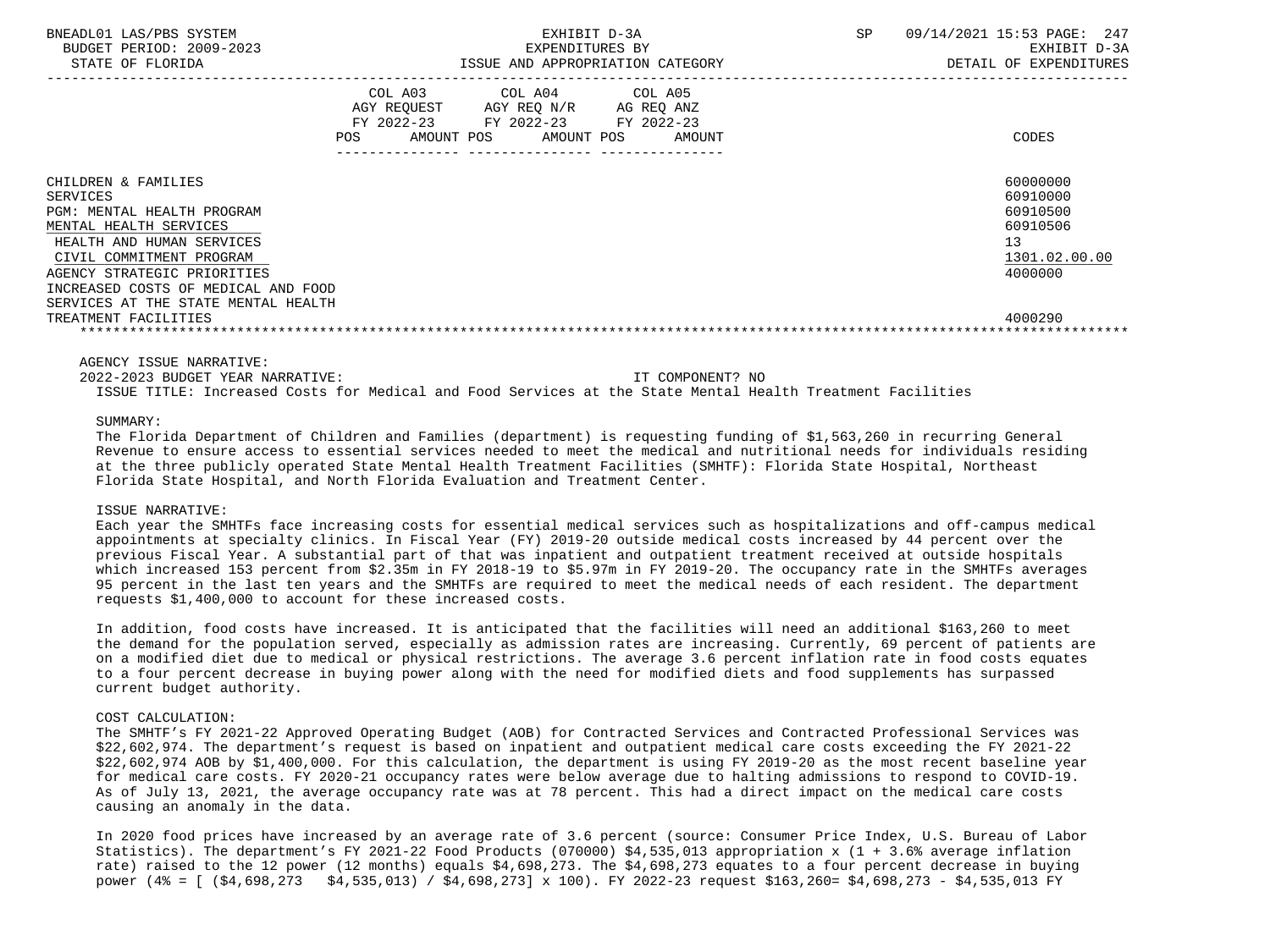| BNEADL01 LAS/PBS SYSTEM<br>BUDGET PERIOD: 2009-2023<br>STATE OF FLORIDA                                                                                                                                                                                                                      | EXHIBIT D-3A<br>EXPENDITURES BY<br>ISSUE AND APPROPRIATION CATEGORY |                                                                                                                            |        | <b>SP</b> | 09/14/2021 15:53 PAGE: 247<br>EXHIBIT D-3A<br>DETAIL OF EXPENDITURES                      |
|----------------------------------------------------------------------------------------------------------------------------------------------------------------------------------------------------------------------------------------------------------------------------------------------|---------------------------------------------------------------------|----------------------------------------------------------------------------------------------------------------------------|--------|-----------|-------------------------------------------------------------------------------------------|
|                                                                                                                                                                                                                                                                                              | <b>POS</b>                                                          | COL A03 COL A04 COL A05<br>AGY REQUEST AGY REQ N/R AG REQ ANZ<br>FY 2022-23 FY 2022-23 FY 2022-23<br>AMOUNT POS AMOUNT POS | AMOUNT |           | CODES                                                                                     |
| CHILDREN & FAMILIES<br><b>SERVICES</b><br>PGM: MENTAL HEALTH PROGRAM<br>MENTAL HEALTH SERVICES<br>HEALTH AND HUMAN SERVICES<br>CIVIL COMMITMENT PROGRAM<br>AGENCY STRATEGIC PRIORITIES<br>INCREASED COSTS OF MEDICAL AND FOOD<br>SERVICES AT THE STATE MENTAL HEALTH<br>TREATMENT FACILITIES |                                                                     |                                                                                                                            |        |           | 60000000<br>60910000<br>60910500<br>60910506<br>13<br>1301.02.00.00<br>4000000<br>4000290 |

AGENCY ISSUE NARRATIVE:

 2022-2023 BUDGET YEAR NARRATIVE: IT COMPONENT? NO ISSUE TITLE: Increased Costs for Medical and Food Services at the State Mental Health Treatment Facilities

### SUMMARY:

 The Florida Department of Children and Families (department) is requesting funding of \$1,563,260 in recurring General Revenue to ensure access to essential services needed to meet the medical and nutritional needs for individuals residing at the three publicly operated State Mental Health Treatment Facilities (SMHTF): Florida State Hospital, Northeast Florida State Hospital, and North Florida Evaluation and Treatment Center.

#### ISSUE NARRATIVE:

 Each year the SMHTFs face increasing costs for essential medical services such as hospitalizations and off-campus medical appointments at specialty clinics. In Fiscal Year (FY) 2019-20 outside medical costs increased by 44 percent over the previous Fiscal Year. A substantial part of that was inpatient and outpatient treatment received at outside hospitals which increased 153 percent from \$2.35m in FY 2018-19 to \$5.97m in FY 2019-20. The occupancy rate in the SMHTFs averages 95 percent in the last ten years and the SMHTFs are required to meet the medical needs of each resident. The department requests \$1,400,000 to account for these increased costs.

 In addition, food costs have increased. It is anticipated that the facilities will need an additional \$163,260 to meet the demand for the population served, especially as admission rates are increasing. Currently, 69 percent of patients are on a modified diet due to medical or physical restrictions. The average 3.6 percent inflation rate in food costs equates to a four percent decrease in buying power along with the need for modified diets and food supplements has surpassed current budget authority.

### COST CALCULATION:

 The SMHTF's FY 2021-22 Approved Operating Budget (AOB) for Contracted Services and Contracted Professional Services was \$22,602,974. The department's request is based on inpatient and outpatient medical care costs exceeding the FY 2021-22 \$22,602,974 AOB by \$1,400,000. For this calculation, the department is using FY 2019-20 as the most recent baseline year for medical care costs. FY 2020-21 occupancy rates were below average due to halting admissions to respond to COVID-19. As of July 13, 2021, the average occupancy rate was at 78 percent. This had a direct impact on the medical care costs causing an anomaly in the data.

 In 2020 food prices have increased by an average rate of 3.6 percent (source: Consumer Price Index, U.S. Bureau of Labor Statistics). The department's FY 2021-22 Food Products (070000) \$4,535,013 appropriation x (1 + 3.6% average inflation rate) raised to the 12 power (12 months) equals \$4,698,273. The \$4,698,273 equates to a four percent decrease in buying power (4% = [ (\$4,698,273 \$4,535,013) / \$4,698,273] x 100). FY 2022-23 request \$163,260= \$4,698,273 - \$4,535,013 FY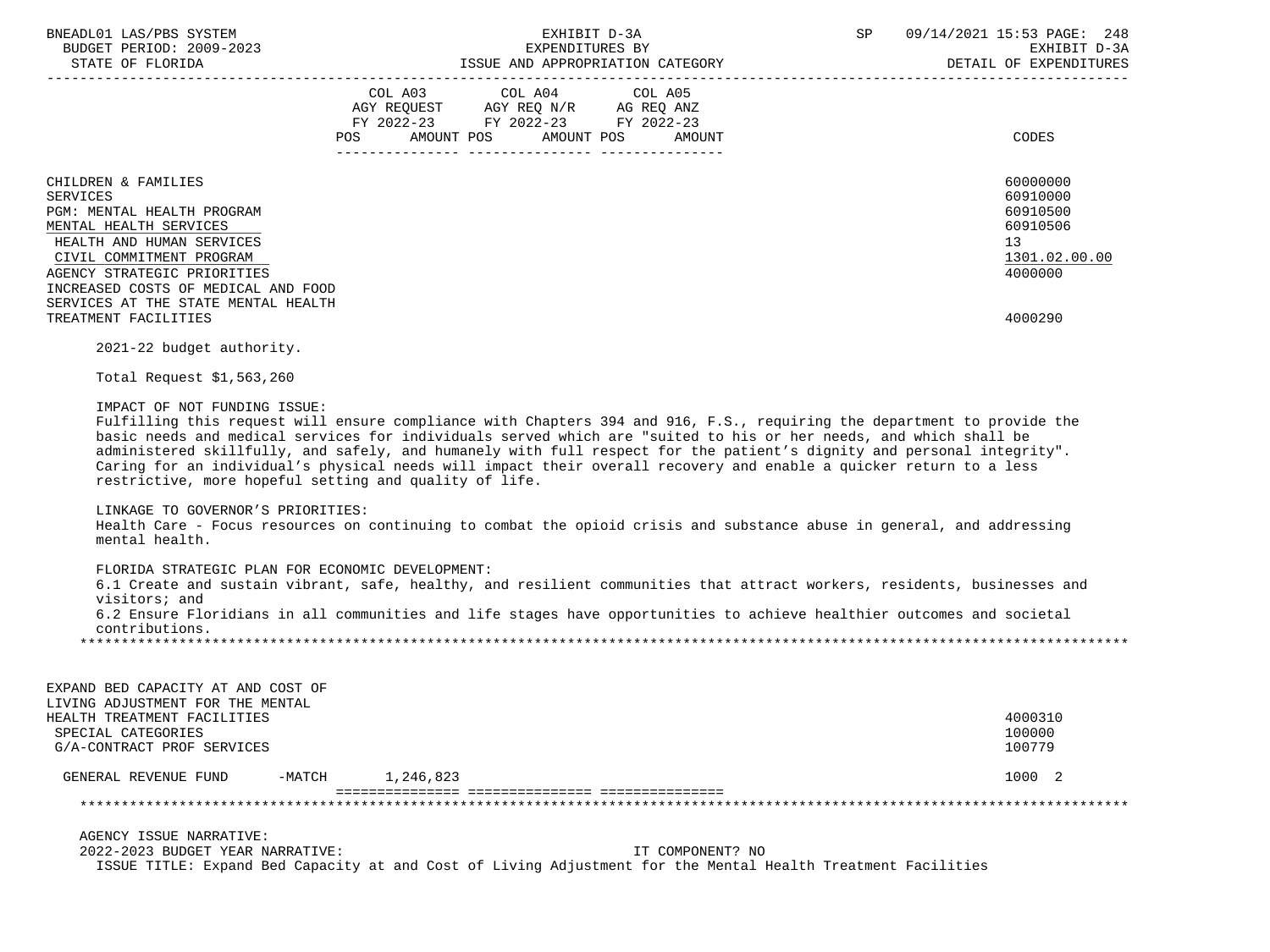| BNEADL01 LAS/PBS SYSTEM<br>BUDGET PERIOD: 2009-2023<br>STATE OF FLORIDA                                                                                                                                                                                                               | EXHIBIT D-3A<br>SP<br>EXPENDITURES BY<br>ISSUE AND APPROPRIATION CATEGORY                                                                                                                                                                                                                                                                                                                                                                                                                    | 09/14/2021 15:53 PAGE: 248<br>EXHIBIT D-3A<br>DETAIL OF EXPENDITURES                      |
|---------------------------------------------------------------------------------------------------------------------------------------------------------------------------------------------------------------------------------------------------------------------------------------|----------------------------------------------------------------------------------------------------------------------------------------------------------------------------------------------------------------------------------------------------------------------------------------------------------------------------------------------------------------------------------------------------------------------------------------------------------------------------------------------|-------------------------------------------------------------------------------------------|
|                                                                                                                                                                                                                                                                                       | COL A03 COL A04 COL A05<br>AGY REQUEST AGY REQ N/R AG REQ ANZ<br>FY 2022-23 FY 2022-23 FY 2022-23<br>POS AMOUNT POS AMOUNT POS AMOUNT                                                                                                                                                                                                                                                                                                                                                        | CODES                                                                                     |
| CHILDREN & FAMILIES<br>SERVICES<br>PGM: MENTAL HEALTH PROGRAM<br>MENTAL HEALTH SERVICES<br>HEALTH AND HUMAN SERVICES<br>CIVIL COMMITMENT PROGRAM<br>AGENCY STRATEGIC PRIORITIES<br>INCREASED COSTS OF MEDICAL AND FOOD<br>SERVICES AT THE STATE MENTAL HEALTH<br>TREATMENT FACILITIES |                                                                                                                                                                                                                                                                                                                                                                                                                                                                                              | 60000000<br>60910000<br>60910500<br>60910506<br>13<br>1301.02.00.00<br>4000000<br>4000290 |
| 2021-22 budget authority.<br>Total Request \$1,563,260                                                                                                                                                                                                                                |                                                                                                                                                                                                                                                                                                                                                                                                                                                                                              |                                                                                           |
| IMPACT OF NOT FUNDING ISSUE:<br>restrictive, more hopeful setting and quality of life.                                                                                                                                                                                                | Fulfilling this request will ensure compliance with Chapters 394 and 916, F.S., requiring the department to provide the<br>basic needs and medical services for individuals served which are "suited to his or her needs, and which shall be<br>administered skillfully, and safely, and humanely with full respect for the patient's dignity and personal integrity".<br>Caring for an individual's physical needs will impact their overall recovery and enable a quicker return to a less |                                                                                           |

#### LINKAGE TO GOVERNOR'S PRIORITIES:

 Health Care - Focus resources on continuing to combat the opioid crisis and substance abuse in general, and addressing mental health.

# FLORIDA STRATEGIC PLAN FOR ECONOMIC DEVELOPMENT:

 6.1 Create and sustain vibrant, safe, healthy, and resilient communities that attract workers, residents, businesses and visitors; and

 6.2 Ensure Floridians in all communities and life stages have opportunities to achieve healthier outcomes and societal contributions. \*\*\*\*\*\*\*\*\*\*\*\*\*\*\*\*\*\*\*\*\*\*\*\*\*\*\*\*\*\*\*\*\*\*\*\*\*\*\*\*\*\*\*\*\*\*\*\*\*\*\*\*\*\*\*\*\*\*\*\*\*\*\*\*\*\*\*\*\*\*\*\*\*\*\*\*\*\*\*\*\*\*\*\*\*\*\*\*\*\*\*\*\*\*\*\*\*\*\*\*\*\*\*\*\*\*\*\*\*\*\*\*\*\*\*\*\*\*\*\*\*\*\*\*\*\*\*

| EXPAND BED CAPACITY AT AND COST OF<br>LIVING ADJUSTMENT FOR THE MENTAL |        |           |         |
|------------------------------------------------------------------------|--------|-----------|---------|
| HEALTH TREATMENT FACILITIES                                            |        |           | 4000310 |
| SPECIAL CATEGORIES                                                     |        |           | 100000  |
| G/A-CONTRACT PROF SERVICES                                             |        |           | 100779  |
| GENERAL REVENUE FUND                                                   | -MATCH | 1,246,823 | 1000 2  |
|                                                                        |        |           |         |
|                                                                        |        |           |         |

AGENCY ISSUE NARRATIVE:

 2022-2023 BUDGET YEAR NARRATIVE: IT COMPONENT? NO ISSUE TITLE: Expand Bed Capacity at and Cost of Living Adjustment for the Mental Health Treatment Facilities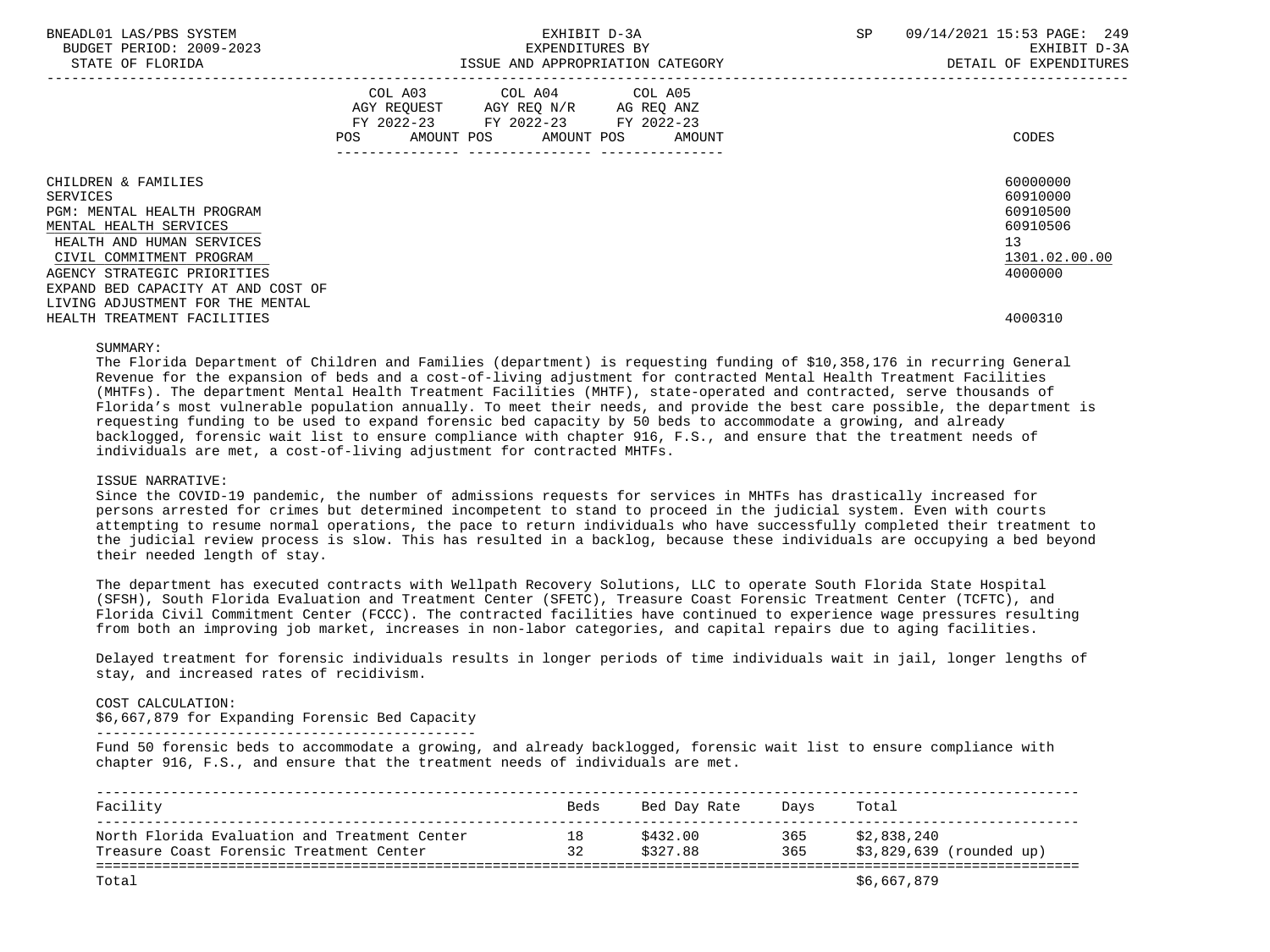| BNEADL01 LAS/PBS SYSTEM<br>BUDGET PERIOD: 2009-2023<br>STATE OF FLORIDA | EXHIBIT D-3A<br>EXPENDITURES BY<br>ISSUE AND APPROPRIATION CATEGORY |                                                                                                   |                              | SP | 09/14/2021 15:53 PAGE: 249<br>EXHIBIT D-3A<br>DETAIL OF EXPENDITURES |  |
|-------------------------------------------------------------------------|---------------------------------------------------------------------|---------------------------------------------------------------------------------------------------|------------------------------|----|----------------------------------------------------------------------|--|
|                                                                         | POS                                                                 | COL A03 COL A04 COL A05<br>AGY REQUEST AGY REQ N/R AG REQ ANZ<br>FY 2022-23 FY 2022-23 FY 2022-23 | AMOUNT POS AMOUNT POS AMOUNT |    | CODES                                                                |  |
| CHILDREN & FAMILIES                                                     |                                                                     |                                                                                                   |                              |    | 60000000                                                             |  |
| SERVICES                                                                |                                                                     |                                                                                                   |                              |    | 60910000                                                             |  |
| PGM: MENTAL HEALTH PROGRAM                                              |                                                                     |                                                                                                   |                              |    | 60910500                                                             |  |
| MENTAL HEALTH SERVICES                                                  |                                                                     |                                                                                                   |                              |    | 60910506                                                             |  |
| HEALTH AND HUMAN SERVICES                                               |                                                                     |                                                                                                   |                              |    | 13                                                                   |  |
| CIVIL COMMITMENT PROGRAM                                                |                                                                     |                                                                                                   |                              |    | 1301.02.00.00                                                        |  |
| AGENCY STRATEGIC PRIORITIES                                             |                                                                     |                                                                                                   |                              |    | 4000000                                                              |  |
| EXPAND BED CAPACITY AT AND COST OF                                      |                                                                     |                                                                                                   |                              |    |                                                                      |  |
| LIVING ADJUSTMENT FOR THE MENTAL                                        |                                                                     |                                                                                                   |                              |    |                                                                      |  |
| HEALTH TREATMENT FACILITIES                                             |                                                                     |                                                                                                   |                              |    | 4000310                                                              |  |

 The Florida Department of Children and Families (department) is requesting funding of \$10,358,176 in recurring General Revenue for the expansion of beds and a cost-of-living adjustment for contracted Mental Health Treatment Facilities (MHTFs). The department Mental Health Treatment Facilities (MHTF), state-operated and contracted, serve thousands of Florida's most vulnerable population annually. To meet their needs, and provide the best care possible, the department is requesting funding to be used to expand forensic bed capacity by 50 beds to accommodate a growing, and already backlogged, forensic wait list to ensure compliance with chapter 916, F.S., and ensure that the treatment needs of individuals are met, a cost-of-living adjustment for contracted MHTFs.

#### ISSUE NARRATIVE:

 Since the COVID-19 pandemic, the number of admissions requests for services in MHTFs has drastically increased for persons arrested for crimes but determined incompetent to stand to proceed in the judicial system. Even with courts attempting to resume normal operations, the pace to return individuals who have successfully completed their treatment to the judicial review process is slow. This has resulted in a backlog, because these individuals are occupying a bed beyond their needed length of stay.

 The department has executed contracts with Wellpath Recovery Solutions, LLC to operate South Florida State Hospital (SFSH), South Florida Evaluation and Treatment Center (SFETC), Treasure Coast Forensic Treatment Center (TCFTC), and Florida Civil Commitment Center (FCCC). The contracted facilities have continued to experience wage pressures resulting from both an improving job market, increases in non-labor categories, and capital repairs due to aging facilities.

 Delayed treatment for forensic individuals results in longer periods of time individuals wait in jail, longer lengths of stay, and increased rates of recidivism.

### COST CALCULATION:

\$6,667,879 for Expanding Forensic Bed Capacity

----------------------------------------------

 Fund 50 forensic beds to accommodate a growing, and already backlogged, forensic wait list to ensure compliance with chapter 916, F.S., and ensure that the treatment needs of individuals are met.

| Facility                                      | Beds | Bed Day Rate | Davs | Total                    |
|-----------------------------------------------|------|--------------|------|--------------------------|
| North Florida Evaluation and Treatment Center | 18   | \$432.00     | 365  | \$2,838,240              |
| Treasure Coast Forensic Treatment Center      | 32   | \$327.88     | 365  | \$3,829,639 (rounded up) |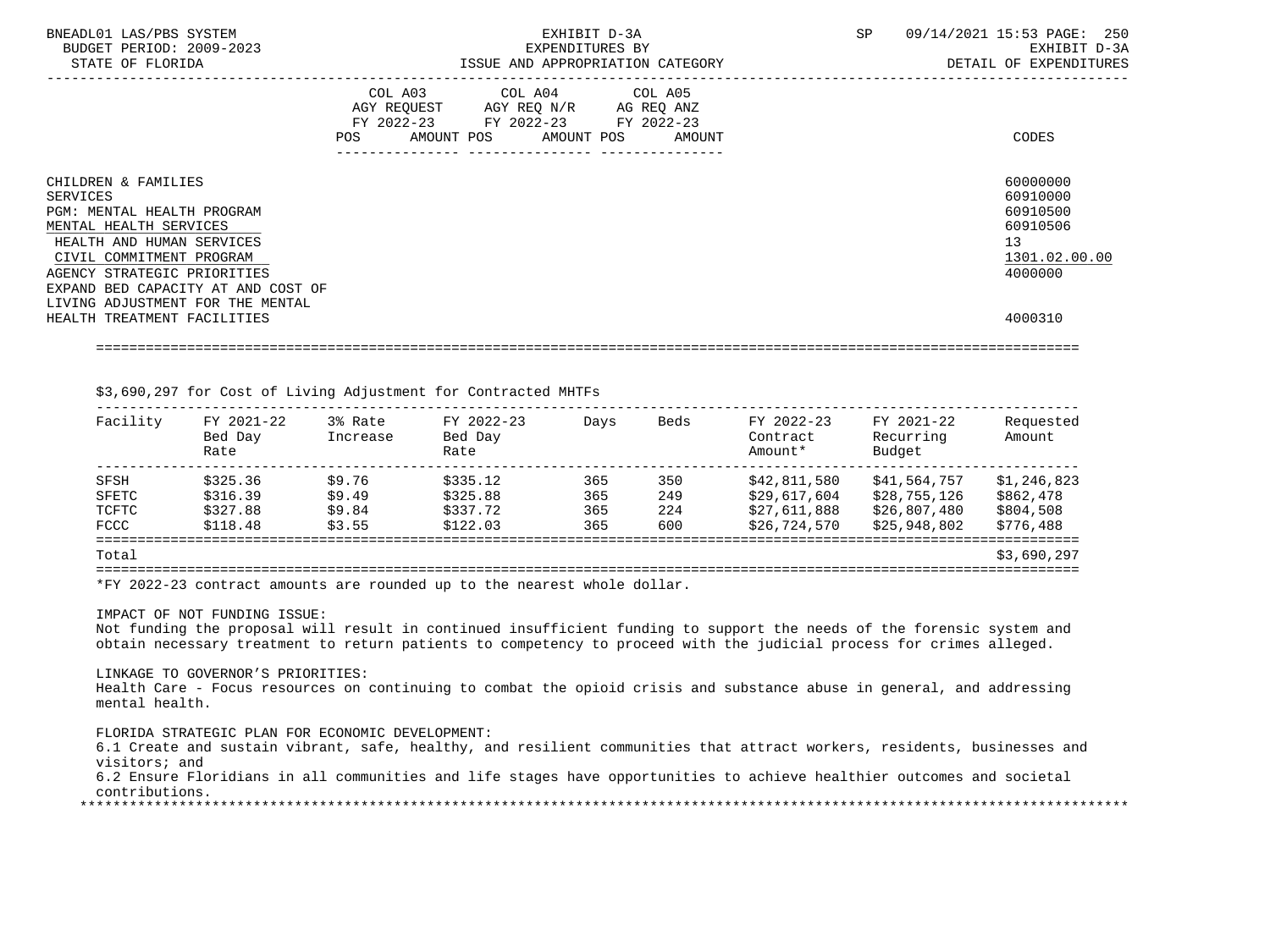|                                                                                                                                                                                                                                                                  |     |                                                                                                                                   |  | DETAIL OF EXPENDITURES                                                         |
|------------------------------------------------------------------------------------------------------------------------------------------------------------------------------------------------------------------------------------------------------------------|-----|-----------------------------------------------------------------------------------------------------------------------------------|--|--------------------------------------------------------------------------------|
|                                                                                                                                                                                                                                                                  | POS | COL A03 COL A04 COL A05<br>AGY REQUEST AGY REO N/R AG REO ANZ<br>FY 2022-23 FY 2022-23 FY 2022-23<br>AMOUNT POS AMOUNT POS AMOUNT |  | CODES                                                                          |
| CHILDREN & FAMILIES<br>SERVICES<br><b>PGM: MENTAL HEALTH PROGRAM</b><br>MENTAL HEALTH SERVICES<br>HEALTH AND HUMAN SERVICES<br>CIVIL COMMITMENT PROGRAM<br>AGENCY STRATEGIC PRIORITIES<br>EXPAND BED CAPACITY AT AND COST OF<br>LIVING ADJUSTMENT FOR THE MENTAL |     |                                                                                                                                   |  | 60000000<br>60910000<br>60910500<br>60910506<br>13<br>1301.02.00.00<br>4000000 |
| HEALTH TREATMENT FACILITIES                                                                                                                                                                                                                                      |     |                                                                                                                                   |  | 4000310                                                                        |

# \$3,690,297 for Cost of Living Adjustment for Contracted MHTFs

| Facility    | FY 2021-22<br>Bed Day<br>Rate | 3% Rate<br>Increase | FY 2022-23<br>Bed Day<br>Rate | Days | Beds | FY 2022-23<br>Contract<br>Amount* | FY 2021-22<br>Recurring<br>Budget | Requested<br>Amount |
|-------------|-------------------------------|---------------------|-------------------------------|------|------|-----------------------------------|-----------------------------------|---------------------|
| <b>SFSH</b> | \$325.36                      | \$9.76              | \$335.12                      | 365  | 350  | \$42,811,580                      | \$41,564,757                      | \$1,246,823         |
| SFETC       | \$316.39                      | \$9.49              | \$325.88                      | 365  | 249  | \$29,617,604                      | \$28,755,126                      | \$862,478           |
| TCFTC       | \$327.88                      | \$9.84              | \$337.72                      | 365  | 224  | \$27,611,888                      | \$26,807,480                      | \$804,508           |
| <b>FCCC</b> | \$118.48                      | \$3.55              | \$122.03                      | 365  | 600  | \$26,724,570                      | \$25,948,802                      | \$776,488           |
| Total       |                               |                     |                               |      |      |                                   |                                   | \$3,690,297         |

\*FY 2022-23 contract amounts are rounded up to the nearest whole dollar.

### IMPACT OF NOT FUNDING ISSUE:

 Not funding the proposal will result in continued insufficient funding to support the needs of the forensic system and obtain necessary treatment to return patients to competency to proceed with the judicial process for crimes alleged.

### LINKAGE TO GOVERNOR'S PRIORITIES:

 Health Care - Focus resources on continuing to combat the opioid crisis and substance abuse in general, and addressing mental health.

#### FLORIDA STRATEGIC PLAN FOR ECONOMIC DEVELOPMENT:

 6.1 Create and sustain vibrant, safe, healthy, and resilient communities that attract workers, residents, businesses and visitors; and

 6.2 Ensure Floridians in all communities and life stages have opportunities to achieve healthier outcomes and societal contributions. \*\*\*\*\*\*\*\*\*\*\*\*\*\*\*\*\*\*\*\*\*\*\*\*\*\*\*\*\*\*\*\*\*\*\*\*\*\*\*\*\*\*\*\*\*\*\*\*\*\*\*\*\*\*\*\*\*\*\*\*\*\*\*\*\*\*\*\*\*\*\*\*\*\*\*\*\*\*\*\*\*\*\*\*\*\*\*\*\*\*\*\*\*\*\*\*\*\*\*\*\*\*\*\*\*\*\*\*\*\*\*\*\*\*\*\*\*\*\*\*\*\*\*\*\*\*\*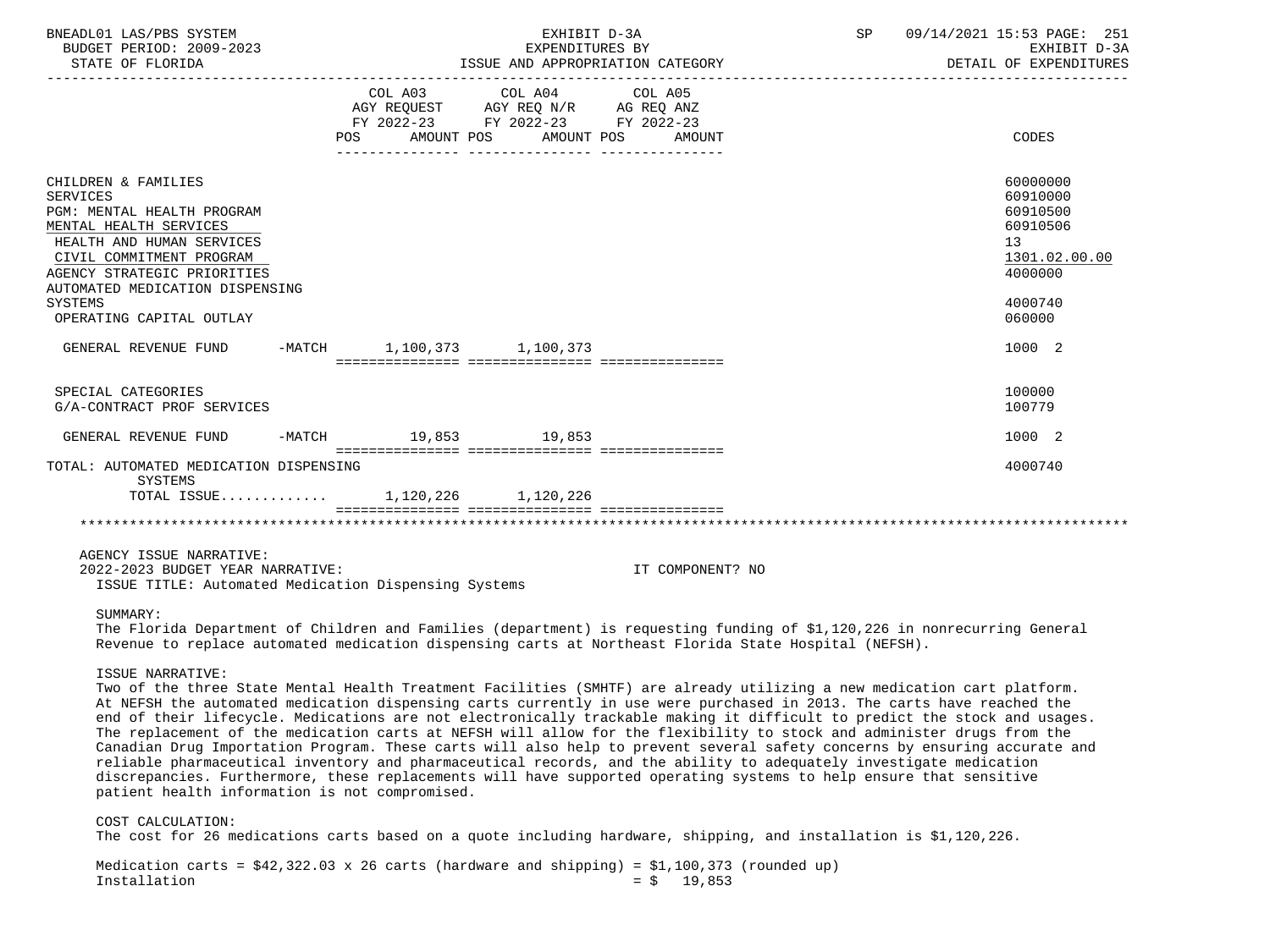| BNEADL01 LAS/PBS SYSTEM<br>BUDGET PERIOD: 2009-2023<br>STATE OF FLORIDA                                                                                                                                                                                                 | EXHIBIT D-3A<br>EXPENDITURES BY<br>ISSUE AND APPROPRIATION CATEGORY |                       |                                                                                                                 |                  | SP | 09/14/2021 15:53 PAGE: 251<br>EXHIBIT D-3A<br>DETAIL OF EXPENDITURES                                |
|-------------------------------------------------------------------------------------------------------------------------------------------------------------------------------------------------------------------------------------------------------------------------|---------------------------------------------------------------------|-----------------------|-----------------------------------------------------------------------------------------------------------------|------------------|----|-----------------------------------------------------------------------------------------------------|
|                                                                                                                                                                                                                                                                         |                                                                     | POS FOR<br>AMOUNT POS | COL A03 COL A04 COL A05<br>AGY REQUEST AGY REQ N/R AG REQ ANZ<br>FY 2022-23 FY 2022-23 FY 2022-23<br>AMOUNT POS | AMOUNT           |    | CODES                                                                                               |
| CHILDREN & FAMILIES<br><b>SERVICES</b><br>PGM: MENTAL HEALTH PROGRAM<br>MENTAL HEALTH SERVICES<br>HEALTH AND HUMAN SERVICES<br>CIVIL COMMITMENT PROGRAM<br>AGENCY STRATEGIC PRIORITIES<br>AUTOMATED MEDICATION DISPENSING<br><b>SYSTEMS</b><br>OPERATING CAPITAL OUTLAY |                                                                     |                       |                                                                                                                 |                  |    | 60000000<br>60910000<br>60910500<br>60910506<br>13<br>1301.02.00.00<br>4000000<br>4000740<br>060000 |
| GENERAL REVENUE FUND                                                                                                                                                                                                                                                    |                                                                     |                       | -MATCH 1,100,373 1,100,373                                                                                      |                  |    | 1000 2                                                                                              |
|                                                                                                                                                                                                                                                                         |                                                                     |                       |                                                                                                                 |                  |    | 100000                                                                                              |
| SPECIAL CATEGORIES<br>G/A-CONTRACT PROF SERVICES                                                                                                                                                                                                                        |                                                                     |                       |                                                                                                                 |                  |    | 100779                                                                                              |
| GENERAL REVENUE FUND                                                                                                                                                                                                                                                    |                                                                     |                       | -MATCH 19,853 19,853                                                                                            |                  |    | 1000 2                                                                                              |
| TOTAL: AUTOMATED MEDICATION DISPENSING<br>SYSTEMS                                                                                                                                                                                                                       |                                                                     |                       |                                                                                                                 |                  |    | 4000740                                                                                             |
| TOTAL ISSUE 1,120,226 1,120,226                                                                                                                                                                                                                                         |                                                                     |                       |                                                                                                                 |                  |    |                                                                                                     |
|                                                                                                                                                                                                                                                                         |                                                                     |                       |                                                                                                                 |                  |    |                                                                                                     |
| AGENCY ISSUE NARRATIVE:<br>2022-2023 BUDGET YEAR NARRATIVE:<br>ISSUE TITLE: Automated Medication Dispensing Systems                                                                                                                                                     |                                                                     |                       |                                                                                                                 | IT COMPONENT? NO |    |                                                                                                     |

 The Florida Department of Children and Families (department) is requesting funding of \$1,120,226 in nonrecurring General Revenue to replace automated medication dispensing carts at Northeast Florida State Hospital (NEFSH).

## ISSUE NARRATIVE:

 Two of the three State Mental Health Treatment Facilities (SMHTF) are already utilizing a new medication cart platform. At NEFSH the automated medication dispensing carts currently in use were purchased in 2013. The carts have reached the end of their lifecycle. Medications are not electronically trackable making it difficult to predict the stock and usages. The replacement of the medication carts at NEFSH will allow for the flexibility to stock and administer drugs from the Canadian Drug Importation Program. These carts will also help to prevent several safety concerns by ensuring accurate and reliable pharmaceutical inventory and pharmaceutical records, and the ability to adequately investigate medication discrepancies. Furthermore, these replacements will have supported operating systems to help ensure that sensitive patient health information is not compromised.

 COST CALCULATION: The cost for 26 medications carts based on a quote including hardware, shipping, and installation is \$1,120,226.

Medication carts =  $$42,322.03 \times 26$  carts (hardware and shipping) =  $$1,100,373$  (rounded up)<br>Installation =  $$5$  19.853  $= $ 19,853$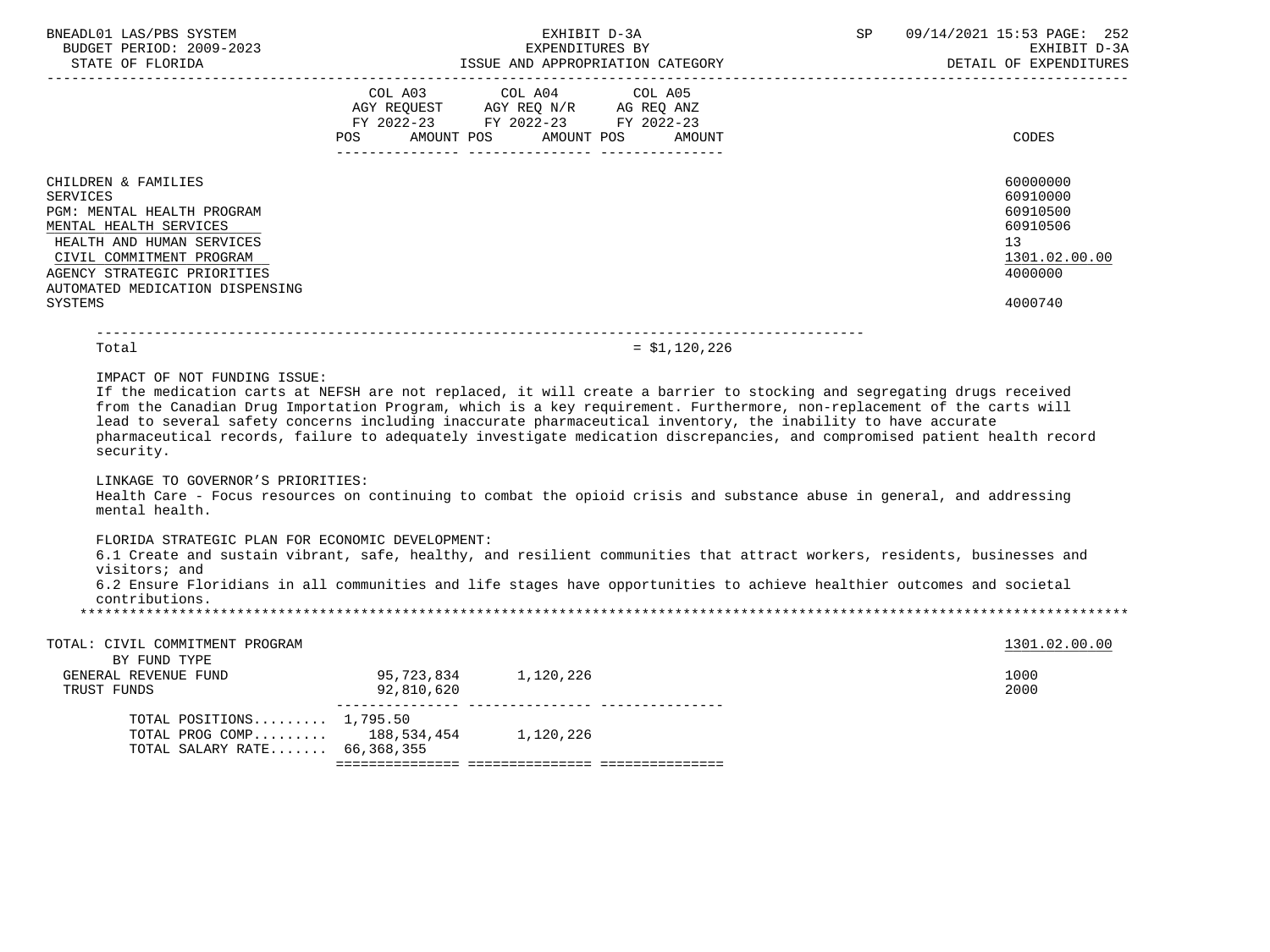| BNEADL01 LAS/PBS SYSTEM<br>BUDGET PERIOD: 2009-2023<br>STATE OF FLORIDA                                                                                                                                                                     |                                        | EXHIBIT D-3A<br>EXPENDITURES BY<br>ISSUE AND APPROPRIATION CATEGORY                                                                                                                                                                                                                                                                                                                                                                                                                                                                                                                                                      | SP | 09/14/2021 15:53 PAGE: 252<br>EXHIBIT D-3A<br>DETAIL OF EXPENDITURES                      |
|---------------------------------------------------------------------------------------------------------------------------------------------------------------------------------------------------------------------------------------------|----------------------------------------|--------------------------------------------------------------------------------------------------------------------------------------------------------------------------------------------------------------------------------------------------------------------------------------------------------------------------------------------------------------------------------------------------------------------------------------------------------------------------------------------------------------------------------------------------------------------------------------------------------------------------|----|-------------------------------------------------------------------------------------------|
|                                                                                                                                                                                                                                             |                                        | COL A03 COL A04 COL A05<br>AGY REQUEST AGY REQ N/R AG REQ ANZ<br>FY 2022-23 FY 2022-23 FY 2022-23<br>POS AMOUNT POS AMOUNT POS AMOUNT                                                                                                                                                                                                                                                                                                                                                                                                                                                                                    |    | CODES                                                                                     |
| CHILDREN & FAMILIES<br><b>SERVICES</b><br>PGM: MENTAL HEALTH PROGRAM<br>MENTAL HEALTH SERVICES<br>HEALTH AND HUMAN SERVICES<br>CIVIL COMMITMENT PROGRAM<br>AGENCY STRATEGIC PRIORITIES<br>AUTOMATED MEDICATION DISPENSING<br><b>SYSTEMS</b> |                                        |                                                                                                                                                                                                                                                                                                                                                                                                                                                                                                                                                                                                                          |    | 60000000<br>60910000<br>60910500<br>60910506<br>13<br>1301.02.00.00<br>4000000<br>4000740 |
| Total                                                                                                                                                                                                                                       |                                        | $= $1,120,226$                                                                                                                                                                                                                                                                                                                                                                                                                                                                                                                                                                                                           |    |                                                                                           |
| security.<br>LINKAGE TO GOVERNOR'S PRIORITIES:<br>mental health.                                                                                                                                                                            |                                        | If the medication carts at NEFSH are not replaced, it will create a barrier to stocking and segregating drugs received<br>from the Canadian Drug Importation Program, which is a key requirement. Furthermore, non-replacement of the carts will<br>lead to several safety concerns including inaccurate pharmaceutical inventory, the inability to have accurate<br>pharmaceutical records, failure to adequately investigate medication discrepancies, and compromised patient health record<br>Health Care - Focus resources on continuing to combat the opioid crisis and substance abuse in general, and addressing |    |                                                                                           |
| FLORIDA STRATEGIC PLAN FOR ECONOMIC DEVELOPMENT:<br>visitors; and<br>contributions.                                                                                                                                                         |                                        | 6.1 Create and sustain vibrant, safe, healthy, and resilient communities that attract workers, residents, businesses and<br>6.2 Ensure Floridians in all communities and life stages have opportunities to achieve healthier outcomes and societal                                                                                                                                                                                                                                                                                                                                                                       |    |                                                                                           |
| TOTAL: CIVIL COMMITMENT PROGRAM<br>BY FUND TYPE                                                                                                                                                                                             |                                        |                                                                                                                                                                                                                                                                                                                                                                                                                                                                                                                                                                                                                          |    | 1301.02.00.00                                                                             |
| GENERAL REVENUE FUND<br>TRUST FUNDS                                                                                                                                                                                                         | 95, 723, 834 1, 120, 226<br>92,810,620 |                                                                                                                                                                                                                                                                                                                                                                                                                                                                                                                                                                                                                          |    | 1000<br>2000                                                                              |
| TOTAL POSITIONS $1,795.50$<br>TOTAL PROG COMP 188,534,454 1,120,226<br>TOTAL SALARY RATE 66,368,355                                                                                                                                         |                                        |                                                                                                                                                                                                                                                                                                                                                                                                                                                                                                                                                                                                                          |    |                                                                                           |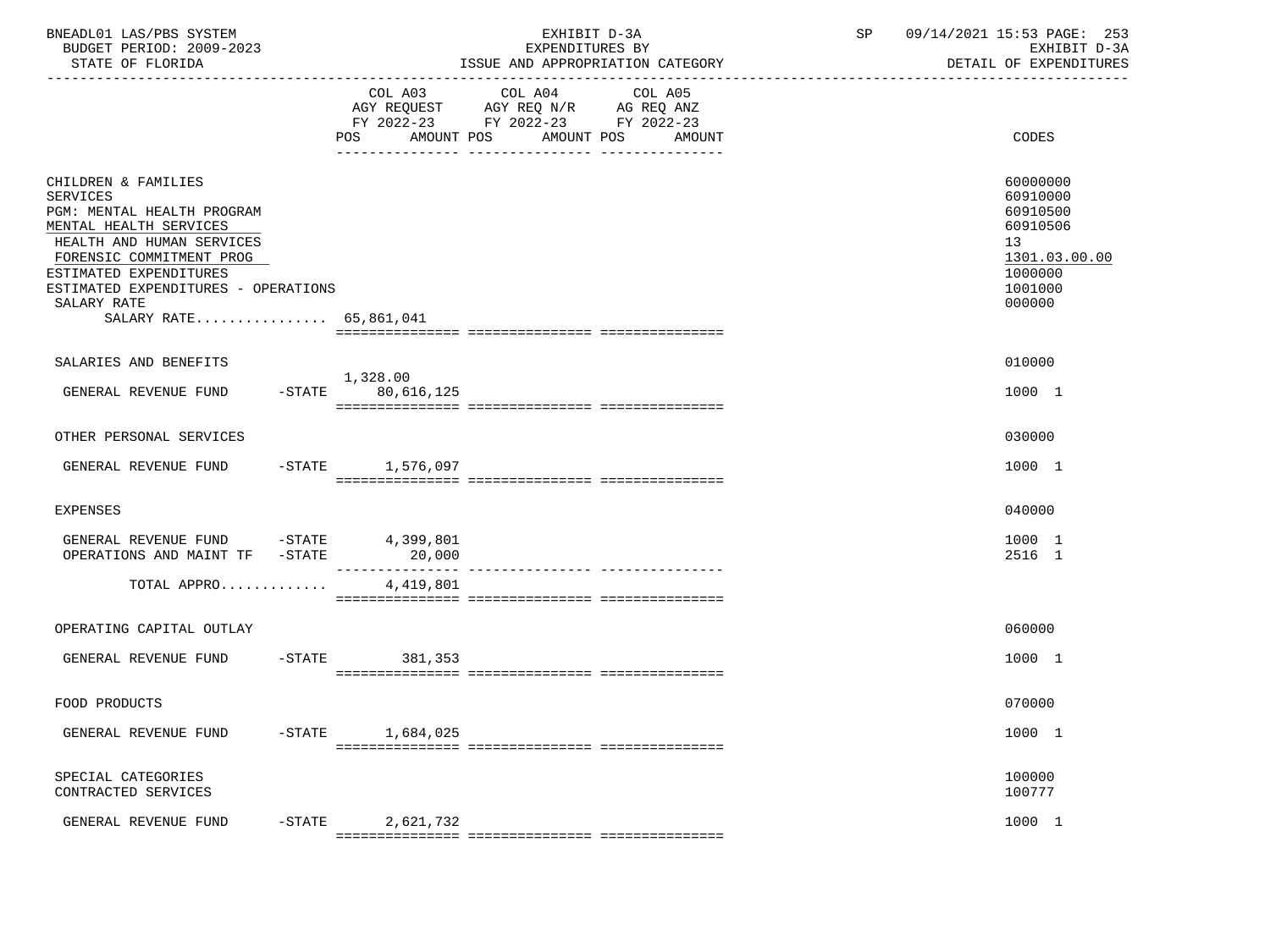| BNEADL01 LAS/PBS SYSTEM<br>BUDGET PERIOD: 2009-2023<br>STATE OF FLORIDA                                                                                                                                                                                           |           |                                 | EXHIBIT D-3A<br>EXPENDITURES BY<br>ISSUE AND APPROPRIATION CATEGORY                                                                                                                                                                                | SP<br>------------------------------ | 09/14/2021 15:53 PAGE: 253<br>EXHIBIT D-3A<br>DETAIL OF EXPENDITURES                                |
|-------------------------------------------------------------------------------------------------------------------------------------------------------------------------------------------------------------------------------------------------------------------|-----------|---------------------------------|----------------------------------------------------------------------------------------------------------------------------------------------------------------------------------------------------------------------------------------------------|--------------------------------------|-----------------------------------------------------------------------------------------------------|
|                                                                                                                                                                                                                                                                   |           | AMOUNT POS<br>POS               | COL A03 COL A04<br>COL A05<br>$\begin{tabular}{lllllll} AGY & \texttt{REQUEST} & \texttt{AGY} & \texttt{REG} & \texttt{N/R} & \texttt{AG} & \texttt{REQ} & \texttt{ANZ} \end{tabular}$<br>FY 2022-23 FY 2022-23 FY 2022-23<br>AMOUNT POS<br>AMOUNT |                                      | CODES                                                                                               |
| CHILDREN & FAMILIES<br><b>SERVICES</b><br>PGM: MENTAL HEALTH PROGRAM<br>MENTAL HEALTH SERVICES<br>HEALTH AND HUMAN SERVICES<br>FORENSIC COMMITMENT PROG<br>ESTIMATED EXPENDITURES<br>ESTIMATED EXPENDITURES - OPERATIONS<br>SALARY RATE<br>SALARY RATE 65,861,041 |           |                                 |                                                                                                                                                                                                                                                    |                                      | 60000000<br>60910000<br>60910500<br>60910506<br>13<br>1301.03.00.00<br>1000000<br>1001000<br>000000 |
| SALARIES AND BENEFITS                                                                                                                                                                                                                                             |           |                                 |                                                                                                                                                                                                                                                    |                                      | 010000                                                                                              |
| GENERAL REVENUE FUND                                                                                                                                                                                                                                              |           | 1,328.00<br>$-STATE$ 80,616,125 |                                                                                                                                                                                                                                                    |                                      | 1000 1                                                                                              |
| OTHER PERSONAL SERVICES                                                                                                                                                                                                                                           |           |                                 |                                                                                                                                                                                                                                                    |                                      | 030000                                                                                              |
| GENERAL REVENUE FUND                                                                                                                                                                                                                                              |           | $-STATE$ 1,576,097              |                                                                                                                                                                                                                                                    |                                      | 1000 1                                                                                              |
| EXPENSES                                                                                                                                                                                                                                                          |           |                                 |                                                                                                                                                                                                                                                    |                                      | 040000                                                                                              |
| GENERAL REVENUE FUND -STATE 4,399,801<br>OPERATIONS AND MAINT TF -STATE                                                                                                                                                                                           |           | 20,000                          |                                                                                                                                                                                                                                                    |                                      | 1000 1<br>2516 1                                                                                    |
| TOTAL APPRO                                                                                                                                                                                                                                                       |           | 4,419,801                       |                                                                                                                                                                                                                                                    |                                      |                                                                                                     |
| OPERATING CAPITAL OUTLAY                                                                                                                                                                                                                                          |           |                                 |                                                                                                                                                                                                                                                    |                                      | 060000                                                                                              |
| GENERAL REVENUE FUND                                                                                                                                                                                                                                              |           | $-$ STATE<br>381,353            |                                                                                                                                                                                                                                                    |                                      | 1000 1                                                                                              |
| FOOD PRODUCTS                                                                                                                                                                                                                                                     |           |                                 |                                                                                                                                                                                                                                                    |                                      | 070000                                                                                              |
| GENERAL REVENUE FUND                                                                                                                                                                                                                                              | $-$ STATE | 1,684,025                       |                                                                                                                                                                                                                                                    |                                      | 1000 1                                                                                              |
| SPECIAL CATEGORIES<br>CONTRACTED SERVICES                                                                                                                                                                                                                         |           |                                 |                                                                                                                                                                                                                                                    |                                      | 100000<br>100777                                                                                    |
| GENERAL REVENUE FUND                                                                                                                                                                                                                                              | $-$ STATE | 2,621,732                       |                                                                                                                                                                                                                                                    |                                      | 1000 1                                                                                              |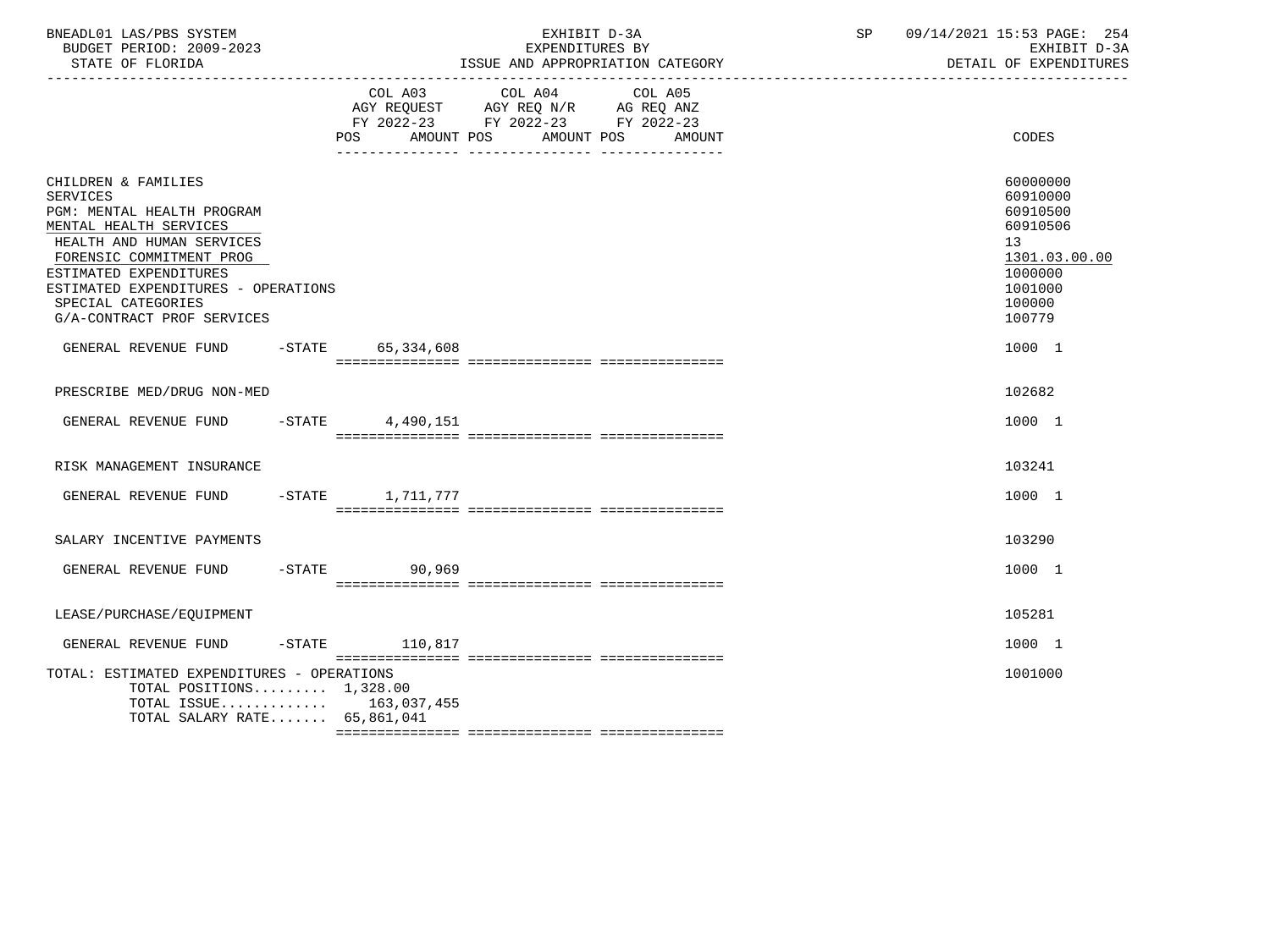| BNEADL01 LAS/PBS SYSTEM<br>BUDGET PERIOD: 2009-2023<br>STATE OF FLORIDA                                                                                                                                                                                                      |                        | EXHIBIT D-3A<br>EXPENDITURES BY<br>ISSUE AND APPROPRIATION CATEGORY                                                          | SP | 09/14/2021 15:53 PAGE: 254<br>EXHIBIT D-3A<br>DETAIL OF EXPENDITURES                                          |
|------------------------------------------------------------------------------------------------------------------------------------------------------------------------------------------------------------------------------------------------------------------------------|------------------------|------------------------------------------------------------------------------------------------------------------------------|----|---------------------------------------------------------------------------------------------------------------|
|                                                                                                                                                                                                                                                                              | AMOUNT POS<br>POS.     | COL A03 COL A04<br>COL A05<br>AGY REQUEST AGY REQ N/R AG REQ ANZ<br>FY 2022-23 FY 2022-23 FY 2022-23<br>AMOUNT POS<br>AMOUNT |    | CODES                                                                                                         |
| CHILDREN & FAMILIES<br><b>SERVICES</b><br>PGM: MENTAL HEALTH PROGRAM<br>MENTAL HEALTH SERVICES<br>HEALTH AND HUMAN SERVICES<br>FORENSIC COMMITMENT PROG<br>ESTIMATED EXPENDITURES<br>ESTIMATED EXPENDITURES - OPERATIONS<br>SPECIAL CATEGORIES<br>G/A-CONTRACT PROF SERVICES |                        |                                                                                                                              |    | 60000000<br>60910000<br>60910500<br>60910506<br>13<br>1301.03.00.00<br>1000000<br>1001000<br>100000<br>100779 |
| GENERAL REVENUE FUND                                                                                                                                                                                                                                                         | -STATE 65,334,608      |                                                                                                                              |    | 1000 1                                                                                                        |
| PRESCRIBE MED/DRUG NON-MED                                                                                                                                                                                                                                                   |                        |                                                                                                                              |    | 102682                                                                                                        |
| GENERAL REVENUE FUND                                                                                                                                                                                                                                                         | $-$ STATE<br>4,490,151 |                                                                                                                              |    | 1000 1                                                                                                        |
| RISK MANAGEMENT INSURANCE                                                                                                                                                                                                                                                    |                        |                                                                                                                              |    | 103241                                                                                                        |
| GENERAL REVENUE FUND                                                                                                                                                                                                                                                         | -STATE 1,711,777       |                                                                                                                              |    | 1000 1                                                                                                        |
| SALARY INCENTIVE PAYMENTS                                                                                                                                                                                                                                                    |                        |                                                                                                                              |    | 103290                                                                                                        |
| GENERAL REVENUE FUND                                                                                                                                                                                                                                                         | $-$ STATE<br>90,969    |                                                                                                                              |    | 1000 1                                                                                                        |
| LEASE/PURCHASE/EQUIPMENT                                                                                                                                                                                                                                                     |                        |                                                                                                                              |    | 105281                                                                                                        |
| GENERAL REVENUE FUND                                                                                                                                                                                                                                                         | $-STATE$ 110,817       |                                                                                                                              |    | 1000 1                                                                                                        |
| TOTAL: ESTIMATED EXPENDITURES - OPERATIONS<br>TOTAL POSITIONS $1,328.00$<br>TOTAL ISSUE 163,037,455<br>TOTAL SALARY RATE 65,861,041                                                                                                                                          |                        |                                                                                                                              |    | 1001000                                                                                                       |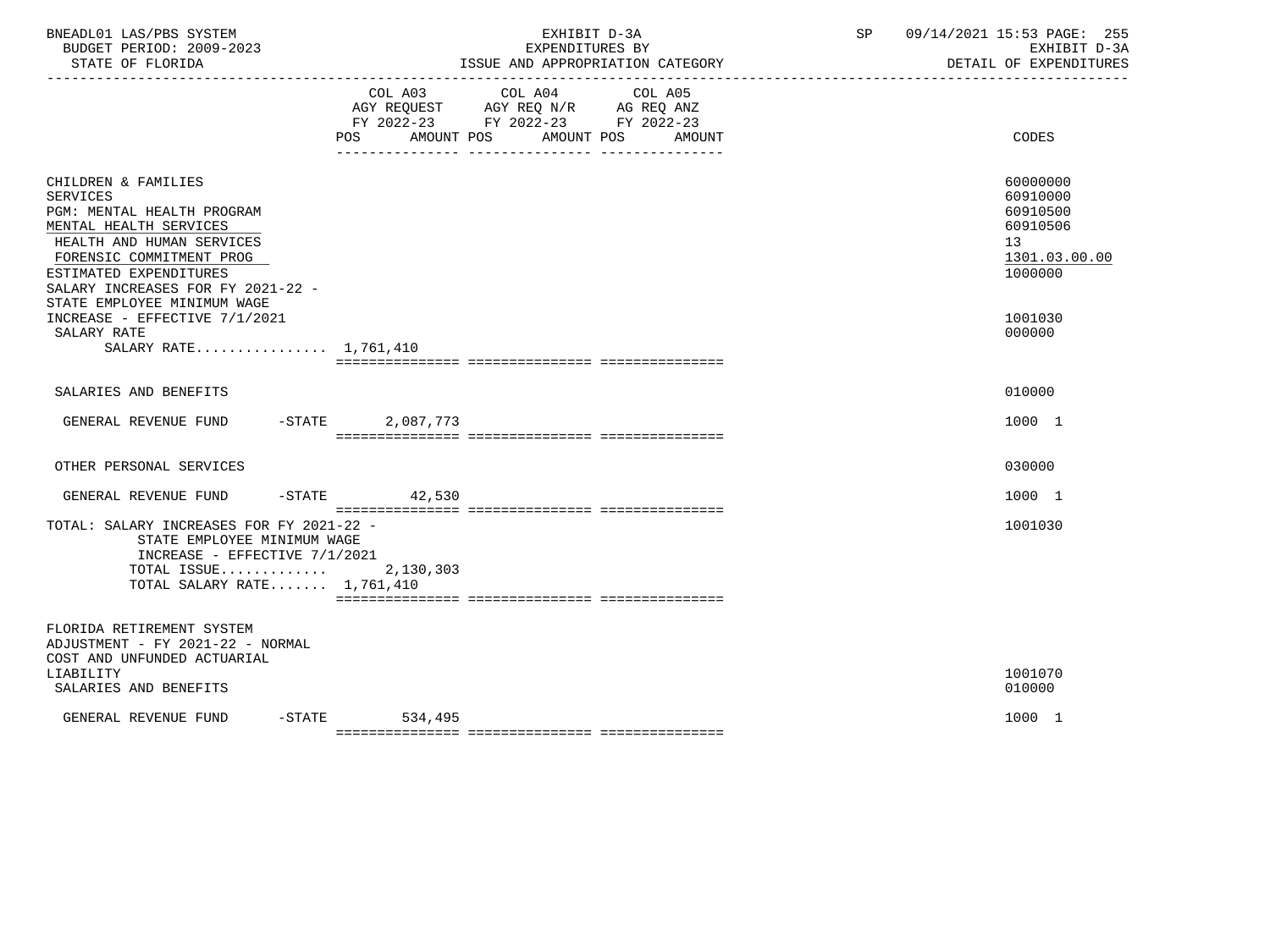| BNEADL01 LAS/PBS SYSTEM<br>BUDGET PERIOD: 2009-2023<br>STATE OF FLORIDA<br>-----------------                                                                                                                                                          |                                                                                                                | EXHIBIT D-3A<br>EXPENDITURES BY<br>ISSUE AND APPROPRIATION CATEGORY | SP and the set of the set of the set of the set of the set of the set of the set of the set of the set of the s | 09/14/2021 15:53 PAGE: 255<br>EXHIBIT D-3A<br>DETAIL OF EXPENDITURES           |
|-------------------------------------------------------------------------------------------------------------------------------------------------------------------------------------------------------------------------------------------------------|----------------------------------------------------------------------------------------------------------------|---------------------------------------------------------------------|-----------------------------------------------------------------------------------------------------------------|--------------------------------------------------------------------------------|
|                                                                                                                                                                                                                                                       | COL A03<br>COL A04<br>AGY REQUEST AGY REQ N/R AG REQ ANZ<br>FY 2022-23 FY 2022-23 FY 2022-23<br>POS AMOUNT POS | COL A05<br>AMOUNT POS AMOUNT                                        |                                                                                                                 | CODES                                                                          |
| CHILDREN & FAMILIES<br><b>SERVICES</b><br>PGM: MENTAL HEALTH PROGRAM<br>MENTAL HEALTH SERVICES<br>HEALTH AND HUMAN SERVICES<br>FORENSIC COMMITMENT PROG<br>ESTIMATED EXPENDITURES<br>SALARY INCREASES FOR FY 2021-22 -<br>STATE EMPLOYEE MINIMUM WAGE |                                                                                                                |                                                                     |                                                                                                                 | 60000000<br>60910000<br>60910500<br>60910506<br>13<br>1301.03.00.00<br>1000000 |
| INCREASE - EFFECTIVE 7/1/2021<br>SALARY RATE<br>SALARY RATE 1,761,410                                                                                                                                                                                 |                                                                                                                |                                                                     |                                                                                                                 | 1001030<br>000000                                                              |
| SALARIES AND BENEFITS                                                                                                                                                                                                                                 |                                                                                                                |                                                                     |                                                                                                                 | 010000                                                                         |
| $-STATE$<br>GENERAL REVENUE FUND                                                                                                                                                                                                                      | 2,087,773                                                                                                      |                                                                     |                                                                                                                 | 1000 1                                                                         |
| OTHER PERSONAL SERVICES                                                                                                                                                                                                                               |                                                                                                                |                                                                     |                                                                                                                 | 030000                                                                         |
| GENERAL REVENUE FUND                                                                                                                                                                                                                                  | $-$ STATE 42,530                                                                                               |                                                                     |                                                                                                                 | 1000 1                                                                         |
| TOTAL: SALARY INCREASES FOR FY 2021-22 -<br>STATE EMPLOYEE MINIMUM WAGE<br>INCREASE - EFFECTIVE 7/1/2021<br>TOTAL ISSUE<br>TOTAL SALARY RATE 1,761,410                                                                                                | 2,130,303                                                                                                      |                                                                     |                                                                                                                 | 1001030                                                                        |
|                                                                                                                                                                                                                                                       |                                                                                                                |                                                                     |                                                                                                                 |                                                                                |
| FLORIDA RETIREMENT SYSTEM<br>ADJUSTMENT - FY 2021-22 - NORMAL<br>COST AND UNFUNDED ACTUARIAL                                                                                                                                                          |                                                                                                                |                                                                     |                                                                                                                 |                                                                                |
| LIABILITY<br>SALARIES AND BENEFITS                                                                                                                                                                                                                    |                                                                                                                |                                                                     |                                                                                                                 | 1001070<br>010000                                                              |
| GENERAL REVENUE FUND                                                                                                                                                                                                                                  | $-STATE$ 534,495                                                                                               |                                                                     |                                                                                                                 | 1000 1                                                                         |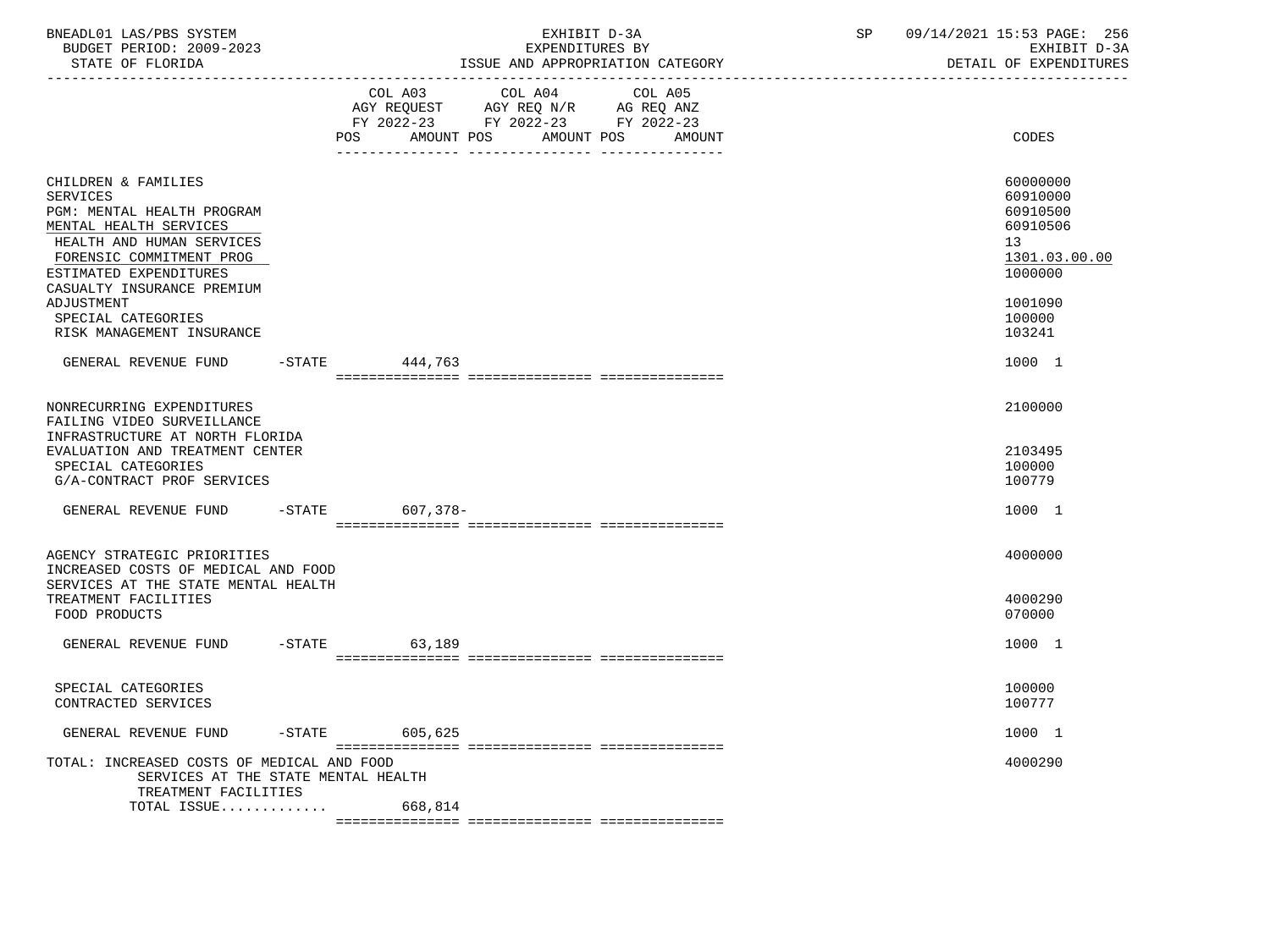| BNEADL01 LAS/PBS SYSTEM<br>BUDGET PERIOD: 2009-2023<br>STATE OF FLORIDA                                                                                                                                         |           |                   | EXHIBIT D-3A<br>EXPENDITURES BY                                                                         | ISSUE AND APPROPRIATION CATEGORY | SP | 09/14/2021 15:53 PAGE: 256<br>EXHIBIT D-3A<br>DETAIL OF EXPENDITURES           |
|-----------------------------------------------------------------------------------------------------------------------------------------------------------------------------------------------------------------|-----------|-------------------|---------------------------------------------------------------------------------------------------------|----------------------------------|----|--------------------------------------------------------------------------------|
|                                                                                                                                                                                                                 |           | AMOUNT POS<br>POS | COL A03 COL A04<br>AGY REQUEST AGY REQ N/R AG REQ ANZ<br>FY 2022-23 FY 2022-23 FY 2022-23<br>AMOUNT POS | COL A05<br>AMOUNT                |    | CODES                                                                          |
| CHILDREN & FAMILIES<br><b>SERVICES</b><br>PGM: MENTAL HEALTH PROGRAM<br>MENTAL HEALTH SERVICES<br>HEALTH AND HUMAN SERVICES<br>FORENSIC COMMITMENT PROG<br>ESTIMATED EXPENDITURES<br>CASUALTY INSURANCE PREMIUM |           |                   |                                                                                                         |                                  |    | 60000000<br>60910000<br>60910500<br>60910506<br>13<br>1301.03.00.00<br>1000000 |
| ADJUSTMENT<br>SPECIAL CATEGORIES<br>RISK MANAGEMENT INSURANCE                                                                                                                                                   |           |                   |                                                                                                         |                                  |    | 1001090<br>100000<br>103241                                                    |
| GENERAL REVENUE FUND                                                                                                                                                                                            |           | -STATE 444,763    |                                                                                                         |                                  |    | 1000 1                                                                         |
| NONRECURRING EXPENDITURES<br>FAILING VIDEO SURVEILLANCE<br>INFRASTRUCTURE AT NORTH FLORIDA<br>EVALUATION AND TREATMENT CENTER<br>SPECIAL CATEGORIES<br>G/A-CONTRACT PROF SERVICES                               |           |                   |                                                                                                         |                                  |    | 2100000<br>2103495<br>100000<br>100779                                         |
| GENERAL REVENUE FUND                                                                                                                                                                                            | $-STATE$  | 607,378-          |                                                                                                         |                                  |    | 1000 1                                                                         |
| AGENCY STRATEGIC PRIORITIES<br>INCREASED COSTS OF MEDICAL AND FOOD<br>SERVICES AT THE STATE MENTAL HEALTH<br>TREATMENT FACILITIES<br>FOOD PRODUCTS                                                              |           |                   |                                                                                                         |                                  |    | 4000000<br>4000290<br>070000                                                   |
| GENERAL REVENUE FUND                                                                                                                                                                                            | $-STATE$  | 63,189            |                                                                                                         |                                  |    | 1000 1                                                                         |
| SPECIAL CATEGORIES<br>CONTRACTED SERVICES                                                                                                                                                                       |           |                   |                                                                                                         |                                  |    | 100000<br>100777                                                               |
| GENERAL REVENUE FUND                                                                                                                                                                                            | $-$ STATE | 605,625           |                                                                                                         |                                  |    | 1000 1                                                                         |
| TOTAL: INCREASED COSTS OF MEDICAL AND FOOD<br>SERVICES AT THE STATE MENTAL HEALTH                                                                                                                               |           |                   |                                                                                                         |                                  |    | 4000290                                                                        |
| TREATMENT FACILITIES<br>TOTAL ISSUE                                                                                                                                                                             |           | 668,814           |                                                                                                         |                                  |    |                                                                                |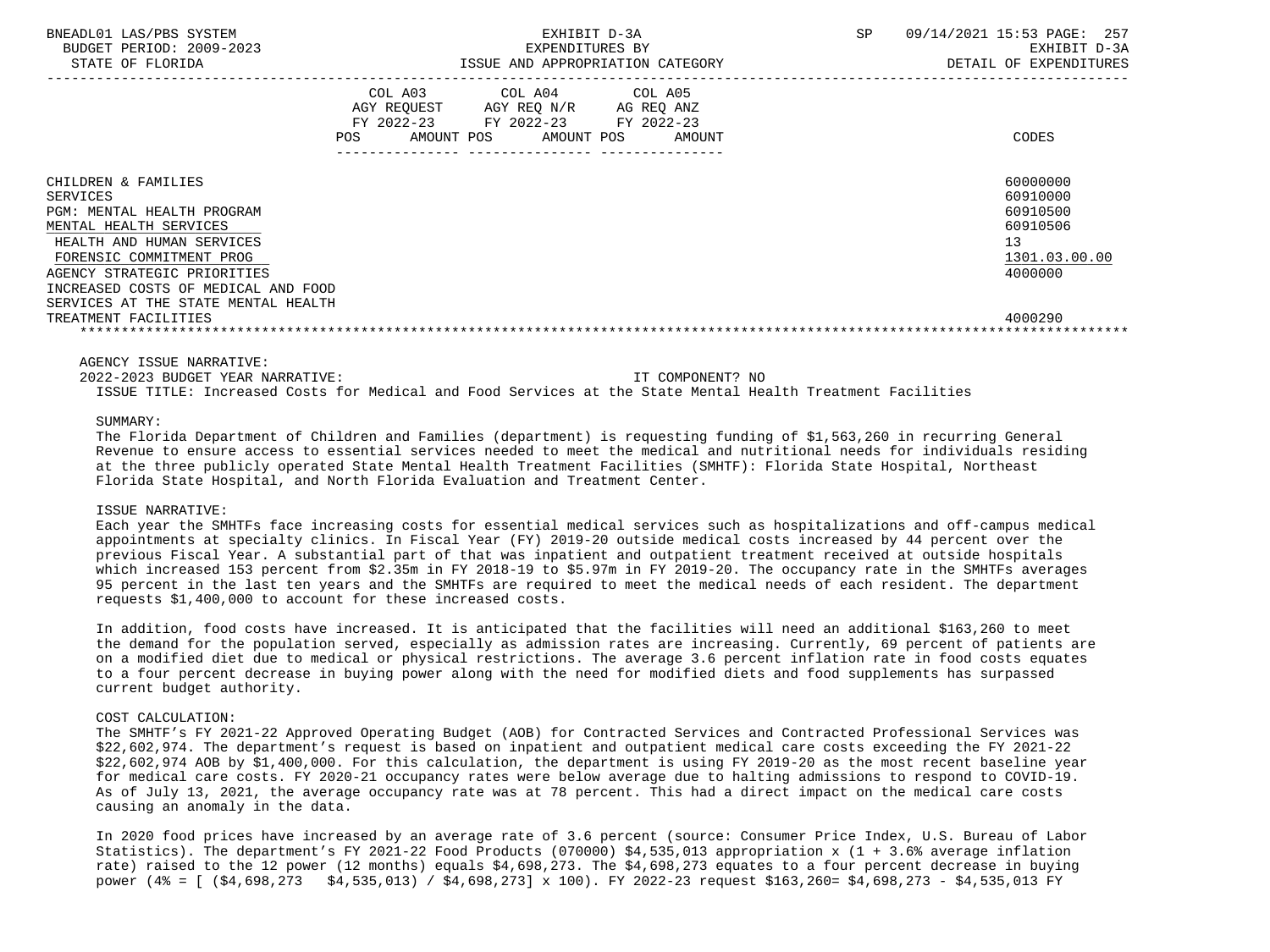| BNEADL01 LAS/PBS SYSTEM<br>BUDGET PERIOD: 2009-2023<br>STATE OF FLORIDA                                                                                                                                                                                                                      | EXHIBIT D-3A<br>EXPENDITURES BY<br>ISSUE AND APPROPRIATION CATEGORY |                                                                                                                            |        | <b>SP</b> | 09/14/2021 15:53 PAGE: 257<br>EXHIBIT D-3A<br>DETAIL OF EXPENDITURES                      |
|----------------------------------------------------------------------------------------------------------------------------------------------------------------------------------------------------------------------------------------------------------------------------------------------|---------------------------------------------------------------------|----------------------------------------------------------------------------------------------------------------------------|--------|-----------|-------------------------------------------------------------------------------------------|
|                                                                                                                                                                                                                                                                                              | <b>POS</b>                                                          | COL A03 COL A04 COL A05<br>AGY REQUEST AGY REQ N/R AG REQ ANZ<br>FY 2022-23 FY 2022-23 FY 2022-23<br>AMOUNT POS AMOUNT POS | AMOUNT |           | CODES                                                                                     |
| CHILDREN & FAMILIES<br><b>SERVICES</b><br>PGM: MENTAL HEALTH PROGRAM<br>MENTAL HEALTH SERVICES<br>HEALTH AND HUMAN SERVICES<br>FORENSIC COMMITMENT PROG<br>AGENCY STRATEGIC PRIORITIES<br>INCREASED COSTS OF MEDICAL AND FOOD<br>SERVICES AT THE STATE MENTAL HEALTH<br>TREATMENT FACILITIES |                                                                     |                                                                                                                            |        |           | 60000000<br>60910000<br>60910500<br>60910506<br>13<br>1301.03.00.00<br>4000000<br>4000290 |

AGENCY ISSUE NARRATIVE:

 2022-2023 BUDGET YEAR NARRATIVE: IT COMPONENT? NO ISSUE TITLE: Increased Costs for Medical and Food Services at the State Mental Health Treatment Facilities

#### SUMMARY:

 The Florida Department of Children and Families (department) is requesting funding of \$1,563,260 in recurring General Revenue to ensure access to essential services needed to meet the medical and nutritional needs for individuals residing at the three publicly operated State Mental Health Treatment Facilities (SMHTF): Florida State Hospital, Northeast Florida State Hospital, and North Florida Evaluation and Treatment Center.

#### ISSUE NARRATIVE:

 Each year the SMHTFs face increasing costs for essential medical services such as hospitalizations and off-campus medical appointments at specialty clinics. In Fiscal Year (FY) 2019-20 outside medical costs increased by 44 percent over the previous Fiscal Year. A substantial part of that was inpatient and outpatient treatment received at outside hospitals which increased 153 percent from \$2.35m in FY 2018-19 to \$5.97m in FY 2019-20. The occupancy rate in the SMHTFs averages 95 percent in the last ten years and the SMHTFs are required to meet the medical needs of each resident. The department requests \$1,400,000 to account for these increased costs.

 In addition, food costs have increased. It is anticipated that the facilities will need an additional \$163,260 to meet the demand for the population served, especially as admission rates are increasing. Currently, 69 percent of patients are on a modified diet due to medical or physical restrictions. The average 3.6 percent inflation rate in food costs equates to a four percent decrease in buying power along with the need for modified diets and food supplements has surpassed current budget authority.

## COST CALCULATION:

 The SMHTF's FY 2021-22 Approved Operating Budget (AOB) for Contracted Services and Contracted Professional Services was \$22,602,974. The department's request is based on inpatient and outpatient medical care costs exceeding the FY 2021-22 \$22,602,974 AOB by \$1,400,000. For this calculation, the department is using FY 2019-20 as the most recent baseline year for medical care costs. FY 2020-21 occupancy rates were below average due to halting admissions to respond to COVID-19. As of July 13, 2021, the average occupancy rate was at 78 percent. This had a direct impact on the medical care costs causing an anomaly in the data.

 In 2020 food prices have increased by an average rate of 3.6 percent (source: Consumer Price Index, U.S. Bureau of Labor Statistics). The department's FY 2021-22 Food Products (070000) \$4,535,013 appropriation x (1 + 3.6% average inflation rate) raised to the 12 power (12 months) equals \$4,698,273. The \$4,698,273 equates to a four percent decrease in buying power (4% = [ (\$4,698,273 \$4,535,013) / \$4,698,273] x 100). FY 2022-23 request \$163,260= \$4,698,273 - \$4,535,013 FY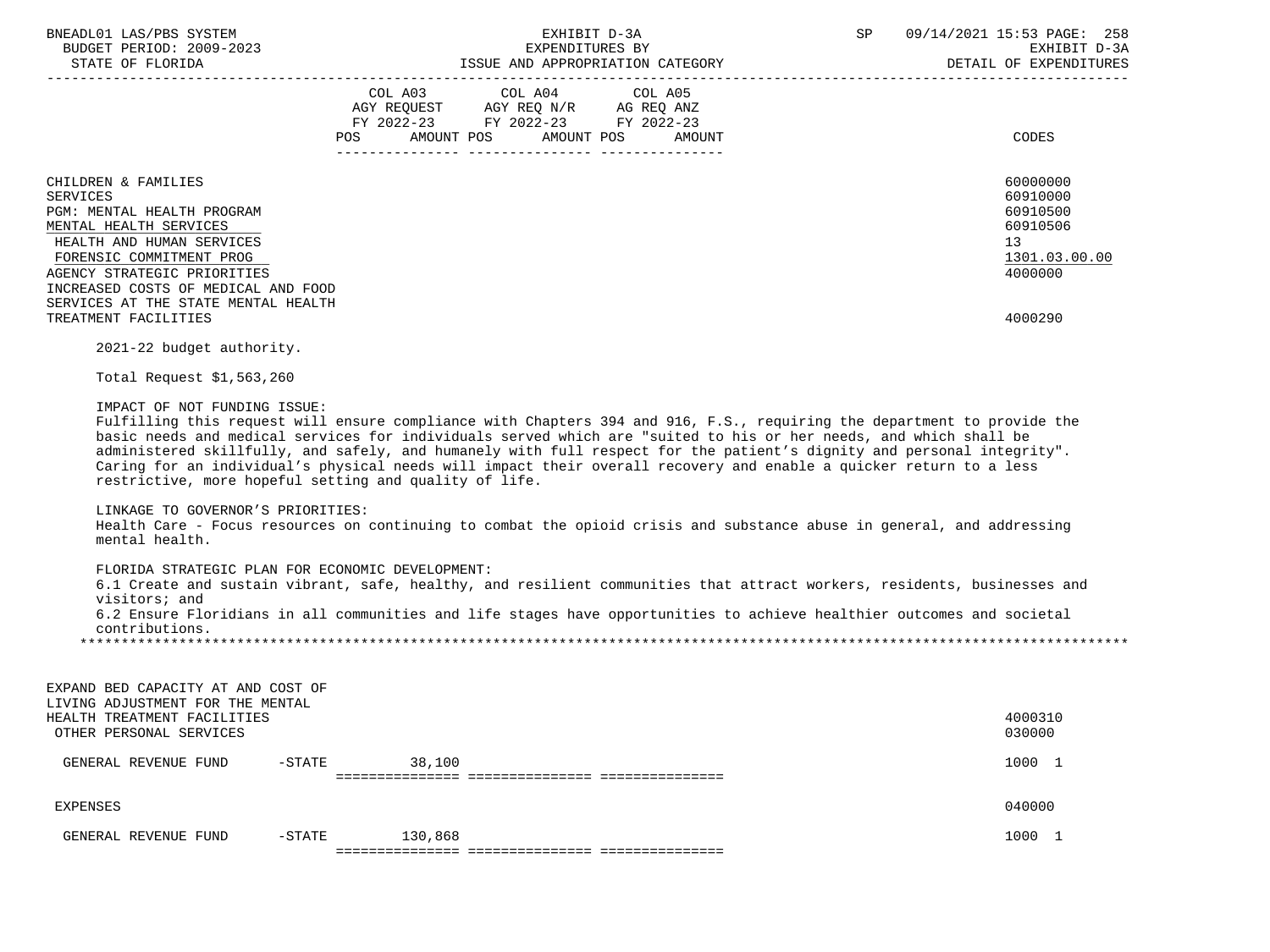| BNEADL01 LAS/PBS SYSTEM<br>BUDGET PERIOD: 2009-2023<br>STATE OF FLORIDA                                                                                                                                                                                                                                                                                                                                                                                                                                                                                                                                                                          |        | EXPENDITURES BY<br>ISSUE AND APPROPRIATION CATEGORY                                                                    | EXHIBIT D-3A      | SP | 09/14/2021 15:53 PAGE: 258<br>EXHIBIT D-3A<br>DETAIL OF EXPENDITURES                      |
|--------------------------------------------------------------------------------------------------------------------------------------------------------------------------------------------------------------------------------------------------------------------------------------------------------------------------------------------------------------------------------------------------------------------------------------------------------------------------------------------------------------------------------------------------------------------------------------------------------------------------------------------------|--------|------------------------------------------------------------------------------------------------------------------------|-------------------|----|-------------------------------------------------------------------------------------------|
|                                                                                                                                                                                                                                                                                                                                                                                                                                                                                                                                                                                                                                                  |        | COL A03 COL A04<br>AGY REQUEST AGY REQ N/R AG REQ ANZ<br>FY 2022-23 FY 2022-23 FY 2022-23<br>POS AMOUNT POS AMOUNT POS | COL A05<br>AMOUNT |    | CODES                                                                                     |
| CHILDREN & FAMILIES<br><b>SERVICES</b><br>PGM: MENTAL HEALTH PROGRAM<br>MENTAL HEALTH SERVICES<br>HEALTH AND HUMAN SERVICES<br>FORENSIC COMMITMENT PROG<br>AGENCY STRATEGIC PRIORITIES<br>INCREASED COSTS OF MEDICAL AND FOOD<br>SERVICES AT THE STATE MENTAL HEALTH<br>TREATMENT FACILITIES                                                                                                                                                                                                                                                                                                                                                     |        |                                                                                                                        |                   |    | 60000000<br>60910000<br>60910500<br>60910506<br>13<br>1301.03.00.00<br>4000000<br>4000290 |
| 2021-22 budget authority.<br>Total Request \$1,563,260<br>IMPACT OF NOT FUNDING ISSUE:<br>Fulfilling this request will ensure compliance with Chapters 394 and 916, F.S., requiring the department to provide the<br>basic needs and medical services for individuals served which are "suited to his or her needs, and which shall be<br>administered skillfully, and safely, and humanely with full respect for the patient's dignity and personal integrity".<br>Caring for an individual's physical needs will impact their overall recovery and enable a quicker return to a less<br>restrictive, more hopeful setting and quality of life. |        |                                                                                                                        |                   |    |                                                                                           |
| LINKAGE TO GOVERNOR'S PRIORITIES:<br>Health Care - Focus resources on continuing to combat the opioid crisis and substance abuse in general, and addressing<br>mental health.                                                                                                                                                                                                                                                                                                                                                                                                                                                                    |        |                                                                                                                        |                   |    |                                                                                           |
| FLORIDA STRATEGIC PLAN FOR ECONOMIC DEVELOPMENT:<br>6.1 Create and sustain vibrant, safe, healthy, and resilient communities that attract workers, residents, businesses and<br>visitors; and<br>6.2 Ensure Floridians in all communities and life stages have opportunities to achieve healthier outcomes and societal<br>contributions.                                                                                                                                                                                                                                                                                                        |        |                                                                                                                        |                   |    |                                                                                           |
| EXPAND BED CAPACITY AT AND COST OF<br>LIVING ADJUSTMENT FOR THE MENTAL<br>HEALTH TREATMENT FACILITIES<br>OTHER PERSONAL SERVICES                                                                                                                                                                                                                                                                                                                                                                                                                                                                                                                 |        |                                                                                                                        |                   |    | 4000310<br>030000                                                                         |
| GENERAL REVENUE FUND<br>$-$ STATE                                                                                                                                                                                                                                                                                                                                                                                                                                                                                                                                                                                                                | 38,100 |                                                                                                                        |                   |    | 1000 1                                                                                    |

 EXPENSES 040000 GENERAL REVENUE FUND -STATE 130,868 1000 1 and 1000 1

=============== =============== ===============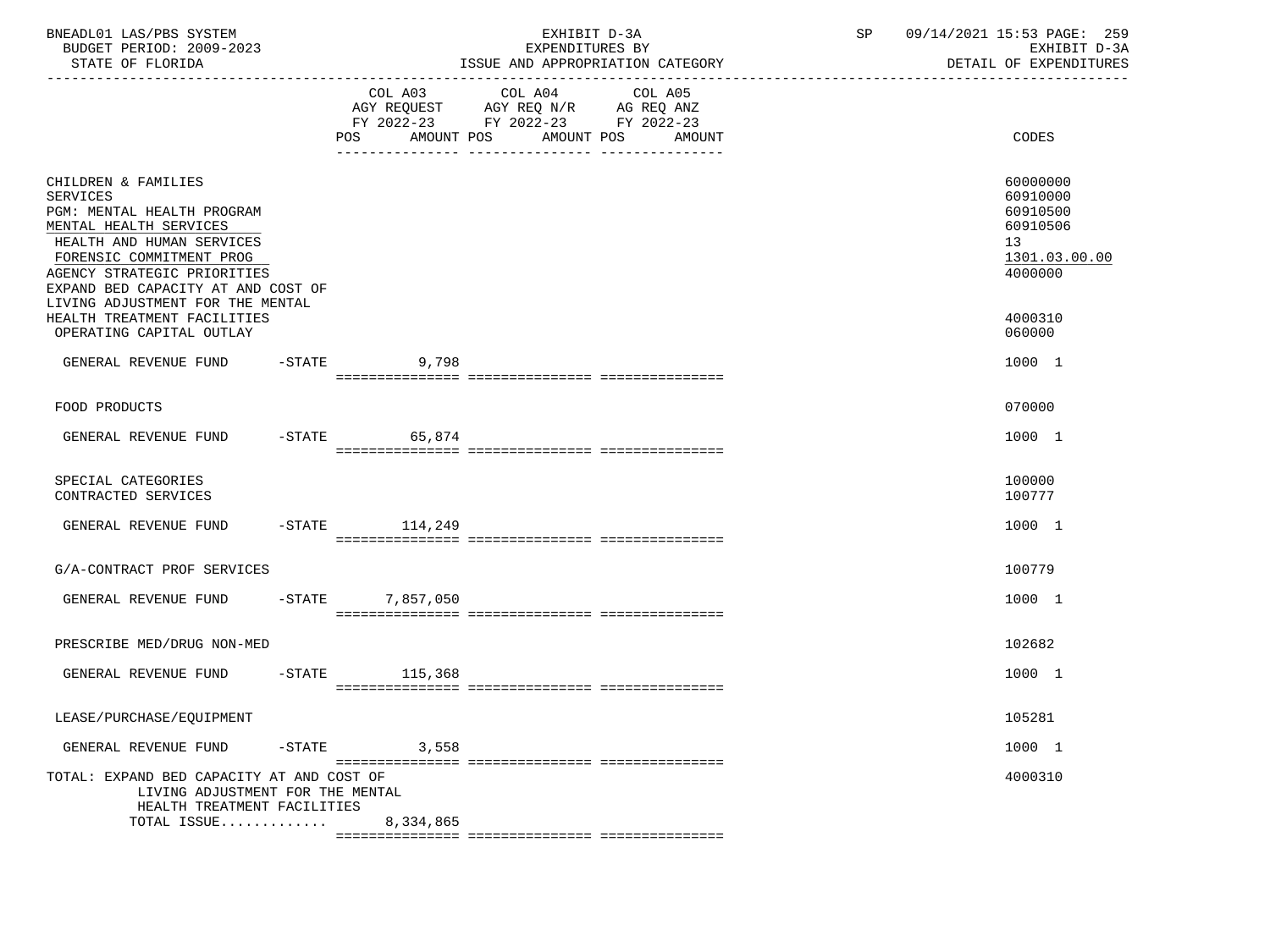| BNEADL01 LAS/PBS SYSTEM<br>BUDGET PERIOD: 2009-2023<br>STATE OF FLORIDA                                                                                                                                                                                          |                  | EXHIBIT D-3A<br>EXPENDITURES BY<br>ISSUE AND APPROPRIATION CATEGORY | SP | 09/14/2021 15:53 PAGE: 259<br>EXHIBIT D-3A<br>DETAIL OF EXPENDITURES           |
|------------------------------------------------------------------------------------------------------------------------------------------------------------------------------------------------------------------------------------------------------------------|------------------|---------------------------------------------------------------------|----|--------------------------------------------------------------------------------|
|                                                                                                                                                                                                                                                                  | POS              | FY 2022-23 FY 2022-23 FY 2022-23<br>AMOUNT POS AMOUNT POS AMOUNT    |    | CODES                                                                          |
| CHILDREN & FAMILIES<br><b>SERVICES</b><br>PGM: MENTAL HEALTH PROGRAM<br>MENTAL HEALTH SERVICES<br>HEALTH AND HUMAN SERVICES<br>FORENSIC COMMITMENT PROG<br>AGENCY STRATEGIC PRIORITIES<br>EXPAND BED CAPACITY AT AND COST OF<br>LIVING ADJUSTMENT FOR THE MENTAL |                  |                                                                     |    | 60000000<br>60910000<br>60910500<br>60910506<br>13<br>1301.03.00.00<br>4000000 |
| HEALTH TREATMENT FACILITIES<br>OPERATING CAPITAL OUTLAY                                                                                                                                                                                                          |                  |                                                                     |    | 4000310<br>060000                                                              |
| GENERAL REVENUE FUND                                                                                                                                                                                                                                             | $-STATE$ 9,798   |                                                                     |    | 1000 1                                                                         |
| FOOD PRODUCTS                                                                                                                                                                                                                                                    |                  |                                                                     |    | 070000                                                                         |
| GENERAL REVENUE FUND                                                                                                                                                                                                                                             | $-$ STATE 65,874 |                                                                     |    | 1000 1                                                                         |
| SPECIAL CATEGORIES<br>CONTRACTED SERVICES                                                                                                                                                                                                                        |                  |                                                                     |    | 100000<br>100777                                                               |
| GENERAL REVENUE FUND                                                                                                                                                                                                                                             | -STATE 114,249   |                                                                     |    | 1000 1                                                                         |
| G/A-CONTRACT PROF SERVICES                                                                                                                                                                                                                                       |                  |                                                                     |    | 100779                                                                         |
| GENERAL REVENUE FUND                                                                                                                                                                                                                                             | -STATE 7,857,050 |                                                                     |    | 1000 1                                                                         |
| PRESCRIBE MED/DRUG NON-MED                                                                                                                                                                                                                                       |                  |                                                                     |    | 102682                                                                         |
| GENERAL REVENUE FUND                                                                                                                                                                                                                                             | $-STATE$ 115,368 |                                                                     |    | 1000 1                                                                         |
| LEASE/PURCHASE/EQUIPMENT                                                                                                                                                                                                                                         |                  |                                                                     |    | 105281                                                                         |
| $-$ STATE<br>GENERAL REVENUE FUND                                                                                                                                                                                                                                | 3,558            |                                                                     |    | 1000 1                                                                         |
| TOTAL: EXPAND BED CAPACITY AT AND COST OF<br>LIVING ADJUSTMENT FOR THE MENTAL<br>HEALTH TREATMENT FACILITIES<br>TOTAL ISSUE                                                                                                                                      | 8,334,865        |                                                                     |    | 4000310                                                                        |
|                                                                                                                                                                                                                                                                  |                  |                                                                     |    |                                                                                |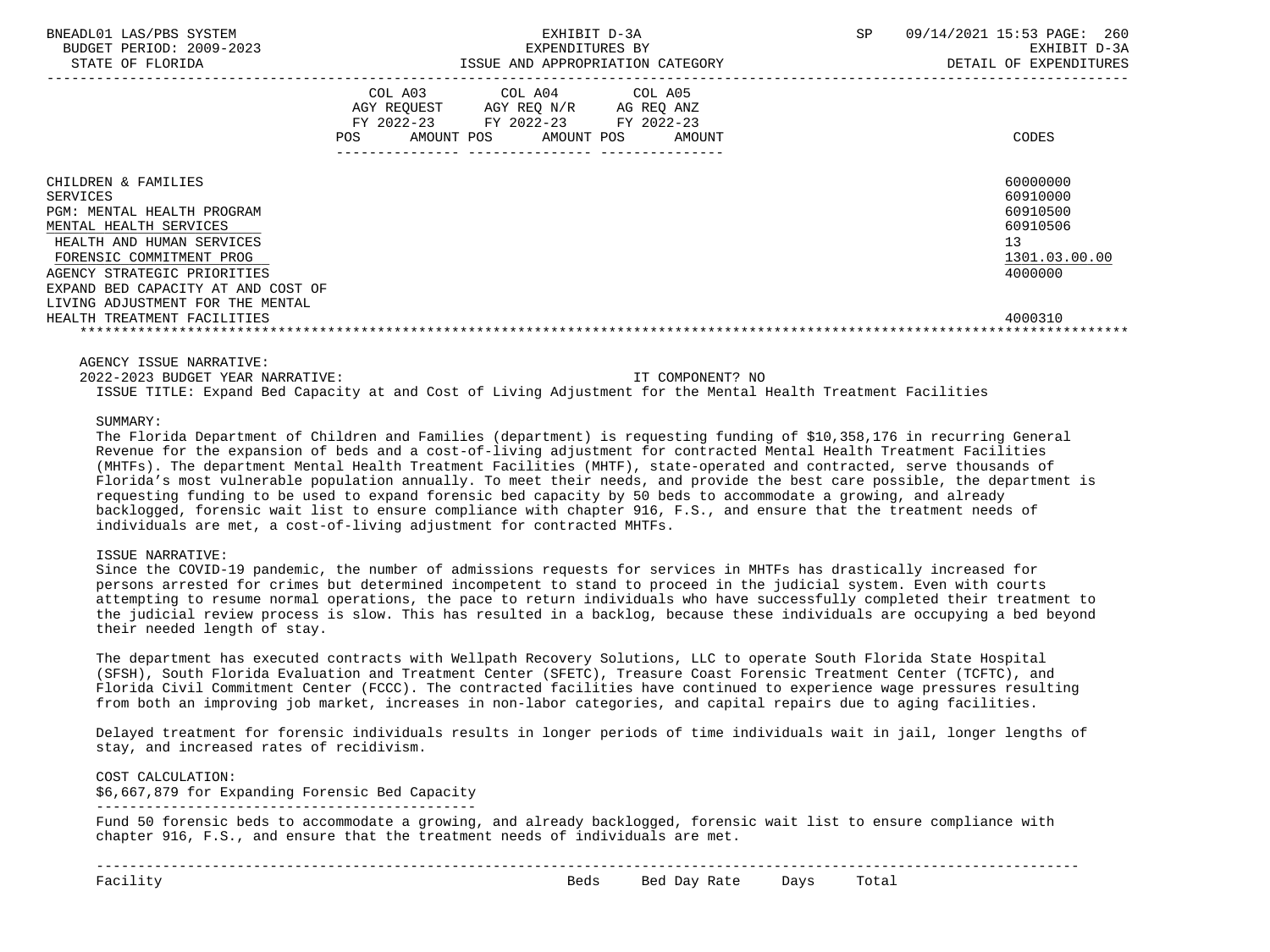| BNEADL01 LAS/PBS SYSTEM<br>BUDGET PERIOD: 2009-2023<br>STATE OF FLORIDA                                                                                                                                                                                                                  | EXHIBIT D-3A<br>EXPENDITURES BY<br>ISSUE AND APPROPRIATION CATEGORY |                                                                                                                                      | SP | 09/14/2021 15:53 PAGE: 260<br>EXHIBIT D-3A<br>DETAIL OF EXPENDITURES                      |
|------------------------------------------------------------------------------------------------------------------------------------------------------------------------------------------------------------------------------------------------------------------------------------------|---------------------------------------------------------------------|--------------------------------------------------------------------------------------------------------------------------------------|----|-------------------------------------------------------------------------------------------|
|                                                                                                                                                                                                                                                                                          | POS                                                                 | COL A03 COL A04 COL A05<br>AGY REQUEST AGY REQ N/R AG REQ ANZ<br>FY 2022-23 FY 2022-23 FY 2022-23<br>AMOUNT POS AMOUNT POS<br>AMOUNT |    | CODES                                                                                     |
| CHILDREN & FAMILIES<br>SERVICES<br>PGM: MENTAL HEALTH PROGRAM<br>MENTAL HEALTH SERVICES<br>HEALTH AND HUMAN SERVICES<br>FORENSIC COMMITMENT PROG<br>AGENCY STRATEGIC PRIORITIES<br>EXPAND BED CAPACITY AT AND COST OF<br>LIVING ADJUSTMENT FOR THE MENTAL<br>HEALTH TREATMENT FACILITIES |                                                                     |                                                                                                                                      |    | 60000000<br>60910000<br>60910500<br>60910506<br>13<br>1301.03.00.00<br>4000000<br>4000310 |

AGENCY ISSUE NARRATIVE:

 2022-2023 BUDGET YEAR NARRATIVE: IT COMPONENT? NO ISSUE TITLE: Expand Bed Capacity at and Cost of Living Adjustment for the Mental Health Treatment Facilities

SUMMARY:

 The Florida Department of Children and Families (department) is requesting funding of \$10,358,176 in recurring General Revenue for the expansion of beds and a cost-of-living adjustment for contracted Mental Health Treatment Facilities (MHTFs). The department Mental Health Treatment Facilities (MHTF), state-operated and contracted, serve thousands of Florida's most vulnerable population annually. To meet their needs, and provide the best care possible, the department is requesting funding to be used to expand forensic bed capacity by 50 beds to accommodate a growing, and already backlogged, forensic wait list to ensure compliance with chapter 916, F.S., and ensure that the treatment needs of individuals are met, a cost-of-living adjustment for contracted MHTFs.

#### ISSUE NARRATIVE:

 Since the COVID-19 pandemic, the number of admissions requests for services in MHTFs has drastically increased for persons arrested for crimes but determined incompetent to stand to proceed in the judicial system. Even with courts attempting to resume normal operations, the pace to return individuals who have successfully completed their treatment to the judicial review process is slow. This has resulted in a backlog, because these individuals are occupying a bed beyond their needed length of stay.

 The department has executed contracts with Wellpath Recovery Solutions, LLC to operate South Florida State Hospital (SFSH), South Florida Evaluation and Treatment Center (SFETC), Treasure Coast Forensic Treatment Center (TCFTC), and Florida Civil Commitment Center (FCCC). The contracted facilities have continued to experience wage pressures resulting from both an improving job market, increases in non-labor categories, and capital repairs due to aging facilities.

 Delayed treatment for forensic individuals results in longer periods of time individuals wait in jail, longer lengths of stay, and increased rates of recidivism.

 COST CALCULATION: \$6,667,879 for Expanding Forensic Bed Capacity ----------------------------------------------

> Fund 50 forensic beds to accommodate a growing, and already backlogged, forensic wait list to ensure compliance with chapter 916, F.S., and ensure that the treatment needs of individuals are met.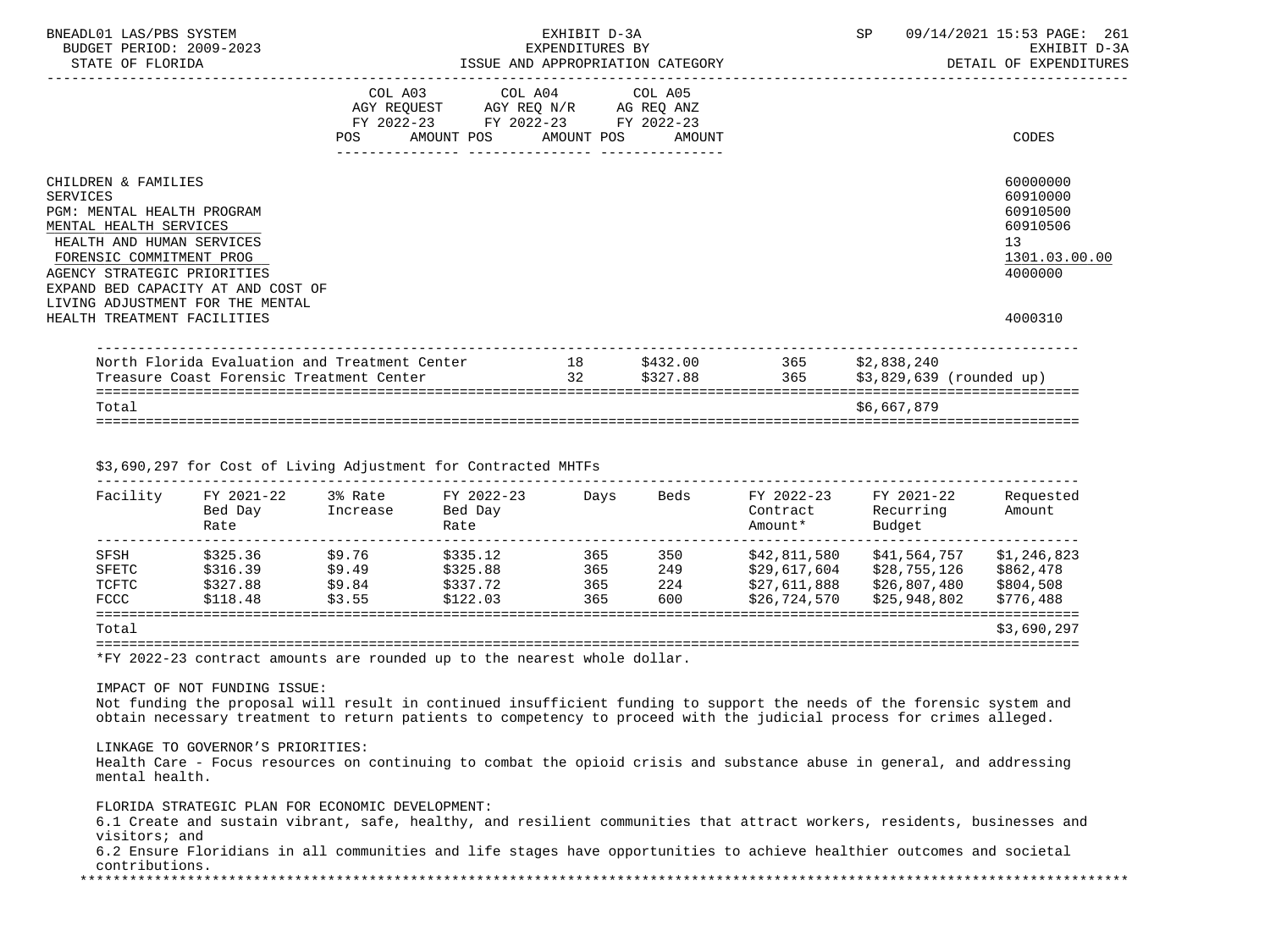| BNEADL01 LAS/PBS SYSTEM<br>BUDGET PERIOD: 2009-2023<br>STATE OF FLORIDA                                                                                                                                                                                          |                                  | EXPENDITURES BY                                                                                   | EXHIBIT D-3A<br>ISSUE AND APPROPRIATION CATEGORY | SP          | 09/14/2021 15:53 PAGE: 261<br>EXHIBIT D-3A<br>DETAIL OF EXPENDITURES                        |
|------------------------------------------------------------------------------------------------------------------------------------------------------------------------------------------------------------------------------------------------------------------|----------------------------------|---------------------------------------------------------------------------------------------------|--------------------------------------------------|-------------|---------------------------------------------------------------------------------------------|
|                                                                                                                                                                                                                                                                  | POS AMOUNT POS AMOUNT POS AMOUNT | COL A03 COL A04 COL A05<br>AGY REQUEST AGY REQ N/R AG REQ ANZ<br>FY 2022-23 FY 2022-23 FY 2022-23 |                                                  |             | CODES                                                                                       |
| CHILDREN & FAMILIES<br><b>SERVICES</b><br>PGM: MENTAL HEALTH PROGRAM<br>MENTAL HEALTH SERVICES<br>HEALTH AND HUMAN SERVICES<br>FORENSIC COMMITMENT PROG<br>AGENCY STRATEGIC PRIORITIES<br>EXPAND BED CAPACITY AT AND COST OF<br>LIVING ADJUSTMENT FOR THE MENTAL |                                  |                                                                                                   |                                                  |             | 60000000<br>60910000<br>60910500<br>60910506<br>13 <sup>°</sup><br>1301.03.00.00<br>4000000 |
| HEALTH TREATMENT FACILITIES                                                                                                                                                                                                                                      |                                  |                                                                                                   |                                                  |             | 4000310                                                                                     |
| North Florida Evaluation and Treatment Center 18 5432.00 365 \$2,838,240<br>Treasure Coast Forensic Treatment Center                                                                                                                                             |                                  |                                                                                                   | 32 \$327.88 365                                  |             | \$3,829,639 (rounded up)                                                                    |
| Total                                                                                                                                                                                                                                                            |                                  |                                                                                                   |                                                  | \$6,667,879 | ---------------------------                                                                 |

\$3,690,297 for Cost of Living Adjustment for Contracted MHTFs

| Facility | FY 2021-22<br>Bed Day<br>Rate | 3% Rate<br>Increase | FY 2022-23<br>Bed Day<br>Rate | Days | Beds | FY 2022-23<br>Contract<br>Amount* | FY 2021-22<br>Recurring<br>Budget | Requested<br>Amount |
|----------|-------------------------------|---------------------|-------------------------------|------|------|-----------------------------------|-----------------------------------|---------------------|
|          |                               |                     |                               |      |      |                                   |                                   |                     |
| SFSH     | \$325.36                      | \$9.76              | \$335.12                      | 365  | 350  | \$42,811,580                      | \$41,564,757                      | \$1,246,823         |
| SFETC    | \$316.39                      | \$9.49              | \$325.88                      | 365  | 249  | \$29.617.604                      | \$28,755,126                      | \$862,478           |
| TCFTC    | \$327.88                      | \$9.84              | \$337.72                      | 365  | 224  | \$27,611,888                      | \$26,807,480                      | \$804,508           |
| FCCC     | \$118.48                      | \$3.55              | \$122.03                      | 365  | 600  | \$26,724,570                      | \$25,948,802                      | \$776,488           |
| Total    |                               |                     |                               |      |      |                                   |                                   | \$3,690,297         |

=======================================================================================================================

\*FY 2022-23 contract amounts are rounded up to the nearest whole dollar.

IMPACT OF NOT FUNDING ISSUE:

 Not funding the proposal will result in continued insufficient funding to support the needs of the forensic system and obtain necessary treatment to return patients to competency to proceed with the judicial process for crimes alleged.

## LINKAGE TO GOVERNOR'S PRIORITIES:

 Health Care - Focus resources on continuing to combat the opioid crisis and substance abuse in general, and addressing mental health.

FLORIDA STRATEGIC PLAN FOR ECONOMIC DEVELOPMENT:

 6.1 Create and sustain vibrant, safe, healthy, and resilient communities that attract workers, residents, businesses and visitors; and

 6.2 Ensure Floridians in all communities and life stages have opportunities to achieve healthier outcomes and societal contributions.<br>\*\*\*\*\*\*\*\*\*\*\*\*\*\*\*\*\*\*\*

\*\*\*\*\*\*\*\*\*\*\*\*\*\*\*\*\*\*\*\*\*\*\*\*\*\*\*\*\*\*\*\*\*\*\*\*\*\*\*\*\*\*\*\*\*\*\*\*\*\*\*\*\*\*\*\*\*\*\*\*\*\*\*\*\*\*\*\*\*\*\*\*\*\*\*\*\*\*\*\*\*\*\*\*\*\*\*\*\*\*\*\*\*\*\*\*\*\*\*\*\*\*\*\*\*\*\*\*\*\*\*\*\*\*\*\*\*\*\*\*\*\*\*\*\*\*\*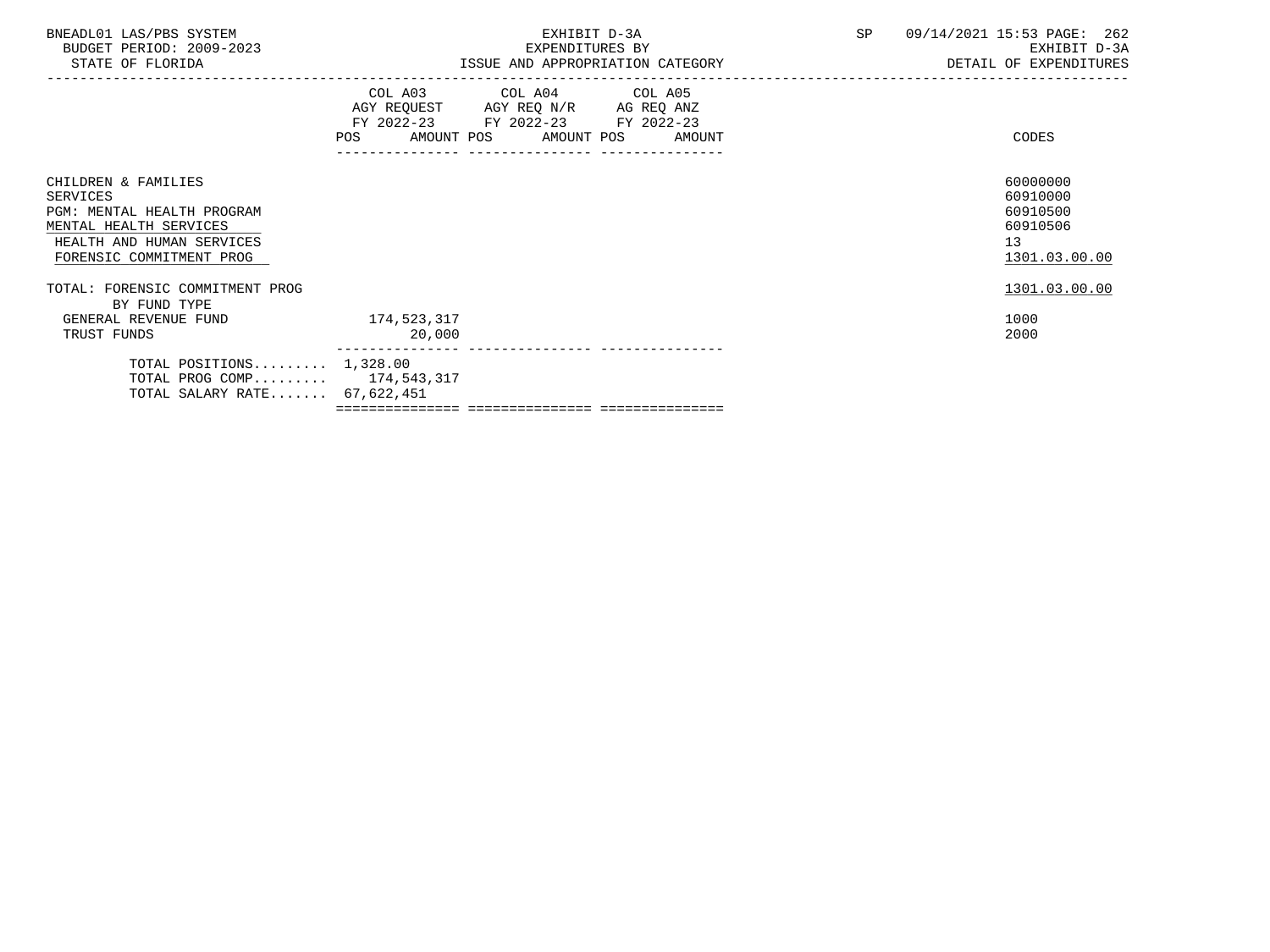| BNEADL01 LAS/PBS SYSTEM<br>BUDGET PERIOD: 2009-2023<br>STATE OF FLORIDA                                                                          | EXHIBIT D-3A<br>EXPENDITURES BY<br>ISSUE AND APPROPRIATION CATEGORY <b>Example 20 YO AND ADVISOR</b> DETAIL OF EXPENDITURES |                                                                                                   |                              | SP | 09/14/2021 15:53 PAGE: 262<br>EXHIBIT D-3A                                       |
|--------------------------------------------------------------------------------------------------------------------------------------------------|-----------------------------------------------------------------------------------------------------------------------------|---------------------------------------------------------------------------------------------------|------------------------------|----|----------------------------------------------------------------------------------|
|                                                                                                                                                  | POS FOR THE POST OF THE STATE STATE STATE STATE STATE STATE STATE STATE STATE STATE STATE STATE STATE STATE ST              | COL A03 COL A04 COL A05<br>AGY REQUEST AGY REQ N/R AG REQ ANZ<br>FY 2022-23 FY 2022-23 FY 2022-23 | AMOUNT POS AMOUNT POS AMOUNT |    | CODES                                                                            |
| CHILDREN & FAMILIES<br>SERVICES<br>PGM: MENTAL HEALTH PROGRAM<br>MENTAL HEALTH SERVICES<br>HEALTH AND HUMAN SERVICES<br>FORENSIC COMMITMENT PROG |                                                                                                                             |                                                                                                   |                              |    | 60000000<br>60910000<br>60910500<br>60910506<br>13 <sup>°</sup><br>1301.03.00.00 |
| TOTAL: FORENSIC COMMITMENT PROG<br>BY FUND TYPE                                                                                                  |                                                                                                                             |                                                                                                   |                              |    | 1301.03.00.00                                                                    |
| GENERAL REVENUE FUND 174,523,317<br>TRUST FUNDS                                                                                                  | 20,000                                                                                                                      |                                                                                                   |                              |    | 1000<br>2000                                                                     |
| TOTAL POSITIONS $1,328.00$<br>TOTAL PROG COMP 174,543,317<br>TOTAL SALARY RATE 67,622,451                                                        |                                                                                                                             |                                                                                                   |                              |    |                                                                                  |
|                                                                                                                                                  |                                                                                                                             |                                                                                                   |                              |    |                                                                                  |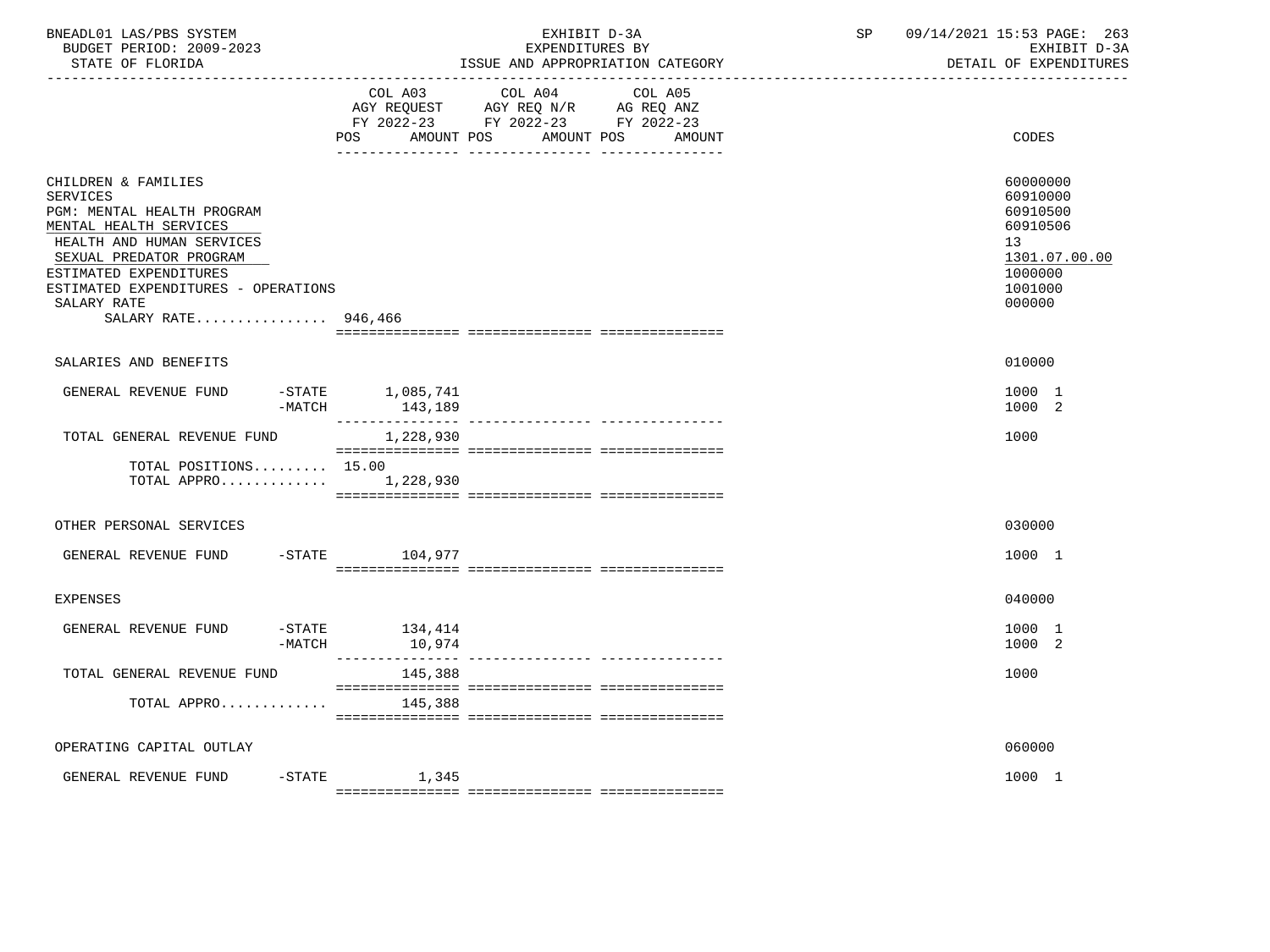| BNEADL01 LAS/PBS SYSTEM<br>BUDGET PERIOD: 2009-2023<br>STATE OF FLORIDA                                                                                                                                                                                       | __________________________________                                                                                           | EXHIBIT D-3A<br>EXPENDITURES BY<br>ISSUE AND APPROPRIATION CATEGORY                                                                                                                                                                                                                                                                                                                                                                                             | SP | 09/14/2021 15:53 PAGE: 263<br>EXHIBIT D-3A<br>DETAIL OF EXPENDITURES                                |
|---------------------------------------------------------------------------------------------------------------------------------------------------------------------------------------------------------------------------------------------------------------|------------------------------------------------------------------------------------------------------------------------------|-----------------------------------------------------------------------------------------------------------------------------------------------------------------------------------------------------------------------------------------------------------------------------------------------------------------------------------------------------------------------------------------------------------------------------------------------------------------|----|-----------------------------------------------------------------------------------------------------|
|                                                                                                                                                                                                                                                               | POS FOR THE POST OF THE STATE STATE STATE STATE STATE STATE STATE STATE STATE STATE STATE STATE STATE STATE ST<br>AMOUNT POS | COL A03 COL A04 COL A05<br>AGY REQUEST AGY REQ N/R AG REQ ANZ<br>FY 2022-23 FY 2022-23 FY 2022-23<br>AMOUNT POS<br>AMOUNT                                                                                                                                                                                                                                                                                                                                       |    | CODES                                                                                               |
| CHILDREN & FAMILIES<br><b>SERVICES</b><br>PGM: MENTAL HEALTH PROGRAM<br>MENTAL HEALTH SERVICES<br>HEALTH AND HUMAN SERVICES<br>SEXUAL PREDATOR PROGRAM<br>ESTIMATED EXPENDITURES<br>ESTIMATED EXPENDITURES - OPERATIONS<br>SALARY RATE<br>SALARY RATE 946,466 |                                                                                                                              |                                                                                                                                                                                                                                                                                                                                                                                                                                                                 |    | 60000000<br>60910000<br>60910500<br>60910506<br>13<br>1301.07.00.00<br>1000000<br>1001000<br>000000 |
| SALARIES AND BENEFITS                                                                                                                                                                                                                                         |                                                                                                                              |                                                                                                                                                                                                                                                                                                                                                                                                                                                                 |    | 010000                                                                                              |
| GENERAL REVENUE FUND<br>$-MATCH$                                                                                                                                                                                                                              | $-$ STATE $1,085,741$<br>143,189                                                                                             |                                                                                                                                                                                                                                                                                                                                                                                                                                                                 |    | 1000 1<br>1000 2                                                                                    |
| TOTAL GENERAL REVENUE FUND                                                                                                                                                                                                                                    | 1,228,930                                                                                                                    | $\begin{minipage}{0.03\textwidth} \begin{tabular}{l} \textbf{0.04\textwidth} \textbf{0.04\textwidth} \textbf{0.04\textwidth} \textbf{0.04\textwidth} \textbf{0.04\textwidth} \textbf{0.04\textwidth} \textbf{0.04\textwidth} \textbf{0.04\textwidth} \textbf{0.04\textwidth} \textbf{0.04\textwidth} \textbf{0.04\textwidth} \textbf{0.04\textwidth} \textbf{0.04\textwidth} \textbf{0.04\textwidth} \textbf{0.04\textwidth} \textbf{0.04\textwidth} \textbf{0$ |    | 1000                                                                                                |
| TOTAL POSITIONS 15.00<br>TOTAL APPRO $1,228,930$                                                                                                                                                                                                              |                                                                                                                              |                                                                                                                                                                                                                                                                                                                                                                                                                                                                 |    |                                                                                                     |
| OTHER PERSONAL SERVICES                                                                                                                                                                                                                                       |                                                                                                                              |                                                                                                                                                                                                                                                                                                                                                                                                                                                                 |    | 030000                                                                                              |
| GENERAL REVENUE FUND                                                                                                                                                                                                                                          | $-STATE$ 104,977                                                                                                             |                                                                                                                                                                                                                                                                                                                                                                                                                                                                 |    | 1000 1                                                                                              |
| EXPENSES                                                                                                                                                                                                                                                      |                                                                                                                              |                                                                                                                                                                                                                                                                                                                                                                                                                                                                 |    | 040000                                                                                              |
| GENERAL REVENUE FUND<br>$-MATCH$                                                                                                                                                                                                                              | $-STATE$ 134,414<br>10,974                                                                                                   |                                                                                                                                                                                                                                                                                                                                                                                                                                                                 |    | 1000 1<br>1000 2                                                                                    |
| TOTAL GENERAL REVENUE FUND                                                                                                                                                                                                                                    | 145,388                                                                                                                      |                                                                                                                                                                                                                                                                                                                                                                                                                                                                 |    | 1000                                                                                                |
| TOTAL APPRO                                                                                                                                                                                                                                                   | 145,388                                                                                                                      |                                                                                                                                                                                                                                                                                                                                                                                                                                                                 |    |                                                                                                     |
| OPERATING CAPITAL OUTLAY                                                                                                                                                                                                                                      |                                                                                                                              |                                                                                                                                                                                                                                                                                                                                                                                                                                                                 |    | 060000                                                                                              |
| GENERAL REVENUE FUND                                                                                                                                                                                                                                          | $-$ STATE $1,345$                                                                                                            |                                                                                                                                                                                                                                                                                                                                                                                                                                                                 |    | 1000 1                                                                                              |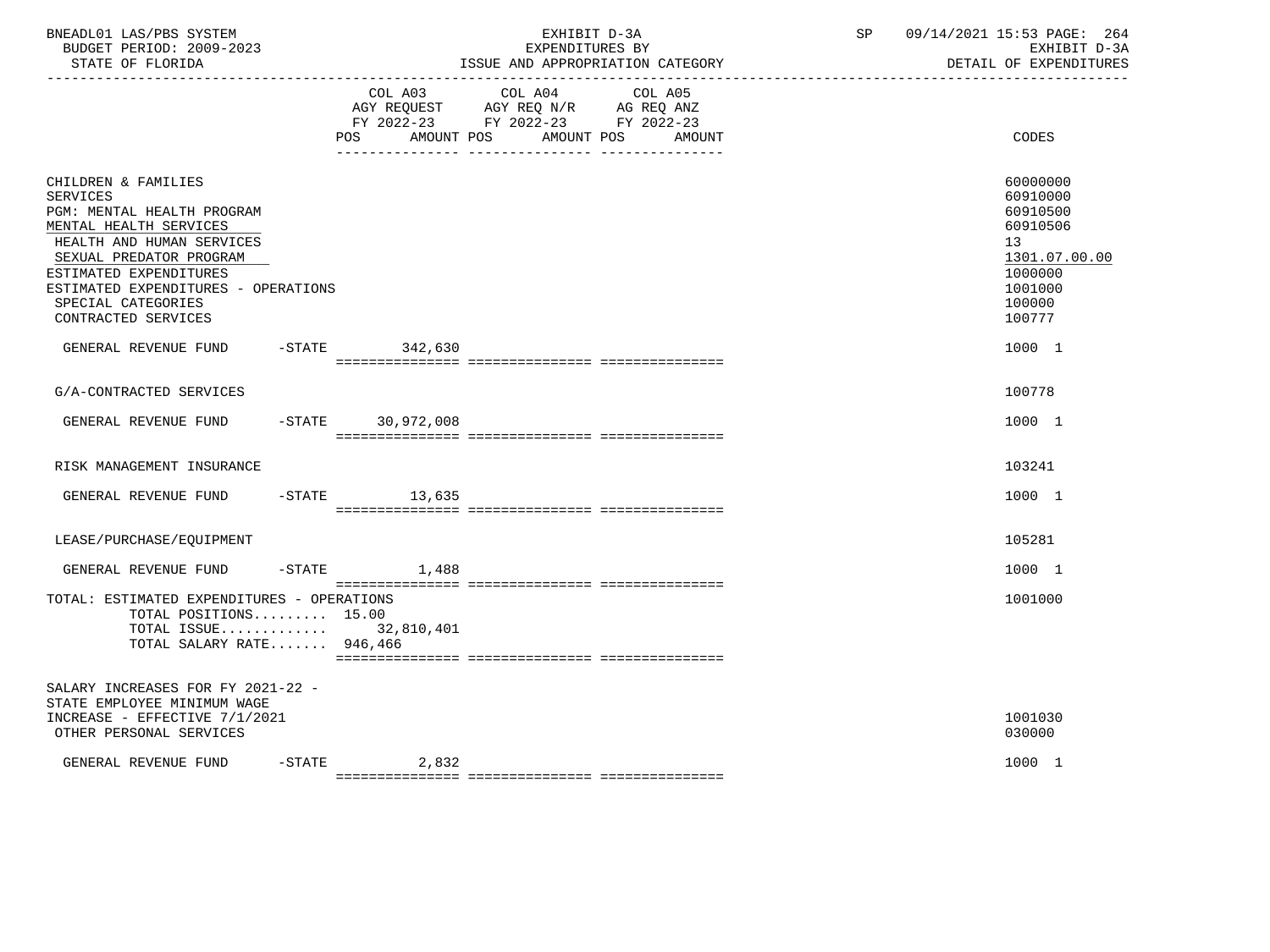| BNEADL01 LAS/PBS SYSTEM<br>BUDGET PERIOD: 2009-2023<br>STATE OF FLORIDA                                                                                                                                                                                       |                           | EXHIBIT D-3A<br>EXPENDITURES BY<br>ISSUE AND APPROPRIATION CATEGORY         | SP and the set of the set of the set of the set of the set of the set of the set of the set of the set of the set of the set of the set of the set of the set of the set of the set of the set of the set of the set of the se | 09/14/2021 15:53 PAGE: 264<br>EXHIBIT D-3A<br>DETAIL OF EXPENDITURES                                                       |
|---------------------------------------------------------------------------------------------------------------------------------------------------------------------------------------------------------------------------------------------------------------|---------------------------|-----------------------------------------------------------------------------|--------------------------------------------------------------------------------------------------------------------------------------------------------------------------------------------------------------------------------|----------------------------------------------------------------------------------------------------------------------------|
|                                                                                                                                                                                                                                                               | COL A03<br>POS AMOUNT POS | COL A04<br>COL A05<br>FY 2022-23 FY 2022-23 FY 2022-23<br>AMOUNT POS AMOUNT |                                                                                                                                                                                                                                | CODES                                                                                                                      |
| CHILDREN & FAMILIES<br>SERVICES<br>PGM: MENTAL HEALTH PROGRAM<br>MENTAL HEALTH SERVICES<br>HEALTH AND HUMAN SERVICES<br>SEXUAL PREDATOR PROGRAM<br>ESTIMATED EXPENDITURES<br>ESTIMATED EXPENDITURES - OPERATIONS<br>SPECIAL CATEGORIES<br>CONTRACTED SERVICES |                           |                                                                             |                                                                                                                                                                                                                                | 60000000<br>60910000<br>60910500<br>60910506<br>13 <sup>°</sup><br>1301.07.00.00<br>1000000<br>1001000<br>100000<br>100777 |
| GENERAL REVENUE FUND                                                                                                                                                                                                                                          | -STATE 342,630            |                                                                             |                                                                                                                                                                                                                                | 1000 1                                                                                                                     |
| G/A-CONTRACTED SERVICES                                                                                                                                                                                                                                       |                           |                                                                             |                                                                                                                                                                                                                                | 100778                                                                                                                     |
| GENERAL REVENUE FUND                                                                                                                                                                                                                                          | -STATE 30,972,008         |                                                                             |                                                                                                                                                                                                                                | 1000 1                                                                                                                     |
| RISK MANAGEMENT INSURANCE                                                                                                                                                                                                                                     |                           |                                                                             |                                                                                                                                                                                                                                | 103241                                                                                                                     |
| GENERAL REVENUE FUND -STATE 13,635                                                                                                                                                                                                                            |                           |                                                                             |                                                                                                                                                                                                                                | 1000 1                                                                                                                     |
| LEASE/PURCHASE/EOUIPMENT                                                                                                                                                                                                                                      |                           |                                                                             |                                                                                                                                                                                                                                | 105281                                                                                                                     |
| GENERAL REVENUE FUND                                                                                                                                                                                                                                          | $-STATE$ 1,488            |                                                                             |                                                                                                                                                                                                                                | 1000 1                                                                                                                     |
| TOTAL: ESTIMATED EXPENDITURES - OPERATIONS<br>TOTAL POSITIONS 15.00<br>TOTAL ISSUE 32,810,401<br>TOTAL SALARY RATE 946,466                                                                                                                                    |                           |                                                                             |                                                                                                                                                                                                                                | 1001000                                                                                                                    |
| SALARY INCREASES FOR FY 2021-22 -<br>STATE EMPLOYEE MINIMUM WAGE<br>INCREASE - EFFECTIVE 7/1/2021<br>OTHER PERSONAL SERVICES                                                                                                                                  |                           |                                                                             |                                                                                                                                                                                                                                | 1001030<br>030000                                                                                                          |
| GENERAL REVENUE FUND                                                                                                                                                                                                                                          | $-STATE$ 2,832            |                                                                             |                                                                                                                                                                                                                                | 1000 1                                                                                                                     |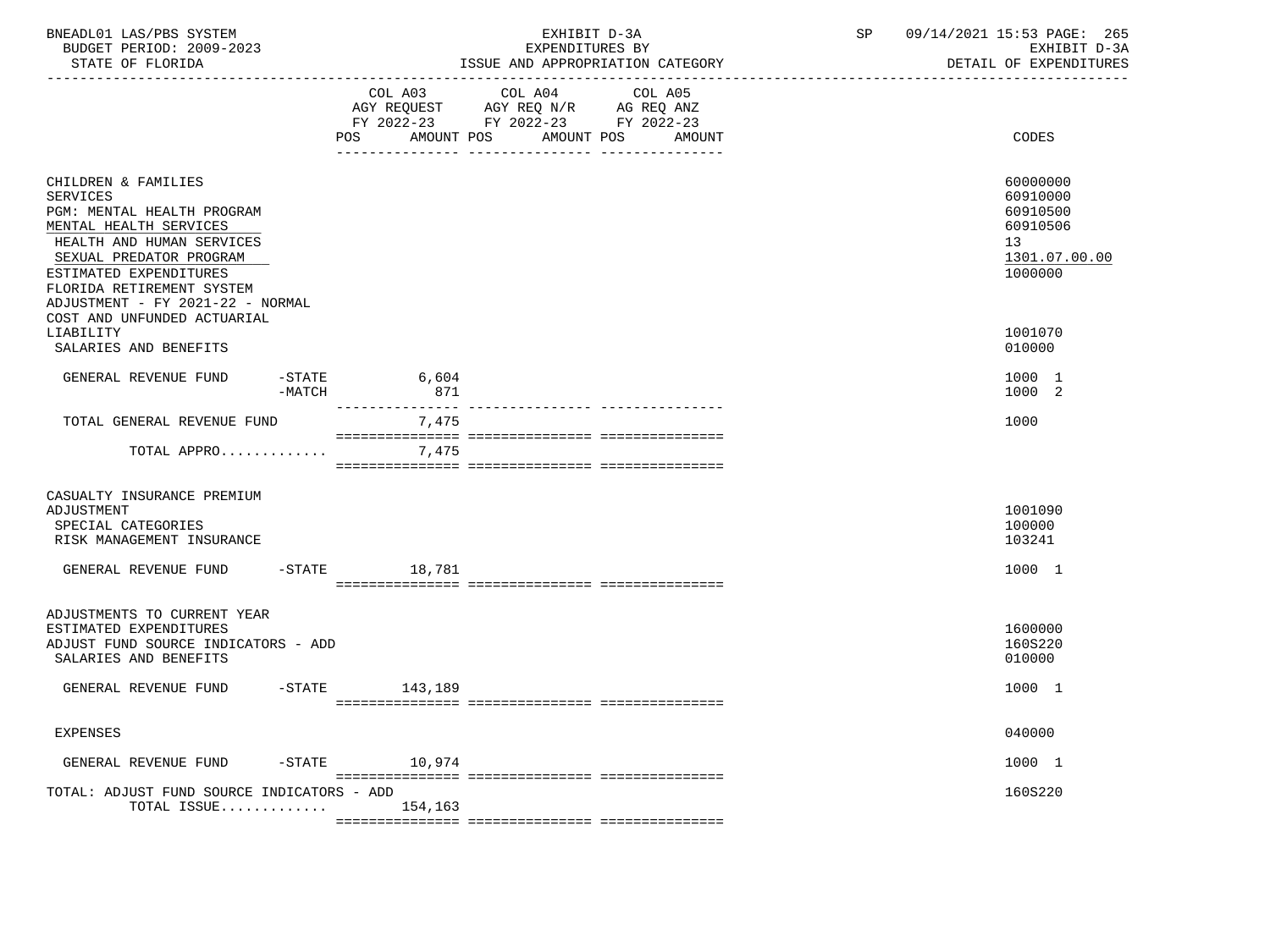| BNEADL01 LAS/PBS SYSTEM<br>BUDGET PERIOD: 2009-2023<br>STATE OF FLORIDA                                                                                                                                                                           |                       | EXHIBIT D-3A<br>EXPENDITURES BY<br>ISSUE AND APPROPRIATION CATEGORY                                                              | SP<br>09/14/2021 15:53 PAGE: 265<br>EXHIBIT D-3A<br>DETAIL OF EXPENDITURES     |
|---------------------------------------------------------------------------------------------------------------------------------------------------------------------------------------------------------------------------------------------------|-----------------------|----------------------------------------------------------------------------------------------------------------------------------|--------------------------------------------------------------------------------|
|                                                                                                                                                                                                                                                   | COL A03               | COL A04<br>COL A05<br>AGY REQUEST AGY REQ N/R AG REQ ANZ<br>FY 2022-23 FY 2022-23 FY 2022-23<br>POS AMOUNT POS AMOUNT POS AMOUNT | <b>CODES</b>                                                                   |
| CHILDREN & FAMILIES<br><b>SERVICES</b><br>PGM: MENTAL HEALTH PROGRAM<br>MENTAL HEALTH SERVICES<br>HEALTH AND HUMAN SERVICES<br>SEXUAL PREDATOR PROGRAM<br>ESTIMATED EXPENDITURES<br>FLORIDA RETIREMENT SYSTEM<br>ADJUSTMENT - FY 2021-22 - NORMAL |                       |                                                                                                                                  | 60000000<br>60910000<br>60910500<br>60910506<br>13<br>1301.07.00.00<br>1000000 |
| COST AND UNFUNDED ACTUARIAL<br>LIABILITY<br>SALARIES AND BENEFITS                                                                                                                                                                                 |                       |                                                                                                                                  | 1001070<br>010000                                                              |
| GENERAL REVENUE FUND<br>$-MATCH$                                                                                                                                                                                                                  | $-STATE$ 6,604<br>871 |                                                                                                                                  | 1000 1<br>1000 2                                                               |
| TOTAL GENERAL REVENUE FUND                                                                                                                                                                                                                        | 7,475                 |                                                                                                                                  | 1000                                                                           |
| TOTAL APPRO                                                                                                                                                                                                                                       | 7,475                 |                                                                                                                                  |                                                                                |
| CASUALTY INSURANCE PREMIUM<br>ADJUSTMENT<br>SPECIAL CATEGORIES<br>RISK MANAGEMENT INSURANCE                                                                                                                                                       |                       |                                                                                                                                  | 1001090<br>100000<br>103241                                                    |
| GENERAL REVENUE FUND -STATE 18,781                                                                                                                                                                                                                |                       |                                                                                                                                  | 1000 1                                                                         |
| ADJUSTMENTS TO CURRENT YEAR<br>ESTIMATED EXPENDITURES<br>ADJUST FUND SOURCE INDICATORS - ADD<br>SALARIES AND BENEFITS                                                                                                                             |                       |                                                                                                                                  | 1600000<br>160S220<br>010000                                                   |
| GENERAL REVENUE FUND -STATE 143,189                                                                                                                                                                                                               |                       |                                                                                                                                  | 1000 1                                                                         |
| EXPENSES                                                                                                                                                                                                                                          |                       |                                                                                                                                  | 040000                                                                         |
| GENERAL REVENUE FUND -STATE 10,974                                                                                                                                                                                                                |                       |                                                                                                                                  | 1000 1                                                                         |
| TOTAL: ADJUST FUND SOURCE INDICATORS - ADD<br>TOTAL ISSUE $154,163$                                                                                                                                                                               |                       |                                                                                                                                  | 160S220                                                                        |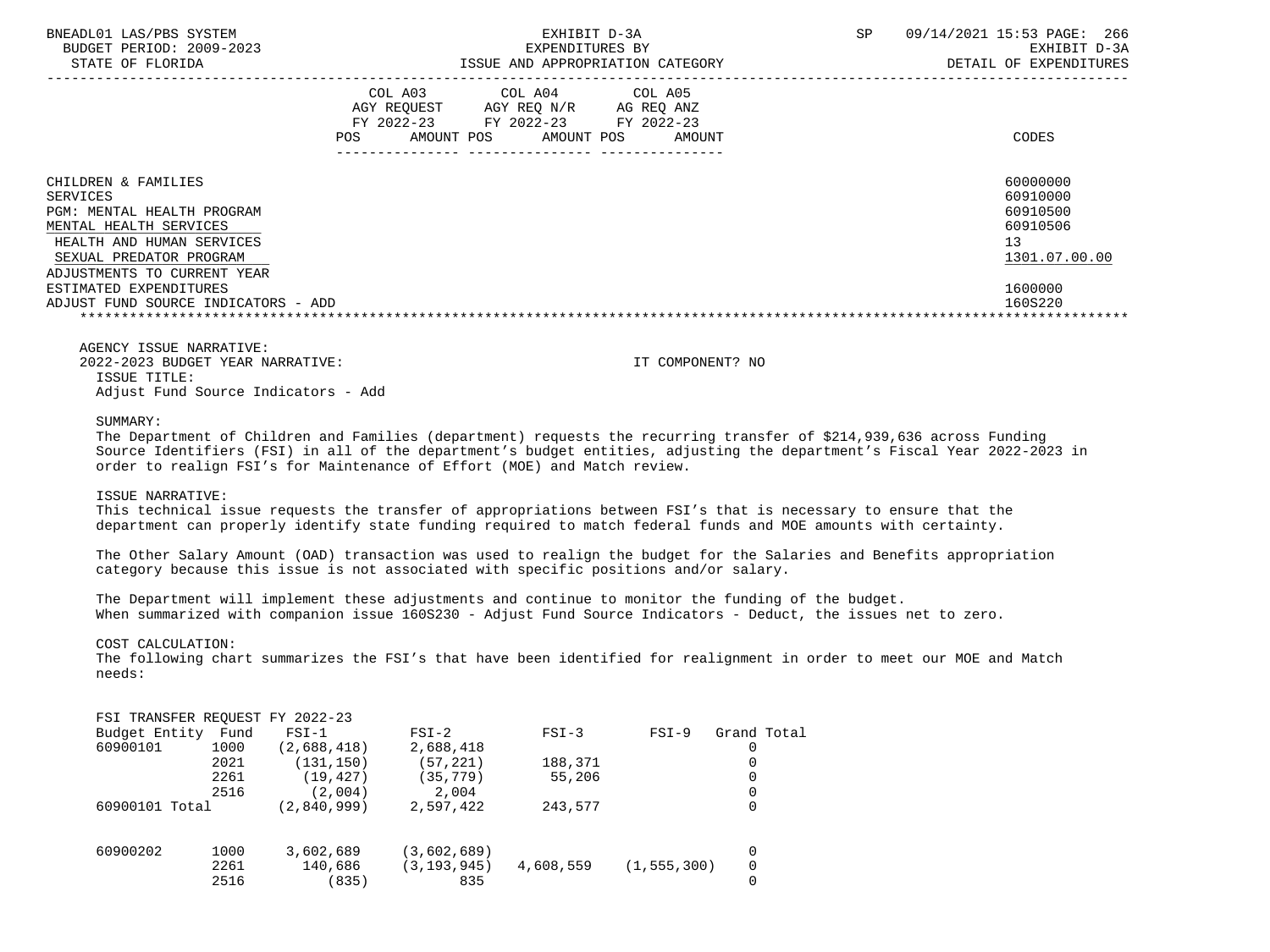| BNEADL01 LAS/PBS SYSTEM<br>BUDGET PERIOD: 2009-2023<br>STATE OF FLORIDA                                                                                                                                                                                                                                                                  |     | EXHIBIT D-3A<br>EXPENDITURES BY                                                                                            | ISSUE AND APPROPRIATION CATEGORY | SP | 09/14/2021 15:53 PAGE: 266<br>EXHIBIT D-3A<br>DETAIL OF EXPENDITURES                      |
|------------------------------------------------------------------------------------------------------------------------------------------------------------------------------------------------------------------------------------------------------------------------------------------------------------------------------------------|-----|----------------------------------------------------------------------------------------------------------------------------|----------------------------------|----|-------------------------------------------------------------------------------------------|
|                                                                                                                                                                                                                                                                                                                                          | POS | COL A03 COL A04 COL A05<br>AGY REQUEST AGY REQ N/R AG REQ ANZ<br>FY 2022-23 FY 2022-23 FY 2022-23<br>AMOUNT POS AMOUNT POS | AMOUNT                           |    | CODES                                                                                     |
| CHILDREN & FAMILIES<br><b>SERVICES</b><br><b>PGM: MENTAL HEALTH PROGRAM</b><br>MENTAL HEALTH SERVICES<br>HEALTH AND HUMAN SERVICES<br>SEXUAL PREDATOR PROGRAM<br>ADJUSTMENTS TO CURRENT YEAR<br>ESTIMATED EXPENDITURES<br>ADJUST FUND SOURCE INDICATORS - ADD                                                                            |     |                                                                                                                            |                                  |    | 60000000<br>60910000<br>60910500<br>60910506<br>13<br>1301.07.00.00<br>1600000<br>160S220 |
| AGENCY ISSUE NARRATIVE:<br>2022-2023 BUDGET YEAR NARRATIVE:<br>ISSUE TITLE:<br>Adjust Fund Source Indicators - Add                                                                                                                                                                                                                       |     |                                                                                                                            | IT COMPONENT? NO                 |    |                                                                                           |
| SUMMARY:<br>The Department of Children and Families (department) requests the recurring transfer of \$214,939,636 across Funding<br>Source Identifiers (FSI) in all of the department's budget entities, adjusting the department's Fiscal Year 2022-2023 in<br>order to realign FSI's for Maintenance of Effort (MOE) and Match review. |     |                                                                                                                            |                                  |    |                                                                                           |

#### ISSUE NARRATIVE:

 This technical issue requests the transfer of appropriations between FSI's that is necessary to ensure that the department can properly identify state funding required to match federal funds and MOE amounts with certainty.

 The Other Salary Amount (OAD) transaction was used to realign the budget for the Salaries and Benefits appropriation category because this issue is not associated with specific positions and/or salary.

 The Department will implement these adjustments and continue to monitor the funding of the budget. When summarized with companion issue 160S230 - Adjust Fund Source Indicators - Deduct, the issues net to zero.

COST CALCULATION:

 The following chart summarizes the FSI's that have been identified for realignment in order to meet our MOE and Match needs:

|  |  |  |  | FSI TRANSFER REQUEST FY 2022-23 |
|--|--|--|--|---------------------------------|
|--|--|--|--|---------------------------------|

| Budget Entity  | Fund | $FSI-1$     | $FSI-2$     | $FSI-3$   | $FSI-9$       | Grand Total |
|----------------|------|-------------|-------------|-----------|---------------|-------------|
| 60900101       | 1000 | (2,688,418) | 2,688,418   |           |               |             |
|                | 2021 | (131, 150)  | 57,221)     | 188,371   |               |             |
|                | 2261 | (19, 427)   | (35,779)    | 55,206    |               |             |
|                | 2516 | (2,004)     | 2,004       |           |               |             |
| 60900101 Total |      | (2,840,999) | 2,597,422   | 243,577   |               |             |
|                |      |             |             |           |               |             |
| 60900202       | 1000 | 3,602,689   | (3,602,689) |           |               |             |
|                | 2261 | 140,686     | (3,193,945) | 4,608,559 | (1, 555, 300) | 0           |
|                | 2516 | (835)       | 835         |           |               |             |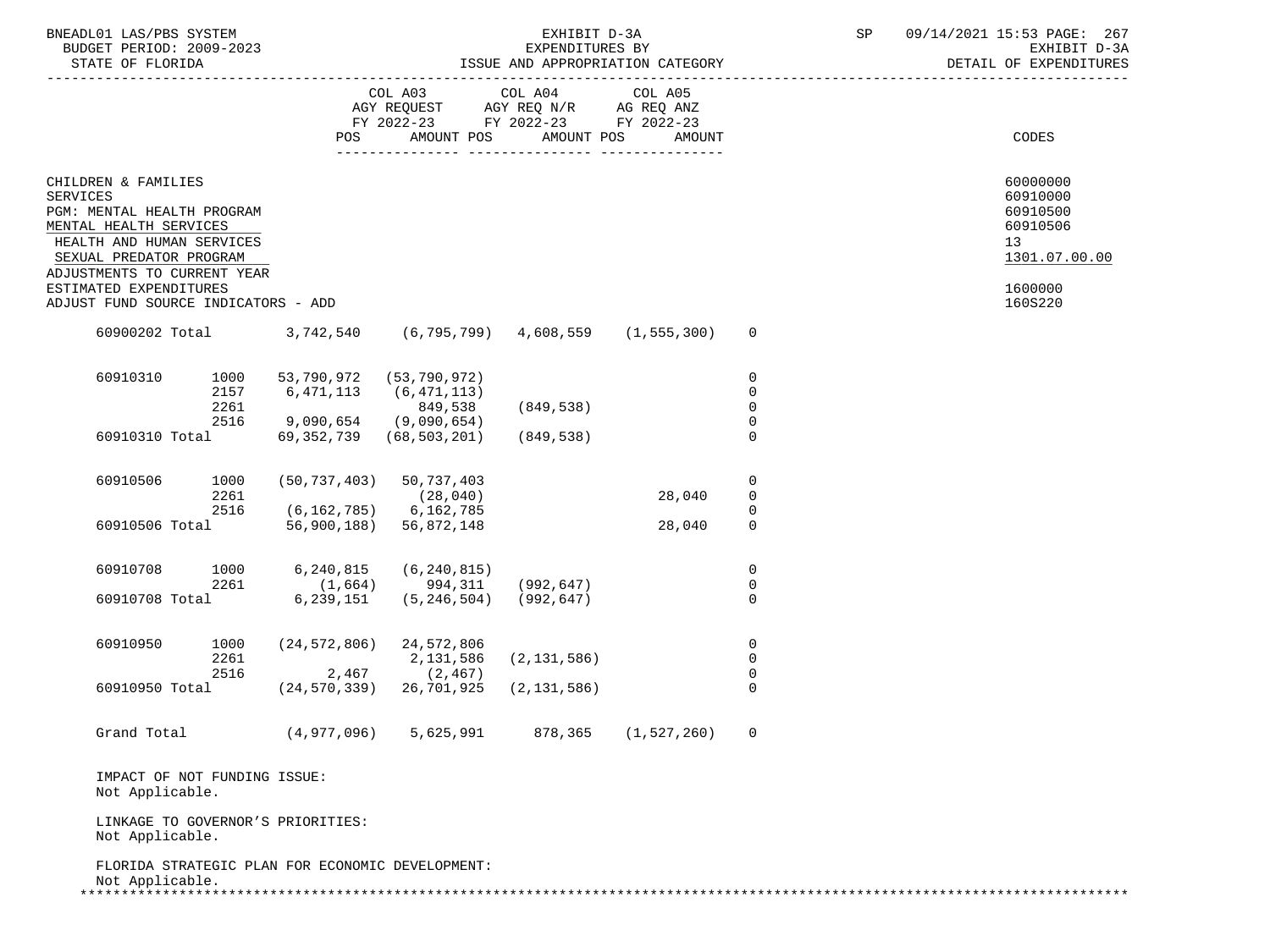| BNEADL01 LAS/PBS SYSTEM |                  |                          | EXHIBIT D-3A                     |  |
|-------------------------|------------------|--------------------------|----------------------------------|--|
|                         |                  | BUDGET PERIOD: 2009-2023 | EXPENDITURES BY                  |  |
|                         | STATE OF FLORIDA |                          | ISSUE AND APPROPRIATION CATEGORY |  |

|                                                                          | POS |                                                                                                                                                                                                                                                                    |                                                                                                                                                                                                                                                                                                                  |                                                                                                                                                                                                                 |                                                                                                                                                                                                                                                                                                                                                                                                                                                                                                                                                                                                                 | CODES                                                               |
|--------------------------------------------------------------------------|-----|--------------------------------------------------------------------------------------------------------------------------------------------------------------------------------------------------------------------------------------------------------------------|------------------------------------------------------------------------------------------------------------------------------------------------------------------------------------------------------------------------------------------------------------------------------------------------------------------|-----------------------------------------------------------------------------------------------------------------------------------------------------------------------------------------------------------------|-----------------------------------------------------------------------------------------------------------------------------------------------------------------------------------------------------------------------------------------------------------------------------------------------------------------------------------------------------------------------------------------------------------------------------------------------------------------------------------------------------------------------------------------------------------------------------------------------------------------|---------------------------------------------------------------------|
| CHILDREN & FAMILIES<br>MENTAL HEALTH SERVICES<br>SEXUAL PREDATOR PROGRAM |     |                                                                                                                                                                                                                                                                    |                                                                                                                                                                                                                                                                                                                  |                                                                                                                                                                                                                 |                                                                                                                                                                                                                                                                                                                                                                                                                                                                                                                                                                                                                 | 60000000<br>60910000<br>60910500<br>60910506<br>13<br>1301.07.00.00 |
| ESTIMATED EXPENDITURES                                                   |     |                                                                                                                                                                                                                                                                    |                                                                                                                                                                                                                                                                                                                  |                                                                                                                                                                                                                 |                                                                                                                                                                                                                                                                                                                                                                                                                                                                                                                                                                                                                 | 1600000<br>160S220                                                  |
|                                                                          |     |                                                                                                                                                                                                                                                                    |                                                                                                                                                                                                                                                                                                                  |                                                                                                                                                                                                                 | $\overline{0}$                                                                                                                                                                                                                                                                                                                                                                                                                                                                                                                                                                                                  |                                                                     |
| 1000<br>2157<br>2261                                                     |     | 849,538                                                                                                                                                                                                                                                            |                                                                                                                                                                                                                                                                                                                  |                                                                                                                                                                                                                 | 0<br>$\mathbf 0$<br>$\Omega$                                                                                                                                                                                                                                                                                                                                                                                                                                                                                                                                                                                    |                                                                     |
|                                                                          |     |                                                                                                                                                                                                                                                                    |                                                                                                                                                                                                                                                                                                                  |                                                                                                                                                                                                                 | $\Omega$                                                                                                                                                                                                                                                                                                                                                                                                                                                                                                                                                                                                        |                                                                     |
| 1000<br>2261                                                             |     |                                                                                                                                                                                                                                                                    |                                                                                                                                                                                                                                                                                                                  | 28,040                                                                                                                                                                                                          | 0<br>0                                                                                                                                                                                                                                                                                                                                                                                                                                                                                                                                                                                                          |                                                                     |
|                                                                          |     |                                                                                                                                                                                                                                                                    |                                                                                                                                                                                                                                                                                                                  | 28,040                                                                                                                                                                                                          | $\Omega$                                                                                                                                                                                                                                                                                                                                                                                                                                                                                                                                                                                                        |                                                                     |
| 2261                                                                     |     |                                                                                                                                                                                                                                                                    |                                                                                                                                                                                                                                                                                                                  |                                                                                                                                                                                                                 | 0<br>0                                                                                                                                                                                                                                                                                                                                                                                                                                                                                                                                                                                                          |                                                                     |
|                                                                          |     |                                                                                                                                                                                                                                                                    |                                                                                                                                                                                                                                                                                                                  |                                                                                                                                                                                                                 | $\Omega$                                                                                                                                                                                                                                                                                                                                                                                                                                                                                                                                                                                                        |                                                                     |
| 1000<br>2261<br>2516                                                     |     | 2,131,586                                                                                                                                                                                                                                                          |                                                                                                                                                                                                                                                                                                                  |                                                                                                                                                                                                                 | $\mathsf{O}$<br>0<br>$\Omega$                                                                                                                                                                                                                                                                                                                                                                                                                                                                                                                                                                                   |                                                                     |
|                                                                          |     |                                                                                                                                                                                                                                                                    |                                                                                                                                                                                                                                                                                                                  |                                                                                                                                                                                                                 | $\Omega$                                                                                                                                                                                                                                                                                                                                                                                                                                                                                                                                                                                                        |                                                                     |
|                                                                          |     | 5,625,991                                                                                                                                                                                                                                                          |                                                                                                                                                                                                                                                                                                                  |                                                                                                                                                                                                                 | 0                                                                                                                                                                                                                                                                                                                                                                                                                                                                                                                                                                                                               |                                                                     |
| Not Applicable.                                                          |     |                                                                                                                                                                                                                                                                    |                                                                                                                                                                                                                                                                                                                  |                                                                                                                                                                                                                 |                                                                                                                                                                                                                                                                                                                                                                                                                                                                                                                                                                                                                 |                                                                     |
| Not Applicable.                                                          |     |                                                                                                                                                                                                                                                                    |                                                                                                                                                                                                                                                                                                                  |                                                                                                                                                                                                                 |                                                                                                                                                                                                                                                                                                                                                                                                                                                                                                                                                                                                                 |                                                                     |
|                                                                          |     | PGM: MENTAL HEALTH PROGRAM<br>HEALTH AND HUMAN SERVICES<br>ADJUSTMENTS TO CURRENT YEAR<br>ADJUST FUND SOURCE INDICATORS - ADD<br>60900202 Total 3,742,540<br>60910310 Total<br>60910708 Total<br>IMPACT OF NOT FUNDING ISSUE:<br>LINKAGE TO GOVERNOR'S PRIORITIES: | 53,790,972 (53,790,972)<br>6,471,113 (6,471,113)<br>2516 9,090,654 (9,090,654)<br>$(50, 737, 403)$ 50, 737, 403<br>(28, 040)<br>2516 (6,162,785) 6,162,785<br>60910506 Total 56,900,188) 56,872,148<br>$(24, 572, 806)$ 24, 572, 806<br>$2,467$ (2,467)<br>60910950 Total (24,570,339) 26,701,925<br>(4,977,096) | AMOUNT POS<br>(849, 538)<br>69, 352, 739 (68, 503, 201) (849, 538)<br>1000 6,240,815 (6,240,815)<br>$(1,664)$ 994,311 (992,647)<br>$6, 239, 151$ $(5, 246, 504)$ $(992, 647)$<br>(2, 131, 586)<br>(2, 131, 586) | $\begin{tabular}{lllllllllll} \multicolumn{4}{l} \multicolumn{4}{c}{} & \multicolumn{4}{c}{} & \multicolumn{4}{c}{} & \multicolumn{4}{c}{} & \multicolumn{4}{c}{} & \multicolumn{4}{c}{} & \multicolumn{4}{c}{} & \multicolumn{4}{c}{} & \multicolumn{4}{c}{} & \multicolumn{4}{c}{} & \multicolumn{4}{c}{} & \multicolumn{4}{c}{} & \multicolumn{4}{c}{} & \multicolumn{4}{c}{} & \multicolumn{4}{c}{} & \multicolumn{4}{c}{} & \multicolumn{4}{c}{} & \multicolumn{4}{c}{} &$<br>FY 2022-23 FY 2022-23 FY 2022-23<br>AMOUNT POS<br>AMOUNT<br>$(6, 795, 799)$ 4,608,559 $(1, 555, 300)$<br>878,365 (1,527,260) | $\mathbf 0$<br>0                                                    |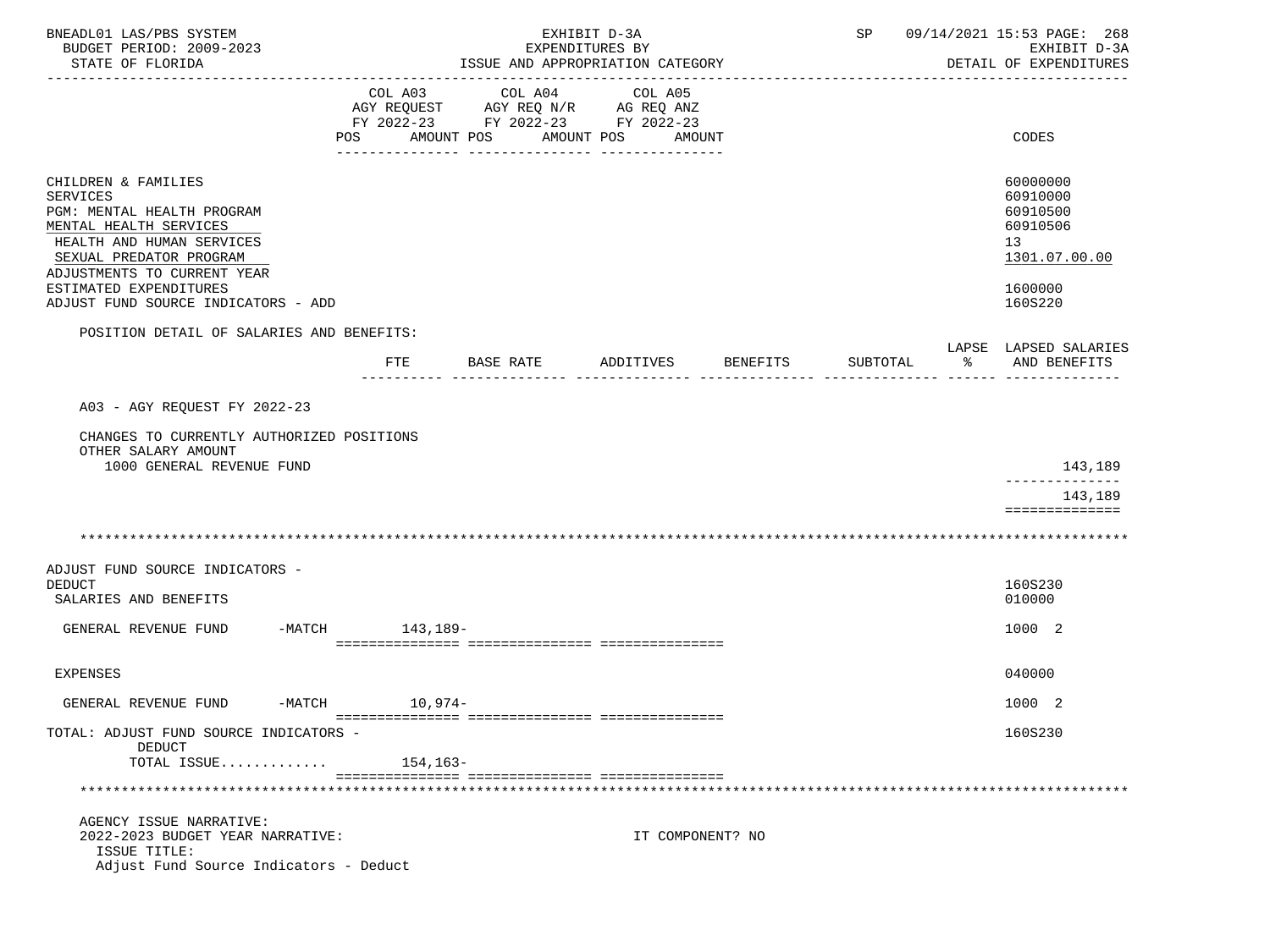| BNEADL01 LAS/PBS SYSTEM                                                                                                                                                                                                                                                                             |                 |               | EXHIBIT D-3A                                        |                  | SP               | 09/14/2021 15:53 PAGE: 268                                                                                         |              |
|-----------------------------------------------------------------------------------------------------------------------------------------------------------------------------------------------------------------------------------------------------------------------------------------------------|-----------------|---------------|-----------------------------------------------------|------------------|------------------|--------------------------------------------------------------------------------------------------------------------|--------------|
| BUDGET PERIOD: 2009-2023<br>STATE OF FLORIDA                                                                                                                                                                                                                                                        |                 |               | EXPENDITURES BY<br>ISSUE AND APPROPRIATION CATEGORY |                  |                  | DETAIL OF EXPENDITURES                                                                                             | EXHIBIT D-3A |
|                                                                                                                                                                                                                                                                                                     |                 |               |                                                     |                  |                  |                                                                                                                    |              |
|                                                                                                                                                                                                                                                                                                     | COL A03         | COL A04       | COL A05                                             |                  |                  |                                                                                                                    |              |
|                                                                                                                                                                                                                                                                                                     |                 |               | AGY REQUEST AGY REQ N/R AG REQ ANZ                  |                  |                  |                                                                                                                    |              |
|                                                                                                                                                                                                                                                                                                     |                 |               | FY 2022-23 FY 2022-23 FY 2022-23                    |                  |                  |                                                                                                                    |              |
|                                                                                                                                                                                                                                                                                                     | POS             | AMOUNT POS    | AMOUNT POS                                          | AMOUNT           |                  | CODES                                                                                                              |              |
| CHILDREN & FAMILIES<br><b>SERVICES</b><br>PGM: MENTAL HEALTH PROGRAM<br>MENTAL HEALTH SERVICES<br>HEALTH AND HUMAN SERVICES<br>SEXUAL PREDATOR PROGRAM<br>ADJUSTMENTS TO CURRENT YEAR<br>ESTIMATED EXPENDITURES<br>ADJUST FUND SOURCE INDICATORS - ADD<br>POSITION DETAIL OF SALARIES AND BENEFITS: |                 |               |                                                     |                  |                  | 60000000<br>60910000<br>60910500<br>60910506<br>13<br>1301.07.00.00<br>1600000<br>160S220<br>LAPSE LAPSED SALARIES |              |
|                                                                                                                                                                                                                                                                                                     |                 | FTE BASE RATE | ADDITIVES                                           | BENEFITS         | SUBTOTAL         | ႜ<br>AND BENEFITS                                                                                                  |              |
|                                                                                                                                                                                                                                                                                                     |                 |               |                                                     |                  | --------- ------ |                                                                                                                    |              |
| A03 - AGY REQUEST FY 2022-23                                                                                                                                                                                                                                                                        |                 |               |                                                     |                  |                  |                                                                                                                    |              |
| CHANGES TO CURRENTLY AUTHORIZED POSITIONS<br>OTHER SALARY AMOUNT                                                                                                                                                                                                                                    |                 |               |                                                     |                  |                  |                                                                                                                    |              |
| 1000 GENERAL REVENUE FUND                                                                                                                                                                                                                                                                           |                 |               |                                                     |                  |                  | --------------                                                                                                     | 143,189      |
|                                                                                                                                                                                                                                                                                                     |                 |               |                                                     |                  |                  | ==============                                                                                                     | 143,189      |
|                                                                                                                                                                                                                                                                                                     |                 |               |                                                     |                  |                  |                                                                                                                    |              |
| ADJUST FUND SOURCE INDICATORS -<br><b>DEDUCT</b><br>SALARIES AND BENEFITS                                                                                                                                                                                                                           |                 |               |                                                     |                  |                  | 160S230<br>010000                                                                                                  |              |
|                                                                                                                                                                                                                                                                                                     |                 |               |                                                     |                  |                  |                                                                                                                    |              |
| GENERAL REVENUE FUND                                                                                                                                                                                                                                                                                | -MATCH 143,189- |               |                                                     |                  |                  | 1000 2                                                                                                             |              |
|                                                                                                                                                                                                                                                                                                     |                 |               |                                                     |                  |                  |                                                                                                                    |              |
| EXPENSES                                                                                                                                                                                                                                                                                            |                 |               |                                                     |                  |                  | 040000                                                                                                             |              |
| GENERAL REVENUE FUND                                                                                                                                                                                                                                                                                | -MATCH 10,974-  |               |                                                     |                  |                  | 1000 2                                                                                                             |              |
| TOTAL: ADJUST FUND SOURCE INDICATORS -<br>DEDUCT                                                                                                                                                                                                                                                    |                 |               |                                                     |                  |                  | 160S230                                                                                                            |              |
| TOTAL ISSUE                                                                                                                                                                                                                                                                                         | 154,163-        |               |                                                     |                  |                  |                                                                                                                    |              |
|                                                                                                                                                                                                                                                                                                     |                 |               |                                                     |                  |                  |                                                                                                                    |              |
|                                                                                                                                                                                                                                                                                                     |                 |               |                                                     |                  |                  |                                                                                                                    |              |
| AGENCY ISSUE NARRATIVE:<br>2022-2023 BUDGET YEAR NARRATIVE:<br>ISSUE TITLE:<br>Adjust Fund Source Indicators - Deduct                                                                                                                                                                               |                 |               |                                                     | IT COMPONENT? NO |                  |                                                                                                                    |              |
|                                                                                                                                                                                                                                                                                                     |                 |               |                                                     |                  |                  |                                                                                                                    |              |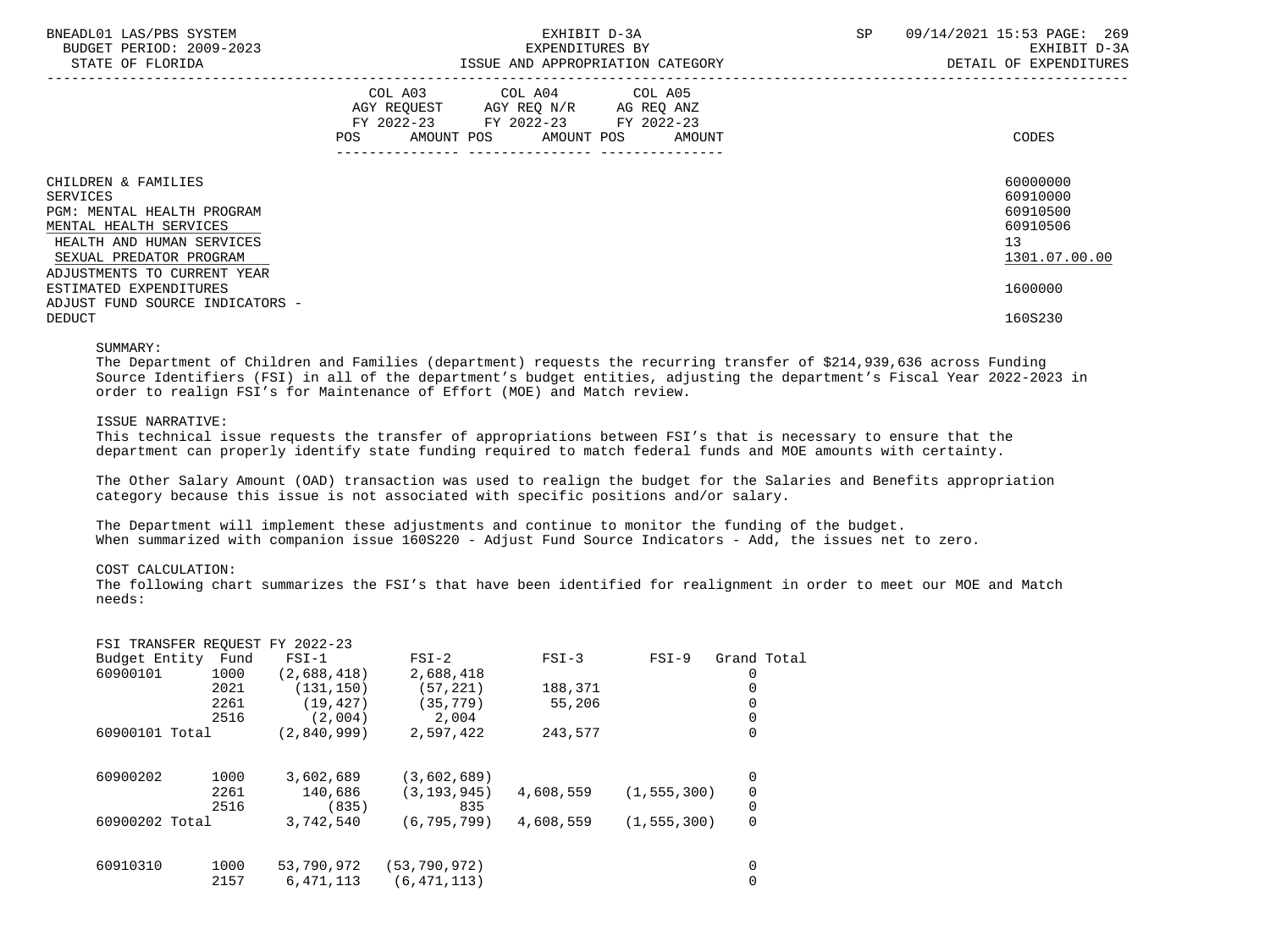| BNEADL01 LAS/PBS SYSTEM<br>BUDGET PERIOD: 2009-2023<br>STATE OF FLORIDA                  | EXHIBIT D-3A<br>EXPENDITURES BY<br>ISSUE AND APPROPRIATION CATEGORY                                                                         | 09/14/2021 15:53 PAGE: 269<br>SP<br>EXHIBIT D-3A<br>DETAIL OF EXPENDITURES |
|------------------------------------------------------------------------------------------|---------------------------------------------------------------------------------------------------------------------------------------------|----------------------------------------------------------------------------|
|                                                                                          | COL A03 COL A04 COL A05<br>AGY REQUEST AGY REQ N/R AG REQ ANZ<br>FY 2022-23 FY 2022-23 FY 2022-23<br>AMOUNT POS AMOUNT POS<br>POS<br>AMOUNT | CODES                                                                      |
| CHILDREN & FAMILIES<br>SERVICES                                                          |                                                                                                                                             | 60000000<br>60910000                                                       |
| PGM: MENTAL HEALTH PROGRAM<br>MENTAL HEALTH SERVICES                                     |                                                                                                                                             | 60910500<br>60910506                                                       |
| HEALTH AND HUMAN SERVICES<br>SEXUAL PREDATOR PROGRAM                                     |                                                                                                                                             | 13<br>1301.07.00.00                                                        |
| ADJUSTMENTS TO CURRENT YEAR<br>ESTIMATED EXPENDITURES<br>ADJUST FUND SOURCE INDICATORS - |                                                                                                                                             | 1600000                                                                    |
| <b>DEDUCT</b>                                                                            |                                                                                                                                             | 160S230                                                                    |

#### SUMMARY:

 The Department of Children and Families (department) requests the recurring transfer of \$214,939,636 across Funding Source Identifiers (FSI) in all of the department's budget entities, adjusting the department's Fiscal Year 2022-2023 in order to realign FSI's for Maintenance of Effort (MOE) and Match review.

### ISSUE NARRATIVE:

 This technical issue requests the transfer of appropriations between FSI's that is necessary to ensure that the department can properly identify state funding required to match federal funds and MOE amounts with certainty.

 The Other Salary Amount (OAD) transaction was used to realign the budget for the Salaries and Benefits appropriation category because this issue is not associated with specific positions and/or salary.

 The Department will implement these adjustments and continue to monitor the funding of the budget. When summarized with companion issue 160S220 - Adjust Fund Source Indicators - Add, the issues net to zero.

# COST CALCULATION:

 The following chart summarizes the FSI's that have been identified for realignment in order to meet our MOE and Match needs:

| FSI TRANSFER REQUEST FY |      | 2022-23     |                |           |               |             |  |
|-------------------------|------|-------------|----------------|-----------|---------------|-------------|--|
| Budget Entity           | Fund | $FSI-1$     | $FSI-2$        | $FSI-3$   | $FSI-9$       | Grand Total |  |
| 60900101                | 1000 | (2,688,418) | 2,688,418      |           |               |             |  |
|                         | 2021 | (131, 150)  | (57, 221)      | 188,371   |               | 0           |  |
|                         | 2261 | (19, 427)   | (35, 779)      | 55,206    |               | 0           |  |
|                         | 2516 | (2,004)     | 2,004          |           |               |             |  |
| 60900101 Total          |      | (2.840.999) | 2,597,422      | 243,577   |               | 0           |  |
|                         |      |             |                |           |               |             |  |
| 60900202                | 1000 | 3,602,689   | (3,602,689)    |           |               | 0           |  |
|                         | 2261 | 140,686     | (3, 193, 945)  | 4,608,559 | (1, 555, 300) | 0           |  |
|                         | 2516 | (835)       | 835            |           |               | 0           |  |
| 60900202 Total          |      | 3,742,540   | (6, 795, 799)  | 4,608,559 | (1, 555, 300) | 0           |  |
| 60910310                | 1000 | 53,790,972  | (53, 790, 972) |           |               | 0           |  |
|                         | 2157 | 6,471,113   | (6, 471, 113)  |           |               |             |  |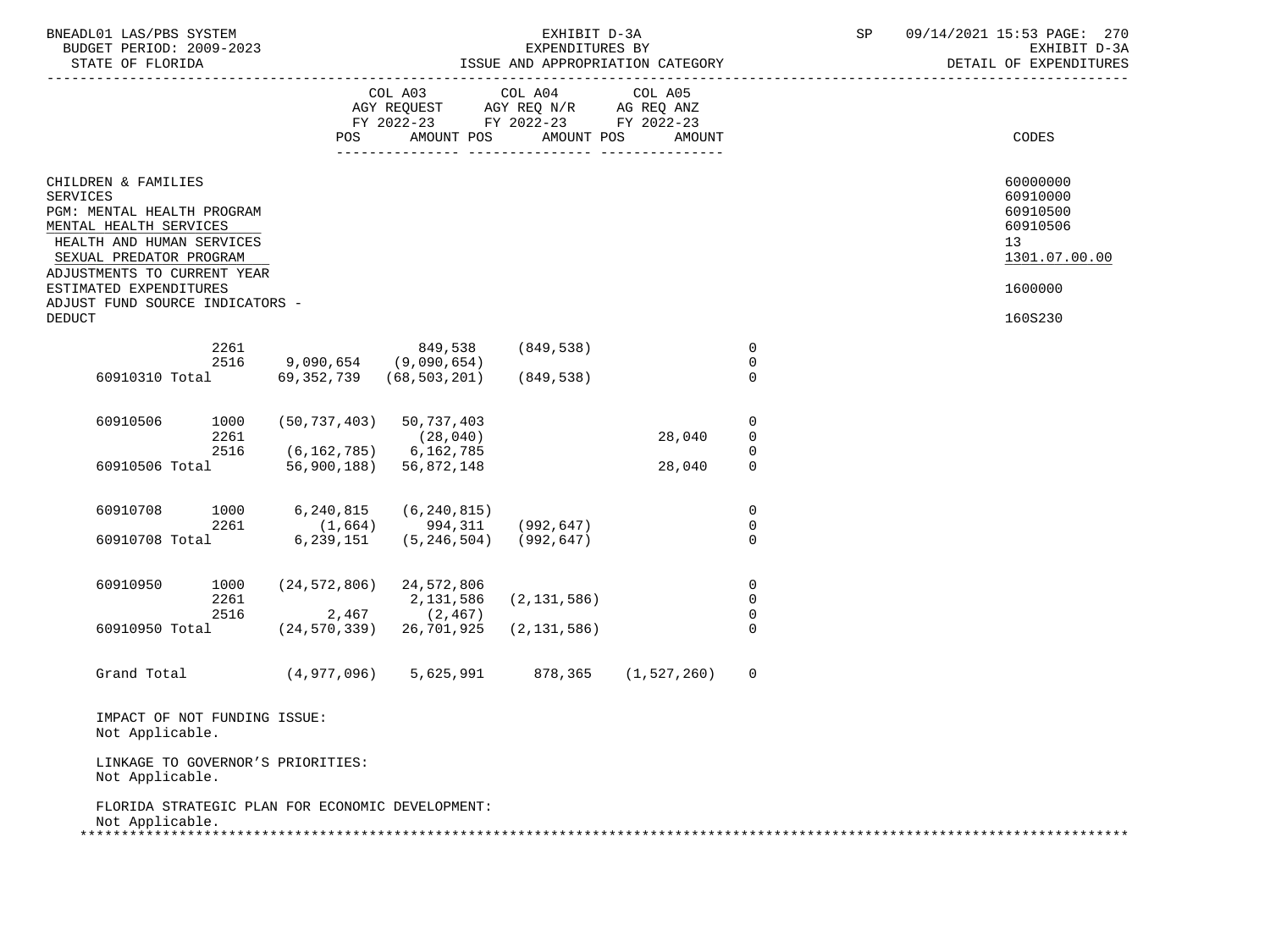| BNEADL01 LAS/PBS SYSTEM<br>BUDGET PERIOD: 2009-2023<br>STATE OF FLORIDA                                                                                                               |                      |                                                              |                                                                                                         | EXHIBIT D-3A<br>EXPENDITURES BY | ISSUE AND APPROPRIATION CATEGORY |                                 | SP | 09/14/2021 15:53 PAGE: 270<br>EXHIBIT D-3A<br>DETAIL OF EXPENDITURES |
|---------------------------------------------------------------------------------------------------------------------------------------------------------------------------------------|----------------------|--------------------------------------------------------------|---------------------------------------------------------------------------------------------------------|---------------------------------|----------------------------------|---------------------------------|----|----------------------------------------------------------------------|
|                                                                                                                                                                                       |                      | POS                                                          | COL A03 COL A04<br>AGY REQUEST AGY REQ N/R AG REQ ANZ<br>FY 2022-23 FY 2022-23 FY 2022-23<br>AMOUNT POS | AMOUNT POS<br>________________  | COL A05<br>AMOUNT                |                                 |    | CODES                                                                |
| CHILDREN & FAMILIES<br><b>SERVICES</b><br>PGM: MENTAL HEALTH PROGRAM<br>MENTAL HEALTH SERVICES<br>HEALTH AND HUMAN SERVICES<br>SEXUAL PREDATOR PROGRAM<br>ADJUSTMENTS TO CURRENT YEAR |                      |                                                              |                                                                                                         |                                 |                                  |                                 |    | 60000000<br>60910000<br>60910500<br>60910506<br>13<br>1301.07.00.00  |
| ESTIMATED EXPENDITURES<br>ADJUST FUND SOURCE INDICATORS -                                                                                                                             |                      |                                                              |                                                                                                         |                                 |                                  |                                 |    | 1600000                                                              |
| <b>DEDUCT</b>                                                                                                                                                                         | 2261<br>2516         | 9,090,654 (9,090,654)                                        | 849,538 (849,538)<br>60910310 Total 69,352,739 (68,503,201)                                             | (849,538)                       |                                  | $\overline{0}$<br>0<br>$\Omega$ |    | 160S230                                                              |
| 60910506                                                                                                                                                                              | 1000<br>2261<br>2516 | $(50, 737, 403)$ 50, 737, 403<br>$(6, 162, 785)$ 6, 162, 785 | (28, 040)                                                                                               |                                 | 28,040                           | 0<br>$\overline{0}$<br>0        |    |                                                                      |
| 60910506 Total                                                                                                                                                                        |                      | 56,900,188) 56,872,148                                       |                                                                                                         |                                 | 28,040                           | $\mathbf 0$                     |    |                                                                      |
| 60910708<br>60910708 Total                                                                                                                                                            | 2261                 | 1000 6,240,815<br>6,239,151                                  | (6, 240, 815)<br>$(1,664)$ 994,311<br>$(5, 246, 504)$ (992,647)                                         | (992,647)                       |                                  | 0<br>0<br>$\Omega$              |    |                                                                      |
| 60910950                                                                                                                                                                              | 1000<br>2261<br>2516 | $(24, 572, 806)$ 24, 572, 806<br>$2,467$ (2,467)             | 2,131,586                                                                                               | (2, 131, 586)                   |                                  | 0<br>0<br>0                     |    |                                                                      |
| 60910950 Total                                                                                                                                                                        |                      | $(24, 570, 339)$ 26,701,925                                  |                                                                                                         | (2, 131, 586)                   |                                  | $\Omega$                        |    |                                                                      |
| Grand Total                                                                                                                                                                           |                      |                                                              | $(4,977,096)$ 5,625,991 878,365 (1,527,260)                                                             |                                 |                                  | 0                               |    |                                                                      |
| IMPACT OF NOT FUNDING ISSUE:<br>Not Applicable.                                                                                                                                       |                      |                                                              |                                                                                                         |                                 |                                  |                                 |    |                                                                      |
| LINKAGE TO GOVERNOR'S PRIORITIES:<br>Not Applicable.                                                                                                                                  |                      |                                                              |                                                                                                         |                                 |                                  |                                 |    |                                                                      |
| Not Applicable.                                                                                                                                                                       |                      | FLORIDA STRATEGIC PLAN FOR ECONOMIC DEVELOPMENT:             |                                                                                                         |                                 |                                  |                                 |    |                                                                      |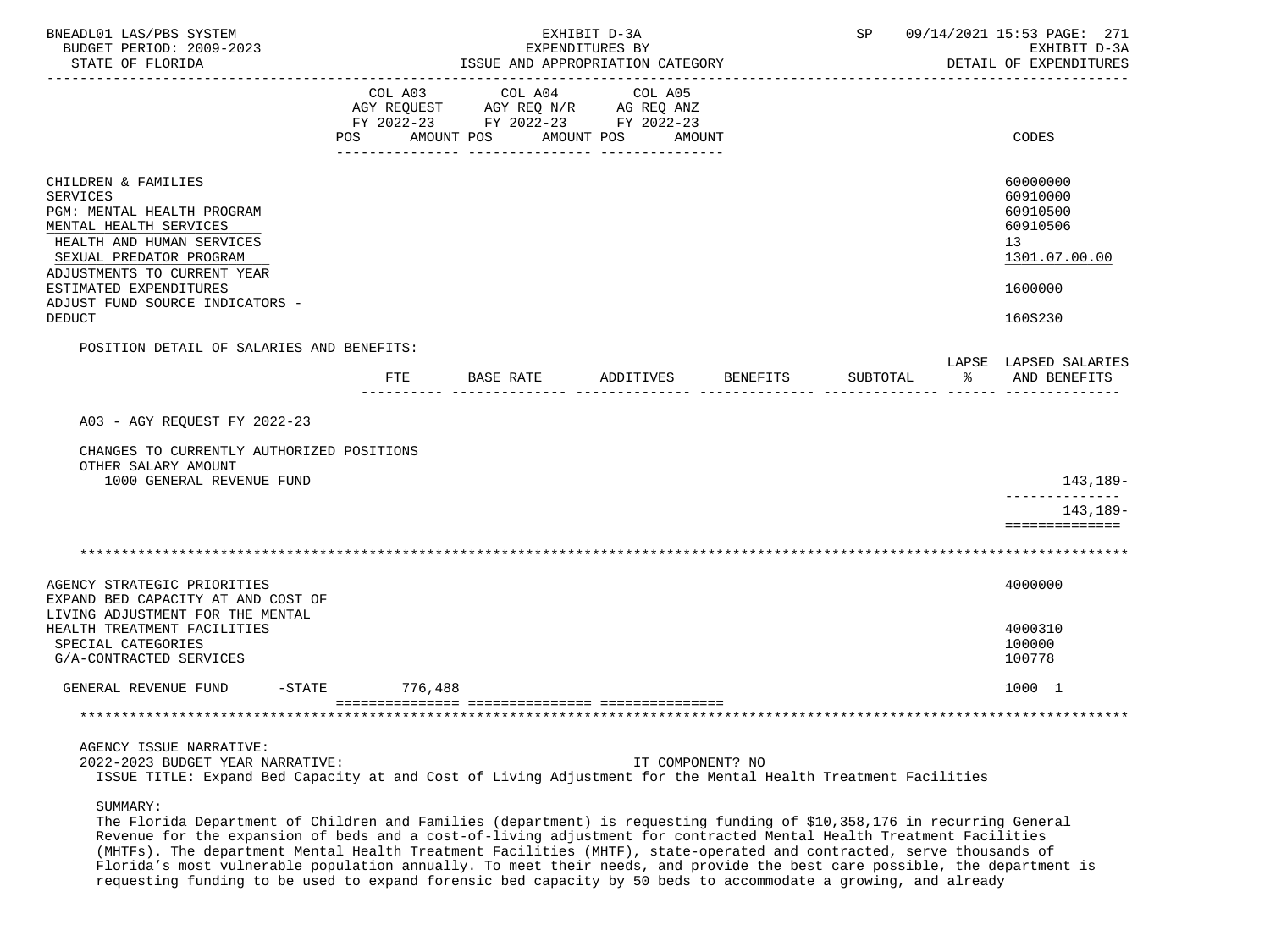| BNEADL01 LAS/PBS SYSTEM<br>BUDGET PERIOD: 2009-2023<br>STATE OF FLORIDA                                                                                                                                                                                             | EXHIBIT D-3A<br>EXPENDITURES BY<br>ISSUE AND APPROPRIATION CATEGORY |                                                                                                                                |                   |                 |          |   | SP 09/14/2021 15:53 PAGE: 271<br>EXHIBIT D-3A<br>DETAIL OF EXPENDITURES                   |
|---------------------------------------------------------------------------------------------------------------------------------------------------------------------------------------------------------------------------------------------------------------------|---------------------------------------------------------------------|--------------------------------------------------------------------------------------------------------------------------------|-------------------|-----------------|----------|---|-------------------------------------------------------------------------------------------|
|                                                                                                                                                                                                                                                                     | COL A03<br>AMOUNT POS<br><b>POS</b>                                 | COL A04<br>AGY REQUEST AGY REQ N/R AG REQ ANZ<br>FY 2022-23 FY 2022-23 FY 2022-23<br>AMOUNT POS<br><u>-- ---------------</u> - | COL A05<br>AMOUNT |                 |          |   | CODES                                                                                     |
| CHILDREN & FAMILIES<br><b>SERVICES</b><br>PGM: MENTAL HEALTH PROGRAM<br>MENTAL HEALTH SERVICES<br>HEALTH AND HUMAN SERVICES<br>SEXUAL PREDATOR PROGRAM<br>ADJUSTMENTS TO CURRENT YEAR<br>ESTIMATED EXPENDITURES<br>ADJUST FUND SOURCE INDICATORS -<br><b>DEDUCT</b> |                                                                     |                                                                                                                                |                   |                 |          |   | 60000000<br>60910000<br>60910500<br>60910506<br>13<br>1301.07.00.00<br>1600000<br>160S230 |
| POSITION DETAIL OF SALARIES AND BENEFITS:                                                                                                                                                                                                                           |                                                                     | FTE BASE RATE                                                                                                                  | ADDITIVES         | <b>BENEFITS</b> | SUBTOTAL | ႜ | LAPSE LAPSED SALARIES<br>AND BENEFITS                                                     |
| A03 - AGY REQUEST FY 2022-23<br>CHANGES TO CURRENTLY AUTHORIZED POSITIONS<br>OTHER SALARY AMOUNT<br>1000 GENERAL REVENUE FUND                                                                                                                                       |                                                                     |                                                                                                                                |                   |                 |          |   | 143,189-                                                                                  |
|                                                                                                                                                                                                                                                                     |                                                                     |                                                                                                                                |                   |                 |          |   | --------------<br>143,189-<br>==============                                              |
|                                                                                                                                                                                                                                                                     |                                                                     |                                                                                                                                |                   |                 |          |   |                                                                                           |
| AGENCY STRATEGIC PRIORITIES<br>EXPAND BED CAPACITY AT AND COST OF<br>LIVING ADJUSTMENT FOR THE MENTAL                                                                                                                                                               |                                                                     |                                                                                                                                |                   |                 |          |   | 4000000                                                                                   |
| HEALTH TREATMENT FACILITIES<br>SPECIAL CATEGORIES<br>G/A-CONTRACTED SERVICES                                                                                                                                                                                        |                                                                     |                                                                                                                                |                   |                 |          |   | 4000310<br>100000<br>100778                                                               |
| GENERAL REVENUE FUND                                                                                                                                                                                                                                                | $-STATE$ 776,488                                                    |                                                                                                                                |                   |                 |          |   | 1000 1                                                                                    |
|                                                                                                                                                                                                                                                                     |                                                                     |                                                                                                                                |                   |                 |          |   |                                                                                           |
| AGENCY ISSUE NARRATIVE:<br>2022-2023 BUDGET YEAR NARRATIVE:<br>ISSUE TITLE: Expand Bed Capacity at and Cost of Living Adjustment for the Mental Health Treatment Facilities                                                                                         |                                                                     |                                                                                                                                | IT COMPONENT? NO  |                 |          |   |                                                                                           |

SUMMARY:

 The Florida Department of Children and Families (department) is requesting funding of \$10,358,176 in recurring General Revenue for the expansion of beds and a cost-of-living adjustment for contracted Mental Health Treatment Facilities (MHTFs). The department Mental Health Treatment Facilities (MHTF), state-operated and contracted, serve thousands of Florida's most vulnerable population annually. To meet their needs, and provide the best care possible, the department is requesting funding to be used to expand forensic bed capacity by 50 beds to accommodate a growing, and already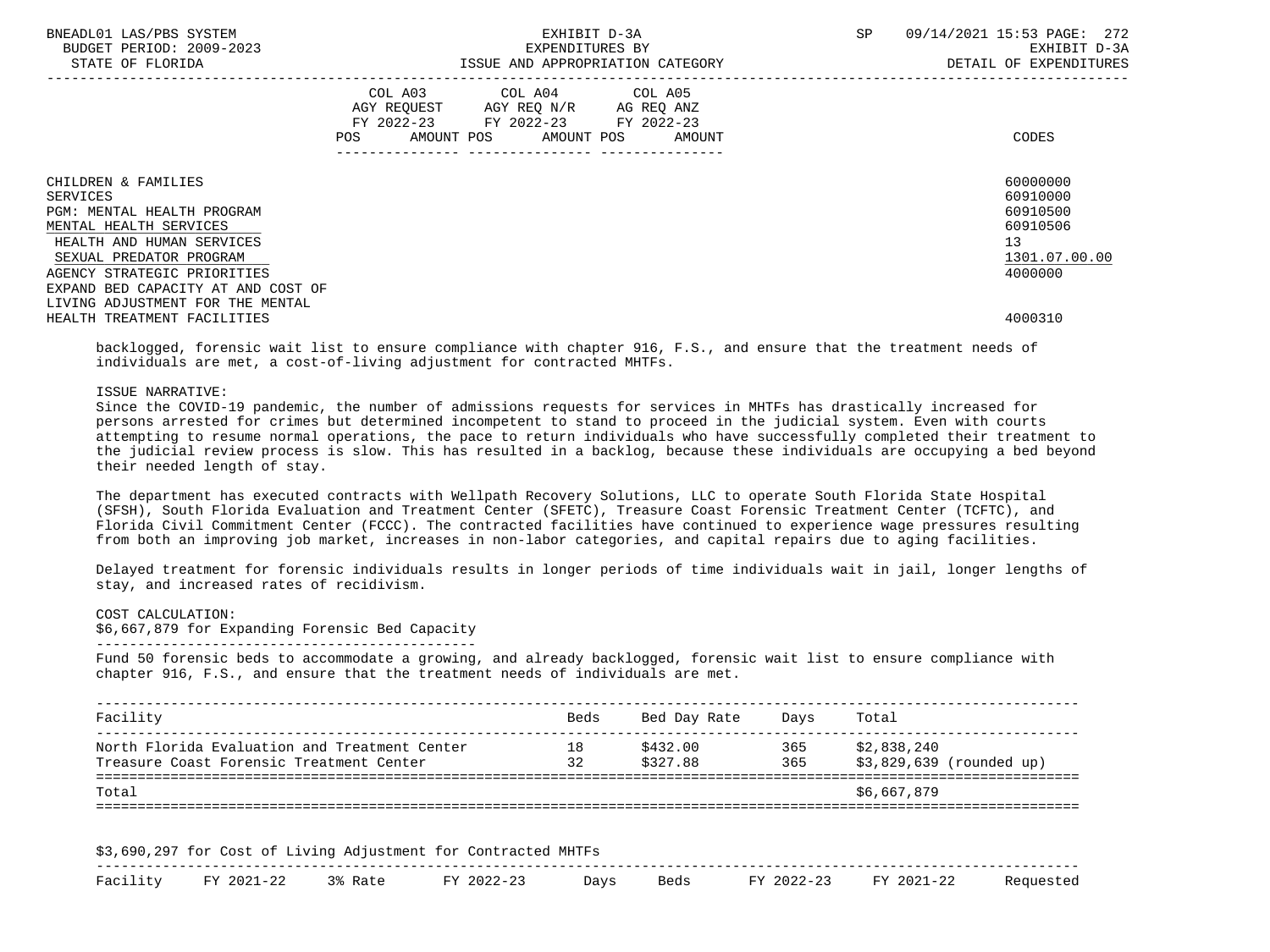| BNEADL01 LAS/PBS SYSTEM<br>BUDGET PERIOD: 2009-2023<br>STATE OF FLORIDA                                                                                                                                                     | EXHIBIT D-3A<br>EXPENDITURES BY<br>ISSUE AND APPROPRIATION CATEGORY                                                                         | SP<br>09/14/2021 15:53 PAGE: 272<br>EXHIBIT D-3A<br>DETAIL OF EXPENDITURES     |
|-----------------------------------------------------------------------------------------------------------------------------------------------------------------------------------------------------------------------------|---------------------------------------------------------------------------------------------------------------------------------------------|--------------------------------------------------------------------------------|
|                                                                                                                                                                                                                             | COL A03 COL A04 COL A05<br>AGY REQUEST AGY REQ N/R AG REQ ANZ<br>FY 2022-23 FY 2022-23 FY 2022-23<br>AMOUNT POS AMOUNT POS<br>POS<br>AMOUNT | CODES                                                                          |
| CHILDREN & FAMILIES<br>SERVICES<br><b>PGM: MENTAL HEALTH PROGRAM</b><br>MENTAL HEALTH SERVICES<br>HEALTH AND HUMAN SERVICES<br>SEXUAL PREDATOR PROGRAM<br>AGENCY STRATEGIC PRIORITIES<br>EXPAND BED CAPACITY AT AND COST OF |                                                                                                                                             | 60000000<br>60910000<br>60910500<br>60910506<br>13<br>1301.07.00.00<br>4000000 |
| LIVING ADJUSTMENT FOR THE MENTAL<br>HEALTH TREATMENT FACILITIES                                                                                                                                                             |                                                                                                                                             | 4000310                                                                        |

 backlogged, forensic wait list to ensure compliance with chapter 916, F.S., and ensure that the treatment needs of individuals are met, a cost-of-living adjustment for contracted MHTFs.

ISSUE NARRATIVE:

 Since the COVID-19 pandemic, the number of admissions requests for services in MHTFs has drastically increased for persons arrested for crimes but determined incompetent to stand to proceed in the judicial system. Even with courts attempting to resume normal operations, the pace to return individuals who have successfully completed their treatment to the judicial review process is slow. This has resulted in a backlog, because these individuals are occupying a bed beyond their needed length of stay.

 The department has executed contracts with Wellpath Recovery Solutions, LLC to operate South Florida State Hospital (SFSH), South Florida Evaluation and Treatment Center (SFETC), Treasure Coast Forensic Treatment Center (TCFTC), and Florida Civil Commitment Center (FCCC). The contracted facilities have continued to experience wage pressures resulting from both an improving job market, increases in non-labor categories, and capital repairs due to aging facilities.

 Delayed treatment for forensic individuals results in longer periods of time individuals wait in jail, longer lengths of stay, and increased rates of recidivism.

COST CALCULATION:

 \$6,667,879 for Expanding Forensic Bed Capacity ----------------------------------------------

 Fund 50 forensic beds to accommodate a growing, and already backlogged, forensic wait list to ensure compliance with chapter 916, F.S., and ensure that the treatment needs of individuals are met.

| Facility                                                                                  | Beds     | Bed Day Rate         | Davs       | Total                                   |
|-------------------------------------------------------------------------------------------|----------|----------------------|------------|-----------------------------------------|
| North Florida Evaluation and Treatment Center<br>Treasure Coast Forensic Treatment Center | 18<br>32 | \$432.00<br>\$327.88 | 365<br>365 | \$2,838,240<br>\$3,829,639 (rounded up) |
| Total                                                                                     |          |                      |            | \$6,667,879                             |

| GQN<br>$\overline{\phantom{a}}$ | ∩o e t<br>.          | $\pi$ $\pi$ | $\Delta$ dirchmeni<br>- 10 | י ה'      | ⊤י ∩רי | -----<br>. . H. G    |  |            |                     |  |
|---------------------------------|----------------------|-------------|----------------------------|-----------|--------|----------------------|--|------------|---------------------|--|
| __<br>$T - T$                   | <b>TRAZ</b><br>ר ה ר |             |                            | <b>DV</b> |        | ס זרבר<br><u>Jay</u> |  | <b>TRA</b> | <b>FV</b><br>- 2022 |  |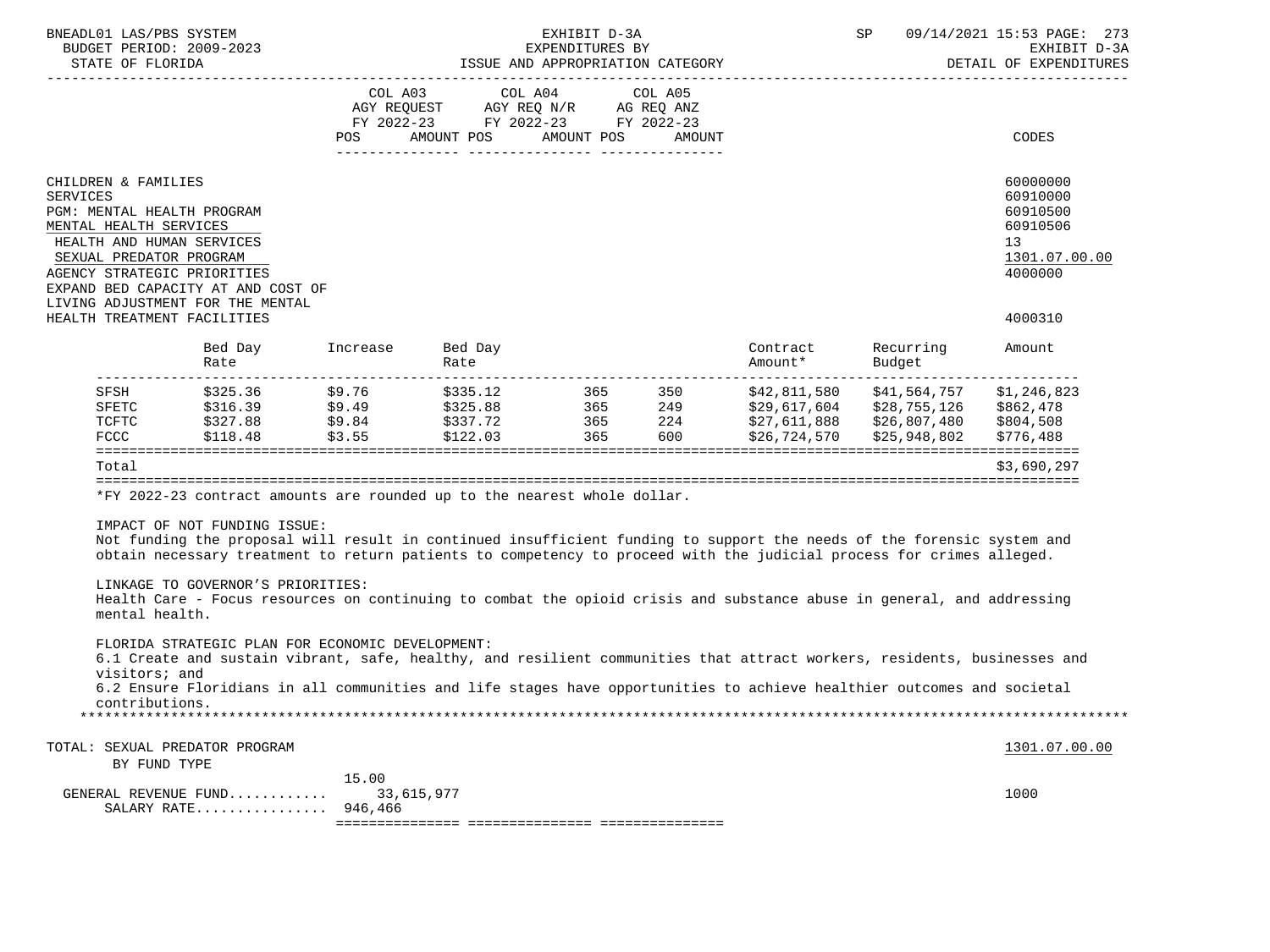|                 | BNEADL01 LAS/PBS SYSTEM<br>BUDGET PERIOD: 2009-2023<br>STATE OF FLORIDA                                                                                            |                                                                                                                                                                                                                                                                                                        |                                |                                                                                                 | EXHIBIT D-3A<br>EXPENDITURES BY | ISSUE AND APPROPRIATION CATEGORY |                     | $\mathsf{SP}^-$                                                                  | 09/14/2021 15:53 PAGE: 273<br>EXHIBIT D-3A<br>DETAIL OF EXPENDITURES           |
|-----------------|--------------------------------------------------------------------------------------------------------------------------------------------------------------------|--------------------------------------------------------------------------------------------------------------------------------------------------------------------------------------------------------------------------------------------------------------------------------------------------------|--------------------------------|-------------------------------------------------------------------------------------------------|---------------------------------|----------------------------------|---------------------|----------------------------------------------------------------------------------|--------------------------------------------------------------------------------|
|                 |                                                                                                                                                                    |                                                                                                                                                                                                                                                                                                        | COL A03<br>POS                 | COL A04<br>AGY REQUEST AGY REQ N/R AG REQ ANZ<br>FY 2022-23 FY 2022-23 FY 2022-23<br>AMOUNT POS | AMOUNT POS                      | COL A05<br>AMOUNT                |                     |                                                                                  | CODES                                                                          |
|                 |                                                                                                                                                                    |                                                                                                                                                                                                                                                                                                        |                                |                                                                                                 |                                 |                                  |                     |                                                                                  |                                                                                |
| <b>SERVICES</b> | CHILDREN & FAMILIES<br>PGM: MENTAL HEALTH PROGRAM<br>MENTAL HEALTH SERVICES<br>HEALTH AND HUMAN SERVICES<br>SEXUAL PREDATOR PROGRAM<br>AGENCY STRATEGIC PRIORITIES | EXPAND BED CAPACITY AT AND COST OF<br>LIVING ADJUSTMENT FOR THE MENTAL                                                                                                                                                                                                                                 |                                |                                                                                                 |                                 |                                  |                     |                                                                                  | 60000000<br>60910000<br>60910500<br>60910506<br>13<br>1301.07.00.00<br>4000000 |
|                 | HEALTH TREATMENT FACILITIES                                                                                                                                        |                                                                                                                                                                                                                                                                                                        |                                |                                                                                                 |                                 |                                  |                     |                                                                                  | 4000310                                                                        |
|                 |                                                                                                                                                                    | Bed Day<br>Rate                                                                                                                                                                                                                                                                                        | Increase                       | Bed Day<br>Rate                                                                                 |                                 |                                  | Contract<br>Amount* | Recurring<br>Budget                                                              | Amount                                                                         |
|                 | SFSH<br>SFETC<br>TCFTC<br>FCCC                                                                                                                                     | \$325.36<br>$$316.39$ $$9.49$<br>\$327.88<br>\$118.48                                                                                                                                                                                                                                                  | \$9.76<br>\$9.84<br>\$3.55     | \$335.12<br>\$122.03                                                                            | 365 350<br>365                  | 600                              | \$26,724,570        | \$42,811,580 \$41,564,757<br>\$29,617,604 \$28,755,126 \$862,478<br>\$25,948,802 | \$1,246,823<br>\$804,508<br>\$776,488                                          |
|                 | Total                                                                                                                                                              |                                                                                                                                                                                                                                                                                                        |                                |                                                                                                 |                                 |                                  |                     |                                                                                  | \$3,690,297                                                                    |
|                 |                                                                                                                                                                    | *FY 2022-23 contract amounts are rounded up to the nearest whole dollar.                                                                                                                                                                                                                               |                                |                                                                                                 |                                 |                                  |                     |                                                                                  |                                                                                |
|                 |                                                                                                                                                                    |                                                                                                                                                                                                                                                                                                        |                                |                                                                                                 |                                 |                                  |                     |                                                                                  |                                                                                |
|                 |                                                                                                                                                                    | IMPACT OF NOT FUNDING ISSUE:<br>Not funding the proposal will result in continued insufficient funding to support the needs of the forensic system and<br>obtain necessary treatment to return patients to competency to proceed with the judicial process for crimes alleged.                         |                                |                                                                                                 |                                 |                                  |                     |                                                                                  |                                                                                |
|                 | mental health.                                                                                                                                                     | LINKAGE TO GOVERNOR'S PRIORITIES:<br>Health Care - Focus resources on continuing to combat the opioid crisis and substance abuse in general, and addressing                                                                                                                                            |                                |                                                                                                 |                                 |                                  |                     |                                                                                  |                                                                                |
|                 | visitors; and<br>contributions.                                                                                                                                    | FLORIDA STRATEGIC PLAN FOR ECONOMIC DEVELOPMENT:<br>6.1 Create and sustain vibrant, safe, healthy, and resilient communities that attract workers, residents, businesses and<br>6.2 Ensure Floridians in all communities and life stages have opportunities to achieve healthier outcomes and societal |                                |                                                                                                 |                                 |                                  |                     |                                                                                  |                                                                                |
|                 |                                                                                                                                                                    |                                                                                                                                                                                                                                                                                                        |                                |                                                                                                 |                                 |                                  |                     |                                                                                  |                                                                                |
|                 | BY FUND TYPE                                                                                                                                                       | TOTAL: SEXUAL PREDATOR PROGRAM                                                                                                                                                                                                                                                                         |                                |                                                                                                 |                                 |                                  |                     |                                                                                  | 1301.07.00.00                                                                  |
|                 |                                                                                                                                                                    | GENERAL REVENUE FUND<br>SALARY RATE                                                                                                                                                                                                                                                                    | 15.00<br>33,615,977<br>946,466 |                                                                                                 |                                 |                                  |                     |                                                                                  | 1000                                                                           |
|                 |                                                                                                                                                                    |                                                                                                                                                                                                                                                                                                        |                                |                                                                                                 |                                 |                                  |                     |                                                                                  |                                                                                |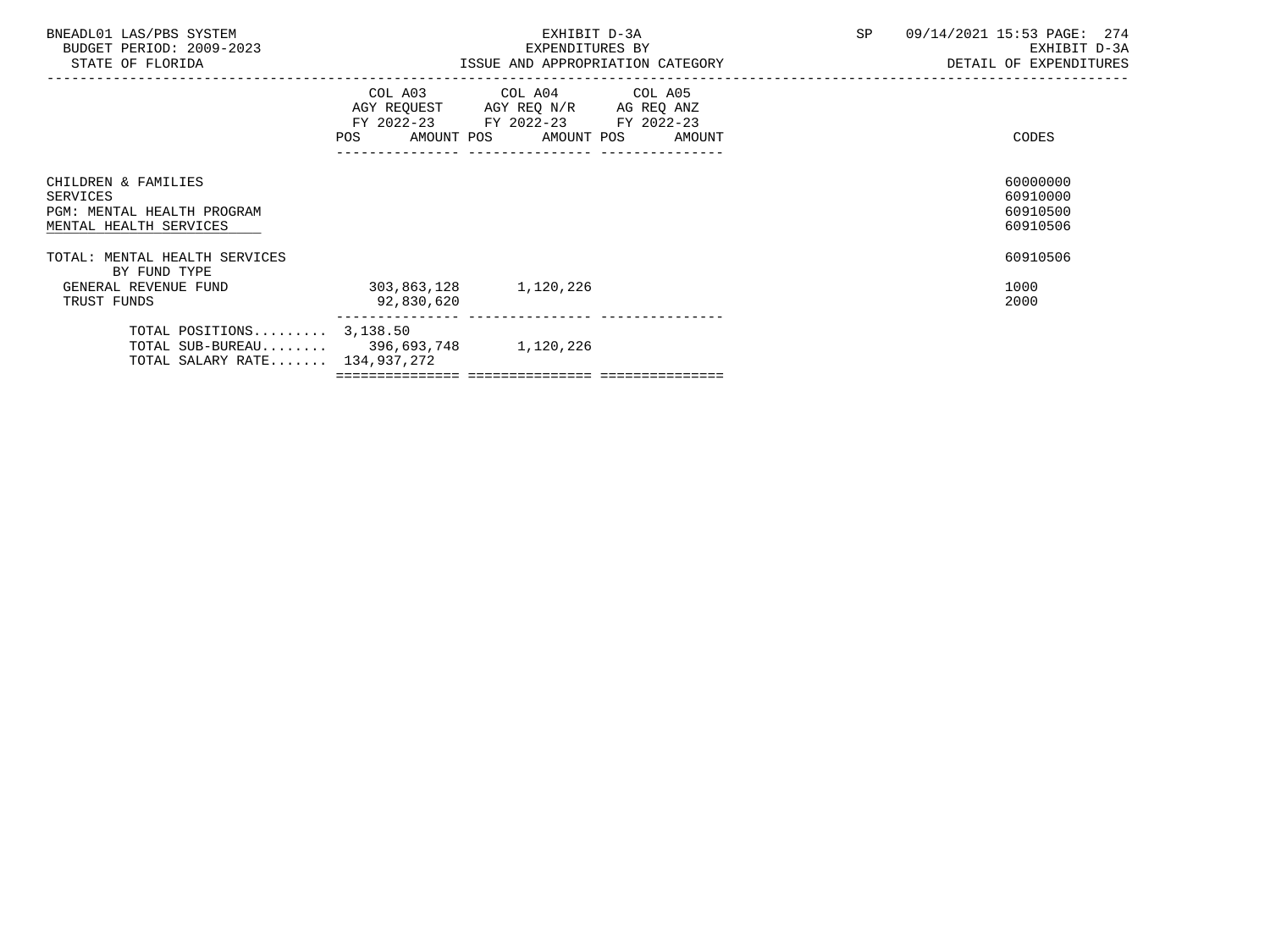| BNEADL01 LAS/PBS SYSTEM<br>BUDGET PERIOD: 2009-2023<br>STATE OF FLORIDA                               |                                     | EXHIBIT D-3A<br>EXPENDITURES BY<br>ISSUE AND APPROPRIATION CATEGORY                                                               | SP | 09/14/2021 15:53 PAGE: 274<br>EXHIBIT D-3A<br>DETAIL OF EXPENDITURES |
|-------------------------------------------------------------------------------------------------------|-------------------------------------|-----------------------------------------------------------------------------------------------------------------------------------|----|----------------------------------------------------------------------|
|                                                                                                       | <b>POS</b>                          | COL A03 COL A04 COL A05<br>AGY REQUEST AGY REQ N/R AG REQ ANZ<br>FY 2022-23 FY 2022-23 FY 2022-23<br>AMOUNT POS AMOUNT POS AMOUNT |    | CODES                                                                |
| CHILDREN & FAMILIES<br>SERVICES<br>PGM: MENTAL HEALTH PROGRAM<br>MENTAL HEALTH SERVICES               |                                     |                                                                                                                                   |    | 60000000<br>60910000<br>60910500<br>60910506                         |
| TOTAL: MENTAL HEALTH SERVICES<br>BY FUND TYPE                                                         |                                     |                                                                                                                                   |    | 60910506                                                             |
| GENERAL REVENUE FUND<br>TRUST FUNDS                                                                   | 303,863,128 1,120,226<br>92,830,620 |                                                                                                                                   |    | 1000<br>2000                                                         |
| TOTAL POSITIONS $3,138.50$<br>TOTAL SUB-BUREAU 396,693,748 1,120,226<br>TOTAL SALARY RATE 134,937,272 |                                     |                                                                                                                                   |    |                                                                      |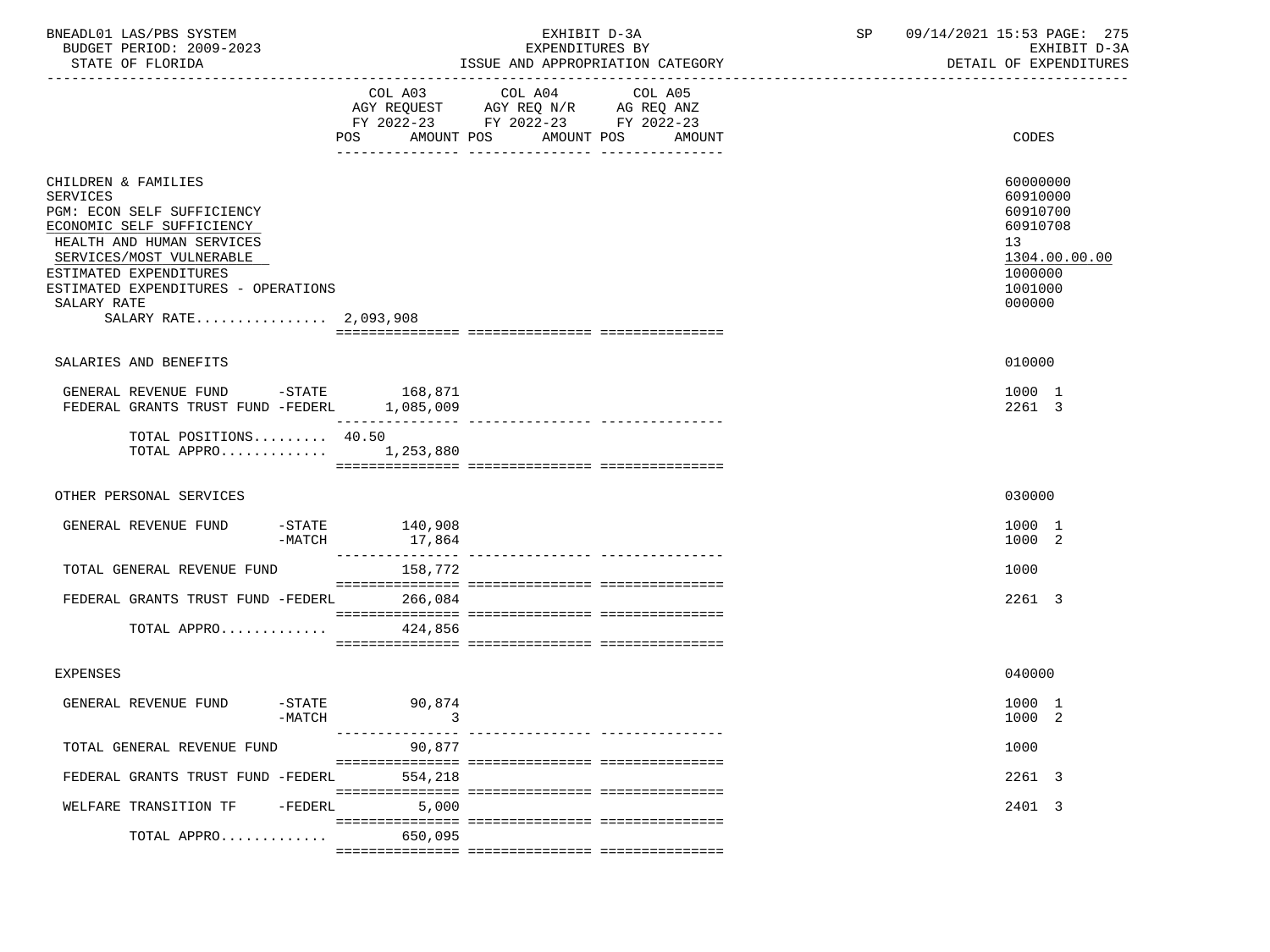| BNEADL01 LAS/PBS SYSTEM |                  |                          | EXHIBIT D-3A |  |                                  |  |  |  |
|-------------------------|------------------|--------------------------|--------------|--|----------------------------------|--|--|--|
|                         |                  | BUDGET PERIOD: 2009-2023 |              |  | EXPENDITURES BY                  |  |  |  |
|                         | STATE OF FLORIDA |                          |              |  | ISSUE AND APPROPRIATION CATEGORY |  |  |  |

BUDGET PERIOD: 2009-2023 EXPENDITURES BY EXHIBIT D-3A

|                                                                                                                                                                                                                                                              | COL A03<br>AMOUNT POS<br>POS | COL A04<br>$\begin{tabular}{lllllll} AGY & \texttt{REQUEST} & \texttt{AGY REQ N/R} & \texttt{AG REQ ANZ} \end{tabular}$<br>FY 2022-23 FY 2022-23 FY 2022-23 | COL A05<br>AMOUNT POS AMOUNT | CODES                                                                                               |
|--------------------------------------------------------------------------------------------------------------------------------------------------------------------------------------------------------------------------------------------------------------|------------------------------|-------------------------------------------------------------------------------------------------------------------------------------------------------------|------------------------------|-----------------------------------------------------------------------------------------------------|
| CHILDREN & FAMILIES<br>SERVICES<br>PGM: ECON SELF SUFFICIENCY<br>ECONOMIC SELF SUFFICIENCY<br>HEALTH AND HUMAN SERVICES<br>SERVICES/MOST VULNERABLE<br>ESTIMATED EXPENDITURES<br>ESTIMATED EXPENDITURES - OPERATIONS<br>SALARY RATE<br>SALARY RATE 2,093,908 |                              |                                                                                                                                                             |                              | 60000000<br>60910000<br>60910700<br>60910708<br>13<br>1304.00.00.00<br>1000000<br>1001000<br>000000 |
|                                                                                                                                                                                                                                                              |                              |                                                                                                                                                             |                              |                                                                                                     |
| SALARIES AND BENEFITS                                                                                                                                                                                                                                        |                              |                                                                                                                                                             |                              | 010000                                                                                              |
| GENERAL REVENUE FUND -STATE 168,871<br>FEDERAL GRANTS TRUST FUND -FEDERL 1,085,009                                                                                                                                                                           | كالمستمس كالمستحدث           |                                                                                                                                                             |                              | 1000 1<br>2261 3                                                                                    |
| TOTAL POSITIONS 40.50<br>TOTAL APPRO $1,253,880$                                                                                                                                                                                                             |                              |                                                                                                                                                             |                              |                                                                                                     |
| OTHER PERSONAL SERVICES                                                                                                                                                                                                                                      |                              |                                                                                                                                                             |                              | 030000                                                                                              |
| GENERAL REVENUE FUND<br>$-$ STATE<br>-MATCH                                                                                                                                                                                                                  | 140,908<br>17,864            |                                                                                                                                                             |                              | 1000 1<br>1000 2                                                                                    |
| TOTAL GENERAL REVENUE FUND                                                                                                                                                                                                                                   | 158,772                      |                                                                                                                                                             |                              | 1000                                                                                                |
| FEDERAL GRANTS TRUST FUND -FEDERL 266,084                                                                                                                                                                                                                    |                              |                                                                                                                                                             |                              | 2261 3                                                                                              |
| TOTAL APPRO                                                                                                                                                                                                                                                  | 424,856                      |                                                                                                                                                             |                              |                                                                                                     |
| <b>EXPENSES</b>                                                                                                                                                                                                                                              |                              |                                                                                                                                                             |                              | 040000                                                                                              |
| GENERAL REVENUE FUND<br>-MATCH                                                                                                                                                                                                                               | -STATE 90,874<br>$\sim$ 3    |                                                                                                                                                             |                              | 1000 1<br>1000 2                                                                                    |
| TOTAL GENERAL REVENUE FUND                                                                                                                                                                                                                                   | 90,877                       |                                                                                                                                                             |                              | 1000                                                                                                |
| FEDERAL GRANTS TRUST FUND -FEDERL                                                                                                                                                                                                                            | 554,218                      |                                                                                                                                                             |                              | 2261 3                                                                                              |
| WELFARE TRANSITION TF -FEDERL 5,000                                                                                                                                                                                                                          |                              |                                                                                                                                                             |                              | 2401 3                                                                                              |
| TOTAL APPRO                                                                                                                                                                                                                                                  | 650,095                      |                                                                                                                                                             |                              |                                                                                                     |
|                                                                                                                                                                                                                                                              |                              |                                                                                                                                                             |                              |                                                                                                     |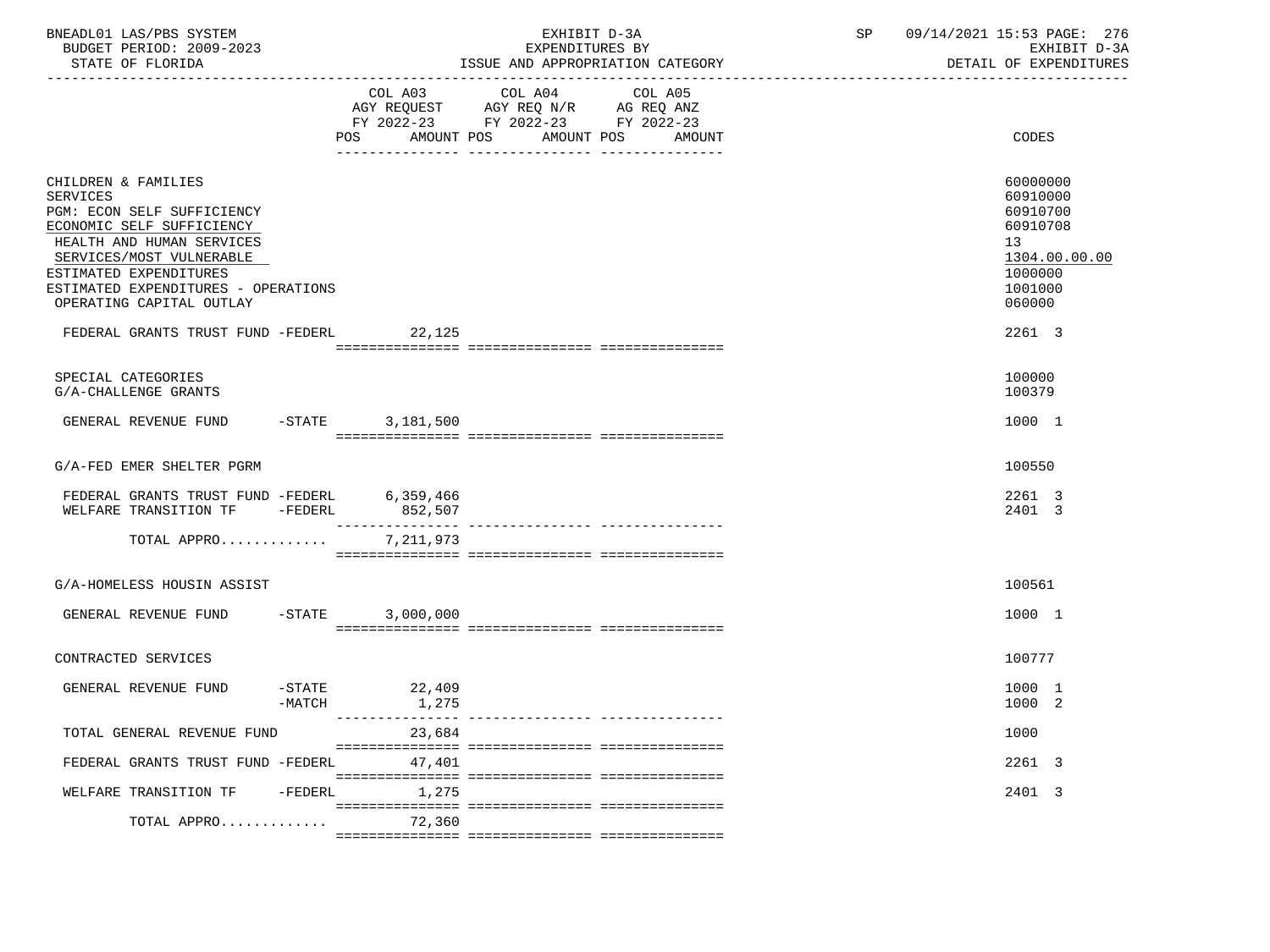| BNEADL01 LAS/PBS SYSTEM<br>BUDGET PERIOD: 2009-2023<br>STATE OF FLORIDA                                                                                                                                                                                 |                    |                   | EXHIBIT D-3A<br>EXPENDITURES BY<br>ISSUE AND APPROPRIATION CATEGORY                                                          | SP | 09/14/2021 15:53 PAGE: 276<br>EXHIBIT D-3A<br>DETAIL OF EXPENDITURES                                |
|---------------------------------------------------------------------------------------------------------------------------------------------------------------------------------------------------------------------------------------------------------|--------------------|-------------------|------------------------------------------------------------------------------------------------------------------------------|----|-----------------------------------------------------------------------------------------------------|
|                                                                                                                                                                                                                                                         |                    | AMOUNT POS<br>POS | COL A03 COL A04<br>COL A05<br>AGY REQUEST AGY REQ N/R AG REQ ANZ<br>FY 2022-23 FY 2022-23 FY 2022-23<br>AMOUNT POS<br>AMOUNT |    | CODES                                                                                               |
| CHILDREN & FAMILIES<br><b>SERVICES</b><br>PGM: ECON SELF SUFFICIENCY<br>ECONOMIC SELF SUFFICIENCY<br>HEALTH AND HUMAN SERVICES<br>SERVICES/MOST VULNERABLE<br>ESTIMATED EXPENDITURES<br>ESTIMATED EXPENDITURES - OPERATIONS<br>OPERATING CAPITAL OUTLAY |                    |                   |                                                                                                                              |    | 60000000<br>60910000<br>60910700<br>60910708<br>13<br>1304.00.00.00<br>1000000<br>1001000<br>060000 |
| FEDERAL GRANTS TRUST FUND -FEDERL 22,125                                                                                                                                                                                                                |                    |                   |                                                                                                                              |    | 2261 3                                                                                              |
| SPECIAL CATEGORIES<br>G/A-CHALLENGE GRANTS                                                                                                                                                                                                              |                    |                   |                                                                                                                              |    | 100000<br>100379                                                                                    |
| GENERAL REVENUE FUND                                                                                                                                                                                                                                    | $-$ STATE          | 3,181,500         |                                                                                                                              |    | 1000 1                                                                                              |
| G/A-FED EMER SHELTER PGRM                                                                                                                                                                                                                               |                    |                   |                                                                                                                              |    | 100550                                                                                              |
| FEDERAL GRANTS TRUST FUND -FEDERL 6,359,466<br>WELFARE TRANSITION TF -FEDERL                                                                                                                                                                            |                    | 852,507           |                                                                                                                              |    | 2261 3<br>2401 3                                                                                    |
| TOTAL APPRO                                                                                                                                                                                                                                             |                    | 7,211,973         |                                                                                                                              |    |                                                                                                     |
| G/A-HOMELESS HOUSIN ASSIST                                                                                                                                                                                                                              |                    |                   |                                                                                                                              |    | 100561                                                                                              |
| GENERAL REVENUE FUND -STATE                                                                                                                                                                                                                             |                    | 3,000,000         |                                                                                                                              |    | 1000 1                                                                                              |
| CONTRACTED SERVICES                                                                                                                                                                                                                                     |                    |                   |                                                                                                                              |    | 100777                                                                                              |
| GENERAL REVENUE FUND                                                                                                                                                                                                                                    | -STATE<br>$-MATCH$ | 22,409<br>1,275   |                                                                                                                              |    | 1000 1<br>1000 2                                                                                    |
| TOTAL GENERAL REVENUE FUND                                                                                                                                                                                                                              |                    | 23,684            |                                                                                                                              |    | 1000                                                                                                |
| FEDERAL GRANTS TRUST FUND -FEDERL                                                                                                                                                                                                                       |                    | 47,401            |                                                                                                                              |    | 2261 3                                                                                              |
| WELFARE TRANSITION TF                                                                                                                                                                                                                                   | $-FEDERL$          | 1,275             |                                                                                                                              |    | 2401 3                                                                                              |
| TOTAL APPRO                                                                                                                                                                                                                                             |                    | 72,360            |                                                                                                                              |    |                                                                                                     |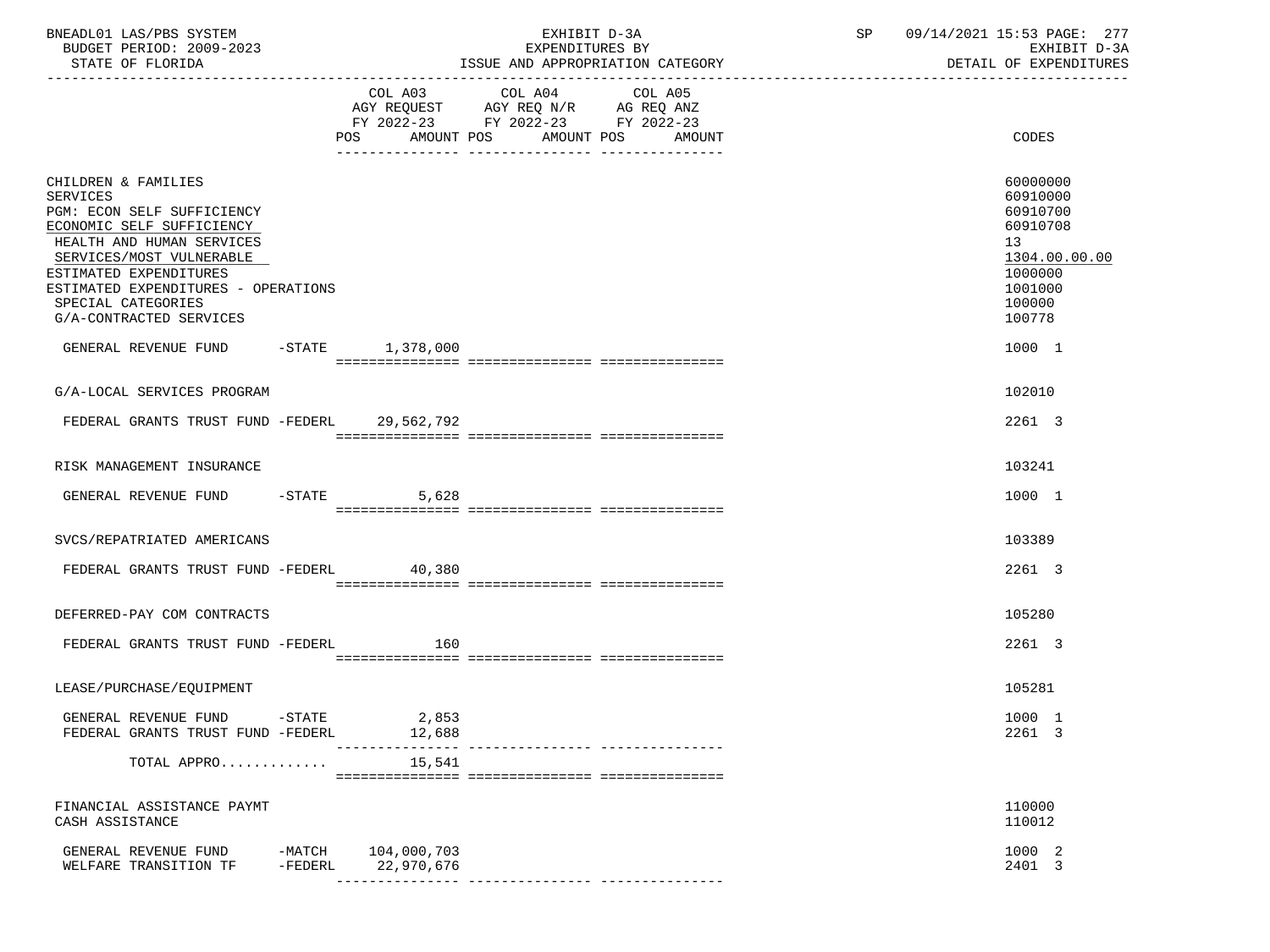| BNEADL01 LAS/PBS SYSTEM<br>BUDGET PERIOD: 2009-2023<br>STATE OF FLORIDA                                                                                                                                                                                                      |                       |                           | EXHIBIT D-3A<br>EXPENDITURES BY<br>ISSUE AND APPROPRIATION CATEGORY                               |                   | SP 09/14/2021 15:53 PAGE: 277<br>EXHIBIT D-3A<br>DETAIL OF EXPENDITURES                                                    |
|------------------------------------------------------------------------------------------------------------------------------------------------------------------------------------------------------------------------------------------------------------------------------|-----------------------|---------------------------|---------------------------------------------------------------------------------------------------|-------------------|----------------------------------------------------------------------------------------------------------------------------|
|                                                                                                                                                                                                                                                                              |                       | AMOUNT POS<br>POS         | COL A03 COL A04 COL A05<br>AGY REQUEST AGY REQ N/R AG REQ ANZ<br>FY 2022-23 FY 2022-23 FY 2022-23 | AMOUNT POS AMOUNT | <b>CODES</b>                                                                                                               |
| CHILDREN & FAMILIES<br><b>SERVICES</b><br>PGM: ECON SELF SUFFICIENCY<br>ECONOMIC SELF SUFFICIENCY<br>HEALTH AND HUMAN SERVICES<br>SERVICES/MOST VULNERABLE<br>ESTIMATED EXPENDITURES<br>ESTIMATED EXPENDITURES - OPERATIONS<br>SPECIAL CATEGORIES<br>G/A-CONTRACTED SERVICES |                       |                           |                                                                                                   |                   | 60000000<br>60910000<br>60910700<br>60910708<br>13 <sup>7</sup><br>1304.00.00.00<br>1000000<br>1001000<br>100000<br>100778 |
| GENERAL REVENUE FUND -STATE 1,378,000                                                                                                                                                                                                                                        |                       |                           |                                                                                                   |                   | 1000 1                                                                                                                     |
| G/A-LOCAL SERVICES PROGRAM                                                                                                                                                                                                                                                   |                       |                           |                                                                                                   |                   | 102010                                                                                                                     |
| FEDERAL GRANTS TRUST FUND -FEDERL 29,562,792                                                                                                                                                                                                                                 |                       |                           |                                                                                                   |                   | 2261 3                                                                                                                     |
| RISK MANAGEMENT INSURANCE                                                                                                                                                                                                                                                    |                       |                           |                                                                                                   |                   | 103241                                                                                                                     |
| GENERAL REVENUE FUND -STATE                                                                                                                                                                                                                                                  |                       | 5,628                     |                                                                                                   |                   | 1000 1                                                                                                                     |
| SVCS/REPATRIATED AMERICANS                                                                                                                                                                                                                                                   |                       |                           |                                                                                                   |                   | 103389                                                                                                                     |
| FEDERAL GRANTS TRUST FUND -FEDERL 40,380                                                                                                                                                                                                                                     |                       |                           |                                                                                                   |                   | 2261 3                                                                                                                     |
| DEFERRED-PAY COM CONTRACTS                                                                                                                                                                                                                                                   |                       |                           |                                                                                                   |                   | 105280                                                                                                                     |
| FEDERAL GRANTS TRUST FUND -FEDERL                                                                                                                                                                                                                                            |                       | 160                       |                                                                                                   |                   | 2261 3                                                                                                                     |
|                                                                                                                                                                                                                                                                              |                       |                           |                                                                                                   |                   |                                                                                                                            |
| LEASE/PURCHASE/EQUIPMENT                                                                                                                                                                                                                                                     |                       |                           |                                                                                                   |                   | 105281                                                                                                                     |
| GENERAL REVENUE FUND<br>FEDERAL GRANTS TRUST FUND -FEDERL                                                                                                                                                                                                                    | $-$ STATE             | 2,853<br>12,688           |                                                                                                   |                   | 1000 1<br>2261 3                                                                                                           |
| TOTAL APPRO                                                                                                                                                                                                                                                                  |                       | 15,541                    |                                                                                                   |                   |                                                                                                                            |
| FINANCIAL ASSISTANCE PAYMT<br>CASH ASSISTANCE                                                                                                                                                                                                                                |                       |                           |                                                                                                   |                   | 110000<br>110012                                                                                                           |
| GENERAL REVENUE FUND<br>WELFARE TRANSITION TF                                                                                                                                                                                                                                | $-MATCH$<br>$-FEDERL$ | 104,000,703<br>22,970,676 | ---------------- ---------------                                                                  |                   | 1000 2<br>2401 3                                                                                                           |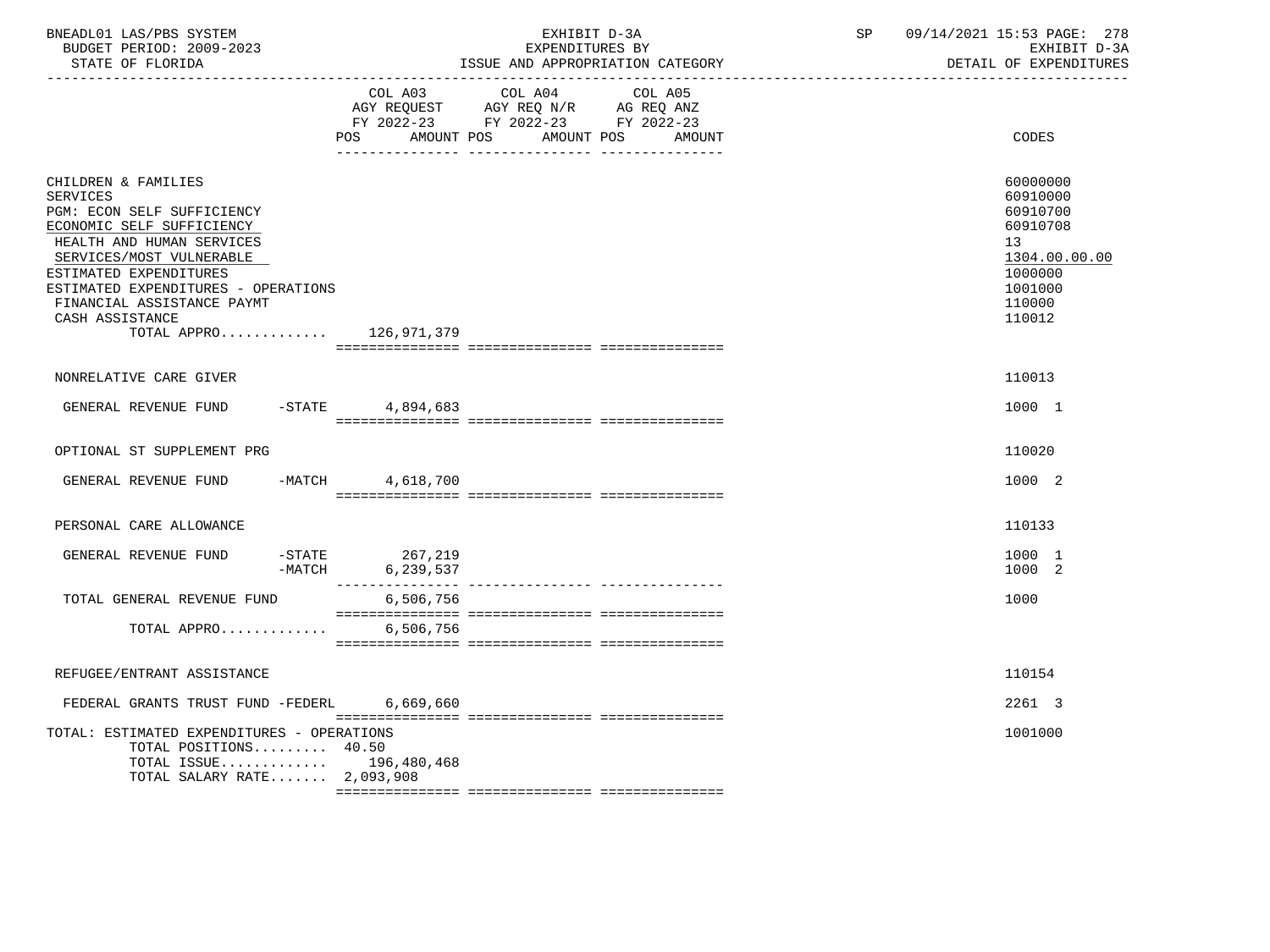| BNEADL01 LAS/PBS SYSTEM<br>BUDGET PERIOD: 2009-2023<br>STATE OF FLORIDA                                                                                                                                                                                                                                   |                                                                                                                              | EXHIBIT D-3A<br>EXPENDITURES BY<br>ISSUE AND APPROPRIATION CATEGORY                                                       | SP | 09/14/2021 15:53 PAGE: 278<br>EXHIBIT D-3A<br>DETAIL OF EXPENDITURES                                          |
|-----------------------------------------------------------------------------------------------------------------------------------------------------------------------------------------------------------------------------------------------------------------------------------------------------------|------------------------------------------------------------------------------------------------------------------------------|---------------------------------------------------------------------------------------------------------------------------|----|---------------------------------------------------------------------------------------------------------------|
|                                                                                                                                                                                                                                                                                                           | AMOUNT POS<br>POS FOR THE POST OF THE STATE STATE STATE STATE STATE STATE STATE STATE STATE STATE STATE STATE STATE STATE ST | COL A03 COL A04 COL A05<br>AGY REQUEST AGY REQ N/R AG REQ ANZ<br>FY 2022-23 FY 2022-23 FY 2022-23<br>AMOUNT POS<br>AMOUNT |    | CODES                                                                                                         |
| CHILDREN & FAMILIES<br><b>SERVICES</b><br>PGM: ECON SELF SUFFICIENCY<br>ECONOMIC SELF SUFFICIENCY<br>HEALTH AND HUMAN SERVICES<br>SERVICES/MOST VULNERABLE<br>ESTIMATED EXPENDITURES<br>ESTIMATED EXPENDITURES - OPERATIONS<br>FINANCIAL ASSISTANCE PAYMT<br>CASH ASSISTANCE<br>TOTAL APPRO $126,971,379$ |                                                                                                                              |                                                                                                                           |    | 60000000<br>60910000<br>60910700<br>60910708<br>13<br>1304.00.00.00<br>1000000<br>1001000<br>110000<br>110012 |
| NONRELATIVE CARE GIVER                                                                                                                                                                                                                                                                                    |                                                                                                                              |                                                                                                                           |    | 110013                                                                                                        |
| GENERAL REVENUE FUND -STATE 4,894,683                                                                                                                                                                                                                                                                     |                                                                                                                              |                                                                                                                           |    | 1000 1                                                                                                        |
| OPTIONAL ST SUPPLEMENT PRG                                                                                                                                                                                                                                                                                |                                                                                                                              |                                                                                                                           |    | 110020                                                                                                        |
| GENERAL REVENUE FUND -MATCH 4,618,700                                                                                                                                                                                                                                                                     |                                                                                                                              |                                                                                                                           |    | 1000 2                                                                                                        |
| PERSONAL CARE ALLOWANCE                                                                                                                                                                                                                                                                                   |                                                                                                                              |                                                                                                                           |    | 110133                                                                                                        |
| $-$ STATE<br>GENERAL REVENUE FUND                                                                                                                                                                                                                                                                         | 267,219<br>-MATCH 6,239,537                                                                                                  |                                                                                                                           |    | 1000 1<br>1000 2                                                                                              |
| TOTAL GENERAL REVENUE FUND                                                                                                                                                                                                                                                                                | 6,506,756                                                                                                                    |                                                                                                                           |    | 1000                                                                                                          |
| TOTAL APPRO                                                                                                                                                                                                                                                                                               | 6,506,756                                                                                                                    |                                                                                                                           |    |                                                                                                               |
| REFUGEE/ENTRANT ASSISTANCE                                                                                                                                                                                                                                                                                |                                                                                                                              |                                                                                                                           |    | 110154                                                                                                        |
| FEDERAL GRANTS TRUST FUND -FEDERL                                                                                                                                                                                                                                                                         | 6,669,660                                                                                                                    |                                                                                                                           |    | 2261 3                                                                                                        |
| TOTAL: ESTIMATED EXPENDITURES - OPERATIONS<br>TOTAL POSITIONS 40.50<br>TOTAL ISSUE 196,480,468<br>TOTAL SALARY RATE 2,093,908                                                                                                                                                                             |                                                                                                                              |                                                                                                                           |    | 1001000                                                                                                       |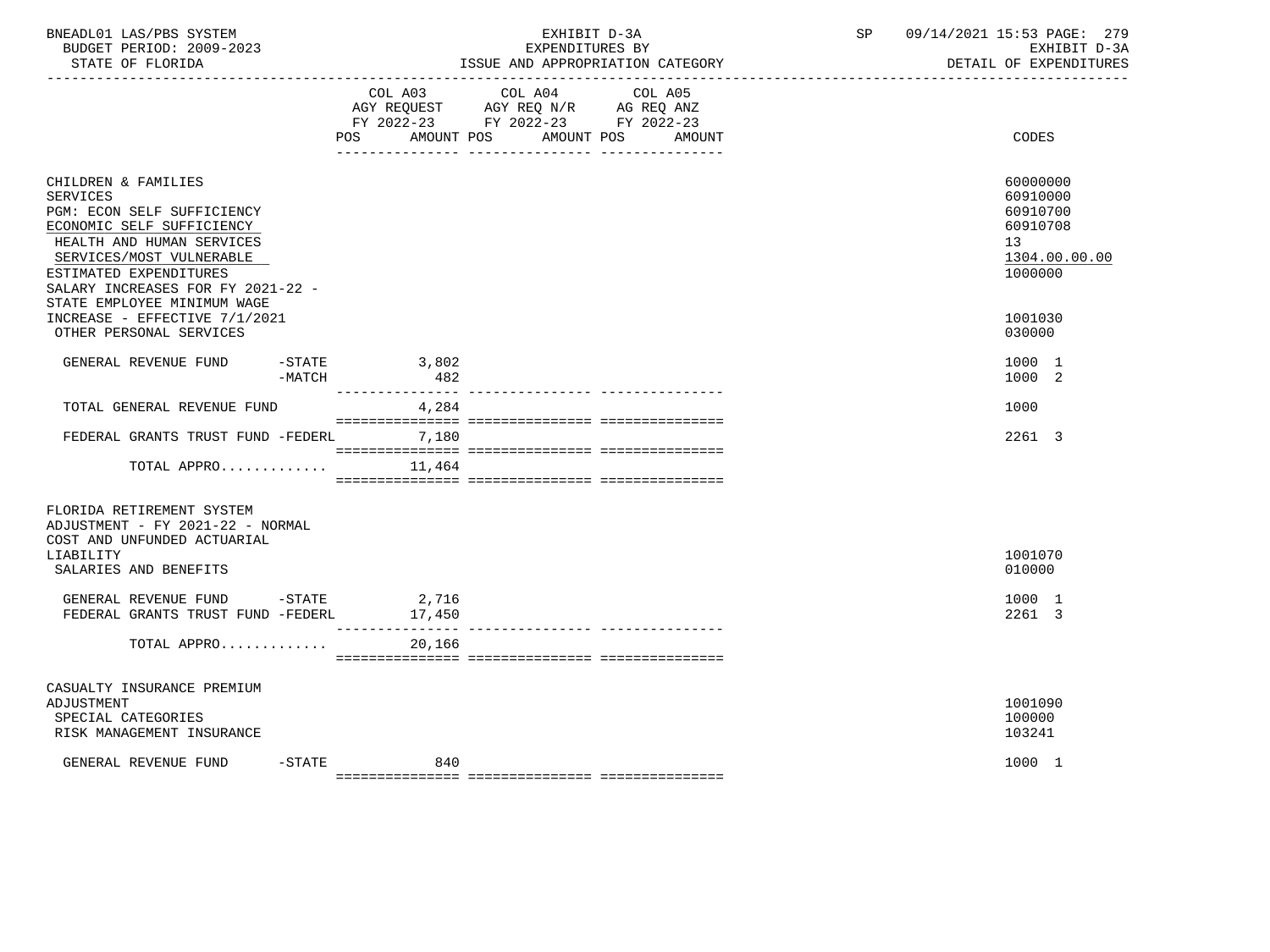| BNEADL01 LAS/PBS SYSTEM<br>BUDGET PERIOD: 2009-2023<br>STATE OF FLORIDA                                                                                                                                                                                  |                | EXHIBIT D-3A<br>EXPENDITURES BY<br>ISSUE AND APPROPRIATION CATEGORY                                                |        | SP | 09/14/2021 15:53 PAGE: 279<br>EXHIBIT D-3A<br>DETAIL OF EXPENDITURES           |
|----------------------------------------------------------------------------------------------------------------------------------------------------------------------------------------------------------------------------------------------------------|----------------|--------------------------------------------------------------------------------------------------------------------|--------|----|--------------------------------------------------------------------------------|
|                                                                                                                                                                                                                                                          | POS AMOUNT POS | COL A03 COL A04<br>COL A05<br>AGY REQUEST AGY REQ N/R AG REQ ANZ<br>FY 2022-23 FY 2022-23 FY 2022-23<br>AMOUNT POS | AMOUNT |    | CODES                                                                          |
| CHILDREN & FAMILIES<br><b>SERVICES</b><br>PGM: ECON SELF SUFFICIENCY<br>ECONOMIC SELF SUFFICIENCY<br>HEALTH AND HUMAN SERVICES<br>SERVICES/MOST VULNERABLE<br>ESTIMATED EXPENDITURES<br>SALARY INCREASES FOR FY 2021-22 -<br>STATE EMPLOYEE MINIMUM WAGE |                |                                                                                                                    |        |    | 60000000<br>60910000<br>60910700<br>60910708<br>13<br>1304.00.00.00<br>1000000 |
| INCREASE - EFFECTIVE 7/1/2021<br>OTHER PERSONAL SERVICES                                                                                                                                                                                                 |                |                                                                                                                    |        |    | 1001030<br>030000                                                              |
| GENERAL REVENUE FUND<br>-STATE<br>-MATCH                                                                                                                                                                                                                 | 3,802<br>482   |                                                                                                                    |        |    | 1000 1<br>1000 2                                                               |
| TOTAL GENERAL REVENUE FUND                                                                                                                                                                                                                               | 4,284          |                                                                                                                    |        |    | 1000                                                                           |
| FEDERAL GRANTS TRUST FUND -FEDERL                                                                                                                                                                                                                        | 7,180          |                                                                                                                    |        |    | 2261 3                                                                         |
| TOTAL APPRO                                                                                                                                                                                                                                              | 11,464         |                                                                                                                    |        |    |                                                                                |
| FLORIDA RETIREMENT SYSTEM<br>ADJUSTMENT - FY 2021-22 - NORMAL<br>COST AND UNFUNDED ACTUARIAL                                                                                                                                                             |                |                                                                                                                    |        |    |                                                                                |
| LIABILITY<br>SALARIES AND BENEFITS                                                                                                                                                                                                                       |                |                                                                                                                    |        |    | 1001070<br>010000                                                              |
| GENERAL REVENUE FUND -STATE 2,716<br>FEDERAL GRANTS TRUST FUND -FEDERL                                                                                                                                                                                   | 17,450         |                                                                                                                    |        |    | 1000 1<br>2261 3                                                               |
| TOTAL APPRO                                                                                                                                                                                                                                              | 20,166         |                                                                                                                    |        |    |                                                                                |
| CASUALTY INSURANCE PREMIUM<br>ADJUSTMENT<br>SPECIAL CATEGORIES<br>RISK MANAGEMENT INSURANCE                                                                                                                                                              |                |                                                                                                                    |        |    | 1001090<br>100000<br>103241                                                    |
| $-$ STATE<br>GENERAL REVENUE FUND                                                                                                                                                                                                                        | 840            |                                                                                                                    |        |    | 1000 1                                                                         |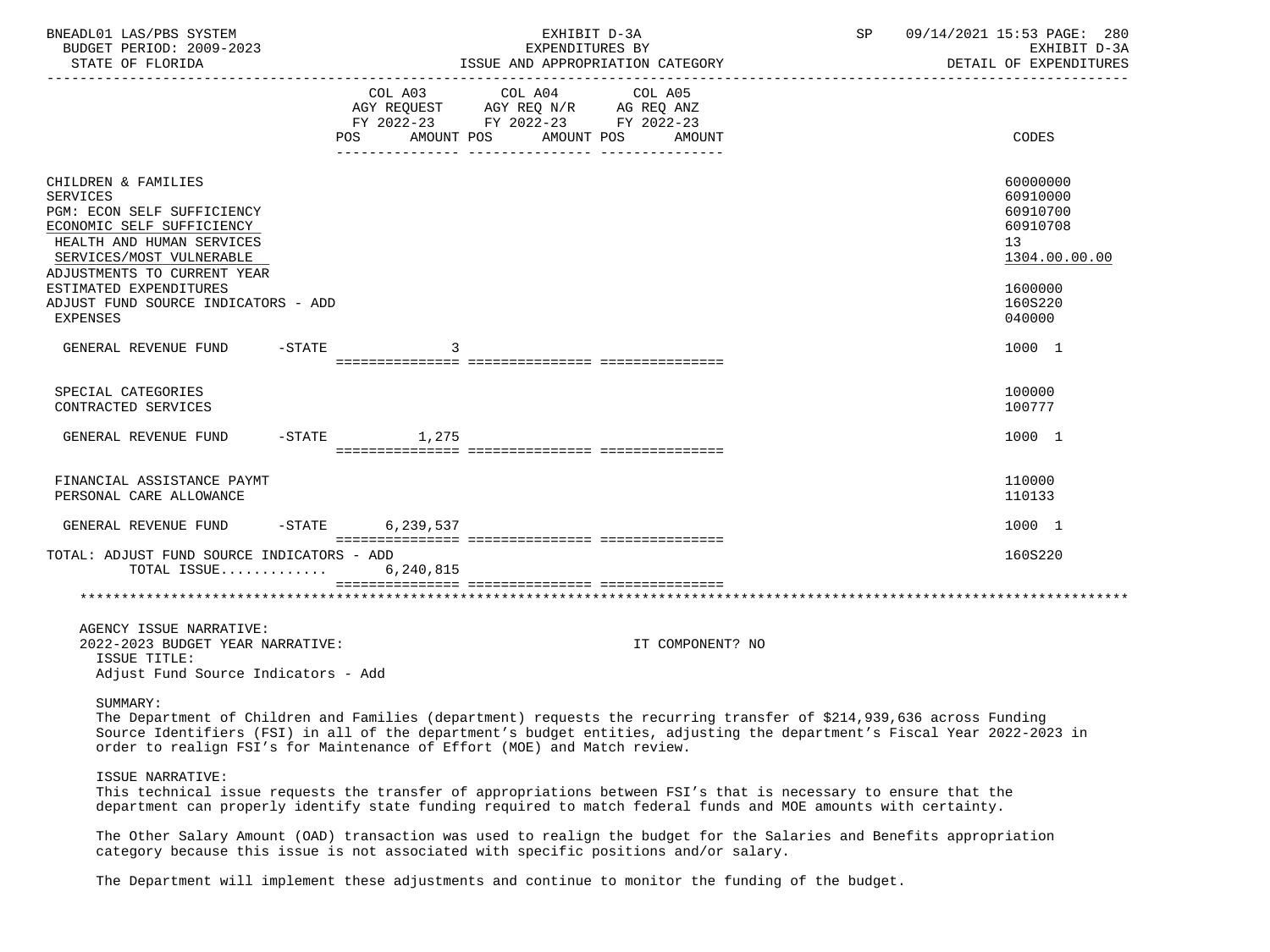| BNEADL01 LAS/PBS SYSTEM<br>BUDGET PERIOD: 2009-2023<br>STATE OF FLORIDA                                                                                                                                                                               |           |                              | EXHIBIT D-3A<br>EXPENDITURES BY                                                                 | ISSUE AND APPROPRIATION CATEGORY | SP | 09/14/2021 15:53 PAGE: 280<br>EXHIBIT D-3A<br>DETAIL OF EXPENDITURES                                                     |
|-------------------------------------------------------------------------------------------------------------------------------------------------------------------------------------------------------------------------------------------------------|-----------|------------------------------|-------------------------------------------------------------------------------------------------|----------------------------------|----|--------------------------------------------------------------------------------------------------------------------------|
|                                                                                                                                                                                                                                                       |           | COL A03<br>AMOUNT POS<br>POS | COL A04<br>AGY REQUEST AGY REQ N/R AG REQ ANZ<br>FY 2022-23 FY 2022-23 FY 2022-23<br>AMOUNT POS | COL A05<br>AMOUNT                |    | CODES                                                                                                                    |
| CHILDREN & FAMILIES<br><b>SERVICES</b><br>PGM: ECON SELF SUFFICIENCY<br>ECONOMIC SELF SUFFICIENCY<br>HEALTH AND HUMAN SERVICES<br>SERVICES/MOST VULNERABLE<br>ADJUSTMENTS TO CURRENT YEAR<br>ESTIMATED EXPENDITURES                                   |           |                              |                                                                                                 |                                  |    | 60000000<br>60910000<br>60910700<br>60910708<br>13<br>1304.00.00.00<br>1600000                                           |
| ADJUST FUND SOURCE INDICATORS - ADD<br>EXPENSES                                                                                                                                                                                                       |           |                              |                                                                                                 |                                  |    | 160S220<br>040000                                                                                                        |
| GENERAL REVENUE FUND                                                                                                                                                                                                                                  | $-$ STATE | 3                            |                                                                                                 |                                  |    | 1000 1                                                                                                                   |
| SPECIAL CATEGORIES<br>CONTRACTED SERVICES                                                                                                                                                                                                             |           |                              |                                                                                                 |                                  |    | 100000<br>100777                                                                                                         |
| GENERAL REVENUE FUND                                                                                                                                                                                                                                  | $-$ STATE | 1,275                        |                                                                                                 |                                  |    | 1000 1                                                                                                                   |
| FINANCIAL ASSISTANCE PAYMT<br>PERSONAL CARE ALLOWANCE                                                                                                                                                                                                 |           |                              |                                                                                                 |                                  |    | 110000<br>110133                                                                                                         |
| GENERAL REVENUE FUND                                                                                                                                                                                                                                  |           | -STATE 6,239,537             |                                                                                                 |                                  |    | 1000 1                                                                                                                   |
| TOTAL: ADJUST FUND SOURCE INDICATORS - ADD<br>TOTAL ISSUE                                                                                                                                                                                             |           | 6,240,815                    |                                                                                                 |                                  |    | 160S220                                                                                                                  |
|                                                                                                                                                                                                                                                       |           |                              |                                                                                                 |                                  |    |                                                                                                                          |
| AGENCY ISSUE NARRATIVE:<br>2022-2023 BUDGET YEAR NARRATIVE:<br>ISSUE TITLE:<br>Adjust Fund Source Indicators - Add                                                                                                                                    |           |                              |                                                                                                 | IT COMPONENT? NO                 |    |                                                                                                                          |
| SUMMARY:<br>The Department of Children and Families (department) requests the recurring transfer of \$214,939,636 across Funding<br>order to realign FSI's for Maintenance of Effort (MOE) and Match review.                                          |           |                              |                                                                                                 |                                  |    | Source Identifiers (FSI) in all of the department's budget entities, adjusting the department's Fiscal Year 2022-2023 in |
| ISSUE NARRATIVE:<br>This technical issue requests the transfer of appropriations between FSI's that is necessary to ensure that the<br>department can properly identify state funding required to match federal funds and MOE amounts with certainty. |           |                              |                                                                                                 |                                  |    |                                                                                                                          |

 The Other Salary Amount (OAD) transaction was used to realign the budget for the Salaries and Benefits appropriation category because this issue is not associated with specific positions and/or salary.

The Department will implement these adjustments and continue to monitor the funding of the budget.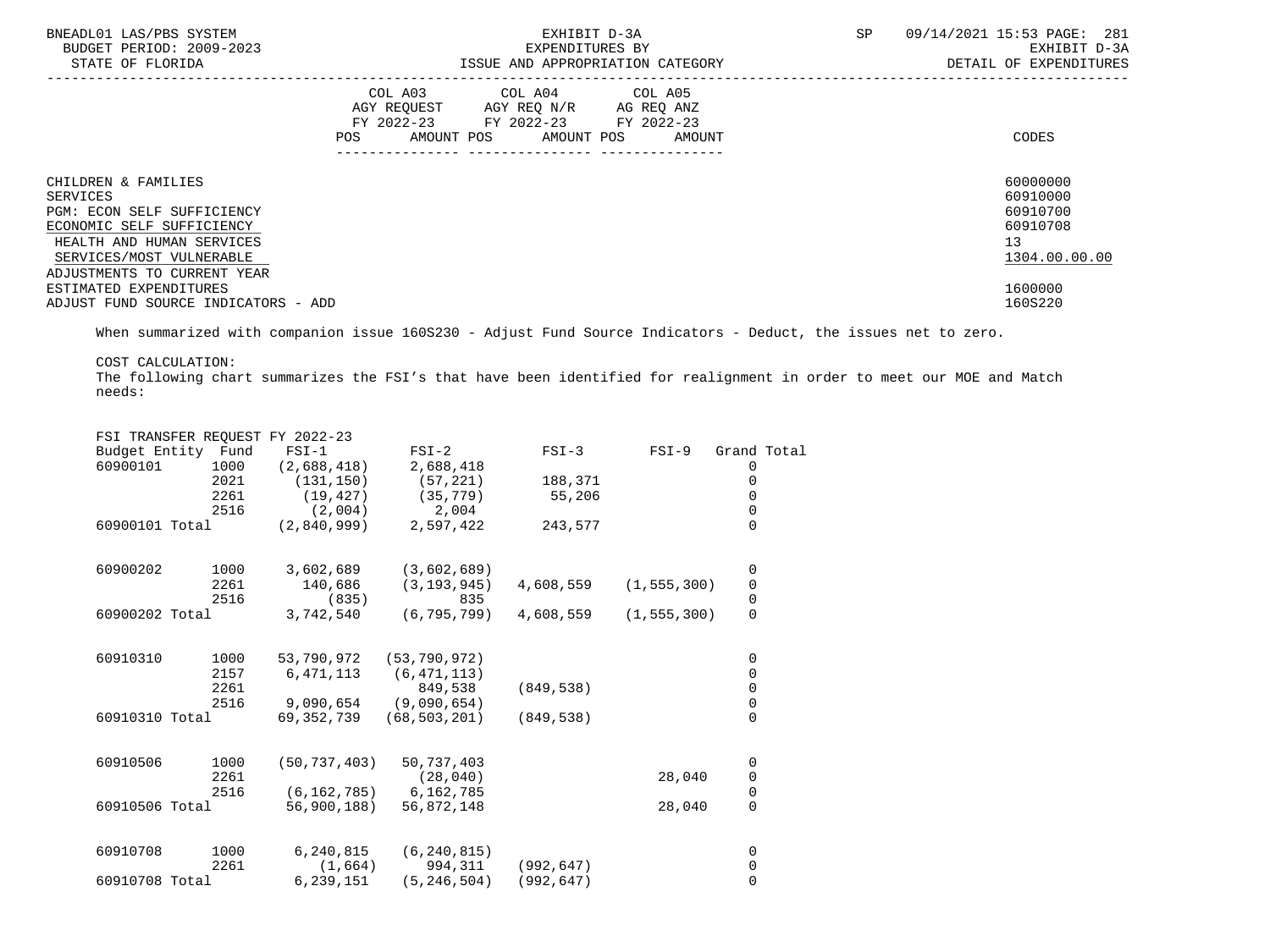| BNEADL01 LAS/PBS SYSTEM<br>BUDGET PERIOD: 2009-2023<br>STATE OF FLORIDA                      |     |                                                                                                                 | EXHIBIT D-3A<br>EXPENDITURES BY | ISSUE AND APPROPRIATION CATEGORY | SP<br>09/14/2021 15:53 PAGE: 281<br>EXHIBIT D-3A<br>DETAIL OF EXPENDITURES |                                 |  |  |
|----------------------------------------------------------------------------------------------|-----|-----------------------------------------------------------------------------------------------------------------|---------------------------------|----------------------------------|----------------------------------------------------------------------------|---------------------------------|--|--|
|                                                                                              | POS | COL A03 COL A04 COL A05<br>AGY REQUEST AGY REQ N/R AG REQ ANZ<br>FY 2022-23 FY 2022-23 FY 2022-23<br>AMOUNT POS | AMOUNT POS                      | AMOUNT                           |                                                                            | CODES                           |  |  |
| CHILDREN & FAMILIES<br><b>SERVICES</b>                                                       |     |                                                                                                                 |                                 |                                  |                                                                            | 60000000<br>60910000            |  |  |
| PGM: ECON SELF SUFFICIENCY                                                                   |     |                                                                                                                 |                                 |                                  |                                                                            | 60910700                        |  |  |
| ECONOMIC SELF SUFFICIENCY<br>HEALTH AND HUMAN SERVICES<br>SERVICES/MOST VULNERABLE           |     |                                                                                                                 |                                 |                                  |                                                                            | 60910708<br>13<br>1304.00.00.00 |  |  |
| ADJUSTMENTS TO CURRENT YEAR<br>ESTIMATED EXPENDITURES<br>ADJUST FUND SOURCE INDICATORS - ADD |     |                                                                                                                 |                                 |                                  |                                                                            | 1600000<br>160S220              |  |  |

When summarized with companion issue 160S230 - Adjust Fund Source Indicators - Deduct, the issues net to zero.

COST CALCULATION:

 The following chart summarizes the FSI's that have been identified for realignment in order to meet our MOE and Match needs:

|                    |      | FSI TRANSFER REQUEST FY 2022-23 |                |            |               |                                       |  |
|--------------------|------|---------------------------------|----------------|------------|---------------|---------------------------------------|--|
| Budget Entity Fund |      | $FSI-1$                         | $FSI-2$        | $FSI-3$    | $FSI-9$       | Grand Total                           |  |
| 60900101           | 1000 | (2,688,418)                     | 2,688,418      |            |               | 0                                     |  |
|                    | 2021 | (131, 150)                      | (57, 221)      | 188,371    |               | 0                                     |  |
|                    | 2261 | (19, 427)                       | (35, 779)      | 55,206     |               | 0                                     |  |
|                    | 2516 | (2,004)                         | 2,004          |            |               | $\mathsf 0$                           |  |
| 60900101 Total     |      | (2,840,999)                     | 2,597,422      | 243,577    |               | $\Omega$                              |  |
| 60900202           | 1000 | 3,602,689                       | (3,602,689)    |            |               | 0                                     |  |
|                    | 2261 | 140,686                         | (3, 193, 945)  | 4,608,559  | (1, 555, 300) |                                       |  |
|                    | 2516 | (835)                           | 835            |            |               | $\begin{array}{c} 0 \\ 0 \end{array}$ |  |
| 60900202 Total     |      | 3,742,540                       | (6, 795, 799)  | 4,608,559  | (1, 555, 300) | $\mathsf{O}\xspace$                   |  |
| 60910310           | 1000 | 53,790,972                      | (53, 790, 972) |            |               | 0                                     |  |
|                    | 2157 | 6,471,113                       | (6, 471, 113)  |            |               | 0                                     |  |
|                    | 2261 |                                 | 849,538        | (849, 538) |               | $\mathsf 0$                           |  |
|                    | 2516 | 9,090,654                       | (9,090,654)    |            |               | $\mathbf 0$                           |  |
| 60910310 Total     |      | 69,352,739                      | (68, 503, 201) | (849, 538) |               | $\mathbf 0$                           |  |
| 60910506           | 1000 | (50, 737, 403)                  | 50,737,403     |            |               | 0                                     |  |
|                    | 2261 |                                 | (28, 040)      |            | 28,040        | $\pmb{0}$                             |  |
|                    | 2516 | (6, 162, 785)                   | 6,162,785      |            |               | $\mathbf 0$                           |  |
| 60910506 Total     |      | 56,900,188)                     | 56,872,148     |            | 28,040        | $\mathsf{O}\xspace$                   |  |
| 60910708           | 1000 | 6,240,815                       | (6, 240, 815)  |            |               | 0                                     |  |
|                    | 2261 | (1,664)                         | 994,311        | (992, 647) |               | 0                                     |  |
| 60910708 Total     |      | 6,239,151                       | (5, 246, 504)  | (992, 647) |               | $\overline{0}$                        |  |
|                    |      |                                 |                |            |               |                                       |  |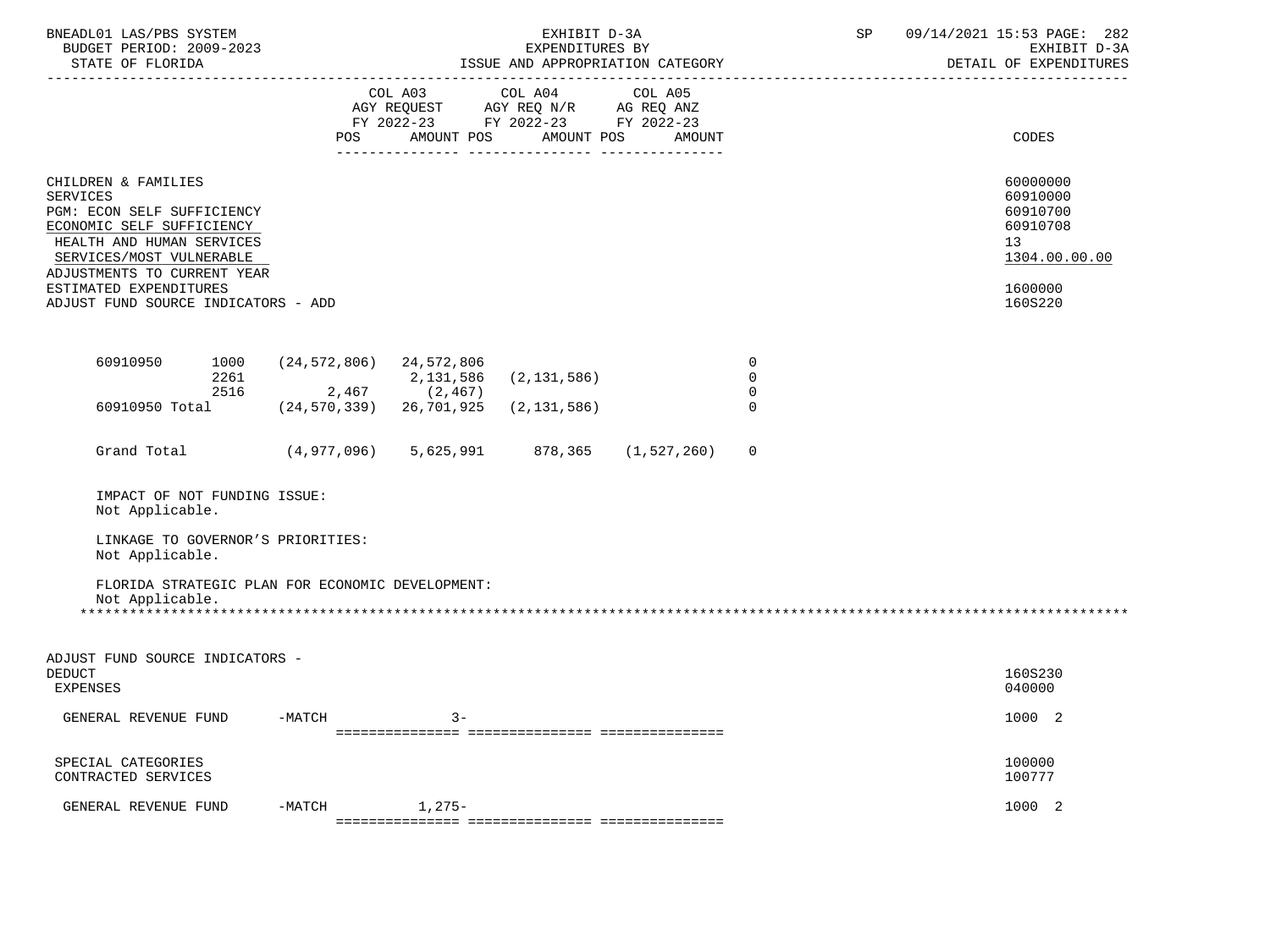| BNEADL01 LAS/PBS SYSTEM<br>BUDGET PERIOD: 2009-2023<br>STATE OF FLORIDA                                                                                                                   |                                  |                       | EXHIBIT D-3A<br>EXPENDITURES BY<br>ISSUE AND APPROPRIATION CATEGORY                             |                   | SP                                           | 09/14/2021 15:53 PAGE: 282<br>EXHIBIT D-3A<br>DETAIL OF EXPENDITURES |                                                                                  |
|-------------------------------------------------------------------------------------------------------------------------------------------------------------------------------------------|----------------------------------|-----------------------|-------------------------------------------------------------------------------------------------|-------------------|----------------------------------------------|----------------------------------------------------------------------|----------------------------------------------------------------------------------|
|                                                                                                                                                                                           | <b>POS</b>                       | COL A03<br>AMOUNT POS | COL A04<br>AGY REQUEST AGY REQ N/R AG REQ ANZ<br>FY 2022-23 FY 2022-23 FY 2022-23<br>AMOUNT POS | COL A05<br>AMOUNT |                                              |                                                                      | CODES                                                                            |
| CHILDREN & FAMILIES<br><b>SERVICES</b><br>PGM: ECON SELF SUFFICIENCY<br>ECONOMIC SELF SUFFICIENCY<br>HEALTH AND HUMAN SERVICES<br>SERVICES/MOST VULNERABLE<br>ADJUSTMENTS TO CURRENT YEAR |                                  |                       |                                                                                                 |                   |                                              |                                                                      | 60000000<br>60910000<br>60910700<br>60910708<br>13 <sup>°</sup><br>1304.00.00.00 |
| ESTIMATED EXPENDITURES<br>ADJUST FUND SOURCE INDICATORS - ADD                                                                                                                             |                                  |                       |                                                                                                 |                   |                                              |                                                                      | 1600000<br>160S220                                                               |
| 1000<br>60910950<br>2261<br>2516                                                                                                                                                          | (24,572,806) 24,572,806<br>2,467 | 2,131,586<br>(2, 467) | (2, 131, 586)                                                                                   |                   | $\overline{0}$<br>$\Omega$<br>$\overline{0}$ |                                                                      |                                                                                  |
| 60910950 Total                                                                                                                                                                            | (24, 570, 339)                   | 26,701,925            | (2, 131, 586)                                                                                   |                   | $\Omega$                                     |                                                                      |                                                                                  |
| Grand Total                                                                                                                                                                               | (4,977,096)                      | 5,625,991             | 878,365                                                                                         | (1, 527, 260)     | $\mathbf 0$                                  |                                                                      |                                                                                  |
| IMPACT OF NOT FUNDING ISSUE:<br>Not Applicable.                                                                                                                                           |                                  |                       |                                                                                                 |                   |                                              |                                                                      |                                                                                  |
| LINKAGE TO GOVERNOR'S PRIORITIES:<br>Not Applicable.                                                                                                                                      |                                  |                       |                                                                                                 |                   |                                              |                                                                      |                                                                                  |
| FLORIDA STRATEGIC PLAN FOR ECONOMIC DEVELOPMENT:<br>Not Applicable.<br>*****************                                                                                                  |                                  |                       |                                                                                                 |                   |                                              |                                                                      |                                                                                  |
| ADJUST FUND SOURCE INDICATORS -<br><b>DEDUCT</b><br>EXPENSES                                                                                                                              |                                  |                       |                                                                                                 |                   |                                              |                                                                      | 160S230<br>040000                                                                |
| GENERAL REVENUE FUND                                                                                                                                                                      | $-MATCH$                         | $3 -$                 |                                                                                                 |                   |                                              |                                                                      | 1000 2                                                                           |
| SPECIAL CATEGORIES<br>CONTRACTED SERVICES                                                                                                                                                 |                                  |                       |                                                                                                 |                   |                                              |                                                                      | 100000<br>100777                                                                 |
| GENERAL REVENUE FUND                                                                                                                                                                      | $-MATCH$                         | $1,275-$              |                                                                                                 |                   |                                              |                                                                      | 1000 2                                                                           |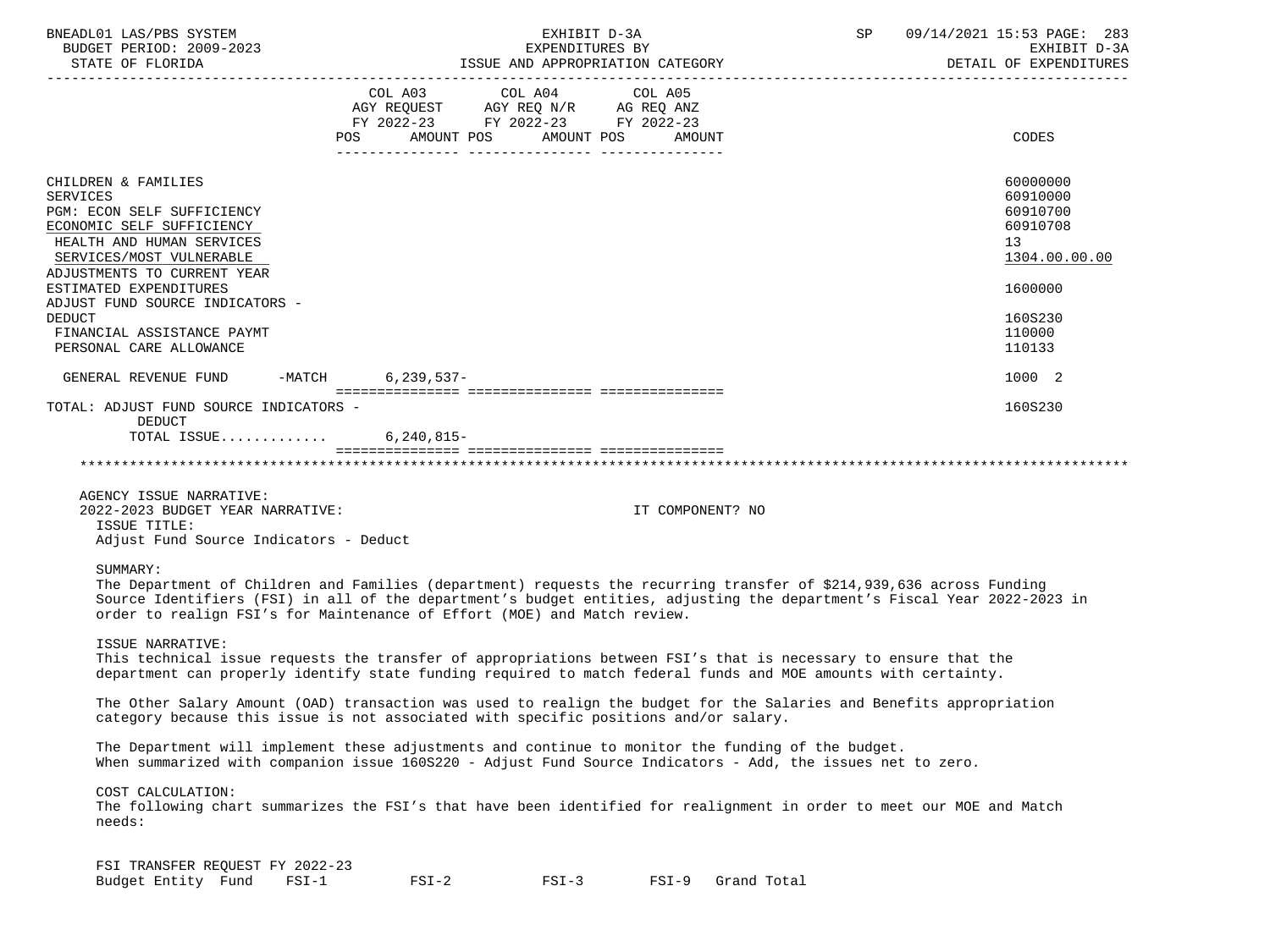| BNEADL01 LAS/PBS SYSTEM<br>BUDGET PERIOD: 2009-2023                                                                                                                                                                                                                                                                                      |                                                                                                                | EXHIBIT D-3A<br>SP<br>EXPENDITURES BY                                                                                             |                  |  | 09/14/2021 15:53 PAGE: 283<br>EXHIBIT D-3A<br>DETAIL OF EXPENDITURES |
|------------------------------------------------------------------------------------------------------------------------------------------------------------------------------------------------------------------------------------------------------------------------------------------------------------------------------------------|----------------------------------------------------------------------------------------------------------------|-----------------------------------------------------------------------------------------------------------------------------------|------------------|--|----------------------------------------------------------------------|
|                                                                                                                                                                                                                                                                                                                                          | POS FOR THE POST OF THE POST OF THE POST OF THE POST OF THE POST OF THE POST OF THE POST OF THE POST OF THE PO | COL A03 COL A04 COL A05<br>AGY REQUEST AGY REQ N/R AG REQ ANZ<br>FY 2022-23 FY 2022-23 FY 2022-23<br>AMOUNT POS AMOUNT POS AMOUNT |                  |  | CODES                                                                |
| CHILDREN & FAMILIES<br><b>SERVICES</b><br>PGM: ECON SELF SUFFICIENCY<br>ECONOMIC SELF SUFFICIENCY<br>HEALTH AND HUMAN SERVICES<br>SERVICES/MOST VULNERABLE<br>ADJUSTMENTS TO CURRENT YEAR                                                                                                                                                |                                                                                                                |                                                                                                                                   |                  |  | 60000000<br>60910000<br>60910700<br>60910708<br>13<br>1304.00.00.00  |
| ESTIMATED EXPENDITURES<br>ADJUST FUND SOURCE INDICATORS -<br><b>DEDUCT</b><br>FINANCIAL ASSISTANCE PAYMT<br>PERSONAL CARE ALLOWANCE                                                                                                                                                                                                      |                                                                                                                |                                                                                                                                   |                  |  | 1600000<br>160S230<br>110000<br>110133                               |
| GENERAL REVENUE FUND -MATCH 6,239,537-                                                                                                                                                                                                                                                                                                   |                                                                                                                |                                                                                                                                   |                  |  | 1000 2                                                               |
| TOTAL: ADJUST FUND SOURCE INDICATORS -                                                                                                                                                                                                                                                                                                   |                                                                                                                |                                                                                                                                   |                  |  | 160S230                                                              |
| DEDUCT<br>TOTAL ISSUE 6,240,815-                                                                                                                                                                                                                                                                                                         |                                                                                                                |                                                                                                                                   |                  |  |                                                                      |
|                                                                                                                                                                                                                                                                                                                                          |                                                                                                                |                                                                                                                                   |                  |  |                                                                      |
| AGENCY ISSUE NARRATIVE:<br>2022-2023 BUDGET YEAR NARRATIVE:<br>ISSUE TITLE:<br>Adjust Fund Source Indicators - Deduct                                                                                                                                                                                                                    |                                                                                                                |                                                                                                                                   | IT COMPONENT? NO |  |                                                                      |
| SUMMARY:<br>The Department of Children and Families (department) requests the recurring transfer of \$214,939,636 across Funding<br>Source Identifiers (FSI) in all of the department's budget entities, adjusting the department's Fiscal Year 2022-2023 in<br>order to realign FSI's for Maintenance of Effort (MOE) and Match review. |                                                                                                                |                                                                                                                                   |                  |  |                                                                      |
| ISSUE NARRATIVE:<br>This technical issue requests the transfer of appropriations between FSI's that is necessary to ensure that the<br>department can properly identify state funding required to match federal funds and MOE amounts with certainty.                                                                                    |                                                                                                                |                                                                                                                                   |                  |  |                                                                      |
| The Other Salary Amount (OAD) transaction was used to realign the budget for the Salaries and Benefits appropriation<br>category because this issue is not associated with specific positions and/or salary.                                                                                                                             |                                                                                                                |                                                                                                                                   |                  |  |                                                                      |
| The Department will implement these adjustments and continue to monitor the funding of the budget.<br>When summarized with companion issue 160S220 - Adjust Fund Source Indicators - Add, the issues net to zero.                                                                                                                        |                                                                                                                |                                                                                                                                   |                  |  |                                                                      |
| COST CALCULATION:<br>The following chart summarizes the FSI's that have been identified for realignment in order to meet our MOE and Match<br>needs:                                                                                                                                                                                     |                                                                                                                |                                                                                                                                   |                  |  |                                                                      |
| FSI TRANSFER REQUEST FY 2022-23                                                                                                                                                                                                                                                                                                          |                                                                                                                |                                                                                                                                   |                  |  |                                                                      |

Budget Entity Fund FSI-1 FSI-2 FSI-3 FSI-9 Grand Total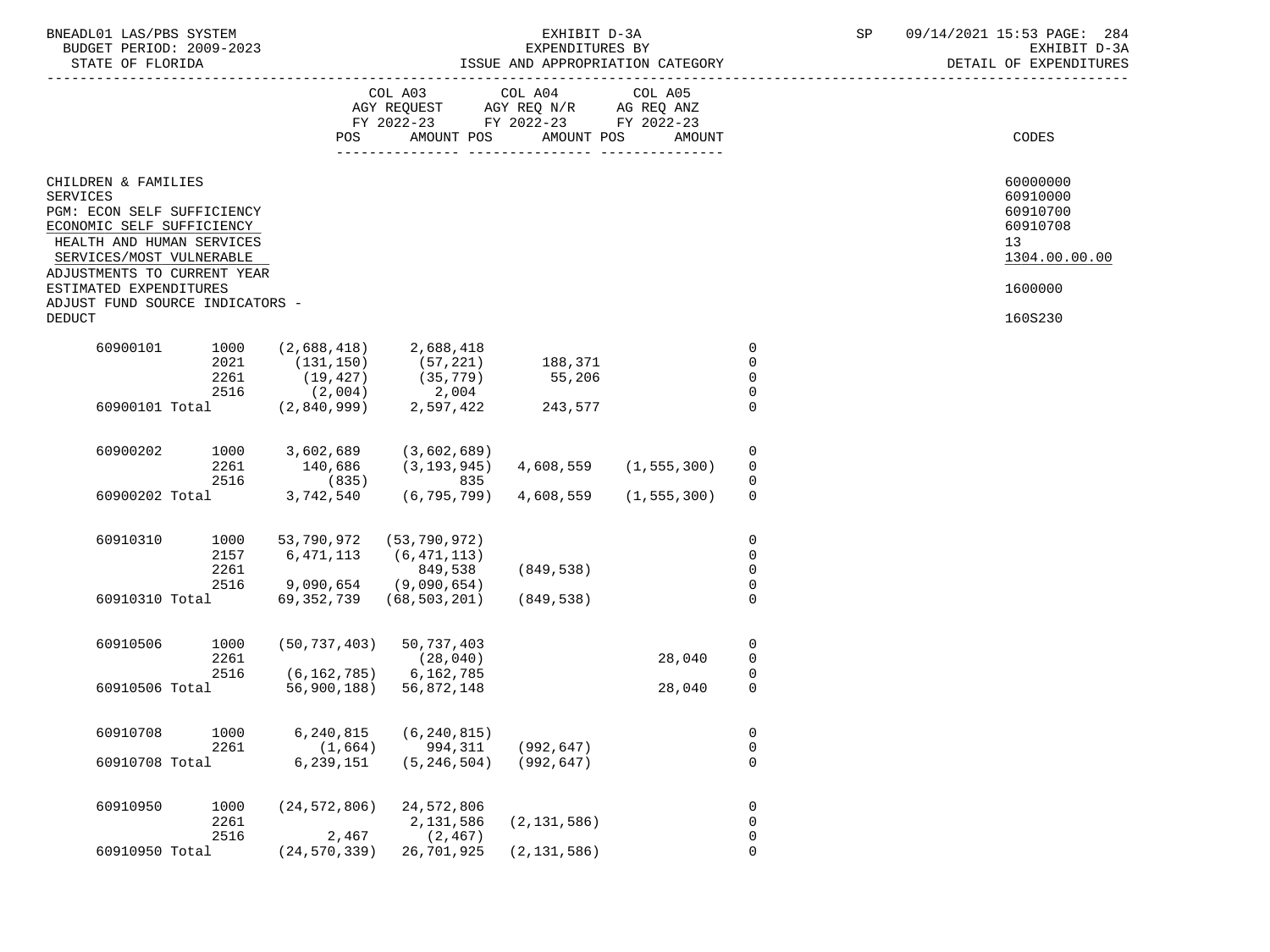| BNEADL01 LAS/PBS SYSTEM |                  |                          | EXHIBIT D-3A                     |  |
|-------------------------|------------------|--------------------------|----------------------------------|--|
|                         |                  | BUDGET PERIOD: 2009-2023 | EXPENDITURES BY                  |  |
|                         | STATE OF FLORIDA |                          | ISSUE AND APPROPRIATION CATEGORY |  |

|                 |                                                                                      |              | POS                         | COL A03<br>AGY REQUEST AGY REQ N/R AG REQ ANZ<br>FY 2022-23 FY 2022-23 FY 2022-23<br>AMOUNT POS | COL A04<br>AMOUNT POS     | COL A05<br>AMOUNT |                            | CODES                      |
|-----------------|--------------------------------------------------------------------------------------|--------------|-----------------------------|-------------------------------------------------------------------------------------------------|---------------------------|-------------------|----------------------------|----------------------------|
|                 |                                                                                      |              |                             |                                                                                                 |                           |                   |                            |                            |
| <b>SERVICES</b> | CHILDREN & FAMILIES                                                                  |              |                             |                                                                                                 |                           |                   |                            | 60000000<br>60910000       |
|                 | PGM: ECON SELF SUFFICIENCY<br>ECONOMIC SELF SUFFICIENCY<br>HEALTH AND HUMAN SERVICES |              |                             |                                                                                                 |                           |                   |                            | 60910700<br>60910708<br>13 |
|                 | SERVICES/MOST VULNERABLE<br>ADJUSTMENTS TO CURRENT YEAR                              |              |                             |                                                                                                 |                           |                   |                            | 1304.00.00.00              |
|                 | ESTIMATED EXPENDITURES<br>ADJUST FUND SOURCE INDICATORS -                            |              |                             |                                                                                                 |                           |                   |                            | 1600000                    |
| <b>DEDUCT</b>   |                                                                                      |              |                             |                                                                                                 |                           |                   |                            | 160S230                    |
|                 | 60900101                                                                             | 1000         | (2,688,418)                 | 2,688,418                                                                                       |                           |                   | $\mathbf 0$                |                            |
|                 |                                                                                      | 2021         | (131, 150)                  | (57, 221)                                                                                       | 188,371                   |                   | $\mathbf 0$                |                            |
|                 |                                                                                      | 2261         | $(19, 427)$<br>$(2, 004)$   | $(35, 779) \ 2,004$                                                                             | 55,206                    |                   | $\mathbf 0$                |                            |
|                 |                                                                                      | 2516         |                             |                                                                                                 |                           |                   | $\mathbf 0$                |                            |
|                 | 60900101 Total                                                                       |              | (2,840,999)                 | 2,597,422                                                                                       | 243,577                   |                   | $\overline{0}$             |                            |
|                 |                                                                                      |              |                             |                                                                                                 |                           |                   |                            |                            |
|                 | 60900202                                                                             | 1000         | 3,602,689                   | (3,602,689)                                                                                     |                           |                   | 0                          |                            |
|                 |                                                                                      | 2261         | 140,686                     | (3, 193, 945)                                                                                   | 4,608,559                 | (1, 555, 300)     | $\mathbf 0$                |                            |
|                 | 60900202 Total                                                                       | 2516         | (835)<br>3,742,540          | 835<br>(6, 795, 799)                                                                            | 4,608,559                 | (1, 555, 300)     | $\mathbf 0$<br>$\Omega$    |                            |
|                 |                                                                                      |              |                             |                                                                                                 |                           |                   |                            |                            |
|                 |                                                                                      |              |                             |                                                                                                 |                           |                   |                            |                            |
|                 | 60910310                                                                             | 1000         | 53,790,972                  | (53, 790, 972)                                                                                  |                           |                   | $\mathbf 0$<br>$\mathbf 0$ |                            |
|                 |                                                                                      | 2157<br>2261 | 6,471,113                   | (6, 471, 113)<br>849,538                                                                        | (849, 538)                |                   | $\mathbf 0$                |                            |
|                 |                                                                                      | 2516         | 9,090,654 (9,090,654)       |                                                                                                 |                           |                   | $\mathbf 0$                |                            |
|                 | 60910310 Total                                                                       |              | 69,352,739                  | (68, 503, 201)                                                                                  | (849, 538)                |                   | $\Omega$                   |                            |
|                 |                                                                                      |              |                             |                                                                                                 |                           |                   |                            |                            |
|                 | 60910506                                                                             | 1000         | (50, 737, 403)              | 50,737,403                                                                                      |                           |                   | $\mathbf 0$                |                            |
|                 |                                                                                      | 2261         |                             | (28, 040)                                                                                       |                           | 28,040            | $\mathbf 0$                |                            |
|                 |                                                                                      | 2516         | $(6, 162, 785)$ 6, 162, 785 |                                                                                                 |                           |                   | $\mathbf 0$                |                            |
|                 | 60910506 Total                                                                       |              |                             | 56,900,188) 56,872,148                                                                          |                           | 28,040            | $\mathbf 0$                |                            |
|                 |                                                                                      |              |                             |                                                                                                 |                           |                   |                            |                            |
|                 | 60910708                                                                             | 1000         | 6,240,815                   | (6, 240, 815)                                                                                   |                           |                   | $\mathbf 0$                |                            |
|                 |                                                                                      | 2261         |                             | $(1,664)$ 994,311                                                                               | (992, 647)                |                   | $\mathbf 0$                |                            |
|                 | 60910708 Total                                                                       |              | 6,239,151                   |                                                                                                 | $(5, 246, 504)$ (992,647) |                   | $\mathbf 0$                |                            |
|                 |                                                                                      |              |                             |                                                                                                 |                           |                   |                            |                            |
|                 | 60910950                                                                             | 1000         |                             | $(24, 572, 806)$ 24, 572, 806                                                                   |                           |                   | 0                          |                            |
|                 |                                                                                      | 2261         |                             | 2,131,586                                                                                       | (2, 131, 586)             |                   | $\mathbf 0$                |                            |
|                 |                                                                                      | 2516         | 2,467                       | (2, 467)                                                                                        |                           |                   | $\mathbf 0$                |                            |
|                 | 60910950 Total                                                                       |              | (24, 570, 339)              | 26,701,925                                                                                      | (2, 131, 586)             |                   | 0                          |                            |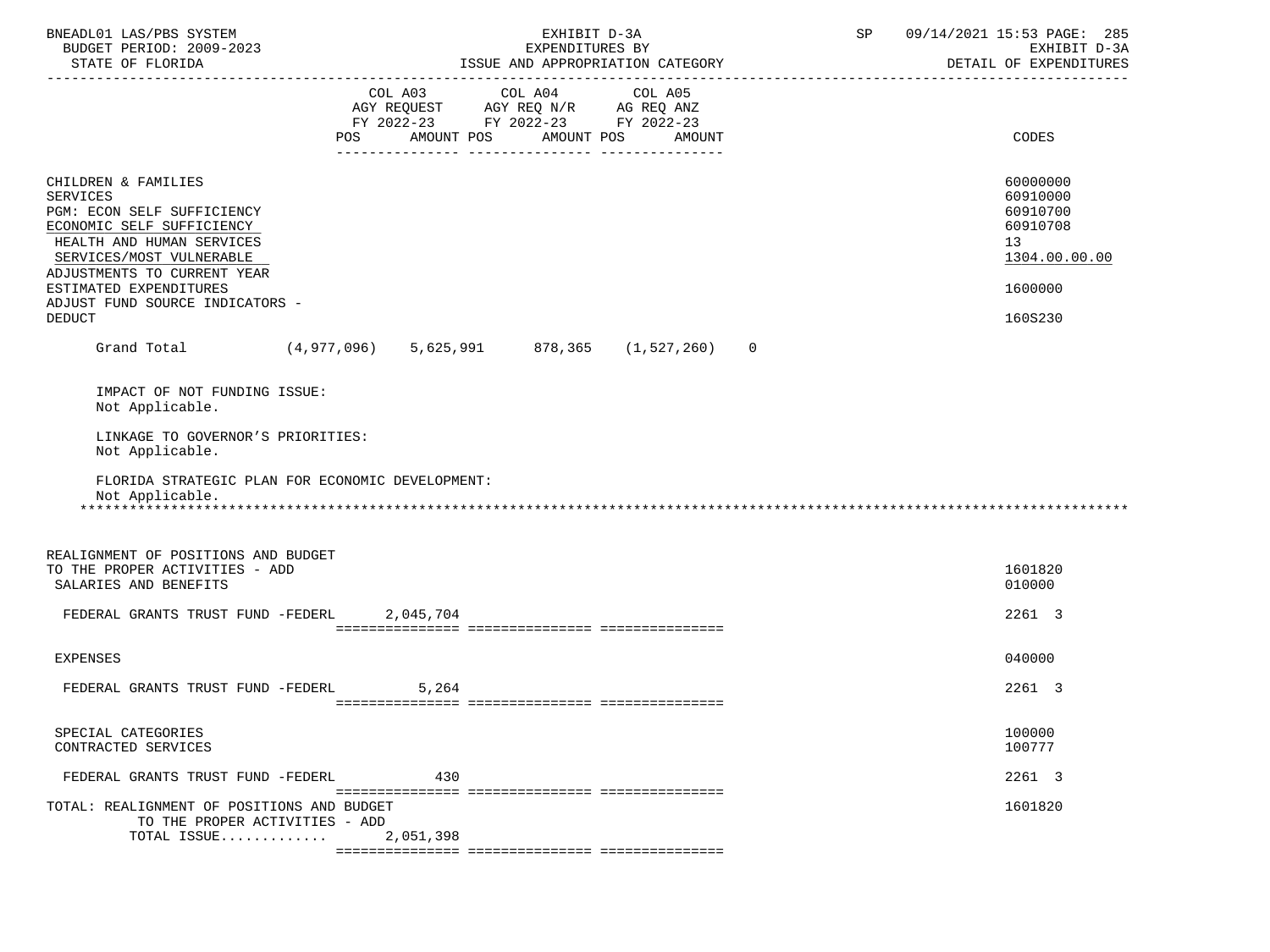| BNEADL01 LAS/PBS SYSTEM<br>BUDGET PERIOD: 2009-2023<br>STATE OF FLORIDA                                                                                                                                                                                                 |                   | EXHIBIT D-3A<br>EXPENDITURES BY<br>ISSUE AND APPROPRIATION CATEGORY                                             |                | SP | 09/14/2021 15:53 PAGE: 285<br>EXHIBIT D-3A<br>DETAIL OF EXPENDITURES                      |
|-------------------------------------------------------------------------------------------------------------------------------------------------------------------------------------------------------------------------------------------------------------------------|-------------------|-----------------------------------------------------------------------------------------------------------------|----------------|----|-------------------------------------------------------------------------------------------|
|                                                                                                                                                                                                                                                                         | AMOUNT POS<br>POS | COL A03 COL A04 COL A05<br>AGY REQUEST AGY REQ N/R AG REQ ANZ<br>FY 2022-23 FY 2022-23 FY 2022-23<br>AMOUNT POS | AMOUNT         |    | CODES                                                                                     |
| CHILDREN & FAMILIES<br><b>SERVICES</b><br>PGM: ECON SELF SUFFICIENCY<br>ECONOMIC SELF SUFFICIENCY<br>HEALTH AND HUMAN SERVICES<br>SERVICES/MOST VULNERABLE<br>ADJUSTMENTS TO CURRENT YEAR<br>ESTIMATED EXPENDITURES<br>ADJUST FUND SOURCE INDICATORS -<br><b>DEDUCT</b> |                   |                                                                                                                 |                |    | 60000000<br>60910000<br>60910700<br>60910708<br>13<br>1304.00.00.00<br>1600000<br>160S230 |
| Grand Total (4,977,096) 5,625,991 878,365 (1,527,260)                                                                                                                                                                                                                   |                   |                                                                                                                 | $\overline{0}$ |    |                                                                                           |
| IMPACT OF NOT FUNDING ISSUE:<br>Not Applicable.<br>LINKAGE TO GOVERNOR'S PRIORITIES:<br>Not Applicable.<br>FLORIDA STRATEGIC PLAN FOR ECONOMIC DEVELOPMENT:<br>Not Applicable.                                                                                          |                   |                                                                                                                 |                |    |                                                                                           |
| REALIGNMENT OF POSITIONS AND BUDGET<br>TO THE PROPER ACTIVITIES - ADD<br>SALARIES AND BENEFITS<br>FEDERAL GRANTS TRUST FUND -FEDERL 2,045,704                                                                                                                           |                   |                                                                                                                 |                |    | 1601820<br>010000                                                                         |
|                                                                                                                                                                                                                                                                         |                   |                                                                                                                 |                |    | 2261 3                                                                                    |
| <b>EXPENSES</b>                                                                                                                                                                                                                                                         |                   |                                                                                                                 |                |    | 040000                                                                                    |
| FEDERAL GRANTS TRUST FUND -FEDERL                                                                                                                                                                                                                                       | 5,264             |                                                                                                                 |                |    | 2261 3                                                                                    |
| SPECIAL CATEGORIES<br>CONTRACTED SERVICES                                                                                                                                                                                                                               |                   |                                                                                                                 |                |    | 100000<br>100777                                                                          |
| FEDERAL GRANTS TRUST FUND -FEDERL                                                                                                                                                                                                                                       | 430               |                                                                                                                 |                |    | 2261 3                                                                                    |
| TOTAL: REALIGNMENT OF POSITIONS AND BUDGET<br>TO THE PROPER ACTIVITIES - ADD<br>TOTAL ISSUE                                                                                                                                                                             | 2,051,398         |                                                                                                                 |                |    | 1601820                                                                                   |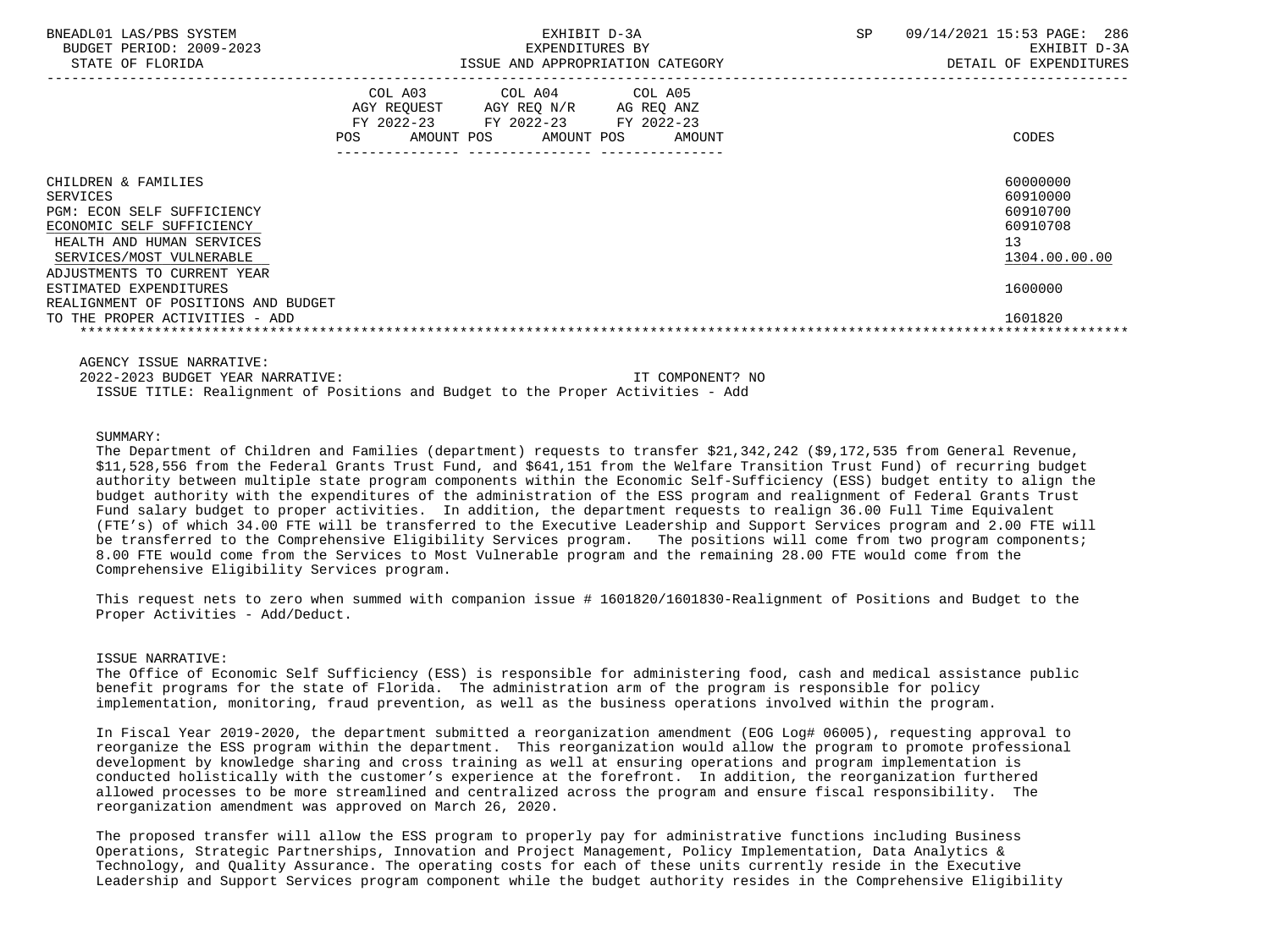| BNEADL01 LAS/PBS SYSTEM<br>BUDGET PERIOD: 2009-2023<br>STATE OF FLORIDA                                                                                                                                      |     | EXHIBIT D-3A<br>EXPENDITURES BY<br>ISSUE AND APPROPRIATION CATEGORY                                                |                      | 09/14/2021 15:53 PAGE: 286<br><b>SP</b><br>EXHIBIT D-3A<br>DETAIL OF EXPENDITURES |                                                                                |  |  |
|--------------------------------------------------------------------------------------------------------------------------------------------------------------------------------------------------------------|-----|--------------------------------------------------------------------------------------------------------------------|----------------------|-----------------------------------------------------------------------------------|--------------------------------------------------------------------------------|--|--|
|                                                                                                                                                                                                              | POS | COL A03 COL A04 COL A05<br>AGY REQUEST AGY REQ N/R<br>FY 2022-23 FY 2022-23 FY 2022-23<br>AMOUNT POS<br>AMOUNT POS | AG REQ ANZ<br>AMOUNT |                                                                                   | CODES                                                                          |  |  |
| CHILDREN & FAMILIES<br>SERVICES<br>PGM: ECON SELF SUFFICIENCY<br>ECONOMIC SELF SUFFICIENCY<br>HEALTH AND HUMAN SERVICES<br>SERVICES/MOST VULNERABLE<br>ADJUSTMENTS TO CURRENT YEAR<br>ESTIMATED EXPENDITURES |     |                                                                                                                    |                      |                                                                                   | 60000000<br>60910000<br>60910700<br>60910708<br>13<br>1304.00.00.00<br>1600000 |  |  |
| REALIGNMENT OF POSITIONS AND BUDGET<br>TO THE PROPER ACTIVITIES - ADD                                                                                                                                        |     |                                                                                                                    |                      |                                                                                   | 1601820                                                                        |  |  |

AGENCY ISSUE NARRATIVE:

 2022-2023 BUDGET YEAR NARRATIVE: IT COMPONENT? NO ISSUE TITLE: Realignment of Positions and Budget to the Proper Activities - Add

# SUMMARY:

 The Department of Children and Families (department) requests to transfer \$21,342,242 (\$9,172,535 from General Revenue, \$11,528,556 from the Federal Grants Trust Fund, and \$641,151 from the Welfare Transition Trust Fund) of recurring budget authority between multiple state program components within the Economic Self-Sufficiency (ESS) budget entity to align the budget authority with the expenditures of the administration of the ESS program and realignment of Federal Grants Trust Fund salary budget to proper activities. In addition, the department requests to realign 36.00 Full Time Equivalent (FTE's) of which 34.00 FTE will be transferred to the Executive Leadership and Support Services program and 2.00 FTE will be transferred to the Comprehensive Eligibility Services program. The positions will come from two program components; 8.00 FTE would come from the Services to Most Vulnerable program and the remaining 28.00 FTE would come from the Comprehensive Eligibility Services program.

 This request nets to zero when summed with companion issue # 1601820/1601830-Realignment of Positions and Budget to the Proper Activities - Add/Deduct.

# ISSUE NARRATIVE:

 The Office of Economic Self Sufficiency (ESS) is responsible for administering food, cash and medical assistance public benefit programs for the state of Florida. The administration arm of the program is responsible for policy implementation, monitoring, fraud prevention, as well as the business operations involved within the program.

 In Fiscal Year 2019-2020, the department submitted a reorganization amendment (EOG Log# 06005), requesting approval to reorganize the ESS program within the department. This reorganization would allow the program to promote professional development by knowledge sharing and cross training as well at ensuring operations and program implementation is conducted holistically with the customer's experience at the forefront. In addition, the reorganization furthered allowed processes to be more streamlined and centralized across the program and ensure fiscal responsibility. The reorganization amendment was approved on March 26, 2020.

 The proposed transfer will allow the ESS program to properly pay for administrative functions including Business Operations, Strategic Partnerships, Innovation and Project Management, Policy Implementation, Data Analytics & Technology, and Quality Assurance. The operating costs for each of these units currently reside in the Executive Leadership and Support Services program component while the budget authority resides in the Comprehensive Eligibility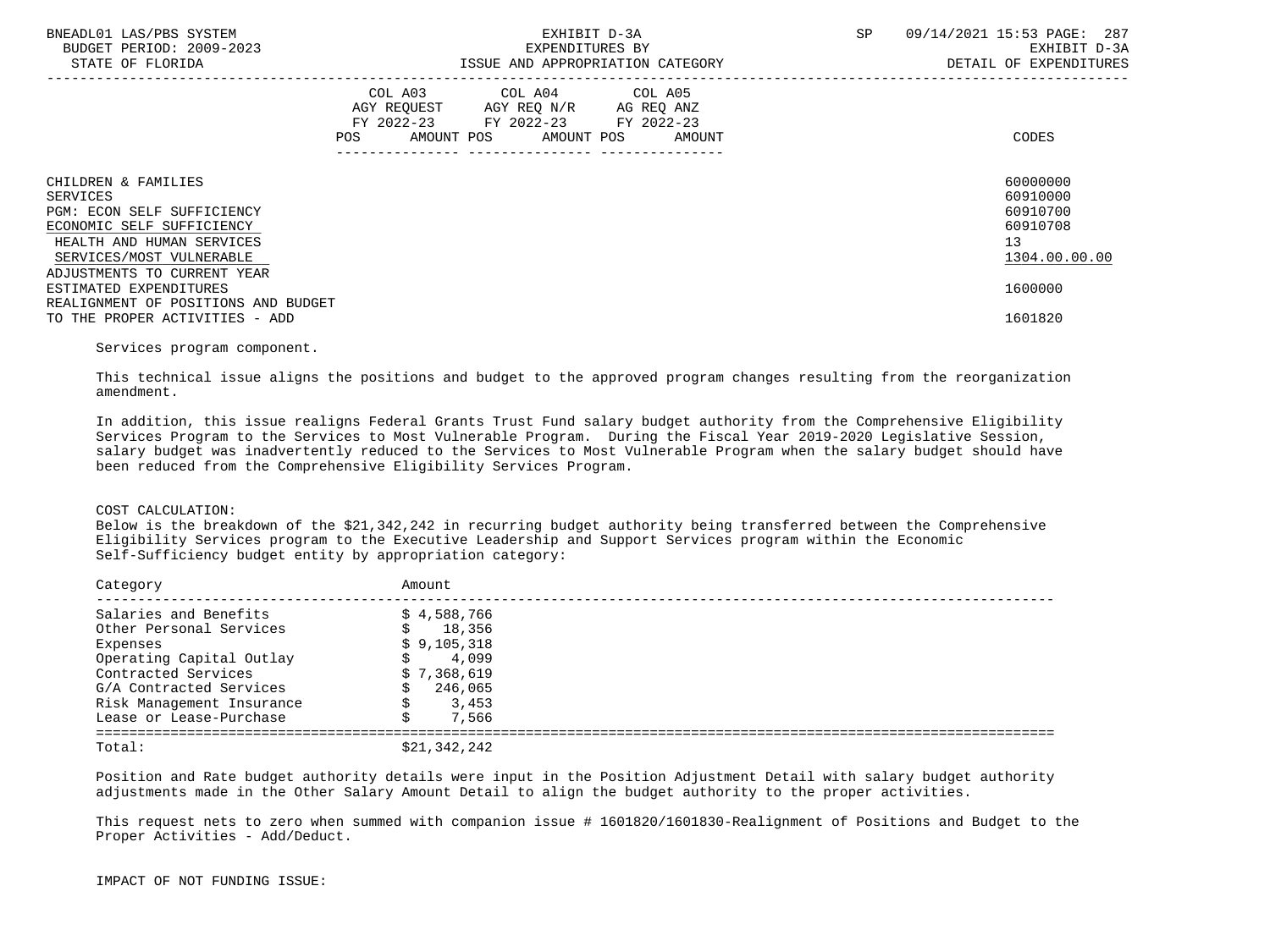| BNEADL01 LAS/PBS SYSTEM<br>BUDGET PERIOD: 2009-2023<br>STATE OF FLORIDA |                   | EXPENDITURES BY                                                                                                 | EXHIBIT D-3A<br>ISSUE AND APPROPRIATION CATEGORY | 09/14/2021 15:53 PAGE: 287<br>SP<br>EXHIBIT D-3A<br>DETAIL OF EXPENDITURES |                      |  |
|-------------------------------------------------------------------------|-------------------|-----------------------------------------------------------------------------------------------------------------|--------------------------------------------------|----------------------------------------------------------------------------|----------------------|--|
|                                                                         | AMOUNT POS<br>POS | COL A03 COL A04 COL A05<br>AGY REQUEST AGY REQ N/R AG REQ ANZ<br>FY 2022-23 FY 2022-23 FY 2022-23<br>AMOUNT POS | AMOUNT                                           |                                                                            | CODES                |  |
| CHILDREN & FAMILIES<br>SERVICES                                         |                   |                                                                                                                 |                                                  |                                                                            | 60000000<br>60910000 |  |
| <b>PGM: ECON SELF SUFFICIENCY</b><br>ECONOMIC SELF SUFFICIENCY          |                   |                                                                                                                 |                                                  |                                                                            | 60910700<br>60910708 |  |
| HEALTH AND HUMAN SERVICES<br>SERVICES/MOST VULNERABLE                   |                   |                                                                                                                 |                                                  |                                                                            | 13<br>1304.00.00.00  |  |
| ADJUSTMENTS TO CURRENT YEAR<br>ESTIMATED EXPENDITURES                   |                   |                                                                                                                 |                                                  |                                                                            | 1600000              |  |
| REALIGNMENT OF POSITIONS AND BUDGET<br>TO THE PROPER ACTIVITIES - ADD   |                   |                                                                                                                 |                                                  |                                                                            | 1601820              |  |

# Services program component.

 This technical issue aligns the positions and budget to the approved program changes resulting from the reorganization amendment.

 In addition, this issue realigns Federal Grants Trust Fund salary budget authority from the Comprehensive Eligibility Services Program to the Services to Most Vulnerable Program. During the Fiscal Year 2019-2020 Legislative Session, salary budget was inadvertently reduced to the Services to Most Vulnerable Program when the salary budget should have been reduced from the Comprehensive Eligibility Services Program.

### COST CALCULATION:

 Below is the breakdown of the \$21,342,242 in recurring budget authority being transferred between the Comprehensive Eligibility Services program to the Executive Leadership and Support Services program within the Economic Self-Sufficiency budget entity by appropriation category:

| Category                  | Amount       |
|---------------------------|--------------|
| Salaries and Benefits     | \$4,588,766  |
| Other Personal Services   | 18,356       |
| Expenses                  | \$9,105,318  |
| Operating Capital Outlay  | 4,099        |
| Contracted Services       | \$7,368,619  |
| G/A Contracted Services   | 246,065      |
| Risk Management Insurance | 3,453        |
| Lease or Lease-Purchase   | 7,566        |
| Total:                    | \$21,342,242 |

 Position and Rate budget authority details were input in the Position Adjustment Detail with salary budget authority adjustments made in the Other Salary Amount Detail to align the budget authority to the proper activities.

 This request nets to zero when summed with companion issue # 1601820/1601830-Realignment of Positions and Budget to the Proper Activities - Add/Deduct.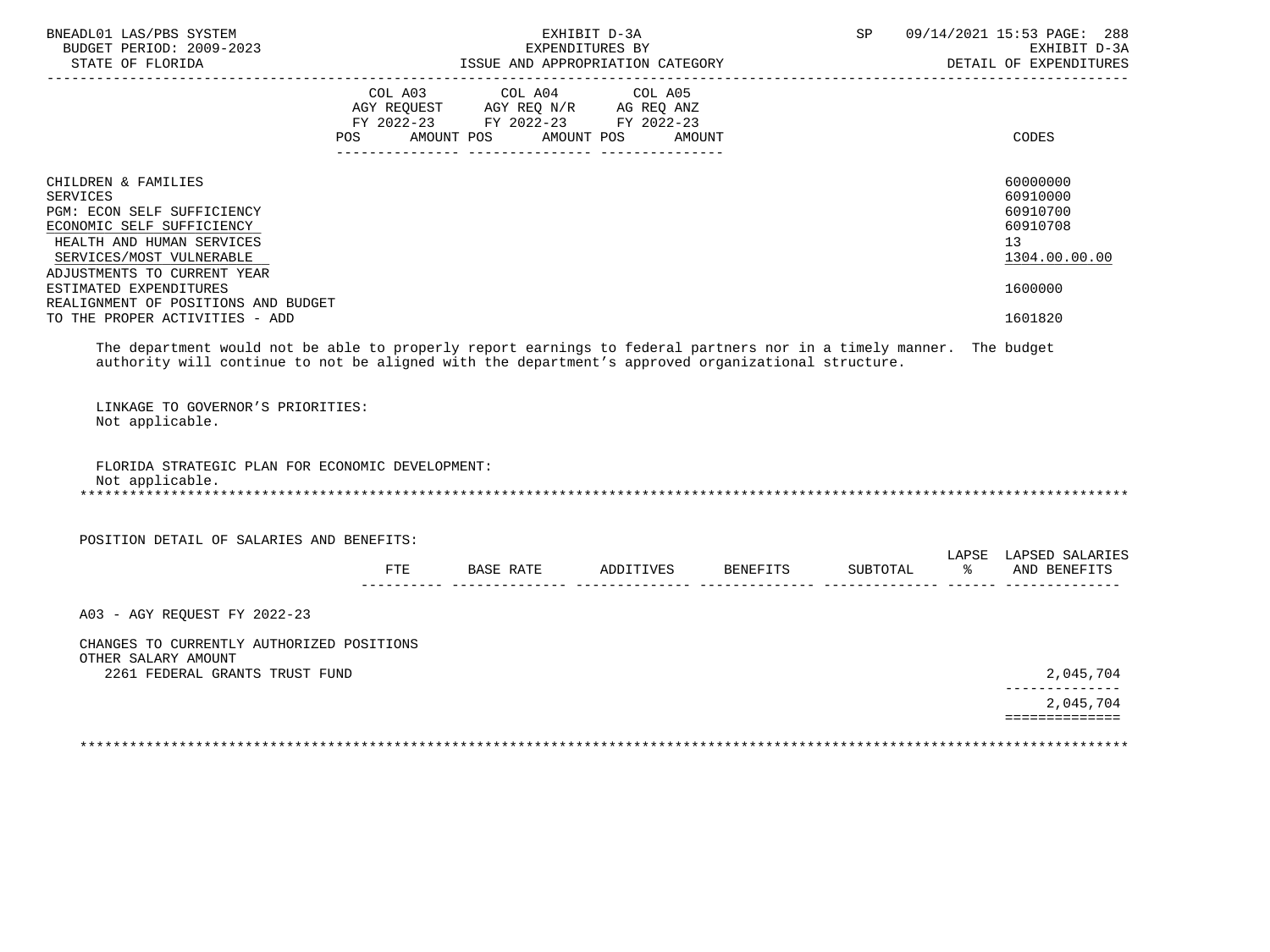| BNEADL01 LAS/PBS SYSTEM<br>BUDGET PERIOD: 2009-2023<br>STATE OF FLORIDA                                                                                                                                                                                                                                                                                                                                                                                                                                        | ISSUE AND APPROPRIATION CATEGORY                                                                                                      | EXHIBIT D-3A<br>EXPENDITURES BY | SP       | 09/14/2021 15:53 PAGE: 288<br>EXHIBIT D-3A<br>DETAIL OF EXPENDITURES                                                 |
|----------------------------------------------------------------------------------------------------------------------------------------------------------------------------------------------------------------------------------------------------------------------------------------------------------------------------------------------------------------------------------------------------------------------------------------------------------------------------------------------------------------|---------------------------------------------------------------------------------------------------------------------------------------|---------------------------------|----------|----------------------------------------------------------------------------------------------------------------------|
|                                                                                                                                                                                                                                                                                                                                                                                                                                                                                                                | COL A03 COL A04 COL A05<br>AGY REQUEST AGY REQ N/R AG REQ ANZ<br>FY 2022-23 FY 2022-23 FY 2022-23<br>POS AMOUNT POS AMOUNT POS AMOUNT |                                 |          | CODES                                                                                                                |
| CHILDREN & FAMILIES<br><b>SERVICES</b><br>PGM: ECON SELF SUFFICIENCY<br>ECONOMIC SELF SUFFICIENCY<br>HEALTH AND HUMAN SERVICES<br>SERVICES/MOST VULNERABLE<br>ADJUSTMENTS TO CURRENT YEAR<br>ESTIMATED EXPENDITURES<br>REALIGNMENT OF POSITIONS AND BUDGET<br>TO THE PROPER ACTIVITIES - ADD<br>The department would not be able to properly report earnings to federal partners nor in a timely manner.<br>authority will continue to not be aligned with the department's approved organizational structure. |                                                                                                                                       |                                 |          | 60000000<br>60910000<br>60910700<br>60910708<br>13 <sup>°</sup><br>1304.00.00.00<br>1600000<br>1601820<br>The budget |
| LINKAGE TO GOVERNOR'S PRIORITIES:<br>Not applicable.                                                                                                                                                                                                                                                                                                                                                                                                                                                           |                                                                                                                                       |                                 |          |                                                                                                                      |
| FLORIDA STRATEGIC PLAN FOR ECONOMIC DEVELOPMENT:<br>Not applicable.                                                                                                                                                                                                                                                                                                                                                                                                                                            |                                                                                                                                       |                                 |          |                                                                                                                      |
| POSITION DETAIL OF SALARIES AND BENEFITS:                                                                                                                                                                                                                                                                                                                                                                                                                                                                      |                                                                                                                                       |                                 |          | LAPSE LAPSED SALARIES                                                                                                |
|                                                                                                                                                                                                                                                                                                                                                                                                                                                                                                                | FTE BASE RATE ADDITIVES BENEFITS                                                                                                      |                                 | SUBTOTAL | % AND BENEFITS                                                                                                       |
| A03 - AGY REQUEST FY 2022-23                                                                                                                                                                                                                                                                                                                                                                                                                                                                                   |                                                                                                                                       |                                 |          |                                                                                                                      |
| CHANGES TO CURRENTLY AUTHORIZED POSITIONS<br>OTHER SALARY AMOUNT<br>2261 FEDERAL GRANTS TRUST FUND                                                                                                                                                                                                                                                                                                                                                                                                             |                                                                                                                                       |                                 |          | 2,045,704                                                                                                            |
|                                                                                                                                                                                                                                                                                                                                                                                                                                                                                                                |                                                                                                                                       |                                 |          | 2,045,704                                                                                                            |
|                                                                                                                                                                                                                                                                                                                                                                                                                                                                                                                |                                                                                                                                       |                                 |          | --------------<br>==============                                                                                     |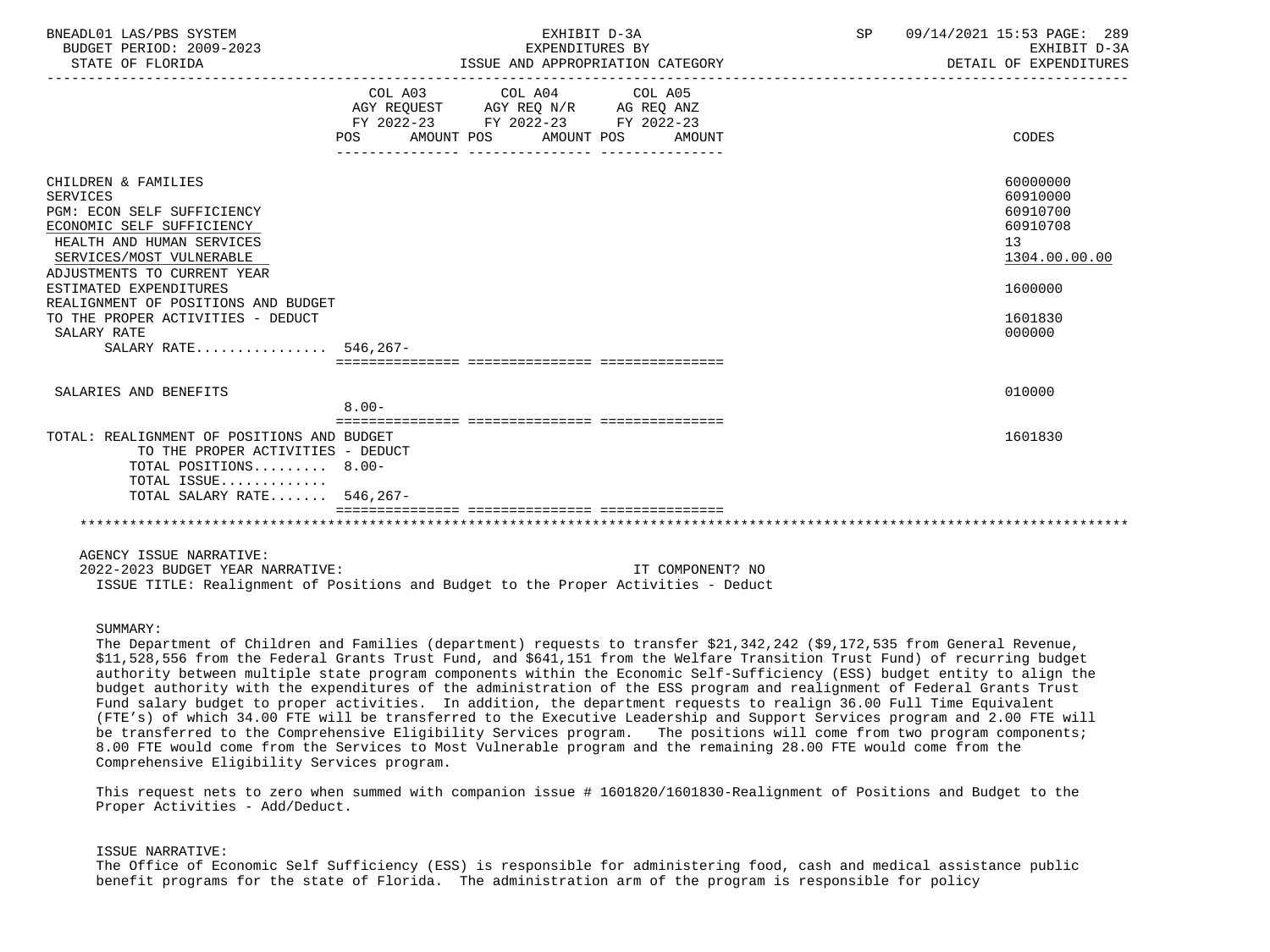| BNEADL01 LAS/PBS SYSTEM<br>BUDGET PERIOD: 2009-2023<br>STATE OF FLORIDA                                                                                                                                                                                                                                                                 | EXHIBIT D-3A<br>EXPENDITURES BY<br>ISSUE AND APPROPRIATION CATEGORY                                                                      | 09/14/2021 15:53 PAGE: 289<br>SP<br>EXHIBIT D-3A<br>DETAIL OF EXPENDITURES                          |
|-----------------------------------------------------------------------------------------------------------------------------------------------------------------------------------------------------------------------------------------------------------------------------------------------------------------------------------------|------------------------------------------------------------------------------------------------------------------------------------------|-----------------------------------------------------------------------------------------------------|
|                                                                                                                                                                                                                                                                                                                                         | COL A03 COL A04 COL A05<br>AGY REQUEST AGY REQ N/R AG REQ ANZ<br>FY 2022-23 FY 2022-23 FY 2022-23<br>POS AMOUNT POS AMOUNT POS<br>AMOUNT | CODES                                                                                               |
| CHILDREN & FAMILIES<br><b>SERVICES</b><br>PGM: ECON SELF SUFFICIENCY<br>ECONOMIC SELF SUFFICIENCY<br>HEALTH AND HUMAN SERVICES<br>SERVICES/MOST VULNERABLE<br>ADJUSTMENTS TO CURRENT YEAR<br>ESTIMATED EXPENDITURES<br>REALIGNMENT OF POSITIONS AND BUDGET<br>TO THE PROPER ACTIVITIES - DEDUCT<br>SALARY RATE<br>SALARY RATE 546, 267- |                                                                                                                                          | 60000000<br>60910000<br>60910700<br>60910708<br>13<br>1304.00.00.00<br>1600000<br>1601830<br>000000 |
| SALARIES AND BENEFITS                                                                                                                                                                                                                                                                                                                   | $8.00 -$                                                                                                                                 | 010000                                                                                              |
| TOTAL: REALIGNMENT OF POSITIONS AND BUDGET<br>TO THE PROPER ACTIVITIES - DEDUCT<br>TOTAL POSITIONS 8.00-<br>TOTAL ISSUE<br>TOTAL SALARY RATE 546,267-                                                                                                                                                                                   |                                                                                                                                          | 1601830                                                                                             |
| AGENCY ISSUE NARRATIVE:                                                                                                                                                                                                                                                                                                                 |                                                                                                                                          |                                                                                                     |

 2022-2023 BUDGET YEAR NARRATIVE: IT COMPONENT? NO ISSUE TITLE: Realignment of Positions and Budget to the Proper Activities - Deduct

# SIIMMARY:

 The Department of Children and Families (department) requests to transfer \$21,342,242 (\$9,172,535 from General Revenue, \$11,528,556 from the Federal Grants Trust Fund, and \$641,151 from the Welfare Transition Trust Fund) of recurring budget authority between multiple state program components within the Economic Self-Sufficiency (ESS) budget entity to align the budget authority with the expenditures of the administration of the ESS program and realignment of Federal Grants Trust Fund salary budget to proper activities. In addition, the department requests to realign 36.00 Full Time Equivalent (FTE's) of which 34.00 FTE will be transferred to the Executive Leadership and Support Services program and 2.00 FTE will be transferred to the Comprehensive Eligibility Services program. The positions will come from two program components; 8.00 FTE would come from the Services to Most Vulnerable program and the remaining 28.00 FTE would come from the Comprehensive Eligibility Services program.

 This request nets to zero when summed with companion issue # 1601820/1601830-Realignment of Positions and Budget to the Proper Activities - Add/Deduct.

### ISSUE NARRATIVE:

 The Office of Economic Self Sufficiency (ESS) is responsible for administering food, cash and medical assistance public benefit programs for the state of Florida. The administration arm of the program is responsible for policy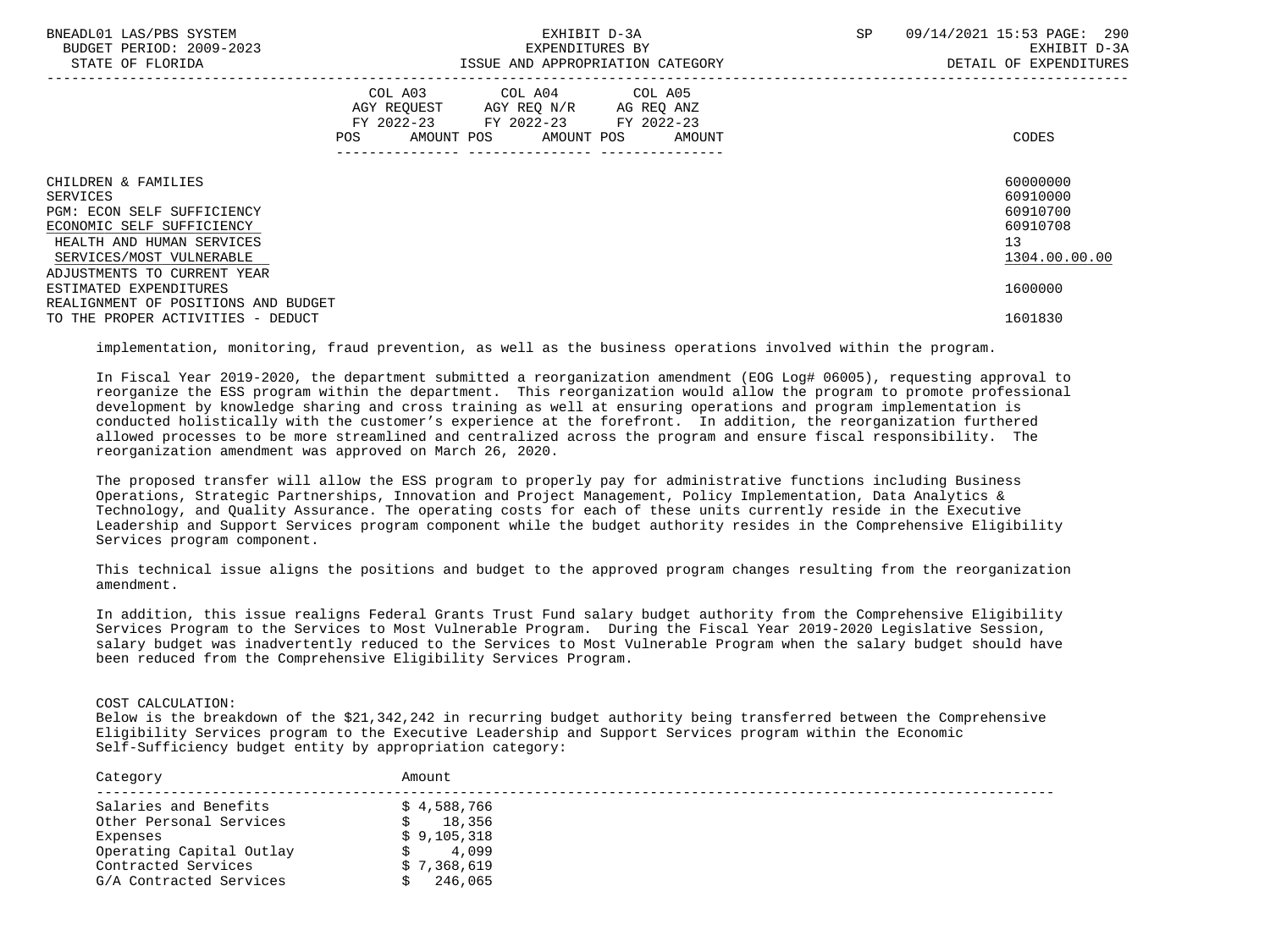| BNEADL01 LAS/PBS SYSTEM<br>BUDGET PERIOD: 2009-2023<br>STATE OF FLORIDA                                                                                    | EXHIBIT D-3A<br>EXPENDITURES BY<br>ISSUE AND APPROPRIATION CATEGORY |                                                                                                                                    |        | SP | 09/14/2021 15:53 PAGE: 290<br>EXHIBIT D-3A<br>DETAIL OF EXPENDITURES |
|------------------------------------------------------------------------------------------------------------------------------------------------------------|---------------------------------------------------------------------|------------------------------------------------------------------------------------------------------------------------------------|--------|----|----------------------------------------------------------------------|
|                                                                                                                                                            | AGY REQUEST<br>POS                                                  | COL A03 COL A04 COL A05<br>AGY REQ N/R AG REQ ANZ<br>FY 2022-23 FY 2022-23 FY 2022-23<br>AMOUNT POS AMOUNT POS<br>---------------- | AMOUNT |    | CODES                                                                |
| CHILDREN & FAMILIES<br>SERVICES<br><b>PGM: ECON SELF SUFFICIENCY</b><br>ECONOMIC SELF SUFFICIENCY<br>HEALTH AND HUMAN SERVICES<br>SERVICES/MOST VULNERABLE |                                                                     |                                                                                                                                    |        |    | 60000000<br>60910000<br>60910700<br>60910708<br>13<br>1304.00.00.00  |
| ADJUSTMENTS TO CURRENT YEAR<br>ESTIMATED EXPENDITURES<br>REALIGNMENT OF POSITIONS AND BUDGET                                                               |                                                                     |                                                                                                                                    |        |    | 1600000<br>1601830                                                   |
| TO THE PROPER ACTIVITIES - DEDUCT                                                                                                                          |                                                                     |                                                                                                                                    |        |    |                                                                      |

implementation, monitoring, fraud prevention, as well as the business operations involved within the program.

 In Fiscal Year 2019-2020, the department submitted a reorganization amendment (EOG Log# 06005), requesting approval to reorganize the ESS program within the department. This reorganization would allow the program to promote professional development by knowledge sharing and cross training as well at ensuring operations and program implementation is conducted holistically with the customer's experience at the forefront. In addition, the reorganization furthered allowed processes to be more streamlined and centralized across the program and ensure fiscal responsibility. The reorganization amendment was approved on March 26, 2020.

 The proposed transfer will allow the ESS program to properly pay for administrative functions including Business Operations, Strategic Partnerships, Innovation and Project Management, Policy Implementation, Data Analytics & Technology, and Quality Assurance. The operating costs for each of these units currently reside in the Executive Leadership and Support Services program component while the budget authority resides in the Comprehensive Eligibility Services program component.

 This technical issue aligns the positions and budget to the approved program changes resulting from the reorganization amendment.

 In addition, this issue realigns Federal Grants Trust Fund salary budget authority from the Comprehensive Eligibility Services Program to the Services to Most Vulnerable Program. During the Fiscal Year 2019-2020 Legislative Session, salary budget was inadvertently reduced to the Services to Most Vulnerable Program when the salary budget should have been reduced from the Comprehensive Eligibility Services Program.

# COST CALCULATION:

 Below is the breakdown of the \$21,342,242 in recurring budget authority being transferred between the Comprehensive Eligibility Services program to the Executive Leadership and Support Services program within the Economic Self-Sufficiency budget entity by appropriation category:

| Category                 | Amount      |
|--------------------------|-------------|
| Salaries and Benefits    | \$4,588,766 |
| Other Personal Services  | 18,356      |
| Expenses                 | \$9,105,318 |
| Operating Capital Outlay | 4,099       |
| Contracted Services      | \$7,368,619 |
| G/A Contracted Services  | 246,065     |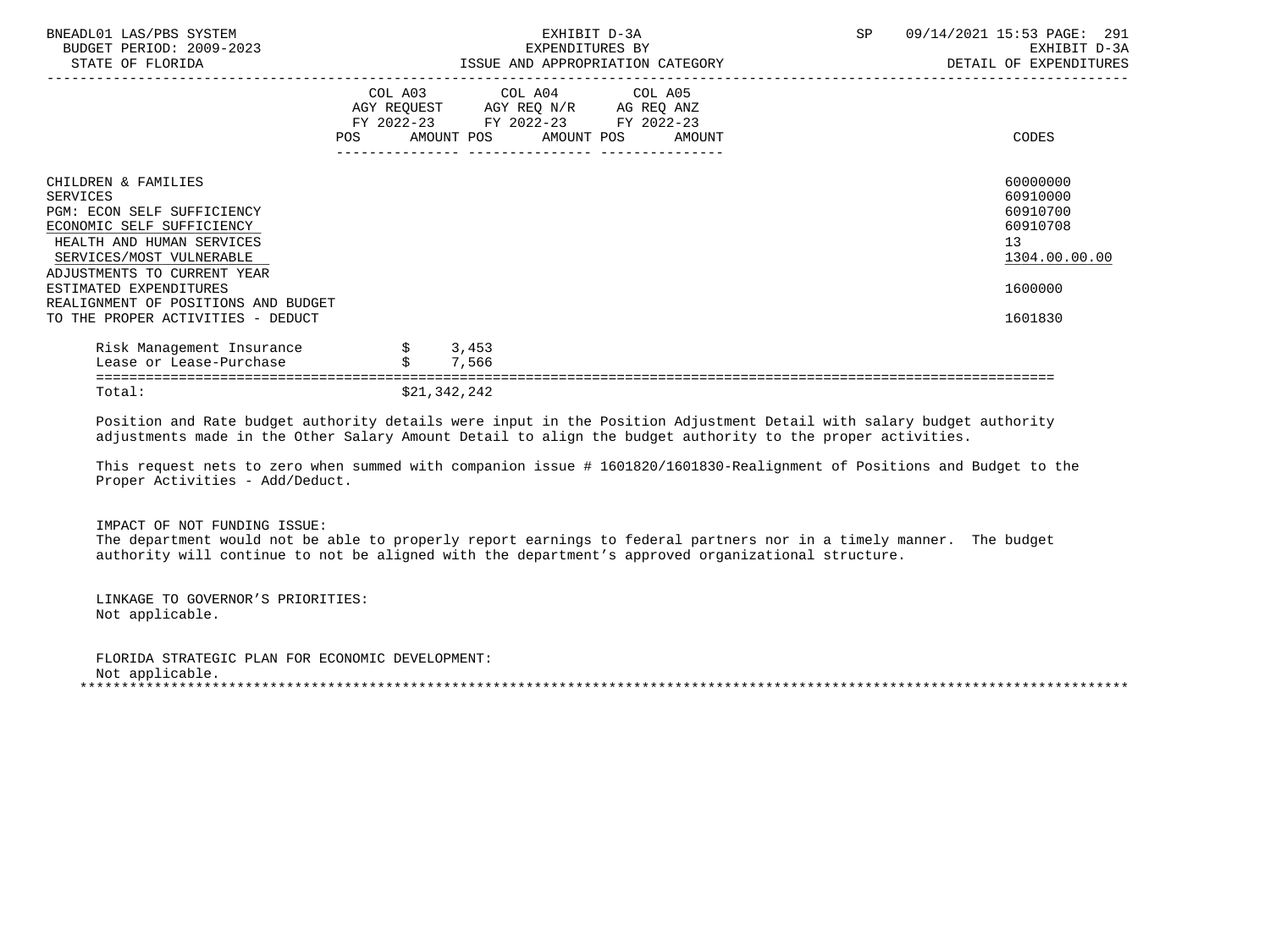| BNEADL01 LAS/PBS SYSTEM<br>BUDGET PERIOD: 2009-2023<br>STATE OF FLORIDA                                                                                                            |            | EXHIBIT D-3A<br>EXPENDITURES BY<br>ISSUE AND APPROPRIATION CATEGORY                                                                  | SP<br>09/14/2021 15:53 PAGE: 291<br>EXHIBIT D-3A<br>DETAIL OF EXPENDITURES |
|------------------------------------------------------------------------------------------------------------------------------------------------------------------------------------|------------|--------------------------------------------------------------------------------------------------------------------------------------|----------------------------------------------------------------------------|
|                                                                                                                                                                                    | <b>POS</b> | COL A03 COL A04 COL A05<br>AGY REQUEST AGY REQ N/R AG REQ ANZ<br>FY 2022-23 FY 2022-23 FY 2022-23<br>AMOUNT POS AMOUNT POS<br>AMOUNT | CODES                                                                      |
| CHILDREN & FAMILIES<br>SERVICES<br>PGM: ECON SELF SUFFICIENCY<br>ECONOMIC SELF SUFFICIENCY<br>HEALTH AND HUMAN SERVICES<br>SERVICES/MOST VULNERABLE<br>ADJUSTMENTS TO CURRENT YEAR |            |                                                                                                                                      | 60000000<br>60910000<br>60910700<br>60910708<br>13<br>1304.00.00.00        |
| ESTIMATED EXPENDITURES<br>REALIGNMENT OF POSITIONS AND BUDGET                                                                                                                      |            |                                                                                                                                      | 1600000                                                                    |
| TO THE PROPER ACTIVITIES - DEDUCT                                                                                                                                                  |            |                                                                                                                                      | 1601830                                                                    |
| Risk Management Insurance                                                                                                                                                          |            | 3,453                                                                                                                                |                                                                            |
| Lease or Lease-Purchase                                                                                                                                                            |            | 7,566                                                                                                                                |                                                                            |
|                                                                                                                                                                                    |            |                                                                                                                                      |                                                                            |

Total:  $\frac{1}{21,342,242}$ 

 Position and Rate budget authority details were input in the Position Adjustment Detail with salary budget authority adjustments made in the Other Salary Amount Detail to align the budget authority to the proper activities.

 This request nets to zero when summed with companion issue # 1601820/1601830-Realignment of Positions and Budget to the Proper Activities - Add/Deduct.

IMPACT OF NOT FUNDING ISSUE:

 The department would not be able to properly report earnings to federal partners nor in a timely manner. The budget authority will continue to not be aligned with the department's approved organizational structure.

 LINKAGE TO GOVERNOR'S PRIORITIES: Not applicable.

 FLORIDA STRATEGIC PLAN FOR ECONOMIC DEVELOPMENT: Not applicable. \*\*\*\*\*\*\*\*\*\*\*\*\*\*\*\*\*\*\*\*\*\*\*\*\*\*\*\*\*\*\*\*\*\*\*\*\*\*\*\*\*\*\*\*\*\*\*\*\*\*\*\*\*\*\*\*\*\*\*\*\*\*\*\*\*\*\*\*\*\*\*\*\*\*\*\*\*\*\*\*\*\*\*\*\*\*\*\*\*\*\*\*\*\*\*\*\*\*\*\*\*\*\*\*\*\*\*\*\*\*\*\*\*\*\*\*\*\*\*\*\*\*\*\*\*\*\*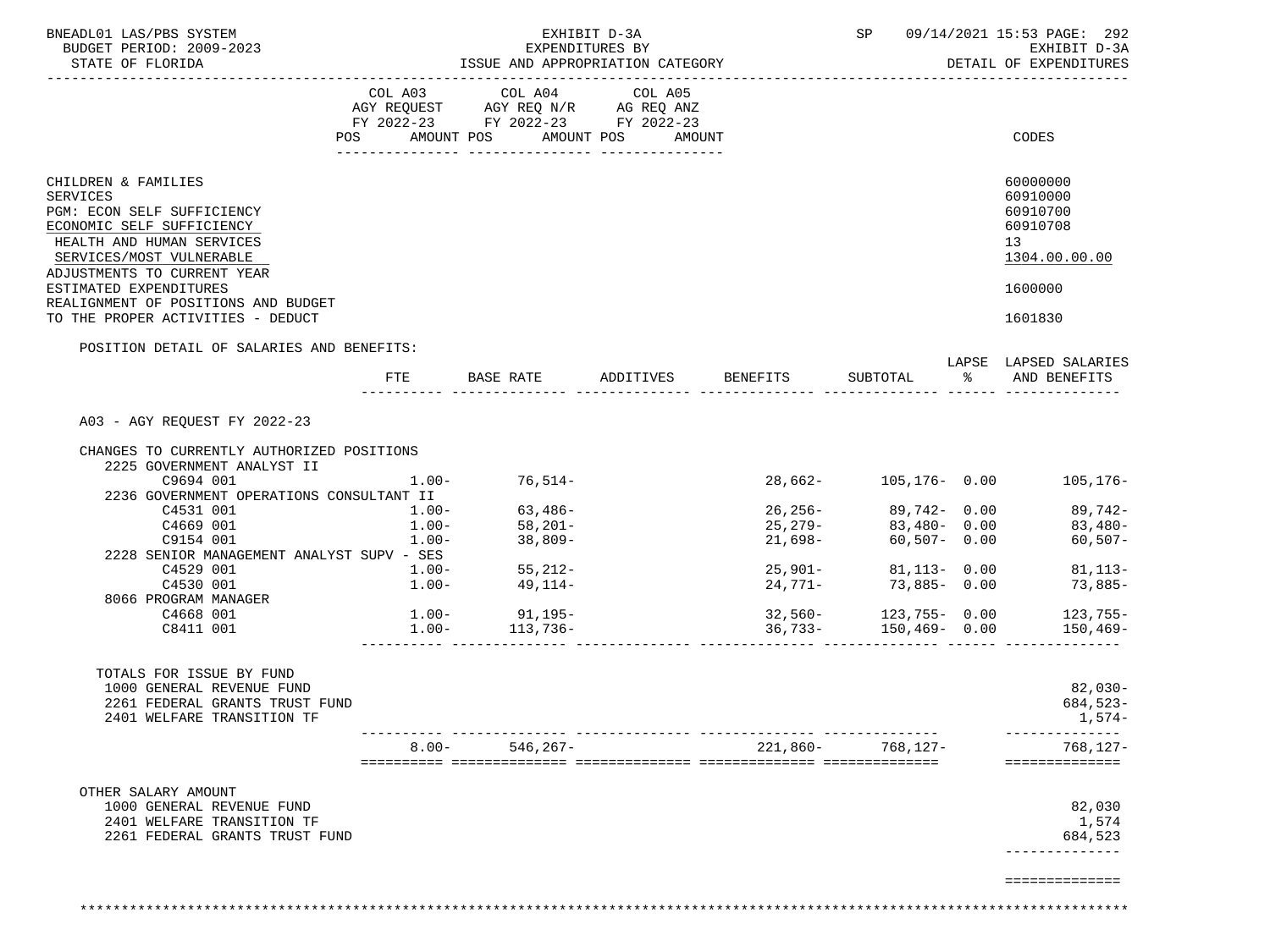| BNEADL01 LAS/PBS SYSTEM<br>BUDGET PERIOD: 2009-2023<br>STATE OF FLORIDA                                                                                                            |                | ISSUE AND APPROPRIATION CATEGORY   | EXHIBIT D-3A<br>EXPENDITURES BY |                                           | SP                         | 09/14/2021 15:53 PAGE: 292<br>EXHIBIT D-3A<br>DETAIL OF EXPENDITURES |
|------------------------------------------------------------------------------------------------------------------------------------------------------------------------------------|----------------|------------------------------------|---------------------------------|-------------------------------------------|----------------------------|----------------------------------------------------------------------|
|                                                                                                                                                                                    |                | COL A03 COL A04 COL A05            |                                 |                                           |                            |                                                                      |
|                                                                                                                                                                                    |                | AGY REQUEST AGY REQ N/R AG REQ ANZ |                                 |                                           |                            |                                                                      |
|                                                                                                                                                                                    |                | FY 2022-23 FY 2022-23 FY 2022-23   |                                 |                                           |                            |                                                                      |
|                                                                                                                                                                                    | POS AMOUNT POS |                                    | AMOUNT POS<br>AMOUNT            |                                           |                            | CODES                                                                |
|                                                                                                                                                                                    |                |                                    |                                 |                                           |                            |                                                                      |
| CHILDREN & FAMILIES<br>SERVICES<br>PGM: ECON SELF SUFFICIENCY<br>ECONOMIC SELF SUFFICIENCY<br>HEALTH AND HUMAN SERVICES<br>SERVICES/MOST VULNERABLE<br>ADJUSTMENTS TO CURRENT YEAR |                |                                    |                                 |                                           |                            | 60000000<br>60910000<br>60910700<br>60910708<br>13<br>1304.00.00.00  |
| ESTIMATED EXPENDITURES<br>REALIGNMENT OF POSITIONS AND BUDGET<br>TO THE PROPER ACTIVITIES - DEDUCT                                                                                 |                |                                    |                                 |                                           |                            | 1600000<br>1601830                                                   |
|                                                                                                                                                                                    |                |                                    |                                 |                                           |                            |                                                                      |
| POSITION DETAIL OF SALARIES AND BENEFITS:                                                                                                                                          |                |                                    |                                 |                                           |                            | LAPSE LAPSED SALARIES                                                |
|                                                                                                                                                                                    | FTE            |                                    |                                 | BASE RATE 6 ADDITIVES BENEFITS SUBTOTAL 8 |                            | AND BENEFITS                                                         |
| A03 - AGY REQUEST FY 2022-23                                                                                                                                                       |                |                                    |                                 |                                           |                            |                                                                      |
|                                                                                                                                                                                    |                |                                    |                                 |                                           |                            |                                                                      |
| CHANGES TO CURRENTLY AUTHORIZED POSITIONS<br>2225 GOVERNMENT ANALYST II                                                                                                            |                |                                    |                                 |                                           |                            |                                                                      |
| C9694 001                                                                                                                                                                          | $1.00-$        | $76,514-$                          |                                 |                                           |                            | 28,662- 105,176- 0.00 105,176-                                       |
| 2236 GOVERNMENT OPERATIONS CONSULTANT II                                                                                                                                           |                |                                    |                                 |                                           |                            |                                                                      |
| C4531 001                                                                                                                                                                          | $1.00-$        | $63,486-$                          |                                 |                                           | $26, 256 - 89, 742 - 0.00$ | 89,742-                                                              |
| C4669 001                                                                                                                                                                          | $1.00 -$       | 58,201-                            |                                 |                                           | $25,279-$ 83,480- 0.00     | $83,480-$                                                            |
| C9154 001                                                                                                                                                                          | $1.00-$        | 38,809-                            |                                 | 21,698-                                   | $60, 507 - 0.00$           | $60, 507 -$                                                          |
|                                                                                                                                                                                    |                |                                    |                                 |                                           |                            |                                                                      |
| 2228 SENIOR MANAGEMENT ANALYST SUPV - SES                                                                                                                                          |                |                                    |                                 |                                           |                            |                                                                      |
| C4529 001                                                                                                                                                                          | $1.00-$        | $55,212-$                          |                                 |                                           | $25,901 -$ 81,113- 0.00    | $81, 113 -$                                                          |
| C4530 001                                                                                                                                                                          | $1.00-$        | 49,114-                            |                                 | 24,771-                                   | 73,885-0.00                | $73,885-$                                                            |
| 8066 PROGRAM MANAGER                                                                                                                                                               |                |                                    |                                 |                                           |                            |                                                                      |
| C4668 001                                                                                                                                                                          |                | $1.00 - 91,195 - 1.00 - 113,736 -$ |                                 |                                           |                            |                                                                      |
| C8411 001                                                                                                                                                                          |                |                                    |                                 | --------------                            |                            |                                                                      |
| TOTALS FOR ISSUE BY FUND                                                                                                                                                           |                |                                    |                                 |                                           |                            |                                                                      |
| 1000 GENERAL REVENUE FUND<br>2261 FEDERAL GRANTS TRUST FUND<br>2401 WELFARE TRANSITION TF                                                                                          |                |                                    |                                 |                                           |                            | 82,030-<br>$684,523-$<br>$1,574-$<br>--------------                  |
|                                                                                                                                                                                    | $8.00 -$       | $546, 267 -$                       |                                 | 221,860-                                  | 768,127-                   | $768.127 -$                                                          |
|                                                                                                                                                                                    |                |                                    |                                 |                                           |                            | ==============                                                       |
| OTHER SALARY AMOUNT<br>1000 GENERAL REVENUE FUND                                                                                                                                   |                |                                    |                                 |                                           |                            | 82,030                                                               |
| 2401 WELFARE TRANSITION TF                                                                                                                                                         |                |                                    |                                 |                                           |                            | 1,574                                                                |
| 2261 FEDERAL GRANTS TRUST FUND                                                                                                                                                     |                |                                    |                                 |                                           |                            | 684,523                                                              |
|                                                                                                                                                                                    |                |                                    |                                 |                                           |                            |                                                                      |
|                                                                                                                                                                                    |                |                                    |                                 |                                           |                            | ==============                                                       |

\*\*\*\*\*\*\*\*\*\*\*\*\*\*\*\*\*\*\*\*\*\*\*\*\*\*\*\*\*\*\*\*\*\*\*\*\*\*\*\*\*\*\*\*\*\*\*\*\*\*\*\*\*\*\*\*\*\*\*\*\*\*\*\*\*\*\*\*\*\*\*\*\*\*\*\*\*\*\*\*\*\*\*\*\*\*\*\*\*\*\*\*\*\*\*\*\*\*\*\*\*\*\*\*\*\*\*\*\*\*\*\*\*\*\*\*\*\*\*\*\*\*\*\*\*\*\*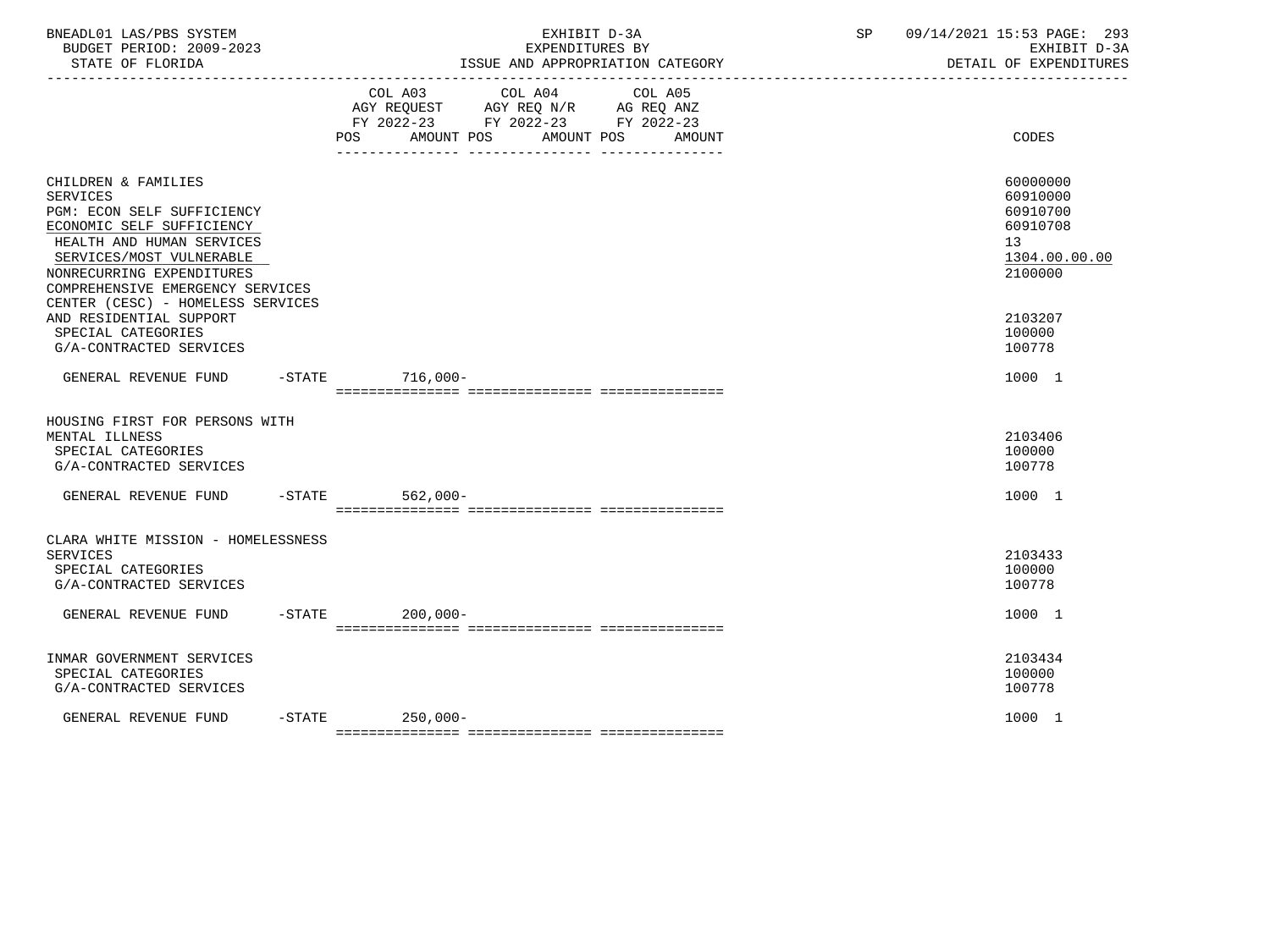| BNEADL01 LAS/PBS SYSTEM<br>BUDGET PERIOD: 2009-2023<br>STATE OF FLORIDA<br>-------------------                                                                                                                                                                   | EXHIBIT D-3A<br>EXPENDITURES BY<br>ISSUE AND APPROPRIATION CATEGORY<br>_________________________________                                    | 09/14/2021 15:53 PAGE: 293<br>SP<br>EXHIBIT D-3A<br>DETAIL OF EXPENDITURES     |
|------------------------------------------------------------------------------------------------------------------------------------------------------------------------------------------------------------------------------------------------------------------|---------------------------------------------------------------------------------------------------------------------------------------------|--------------------------------------------------------------------------------|
|                                                                                                                                                                                                                                                                  | COL A03 COL A04<br>COL A05<br>AGY REQUEST AGY REQ N/R AG REQ ANZ<br>FY 2022-23 FY 2022-23 FY 2022-23<br>POS AMOUNT POS AMOUNT POS<br>AMOUNT | CODES                                                                          |
| CHILDREN & FAMILIES<br><b>SERVICES</b><br>PGM: ECON SELF SUFFICIENCY<br>ECONOMIC SELF SUFFICIENCY<br>HEALTH AND HUMAN SERVICES<br>SERVICES/MOST VULNERABLE<br>NONRECURRING EXPENDITURES<br>COMPREHENSIVE EMERGENCY SERVICES<br>CENTER (CESC) - HOMELESS SERVICES |                                                                                                                                             | 60000000<br>60910000<br>60910700<br>60910708<br>13<br>1304.00.00.00<br>2100000 |
| AND RESIDENTIAL SUPPORT<br>SPECIAL CATEGORIES<br>G/A-CONTRACTED SERVICES                                                                                                                                                                                         |                                                                                                                                             | 2103207<br>100000<br>100778                                                    |
| GENERAL REVENUE FUND -STATE 716,000-                                                                                                                                                                                                                             |                                                                                                                                             | 1000 1                                                                         |
| HOUSING FIRST FOR PERSONS WITH<br>MENTAL ILLNESS<br>SPECIAL CATEGORIES<br>G/A-CONTRACTED SERVICES                                                                                                                                                                |                                                                                                                                             | 2103406<br>100000<br>100778                                                    |
| GENERAL REVENUE FUND                                                                                                                                                                                                                                             | -STATE 562,000-                                                                                                                             | 1000 1                                                                         |
| CLARA WHITE MISSION - HOMELESSNESS<br><b>SERVICES</b><br>SPECIAL CATEGORIES<br>G/A-CONTRACTED SERVICES                                                                                                                                                           |                                                                                                                                             | 2103433<br>100000<br>100778                                                    |
| GENERAL REVENUE FUND                                                                                                                                                                                                                                             | $-$ STATE<br>$200,000 -$                                                                                                                    | 1000 1                                                                         |
| INMAR GOVERNMENT SERVICES<br>SPECIAL CATEGORIES<br>G/A-CONTRACTED SERVICES                                                                                                                                                                                       |                                                                                                                                             | 2103434<br>100000<br>100778                                                    |
| GENERAL REVENUE FUND                                                                                                                                                                                                                                             | $-STATE$ 250.000-                                                                                                                           | 1000 1                                                                         |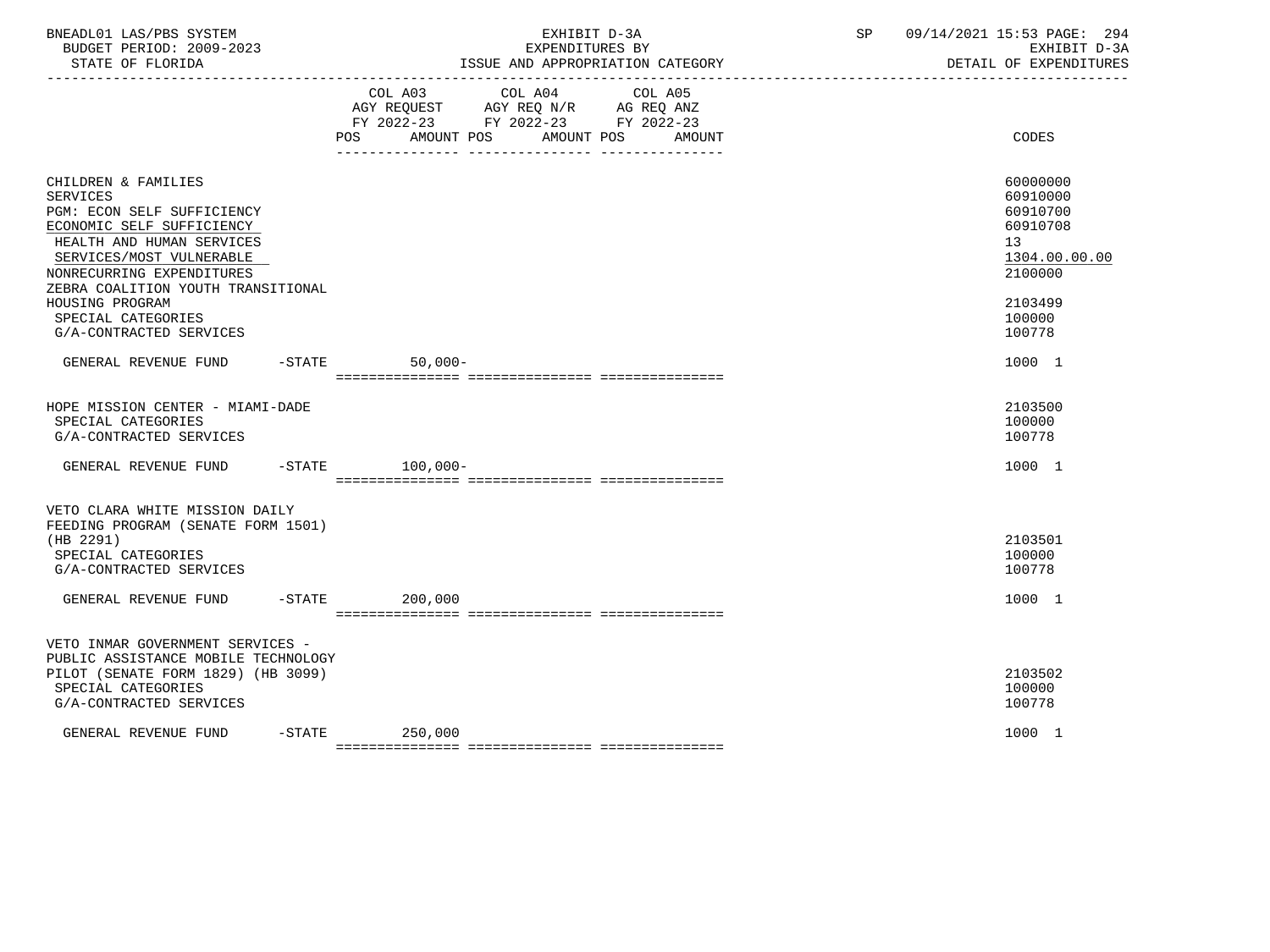| BNEADL01 LAS/PBS SYSTEM<br>BUDGET PERIOD: 2009-2023<br>STATE OF FLORIDA                                                                                                                                                                                                                           | EXHIBIT D-3A<br>EXPENDITURES BY<br>ISSUE AND APPROPRIATION CATEGORY                                                                                                                                                                   | 09/14/2021 15:53 PAGE: 294<br>SP<br>EXHIBIT D-3A<br>DETAIL OF EXPENDITURES                                    |
|---------------------------------------------------------------------------------------------------------------------------------------------------------------------------------------------------------------------------------------------------------------------------------------------------|---------------------------------------------------------------------------------------------------------------------------------------------------------------------------------------------------------------------------------------|---------------------------------------------------------------------------------------------------------------|
|                                                                                                                                                                                                                                                                                                   | COL A03 COL A04 COL A05<br>$\begin{tabular}{lllllll} AGY & \texttt{REQUEST} & \texttt{AGY REQ} & \texttt{N/R} & \texttt{AG REQ} & \texttt{ANZ} \end{tabular}$<br>FY 2022-23 FY 2022-23 FY 2022-23<br>POS AMOUNT POS AMOUNT POS AMOUNT | CODES                                                                                                         |
| CHILDREN & FAMILIES<br><b>SERVICES</b><br>PGM: ECON SELF SUFFICIENCY<br>ECONOMIC SELF SUFFICIENCY<br>HEALTH AND HUMAN SERVICES<br>SERVICES/MOST VULNERABLE<br>NONRECURRING EXPENDITURES<br>ZEBRA COALITION YOUTH TRANSITIONAL<br>HOUSING PROGRAM<br>SPECIAL CATEGORIES<br>G/A-CONTRACTED SERVICES |                                                                                                                                                                                                                                       | 60000000<br>60910000<br>60910700<br>60910708<br>13<br>1304.00.00.00<br>2100000<br>2103499<br>100000<br>100778 |
| GENERAL REVENUE FUND -STATE                                                                                                                                                                                                                                                                       | $50,000-$                                                                                                                                                                                                                             | 1000 1                                                                                                        |
| HOPE MISSION CENTER - MIAMI-DADE<br>SPECIAL CATEGORIES<br>G/A-CONTRACTED SERVICES                                                                                                                                                                                                                 |                                                                                                                                                                                                                                       | 2103500<br>100000<br>100778                                                                                   |
| GENERAL REVENUE FUND -STATE 100,000-                                                                                                                                                                                                                                                              |                                                                                                                                                                                                                                       | 1000 1                                                                                                        |
| VETO CLARA WHITE MISSION DAILY<br>FEEDING PROGRAM (SENATE FORM 1501)<br>(HB 2291)<br>SPECIAL CATEGORIES<br>G/A-CONTRACTED SERVICES<br>GENERAL REVENUE FUND                                                                                                                                        | $-$ STATE<br>200,000                                                                                                                                                                                                                  | 2103501<br>100000<br>100778<br>1000 1                                                                         |
| VETO INMAR GOVERNMENT SERVICES -<br>PUBLIC ASSISTANCE MOBILE TECHNOLOGY<br>PILOT (SENATE FORM 1829) (HB 3099)<br>SPECIAL CATEGORIES<br>G/A-CONTRACTED SERVICES                                                                                                                                    |                                                                                                                                                                                                                                       | 2103502<br>100000<br>100778                                                                                   |
| $-$ STATE<br>GENERAL REVENUE FUND                                                                                                                                                                                                                                                                 | 250,000                                                                                                                                                                                                                               | 1000 1                                                                                                        |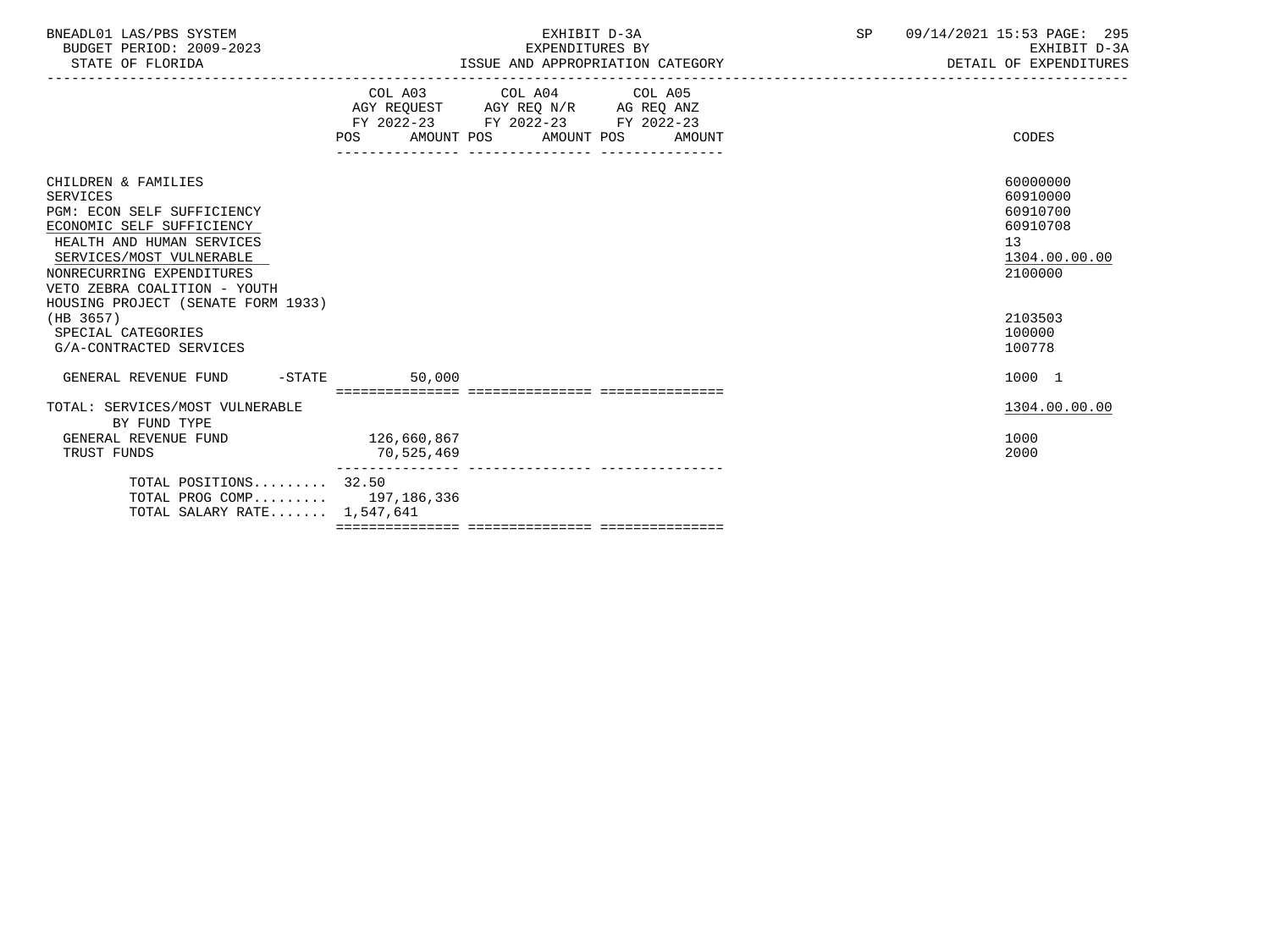| BNEADL01 LAS/PBS SYSTEM<br>BUDGET PERIOD: 2009-2023<br>STATE OF FLORIDA                                                                                                                                                 | EXHIBIT D-3A<br>SP<br>EXPENDITURES BY<br>ISSUE AND APPROPRIATION CATEGORY                                                                                                                                                                                  |        |  | 09/14/2021 15:53 PAGE: 295<br>EXHIBIT D-3A<br>DETAIL OF EXPENDITURES           |
|-------------------------------------------------------------------------------------------------------------------------------------------------------------------------------------------------------------------------|------------------------------------------------------------------------------------------------------------------------------------------------------------------------------------------------------------------------------------------------------------|--------|--|--------------------------------------------------------------------------------|
|                                                                                                                                                                                                                         | COL A03 COL A04 COL A05<br>$\begin{tabular}{lllllll} \bf AGY & \bf REQUEST & \bf AGY & \bf REQ & \tt N/R & \tt AG & \tt REQ & \tt ANZ \\ \bf FY & \tt 2022-23 & \tt FY & \tt 2022-23 & \tt FY & \tt 2022-23 \\ \end{tabular}$<br>POS AMOUNT POS AMOUNT POS | AMOUNT |  | CODES                                                                          |
| CHILDREN & FAMILIES<br><b>SERVICES</b><br>PGM: ECON SELF SUFFICIENCY<br>ECONOMIC SELF SUFFICIENCY<br>HEALTH AND HUMAN SERVICES<br>SERVICES/MOST VULNERABLE<br>NONRECURRING EXPENDITURES<br>VETO ZEBRA COALITION - YOUTH |                                                                                                                                                                                                                                                            |        |  | 60000000<br>60910000<br>60910700<br>60910708<br>13<br>1304.00.00.00<br>2100000 |
| HOUSING PROJECT (SENATE FORM 1933)<br>(HB 3657)<br>SPECIAL CATEGORIES<br>G/A-CONTRACTED SERVICES                                                                                                                        |                                                                                                                                                                                                                                                            |        |  | 2103503<br>100000<br>100778                                                    |
| GENERAL REVENUE FUND -STATE                                                                                                                                                                                             | 50,000                                                                                                                                                                                                                                                     |        |  | 1000 1                                                                         |
| TOTAL: SERVICES/MOST VULNERABLE<br>BY FUND TYPE                                                                                                                                                                         |                                                                                                                                                                                                                                                            |        |  | 1304.00.00.00                                                                  |
| GENERAL REVENUE FUND<br>TRUST FUNDS                                                                                                                                                                                     | 126,660,867<br>70,525,469                                                                                                                                                                                                                                  |        |  | 1000<br>2000                                                                   |
| TOTAL POSITIONS 32.50<br>TOTAL PROG COMP 197,186,336<br>TOTAL SALARY RATE $1,547,641$                                                                                                                                   |                                                                                                                                                                                                                                                            |        |  |                                                                                |

=============== =============== ===============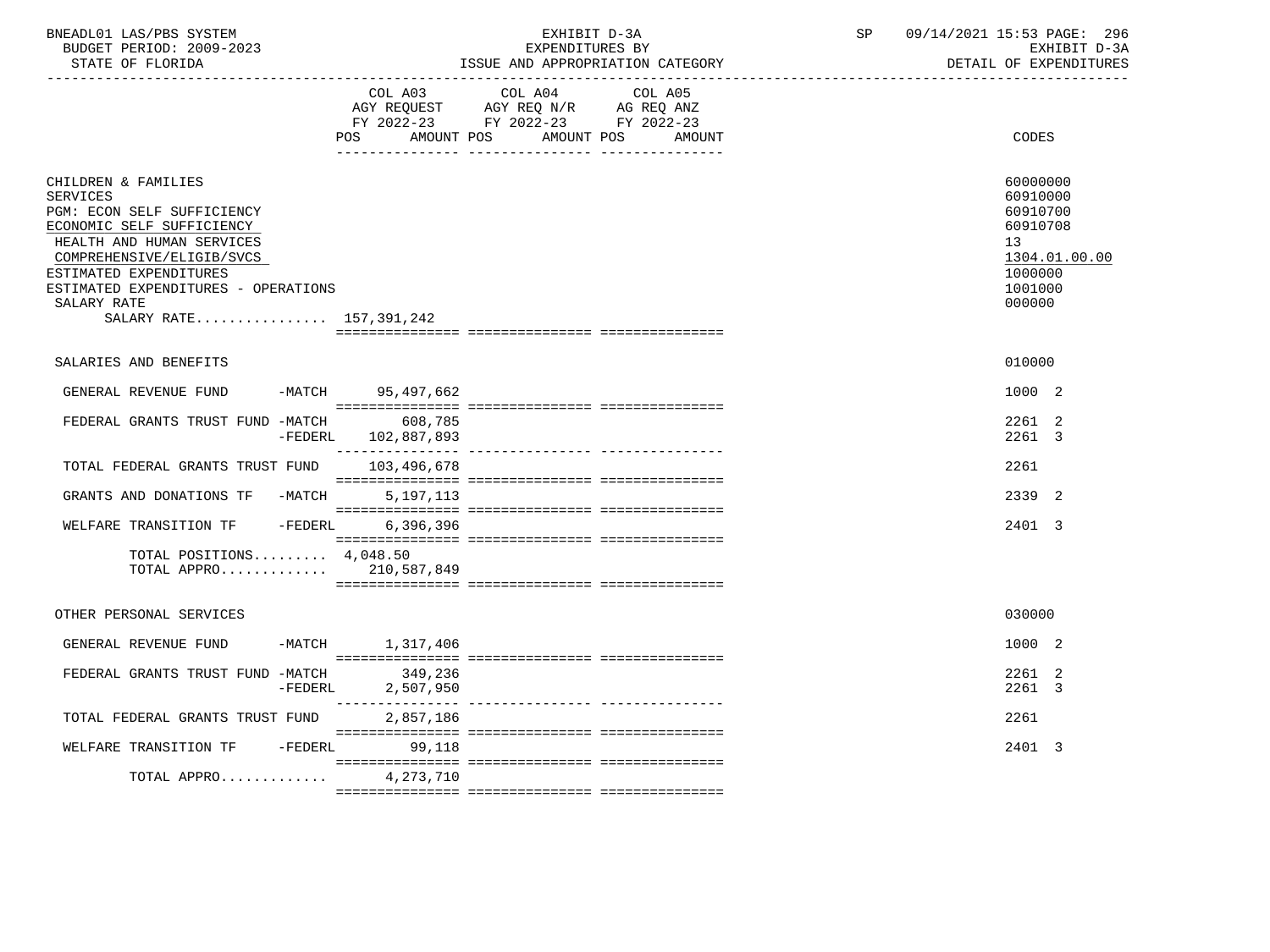| BNEADL01 LAS/PBS SYSTEM  | EXHIBIT D-3A                     | 09/14/2021 15:53 PAGE: 296 |
|--------------------------|----------------------------------|----------------------------|
| BUDGET PERIOD: 2009-2023 | <i>E</i> XPENDITURES BY          | EXHIBIT D-3A               |
| STATE OF FLORIDA         | ISSUE AND APPROPRIATION CATEGORY | DETAIL OF EXPENDITURES     |

|                                                                                                                                                                                                                                                                        |                                   | FY 2022-23 FY 2022-23 FY 2022-23<br>POS AMOUNT POS AMOUNT POS AMOUNT | CODES                                                                                                            |
|------------------------------------------------------------------------------------------------------------------------------------------------------------------------------------------------------------------------------------------------------------------------|-----------------------------------|----------------------------------------------------------------------|------------------------------------------------------------------------------------------------------------------|
| CHILDREN & FAMILIES<br><b>SERVICES</b><br>PGM: ECON SELF SUFFICIENCY<br>ECONOMIC SELF SUFFICIENCY<br>HEALTH AND HUMAN SERVICES<br>COMPREHENSIVE/ELIGIB/SVCS<br>ESTIMATED EXPENDITURES<br>ESTIMATED EXPENDITURES - OPERATIONS<br>SALARY RATE<br>SALARY RATE 157,391,242 |                                   |                                                                      | 60000000<br>60910000<br>60910700<br>60910708<br>13 <sup>°</sup><br>1304.01.00.00<br>1000000<br>1001000<br>000000 |
| SALARIES AND BENEFITS                                                                                                                                                                                                                                                  |                                   |                                                                      | 010000                                                                                                           |
| GENERAL REVENUE FUND                                                                                                                                                                                                                                                   | -MATCH 95,497,662                 |                                                                      | 1000 2                                                                                                           |
| FEDERAL GRANTS TRUST FUND -MATCH                                                                                                                                                                                                                                       | 608,785<br>-FEDERL 102,887,893    |                                                                      | 2261 2<br>2261 3                                                                                                 |
| TOTAL FEDERAL GRANTS TRUST FUND 103,496,678                                                                                                                                                                                                                            |                                   |                                                                      | 2261                                                                                                             |
| GRANTS AND DONATIONS TF -MATCH                                                                                                                                                                                                                                         | 5, 197, 113                       |                                                                      | 2339 2                                                                                                           |
| $-FEDERL$<br>WELFARE TRANSITION TF                                                                                                                                                                                                                                     | 6,396,396                         |                                                                      | 2401 3                                                                                                           |
| TOTAL POSITIONS 4,048.50<br>TOTAL APPRO 210,587,849                                                                                                                                                                                                                    |                                   |                                                                      |                                                                                                                  |
| OTHER PERSONAL SERVICES                                                                                                                                                                                                                                                |                                   |                                                                      | 030000                                                                                                           |
| GENERAL REVENUE FUND -MATCH 1,317,406                                                                                                                                                                                                                                  |                                   |                                                                      | 1000 2                                                                                                           |
| FEDERAL GRANTS TRUST FUND -MATCH                                                                                                                                                                                                                                       | 349,236<br>$-FEDERL$<br>2,507,950 |                                                                      | 2261 2<br>2261 3                                                                                                 |
| TOTAL FEDERAL GRANTS TRUST FUND                                                                                                                                                                                                                                        | 2,857,186                         |                                                                      | 2261                                                                                                             |
| WELFARE TRANSITION TF<br>$-FEDERL$                                                                                                                                                                                                                                     | 99,118                            |                                                                      | 2401 3                                                                                                           |
| TOTAL APPRO                                                                                                                                                                                                                                                            | 4,273,710                         |                                                                      |                                                                                                                  |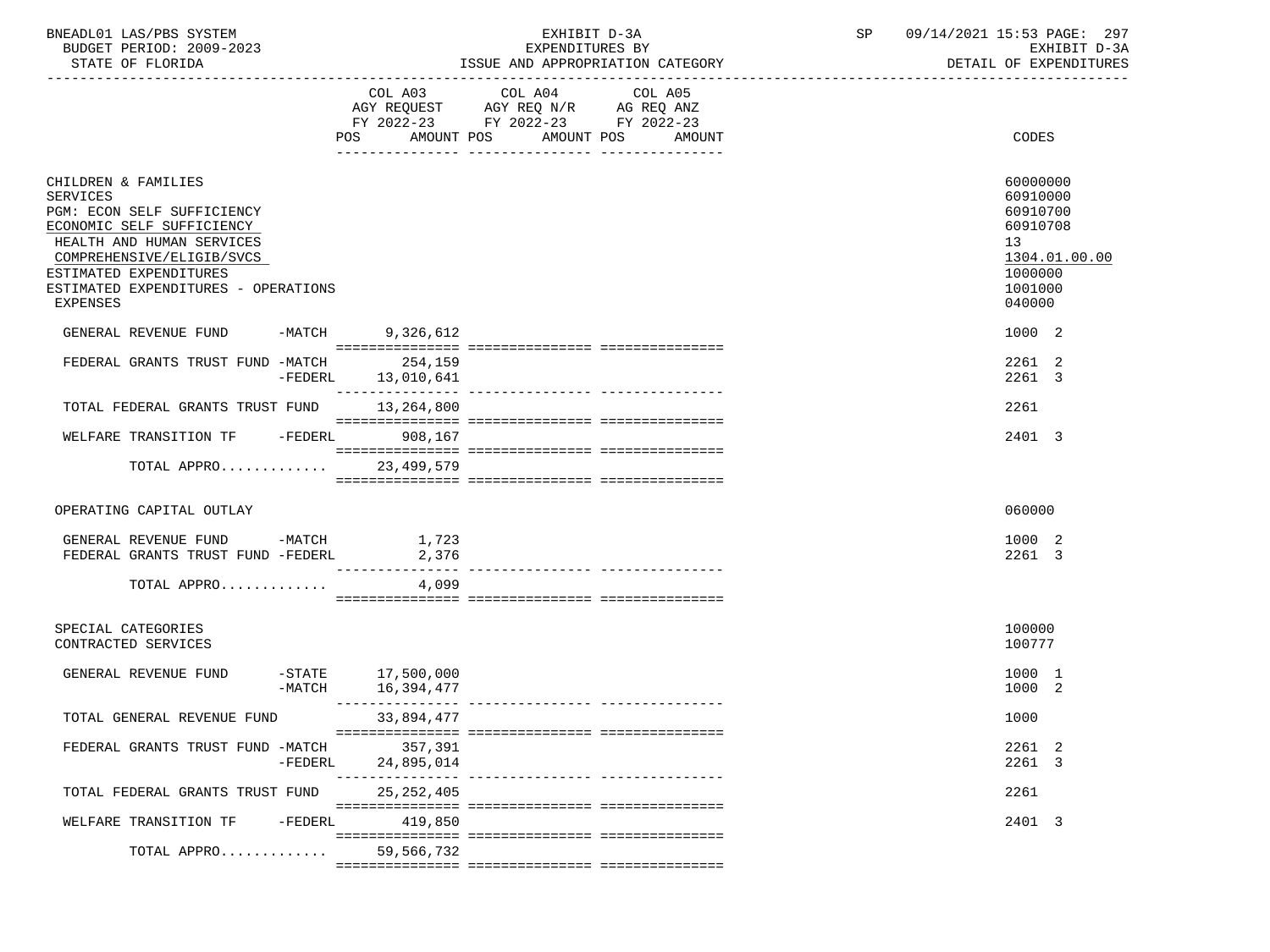| BNEADL01 LAS/PBS SYSTEM |                  |                          | EXHIBIT D-3A                     |  |
|-------------------------|------------------|--------------------------|----------------------------------|--|
|                         |                  | BUDGET PERIOD: 2009-2023 | EXPENDITURES BY                  |  |
|                         | STATE OF FLORIDA |                          | ISSUE AND APPROPRIATION CATEGORY |  |

BUDGET PERIOD: 2009-2023 EXPENDITURES BY EXHIBIT D-3A

|                                                                                                                                                                                                                                   | COL A03<br>AMOUNT POS<br>POS       | COL A04<br>AGY REQUEST AGY REQ N/R AG REQ ANZ<br>FY 2022-23 FY 2022-23 FY 2022-23 | COL A05<br>AMOUNT POS AMOUNT          | CODES                                                                                               |
|-----------------------------------------------------------------------------------------------------------------------------------------------------------------------------------------------------------------------------------|------------------------------------|-----------------------------------------------------------------------------------|---------------------------------------|-----------------------------------------------------------------------------------------------------|
| CHILDREN & FAMILIES<br>SERVICES<br>PGM: ECON SELF SUFFICIENCY<br>ECONOMIC SELF SUFFICIENCY<br>HEALTH AND HUMAN SERVICES<br>COMPREHENSIVE/ELIGIB/SVCS<br>ESTIMATED EXPENDITURES<br>ESTIMATED EXPENDITURES - OPERATIONS<br>EXPENSES |                                    |                                                                                   |                                       | 60000000<br>60910000<br>60910700<br>60910708<br>13<br>1304.01.00.00<br>1000000<br>1001000<br>040000 |
| GENERAL REVENUE FUND -MATCH 9,326,612                                                                                                                                                                                             |                                    |                                                                                   |                                       | 1000 2                                                                                              |
| FEDERAL GRANTS TRUST FUND -MATCH                                                                                                                                                                                                  | 254,159<br>-FEDERL 13,010,641      |                                                                                   |                                       | 2261 2<br>2261 3                                                                                    |
| TOTAL FEDERAL GRANTS TRUST FUND 13,264,800                                                                                                                                                                                        |                                    |                                                                                   |                                       | 2261                                                                                                |
| WELFARE TRANSITION TF -FEDERL 908,167                                                                                                                                                                                             |                                    |                                                                                   |                                       | 2401 3                                                                                              |
| TOTAL APPRO                                                                                                                                                                                                                       | 23,499,579                         |                                                                                   |                                       |                                                                                                     |
| OPERATING CAPITAL OUTLAY<br>GENERAL REVENUE FUND -MATCH                                                                                                                                                                           | 1,723                              |                                                                                   |                                       | 060000<br>1000 2                                                                                    |
| FEDERAL GRANTS TRUST FUND -FEDERL                                                                                                                                                                                                 | 2,376<br>________________          |                                                                                   | _____________________________________ | 2261 3                                                                                              |
| TOTAL APPRO                                                                                                                                                                                                                       | 4,099                              |                                                                                   |                                       |                                                                                                     |
| SPECIAL CATEGORIES<br>CONTRACTED SERVICES                                                                                                                                                                                         |                                    |                                                                                   |                                       | 100000<br>100777                                                                                    |
| GENERAL REVENUE FUND<br>$-MATCH$                                                                                                                                                                                                  | $-$ STATE 17,500,000<br>16,394,477 |                                                                                   |                                       | 1000 1<br>1000 2                                                                                    |
| TOTAL GENERAL REVENUE FUND                                                                                                                                                                                                        | 33,894,477                         |                                                                                   |                                       | 1000                                                                                                |
| FEDERAL GRANTS TRUST FUND -MATCH 357,391                                                                                                                                                                                          | -FEDERL 24,895,014                 |                                                                                   |                                       | 2261 2<br>2261 3                                                                                    |
| TOTAL FEDERAL GRANTS TRUST FUND                                                                                                                                                                                                   | 25,252,405                         |                                                                                   |                                       | 2261                                                                                                |
| WELFARE TRANSITION TF -FEDERL                                                                                                                                                                                                     | 419,850                            |                                                                                   |                                       | 2401 3                                                                                              |
| TOTAL APPRO                                                                                                                                                                                                                       | 59,566,732                         |                                                                                   |                                       |                                                                                                     |

=============== =============== ===============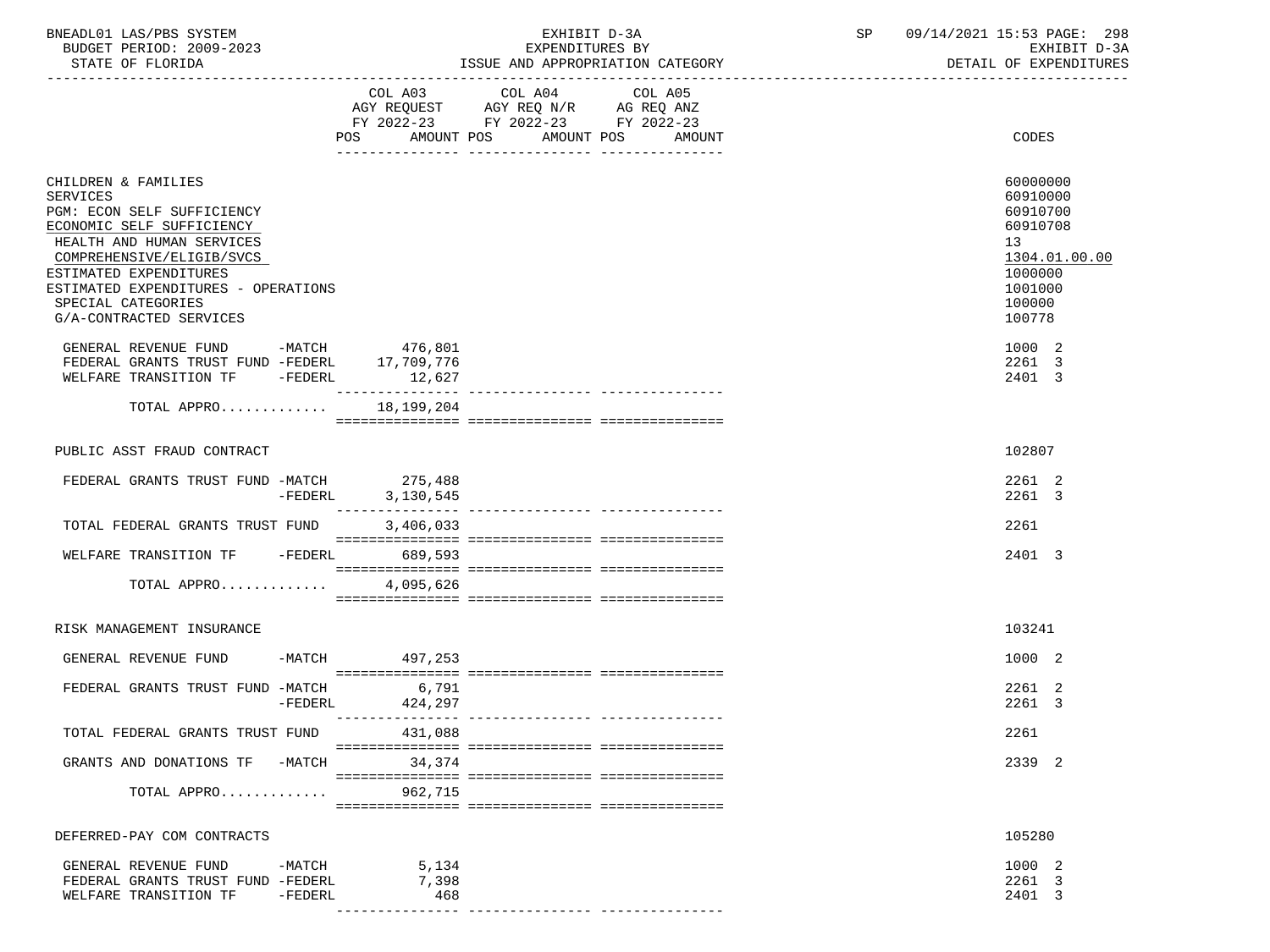| BNEADL01 LAS/PBS SYSTEM |                  |                          |  | EXHIBIT D-3A                     |  |
|-------------------------|------------------|--------------------------|--|----------------------------------|--|
|                         |                  | BUDGET PERIOD: 2009-2023 |  | EXPENDITURES BY                  |  |
|                         | STATE OF FLORIDA |                          |  | ISSUE AND APPROPRIATION CATEGORY |  |

BUDGET PERIOD: 2009-2023 EXPENDITURES BY EXHIBIT D-3A

|                                                                                                                                                                                                                                                                        |                                     | FY 2022-23 FY 2022-23 FY 2022-23<br>POS AMOUNT POS AMOUNT POS | AMOUNT | CODES                                                                                                         |
|------------------------------------------------------------------------------------------------------------------------------------------------------------------------------------------------------------------------------------------------------------------------|-------------------------------------|---------------------------------------------------------------|--------|---------------------------------------------------------------------------------------------------------------|
| CHILDREN & FAMILIES<br>SERVICES<br>PGM: ECON SELF SUFFICIENCY<br>ECONOMIC SELF SUFFICIENCY<br>HEALTH AND HUMAN SERVICES<br>COMPREHENSIVE/ELIGIB/SVCS<br>ESTIMATED EXPENDITURES<br>ESTIMATED EXPENDITURES - OPERATIONS<br>SPECIAL CATEGORIES<br>G/A-CONTRACTED SERVICES |                                     |                                                               |        | 60000000<br>60910000<br>60910700<br>60910708<br>13<br>1304.01.00.00<br>1000000<br>1001000<br>100000<br>100778 |
| GENERAL REVENUE FUND -MATCH<br>FEDERAL GRANTS TRUST FUND -FEDERL<br>WELFARE TRANSITION TF -FEDERL                                                                                                                                                                      | 476,801<br>17,709,776<br>12,627     |                                                               |        | 1000 2<br>2261 3<br>2401 3                                                                                    |
| TOTAL APPRO                                                                                                                                                                                                                                                            | 18,199,204                          |                                                               |        |                                                                                                               |
| PUBLIC ASST FRAUD CONTRACT                                                                                                                                                                                                                                             |                                     |                                                               |        | 102807                                                                                                        |
| FEDERAL GRANTS TRUST FUND -MATCH 275,488<br>-FEDERL                                                                                                                                                                                                                    | 3,130,545                           |                                                               |        | 2261 2<br>2261 3                                                                                              |
| TOTAL FEDERAL GRANTS TRUST FUND                                                                                                                                                                                                                                        | 3,406,033                           |                                                               |        | 2261                                                                                                          |
| WELFARE TRANSITION TF -FEDERL 689,593                                                                                                                                                                                                                                  |                                     |                                                               |        | 2401 3                                                                                                        |
| TOTAL APPRO 4,095,626                                                                                                                                                                                                                                                  |                                     |                                                               |        |                                                                                                               |
| RISK MANAGEMENT INSURANCE                                                                                                                                                                                                                                              |                                     |                                                               |        | 103241                                                                                                        |
| GENERAL REVENUE FUND -MATCH 497,253                                                                                                                                                                                                                                    |                                     |                                                               |        | 1000 2                                                                                                        |
| FEDERAL GRANTS TRUST FUND -MATCH<br>$-FEDERL$                                                                                                                                                                                                                          | 6,791<br>424,297<br>_______________ |                                                               |        | 2261 2<br>2261 3                                                                                              |
| TOTAL FEDERAL GRANTS TRUST FUND                                                                                                                                                                                                                                        | 431,088                             |                                                               |        | 2261                                                                                                          |
| GRANTS AND DONATIONS TF -MATCH                                                                                                                                                                                                                                         | 34,374                              |                                                               |        | 2339 2                                                                                                        |
| TOTAL APPRO                                                                                                                                                                                                                                                            | 962,715                             |                                                               |        |                                                                                                               |
| DEFERRED-PAY COM CONTRACTS                                                                                                                                                                                                                                             |                                     |                                                               |        | 105280                                                                                                        |
| GENERAL REVENUE FUND<br>-MATCH<br>FEDERAL GRANTS TRUST FUND -FEDERL<br>WELFARE TRANSITION TF<br>$-FEDERL$                                                                                                                                                              | 5,134<br>7,398<br>468               |                                                               |        | 1000 2<br>2261 3<br>2401 3                                                                                    |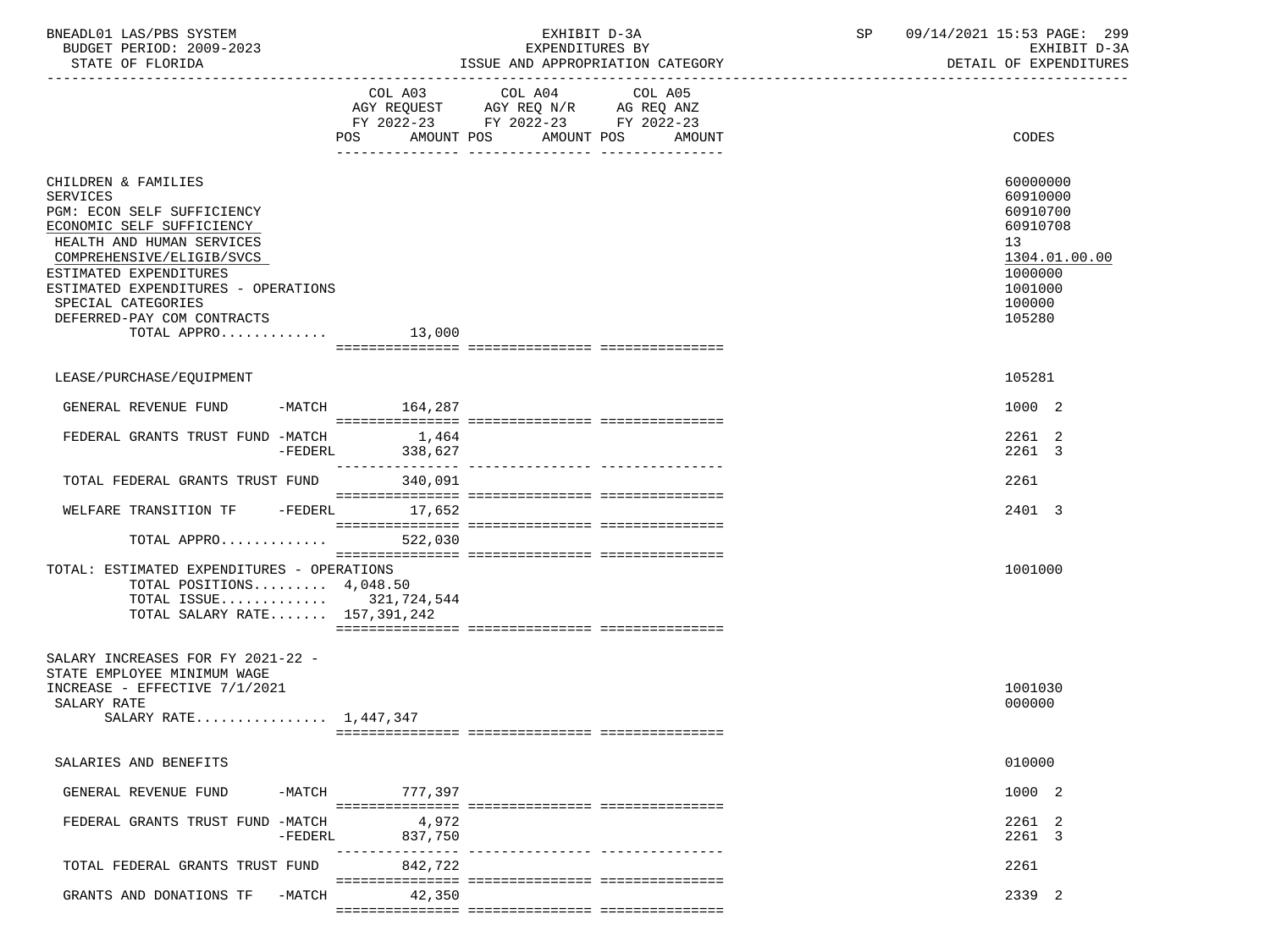| BNEADL01 LAS/PBS SYSTEM<br>BUDGET PERIOD: 2009-2023<br>STATE OF FLORIDA                                                                                                                                                                                                                         |                   | EXHIBIT D-3A<br>EXPENDITURES BY<br>ISSUE AND APPROPRIATION CATEGORY                                                          | SP | 09/14/2021 15:53 PAGE: 299<br>EXHIBIT D-3A<br>DETAIL OF EXPENDITURES                                          |
|-------------------------------------------------------------------------------------------------------------------------------------------------------------------------------------------------------------------------------------------------------------------------------------------------|-------------------|------------------------------------------------------------------------------------------------------------------------------|----|---------------------------------------------------------------------------------------------------------------|
|                                                                                                                                                                                                                                                                                                 | POS<br>AMOUNT POS | COL A03 COL A04<br>COL A05<br>AGY REQUEST AGY REQ N/R AG REQ ANZ<br>FY 2022-23 FY 2022-23 FY 2022-23<br>AMOUNT POS<br>AMOUNT |    | CODES                                                                                                         |
| CHILDREN & FAMILIES<br><b>SERVICES</b><br>PGM: ECON SELF SUFFICIENCY<br>ECONOMIC SELF SUFFICIENCY<br>HEALTH AND HUMAN SERVICES<br>COMPREHENSIVE/ELIGIB/SVCS<br>ESTIMATED EXPENDITURES<br>ESTIMATED EXPENDITURES - OPERATIONS<br>SPECIAL CATEGORIES<br>DEFERRED-PAY COM CONTRACTS<br>TOTAL APPRO | 13,000            |                                                                                                                              |    | 60000000<br>60910000<br>60910700<br>60910708<br>13<br>1304.01.00.00<br>1000000<br>1001000<br>100000<br>105280 |
| LEASE/PURCHASE/EQUIPMENT                                                                                                                                                                                                                                                                        |                   |                                                                                                                              |    | 105281                                                                                                        |
| GENERAL REVENUE FUND                                                                                                                                                                                                                                                                            | -MATCH 164,287    |                                                                                                                              |    | 1000 2                                                                                                        |
| FEDERAL GRANTS TRUST FUND -MATCH<br>-FEDERL                                                                                                                                                                                                                                                     | 1,464<br>338,627  |                                                                                                                              |    | 2261 2<br>2261 3                                                                                              |
| TOTAL FEDERAL GRANTS TRUST FUND 340,091                                                                                                                                                                                                                                                         |                   |                                                                                                                              |    | 2261                                                                                                          |
| WELFARE TRANSITION TF -FEDERL 17,652                                                                                                                                                                                                                                                            |                   |                                                                                                                              |    | 2401 3                                                                                                        |
| TOTAL APPRO                                                                                                                                                                                                                                                                                     | 522,030           |                                                                                                                              |    |                                                                                                               |
| TOTAL: ESTIMATED EXPENDITURES - OPERATIONS<br>TOTAL POSITIONS $4,048.50$<br>TOTAL ISSUE 321,724,544<br>TOTAL SALARY RATE 157,391,242                                                                                                                                                            |                   |                                                                                                                              |    | 1001000                                                                                                       |
| SALARY INCREASES FOR FY 2021-22 -<br>STATE EMPLOYEE MINIMUM WAGE<br>INCREASE - EFFECTIVE 7/1/2021<br>SALARY RATE<br>SALARY RATE 1,447,347                                                                                                                                                       |                   |                                                                                                                              |    | 1001030<br>000000                                                                                             |
| SALARIES AND BENEFITS                                                                                                                                                                                                                                                                           |                   |                                                                                                                              |    | 010000                                                                                                        |
| GENERAL REVENUE FUND<br>-MATCH                                                                                                                                                                                                                                                                  | 777,397           |                                                                                                                              |    | 1000 2                                                                                                        |
| FEDERAL GRANTS TRUST FUND -MATCH<br>-FEDERL                                                                                                                                                                                                                                                     | 4,972<br>837,750  |                                                                                                                              |    | 2261 2<br>2261 3                                                                                              |
| TOTAL FEDERAL GRANTS TRUST FUND                                                                                                                                                                                                                                                                 | 842,722           | ------------ ----------------                                                                                                |    | 2261                                                                                                          |
| GRANTS AND DONATIONS TF<br>$-MATCH$                                                                                                                                                                                                                                                             | 42,350            |                                                                                                                              |    | 2339 2                                                                                                        |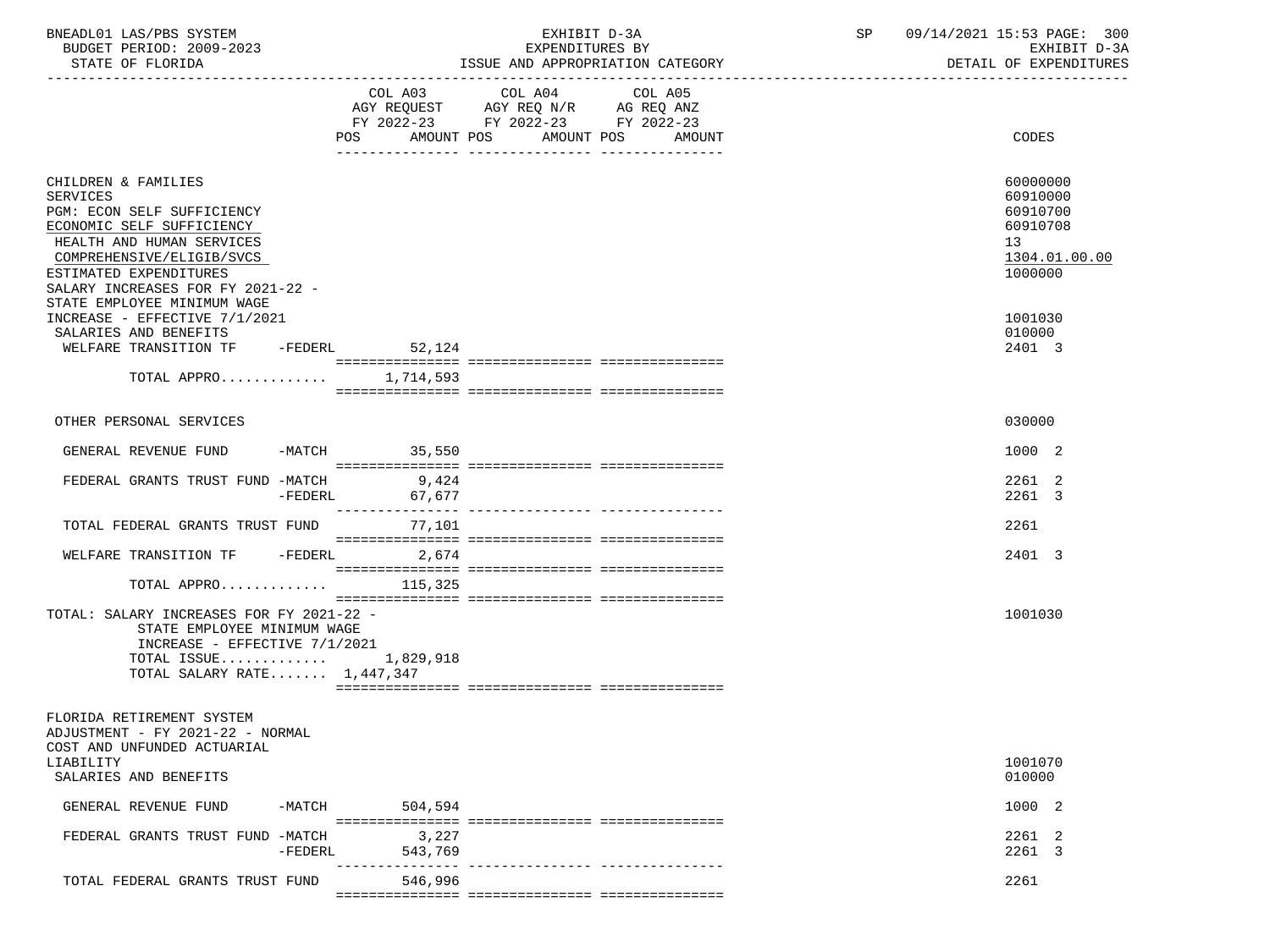| BNEADL01 LAS/PBS SYSTEM<br>BUDGET PERIOD: 2009-2023<br>STATE OF FLORIDA                                                                                                                                                                                   |                            | EXHIBIT D-3A<br>EXPENDITURES BY<br>ISSUE AND APPROPRIATION CATEGORY | SP<br>09/14/2021 15:53 PAGE: 300<br>EXHIBIT D-3A<br>DETAIL OF EXPENDITURES     |
|-----------------------------------------------------------------------------------------------------------------------------------------------------------------------------------------------------------------------------------------------------------|----------------------------|---------------------------------------------------------------------|--------------------------------------------------------------------------------|
|                                                                                                                                                                                                                                                           | POS                        | FY 2022-23 FY 2022-23 FY 2022-23<br>AMOUNT POS AMOUNT POS AMOUNT    | CODES                                                                          |
| CHILDREN & FAMILIES<br><b>SERVICES</b><br>PGM: ECON SELF SUFFICIENCY<br>ECONOMIC SELF SUFFICIENCY<br>HEALTH AND HUMAN SERVICES<br>COMPREHENSIVE/ELIGIB/SVCS<br>ESTIMATED EXPENDITURES<br>SALARY INCREASES FOR FY 2021-22 -<br>STATE EMPLOYEE MINIMUM WAGE |                            |                                                                     | 60000000<br>60910000<br>60910700<br>60910708<br>13<br>1304.01.00.00<br>1000000 |
| INCREASE - EFFECTIVE 7/1/2021<br>SALARIES AND BENEFITS<br>WELFARE TRANSITION TF -FEDERL 52,124<br>TOTAL APPRO $1,714,593$                                                                                                                                 |                            |                                                                     | 1001030<br>010000<br>2401 3                                                    |
| OTHER PERSONAL SERVICES                                                                                                                                                                                                                                   |                            |                                                                     | 030000                                                                         |
| GENERAL REVENUE FUND<br>FEDERAL GRANTS TRUST FUND -MATCH 9,424                                                                                                                                                                                            | -MATCH 35,550              |                                                                     | 1000 2<br>2261 2                                                               |
| -FEDERL<br>TOTAL FEDERAL GRANTS TRUST FUND 77,101                                                                                                                                                                                                         | 67,677                     |                                                                     | 2261 3<br>2261                                                                 |
| WELFARE TRANSITION TF -FEDERL 2,674<br>TOTAL APPRO $115,325$                                                                                                                                                                                              |                            |                                                                     | 2401 3                                                                         |
| TOTAL: SALARY INCREASES FOR FY 2021-22 -<br>STATE EMPLOYEE MINIMUM WAGE<br>INCREASE - EFFECTIVE 7/1/2021<br>TOTAL ISSUE 1,829,918<br>TOTAL SALARY RATE $1,447,347$                                                                                        |                            |                                                                     | 1001030                                                                        |
| FLORIDA RETIREMENT SYSTEM<br>ADJUSTMENT - FY 2021-22 - NORMAL<br>COST AND UNFUNDED ACTUARIAL                                                                                                                                                              |                            |                                                                     |                                                                                |
| LIABILITY<br>SALARIES AND BENEFITS                                                                                                                                                                                                                        |                            |                                                                     | 1001070<br>010000                                                              |
| -MATCH<br>GENERAL REVENUE FUND                                                                                                                                                                                                                            | 504,594                    |                                                                     | 1000 2                                                                         |
| FEDERAL GRANTS TRUST FUND -MATCH<br>$-FEDERL$                                                                                                                                                                                                             | 3,227<br>543,769           |                                                                     | 2261 2<br>2261 3                                                               |
| TOTAL FEDERAL GRANTS TRUST FUND                                                                                                                                                                                                                           | ---------------<br>546,996 |                                                                     | 2261                                                                           |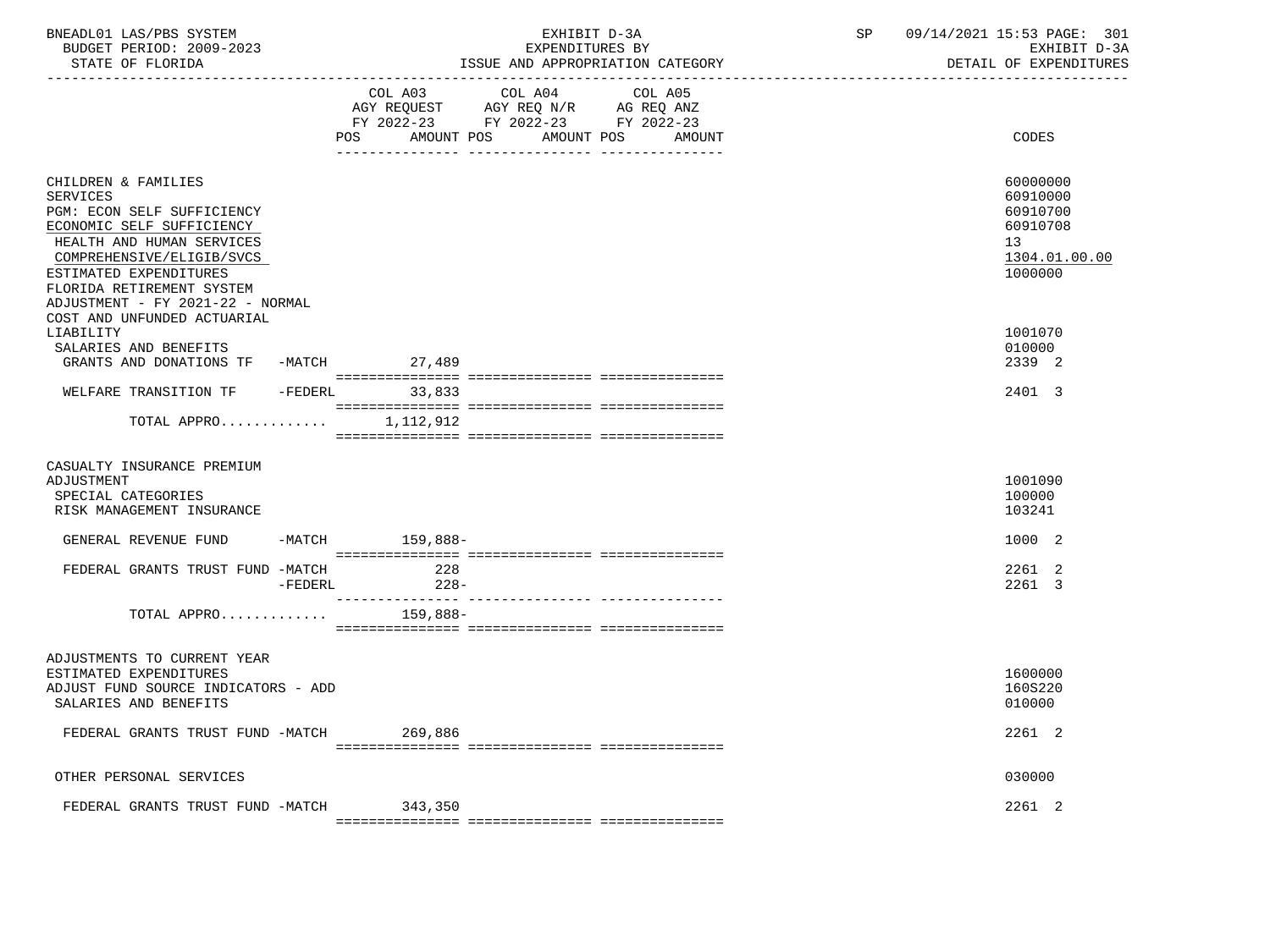| BNEADL01 LAS/PBS SYSTEM<br>BUDGET PERIOD: 2009-2023<br>STATE OF FLORIDA                                                                                                                                                                                                                                                                                       |         |                                             | EXHIBIT D-3A<br>EXPENDITURES BY<br>ISSUE AND APPROPRIATION CATEGORY               |         | SP | 09/14/2021 15:53 PAGE: 301<br>EXHIBIT D-3A<br>DETAIL OF EXPENDITURES                                          |
|---------------------------------------------------------------------------------------------------------------------------------------------------------------------------------------------------------------------------------------------------------------------------------------------------------------------------------------------------------------|---------|---------------------------------------------|-----------------------------------------------------------------------------------|---------|----|---------------------------------------------------------------------------------------------------------------|
|                                                                                                                                                                                                                                                                                                                                                               |         | COL A03<br>POS AMOUNT POS AMOUNT POS AMOUNT | COL A04<br>AGY REQUEST AGY REQ N/R AG REQ ANZ<br>FY 2022-23 FY 2022-23 FY 2022-23 | COL A05 |    | CODES                                                                                                         |
| CHILDREN & FAMILIES<br>SERVICES<br>PGM: ECON SELF SUFFICIENCY<br>ECONOMIC SELF SUFFICIENCY<br>HEALTH AND HUMAN SERVICES<br>COMPREHENSIVE/ELIGIB/SVCS<br>ESTIMATED EXPENDITURES<br>FLORIDA RETIREMENT SYSTEM<br>ADJUSTMENT - FY 2021-22 - NORMAL<br>COST AND UNFUNDED ACTUARIAL<br>LIABILITY<br>SALARIES AND BENEFITS<br>GRANTS AND DONATIONS TF -MATCH 27,489 |         |                                             |                                                                                   |         |    | 60000000<br>60910000<br>60910700<br>60910708<br>13<br>1304.01.00.00<br>1000000<br>1001070<br>010000<br>2339 2 |
| WELFARE TRANSITION TF -FEDERL 33,833                                                                                                                                                                                                                                                                                                                          |         |                                             |                                                                                   |         |    | 2401 3                                                                                                        |
| TOTAL APPRO $1,112,912$                                                                                                                                                                                                                                                                                                                                       |         |                                             |                                                                                   |         |    |                                                                                                               |
| CASUALTY INSURANCE PREMIUM<br>ADJUSTMENT<br>SPECIAL CATEGORIES<br>RISK MANAGEMENT INSURANCE                                                                                                                                                                                                                                                                   |         |                                             |                                                                                   |         |    | 1001090<br>100000<br>103241                                                                                   |
| GENERAL REVENUE FUND                                                                                                                                                                                                                                                                                                                                          |         | -MATCH 159,888-                             |                                                                                   |         |    | 1000 2                                                                                                        |
| FEDERAL GRANTS TRUST FUND -MATCH                                                                                                                                                                                                                                                                                                                              | -FEDERL | 228<br>$228-$<br>_______________            | ------------- ----------------                                                    |         |    | 2261 2<br>2261 3                                                                                              |
| TOTAL APPRO                                                                                                                                                                                                                                                                                                                                                   |         | 159,888-                                    |                                                                                   |         |    |                                                                                                               |
| ADJUSTMENTS TO CURRENT YEAR<br>ESTIMATED EXPENDITURES<br>ADJUST FUND SOURCE INDICATORS - ADD<br>SALARIES AND BENEFITS                                                                                                                                                                                                                                         |         |                                             |                                                                                   |         |    | 1600000<br>160S220<br>010000                                                                                  |
| FEDERAL GRANTS TRUST FUND -MATCH                                                                                                                                                                                                                                                                                                                              |         | 269,886                                     |                                                                                   |         |    | 2261 2                                                                                                        |
| OTHER PERSONAL SERVICES                                                                                                                                                                                                                                                                                                                                       |         |                                             |                                                                                   |         |    | 030000                                                                                                        |
| FEDERAL GRANTS TRUST FUND -MATCH 343,350                                                                                                                                                                                                                                                                                                                      |         |                                             |                                                                                   |         |    | 2261 2                                                                                                        |
|                                                                                                                                                                                                                                                                                                                                                               |         |                                             |                                                                                   |         |    |                                                                                                               |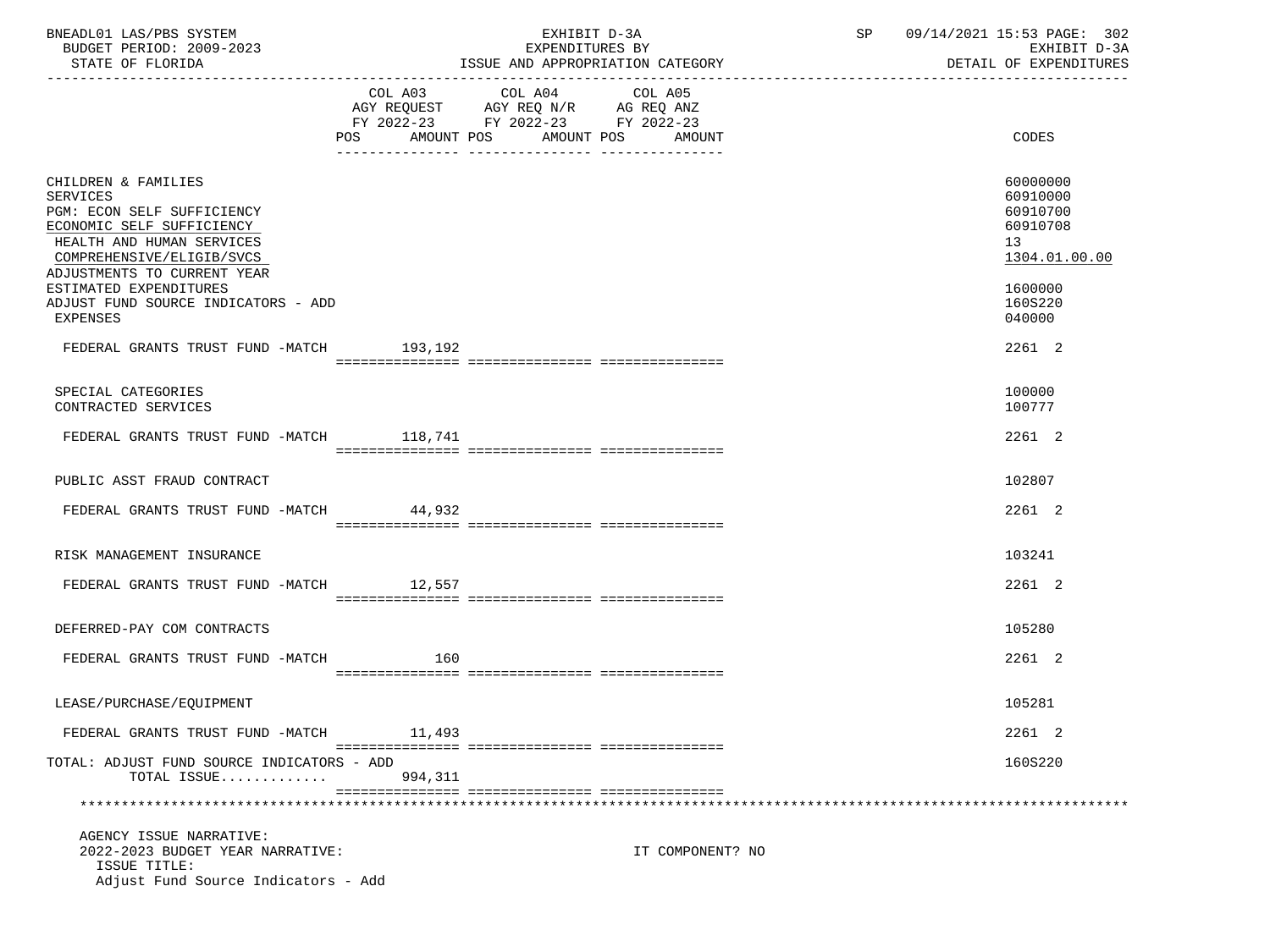| BNEADL01 LAS/PBS SYSTEM<br>BUDGET PERIOD: 2009-2023<br>STATE OF FLORIDA                                                                                                                                                                                                 |                   | EXHIBIT D-3A<br>EXPENDITURES BY<br>ISSUE AND APPROPRIATION CATEGORY                                                    | SP 09/14/2021 15:53 PAGE: 302<br>EXHIBIT D-3A<br>DETAIL OF EXPENDITURES                             |
|-------------------------------------------------------------------------------------------------------------------------------------------------------------------------------------------------------------------------------------------------------------------------|-------------------|------------------------------------------------------------------------------------------------------------------------|-----------------------------------------------------------------------------------------------------|
|                                                                                                                                                                                                                                                                         | AMOUNT POS<br>POS | COL A03 COL A04 COL A05<br>AGY REQUEST AGY REQ N/R AG REQ ANZ FY 2022-23 FY 2022-23 FY 2022-23<br>AMOUNT POS<br>AMOUNT | CODES                                                                                               |
| CHILDREN & FAMILIES<br><b>SERVICES</b><br>PGM: ECON SELF SUFFICIENCY<br>ECONOMIC SELF SUFFICIENCY<br>HEALTH AND HUMAN SERVICES<br>COMPREHENSIVE/ELIGIB/SVCS<br>ADJUSTMENTS TO CURRENT YEAR<br>ESTIMATED EXPENDITURES<br>ADJUST FUND SOURCE INDICATORS - ADD<br>EXPENSES |                   |                                                                                                                        | 60000000<br>60910000<br>60910700<br>60910708<br>13<br>1304.01.00.00<br>1600000<br>160S220<br>040000 |
| FEDERAL GRANTS TRUST FUND -MATCH 193,192                                                                                                                                                                                                                                |                   |                                                                                                                        | 2261 2                                                                                              |
| SPECIAL CATEGORIES<br>CONTRACTED SERVICES                                                                                                                                                                                                                               |                   |                                                                                                                        | 100000<br>100777                                                                                    |
| FEDERAL GRANTS TRUST FUND -MATCH 118,741                                                                                                                                                                                                                                |                   |                                                                                                                        | 2261 2                                                                                              |
| PUBLIC ASST FRAUD CONTRACT                                                                                                                                                                                                                                              |                   |                                                                                                                        | 102807                                                                                              |
| FEDERAL GRANTS TRUST FUND -MATCH 44,932                                                                                                                                                                                                                                 |                   |                                                                                                                        | 2261 2                                                                                              |
| RISK MANAGEMENT INSURANCE                                                                                                                                                                                                                                               |                   |                                                                                                                        | 103241                                                                                              |
| FEDERAL GRANTS TRUST FUND -MATCH 12,557                                                                                                                                                                                                                                 |                   |                                                                                                                        | 2261 2                                                                                              |
| DEFERRED-PAY COM CONTRACTS                                                                                                                                                                                                                                              |                   |                                                                                                                        | 105280                                                                                              |
| FEDERAL GRANTS TRUST FUND -MATCH                                                                                                                                                                                                                                        | 160               |                                                                                                                        | 2261 2                                                                                              |
| LEASE/PURCHASE/EOUIPMENT                                                                                                                                                                                                                                                |                   |                                                                                                                        | 105281                                                                                              |
| FEDERAL GRANTS TRUST FUND -MATCH                                                                                                                                                                                                                                        | 11,493            |                                                                                                                        | 2261 2                                                                                              |
| TOTAL: ADJUST FUND SOURCE INDICATORS - ADD<br>TOTAL ISSUE                                                                                                                                                                                                               | 994,311           |                                                                                                                        | 160S220                                                                                             |
|                                                                                                                                                                                                                                                                         |                   |                                                                                                                        |                                                                                                     |
| AGENCY ISSUE NARRATIVE:<br>2022-2023 BUDGET YEAR NARRATIVE:<br>ISSUE TITLE:<br>Adjust Fund Source Indicators - Add                                                                                                                                                      |                   | IT COMPONENT? NO                                                                                                       |                                                                                                     |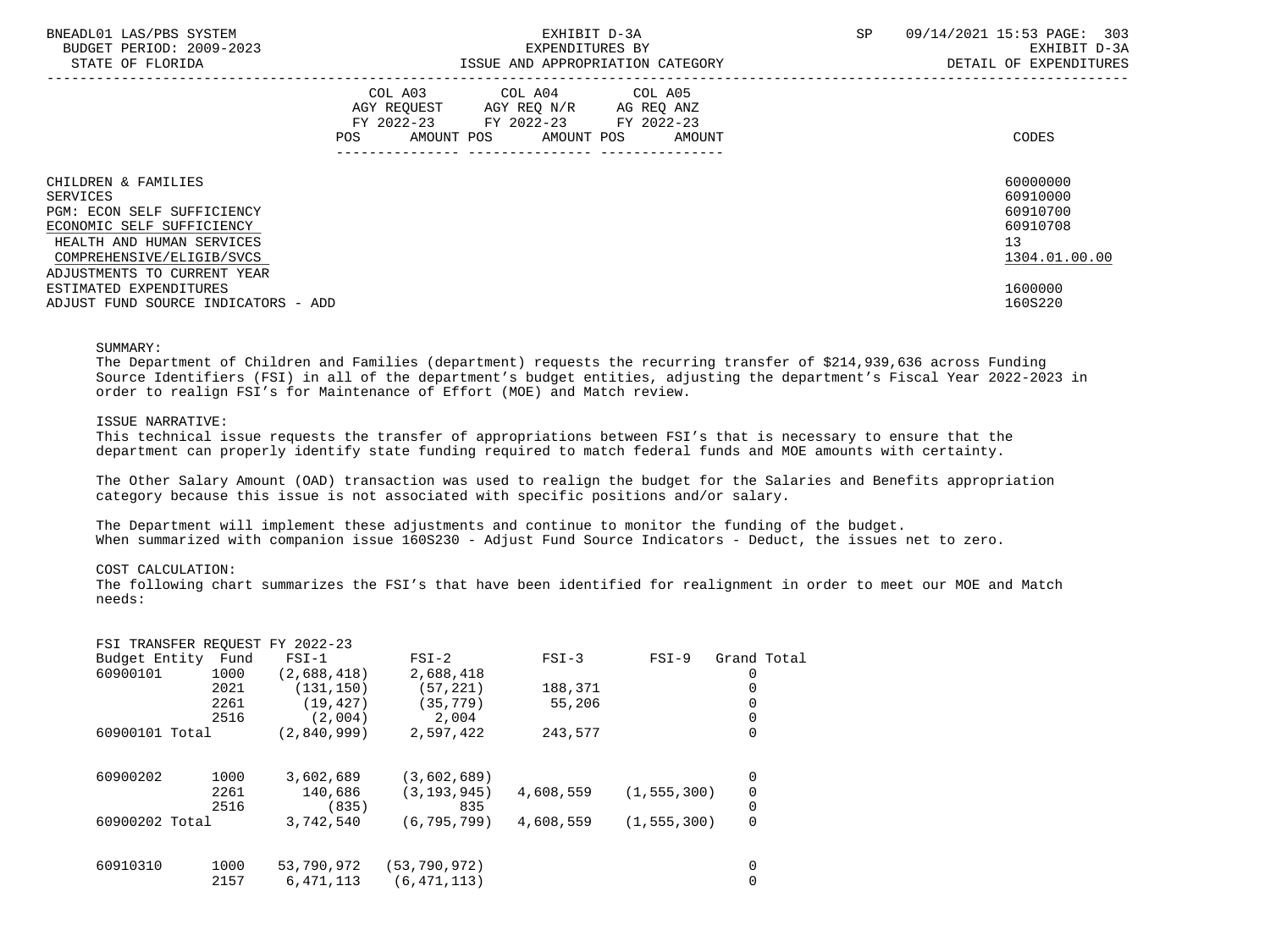| BNEADL01 LAS/PBS SYSTEM<br>BUDGET PERIOD: 2009-2023<br>STATE OF FLORIDA                                                        |     |                                                                                                   |                       | EXHIBIT D-3A<br>EXPENDITURES BY | ISSUE AND APPROPRIATION CATEGORY | <b>SP</b> | 09/14/2021 15:53 PAGE: 303<br>EXHIBIT D-3A<br>DETAIL OF EXPENDITURES |
|--------------------------------------------------------------------------------------------------------------------------------|-----|---------------------------------------------------------------------------------------------------|-----------------------|---------------------------------|----------------------------------|-----------|----------------------------------------------------------------------|
|                                                                                                                                | POS | COL A03 COL A04 COL A05<br>AGY REQUEST AGY REQ N/R AG REQ ANZ<br>FY 2022-23 FY 2022-23 FY 2022-23 | AMOUNT POS AMOUNT POS |                                 | AMOUNT                           |           | CODES                                                                |
| CHILDREN & FAMILIES<br>SERVICES<br><b>PGM: ECON SELF SUFFICIENCY</b><br>ECONOMIC SELF SUFFICIENCY<br>HEALTH AND HUMAN SERVICES |     |                                                                                                   |                       |                                 |                                  |           | 60000000<br>60910000<br>60910700<br>60910708<br>13<br>1304.01.00.00  |
| COMPREHENSIVE/ELIGIB/SVCS<br>ADJUSTMENTS TO CURRENT YEAR<br>ESTIMATED EXPENDITURES<br>ADJUST FUND SOURCE INDICATORS - ADD      |     |                                                                                                   |                       |                                 |                                  |           | 1600000<br>160S220                                                   |

### SUMMARY:

 The Department of Children and Families (department) requests the recurring transfer of \$214,939,636 across Funding Source Identifiers (FSI) in all of the department's budget entities, adjusting the department's Fiscal Year 2022-2023 in order to realign FSI's for Maintenance of Effort (MOE) and Match review.

## ISSUE NARRATIVE:

 This technical issue requests the transfer of appropriations between FSI's that is necessary to ensure that the department can properly identify state funding required to match federal funds and MOE amounts with certainty.

 The Other Salary Amount (OAD) transaction was used to realign the budget for the Salaries and Benefits appropriation category because this issue is not associated with specific positions and/or salary.

 The Department will implement these adjustments and continue to monitor the funding of the budget. When summarized with companion issue 160S230 - Adjust Fund Source Indicators - Deduct, the issues net to zero.

# COST CALCULATION:

 The following chart summarizes the FSI's that have been identified for realignment in order to meet our MOE and Match needs:

| FSI TRANSFER REQUEST FY |      | 2022-23     |                |           |               |             |  |
|-------------------------|------|-------------|----------------|-----------|---------------|-------------|--|
| Budget Entity           | Fund | $FSI-1$     | $FSI-2$        | $FSI-3$   | $FSI-9$       | Grand Total |  |
| 60900101                | 1000 | (2,688,418) | 2,688,418      |           |               |             |  |
|                         | 2021 | (131, 150)  | (57, 221)      | 188,371   |               | 0           |  |
|                         | 2261 | (19, 427)   | (35, 779)      | 55,206    |               | 0           |  |
|                         | 2516 | (2,004)     | 2,004          |           |               |             |  |
| 60900101 Total          |      | (2.840.999) | 2,597,422      | 243,577   |               | 0           |  |
|                         |      |             |                |           |               |             |  |
| 60900202                | 1000 | 3,602,689   | (3,602,689)    |           |               | 0           |  |
|                         | 2261 | 140,686     | (3, 193, 945)  | 4,608,559 | (1, 555, 300) | 0           |  |
|                         | 2516 | (835)       | 835            |           |               | 0           |  |
| 60900202 Total          |      | 3,742,540   | (6, 795, 799)  | 4,608,559 | (1, 555, 300) | 0           |  |
| 60910310                | 1000 | 53,790,972  | (53, 790, 972) |           |               | 0           |  |
|                         | 2157 | 6,471,113   | (6, 471, 113)  |           |               |             |  |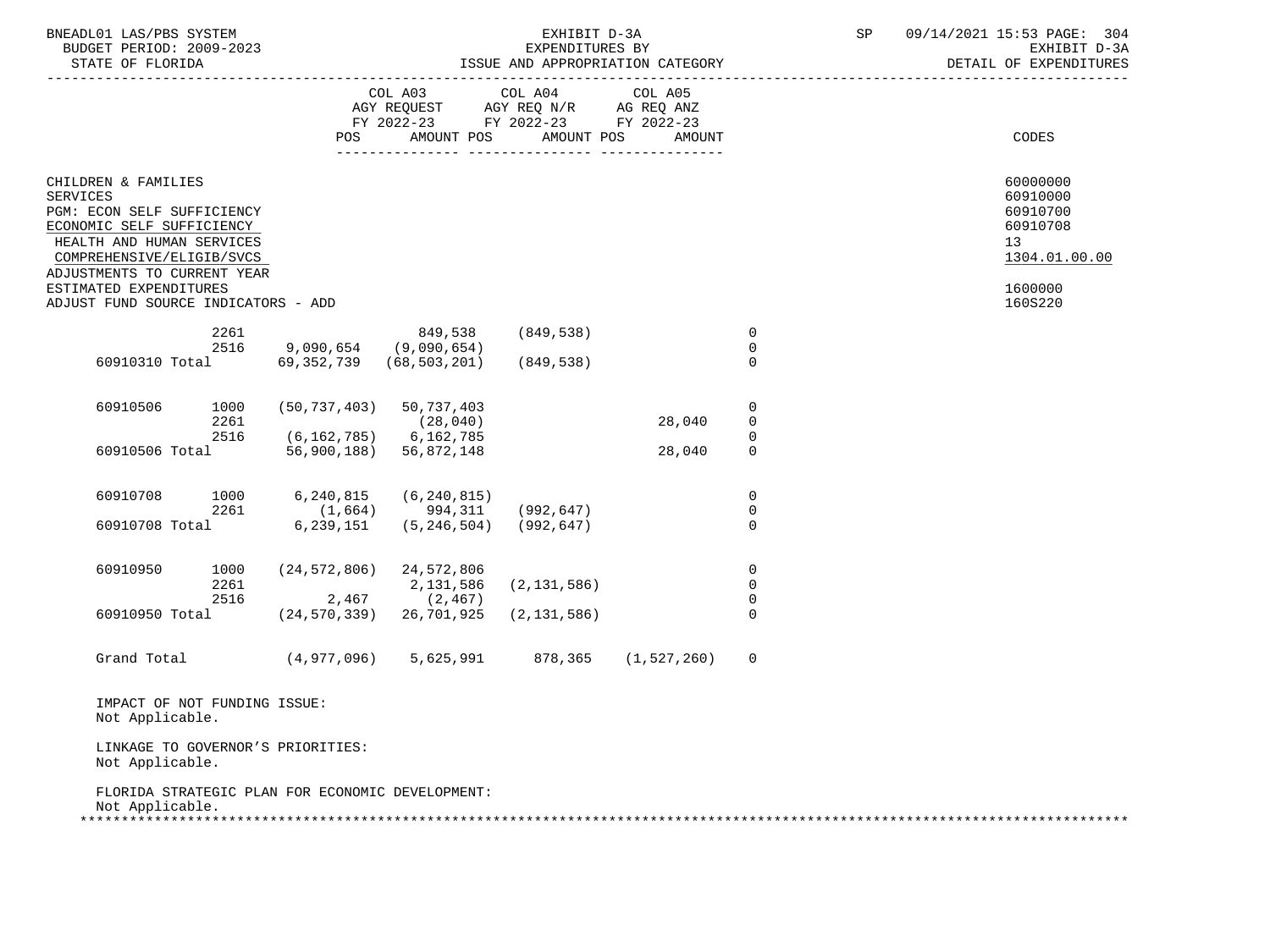| BNEADL01 LAS/PBS SYSTEM<br>BUDGET PERIOD: 2009-2023<br>STATE OF FLORIDA                                                                                                                                              |                      |                         |                                                                          | EXHIBIT D-3A<br>EXPENDITURES BY                 | ISSUE AND APPROPRIATION CATEGORY |                                           | SP | 09/14/2021 15:53 PAGE: 304<br>EXHIBIT D-3A<br>DETAIL OF EXPENDITURES           |
|----------------------------------------------------------------------------------------------------------------------------------------------------------------------------------------------------------------------|----------------------|-------------------------|--------------------------------------------------------------------------|-------------------------------------------------|----------------------------------|-------------------------------------------|----|--------------------------------------------------------------------------------|
|                                                                                                                                                                                                                      |                      | POS                     | COL A03<br>AGY REQUEST<br>FY 2022-23 FY 2022-23 FY 2022-23<br>AMOUNT POS | COL A04<br>AGY REQ N/R AG REQ ANZ<br>AMOUNT POS | COL A05<br>AMOUNT                |                                           |    | CODES                                                                          |
| CHILDREN & FAMILIES<br><b>SERVICES</b><br>PGM: ECON SELF SUFFICIENCY<br>ECONOMIC SELF SUFFICIENCY<br>HEALTH AND HUMAN SERVICES<br>COMPREHENSIVE/ELIGIB/SVCS<br>ADJUSTMENTS TO CURRENT YEAR<br>ESTIMATED EXPENDITURES |                      |                         |                                                                          |                                                 |                                  |                                           |    | 60000000<br>60910000<br>60910700<br>60910708<br>13<br>1304.01.00.00<br>1600000 |
| ADJUST FUND SOURCE INDICATORS - ADD                                                                                                                                                                                  |                      |                         |                                                                          |                                                 |                                  |                                           |    | 160S220                                                                        |
| 60910310 Total                                                                                                                                                                                                       | 2261<br>2516         | 9,090,654<br>69,352,739 | 849,538<br>(9,090,654)<br>(68, 503, 201)                                 | (849, 538)<br>(849,538)                         |                                  | $\mathbf 0$<br>$\mathbf 0$<br>$\mathbf 0$ |    |                                                                                |
| 60910506                                                                                                                                                                                                             | 1000<br>2261         | (50, 737, 403)          | 50,737,403<br>(28, 040)                                                  |                                                 | 28,040                           | 0<br>0                                    |    |                                                                                |
| 60910506 Total                                                                                                                                                                                                       | 2516                 | 56,900,188)             | $(6, 162, 785)$ 6, 162, 785<br>56,872,148                                |                                                 | 28,040                           | $\mathbf 0$<br>$\mathbf 0$                |    |                                                                                |
| 60910708                                                                                                                                                                                                             | 1000<br>2261         | 6,240,815<br>(1,664)    | (6, 240, 815)<br>994,311                                                 | (992, 647)                                      |                                  | 0<br>0                                    |    |                                                                                |
| 60910708 Total                                                                                                                                                                                                       |                      | 6,239,151               | (5, 246, 504)                                                            | (992,647)                                       |                                  | $\mathbf 0$                               |    |                                                                                |
| 60910950                                                                                                                                                                                                             | 1000<br>2261<br>2516 | 2,467                   | $(24, 572, 806)$ 24, 572, 806<br>2,131,586<br>(2, 467)                   | (2, 131, 586)                                   |                                  | $\mathbf 0$<br>$\mathbf 0$<br>$\mathbf 0$ |    |                                                                                |
| 60910950 Total                                                                                                                                                                                                       |                      | (24, 570, 339)          | 26,701,925                                                               | (2, 131, 586)                                   |                                  | $\mathbf 0$                               |    |                                                                                |
| Grand Total                                                                                                                                                                                                          |                      | (4,977,096)             | 5,625,991                                                                | 878,365                                         | (1,527,260)                      | $\mathbf 0$                               |    |                                                                                |
| IMPACT OF NOT FUNDING ISSUE:<br>Not Applicable.                                                                                                                                                                      |                      |                         |                                                                          |                                                 |                                  |                                           |    |                                                                                |
| LINKAGE TO GOVERNOR'S PRIORITIES:<br>Not Applicable.                                                                                                                                                                 |                      |                         |                                                                          |                                                 |                                  |                                           |    |                                                                                |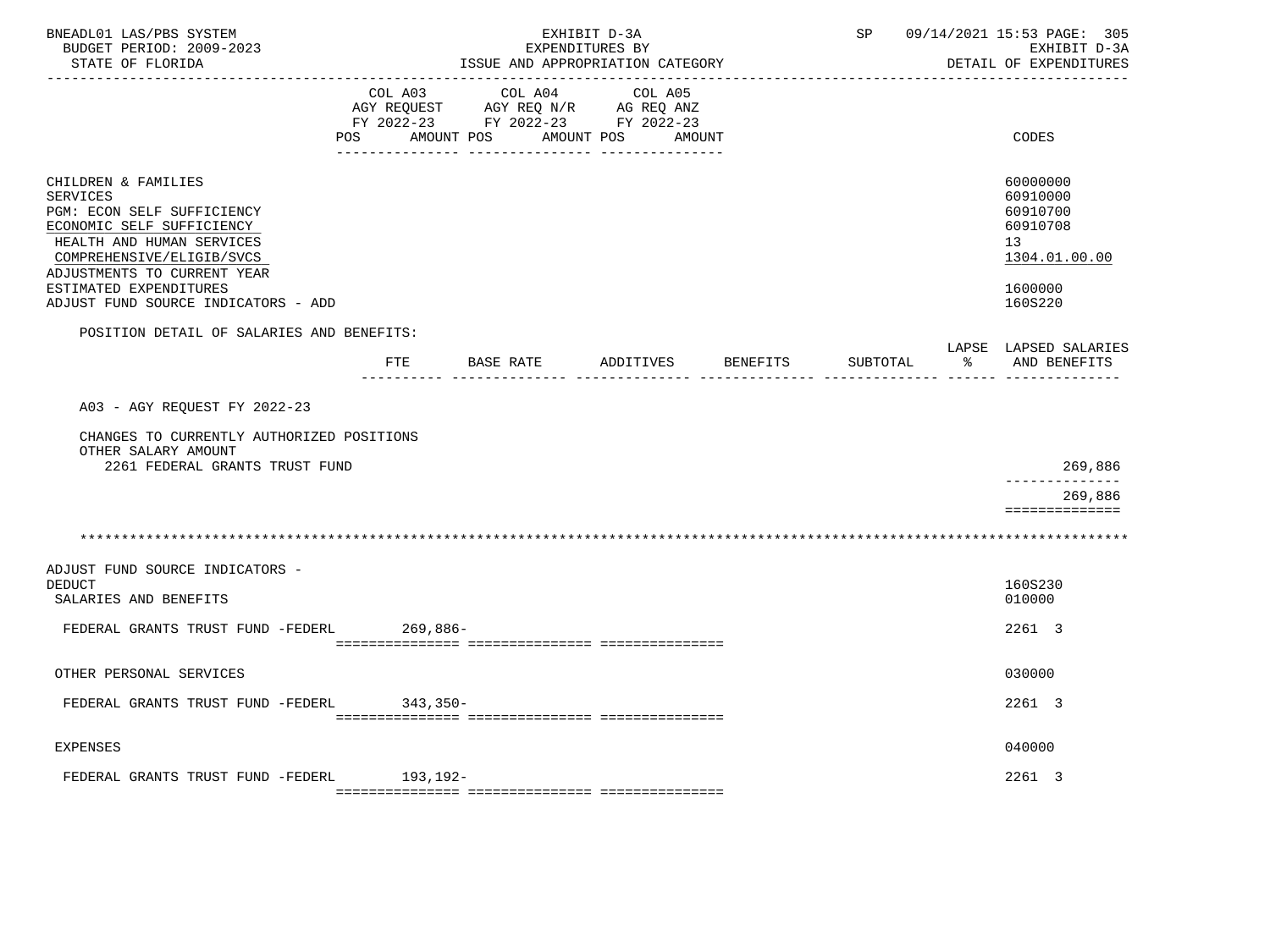| BNEADL01 LAS/PBS SYSTEM<br>BUDGET PERIOD: 2009-2023<br>STATE OF FLORIDA                                                                                                                                                                                     | EXHIBIT D-3A<br>EXPENDITURES BY<br>ISSUE AND APPROPRIATION CATEGORY |                                                                                   |                              |          | 09/14/2021 15:53 PAGE: 305<br>SP<br>EXHIBIT D-3A<br>DETAIL OF EXPENDITURES |    |                                                                                           |
|-------------------------------------------------------------------------------------------------------------------------------------------------------------------------------------------------------------------------------------------------------------|---------------------------------------------------------------------|-----------------------------------------------------------------------------------|------------------------------|----------|----------------------------------------------------------------------------|----|-------------------------------------------------------------------------------------------|
|                                                                                                                                                                                                                                                             | COL A03<br>POS AMOUNT POS                                           | COL A04<br>AGY REQUEST AGY REQ N/R AG REQ ANZ<br>FY 2022-23 FY 2022-23 FY 2022-23 | COL A05<br>AMOUNT POS AMOUNT |          |                                                                            |    | <b>CODES</b>                                                                              |
| CHILDREN & FAMILIES<br><b>SERVICES</b><br>PGM: ECON SELF SUFFICIENCY<br>ECONOMIC SELF SUFFICIENCY<br>HEALTH AND HUMAN SERVICES<br>COMPREHENSIVE/ELIGIB/SVCS<br>ADJUSTMENTS TO CURRENT YEAR<br>ESTIMATED EXPENDITURES<br>ADJUST FUND SOURCE INDICATORS - ADD |                                                                     |                                                                                   |                              |          |                                                                            |    | 60000000<br>60910000<br>60910700<br>60910708<br>13<br>1304.01.00.00<br>1600000<br>160S220 |
| POSITION DETAIL OF SALARIES AND BENEFITS:                                                                                                                                                                                                                   | FTE                                                                 | BASE RATE                                                                         | ADDITIVES                    | BENEFITS | SUBTOTAL                                                                   | ႜၟ | LAPSE LAPSED SALARIES<br>AND BENEFITS                                                     |
| A03 - AGY REQUEST FY 2022-23<br>CHANGES TO CURRENTLY AUTHORIZED POSITIONS<br>OTHER SALARY AMOUNT<br>2261 FEDERAL GRANTS TRUST FUND                                                                                                                          |                                                                     |                                                                                   |                              |          |                                                                            |    | 269,886<br><u> Liberalis Liberal</u><br>269,886<br>==============                         |
|                                                                                                                                                                                                                                                             |                                                                     |                                                                                   |                              |          |                                                                            |    |                                                                                           |
| ADJUST FUND SOURCE INDICATORS -<br><b>DEDUCT</b><br>SALARIES AND BENEFITS                                                                                                                                                                                   |                                                                     |                                                                                   |                              |          |                                                                            |    | 160S230<br>010000                                                                         |
| FEDERAL GRANTS TRUST FUND -FEDERL 269,886-                                                                                                                                                                                                                  |                                                                     |                                                                                   |                              |          |                                                                            |    | 2261 3                                                                                    |
| OTHER PERSONAL SERVICES                                                                                                                                                                                                                                     |                                                                     |                                                                                   |                              |          |                                                                            |    | 030000                                                                                    |
| FEDERAL GRANTS TRUST FUND -FEDERL                                                                                                                                                                                                                           | 343,350-                                                            |                                                                                   |                              |          |                                                                            |    | 2261 3                                                                                    |
| <b>EXPENSES</b>                                                                                                                                                                                                                                             |                                                                     |                                                                                   |                              |          |                                                                            |    | 040000                                                                                    |
| FEDERAL GRANTS TRUST FUND -FEDERL 193,192-                                                                                                                                                                                                                  |                                                                     |                                                                                   |                              |          |                                                                            |    | 2261 3                                                                                    |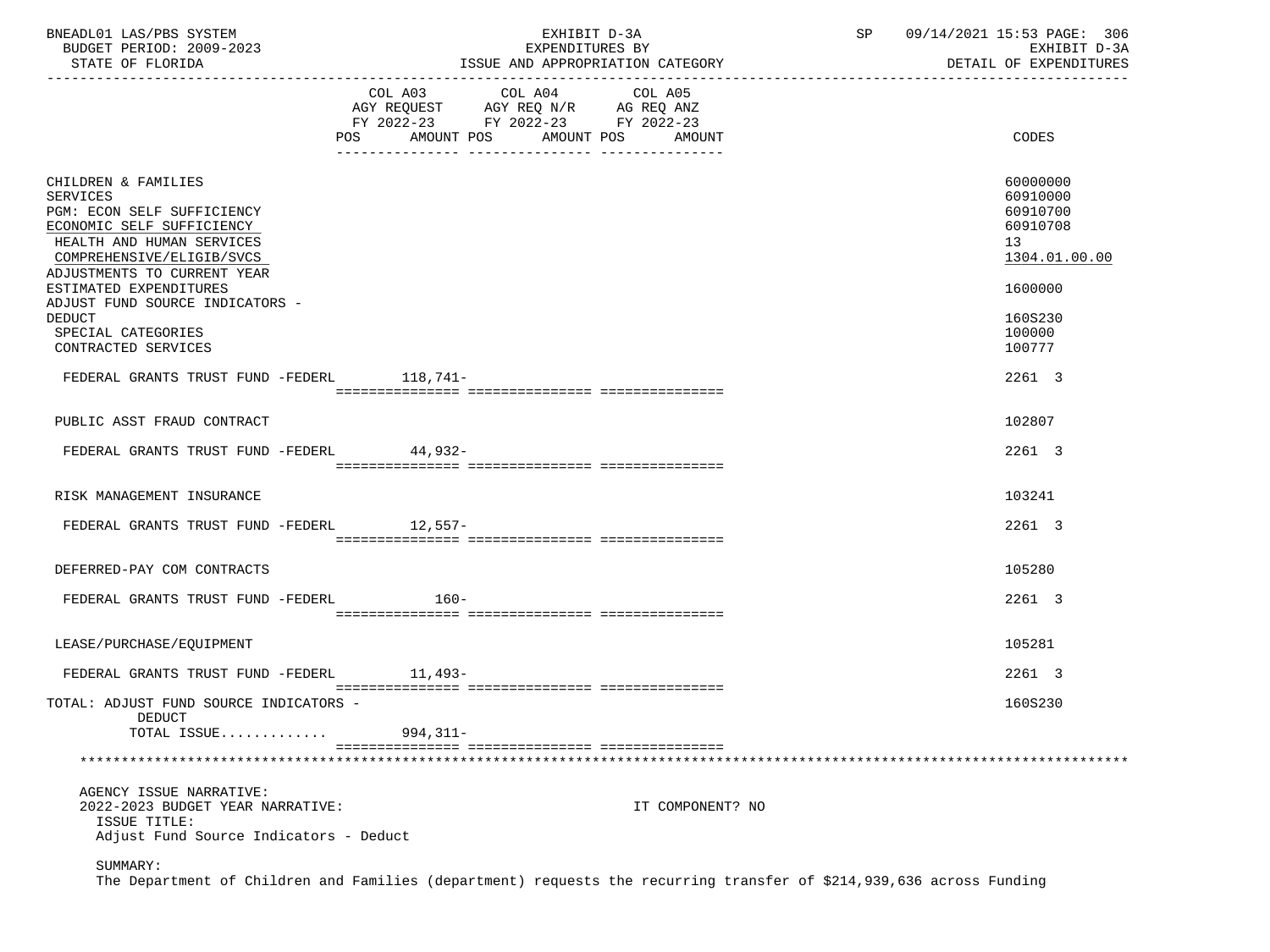| BNEADL01 LAS/PBS SYSTEM<br>BUDGET PERIOD: 2009-2023<br>STATE OF FLORIDA                                                                                                                                       | EXHIBIT D-3A<br>EXPENDITURES BY<br>ISSUE AND APPROPRIATION CATEGORY                                                                               | SP<br>09/14/2021 15:53 PAGE: 306<br>EXHIBIT D-3A<br>DETAIL OF EXPENDITURES     |
|---------------------------------------------------------------------------------------------------------------------------------------------------------------------------------------------------------------|---------------------------------------------------------------------------------------------------------------------------------------------------|--------------------------------------------------------------------------------|
|                                                                                                                                                                                                               | COL A03 COL A04<br>COL A05<br>AGY REQUEST AGY REQ N/R AG REQ ANZ<br>FY 2022-23 FY 2022-23 FY 2022-23<br>AMOUNT POS<br>AMOUNT POS<br>POS<br>AMOUNT | CODES                                                                          |
| CHILDREN & FAMILIES<br>SERVICES<br>PGM: ECON SELF SUFFICIENCY<br>ECONOMIC SELF SUFFICIENCY<br>HEALTH AND HUMAN SERVICES<br>COMPREHENSIVE/ELIGIB/SVCS<br>ADJUSTMENTS TO CURRENT YEAR<br>ESTIMATED EXPENDITURES |                                                                                                                                                   | 60000000<br>60910000<br>60910700<br>60910708<br>13<br>1304.01.00.00<br>1600000 |
| ADJUST FUND SOURCE INDICATORS -<br>DEDUCT<br>SPECIAL CATEGORIES<br>CONTRACTED SERVICES                                                                                                                        |                                                                                                                                                   | 160S230<br>100000<br>100777                                                    |
| FEDERAL GRANTS TRUST FUND -FEDERL 118,741-                                                                                                                                                                    |                                                                                                                                                   | 2261 3                                                                         |
| PUBLIC ASST FRAUD CONTRACT                                                                                                                                                                                    |                                                                                                                                                   | 102807                                                                         |
| FEDERAL GRANTS TRUST FUND -FEDERL                                                                                                                                                                             | 44,932-                                                                                                                                           | 2261 3                                                                         |
|                                                                                                                                                                                                               |                                                                                                                                                   |                                                                                |
| RISK MANAGEMENT INSURANCE                                                                                                                                                                                     |                                                                                                                                                   | 103241                                                                         |
| FEDERAL GRANTS TRUST FUND -FEDERL 12,557-                                                                                                                                                                     |                                                                                                                                                   | 2261 3                                                                         |
| DEFERRED-PAY COM CONTRACTS                                                                                                                                                                                    |                                                                                                                                                   | 105280                                                                         |
| FEDERAL GRANTS TRUST FUND -FEDERL                                                                                                                                                                             | 160-                                                                                                                                              | 2261 3                                                                         |
| LEASE/PURCHASE/EOUIPMENT                                                                                                                                                                                      |                                                                                                                                                   | 105281                                                                         |
| FEDERAL GRANTS TRUST FUND -FEDERL                                                                                                                                                                             | 11,493-                                                                                                                                           | 2261 3                                                                         |
| TOTAL: ADJUST FUND SOURCE INDICATORS -<br><b>DEDUCT</b>                                                                                                                                                       |                                                                                                                                                   | 160S230                                                                        |
| TOTAL ISSUE                                                                                                                                                                                                   | 994,311-                                                                                                                                          |                                                                                |
|                                                                                                                                                                                                               |                                                                                                                                                   |                                                                                |
| AGENCY ISSUE NARRATIVE:<br>2022-2023 BUDGET YEAR NARRATIVE:<br>ISSUE TITLE:<br>Adjust Fund Source Indicators - Deduct                                                                                         | IT COMPONENT? NO                                                                                                                                  |                                                                                |
| SUMMARY:                                                                                                                                                                                                      |                                                                                                                                                   |                                                                                |

The Department of Children and Families (department) requests the recurring transfer of \$214,939,636 across Funding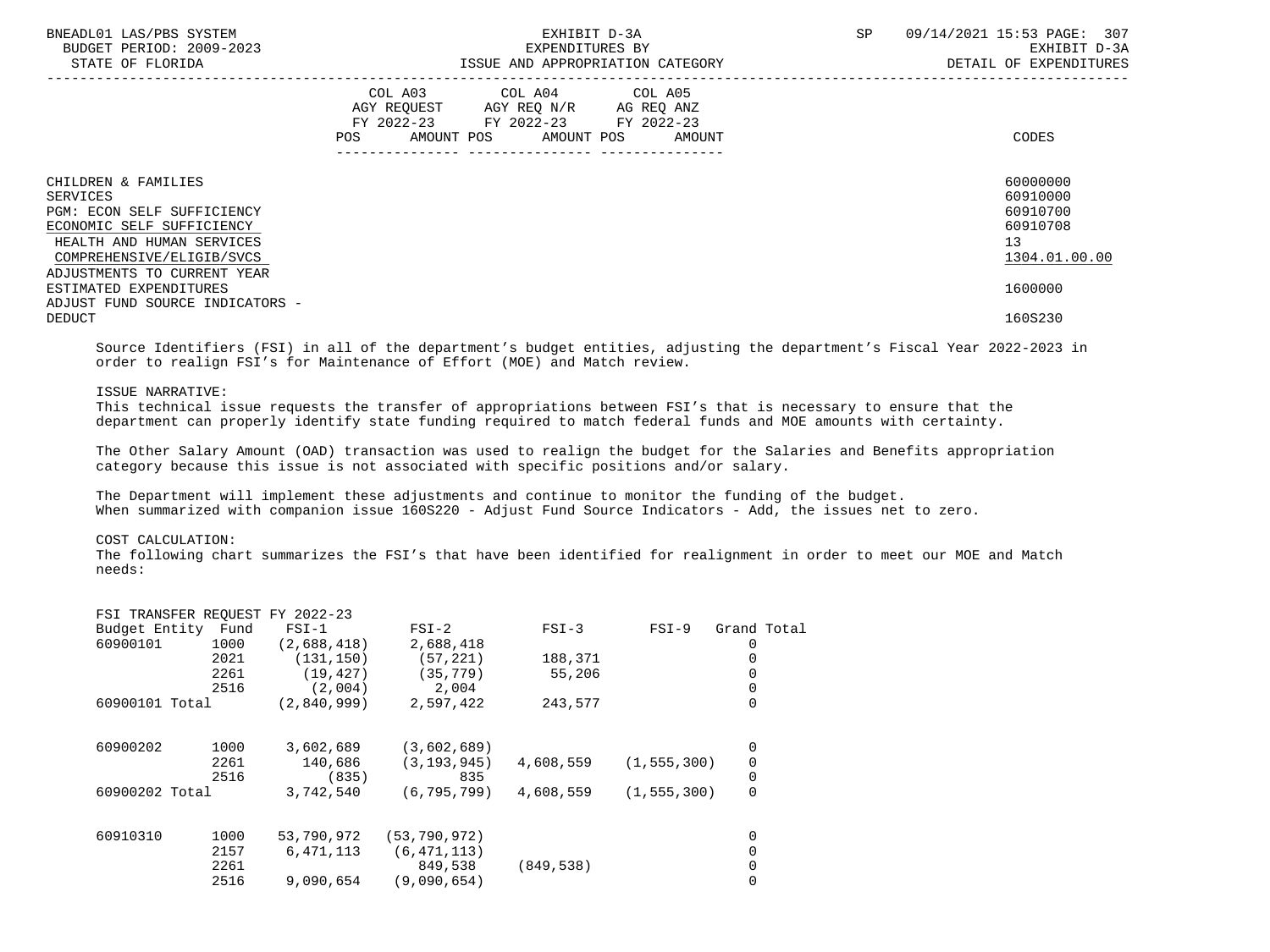| BNEADL01 LAS/PBS SYSTEM<br>BUDGET PERIOD: 2009-2023<br>STATE OF FLORIDA                                                                                                                    | EXHIBIT D-3A<br>EXPENDITURES BY<br>ISSUE AND APPROPRIATION CATEGORY                                                                         | SP<br>09/14/2021 15:53 PAGE: 307<br>EXHIBIT D-3A<br>DETAIL OF EXPENDITURES |
|--------------------------------------------------------------------------------------------------------------------------------------------------------------------------------------------|---------------------------------------------------------------------------------------------------------------------------------------------|----------------------------------------------------------------------------|
|                                                                                                                                                                                            | COL A03 COL A04 COL A05<br>AGY REQUEST AGY REQ N/R AG REQ ANZ<br>FY 2022-23 FY 2022-23 FY 2022-23<br>POS<br>AMOUNT POS AMOUNT POS<br>AMOUNT | CODES                                                                      |
| CHILDREN & FAMILIES<br>SERVICES<br><b>PGM: ECON SELF SUFFICIENCY</b><br>ECONOMIC SELF SUFFICIENCY<br>HEALTH AND HUMAN SERVICES<br>COMPREHENSIVE/ELIGIB/SVCS<br>ADJUSTMENTS TO CURRENT YEAR |                                                                                                                                             | 60000000<br>60910000<br>60910700<br>60910708<br>13<br>1304.01.00.00        |
| ESTIMATED EXPENDITURES<br>ADJUST FUND SOURCE INDICATORS -<br><b>DEDUCT</b>                                                                                                                 |                                                                                                                                             | 1600000<br>160S230                                                         |

 Source Identifiers (FSI) in all of the department's budget entities, adjusting the department's Fiscal Year 2022-2023 in order to realign FSI's for Maintenance of Effort (MOE) and Match review.

# ISSUE NARRATIVE:

 This technical issue requests the transfer of appropriations between FSI's that is necessary to ensure that the department can properly identify state funding required to match federal funds and MOE amounts with certainty.

 The Other Salary Amount (OAD) transaction was used to realign the budget for the Salaries and Benefits appropriation category because this issue is not associated with specific positions and/or salary.

 The Department will implement these adjustments and continue to monitor the funding of the budget. When summarized with companion issue 160S220 - Adjust Fund Source Indicators - Add, the issues net to zero.

# COST CALCULATION:

 The following chart summarizes the FSI's that have been identified for realignment in order to meet our MOE and Match needs:

|                    |      | FSI TRANSFER REQUEST FY 2022-23 |                |            |               |                |
|--------------------|------|---------------------------------|----------------|------------|---------------|----------------|
| Budget Entity Fund |      | $FST-1$                         | $FSI-2$        | $FSI-3$    | $FSI-9$       | Grand Total    |
| 60900101           | 1000 | (2,688,418)                     | 2,688,418      |            |               |                |
|                    | 2021 | (131, 150)                      | (57, 221)      | 188,371    |               |                |
|                    | 2261 | (19, 427)                       | (35, 779)      | 55,206     |               |                |
|                    | 2516 | (2,004)                         | 2,004          |            |               | 0              |
| 60900101 Total     |      | (2,840,999)                     | 2,597,422      | 243,577    |               | 0              |
| 60900202           | 1000 | 3,602,689                       | (3,602,689)    |            |               | 0              |
|                    | 2261 | 140,686                         | (3, 193, 945)  | 4,608,559  | (1, 555, 300) | 0              |
|                    | 2516 | (835)                           | 835            |            |               | 0              |
| 60900202 Total     |      | 3,742,540                       | (6, 795, 799)  | 4,608,559  | (1, 555, 300) | $\overline{0}$ |
| 60910310           | 1000 | 53,790,972                      | (53, 790, 972) |            |               | 0              |
|                    | 2157 | 6,471,113                       | (6, 471, 113)  |            |               |                |
|                    | 2261 |                                 | 849,538        | (849, 538) |               | 0              |
|                    | 2516 | 9,090,654                       | (9.090.654)    |            |               | 0              |
|                    |      |                                 |                |            |               |                |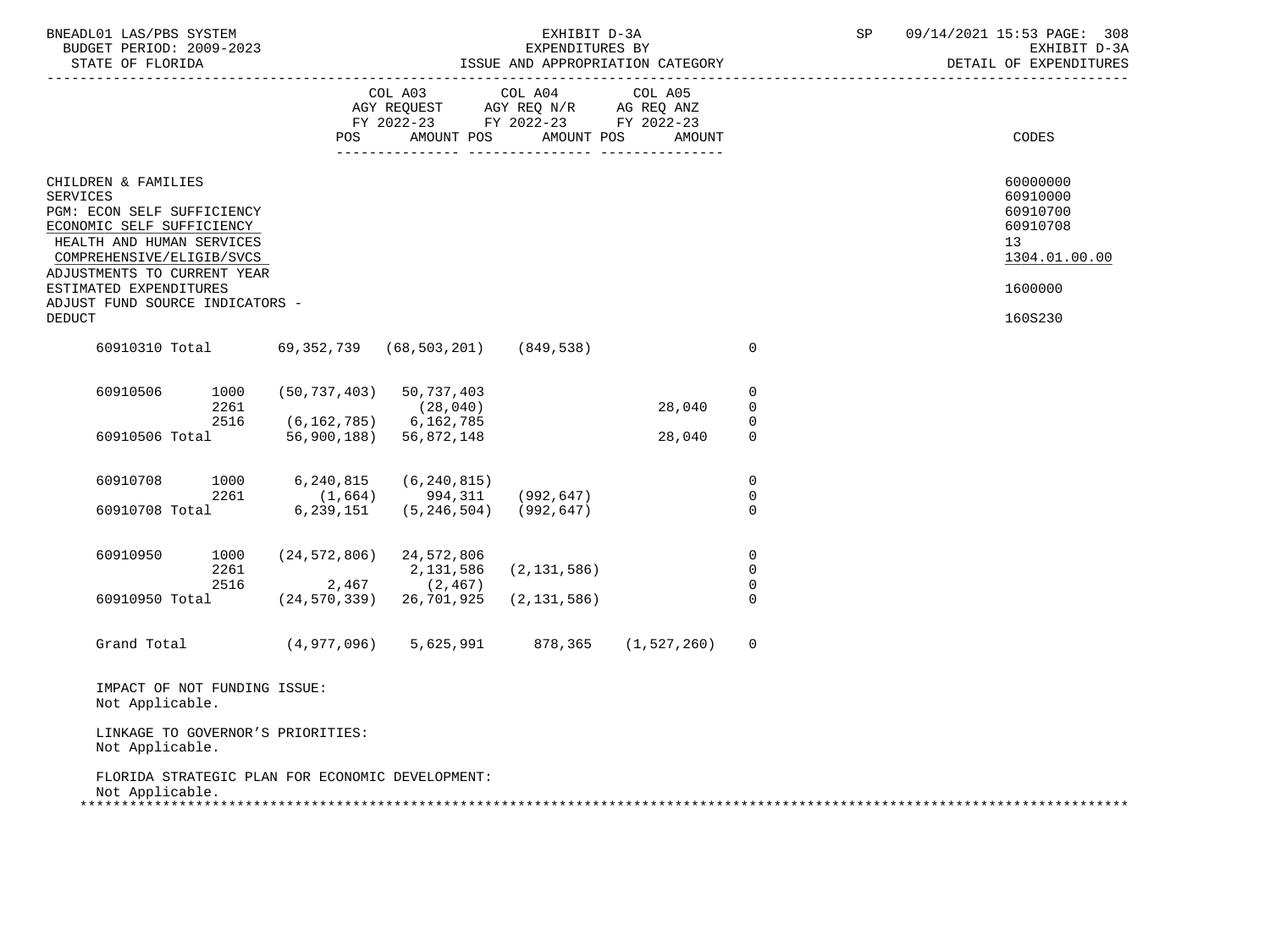| BNEADL01 LAS/PBS SYSTEM<br>BUDGET PERIOD: 2009-2023<br>STATE OF FLORIDA                                                                                                                                                                                 |                                   |                                                                                                 | EXHIBIT D-3A<br>EXPENDITURES BY | ISSUE AND APPROPRIATION CATEGORY |                                 | SP | 09/14/2021 15:53 PAGE: 308<br>EXHIBIT D-3A<br>DETAIL OF EXPENDITURES           |
|---------------------------------------------------------------------------------------------------------------------------------------------------------------------------------------------------------------------------------------------------------|-----------------------------------|-------------------------------------------------------------------------------------------------|---------------------------------|----------------------------------|---------------------------------|----|--------------------------------------------------------------------------------|
|                                                                                                                                                                                                                                                         | POS                               | COL A03<br>AGY REQUEST AGY REQ N/R AG REQ ANZ<br>FY 2022-23 FY 2022-23 FY 2022-23<br>AMOUNT POS | COL A04<br>AMOUNT POS           | COL A05<br>AMOUNT                |                                 |    | <b>CODES</b>                                                                   |
| CHILDREN & FAMILIES<br><b>SERVICES</b><br>PGM: ECON SELF SUFFICIENCY<br>ECONOMIC SELF SUFFICIENCY<br>HEALTH AND HUMAN SERVICES<br>COMPREHENSIVE/ELIGIB/SVCS<br>ADJUSTMENTS TO CURRENT YEAR<br>ESTIMATED EXPENDITURES<br>ADJUST FUND SOURCE INDICATORS - |                                   |                                                                                                 |                                 |                                  |                                 |    | 60000000<br>60910000<br>60910700<br>60910708<br>13<br>1304.01.00.00<br>1600000 |
| <b>DEDUCT</b>                                                                                                                                                                                                                                           |                                   |                                                                                                 |                                 |                                  |                                 |    | 160S230                                                                        |
| 60910310 Total                                                                                                                                                                                                                                          |                                   | 69,352,739 (68,503,201)                                                                         | (849,538)                       |                                  | $\mathbf 0$                     |    |                                                                                |
| 60910506<br>1000<br>2261                                                                                                                                                                                                                                | $(50, 737, 403)$ 50, 737, 403     | (28, 040)                                                                                       |                                 | 28,040                           | 0<br>$\overline{0}$             |    |                                                                                |
| 2516<br>60910506 Total                                                                                                                                                                                                                                  | $(6, 162, 785)$ 6, 162, 785       | 56,900,188) 56,872,148                                                                          |                                 | 28,040                           | 0<br>$\overline{0}$             |    |                                                                                |
| 60910708<br>1000<br>2261<br>60910708 Total                                                                                                                                                                                                              | 6,240,815<br>(1,664)<br>6,239,151 | (6, 240, 815)<br>994,311<br>$(5, 246, 504)$ (992,647)                                           | (992,647)                       |                                  | $\mathbf 0$<br>0<br>$\mathbf 0$ |    |                                                                                |
| 60910950<br>1000                                                                                                                                                                                                                                        | $(24, 572, 806)$ 24, 572, 806     |                                                                                                 |                                 |                                  | $\overline{0}$                  |    |                                                                                |
| 2261<br>2516                                                                                                                                                                                                                                            | 2,467                             | 2,131,586<br>(2, 467)                                                                           | (2, 131, 586)                   |                                  | $\mathbf 0$<br>$\overline{0}$   |    |                                                                                |
| 60910950 Total                                                                                                                                                                                                                                          | (24, 570, 339)                    | 26,701,925                                                                                      | (2, 131, 586)                   |                                  | $\Omega$                        |    |                                                                                |
| Grand Total                                                                                                                                                                                                                                             | $(4,977,096)$ 5,625,991           |                                                                                                 | 878,365                         | (1, 527, 260)                    | $\overline{0}$                  |    |                                                                                |
| IMPACT OF NOT FUNDING ISSUE:<br>Not Applicable.                                                                                                                                                                                                         |                                   |                                                                                                 |                                 |                                  |                                 |    |                                                                                |
| LINKAGE TO GOVERNOR'S PRIORITIES:<br>Not Applicable.                                                                                                                                                                                                    |                                   |                                                                                                 |                                 |                                  |                                 |    |                                                                                |
| FLORIDA STRATEGIC PLAN FOR ECONOMIC DEVELOPMENT:<br>Not Applicable.                                                                                                                                                                                     |                                   |                                                                                                 |                                 |                                  |                                 |    |                                                                                |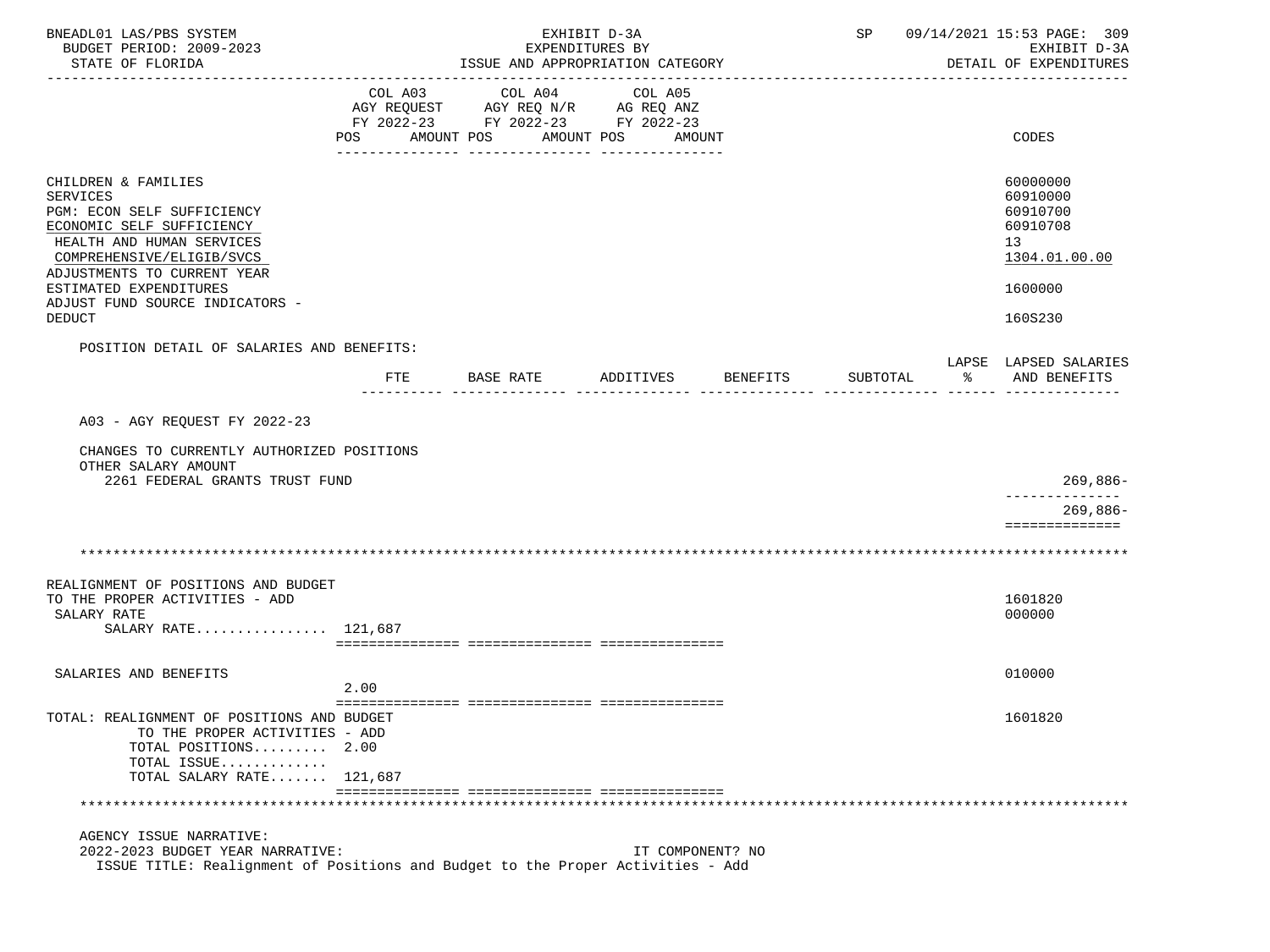| BNEADL01 LAS/PBS SYSTEM<br>BUDGET PERIOD: 2009-2023<br>STATE OF FLORIDA                                                                                                                                                                                                  |                |                                                                                                 | EXHIBIT D-3A<br>EXPENDITURES BY<br>ISSUE AND APPROPRIATION CATEGORY |          |          | SP 09/14/2021 15:53 PAGE: 309<br>EXHIBIT D-3A<br>DETAIL OF EXPENDITURES                   |
|--------------------------------------------------------------------------------------------------------------------------------------------------------------------------------------------------------------------------------------------------------------------------|----------------|-------------------------------------------------------------------------------------------------|---------------------------------------------------------------------|----------|----------|-------------------------------------------------------------------------------------------|
|                                                                                                                                                                                                                                                                          | COL A03<br>POS | COL A04<br>AGY REQUEST AGY REQ N/R AG REQ ANZ<br>FY 2022-23 FY 2022-23 FY 2022-23<br>AMOUNT POS | COL A05<br>AMOUNT POS<br>AMOUNT                                     |          |          | CODES                                                                                     |
| CHILDREN & FAMILIES<br><b>SERVICES</b><br>PGM: ECON SELF SUFFICIENCY<br>ECONOMIC SELF SUFFICIENCY<br>HEALTH AND HUMAN SERVICES<br>COMPREHENSIVE/ELIGIB/SVCS<br>ADJUSTMENTS TO CURRENT YEAR<br>ESTIMATED EXPENDITURES<br>ADJUST FUND SOURCE INDICATORS -<br><b>DEDUCT</b> |                |                                                                                                 |                                                                     |          |          | 60000000<br>60910000<br>60910700<br>60910708<br>13<br>1304.01.00.00<br>1600000<br>160S230 |
| POSITION DETAIL OF SALARIES AND BENEFITS:                                                                                                                                                                                                                                | FTE            | BASE RATE                                                                                       | ADDITIVES                                                           | BENEFITS | SUBTOTAL | LAPSE LAPSED SALARIES<br>$\approx$<br>AND BENEFITS                                        |
| A03 - AGY REQUEST FY 2022-23<br>CHANGES TO CURRENTLY AUTHORIZED POSITIONS                                                                                                                                                                                                |                |                                                                                                 |                                                                     |          |          |                                                                                           |
| OTHER SALARY AMOUNT<br>2261 FEDERAL GRANTS TRUST FUND                                                                                                                                                                                                                    |                |                                                                                                 |                                                                     |          |          | 269,886-                                                                                  |
|                                                                                                                                                                                                                                                                          |                |                                                                                                 |                                                                     |          |          | $269,886-$<br>==============                                                              |
|                                                                                                                                                                                                                                                                          |                |                                                                                                 |                                                                     |          |          |                                                                                           |
| REALIGNMENT OF POSITIONS AND BUDGET<br>TO THE PROPER ACTIVITIES - ADD<br>SALARY RATE<br>SALARY RATE 121,687                                                                                                                                                              |                |                                                                                                 |                                                                     |          |          | 1601820<br>000000                                                                         |
| SALARIES AND BENEFITS                                                                                                                                                                                                                                                    |                |                                                                                                 |                                                                     |          |          | 010000                                                                                    |
|                                                                                                                                                                                                                                                                          | 2.00           |                                                                                                 |                                                                     |          |          |                                                                                           |
| TOTAL: REALIGNMENT OF POSITIONS AND BUDGET<br>TO THE PROPER ACTIVITIES - ADD<br>TOTAL POSITIONS 2.00<br>TOTAL ISSUE<br>TOTAL SALARY RATE 121,687                                                                                                                         |                |                                                                                                 |                                                                     |          |          | 1601820                                                                                   |
|                                                                                                                                                                                                                                                                          |                |                                                                                                 |                                                                     |          |          |                                                                                           |
| AGENCY ISSUE NARRATIVE:<br>2022-2023 BUDGET YEAR NARRATIVE:<br>ISSUE TITLE: Realignment of Positions and Budget to the Proper Activities - Add                                                                                                                           |                |                                                                                                 | IT COMPONENT? NO                                                    |          |          |                                                                                           |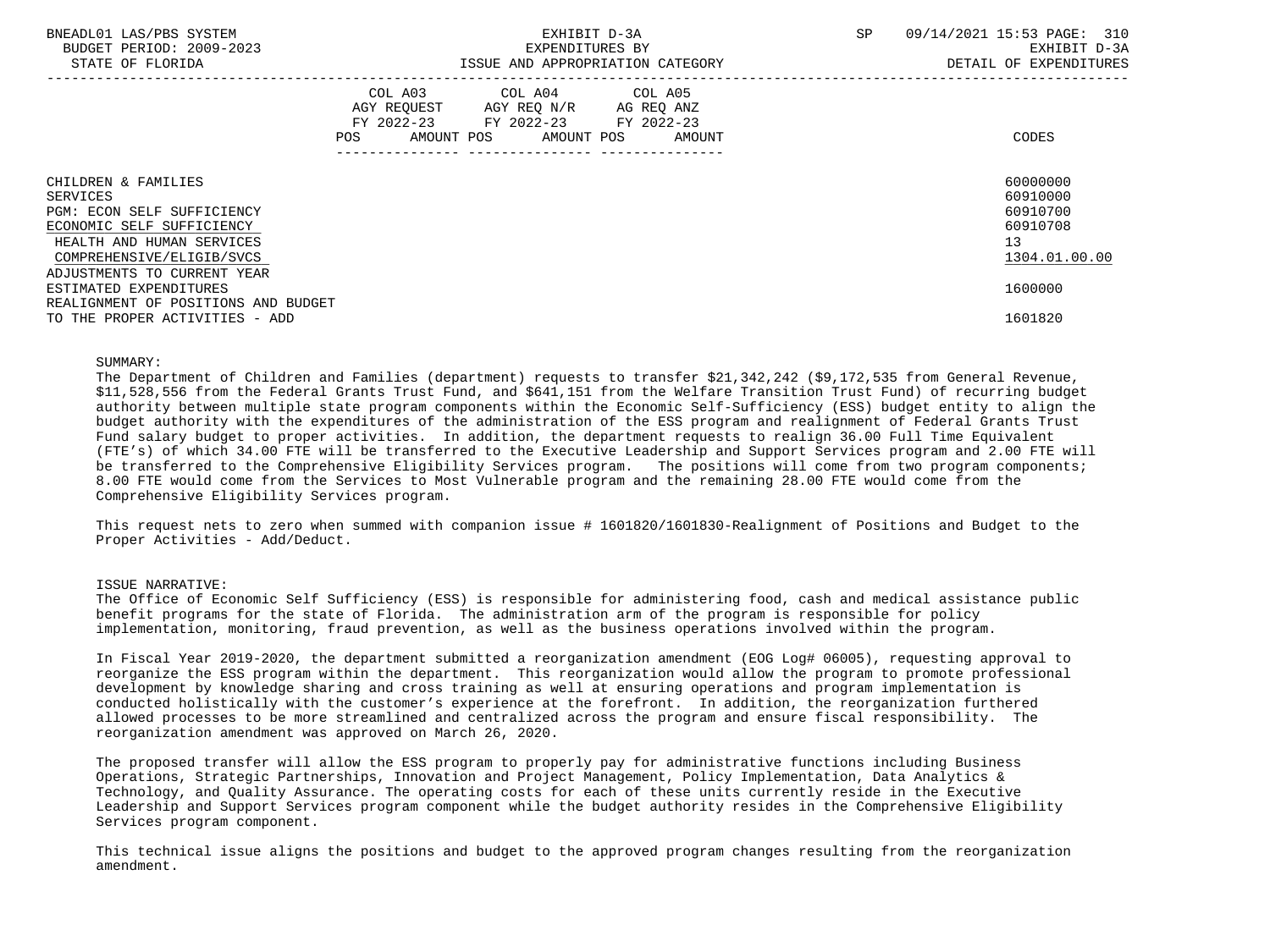| BNEADL01 LAS/PBS SYSTEM<br>BUDGET PERIOD: 2009-2023<br>STATE OF FLORIDA |     |                                                                                        | EXHIBIT D-3A<br>EXPENDITURES BY | ISSUE AND APPROPRIATION CATEGORY           | SP | 09/14/2021 15:53 PAGE: 310<br>EXHIBIT D-3A<br>DETAIL OF EXPENDITURES |
|-------------------------------------------------------------------------|-----|----------------------------------------------------------------------------------------|---------------------------------|--------------------------------------------|----|----------------------------------------------------------------------|
|                                                                         | POS | COL A03 COL A04 COL A05<br>AGY REOUEST AGY REO N/R<br>FY 2022-23 FY 2022-23 FY 2022-23 |                                 | AG REO ANZ<br>AMOUNT POS AMOUNT POS AMOUNT |    | CODES                                                                |
| CHILDREN & FAMILIES                                                     |     |                                                                                        |                                 |                                            |    | 60000000                                                             |
| SERVICES                                                                |     |                                                                                        |                                 |                                            |    | 60910000                                                             |
| PGM: ECON SELF SUFFICIENCY                                              |     |                                                                                        |                                 |                                            |    | 60910700                                                             |
| ECONOMIC SELF SUFFICIENCY                                               |     |                                                                                        |                                 |                                            |    | 60910708                                                             |
| HEALTH AND HUMAN SERVICES                                               |     |                                                                                        |                                 |                                            |    | 13                                                                   |
| COMPREHENSIVE/ELIGIB/SVCS                                               |     |                                                                                        |                                 |                                            |    | 1304.01.00.00                                                        |
| ADJUSTMENTS TO CURRENT YEAR                                             |     |                                                                                        |                                 |                                            |    |                                                                      |
| ESTIMATED EXPENDITURES                                                  |     |                                                                                        |                                 |                                            |    | 1600000                                                              |
| REALIGNMENT OF POSITIONS AND BUDGET                                     |     |                                                                                        |                                 |                                            |    |                                                                      |
| TO THE PROPER ACTIVITIES - ADD                                          |     |                                                                                        |                                 |                                            |    | 1601820                                                              |

## SUMMARY:

 The Department of Children and Families (department) requests to transfer \$21,342,242 (\$9,172,535 from General Revenue, \$11,528,556 from the Federal Grants Trust Fund, and \$641,151 from the Welfare Transition Trust Fund) of recurring budget authority between multiple state program components within the Economic Self-Sufficiency (ESS) budget entity to align the budget authority with the expenditures of the administration of the ESS program and realignment of Federal Grants Trust Fund salary budget to proper activities. In addition, the department requests to realign 36.00 Full Time Equivalent (FTE's) of which 34.00 FTE will be transferred to the Executive Leadership and Support Services program and 2.00 FTE will be transferred to the Comprehensive Eligibility Services program. The positions will come from two program components; 8.00 FTE would come from the Services to Most Vulnerable program and the remaining 28.00 FTE would come from the Comprehensive Eligibility Services program.

 This request nets to zero when summed with companion issue # 1601820/1601830-Realignment of Positions and Budget to the Proper Activities - Add/Deduct.

### ISSUE NARRATIVE:

 The Office of Economic Self Sufficiency (ESS) is responsible for administering food, cash and medical assistance public benefit programs for the state of Florida. The administration arm of the program is responsible for policy implementation, monitoring, fraud prevention, as well as the business operations involved within the program.

 In Fiscal Year 2019-2020, the department submitted a reorganization amendment (EOG Log# 06005), requesting approval to reorganize the ESS program within the department. This reorganization would allow the program to promote professional development by knowledge sharing and cross training as well at ensuring operations and program implementation is conducted holistically with the customer's experience at the forefront. In addition, the reorganization furthered allowed processes to be more streamlined and centralized across the program and ensure fiscal responsibility. The reorganization amendment was approved on March 26, 2020.

 The proposed transfer will allow the ESS program to properly pay for administrative functions including Business Operations, Strategic Partnerships, Innovation and Project Management, Policy Implementation, Data Analytics & Technology, and Quality Assurance. The operating costs for each of these units currently reside in the Executive Leadership and Support Services program component while the budget authority resides in the Comprehensive Eligibility Services program component.

 This technical issue aligns the positions and budget to the approved program changes resulting from the reorganization amendment.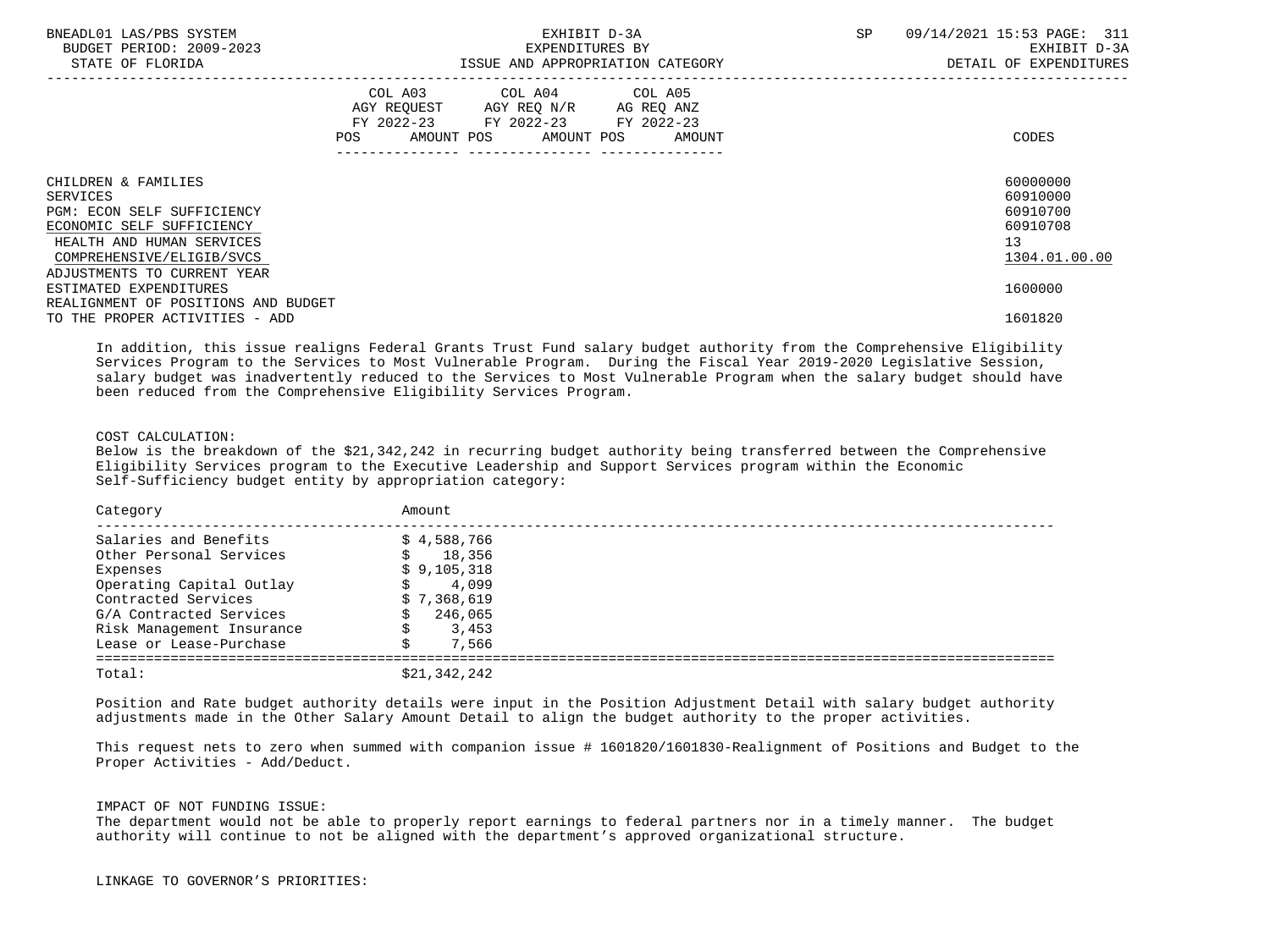| BNEADL01 LAS/PBS SYSTEM<br>BUDGET PERIOD: 2009-2023<br>STATE OF FLORIDA                                                                              |     | EXPENDITURES BY                                                                                   | EXHIBIT D-3A<br>ISSUE AND APPROPRIATION CATEGORY | <b>SP</b> | 09/14/2021 15:53 PAGE: 311<br>EXHIBIT D-3A<br>DETAIL OF EXPENDITURES             |
|------------------------------------------------------------------------------------------------------------------------------------------------------|-----|---------------------------------------------------------------------------------------------------|--------------------------------------------------|-----------|----------------------------------------------------------------------------------|
|                                                                                                                                                      | POS | COL A03 COL A04 COL A05<br>AGY REQUEST AGY REQ N/R AG REQ ANZ<br>FY 2022-23 FY 2022-23 FY 2022-23 | AMOUNT POS AMOUNT POS AMOUNT                     |           | CODES                                                                            |
| CHILDREN & FAMILIES<br>SERVICES<br>PGM: ECON SELF SUFFICIENCY<br>ECONOMIC SELF SUFFICIENCY<br>HEALTH AND HUMAN SERVICES<br>COMPREHENSIVE/ELIGIB/SVCS |     |                                                                                                   |                                                  |           | 60000000<br>60910000<br>60910700<br>60910708<br>13 <sup>°</sup><br>1304.01.00.00 |
| ADJUSTMENTS TO CURRENT YEAR<br>ESTIMATED EXPENDITURES<br>REALIGNMENT OF POSITIONS AND BUDGET<br>TO THE PROPER ACTIVITIES - ADD                       |     |                                                                                                   |                                                  |           | 1600000<br>1601820                                                               |

 In addition, this issue realigns Federal Grants Trust Fund salary budget authority from the Comprehensive Eligibility Services Program to the Services to Most Vulnerable Program. During the Fiscal Year 2019-2020 Legislative Session, salary budget was inadvertently reduced to the Services to Most Vulnerable Program when the salary budget should have been reduced from the Comprehensive Eligibility Services Program.

# COST CALCULATION:

 Below is the breakdown of the \$21,342,242 in recurring budget authority being transferred between the Comprehensive Eligibility Services program to the Executive Leadership and Support Services program within the Economic Self-Sufficiency budget entity by appropriation category:

| Category                  | Amount       |
|---------------------------|--------------|
| Salaries and Benefits     | \$4,588,766  |
| Other Personal Services   | 18,356<br>S. |
| Expenses                  | \$9,105,318  |
| Operating Capital Outlay  | 4,099        |
| Contracted Services       | \$7,368,619  |
| G/A Contracted Services   | 246,065      |
| Risk Management Insurance | 3,453        |
| Lease or Lease-Purchase   | 7,566        |
| Total:                    | \$21,342,242 |

 Position and Rate budget authority details were input in the Position Adjustment Detail with salary budget authority adjustments made in the Other Salary Amount Detail to align the budget authority to the proper activities.

 This request nets to zero when summed with companion issue # 1601820/1601830-Realignment of Positions and Budget to the Proper Activities - Add/Deduct.

#### IMPACT OF NOT FUNDING ISSUE:

 The department would not be able to properly report earnings to federal partners nor in a timely manner. The budget authority will continue to not be aligned with the department's approved organizational structure.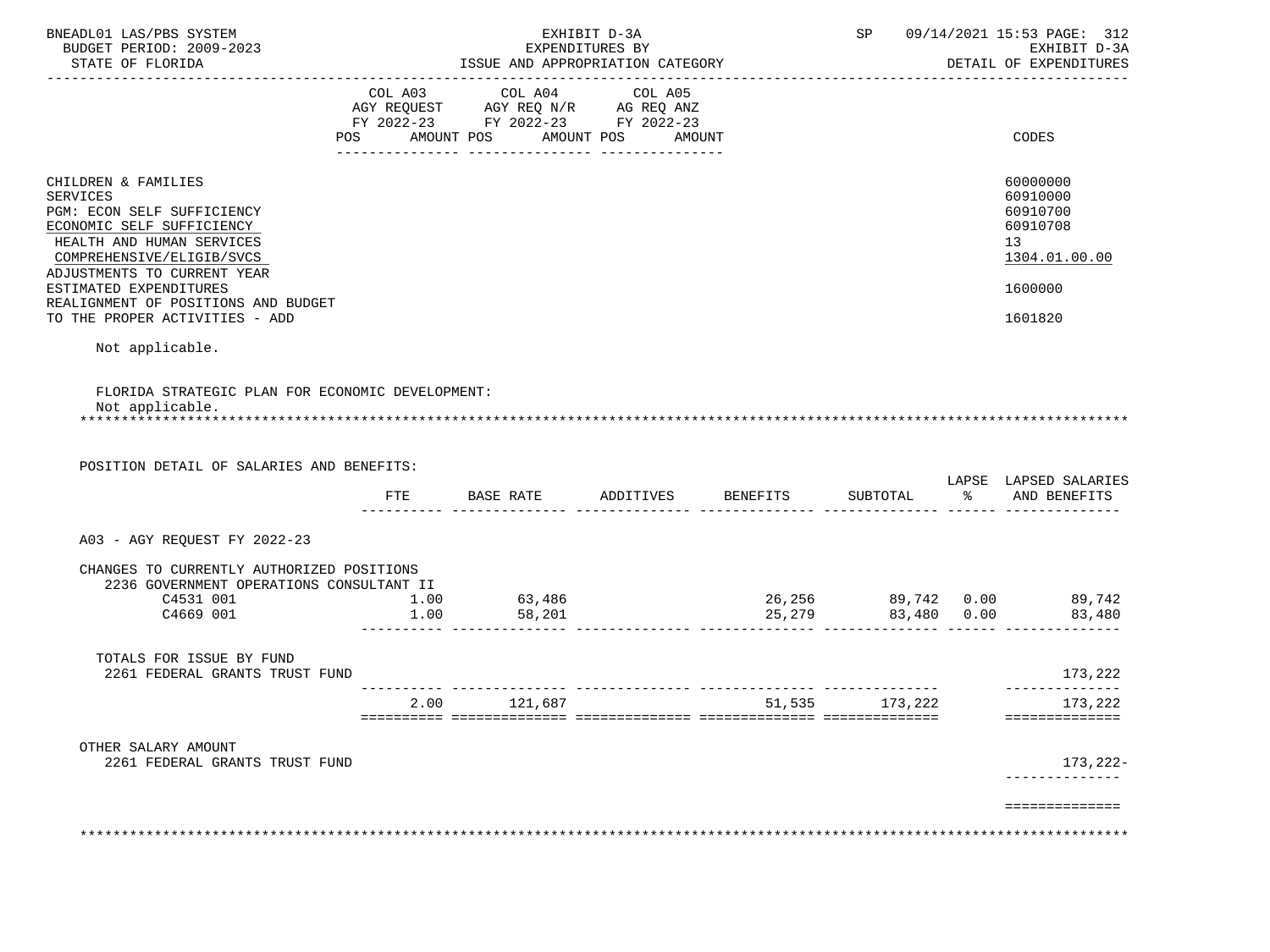| ISSUE AND APPROPRIATION CATEGORY<br>COL A03<br>COL A04<br>AGY REQUEST AGY REQ N/R AG REQ ANZ<br>FY 2022-23 FY 2022-23 FY 2022-23<br>POS AMOUNT POS AMOUNT POS<br>FLORIDA STRATEGIC PLAN FOR ECONOMIC DEVELOPMENT:<br>POSITION DETAIL OF SALARIES AND BENEFITS: | COL A05                              | AMOUNT       |                             | DETAIL OF EXPENDITURES<br>CODES<br>60000000<br>60910000<br>60910700<br>60910708<br>13 <sup>°</sup><br>1304.01.00.00<br>1600000<br>1601820 |
|----------------------------------------------------------------------------------------------------------------------------------------------------------------------------------------------------------------------------------------------------------------|--------------------------------------|--------------|-----------------------------|-------------------------------------------------------------------------------------------------------------------------------------------|
|                                                                                                                                                                                                                                                                |                                      |              |                             |                                                                                                                                           |
|                                                                                                                                                                                                                                                                |                                      |              |                             |                                                                                                                                           |
|                                                                                                                                                                                                                                                                |                                      |              |                             |                                                                                                                                           |
|                                                                                                                                                                                                                                                                |                                      |              |                             |                                                                                                                                           |
|                                                                                                                                                                                                                                                                |                                      |              |                             | LAPSE LAPSED SALARIES<br>% AND BENEFITS                                                                                                   |
|                                                                                                                                                                                                                                                                |                                      |              |                             |                                                                                                                                           |
|                                                                                                                                                                                                                                                                |                                      |              |                             |                                                                                                                                           |
| CHANGES TO CURRENTLY AUTHORIZED POSITIONS<br>2236 GOVERNMENT OPERATIONS CONSULTANT II<br>1.00<br>1.00                                                                                                                                                          |                                      |              |                             |                                                                                                                                           |
|                                                                                                                                                                                                                                                                |                                      |              |                             | 173,222                                                                                                                                   |
|                                                                                                                                                                                                                                                                |                                      |              |                             | --------------<br>173,222<br>==============                                                                                               |
|                                                                                                                                                                                                                                                                |                                      |              |                             | 173,222-<br>----------                                                                                                                    |
|                                                                                                                                                                                                                                                                |                                      |              |                             | ==============                                                                                                                            |
|                                                                                                                                                                                                                                                                | <b>BASE RATE</b><br>63,486<br>58,201 | 2.00 121,687 | ADDITIVES BENEFITS SUBTOTAL | 51,535 173,222                                                                                                                            |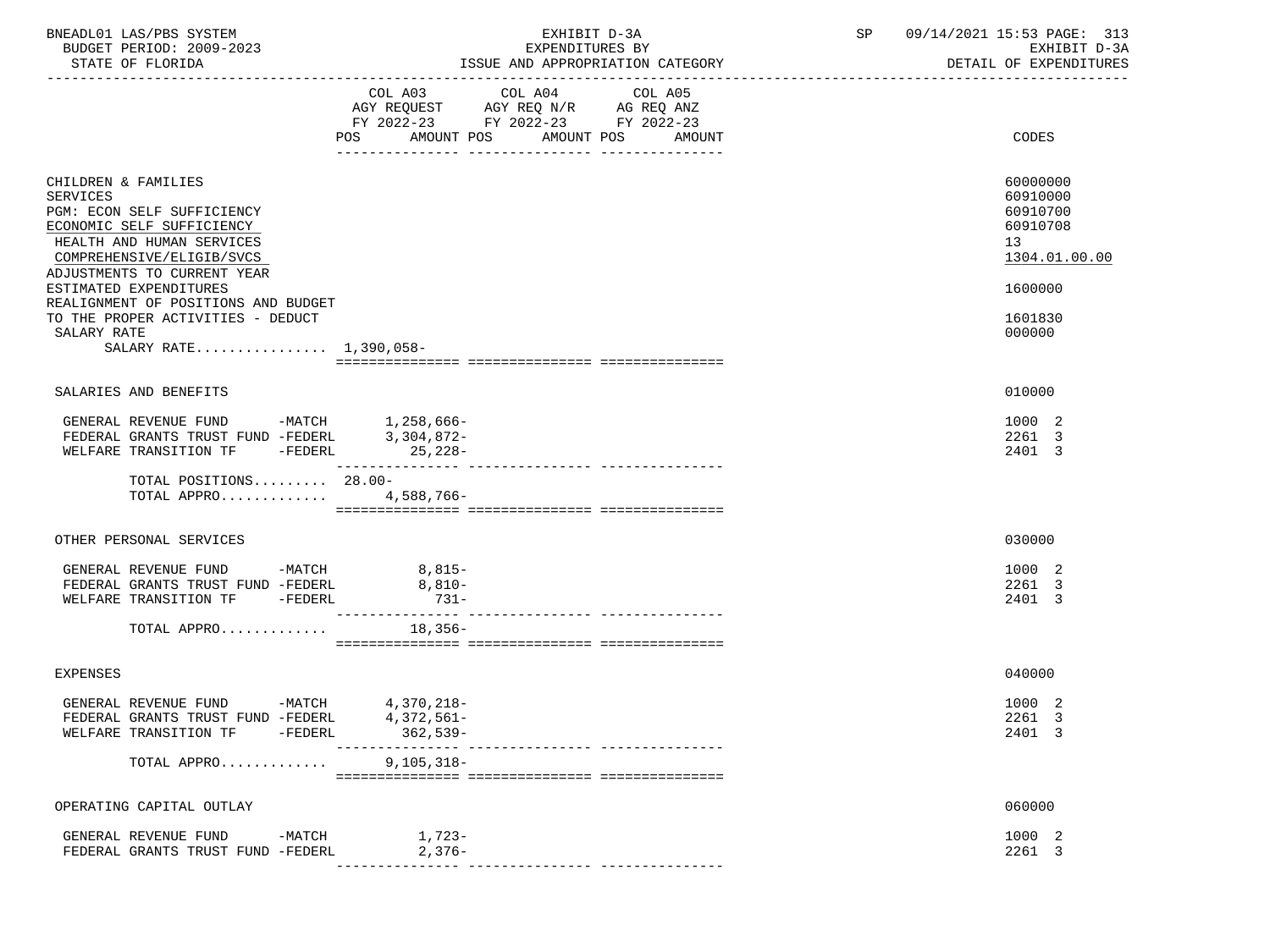| BNEADL01 LAS/PBS SYSTEM<br>BUDGET PERIOD: 2009-2023<br>STATE OF FLORIDA                                                                              |                                       | EXHIBIT D-3A<br>EXPENDITURES BY<br>ISSUE AND APPROPRIATION CATEGORY                                                    |                   | SP | 09/14/2021 15:53 PAGE: 313<br>EXHIBIT D-3A<br>DETAIL OF EXPENDITURES |
|------------------------------------------------------------------------------------------------------------------------------------------------------|---------------------------------------|------------------------------------------------------------------------------------------------------------------------|-------------------|----|----------------------------------------------------------------------|
|                                                                                                                                                      |                                       | COL A03 COL A04<br>AGY REQUEST AGY REQ N/R AG REQ ANZ<br>FY 2022-23 FY 2022-23 FY 2022-23<br>POS AMOUNT POS AMOUNT POS | COL A05<br>AMOUNT |    | CODES                                                                |
| CHILDREN & FAMILIES<br>SERVICES<br>PGM: ECON SELF SUFFICIENCY<br>ECONOMIC SELF SUFFICIENCY<br>HEALTH AND HUMAN SERVICES<br>COMPREHENSIVE/ELIGIB/SVCS |                                       |                                                                                                                        |                   |    | 60000000<br>60910000<br>60910700<br>60910708<br>13<br>1304.01.00.00  |
| ADJUSTMENTS TO CURRENT YEAR<br>ESTIMATED EXPENDITURES<br>REALIGNMENT OF POSITIONS AND BUDGET                                                         |                                       |                                                                                                                        |                   |    | 1600000                                                              |
| TO THE PROPER ACTIVITIES - DEDUCT<br>SALARY RATE<br>SALARY RATE 1,390,058-                                                                           |                                       |                                                                                                                        |                   |    | 1601830<br>000000                                                    |
|                                                                                                                                                      |                                       |                                                                                                                        |                   |    |                                                                      |
| SALARIES AND BENEFITS                                                                                                                                |                                       |                                                                                                                        |                   |    | 010000                                                               |
| GENERAL REVENUE FUND -MATCH 1,258,666-<br>FEDERAL GRANTS TRUST FUND -FEDERL 3,304,872-                                                               |                                       |                                                                                                                        |                   |    | 1000 2<br>2261 3<br>2401 3                                           |
| TOTAL POSITIONS 28.00-<br>TOTAL APPRO 4,588,766-                                                                                                     |                                       |                                                                                                                        |                   |    |                                                                      |
| OTHER PERSONAL SERVICES                                                                                                                              |                                       |                                                                                                                        |                   |    | 030000                                                               |
| GENERAL REVENUE FUND -MATCH 8,815-<br>FEDERAL GRANTS TRUST FUND -FEDERL<br>WELFARE TRANSITION TF -FEDERL                                             | $8,810-$<br>$731 -$                   |                                                                                                                        |                   |    | 1000 2<br>2261 3<br>2401 3                                           |
| TOTAL APPRO $\dots\dots\dots\dots$ 18,356-                                                                                                           |                                       |                                                                                                                        |                   |    |                                                                      |
| EXPENSES                                                                                                                                             |                                       |                                                                                                                        |                   |    | 040000                                                               |
| GENERAL REVENUE FUND -MATCH 4,370,218-<br>FEDERAL GRANTS TRUST FUND -FEDERL<br>WELFARE TRANSITION TF<br>$-FEDERL$                                    | 4,372,561-<br>362,539-<br>----------- |                                                                                                                        |                   |    | 1000 2<br>2261 3<br>2401 3                                           |
| TOTAL APPRO                                                                                                                                          | $9, 105, 318 -$                       |                                                                                                                        |                   |    |                                                                      |
| OPERATING CAPITAL OUTLAY                                                                                                                             |                                       |                                                                                                                        |                   |    | 060000                                                               |
| GENERAL REVENUE FUND<br>$-MATCH$<br>FEDERAL GRANTS TRUST FUND -FEDERL                                                                                | 1,723-<br>$2,376-$                    |                                                                                                                        |                   |    | 1000 2<br>2261 3                                                     |
|                                                                                                                                                      |                                       |                                                                                                                        |                   |    |                                                                      |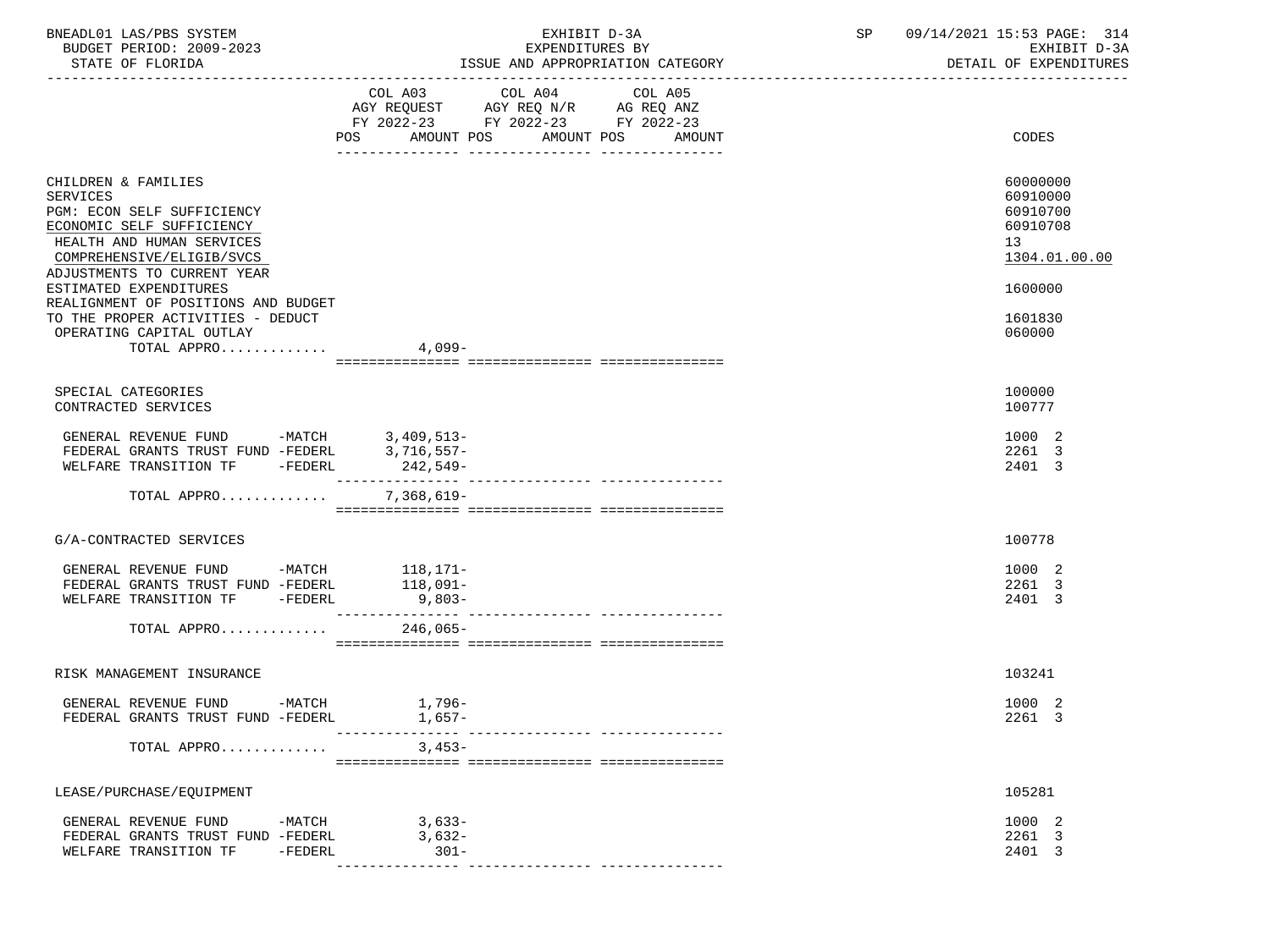| BNEADL01 LAS/PBS SYSTEM<br>BUDGET PERIOD: 2009-2023<br>STATE OF FLORIDA                                                                                                                                                                                                                                                              | EXHIBIT D-3A<br>EXPENDITURES BY<br>ISSUE AND APPROPRIATION CATEGORY<br>___________________________________                               | SP<br>09/14/2021 15:53 PAGE: 314<br>EXHIBIT D-3A<br>DETAIL OF EXPENDITURES                          |
|--------------------------------------------------------------------------------------------------------------------------------------------------------------------------------------------------------------------------------------------------------------------------------------------------------------------------------------|------------------------------------------------------------------------------------------------------------------------------------------|-----------------------------------------------------------------------------------------------------|
|                                                                                                                                                                                                                                                                                                                                      | COL A03 COL A04 COL A05<br>AGY REQUEST AGY REQ N/R AG REQ ANZ<br>FY 2022-23 FY 2022-23 FY 2022-23<br>POS AMOUNT POS AMOUNT POS<br>AMOUNT | CODES                                                                                               |
| CHILDREN & FAMILIES<br>SERVICES<br>PGM: ECON SELF SUFFICIENCY<br>ECONOMIC SELF SUFFICIENCY<br>HEALTH AND HUMAN SERVICES<br>COMPREHENSIVE/ELIGIB/SVCS<br>ADJUSTMENTS TO CURRENT YEAR<br>ESTIMATED EXPENDITURES<br>REALIGNMENT OF POSITIONS AND BUDGET<br>TO THE PROPER ACTIVITIES - DEDUCT<br>OPERATING CAPITAL OUTLAY<br>TOTAL APPRO | 4,099-                                                                                                                                   | 60000000<br>60910000<br>60910700<br>60910708<br>13<br>1304.01.00.00<br>1600000<br>1601830<br>060000 |
|                                                                                                                                                                                                                                                                                                                                      |                                                                                                                                          |                                                                                                     |
| SPECIAL CATEGORIES<br>CONTRACTED SERVICES                                                                                                                                                                                                                                                                                            |                                                                                                                                          | 100000<br>100777                                                                                    |
| GENERAL REVENUE FUND -MATCH 3,409,513-<br>FEDERAL GRANTS TRUST FUND -FEDERL 3,716,557-<br>WELFARE TRANSITION TF -FEDERL 242,549-<br>WELFARE TRANSITION TF -FEDERL                                                                                                                                                                    | $242,549-$                                                                                                                               | 1000 2<br>2261 3<br>2401 3                                                                          |
| TOTAL APPRO                                                                                                                                                                                                                                                                                                                          | 7,368,619-                                                                                                                               |                                                                                                     |
| G/A-CONTRACTED SERVICES                                                                                                                                                                                                                                                                                                              |                                                                                                                                          | 100778                                                                                              |
| GENERAL REVENUE FUND -MATCH 118,171-<br>FEDERAL GRANTS TRUST FUND -FEDERL 118,091-<br>WELFARE TRANSITION TF -FEDERL<br>TOTAL APPRO 246,065-                                                                                                                                                                                          | $9,803-$                                                                                                                                 | 1000 2<br>2261 3<br>2401 3                                                                          |
|                                                                                                                                                                                                                                                                                                                                      |                                                                                                                                          |                                                                                                     |
| RISK MANAGEMENT INSURANCE                                                                                                                                                                                                                                                                                                            |                                                                                                                                          | 103241                                                                                              |
| GENERAL REVENUE FUND -MATCH<br>FEDERAL GRANTS TRUST FUND -FEDERL                                                                                                                                                                                                                                                                     | $1,796-$<br>$1,657-$                                                                                                                     | 1000 2<br>2261 3                                                                                    |
| TOTAL APPRO                                                                                                                                                                                                                                                                                                                          | $3.453-$                                                                                                                                 |                                                                                                     |
| LEASE/PURCHASE/EQUIPMENT                                                                                                                                                                                                                                                                                                             |                                                                                                                                          | 105281                                                                                              |
| GENERAL REVENUE FUND<br>-MATCH<br>FEDERAL GRANTS TRUST FUND -FEDERL<br>WELFARE TRANSITION TF<br>$-FEDERL$                                                                                                                                                                                                                            | 3,633-<br>3,632-<br>$301 -$                                                                                                              | 1000 2<br>2261 3<br>2401 3                                                                          |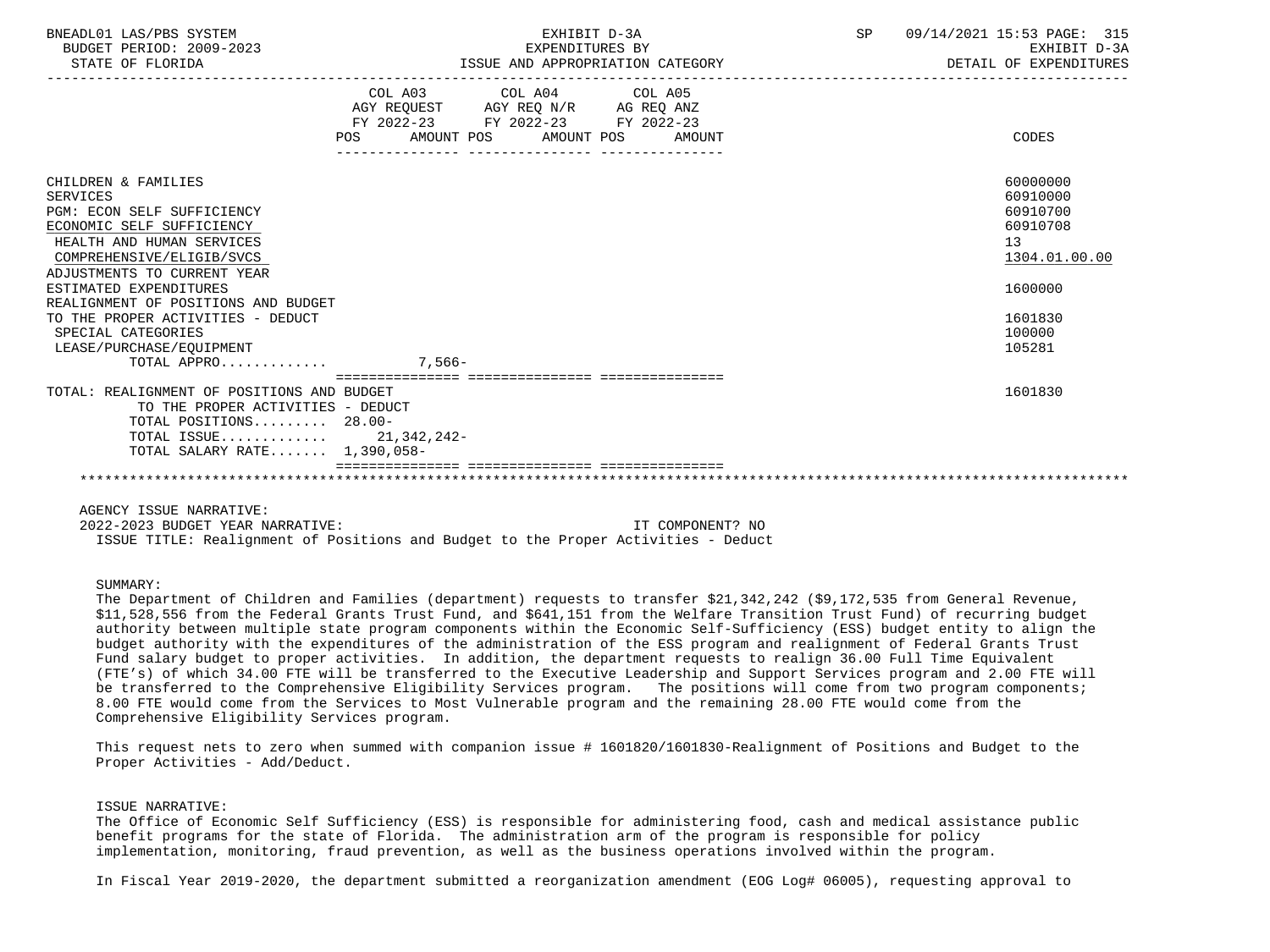| BNEADL01 LAS/PBS SYSTEM<br>BUDGET PERIOD: 2009-2023<br>STATE OF FLORIDA |                                                                                                            | EXHIBIT D-3A<br>EXPENDITURES BY<br>ISSUE AND APPROPRIATION CATEGORY |  |  | SP 09/14/2021 15:53 PAGE: 315<br>EXHIBIT D-3A<br>DETAIL OF EXPENDITURES |
|-------------------------------------------------------------------------|------------------------------------------------------------------------------------------------------------|---------------------------------------------------------------------|--|--|-------------------------------------------------------------------------|
|                                                                         | AGY REQUEST AGY REQ N/R AG REQ ANZ<br>FY 2022-23 FY 2022-23 FY 2022-23<br>POS AMOUNT POS AMOUNT POS AMOUNT | -----------------------------------<br>COL A03 COL A04 COL A05      |  |  | CODES                                                                   |
| CHILDREN & FAMILIES                                                     |                                                                                                            |                                                                     |  |  | 60000000                                                                |
| <b>SERVICES</b>                                                         |                                                                                                            |                                                                     |  |  | 60910000                                                                |
| PGM: ECON SELF SUFFICIENCY                                              |                                                                                                            |                                                                     |  |  | 60910700                                                                |
| ECONOMIC SELF SUFFICIENCY                                               |                                                                                                            |                                                                     |  |  | 60910708                                                                |
| HEALTH AND HUMAN SERVICES                                               |                                                                                                            |                                                                     |  |  | 13                                                                      |
| COMPREHENSIVE/ELIGIB/SVCS                                               |                                                                                                            |                                                                     |  |  | 1304.01.00.00                                                           |
| ADJUSTMENTS TO CURRENT YEAR                                             |                                                                                                            |                                                                     |  |  |                                                                         |
| ESTIMATED EXPENDITURES                                                  |                                                                                                            |                                                                     |  |  | 1600000                                                                 |
| REALIGNMENT OF POSITIONS AND BUDGET                                     |                                                                                                            |                                                                     |  |  |                                                                         |
| TO THE PROPER ACTIVITIES - DEDUCT                                       |                                                                                                            |                                                                     |  |  | 1601830                                                                 |
| SPECIAL CATEGORIES                                                      |                                                                                                            |                                                                     |  |  | 100000                                                                  |
| LEASE/PURCHASE/EOUIPMENT                                                |                                                                                                            |                                                                     |  |  | 105281                                                                  |
| TOTAL APPRO $\ldots \ldots \ldots$                                      |                                                                                                            |                                                                     |  |  |                                                                         |
| TOTAL: REALIGNMENT OF POSITIONS AND BUDGET                              |                                                                                                            |                                                                     |  |  | 1601830                                                                 |
| TO THE PROPER ACTIVITIES - DEDUCT                                       |                                                                                                            |                                                                     |  |  |                                                                         |
| TOTAL POSITIONS 28.00-                                                  |                                                                                                            |                                                                     |  |  |                                                                         |
| TOTAL ISSUE 21,342,242-                                                 |                                                                                                            |                                                                     |  |  |                                                                         |
| TOTAL SALARY RATE 1,390,058-                                            |                                                                                                            |                                                                     |  |  |                                                                         |
|                                                                         |                                                                                                            |                                                                     |  |  |                                                                         |
|                                                                         |                                                                                                            |                                                                     |  |  |                                                                         |
| AGENCY ISSUE NARRATIVE:                                                 |                                                                                                            |                                                                     |  |  |                                                                         |

 2022-2023 BUDGET YEAR NARRATIVE: IT COMPONENT? NO ISSUE TITLE: Realignment of Positions and Budget to the Proper Activities - Deduct

# SUMMARY:

 The Department of Children and Families (department) requests to transfer \$21,342,242 (\$9,172,535 from General Revenue, \$11,528,556 from the Federal Grants Trust Fund, and \$641,151 from the Welfare Transition Trust Fund) of recurring budget authority between multiple state program components within the Economic Self-Sufficiency (ESS) budget entity to align the budget authority with the expenditures of the administration of the ESS program and realignment of Federal Grants Trust Fund salary budget to proper activities. In addition, the department requests to realign 36.00 Full Time Equivalent (FTE's) of which 34.00 FTE will be transferred to the Executive Leadership and Support Services program and 2.00 FTE will be transferred to the Comprehensive Eligibility Services program. The positions will come from two program components; 8.00 FTE would come from the Services to Most Vulnerable program and the remaining 28.00 FTE would come from the Comprehensive Eligibility Services program.

 This request nets to zero when summed with companion issue # 1601820/1601830-Realignment of Positions and Budget to the Proper Activities - Add/Deduct.

### ISSUE NARRATIVE:

 The Office of Economic Self Sufficiency (ESS) is responsible for administering food, cash and medical assistance public benefit programs for the state of Florida. The administration arm of the program is responsible for policy implementation, monitoring, fraud prevention, as well as the business operations involved within the program.

In Fiscal Year 2019-2020, the department submitted a reorganization amendment (EOG Log# 06005), requesting approval to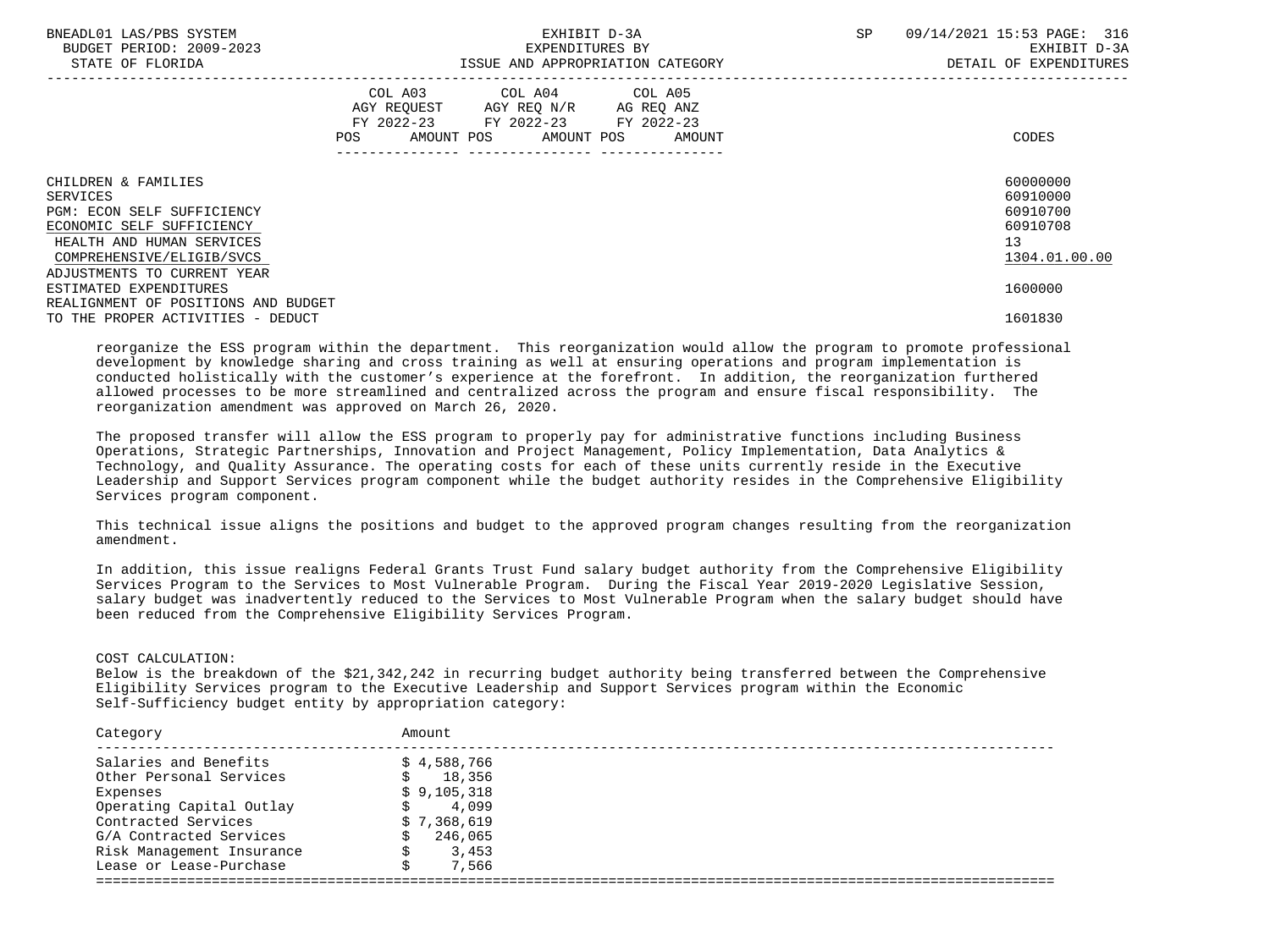| BNEADL01 LAS/PBS SYSTEM<br>BUDGET PERIOD: 2009-2023<br>STATE OF FLORIDA |     |                                                                                        | EXHIBIT D-3A<br>EXPENDITURES BY | ISSUE AND APPROPRIATION CATEGORY | SP | 09/14/2021 15:53 PAGE: 316<br>EXHIBIT D-3A<br>DETAIL OF EXPENDITURES |
|-------------------------------------------------------------------------|-----|----------------------------------------------------------------------------------------|---------------------------------|----------------------------------|----|----------------------------------------------------------------------|
|                                                                         | POS | COL A03 COL A04 COL A05<br>AGY REQUEST AGY REQ N/R<br>FY 2022-23 FY 2022-23 FY 2022-23 | AMOUNT POS AMOUNT POS           | AG REO ANZ<br>AMOUNT             |    | CODES                                                                |
| CHILDREN & FAMILIES                                                     |     |                                                                                        |                                 |                                  |    | 60000000                                                             |
| SERVICES                                                                |     |                                                                                        |                                 |                                  |    | 60910000                                                             |
| PGM: ECON SELF SUFFICIENCY                                              |     |                                                                                        |                                 |                                  |    | 60910700                                                             |
| ECONOMIC SELF SUFFICIENCY                                               |     |                                                                                        |                                 |                                  |    | 60910708                                                             |
| HEALTH AND HUMAN SERVICES                                               |     |                                                                                        |                                 |                                  |    | 13 <sup>°</sup>                                                      |
| COMPREHENSIVE/ELIGIB/SVCS                                               |     |                                                                                        |                                 |                                  |    | 1304.01.00.00                                                        |
| ADJUSTMENTS TO CURRENT YEAR                                             |     |                                                                                        |                                 |                                  |    |                                                                      |
| ESTIMATED EXPENDITURES                                                  |     |                                                                                        |                                 |                                  |    | 1600000                                                              |
| REALIGNMENT OF POSITIONS AND BUDGET                                     |     |                                                                                        |                                 |                                  |    |                                                                      |
| TO THE PROPER ACTIVITIES - DEDUCT                                       |     |                                                                                        |                                 |                                  |    | 1601830                                                              |

 reorganize the ESS program within the department. This reorganization would allow the program to promote professional development by knowledge sharing and cross training as well at ensuring operations and program implementation is conducted holistically with the customer's experience at the forefront. In addition, the reorganization furthered allowed processes to be more streamlined and centralized across the program and ensure fiscal responsibility. The reorganization amendment was approved on March 26, 2020.

 The proposed transfer will allow the ESS program to properly pay for administrative functions including Business Operations, Strategic Partnerships, Innovation and Project Management, Policy Implementation, Data Analytics & Technology, and Quality Assurance. The operating costs for each of these units currently reside in the Executive Leadership and Support Services program component while the budget authority resides in the Comprehensive Eligibility Services program component.

 This technical issue aligns the positions and budget to the approved program changes resulting from the reorganization amendment.

 In addition, this issue realigns Federal Grants Trust Fund salary budget authority from the Comprehensive Eligibility Services Program to the Services to Most Vulnerable Program. During the Fiscal Year 2019-2020 Legislative Session, salary budget was inadvertently reduced to the Services to Most Vulnerable Program when the salary budget should have been reduced from the Comprehensive Eligibility Services Program.

COST CALCULATION:

 Below is the breakdown of the \$21,342,242 in recurring budget authority being transferred between the Comprehensive Eligibility Services program to the Executive Leadership and Support Services program within the Economic Self-Sufficiency budget entity by appropriation category:

| Category                  | Amount      |
|---------------------------|-------------|
| Salaries and Benefits     | \$4,588,766 |
| Other Personal Services   | 18,356      |
| Expenses                  | \$9,105,318 |
| Operating Capital Outlay  | 4,099       |
| Contracted Services       | \$7,368,619 |
| G/A Contracted Services   | 246,065     |
| Risk Management Insurance | 3,453       |
| Lease or Lease-Purchase   | 7,566       |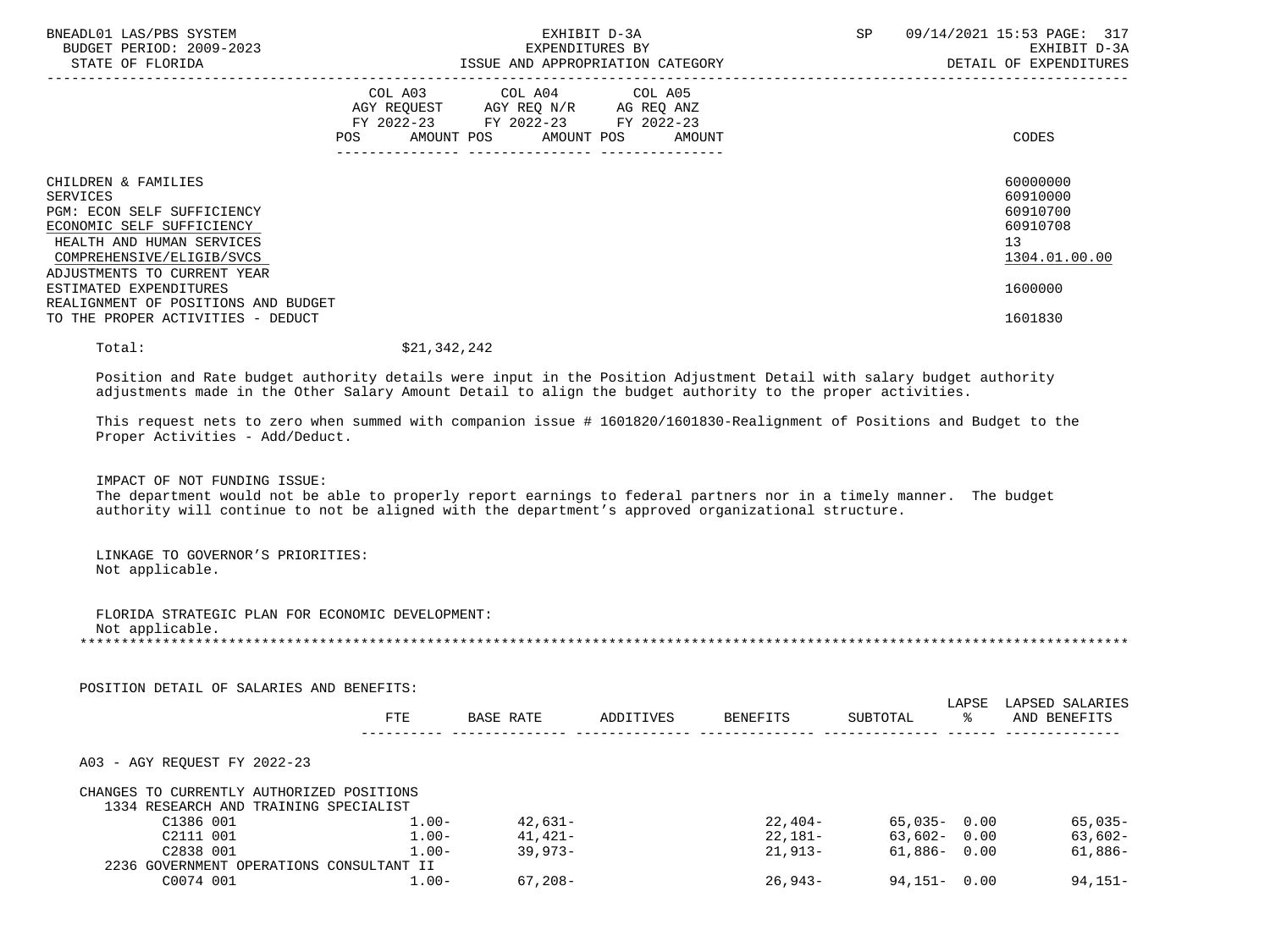| BNEADL01 LAS/PBS SYSTEM<br>BUDGET PERIOD: 2009-2023<br>STATE OF FLORIDA                                                                                                             | EXHIBIT D-3A<br>EXPENDITURES BY<br>ISSUE AND APPROPRIATION CATEGORY                                                                      | 09/14/2021 15:53 PAGE: 317<br>SP<br>EXHIBIT D-3A<br>DETAIL OF EXPENDITURES |
|-------------------------------------------------------------------------------------------------------------------------------------------------------------------------------------|------------------------------------------------------------------------------------------------------------------------------------------|----------------------------------------------------------------------------|
|                                                                                                                                                                                     | COL A03 COL A04 COL A05<br>AGY REQUEST AGY REQ N/R AG REQ ANZ<br>FY 2022-23 FY 2022-23 FY 2022-23<br>AMOUNT POS AMOUNT POS AMOUNT<br>POS | CODES                                                                      |
| CHILDREN & FAMILIES<br>SERVICES<br>PGM: ECON SELF SUFFICIENCY<br>ECONOMIC SELF SUFFICIENCY<br>HEALTH AND HUMAN SERVICES<br>COMPREHENSIVE/ELIGIB/SVCS<br>ADJUSTMENTS TO CURRENT YEAR |                                                                                                                                          | 60000000<br>60910000<br>60910700<br>60910708<br>13<br>1304.01.00.00        |
| ESTIMATED EXPENDITURES<br>REALIGNMENT OF POSITIONS AND BUDGET<br>TO THE PROPER ACTIVITIES - DEDUCT                                                                                  |                                                                                                                                          | 1600000<br>1601830                                                         |
| Total:                                                                                                                                                                              | \$21,342,242                                                                                                                             |                                                                            |

 Position and Rate budget authority details were input in the Position Adjustment Detail with salary budget authority adjustments made in the Other Salary Amount Detail to align the budget authority to the proper activities.

 This request nets to zero when summed with companion issue # 1601820/1601830-Realignment of Positions and Budget to the Proper Activities - Add/Deduct.

IMPACT OF NOT FUNDING ISSUE:

 The department would not be able to properly report earnings to federal partners nor in a timely manner. The budget authority will continue to not be aligned with the department's approved organizational structure.

 LINKAGE TO GOVERNOR'S PRIORITIES: Not applicable.

 FLORIDA STRATEGIC PLAN FOR ECONOMIC DEVELOPMENT: Not applicable. \*\*\*\*\*\*\*\*\*\*\*\*\*\*\*\*\*\*\*\*\*\*\*\*\*\*\*\*\*\*\*\*\*\*\*\*\*\*\*\*\*\*\*\*\*\*\*\*\*\*\*\*\*\*\*\*\*\*\*\*\*\*\*\*\*\*\*\*\*\*\*\*\*\*\*\*\*\*\*\*\*\*\*\*\*\*\*\*\*\*\*\*\*\*\*\*\*\*\*\*\*\*\*\*\*\*\*\*\*\*\*\*\*\*\*\*\*\*\*\*\*\*\*\*\*\*\*

| POSITION DETAIL OF SALARIES AND BENEFITS: |            |                  |           |                 |                 |             |                                 |
|-------------------------------------------|------------|------------------|-----------|-----------------|-----------------|-------------|---------------------------------|
|                                           | <b>FTE</b> | <b>BASE RATE</b> | ADDITIVES | <b>BENEFITS</b> | SUBTOTAL        | LAPSE<br>°≈ | LAPSED SALARIES<br>AND BENEFITS |
| A03 - AGY REOUEST FY 2022-23              |            |                  |           |                 |                 |             |                                 |
| CHANGES TO CURRENTLY AUTHORIZED POSITIONS |            |                  |           |                 |                 |             |                                 |
| 1334 RESEARCH AND TRAINING SPECIALIST     |            |                  |           |                 |                 |             |                                 |
| C1386 001                                 | $1.00 -$   | $42,631-$        |           | 22,404-         | $65.035 - 0.00$ |             | $65,035-$                       |
| C2111 001                                 | $1.00 -$   | $41.421 -$       |           | 22,181-         | $63,602 - 0.00$ |             | $63,602-$                       |
| C2838 001                                 | $1.00 -$   | $39.973-$        |           | $21.913-$       | $61.886 - 0.00$ |             | $61,886-$                       |
| 2236 GOVERNMENT OPERATIONS CONSULTANT II  |            |                  |           |                 |                 |             |                                 |
| C0074 001                                 | $1.00 -$   | $67,208-$        |           | $26.943-$       | $94.151 - 0.00$ |             | $94.151 -$                      |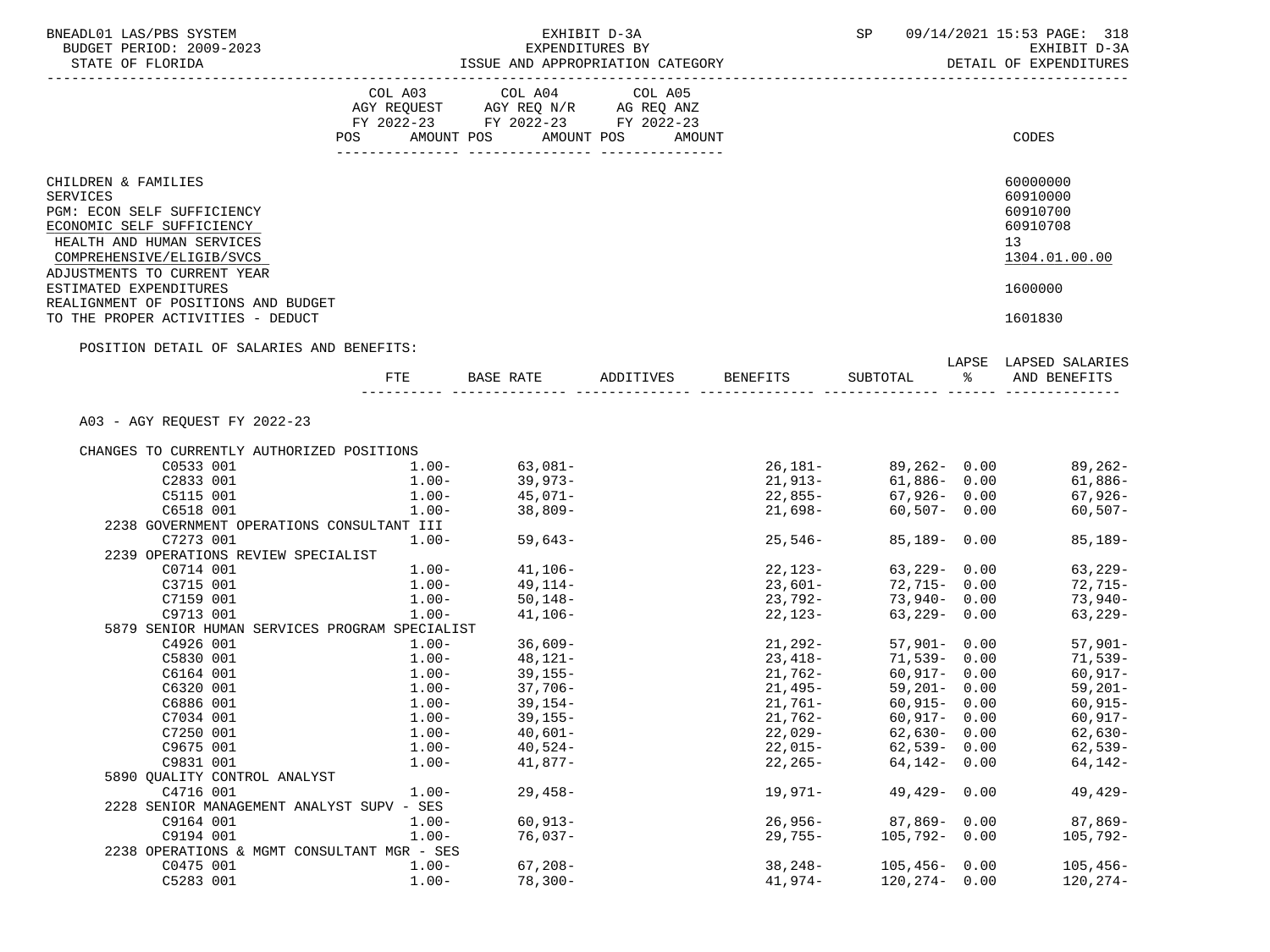| BNEADL01 LAS/PBS SYSTEM<br>BUDGET PERIOD: 2009-2023                                                                                                                                                           |                                      |                                                                                                   | EXHIBIT D-3A<br>EXPENDITURES BY                                      |             | <b>SP</b>                                    | 09/14/2021 15:53 PAGE: 318<br>EXHIBIT D-3A                                                   |
|---------------------------------------------------------------------------------------------------------------------------------------------------------------------------------------------------------------|--------------------------------------|---------------------------------------------------------------------------------------------------|----------------------------------------------------------------------|-------------|----------------------------------------------|----------------------------------------------------------------------------------------------|
| STATE OF FLORIDA<br>--------------------------                                                                                                                                                                |                                      |                                                                                                   | ISSUE AND APPROPRIATION CATEGORY                                     |             |                                              | DETAIL OF EXPENDITURES                                                                       |
|                                                                                                                                                                                                               |                                      | COL A03 COL A04 COL A05<br>AGY REQUEST AGY REQ N/R AG REQ ANZ<br>FY 2022-23 FY 2022-23 FY 2022-23 |                                                                      |             |                                              |                                                                                              |
|                                                                                                                                                                                                               |                                      |                                                                                                   |                                                                      |             |                                              |                                                                                              |
|                                                                                                                                                                                                               |                                      |                                                                                                   | POS AMOUNT POS AMOUNT POS AMOUNT                                     |             |                                              | CODES                                                                                        |
| CHILDREN & FAMILIES<br>SERVICES<br>PGM: ECON SELF SUFFICIENCY<br>ECONOMIC SELF SUFFICIENCY<br>HEALTH AND HUMAN SERVICES<br>COMPREHENSIVE/ELIGIB/SVCS<br>ADJUSTMENTS TO CURRENT YEAR<br>ESTIMATED EXPENDITURES |                                      |                                                                                                   |                                                                      |             |                                              | 60000000<br>60910000<br>60910700<br>60910708<br>13<br>1304.01.00.00<br>1600000               |
| REALIGNMENT OF POSITIONS AND BUDGET<br>TO THE PROPER ACTIVITIES - DEDUCT                                                                                                                                      |                                      |                                                                                                   |                                                                      |             |                                              | 1601830                                                                                      |
| POSITION DETAIL OF SALARIES AND BENEFITS:                                                                                                                                                                     |                                      |                                                                                                   |                                                                      |             |                                              |                                                                                              |
|                                                                                                                                                                                                               |                                      |                                                                                                   | FTE BASE RATE ADDITIVES BENEFITS SUBTOTAL $\frac{1}{2}$ and benefits |             |                                              | LAPSE LAPSED SALARIES                                                                        |
| A03 - AGY REQUEST FY 2022-23                                                                                                                                                                                  |                                      |                                                                                                   |                                                                      |             |                                              |                                                                                              |
| CHANGES TO CURRENTLY AUTHORIZED POSITIONS                                                                                                                                                                     |                                      |                                                                                                   |                                                                      |             |                                              |                                                                                              |
| C0533 001                                                                                                                                                                                                     | $1.00 - 63,081 -$                    |                                                                                                   |                                                                      |             |                                              | $26,181 -$ 89,262- 0.00 89,262-                                                              |
| C2833 001                                                                                                                                                                                                     |                                      |                                                                                                   |                                                                      |             |                                              |                                                                                              |
| C5115 001                                                                                                                                                                                                     | $1.00 -$ 39,973-<br>$1.00 -$ 45,071- |                                                                                                   |                                                                      |             |                                              | 21,913- 61,886- 0.00 61,886-<br>22,855- 67,926- 0.00 67,926-<br>21,698- 60,507- 0.00 60,507- |
| C6518 001                                                                                                                                                                                                     | $1.00 - 38,809 -$                    |                                                                                                   |                                                                      |             |                                              |                                                                                              |
| 2238 GOVERNMENT OPERATIONS CONSULTANT III                                                                                                                                                                     |                                      |                                                                                                   |                                                                      |             |                                              |                                                                                              |
| C7273 001                                                                                                                                                                                                     | $1.00-59,643-$                       |                                                                                                   |                                                                      | $25,546-$   | 85,189- 0.00                                 | 85,189-                                                                                      |
| 2239 OPERATIONS REVIEW SPECIALIST                                                                                                                                                                             |                                      |                                                                                                   |                                                                      |             |                                              |                                                                                              |
| C0714 001                                                                                                                                                                                                     |                                      |                                                                                                   |                                                                      |             | $22,123-$ 63, 229- 0.00                      | 63,229-                                                                                      |
| C3715 001                                                                                                                                                                                                     | $1.00 41,106-$<br>$1.00 49,114-$     |                                                                                                   |                                                                      |             | $23,601 - 72,715 - 0.00$                     | 72,715-                                                                                      |
| C7159 001                                                                                                                                                                                                     | $1.00 - 50,148 - 1.00 - 41,106 -$    |                                                                                                   |                                                                      |             |                                              | 73,940-                                                                                      |
| C9713 001                                                                                                                                                                                                     | $1.00-$                              | 41,106-                                                                                           |                                                                      |             |                                              | 63,229-                                                                                      |
| 5879 SENIOR HUMAN SERVICES PROGRAM SPECIALIST                                                                                                                                                                 |                                      |                                                                                                   |                                                                      |             |                                              |                                                                                              |
| C4926 001                                                                                                                                                                                                     |                                      | $1.00 - 36,609 - 1.00 - 48,121 -$                                                                 |                                                                      |             | 21,292- 57,901- 0.00<br>23,418- 71,539- 0.00 | 57,901-                                                                                      |
| C5830 001                                                                                                                                                                                                     |                                      |                                                                                                   |                                                                      |             |                                              | 71,539-                                                                                      |
| C6164 001                                                                                                                                                                                                     |                                      | $1.00 - 39,155 - 1.00 - 37,706 -$                                                                 |                                                                      |             |                                              |                                                                                              |
| C6320 001                                                                                                                                                                                                     |                                      |                                                                                                   |                                                                      |             |                                              |                                                                                              |
| C6886 001                                                                                                                                                                                                     | $1.00 - 39,154 -$                    |                                                                                                   |                                                                      | $21,761-$   | $60,915 - 0.00$                              | 60,915-                                                                                      |
| C7034 001                                                                                                                                                                                                     | $1.00 -$                             | $39,155-$                                                                                         |                                                                      | $21,762-$   | 60,917- 0.00                                 | $60, 917 -$                                                                                  |
| C7250 001                                                                                                                                                                                                     | $1.00 -$                             | $40,601-$                                                                                         |                                                                      | $22,029-$   | $62,630 - 0.00$                              | $62,630-$                                                                                    |
| C9675 001                                                                                                                                                                                                     | $1.00 -$                             | $40,524-$                                                                                         |                                                                      | $22,015-$   | $62,539 - 0.00$                              | $62,539-$                                                                                    |
| C9831 001                                                                                                                                                                                                     | $1.00 -$                             | $41,877-$                                                                                         |                                                                      | $22, 265 -$ | $64, 142 - 0.00$                             | 64,142-                                                                                      |
| 5890 QUALITY CONTROL ANALYST                                                                                                                                                                                  |                                      |                                                                                                   |                                                                      |             |                                              |                                                                                              |
| C4716 001                                                                                                                                                                                                     | $1.00 -$                             | $29,458-$                                                                                         |                                                                      | $19,971-$   | $49,429 - 0.00$                              | $49, 429 -$                                                                                  |
| 2228 SENIOR MANAGEMENT ANALYST SUPV - SES                                                                                                                                                                     |                                      |                                                                                                   |                                                                      | $26,956-$   |                                              |                                                                                              |
| C9164 001<br>C9194 001                                                                                                                                                                                        | $1.00-$<br>$1.00 -$                  | $60, 913 -$<br>$76,037-$                                                                          |                                                                      |             | $87,869 - 0.00$                              | $87,869-$<br>$105,792-$                                                                      |
| 2238 OPERATIONS & MGMT CONSULTANT MGR - SES                                                                                                                                                                   |                                      |                                                                                                   |                                                                      | $29,755-$   | $105,792 - 0.00$                             |                                                                                              |
| C0475 001                                                                                                                                                                                                     | $1.00-$                              | $67,208-$                                                                                         |                                                                      | $38,248-$   | $105,456 - 0.00$                             | $105,456-$                                                                                   |
| C5283 001                                                                                                                                                                                                     | $1.00 -$                             | $78,300-$                                                                                         |                                                                      | $41,974-$   | $120, 274 - 0.00$                            | 120,274-                                                                                     |
|                                                                                                                                                                                                               |                                      |                                                                                                   |                                                                      |             |                                              |                                                                                              |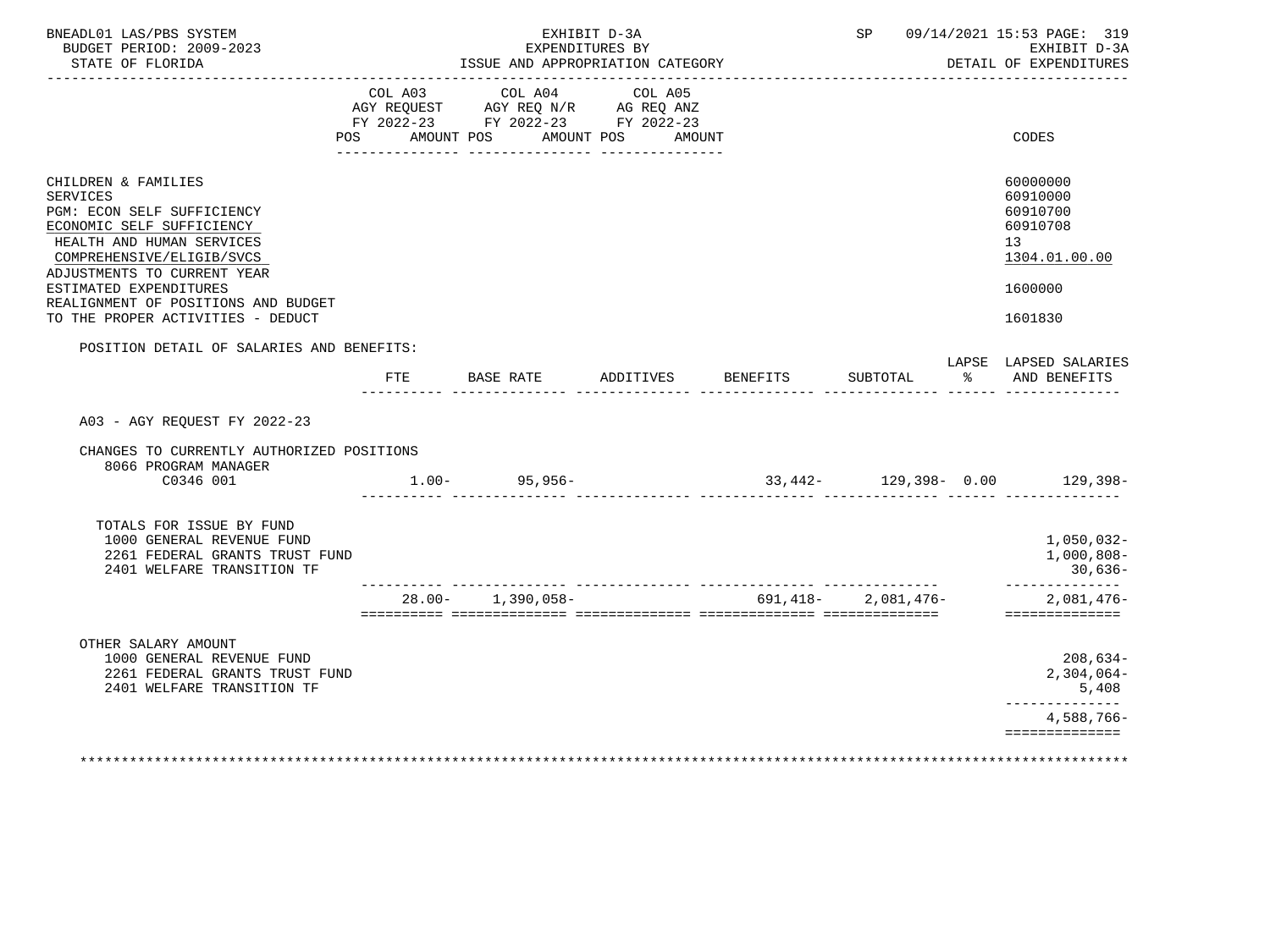| BNEADL01 LAS/PBS SYSTEM<br>BUDGET PERIOD: 2009-2023<br>STATE OF FLORIDA                                                                                                                                                                                                                          | EXHIBIT D-3A<br>EXPENDITURES BY<br>ISSUE AND APPROPRIATION CATEGORY |         |  |                                                                                                 | SP 09/14/2021 15:53 PAGE: 319<br>EXHIBIT D-3A<br>DETAIL OF EXPENDITURES |                 |                    |               |                                                                                           |
|--------------------------------------------------------------------------------------------------------------------------------------------------------------------------------------------------------------------------------------------------------------------------------------------------|---------------------------------------------------------------------|---------|--|-------------------------------------------------------------------------------------------------|-------------------------------------------------------------------------|-----------------|--------------------|---------------|-------------------------------------------------------------------------------------------|
|                                                                                                                                                                                                                                                                                                  | POS                                                                 | COL A03 |  | COL A04<br>FY 2022-23 FY 2022-23 FY 2022-23<br>AMOUNT POS AMOUNT POS AMOUNT<br>________________ | COL A05                                                                 |                 |                    |               | CODES                                                                                     |
| CHILDREN & FAMILIES<br><b>SERVICES</b><br>PGM: ECON SELF SUFFICIENCY<br>ECONOMIC SELF SUFFICIENCY<br>HEALTH AND HUMAN SERVICES<br>COMPREHENSIVE/ELIGIB/SVCS<br>ADJUSTMENTS TO CURRENT YEAR<br>ESTIMATED EXPENDITURES<br>REALIGNMENT OF POSITIONS AND BUDGET<br>TO THE PROPER ACTIVITIES - DEDUCT |                                                                     |         |  |                                                                                                 |                                                                         |                 |                    |               | 60000000<br>60910000<br>60910700<br>60910708<br>13<br>1304.01.00.00<br>1600000<br>1601830 |
| POSITION DETAIL OF SALARIES AND BENEFITS:                                                                                                                                                                                                                                                        |                                                                     |         |  |                                                                                                 |                                                                         |                 |                    |               | LAPSE LAPSED SALARIES                                                                     |
|                                                                                                                                                                                                                                                                                                  |                                                                     | FTE     |  | BASE RATE                                                                                       | ADDITIVES                                                               | <b>BENEFITS</b> | SUBTOTAL           | $\frac{1}{6}$ | AND BENEFITS                                                                              |
| A03 - AGY REOUEST FY 2022-23<br>CHANGES TO CURRENTLY AUTHORIZED POSITIONS                                                                                                                                                                                                                        |                                                                     |         |  |                                                                                                 |                                                                         |                 |                    |               |                                                                                           |
| 8066 PROGRAM MANAGER<br>C0346 001                                                                                                                                                                                                                                                                |                                                                     |         |  | $1.00 - 95,956 -$                                                                               |                                                                         |                 |                    |               | $33,442 - 129,398 - 0.00$ 129,398-                                                        |
| TOTALS FOR ISSUE BY FUND<br>1000 GENERAL REVENUE FUND<br>2261 FEDERAL GRANTS TRUST FUND<br>2401 WELFARE TRANSITION TF                                                                                                                                                                            |                                                                     |         |  | $28.00 - 1,390,058 -$                                                                           |                                                                         |                 | 691,418-2,081,476- |               | 1,050,032-<br>$1,000,808-$<br>30,636-<br>--------------<br>$2,081,476-$                   |
|                                                                                                                                                                                                                                                                                                  |                                                                     |         |  |                                                                                                 |                                                                         |                 |                    |               | ==============                                                                            |
| OTHER SALARY AMOUNT<br>1000 GENERAL REVENUE FUND<br>2261 FEDERAL GRANTS TRUST FUND<br>2401 WELFARE TRANSITION TF                                                                                                                                                                                 |                                                                     |         |  |                                                                                                 |                                                                         |                 |                    |               | $208,634-$<br>$2,304,064-$<br>5,408<br>-------------                                      |
|                                                                                                                                                                                                                                                                                                  |                                                                     |         |  |                                                                                                 |                                                                         |                 |                    |               | 4,588,766-                                                                                |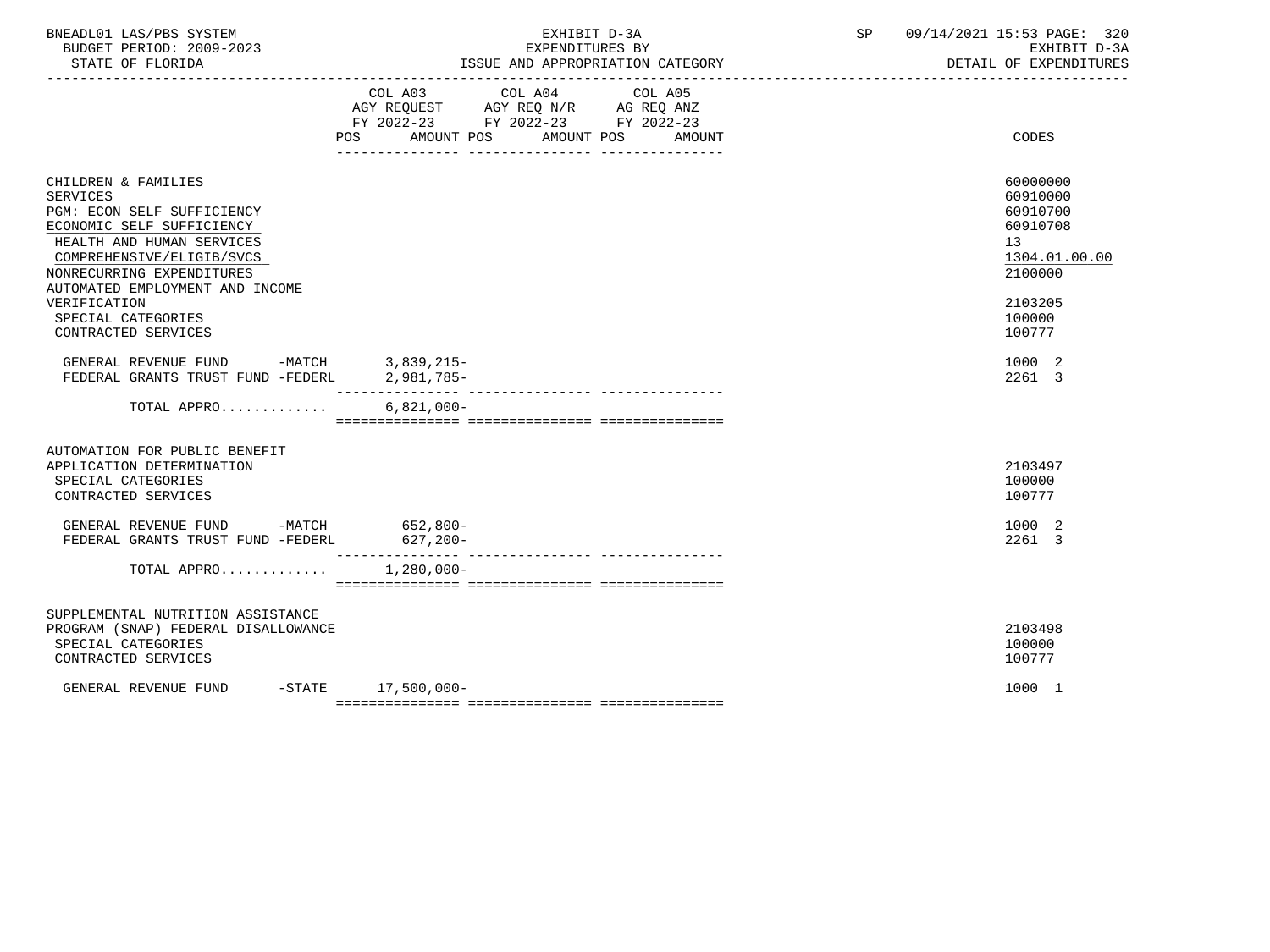| BNEADL01 LAS/PBS SYSTEM<br>BUDGET PERIOD: 2009-2023<br>STATE OF FLORIDA                                                                                                                                                     | EXHIBIT D-3A<br>EXPENDITURES BY<br>ISSUE AND APPROPRIATION CATEGORY                                                                         | SP 09/14/2021 15:53 PAGE: 320<br>EXHIBIT D-3A<br>DETAIL OF EXPENDITURES        |
|-----------------------------------------------------------------------------------------------------------------------------------------------------------------------------------------------------------------------------|---------------------------------------------------------------------------------------------------------------------------------------------|--------------------------------------------------------------------------------|
|                                                                                                                                                                                                                             | COL A03 COL A04 COL A05<br>AGY REQUEST AGY REQ N/R AG REQ ANZ<br>FY 2022-23 FY 2022-23 FY 2022-23<br>POS<br>AMOUNT POS AMOUNT POS<br>AMOUNT | CODES                                                                          |
| CHILDREN & FAMILIES<br><b>SERVICES</b><br>PGM: ECON SELF SUFFICIENCY<br>ECONOMIC SELF SUFFICIENCY<br>HEALTH AND HUMAN SERVICES<br>COMPREHENSIVE/ELIGIB/SVCS<br>NONRECURRING EXPENDITURES<br>AUTOMATED EMPLOYMENT AND INCOME |                                                                                                                                             | 60000000<br>60910000<br>60910700<br>60910708<br>13<br>1304.01.00.00<br>2100000 |
| VERIFICATION<br>SPECIAL CATEGORIES<br>CONTRACTED SERVICES                                                                                                                                                                   |                                                                                                                                             | 2103205<br>100000<br>100777                                                    |
| GENERAL REVENUE FUND -MATCH 3,839,215-<br>FEDERAL GRANTS TRUST FUND -FEDERL                                                                                                                                                 | 2,981,785-                                                                                                                                  | 1000 2<br>2261 3                                                               |
| TOTAL APPRO                                                                                                                                                                                                                 | $6,821,000 -$                                                                                                                               |                                                                                |
| AUTOMATION FOR PUBLIC BENEFIT<br>APPLICATION DETERMINATION<br>SPECIAL CATEGORIES<br>CONTRACTED SERVICES                                                                                                                     |                                                                                                                                             | 2103497<br>100000<br>100777                                                    |
| GENERAL REVENUE FUND -MATCH 652,800-<br>FEDERAL GRANTS TRUST FUND -FEDERL                                                                                                                                                   | $627, 200 -$                                                                                                                                | 1000 2<br>2261 3                                                               |
| TOTAL APPRO                                                                                                                                                                                                                 | $1,280,000 -$                                                                                                                               |                                                                                |
| SUPPLEMENTAL NUTRITION ASSISTANCE<br>PROGRAM (SNAP) FEDERAL DISALLOWANCE<br>SPECIAL CATEGORIES<br>CONTRACTED SERVICES                                                                                                       |                                                                                                                                             | 2103498<br>100000<br>100777                                                    |
| GENERAL REVENUE FUND                                                                                                                                                                                                        | $-STATE$ 17,500,000-                                                                                                                        | 1000 1                                                                         |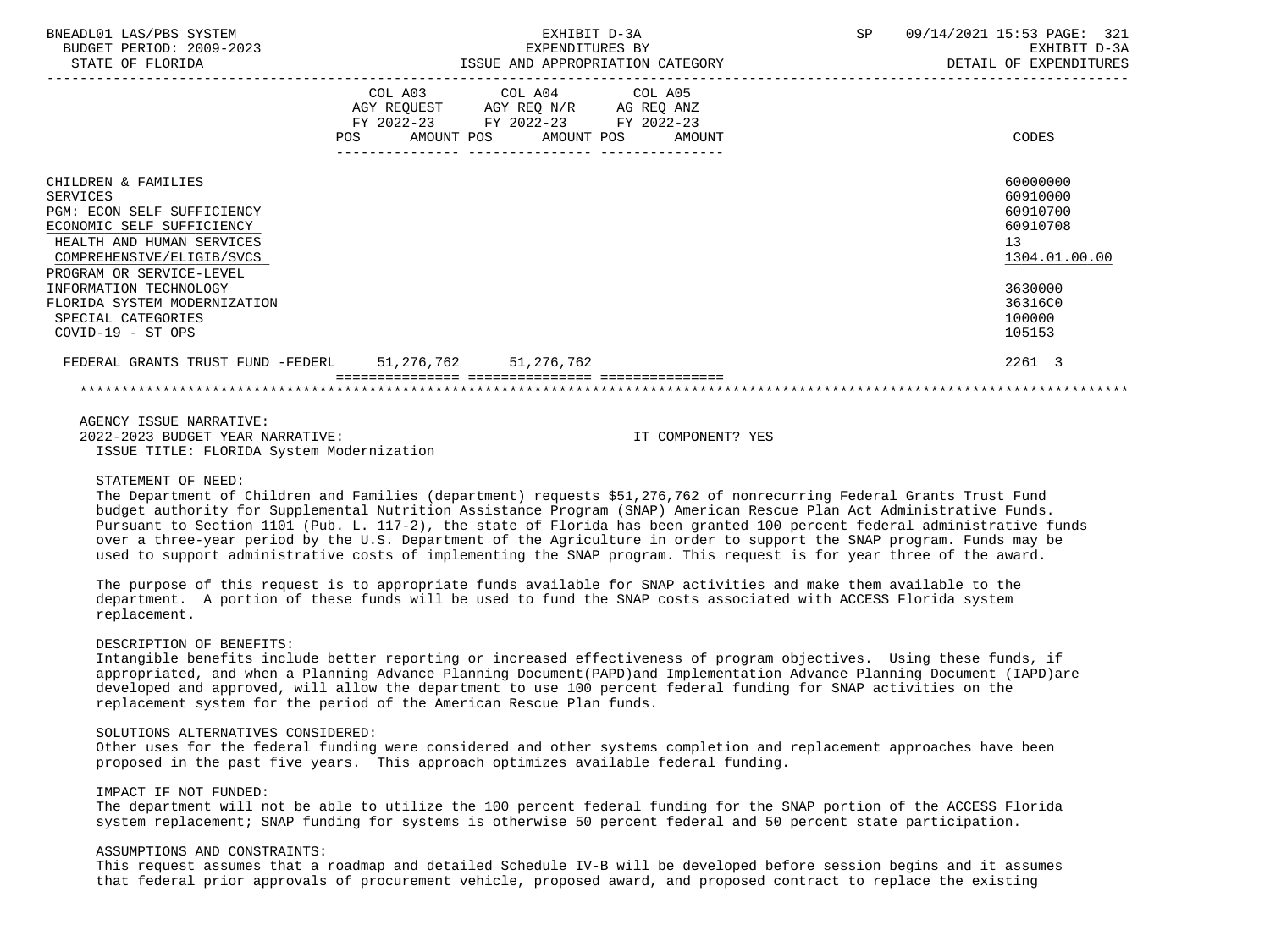| BNEADL01 LAS/PBS SYSTEM<br>BUDGET PERIOD: 2009-2023<br>STATE OF FLORIDA                                                                                                                 | EXHIBIT D-3A<br>EXPENDITURES BY<br>ISSUE AND APPROPRIATION CATEGORY                                                                   | SP | 09/14/2021 15:53 PAGE: 321<br>EXHIBIT D-3A<br>DETAIL OF EXPENDITURES |
|-----------------------------------------------------------------------------------------------------------------------------------------------------------------------------------------|---------------------------------------------------------------------------------------------------------------------------------------|----|----------------------------------------------------------------------|
|                                                                                                                                                                                         | COL A03 COL A04 COL A05<br>AGY REQUEST AGY REQ N/R AG REQ ANZ<br>FY 2022-23 FY 2022-23 FY 2022-23<br>POS AMOUNT POS AMOUNT POS AMOUNT |    | CODES                                                                |
| CHILDREN & FAMILIES<br>SERVICES<br><b>PGM: ECON SELF SUFFICIENCY</b><br>ECONOMIC SELF SUFFICIENCY<br>HEALTH AND HUMAN SERVICES<br>COMPREHENSIVE/ELIGIB/SVCS<br>PROGRAM OR SERVICE-LEVEL |                                                                                                                                       | 13 | 60000000<br>60910000<br>60910700<br>60910708<br>1304.01.00.00        |
| INFORMATION TECHNOLOGY<br>FLORIDA SYSTEM MODERNIZATION<br>SPECIAL CATEGORIES<br>COVID-19 - ST OPS                                                                                       |                                                                                                                                       |    | 3630000<br>36316C0<br>100000<br>105153                               |
| FEDERAL GRANTS TRUST FUND -FEDERL 51,276,762 51,276,762                                                                                                                                 |                                                                                                                                       |    | 2261 3                                                               |
|                                                                                                                                                                                         |                                                                                                                                       |    |                                                                      |
|                                                                                                                                                                                         |                                                                                                                                       |    |                                                                      |

 AGENCY ISSUE NARRATIVE: 2022-2023 BUDGET YEAR NARRATIVE: IT COMPONENT? YES ISSUE TITLE: FLORIDA System Modernization

### STATEMENT OF NEED:

 The Department of Children and Families (department) requests \$51,276,762 of nonrecurring Federal Grants Trust Fund budget authority for Supplemental Nutrition Assistance Program (SNAP) American Rescue Plan Act Administrative Funds. Pursuant to Section 1101 (Pub. L. 117-2), the state of Florida has been granted 100 percent federal administrative funds over a three-year period by the U.S. Department of the Agriculture in order to support the SNAP program. Funds may be used to support administrative costs of implementing the SNAP program. This request is for year three of the award.

 The purpose of this request is to appropriate funds available for SNAP activities and make them available to the department. A portion of these funds will be used to fund the SNAP costs associated with ACCESS Florida system replacement.

#### DESCRIPTION OF BENEFITS:

 Intangible benefits include better reporting or increased effectiveness of program objectives. Using these funds, if appropriated, and when a Planning Advance Planning Document(PAPD)and Implementation Advance Planning Document (IAPD)are developed and approved, will allow the department to use 100 percent federal funding for SNAP activities on the replacement system for the period of the American Rescue Plan funds.

## SOLUTIONS ALTERNATIVES CONSIDERED:

 Other uses for the federal funding were considered and other systems completion and replacement approaches have been proposed in the past five years. This approach optimizes available federal funding.

### IMPACT IF NOT FUNDED:

 The department will not be able to utilize the 100 percent federal funding for the SNAP portion of the ACCESS Florida system replacement; SNAP funding for systems is otherwise 50 percent federal and 50 percent state participation.

### ASSUMPTIONS AND CONSTRAINTS:

 This request assumes that a roadmap and detailed Schedule IV-B will be developed before session begins and it assumes that federal prior approvals of procurement vehicle, proposed award, and proposed contract to replace the existing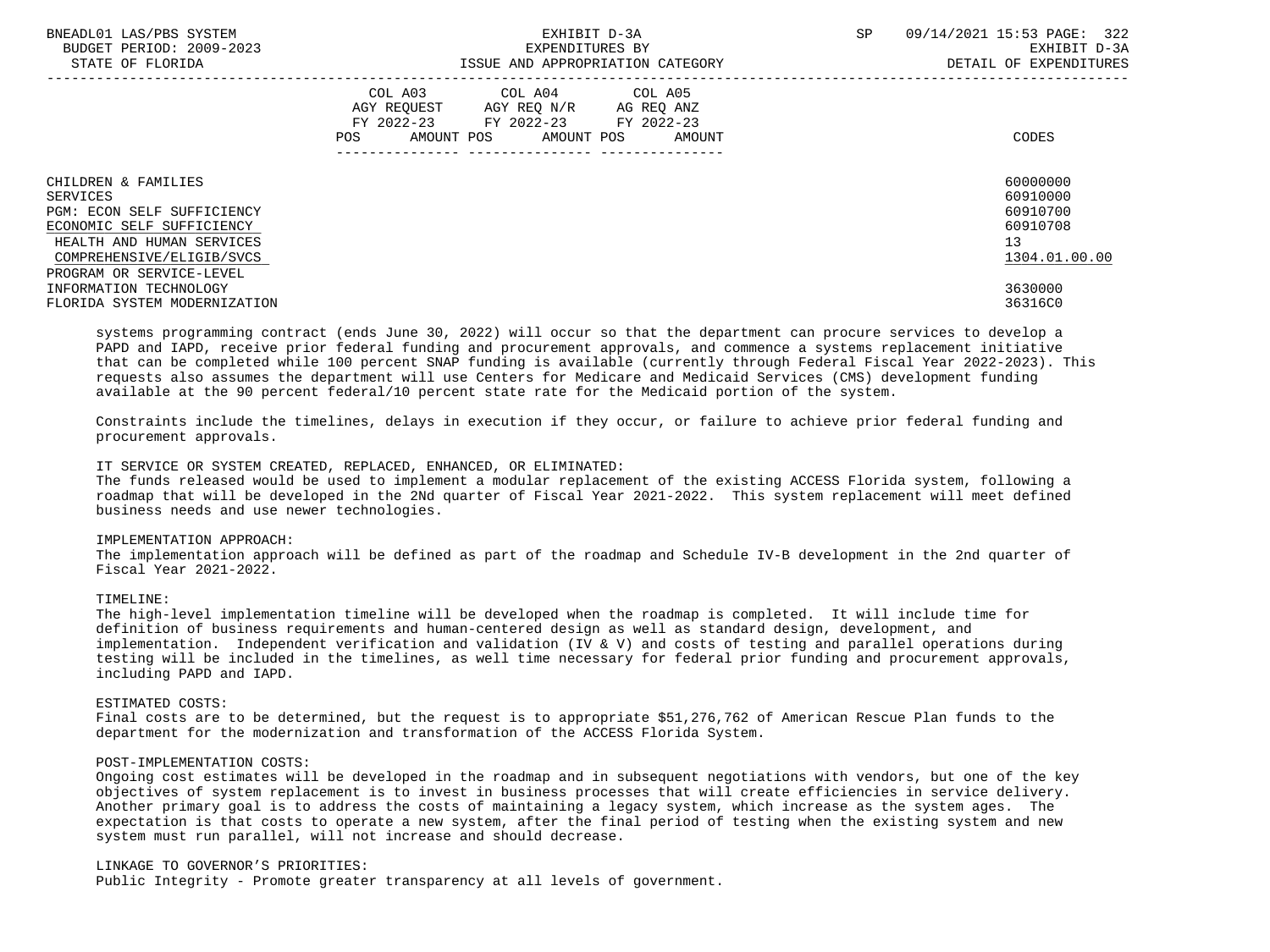| BNEADL01 LAS/PBS SYSTEM<br>BUDGET PERIOD: 2009-2023<br>STATE OF FLORIDA                                                                                                          | EXHIBIT D-3A<br>EXPENDITURES BY<br>ISSUE AND APPROPRIATION CATEGORY                                                                         | 09/14/2021 15:53 PAGE: 322<br>SP.<br>EXHIBIT D-3A<br>DETAIL OF EXPENDITURES |
|----------------------------------------------------------------------------------------------------------------------------------------------------------------------------------|---------------------------------------------------------------------------------------------------------------------------------------------|-----------------------------------------------------------------------------|
|                                                                                                                                                                                  | COL A03 COL A04 COL A05<br>AGY REQUEST AGY REQ N/R AG REQ ANZ<br>FY 2022-23 FY 2022-23 FY 2022-23<br>AMOUNT POS AMOUNT POS<br>POS<br>AMOUNT | CODES                                                                       |
| CHILDREN & FAMILIES<br>SERVICES<br>PGM: ECON SELF SUFFICIENCY<br>ECONOMIC SELF SUFFICIENCY<br>HEALTH AND HUMAN SERVICES<br>COMPREHENSIVE/ELIGIB/SVCS<br>PROGRAM OR SERVICE-LEVEL |                                                                                                                                             | 60000000<br>60910000<br>60910700<br>60910708<br>13<br>1304.01.00.00         |
| INFORMATION TECHNOLOGY<br>FLORIDA SYSTEM MODERNIZATION                                                                                                                           |                                                                                                                                             | 3630000<br>36316C0                                                          |

 systems programming contract (ends June 30, 2022) will occur so that the department can procure services to develop a PAPD and IAPD, receive prior federal funding and procurement approvals, and commence a systems replacement initiative that can be completed while 100 percent SNAP funding is available (currently through Federal Fiscal Year 2022-2023). This requests also assumes the department will use Centers for Medicare and Medicaid Services (CMS) development funding available at the 90 percent federal/10 percent state rate for the Medicaid portion of the system.

 Constraints include the timelines, delays in execution if they occur, or failure to achieve prior federal funding and procurement approvals.

## IT SERVICE OR SYSTEM CREATED, REPLACED, ENHANCED, OR ELIMINATED:

 The funds released would be used to implement a modular replacement of the existing ACCESS Florida system, following a roadmap that will be developed in the 2Nd quarter of Fiscal Year 2021-2022. This system replacement will meet defined business needs and use newer technologies.

# IMPLEMENTATION APPROACH:

 The implementation approach will be defined as part of the roadmap and Schedule IV-B development in the 2nd quarter of Fiscal Year 2021-2022.

### TIMELINE:

 The high-level implementation timeline will be developed when the roadmap is completed. It will include time for definition of business requirements and human-centered design as well as standard design, development, and implementation. Independent verification and validation (IV & V) and costs of testing and parallel operations during testing will be included in the timelines, as well time necessary for federal prior funding and procurement approvals, including PAPD and IAPD.

### ESTIMATED COSTS:

 Final costs are to be determined, but the request is to appropriate \$51,276,762 of American Rescue Plan funds to the department for the modernization and transformation of the ACCESS Florida System.

### POST-IMPLEMENTATION COSTS:

 Ongoing cost estimates will be developed in the roadmap and in subsequent negotiations with vendors, but one of the key objectives of system replacement is to invest in business processes that will create efficiencies in service delivery. Another primary goal is to address the costs of maintaining a legacy system, which increase as the system ages. The expectation is that costs to operate a new system, after the final period of testing when the existing system and new system must run parallel, will not increase and should decrease.

### LINKAGE TO GOVERNOR'S PRIORITIES:

Public Integrity - Promote greater transparency at all levels of government.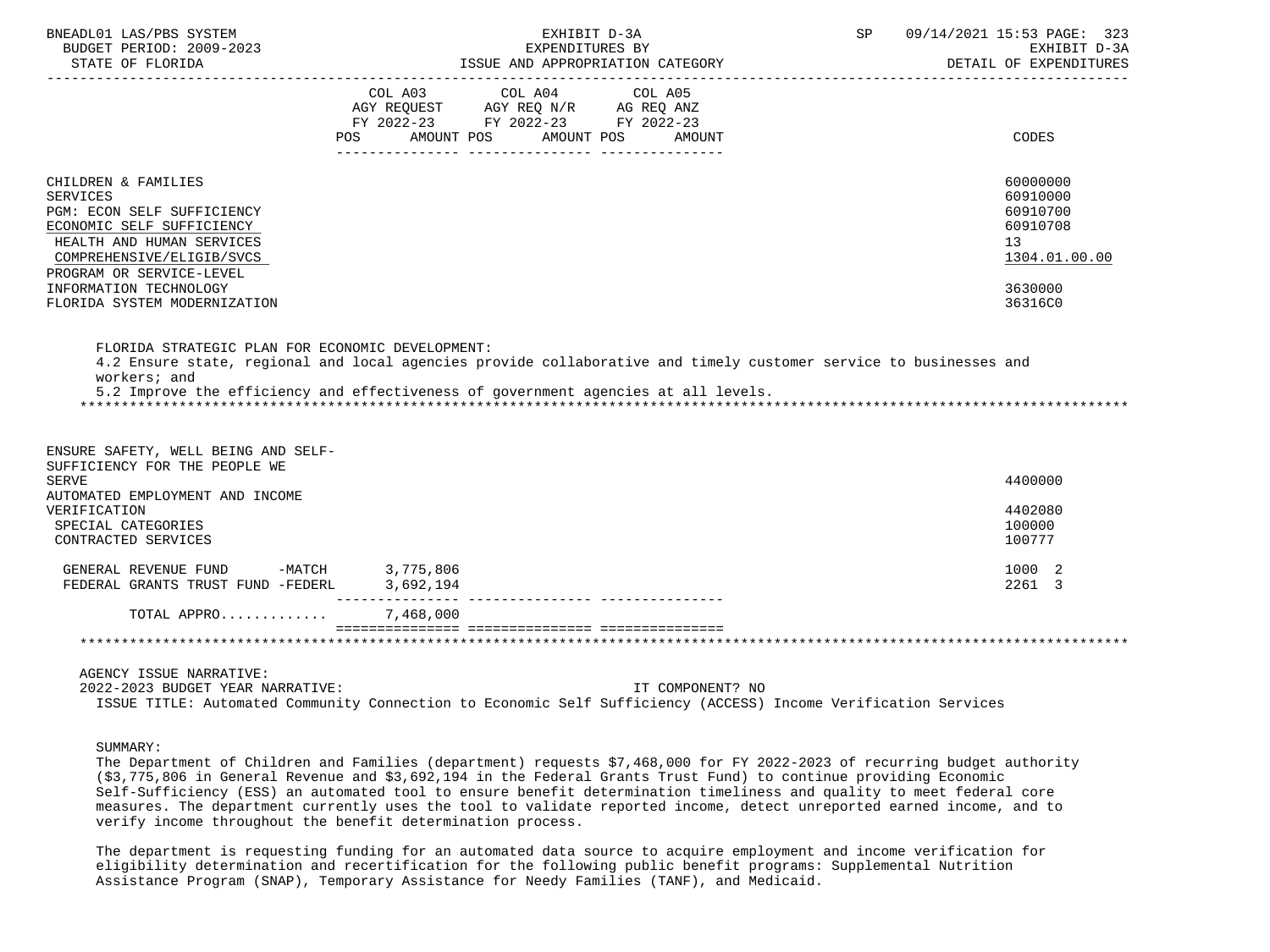| BNEADL01 LAS/PBS SYSTEM<br>BUDGET PERIOD: 2009-2023<br>STATE OF FLORIDA                                                        | EXHIBIT D-3A<br>EXPENDITURES BY<br>ISSUE AND APPROPRIATION CATEGORY                                                                         | 09/14/2021 15:53 PAGE: 323<br>SP<br>EXHIBIT D-3A<br>DETAIL OF EXPENDITURES |
|--------------------------------------------------------------------------------------------------------------------------------|---------------------------------------------------------------------------------------------------------------------------------------------|----------------------------------------------------------------------------|
|                                                                                                                                | COL A03<br>COL A04<br>COL A05<br>AGY REQUEST AGY REQ N/R AG REQ ANZ<br>FY 2022-23 FY 2022-23 FY 2022-23<br>POS AMOUNT POS AMOUNT POS AMOUNT | <b>CODES</b>                                                               |
|                                                                                                                                |                                                                                                                                             |                                                                            |
| CHILDREN & FAMILIES<br><b>SERVICES</b><br>PGM: ECON SELF SUFFICIENCY<br>ECONOMIC SELF SUFFICIENCY<br>HEALTH AND HUMAN SERVICES |                                                                                                                                             | 60000000<br>60910000<br>60910700<br>60910708<br>13 <sup>°</sup>            |
| COMPREHENSIVE/ELIGIB/SVCS<br>PROGRAM OR SERVICE-LEVEL                                                                          |                                                                                                                                             | 1304.01.00.00                                                              |
| INFORMATION TECHNOLOGY                                                                                                         |                                                                                                                                             | 3630000                                                                    |
| FLORIDA SYSTEM MODERNIZATION                                                                                                   |                                                                                                                                             | 36316C0                                                                    |
| ENSURE SAFETY, WELL BEING AND SELF-<br>SUFFICIENCY FOR THE PEOPLE WE                                                           |                                                                                                                                             |                                                                            |
| <b>SERVE</b><br>AUTOMATED EMPLOYMENT AND INCOME                                                                                |                                                                                                                                             | 4400000                                                                    |
| VERIFICATION<br>SPECIAL CATEGORIES<br>CONTRACTED SERVICES                                                                      |                                                                                                                                             | 4402080<br>100000<br>100777                                                |
| GENERAL REVENUE FUND -MATCH $3,775,806$<br>FEDERAL GRANTS TRUST FUND -FEDERL $3,692,194$                                       |                                                                                                                                             | 1000 2<br>2261 3                                                           |
| TOTAL APPRO                                                                                                                    | 7,468,000                                                                                                                                   |                                                                            |
|                                                                                                                                |                                                                                                                                             |                                                                            |
| AGENCY ISSUE NARRATIVE:<br>2022-2023 BUDGET YEAR NARRATIVE:                                                                    | IT COMPONENT? NO<br>ISSUE TITLE: Automated Community Connection to Economic Self Sufficiency (ACCESS) Income Verification Services          |                                                                            |

## SUMMARY:

 The Department of Children and Families (department) requests \$7,468,000 for FY 2022-2023 of recurring budget authority (\$3,775,806 in General Revenue and \$3,692,194 in the Federal Grants Trust Fund) to continue providing Economic Self-Sufficiency (ESS) an automated tool to ensure benefit determination timeliness and quality to meet federal core measures. The department currently uses the tool to validate reported income, detect unreported earned income, and to verify income throughout the benefit determination process.

 The department is requesting funding for an automated data source to acquire employment and income verification for eligibility determination and recertification for the following public benefit programs: Supplemental Nutrition Assistance Program (SNAP), Temporary Assistance for Needy Families (TANF), and Medicaid.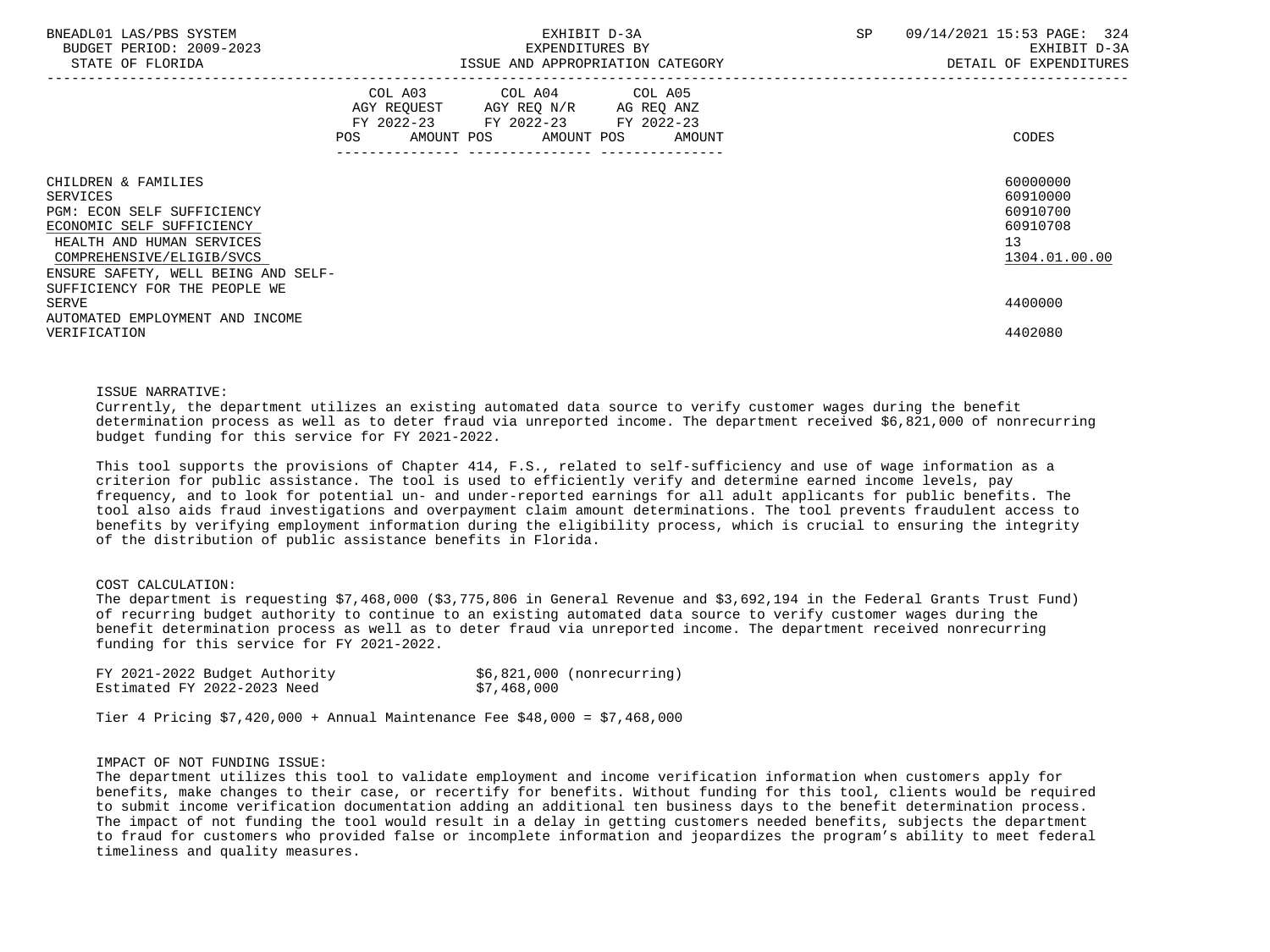| BNEADL01 LAS/PBS SYSTEM<br>BUDGET PERIOD: 2009-2023<br>STATE OF FLORIDA                                                                                                                     | EXHIBIT D-3A<br>EXPENDITURES BY<br>ISSUE AND APPROPRIATION CATEGORY                                                                   | SP | 09/14/2021 15:53 PAGE: 324<br>EXHIBIT D-3A<br>DETAIL OF EXPENDITURES |
|---------------------------------------------------------------------------------------------------------------------------------------------------------------------------------------------|---------------------------------------------------------------------------------------------------------------------------------------|----|----------------------------------------------------------------------|
|                                                                                                                                                                                             | COL A03 COL A04 COL A05<br>AGY REQUEST AGY REQ N/R AG REQ ANZ<br>FY 2022-23 FY 2022-23 FY 2022-23<br>POS AMOUNT POS AMOUNT POS AMOUNT |    | CODES                                                                |
| CHILDREN & FAMILIES<br>SERVICES<br>PGM: ECON SELF SUFFICIENCY<br>ECONOMIC SELF SUFFICIENCY<br>HEALTH AND HUMAN SERVICES<br>COMPREHENSIVE/ELIGIB/SVCS<br>ENSURE SAFETY, WELL BEING AND SELF- |                                                                                                                                       |    | 60000000<br>60910000<br>60910700<br>60910708<br>13<br>1304.01.00.00  |
| SUFFICIENCY FOR THE PEOPLE WE<br>SERVE<br>AUTOMATED EMPLOYMENT AND INCOME<br>VERIFICATION                                                                                                   |                                                                                                                                       |    | 4400000<br>4402080                                                   |

#### ISSUE NARRATIVE:

 Currently, the department utilizes an existing automated data source to verify customer wages during the benefit determination process as well as to deter fraud via unreported income. The department received \$6,821,000 of nonrecurring budget funding for this service for FY 2021-2022.

 This tool supports the provisions of Chapter 414, F.S., related to self-sufficiency and use of wage information as a criterion for public assistance. The tool is used to efficiently verify and determine earned income levels, pay frequency, and to look for potential un- and under-reported earnings for all adult applicants for public benefits. The tool also aids fraud investigations and overpayment claim amount determinations. The tool prevents fraudulent access to benefits by verifying employment information during the eligibility process, which is crucial to ensuring the integrity of the distribution of public assistance benefits in Florida.

# COST CALCULATION:

 The department is requesting \$7,468,000 (\$3,775,806 in General Revenue and \$3,692,194 in the Federal Grants Trust Fund) of recurring budget authority to continue to an existing automated data source to verify customer wages during the benefit determination process as well as to deter fraud via unreported income. The department received nonrecurring funding for this service for FY 2021-2022.

| FY 2021-2022 Budget Authority | $$6,821,000$ (nonrecurring) |
|-------------------------------|-----------------------------|
| Estimated FY 2022-2023 Need   | \$7,468,000                 |

Tier 4 Pricing \$7,420,000 + Annual Maintenance Fee \$48,000 = \$7,468,000

# IMPACT OF NOT FUNDING ISSUE:

 The department utilizes this tool to validate employment and income verification information when customers apply for benefits, make changes to their case, or recertify for benefits. Without funding for this tool, clients would be required to submit income verification documentation adding an additional ten business days to the benefit determination process. The impact of not funding the tool would result in a delay in getting customers needed benefits, subjects the department to fraud for customers who provided false or incomplete information and jeopardizes the program's ability to meet federal timeliness and quality measures.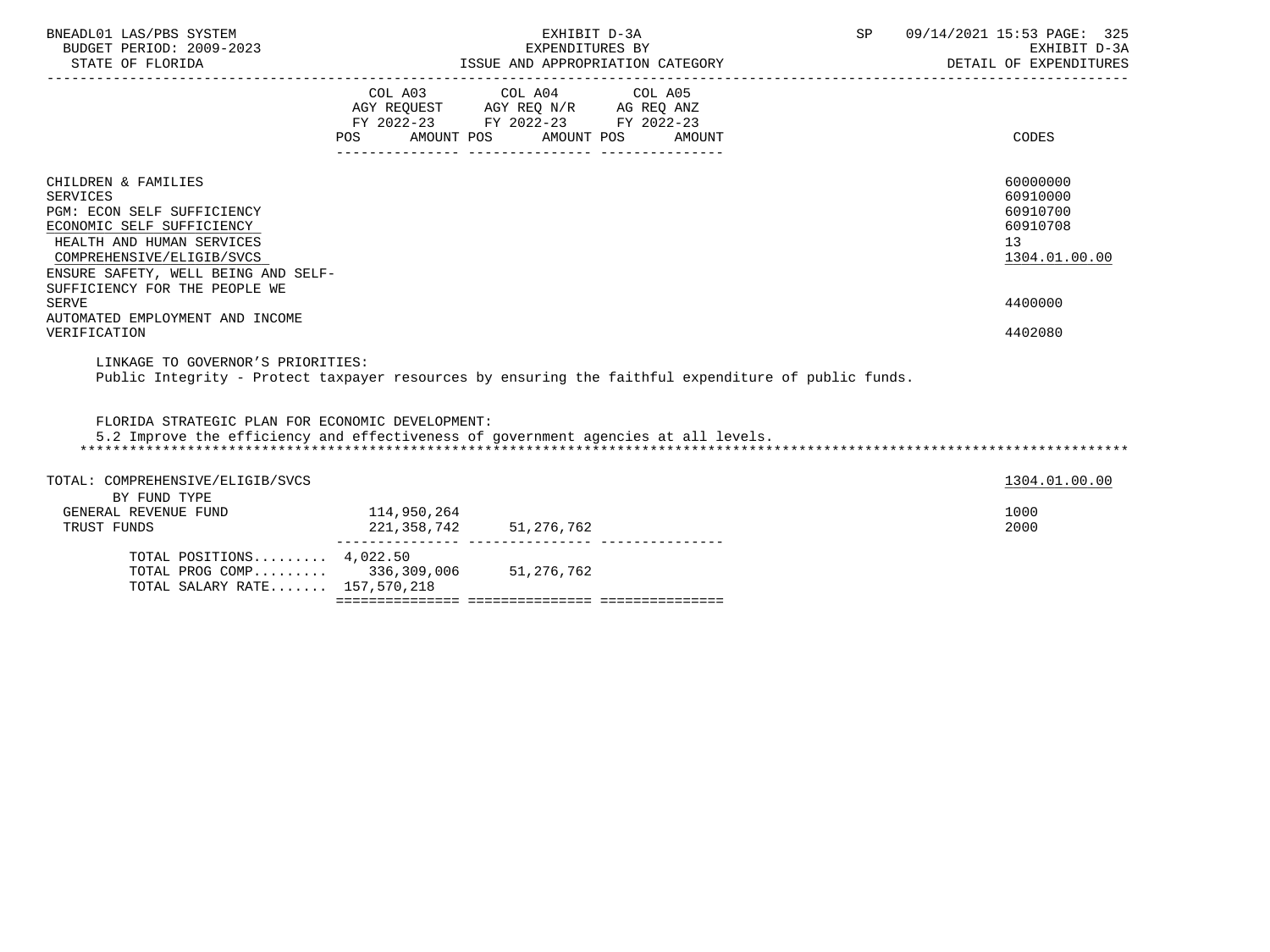| BNEADL01 LAS/PBS SYSTEM<br>BUDGET PERIOD: 2009-2023<br>STATE OF FLORIDA                                                                                                                                                             |                                                                                                     | EXHIBIT D-3A<br>EXPENDITURES BY<br>ISSUE AND APPROPRIATION CATEGORY | SP     | 09/14/2021 15:53 PAGE: 325<br>EXHIBIT D-3A<br>DETAIL OF EXPENDITURES |                                                                     |
|-------------------------------------------------------------------------------------------------------------------------------------------------------------------------------------------------------------------------------------|-----------------------------------------------------------------------------------------------------|---------------------------------------------------------------------|--------|----------------------------------------------------------------------|---------------------------------------------------------------------|
|                                                                                                                                                                                                                                     | AGY REQUEST AGY REQ N/R AG REQ ANZ<br>FY 2022-23 FY 2022-23 FY 2022-23<br>POS AMOUNT POS AMOUNT POS | COL A03 COL A04 COL A05                                             | AMOUNT |                                                                      | CODES                                                               |
| CHILDREN & FAMILIES<br><b>SERVICES</b><br>PGM: ECON SELF SUFFICIENCY<br>ECONOMIC SELF SUFFICIENCY<br>HEALTH AND HUMAN SERVICES<br>COMPREHENSIVE/ELIGIB/SVCS<br>ENSURE SAFETY, WELL BEING AND SELF-<br>SUFFICIENCY FOR THE PEOPLE WE |                                                                                                     |                                                                     |        |                                                                      | 60000000<br>60910000<br>60910700<br>60910708<br>13<br>1304.01.00.00 |
| <b>SERVE</b><br>AUTOMATED EMPLOYMENT AND INCOME<br>VERIFICATION                                                                                                                                                                     |                                                                                                     |                                                                     |        |                                                                      | 4400000<br>4402080                                                  |
| LINKAGE TO GOVERNOR'S PRIORITIES:<br>Public Integrity - Protect taxpayer resources by ensuring the faithful expenditure of public funds.                                                                                            |                                                                                                     |                                                                     |        |                                                                      |                                                                     |
| FLORIDA STRATEGIC PLAN FOR ECONOMIC DEVELOPMENT:<br>5.2 Improve the efficiency and effectiveness of government agencies at all levels.                                                                                              |                                                                                                     |                                                                     |        |                                                                      |                                                                     |
| TOTAL: COMPREHENSIVE/ELIGIB/SVCS<br>BY FUND TYPE                                                                                                                                                                                    |                                                                                                     |                                                                     |        |                                                                      | 1304.01.00.00                                                       |
| GENERAL REVENUE FUND<br>TRUST FUNDS                                                                                                                                                                                                 | 114,950,264<br>221, 358, 742 51, 276, 762                                                           |                                                                     |        |                                                                      | 1000<br>2000                                                        |
| TOTAL POSITIONS 4,022.50<br>TOTAL PROG COMP 336,309,006 51,276,762<br>TOTAL SALARY RATE 157,570,218                                                                                                                                 |                                                                                                     |                                                                     |        |                                                                      |                                                                     |
|                                                                                                                                                                                                                                     |                                                                                                     |                                                                     |        |                                                                      |                                                                     |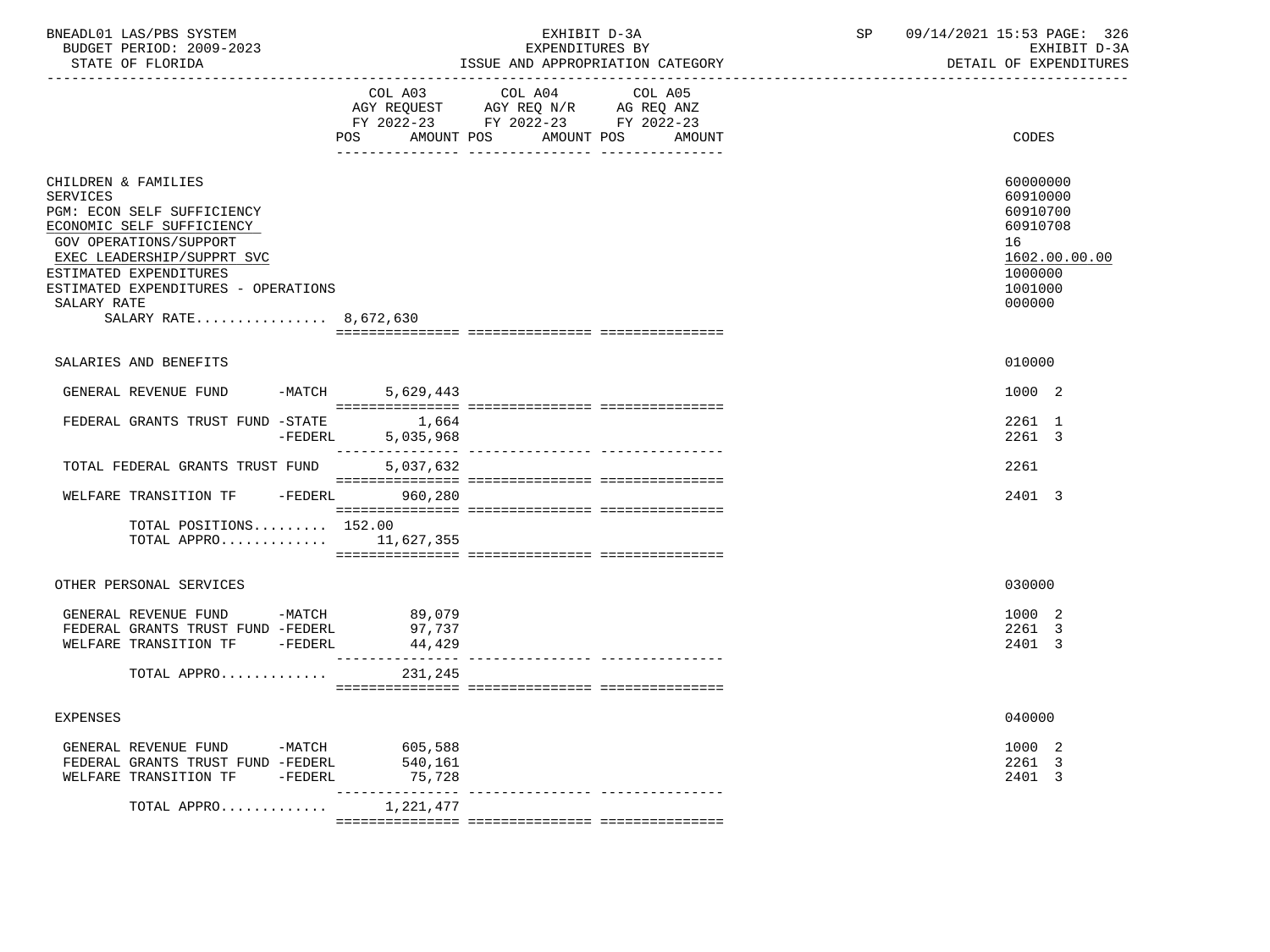| BNEADL01 LAS/PBS SYSTEM |                  |                          | EXHIBIT D-3A    |  |                                  |  |  |  |  |
|-------------------------|------------------|--------------------------|-----------------|--|----------------------------------|--|--|--|--|
|                         |                  | BUDGET PERIOD: 2009-2023 | EXPENDITURES BY |  |                                  |  |  |  |  |
|                         | STATE OF FLORIDA |                          |                 |  | ISSUE AND APPROPRIATION CATEGORY |  |  |  |  |

BUDGET PERIOD: 2009-2023 EXPENDITURES BY EXHIBIT D-3A

|                                                                                                                                                                                                                                                                    | COL A03<br>AMOUNT POS<br><b>POS</b> | COL A04<br>AGY REQUEST AGY REQ N/R AG REQ ANZ<br>FY 2022-23 FY 2022-23 FY 2022-23<br>AMOUNT POS | COL A05<br>AMOUNT | CODES                                                                                               |
|--------------------------------------------------------------------------------------------------------------------------------------------------------------------------------------------------------------------------------------------------------------------|-------------------------------------|-------------------------------------------------------------------------------------------------|-------------------|-----------------------------------------------------------------------------------------------------|
|                                                                                                                                                                                                                                                                    |                                     |                                                                                                 |                   |                                                                                                     |
| CHILDREN & FAMILIES<br><b>SERVICES</b><br>PGM: ECON SELF SUFFICIENCY<br>ECONOMIC SELF SUFFICIENCY<br>GOV OPERATIONS/SUPPORT<br>EXEC LEADERSHIP/SUPPRT SVC<br>ESTIMATED EXPENDITURES<br>ESTIMATED EXPENDITURES - OPERATIONS<br>SALARY RATE<br>SALARY RATE 8,672,630 |                                     |                                                                                                 |                   | 60000000<br>60910000<br>60910700<br>60910708<br>16<br>1602.00.00.00<br>1000000<br>1001000<br>000000 |
|                                                                                                                                                                                                                                                                    |                                     |                                                                                                 |                   |                                                                                                     |
| SALARIES AND BENEFITS                                                                                                                                                                                                                                              |                                     |                                                                                                 |                   | 010000                                                                                              |
| GENERAL REVENUE FUND<br>$-MATCH$                                                                                                                                                                                                                                   | 5,629,443                           |                                                                                                 |                   | 1000 2                                                                                              |
| FEDERAL GRANTS TRUST FUND -STATE                                                                                                                                                                                                                                   | 1,664                               |                                                                                                 |                   | 2261 1                                                                                              |
| $-FEDERL$                                                                                                                                                                                                                                                          | 5,035,968                           |                                                                                                 |                   | 2261 3                                                                                              |
| TOTAL FEDERAL GRANTS TRUST FUND                                                                                                                                                                                                                                    | 5,037,632                           |                                                                                                 |                   | 2261                                                                                                |
| $-FEDERL$<br>WELFARE TRANSITION TF                                                                                                                                                                                                                                 | 960,280                             |                                                                                                 |                   | 2401 3                                                                                              |
| TOTAL POSITIONS 152.00<br>TOTAL APPRO $11,627,355$                                                                                                                                                                                                                 |                                     |                                                                                                 |                   |                                                                                                     |
| OTHER PERSONAL SERVICES                                                                                                                                                                                                                                            |                                     |                                                                                                 |                   | 030000                                                                                              |
| GENERAL REVENUE FUND -MATCH<br>FEDERAL GRANTS TRUST FUND -FEDERL<br>WELFARE TRANSITION TF -FEDERL                                                                                                                                                                  | 89,079<br>97,737<br>44,429          |                                                                                                 |                   | 1000 2<br>2261 3<br>2401 3                                                                          |
| TOTAL APPRO                                                                                                                                                                                                                                                        | 231,245                             |                                                                                                 |                   |                                                                                                     |
|                                                                                                                                                                                                                                                                    |                                     |                                                                                                 |                   |                                                                                                     |
| <b>EXPENSES</b>                                                                                                                                                                                                                                                    |                                     |                                                                                                 |                   | 040000                                                                                              |
| GENERAL REVENUE FUND -MATCH 605,588                                                                                                                                                                                                                                |                                     |                                                                                                 |                   | 1000 2                                                                                              |
| FEDERAL GRANTS TRUST FUND -FEDERL<br>WELFARE TRANSITION TF -FEDERL                                                                                                                                                                                                 | 540,161<br>75,728                   |                                                                                                 |                   | 2261 3<br>2401 3                                                                                    |
| TOTAL APPRO                                                                                                                                                                                                                                                        | 1,221,477                           |                                                                                                 |                   |                                                                                                     |
|                                                                                                                                                                                                                                                                    |                                     |                                                                                                 |                   |                                                                                                     |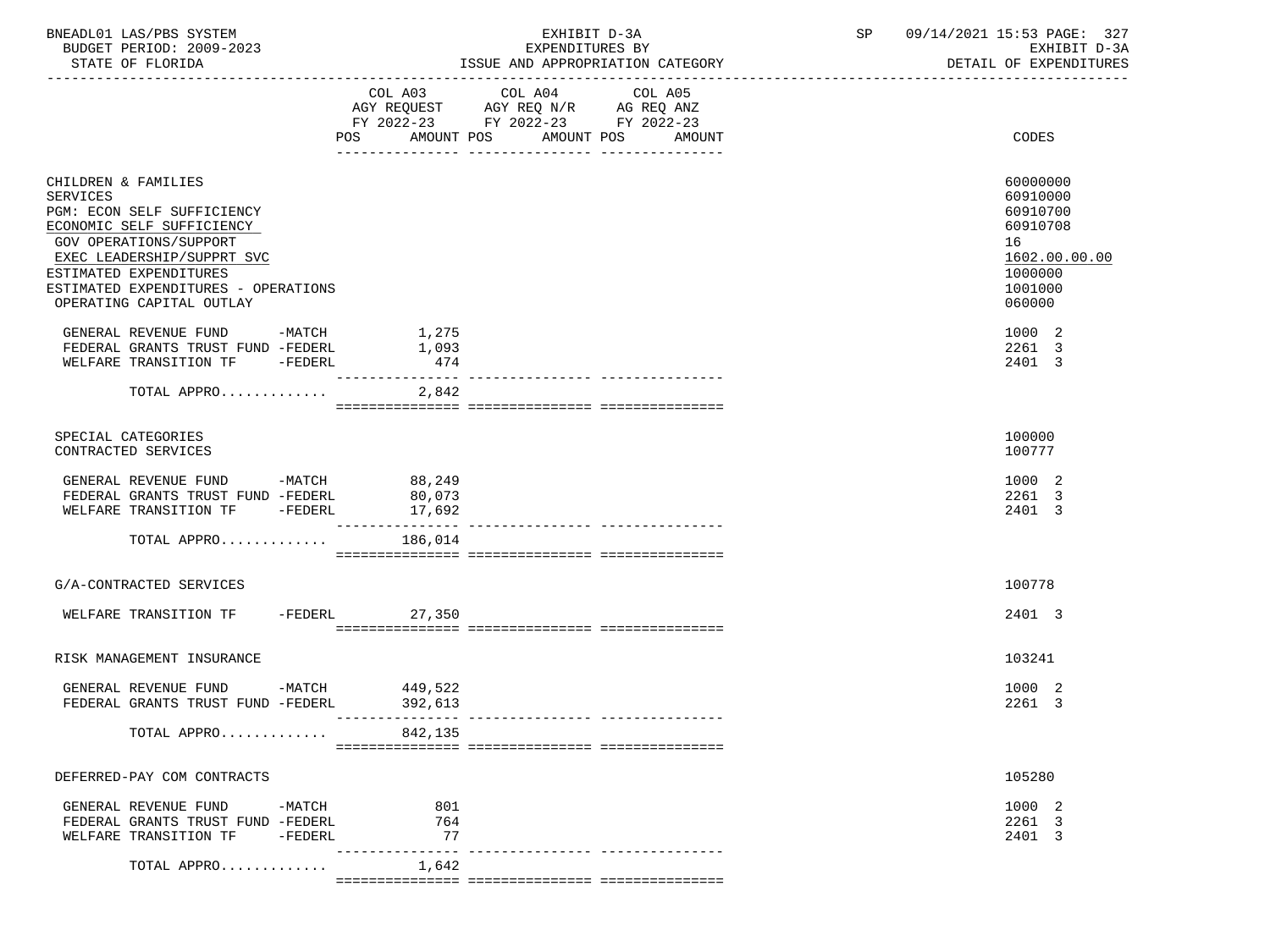| BNEADL01 LAS/PBS SYSTEM |                  |                          | EXHIBIT D-3A                     |
|-------------------------|------------------|--------------------------|----------------------------------|
|                         |                  | BUDGET PERIOD: 2009-2023 | EXPENDITURES BY                  |
|                         | STATE OF FLORIDA |                          | ISSUE AND APPROPRIATION CATEGORY |

EXHIBIT D-3A SP 09/14/2021 15:53 PAGE: 327<br>EXPENDITURES BY SERENGERS SAN SEXHIBIT D-3A

BUDGET PERIOD: 2009-2023 EXPENDITURES BY EXHIBIT D-3A

|                                                                                                                                                                                                                                                 |                            | FY 2022-23 FY 2022-23 FY 2022-23<br>AMOUNT POS | AMOUNT POS<br>AMOUNT | CODES                                                                                               |
|-------------------------------------------------------------------------------------------------------------------------------------------------------------------------------------------------------------------------------------------------|----------------------------|------------------------------------------------|----------------------|-----------------------------------------------------------------------------------------------------|
|                                                                                                                                                                                                                                                 |                            | ------------                                   |                      |                                                                                                     |
| CHILDREN & FAMILIES<br>SERVICES<br>PGM: ECON SELF SUFFICIENCY<br>ECONOMIC SELF SUFFICIENCY<br>GOV OPERATIONS/SUPPORT<br>EXEC LEADERSHIP/SUPPRT SVC<br>ESTIMATED EXPENDITURES<br>ESTIMATED EXPENDITURES - OPERATIONS<br>OPERATING CAPITAL OUTLAY |                            |                                                |                      | 60000000<br>60910000<br>60910700<br>60910708<br>16<br>1602.00.00.00<br>1000000<br>1001000<br>060000 |
| GENERAL REVENUE FUND -MATCH 1,275                                                                                                                                                                                                               |                            |                                                |                      | 1000 2                                                                                              |
| FEDERAL GRANTS TRUST FUND -FEDERL<br>WELFARE TRANSITION TF -FEDERL                                                                                                                                                                              | 1,093<br>474               |                                                |                      | 2261 3<br>2401 3                                                                                    |
|                                                                                                                                                                                                                                                 |                            |                                                |                      |                                                                                                     |
| TOTAL APPRO                                                                                                                                                                                                                                     | 2,842                      |                                                |                      |                                                                                                     |
| SPECIAL CATEGORIES<br>CONTRACTED SERVICES                                                                                                                                                                                                       |                            |                                                |                      | 100000<br>100777                                                                                    |
| GENERAL REVENUE FUND -MATCH 88,249                                                                                                                                                                                                              |                            |                                                |                      | 1000 2                                                                                              |
| FEDERAL GRANTS TRUST FUND -FEDERL<br>WELFARE TRANSITION TF -FEDERL                                                                                                                                                                              | 80,073<br>17,692           |                                                |                      | 2261 3<br>2401 3                                                                                    |
|                                                                                                                                                                                                                                                 | _______________            |                                                |                      |                                                                                                     |
| TOTAL APPRO                                                                                                                                                                                                                                     | 186,014                    |                                                |                      |                                                                                                     |
|                                                                                                                                                                                                                                                 |                            |                                                |                      |                                                                                                     |
| G/A-CONTRACTED SERVICES                                                                                                                                                                                                                         |                            |                                                |                      | 100778                                                                                              |
| WELFARE TRANSITION TF -FEDERL                                                                                                                                                                                                                   | 27,350                     |                                                |                      | 2401 3                                                                                              |
|                                                                                                                                                                                                                                                 |                            |                                                |                      |                                                                                                     |
| RISK MANAGEMENT INSURANCE                                                                                                                                                                                                                       |                            |                                                |                      | 103241                                                                                              |
| GENERAL REVENUE FUND -MATCH                                                                                                                                                                                                                     | 449,522                    |                                                |                      | 1000 2                                                                                              |
| FEDERAL GRANTS TRUST FUND -FEDERL                                                                                                                                                                                                               | 392,613<br>--------------- |                                                |                      | 2261 3                                                                                              |
| TOTAL APPRO                                                                                                                                                                                                                                     | 842,135                    |                                                |                      |                                                                                                     |
| DEFERRED-PAY COM CONTRACTS                                                                                                                                                                                                                      |                            |                                                |                      | 105280                                                                                              |
| GENERAL REVENUE FUND -MATCH                                                                                                                                                                                                                     | 801                        |                                                |                      | 1000 2                                                                                              |
| FEDERAL GRANTS TRUST FUND -FEDERL                                                                                                                                                                                                               | 764                        |                                                |                      | 2261 3                                                                                              |
| WELFARE TRANSITION TF<br>-FEDERL                                                                                                                                                                                                                | 77<br>--------------- -    |                                                |                      | 2401 3                                                                                              |
| TOTAL APPRO                                                                                                                                                                                                                                     | 1,642                      |                                                |                      |                                                                                                     |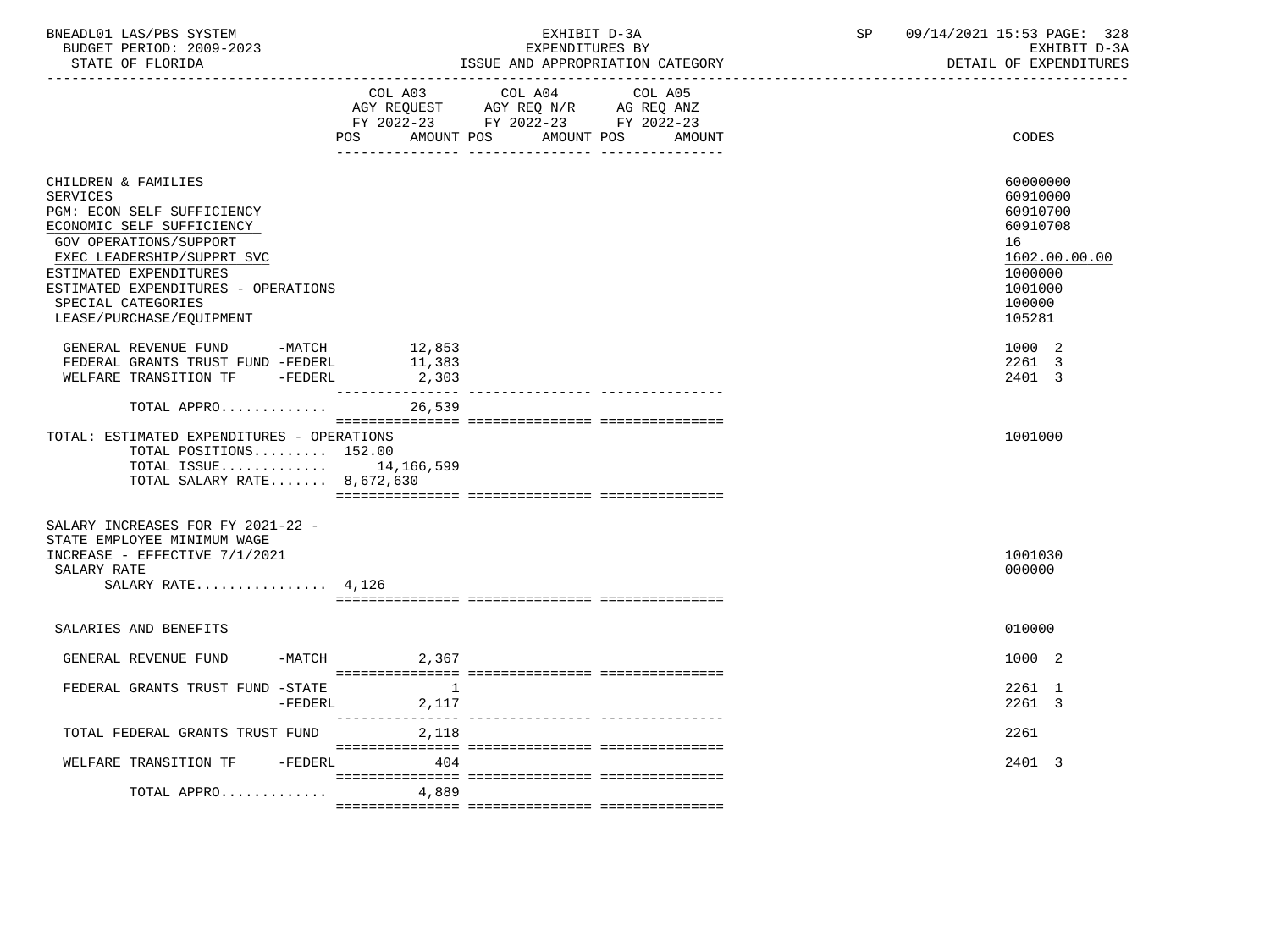| BNEADL01 LAS/PBS SYSTEM  | KXHIBIT D-3A                     | oг | 09/14/2021 15:53 PAGE:<br>328 |
|--------------------------|----------------------------------|----|-------------------------------|
| BUDGET PERIOD: 2009-2023 | EXPENDITURES BY                  |    | EXHIBIT D-3A                  |
| STATE OF FLORIDA         | ISSUE AND APPROPRIATION CATEGORY |    | DETAIL OF EXPENDITURES        |

|                                                                                                                                                                                                                                                                              | POS                                          | COL A03 COL A04<br>AGY REQUEST AGY REQ N/R AG REQ ANZ<br>FY 2022-23 FY 2022-23 FY 2022-23<br>AMOUNT POS AMOUNT POS | COL A05<br>AMOUNT | CODES                                                                                                         |
|------------------------------------------------------------------------------------------------------------------------------------------------------------------------------------------------------------------------------------------------------------------------------|----------------------------------------------|--------------------------------------------------------------------------------------------------------------------|-------------------|---------------------------------------------------------------------------------------------------------------|
| CHILDREN & FAMILIES<br><b>SERVICES</b><br>PGM: ECON SELF SUFFICIENCY<br>ECONOMIC SELF SUFFICIENCY<br>GOV OPERATIONS/SUPPORT<br>EXEC LEADERSHIP/SUPPRT SVC<br>ESTIMATED EXPENDITURES<br>ESTIMATED EXPENDITURES - OPERATIONS<br>SPECIAL CATEGORIES<br>LEASE/PURCHASE/EQUIPMENT |                                              |                                                                                                                    |                   | 60000000<br>60910000<br>60910700<br>60910708<br>16<br>1602.00.00.00<br>1000000<br>1001000<br>100000<br>105281 |
| GENERAL REVENUE FUND -MATCH<br>FEDERAL GRANTS TRUST FUND -FEDERL<br>WELFARE TRANSITION TF -FEDERL                                                                                                                                                                            | 12,853<br>11,383<br>2,303<br>------------    |                                                                                                                    |                   | 1000 2<br>2261 3<br>2401 3                                                                                    |
| TOTAL APPRO<br>TOTAL: ESTIMATED EXPENDITURES - OPERATIONS<br>TOTAL POSITIONS 152.00<br>TOTAL ISSUE 14,166,599<br>TOTAL SALARY RATE 8,672,630                                                                                                                                 | 26,539                                       |                                                                                                                    |                   | 1001000                                                                                                       |
| SALARY INCREASES FOR FY 2021-22 -<br>STATE EMPLOYEE MINIMUM WAGE<br>INCREASE - EFFECTIVE 7/1/2021<br>SALARY RATE<br>SALARY RATE $4,126$                                                                                                                                      |                                              |                                                                                                                    |                   | 1001030<br>000000                                                                                             |
| SALARIES AND BENEFITS                                                                                                                                                                                                                                                        |                                              |                                                                                                                    |                   | 010000                                                                                                        |
| GENERAL REVENUE FUND                                                                                                                                                                                                                                                         | $-MATCH$<br>2,367                            |                                                                                                                    |                   | 1000 2                                                                                                        |
| FEDERAL GRANTS TRUST FUND -STATE<br>-FEDERL                                                                                                                                                                                                                                  | $\sim$ $\sim$ 1.<br>2,117<br>_______________ |                                                                                                                    |                   | 2261 1<br>2261 3                                                                                              |
| TOTAL FEDERAL GRANTS TRUST FUND                                                                                                                                                                                                                                              | 2,118                                        |                                                                                                                    |                   | 2261                                                                                                          |
| WELFARE TRANSITION TF -FEDERL                                                                                                                                                                                                                                                | 404                                          |                                                                                                                    |                   | 2401 3                                                                                                        |
| TOTAL APPRO                                                                                                                                                                                                                                                                  | 4,889                                        |                                                                                                                    |                   |                                                                                                               |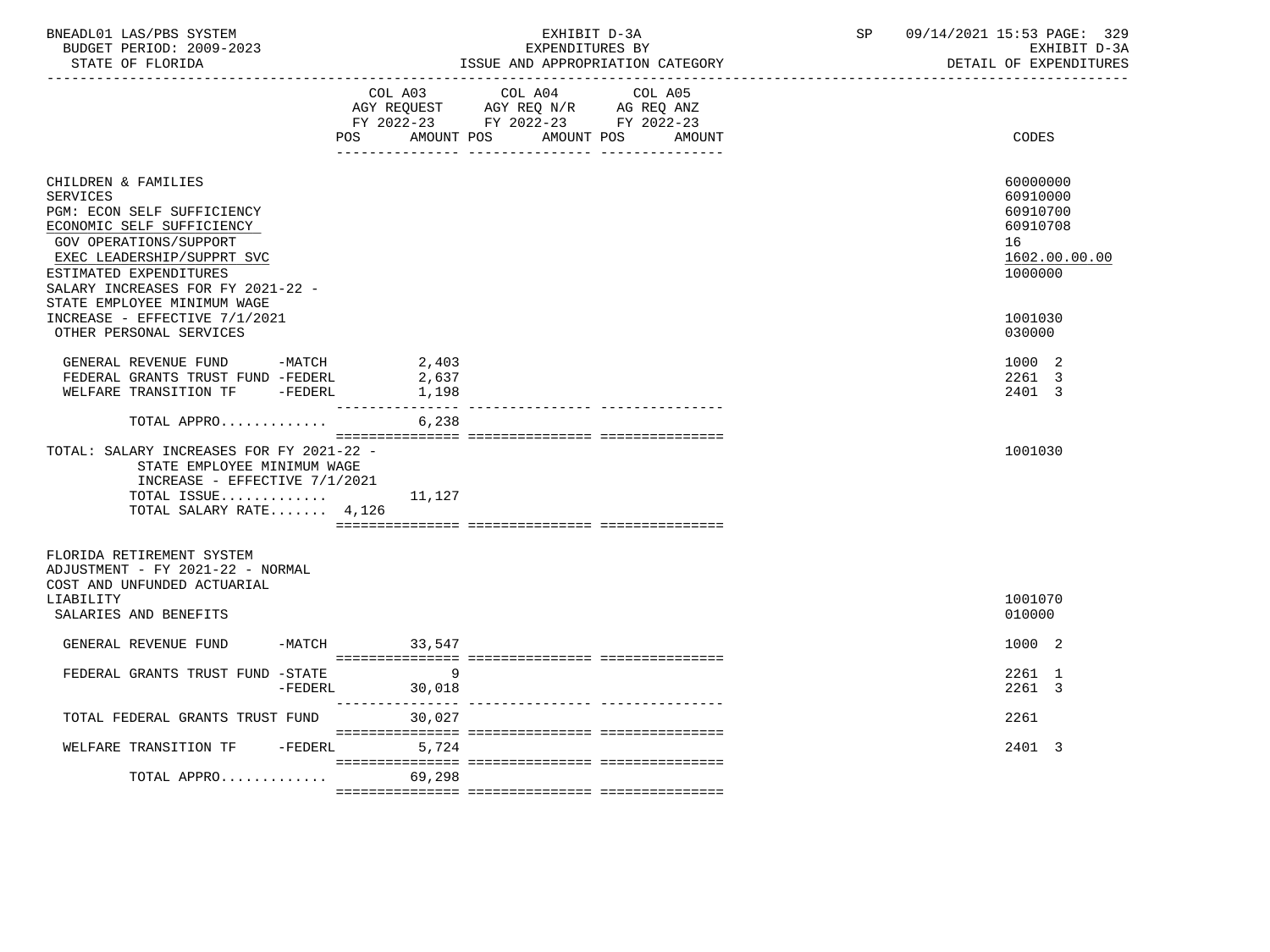| BNEADL01 LAS/PBS SYSTEM<br>BUDGET PERIOD: 2009-2023<br>STATE OF FLORIDA                                                                                                                                                                                 |                 | EXHIBIT D-3A<br>EXPENDITURES BY<br>ISSUE AND APPROPRIATION CATEGORY                                                                  | SP | 09/14/2021 15:53 PAGE: 329<br>EXHIBIT D-3A<br>DETAIL OF EXPENDITURES           |
|---------------------------------------------------------------------------------------------------------------------------------------------------------------------------------------------------------------------------------------------------------|-----------------|--------------------------------------------------------------------------------------------------------------------------------------|----|--------------------------------------------------------------------------------|
|                                                                                                                                                                                                                                                         | <b>POS</b>      | COL A03 COL A04 COL A05<br>AGY REQUEST AGY REQ N/R AG REQ ANZ<br>FY 2022-23 FY 2022-23 FY 2022-23<br>AMOUNT POS AMOUNT POS<br>AMOUNT |    | CODES                                                                          |
| CHILDREN & FAMILIES<br><b>SERVICES</b><br>PGM: ECON SELF SUFFICIENCY<br>ECONOMIC SELF SUFFICIENCY<br>GOV OPERATIONS/SUPPORT<br>EXEC LEADERSHIP/SUPPRT SVC<br>ESTIMATED EXPENDITURES<br>SALARY INCREASES FOR FY 2021-22 -<br>STATE EMPLOYEE MINIMUM WAGE |                 |                                                                                                                                      |    | 60000000<br>60910000<br>60910700<br>60910708<br>16<br>1602.00.00.00<br>1000000 |
| INCREASE - EFFECTIVE 7/1/2021<br>OTHER PERSONAL SERVICES                                                                                                                                                                                                |                 |                                                                                                                                      |    | 1001030<br>030000                                                              |
| GENERAL REVENUE FUND -MATCH 2,403<br>FEDERAL GRANTS TRUST FUND -FEDERL<br>WELFARE TRANSITION TF -FEDERL                                                                                                                                                 | 2,637<br>1,198  |                                                                                                                                      |    | 1000 2<br>2261 3<br>2401 3                                                     |
| TOTAL APPRO                                                                                                                                                                                                                                             | 6,238           |                                                                                                                                      |    |                                                                                |
| TOTAL: SALARY INCREASES FOR FY 2021-22 -<br>STATE EMPLOYEE MINIMUM WAGE<br>INCREASE - EFFECTIVE $7/1/2021$<br>TOTAL ISSUE<br>TOTAL SALARY RATE 4,126                                                                                                    | 11,127          |                                                                                                                                      |    | 1001030                                                                        |
| FLORIDA RETIREMENT SYSTEM<br>ADJUSTMENT - FY 2021-22 - NORMAL<br>COST AND UNFUNDED ACTUARIAL                                                                                                                                                            |                 |                                                                                                                                      |    |                                                                                |
| LIABILITY<br>SALARIES AND BENEFITS                                                                                                                                                                                                                      |                 |                                                                                                                                      |    | 1001070<br>010000                                                              |
| GENERAL REVENUE FUND                                                                                                                                                                                                                                    | $-MATCH$ 33,547 |                                                                                                                                      |    | 1000 2                                                                         |
| FEDERAL GRANTS TRUST FUND -STATE<br>-FEDERL                                                                                                                                                                                                             | 9<br>30,018     |                                                                                                                                      |    | 2261 1<br>2261 3                                                               |
| TOTAL FEDERAL GRANTS TRUST FUND                                                                                                                                                                                                                         | 30,027          |                                                                                                                                      |    | 2261                                                                           |
| WELFARE TRANSITION TF - FEDERL 5,724                                                                                                                                                                                                                    |                 |                                                                                                                                      |    | 2401 3                                                                         |
| TOTAL APPRO 69,298                                                                                                                                                                                                                                      |                 |                                                                                                                                      |    |                                                                                |
|                                                                                                                                                                                                                                                         |                 |                                                                                                                                      |    |                                                                                |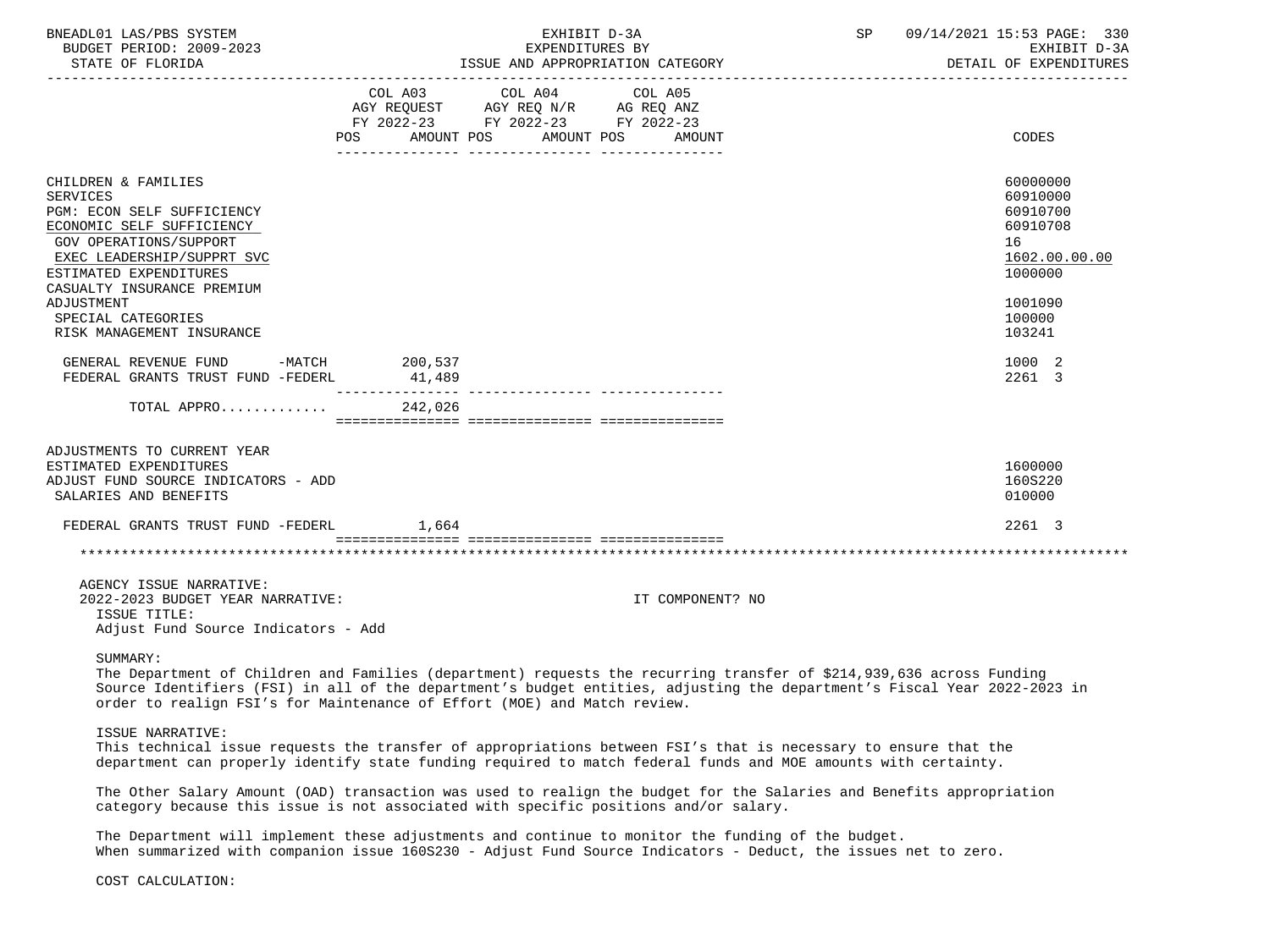| BNEADL01 LAS/PBS SYSTEM<br>BUDGET PERIOD: 2009-2023<br>STATE OF FLORIDA                                                                                                                                                                                                            |        | EXHIBIT D-3A<br>EXPENDITURES BY<br>ISSUE AND APPROPRIATION CATEGORY                                                                   |                  | SP and the set of the set of the set of the set of the set of the set of the set of the set of the set of the s | 09/14/2021 15:53 PAGE: 330<br>EXHIBIT D-3A<br>DETAIL OF EXPENDITURES                                          |
|------------------------------------------------------------------------------------------------------------------------------------------------------------------------------------------------------------------------------------------------------------------------------------|--------|---------------------------------------------------------------------------------------------------------------------------------------|------------------|-----------------------------------------------------------------------------------------------------------------|---------------------------------------------------------------------------------------------------------------|
|                                                                                                                                                                                                                                                                                    |        | COL A03 COL A04 COL A05<br>AGY REQUEST AGY REQ N/R AG REQ ANZ<br>FY 2022-23 FY 2022-23 FY 2022-23<br>POS AMOUNT POS AMOUNT POS AMOUNT |                  |                                                                                                                 | CODES                                                                                                         |
| CHILDREN & FAMILIES<br><b>SERVICES</b><br>PGM: ECON SELF SUFFICIENCY<br>ECONOMIC SELF SUFFICIENCY<br>GOV OPERATIONS/SUPPORT<br>EXEC LEADERSHIP/SUPPRT SVC<br>ESTIMATED EXPENDITURES<br>CASUALTY INSURANCE PREMIUM<br>ADJUSTMENT<br>SPECIAL CATEGORIES<br>RISK MANAGEMENT INSURANCE |        |                                                                                                                                       |                  |                                                                                                                 | 60000000<br>60910000<br>60910700<br>60910708<br>16<br>1602.00.00.00<br>1000000<br>1001090<br>100000<br>103241 |
| GENERAL REVENUE FUND -MATCH 200,537<br>FEDERAL GRANTS TRUST FUND -FEDERL                                                                                                                                                                                                           | 41,489 |                                                                                                                                       |                  |                                                                                                                 | 1000 2<br>2261 3                                                                                              |
| TOTAL APPRO 242,026                                                                                                                                                                                                                                                                |        |                                                                                                                                       |                  |                                                                                                                 |                                                                                                               |
| ADJUSTMENTS TO CURRENT YEAR<br>ESTIMATED EXPENDITURES<br>ADJUST FUND SOURCE INDICATORS - ADD<br>SALARIES AND BENEFITS                                                                                                                                                              |        |                                                                                                                                       |                  |                                                                                                                 | 1600000<br>160S220<br>010000                                                                                  |
| FEDERAL GRANTS TRUST FUND -FEDERL 1,664                                                                                                                                                                                                                                            |        |                                                                                                                                       |                  |                                                                                                                 | 2261 3                                                                                                        |
|                                                                                                                                                                                                                                                                                    |        |                                                                                                                                       |                  |                                                                                                                 |                                                                                                               |
| AGENCY ISSUE NARRATIVE:<br>2022-2023 BUDGET YEAR NARRATIVE:<br>ISSUE TITLE:<br>Adjust Fund Source Indicators - Add                                                                                                                                                                 |        |                                                                                                                                       | IT COMPONENT? NO |                                                                                                                 |                                                                                                               |
|                                                                                                                                                                                                                                                                                    |        |                                                                                                                                       |                  |                                                                                                                 |                                                                                                               |

SUMMARY:

 The Department of Children and Families (department) requests the recurring transfer of \$214,939,636 across Funding Source Identifiers (FSI) in all of the department's budget entities, adjusting the department's Fiscal Year 2022-2023 in order to realign FSI's for Maintenance of Effort (MOE) and Match review.

#### ISSUE NARRATIVE:

 This technical issue requests the transfer of appropriations between FSI's that is necessary to ensure that the department can properly identify state funding required to match federal funds and MOE amounts with certainty.

 The Other Salary Amount (OAD) transaction was used to realign the budget for the Salaries and Benefits appropriation category because this issue is not associated with specific positions and/or salary.

 The Department will implement these adjustments and continue to monitor the funding of the budget. When summarized with companion issue 160S230 - Adjust Fund Source Indicators - Deduct, the issues net to zero.

COST CALCULATION: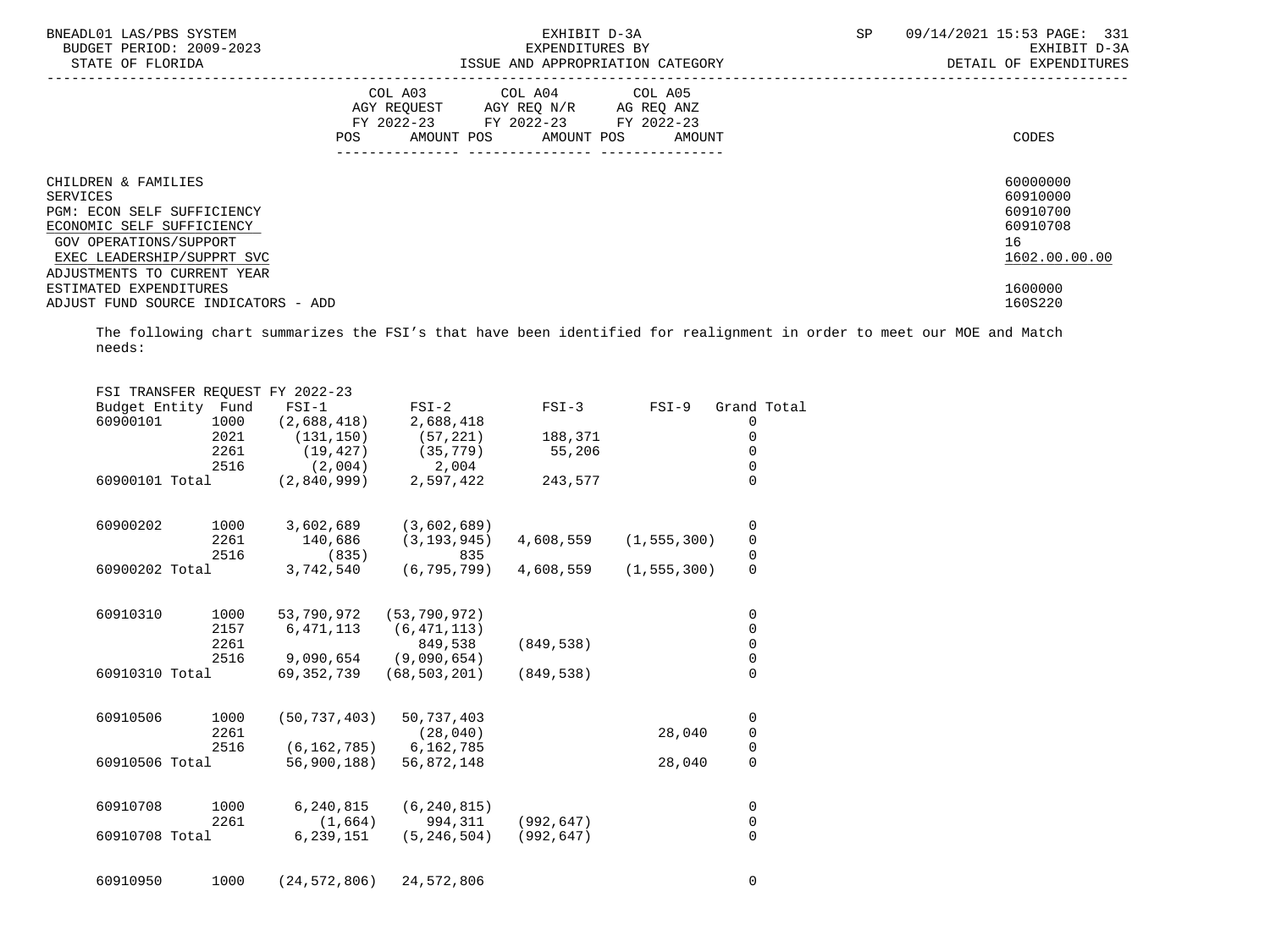| BNEADL01 LAS/PBS SYSTEM<br>BUDGET PERIOD: 2009-2023<br>STATE OF FLORIDA |     | EXHIBIT D-3A<br>EXPENDITURES BY<br>ISSUE AND APPROPRIATION CATEGORY                                                           | SP     | 09/14/2021 15:53 PAGE: 331<br>EXHIBIT D-3A<br>DETAIL OF EXPENDITURES |                      |
|-------------------------------------------------------------------------|-----|-------------------------------------------------------------------------------------------------------------------------------|--------|----------------------------------------------------------------------|----------------------|
|                                                                         | POS | COL A03 COL A04 COL A05<br>AGY REQUEST AGY REQ N/R AG REQ ANZ<br>FY 2022-23 FY 2022-23 FY 2022-23<br>AMOUNT POS<br>AMOUNT POS | AMOUNT |                                                                      | CODES                |
| CHILDREN & FAMILIES<br>SERVICES                                         |     |                                                                                                                               |        |                                                                      | 60000000<br>60910000 |
| PGM: ECON SELF SUFFICIENCY                                              |     |                                                                                                                               |        |                                                                      | 60910700             |
| ECONOMIC SELF SUFFICIENCY                                               |     |                                                                                                                               |        |                                                                      | 60910708             |
| GOV OPERATIONS/SUPPORT                                                  |     |                                                                                                                               |        |                                                                      | 16                   |
| EXEC LEADERSHIP/SUPPRT SVC                                              |     |                                                                                                                               |        |                                                                      | 1602.00.00.00        |
| ADJUSTMENTS TO CURRENT YEAR                                             |     |                                                                                                                               |        |                                                                      |                      |
| ESTIMATED EXPENDITURES                                                  |     |                                                                                                                               |        |                                                                      | 1600000              |
| ADJUST FUND SOURCE INDICATORS - ADD                                     |     |                                                                                                                               |        |                                                                      | 160S220              |

| FSI TRANSFER REOUEST FY 2022-23 |      |                |                |            |               |                                      |  |
|---------------------------------|------|----------------|----------------|------------|---------------|--------------------------------------|--|
| Budget Entity Fund              |      | $FSI-1$        | $FSI-2$        | $FSI-3$    | $FSI-9$       | Grand Total                          |  |
| 60900101                        | 1000 | (2,688,418)    | 2,688,418      |            |               | 0                                    |  |
|                                 | 2021 | (131, 150)     | (57, 221)      | 188,371    |               | $\mathsf{O}\xspace$                  |  |
|                                 | 2261 | (19, 427)      | (35, 779)      | 55,206     |               | 0                                    |  |
|                                 | 2516 | (2,004)        | 2,004          |            |               | 0                                    |  |
| 60900101 Total                  |      | (2,840,999)    | 2,597,422      | 243,577    |               | $\overline{0}$                       |  |
| 60900202                        | 1000 | 3,602,689      | (3,602,689)    |            |               | 0                                    |  |
|                                 | 2261 | 140,686        | (3, 193, 945)  | 4,608,559  | (1, 555, 300) | $\pmb{0}$                            |  |
|                                 | 2516 | (835)          | 835            |            |               | $\mathsf{O}\xspace$                  |  |
| 60900202 Total                  |      | 3,742,540      | (6, 795, 799)  | 4,608,559  | (1, 555, 300) | $\overline{0}$                       |  |
| 60910310                        | 1000 | 53,790,972     | (53, 790, 972) |            |               | 0                                    |  |
|                                 | 2157 | 6,471,113      | (6, 471, 113)  |            |               | $\mathsf 0$                          |  |
|                                 | 2261 |                | 849,538        | (849, 538) |               | $\mathsf 0$                          |  |
|                                 | 2516 | 9,090,654      | (9,090,654)    |            |               | $\mathsf{O}\xspace$                  |  |
| 60910310 Total                  |      | 69,352,739     | (68, 503, 201) | (849, 538) |               | $\Omega$                             |  |
| 60910506                        | 1000 | (50, 737, 403) | 50,737,403     |            |               | $\mathsf{O}\xspace$                  |  |
|                                 | 2261 |                | (28, 040)      |            | 28,040        | $\mathbf 0$                          |  |
|                                 | 2516 | (6, 162, 785)  | 6,162,785      |            |               | $\begin{matrix} 0 \\ 0 \end{matrix}$ |  |
| 60910506 Total                  |      | 56,900,188)    | 56,872,148     |            | 28,040        |                                      |  |
| 60910708                        | 1000 | 6,240,815      | (6, 240, 815)  |            |               | 0                                    |  |
|                                 | 2261 | (1,664)        | 994,311        | (992, 647) |               | $\mathsf 0$                          |  |
| 60910708 Total                  |      | 6,239,151      | (5, 246, 504)  | (992, 647) |               | 0                                    |  |
| 60910950                        | 1000 | (24, 572, 806) | 24,572,806     |            |               | 0                                    |  |
|                                 |      |                |                |            |               |                                      |  |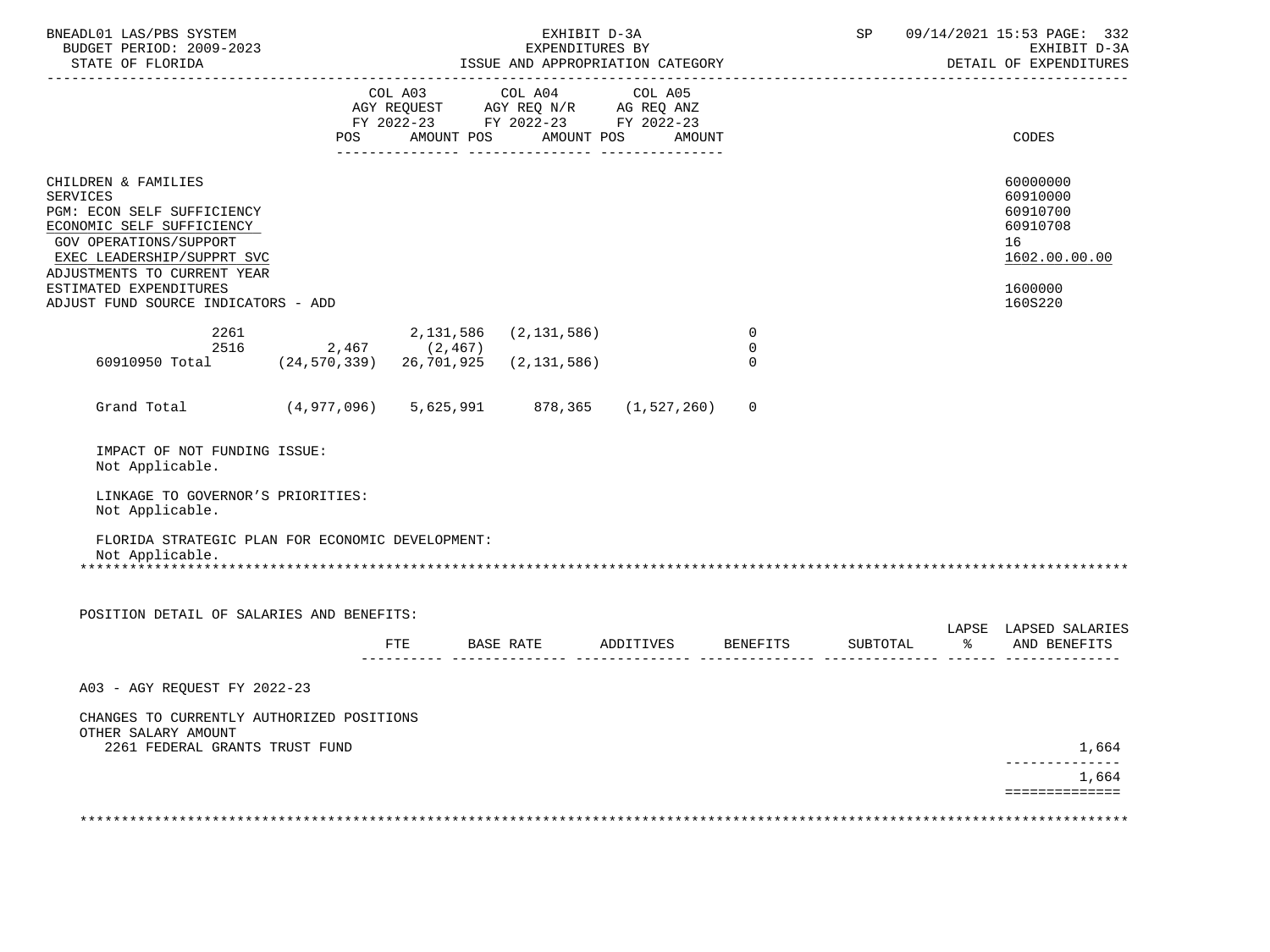| BNEADL01 LAS/PBS SYSTEM<br>BUDGET PERIOD: 2009-2023                                                                                                                                                                                                       |                 |            | EXHIBIT D-3A<br>EXPENDITURES BY       |                                       |                  | SP |             | 09/14/2021 15:53 PAGE: 332<br>EXHIBIT D-3A<br>DETAIL OF EXPENDITURES                      |
|-----------------------------------------------------------------------------------------------------------------------------------------------------------------------------------------------------------------------------------------------------------|-----------------|------------|---------------------------------------|---------------------------------------|------------------|----|-------------|-------------------------------------------------------------------------------------------|
|                                                                                                                                                                                                                                                           | POS             | AMOUNT POS | COL A03 COL A04 COL A05<br>AMOUNT POS | AMOUNT                                |                  |    |             | CODES                                                                                     |
| CHILDREN & FAMILIES<br><b>SERVICES</b><br>PGM: ECON SELF SUFFICIENCY<br>ECONOMIC SELF SUFFICIENCY<br>GOV OPERATIONS/SUPPORT<br>EXEC LEADERSHIP/SUPPRT SVC<br>ADJUSTMENTS TO CURRENT YEAR<br>ESTIMATED EXPENDITURES<br>ADJUST FUND SOURCE INDICATORS - ADD |                 |            |                                       |                                       |                  |    |             | 60000000<br>60910000<br>60910700<br>60910708<br>16<br>1602.00.00.00<br>1600000<br>160S220 |
| 2261<br>2516                                                                                                                                                                                                                                              | $2,467$ (2,467) |            | 2, 131, 586 (2, 131, 586)             |                                       | 0<br>$\mathbf 0$ |    |             |                                                                                           |
| 60910950 Total (24,570,339) 26,701,925 (2,131,586)                                                                                                                                                                                                        |                 |            |                                       |                                       | $\Omega$         |    |             |                                                                                           |
| Grand Total (4,977,096) 5,625,991 878,365 (1,527,260)                                                                                                                                                                                                     |                 |            |                                       |                                       | 0                |    |             |                                                                                           |
| IMPACT OF NOT FUNDING ISSUE:<br>Not Applicable.                                                                                                                                                                                                           |                 |            |                                       |                                       |                  |    |             |                                                                                           |
| LINKAGE TO GOVERNOR'S PRIORITIES:<br>Not Applicable.                                                                                                                                                                                                      |                 |            |                                       |                                       |                  |    |             |                                                                                           |
| FLORIDA STRATEGIC PLAN FOR ECONOMIC DEVELOPMENT:<br>Not Applicable.                                                                                                                                                                                       |                 |            |                                       |                                       |                  |    |             |                                                                                           |
| POSITION DETAIL OF SALARIES AND BENEFITS:                                                                                                                                                                                                                 |                 |            |                                       |                                       |                  |    |             |                                                                                           |
|                                                                                                                                                                                                                                                           |                 | FTE        |                                       | BASE RATE ADDITIVES BENEFITS SUBTOTAL |                  |    | $rac{8}{6}$ | LAPSE LAPSED SALARIES<br>AND BENEFITS                                                     |
| A03 - AGY REQUEST FY 2022-23                                                                                                                                                                                                                              |                 |            |                                       |                                       |                  |    |             |                                                                                           |
| CHANGES TO CURRENTLY AUTHORIZED POSITIONS<br>OTHER SALARY AMOUNT                                                                                                                                                                                          |                 |            |                                       |                                       |                  |    |             |                                                                                           |
| 2261 FEDERAL GRANTS TRUST FUND                                                                                                                                                                                                                            |                 |            |                                       |                                       |                  |    |             | 1,664                                                                                     |
|                                                                                                                                                                                                                                                           |                 |            |                                       |                                       |                  |    |             | 1,664<br>==============                                                                   |
|                                                                                                                                                                                                                                                           |                 |            |                                       |                                       |                  |    |             |                                                                                           |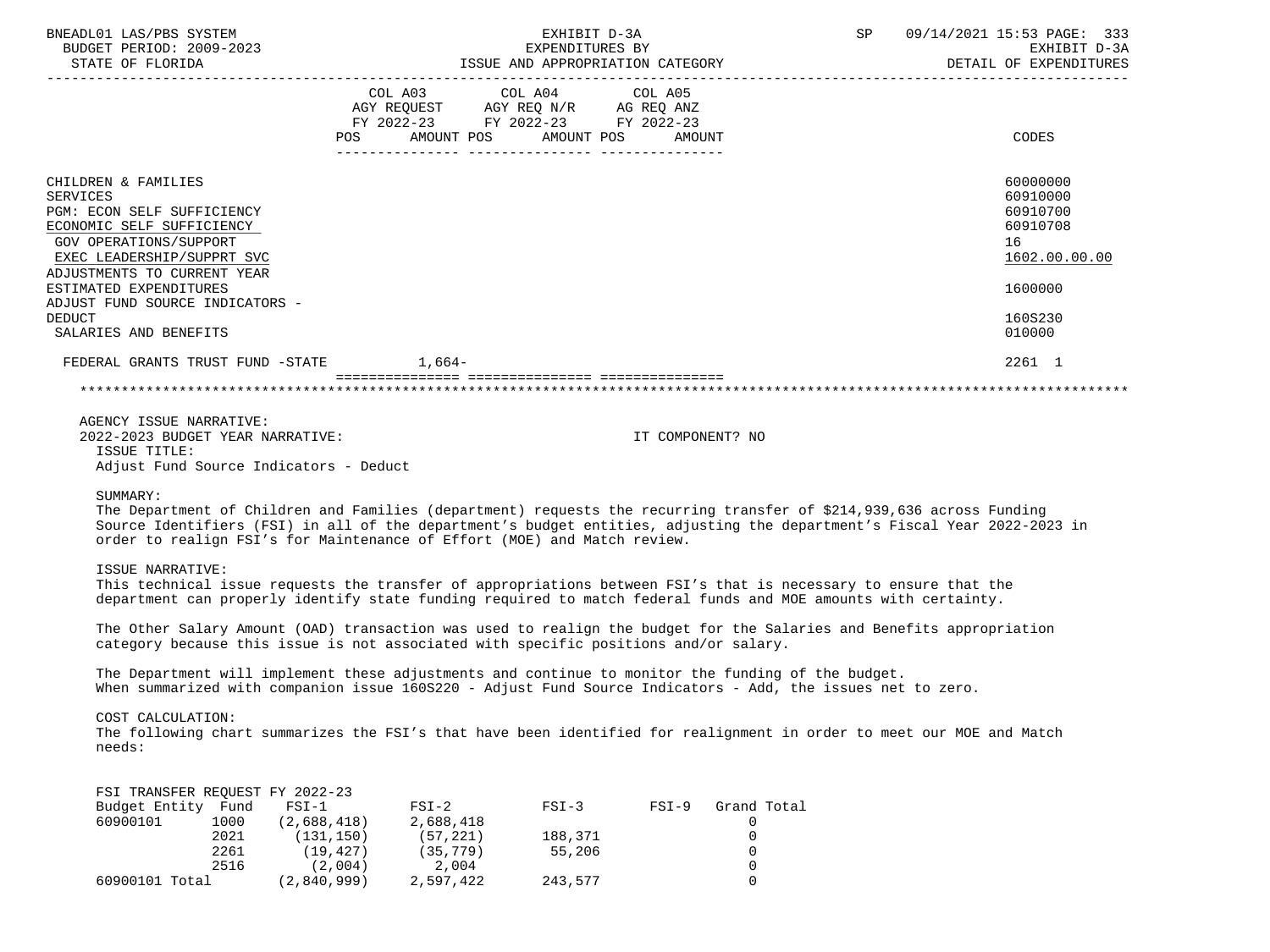| BNEADL01 LAS/PBS SYSTEM<br>BUDGET PERIOD: 2009-2023<br>STATE OF FLORIDA                                                                                                           | EXHIBIT D-3A<br>EXPENDITURES BY<br>ISSUE AND APPROPRIATION CATEGORY                                                            |        | SP<br>09/14/2021 15:53 PAGE: 333<br>EXHIBIT D-3A<br>DETAIL OF EXPENDITURES |
|-----------------------------------------------------------------------------------------------------------------------------------------------------------------------------------|--------------------------------------------------------------------------------------------------------------------------------|--------|----------------------------------------------------------------------------|
|                                                                                                                                                                                   | COL A03 COL A04 COL A05<br>AGY REQUEST AGY REQ N/R AG REQ ANZ<br>FY 2022-23 FY 2022-23 FY 2022-23<br>POS AMOUNT POS AMOUNT POS | AMOUNT | CODES                                                                      |
| CHILDREN & FAMILIES<br>SERVICES<br>PGM: ECON SELF SUFFICIENCY<br>ECONOMIC SELF SUFFICIENCY<br>GOV OPERATIONS/SUPPORT<br>EXEC LEADERSHIP/SUPPRT SVC<br>ADJUSTMENTS TO CURRENT YEAR |                                                                                                                                |        | 60000000<br>60910000<br>60910700<br>60910708<br>16<br>1602.00.00.00        |
| ESTIMATED EXPENDITURES<br>ADJUST FUND SOURCE INDICATORS -<br>DEDUCT<br>SALARIES AND BENEFITS                                                                                      |                                                                                                                                |        | 1600000<br>160S230<br>010000                                               |
| FEDERAL GRANTS TRUST FUND -STATE 1,664-                                                                                                                                           |                                                                                                                                |        | 2261 1                                                                     |

 AGENCY ISSUE NARRATIVE: 2022-2023 BUDGET YEAR NARRATIVE: IT COMPONENT? NO ISSUE TITLE: Adjust Fund Source Indicators - Deduct

#### SUMMARY:

 The Department of Children and Families (department) requests the recurring transfer of \$214,939,636 across Funding Source Identifiers (FSI) in all of the department's budget entities, adjusting the department's Fiscal Year 2022-2023 in order to realign FSI's for Maintenance of Effort (MOE) and Match review.

# ISSUE NARRATIVE:

 This technical issue requests the transfer of appropriations between FSI's that is necessary to ensure that the department can properly identify state funding required to match federal funds and MOE amounts with certainty.

 The Other Salary Amount (OAD) transaction was used to realign the budget for the Salaries and Benefits appropriation category because this issue is not associated with specific positions and/or salary.

 The Department will implement these adjustments and continue to monitor the funding of the budget. When summarized with companion issue 160S220 - Adjust Fund Source Indicators - Add, the issues net to zero.

#### COST CALCULATION:

| FSI TRANSFER REQUEST FY 2022-23 |      |             |           |         |         |             |
|---------------------------------|------|-------------|-----------|---------|---------|-------------|
| Budget Entity                   | Fund | $FSI-1$     | $FSI-2$   | $FSI-3$ | $FSI-9$ | Grand Total |
| 60900101                        | 1000 | (2,688,418) | 2,688,418 |         |         |             |
|                                 | 2021 | (131, 150)  | (57, 221) | 188,371 |         |             |
|                                 | 2261 | (19, 427)   | (35, 779) | 55,206  |         |             |
|                                 | 2516 | (2.004)     | 2,004     |         |         |             |
| 60900101 Total                  |      | (2,840,999) | 2,597,422 | 243,577 |         |             |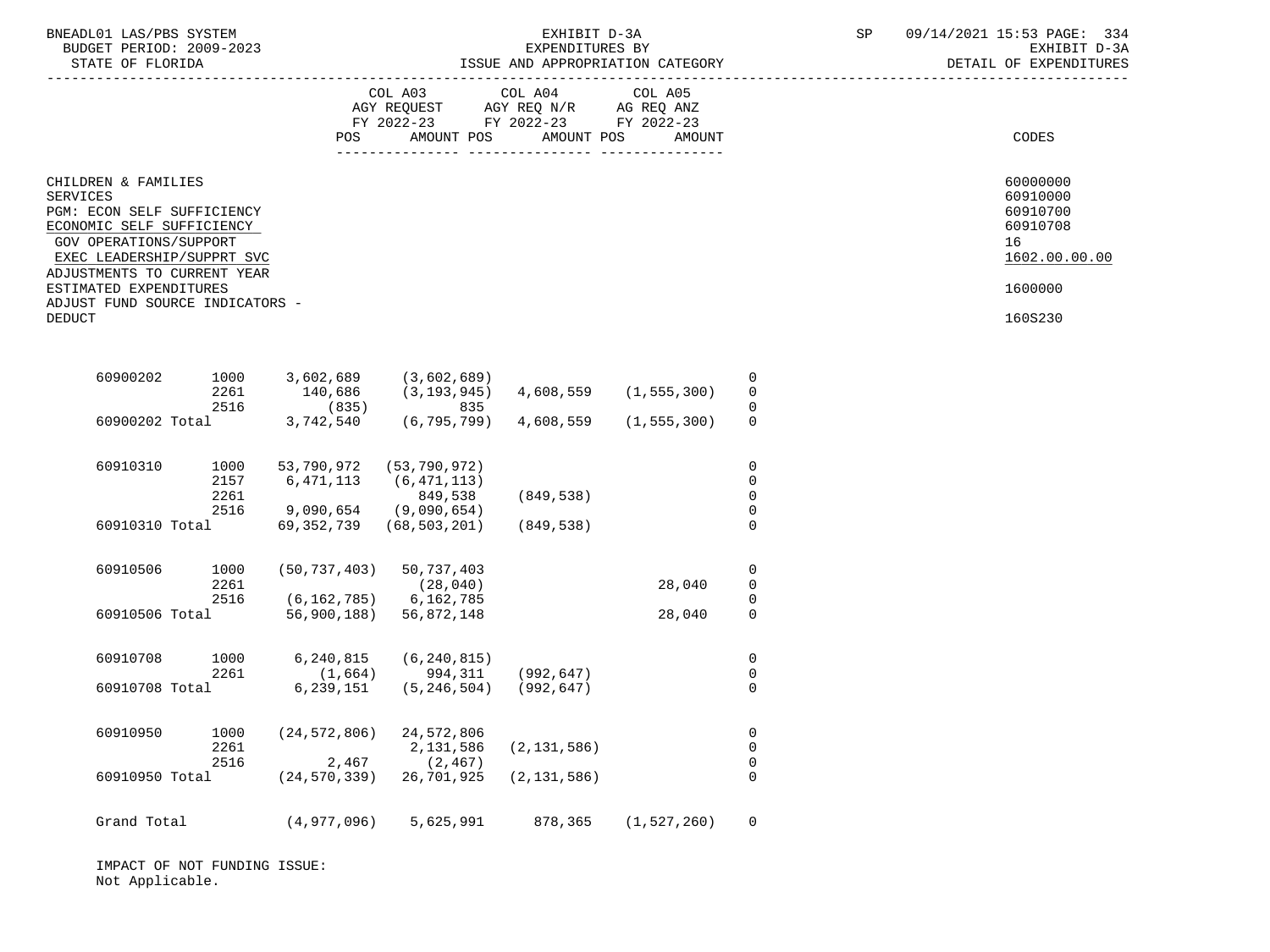| BNEADL01 LAS/PBS SYSTEM<br>BUDGET PERIOD: 2009-2023<br>STATE OF FLORIDA                                                                                                           |                              |                                 |                                                                                                 | EXHIBIT D-3A<br>EXPENDITURES BY | ISSUE AND APPROPRIATION CATEGORY |                                                          | SP | 09/14/2021 15:53 PAGE: 334<br>EXHIBIT D-3A<br>DETAIL OF EXPENDITURES |
|-----------------------------------------------------------------------------------------------------------------------------------------------------------------------------------|------------------------------|---------------------------------|-------------------------------------------------------------------------------------------------|---------------------------------|----------------------------------|----------------------------------------------------------|----|----------------------------------------------------------------------|
|                                                                                                                                                                                   |                              | POS                             | COL A03<br>AGY REQUEST AGY REQ N/R AG REQ ANZ<br>FY 2022-23 FY 2022-23 FY 2022-23<br>AMOUNT POS | COL A04<br>AMOUNT POS           | COL A05<br>AMOUNT                |                                                          |    | CODES                                                                |
| CHILDREN & FAMILIES<br>SERVICES<br>PGM: ECON SELF SUFFICIENCY<br>ECONOMIC SELF SUFFICIENCY<br>GOV OPERATIONS/SUPPORT<br>EXEC LEADERSHIP/SUPPRT SVC<br>ADJUSTMENTS TO CURRENT YEAR |                              |                                 |                                                                                                 |                                 |                                  |                                                          |    | 60000000<br>60910000<br>60910700<br>60910708<br>16<br>1602.00.00.00  |
| ESTIMATED EXPENDITURES<br>ADJUST FUND SOURCE INDICATORS -                                                                                                                         |                              |                                 |                                                                                                 |                                 |                                  |                                                          |    | 1600000                                                              |
| <b>DEDUCT</b>                                                                                                                                                                     |                              |                                 |                                                                                                 |                                 |                                  |                                                          |    | 160S230                                                              |
| 60900202                                                                                                                                                                          | 1000<br>2261<br>2516         | 3,602,689<br>140,686<br>(835)   | (3,602,689)<br>$(3, 193, 945)$ $4, 608, 559$ $(1, 555, 300)$<br>835                             |                                 |                                  | 0<br>$\mathbf 0$<br>$\Omega$                             |    |                                                                      |
| 60900202 Total                                                                                                                                                                    |                              | 3,742,540                       | (6,795,799) 4,608,559                                                                           |                                 | (1, 555, 300)                    | $\mathbf 0$                                              |    |                                                                      |
| 60910310                                                                                                                                                                          | 1000<br>2157<br>2261<br>2516 | 53,790,972<br>6,471,113         | (53,790,972)<br>(6, 471, 113)<br>849,538<br>$9,090,654$ (9,090,654)                             | (849, 538)                      |                                  | $\mathbf 0$<br>$\mathbf 0$<br>$\mathbf 0$<br>$\mathbf 0$ |    |                                                                      |
| 60910310 Total                                                                                                                                                                    |                              | 69,352,739                      | (68, 503, 201)                                                                                  | (849,538)                       |                                  | $\Omega$                                                 |    |                                                                      |
| 60910506                                                                                                                                                                          | 1000<br>2261<br>2516         | (50, 737, 403)<br>(6, 162, 785) | 50,737,403<br>(28, 040)<br>6,162,785                                                            |                                 | 28,040                           | 0<br>$\mathbf 0$<br>0                                    |    |                                                                      |
| 60910506 Total                                                                                                                                                                    |                              |                                 | 56,900,188) 56,872,148                                                                          |                                 | 28,040                           | $\mathbf 0$                                              |    |                                                                      |
| 60910708                                                                                                                                                                          | 1000<br>2261                 | 6,240,815<br>(1,664)            | (6, 240, 815)<br>994,311                                                                        | (992, 647)                      |                                  | $\mathsf{O}$<br>$\mathbf 0$                              |    |                                                                      |
| 60910708 Total                                                                                                                                                                    |                              | 6,239,151                       | (5,246,504) (992,647)                                                                           |                                 |                                  | $\mathbf 0$                                              |    |                                                                      |
| 60910950                                                                                                                                                                          | 1000<br>2261<br>2516         | (24, 572, 806)<br>2,467         | 24,572,806<br>2,131,586<br>(2, 467)                                                             | (2, 131, 586)                   |                                  | $\mathbf 0$<br>$\mathsf{O}$<br>$\mathbf 0$               |    |                                                                      |
| 60910950 Total                                                                                                                                                                    |                              | $(24, 570, 339)$ 26, 701, 925   |                                                                                                 | (2, 131, 586)                   |                                  | $\mathbf 0$                                              |    |                                                                      |
| Grand Total                                                                                                                                                                       |                              | (4,977,096)                     | 5,625,991                                                                                       | 878,365                         | (1, 527, 260)                    | $\Omega$                                                 |    |                                                                      |

 IMPACT OF NOT FUNDING ISSUE: Not Applicable.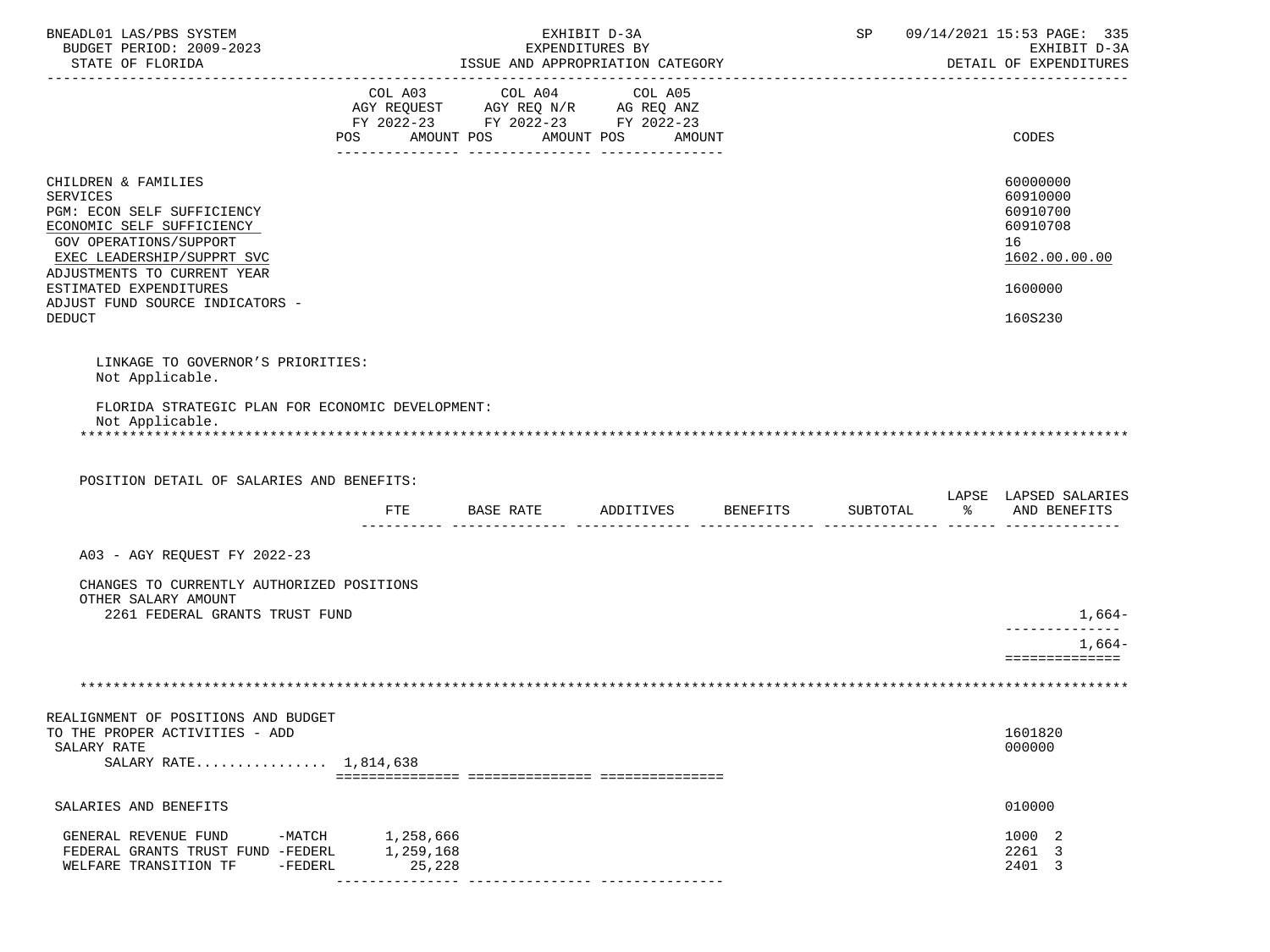| BNEADL01 LAS/PBS SYSTEM<br>BUDGET PERIOD: 2009-2023<br>STATE OF FLORIDA                                                                                                           | ISSUE AND APPROPRIATION CATEGORY                                     | EXHIBIT D-3A<br>EXPENDITURES BY |          |               | SP 09/14/2021 15:53 PAGE: 335<br>EXHIBIT D-3A<br>DETAIL OF EXPENDITURES |
|-----------------------------------------------------------------------------------------------------------------------------------------------------------------------------------|----------------------------------------------------------------------|---------------------------------|----------|---------------|-------------------------------------------------------------------------|
|                                                                                                                                                                                   | FY 2022-23 FY 2022-23 FY 2022-23<br>POS AMOUNT POS AMOUNT POS AMOUNT |                                 |          |               | CODES                                                                   |
| CHILDREN & FAMILIES<br>SERVICES<br>PGM: ECON SELF SUFFICIENCY<br>ECONOMIC SELF SUFFICIENCY<br>GOV OPERATIONS/SUPPORT<br>EXEC LEADERSHIP/SUPPRT SVC<br>ADJUSTMENTS TO CURRENT YEAR |                                                                      |                                 |          |               | 60000000<br>60910000<br>60910700<br>60910708<br>16<br>1602.00.00.00     |
| ESTIMATED EXPENDITURES<br>ADJUST FUND SOURCE INDICATORS -<br><b>DEDUCT</b>                                                                                                        |                                                                      |                                 |          |               | 1600000<br>160S230                                                      |
| LINKAGE TO GOVERNOR'S PRIORITIES:<br>Not Applicable.                                                                                                                              |                                                                      |                                 |          |               |                                                                         |
| FLORIDA STRATEGIC PLAN FOR ECONOMIC DEVELOPMENT:<br>Not Applicable.                                                                                                               |                                                                      |                                 |          |               |                                                                         |
|                                                                                                                                                                                   |                                                                      |                                 |          |               |                                                                         |
| POSITION DETAIL OF SALARIES AND BENEFITS:                                                                                                                                         |                                                                      |                                 |          |               | LAPSE LAPSED SALARIES                                                   |
|                                                                                                                                                                                   | FTE BASE RATE                                                        | ADDITIVES BENEFITS              | SUBTOTAL | $\frac{1}{6}$ | AND BENEFITS                                                            |
| A03 - AGY REQUEST FY 2022-23                                                                                                                                                      |                                                                      |                                 |          |               |                                                                         |
| CHANGES TO CURRENTLY AUTHORIZED POSITIONS<br>OTHER SALARY AMOUNT                                                                                                                  |                                                                      |                                 |          |               |                                                                         |
| 2261 FEDERAL GRANTS TRUST FUND                                                                                                                                                    |                                                                      |                                 |          |               | 1,664-<br>-------------<br>$1,664-$<br>==============                   |
|                                                                                                                                                                                   |                                                                      |                                 |          |               |                                                                         |
| REALIGNMENT OF POSITIONS AND BUDGET<br>TO THE PROPER ACTIVITIES - ADD<br>SALARY RATE<br>SALARY RATE 1,814,638                                                                     |                                                                      |                                 |          |               | 1601820<br>000000                                                       |
| SALARIES AND BENEFITS                                                                                                                                                             |                                                                      |                                 |          |               | 010000                                                                  |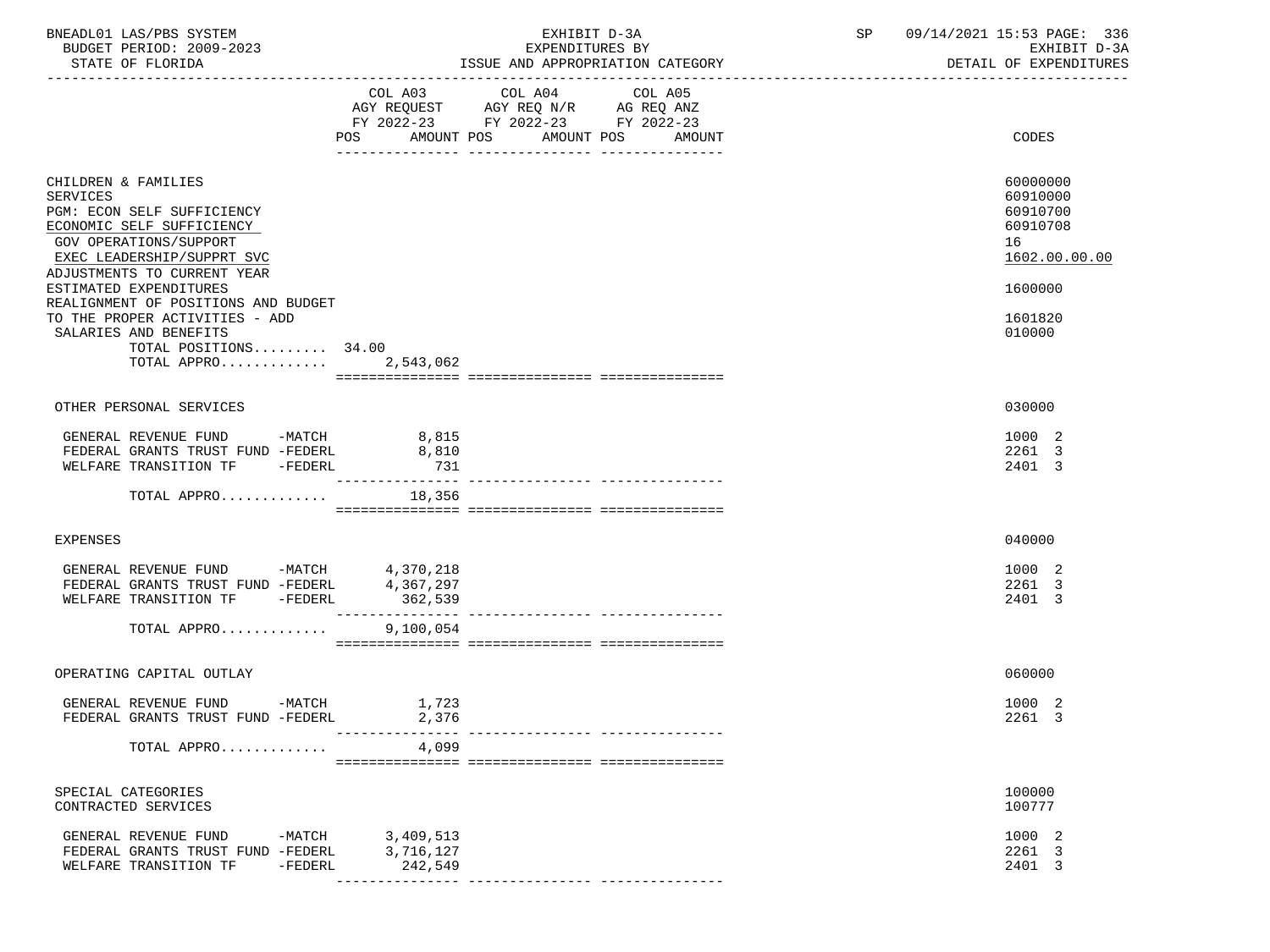| COL A03 COL A04 COL A05<br>AGY REQUEST AGY REQ N/R AG REQ ANZ<br>FY 2022-23 FY 2022-23 FY 2022-23<br>POS AMOUNT POS AMOUNT POS<br>AMOUNT                                                                  | CODES                                                               |
|-----------------------------------------------------------------------------------------------------------------------------------------------------------------------------------------------------------|---------------------------------------------------------------------|
| CHILDREN & FAMILIES<br>SERVICES<br>PGM: ECON SELF SUFFICIENCY<br>ECONOMIC SELF SUFFICIENCY<br>GOV OPERATIONS/SUPPORT<br>EXEC LEADERSHIP/SUPPRT SVC                                                        | 60000000<br>60910000<br>60910700<br>60910708<br>16<br>1602.00.00.00 |
| ADJUSTMENTS TO CURRENT YEAR<br>ESTIMATED EXPENDITURES<br>REALIGNMENT OF POSITIONS AND BUDGET<br>TO THE PROPER ACTIVITIES - ADD<br>SALARIES AND BENEFITS<br>TOTAL POSITIONS 34.00<br>TOTAL APPRO 2,543,062 | 1600000<br>1601820<br>010000                                        |
| OTHER PERSONAL SERVICES                                                                                                                                                                                   | 030000                                                              |
| GENERAL REVENUE FUND -MATCH 8,815<br>FEDERAL GRANTS TRUST FUND -FEDERL<br>8,810<br>WELFARE TRANSITION TF -FEDERL<br>731<br>_________________                                                              | 1000 2<br>2261 3<br>2401 3                                          |
| TOTAL APPRO<br>18,356                                                                                                                                                                                     |                                                                     |
| EXPENSES                                                                                                                                                                                                  | 040000                                                              |
| GENERAL REVENUE FUND -MATCH 4,370,218<br>FEDERAL GRANTS TRUST FUND -FEDERL 4,367,297<br>WELFARE TRANSITION TF -FEDERL<br>362,539                                                                          | 1000 2<br>2261 3<br>2401 3                                          |
| 9,100,054<br>TOTAL APPRO                                                                                                                                                                                  |                                                                     |
| OPERATING CAPITAL OUTLAY                                                                                                                                                                                  | 060000                                                              |
| GENERAL REVENUE FUND -MATCH<br>1,723<br>FEDERAL GRANTS TRUST FUND -FEDERL<br>2,376<br>__________________________________                                                                                  | 1000 2<br>2261 3                                                    |
| 4,099<br>TOTAL APPRO                                                                                                                                                                                      |                                                                     |
| SPECIAL CATEGORIES<br>CONTRACTED SERVICES                                                                                                                                                                 | 100000<br>100777                                                    |
| GENERAL REVENUE FUND<br>-MATCH<br>3,409,513<br>3,716,127<br>FEDERAL GRANTS TRUST FUND -FEDERL<br>WELFARE TRANSITION TF<br>$-FEDERL$<br>242,549                                                            | 1000 2<br>2261 3<br>2401 3                                          |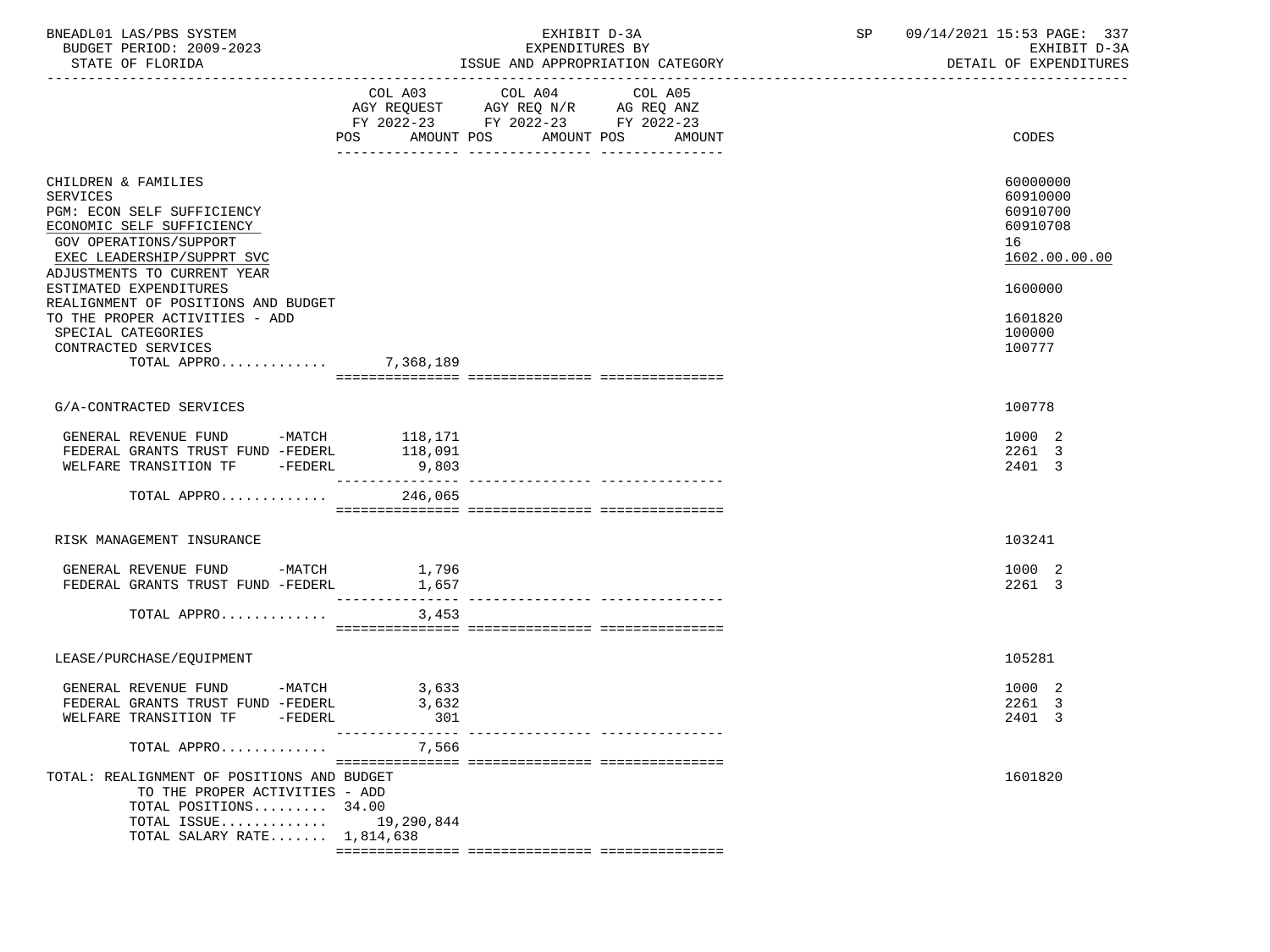| BNEADL01 LAS/PBS SYSTEM<br>BUDGET PERIOD: 2009-2023<br>STATE OF FLORIDA                                                                                                                  |                          | EXHIBIT D-3A<br>EXPENDITURES BY                                                                                               | ISSUE AND APPROPRIATION CATEGORY | SP | 09/14/2021 15:53 PAGE: 337<br>EXHIBIT D-3A<br>DETAIL OF EXPENDITURES |
|------------------------------------------------------------------------------------------------------------------------------------------------------------------------------------------|--------------------------|-------------------------------------------------------------------------------------------------------------------------------|----------------------------------|----|----------------------------------------------------------------------|
|                                                                                                                                                                                          |                          | COL A03 COL A04<br>AGY REQUEST AGY REQ N/R AG REQ ANZ<br>FY 2022-23 FY 2022-23 FY 2022-23<br>POS AMOUNT POS AMOUNT POS AMOUNT | COL A05                          |    | CODES                                                                |
| CHILDREN & FAMILIES<br><b>SERVICES</b><br>PGM: ECON SELF SUFFICIENCY<br>ECONOMIC SELF SUFFICIENCY<br>GOV OPERATIONS/SUPPORT<br>EXEC LEADERSHIP/SUPPRT SVC<br>ADJUSTMENTS TO CURRENT YEAR |                          |                                                                                                                               |                                  |    | 60000000<br>60910000<br>60910700<br>60910708<br>16<br>1602.00.00.00  |
| ESTIMATED EXPENDITURES<br>REALIGNMENT OF POSITIONS AND BUDGET<br>TO THE PROPER ACTIVITIES - ADD<br>SPECIAL CATEGORIES<br>CONTRACTED SERVICES                                             |                          |                                                                                                                               |                                  |    | 1600000<br>1601820<br>100000<br>100777                               |
| TOTAL APPRO 7,368,189                                                                                                                                                                    |                          |                                                                                                                               |                                  |    |                                                                      |
| G/A-CONTRACTED SERVICES                                                                                                                                                                  |                          |                                                                                                                               |                                  |    | 100778                                                               |
| GENERAL REVENUE FUND -MATCH 118,171<br>FEDERAL GRANTS TRUST FUND -FEDERL<br>WELFARE TRANSITION TF -FEDERL                                                                                | 118,091<br>9,803         |                                                                                                                               |                                  |    | 1000 2<br>2261 3<br>2401 3                                           |
| TOTAL APPRO                                                                                                                                                                              | 246,065                  |                                                                                                                               |                                  |    |                                                                      |
| RISK MANAGEMENT INSURANCE                                                                                                                                                                |                          |                                                                                                                               |                                  |    | 103241                                                               |
| GENERAL REVENUE FUND -MATCH 1,796<br>FEDERAL GRANTS TRUST FUND -FEDERL                                                                                                                   | 1,657                    | ---------------- ---------------                                                                                              |                                  |    | 1000 2<br>2261 3                                                     |
| TOTAL APPRO                                                                                                                                                                              | 3,453                    |                                                                                                                               |                                  |    |                                                                      |
| LEASE/PURCHASE/EQUIPMENT                                                                                                                                                                 |                          |                                                                                                                               |                                  |    | 105281                                                               |
| GENERAL REVENUE FUND -MATCH 3,633<br>FEDERAL GRANTS TRUST FUND -FEDERL<br>WELFARE TRANSITION TF -FEDERL                                                                                  | 3,632<br>301             |                                                                                                                               |                                  |    | 1000 2<br>2261 3<br>2401 3                                           |
| TOTAL APPRO                                                                                                                                                                              | ---------------<br>7,566 |                                                                                                                               |                                  |    |                                                                      |
| TOTAL: REALIGNMENT OF POSITIONS AND BUDGET<br>TO THE PROPER ACTIVITIES - ADD<br>TOTAL POSITIONS 34.00<br>TOTAL ISSUE<br>TOTAL SALARY RATE $1.814.638$                                    | 19,290,844               |                                                                                                                               |                                  |    | 1601820                                                              |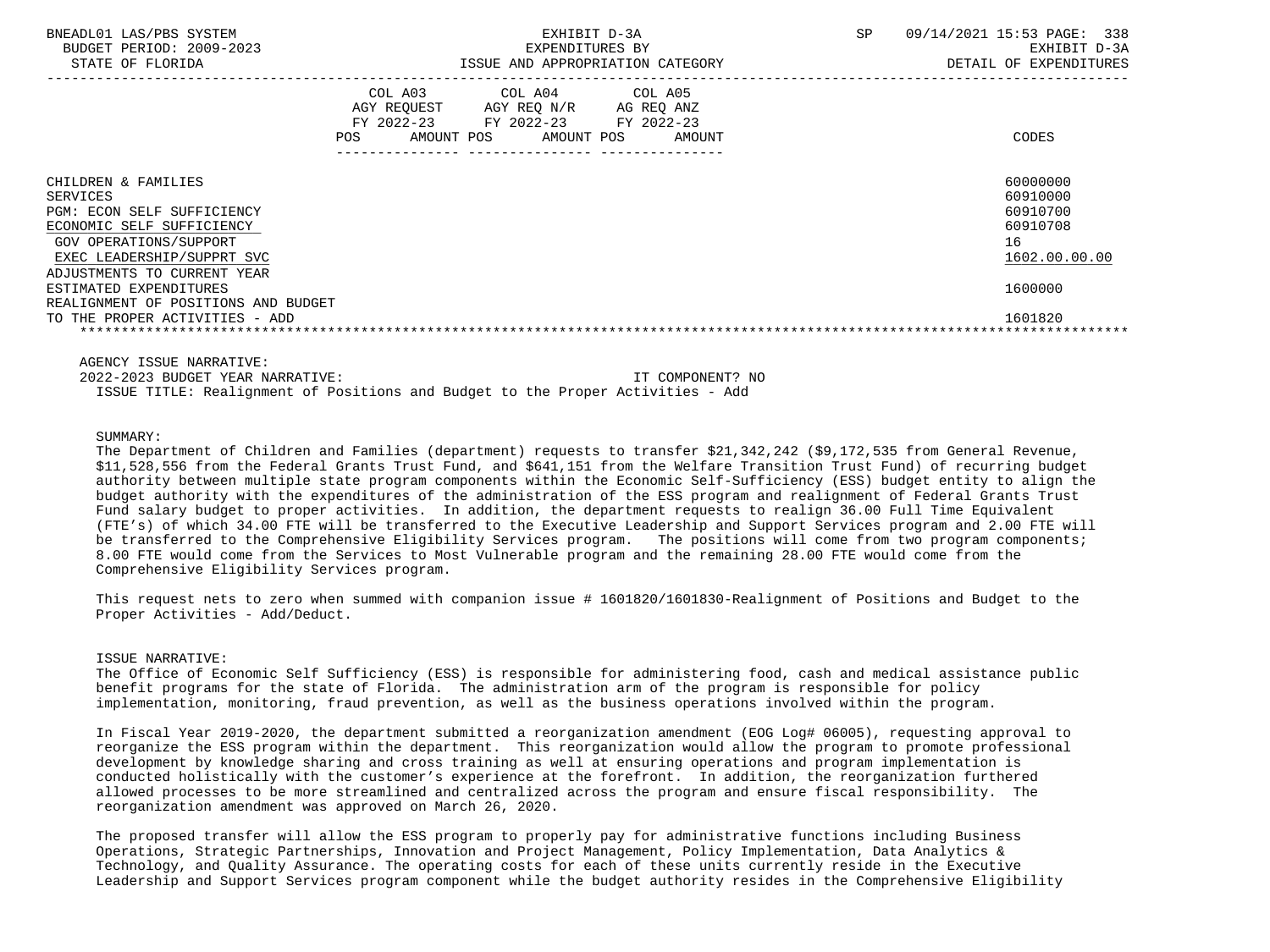| BNEADL01 LAS/PBS SYSTEM<br>BUDGET PERIOD: 2009-2023<br>STATE OF FLORIDA                                                                                                                                            |     | EXPENDITURES BY                                                                                                                                   | EXHIBIT D-3A<br>ISSUE AND APPROPRIATION CATEGORY | <b>SP</b> | 09/14/2021 15:53 PAGE: 338<br>EXHIBIT D-3A<br>DETAIL OF EXPENDITURES           |
|--------------------------------------------------------------------------------------------------------------------------------------------------------------------------------------------------------------------|-----|---------------------------------------------------------------------------------------------------------------------------------------------------|--------------------------------------------------|-----------|--------------------------------------------------------------------------------|
|                                                                                                                                                                                                                    | POS | COL A03 COL A04 COL A05<br>AGY REQUEST AGY REQ N/R AG REQ ANZ<br>FY 2022-23 FY 2022-23 FY 2022-23<br>AMOUNT POS<br>AMOUNT POS<br>________________ | AMOUNT                                           |           | CODES                                                                          |
| CHILDREN & FAMILIES<br>SERVICES<br><b>PGM: ECON SELF SUFFICIENCY</b><br>ECONOMIC SELF SUFFICIENCY<br>GOV OPERATIONS/SUPPORT<br>EXEC LEADERSHIP/SUPPRT SVC<br>ADJUSTMENTS TO CURRENT YEAR<br>ESTIMATED EXPENDITURES |     |                                                                                                                                                   |                                                  |           | 60000000<br>60910000<br>60910700<br>60910708<br>16<br>1602.00.00.00<br>1600000 |
| REALIGNMENT OF POSITIONS AND BUDGET<br>TO THE PROPER ACTIVITIES - ADD                                                                                                                                              |     |                                                                                                                                                   |                                                  |           | 1601820                                                                        |

AGENCY ISSUE NARRATIVE:

 2022-2023 BUDGET YEAR NARRATIVE: IT COMPONENT? NO ISSUE TITLE: Realignment of Positions and Budget to the Proper Activities - Add

## SUMMARY:

 The Department of Children and Families (department) requests to transfer \$21,342,242 (\$9,172,535 from General Revenue, \$11,528,556 from the Federal Grants Trust Fund, and \$641,151 from the Welfare Transition Trust Fund) of recurring budget authority between multiple state program components within the Economic Self-Sufficiency (ESS) budget entity to align the budget authority with the expenditures of the administration of the ESS program and realignment of Federal Grants Trust Fund salary budget to proper activities. In addition, the department requests to realign 36.00 Full Time Equivalent (FTE's) of which 34.00 FTE will be transferred to the Executive Leadership and Support Services program and 2.00 FTE will be transferred to the Comprehensive Eligibility Services program. The positions will come from two program components; 8.00 FTE would come from the Services to Most Vulnerable program and the remaining 28.00 FTE would come from the Comprehensive Eligibility Services program.

 This request nets to zero when summed with companion issue # 1601820/1601830-Realignment of Positions and Budget to the Proper Activities - Add/Deduct.

# ISSUE NARRATIVE:

 The Office of Economic Self Sufficiency (ESS) is responsible for administering food, cash and medical assistance public benefit programs for the state of Florida. The administration arm of the program is responsible for policy implementation, monitoring, fraud prevention, as well as the business operations involved within the program.

 In Fiscal Year 2019-2020, the department submitted a reorganization amendment (EOG Log# 06005), requesting approval to reorganize the ESS program within the department. This reorganization would allow the program to promote professional development by knowledge sharing and cross training as well at ensuring operations and program implementation is conducted holistically with the customer's experience at the forefront. In addition, the reorganization furthered allowed processes to be more streamlined and centralized across the program and ensure fiscal responsibility. The reorganization amendment was approved on March 26, 2020.

 The proposed transfer will allow the ESS program to properly pay for administrative functions including Business Operations, Strategic Partnerships, Innovation and Project Management, Policy Implementation, Data Analytics & Technology, and Quality Assurance. The operating costs for each of these units currently reside in the Executive Leadership and Support Services program component while the budget authority resides in the Comprehensive Eligibility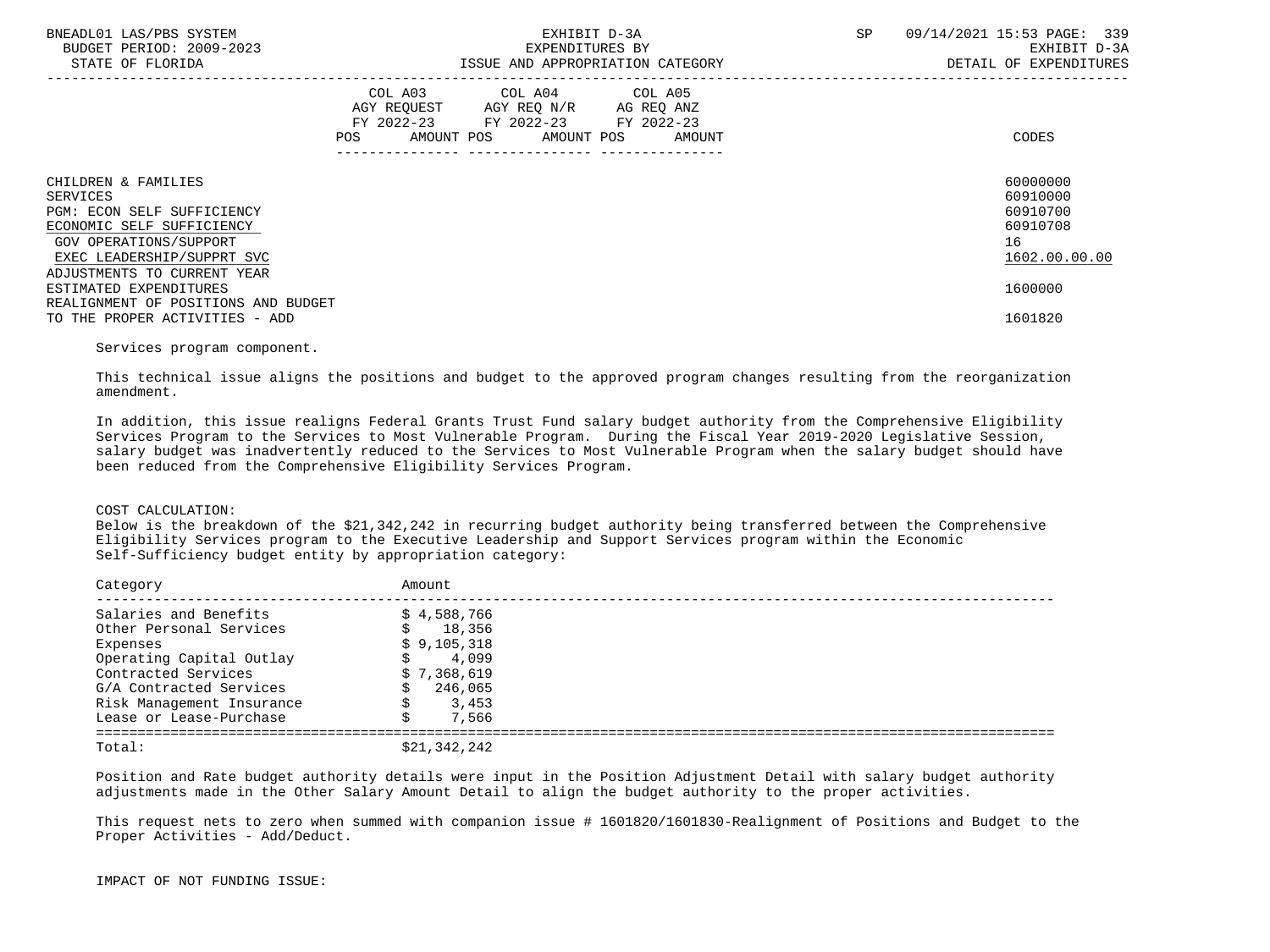| BNEADL01 LAS/PBS SYSTEM<br>BUDGET PERIOD: 2009-2023<br>STATE OF FLORIDA    |                   | EXPENDITURES BY                                                                                                 | EXHIBIT D-3A<br>ISSUE AND APPROPRIATION CATEGORY | <b>SP</b> | 09/14/2021 15:53 PAGE: 339<br>EXHIBIT D-3A<br>DETAIL OF EXPENDITURES |
|----------------------------------------------------------------------------|-------------------|-----------------------------------------------------------------------------------------------------------------|--------------------------------------------------|-----------|----------------------------------------------------------------------|
|                                                                            | AMOUNT POS<br>POS | COL A03 COL A04 COL A05<br>AGY REQUEST AGY REQ N/R AG REQ ANZ<br>FY 2022-23 FY 2022-23 FY 2022-23<br>AMOUNT POS | AMOUNT                                           |           | CODES                                                                |
| CHILDREN & FAMILIES                                                        |                   |                                                                                                                 |                                                  |           | 60000000                                                             |
| SERVICES<br><b>PGM: ECON SELF SUFFICIENCY</b><br>ECONOMIC SELF SUFFICIENCY |                   |                                                                                                                 |                                                  |           | 60910000<br>60910700<br>60910708                                     |
| GOV OPERATIONS/SUPPORT<br>EXEC LEADERSHIP/SUPPRT SVC                       |                   |                                                                                                                 |                                                  |           | 16<br>1602.00.00.00                                                  |
| ADJUSTMENTS TO CURRENT YEAR<br>ESTIMATED EXPENDITURES                      |                   |                                                                                                                 |                                                  |           | 1600000                                                              |
| REALIGNMENT OF POSITIONS AND BUDGET<br>TO THE PROPER ACTIVITIES - ADD      |                   |                                                                                                                 |                                                  |           | 1601820                                                              |

## Services program component.

 This technical issue aligns the positions and budget to the approved program changes resulting from the reorganization amendment.

 In addition, this issue realigns Federal Grants Trust Fund salary budget authority from the Comprehensive Eligibility Services Program to the Services to Most Vulnerable Program. During the Fiscal Year 2019-2020 Legislative Session, salary budget was inadvertently reduced to the Services to Most Vulnerable Program when the salary budget should have been reduced from the Comprehensive Eligibility Services Program.

### COST CALCULATION:

 Below is the breakdown of the \$21,342,242 in recurring budget authority being transferred between the Comprehensive Eligibility Services program to the Executive Leadership and Support Services program within the Economic Self-Sufficiency budget entity by appropriation category:

| Category                  | Amount       |
|---------------------------|--------------|
| Salaries and Benefits     | \$4,588,766  |
| Other Personal Services   | 18,356<br>s  |
| Expenses                  | \$9,105,318  |
| Operating Capital Outlay  | 4,099        |
| Contracted Services       | \$7,368,619  |
| G/A Contracted Services   | 246,065      |
| Risk Management Insurance | 3,453        |
| Lease or Lease-Purchase   | 7,566        |
| Total:                    | \$21,342,242 |

 Position and Rate budget authority details were input in the Position Adjustment Detail with salary budget authority adjustments made in the Other Salary Amount Detail to align the budget authority to the proper activities.

 This request nets to zero when summed with companion issue # 1601820/1601830-Realignment of Positions and Budget to the Proper Activities - Add/Deduct.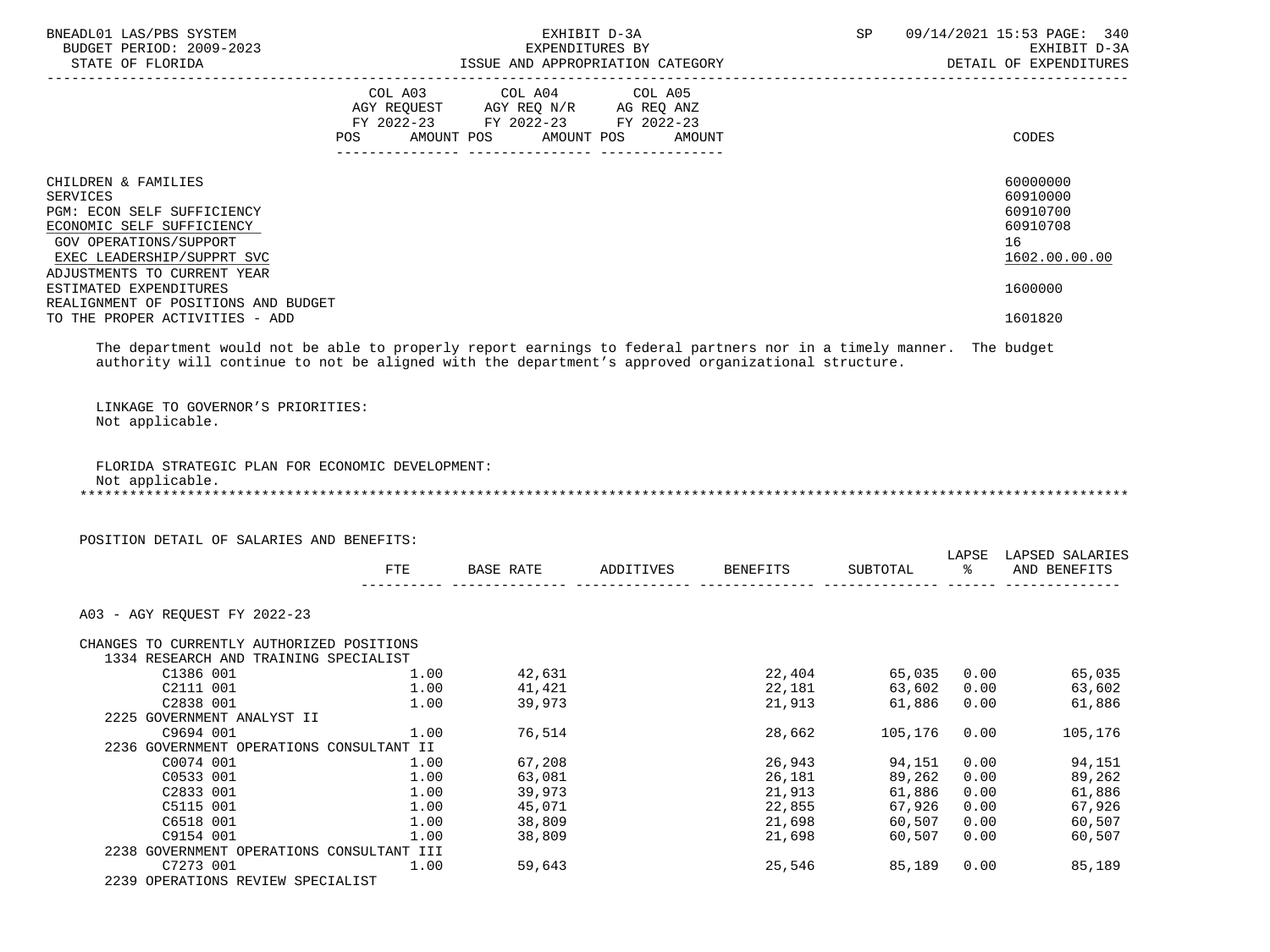| BNEADL01 LAS/PBS SYSTEM<br>BUDGET PERIOD: 2009-2023<br>STATE OF FLORIDA                                                                                                                                                   |      | ISSUE AND APPROPRIATION CATEGORY                                     | EXHIBIT D-3A<br>EXPENDITURES BY |                                  |              |      | SP 09/14/2021 15:53 PAGE: 340<br>EXHIBIT D-3A<br>DETAIL OF EXPENDITURES                              |
|---------------------------------------------------------------------------------------------------------------------------------------------------------------------------------------------------------------------------|------|----------------------------------------------------------------------|---------------------------------|----------------------------------|--------------|------|------------------------------------------------------------------------------------------------------|
|                                                                                                                                                                                                                           |      | COL A03 COL A04 COL A05                                              |                                 |                                  |              |      |                                                                                                      |
|                                                                                                                                                                                                                           |      | AGY REQUEST AGY REQ N/R AG REQ ANZ                                   |                                 |                                  |              |      |                                                                                                      |
|                                                                                                                                                                                                                           |      | FY 2022-23 FY 2022-23 FY 2022-23<br>POS AMOUNT POS AMOUNT POS AMOUNT |                                 |                                  |              |      | CODES                                                                                                |
|                                                                                                                                                                                                                           |      |                                                                      |                                 |                                  |              |      |                                                                                                      |
| CHILDREN & FAMILIES<br><b>SERVICES</b><br>PGM: ECON SELF SUFFICIENCY<br>ECONOMIC SELF SUFFICIENCY<br>GOV OPERATIONS/SUPPORT<br>EXEC LEADERSHIP/SUPPRT SVC<br>ADJUSTMENTS TO CURRENT YEAR                                  |      |                                                                      |                                 |                                  |              |      | 60000000<br>60910000<br>60910700<br>60910708<br>16<br>1602.00.00.00                                  |
| ESTIMATED EXPENDITURES                                                                                                                                                                                                    |      |                                                                      |                                 |                                  |              |      | 1600000                                                                                              |
| REALIGNMENT OF POSITIONS AND BUDGET<br>TO THE PROPER ACTIVITIES - ADD                                                                                                                                                     |      |                                                                      |                                 |                                  |              |      | 1601820                                                                                              |
|                                                                                                                                                                                                                           |      |                                                                      |                                 |                                  |              |      |                                                                                                      |
| The department would not be able to properly report earnings to federal partners nor in a timely manner. The budget<br>authority will continue to not be aligned with the department's approved organizational structure. |      |                                                                      |                                 |                                  |              |      |                                                                                                      |
| FLORIDA STRATEGIC PLAN FOR ECONOMIC DEVELOPMENT:<br>Not applicable.<br>POSITION DETAIL OF SALARIES AND BENEFITS:                                                                                                          |      |                                                                      |                                 |                                  |              |      | LAPSE LAPSED SALARIES                                                                                |
|                                                                                                                                                                                                                           |      |                                                                      |                                 | FTE BASE RATE ADDITIVES BENEFITS |              |      | SUBTOTAL % AND BENEFITS                                                                              |
| A03 - AGY REOUEST FY 2022-23                                                                                                                                                                                              |      |                                                                      |                                 |                                  |              |      |                                                                                                      |
| CHANGES TO CURRENTLY AUTHORIZED POSITIONS                                                                                                                                                                                 |      |                                                                      |                                 |                                  |              |      |                                                                                                      |
| 1334 RESEARCH AND TRAINING SPECIALIST                                                                                                                                                                                     |      |                                                                      |                                 |                                  |              |      |                                                                                                      |
| C1386 001                                                                                                                                                                                                                 | 1.00 | 42,631                                                               |                                 |                                  |              |      | $\begin{array}{cccc} 22,404 & 65,035 & 0.00 & 65,035 \\ 22,181 & 63,602 & 0.00 & 63,602 \end{array}$ |
| C2111 001                                                                                                                                                                                                                 | 1.00 | 41,421                                                               |                                 |                                  |              |      |                                                                                                      |
| C2838 001 1.00 39,973                                                                                                                                                                                                     |      |                                                                      |                                 |                                  |              |      | 21,913 61,886 0.00 61,886                                                                            |
| 2225 GOVERNMENT ANALYST II                                                                                                                                                                                                |      |                                                                      |                                 |                                  |              |      |                                                                                                      |
| C9694 001                                                                                                                                                                                                                 | 1.00 | 76,514                                                               |                                 | 28,662                           | 105,176 0.00 |      | 105,176                                                                                              |
| 2236 GOVERNMENT OPERATIONS CONSULTANT II                                                                                                                                                                                  |      |                                                                      |                                 |                                  |              |      |                                                                                                      |
| C0074 001                                                                                                                                                                                                                 | 1.00 | 67,208                                                               |                                 | 26,943                           | 94,151       | 0.00 | 94,151                                                                                               |
| C0533 001                                                                                                                                                                                                                 | 1.00 | 63,081                                                               |                                 | 26,181                           | 89,262       | 0.00 | 89,262                                                                                               |
| C2833 001                                                                                                                                                                                                                 | 1.00 | 39,973                                                               |                                 | 21,913                           | 61,886       | 0.00 | 61,886                                                                                               |
| C5115 001                                                                                                                                                                                                                 | 1.00 | 45,071                                                               |                                 | 22,855                           | 67,926       | 0.00 | 67,926                                                                                               |
| C6518 001                                                                                                                                                                                                                 | 1.00 | 38,809                                                               |                                 | 21,698                           | 60,507       | 0.00 | 60,507                                                                                               |
| C9154 001                                                                                                                                                                                                                 | 1.00 | 38,809                                                               |                                 | 21,698                           | 60,507       | 0.00 | 60,507                                                                                               |
| 2238 GOVERNMENT OPERATIONS CONSULTANT III                                                                                                                                                                                 |      |                                                                      |                                 |                                  |              |      |                                                                                                      |
| C7273 001                                                                                                                                                                                                                 | 1.00 | 59,643                                                               |                                 | 25,546                           | 85,189       | 0.00 | 85,189                                                                                               |

2239 OPERATIONS REVIEW SPECIALIST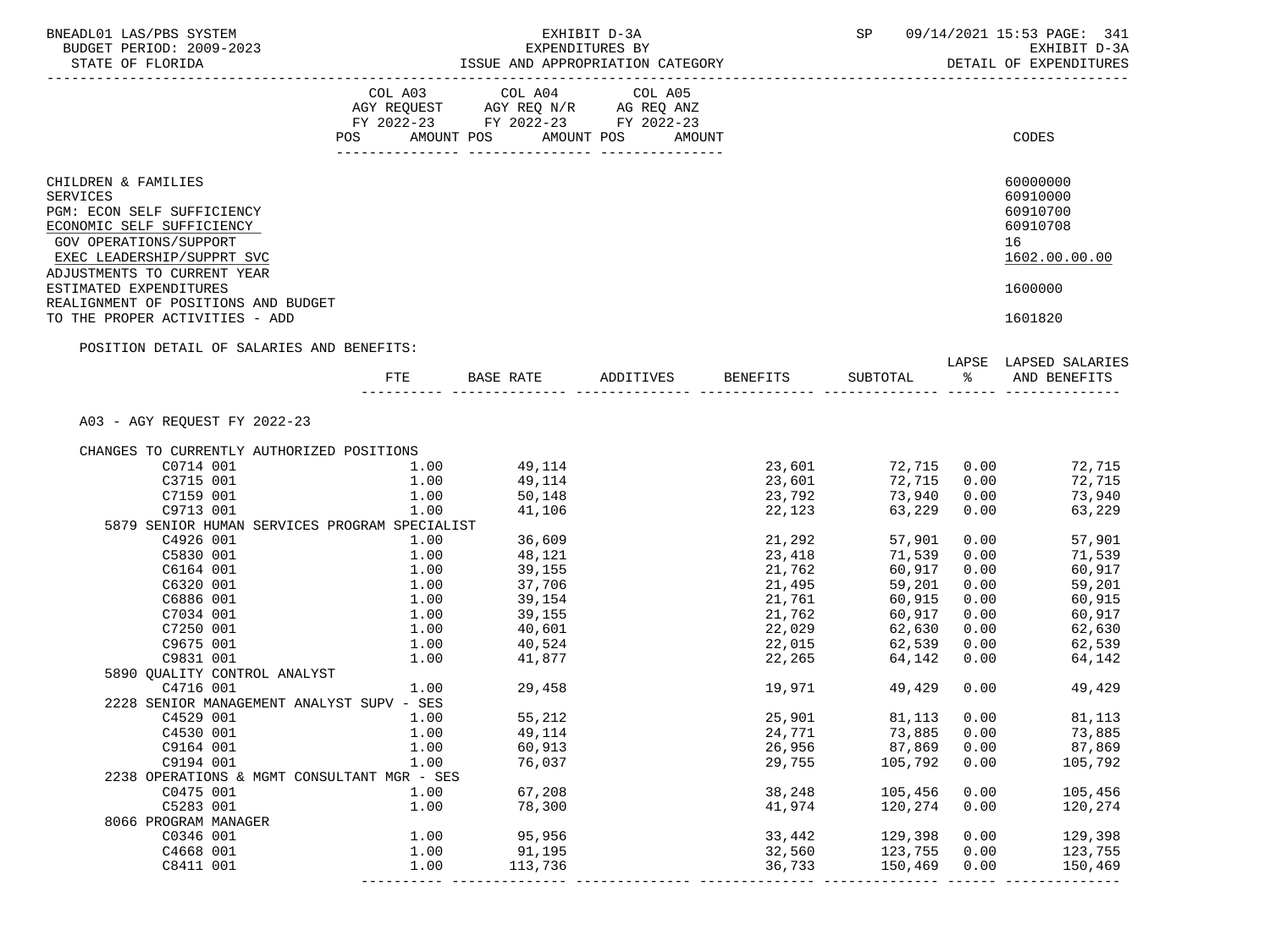| BNEADL01 LAS/PBS SYSTEM                                                                                                                                                                  |              |                                                                     |                                                                      | SP and the set of the set of the set of the set of the set of the set of the set of the set of the set of the set of the set of the set of the set of the set of the set of the set of the set of the set of the set of the se |              | 09/14/2021 15:53 PAGE: 341                                          |
|------------------------------------------------------------------------------------------------------------------------------------------------------------------------------------------|--------------|---------------------------------------------------------------------|----------------------------------------------------------------------|--------------------------------------------------------------------------------------------------------------------------------------------------------------------------------------------------------------------------------|--------------|---------------------------------------------------------------------|
| BUDGET PERIOD: 2009-2023<br>STATE OF FLORIDA                                                                                                                                             |              | EXHIBIT D-3A<br>EXPENDITURES BY<br>ISSUE AND APPROPRIATION CATEGORY |                                                                      |                                                                                                                                                                                                                                |              | EXHIBIT D-3A<br>DETAIL OF EXPENDITURES                              |
|                                                                                                                                                                                          |              |                                                                     |                                                                      |                                                                                                                                                                                                                                |              |                                                                     |
|                                                                                                                                                                                          |              | COL A03 COL A04 COL A05<br>AGY REQUEST AGY REQ N/R AG REQ ANZ       |                                                                      |                                                                                                                                                                                                                                |              |                                                                     |
|                                                                                                                                                                                          |              |                                                                     |                                                                      |                                                                                                                                                                                                                                |              |                                                                     |
|                                                                                                                                                                                          |              | FY 2022-23 FY 2022-23 FY 2022-23                                    |                                                                      |                                                                                                                                                                                                                                |              |                                                                     |
|                                                                                                                                                                                          |              | POS AMOUNT POS AMOUNT POS AMOUNT                                    |                                                                      |                                                                                                                                                                                                                                |              | CODES                                                               |
| CHILDREN & FAMILIES<br>SERVICES<br>PGM: ECON SELF SUFFICIENCY<br>ECONOMIC SELF SUFFICIENCY<br><b>GOV OPERATIONS/SUPPORT</b><br>EXEC LEADERSHIP/SUPPRT SVC<br>ADJUSTMENTS TO CURRENT YEAR |              |                                                                     |                                                                      |                                                                                                                                                                                                                                |              | 60000000<br>60910000<br>60910700<br>60910708<br>16<br>1602.00.00.00 |
| ESTIMATED EXPENDITURES<br>REALIGNMENT OF POSITIONS AND BUDGET                                                                                                                            |              |                                                                     |                                                                      |                                                                                                                                                                                                                                |              | 1600000                                                             |
| TO THE PROPER ACTIVITIES - ADD                                                                                                                                                           |              |                                                                     |                                                                      |                                                                                                                                                                                                                                |              | 1601820                                                             |
| POSITION DETAIL OF SALARIES AND BENEFITS:                                                                                                                                                |              |                                                                     |                                                                      |                                                                                                                                                                                                                                |              |                                                                     |
|                                                                                                                                                                                          |              |                                                                     | FTE BASE RATE ADDITIVES BENEFITS SUBTOTAL $\frac{1}{2}$ and BENEFITS |                                                                                                                                                                                                                                |              | LAPSE LAPSED SALARIES                                               |
| A03 - AGY REOUEST FY 2022-23                                                                                                                                                             |              |                                                                     |                                                                      |                                                                                                                                                                                                                                |              |                                                                     |
| CHANGES TO CURRENTLY AUTHORIZED POSITIONS                                                                                                                                                |              |                                                                     |                                                                      |                                                                                                                                                                                                                                |              |                                                                     |
| C0714 001                                                                                                                                                                                |              | $1.00$ 49,114                                                       |                                                                      |                                                                                                                                                                                                                                |              | 23,601 72,715 0.00 72,715                                           |
| 1.00<br>C3715 001                                                                                                                                                                        |              |                                                                     |                                                                      | 23,601 72,715                                                                                                                                                                                                                  |              | 0.00<br>72,715                                                      |
| C7159 001                                                                                                                                                                                | 1.00         | 49,114<br>50,148                                                    | 23,792                                                               | 73,940                                                                                                                                                                                                                         | 0.00         | 73,940                                                              |
| C9713 001                                                                                                                                                                                | 1.00         | 41,106                                                              | 22,123                                                               | 63,229                                                                                                                                                                                                                         |              | 0.00<br>63,229                                                      |
| 5879 SENIOR HUMAN SERVICES PROGRAM SPECIALIST                                                                                                                                            |              |                                                                     |                                                                      |                                                                                                                                                                                                                                |              |                                                                     |
| C4926 001                                                                                                                                                                                | 1.00         | 36,609                                                              | 21,292                                                               | 57,901                                                                                                                                                                                                                         |              | 0.00<br>57,901                                                      |
| 1.00<br>C5830 001                                                                                                                                                                        |              | 48,121                                                              | 23,418                                                               | 71,539                                                                                                                                                                                                                         | 0.00         | 71,539                                                              |
| C6164 001                                                                                                                                                                                | 1.00         | 39,155                                                              | 21,762                                                               | 60,917                                                                                                                                                                                                                         | 0.00         | 60,917                                                              |
| C6320 001                                                                                                                                                                                |              | 1.00 37,706                                                         | 21,495                                                               | 59,201                                                                                                                                                                                                                         | 0.00         | 59,201                                                              |
| C6886 001                                                                                                                                                                                |              | $1.00$ $39,154$<br>$1.00$ $39,155$                                  | 21,761                                                               | 60,915                                                                                                                                                                                                                         | 0.00         | 60,915                                                              |
| C7034 001                                                                                                                                                                                |              |                                                                     | 21,761<br>21,762                                                     | 60,917                                                                                                                                                                                                                         | 0.00         | 60,917                                                              |
| C7250 001                                                                                                                                                                                | 1.00         | 40,601                                                              | 22,029                                                               | 62,630                                                                                                                                                                                                                         | 0.00         | 62,630                                                              |
| C9675 001                                                                                                                                                                                |              |                                                                     |                                                                      | 62,539                                                                                                                                                                                                                         | 0.00         | 62,539                                                              |
| C9831 001                                                                                                                                                                                |              | $1.00$ $40,524$<br>$1.00$ $41,877$                                  | 22,015<br>22,265                                                     | 64,142                                                                                                                                                                                                                         |              | 0.00<br>64,142                                                      |
| 5890 OUALITY CONTROL ANALYST                                                                                                                                                             |              |                                                                     |                                                                      |                                                                                                                                                                                                                                |              |                                                                     |
| C4716 001                                                                                                                                                                                | 1.00         | 29,458                                                              | 19,971                                                               | 49,429                                                                                                                                                                                                                         |              | 0.00<br>49,429                                                      |
| 2228 SENIOR MANAGEMENT ANALYST SUPV - SES                                                                                                                                                |              |                                                                     |                                                                      |                                                                                                                                                                                                                                |              |                                                                     |
| C4529 001                                                                                                                                                                                | 1.00         | 55,212                                                              | 25,901                                                               | 81,113 0.00                                                                                                                                                                                                                    |              | 81,113                                                              |
| C4530 001                                                                                                                                                                                | 1.00         | 49,114                                                              | 24,771                                                               | 73,885                                                                                                                                                                                                                         | 0.00         | 73,885                                                              |
| C9164 001                                                                                                                                                                                | 1.00         | 60,913                                                              | 26,956                                                               | 87,869                                                                                                                                                                                                                         | 0.00         | 87,869                                                              |
| C9194 001                                                                                                                                                                                | 1.00         | 76,037                                                              | 29,755                                                               | 105,792                                                                                                                                                                                                                        | 0.00         | 105,792                                                             |
| 2238 OPERATIONS & MGMT CONSULTANT MGR - SES                                                                                                                                              |              |                                                                     |                                                                      |                                                                                                                                                                                                                                |              |                                                                     |
| C0475 001                                                                                                                                                                                | 1.00         | 67,208                                                              | 38,248                                                               | 105,456                                                                                                                                                                                                                        | 0.00         | 105,456                                                             |
| C5283 001                                                                                                                                                                                | 1.00         | 78,300                                                              | 41,974                                                               | 120,274                                                                                                                                                                                                                        | 0.00         | 120,274                                                             |
| 8066 PROGRAM MANAGER                                                                                                                                                                     |              |                                                                     |                                                                      |                                                                                                                                                                                                                                |              |                                                                     |
|                                                                                                                                                                                          |              |                                                                     |                                                                      |                                                                                                                                                                                                                                |              |                                                                     |
| C0346 001                                                                                                                                                                                | 1.00         | 95,956                                                              | 33,442                                                               | 129,398                                                                                                                                                                                                                        | 0.00         | 129,398                                                             |
| C4668 001<br>C8411 001                                                                                                                                                                   | 1.00<br>1.00 | 91,195<br>113,736                                                   | 32,560<br>36,733                                                     | 123,755<br>150,469                                                                                                                                                                                                             | 0.00<br>0.00 | 123,755<br>150,469                                                  |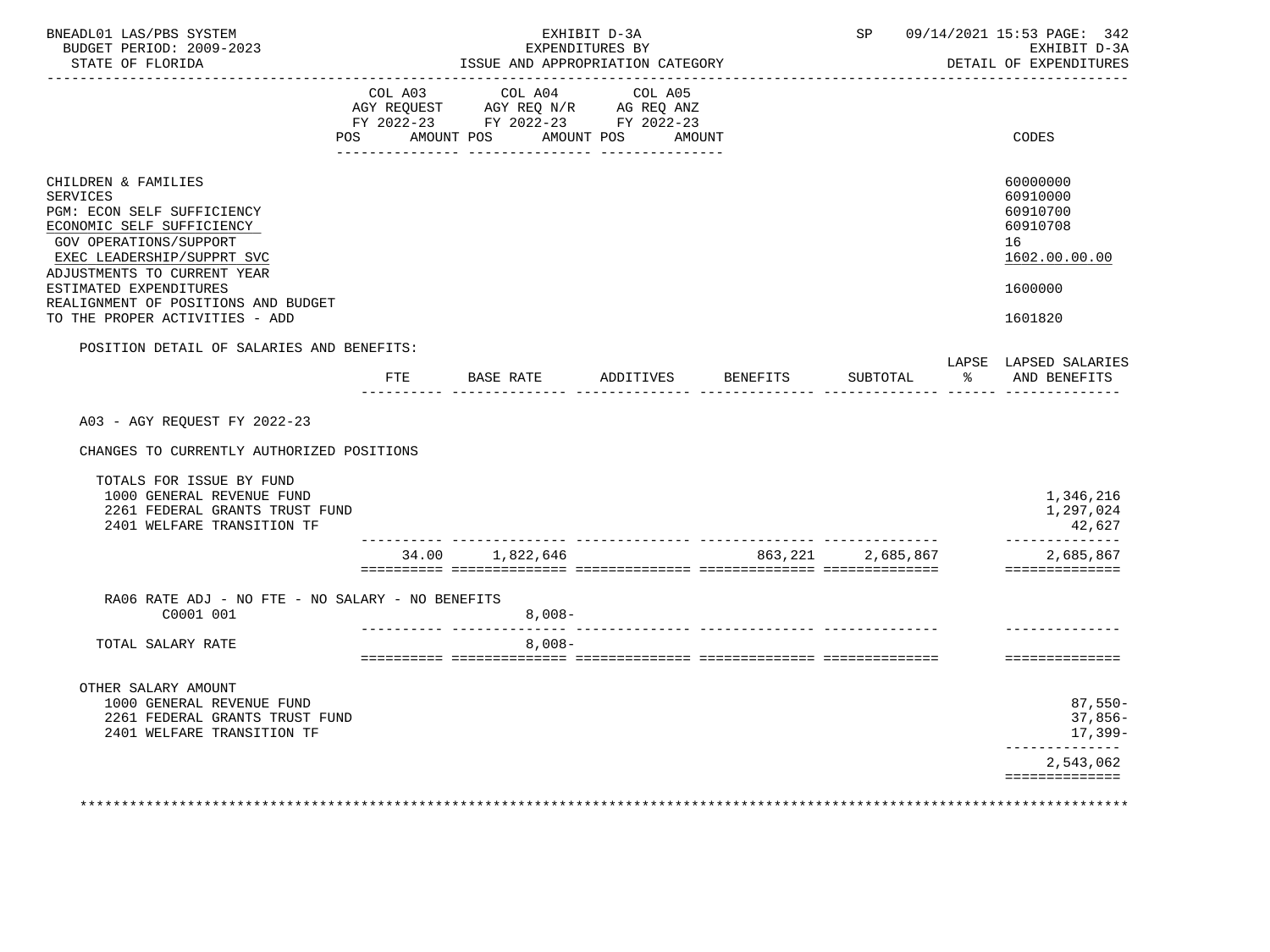|                                                                                                                                                                                                             |            | ISSUE AND APPROPRIATION CATEGORY                                                                        | EXPENDITURES BY                        |          |               | 09/14/2021 15:53 PAGE: 342<br>EXHIBIT D-3A<br>DETAIL OF EXPENDITURES           |
|-------------------------------------------------------------------------------------------------------------------------------------------------------------------------------------------------------------|------------|---------------------------------------------------------------------------------------------------------|----------------------------------------|----------|---------------|--------------------------------------------------------------------------------|
|                                                                                                                                                                                                             | <b>POS</b> | COL A03 COL A04<br>AGY REQUEST AGY REQ N/R AG REQ ANZ<br>FY 2022-23 FY 2022-23 FY 2022-23<br>AMOUNT POS | COL A05<br>AMOUNT POS<br><b>AMOUNT</b> |          |               | CODES                                                                          |
| CHILDREN & FAMILIES<br>SERVICES<br>PGM: ECON SELF SUFFICIENCY<br>ECONOMIC SELF SUFFICIENCY<br>GOV OPERATIONS/SUPPORT<br>EXEC LEADERSHIP/SUPPRT SVC<br>ADJUSTMENTS TO CURRENT YEAR<br>ESTIMATED EXPENDITURES |            |                                                                                                         |                                        |          |               | 60000000<br>60910000<br>60910700<br>60910708<br>16<br>1602.00.00.00<br>1600000 |
| REALIGNMENT OF POSITIONS AND BUDGET<br>TO THE PROPER ACTIVITIES - ADD                                                                                                                                       |            |                                                                                                         |                                        |          |               | 1601820                                                                        |
| POSITION DETAIL OF SALARIES AND BENEFITS:                                                                                                                                                                   |            |                                                                                                         |                                        |          |               | LAPSE LAPSED SALARIES                                                          |
|                                                                                                                                                                                                             | <b>FTE</b> | BASE RATE                                                                                               | ADDITIVES BENEFITS                     | SUBTOTAL | $\frac{1}{6}$ | AND BENEFITS                                                                   |
| A03 - AGY REQUEST FY 2022-23<br>CHANGES TO CURRENTLY AUTHORIZED POSITIONS<br>TOTALS FOR ISSUE BY FUND<br>1000 GENERAL REVENUE FUND<br>2261 FEDERAL GRANTS TRUST FUND<br>2401 WELFARE TRANSITION TF          |            |                                                                                                         |                                        |          |               | 1,346,216<br>1,297,024<br>42,627<br>--------------                             |
|                                                                                                                                                                                                             |            | $34.00$ 1,822,646 863,221 2,685,867                                                                     |                                        |          |               | 2,685,867                                                                      |
| RA06 RATE ADJ - NO FTE - NO SALARY - NO BENEFITS<br>C0001 001                                                                                                                                               |            | $8,008-$<br>____________________________                                                                |                                        |          |               | ==============                                                                 |
| TOTAL SALARY RATE                                                                                                                                                                                           |            | $8,008-$                                                                                                |                                        |          |               | ==============                                                                 |
| OTHER SALARY AMOUNT<br>1000 GENERAL REVENUE FUND<br>2261 FEDERAL GRANTS TRUST FUND<br>2401 WELFARE TRANSITION TF                                                                                            |            |                                                                                                         |                                        |          |               | $87,550-$<br>37,856-<br>17,399-<br>_____________<br>2,543,062                  |
|                                                                                                                                                                                                             |            |                                                                                                         |                                        |          |               | ==============                                                                 |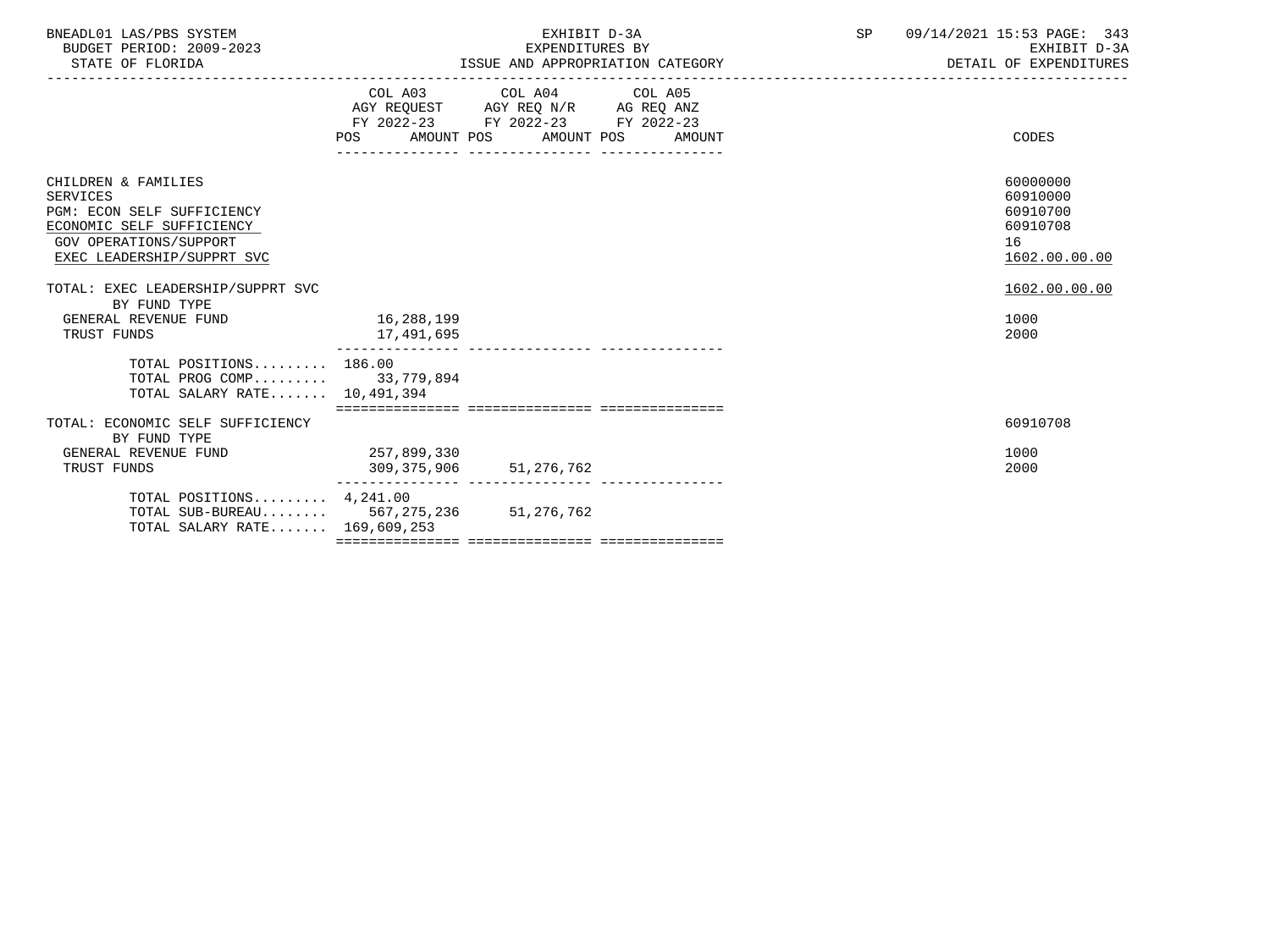| BNEADL01 LAS/PBS SYSTEM<br>BUDGET PERIOD: 2009-2023<br>STATE OF FLORIDA                                                                                                                                               |                            | EXHIBIT D-3A<br>EXPENDITURES BY<br>ISSUE AND APPROPRIATION CATEGORY<br>--------------------------------------                         | SP | 09/14/2021 15:53 PAGE: 343<br>EXHIBIT D-3A<br>DETAIL OF EXPENDITURES                 |
|-----------------------------------------------------------------------------------------------------------------------------------------------------------------------------------------------------------------------|----------------------------|---------------------------------------------------------------------------------------------------------------------------------------|----|--------------------------------------------------------------------------------------|
|                                                                                                                                                                                                                       |                            | COL A03 COL A04 COL A05<br>AGY REQUEST AGY REQ N/R AG REQ ANZ<br>FY 2022-23 FY 2022-23 FY 2022-23<br>POS AMOUNT POS AMOUNT POS AMOUNT |    | CODES                                                                                |
| CHILDREN & FAMILIES<br><b>SERVICES</b><br>PGM: ECON SELF SUFFICIENCY<br>ECONOMIC SELF SUFFICIENCY<br><b>GOV OPERATIONS/SUPPORT</b><br>EXEC LEADERSHIP/SUPPRT SVC<br>TOTAL: EXEC LEADERSHIP/SUPPRT SVC<br>BY FUND TYPE |                            |                                                                                                                                       |    | 60000000<br>60910000<br>60910700<br>60910708<br>16<br>1602.00.00.00<br>1602.00.00.00 |
| GENERAL REVENUE FUND<br>TRUST FUNDS                                                                                                                                                                                   | 16,288,199<br>17,491,695   |                                                                                                                                       |    | 1000<br>2000                                                                         |
| TOTAL POSITIONS 186.00<br>TOTAL PROG COMP 33,779,894<br>TOTAL SALARY RATE 10,491,394                                                                                                                                  |                            |                                                                                                                                       |    |                                                                                      |
| TOTAL: ECONOMIC SELF SUFFICIENCY<br>BY FUND TYPE                                                                                                                                                                      |                            |                                                                                                                                       |    | 60910708                                                                             |
| GENERAL REVENUE FUND<br>TRUST FUNDS                                                                                                                                                                                   | 257,899,330<br>309,375,906 | 51, 276, 762                                                                                                                          |    | 1000<br>2000                                                                         |
| TOTAL POSITIONS $4,241.00$<br>TOTAL SUB-BUREAU 567, 275, 236 51, 276, 762<br>TOTAL SALARY RATE 169,609,253                                                                                                            |                            |                                                                                                                                       |    |                                                                                      |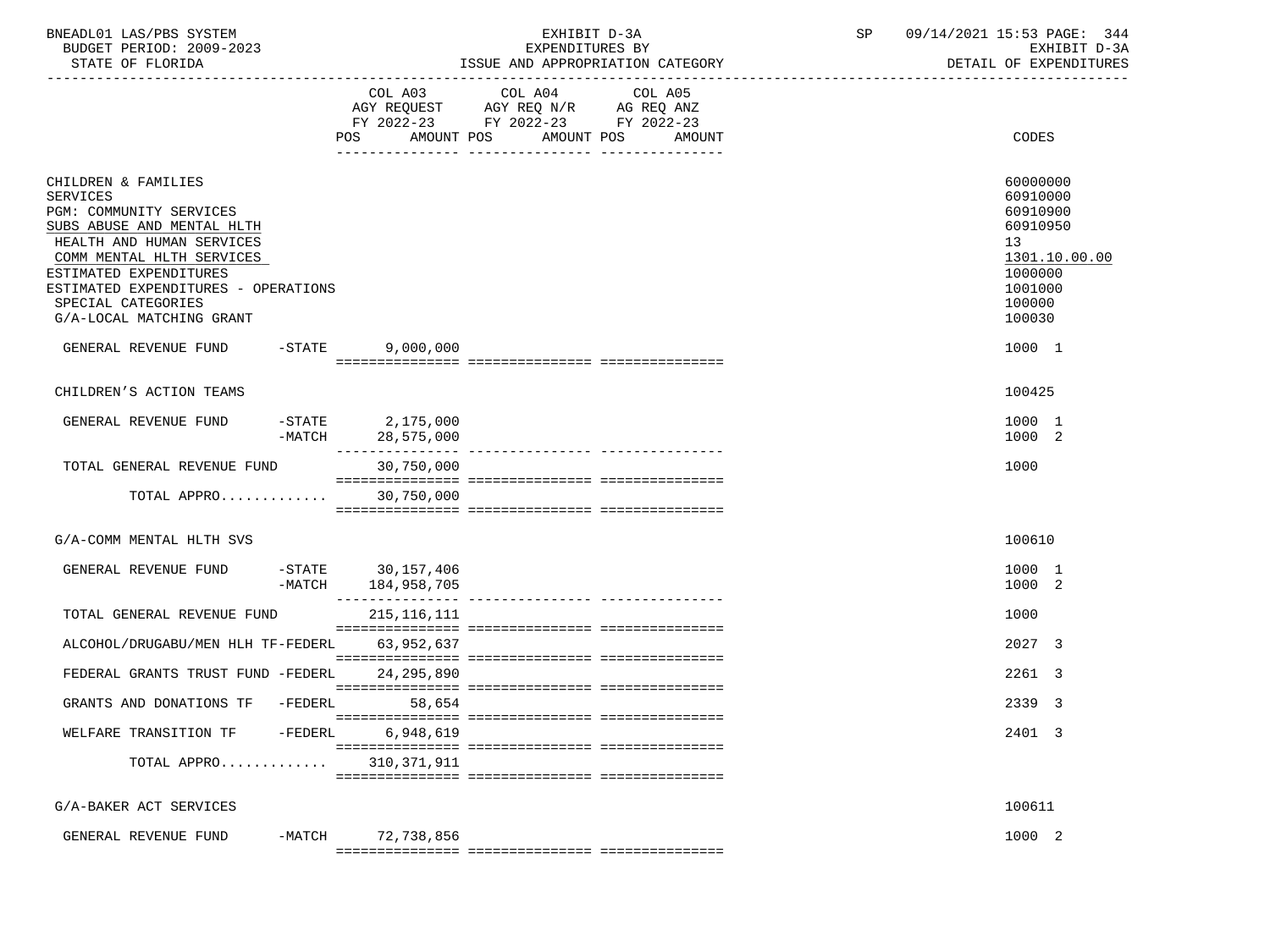| BNEADL01 LAS/PBS SYSTEM<br>BUDGET PERIOD: 2009-2023<br>STATE OF FLORIDA                                                                                                                                                                                               |                                                            | EXHIBIT D-3A<br>EXPENDITURES BY<br>ISSUE AND APPROPRIATION CATEGORY | SP 09/14/2021 15:53 PAGE: 344<br>EXHIBIT D-3A<br>DETAIL OF EXPENDITURES                                       |
|-----------------------------------------------------------------------------------------------------------------------------------------------------------------------------------------------------------------------------------------------------------------------|------------------------------------------------------------|---------------------------------------------------------------------|---------------------------------------------------------------------------------------------------------------|
|                                                                                                                                                                                                                                                                       | POS                                                        | FY 2022-23 FY 2022-23 FY 2022-23<br>AMOUNT POS AMOUNT POS<br>AMOUNT | CODES                                                                                                         |
| CHILDREN & FAMILIES<br>SERVICES<br>PGM: COMMUNITY SERVICES<br>SUBS ABUSE AND MENTAL HLTH<br>HEALTH AND HUMAN SERVICES<br>COMM MENTAL HLTH SERVICES<br>ESTIMATED EXPENDITURES<br>ESTIMATED EXPENDITURES - OPERATIONS<br>SPECIAL CATEGORIES<br>G/A-LOCAL MATCHING GRANT |                                                            |                                                                     | 60000000<br>60910000<br>60910900<br>60910950<br>13<br>1301.10.00.00<br>1000000<br>1001000<br>100000<br>100030 |
| GENERAL REVENUE FUND                                                                                                                                                                                                                                                  | $-$ STATE<br>9,000,000                                     |                                                                     | 1000 1                                                                                                        |
| CHILDREN'S ACTION TEAMS                                                                                                                                                                                                                                               |                                                            |                                                                     | 100425                                                                                                        |
| GENERAL REVENUE FUND                                                                                                                                                                                                                                                  | -STATE 2,175,000<br>-MATCH 28,575,000                      |                                                                     | 1000 1<br>1000 2                                                                                              |
| TOTAL GENERAL REVENUE FUND                                                                                                                                                                                                                                            | ________________<br>30,750,000                             |                                                                     | 1000                                                                                                          |
| TOTAL APPRO 30,750,000                                                                                                                                                                                                                                                |                                                            |                                                                     |                                                                                                               |
| G/A-COMM MENTAL HLTH SVS                                                                                                                                                                                                                                              |                                                            |                                                                     | 100610                                                                                                        |
| GENERAL REVENUE FUND                                                                                                                                                                                                                                                  | -STATE 30,157,406<br>-MATCH 184,958,705<br>_______________ |                                                                     | 1000 1<br>1000 2                                                                                              |
| TOTAL GENERAL REVENUE FUND                                                                                                                                                                                                                                            | 215,116,111                                                |                                                                     | 1000                                                                                                          |
| ALCOHOL/DRUGABU/MEN HLH TF-FEDERL 63,952,637                                                                                                                                                                                                                          |                                                            |                                                                     | 2027 3                                                                                                        |
| FEDERAL GRANTS TRUST FUND -FEDERL                                                                                                                                                                                                                                     | 24, 295, 890                                               |                                                                     | 2261 3                                                                                                        |
| GRANTS AND DONATIONS TF -FEDERL 58,654                                                                                                                                                                                                                                |                                                            |                                                                     | 2339 3                                                                                                        |
| WELFARE TRANSITION TF                                                                                                                                                                                                                                                 | $-FEDERL$<br>6,948,619                                     |                                                                     | 2401 3                                                                                                        |
| TOTAL APPRO                                                                                                                                                                                                                                                           | 310,371,911                                                |                                                                     |                                                                                                               |
| G/A-BAKER ACT SERVICES                                                                                                                                                                                                                                                |                                                            |                                                                     | 100611                                                                                                        |
| GENERAL REVENUE FUND                                                                                                                                                                                                                                                  | $-MATCH$<br>72,738,856                                     |                                                                     | 1000 2                                                                                                        |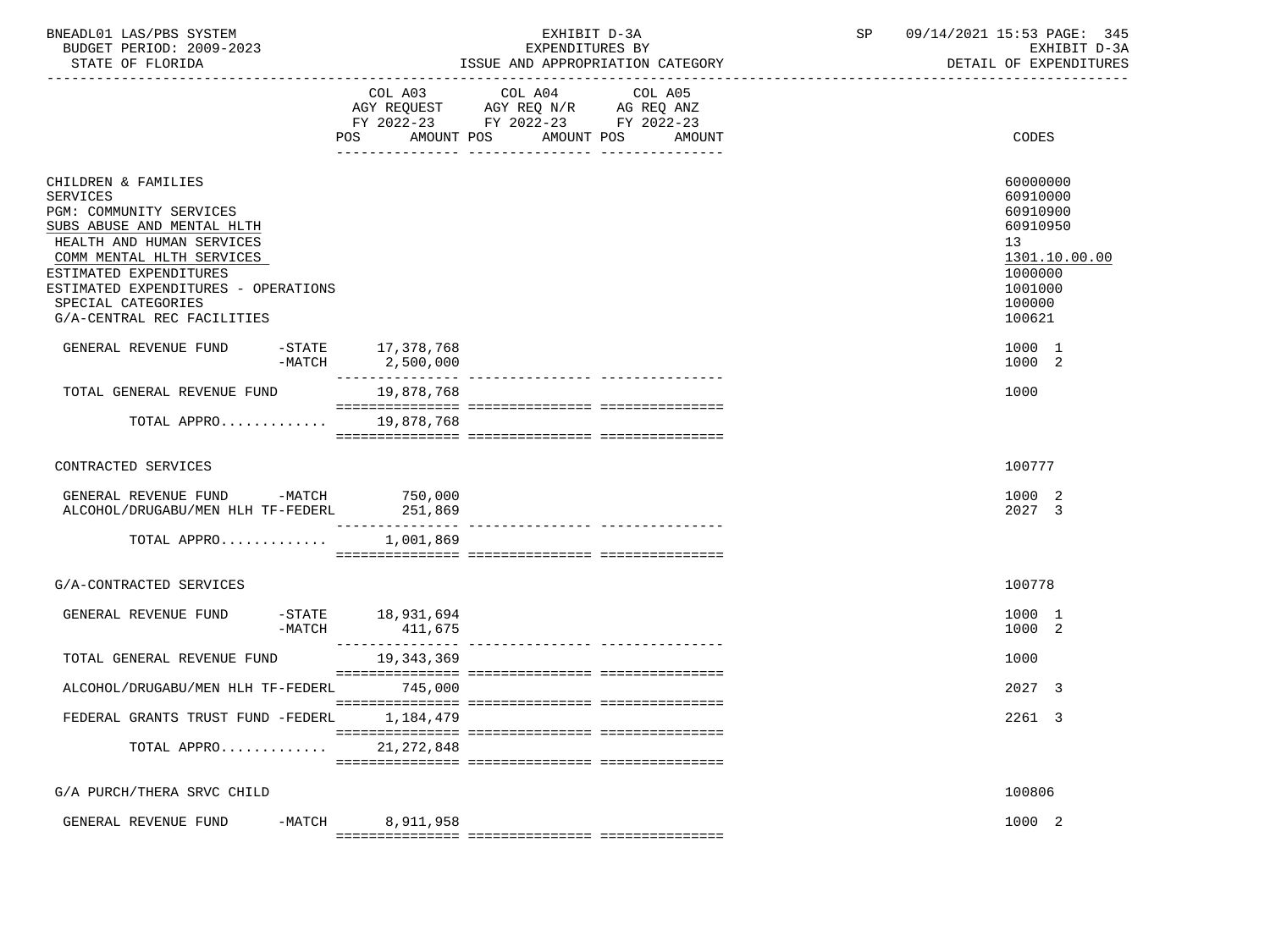| BNEADL01 LAS/PBS SYSTEM |                  |                          |  | EXHIBIT D-3A                     |  |
|-------------------------|------------------|--------------------------|--|----------------------------------|--|
|                         |                  | BUDGET PERIOD: 2009-2023 |  | EXPENDITURES BY                  |  |
|                         | STATE OF FLORIDA |                          |  | ISSUE AND APPROPRIATION CATEGORY |  |

BUDGET PERIOD: 2009-2023 EXPENDITURES BY EXHIBIT D-3A

|                                                                                                                                                                                                                                                                         | COL A03<br>POS.<br>AMOUNT POS | COL A04<br>AGY REQUEST AGY REQ N/R AG REQ ANZ<br>FY 2022-23 FY 2022-23 FY 2022-23 | COL A05<br>AMOUNT POS<br>AMOUNT | CODES                                                                                                         |
|-------------------------------------------------------------------------------------------------------------------------------------------------------------------------------------------------------------------------------------------------------------------------|-------------------------------|-----------------------------------------------------------------------------------|---------------------------------|---------------------------------------------------------------------------------------------------------------|
|                                                                                                                                                                                                                                                                         |                               |                                                                                   |                                 |                                                                                                               |
| CHILDREN & FAMILIES<br>SERVICES<br>PGM: COMMUNITY SERVICES<br>SUBS ABUSE AND MENTAL HLTH<br>HEALTH AND HUMAN SERVICES<br>COMM MENTAL HLTH SERVICES<br>ESTIMATED EXPENDITURES<br>ESTIMATED EXPENDITURES - OPERATIONS<br>SPECIAL CATEGORIES<br>G/A-CENTRAL REC FACILITIES |                               |                                                                                   |                                 | 60000000<br>60910000<br>60910900<br>60910950<br>13<br>1301.10.00.00<br>1000000<br>1001000<br>100000<br>100621 |
| GENERAL REVENUE FUND -STATE 17,378,768                                                                                                                                                                                                                                  | -MATCH 2,500,000              |                                                                                   |                                 | 1000 1<br>1000 2                                                                                              |
| TOTAL GENERAL REVENUE FUND                                                                                                                                                                                                                                              | 19,878,768                    |                                                                                   |                                 | 1000                                                                                                          |
| TOTAL APPRO 19,878,768                                                                                                                                                                                                                                                  |                               |                                                                                   |                                 |                                                                                                               |
| CONTRACTED SERVICES                                                                                                                                                                                                                                                     |                               |                                                                                   |                                 | 100777                                                                                                        |
| GENERAL REVENUE FUND -MATCH<br>ALCOHOL/DRUGABU/MEN HLH TF-FEDERL                                                                                                                                                                                                        | 750,000<br>251,869            |                                                                                   |                                 | 1000 2<br>2027 3                                                                                              |
| TOTAL APPRO                                                                                                                                                                                                                                                             | 1,001,869                     |                                                                                   |                                 |                                                                                                               |
| G/A-CONTRACTED SERVICES                                                                                                                                                                                                                                                 |                               |                                                                                   |                                 | 100778                                                                                                        |
| GENERAL REVENUE FUND<br>$-MATCH$                                                                                                                                                                                                                                        | -STATE 18,931,694             |                                                                                   |                                 | 1000 1<br>1000 2                                                                                              |
| TOTAL GENERAL REVENUE FUND                                                                                                                                                                                                                                              | 19,343,369                    |                                                                                   |                                 | 1000                                                                                                          |
| ALCOHOL/DRUGABU/MEN HLH TF-FEDERL                                                                                                                                                                                                                                       | 745,000                       |                                                                                   |                                 | 2027 3                                                                                                        |
| FEDERAL GRANTS TRUST FUND -FEDERL                                                                                                                                                                                                                                       | 1,184,479                     |                                                                                   |                                 | 2261 3                                                                                                        |
| TOTAL APPRO 21, 272, 848                                                                                                                                                                                                                                                |                               |                                                                                   |                                 |                                                                                                               |
| G/A PURCH/THERA SRVC CHILD                                                                                                                                                                                                                                              |                               |                                                                                   |                                 | 100806                                                                                                        |
| GENERAL REVENUE FUND<br>$-MATCH$                                                                                                                                                                                                                                        | 8,911,958                     |                                                                                   |                                 | 1000 2                                                                                                        |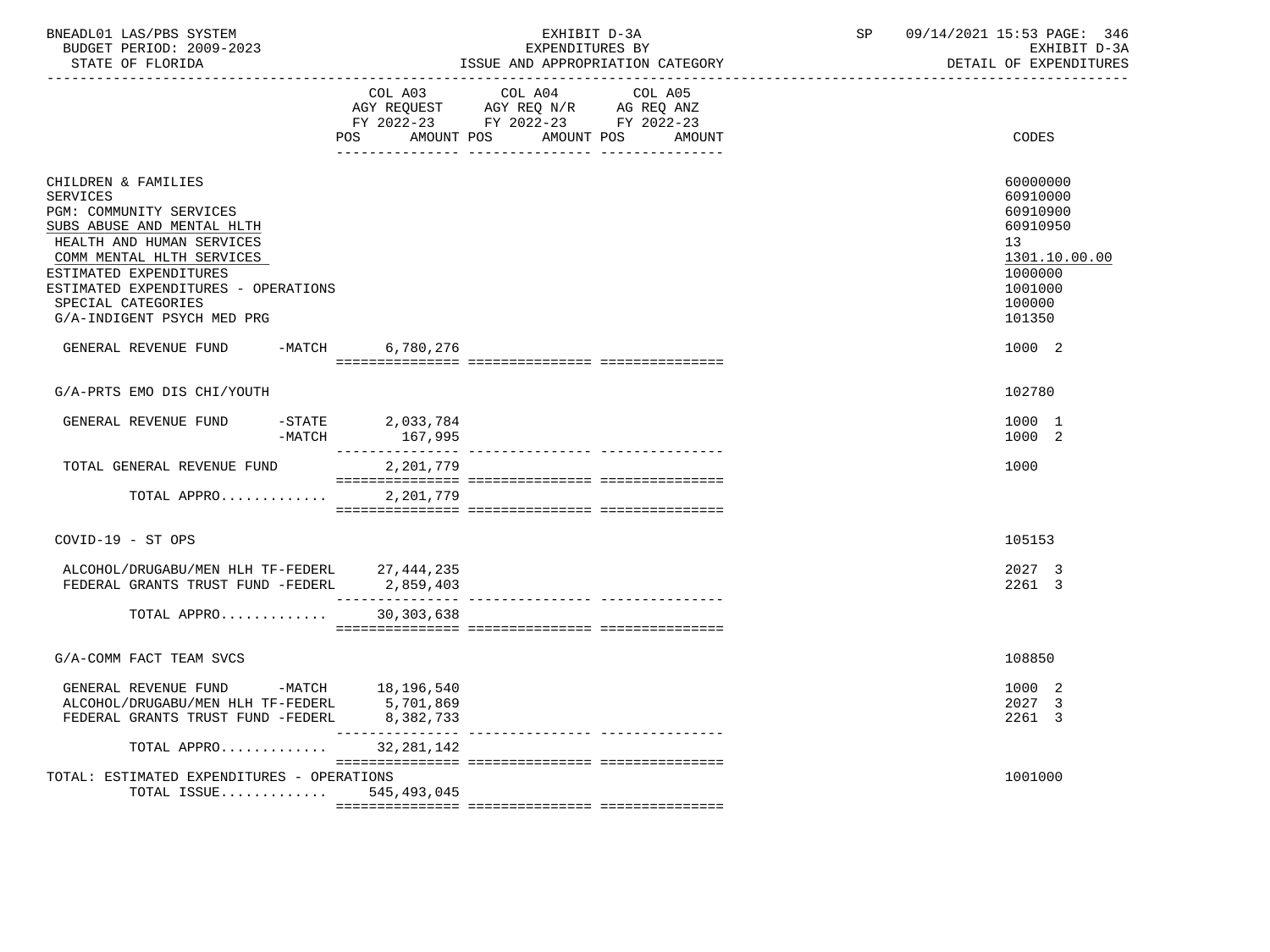| BNEADL01 LAS/PBS SYSTEM<br>BUDGET PERIOD: 2009-2023<br>STATE OF FLORIDA<br>___________________________________                                                                                                                                                          |                                | EXHIBIT D-3A<br>EXPENDITURES BY                                                                            | ISSUE AND APPROPRIATION CATEGORY | SP | 09/14/2021 15:53 PAGE: 346<br>EXHIBIT D-3A<br>DETAIL OF EXPENDITURES                                          |
|-------------------------------------------------------------------------------------------------------------------------------------------------------------------------------------------------------------------------------------------------------------------------|--------------------------------|------------------------------------------------------------------------------------------------------------|----------------------------------|----|---------------------------------------------------------------------------------------------------------------|
|                                                                                                                                                                                                                                                                         | COL A03<br>POS                 | COL A04<br>AGY REQUEST AGY REQ N/R AG REQ ANZ<br>FY 2022-23 FY 2022-23 FY 2022-23<br>AMOUNT POS AMOUNT POS | COL A05<br>AMOUNT                |    | CODES                                                                                                         |
| CHILDREN & FAMILIES<br>SERVICES<br>PGM: COMMUNITY SERVICES<br>SUBS ABUSE AND MENTAL HLTH<br>HEALTH AND HUMAN SERVICES<br>COMM MENTAL HLTH SERVICES<br>ESTIMATED EXPENDITURES<br>ESTIMATED EXPENDITURES - OPERATIONS<br>SPECIAL CATEGORIES<br>G/A-INDIGENT PSYCH MED PRG |                                |                                                                                                            |                                  |    | 60000000<br>60910000<br>60910900<br>60910950<br>13<br>1301.10.00.00<br>1000000<br>1001000<br>100000<br>101350 |
| GENERAL REVENUE FUND -MATCH 6,780,276                                                                                                                                                                                                                                   |                                |                                                                                                            |                                  |    | 1000 2                                                                                                        |
| G/A-PRTS EMO DIS CHI/YOUTH                                                                                                                                                                                                                                              |                                |                                                                                                            |                                  |    | 102780                                                                                                        |
| GENERAL REVENUE FUND<br>$-$ STATE<br>$-MATCH$                                                                                                                                                                                                                           | 2,033,784<br>167,995           |                                                                                                            |                                  |    | 1000 1<br>1000 2                                                                                              |
| TOTAL GENERAL REVENUE FUND                                                                                                                                                                                                                                              | 2,201,779                      |                                                                                                            |                                  |    | 1000                                                                                                          |
| TOTAL APPRO                                                                                                                                                                                                                                                             | 2,201,779                      |                                                                                                            |                                  |    |                                                                                                               |
| COVID-19 - ST OPS                                                                                                                                                                                                                                                       |                                |                                                                                                            |                                  |    | 105153                                                                                                        |
| ALCOHOL/DRUGABU/MEN HLH TF-FEDERL 27,444,235<br>FEDERAL GRANTS TRUST FUND -FEDERL                                                                                                                                                                                       | 2,859,403                      |                                                                                                            |                                  |    | 2027 3<br>2261 3                                                                                              |
| TOTAL APPRO                                                                                                                                                                                                                                                             | 30,303,638                     |                                                                                                            |                                  |    |                                                                                                               |
| G/A-COMM FACT TEAM SVCS                                                                                                                                                                                                                                                 |                                |                                                                                                            |                                  |    | 108850                                                                                                        |
| GENERAL REVENUE FUND -MATCH 18,196,540<br>ALCOHOL/DRUGABU/MEN HLH TF-FEDERL 5,701,869<br>FEDERAL GRANTS TRUST FUND -FEDERL                                                                                                                                              | 8,382,733<br>_________________ | ---------------- ---------------                                                                           |                                  |    | 1000 2<br>2027 3<br>2261 3                                                                                    |
| TOTAL APPRO<br>TOTAL: ESTIMATED EXPENDITURES - OPERATIONS                                                                                                                                                                                                               | 32,281,142                     |                                                                                                            |                                  |    | 1001000                                                                                                       |
| TOTAL ISSUE $545,493,045$                                                                                                                                                                                                                                               |                                |                                                                                                            |                                  |    |                                                                                                               |
|                                                                                                                                                                                                                                                                         |                                |                                                                                                            |                                  |    |                                                                                                               |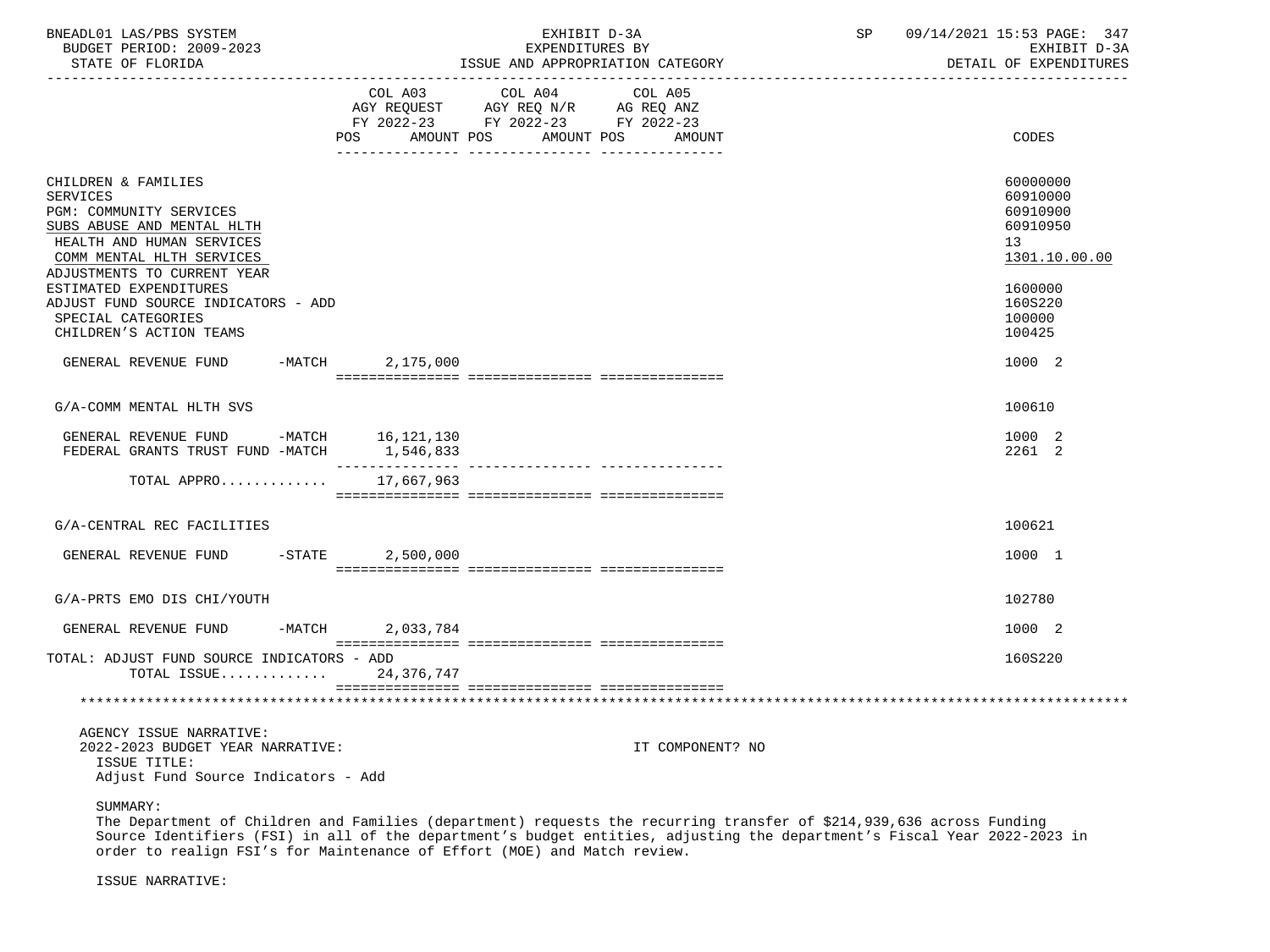| BNEADL01 LAS/PBS SYSTEM<br>BUDGET PERIOD: 2009-2023<br>STATE OF FLORIDA                                                                                                                                                                                   |                              | EXHIBIT D-3A<br>EXPENDITURES BY<br>ISSUE AND APPROPRIATION CATEGORY                             | SP                | 09/14/2021 15:53 PAGE: 347<br>EXHIBIT D-3A<br>DETAIL OF EXPENDITURES |                                                                                                        |
|-----------------------------------------------------------------------------------------------------------------------------------------------------------------------------------------------------------------------------------------------------------|------------------------------|-------------------------------------------------------------------------------------------------|-------------------|----------------------------------------------------------------------|--------------------------------------------------------------------------------------------------------|
|                                                                                                                                                                                                                                                           | COL A03<br>POS<br>AMOUNT POS | COL A04<br>AGY REQUEST AGY REQ N/R AG REQ ANZ<br>FY 2022-23 FY 2022-23 FY 2022-23<br>AMOUNT POS | COL A05<br>AMOUNT |                                                                      | CODES                                                                                                  |
| CHILDREN & FAMILIES<br><b>SERVICES</b><br>PGM: COMMUNITY SERVICES<br>SUBS ABUSE AND MENTAL HLTH<br>HEALTH AND HUMAN SERVICES<br>COMM MENTAL HLTH SERVICES<br>ADJUSTMENTS TO CURRENT YEAR<br>ESTIMATED EXPENDITURES<br>ADJUST FUND SOURCE INDICATORS - ADD |                              |                                                                                                 |                   |                                                                      | 60000000<br>60910000<br>60910900<br>60910950<br>13 <sup>°</sup><br>1301.10.00.00<br>1600000<br>160S220 |
| SPECIAL CATEGORIES<br>CHILDREN'S ACTION TEAMS                                                                                                                                                                                                             |                              |                                                                                                 |                   |                                                                      | 100000<br>100425                                                                                       |
| GENERAL REVENUE FUND -MATCH                                                                                                                                                                                                                               | 2,175,000                    |                                                                                                 |                   |                                                                      | 1000 2                                                                                                 |
| G/A-COMM MENTAL HLTH SVS                                                                                                                                                                                                                                  |                              |                                                                                                 |                   |                                                                      | 100610                                                                                                 |
| GENERAL REVENUE FUND -MATCH 16,121,130<br>FEDERAL GRANTS TRUST FUND -MATCH                                                                                                                                                                                | 1,546,833                    |                                                                                                 |                   |                                                                      | 1000 2<br>2261 2                                                                                       |
| TOTAL APPRO 17,667,963                                                                                                                                                                                                                                    |                              |                                                                                                 |                   |                                                                      |                                                                                                        |
| G/A-CENTRAL REC FACILITIES                                                                                                                                                                                                                                |                              |                                                                                                 |                   |                                                                      | 100621                                                                                                 |
| GENERAL REVENUE FUND -STATE 2,500,000                                                                                                                                                                                                                     |                              |                                                                                                 |                   |                                                                      | 1000 1                                                                                                 |
| G/A-PRTS EMO DIS CHI/YOUTH                                                                                                                                                                                                                                |                              |                                                                                                 |                   |                                                                      | 102780                                                                                                 |
| GENERAL REVENUE FUND<br>$-MATCH$                                                                                                                                                                                                                          | 2,033,784                    |                                                                                                 |                   |                                                                      | 1000 2                                                                                                 |
| TOTAL: ADJUST FUND SOURCE INDICATORS - ADD<br>TOTAL ISSUE 24,376,747                                                                                                                                                                                      |                              |                                                                                                 |                   |                                                                      | 160S220                                                                                                |
|                                                                                                                                                                                                                                                           |                              |                                                                                                 |                   |                                                                      |                                                                                                        |
| AGENCY ISSUE NARRATIVE:<br>2022-2023 BUDGET YEAR NARRATIVE:<br>ISSUE TITLE:<br>Adjust Fund Source Indicators - Add                                                                                                                                        |                              |                                                                                                 | IT COMPONENT? NO  |                                                                      |                                                                                                        |
| SUMMARY:                                                                                                                                                                                                                                                  |                              |                                                                                                 |                   |                                                                      |                                                                                                        |

 The Department of Children and Families (department) requests the recurring transfer of \$214,939,636 across Funding Source Identifiers (FSI) in all of the department's budget entities, adjusting the department's Fiscal Year 2022-2023 in order to realign FSI's for Maintenance of Effort (MOE) and Match review.

ISSUE NARRATIVE: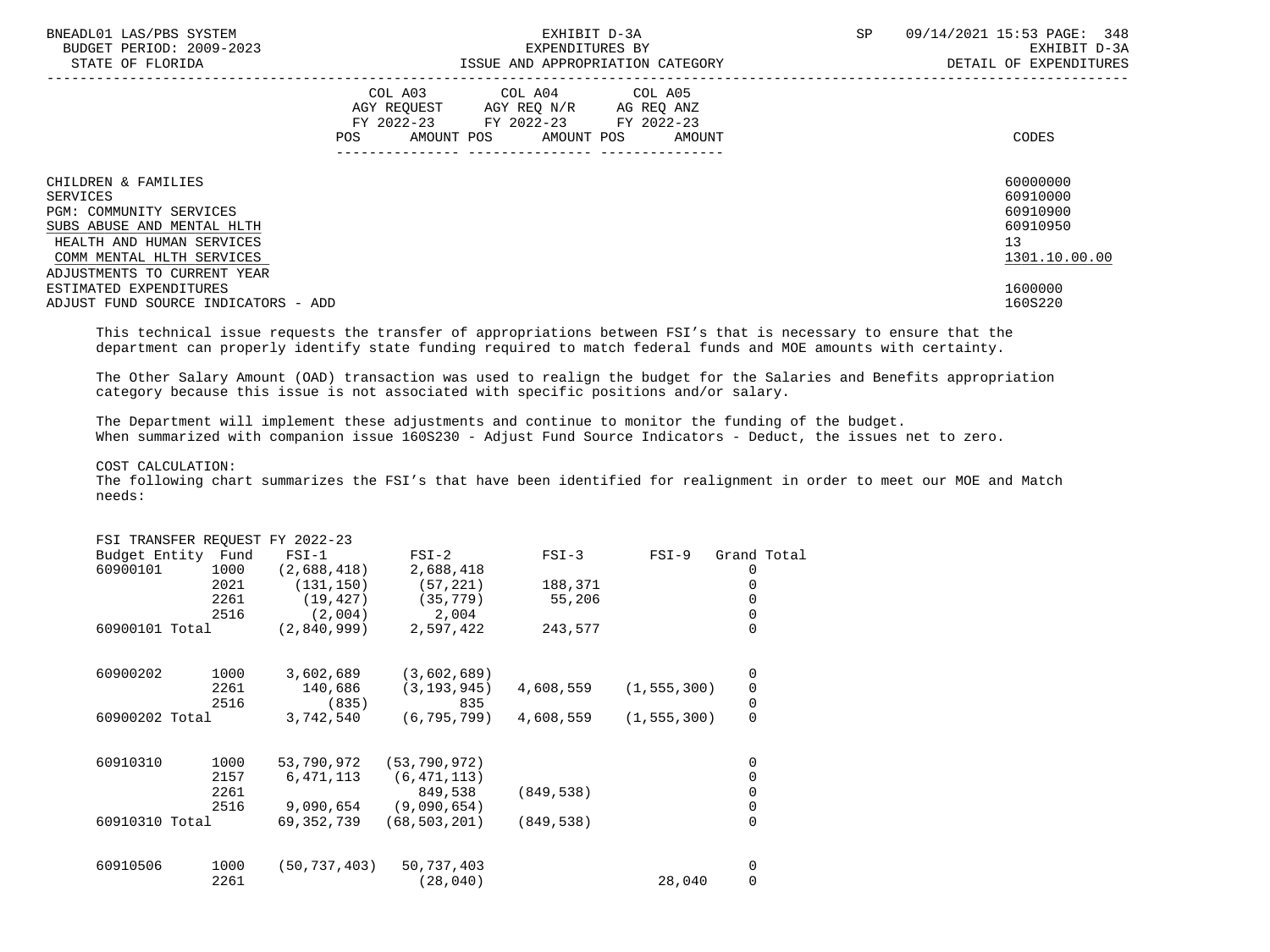| BNEADL01 LAS/PBS SYSTEM<br>BUDGET PERIOD: 2009-2023<br>STATE OF FLORIDA                                                                                                                         |                                                                                                                                       | EXHIBIT D-3A<br>EXPENDITURES BY | ISSUE AND APPROPRIATION CATEGORY | SP | 09/14/2021 15:53 PAGE: 348<br>EXHIBIT D-3A<br>DETAIL OF EXPENDITURES |
|-------------------------------------------------------------------------------------------------------------------------------------------------------------------------------------------------|---------------------------------------------------------------------------------------------------------------------------------------|---------------------------------|----------------------------------|----|----------------------------------------------------------------------|
|                                                                                                                                                                                                 | COL A03 COL A04 COL A05<br>AGY REQUEST AGY REO N/R AG REO ANZ<br>FY 2022-23 FY 2022-23 FY 2022-23<br>POS AMOUNT POS AMOUNT POS AMOUNT |                                 |                                  |    | CODES                                                                |
| CHILDREN & FAMILIES<br><b>SERVICES</b><br><b>PGM: COMMUNITY SERVICES</b><br>SUBS ABUSE AND MENTAL HLTH<br>HEALTH AND HUMAN SERVICES<br>COMM MENTAL HLTH SERVICES<br>ADJUSTMENTS TO CURRENT YEAR |                                                                                                                                       |                                 |                                  |    | 60000000<br>60910000<br>60910900<br>60910950<br>13<br>1301.10.00.00  |
| ESTIMATED EXPENDITURES<br>ADJUST FUND SOURCE INDICATORS - ADD                                                                                                                                   |                                                                                                                                       |                                 |                                  |    | 1600000<br>160S220                                                   |

 This technical issue requests the transfer of appropriations between FSI's that is necessary to ensure that the department can properly identify state funding required to match federal funds and MOE amounts with certainty.

 The Other Salary Amount (OAD) transaction was used to realign the budget for the Salaries and Benefits appropriation category because this issue is not associated with specific positions and/or salary.

 The Department will implement these adjustments and continue to monitor the funding of the budget. When summarized with companion issue 160S230 - Adjust Fund Source Indicators - Deduct, the issues net to zero.

COST CALCULATION:

| FSI TRANSFER REQUEST FY 2022-23 |      |                |                |            |               |             |
|---------------------------------|------|----------------|----------------|------------|---------------|-------------|
| Budget Entity Fund              |      | $FSI-1$        | $FSI-2$        | $FSI-3$    | $FSI-9$       | Grand Total |
| 60900101                        | 1000 | (2,688,418)    | 2,688,418      |            |               | 0           |
|                                 | 2021 | (131, 150)     | (57, 221)      | 188,371    |               | 0           |
|                                 | 2261 | (19, 427)      | (35, 779)      | 55,206     |               | $\Omega$    |
|                                 | 2516 | (2,004)        | 2,004          |            |               | 0           |
| 60900101 Total                  |      | (2,840,999)    | 2,597,422      | 243,577    |               | $\Omega$    |
|                                 |      |                |                |            |               |             |
| 60900202                        | 1000 | 3,602,689      | (3,602,689)    |            |               | 0           |
|                                 | 2261 | 140,686        | (3, 193, 945)  | 4,608,559  | (1, 555, 300) | 0           |
|                                 | 2516 | (835)          | 835            |            |               | $\mathsf 0$ |
| 60900202 Total                  |      | 3,742,540      | (6, 795, 799)  | 4,608,559  | (1, 555, 300) | 0           |
|                                 |      |                |                |            |               |             |
| 60910310                        | 1000 | 53,790,972     | (53, 790, 972) |            |               | 0           |
|                                 | 2157 | 6,471,113      | (6, 471, 113)  |            |               | 0           |
|                                 | 2261 |                | 849,538        | (849, 538) |               | 0           |
|                                 | 2516 | 9,090,654      | (9,090,654)    |            |               | 0           |
| 60910310 Total                  |      | 69,352,739     | (68, 503, 201) | (849, 538) |               | 0           |
| 60910506                        | 1000 | (50, 737, 403) | 50,737,403     |            |               | 0           |
|                                 | 2261 |                | (28, 040)      |            | 28,040        | 0           |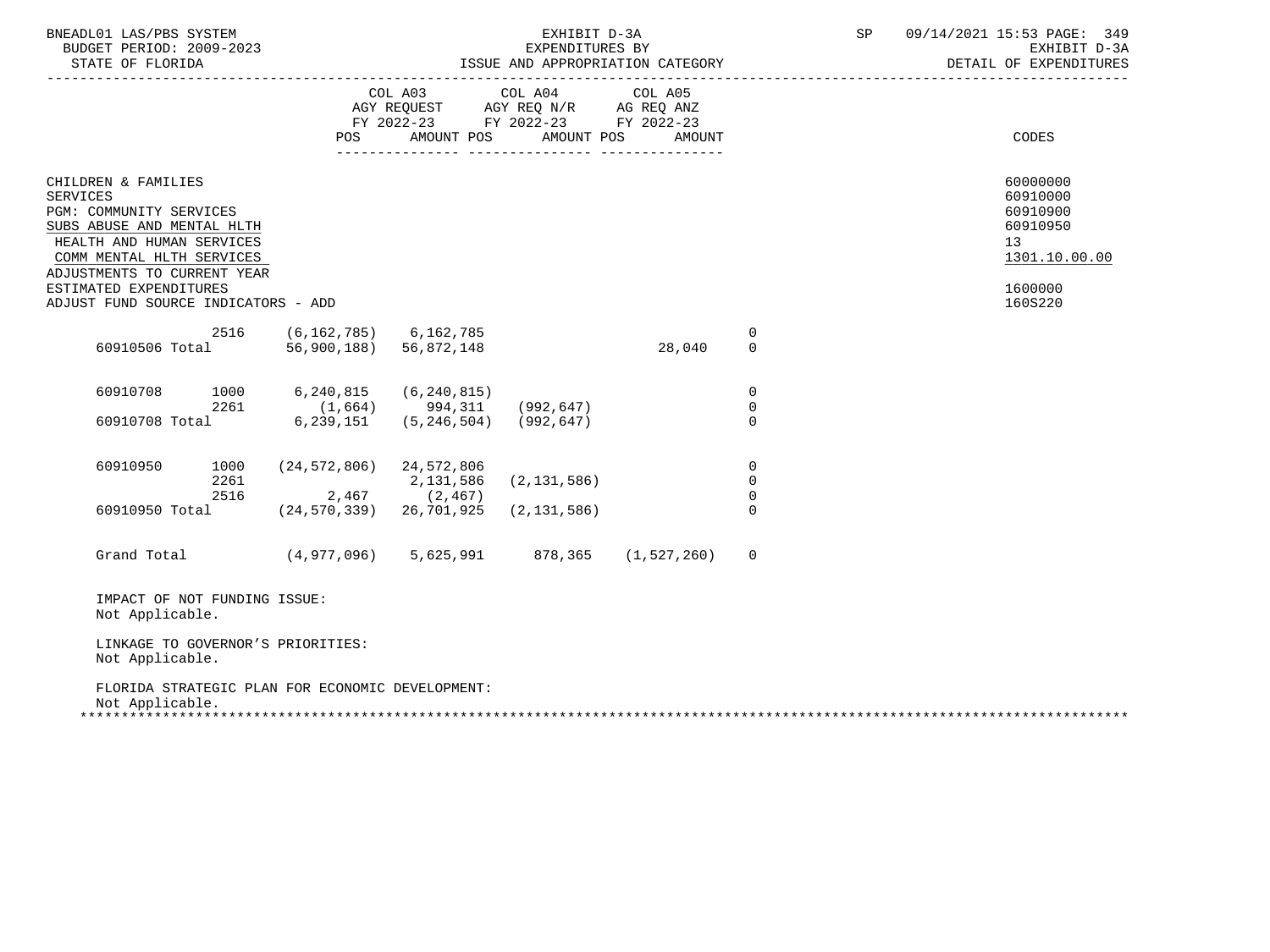| BNEADL01 LAS/PBS SYSTEM<br>BUDGET PERIOD: 2009-2023                                                                                                                                                                                                       |                                                             |                                            | EXHIBIT D-3A<br>EXPENDITURES BY                                                      | ISSUE AND APPROPRIATION CATEGORY |                                             | SP | 09/14/2021 15:53 PAGE: 349<br>EXHIBIT D-3A<br>DETAIL OF EXPENDITURES                                   |
|-----------------------------------------------------------------------------------------------------------------------------------------------------------------------------------------------------------------------------------------------------------|-------------------------------------------------------------|--------------------------------------------|--------------------------------------------------------------------------------------|----------------------------------|---------------------------------------------|----|--------------------------------------------------------------------------------------------------------|
|                                                                                                                                                                                                                                                           | POS                                                         | COL A03 COL A04<br>AMOUNT POS              | AGY REQUEST AGY REQ N/R AG REQ ANZ<br>FY 2022-23 FY 2022-23 FY 2022-23<br>AMOUNT POS | COL A05<br>AMOUNT                |                                             |    | CODES                                                                                                  |
| CHILDREN & FAMILIES<br><b>SERVICES</b><br>PGM: COMMUNITY SERVICES<br>SUBS ABUSE AND MENTAL HLTH<br>HEALTH AND HUMAN SERVICES<br>COMM MENTAL HLTH SERVICES<br>ADJUSTMENTS TO CURRENT YEAR<br>ESTIMATED EXPENDITURES<br>ADJUST FUND SOURCE INDICATORS - ADD |                                                             |                                            |                                                                                      |                                  |                                             |    | 60000000<br>60910000<br>60910900<br>60910950<br>13 <sup>°</sup><br>1301.10.00.00<br>1600000<br>160S220 |
| 2516<br>60910506 Total                                                                                                                                                                                                                                    | (6,162,785) 6,162,785<br>56,900,188) 56,872,148             |                                            |                                                                                      | 28,040                           | 0<br>$\mathbf 0$                            |    |                                                                                                        |
| 60910708<br>2261<br>60910708 Total                                                                                                                                                                                                                        | 1000 6,240,815<br>$(1,664)$ 994,311<br>6,239,151            | (6, 240, 815)<br>$(5, 246, 504)$ (992,647) | (992,647)                                                                            |                                  | $\Omega$<br>$\overline{0}$<br>$\Omega$      |    |                                                                                                        |
| 60910950<br>2261<br>2516<br>60910950 Total                                                                                                                                                                                                                | 1000 (24,572,806) 24,572,806<br>$(24, 570, 339)$ 26,701,925 | 2,131,586<br>$2,467$ (2,467)               | (2, 131, 586)<br>(2, 131, 586)                                                       |                                  | 0<br>$\overline{0}$<br>$\Omega$<br>$\Omega$ |    |                                                                                                        |
| Grand Total (4,977,096) 5,625,991 878,365 (1,527,260)                                                                                                                                                                                                     |                                                             |                                            |                                                                                      |                                  | $\Omega$                                    |    |                                                                                                        |
| IMPACT OF NOT FUNDING ISSUE:<br>Not Applicable.                                                                                                                                                                                                           |                                                             |                                            |                                                                                      |                                  |                                             |    |                                                                                                        |
| LINKAGE TO GOVERNOR'S PRIORITIES:<br>Not Applicable.                                                                                                                                                                                                      |                                                             |                                            |                                                                                      |                                  |                                             |    |                                                                                                        |
| FLORIDA STRATEGIC PLAN FOR ECONOMIC DEVELOPMENT:<br>Not Applicable.                                                                                                                                                                                       |                                                             |                                            |                                                                                      |                                  |                                             |    |                                                                                                        |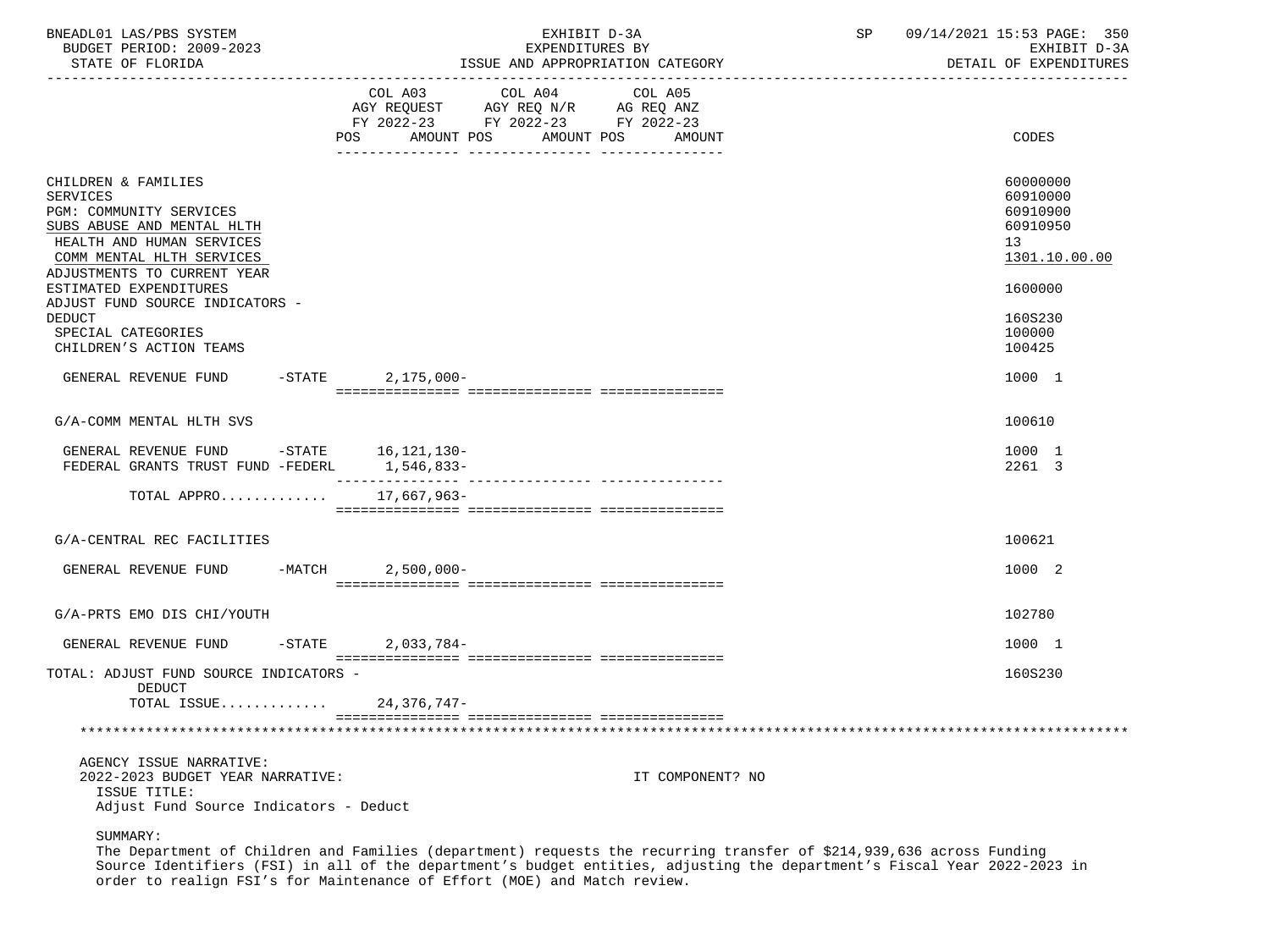| BNEADL01 LAS/PBS SYSTEM<br>BUDGET PERIOD: 2009-2023<br>STATE OF FLORIDA                                                                                                           |                                                                                                        | ISSUE AND APPROPRIATION CATEGORY | EXHIBIT D-3A<br>EXPENDITURES BY |                  | SP | 09/14/2021 15:53 PAGE: 350<br>EXHIBIT D-3A<br>DETAIL OF EXPENDITURES |
|-----------------------------------------------------------------------------------------------------------------------------------------------------------------------------------|--------------------------------------------------------------------------------------------------------|----------------------------------|---------------------------------|------------------|----|----------------------------------------------------------------------|
|                                                                                                                                                                                   | COL A03<br>AGY REQUEST AGY REQ N/R AG REQ ANZ<br>FY 2022-23 FY 2022-23 FY 2022-23<br>AMOUNT POS<br>POS | COL A04<br>AMOUNT POS            | COL A05                         | AMOUNT           |    | <b>CODES</b>                                                         |
| CHILDREN & FAMILIES<br>SERVICES<br>PGM: COMMUNITY SERVICES<br>SUBS ABUSE AND MENTAL HLTH<br>HEALTH AND HUMAN SERVICES<br>COMM MENTAL HLTH SERVICES<br>ADJUSTMENTS TO CURRENT YEAR |                                                                                                        |                                  |                                 |                  |    | 60000000<br>60910000<br>60910900<br>60910950<br>13<br>1301.10.00.00  |
| ESTIMATED EXPENDITURES<br>ADJUST FUND SOURCE INDICATORS -<br><b>DEDUCT</b><br>SPECIAL CATEGORIES<br>CHILDREN'S ACTION TEAMS                                                       |                                                                                                        |                                  |                                 |                  |    | 1600000<br>160S230<br>100000<br>100425                               |
| GENERAL REVENUE FUND                                                                                                                                                              | -STATE 2,175,000-                                                                                      |                                  |                                 |                  |    | 1000 1                                                               |
| G/A-COMM MENTAL HLTH SVS                                                                                                                                                          |                                                                                                        |                                  |                                 |                  |    | 100610                                                               |
| GENERAL REVENUE FUND -STATE 16,121,130-<br>FEDERAL GRANTS TRUST FUND -FEDERL                                                                                                      | 1,546,833-                                                                                             |                                  |                                 |                  |    | 1000 1<br>2261 3                                                     |
| TOTAL APPRO                                                                                                                                                                       | 17,667,963-                                                                                            |                                  |                                 |                  |    |                                                                      |
| G/A-CENTRAL REC FACILITIES                                                                                                                                                        |                                                                                                        |                                  |                                 |                  |    | 100621                                                               |
| GENERAL REVENUE FUND                                                                                                                                                              | $-MATCH$ 2,500,000-                                                                                    |                                  |                                 |                  |    | 1000 2                                                               |
| G/A-PRTS EMO DIS CHI/YOUTH                                                                                                                                                        |                                                                                                        |                                  |                                 |                  |    | 102780                                                               |
| GENERAL REVENUE FUND                                                                                                                                                              | $-$ STATE 2,033,784 -                                                                                  |                                  |                                 |                  |    | 1000 1                                                               |
| TOTAL: ADJUST FUND SOURCE INDICATORS -<br>DEDUCT                                                                                                                                  |                                                                                                        |                                  |                                 |                  |    | 160S230                                                              |
| TOTAL ISSUE                                                                                                                                                                       | $24,376,747-$                                                                                          |                                  |                                 |                  |    |                                                                      |
|                                                                                                                                                                                   |                                                                                                        |                                  |                                 |                  |    |                                                                      |
| AGENCY ISSUE NARRATIVE:<br>2022-2023 BUDGET YEAR NARRATIVE:<br>ISSUE TITLE:<br>Adjust Fund Source Indicators - Deduct                                                             |                                                                                                        |                                  |                                 | IT COMPONENT? NO |    |                                                                      |

SUMMARY:

 The Department of Children and Families (department) requests the recurring transfer of \$214,939,636 across Funding Source Identifiers (FSI) in all of the department's budget entities, adjusting the department's Fiscal Year 2022-2023 in order to realign FSI's for Maintenance of Effort (MOE) and Match review.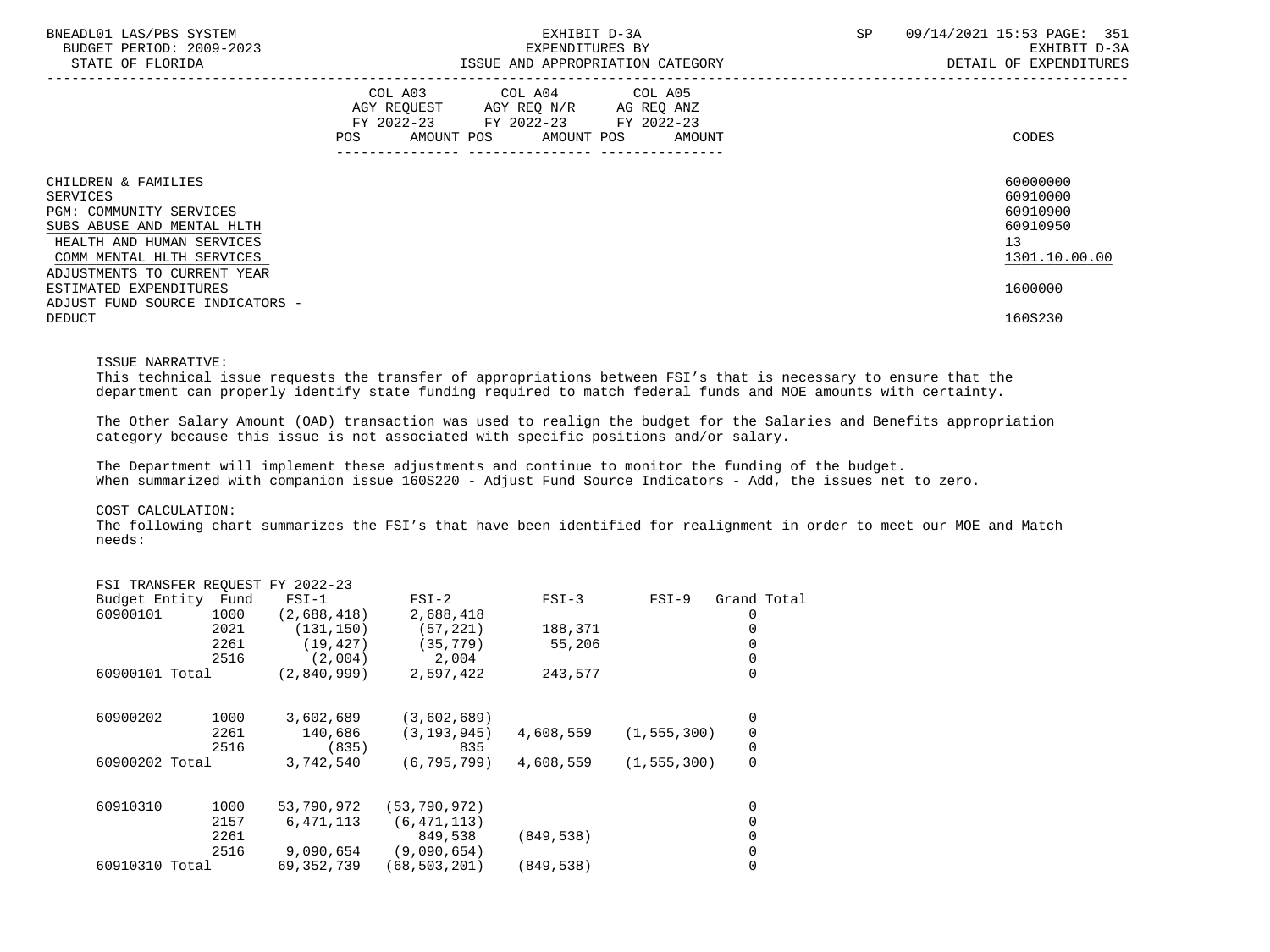| BNEADL01 LAS/PBS SYSTEM<br>BUDGET PERIOD: 2009-2023<br>STATE OF FLORIDA                                                                            | EXHIBIT D-3A<br>EXPENDITURES BY<br>ISSUE AND APPROPRIATION CATEGORY                                                                         | 09/14/2021 15:53 PAGE: 351<br><b>SP</b><br>EXHIBIT D-3A<br>DETAIL OF EXPENDITURES |
|----------------------------------------------------------------------------------------------------------------------------------------------------|---------------------------------------------------------------------------------------------------------------------------------------------|-----------------------------------------------------------------------------------|
|                                                                                                                                                    | COL A03 COL A04 COL A05<br>AGY REQUEST AGY REQ N/R AG REQ ANZ<br>FY 2022-23 FY 2022-23 FY 2022-23<br>AMOUNT POS AMOUNT POS<br>POS<br>AMOUNT | CODES                                                                             |
| CHILDREN & FAMILIES<br>SERVICES<br>PGM: COMMUNITY SERVICES<br>SUBS ABUSE AND MENTAL HLTH<br>HEALTH AND HUMAN SERVICES<br>COMM MENTAL HLTH SERVICES |                                                                                                                                             | 60000000<br>60910000<br>60910900<br>60910950<br>13<br>1301.10.00.00               |
| ADJUSTMENTS TO CURRENT YEAR<br>ESTIMATED EXPENDITURES<br>ADJUST FUND SOURCE INDICATORS -                                                           |                                                                                                                                             | 1600000                                                                           |
| <b>DEDUCT</b>                                                                                                                                      |                                                                                                                                             | 160S230                                                                           |

#### ISSUE NARRATIVE:

 This technical issue requests the transfer of appropriations between FSI's that is necessary to ensure that the department can properly identify state funding required to match federal funds and MOE amounts with certainty.

 The Other Salary Amount (OAD) transaction was used to realign the budget for the Salaries and Benefits appropriation category because this issue is not associated with specific positions and/or salary.

 The Department will implement these adjustments and continue to monitor the funding of the budget. When summarized with companion issue 160S220 - Adjust Fund Source Indicators - Add, the issues net to zero.

### COST CALCULATION:

|          |      | $FSI-1$                                                                  | $FSI-2$                         | $FSI-3$    | $FSI-9$ | Grand Total                    |
|----------|------|--------------------------------------------------------------------------|---------------------------------|------------|---------|--------------------------------|
| 60900101 | 1000 | (2,688,418)                                                              | 2,688,418                       |            |         |                                |
|          | 2021 | (131, 150)                                                               | (57, 221)                       | 188,371    |         |                                |
|          | 2261 | (19, 427)                                                                | (35, 779)                       | 55,206     |         |                                |
|          | 2516 | (2,004)                                                                  | 2,004                           |            |         |                                |
|          |      | (2,840,999)                                                              | 2,597,422                       | 243,577    |         | 0                              |
| 60900202 | 1000 | 3,602,689                                                                | (3,602,689)                     |            |         | 0                              |
|          | 2261 | 140,686                                                                  | (3, 193, 945)                   | 4,608,559  |         | 0                              |
|          | 2516 | (835)                                                                    | 835                             |            |         | 0                              |
|          |      | 3,742,540                                                                | (6, 795, 799)                   | 4,608,559  |         | 0                              |
| 60910310 | 1000 | 53,790,972                                                               | (53, 790, 972)                  |            |         | 0                              |
|          | 2157 | 6,471,113                                                                | (6, 471, 113)                   |            |         |                                |
|          | 2261 |                                                                          | 849,538                         | (849, 538) |         |                                |
|          | 2516 | 9,090,654                                                                | (9,090,654)                     |            |         |                                |
|          |      | 69, 352, 739                                                             | (68, 503, 201)                  | (849, 538) |         |                                |
|          |      | Budget Entity Fund<br>60900101 Total<br>60900202 Total<br>60910310 Total | FSI TRANSFER REQUEST FY 2022-23 |            |         | (1, 555, 300)<br>(1, 555, 300) |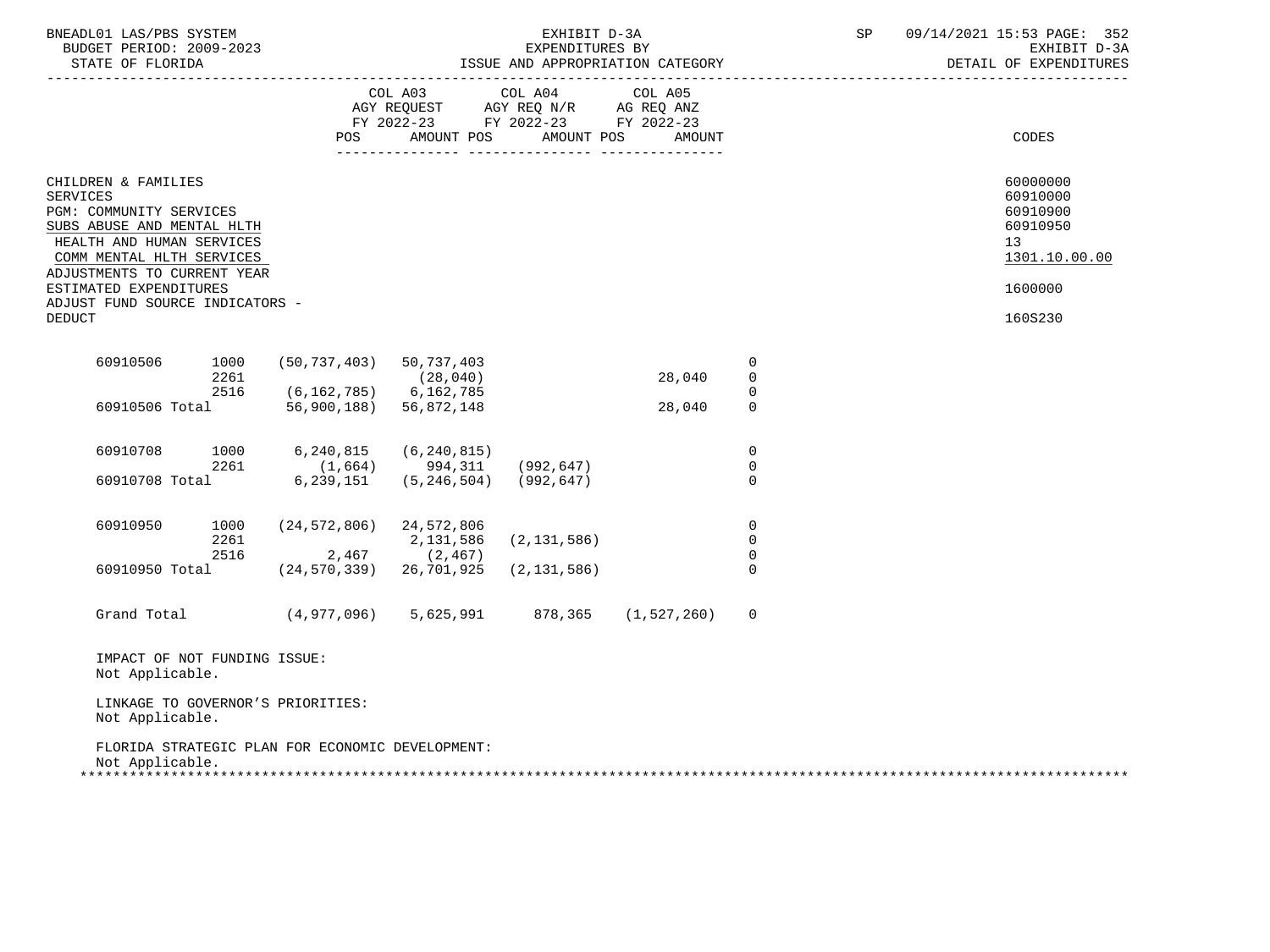| BNEADL01 LAS/PBS SYSTEM<br>BUDGET PERIOD: 2009-2023<br>STATE OF FLORIDA<br>----------------                                                                                                                                                                            |                      |                                                                      |                                                                                                                 | EXHIBIT D-3A<br>EXPENDITURES BY | ISSUE AND APPROPRIATION CATEGORY |                                           | SP | 09/14/2021 15:53 PAGE: 352<br>EXHIBIT D-3A<br>DETAIL OF EXPENDITURES                      |
|------------------------------------------------------------------------------------------------------------------------------------------------------------------------------------------------------------------------------------------------------------------------|----------------------|----------------------------------------------------------------------|-----------------------------------------------------------------------------------------------------------------|---------------------------------|----------------------------------|-------------------------------------------|----|-------------------------------------------------------------------------------------------|
|                                                                                                                                                                                                                                                                        |                      | POS FOR                                                              | COL A03 COL A04 COL A05<br>AGY REQUEST AGY REQ N/R AG REQ ANZ<br>FY 2022-23 FY 2022-23 FY 2022-23<br>AMOUNT POS | AMOUNT POS                      | AMOUNT                           |                                           |    | CODES                                                                                     |
| CHILDREN & FAMILIES<br><b>SERVICES</b><br>PGM: COMMUNITY SERVICES<br>SUBS ABUSE AND MENTAL HLTH<br>HEALTH AND HUMAN SERVICES<br>COMM MENTAL HLTH SERVICES<br>ADJUSTMENTS TO CURRENT YEAR<br>ESTIMATED EXPENDITURES<br>ADJUST FUND SOURCE INDICATORS -<br><b>DEDUCT</b> |                      |                                                                      |                                                                                                                 |                                 |                                  |                                           |    | 60000000<br>60910000<br>60910900<br>60910950<br>13<br>1301.10.00.00<br>1600000<br>160S230 |
| 60910506                                                                                                                                                                                                                                                               | 1000<br>2261<br>2516 | $(50, 737, 403)$ 50, 737, 403                                        | (28, 040)                                                                                                       |                                 | 28,040                           | 0<br>$\mathbf 0$                          |    |                                                                                           |
|                                                                                                                                                                                                                                                                        |                      | $(6, 162, 785)$ 6, 162, 785<br>60910506 Total 56,900,188) 56,872,148 |                                                                                                                 |                                 | 28,040                           | $\mathbf 0$<br>$\mathbf 0$                |    |                                                                                           |
| 60910708<br>60910708 Total                                                                                                                                                                                                                                             | 1000<br>2261         | 6,240,815<br>$(1,664)$ 994, 311 (992, 647)<br>6,239,151              | (6, 240, 815)<br>$(5, 246, 504)$ (992,647)                                                                      |                                 |                                  | $\mathbf 0$<br>$\mathbf 0$<br>$\Omega$    |    |                                                                                           |
| 60910950                                                                                                                                                                                                                                                               | 1000<br>2261<br>2516 | $(24, 572, 806)$ 24, 572, 806                                        | 2,131,586<br>2,467 (2,467)                                                                                      | (2, 131, 586)                   |                                  | $\mathbf 0$<br>$\mathbf 0$<br>$\mathbf 0$ |    |                                                                                           |
| 60910950 Total<br>Grand Total                                                                                                                                                                                                                                          |                      | $(24, 570, 339)$ 26,701,925<br>(4,977,096)                           | 5,625,991                                                                                                       | (2, 131, 586)<br>878,365        | (1,527,260)                      | $\Omega$<br>$\Omega$                      |    |                                                                                           |
| IMPACT OF NOT FUNDING ISSUE:<br>Not Applicable.                                                                                                                                                                                                                        |                      |                                                                      |                                                                                                                 |                                 |                                  |                                           |    |                                                                                           |
| LINKAGE TO GOVERNOR'S PRIORITIES:<br>Not Applicable.                                                                                                                                                                                                                   |                      |                                                                      |                                                                                                                 |                                 |                                  |                                           |    |                                                                                           |
| Not Applicable.                                                                                                                                                                                                                                                        |                      | FLORIDA STRATEGIC PLAN FOR ECONOMIC DEVELOPMENT:                     |                                                                                                                 |                                 |                                  |                                           |    |                                                                                           |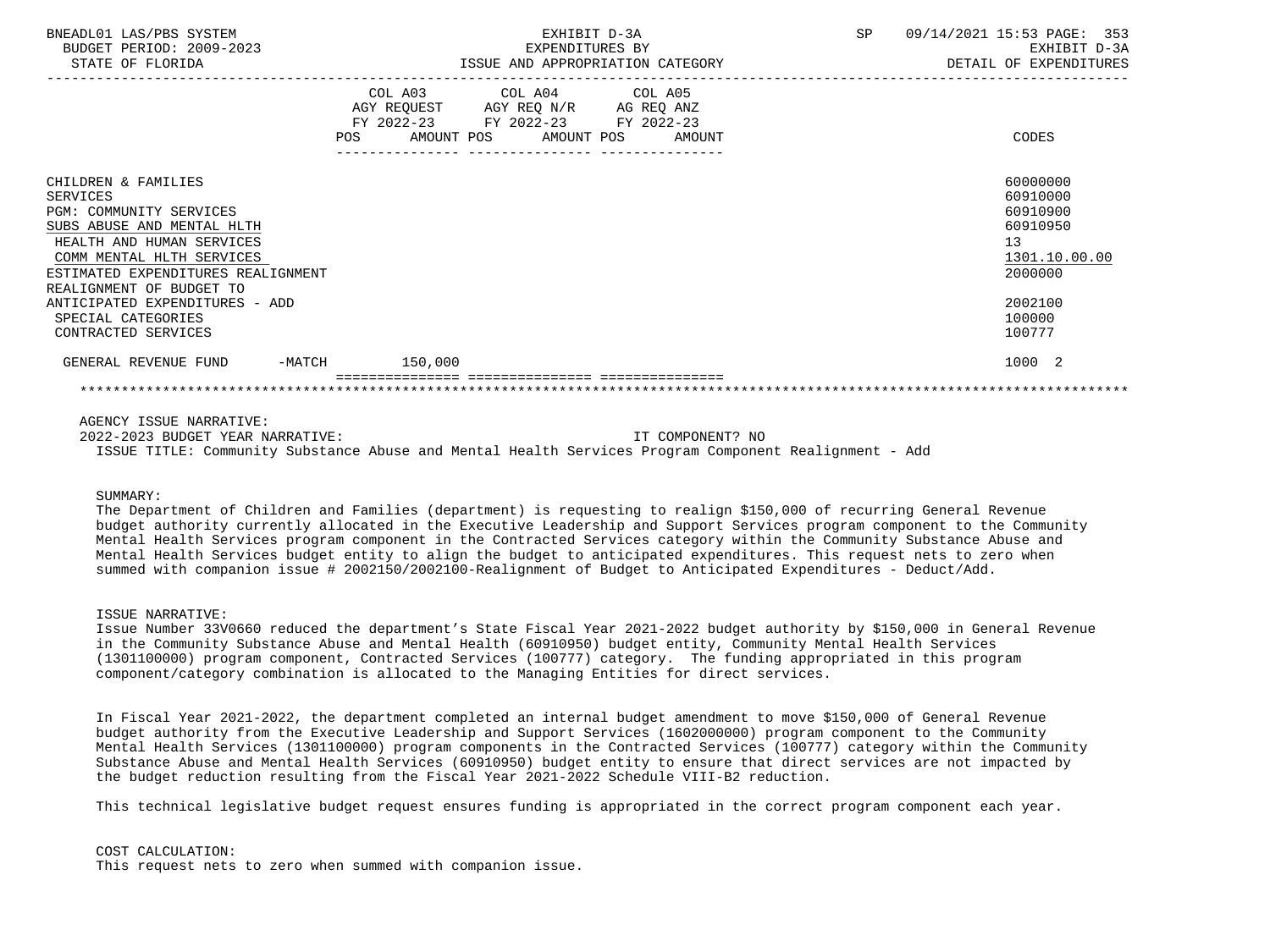| BNEADL01 LAS/PBS SYSTEM<br>BUDGET PERIOD: 2009-2023<br>STATE OF FLORIDA                                                                                                                         |                  | EXHIBIT D-3A<br>EXPENDITURES BY<br>ISSUE AND APPROPRIATION CATEGORY                                                               | <b>SP</b> | 09/14/2021 15:53 PAGE: 353<br>EXHIBIT D-3A<br>DETAIL OF EXPENDITURES           |  |  |
|-------------------------------------------------------------------------------------------------------------------------------------------------------------------------------------------------|------------------|-----------------------------------------------------------------------------------------------------------------------------------|-----------|--------------------------------------------------------------------------------|--|--|
|                                                                                                                                                                                                 | POS              | COL A03 COL A04 COL A05<br>AGY REQUEST AGY REQ N/R AG REQ ANZ<br>FY 2022-23 FY 2022-23 FY 2022-23<br>AMOUNT POS AMOUNT POS AMOUNT |           | CODES                                                                          |  |  |
| CHILDREN & FAMILIES<br>SERVICES<br><b>PGM: COMMUNITY SERVICES</b><br>SUBS ABUSE AND MENTAL HLTH<br>HEALTH AND HUMAN SERVICES<br>COMM MENTAL HLTH SERVICES<br>ESTIMATED EXPENDITURES REALIGNMENT |                  |                                                                                                                                   |           | 60000000<br>60910000<br>60910900<br>60910950<br>13<br>1301.10.00.00<br>2000000 |  |  |
| REALIGNMENT OF BUDGET TO<br>ANTICIPATED EXPENDITURES - ADD<br>SPECIAL CATEGORIES<br>CONTRACTED SERVICES                                                                                         |                  |                                                                                                                                   |           | 2002100<br>100000<br>100777                                                    |  |  |
| GENERAL REVENUE FUND                                                                                                                                                                            | $-MATCH$ 150,000 |                                                                                                                                   |           | 1000 2                                                                         |  |  |
|                                                                                                                                                                                                 |                  |                                                                                                                                   |           |                                                                                |  |  |

AGENCY ISSUE NARRATIVE:

 2022-2023 BUDGET YEAR NARRATIVE: IT COMPONENT? NO ISSUE TITLE: Community Substance Abuse and Mental Health Services Program Component Realignment - Add

## SIIMMARY:

 The Department of Children and Families (department) is requesting to realign \$150,000 of recurring General Revenue budget authority currently allocated in the Executive Leadership and Support Services program component to the Community Mental Health Services program component in the Contracted Services category within the Community Substance Abuse and Mental Health Services budget entity to align the budget to anticipated expenditures. This request nets to zero when summed with companion issue # 2002150/2002100-Realignment of Budget to Anticipated Expenditures - Deduct/Add.

## ISSUE NARRATIVE:

 Issue Number 33V0660 reduced the department's State Fiscal Year 2021-2022 budget authority by \$150,000 in General Revenue in the Community Substance Abuse and Mental Health (60910950) budget entity, Community Mental Health Services (1301100000) program component, Contracted Services (100777) category. The funding appropriated in this program component/category combination is allocated to the Managing Entities for direct services.

 In Fiscal Year 2021-2022, the department completed an internal budget amendment to move \$150,000 of General Revenue budget authority from the Executive Leadership and Support Services (1602000000) program component to the Community Mental Health Services (1301100000) program components in the Contracted Services (100777) category within the Community Substance Abuse and Mental Health Services (60910950) budget entity to ensure that direct services are not impacted by the budget reduction resulting from the Fiscal Year 2021-2022 Schedule VIII-B2 reduction.

This technical legislative budget request ensures funding is appropriated in the correct program component each year.

#### COST CALCULATION:

This request nets to zero when summed with companion issue.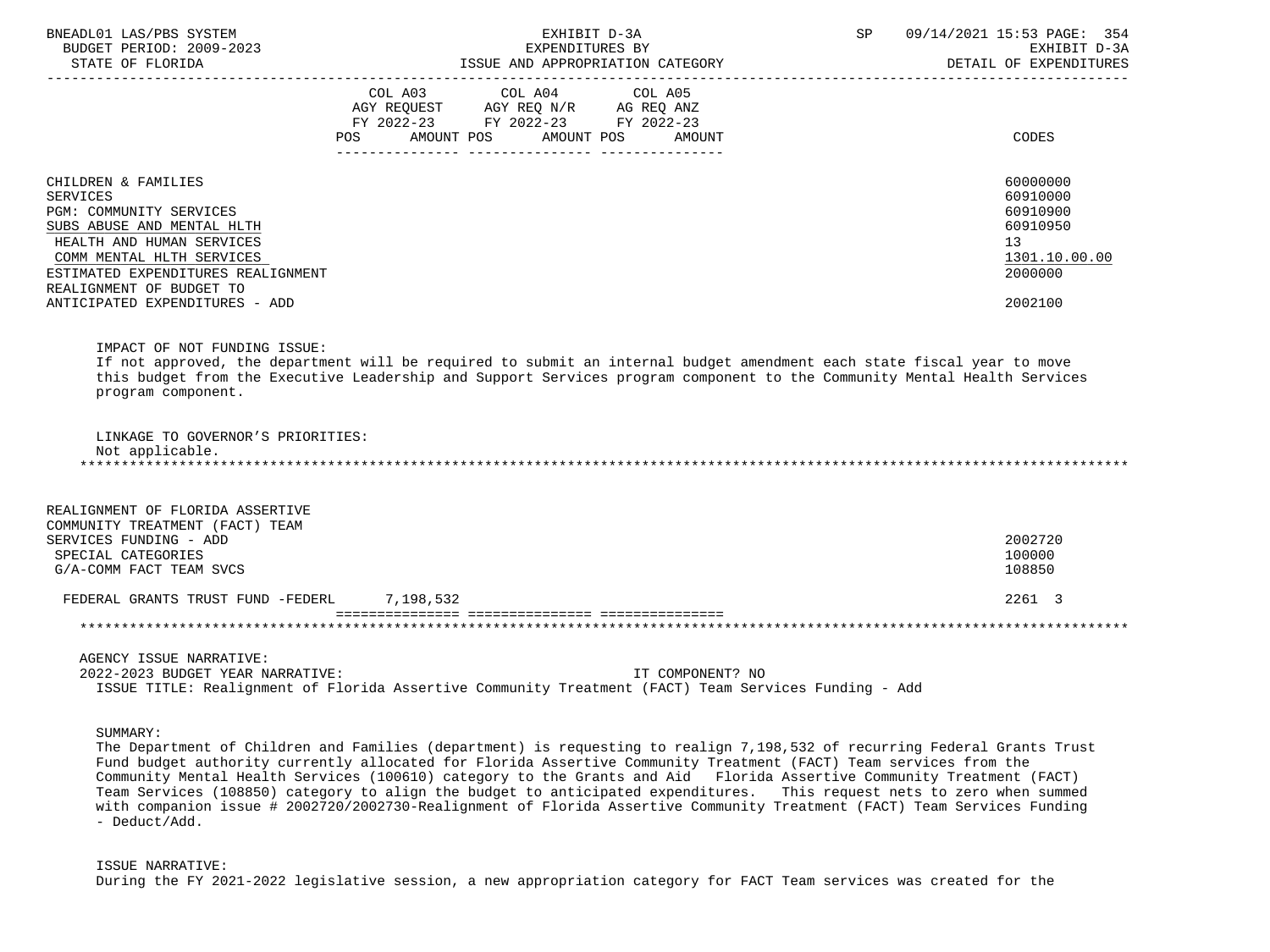| BNEADL01 LAS/PBS SYSTEM<br>BUDGET PERIOD: 2009-2023                                                                                                                                                                                                           | EXHIBIT D-3A<br>EXPENDITURES BY                                                                                                                                                                                                                    | 09/14/2021 15:53 PAGE: 354<br>SP<br>EXHIBIT D-3A                                          |
|---------------------------------------------------------------------------------------------------------------------------------------------------------------------------------------------------------------------------------------------------------------|----------------------------------------------------------------------------------------------------------------------------------------------------------------------------------------------------------------------------------------------------|-------------------------------------------------------------------------------------------|
| STATE OF FLORIDA                                                                                                                                                                                                                                              | ISSUE AND APPROPRIATION CATEGORY                                                                                                                                                                                                                   | DETAIL OF EXPENDITURES                                                                    |
|                                                                                                                                                                                                                                                               | COL A03 COL A04 COL A05<br>AGY REQUEST AGY REQ N/R AG REQ ANZ<br>FY 2022-23 FY 2022-23 FY 2022-23<br>AMOUNT POS<br>AMOUNT POS<br>AMOUNT<br>POS                                                                                                     | CODES                                                                                     |
| CHILDREN & FAMILIES<br><b>SERVICES</b><br>PGM: COMMUNITY SERVICES<br>SUBS ABUSE AND MENTAL HLTH<br>HEALTH AND HUMAN SERVICES<br>COMM MENTAL HLTH SERVICES<br>ESTIMATED EXPENDITURES REALIGNMENT<br>REALIGNMENT OF BUDGET TO<br>ANTICIPATED EXPENDITURES - ADD |                                                                                                                                                                                                                                                    | 60000000<br>60910000<br>60910900<br>60910950<br>13<br>1301.10.00.00<br>2000000<br>2002100 |
| IMPACT OF NOT FUNDING ISSUE:<br>program component.                                                                                                                                                                                                            | If not approved, the department will be required to submit an internal budget amendment each state fiscal year to move<br>this budget from the Executive Leadership and Support Services program component to the Community Mental Health Services |                                                                                           |
| LINKAGE TO GOVERNOR'S PRIORITIES:<br>Not applicable.                                                                                                                                                                                                          |                                                                                                                                                                                                                                                    |                                                                                           |
| REALIGNMENT OF FLORIDA ASSERTIVE<br>COMMUNITY TREATMENT (FACT) TEAM<br>SERVICES FUNDING - ADD<br>SPECIAL CATEGORIES<br>G/A-COMM FACT TEAM SVCS                                                                                                                |                                                                                                                                                                                                                                                    | 2002720<br>100000<br>108850                                                               |
| FEDERAL GRANTS TRUST FUND -FEDERL 7, 198, 532                                                                                                                                                                                                                 |                                                                                                                                                                                                                                                    | 2261 3                                                                                    |
|                                                                                                                                                                                                                                                               |                                                                                                                                                                                                                                                    |                                                                                           |
| AGENCY ISSUE NARRATIVE:<br>2022-2023 BUDGET YEAR NARRATIVE:                                                                                                                                                                                                   | IT COMPONENT? NO<br>ISSUE TITLE: Realignment of Florida Assertive Community Treatment (FACT) Team Services Funding - Add                                                                                                                           |                                                                                           |

SUMMARY:

 The Department of Children and Families (department) is requesting to realign 7,198,532 of recurring Federal Grants Trust Fund budget authority currently allocated for Florida Assertive Community Treatment (FACT) Team services from the Community Mental Health Services (100610) category to the Grants and Aid Florida Assertive Community Treatment (FACT) Team Services (108850) category to align the budget to anticipated expenditures. This request nets to zero when summed with companion issue # 2002720/2002730-Realignment of Florida Assertive Community Treatment (FACT) Team Services Funding - Deduct/Add.

 ISSUE NARRATIVE: During the FY 2021-2022 legislative session, a new appropriation category for FACT Team services was created for the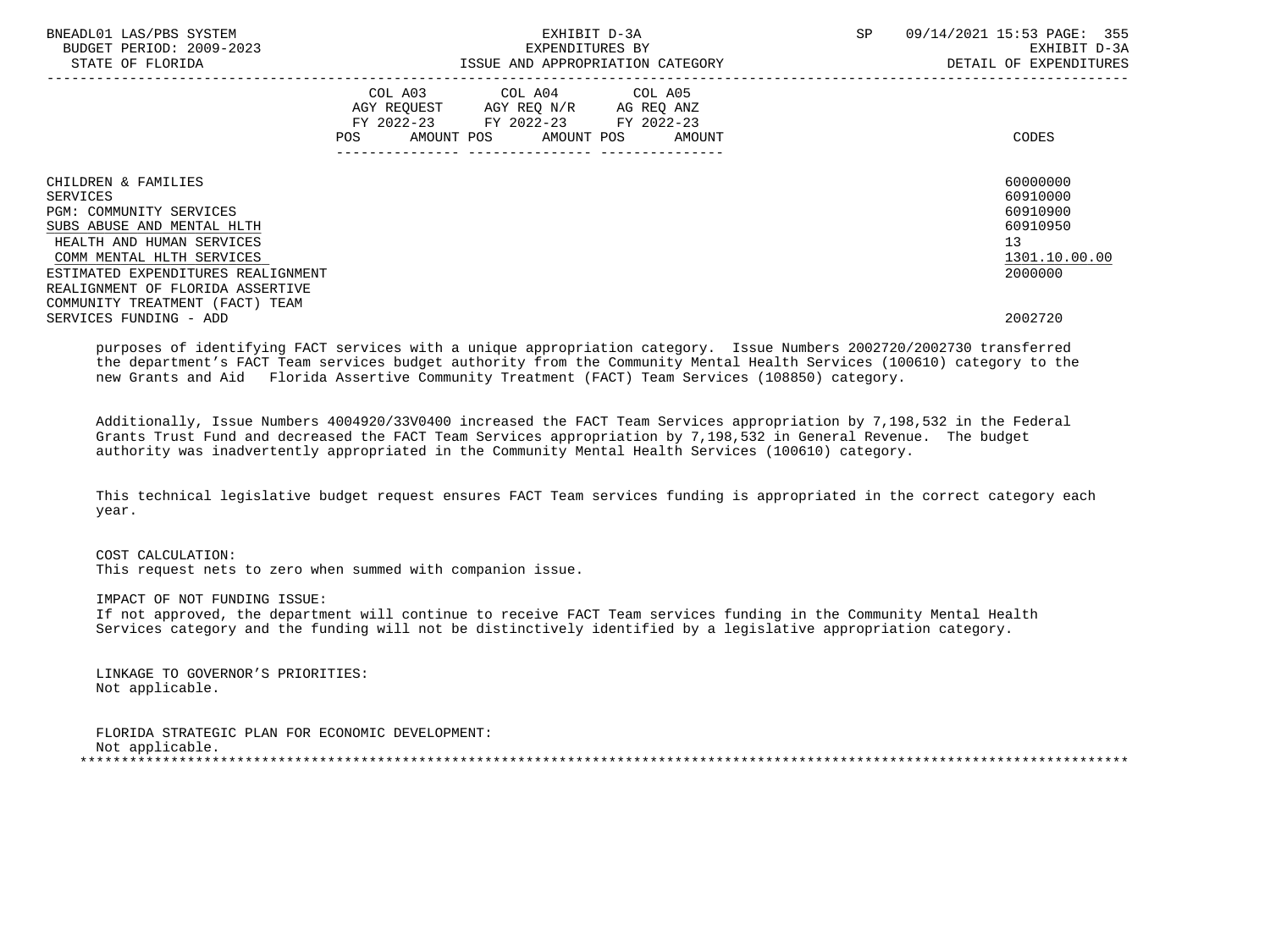| BNEADL01 LAS/PBS SYSTEM<br>BUDGET PERIOD: 2009-2023<br>STATE OF FLORIDA                                                                            | EXHIBIT D-3A<br>EXPENDITURES BY<br>ISSUE AND APPROPRIATION CATEGORY                                                                                | SP<br>09/14/2021 15:53 PAGE: 355<br>EXHIBIT D-3A<br>DETAIL OF EXPENDITURES |
|----------------------------------------------------------------------------------------------------------------------------------------------------|----------------------------------------------------------------------------------------------------------------------------------------------------|----------------------------------------------------------------------------|
|                                                                                                                                                    | COL A03 COL A04 COL A05<br>AGY REQUEST AGY REQ N/R AG REQ ANZ<br>FY 2022-23 FY 2022-23 FY 2022-23<br>AMOUNT POS AMOUNT POS<br><b>POS</b><br>AMOUNT | CODES                                                                      |
| CHILDREN & FAMILIES<br>SERVICES<br>PGM: COMMUNITY SERVICES<br>SUBS ABUSE AND MENTAL HLTH<br>HEALTH AND HUMAN SERVICES<br>COMM MENTAL HLTH SERVICES |                                                                                                                                                    | 60000000<br>60910000<br>60910900<br>60910950<br>13<br>1301.10.00.00        |
| ESTIMATED EXPENDITURES REALIGNMENT<br>REALIGNMENT OF FLORIDA ASSERTIVE<br>COMMUNITY TREATMENT (FACT) TEAM<br>SERVICES FUNDING - ADD                |                                                                                                                                                    | 2000000<br>2002720                                                         |

 purposes of identifying FACT services with a unique appropriation category. Issue Numbers 2002720/2002730 transferred the department's FACT Team services budget authority from the Community Mental Health Services (100610) category to the new Grants and Aid Florida Assertive Community Treatment (FACT) Team Services (108850) category.

 Additionally, Issue Numbers 4004920/33V0400 increased the FACT Team Services appropriation by 7,198,532 in the Federal Grants Trust Fund and decreased the FACT Team Services appropriation by 7,198,532 in General Revenue. The budget authority was inadvertently appropriated in the Community Mental Health Services (100610) category.

 This technical legislative budget request ensures FACT Team services funding is appropriated in the correct category each year.

 COST CALCULATION: This request nets to zero when summed with companion issue.

 IMPACT OF NOT FUNDING ISSUE: If not approved, the department will continue to receive FACT Team services funding in the Community Mental Health Services category and the funding will not be distinctively identified by a legislative appropriation category.

 LINKAGE TO GOVERNOR'S PRIORITIES: Not applicable.

 FLORIDA STRATEGIC PLAN FOR ECONOMIC DEVELOPMENT: Not applicable.<br>\*\*\*\*\*\*\*\*\*\*\*\*\*\*\*\*\*\*\* \*\*\*\*\*\*\*\*\*\*\*\*\*\*\*\*\*\*\*\*\*\*\*\*\*\*\*\*\*\*\*\*\*\*\*\*\*\*\*\*\*\*\*\*\*\*\*\*\*\*\*\*\*\*\*\*\*\*\*\*\*\*\*\*\*\*\*\*\*\*\*\*\*\*\*\*\*\*\*\*\*\*\*\*\*\*\*\*\*\*\*\*\*\*\*\*\*\*\*\*\*\*\*\*\*\*\*\*\*\*\*\*\*\*\*\*\*\*\*\*\*\*\*\*\*\*\*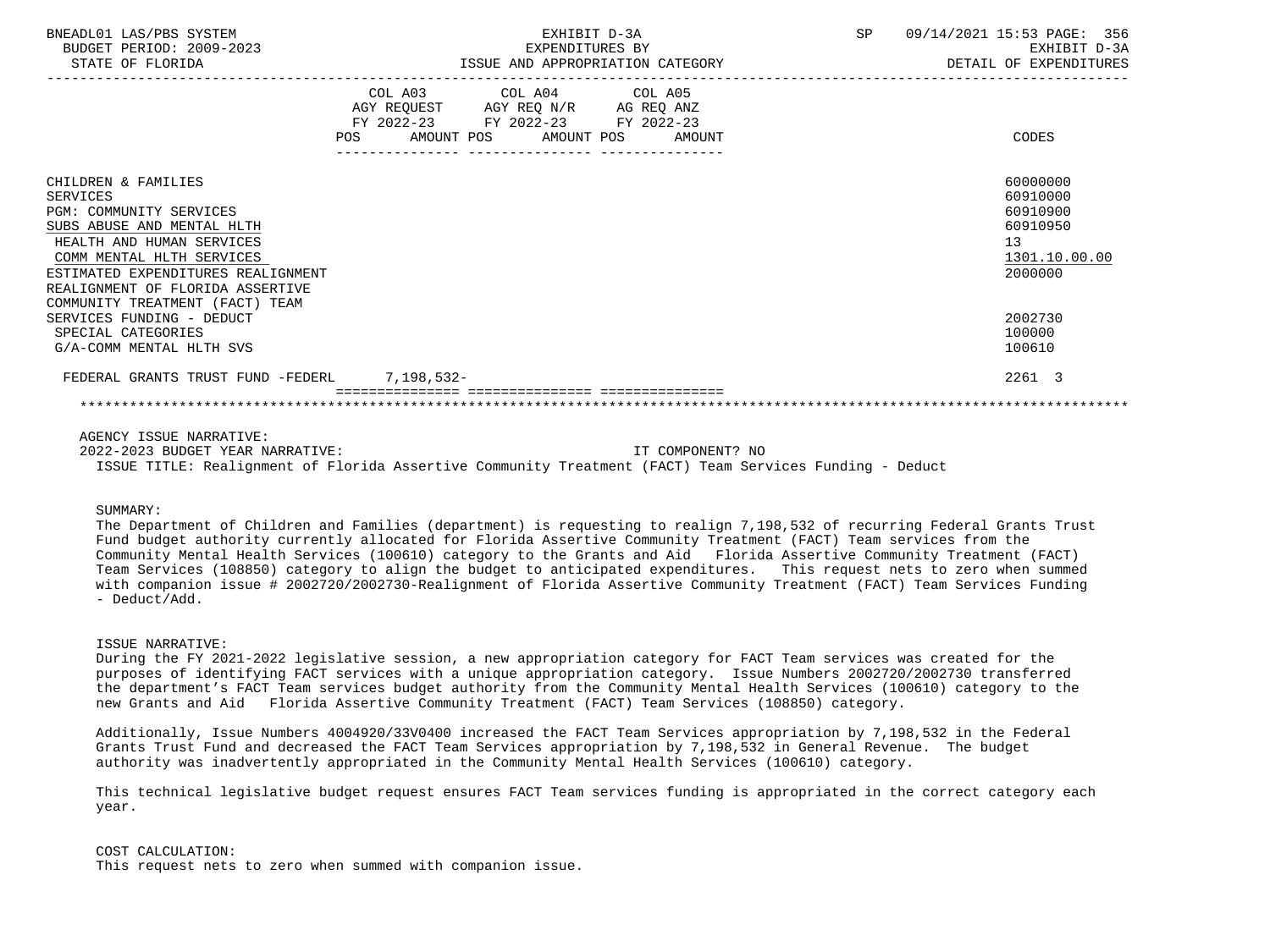| BNEADL01 LAS/PBS SYSTEM<br>BUDGET PERIOD: 2009-2023<br>STATE OF FLORIDA                                                                                                                                                                                                       | EXHIBIT D-3A<br>EXPENDITURES BY<br>ISSUE AND APPROPRIATION CATEGORY                                                                      | <b>SP</b> | 09/14/2021 15:53 PAGE: 356<br>EXHIBIT D-3A<br>DETAIL OF EXPENDITURES           |
|-------------------------------------------------------------------------------------------------------------------------------------------------------------------------------------------------------------------------------------------------------------------------------|------------------------------------------------------------------------------------------------------------------------------------------|-----------|--------------------------------------------------------------------------------|
|                                                                                                                                                                                                                                                                               | COL A03 COL A04 COL A05<br>AGY REQUEST AGY REQ N/R AG REQ ANZ<br>FY 2022-23 FY 2022-23 FY 2022-23<br>POS<br>AMOUNT POS AMOUNT POS AMOUNT |           | CODES                                                                          |
| CHILDREN & FAMILIES<br><b>SERVICES</b><br><b>PGM: COMMUNITY SERVICES</b><br>SUBS ABUSE AND MENTAL HLTH<br>HEALTH AND HUMAN SERVICES<br>COMM MENTAL HLTH SERVICES<br>ESTIMATED EXPENDITURES REALIGNMENT<br>REALIGNMENT OF FLORIDA ASSERTIVE<br>COMMUNITY TREATMENT (FACT) TEAM |                                                                                                                                          |           | 60000000<br>60910000<br>60910900<br>60910950<br>13<br>1301.10.00.00<br>2000000 |
| SERVICES FUNDING - DEDUCT<br>SPECIAL CATEGORIES<br>G/A-COMM MENTAL HLTH SVS                                                                                                                                                                                                   |                                                                                                                                          |           | 2002730<br>100000<br>100610                                                    |
| FEDERAL GRANTS TRUST FUND -FEDERL 7,198,532-                                                                                                                                                                                                                                  |                                                                                                                                          |           | 2261 3                                                                         |

AGENCY ISSUE NARRATIVE:

 2022-2023 BUDGET YEAR NARRATIVE: IT COMPONENT? NO ISSUE TITLE: Realignment of Florida Assertive Community Treatment (FACT) Team Services Funding - Deduct

#### SUMMARY:

 The Department of Children and Families (department) is requesting to realign 7,198,532 of recurring Federal Grants Trust Fund budget authority currently allocated for Florida Assertive Community Treatment (FACT) Team services from the Community Mental Health Services (100610) category to the Grants and Aid Florida Assertive Community Treatment (FACT) Team Services (108850) category to align the budget to anticipated expenditures. This request nets to zero when summed with companion issue # 2002720/2002730-Realignment of Florida Assertive Community Treatment (FACT) Team Services Funding - Deduct/Add.

#### ISSUE NARRATIVE:

 During the FY 2021-2022 legislative session, a new appropriation category for FACT Team services was created for the purposes of identifying FACT services with a unique appropriation category. Issue Numbers 2002720/2002730 transferred the department's FACT Team services budget authority from the Community Mental Health Services (100610) category to the new Grants and Aid Florida Assertive Community Treatment (FACT) Team Services (108850) category.

 Additionally, Issue Numbers 4004920/33V0400 increased the FACT Team Services appropriation by 7,198,532 in the Federal Grants Trust Fund and decreased the FACT Team Services appropriation by 7,198,532 in General Revenue. The budget authority was inadvertently appropriated in the Community Mental Health Services (100610) category.

 This technical legislative budget request ensures FACT Team services funding is appropriated in the correct category each year.

### COST CALCULATION:

This request nets to zero when summed with companion issue.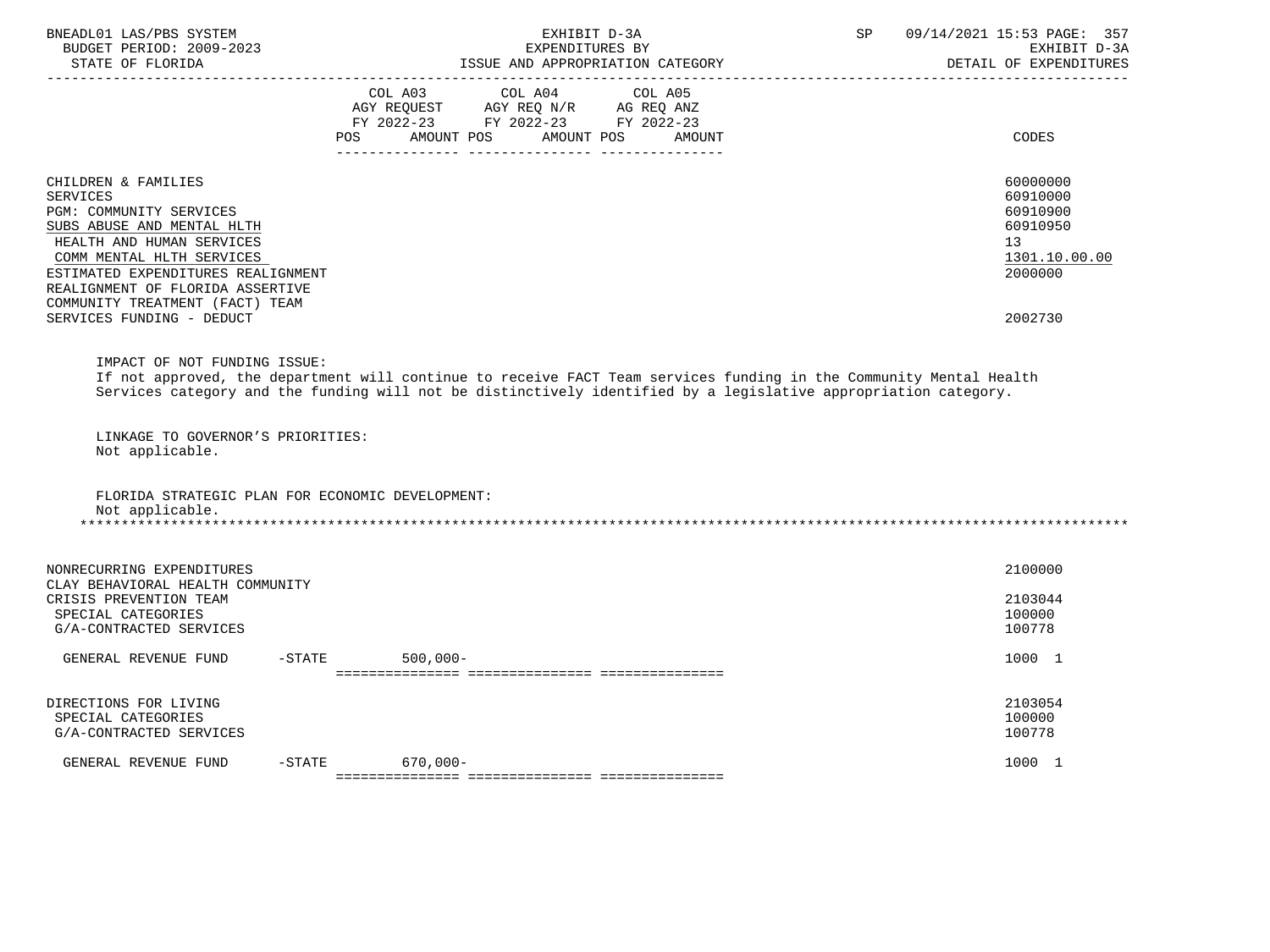| BNEADL01 LAS/PBS SYSTEM<br>BUDGET PERIOD: 2009-2023<br>STATE OF FLORIDA                                                                                                                                                                                                                             | EXHIBIT D-3A<br>EXPENDITURES BY<br>ISSUE AND APPROPRIATION CATEGORY                                                                                                                                                                   | 09/14/2021 15:53 PAGE: 357<br>SP<br>EXHIBIT D-3A<br>DETAIL OF EXPENDITURES                |
|-----------------------------------------------------------------------------------------------------------------------------------------------------------------------------------------------------------------------------------------------------------------------------------------------------|---------------------------------------------------------------------------------------------------------------------------------------------------------------------------------------------------------------------------------------|-------------------------------------------------------------------------------------------|
|                                                                                                                                                                                                                                                                                                     | COL A03 COL A04<br>COL A05<br>AGY REQUEST AGY REQ N/R AG REQ ANZ<br>FY 2022-23 FY 2022-23 FY 2022-23<br>AMOUNT POS<br>AMOUNT POS<br>POS.<br>AMOUNT                                                                                    | <b>CODES</b>                                                                              |
| CHILDREN & FAMILIES<br><b>SERVICES</b><br>PGM: COMMUNITY SERVICES<br>SUBS ABUSE AND MENTAL HLTH<br>HEALTH AND HUMAN SERVICES<br>COMM MENTAL HLTH SERVICES<br>ESTIMATED EXPENDITURES REALIGNMENT<br>REALIGNMENT OF FLORIDA ASSERTIVE<br>COMMUNITY TREATMENT (FACT) TEAM<br>SERVICES FUNDING - DEDUCT |                                                                                                                                                                                                                                       | 60000000<br>60910000<br>60910900<br>60910950<br>13<br>1301.10.00.00<br>2000000<br>2002730 |
| IMPACT OF NOT FUNDING ISSUE:<br>LINKAGE TO GOVERNOR'S PRIORITIES:<br>Not applicable.                                                                                                                                                                                                                | If not approved, the department will continue to receive FACT Team services funding in the Community Mental Health<br>Services category and the funding will not be distinctively identified by a legislative appropriation category. |                                                                                           |
| FLORIDA STRATEGIC PLAN FOR ECONOMIC DEVELOPMENT:<br>Not applicable.                                                                                                                                                                                                                                 |                                                                                                                                                                                                                                       |                                                                                           |
| NONRECURRING EXPENDITURES<br>CLAY BEHAVIORAL HEALTH COMMUNITY<br>CRISIS PREVENTION TEAM<br>SPECIAL CATEGORIES<br>G/A-CONTRACTED SERVICES                                                                                                                                                            |                                                                                                                                                                                                                                       | 2100000<br>2103044<br>100000<br>100778                                                    |
| GENERAL REVENUE FUND                                                                                                                                                                                                                                                                                | $-$ STATE<br>$500,000 -$                                                                                                                                                                                                              | 1000 1                                                                                    |
| DIRECTIONS FOR LIVING<br>SPECIAL CATEGORIES<br>G/A-CONTRACTED SERVICES                                                                                                                                                                                                                              |                                                                                                                                                                                                                                       | 2103054<br>100000<br>100778                                                               |
| GENERAL REVENUE FUND<br>$-STATE$                                                                                                                                                                                                                                                                    | $670,000 -$                                                                                                                                                                                                                           | 1000 1                                                                                    |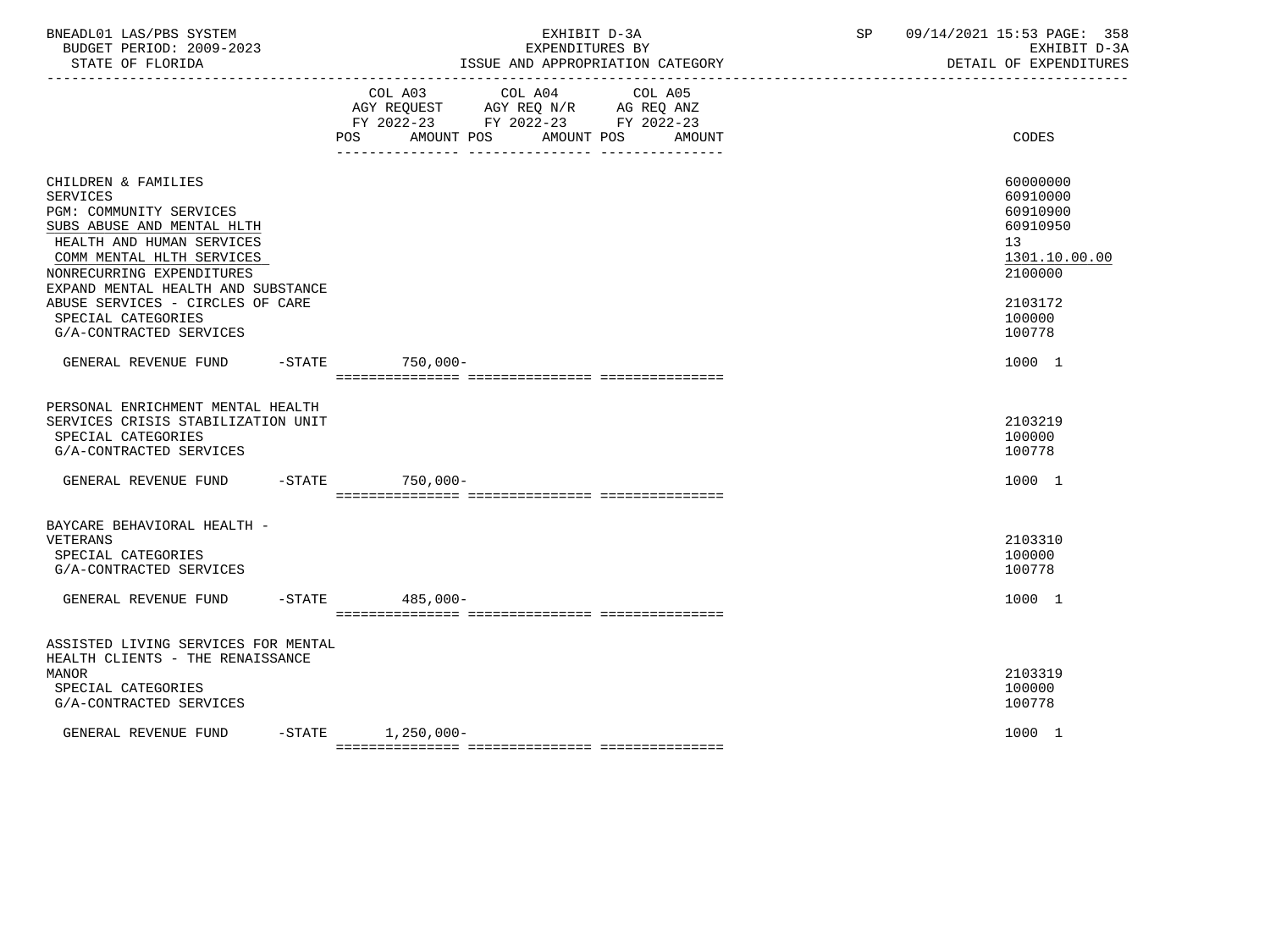| BNEADL01 LAS/PBS SYSTEM<br>BUDGET PERIOD: 2009-2023<br>STATE OF FLORIDA                                                                                                                                                                                                                                           |                       | EXHIBIT D-3A<br>EXPENDITURES BY<br>ISSUE AND APPROPRIATION CATEGORY                                                               | 09/14/2021 15:53 PAGE: 358<br>SP and the set of the set of the set of the set of the set of the set of the set of the set of the set of the set of the set of the set of the set of the set of the set of the set of the set of the set of the set of the se<br>EXHIBIT D-3A<br>DETAIL OF EXPENDITURES |
|-------------------------------------------------------------------------------------------------------------------------------------------------------------------------------------------------------------------------------------------------------------------------------------------------------------------|-----------------------|-----------------------------------------------------------------------------------------------------------------------------------|--------------------------------------------------------------------------------------------------------------------------------------------------------------------------------------------------------------------------------------------------------------------------------------------------------|
|                                                                                                                                                                                                                                                                                                                   | POS                   | COL A03 COL A04 COL A05<br>AGY REQUEST AGY REQ N/R AG REQ ANZ<br>FY 2022-23 FY 2022-23 FY 2022-23<br>AMOUNT POS AMOUNT POS AMOUNT | CODES                                                                                                                                                                                                                                                                                                  |
| CHILDREN & FAMILIES<br><b>SERVICES</b><br>PGM: COMMUNITY SERVICES<br>SUBS ABUSE AND MENTAL HLTH<br>HEALTH AND HUMAN SERVICES<br>COMM MENTAL HLTH SERVICES<br>NONRECURRING EXPENDITURES<br>EXPAND MENTAL HEALTH AND SUBSTANCE<br>ABUSE SERVICES - CIRCLES OF CARE<br>SPECIAL CATEGORIES<br>G/A-CONTRACTED SERVICES |                       |                                                                                                                                   | 60000000<br>60910000<br>60910900<br>60910950<br>13<br>1301.10.00.00<br>2100000<br>2103172<br>100000<br>100778                                                                                                                                                                                          |
| GENERAL REVENUE FUND -STATE 750,000-                                                                                                                                                                                                                                                                              |                       |                                                                                                                                   | 1000 1                                                                                                                                                                                                                                                                                                 |
| PERSONAL ENRICHMENT MENTAL HEALTH<br>SERVICES CRISIS STABILIZATION UNIT<br>SPECIAL CATEGORIES<br>G/A-CONTRACTED SERVICES                                                                                                                                                                                          |                       |                                                                                                                                   | 2103219<br>100000<br>100778                                                                                                                                                                                                                                                                            |
| GENERAL REVENUE FUND -STATE 750,000-                                                                                                                                                                                                                                                                              |                       |                                                                                                                                   | 1000 1                                                                                                                                                                                                                                                                                                 |
| BAYCARE BEHAVIORAL HEALTH -<br>VETERANS<br>SPECIAL CATEGORIES<br>G/A-CONTRACTED SERVICES<br>GENERAL REVENUE FUND                                                                                                                                                                                                  | $-STATE$ 485,000-     |                                                                                                                                   | 2103310<br>100000<br>100778<br>1000 1                                                                                                                                                                                                                                                                  |
|                                                                                                                                                                                                                                                                                                                   |                       |                                                                                                                                   |                                                                                                                                                                                                                                                                                                        |
| ASSISTED LIVING SERVICES FOR MENTAL<br>HEALTH CLIENTS - THE RENAISSANCE<br><b>MANOR</b><br>SPECIAL CATEGORIES<br>G/A-CONTRACTED SERVICES<br>GENERAL REVENUE FUND                                                                                                                                                  | $-STATE$ 1, 250, 000- |                                                                                                                                   | 2103319<br>100000<br>100778<br>1000 1                                                                                                                                                                                                                                                                  |
|                                                                                                                                                                                                                                                                                                                   |                       |                                                                                                                                   |                                                                                                                                                                                                                                                                                                        |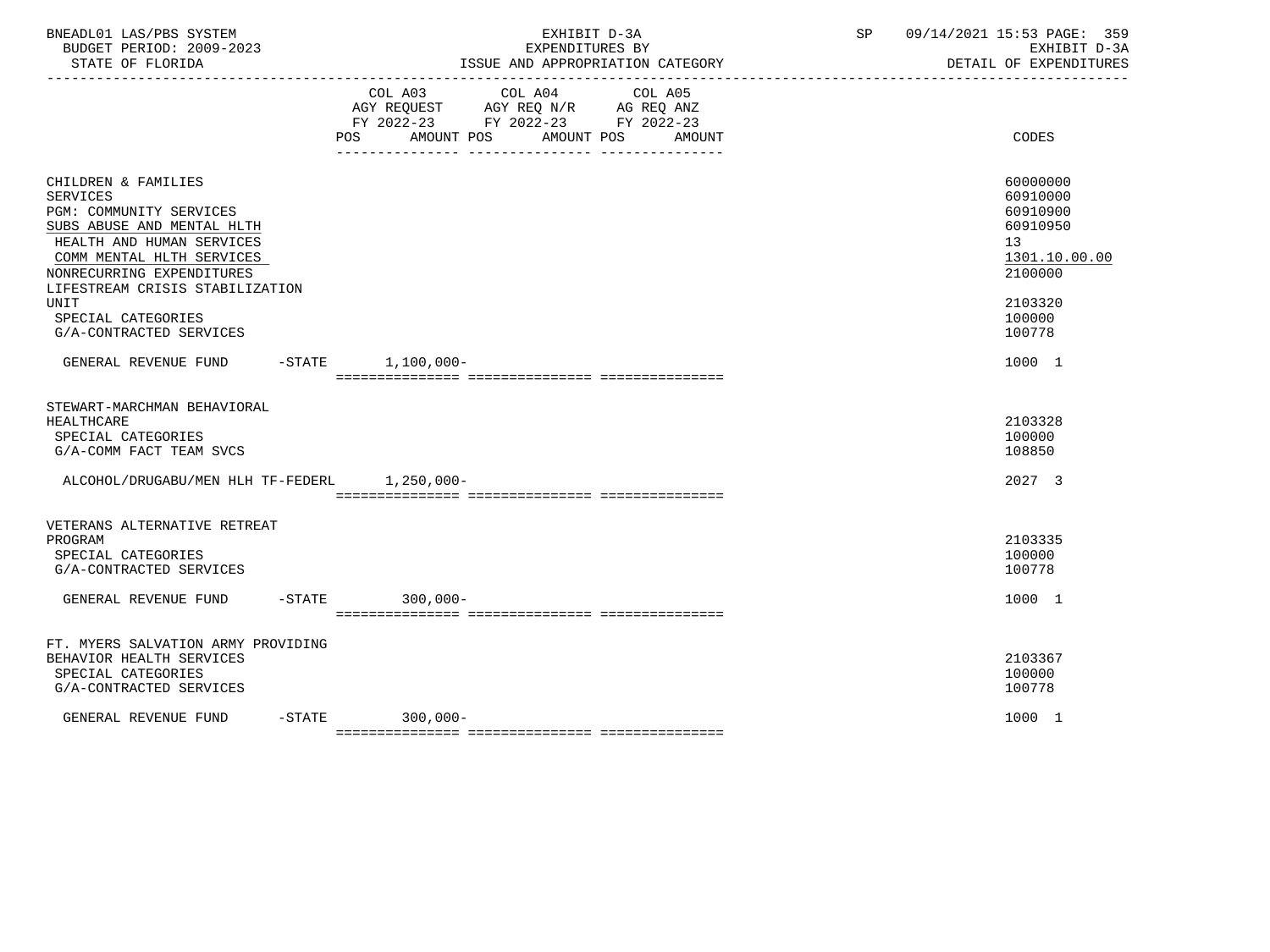| BNEADL01 LAS/PBS SYSTEM<br>BUDGET PERIOD: 2009-2023<br>STATE OF FLORIDA                                                                                                                                                                                                                   | EXHIBIT D-3A<br>EXPENDITURES BY<br>ISSUE AND APPROPRIATION CATEGORY<br>_________________________________                                          | SP<br>09/14/2021 15:53 PAGE: 359<br>EXHIBIT D-3A<br>DETAIL OF EXPENDITURES                                    |
|-------------------------------------------------------------------------------------------------------------------------------------------------------------------------------------------------------------------------------------------------------------------------------------------|---------------------------------------------------------------------------------------------------------------------------------------------------|---------------------------------------------------------------------------------------------------------------|
|                                                                                                                                                                                                                                                                                           | COL A04<br>COL A03<br>COL A05<br>AGY REQUEST AGY REQ N/R AG REQ ANZ<br>FY 2022-23 FY 2022-23 FY 2022-23<br>POS AMOUNT POS<br>AMOUNT POS<br>AMOUNT | CODES                                                                                                         |
| CHILDREN & FAMILIES<br><b>SERVICES</b><br>PGM: COMMUNITY SERVICES<br>SUBS ABUSE AND MENTAL HLTH<br>HEALTH AND HUMAN SERVICES<br>COMM MENTAL HLTH SERVICES<br>NONRECURRING EXPENDITURES<br>LIFESTREAM CRISIS STABILIZATION<br><b>UNIT</b><br>SPECIAL CATEGORIES<br>G/A-CONTRACTED SERVICES |                                                                                                                                                   | 60000000<br>60910000<br>60910900<br>60910950<br>13<br>1301.10.00.00<br>2100000<br>2103320<br>100000<br>100778 |
| GENERAL REVENUE FUND                                                                                                                                                                                                                                                                      | $-$ STATE $1,100,000-$                                                                                                                            | 1000 1                                                                                                        |
| STEWART-MARCHMAN BEHAVIORAL<br><b>HEALTHCARE</b><br>SPECIAL CATEGORIES<br>G/A-COMM FACT TEAM SVCS<br>ALCOHOL/DRUGABU/MEN HLH TF-FEDERL 1.250.000-                                                                                                                                         |                                                                                                                                                   | 2103328<br>100000<br>108850<br>2027 3                                                                         |
| VETERANS ALTERNATIVE RETREAT<br>PROGRAM<br>SPECIAL CATEGORIES<br>G/A-CONTRACTED SERVICES                                                                                                                                                                                                  |                                                                                                                                                   | 2103335<br>100000<br>100778                                                                                   |
| GENERAL REVENUE FUND                                                                                                                                                                                                                                                                      | $-STATE$ 300.000-                                                                                                                                 | 1000 1                                                                                                        |
| FT. MYERS SALVATION ARMY PROVIDING<br>BEHAVIOR HEALTH SERVICES<br>SPECIAL CATEGORIES<br>G/A-CONTRACTED SERVICES                                                                                                                                                                           |                                                                                                                                                   | 2103367<br>100000<br>100778                                                                                   |
| GENERAL REVENUE FUND                                                                                                                                                                                                                                                                      | $-STATE$ 300.000-                                                                                                                                 | 1000 1                                                                                                        |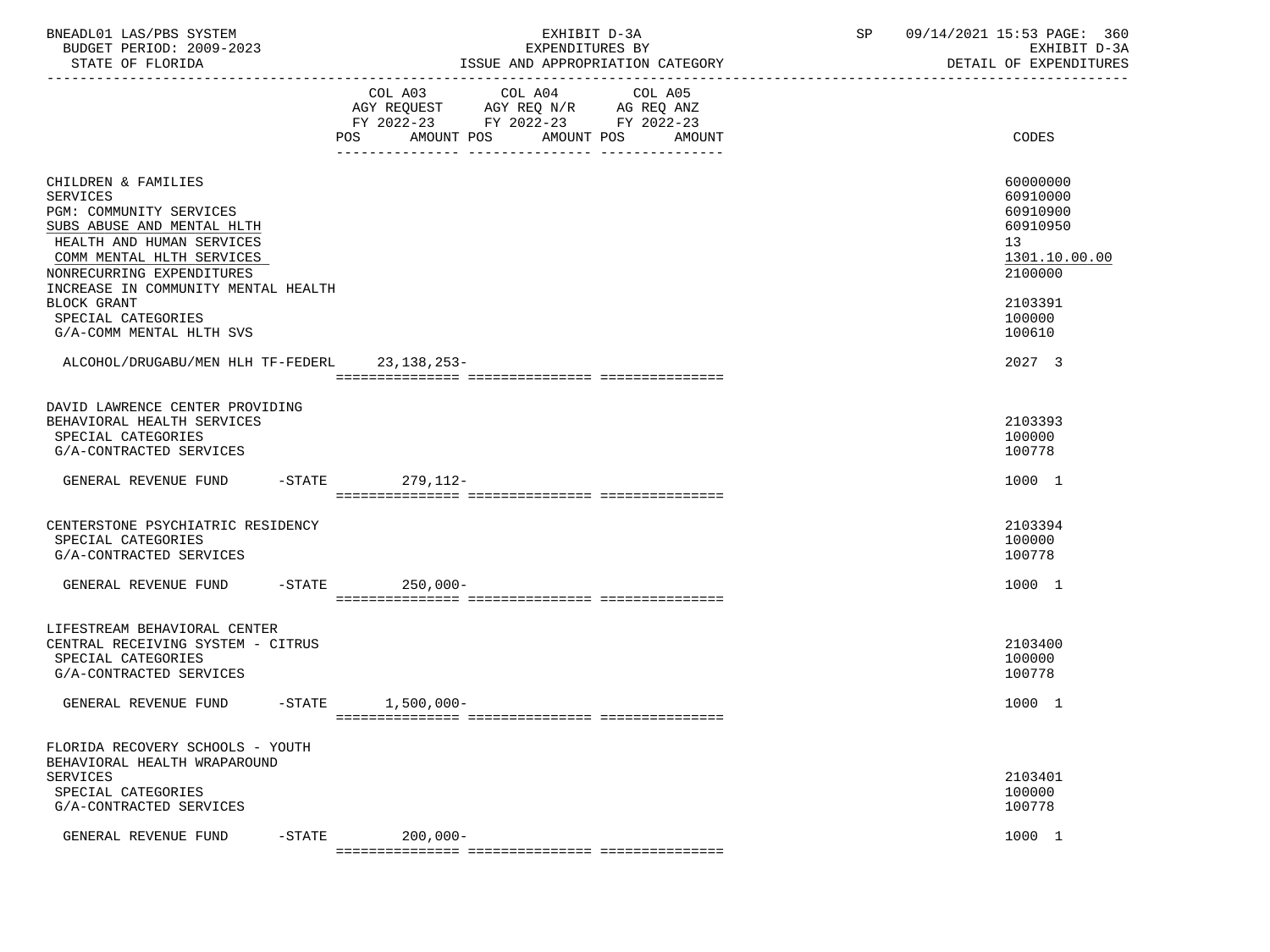| BNEADL01 LAS/PBS SYSTEM<br>BUDGET PERIOD: 2009-2023<br>STATE OF FLORIDA                                                             | EXHIBIT D-3A<br>EXPENDITURES BY<br>ISSUE AND APPROPRIATION CATEGORY                                                                               | SP | 09/14/2021 15:53 PAGE: 360<br>EXHIBIT D-3A<br>DETAIL OF EXPENDITURES |
|-------------------------------------------------------------------------------------------------------------------------------------|---------------------------------------------------------------------------------------------------------------------------------------------------|----|----------------------------------------------------------------------|
|                                                                                                                                     | COL A03 COL A04<br>COL A05<br>AGY REQUEST AGY REQ N/R AG REQ ANZ<br>FY 2022-23 FY 2022-23 FY 2022-23<br>AMOUNT POS<br>AMOUNT POS<br>POS<br>AMOUNT |    | CODES                                                                |
|                                                                                                                                     |                                                                                                                                                   |    |                                                                      |
| CHILDREN & FAMILIES<br><b>SERVICES</b><br><b>PGM: COMMUNITY SERVICES</b><br>SUBS ABUSE AND MENTAL HLTH<br>HEALTH AND HUMAN SERVICES |                                                                                                                                                   |    | 60000000<br>60910000<br>60910900<br>60910950<br>13 <sup>7</sup>      |
| COMM MENTAL HLTH SERVICES<br>NONRECURRING EXPENDITURES                                                                              |                                                                                                                                                   |    | 1301.10.00.00<br>2100000                                             |
| INCREASE IN COMMUNITY MENTAL HEALTH<br><b>BLOCK GRANT</b><br>SPECIAL CATEGORIES<br>G/A-COMM MENTAL HLTH SVS                         |                                                                                                                                                   |    | 2103391<br>100000<br>100610                                          |
| ALCOHOL/DRUGABU/MEN HLH TF-FEDERL 23,138,253-                                                                                       |                                                                                                                                                   |    | 2027 3                                                               |
| DAVID LAWRENCE CENTER PROVIDING<br>BEHAVIORAL HEALTH SERVICES<br>SPECIAL CATEGORIES<br>G/A-CONTRACTED SERVICES                      |                                                                                                                                                   |    | 2103393<br>100000<br>100778                                          |
| GENERAL REVENUE FUND                                                                                                                | $-$ STATE<br>279,112-                                                                                                                             |    | 1000 1                                                               |
| CENTERSTONE PSYCHIATRIC RESIDENCY<br>SPECIAL CATEGORIES<br>G/A-CONTRACTED SERVICES                                                  |                                                                                                                                                   |    | 2103394<br>100000<br>100778                                          |
| GENERAL REVENUE FUND                                                                                                                | $-$ STATE<br>250,000-                                                                                                                             |    | 1000 1                                                               |
|                                                                                                                                     |                                                                                                                                                   |    |                                                                      |
| LIFESTREAM BEHAVIORAL CENTER<br>CENTRAL RECEIVING SYSTEM - CITRUS<br>SPECIAL CATEGORIES<br>G/A-CONTRACTED SERVICES                  |                                                                                                                                                   |    | 2103400<br>100000<br>100778                                          |
| -STATE<br>GENERAL REVENUE FUND                                                                                                      | 1,500,000-                                                                                                                                        |    | 1000 1                                                               |
| FLORIDA RECOVERY SCHOOLS - YOUTH<br>BEHAVIORAL HEALTH WRAPAROUND                                                                    |                                                                                                                                                   |    |                                                                      |
| <b>SERVICES</b><br>SPECIAL CATEGORIES<br>G/A-CONTRACTED SERVICES                                                                    |                                                                                                                                                   |    | 2103401<br>100000<br>100778                                          |
| GENERAL REVENUE FUND<br>$-$ STATE                                                                                                   | $200,000 -$                                                                                                                                       |    | 1000 1                                                               |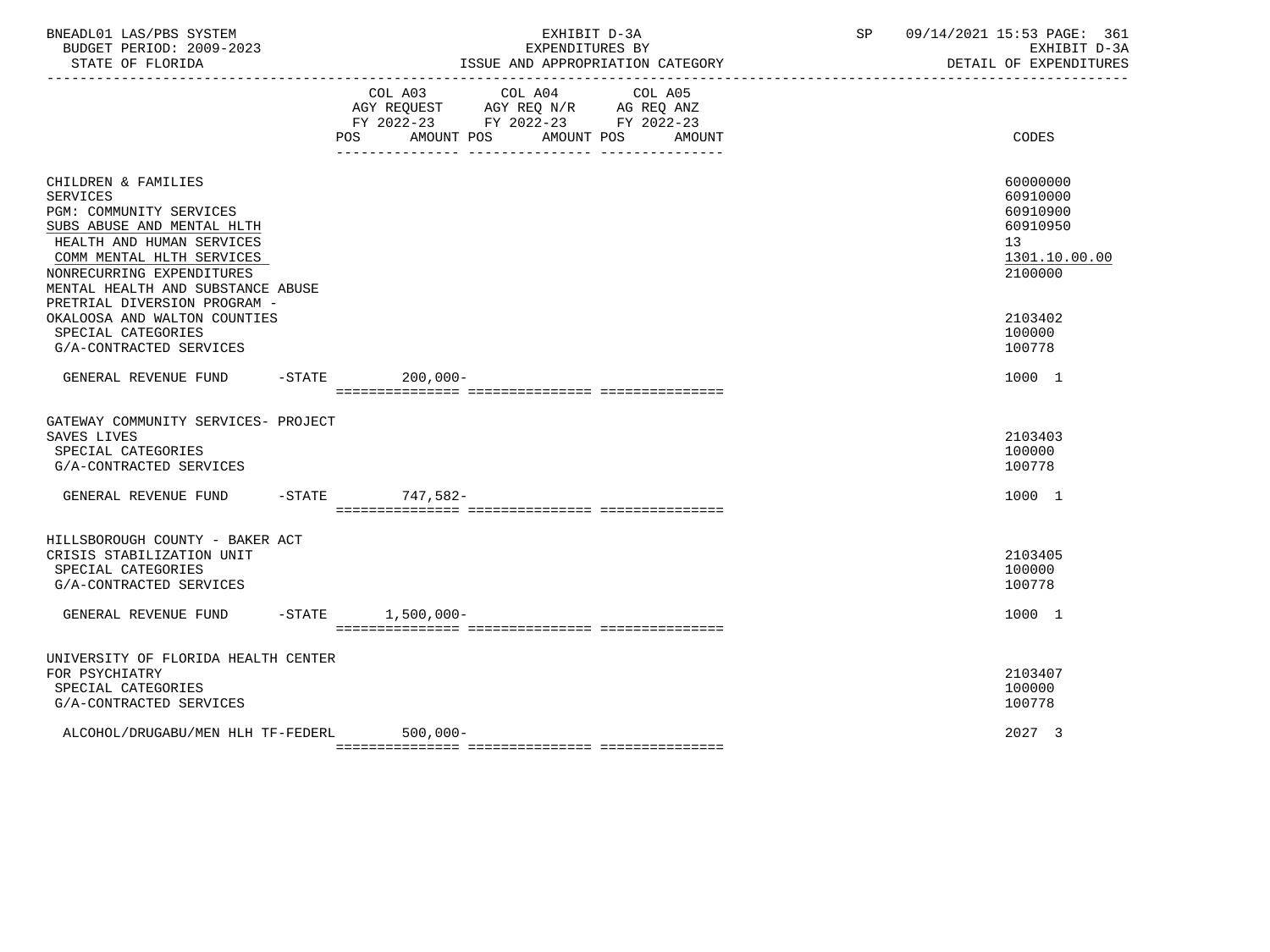| BNEADL01 LAS/PBS SYSTEM<br>BUDGET PERIOD: 2009-2023<br>STATE OF FLORIDA                                                                                                                                                            |                   | EXPENDITURES BY                                                                                   | EXHIBIT D-3A<br>ISSUE AND APPROPRIATION CATEGORY | SP | 09/14/2021 15:53 PAGE: 361<br>EXHIBIT D-3A<br>DETAIL OF EXPENDITURES           |
|------------------------------------------------------------------------------------------------------------------------------------------------------------------------------------------------------------------------------------|-------------------|---------------------------------------------------------------------------------------------------|--------------------------------------------------|----|--------------------------------------------------------------------------------|
|                                                                                                                                                                                                                                    | AMOUNT POS<br>POS | COL A03 COL A04 COL A05<br>AGY REQUEST AGY REQ N/R AG REQ ANZ<br>FY 2022-23 FY 2022-23 FY 2022-23 | AMOUNT POS<br>AMOUNT                             |    | CODES                                                                          |
| CHILDREN & FAMILIES<br><b>SERVICES</b><br><b>PGM: COMMUNITY SERVICES</b><br>SUBS ABUSE AND MENTAL HLTH<br>HEALTH AND HUMAN SERVICES<br>COMM MENTAL HLTH SERVICES<br>NONRECURRING EXPENDITURES<br>MENTAL HEALTH AND SUBSTANCE ABUSE |                   |                                                                                                   |                                                  |    | 60000000<br>60910000<br>60910900<br>60910950<br>13<br>1301.10.00.00<br>2100000 |
| PRETRIAL DIVERSION PROGRAM -<br>OKALOOSA AND WALTON COUNTIES<br>SPECIAL CATEGORIES<br>G/A-CONTRACTED SERVICES                                                                                                                      |                   |                                                                                                   |                                                  |    | 2103402<br>100000<br>100778                                                    |
| GENERAL REVENUE FUND -STATE                                                                                                                                                                                                        | $200,000-$        |                                                                                                   |                                                  |    | 1000 1                                                                         |
| GATEWAY COMMUNITY SERVICES- PROJECT<br>SAVES LIVES<br>SPECIAL CATEGORIES<br>G/A-CONTRACTED SERVICES                                                                                                                                |                   |                                                                                                   |                                                  |    | 2103403<br>100000<br>100778                                                    |
| GENERAL REVENUE FUND                                                                                                                                                                                                               | -STATE 747,582-   |                                                                                                   |                                                  |    | 1000 1                                                                         |
| HILLSBOROUGH COUNTY - BAKER ACT<br>CRISIS STABILIZATION UNIT<br>SPECIAL CATEGORIES<br>G/A-CONTRACTED SERVICES                                                                                                                      |                   |                                                                                                   |                                                  |    | 2103405<br>100000<br>100778                                                    |
| GENERAL REVENUE FUND -STATE 1,500,000-                                                                                                                                                                                             |                   |                                                                                                   |                                                  |    | 1000 1                                                                         |
| UNIVERSITY OF FLORIDA HEALTH CENTER<br>FOR PSYCHIATRY<br>SPECIAL CATEGORIES<br>G/A-CONTRACTED SERVICES                                                                                                                             |                   |                                                                                                   |                                                  |    | 2103407<br>100000<br>100778                                                    |
| ALCOHOL/DRUGABU/MEN HLH TF-FEDERL                                                                                                                                                                                                  | $500,000 -$       |                                                                                                   |                                                  |    | 2027 3                                                                         |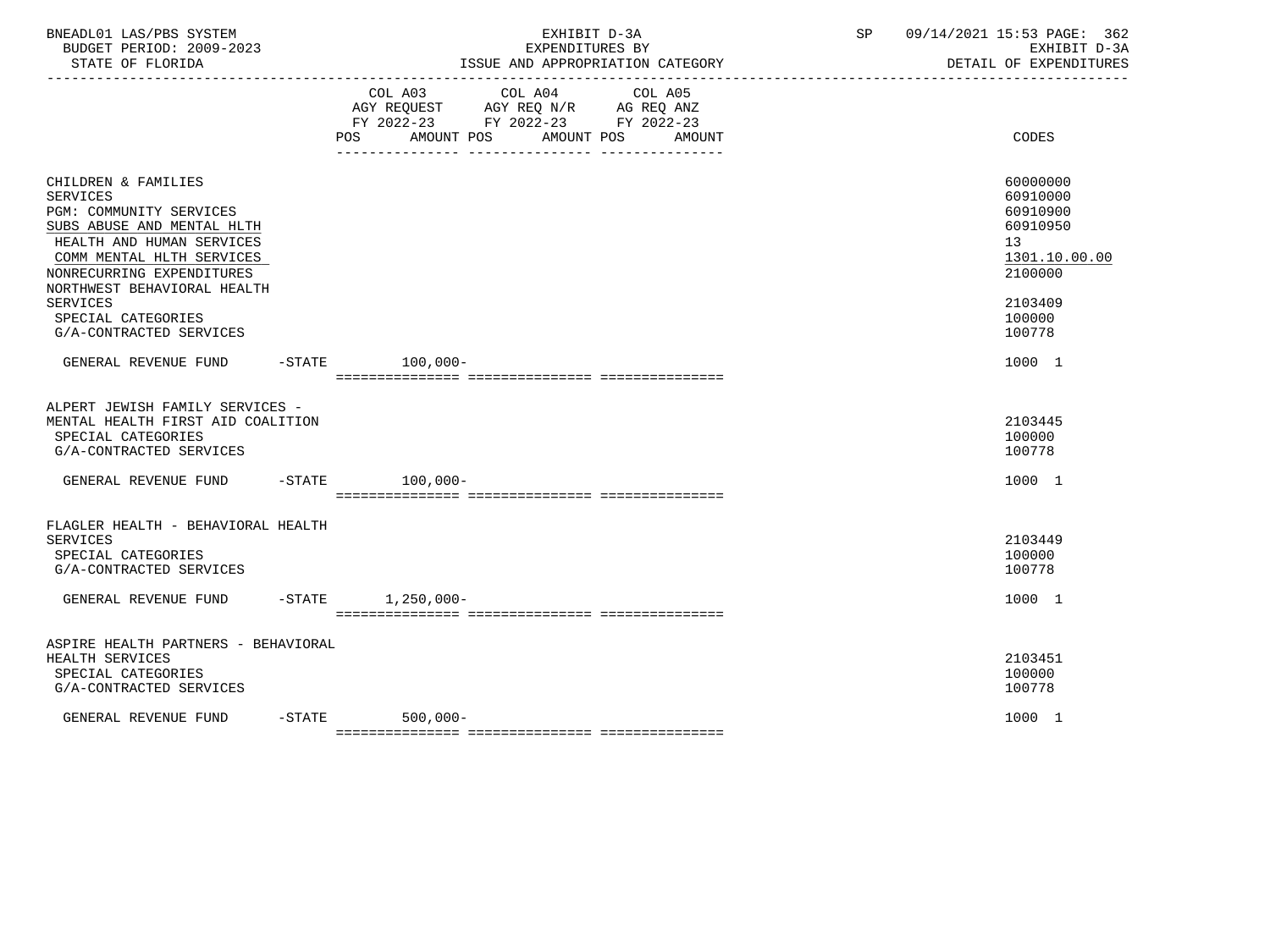| BNEADL01 LAS/PBS SYSTEM<br>BUDGET PERIOD: 2009-2023<br>STATE OF FLORIDA<br>-------------------                                                                                                                                                                                            | EXHIBIT D-3A<br>EXPENDITURES BY<br>ISSUE AND APPROPRIATION CATEGORY<br>--------------------------------                                                                                                                                                           | 09/14/2021 15:53 PAGE: 362<br>SP<br>EXHIBIT D-3A<br>DETAIL OF EXPENDITURES                                    |
|-------------------------------------------------------------------------------------------------------------------------------------------------------------------------------------------------------------------------------------------------------------------------------------------|-------------------------------------------------------------------------------------------------------------------------------------------------------------------------------------------------------------------------------------------------------------------|---------------------------------------------------------------------------------------------------------------|
|                                                                                                                                                                                                                                                                                           | COL A03 COL A04<br>COL A05<br>$\begin{tabular}{lllllll} AGY & \texttt{REQUEST} & \texttt{AGY} & \texttt{REG} & \texttt{N/R} & \texttt{AG} & \texttt{REQ} & \texttt{ANZ} \end{tabular}$<br>FY 2022-23 FY 2022-23 FY 2022-23<br>POS AMOUNT POS AMOUNT POS<br>AMOUNT | CODES                                                                                                         |
| CHILDREN & FAMILIES<br><b>SERVICES</b><br>PGM: COMMUNITY SERVICES<br>SUBS ABUSE AND MENTAL HLTH<br>HEALTH AND HUMAN SERVICES<br>COMM MENTAL HLTH SERVICES<br>NONRECURRING EXPENDITURES<br>NORTHWEST BEHAVIORAL HEALTH<br><b>SERVICES</b><br>SPECIAL CATEGORIES<br>G/A-CONTRACTED SERVICES |                                                                                                                                                                                                                                                                   | 60000000<br>60910000<br>60910900<br>60910950<br>13<br>1301.10.00.00<br>2100000<br>2103409<br>100000<br>100778 |
| GENERAL REVENUE FUND -STATE 100.000-                                                                                                                                                                                                                                                      |                                                                                                                                                                                                                                                                   | 1000 1                                                                                                        |
| ALPERT JEWISH FAMILY SERVICES -<br>MENTAL HEALTH FIRST AID COALITION<br>SPECIAL CATEGORIES<br>G/A-CONTRACTED SERVICES                                                                                                                                                                     |                                                                                                                                                                                                                                                                   | 2103445<br>100000<br>100778                                                                                   |
| GENERAL REVENUE FUND                                                                                                                                                                                                                                                                      | $-STATE$ 100.000-                                                                                                                                                                                                                                                 | 1000 1                                                                                                        |
| FLAGLER HEALTH - BEHAVIORAL HEALTH<br>SERVICES<br>SPECIAL CATEGORIES<br>G/A-CONTRACTED SERVICES                                                                                                                                                                                           |                                                                                                                                                                                                                                                                   | 2103449<br>100000<br>100778                                                                                   |
| GENERAL REVENUE FUND                                                                                                                                                                                                                                                                      | -STATE 1,250,000-                                                                                                                                                                                                                                                 | 1000 1                                                                                                        |
| ASPIRE HEALTH PARTNERS - BEHAVIORAL<br>HEALTH SERVICES<br>SPECIAL CATEGORIES<br>G/A-CONTRACTED SERVICES                                                                                                                                                                                   |                                                                                                                                                                                                                                                                   | 2103451<br>100000<br>100778                                                                                   |
| GENERAL REVENUE FUND                                                                                                                                                                                                                                                                      | $-STATE$<br>$500.000 -$                                                                                                                                                                                                                                           | 1000 1                                                                                                        |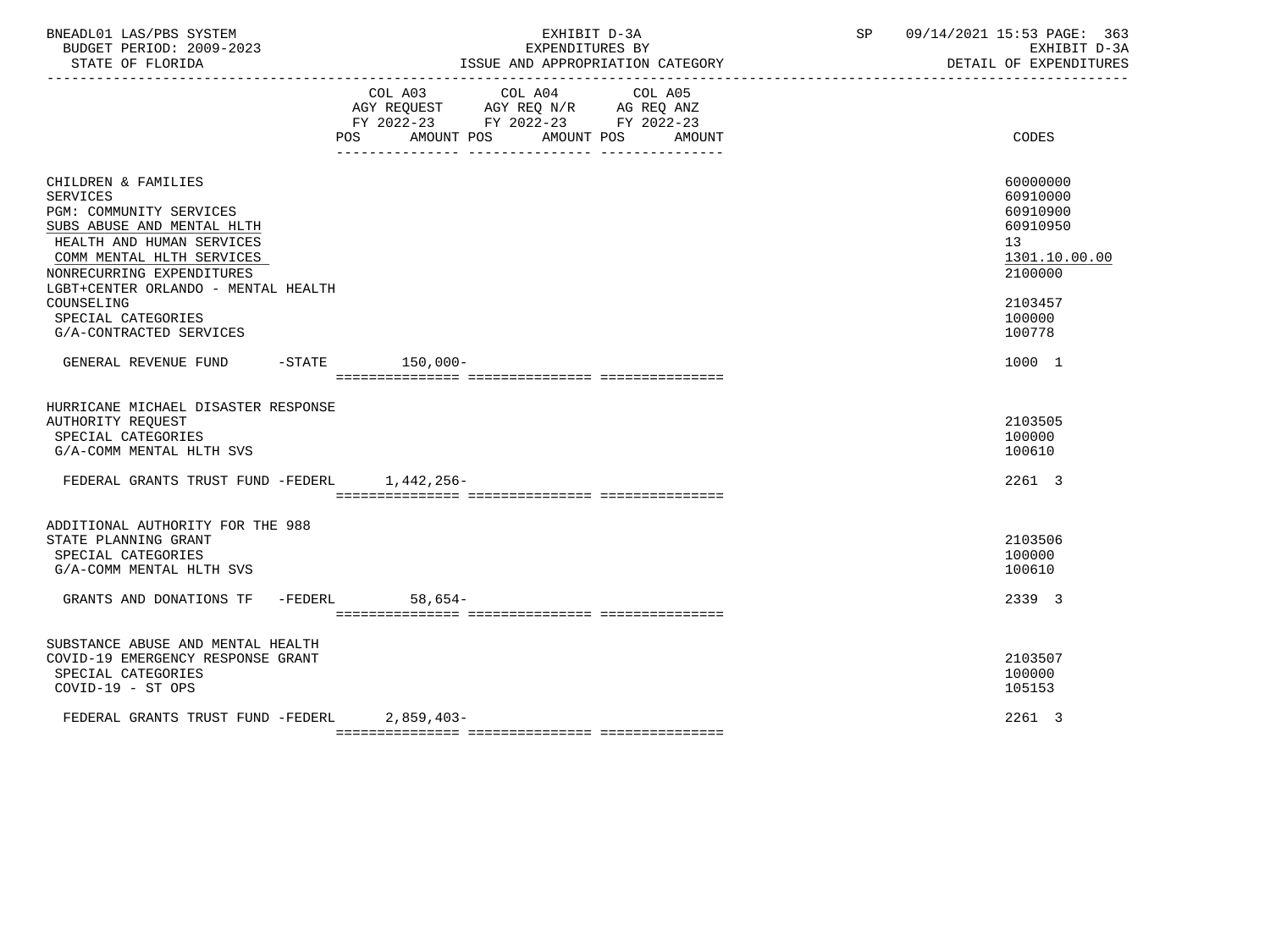| BNEADL01 LAS/PBS SYSTEM<br>BUDGET PERIOD: 2009-2023<br>STATE OF FLORIDA                                                                                                                                                                                                                      | EXHIBIT D-3A<br>EXPENDITURES BY<br>ISSUE AND APPROPRIATION CATEGORY                                                                      | 09/14/2021 15:53 PAGE: 363<br>SP<br>EXHIBIT D-3A<br>DETAIL OF EXPENDITURES                                    |
|----------------------------------------------------------------------------------------------------------------------------------------------------------------------------------------------------------------------------------------------------------------------------------------------|------------------------------------------------------------------------------------------------------------------------------------------|---------------------------------------------------------------------------------------------------------------|
|                                                                                                                                                                                                                                                                                              | COL A03 COL A04 COL A05<br>AGY REQUEST AGY REQ N/R AG REQ ANZ<br>FY 2022-23 FY 2022-23 FY 2022-23<br>POS AMOUNT POS AMOUNT POS<br>AMOUNT | CODES                                                                                                         |
| CHILDREN & FAMILIES<br><b>SERVICES</b><br>PGM: COMMUNITY SERVICES<br>SUBS ABUSE AND MENTAL HLTH<br>HEALTH AND HUMAN SERVICES<br>COMM MENTAL HLTH SERVICES<br>NONRECURRING EXPENDITURES<br>LGBT+CENTER ORLANDO - MENTAL HEALTH<br>COUNSELING<br>SPECIAL CATEGORIES<br>G/A-CONTRACTED SERVICES |                                                                                                                                          | 60000000<br>60910000<br>60910900<br>60910950<br>13<br>1301.10.00.00<br>2100000<br>2103457<br>100000<br>100778 |
| GENERAL REVENUE FUND -STATE 150,000-                                                                                                                                                                                                                                                         |                                                                                                                                          | 1000 1                                                                                                        |
| HURRICANE MICHAEL DISASTER RESPONSE<br>AUTHORITY REQUEST<br>SPECIAL CATEGORIES<br>G/A-COMM MENTAL HLTH SVS<br>FEDERAL GRANTS TRUST FUND -FEDERL 1,442,256-                                                                                                                                   |                                                                                                                                          | 2103505<br>100000<br>100610<br>2261 3                                                                         |
|                                                                                                                                                                                                                                                                                              |                                                                                                                                          |                                                                                                               |
| ADDITIONAL AUTHORITY FOR THE 988<br>STATE PLANNING GRANT<br>SPECIAL CATEGORIES<br>G/A-COMM MENTAL HLTH SVS                                                                                                                                                                                   |                                                                                                                                          | 2103506<br>100000<br>100610                                                                                   |
| GRANTS AND DONATIONS TF -FEDERL 58,654-                                                                                                                                                                                                                                                      |                                                                                                                                          | 2339 3                                                                                                        |
| SUBSTANCE ABUSE AND MENTAL HEALTH<br>COVID-19 EMERGENCY RESPONSE GRANT<br>SPECIAL CATEGORIES<br>COVID-19 - ST OPS                                                                                                                                                                            |                                                                                                                                          | 2103507<br>100000<br>105153                                                                                   |
| FEDERAL GRANTS TRUST FUND -FEDERL 2.859.403-                                                                                                                                                                                                                                                 |                                                                                                                                          | 2261 3                                                                                                        |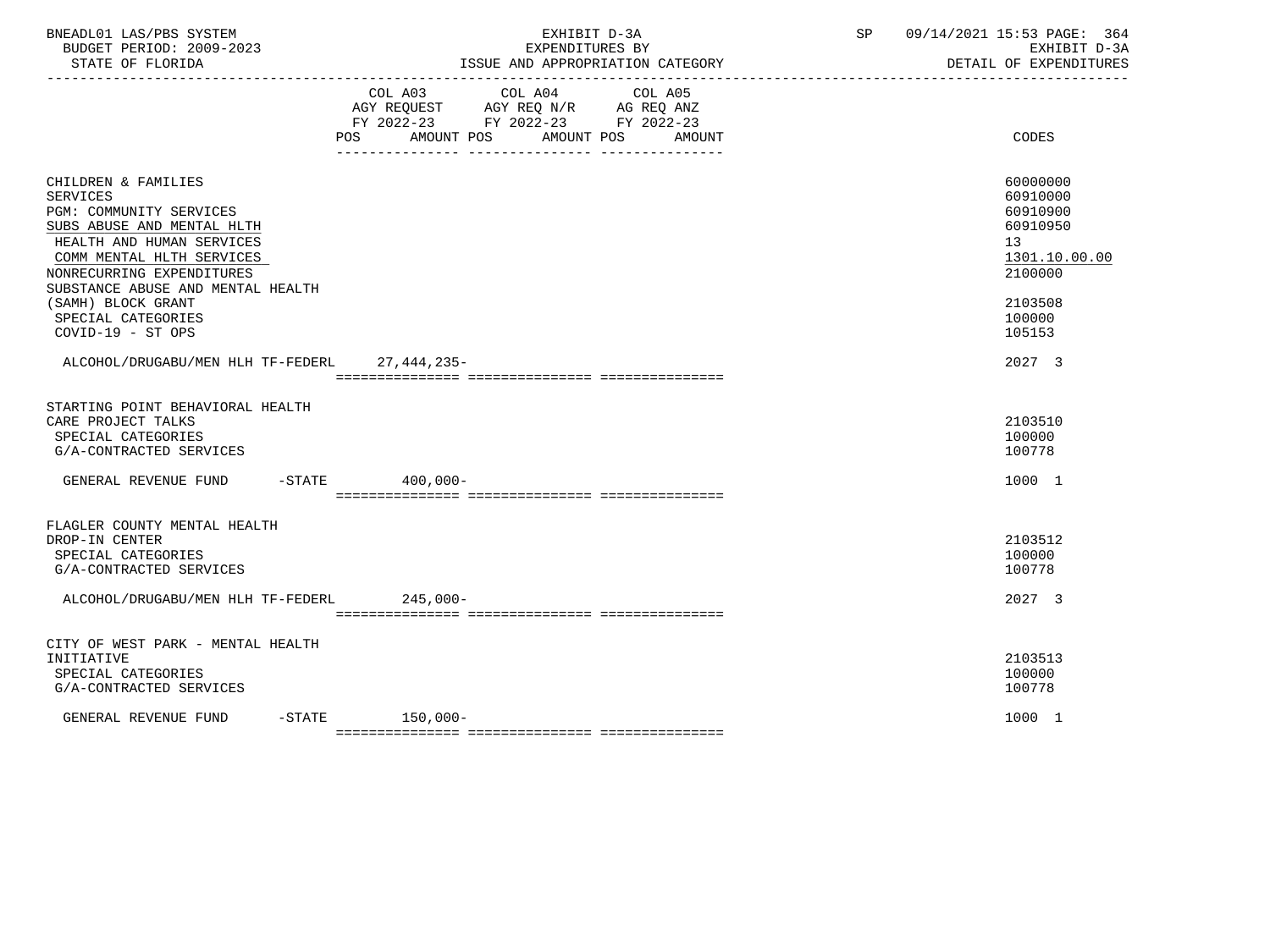| BNEADL01 LAS/PBS SYSTEM<br>BUDGET PERIOD: 2009-2023<br>STATE OF FLORIDA<br>--------------------                                                                                                                                                                                              | EXHIBIT D-3A<br>EXPENDITURES BY<br>ISSUE AND APPROPRIATION CATEGORY<br>---------------------------------                                                                                                                                                          | 09/14/2021 15:53 PAGE: 364<br>SP and the set of the set of the set of the set of the set of the set of the set of the set of the set of the set of the set of the set of the set of the set of the set of the set of the set of the set of the set of the se<br>EXHIBIT D-3A<br>DETAIL OF EXPENDITURES |
|----------------------------------------------------------------------------------------------------------------------------------------------------------------------------------------------------------------------------------------------------------------------------------------------|-------------------------------------------------------------------------------------------------------------------------------------------------------------------------------------------------------------------------------------------------------------------|--------------------------------------------------------------------------------------------------------------------------------------------------------------------------------------------------------------------------------------------------------------------------------------------------------|
|                                                                                                                                                                                                                                                                                              | COL A03 COL A04<br>COL A05<br>$\begin{tabular}{lllllll} AGY & \texttt{REQUEST} & \texttt{AGY} & \texttt{REG} & \texttt{N/R} & \texttt{AG} & \texttt{REQ} & \texttt{ANZ} \end{tabular}$<br>FY 2022-23 FY 2022-23 FY 2022-23<br>POS AMOUNT POS AMOUNT POS<br>AMOUNT | CODES                                                                                                                                                                                                                                                                                                  |
| CHILDREN & FAMILIES<br><b>SERVICES</b><br>PGM: COMMUNITY SERVICES<br>SUBS ABUSE AND MENTAL HLTH<br>HEALTH AND HUMAN SERVICES<br>COMM MENTAL HLTH SERVICES<br>NONRECURRING EXPENDITURES<br>SUBSTANCE ABUSE AND MENTAL HEALTH<br>(SAMH) BLOCK GRANT<br>SPECIAL CATEGORIES<br>COVID-19 - ST OPS |                                                                                                                                                                                                                                                                   | 60000000<br>60910000<br>60910900<br>60910950<br>13<br>1301.10.00.00<br>2100000<br>2103508<br>100000<br>105153                                                                                                                                                                                          |
| ALCOHOL/DRUGABU/MEN HLH TF-FEDERL 27,444,235-                                                                                                                                                                                                                                                |                                                                                                                                                                                                                                                                   | 2027 3                                                                                                                                                                                                                                                                                                 |
| STARTING POINT BEHAVIORAL HEALTH<br>CARE PROJECT TALKS<br>SPECIAL CATEGORIES<br>G/A-CONTRACTED SERVICES<br>GENERAL REVENUE FUND -STATE 400.000-                                                                                                                                              |                                                                                                                                                                                                                                                                   | 2103510<br>100000<br>100778<br>1000 1                                                                                                                                                                                                                                                                  |
| FLAGLER COUNTY MENTAL HEALTH<br>DROP-IN CENTER<br>SPECIAL CATEGORIES<br>G/A-CONTRACTED SERVICES                                                                                                                                                                                              |                                                                                                                                                                                                                                                                   | 2103512<br>100000<br>100778                                                                                                                                                                                                                                                                            |
| ALCOHOL/DRUGABU/MEN HLH TF-FEDERL 245,000-                                                                                                                                                                                                                                                   |                                                                                                                                                                                                                                                                   | 2027 3                                                                                                                                                                                                                                                                                                 |
| CITY OF WEST PARK - MENTAL HEALTH<br>INITIATIVE<br>SPECIAL CATEGORIES<br>G/A-CONTRACTED SERVICES                                                                                                                                                                                             |                                                                                                                                                                                                                                                                   | 2103513<br>100000<br>100778                                                                                                                                                                                                                                                                            |
| GENERAL REVENUE FUND                                                                                                                                                                                                                                                                         | $-STATE$ 150,000-                                                                                                                                                                                                                                                 | 1000 1                                                                                                                                                                                                                                                                                                 |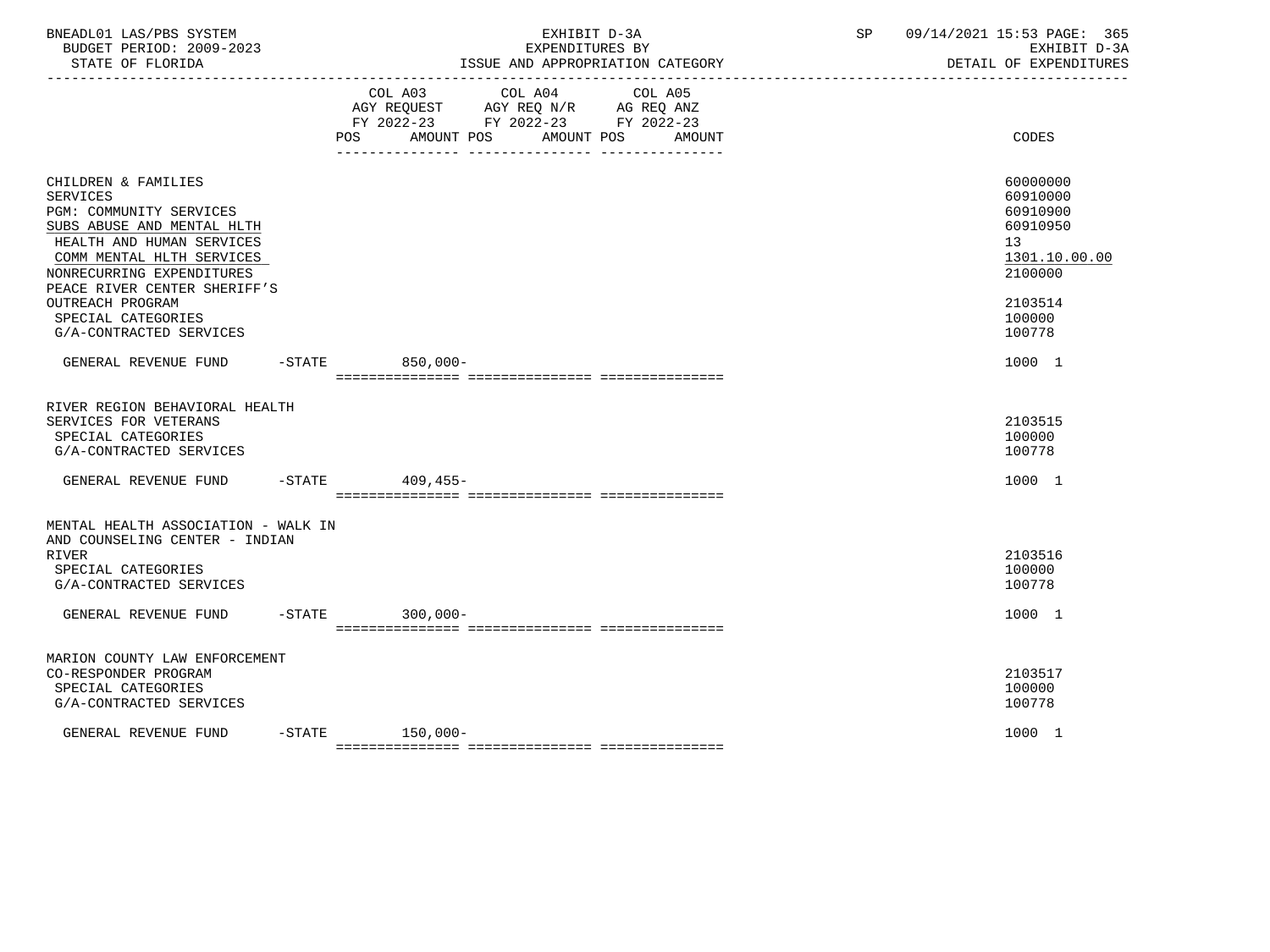| BNEADL01 LAS/PBS SYSTEM<br>BUDGET PERIOD: 2009-2023<br>STATE OF FLORIDA                                                                                                                                                                                                                     |        | EXHIBIT D-3A<br>EXPENDITURES BY<br>ISSUE AND APPROPRIATION CATEGORY                                                                               | SP | 09/14/2021 15:53 PAGE: 365<br>EXHIBIT D-3A<br>DETAIL OF EXPENDITURES                                          |
|---------------------------------------------------------------------------------------------------------------------------------------------------------------------------------------------------------------------------------------------------------------------------------------------|--------|---------------------------------------------------------------------------------------------------------------------------------------------------|----|---------------------------------------------------------------------------------------------------------------|
|                                                                                                                                                                                                                                                                                             |        | COL A03 COL A04<br>COL A05<br>AGY REQUEST AGY REQ N/R AG REQ ANZ<br>FY 2022-23 FY 2022-23 FY 2022-23<br>AMOUNT POS<br>AMOUNT POS<br>POS<br>AMOUNT |    | CODES                                                                                                         |
| CHILDREN & FAMILIES<br><b>SERVICES</b><br>PGM: COMMUNITY SERVICES<br>SUBS ABUSE AND MENTAL HLTH<br>HEALTH AND HUMAN SERVICES<br>COMM MENTAL HLTH SERVICES<br>NONRECURRING EXPENDITURES<br>PEACE RIVER CENTER SHERIFF'S<br>OUTREACH PROGRAM<br>SPECIAL CATEGORIES<br>G/A-CONTRACTED SERVICES |        |                                                                                                                                                   |    | 60000000<br>60910000<br>60910900<br>60910950<br>13<br>1301.10.00.00<br>2100000<br>2103514<br>100000<br>100778 |
| GENERAL REVENUE FUND                                                                                                                                                                                                                                                                        |        | -STATE 850,000-                                                                                                                                   |    | 1000 1                                                                                                        |
| RIVER REGION BEHAVIORAL HEALTH<br>SERVICES FOR VETERANS<br>SPECIAL CATEGORIES<br>G/A-CONTRACTED SERVICES<br>GENERAL REVENUE FUND                                                                                                                                                            |        | $-$ STATE 409,455-                                                                                                                                |    | 2103515<br>100000<br>100778<br>1000 1                                                                         |
|                                                                                                                                                                                                                                                                                             |        |                                                                                                                                                   |    |                                                                                                               |
| MENTAL HEALTH ASSOCIATION - WALK IN<br>AND COUNSELING CENTER - INDIAN<br><b>RIVER</b><br>SPECIAL CATEGORIES<br>G/A-CONTRACTED SERVICES<br>GENERAL REVENUE FUND                                                                                                                              |        | $-STATE$ 300,000-                                                                                                                                 |    | 2103516<br>100000<br>100778<br>1000 1                                                                         |
|                                                                                                                                                                                                                                                                                             |        |                                                                                                                                                   |    |                                                                                                               |
| MARION COUNTY LAW ENFORCEMENT<br>CO-RESPONDER PROGRAM<br>SPECIAL CATEGORIES<br>G/A-CONTRACTED SERVICES                                                                                                                                                                                      |        |                                                                                                                                                   |    | 2103517<br>100000<br>100778                                                                                   |
| GENERAL REVENUE FUND                                                                                                                                                                                                                                                                        | -STATE | $150,000-$                                                                                                                                        |    | 1000 1                                                                                                        |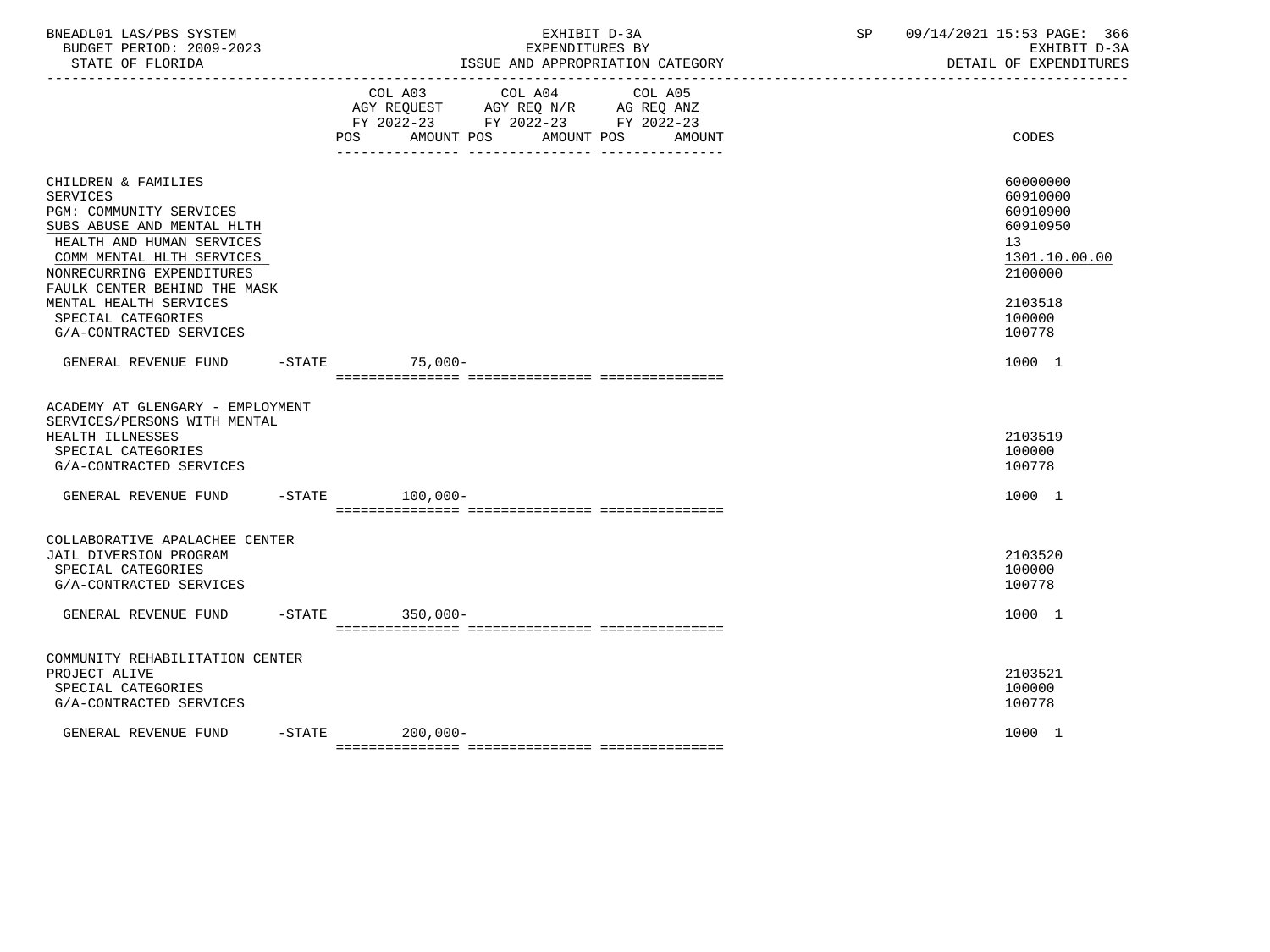| BNEADL01 LAS/PBS SYSTEM<br>BUDGET PERIOD: 2009-2023<br>STATE OF FLORIDA                                                                                                                                                                                                                           | EXHIBIT D-3A<br>EXPENDITURES BY<br>ISSUE AND APPROPRIATION CATEGORY                                                                          | 09/14/2021 15:53 PAGE: 366<br>SP<br>EXHIBIT D-3A<br>DETAIL OF EXPENDITURES                                                 |
|---------------------------------------------------------------------------------------------------------------------------------------------------------------------------------------------------------------------------------------------------------------------------------------------------|----------------------------------------------------------------------------------------------------------------------------------------------|----------------------------------------------------------------------------------------------------------------------------|
|                                                                                                                                                                                                                                                                                                   | COL A03 COL A04<br>COL A05<br>AGY REQUEST AGY REQ N/R AG REQ ANZ FY 2022-23 FY 2022-23 FY 2022-23<br>AMOUNT POS AMOUNT POS<br>AMOUNT<br>POS. | <b>CODES</b>                                                                                                               |
| CHILDREN & FAMILIES<br><b>SERVICES</b><br>PGM: COMMUNITY SERVICES<br>SUBS ABUSE AND MENTAL HLTH<br>HEALTH AND HUMAN SERVICES<br>COMM MENTAL HLTH SERVICES<br>NONRECURRING EXPENDITURES<br>FAULK CENTER BEHIND THE MASK<br>MENTAL HEALTH SERVICES<br>SPECIAL CATEGORIES<br>G/A-CONTRACTED SERVICES |                                                                                                                                              | 60000000<br>60910000<br>60910900<br>60910950<br>13 <sup>°</sup><br>1301.10.00.00<br>2100000<br>2103518<br>100000<br>100778 |
| GENERAL REVENUE FUND                                                                                                                                                                                                                                                                              | $-STATE$ 75,000-                                                                                                                             | 1000 1                                                                                                                     |
| ACADEMY AT GLENGARY - EMPLOYMENT<br>SERVICES/PERSONS WITH MENTAL<br>HEALTH ILLNESSES<br>SPECIAL CATEGORIES<br>G/A-CONTRACTED SERVICES                                                                                                                                                             |                                                                                                                                              | 2103519<br>100000<br>100778                                                                                                |
| GENERAL REVENUE FUND                                                                                                                                                                                                                                                                              | -STATE 100,000-                                                                                                                              | 1000 1                                                                                                                     |
| COLLABORATIVE APALACHEE CENTER<br>JAIL DIVERSION PROGRAM<br>SPECIAL CATEGORIES<br>G/A-CONTRACTED SERVICES<br>GENERAL REVENUE FUND                                                                                                                                                                 | -STATE 350,000-                                                                                                                              | 2103520<br>100000<br>100778<br>1000 1                                                                                      |
| COMMUNITY REHABILITATION CENTER                                                                                                                                                                                                                                                                   |                                                                                                                                              |                                                                                                                            |
| PROJECT ALIVE<br>SPECIAL CATEGORIES<br>G/A-CONTRACTED SERVICES                                                                                                                                                                                                                                    |                                                                                                                                              | 2103521<br>100000<br>100778                                                                                                |
| $-$ STATE<br>GENERAL REVENUE FUND                                                                                                                                                                                                                                                                 | $200,000-$                                                                                                                                   | 1000 1                                                                                                                     |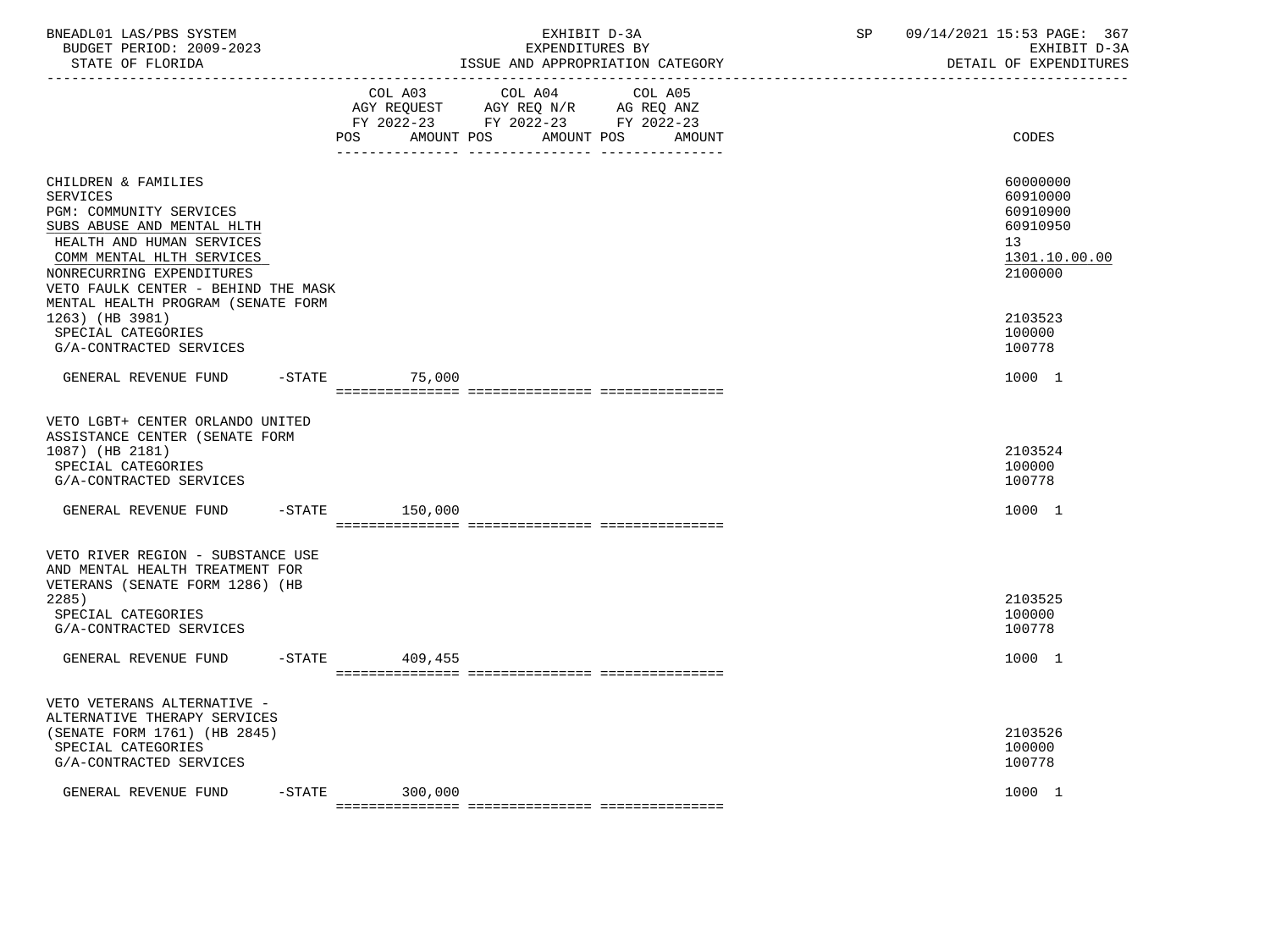| BNEADL01 LAS/PBS SYSTEM<br>BUDGET PERIOD: 2009-2023<br>STATE OF FLORIDA                                                                                                                                                                                                                |                                             | EXHIBIT D-3A<br>EXPENDITURES BY                                                   | ISSUE AND APPROPRIATION CATEGORY | SP | 09/14/2021 15:53 PAGE: 367<br>EXHIBIT D-3A<br>DETAIL OF EXPENDITURES<br>____________________________ |
|----------------------------------------------------------------------------------------------------------------------------------------------------------------------------------------------------------------------------------------------------------------------------------------|---------------------------------------------|-----------------------------------------------------------------------------------|----------------------------------|----|------------------------------------------------------------------------------------------------------|
|                                                                                                                                                                                                                                                                                        | COL A03<br>POS AMOUNT POS AMOUNT POS AMOUNT | COL A04<br>AGY REQUEST AGY REQ N/R AG REQ ANZ<br>FY 2022-23 FY 2022-23 FY 2022-23 | COL A05                          |    | CODES                                                                                                |
| CHILDREN & FAMILIES<br><b>SERVICES</b><br>PGM: COMMUNITY SERVICES<br>SUBS ABUSE AND MENTAL HLTH<br>HEALTH AND HUMAN SERVICES<br>COMM MENTAL HLTH SERVICES<br>NONRECURRING EXPENDITURES<br>VETO FAULK CENTER - BEHIND THE MASK<br>MENTAL HEALTH PROGRAM (SENATE FORM<br>1263) (HB 3981) |                                             |                                                                                   |                                  |    | 60000000<br>60910000<br>60910900<br>60910950<br>13<br>1301.10.00.00<br>2100000<br>2103523            |
| SPECIAL CATEGORIES<br>G/A-CONTRACTED SERVICES                                                                                                                                                                                                                                          |                                             |                                                                                   |                                  |    | 100000<br>100778                                                                                     |
| GENERAL REVENUE FUND                                                                                                                                                                                                                                                                   | $-$ STATE $75,000$                          |                                                                                   |                                  |    | 1000 1                                                                                               |
| VETO LGBT+ CENTER ORLANDO UNITED<br>ASSISTANCE CENTER (SENATE FORM<br>1087) (HB 2181)<br>SPECIAL CATEGORIES<br>G/A-CONTRACTED SERVICES<br>GENERAL REVENUE FUND -STATE 150,000                                                                                                          |                                             |                                                                                   |                                  |    | 2103524<br>100000<br>100778<br>1000 1                                                                |
| VETO RIVER REGION - SUBSTANCE USE<br>AND MENTAL HEALTH TREATMENT FOR<br>VETERANS (SENATE FORM 1286) (HB<br>2285<br>SPECIAL CATEGORIES<br>G/A-CONTRACTED SERVICES<br>GENERAL REVENUE FUND                                                                                               | $-STATE$ 409,455                            |                                                                                   |                                  |    | 2103525<br>100000<br>100778<br>1000 1                                                                |
| VETO VETERANS ALTERNATIVE -<br>ALTERNATIVE THERAPY SERVICES<br>(SENATE FORM 1761) (HB 2845)<br>SPECIAL CATEGORIES<br>G/A-CONTRACTED SERVICES                                                                                                                                           |                                             |                                                                                   |                                  |    | 2103526<br>100000<br>100778                                                                          |
| GENERAL REVENUE FUND                                                                                                                                                                                                                                                                   | $-STATE$ 300,000                            |                                                                                   |                                  |    | 1000 1                                                                                               |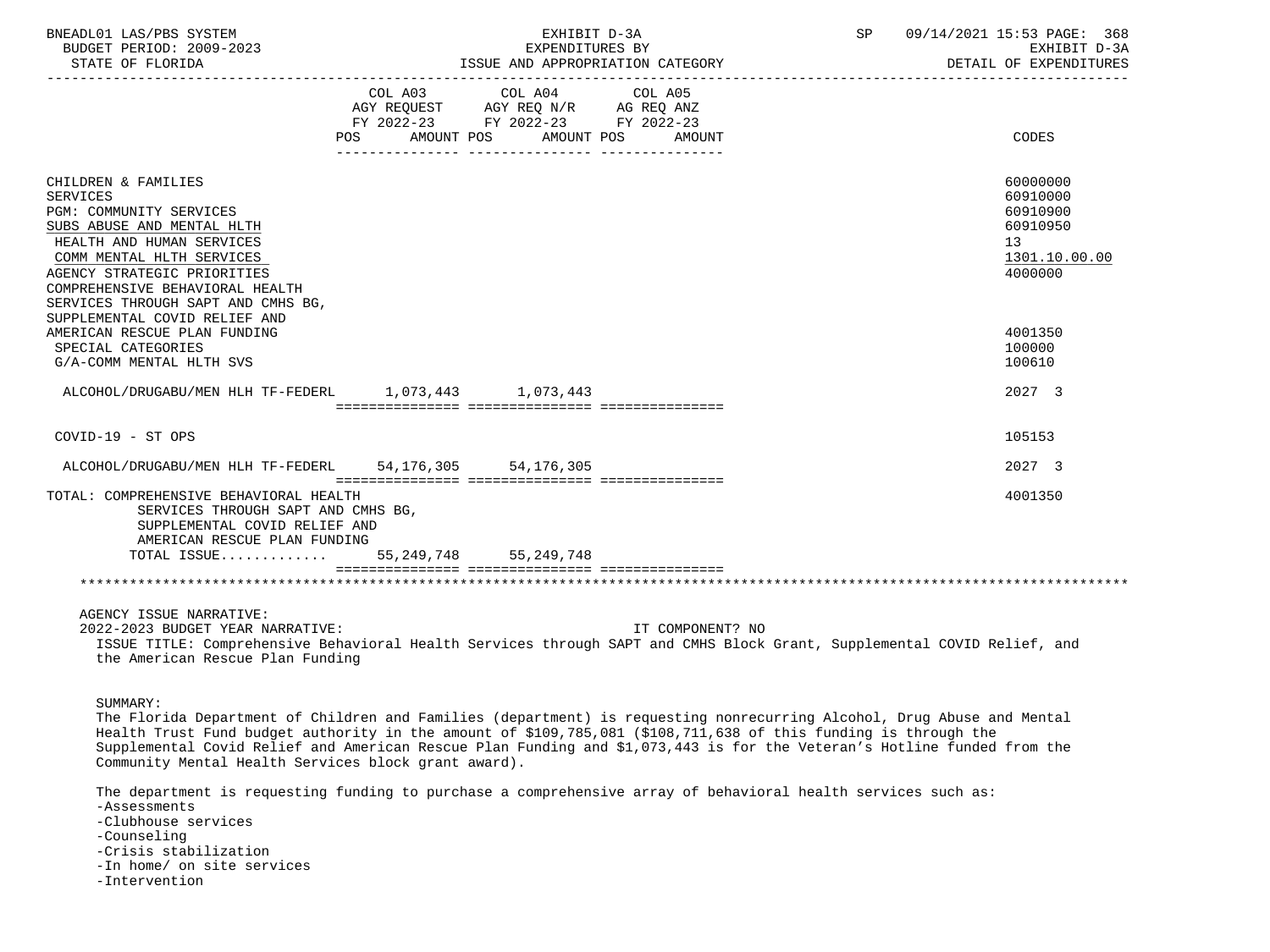| BNEADL01 LAS/PBS SYSTEM<br>BUDGET PERIOD: 2009-2023<br>STATE OF FLORIDA                                                                                                                                                                                                                            |                       | EXHIBIT D-3A<br>EXPENDITURES BY                                                           | ISSUE AND APPROPRIATION CATEGORY | SP 09/14/2021 15:53 PAGE: 368<br>EXHIBIT D-3A<br>DETAIL OF EXPENDITURES                     |
|----------------------------------------------------------------------------------------------------------------------------------------------------------------------------------------------------------------------------------------------------------------------------------------------------|-----------------------|-------------------------------------------------------------------------------------------|----------------------------------|---------------------------------------------------------------------------------------------|
|                                                                                                                                                                                                                                                                                                    | AMOUNT POS<br>POS FOR | COL A03 COL A04<br>AGY REQUEST AGY REQ N/R AG REQ ANZ<br>FY 2022-23 FY 2022-23 FY 2022-23 | COL A05<br>AMOUNT POS<br>AMOUNT  | CODES                                                                                       |
| CHILDREN & FAMILIES<br><b>SERVICES</b><br>PGM: COMMUNITY SERVICES<br>SUBS ABUSE AND MENTAL HLTH<br>HEALTH AND HUMAN SERVICES<br>COMM MENTAL HLTH SERVICES<br>AGENCY STRATEGIC PRIORITIES<br>COMPREHENSIVE BEHAVIORAL HEALTH<br>SERVICES THROUGH SAPT AND CMHS BG,<br>SUPPLEMENTAL COVID RELIEF AND |                       |                                                                                           |                                  | 60000000<br>60910000<br>60910900<br>60910950<br>13 <sup>°</sup><br>1301.10.00.00<br>4000000 |
| AMERICAN RESCUE PLAN FUNDING<br>SPECIAL CATEGORIES<br>G/A-COMM MENTAL HLTH SVS                                                                                                                                                                                                                     |                       |                                                                                           |                                  | 4001350<br>100000<br>100610                                                                 |
| ALCOHOL/DRUGABU/MEN HLH TF-FEDERL 1,073,443 1,073,443                                                                                                                                                                                                                                              |                       |                                                                                           |                                  | 2027 3                                                                                      |
| $COVID-19 - ST OPS$                                                                                                                                                                                                                                                                                |                       |                                                                                           |                                  | 105153                                                                                      |
| ALCOHOL/DRUGABU/MEN HLH TF-FEDERL 54, 176, 305 54, 176, 305                                                                                                                                                                                                                                        |                       |                                                                                           |                                  | 2027 3                                                                                      |
| TOTAL: COMPREHENSIVE BEHAVIORAL HEALTH<br>SERVICES THROUGH SAPT AND CMHS BG,<br>SUPPLEMENTAL COVID RELIEF AND<br>AMERICAN RESCUE PLAN FUNDING                                                                                                                                                      |                       |                                                                                           |                                  | 4001350                                                                                     |
| TOTAL ISSUE 55, 249, 748 55, 249, 748                                                                                                                                                                                                                                                              |                       |                                                                                           |                                  |                                                                                             |
|                                                                                                                                                                                                                                                                                                    |                       |                                                                                           |                                  |                                                                                             |
| AGENCY ISSUE NARRATIVE:<br>2022-2023 BUDGET YEAR NARRATIVE:<br>ISSUE TITLE: Comprehensive Behavioral Health Services through SAPT and CMHS Block Grant, Supplemental COVID Relief, and<br>the American Rescue Plan Funding                                                                         |                       |                                                                                           | IT COMPONENT? NO                 |                                                                                             |

SUMMARY:

 The Florida Department of Children and Families (department) is requesting nonrecurring Alcohol, Drug Abuse and Mental Health Trust Fund budget authority in the amount of \$109,785,081 (\$108,711,638 of this funding is through the Supplemental Covid Relief and American Rescue Plan Funding and \$1,073,443 is for the Veteran's Hotline funded from the Community Mental Health Services block grant award).

 The department is requesting funding to purchase a comprehensive array of behavioral health services such as: -Assessments -Clubhouse services -Counseling -Crisis stabilization -In home/ on site services -Intervention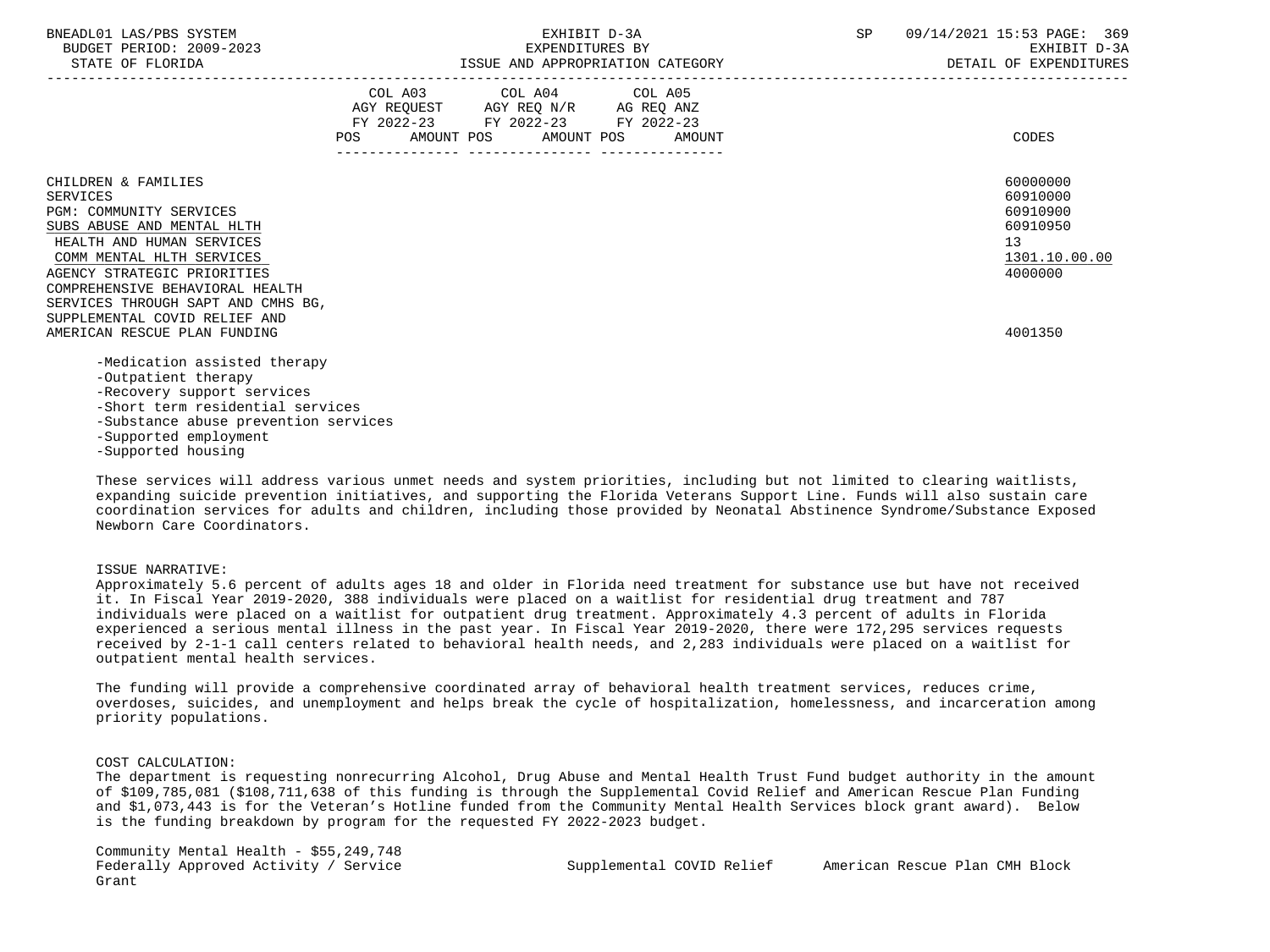| BNEADL01 LAS/PBS SYSTEM |                  |                          |
|-------------------------|------------------|--------------------------|
|                         |                  | BUDGET PERIOD: 2009-2023 |
|                         | STATE OF FLORIDA |                          |

|                                                                                                                        | COL A03 COL A04 COL A05<br>AGY REQUEST AGY REQ N/R AG REQ ANZ<br>FY 2022-23 FY 2022-23 FY 2022-23<br>POS AMOUNT POS AMOUNT POS AMOUNT |  | CODES                                       |
|------------------------------------------------------------------------------------------------------------------------|---------------------------------------------------------------------------------------------------------------------------------------|--|---------------------------------------------|
| CHILDREN & FAMILIES<br>SERVICES                                                                                        |                                                                                                                                       |  | 60000000<br>60910000                        |
| <b>PGM: COMMUNITY SERVICES</b><br>SUBS ABUSE AND MENTAL HLTH<br>HEALTH AND HUMAN SERVICES<br>COMM MENTAL HLTH SERVICES |                                                                                                                                       |  | 60910900<br>60910950<br>13<br>1301.10.00.00 |
| AGENCY STRATEGIC PRIORITIES<br>COMPREHENSIVE BEHAVIORAL HEALTH<br>SERVICES THROUGH SAPT AND CMHS BG,                   |                                                                                                                                       |  | 4000000                                     |
| SUPPLEMENTAL COVID RELIEF AND<br>AMERICAN RESCUE PLAN FUNDING                                                          |                                                                                                                                       |  | 4001350                                     |
| -Medication assisted therapy<br>-Outpatient therapy<br>-Recovery support services<br>-Short term residential services  |                                                                                                                                       |  |                                             |
| -Substance abuse prevention services<br>-Supported employment                                                          |                                                                                                                                       |  |                                             |

-Supported housing

 These services will address various unmet needs and system priorities, including but not limited to clearing waitlists, expanding suicide prevention initiatives, and supporting the Florida Veterans Support Line. Funds will also sustain care coordination services for adults and children, including those provided by Neonatal Abstinence Syndrome/Substance Exposed Newborn Care Coordinators.

#### ISSUE NARRATIVE:

 Approximately 5.6 percent of adults ages 18 and older in Florida need treatment for substance use but have not received it. In Fiscal Year 2019-2020, 388 individuals were placed on a waitlist for residential drug treatment and 787 individuals were placed on a waitlist for outpatient drug treatment. Approximately 4.3 percent of adults in Florida experienced a serious mental illness in the past year. In Fiscal Year 2019-2020, there were 172,295 services requests received by 2-1-1 call centers related to behavioral health needs, and 2,283 individuals were placed on a waitlist for outpatient mental health services.

 The funding will provide a comprehensive coordinated array of behavioral health treatment services, reduces crime, overdoses, suicides, and unemployment and helps break the cycle of hospitalization, homelessness, and incarceration among priority populations.

### COST CALCULATION:

 The department is requesting nonrecurring Alcohol, Drug Abuse and Mental Health Trust Fund budget authority in the amount of \$109,785,081 (\$108,711,638 of this funding is through the Supplemental Covid Relief and American Rescue Plan Funding and \$1,073,443 is for the Veteran's Hotline funded from the Community Mental Health Services block grant award). Below is the funding breakdown by program for the requested FY 2022-2023 budget.

 Community Mental Health - \$55,249,748 Grant

Federally Approved Activity / Service Supplemental COVID Relief American Rescue Plan CMH Block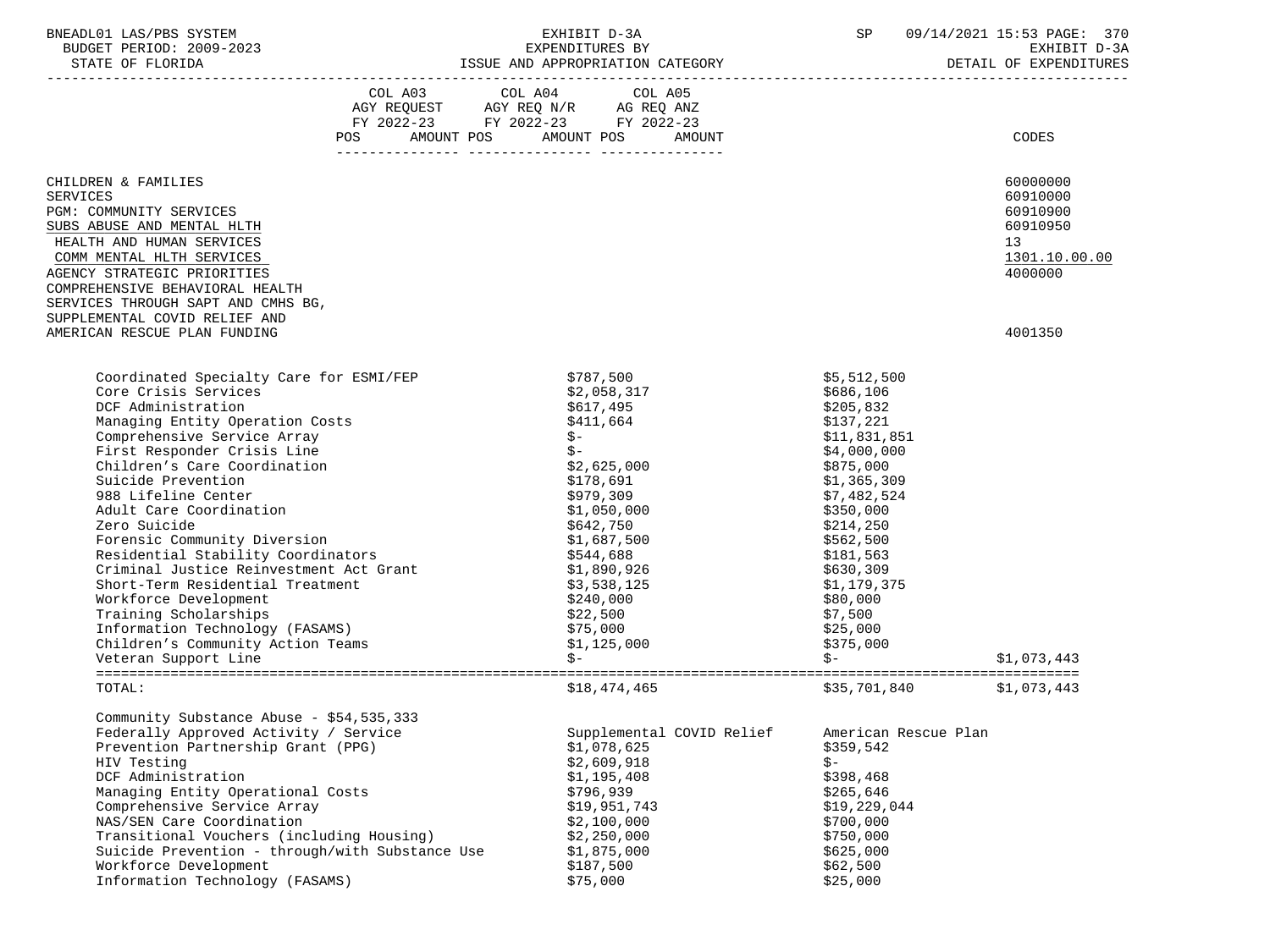| BNEADL01 LAS/PBS SYSTEM<br>BUDGET PERIOD: 2009-2023<br>STATE OF FLORIDA                                                                                                                                                                                                                                                                                                                                                                                                                                                                                                                                               |                           | EXHIBIT D-3A<br>EXPENDITURES BY<br>ISSUE AND APPROPRIATION CATEGORY                                                                                                                                                                                                                                    |                                                                                                                                                                                                                                                                               | SP 09/14/2021 15:53 PAGE: 370<br>EXHIBIT D-3A<br>DETAIL OF EXPENDITURES        |
|-----------------------------------------------------------------------------------------------------------------------------------------------------------------------------------------------------------------------------------------------------------------------------------------------------------------------------------------------------------------------------------------------------------------------------------------------------------------------------------------------------------------------------------------------------------------------------------------------------------------------|---------------------------|--------------------------------------------------------------------------------------------------------------------------------------------------------------------------------------------------------------------------------------------------------------------------------------------------------|-------------------------------------------------------------------------------------------------------------------------------------------------------------------------------------------------------------------------------------------------------------------------------|--------------------------------------------------------------------------------|
|                                                                                                                                                                                                                                                                                                                                                                                                                                                                                                                                                                                                                       |                           | $\begin{tabular}{lllllllll} COL A03 &\multicolumn{4}{c }{COL A04} &\multicolumn{4}{c }{COL A05} \\ AGY REQUEST &\multicolumn{4}{c }{AGY REQ N/R} &\multicolumn{4}{c }{AG REQ ANZ} \\ FY &\multicolumn{4}{c }{2022-23} &\multicolumn{4}{c }{YY 2022-23} &\multicolumn{4}{c }{YY 2022-23} \end{tabular}$ |                                                                                                                                                                                                                                                                               |                                                                                |
|                                                                                                                                                                                                                                                                                                                                                                                                                                                                                                                                                                                                                       | POS AMOUNT POS AMOUNT POS | AMOUNT                                                                                                                                                                                                                                                                                                 |                                                                                                                                                                                                                                                                               | CODES                                                                          |
| CHILDREN & FAMILIES<br><b>SERVICES</b><br>PGM: COMMUNITY SERVICES<br>SUBS ABUSE AND MENTAL HLTH<br>HEALTH AND HUMAN SERVICES<br>COMM MENTAL HLTH SERVICES<br>AGENCY STRATEGIC PRIORITIES<br>COMPREHENSIVE BEHAVIORAL HEALTH                                                                                                                                                                                                                                                                                                                                                                                           |                           |                                                                                                                                                                                                                                                                                                        |                                                                                                                                                                                                                                                                               | 60000000<br>60910000<br>60910900<br>60910950<br>13<br>1301.10.00.00<br>4000000 |
| SERVICES THROUGH SAPT AND CMHS BG,<br>SUPPLEMENTAL COVID RELIEF AND<br>AMERICAN RESCUE PLAN FUNDING                                                                                                                                                                                                                                                                                                                                                                                                                                                                                                                   |                           |                                                                                                                                                                                                                                                                                                        |                                                                                                                                                                                                                                                                               | 4001350                                                                        |
| Coordinated Specialty Care for ESMI/FEP<br>Core Crisis Services<br>DCF Administration<br>Managing Entity Operation Costs<br>Comprehensive Service Array<br>First Responder Crisis Line<br>Children's Care Coordination<br>Suicide Prevention<br>988 Lifeline Center<br>Adult Care Coordination<br>Zero Suicide<br>Forensic Community Diversion<br>Residential Stability Coordinators<br>Criminal Justice Reinvestment Act Grant<br>Short-Term Residential Treatment<br>Workforce Development<br>Training Scholarships<br>Information Technology (FASAMS)<br>Children's Community Action Teams<br>Veteran Support Line |                           | \$787,500<br>\$2,058,317<br>\$617,495<br>\$411,664<br>$$ -$<br>$$ -$<br>\$2,625,000<br>\$178,691<br>\$979,309<br>\$1,050,000<br>\$642,750<br>\$1,687,500<br>\$544,688<br>\$1,890,926<br>\$3,538,125<br>\$240,000<br>\$22,500<br>\$75,000<br>\$1,125,000<br>$S-$                                        | \$5,512,500<br>\$686,106<br>\$205,832<br>\$137,221<br>\$11,831,851<br>\$4,000,000<br>\$875,000<br>\$1,365,309<br>\$7,482,524<br>\$350,000<br>\$214,250<br>\$562,500<br>\$181,563<br>\$630,309<br>\$1,179,375<br>\$80,000<br>\$7,500<br>\$25,000<br>\$375,000<br>$\mathsf{S}-$ | \$1,073,443                                                                    |
| TOTAL:                                                                                                                                                                                                                                                                                                                                                                                                                                                                                                                                                                                                                |                           | \$18,474,465                                                                                                                                                                                                                                                                                           | \$35,701,840 \$1,073,443                                                                                                                                                                                                                                                      |                                                                                |
| Community Substance Abuse - \$54,535,333<br>Federally Approved Activity / Service<br>Prevention Partnership Grant (PPG)<br>HIV Testing<br>DCF Administration<br>Managing Entity Operational Costs<br>Comprehensive Service Array<br>NAS/SEN Care Coordination<br>Transitional Vouchers (including Housing)<br>Suicide Prevention - through/with Substance Use<br>Workforce Development<br>Information Technology (FASAMS)                                                                                                                                                                                             |                           | Supplemental COVID Relief<br>\$1,078,625<br>\$2,609,918<br>\$1,195,408<br>\$796,939<br>\$19,951,743<br>\$2,100,000<br>\$2,250,000<br>\$1,875,000<br>\$187,500<br>\$75,000                                                                                                                              | American Rescue Plan<br>\$359,542<br>\$-<br>\$398,468<br>\$265,646<br>\$19,229,044<br>\$700,000<br>\$750,000<br>\$625,000<br>\$62,500<br>\$25,000                                                                                                                             |                                                                                |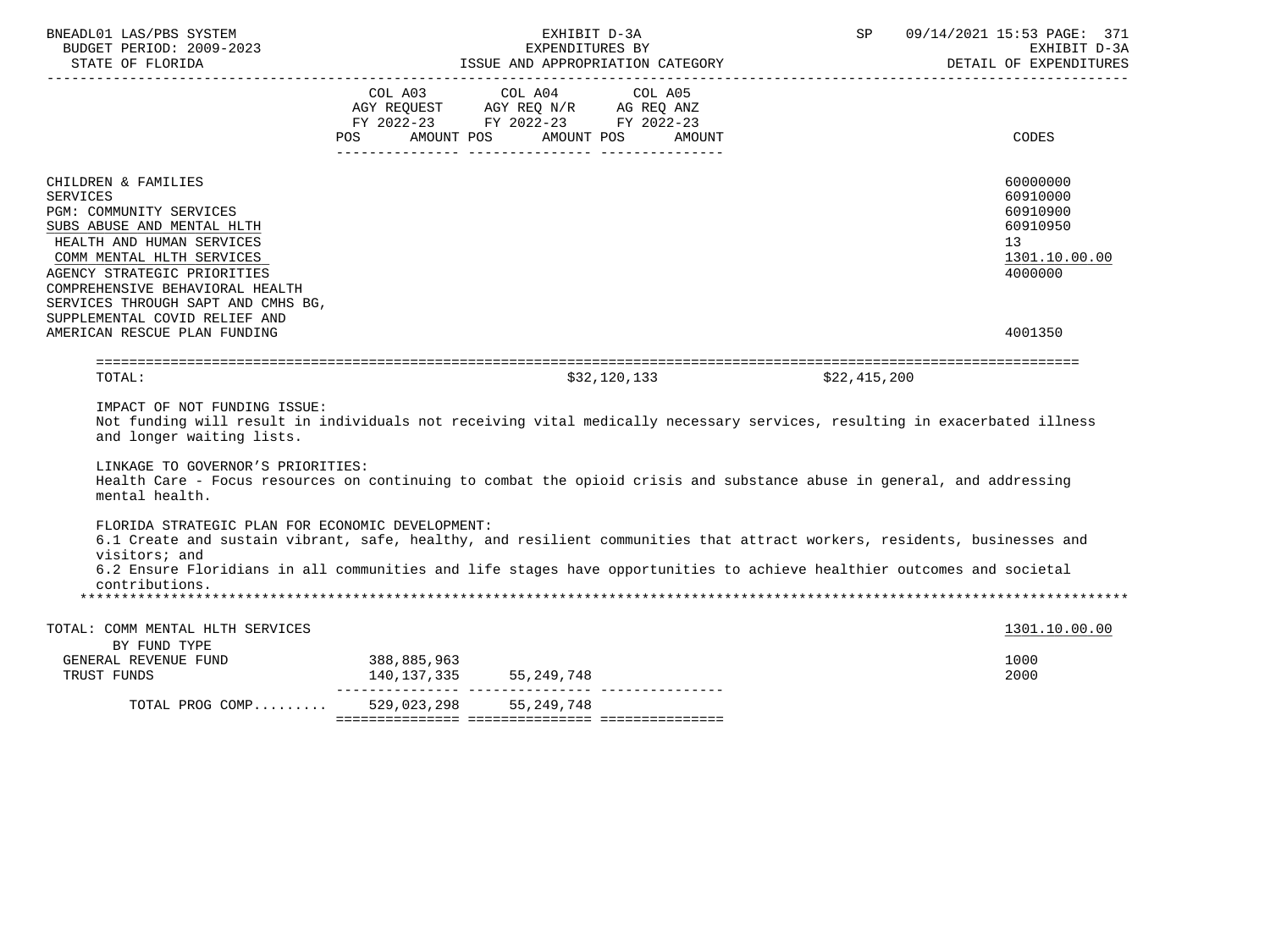| BNEADL01 LAS/PBS SYSTEM<br>BUDGET PERIOD: 2009-2023<br>STATE OF FLORIDA                                                                                                                                                                                                                                                            |                            | EXHIBIT D-3A<br>EXPENDITURES BY<br>ISSUE AND APPROPRIATION CATEGORY                                                              | SP           | 09/14/2021 15:53 PAGE: 371<br>EXHIBIT D-3A<br>DETAIL OF EXPENDITURES                                   |
|------------------------------------------------------------------------------------------------------------------------------------------------------------------------------------------------------------------------------------------------------------------------------------------------------------------------------------|----------------------------|----------------------------------------------------------------------------------------------------------------------------------|--------------|--------------------------------------------------------------------------------------------------------|
|                                                                                                                                                                                                                                                                                                                                    | COL A03                    | COL A04<br>COL A05<br>AGY REQUEST AGY REQ N/R AG REQ ANZ<br>FY 2022-23 FY 2022-23 FY 2022-23<br>POS AMOUNT POS AMOUNT POS AMOUNT |              | CODES                                                                                                  |
| CHILDREN & FAMILIES<br><b>SERVICES</b><br>PGM: COMMUNITY SERVICES<br>SUBS ABUSE AND MENTAL HLTH<br>HEALTH AND HUMAN SERVICES<br>COMM MENTAL HLTH SERVICES<br>AGENCY STRATEGIC PRIORITIES<br>COMPREHENSIVE BEHAVIORAL HEALTH<br>SERVICES THROUGH SAPT AND CMHS BG,<br>SUPPLEMENTAL COVID RELIEF AND<br>AMERICAN RESCUE PLAN FUNDING |                            |                                                                                                                                  |              | 60000000<br>60910000<br>60910900<br>60910950<br>13 <sup>°</sup><br>1301.10.00.00<br>4000000<br>4001350 |
| TOTAL:                                                                                                                                                                                                                                                                                                                             |                            | \$32,120,133                                                                                                                     | \$22,415,200 |                                                                                                        |
| IMPACT OF NOT FUNDING ISSUE:<br>and longer waiting lists.                                                                                                                                                                                                                                                                          |                            | Not funding will result in individuals not receiving vital medically necessary services, resulting in exacerbated illness        |              |                                                                                                        |
| LINKAGE TO GOVERNOR'S PRIORITIES:                                                                                                                                                                                                                                                                                                  |                            | Health Care - Focus resources on continuing to combat the opioid crisis and substance abuse in general, and addressing           |              |                                                                                                        |
| mental health.                                                                                                                                                                                                                                                                                                                     |                            |                                                                                                                                  |              |                                                                                                        |
| FLORIDA STRATEGIC PLAN FOR ECONOMIC DEVELOPMENT:<br>visitors; and                                                                                                                                                                                                                                                                  |                            | 6.1 Create and sustain vibrant, safe, healthy, and resilient communities that attract workers, residents, businesses and         |              |                                                                                                        |
| contributions.                                                                                                                                                                                                                                                                                                                     |                            | 6.2 Ensure Floridians in all communities and life stages have opportunities to achieve healthier outcomes and societal           |              |                                                                                                        |
| TOTAL: COMM MENTAL HLTH SERVICES                                                                                                                                                                                                                                                                                                   |                            |                                                                                                                                  |              | 1301.10.00.00                                                                                          |
| BY FUND TYPE<br>GENERAL REVENUE FUND<br>TRUST FUNDS                                                                                                                                                                                                                                                                                | 388,885,963<br>140,137,335 | 55,249,748                                                                                                                       |              | 1000<br>2000                                                                                           |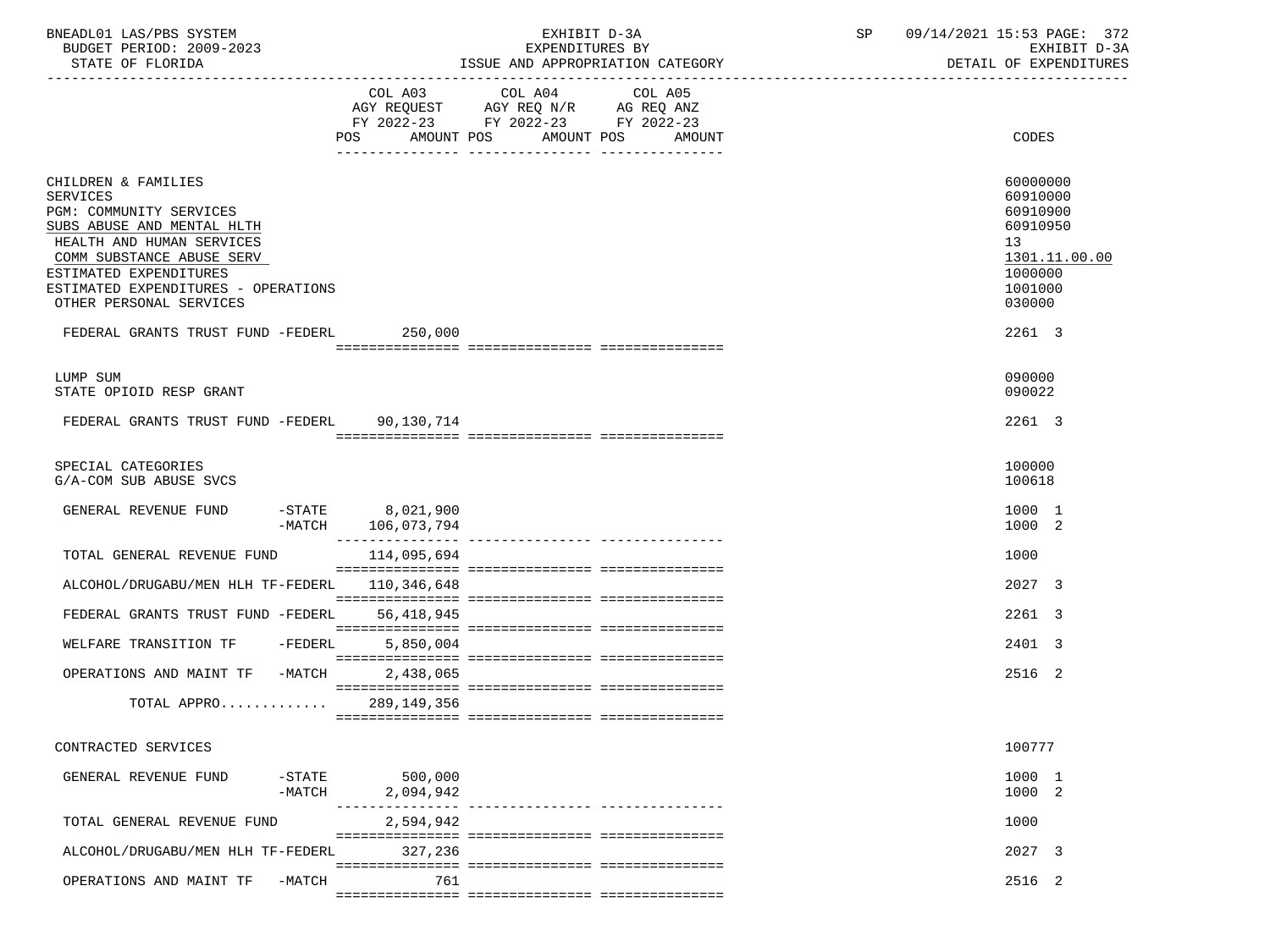| BNEADL01 LAS/PBS SYSTEM<br>BUDGET PERIOD: 2009-2023<br>STATE OF FLORIDA                                                                                                                                                                                                                            | EXHIBIT D-3A<br>EXPENDITURES BY<br>ISSUE AND APPROPRIATION CATEGORY                                                                                   | 09/14/2021 15:53 PAGE: 372<br>SP<br>EXHIBIT D-3A<br>DETAIL OF EXPENDITURES                                    |
|----------------------------------------------------------------------------------------------------------------------------------------------------------------------------------------------------------------------------------------------------------------------------------------------------|-------------------------------------------------------------------------------------------------------------------------------------------------------|---------------------------------------------------------------------------------------------------------------|
|                                                                                                                                                                                                                                                                                                    | COL A03 COL A04 COL A05<br>AGY REQUEST AGY REQ N/R AG REQ ANZ<br>FY 2022-23 FY 2022-23 FY 2022-23<br>POS<br>AMOUNT POS<br>AMOUNT POS<br><b>AMOUNT</b> | CODES                                                                                                         |
| CHILDREN & FAMILIES<br><b>SERVICES</b><br>PGM: COMMUNITY SERVICES<br>SUBS ABUSE AND MENTAL HLTH<br>HEALTH AND HUMAN SERVICES<br>COMM SUBSTANCE ABUSE SERV<br>ESTIMATED EXPENDITURES<br>ESTIMATED EXPENDITURES - OPERATIONS<br>OTHER PERSONAL SERVICES<br>FEDERAL GRANTS TRUST FUND -FEDERL 250,000 |                                                                                                                                                       | 60000000<br>60910000<br>60910900<br>60910950<br>13<br>1301.11.00.00<br>1000000<br>1001000<br>030000<br>2261 3 |
| LUMP SUM<br>STATE OPIOID RESP GRANT                                                                                                                                                                                                                                                                |                                                                                                                                                       | 090000<br>090022                                                                                              |
| FEDERAL GRANTS TRUST FUND -FEDERL 90,130,714                                                                                                                                                                                                                                                       |                                                                                                                                                       | 2261 3                                                                                                        |
| SPECIAL CATEGORIES<br>G/A-COM SUB ABUSE SVCS                                                                                                                                                                                                                                                       |                                                                                                                                                       | 100000<br>100618                                                                                              |
| GENERAL REVENUE FUND<br>-MATCH                                                                                                                                                                                                                                                                     | $-$ STATE $8,021,900$<br>106,073,794                                                                                                                  | 1000 1<br>1000 2                                                                                              |
| TOTAL GENERAL REVENUE FUND                                                                                                                                                                                                                                                                         | 114,095,694                                                                                                                                           | 1000                                                                                                          |
| ALCOHOL/DRUGABU/MEN HLH TF-FEDERL                                                                                                                                                                                                                                                                  | 110,346,648                                                                                                                                           | 2027 3                                                                                                        |
| FEDERAL GRANTS TRUST FUND -FEDERL                                                                                                                                                                                                                                                                  | 56,418,945                                                                                                                                            | 2261 3                                                                                                        |
| WELFARE TRANSITION TF -FEDERL                                                                                                                                                                                                                                                                      | 5,850,004                                                                                                                                             | 2401 3                                                                                                        |
| OPERATIONS AND MAINT TF -MATCH                                                                                                                                                                                                                                                                     | 2,438,065                                                                                                                                             | 2516 2                                                                                                        |
| TOTAL APPRO                                                                                                                                                                                                                                                                                        | 289,149,356                                                                                                                                           |                                                                                                               |
| CONTRACTED SERVICES                                                                                                                                                                                                                                                                                |                                                                                                                                                       | 100777                                                                                                        |
| GENERAL REVENUE FUND<br>$-MATCH$                                                                                                                                                                                                                                                                   | $-$ STATE<br>500,000<br>2,094,942                                                                                                                     | 1000 1<br>1000 2                                                                                              |
| TOTAL GENERAL REVENUE FUND                                                                                                                                                                                                                                                                         | <u>uuuuuuuuu</u><br>------------- ----------------<br>2,594,942                                                                                       | 1000                                                                                                          |
| ALCOHOL/DRUGABU/MEN HLH TF-FEDERL                                                                                                                                                                                                                                                                  | 327,236                                                                                                                                               | 2027 3                                                                                                        |
| OPERATIONS AND MAINT TF<br>$-MATCH$                                                                                                                                                                                                                                                                | 761                                                                                                                                                   | 2516 2                                                                                                        |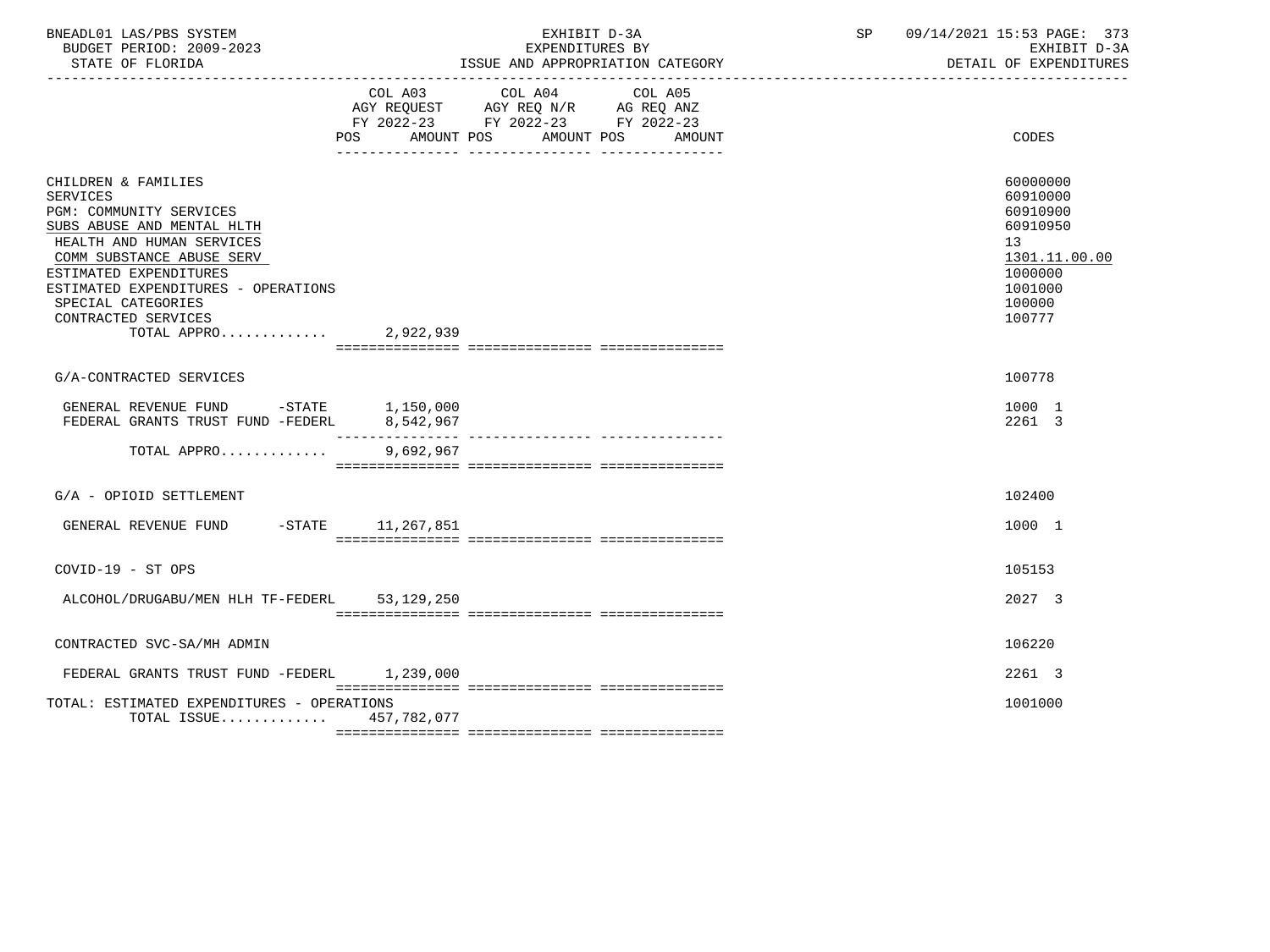| BNEADL01 LAS/PBS SYSTEM<br>BUDGET PERIOD: 2009-2023<br>STATE OF FLORIDA                                                                                                                                                                                                                                 |                               | EXHIBIT D-3A<br>EXPENDITURES BY<br>ISSUE AND APPROPRIATION CATEGORY                                                                     | SP | 09/14/2021 15:53 PAGE: 373<br>EXHIBIT D-3A<br>DETAIL OF EXPENDITURES                                                       |
|---------------------------------------------------------------------------------------------------------------------------------------------------------------------------------------------------------------------------------------------------------------------------------------------------------|-------------------------------|-----------------------------------------------------------------------------------------------------------------------------------------|----|----------------------------------------------------------------------------------------------------------------------------|
|                                                                                                                                                                                                                                                                                                         | POS                           | COL A03 COL A04<br>COL A05<br>AGY REQUEST AGY REQ N/R AG REQ ANZ<br>FY 2022-23 FY 2022-23 FY 2022-23<br>AMOUNT POS AMOUNT POS<br>AMOUNT |    | CODES                                                                                                                      |
| CHILDREN & FAMILIES<br><b>SERVICES</b><br><b>PGM: COMMUNITY SERVICES</b><br>SUBS ABUSE AND MENTAL HLTH<br>HEALTH AND HUMAN SERVICES<br>COMM SUBSTANCE ABUSE SERV<br>ESTIMATED EXPENDITURES<br>ESTIMATED EXPENDITURES - OPERATIONS<br>SPECIAL CATEGORIES<br>CONTRACTED SERVICES<br>TOTAL APPRO 2,922,939 |                               |                                                                                                                                         |    | 60000000<br>60910000<br>60910900<br>60910950<br>13 <sup>°</sup><br>1301.11.00.00<br>1000000<br>1001000<br>100000<br>100777 |
| G/A-CONTRACTED SERVICES                                                                                                                                                                                                                                                                                 |                               |                                                                                                                                         |    | 100778                                                                                                                     |
| GENERAL REVENUE FUND -STATE 1,150,000<br>FEDERAL GRANTS TRUST FUND -FEDERL                                                                                                                                                                                                                              | 8,542,967<br>________________ |                                                                                                                                         |    | 1000 1<br>2261 3                                                                                                           |
| TOTAL APPRO                                                                                                                                                                                                                                                                                             | 9,692,967                     |                                                                                                                                         |    |                                                                                                                            |
| G/A - OPIOID SETTLEMENT                                                                                                                                                                                                                                                                                 |                               |                                                                                                                                         |    | 102400                                                                                                                     |
| GENERAL REVENUE FUND -STATE 11,267,851                                                                                                                                                                                                                                                                  |                               |                                                                                                                                         |    | 1000 1                                                                                                                     |
| COVID-19 - ST OPS                                                                                                                                                                                                                                                                                       |                               |                                                                                                                                         |    | 105153                                                                                                                     |
| ALCOHOL/DRUGABU/MEN HLH TF-FEDERL 53,129,250                                                                                                                                                                                                                                                            |                               |                                                                                                                                         |    | 2027 3                                                                                                                     |
| CONTRACTED SVC-SA/MH ADMIN                                                                                                                                                                                                                                                                              |                               |                                                                                                                                         |    | 106220                                                                                                                     |
| FEDERAL GRANTS TRUST FUND -FEDERL 1,239,000                                                                                                                                                                                                                                                             |                               |                                                                                                                                         |    | 2261 3                                                                                                                     |
| TOTAL: ESTIMATED EXPENDITURES - OPERATIONS<br>TOTAL ISSUE 457,782,077                                                                                                                                                                                                                                   |                               |                                                                                                                                         |    | 1001000                                                                                                                    |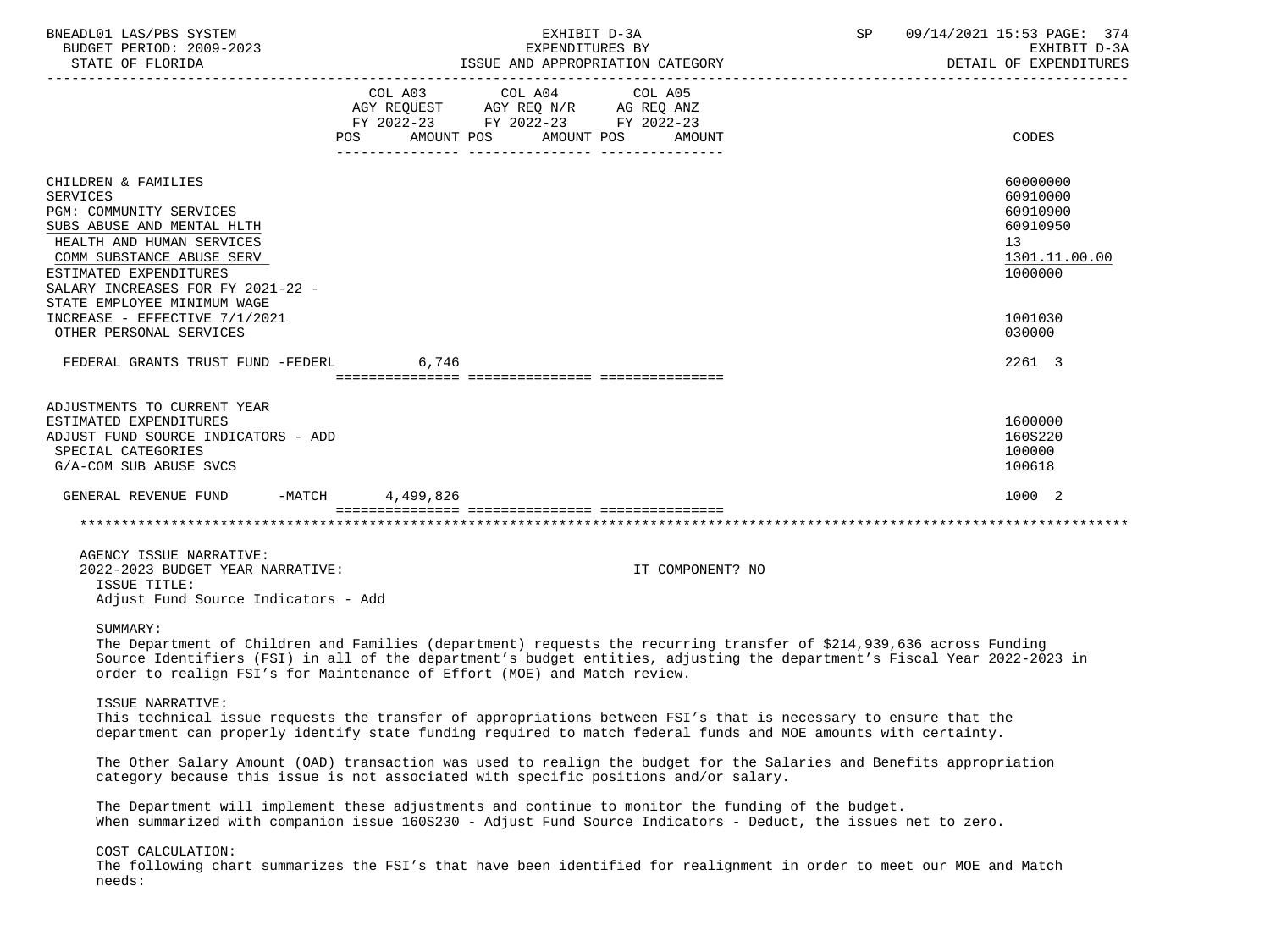| BNEADL01 LAS/PBS SYSTEM<br>BUDGET PERIOD: 2009-2023<br>STATE OF FLORIDA                                                                                                                                                                                 | EXHIBIT D-3A<br>SP<br>EXPENDITURES BY<br>ISSUE AND APPROPRIATION CATEGORY                                                                                                                                                                                                                                                    | 09/14/2021 15:53 PAGE: 374<br>EXHIBIT D-3A<br>DETAIL OF EXPENDITURES           |
|---------------------------------------------------------------------------------------------------------------------------------------------------------------------------------------------------------------------------------------------------------|------------------------------------------------------------------------------------------------------------------------------------------------------------------------------------------------------------------------------------------------------------------------------------------------------------------------------|--------------------------------------------------------------------------------|
|                                                                                                                                                                                                                                                         | FY 2022-23 FY 2022-23 FY 2022-23<br>AMOUNT POS AMOUNT POS<br>AMOUNT                                                                                                                                                                                                                                                          | CODES                                                                          |
| CHILDREN & FAMILIES<br><b>SERVICES</b><br>PGM: COMMUNITY SERVICES<br>SUBS ABUSE AND MENTAL HLTH<br>HEALTH AND HUMAN SERVICES<br>COMM SUBSTANCE ABUSE SERV<br>ESTIMATED EXPENDITURES<br>SALARY INCREASES FOR FY 2021-22 -<br>STATE EMPLOYEE MINIMUM WAGE |                                                                                                                                                                                                                                                                                                                              | 60000000<br>60910000<br>60910900<br>60910950<br>13<br>1301.11.00.00<br>1000000 |
| INCREASE - EFFECTIVE 7/1/2021<br>OTHER PERSONAL SERVICES                                                                                                                                                                                                |                                                                                                                                                                                                                                                                                                                              | 1001030<br>030000                                                              |
| FEDERAL GRANTS TRUST FUND -FEDERL                                                                                                                                                                                                                       | 6,746                                                                                                                                                                                                                                                                                                                        | 2261 3                                                                         |
| ADJUSTMENTS TO CURRENT YEAR<br>ESTIMATED EXPENDITURES<br>ADJUST FUND SOURCE INDICATORS - ADD<br>SPECIAL CATEGORIES<br>G/A-COM SUB ABUSE SVCS                                                                                                            |                                                                                                                                                                                                                                                                                                                              | 1600000<br>160S220<br>100000<br>100618                                         |
| GENERAL REVENUE FUND -MATCH 4,499,826                                                                                                                                                                                                                   |                                                                                                                                                                                                                                                                                                                              | 1000 2                                                                         |
|                                                                                                                                                                                                                                                         |                                                                                                                                                                                                                                                                                                                              |                                                                                |
| AGENCY ISSUE NARRATIVE:<br>2022-2023 BUDGET YEAR NARRATIVE:<br>ISSUE TITLE:<br>Adjust Fund Source Indicators - Add                                                                                                                                      | IT COMPONENT? NO                                                                                                                                                                                                                                                                                                             |                                                                                |
| SUMMARY:                                                                                                                                                                                                                                                | The Department of Children and Families (department) requests the recurring transfer of \$214,939,636 across Funding<br>Source Identifiers (FSI) in all of the department's budget entities, adjusting the department's Fiscal Year 2022-2023 in<br>order to realign FSI's for Maintenance of Effort (MOE) and Match review. |                                                                                |
| ISSUE NARRATIVE:                                                                                                                                                                                                                                        | This technical issue requests the transfer of appropriations between FSI's that is necessary to ensure that the<br>department can properly identify state funding required to match federal funds and MOE amounts with certainty.                                                                                            |                                                                                |
|                                                                                                                                                                                                                                                         | The Other Salary Amount (OAD) transaction was used to realign the budget for the Salaries and Benefits appropriation<br>category because this issue is not associated with specific positions and/or salary.                                                                                                                 |                                                                                |
|                                                                                                                                                                                                                                                         | The Department will implement these adjustments and continue to monitor the funding of the budget.<br>When summarized with companion issue 160S230 - Adjust Fund Source Indicators - Deduct, the issues net to zero.                                                                                                         |                                                                                |
| COST CALCULATION:<br>needs:                                                                                                                                                                                                                             | The following chart summarizes the FSI's that have been identified for realignment in order to meet our MOE and Match                                                                                                                                                                                                        |                                                                                |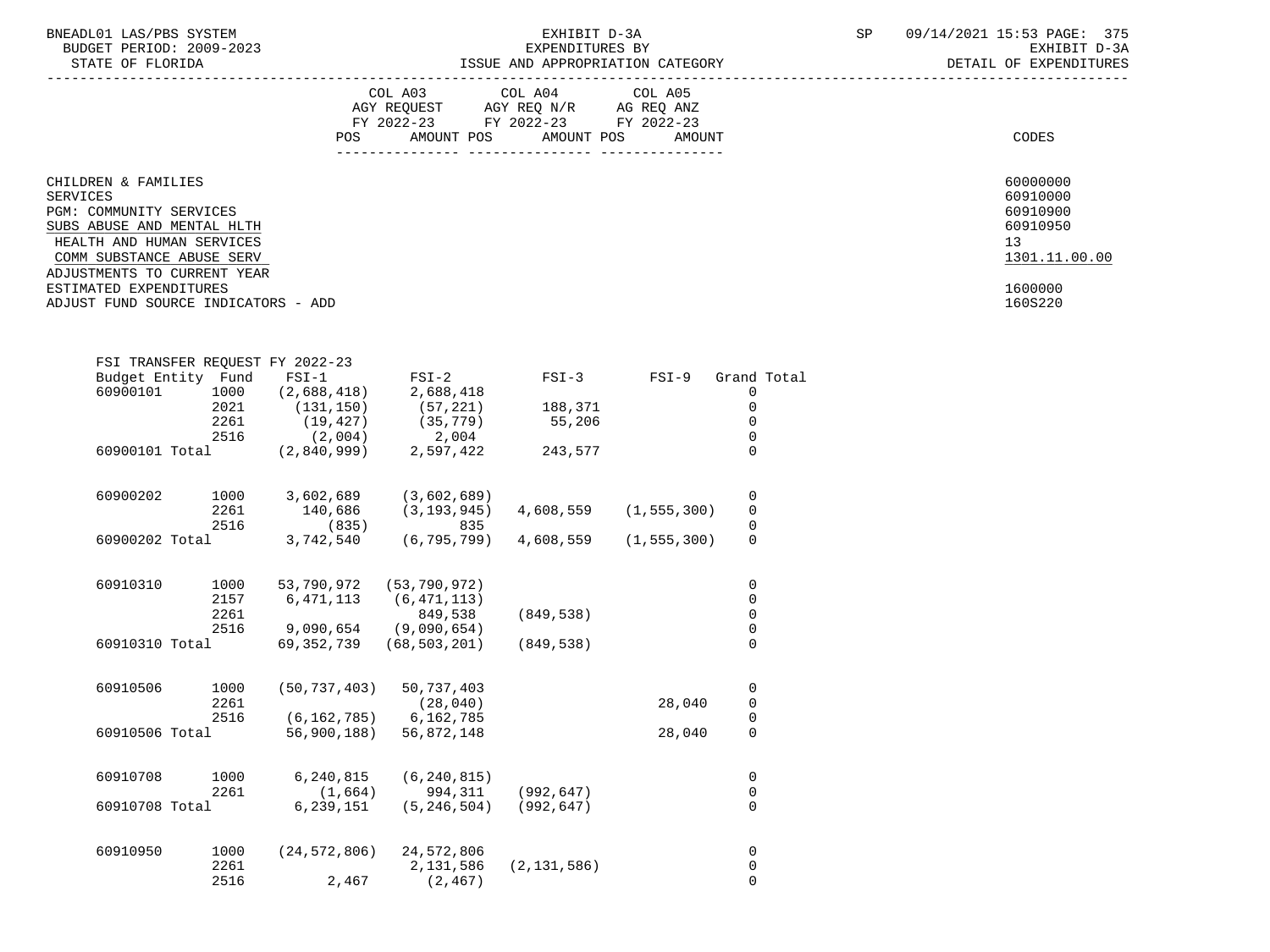| BNEADL01 LAS/PBS SYSTEM |                  |                          |  | EXHIBIT D-3A                     |  |
|-------------------------|------------------|--------------------------|--|----------------------------------|--|
|                         |                  | BUDGET PERIOD: 2009-2023 |  | EXPENDITURES BY                  |  |
|                         | STATE OF FLORIDA |                          |  | ISSUE AND APPROPRIATION CATEGORY |  |

# ADL01 LAS/PBS SYSTEM<br>BXHIBIT D-3A SP 09/14/2021 15:53 PAGE: 375<br>EXPENDITURES BY SEXALL STRAND STRANDER SPRINGER SPRINGER TO A BUDGET PERIOD: 2009-2023 EXPENDITURES BY EXHIBIT D-3A

|                                                                                                                                                                                   | COL A03<br>AGY REQUEST<br>$FY$ 2022-23<br>AMOUNT POS<br>POS | COL A04<br>AGY REQ N/R<br>FY 2022-23<br>AMOUNT POS | COL A05<br>AG REQ ANZ<br>FY 2022-23<br>AMOUNT |    | CODES                                                         |
|-----------------------------------------------------------------------------------------------------------------------------------------------------------------------------------|-------------------------------------------------------------|----------------------------------------------------|-----------------------------------------------|----|---------------------------------------------------------------|
| CHILDREN & FAMILIES<br>SERVICES<br>PGM: COMMUNITY SERVICES<br>SUBS ABUSE AND MENTAL HLTH<br>HEALTH AND HUMAN SERVICES<br>COMM SUBSTANCE ABUSE SERV<br>ADJUSTMENTS TO CURRENT YEAR |                                                             |                                                    |                                               | 13 | 60000000<br>60910000<br>60910900<br>60910950<br>1301.11.00.00 |
| ESTIMATED EXPENDITURES<br>ADJUST FUND SOURCE INDICATORS - ADD                                                                                                                     |                                                             |                                                    |                                               |    | 1600000<br>160S220                                            |

|          |      | $FSI-1$                                                                                                              | $FSI-2$                                                 | $FSI-3$                                   | $FSI-9$   | Grand Total         |                                                                                                                                                                                         |
|----------|------|----------------------------------------------------------------------------------------------------------------------|---------------------------------------------------------|-------------------------------------------|-----------|---------------------|-----------------------------------------------------------------------------------------------------------------------------------------------------------------------------------------|
| 60900101 | 1000 | (2,688,418)                                                                                                          | 2,688,418                                               |                                           |           | 0                   |                                                                                                                                                                                         |
|          | 2021 | (131, 150)                                                                                                           | (57, 221)                                               | 188,371                                   |           | $\mathsf{O}\xspace$ |                                                                                                                                                                                         |
|          | 2261 | (19, 427)                                                                                                            | (35, 779)                                               | 55,206                                    |           | 0                   |                                                                                                                                                                                         |
|          | 2516 | (2,004)                                                                                                              | 2,004                                                   |                                           |           | 0                   |                                                                                                                                                                                         |
|          |      | (2,840,999)                                                                                                          | 2,597,422                                               | 243,577                                   |           | 0                   |                                                                                                                                                                                         |
| 60900202 |      |                                                                                                                      |                                                         |                                           |           |                     |                                                                                                                                                                                         |
|          | 2261 |                                                                                                                      |                                                         |                                           |           |                     |                                                                                                                                                                                         |
|          | 2516 | (835)                                                                                                                | 835                                                     |                                           |           |                     |                                                                                                                                                                                         |
|          |      | 3,742,540                                                                                                            | (6, 795, 799)                                           | 4,608,559                                 |           | $\mathbf 0$         |                                                                                                                                                                                         |
| 60910310 | 1000 | 53,790,972                                                                                                           | (53, 790, 972)                                          |                                           |           | 0                   |                                                                                                                                                                                         |
|          | 2157 | 6,471,113                                                                                                            | (6, 471, 113)                                           |                                           |           | $\mathsf 0$         |                                                                                                                                                                                         |
|          | 2261 |                                                                                                                      | 849,538                                                 | (849, 538)                                |           |                     |                                                                                                                                                                                         |
|          | 2516 | 9,090,654                                                                                                            | (9,090,654)                                             |                                           |           |                     |                                                                                                                                                                                         |
|          |      | 69, 352, 739                                                                                                         | (68, 503, 201)                                          | (849, 538)                                |           | $\overline{0}$      |                                                                                                                                                                                         |
| 60910506 | 1000 | (50, 737, 403)                                                                                                       | 50,737,403                                              |                                           |           |                     |                                                                                                                                                                                         |
|          | 2261 |                                                                                                                      |                                                         |                                           |           |                     |                                                                                                                                                                                         |
|          | 2516 | (6, 162, 785)                                                                                                        | 6,162,785                                               |                                           |           |                     |                                                                                                                                                                                         |
|          |      | 56,900,188)                                                                                                          | 56,872,148                                              |                                           | 28,040    | $\overline{0}$      |                                                                                                                                                                                         |
| 60910708 | 1000 | 6,240,815                                                                                                            | (6, 240, 815)                                           |                                           |           | 0                   |                                                                                                                                                                                         |
|          | 2261 | (1,664)                                                                                                              | 994,311                                                 | (992, 647)                                |           | $\mathsf 0$         |                                                                                                                                                                                         |
|          |      | 6,239,151                                                                                                            | (5, 246, 504)                                           | (992, 647)                                |           | $\overline{0}$      |                                                                                                                                                                                         |
| 60910950 | 1000 | (24, 572, 806)                                                                                                       | 24,572,806                                              |                                           |           | 0                   |                                                                                                                                                                                         |
|          | 2261 |                                                                                                                      | 2,131,586                                               | (2, 131, 586)                             |           |                     |                                                                                                                                                                                         |
|          | 2516 | 2,467                                                                                                                | (2, 467)                                                |                                           |           | $\overline{0}$      |                                                                                                                                                                                         |
|          |      | Budget Entity Fund<br>60900101 Total<br>1000<br>60900202 Total<br>60910310 Total<br>60910506 Total<br>60910708 Total | FSI TRANSFER REOUEST FY 2022-23<br>3,602,689<br>140,686 | (3,602,689)<br>(3, 193, 945)<br>(28, 040) | 4,608,559 | 28,040              | 0<br>$\mathsf{O}\xspace$<br>(1, 555, 300)<br>$\mathsf{O}\xspace$<br>(1, 555, 300)<br>$\mathsf{O}\xspace$<br>$\pmb{0}$<br>$\mathsf 0$<br>$\mathsf{O}\xspace$<br>$\mathsf 0$<br>$\pmb{0}$ |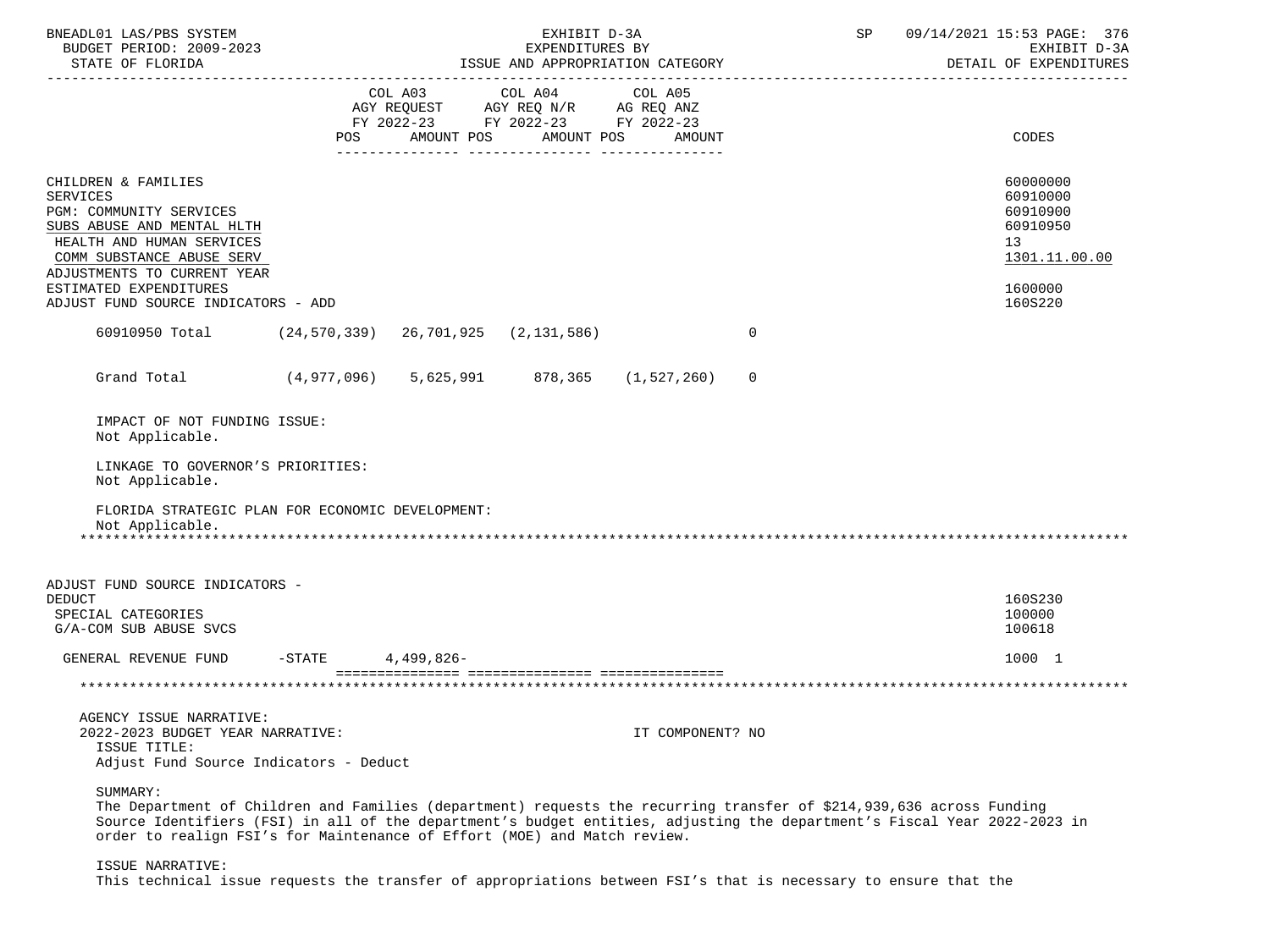| BNEADL01 LAS/PBS SYSTEM<br>BUDGET PERIOD: 2009-2023<br>STATE OF FLORIDA<br>---------------------                                                                                                                   |                                                   |            | EXHIBIT D-3A<br>EXPENDITURES BY                                                                                 | ISSUE AND APPROPRIATION CATEGORY |             | 09/14/2021 15:53 PAGE: 376<br>SP<br>EXHIBIT D-3A<br>DETAIL OF EXPENDITURES                                           |
|--------------------------------------------------------------------------------------------------------------------------------------------------------------------------------------------------------------------|---------------------------------------------------|------------|-----------------------------------------------------------------------------------------------------------------|----------------------------------|-------------|----------------------------------------------------------------------------------------------------------------------|
|                                                                                                                                                                                                                    | POS                                               | AMOUNT POS | COL A03 COL A04 COL A05<br>AGY REQUEST AGY REQ N/R AG REQ ANZ<br>FY 2022-23 FY 2022-23 FY 2022-23<br>AMOUNT POS | AMOUNT                           |             | <b>CODES</b>                                                                                                         |
| CHILDREN & FAMILIES<br><b>SERVICES</b><br>PGM: COMMUNITY SERVICES<br>SUBS ABUSE AND MENTAL HLTH<br>HEALTH AND HUMAN SERVICES<br>COMM SUBSTANCE ABUSE SERV<br>ADJUSTMENTS TO CURRENT YEAR<br>ESTIMATED EXPENDITURES |                                                   |            |                                                                                                                 |                                  |             | 60000000<br>60910000<br>60910900<br>60910950<br>13<br>1301.11.00.00<br>1600000                                       |
| ADJUST FUND SOURCE INDICATORS - ADD                                                                                                                                                                                |                                                   |            |                                                                                                                 |                                  |             | 160S220                                                                                                              |
| 60910950 Total (24,570,339) 26,701,925 (2,131,586)                                                                                                                                                                 |                                                   |            |                                                                                                                 |                                  | $\mathbf 0$ |                                                                                                                      |
| Grand Total                                                                                                                                                                                                        | $(4,977,096)$ $5,625,991$ $878,365$ $(1,527,260)$ |            |                                                                                                                 |                                  | $\mathbf 0$ |                                                                                                                      |
| IMPACT OF NOT FUNDING ISSUE:<br>Not Applicable.                                                                                                                                                                    |                                                   |            |                                                                                                                 |                                  |             |                                                                                                                      |
| LINKAGE TO GOVERNOR'S PRIORITIES:<br>Not Applicable.                                                                                                                                                               |                                                   |            |                                                                                                                 |                                  |             |                                                                                                                      |
| FLORIDA STRATEGIC PLAN FOR ECONOMIC DEVELOPMENT:<br>Not Applicable.                                                                                                                                                |                                                   |            |                                                                                                                 |                                  |             |                                                                                                                      |
| ADJUST FUND SOURCE INDICATORS -<br><b>DEDUCT</b><br>SPECIAL CATEGORIES                                                                                                                                             |                                                   |            |                                                                                                                 |                                  |             | 160S230<br>100000                                                                                                    |
| G/A-COM SUB ABUSE SVCS                                                                                                                                                                                             |                                                   |            |                                                                                                                 |                                  |             | 100618                                                                                                               |
| GENERAL REVENUE FUND                                                                                                                                                                                               | $-$ STATE                                         | 4,499,826- |                                                                                                                 |                                  |             | 1000 1                                                                                                               |
|                                                                                                                                                                                                                    |                                                   |            |                                                                                                                 |                                  |             |                                                                                                                      |
| AGENCY ISSUE NARRATIVE:<br>2022-2023 BUDGET YEAR NARRATIVE:<br>ISSUE TITLE:<br>Adjust Fund Source Indicators - Deduct                                                                                              |                                                   |            |                                                                                                                 | IT COMPONENT? NO                 |             |                                                                                                                      |
| SUMMARY:                                                                                                                                                                                                           |                                                   |            |                                                                                                                 |                                  |             | The Department of Children and Families (department) requests the recurring transfer of \$214,939,636 across Funding |

 Source Identifiers (FSI) in all of the department's budget entities, adjusting the department's Fiscal Year 2022-2023 in order to realign FSI's for Maintenance of Effort (MOE) and Match review.

ISSUE NARRATIVE:

This technical issue requests the transfer of appropriations between FSI's that is necessary to ensure that the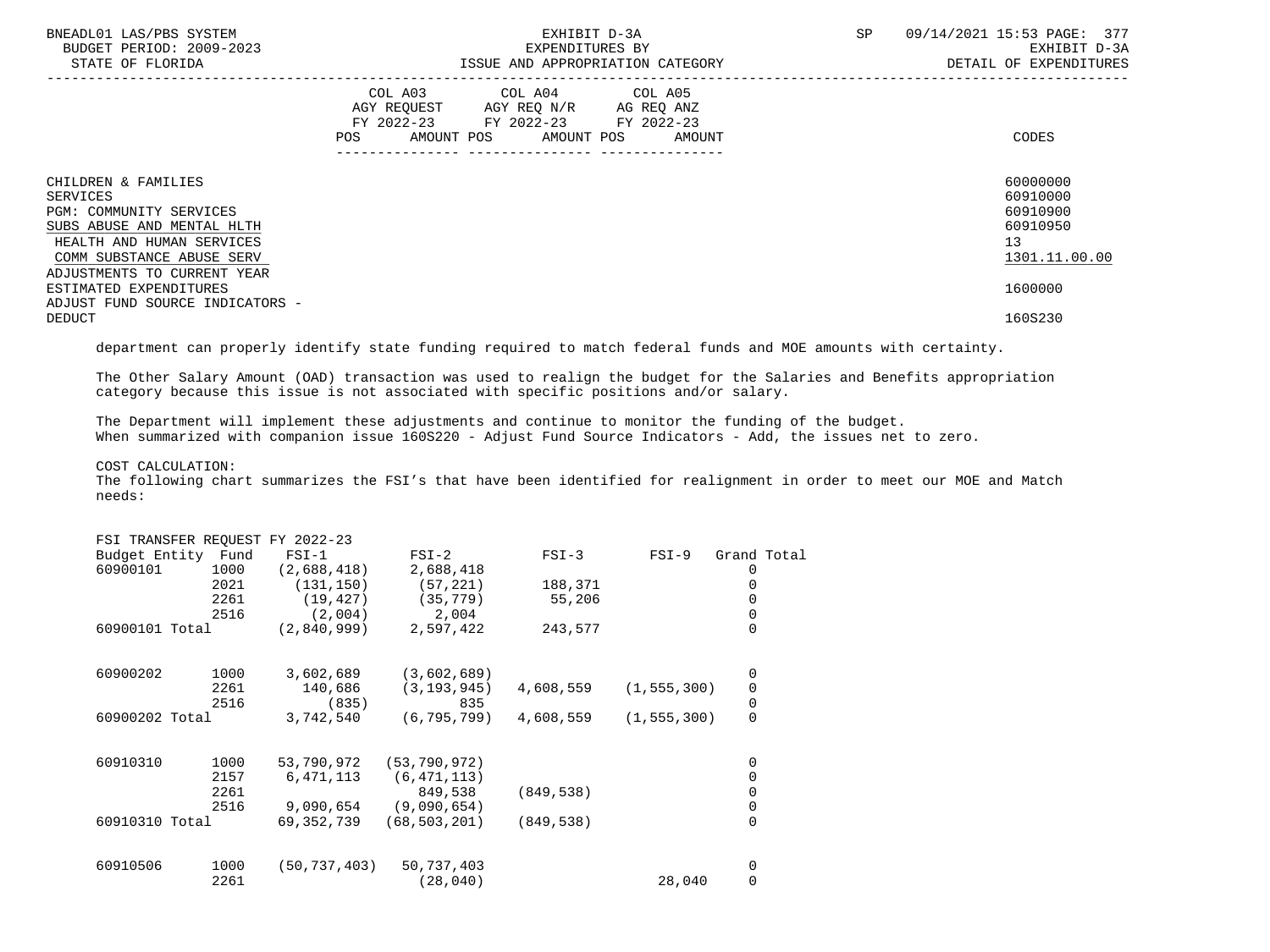| BNEADL01 LAS/PBS SYSTEM<br>BUDGET PERIOD: 2009-2023<br>STATE OF FLORIDA                                                                            | EXHIBIT D-3A<br>EXPENDITURES BY<br>ISSUE AND APPROPRIATION CATEGORY                                                                   | 09/14/2021 15:53 PAGE: 377<br>SP<br>EXHIBIT D-3A<br>DETAIL OF EXPENDITURES |
|----------------------------------------------------------------------------------------------------------------------------------------------------|---------------------------------------------------------------------------------------------------------------------------------------|----------------------------------------------------------------------------|
|                                                                                                                                                    | COL A03 COL A04 COL A05<br>AGY REQUEST AGY REQ N/R AG REQ ANZ<br>FY 2022-23 FY 2022-23 FY 2022-23<br>POS AMOUNT POS AMOUNT POS AMOUNT | CODES                                                                      |
| CHILDREN & FAMILIES<br>SERVICES<br>PGM: COMMUNITY SERVICES<br>SUBS ABUSE AND MENTAL HLTH<br>HEALTH AND HUMAN SERVICES<br>COMM SUBSTANCE ABUSE SERV |                                                                                                                                       | 60000000<br>60910000<br>60910900<br>60910950<br>13<br>1301.11.00.00        |
| ADJUSTMENTS TO CURRENT YEAR<br>ESTIMATED EXPENDITURES<br>ADJUST FUND SOURCE INDICATORS -<br><b>DEDUCT</b>                                          |                                                                                                                                       | 1600000<br>160S230                                                         |

department can properly identify state funding required to match federal funds and MOE amounts with certainty.

 The Other Salary Amount (OAD) transaction was used to realign the budget for the Salaries and Benefits appropriation category because this issue is not associated with specific positions and/or salary.

 The Department will implement these adjustments and continue to monitor the funding of the budget. When summarized with companion issue 160S220 - Adjust Fund Source Indicators - Add, the issues net to zero.

COST CALCULATION:

 The following chart summarizes the FSI's that have been identified for realignment in order to meet our MOE and Match needs:

| FSI TRANSFER REQUEST FY 2022-23 |      |                |                |            |               |                |  |
|---------------------------------|------|----------------|----------------|------------|---------------|----------------|--|
| Budget Entity Fund              |      | $FSI-1$        | $FSI-2$        | $FSI-3$    | FSI-9         | Grand Total    |  |
| 60900101                        | 1000 | (2,688,418)    | 2,688,418      |            |               | 0              |  |
|                                 | 2021 | (131, 150)     | (57, 221)      | 188,371    |               |                |  |
|                                 | 2261 | (19, 427)      | (35, 779)      | 55,206     |               | 0              |  |
|                                 | 2516 | (2,004)        | 2,004          |            |               | 0              |  |
| 60900101 Total                  |      | (2,840,999)    | 2,597,422      | 243,577    |               | 0              |  |
| 60900202                        | 1000 | 3,602,689      | (3,602,689)    |            |               | 0              |  |
|                                 | 2261 | 140,686        | (3, 193, 945)  | 4,608,559  | (1, 555, 300) | 0              |  |
|                                 | 2516 | (835)          | 835            |            |               | $\pmb{0}$      |  |
| 60900202 Total                  |      | 3,742,540      | (6, 795, 799)  | 4,608,559  | (1, 555, 300) | $\overline{0}$ |  |
| 60910310                        | 1000 | 53,790,972     | (53, 790, 972) |            |               | 0              |  |
|                                 | 2157 | 6,471,113      | (6, 471, 113)  |            |               | 0              |  |
|                                 | 2261 |                | 849,538        | (849, 538) |               | 0              |  |
|                                 | 2516 | 9,090,654      | (9,090,654)    |            |               | 0              |  |
| 60910310 Total                  |      | 69,352,739     | (68, 503, 201) | (849, 538) |               | $\Omega$       |  |
| 60910506                        | 1000 | (50, 737, 403) | 50,737,403     |            |               | 0              |  |
|                                 | 2261 |                | (28, 040)      |            | 28,040        | 0              |  |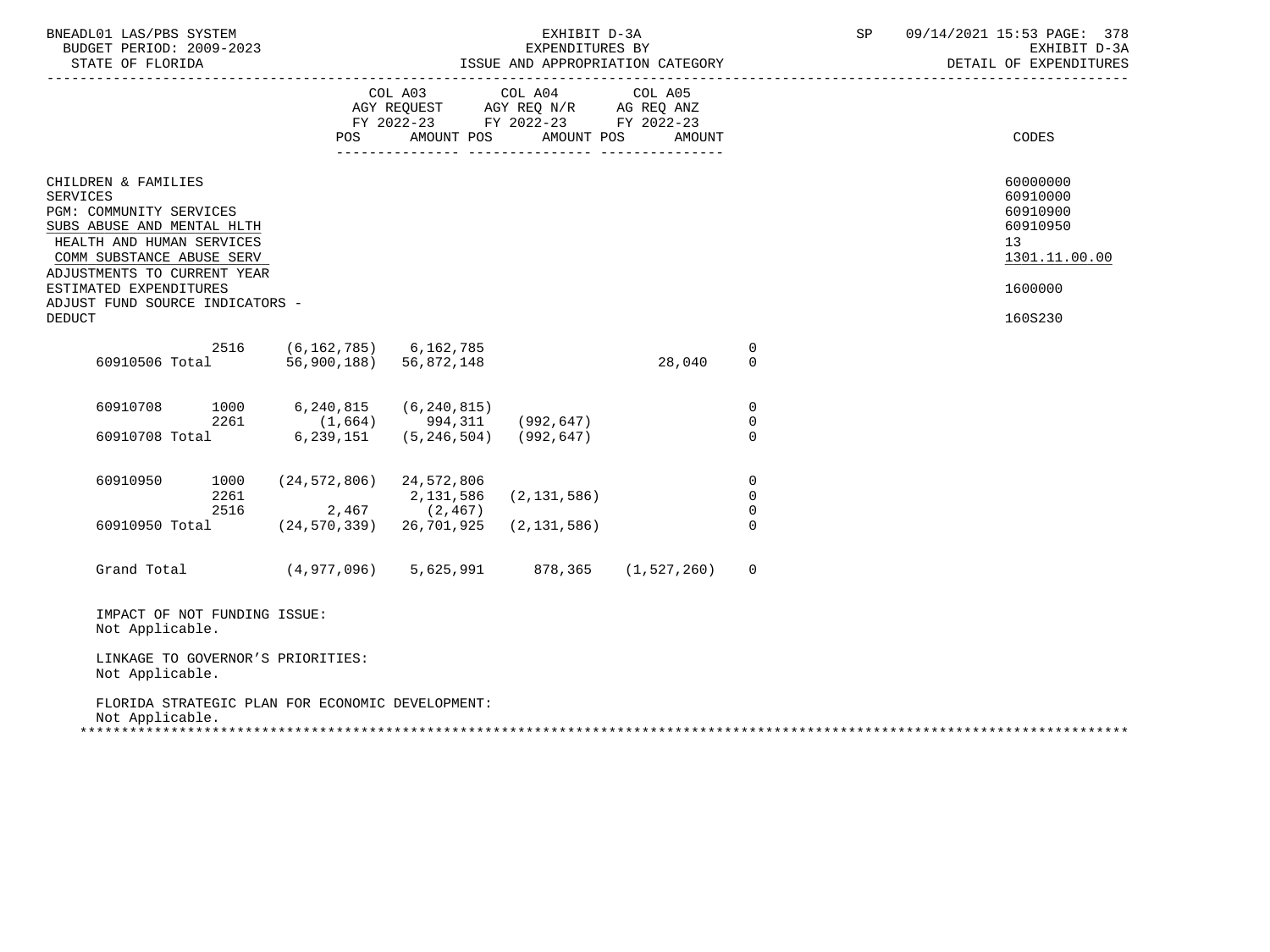| BNEADL01 LAS/PBS SYSTEM<br>BUDGET PERIOD: 2009-2023<br>STATE OF FLORIDA                                                                                                                                                                                                |                                                                                                |                                                                           | EXHIBIT D-3A                                                                                                    | EXPENDITURES BY<br>ISSUE AND APPROPRIATION CATEGORY |                                                             | SP | 09/14/2021 15:53 PAGE: 378<br>EXHIBIT D-3A<br>DETAIL OF EXPENDITURES                      |
|------------------------------------------------------------------------------------------------------------------------------------------------------------------------------------------------------------------------------------------------------------------------|------------------------------------------------------------------------------------------------|---------------------------------------------------------------------------|-----------------------------------------------------------------------------------------------------------------|-----------------------------------------------------|-------------------------------------------------------------|----|-------------------------------------------------------------------------------------------|
|                                                                                                                                                                                                                                                                        | POS                                                                                            | AMOUNT POS                                                                | COL A03 COL A04 COL A05<br>AGY REQUEST AGY REQ N/R AG REQ ANZ<br>FY 2022-23 FY 2022-23 FY 2022-23<br>AMOUNT POS | AMOUNT                                              |                                                             |    | CODES                                                                                     |
| CHILDREN & FAMILIES<br><b>SERVICES</b><br>PGM: COMMUNITY SERVICES<br>SUBS ABUSE AND MENTAL HLTH<br>HEALTH AND HUMAN SERVICES<br>COMM SUBSTANCE ABUSE SERV<br>ADJUSTMENTS TO CURRENT YEAR<br>ESTIMATED EXPENDITURES<br>ADJUST FUND SOURCE INDICATORS -<br><b>DEDUCT</b> |                                                                                                |                                                                           |                                                                                                                 |                                                     |                                                             |    | 60000000<br>60910000<br>60910900<br>60910950<br>13<br>1301.11.00.00<br>1600000<br>160S230 |
| 2516<br>60910506 Total                                                                                                                                                                                                                                                 | $(6, 162, 785)$ 6, 162, 785<br>56,900,188)                                                     | 56,872,148                                                                |                                                                                                                 | 28,040                                              | $\overline{0}$<br>$\Omega$                                  |    |                                                                                           |
| 60910708<br>2261<br>60910708 Total                                                                                                                                                                                                                                     | 1000 6,240,815<br>6,239,151                                                                    | (6, 240, 815)<br>$(1,664)$ 994,311 (992,647)<br>$(5, 246, 504)$ (992,647) |                                                                                                                 |                                                     | $\overline{0}$<br>$\mathbf 0$<br>$\Omega$                   |    |                                                                                           |
| 60910950<br>2261<br>2516<br>60910950 Total                                                                                                                                                                                                                             | 1000 (24,572,806) 24,572,806<br>$2,467$ (2,467)<br>$(24, 570, 339)$ 26, 701, 925 (2, 131, 586) | 2,131,586                                                                 | (2, 131, 586)                                                                                                   |                                                     | $\overline{0}$<br>$\overline{0}$<br>$\mathbf 0$<br>$\Omega$ |    |                                                                                           |
| Grand Total (4,977,096) 5,625,991 878,365 (1,527,260)                                                                                                                                                                                                                  |                                                                                                |                                                                           |                                                                                                                 |                                                     | 0                                                           |    |                                                                                           |
| IMPACT OF NOT FUNDING ISSUE:<br>Not Applicable.                                                                                                                                                                                                                        |                                                                                                |                                                                           |                                                                                                                 |                                                     |                                                             |    |                                                                                           |
| LINKAGE TO GOVERNOR'S PRIORITIES:<br>Not Applicable.                                                                                                                                                                                                                   |                                                                                                |                                                                           |                                                                                                                 |                                                     |                                                             |    |                                                                                           |
| FLORIDA STRATEGIC PLAN FOR ECONOMIC DEVELOPMENT:<br>Not Applicable.                                                                                                                                                                                                    |                                                                                                |                                                                           |                                                                                                                 |                                                     |                                                             |    |                                                                                           |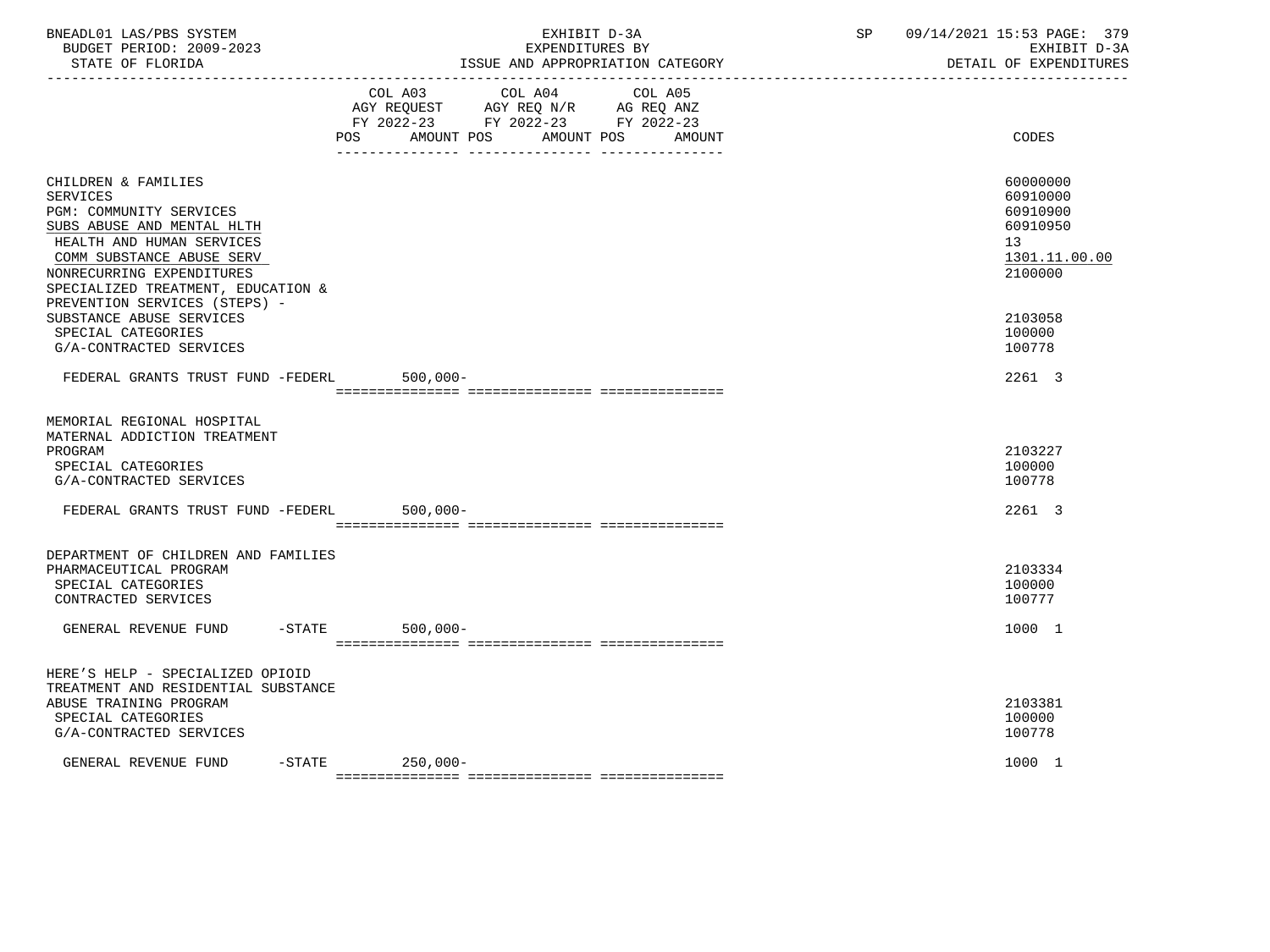| BNEADL01 LAS/PBS SYSTEM<br>BUDGET PERIOD: 2009-2023<br>STATE OF FLORIDA                                                                                                                                                                                                                                         | EXHIBIT D-3A<br>EXPENDITURES BY<br>ISSUE AND APPROPRIATION CATEGORY                                                                   | SP<br>09/14/2021 15:53 PAGE: 379<br>EXHIBIT D-3A<br>DETAIL OF EXPENDITURES                          |
|-----------------------------------------------------------------------------------------------------------------------------------------------------------------------------------------------------------------------------------------------------------------------------------------------------------------|---------------------------------------------------------------------------------------------------------------------------------------|-----------------------------------------------------------------------------------------------------|
|                                                                                                                                                                                                                                                                                                                 | COL A03 COL A04 COL A05<br>AGY REQUEST AGY REQ N/R AG REQ ANZ<br>FY 2022-23 FY 2022-23 FY 2022-23<br>POS AMOUNT POS AMOUNT POS AMOUNT | CODES                                                                                               |
| CHILDREN & FAMILIES<br><b>SERVICES</b><br>PGM: COMMUNITY SERVICES<br>SUBS ABUSE AND MENTAL HLTH<br>HEALTH AND HUMAN SERVICES<br>COMM SUBSTANCE ABUSE SERV<br>NONRECURRING EXPENDITURES<br>SPECIALIZED TREATMENT, EDUCATION &<br>PREVENTION SERVICES (STEPS) -<br>SUBSTANCE ABUSE SERVICES<br>SPECIAL CATEGORIES |                                                                                                                                       | 60000000<br>60910000<br>60910900<br>60910950<br>13<br>1301.11.00.00<br>2100000<br>2103058<br>100000 |
| G/A-CONTRACTED SERVICES<br>FEDERAL GRANTS TRUST FUND -FEDERL                                                                                                                                                                                                                                                    | $500,000 -$                                                                                                                           | 100778<br>2261 3                                                                                    |
| MEMORIAL REGIONAL HOSPITAL<br>MATERNAL ADDICTION TREATMENT<br>PROGRAM<br>SPECIAL CATEGORIES<br>G/A-CONTRACTED SERVICES<br>FEDERAL GRANTS TRUST FUND -FEDERL                                                                                                                                                     | $500,000 -$                                                                                                                           | 2103227<br>100000<br>100778<br>2261 3                                                               |
| DEPARTMENT OF CHILDREN AND FAMILIES<br>PHARMACEUTICAL PROGRAM<br>SPECIAL CATEGORIES<br>CONTRACTED SERVICES                                                                                                                                                                                                      |                                                                                                                                       | 2103334<br>100000<br>100777                                                                         |
| $-STATE$<br>GENERAL REVENUE FUND                                                                                                                                                                                                                                                                                | $500,000 -$                                                                                                                           | 1000 1                                                                                              |
| HERE'S HELP - SPECIALIZED OPIOID<br>TREATMENT AND RESIDENTIAL SUBSTANCE<br>ABUSE TRAINING PROGRAM<br>SPECIAL CATEGORIES<br>G/A-CONTRACTED SERVICES<br>GENERAL REVENUE FUND                                                                                                                                      | -STATE 250,000-                                                                                                                       | 2103381<br>100000<br>100778<br>1000 1                                                               |
|                                                                                                                                                                                                                                                                                                                 |                                                                                                                                       |                                                                                                     |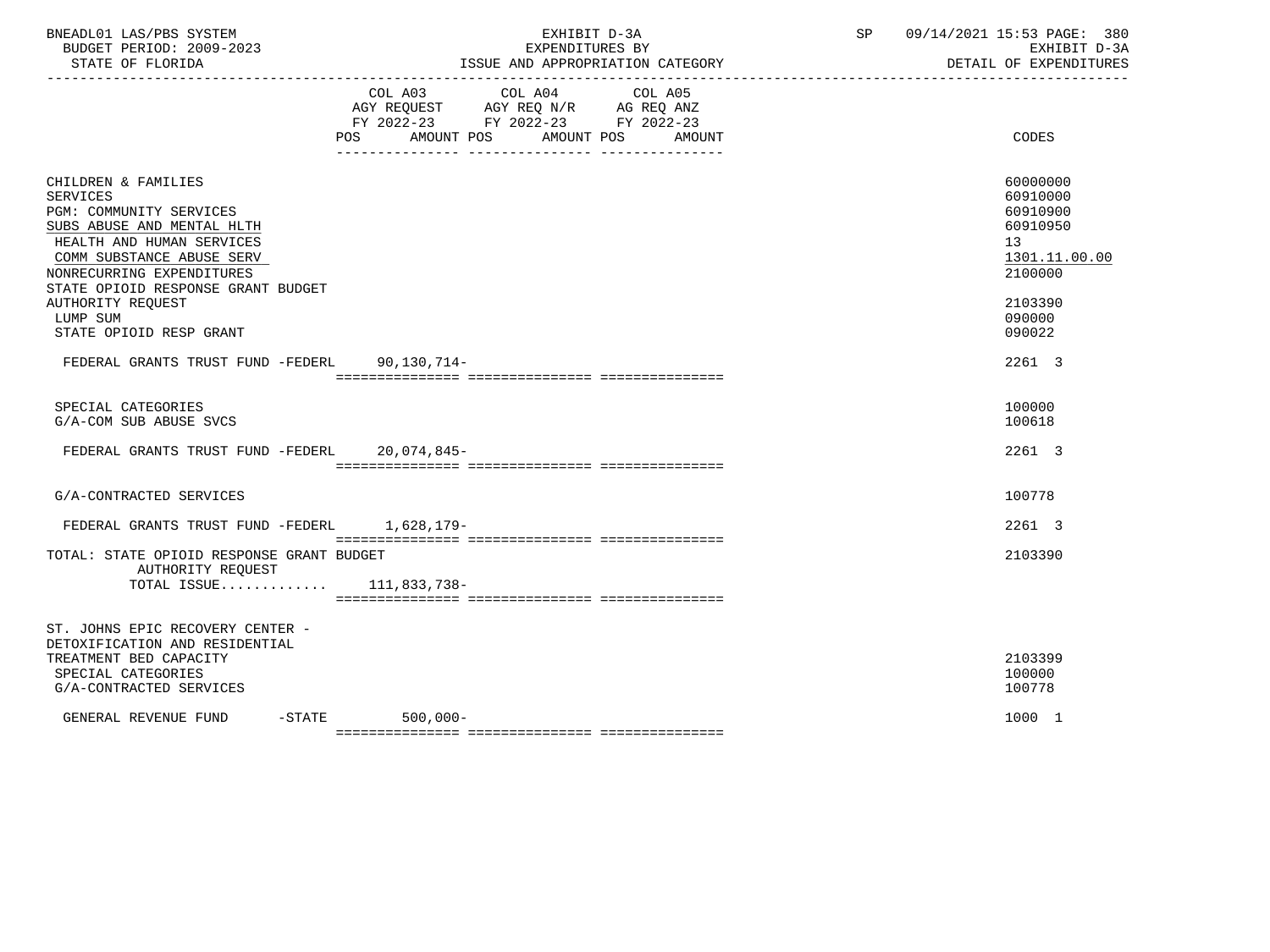| BNEADL01 LAS/PBS SYSTEM<br>BUDGET PERIOD: 2009-2023<br>STATE OF FLORIDA                                                                                                                                                                                                                         | EXHIBIT D-3A<br>EXPENDITURES BY<br>ISSUE AND APPROPRIATION CATEGORY                                                               | SP     | 09/14/2021 15:53 PAGE: 380<br>EXHIBIT D-3A<br>DETAIL OF EXPENDITURES                                          |
|-------------------------------------------------------------------------------------------------------------------------------------------------------------------------------------------------------------------------------------------------------------------------------------------------|-----------------------------------------------------------------------------------------------------------------------------------|--------|---------------------------------------------------------------------------------------------------------------|
|                                                                                                                                                                                                                                                                                                 | COL A03 COL A04<br>COL A05<br>AGY REQUEST AGY REQ N/R AG REQ ANZ<br>FY 2022-23 FY 2022-23 FY 2022-23<br>POS AMOUNT POS AMOUNT POS | AMOUNT | CODES                                                                                                         |
| CHILDREN & FAMILIES<br><b>SERVICES</b><br>PGM: COMMUNITY SERVICES<br>SUBS ABUSE AND MENTAL HLTH<br>HEALTH AND HUMAN SERVICES<br>COMM SUBSTANCE ABUSE SERV<br>NONRECURRING EXPENDITURES<br>STATE OPIOID RESPONSE GRANT BUDGET<br><b>AUTHORITY REQUEST</b><br>LUMP SUM<br>STATE OPIOID RESP GRANT |                                                                                                                                   |        | 60000000<br>60910000<br>60910900<br>60910950<br>13<br>1301.11.00.00<br>2100000<br>2103390<br>090000<br>090022 |
| FEDERAL GRANTS TRUST FUND -FEDERL 90,130,714-                                                                                                                                                                                                                                                   |                                                                                                                                   |        | 2261 3                                                                                                        |
| SPECIAL CATEGORIES<br>G/A-COM SUB ABUSE SVCS                                                                                                                                                                                                                                                    |                                                                                                                                   |        | 100000<br>100618                                                                                              |
| FEDERAL GRANTS TRUST FUND -FEDERL 20,074,845-                                                                                                                                                                                                                                                   |                                                                                                                                   |        | 2261 3                                                                                                        |
| G/A-CONTRACTED SERVICES                                                                                                                                                                                                                                                                         |                                                                                                                                   |        | 100778                                                                                                        |
| FEDERAL GRANTS TRUST FUND -FEDERL 1,628,179-                                                                                                                                                                                                                                                    |                                                                                                                                   |        | 2261 3                                                                                                        |
| TOTAL: STATE OPIOID RESPONSE GRANT BUDGET<br>AUTHORITY REOUEST<br>TOTAL ISSUE $111,833,738-$                                                                                                                                                                                                    |                                                                                                                                   |        | 2103390                                                                                                       |
| ST. JOHNS EPIC RECOVERY CENTER -<br>DETOXIFICATION AND RESIDENTIAL<br>TREATMENT BED CAPACITY<br>SPECIAL CATEGORIES<br>G/A-CONTRACTED SERVICES                                                                                                                                                   |                                                                                                                                   |        | 2103399<br>100000<br>100778                                                                                   |
| GENERAL REVENUE FUND                                                                                                                                                                                                                                                                            | $-STATE$ 500,000-                                                                                                                 |        | 1000 1                                                                                                        |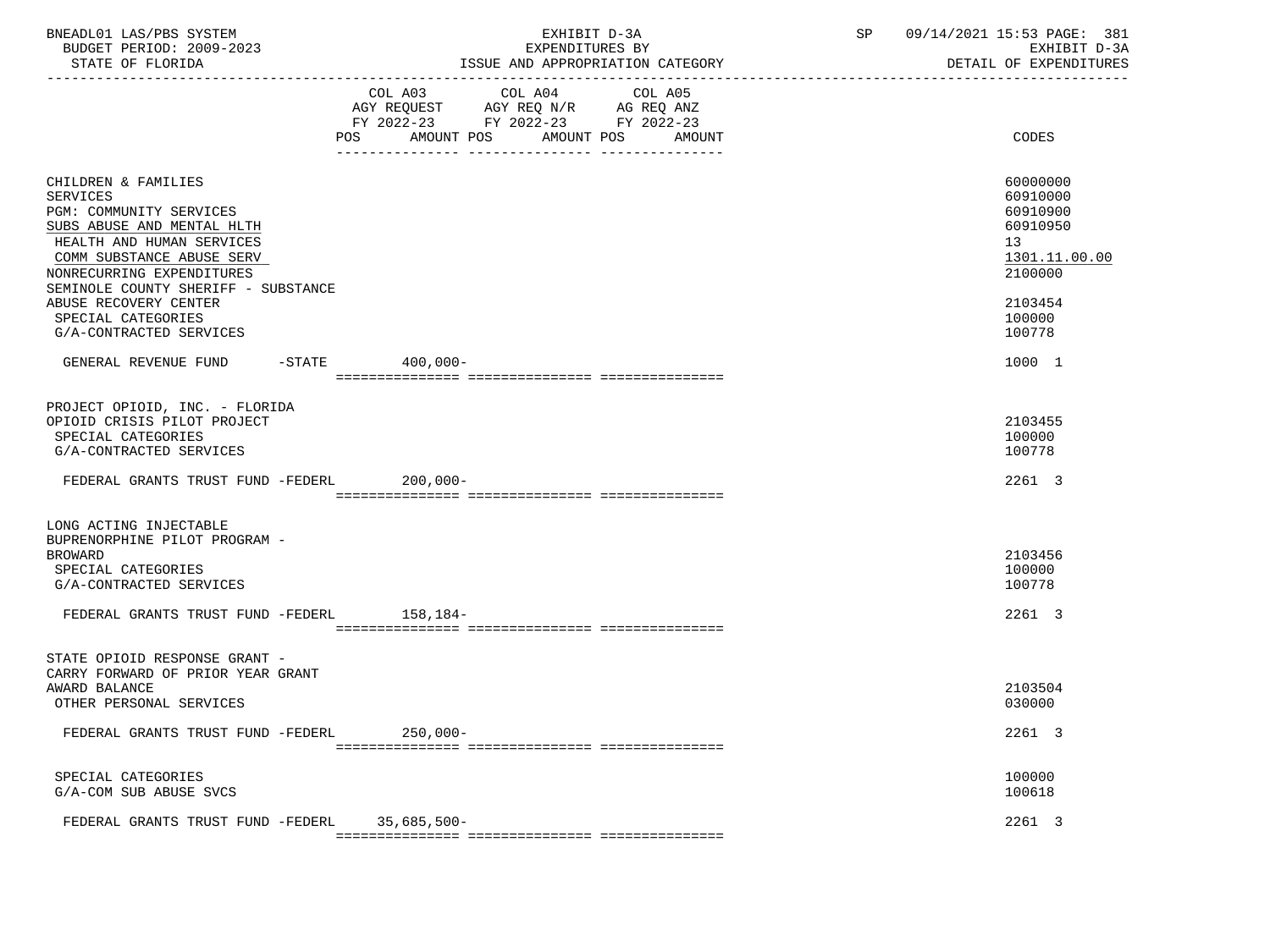| BNEADL01 LAS/PBS SYSTEM<br>BUDGET PERIOD: 2009-2023<br>STATE OF FLORIDA                                                                                                                                                                                                      | EXHIBIT D-3A<br>EXPENDITURES BY<br>ISSUE AND APPROPRIATION CATEGORY<br>---------------                                                                      | SP and the set of the set of the set of the set of the set of the set of the set of the set of the set of the set of the set of the set of the set of the set of the set of the set of the set of the set of the set of the se | 09/14/2021 15:53 PAGE: 381<br>EXHIBIT D-3A<br>DETAIL OF EXPENDITURES                                |
|------------------------------------------------------------------------------------------------------------------------------------------------------------------------------------------------------------------------------------------------------------------------------|-------------------------------------------------------------------------------------------------------------------------------------------------------------|--------------------------------------------------------------------------------------------------------------------------------------------------------------------------------------------------------------------------------|-----------------------------------------------------------------------------------------------------|
|                                                                                                                                                                                                                                                                              | COL A04<br>COL A03<br>COL A05<br>AGY REQUEST AGY REQ N/R AG REQ ANZ<br>FY 2022-23 FY 2022-23 FY 2022-23<br><b>POS</b><br>AMOUNT POS<br>AMOUNT POS<br>AMOUNT |                                                                                                                                                                                                                                | <b>CODES</b>                                                                                        |
| CHILDREN & FAMILIES<br><b>SERVICES</b><br>PGM: COMMUNITY SERVICES<br>SUBS ABUSE AND MENTAL HLTH<br>HEALTH AND HUMAN SERVICES<br>COMM SUBSTANCE ABUSE SERV<br>NONRECURRING EXPENDITURES<br>SEMINOLE COUNTY SHERIFF - SUBSTANCE<br>ABUSE RECOVERY CENTER<br>SPECIAL CATEGORIES |                                                                                                                                                             |                                                                                                                                                                                                                                | 60000000<br>60910000<br>60910900<br>60910950<br>13<br>1301.11.00.00<br>2100000<br>2103454<br>100000 |
| G/A-CONTRACTED SERVICES<br>GENERAL REVENUE FUND -STATE 400,000-                                                                                                                                                                                                              |                                                                                                                                                             |                                                                                                                                                                                                                                | 100778<br>1000 1                                                                                    |
| PROJECT OPIOID, INC. - FLORIDA<br>OPIOID CRISIS PILOT PROJECT<br>SPECIAL CATEGORIES<br>G/A-CONTRACTED SERVICES<br>FEDERAL GRANTS TRUST FUND -FEDERL 200,000-                                                                                                                 |                                                                                                                                                             |                                                                                                                                                                                                                                | 2103455<br>100000<br>100778<br>2261 3                                                               |
| LONG ACTING INJECTABLE<br>BUPRENORPHINE PILOT PROGRAM -<br><b>BROWARD</b><br>SPECIAL CATEGORIES<br>G/A-CONTRACTED SERVICES<br>FEDERAL GRANTS TRUST FUND -FEDERL 158,184-                                                                                                     |                                                                                                                                                             |                                                                                                                                                                                                                                | 2103456<br>100000<br>100778<br>2261 3                                                               |
| STATE OPIOID RESPONSE GRANT -<br>CARRY FORWARD OF PRIOR YEAR GRANT<br>AWARD BALANCE<br>OTHER PERSONAL SERVICES                                                                                                                                                               |                                                                                                                                                             |                                                                                                                                                                                                                                | 2103504<br>030000                                                                                   |
| FEDERAL GRANTS TRUST FUND -FEDERL                                                                                                                                                                                                                                            | $250,000-$                                                                                                                                                  |                                                                                                                                                                                                                                | 2261 3                                                                                              |
| SPECIAL CATEGORIES<br>G/A-COM SUB ABUSE SVCS                                                                                                                                                                                                                                 |                                                                                                                                                             |                                                                                                                                                                                                                                | 100000<br>100618                                                                                    |
| FEDERAL GRANTS TRUST FUND -FEDERL                                                                                                                                                                                                                                            | $35,685,500 -$                                                                                                                                              |                                                                                                                                                                                                                                | 2261 3                                                                                              |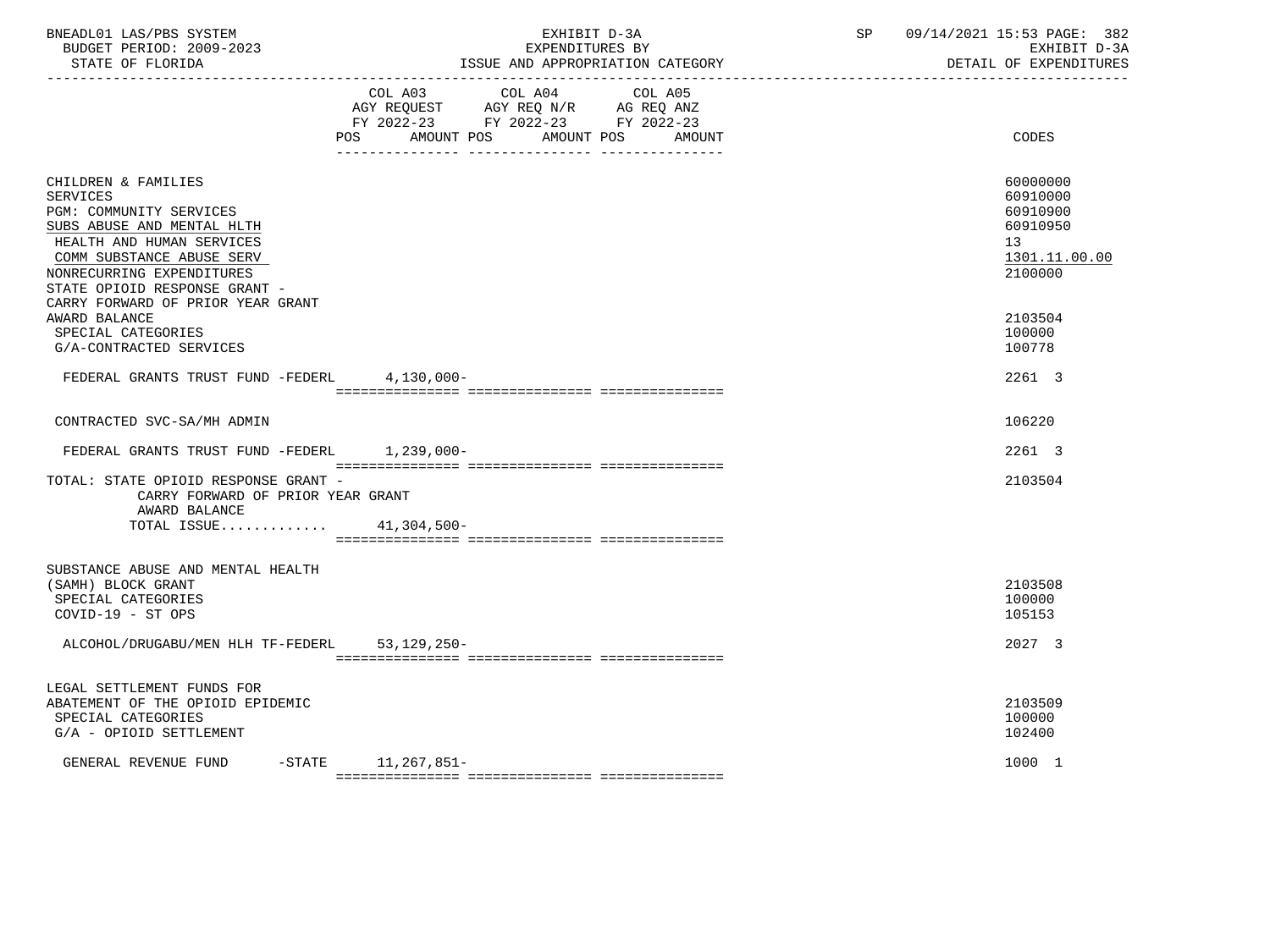| BNEADL01 LAS/PBS SYSTEM<br>BUDGET PERIOD: 2009-2023<br>STATE OF FLORIDA                                                                                                                                                        |                                                                                                                                       | EXHIBIT D-3A<br>EXPENDITURES BY | ISSUE AND APPROPRIATION CATEGORY | SP | 09/14/2021 15:53 PAGE: 382<br>EXHIBIT D-3A<br>DETAIL OF EXPENDITURES           |
|--------------------------------------------------------------------------------------------------------------------------------------------------------------------------------------------------------------------------------|---------------------------------------------------------------------------------------------------------------------------------------|---------------------------------|----------------------------------|----|--------------------------------------------------------------------------------|
|                                                                                                                                                                                                                                | COL A03 COL A04 COL A05<br>AGY REQUEST AGY REQ N/R AG REQ ANZ<br>FY 2022-23 FY 2022-23 FY 2022-23<br>POS AMOUNT POS AMOUNT POS AMOUNT |                                 |                                  |    | CODES                                                                          |
| CHILDREN & FAMILIES<br><b>SERVICES</b><br><b>PGM: COMMUNITY SERVICES</b><br>SUBS ABUSE AND MENTAL HLTH<br>HEALTH AND HUMAN SERVICES<br>COMM SUBSTANCE ABUSE SERV<br>NONRECURRING EXPENDITURES<br>STATE OPIOID RESPONSE GRANT - |                                                                                                                                       |                                 |                                  |    | 60000000<br>60910000<br>60910900<br>60910950<br>13<br>1301.11.00.00<br>2100000 |
| CARRY FORWARD OF PRIOR YEAR GRANT<br>AWARD BALANCE<br>SPECIAL CATEGORIES<br>G/A-CONTRACTED SERVICES                                                                                                                            |                                                                                                                                       |                                 |                                  |    | 2103504<br>100000<br>100778                                                    |
| FEDERAL GRANTS TRUST FUND -FEDERL 4,130,000-                                                                                                                                                                                   |                                                                                                                                       |                                 |                                  |    | 2261 3                                                                         |
| CONTRACTED SVC-SA/MH ADMIN                                                                                                                                                                                                     |                                                                                                                                       |                                 |                                  |    | 106220                                                                         |
| FEDERAL GRANTS TRUST FUND -FEDERL 1,239,000-                                                                                                                                                                                   |                                                                                                                                       |                                 |                                  |    | 2261 3                                                                         |
| TOTAL: STATE OPIOID RESPONSE GRANT -<br>CARRY FORWARD OF PRIOR YEAR GRANT<br>AWARD BALANCE                                                                                                                                     |                                                                                                                                       |                                 |                                  |    | 2103504                                                                        |
| TOTAL ISSUE 41,304,500-                                                                                                                                                                                                        |                                                                                                                                       |                                 |                                  |    |                                                                                |
| SUBSTANCE ABUSE AND MENTAL HEALTH<br>(SAMH) BLOCK GRANT<br>SPECIAL CATEGORIES<br>COVID-19 - ST OPS                                                                                                                             |                                                                                                                                       |                                 |                                  |    | 2103508<br>100000<br>105153                                                    |
| ALCOHOL/DRUGABU/MEN HLH TF-FEDERL                                                                                                                                                                                              | 53,129,250-                                                                                                                           |                                 |                                  |    | 2027 3                                                                         |
| LEGAL SETTLEMENT FUNDS FOR<br>ABATEMENT OF THE OPIOID EPIDEMIC<br>SPECIAL CATEGORIES<br>G/A - OPIOID SETTLEMENT                                                                                                                |                                                                                                                                       |                                 |                                  |    | 2103509<br>100000<br>102400                                                    |
| GENERAL REVENUE FUND -STATE 11,267,851-                                                                                                                                                                                        |                                                                                                                                       |                                 |                                  |    | 1000 1                                                                         |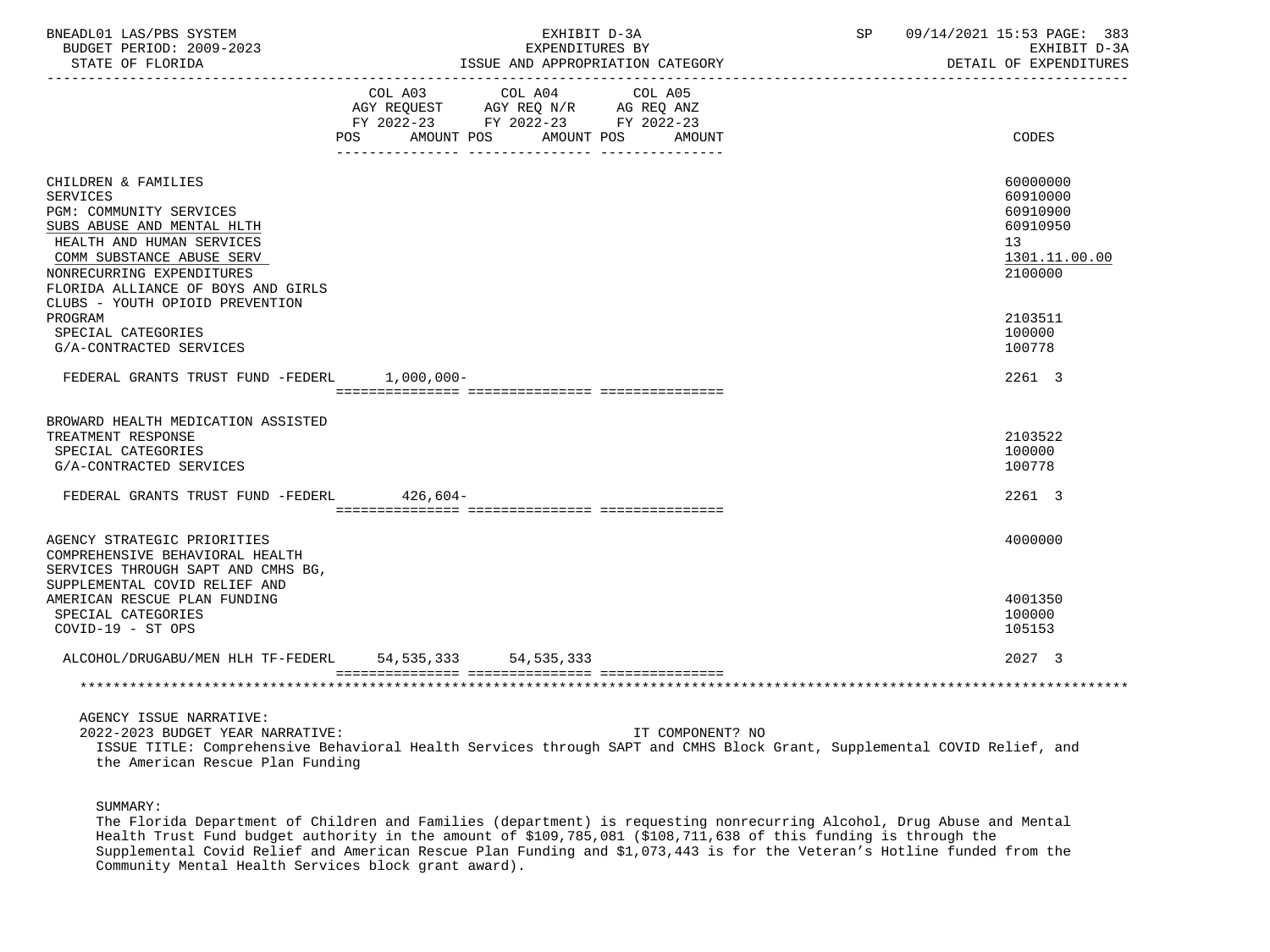| BNEADL01 LAS/PBS SYSTEM<br>BUDGET PERIOD: 2009-2023<br>STATE OF FLORIDA                                                                                                                                                                                         |                | EXHIBIT D-3A<br>EXPENDITURES BY<br>ISSUE AND APPROPRIATION CATEGORY                                                       | SP and the set of the set of the set of the set of the set of the set of the set of the set of the set of the set of the set of the set of the set of the set of the set of the set of the set of the set of the set of the se | 09/14/2021 15:53 PAGE: 383<br>EXHIBIT D-3A<br>DETAIL OF EXPENDITURES           |
|-----------------------------------------------------------------------------------------------------------------------------------------------------------------------------------------------------------------------------------------------------------------|----------------|---------------------------------------------------------------------------------------------------------------------------|--------------------------------------------------------------------------------------------------------------------------------------------------------------------------------------------------------------------------------|--------------------------------------------------------------------------------|
|                                                                                                                                                                                                                                                                 | POS AMOUNT POS | COL A03 COL A04<br>COL A05<br>AGY REQUEST AGY REQ N/R AG REQ ANZ<br>FY 2022-23 FY 2022-23 FY 2022-23<br>AMOUNT POS AMOUNT |                                                                                                                                                                                                                                | CODES                                                                          |
| CHILDREN & FAMILIES<br><b>SERVICES</b><br>PGM: COMMUNITY SERVICES<br>SUBS ABUSE AND MENTAL HLTH<br>HEALTH AND HUMAN SERVICES<br>COMM SUBSTANCE ABUSE SERV<br>NONRECURRING EXPENDITURES<br>FLORIDA ALLIANCE OF BOYS AND GIRLS<br>CLUBS - YOUTH OPIOID PREVENTION |                |                                                                                                                           |                                                                                                                                                                                                                                | 60000000<br>60910000<br>60910900<br>60910950<br>13<br>1301.11.00.00<br>2100000 |
| PROGRAM<br>SPECIAL CATEGORIES<br>G/A-CONTRACTED SERVICES                                                                                                                                                                                                        |                |                                                                                                                           |                                                                                                                                                                                                                                | 2103511<br>100000<br>100778                                                    |
| FEDERAL GRANTS TRUST FUND -FEDERL 1,000,000-                                                                                                                                                                                                                    |                |                                                                                                                           |                                                                                                                                                                                                                                | 2261 3                                                                         |
| BROWARD HEALTH MEDICATION ASSISTED<br>TREATMENT RESPONSE<br>SPECIAL CATEGORIES<br>G/A-CONTRACTED SERVICES                                                                                                                                                       |                |                                                                                                                           |                                                                                                                                                                                                                                | 2103522<br>100000<br>100778                                                    |
| FEDERAL GRANTS TRUST FUND -FEDERL 426,604-                                                                                                                                                                                                                      |                |                                                                                                                           |                                                                                                                                                                                                                                | 2261 3                                                                         |
| AGENCY STRATEGIC PRIORITIES<br>COMPREHENSIVE BEHAVIORAL HEALTH<br>SERVICES THROUGH SAPT AND CMHS BG,<br>SUPPLEMENTAL COVID RELIEF AND                                                                                                                           |                |                                                                                                                           |                                                                                                                                                                                                                                | 4000000                                                                        |
| AMERICAN RESCUE PLAN FUNDING<br>SPECIAL CATEGORIES<br>COVID-19 - ST OPS                                                                                                                                                                                         |                |                                                                                                                           |                                                                                                                                                                                                                                | 4001350<br>100000<br>105153                                                    |
| ALCOHOL/DRUGABU/MEN HLH TF-FEDERL 54,535,333 54,535,333                                                                                                                                                                                                         |                |                                                                                                                           |                                                                                                                                                                                                                                | 2027 3                                                                         |
|                                                                                                                                                                                                                                                                 |                |                                                                                                                           |                                                                                                                                                                                                                                |                                                                                |
| AGENCY ISSUE NARRATIVE:<br>2022-2023 BUDGET YEAR NARRATIVE:                                                                                                                                                                                                     |                | IT COMPONENT? NO                                                                                                          |                                                                                                                                                                                                                                |                                                                                |

 ISSUE TITLE: Comprehensive Behavioral Health Services through SAPT and CMHS Block Grant, Supplemental COVID Relief, and the American Rescue Plan Funding

SUMMARY:

 The Florida Department of Children and Families (department) is requesting nonrecurring Alcohol, Drug Abuse and Mental Health Trust Fund budget authority in the amount of \$109,785,081 (\$108,711,638 of this funding is through the Supplemental Covid Relief and American Rescue Plan Funding and \$1,073,443 is for the Veteran's Hotline funded from the Community Mental Health Services block grant award).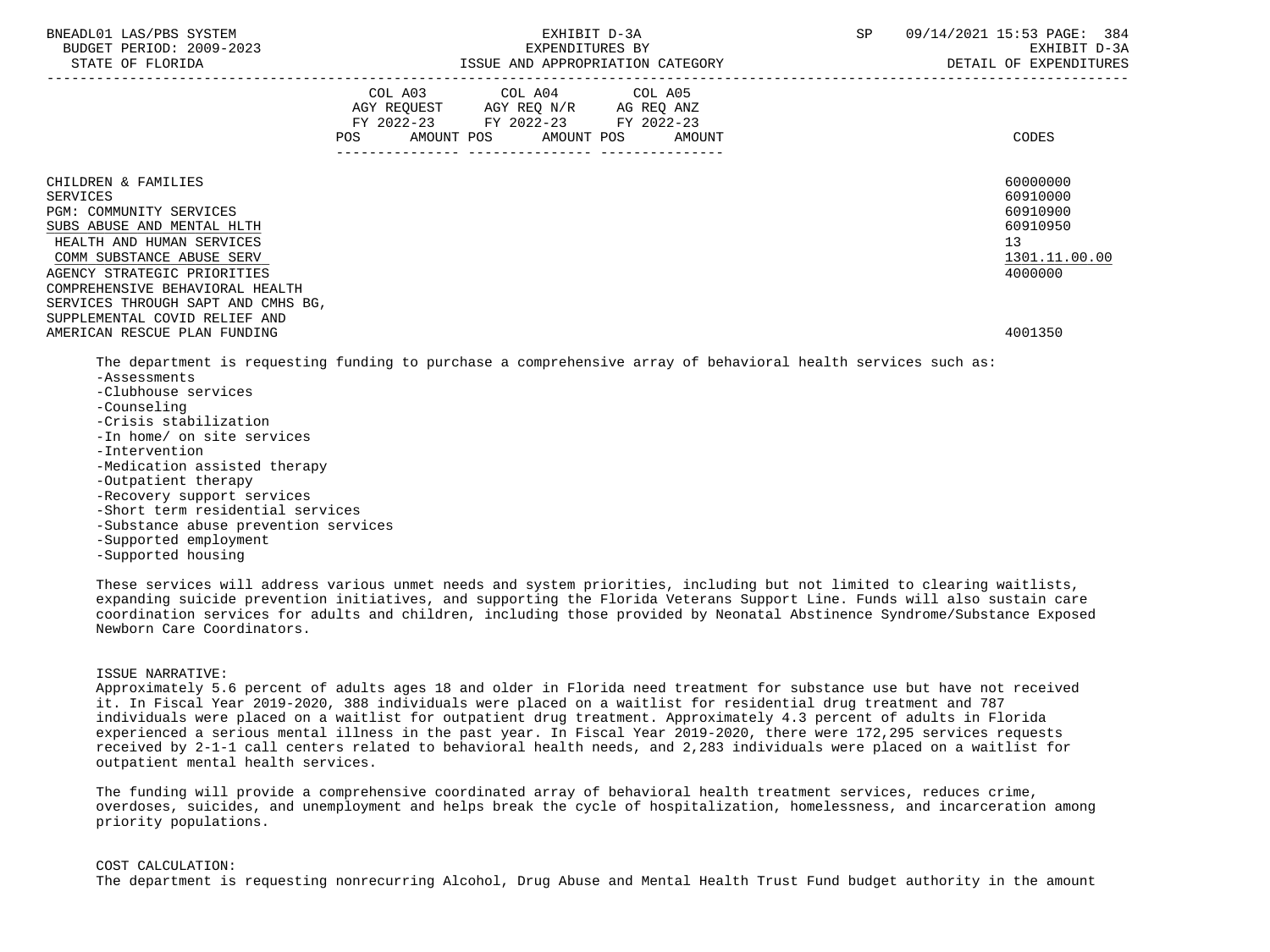| BNEADL01 LAS/PBS SYSTEM<br>BUDGET PERIOD: 2009-2023<br>STATE OF FLORIDA                                                                                                                                                                                                                                                            | EXHIBIT D-3A<br>SP<br>EXPENDITURES BY<br>ISSUE AND APPROPRIATION CATEGORY                                                                          | 09/14/2021 15:53 PAGE: 384<br>EXHIBIT D-3A<br>DETAIL OF EXPENDITURES                      |
|------------------------------------------------------------------------------------------------------------------------------------------------------------------------------------------------------------------------------------------------------------------------------------------------------------------------------------|----------------------------------------------------------------------------------------------------------------------------------------------------|-------------------------------------------------------------------------------------------|
|                                                                                                                                                                                                                                                                                                                                    | COL A03 COL A04 COL A05<br>AGY REQUEST AGY REQ N/R AG REQ ANZ<br>FY 2022-23 FY 2022-23 FY 2022-23<br>AMOUNT POS AMOUNT POS<br><b>POS</b><br>AMOUNT | CODES                                                                                     |
| CHILDREN & FAMILIES<br><b>SERVICES</b><br>PGM: COMMUNITY SERVICES<br>SUBS ABUSE AND MENTAL HLTH<br>HEALTH AND HUMAN SERVICES<br>COMM SUBSTANCE ABUSE SERV<br>AGENCY STRATEGIC PRIORITIES<br>COMPREHENSIVE BEHAVIORAL HEALTH<br>SERVICES THROUGH SAPT AND CMHS BG,<br>SUPPLEMENTAL COVID RELIEF AND<br>AMERICAN RESCUE PLAN FUNDING |                                                                                                                                                    | 60000000<br>60910000<br>60910900<br>60910950<br>13<br>1301.11.00.00<br>4000000<br>4001350 |
| -Assessments<br>-Clubhouse services<br>-Counseling<br>-Crisis stabilization<br>-In home/ on site services<br>-Intervention<br>-Medication assisted therapy<br>-Outpatient therapy<br>-Recovery support services                                                                                                                    | The department is requesting funding to purchase a comprehensive array of behavioral health services such as:                                      |                                                                                           |

- -Short term residential services
- -Substance abuse prevention services
- -Supported employment
- -Supported housing

 These services will address various unmet needs and system priorities, including but not limited to clearing waitlists, expanding suicide prevention initiatives, and supporting the Florida Veterans Support Line. Funds will also sustain care coordination services for adults and children, including those provided by Neonatal Abstinence Syndrome/Substance Exposed Newborn Care Coordinators.

## ISSUE NARRATIVE:

 Approximately 5.6 percent of adults ages 18 and older in Florida need treatment for substance use but have not received it. In Fiscal Year 2019-2020, 388 individuals were placed on a waitlist for residential drug treatment and 787 individuals were placed on a waitlist for outpatient drug treatment. Approximately 4.3 percent of adults in Florida experienced a serious mental illness in the past year. In Fiscal Year 2019-2020, there were 172,295 services requests received by 2-1-1 call centers related to behavioral health needs, and 2,283 individuals were placed on a waitlist for outpatient mental health services.

 The funding will provide a comprehensive coordinated array of behavioral health treatment services, reduces crime, overdoses, suicides, and unemployment and helps break the cycle of hospitalization, homelessness, and incarceration among priority populations.

#### COST CALCULATION:

The department is requesting nonrecurring Alcohol, Drug Abuse and Mental Health Trust Fund budget authority in the amount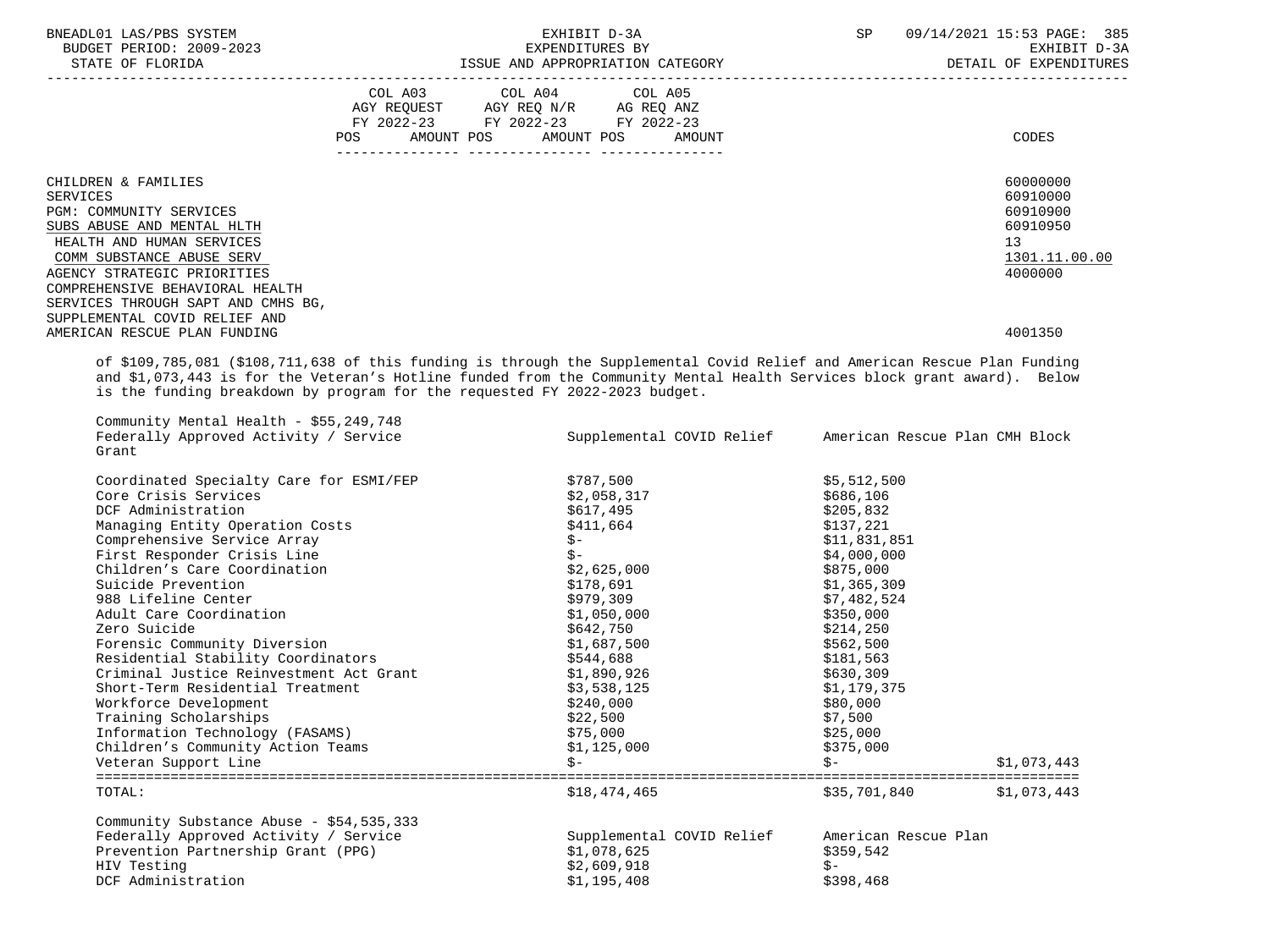| BNEADL01 LAS/PBS SYSTEM                                                                                                                                                                                                                                                                                                                                                                                                                                                                                                                                                                                               |            | EXHIBIT D-3A                                                                                                                                                                                                                                                | SP                                                                                                                                                                                                                                                                                                      | 09/14/2021 15:53 PAGE: 385<br>EXHIBIT D-3A<br>DETAIL OF EXPENDITURES           |
|-----------------------------------------------------------------------------------------------------------------------------------------------------------------------------------------------------------------------------------------------------------------------------------------------------------------------------------------------------------------------------------------------------------------------------------------------------------------------------------------------------------------------------------------------------------------------------------------------------------------------|------------|-------------------------------------------------------------------------------------------------------------------------------------------------------------------------------------------------------------------------------------------------------------|---------------------------------------------------------------------------------------------------------------------------------------------------------------------------------------------------------------------------------------------------------------------------------------------------------|--------------------------------------------------------------------------------|
|                                                                                                                                                                                                                                                                                                                                                                                                                                                                                                                                                                                                                       |            | COL A03 COL A04 COL A05<br>AGY REQUEST AGY REQ N/R AG REQ ANZ<br>FY 2022-23 FY 2022-23 FY 2022-23                                                                                                                                                           |                                                                                                                                                                                                                                                                                                         |                                                                                |
|                                                                                                                                                                                                                                                                                                                                                                                                                                                                                                                                                                                                                       | <b>POS</b> | AMOUNT POS AMOUNT POS<br>AMOUNT                                                                                                                                                                                                                             |                                                                                                                                                                                                                                                                                                         | CODES                                                                          |
| CHILDREN & FAMILIES<br><b>SERVICES</b><br>PGM: COMMUNITY SERVICES<br>SUBS ABUSE AND MENTAL HLTH<br>HEALTH AND HUMAN SERVICES<br>COMM SUBSTANCE ABUSE SERV<br>AGENCY STRATEGIC PRIORITIES<br>COMPREHENSIVE BEHAVIORAL HEALTH<br>SERVICES THROUGH SAPT AND CMHS BG,                                                                                                                                                                                                                                                                                                                                                     |            |                                                                                                                                                                                                                                                             |                                                                                                                                                                                                                                                                                                         | 60000000<br>60910000<br>60910900<br>60910950<br>13<br>1301.11.00.00<br>4000000 |
| SUPPLEMENTAL COVID RELIEF AND<br>AMERICAN RESCUE PLAN FUNDING                                                                                                                                                                                                                                                                                                                                                                                                                                                                                                                                                         |            |                                                                                                                                                                                                                                                             |                                                                                                                                                                                                                                                                                                         | 4001350                                                                        |
| is the funding breakdown by program for the requested FY 2022-2023 budget.                                                                                                                                                                                                                                                                                                                                                                                                                                                                                                                                            |            | of \$109,785,081 (\$108,711,638 of this funding is through the Supplemental Covid Relief and American Rescue Plan Funding<br>and \$1,073,443 is for the Veteran's Hotline funded from the Community Mental Health Services block grant award). Below        |                                                                                                                                                                                                                                                                                                         |                                                                                |
| Community Mental Health - \$55,249,748<br>Federally Approved Activity / Service<br>Grant                                                                                                                                                                                                                                                                                                                                                                                                                                                                                                                              |            |                                                                                                                                                                                                                                                             | Supplemental COVID Relief American Rescue Plan CMH Block                                                                                                                                                                                                                                                |                                                                                |
| Coordinated Specialty Care for ESMI/FEP<br>Core Crisis Services<br>DCF Administration<br>Managing Entity Operation Costs<br>Comprehensive Service Array<br>First Responder Crisis Line<br>Children's Care Coordination<br>Suicide Prevention<br>988 Lifeline Center<br>Adult Care Coordination<br>Zero Suicide<br>Forensic Community Diversion<br>Residential Stability Coordinators<br>Criminal Justice Reinvestment Act Grant<br>Short-Term Residential Treatment<br>Workforce Development<br>Training Scholarships<br>Information Technology (FASAMS)<br>Children's Community Action Teams<br>Veteran Support Line |            | \$787,500<br>\$2,058,317<br>\$617,495<br>\$411,664<br>$S-$<br>$S-$<br>\$2,625,000<br>\$178,691<br>\$979,309<br>\$1,050,000<br>\$642,750<br>\$1,687,500<br>\$544,688<br>\$1,890,926<br>\$3,538,125<br>\$240,000<br>\$22,500<br>\$75,000<br>\$1,125,000<br>Ŝ- | \$5,512,500<br>\$686,106<br>\$205,832<br>\$137,221<br>\$11,831,851<br>\$4,000,000<br>\$875,000<br>\$1,365,309<br>\$7,482,524<br>\$350,000<br>\$214,250<br>\$562,500<br>\$181,563<br>\$630,309<br>\$1,179,375<br>\$80,000<br>\$7,500<br>\$25,000<br>\$375,000<br>Ŝ-<br>================================= | \$1,073,443                                                                    |
| TOTAL:                                                                                                                                                                                                                                                                                                                                                                                                                                                                                                                                                                                                                |            | \$18,474,465                                                                                                                                                                                                                                                | \$35,701,840                                                                                                                                                                                                                                                                                            | \$1,073,443                                                                    |
| Community Substance Abuse - \$54,535,333<br>Federally Approved Activity / Service<br>Prevention Partnership Grant (PPG)<br>HIV Testing<br>DCF Administration                                                                                                                                                                                                                                                                                                                                                                                                                                                          |            | Supplemental COVID Relief<br>\$1,078,625<br>\$2,609,918<br>\$1,195,408                                                                                                                                                                                      | American Rescue Plan<br>\$359,542<br>$\zeta$ –<br>\$398,468                                                                                                                                                                                                                                             |                                                                                |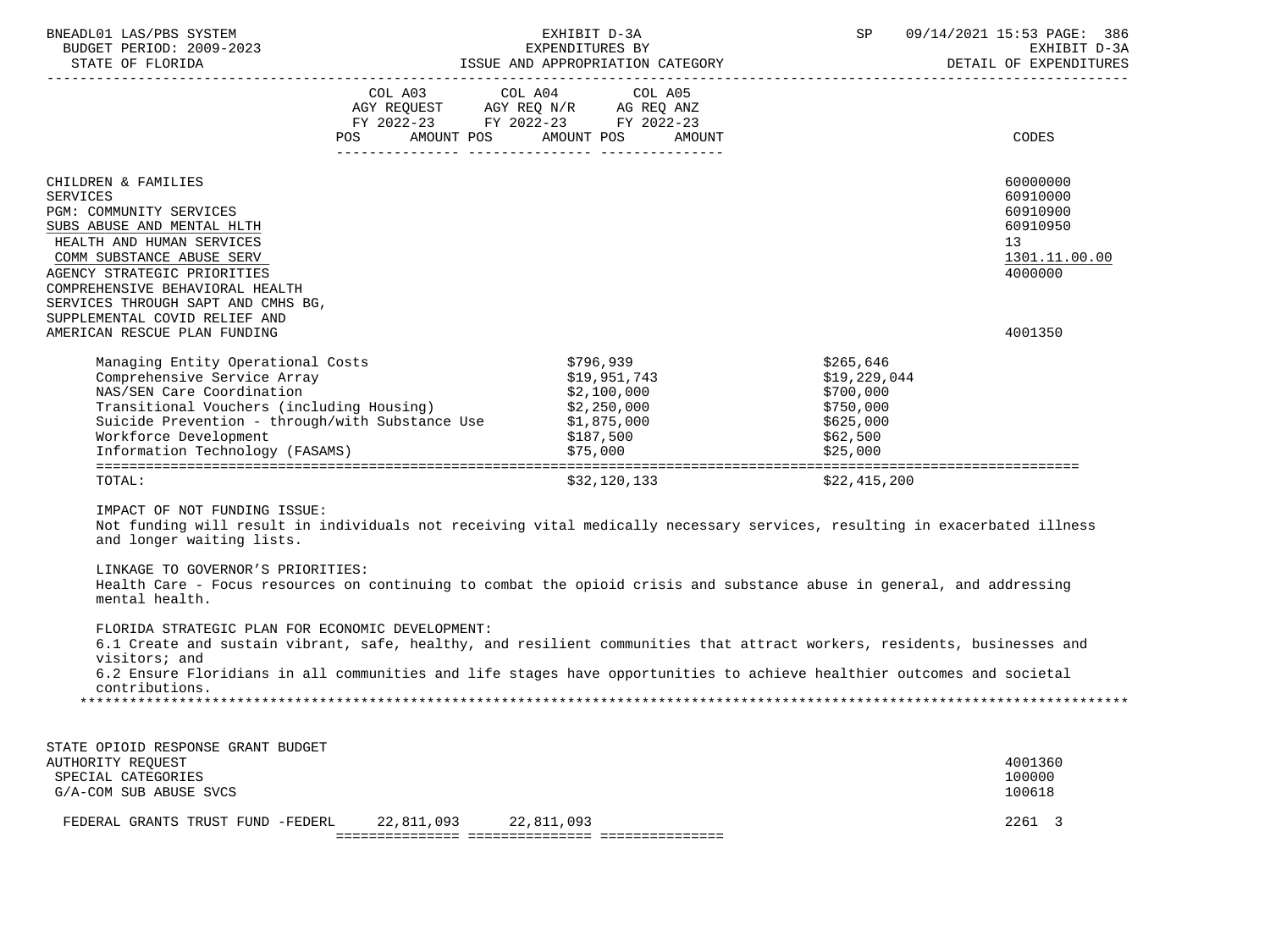| BNEADL01 LAS/PBS SYSTEM<br>BUDGET PERIOD: 2009-2023<br>STATE OF FLORIDA                                                                                                                                                                                                                                                                                                                                                                                                                                                                                                  |                                                                                                                                                                                                                                                              |  | EXHIBIT D-3A                                         | EXPENDITURES BY<br>ISSUE AND APPROPRIATION CATEGORY |                                                                                          | SP 09/14/2021 15:53 PAGE: 386<br>EXHIBIT D-3A<br>DETAIL OF EXPENDITURES        |
|--------------------------------------------------------------------------------------------------------------------------------------------------------------------------------------------------------------------------------------------------------------------------------------------------------------------------------------------------------------------------------------------------------------------------------------------------------------------------------------------------------------------------------------------------------------------------|--------------------------------------------------------------------------------------------------------------------------------------------------------------------------------------------------------------------------------------------------------------|--|------------------------------------------------------|-----------------------------------------------------|------------------------------------------------------------------------------------------|--------------------------------------------------------------------------------|
|                                                                                                                                                                                                                                                                                                                                                                                                                                                                                                                                                                          | $\begin{tabular}{lllllllll} COL A03 & \multicolumn{2}{l}COL A04 & \multicolumn{2}{l}COL A05 \\ AGY REQUEST & \multicolumn{2}{l}AGY REQ N/R & \multicolumn{2}{l}AG REQ ANZ \\ \end{tabular}$<br>FY 2022-23 FY 2022-23 FY 2022-23<br>POS AMOUNT POS AMOUNT POS |  |                                                      | AMOUNT                                              |                                                                                          | CODES                                                                          |
| CHILDREN & FAMILIES<br><b>SERVICES</b><br>PGM: COMMUNITY SERVICES<br>SUBS ABUSE AND MENTAL HLTH<br>HEALTH AND HUMAN SERVICES<br>COMM SUBSTANCE ABUSE SERV<br>AGENCY STRATEGIC PRIORITIES<br>COMPREHENSIVE BEHAVIORAL HEALTH<br>SERVICES THROUGH SAPT AND CMHS BG,                                                                                                                                                                                                                                                                                                        |                                                                                                                                                                                                                                                              |  |                                                      |                                                     |                                                                                          | 60000000<br>60910000<br>60910900<br>60910950<br>13<br>1301.11.00.00<br>4000000 |
| SUPPLEMENTAL COVID RELIEF AND<br>AMERICAN RESCUE PLAN FUNDING                                                                                                                                                                                                                                                                                                                                                                                                                                                                                                            |                                                                                                                                                                                                                                                              |  |                                                      |                                                     |                                                                                          | 4001350                                                                        |
| Managing Entity Operational Costs<br>Comprehensive Service Array<br>NAS/SEN Care Coordination<br>Transitional Vouchers (including Housing) $\begin{array}{ccc} 2.250,000 \\ \text{Subject} & 2.250,000 \\ \text{Subject} & 2.250,000 \\ \text{Subject} & 2.250,000 \\ \text{subject} & 2.250,000 \\ \text{subject} & 2.250,000 \\ \text{Matrix} & 2.250,000 \\ \text{Matrix} & 2.250,000 \\ \text{Matrix} & 2.250,000 \\ \text{Matrix} & 2.250,000 \\ \text{Matrix} & 2$<br>Workforce Development<br>Information Technology (FASAMS)                                     |                                                                                                                                                                                                                                                              |  | \$796,939<br>\$19,951,743<br>\$2,100,000<br>\$75,000 | \$187,500                                           | \$265,646<br>\$19,229,044<br>\$700,000<br>\$750,000<br>\$625,000<br>\$62,500<br>\$25,000 |                                                                                |
| TOTAL:                                                                                                                                                                                                                                                                                                                                                                                                                                                                                                                                                                   |                                                                                                                                                                                                                                                              |  |                                                      |                                                     | \$32,120,133    \$22,415,200                                                             |                                                                                |
| IMPACT OF NOT FUNDING ISSUE:<br>Not funding will result in individuals not receiving vital medically necessary services, resulting in exacerbated illness<br>and longer waiting lists.<br>LINKAGE TO GOVERNOR'S PRIORITIES:<br>Health Care - Focus resources on continuing to combat the opioid crisis and substance abuse in general, and addressing<br>mental health.<br>FLORIDA STRATEGIC PLAN FOR ECONOMIC DEVELOPMENT:<br>6.1 Create and sustain vibrant, safe, healthy, and resilient communities that attract workers, residents, businesses and<br>visitors; and |                                                                                                                                                                                                                                                              |  |                                                      |                                                     |                                                                                          |                                                                                |
| 6.2 Ensure Floridians in all communities and life stages have opportunities to achieve healthier outcomes and societal<br>contributions.                                                                                                                                                                                                                                                                                                                                                                                                                                 |                                                                                                                                                                                                                                                              |  |                                                      |                                                     |                                                                                          |                                                                                |

| STATE OPIOID RESPONSE GRANT BUDGET |            |            |         |
|------------------------------------|------------|------------|---------|
| AUTHORITY REOUEST                  |            |            | 4001360 |
| SPECIAL CATEGORIES                 |            |            | 100000  |
| G/A-COM SUB ABUSE SVCS             |            |            | 100618  |
| FEDERAL GRANTS TRUST FUND -FEDERL  | 22,811,093 | 22,811,093 | 2261 3  |
|                                    |            |            |         |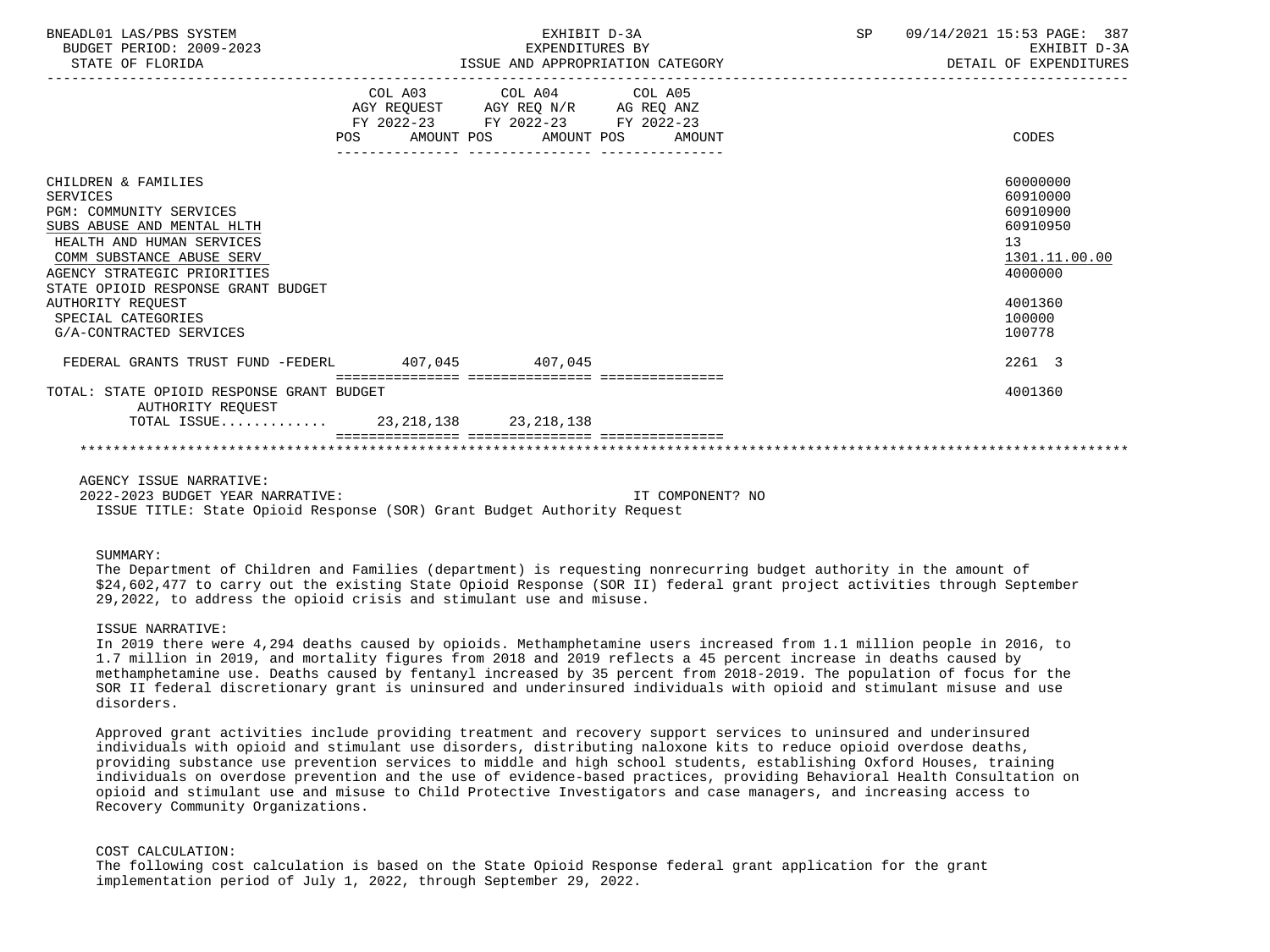| BNEADL01 LAS/PBS SYSTEM<br>BUDGET PERIOD: 2009-2023<br>STATE OF FLORIDA                                                                                                                                                                                                                              | EXHIBIT D-3A<br>EXPENDITURES BY<br>ISSUE AND APPROPRIATION CATEGORY |                                                                                                                                   |  | SP | 09/14/2021 15:53 PAGE: 387<br>EXHIBIT D-3A<br>DETAIL OF EXPENDITURES                                          |
|------------------------------------------------------------------------------------------------------------------------------------------------------------------------------------------------------------------------------------------------------------------------------------------------------|---------------------------------------------------------------------|-----------------------------------------------------------------------------------------------------------------------------------|--|----|---------------------------------------------------------------------------------------------------------------|
|                                                                                                                                                                                                                                                                                                      | POS                                                                 | COL A03 COL A04 COL A05<br>AGY REQUEST AGY REQ N/R AG REQ ANZ<br>FY 2022-23 FY 2022-23 FY 2022-23<br>AMOUNT POS AMOUNT POS AMOUNT |  |    | CODES                                                                                                         |
| CHILDREN & FAMILIES<br>SERVICES<br><b>PGM: COMMUNITY SERVICES</b><br>SUBS ABUSE AND MENTAL HLTH<br>HEALTH AND HUMAN SERVICES<br>COMM SUBSTANCE ABUSE SERV<br>AGENCY STRATEGIC PRIORITIES<br>STATE OPIOID RESPONSE GRANT BUDGET<br>AUTHORITY REOUEST<br>SPECIAL CATEGORIES<br>G/A-CONTRACTED SERVICES |                                                                     |                                                                                                                                   |  |    | 60000000<br>60910000<br>60910900<br>60910950<br>13<br>1301.11.00.00<br>4000000<br>4001360<br>100000<br>100778 |
| FEDERAL GRANTS TRUST FUND -FEDERL 407.045 407.045                                                                                                                                                                                                                                                    |                                                                     |                                                                                                                                   |  |    | 2261 3                                                                                                        |
| TOTAL: STATE OPIOID RESPONSE GRANT BUDGET<br>AUTHORITY REOUEST<br>TOTAL ISSUE 23, 218, 138 23, 218, 138                                                                                                                                                                                              |                                                                     |                                                                                                                                   |  |    | 4001360                                                                                                       |
|                                                                                                                                                                                                                                                                                                      |                                                                     |                                                                                                                                   |  |    |                                                                                                               |

AGENCY ISSUE NARRATIVE:

 2022-2023 BUDGET YEAR NARRATIVE: IT COMPONENT? NO ISSUE TITLE: State Opioid Response (SOR) Grant Budget Authority Request

#### SUMMARY:

 The Department of Children and Families (department) is requesting nonrecurring budget authority in the amount of \$24,602,477 to carry out the existing State Opioid Response (SOR II) federal grant project activities through September 29,2022, to address the opioid crisis and stimulant use and misuse.

## ISSUE NARRATIVE:

 In 2019 there were 4,294 deaths caused by opioids. Methamphetamine users increased from 1.1 million people in 2016, to 1.7 million in 2019, and mortality figures from 2018 and 2019 reflects a 45 percent increase in deaths caused by methamphetamine use. Deaths caused by fentanyl increased by 35 percent from 2018-2019. The population of focus for the SOR II federal discretionary grant is uninsured and underinsured individuals with opioid and stimulant misuse and use disorders.

 Approved grant activities include providing treatment and recovery support services to uninsured and underinsured individuals with opioid and stimulant use disorders, distributing naloxone kits to reduce opioid overdose deaths, providing substance use prevention services to middle and high school students, establishing Oxford Houses, training individuals on overdose prevention and the use of evidence-based practices, providing Behavioral Health Consultation on opioid and stimulant use and misuse to Child Protective Investigators and case managers, and increasing access to Recovery Community Organizations.

# COST CALCULATION:

 The following cost calculation is based on the State Opioid Response federal grant application for the grant implementation period of July 1, 2022, through September 29, 2022.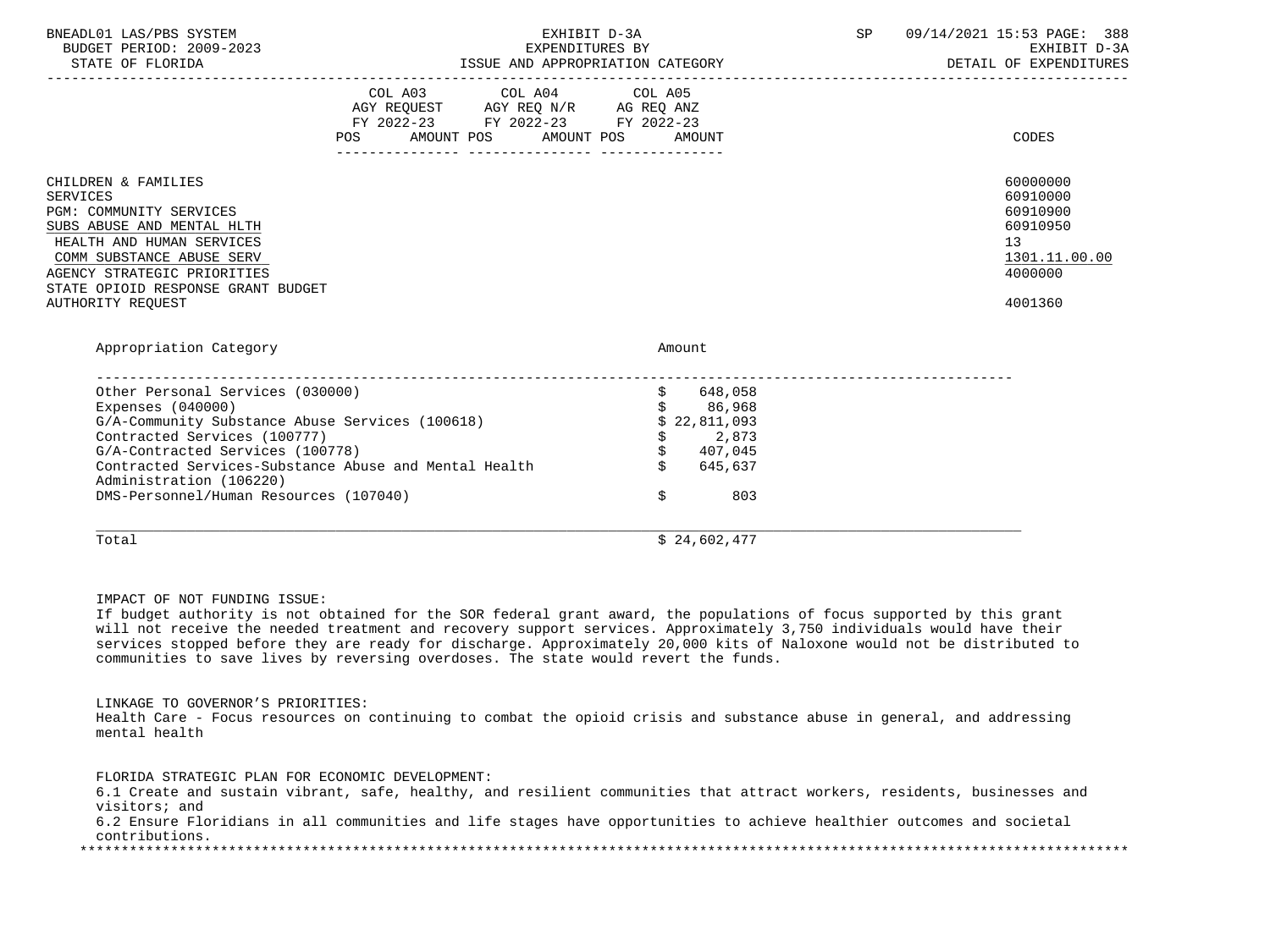| BNEADL01 LAS/PBS SYSTEM<br>BUDGET PERIOD: 2009-2023<br>STATE OF FLORIDA                                                                                                                                                                                                                                      |                                                                                                 | EXHIBIT D-3A<br>EXPENDITURES BY                                                                             | 09/14/2021 15:53 PAGE: 388<br>SP<br>EXHIBIT D-3A<br>ISSUE AND APPROPRIATION CATEGORY <b>Experimental Structure Propriet CATEGORY</b> |                                                                                                        |
|--------------------------------------------------------------------------------------------------------------------------------------------------------------------------------------------------------------------------------------------------------------------------------------------------------------|-------------------------------------------------------------------------------------------------|-------------------------------------------------------------------------------------------------------------|--------------------------------------------------------------------------------------------------------------------------------------|--------------------------------------------------------------------------------------------------------|
|                                                                                                                                                                                                                                                                                                              | COL A03 COL A04 COL A05<br>FY 2022-23 FY 2022-23 FY 2022-23<br>POS AMOUNT POS AMOUNT POS AMOUNT |                                                                                                             |                                                                                                                                      | CODES                                                                                                  |
| CHILDREN & FAMILIES<br><b>SERVICES</b><br>PGM: COMMUNITY SERVICES<br>SUBS ABUSE AND MENTAL HLTH<br>HEALTH AND HUMAN SERVICES<br>COMM SUBSTANCE ABUSE SERV<br>AGENCY STRATEGIC PRIORITIES<br>STATE OPIOID RESPONSE GRANT BUDGET<br>AUTHORITY REOUEST                                                          |                                                                                                 |                                                                                                             |                                                                                                                                      | 60000000<br>60910000<br>60910900<br>60910950<br>13 <sup>7</sup><br>1301.11.00.00<br>4000000<br>4001360 |
| Appropriation Category                                                                                                                                                                                                                                                                                       |                                                                                                 | Amount                                                                                                      |                                                                                                                                      |                                                                                                        |
| Other Personal Services (030000)<br>Expenses $(040000)$<br>G/A-Community Substance Abuse Services (100618)<br>Contracted Services (100777)<br>G/A-Contracted Services (100778)<br>Contracted Services-Substance Abuse and Mental Health<br>Administration (106220)<br>DMS-Personnel/Human Resources (107040) |                                                                                                 | \$648,058<br>\$86,968<br>\$22,811,093<br>$\dot{\mathbf{S}}$<br>2,873<br>\$407,045<br>\$645,637<br>\$<br>803 |                                                                                                                                      |                                                                                                        |
| Total                                                                                                                                                                                                                                                                                                        |                                                                                                 | \$24,602,477                                                                                                |                                                                                                                                      |                                                                                                        |

IMPACT OF NOT FUNDING ISSUE:

 If budget authority is not obtained for the SOR federal grant award, the populations of focus supported by this grant will not receive the needed treatment and recovery support services. Approximately 3,750 individuals would have their services stopped before they are ready for discharge. Approximately 20,000 kits of Naloxone would not be distributed to communities to save lives by reversing overdoses. The state would revert the funds.

LINKAGE TO GOVERNOR'S PRIORITIES:

 Health Care - Focus resources on continuing to combat the opioid crisis and substance abuse in general, and addressing mental health

FLORIDA STRATEGIC PLAN FOR ECONOMIC DEVELOPMENT:

 6.1 Create and sustain vibrant, safe, healthy, and resilient communities that attract workers, residents, businesses and visitors; and

 6.2 Ensure Floridians in all communities and life stages have opportunities to achieve healthier outcomes and societal contributions.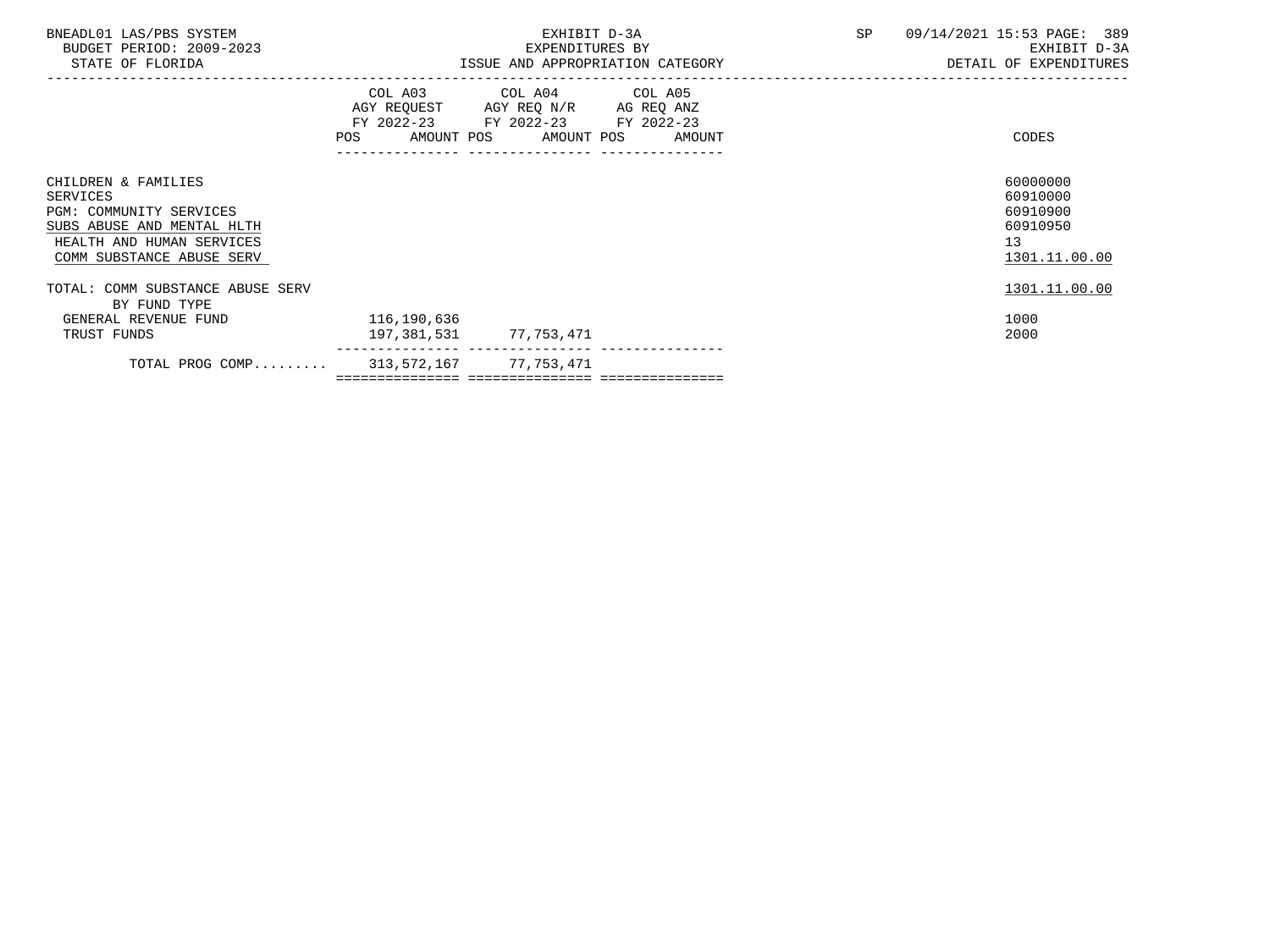| BNEADL01 LAS/PBS SYSTEM<br>BUDGET PERIOD: 2009-2023<br>STATE OF FLORIDA                                                                            |                                           | EXHIBIT D-3A<br>EXPENDITURES BY                                                                                                       | <b>SP</b> | 09/14/2021 15:53 PAGE: 389<br>EXHIBIT D-3A<br>ISSUE AND APPROPRIATION CATEGORY <b>ALL SECONS</b> OF EXPENDITURES |
|----------------------------------------------------------------------------------------------------------------------------------------------------|-------------------------------------------|---------------------------------------------------------------------------------------------------------------------------------------|-----------|------------------------------------------------------------------------------------------------------------------|
|                                                                                                                                                    |                                           | COL A03 COL A04 COL A05<br>AGY REQUEST AGY REQ N/R AG REQ ANZ<br>FY 2022-23 FY 2022-23 FY 2022-23<br>POS AMOUNT POS AMOUNT POS AMOUNT |           | CODES                                                                                                            |
| CHILDREN & FAMILIES<br>SERVICES<br>PGM: COMMUNITY SERVICES<br>SUBS ABUSE AND MENTAL HLTH<br>HEALTH AND HUMAN SERVICES<br>COMM SUBSTANCE ABUSE SERV |                                           |                                                                                                                                       |           | 60000000<br>60910000<br>60910900<br>60910950<br>13<br>1301.11.00.00                                              |
| TOTAL: COMM SUBSTANCE ABUSE SERV<br>BY FUND TYPE                                                                                                   |                                           |                                                                                                                                       |           | 1301.11.00.00                                                                                                    |
| GENERAL REVENUE FUND<br>TRUST FUNDS                                                                                                                | 116,190,636<br>197, 381, 531 77, 753, 471 |                                                                                                                                       |           | 1000<br>2000                                                                                                     |
| TOTAL PROG COMP 313,572,167 77,753,471                                                                                                             |                                           |                                                                                                                                       |           |                                                                                                                  |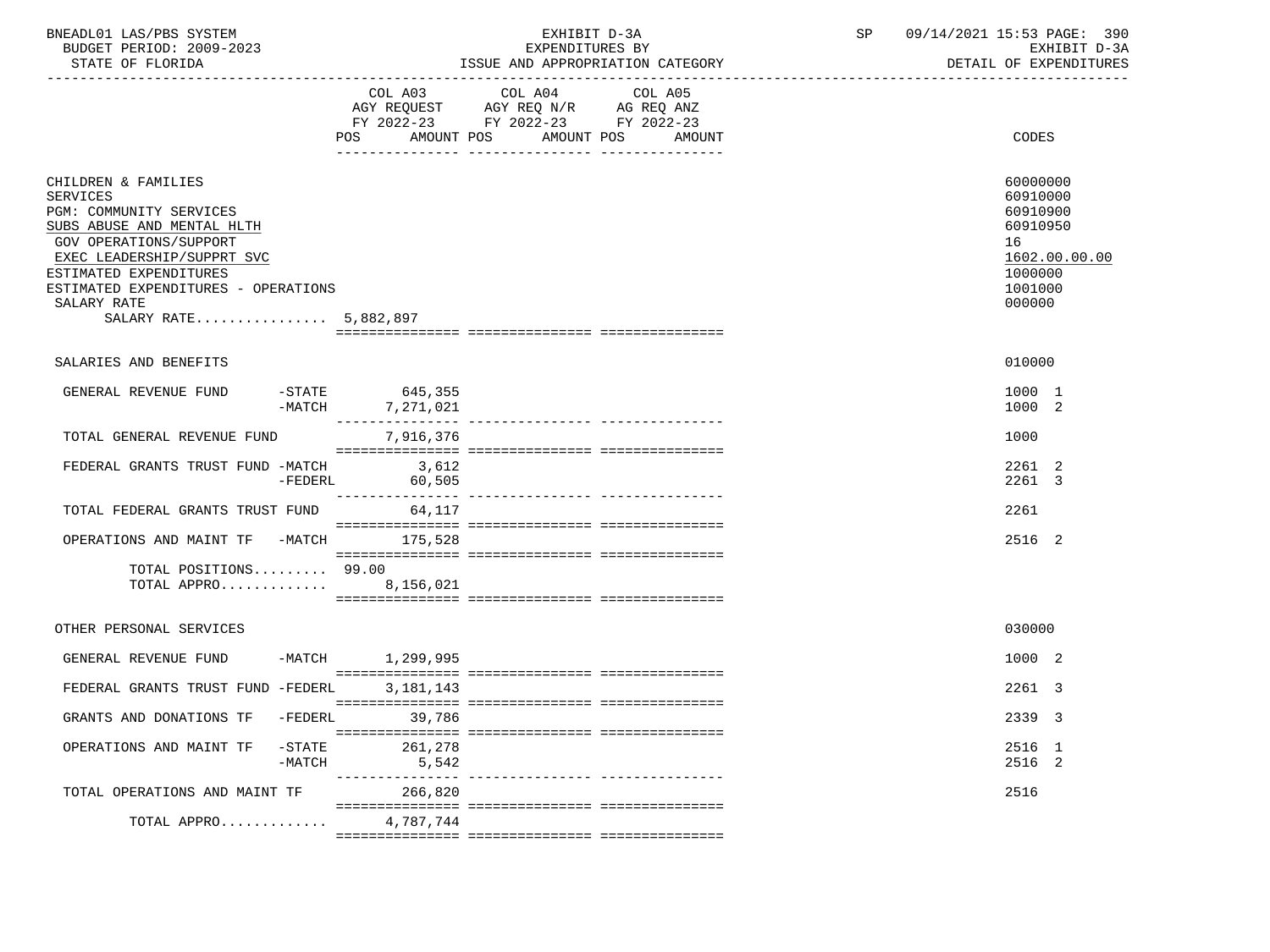| BNEADL01 LAS/PBS SYSTEM |                  |                          |
|-------------------------|------------------|--------------------------|
|                         |                  | BUDGET PERIOD: 2009-2023 |
|                         | STATE OF FLORIDA |                          |

| BNEADL01 LAS/PBS SYSTEM<br>BUDGET PERIOD: 2009-2023<br>STATE OF FLORIDA                                                                                                                                                                                                 |                               | EXHIBIT D-3A<br>EXPENDITURES BY<br>ISSUE AND APPROPRIATION CATEGORY                                                       | SP 09/14/2021 15:53 PAGE: 390<br>EXHIBIT D-3A<br>DETAIL OF EXPENDITURES                             |
|-------------------------------------------------------------------------------------------------------------------------------------------------------------------------------------------------------------------------------------------------------------------------|-------------------------------|---------------------------------------------------------------------------------------------------------------------------|-----------------------------------------------------------------------------------------------------|
|                                                                                                                                                                                                                                                                         | AMOUNT POS<br>POS             | COL A03 COL A04 COL A05<br>AGY REQUEST AGY REQ N/R AG REQ ANZ<br>FY 2022-23 FY 2022-23 FY 2022-23<br>AMOUNT POS<br>AMOUNT | <b>CODES</b>                                                                                        |
| CHILDREN & FAMILIES<br><b>SERVICES</b><br>PGM: COMMUNITY SERVICES<br>SUBS ABUSE AND MENTAL HLTH<br><b>GOV OPERATIONS/SUPPORT</b><br>EXEC LEADERSHIP/SUPPRT SVC<br>ESTIMATED EXPENDITURES<br>ESTIMATED EXPENDITURES - OPERATIONS<br>SALARY RATE<br>SALARY RATE 5,882,897 |                               |                                                                                                                           | 60000000<br>60910000<br>60910900<br>60910950<br>16<br>1602.00.00.00<br>1000000<br>1001000<br>000000 |
| SALARIES AND BENEFITS                                                                                                                                                                                                                                                   |                               |                                                                                                                           | 010000                                                                                              |
| GENERAL REVENUE FUND<br>$-MATCH$                                                                                                                                                                                                                                        | $-STATE$ 645,355<br>7,271,021 |                                                                                                                           | 1000 1<br>1000 2                                                                                    |
| TOTAL GENERAL REVENUE FUND                                                                                                                                                                                                                                              | 7,916,376                     |                                                                                                                           | 1000                                                                                                |
| FEDERAL GRANTS TRUST FUND -MATCH 3.612                                                                                                                                                                                                                                  | -FEDERL 60,505                |                                                                                                                           | 2261 2<br>2261 3                                                                                    |
| TOTAL FEDERAL GRANTS TRUST FUND 64.117                                                                                                                                                                                                                                  |                               |                                                                                                                           | 2261                                                                                                |
| OPERATIONS AND MAINT TF -MATCH 175,528                                                                                                                                                                                                                                  |                               |                                                                                                                           | 2516 2                                                                                              |
| TOTAL POSITIONS 99.00<br>TOTAL APPRO                                                                                                                                                                                                                                    | 8,156,021                     |                                                                                                                           |                                                                                                     |
| OTHER PERSONAL SERVICES                                                                                                                                                                                                                                                 |                               |                                                                                                                           | 030000                                                                                              |
| GENERAL REVENUE FUND                                                                                                                                                                                                                                                    | -MATCH 1,299,995              |                                                                                                                           | 1000 2                                                                                              |
| FEDERAL GRANTS TRUST FUND -FEDERL                                                                                                                                                                                                                                       | 3,181,143                     |                                                                                                                           | 2261 3                                                                                              |

| GRANTS AND DONATIONS TF       | -FEDERL               | 2339 3<br>39,786                     |  |
|-------------------------------|-----------------------|--------------------------------------|--|
|                               |                       |                                      |  |
| OPERATIONS AND MAINT TF       | $-$ STATE<br>$-MATCH$ | 261,278<br>2516 1<br>2516 2<br>5,542 |  |
|                               |                       |                                      |  |
| TOTAL OPERATIONS AND MAINT TF | 266,820               | 2516                                 |  |
|                               |                       |                                      |  |
| TOTAL APPRO                   | 4,787,744             |                                      |  |
|                               |                       |                                      |  |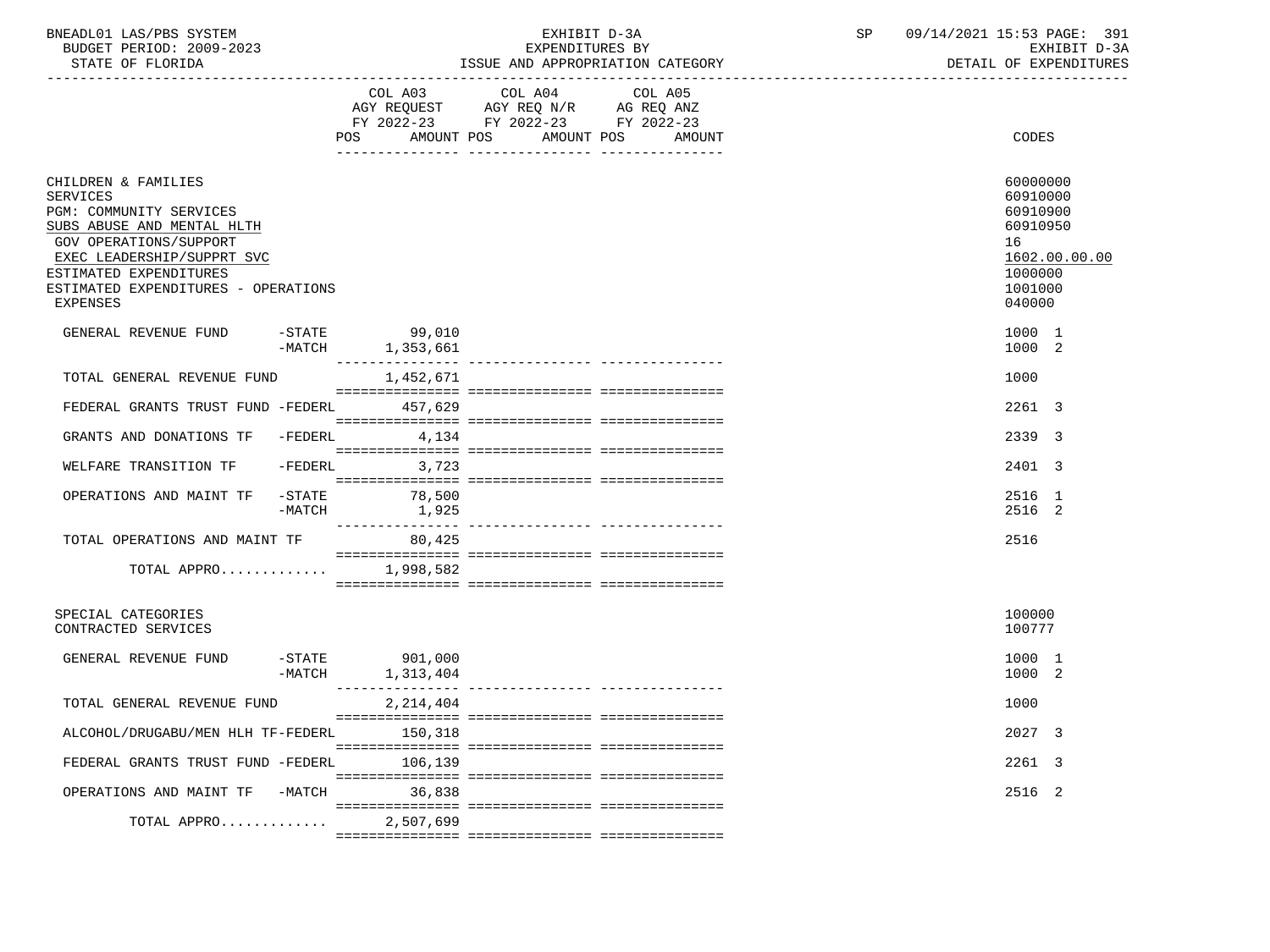| BNEADL01<br>LAS/PBS<br>SYSTEM  |                                          | 4/2021<br>15.5<br>391<br>PAGE:<br>n al |
|--------------------------------|------------------------------------------|----------------------------------------|
| 2009-2023<br>PERIOD:<br>BUDGET | <b>RV</b><br>EXPENDITURES                | $\sim$ $\sim$<br>חדרי<br>rvu:<br>- ⊷   |
| CDR<br><b>ELODIDA</b>          | T O OTTE<br>MOODDIATION MATROON<br>רות ה | י החזזה דחזו המשפט ה<br>דד גרחיהר      |

STATE OF FLORIDA **ISSUE AND APPROPRIATION CATEGORY ISSUE AND APPROPRIATION** CATEGORY

|                                                                                                                                                                                                                                      |                       | COL A03                             | COL A04<br>$\begin{tabular}{lllllll} \bf AGY & \bf REQUEST & \bf AGY & \bf REQ & \bf N/R & \bf AG & \bf REQ & \bf ANZ \\ \end{tabular}$ | COL A05 |                                                                                                     |
|--------------------------------------------------------------------------------------------------------------------------------------------------------------------------------------------------------------------------------------|-----------------------|-------------------------------------|-----------------------------------------------------------------------------------------------------------------------------------------|---------|-----------------------------------------------------------------------------------------------------|
|                                                                                                                                                                                                                                      |                       | AMOUNT POS<br>POS                   | FY 2022-23 FY 2022-23 FY 2022-23<br>AMOUNT POS                                                                                          | AMOUNT  | CODES                                                                                               |
| CHILDREN & FAMILIES<br>SERVICES<br>PGM: COMMUNITY SERVICES<br>SUBS ABUSE AND MENTAL HLTH<br>GOV OPERATIONS/SUPPORT<br>EXEC LEADERSHIP/SUPPRT SVC<br>ESTIMATED EXPENDITURES<br>ESTIMATED EXPENDITURES - OPERATIONS<br><b>EXPENSES</b> |                       |                                     |                                                                                                                                         |         | 60000000<br>60910000<br>60910900<br>60910950<br>16<br>1602.00.00.00<br>1000000<br>1001000<br>040000 |
| GENERAL REVENUE FUND                                                                                                                                                                                                                 |                       | $-STATE$ 99,010<br>-MATCH 1,353,661 |                                                                                                                                         |         | 1000 1<br>1000 2                                                                                    |
| TOTAL GENERAL REVENUE FUND                                                                                                                                                                                                           |                       | 1,452,671                           |                                                                                                                                         |         | 1000                                                                                                |
| FEDERAL GRANTS TRUST FUND -FEDERL 457,629                                                                                                                                                                                            |                       |                                     |                                                                                                                                         |         | 2261 3                                                                                              |
| GRANTS AND DONATIONS TF -FEDERL                                                                                                                                                                                                      |                       | 4,134                               |                                                                                                                                         |         | 2339 3                                                                                              |
| WELFARE TRANSITION TF                                                                                                                                                                                                                | -FEDERL               | 3,723                               |                                                                                                                                         |         | 2401 3                                                                                              |
| OPERATIONS AND MAINT TF                                                                                                                                                                                                              | -STATE<br>$-MATCH$    | 78,500<br>1,925                     |                                                                                                                                         |         | 2516 1<br>2516 2                                                                                    |
| TOTAL OPERATIONS AND MAINT TF                                                                                                                                                                                                        |                       | 80,425                              |                                                                                                                                         |         | 2516                                                                                                |
| TOTAL APPRO 1,998,582                                                                                                                                                                                                                |                       |                                     |                                                                                                                                         |         |                                                                                                     |
| SPECIAL CATEGORIES<br>CONTRACTED SERVICES                                                                                                                                                                                            |                       |                                     |                                                                                                                                         |         | 100000<br>100777                                                                                    |
| GENERAL REVENUE FUND                                                                                                                                                                                                                 | $-$ STATE<br>$-MATCH$ | 901,000<br>1,313,404                |                                                                                                                                         |         | 1000 1<br>1000 2                                                                                    |
| TOTAL GENERAL REVENUE FUND                                                                                                                                                                                                           |                       | 2, 214, 404                         |                                                                                                                                         |         | 1000                                                                                                |
| ALCOHOL/DRUGABU/MEN HLH TF-FEDERL 150,318                                                                                                                                                                                            |                       |                                     |                                                                                                                                         |         | 2027 3                                                                                              |
| FEDERAL GRANTS TRUST FUND -FEDERL                                                                                                                                                                                                    |                       | 106,139                             |                                                                                                                                         |         | 2261 3                                                                                              |
| OPERATIONS AND MAINT TF -MATCH 36,838                                                                                                                                                                                                |                       |                                     |                                                                                                                                         |         | 2516 2                                                                                              |
| TOTAL APPRO                                                                                                                                                                                                                          |                       | 2,507,699                           |                                                                                                                                         |         |                                                                                                     |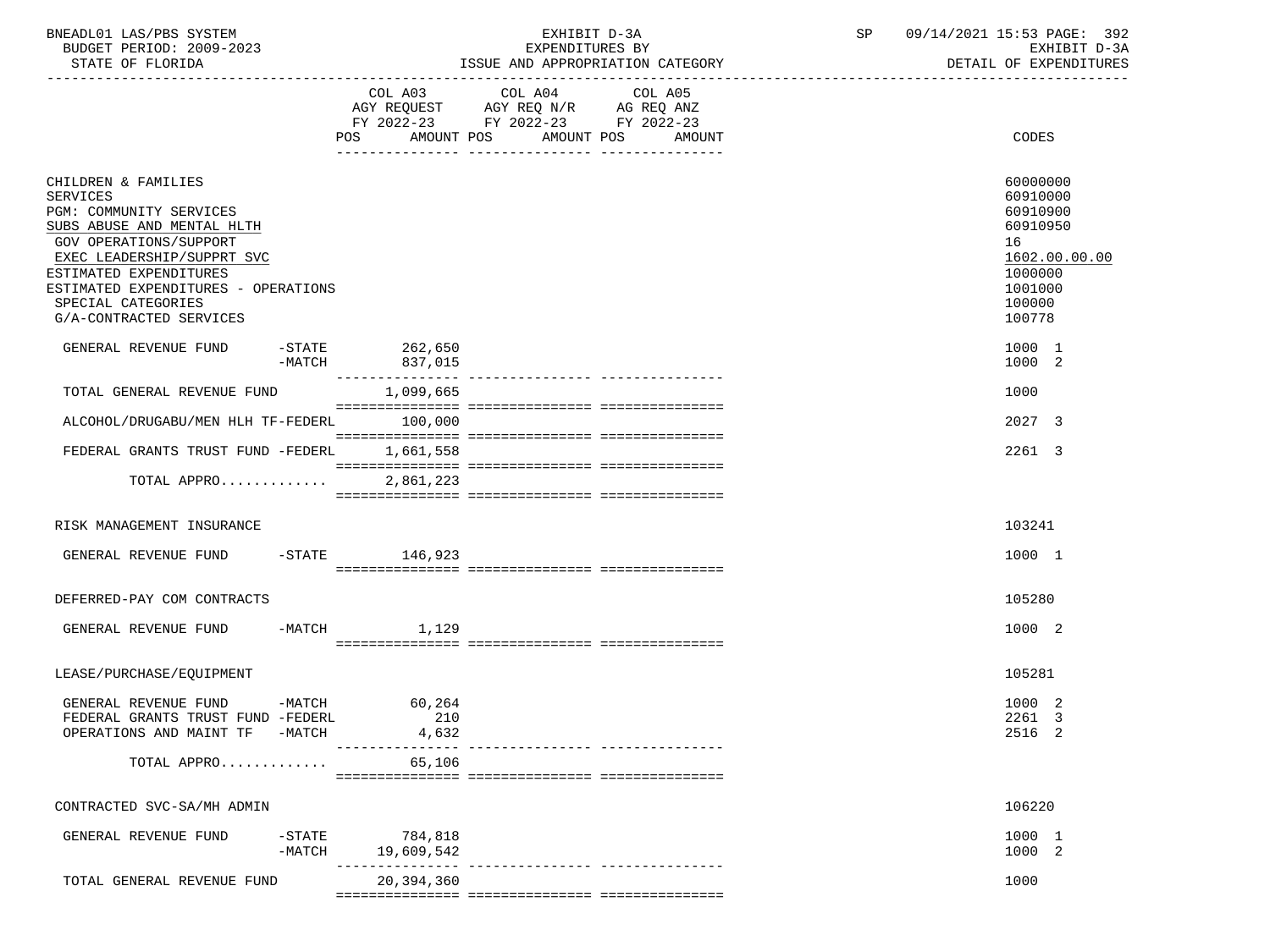| BNEADL01 LAS/PBS SYSTEM  | EXHIBIT D-3A                     | 09/14/2021 15:53 PAGE: 392 |
|--------------------------|----------------------------------|----------------------------|
| BUDGET PERIOD: 2009-2023 | <i>E</i> XPENDITURES BY          | EXHIBIT D-3A               |
| STATE OF FLORIDA         | ISSUE AND APPROPRIATION CATEGORY | DETAIL OF EXPENDITURES     |

|                                                                                                                |                                                                                                                                                                                                                                                                                                                                                                                                                                                                              | COL A03 COL A04 COL A05<br>AGY REQUEST AGY REQ N/R AG REQ ANZ |                                   |                                        |
|----------------------------------------------------------------------------------------------------------------|------------------------------------------------------------------------------------------------------------------------------------------------------------------------------------------------------------------------------------------------------------------------------------------------------------------------------------------------------------------------------------------------------------------------------------------------------------------------------|---------------------------------------------------------------|-----------------------------------|----------------------------------------|
|                                                                                                                |                                                                                                                                                                                                                                                                                                                                                                                                                                                                              | FY 2022-23 FY 2022-23 FY 2022-23                              |                                   |                                        |
|                                                                                                                | POS AMOUNT POS AMOUNT POS AMOUNT                                                                                                                                                                                                                                                                                                                                                                                                                                             |                                                               |                                   | CODES                                  |
|                                                                                                                |                                                                                                                                                                                                                                                                                                                                                                                                                                                                              |                                                               |                                   |                                        |
| CHILDREN & FAMILIES<br><b>SERVICES</b><br>PGM: COMMUNITY SERVICES                                              |                                                                                                                                                                                                                                                                                                                                                                                                                                                                              |                                                               |                                   | 60000000<br>60910000<br>60910900       |
| SUBS ABUSE AND MENTAL HLTH<br>GOV OPERATIONS/SUPPORT<br>EXEC LEADERSHIP/SUPPRT SVC                             |                                                                                                                                                                                                                                                                                                                                                                                                                                                                              |                                                               |                                   | 60910950<br>16<br>1602.00.00.00        |
| ESTIMATED EXPENDITURES<br>ESTIMATED EXPENDITURES - OPERATIONS<br>SPECIAL CATEGORIES<br>G/A-CONTRACTED SERVICES |                                                                                                                                                                                                                                                                                                                                                                                                                                                                              |                                                               |                                   | 1000000<br>1001000<br>100000<br>100778 |
| GENERAL REVENUE FUND<br>$-MATCH$                                                                               | -STATE 262,650<br>837,015<br>---------------                                                                                                                                                                                                                                                                                                                                                                                                                                 |                                                               | ---------------- ---------------- | 1000 1<br>1000 2                       |
| TOTAL GENERAL REVENUE FUND                                                                                     | 1,099,665                                                                                                                                                                                                                                                                                                                                                                                                                                                                    |                                                               |                                   | 1000                                   |
| ALCOHOL/DRUGABU/MEN HLH TF-FEDERL                                                                              | 100,000                                                                                                                                                                                                                                                                                                                                                                                                                                                                      |                                                               |                                   | 2027 3                                 |
| FEDERAL GRANTS TRUST FUND -FEDERL                                                                              | 1,661,558                                                                                                                                                                                                                                                                                                                                                                                                                                                                    |                                                               |                                   | 2261 3                                 |
| TOTAL APPRO                                                                                                    | $\begin{minipage}{0.03\textwidth} \begin{tabular}{l} \textbf{0.04\textwidth} \textbf{0.04\textwidth} \textbf{0.04\textwidth} \textbf{0.04\textwidth} \textbf{0.04\textwidth} \textbf{0.04\textwidth} \textbf{0.04\textwidth} \textbf{0.04\textwidth} \textbf{0.04\textwidth} \textbf{0.04\textwidth} \textbf{0.04\textwidth} \textbf{0.04\textwidth} \textbf{0.04\textwidth} \textbf{0.04\textwidth} \textbf{0.04\textwidth} \textbf{0.04\textwidth} \textbf{0$<br>2,861,223 |                                                               |                                   |                                        |
|                                                                                                                |                                                                                                                                                                                                                                                                                                                                                                                                                                                                              |                                                               |                                   |                                        |
| RISK MANAGEMENT INSURANCE                                                                                      |                                                                                                                                                                                                                                                                                                                                                                                                                                                                              |                                                               |                                   | 103241                                 |
| GENERAL REVENUE FUND -STATE 146,923                                                                            |                                                                                                                                                                                                                                                                                                                                                                                                                                                                              |                                                               |                                   | 1000 1                                 |
| DEFERRED-PAY COM CONTRACTS                                                                                     |                                                                                                                                                                                                                                                                                                                                                                                                                                                                              |                                                               |                                   | 105280                                 |
| $-MATCH$<br>GENERAL REVENUE FUND                                                                               | 1,129                                                                                                                                                                                                                                                                                                                                                                                                                                                                        |                                                               |                                   | 1000 2                                 |
| LEASE/PURCHASE/EQUIPMENT                                                                                       |                                                                                                                                                                                                                                                                                                                                                                                                                                                                              |                                                               |                                   | 105281                                 |
| GENERAL REVENUE FUND -MATCH 60,264<br>FEDERAL GRANTS TRUST FUND -FEDERL<br>OPERATIONS AND MAINT TF -MATCH      | 210<br>4,632                                                                                                                                                                                                                                                                                                                                                                                                                                                                 |                                                               |                                   | 1000 2<br>2261 3<br>2516 2             |
| TOTAL APPRO                                                                                                    | 65,106                                                                                                                                                                                                                                                                                                                                                                                                                                                                       |                                                               |                                   |                                        |
| CONTRACTED SVC-SA/MH ADMIN                                                                                     |                                                                                                                                                                                                                                                                                                                                                                                                                                                                              |                                                               |                                   | 106220                                 |
| $-STATE$<br>GENERAL REVENUE FUND<br>$-MATCH$                                                                   | 784,818<br>19,609,542                                                                                                                                                                                                                                                                                                                                                                                                                                                        |                                                               |                                   | 1000 1<br>1000 2                       |
| TOTAL GENERAL REVENUE FUND                                                                                     | 20,394,360                                                                                                                                                                                                                                                                                                                                                                                                                                                                   |                                                               |                                   | 1000                                   |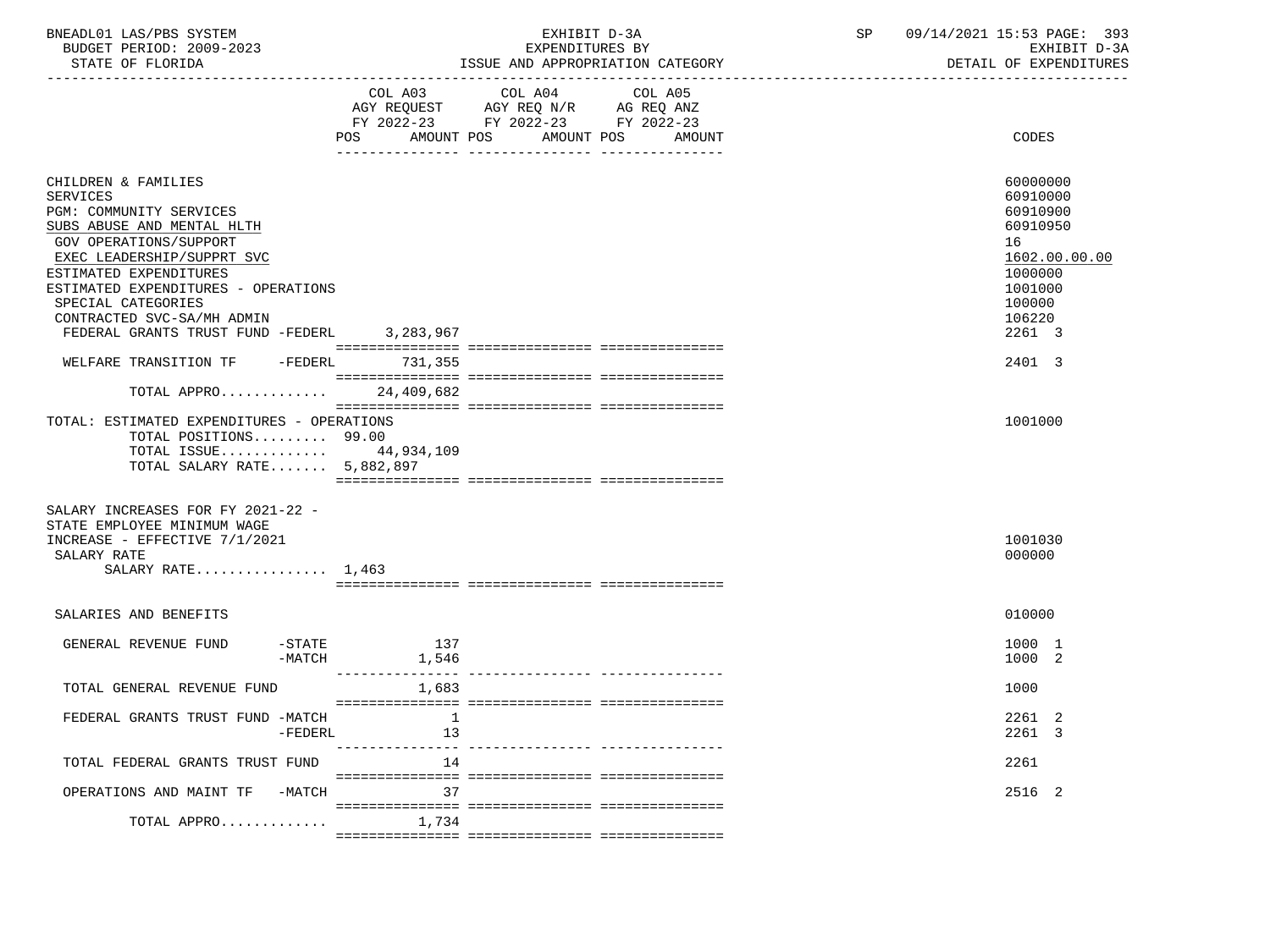| BNEADL01 LAS/PBS SYSTEM |                  |                          | EXHIBIT D-3A                     |
|-------------------------|------------------|--------------------------|----------------------------------|
|                         |                  | BUDGET PERIOD: 2009-2023 | EXPENDITURES BY                  |
|                         | STATE OF FLORIDA |                          | ISSUE AND APPROPRIATION CATEGORY |

|                                                                                                                                                                                                                                                                                                                   | COL A03            | COL A04<br>AGY REQUEST AGY REQ N/R AG REQ ANZ  | COL A05 |                                                                                                                         |
|-------------------------------------------------------------------------------------------------------------------------------------------------------------------------------------------------------------------------------------------------------------------------------------------------------------------|--------------------|------------------------------------------------|---------|-------------------------------------------------------------------------------------------------------------------------|
|                                                                                                                                                                                                                                                                                                                   | AMOUNT POS<br>POS  | FY 2022-23 FY 2022-23 FY 2022-23<br>AMOUNT POS | AMOUNT  | <b>CODES</b>                                                                                                            |
| CHILDREN & FAMILIES<br><b>SERVICES</b><br>PGM: COMMUNITY SERVICES<br>SUBS ABUSE AND MENTAL HLTH<br>GOV OPERATIONS/SUPPORT<br>EXEC LEADERSHIP/SUPPRT SVC<br>ESTIMATED EXPENDITURES<br>ESTIMATED EXPENDITURES - OPERATIONS<br>SPECIAL CATEGORIES<br>CONTRACTED SVC-SA/MH ADMIN<br>FEDERAL GRANTS TRUST FUND -FEDERL | 3,283,967          |                                                |         | 60000000<br>60910000<br>60910900<br>60910950<br>16<br>1602.00.00.00<br>1000000<br>1001000<br>100000<br>106220<br>2261 3 |
| WELFARE TRANSITION TF -FEDERL 731,355                                                                                                                                                                                                                                                                             |                    |                                                |         | 2401 3                                                                                                                  |
| TOTAL APPRO                                                                                                                                                                                                                                                                                                       | 24,409,682         |                                                |         |                                                                                                                         |
| TOTAL: ESTIMATED EXPENDITURES - OPERATIONS<br>TOTAL POSITIONS 99.00<br>TOTAL ISSUE 44,934,109<br>TOTAL SALARY RATE 5,882,897                                                                                                                                                                                      |                    |                                                |         | 1001000                                                                                                                 |
| SALARY INCREASES FOR FY 2021-22 -<br>STATE EMPLOYEE MINIMUM WAGE<br>INCREASE - EFFECTIVE 7/1/2021<br>SALARY RATE<br>SALARY RATE $1,463$                                                                                                                                                                           |                    |                                                |         | 1001030<br>000000                                                                                                       |
| SALARIES AND BENEFITS                                                                                                                                                                                                                                                                                             |                    |                                                |         | 010000                                                                                                                  |
| $-$ STATE<br>GENERAL REVENUE FUND<br>$-MATCH$                                                                                                                                                                                                                                                                     | 137<br>1,546       |                                                |         | 1000 1<br>1000 2                                                                                                        |
| TOTAL GENERAL REVENUE FUND                                                                                                                                                                                                                                                                                        | 1,683              |                                                |         | 1000                                                                                                                    |
| FEDERAL GRANTS TRUST FUND -MATCH<br>-FEDERL                                                                                                                                                                                                                                                                       | $\mathbf{1}$<br>13 |                                                |         | 2261 2<br>2261 3                                                                                                        |
| TOTAL FEDERAL GRANTS TRUST FUND                                                                                                                                                                                                                                                                                   | 14                 |                                                |         | 2261                                                                                                                    |
| OPERATIONS AND MAINT TF -MATCH                                                                                                                                                                                                                                                                                    | 37                 |                                                |         | 2516 2                                                                                                                  |
| TOTAL APPRO                                                                                                                                                                                                                                                                                                       | 1,734              |                                                |         |                                                                                                                         |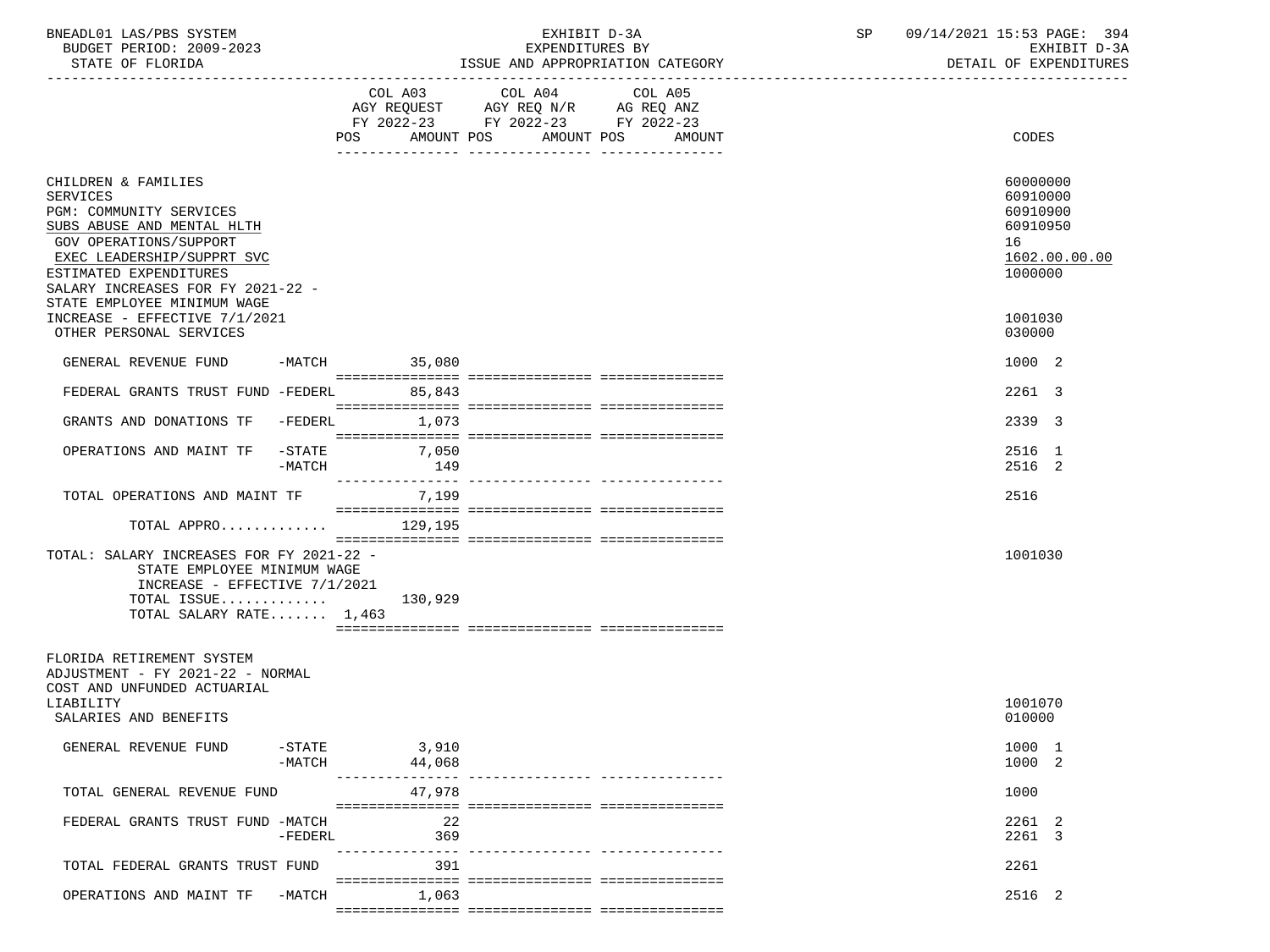| BNEADL01 LAS/PBS SYSTEM |                  |                          | EXHIBIT D-3A                     |  |
|-------------------------|------------------|--------------------------|----------------------------------|--|
|                         |                  | BUDGET PERIOD: 2009-2023 | EXPENDITURES BY                  |  |
|                         | STATE OF FLORIDA |                          | ISSUE AND APPROPRIATION CATEGORY |  |

EXPENDITURES BY EXHIBIT D-3A<br>AND APPROPRIATION CATEGORY AND APPROPRIATION CATEGORY

|                                                                                                                                                                                                                                                |                               | AMOUNT POS<br>POS               | COL A03 COL A04 COL A05<br>AGY REQUEST AGY REQ N/R AG REQ ANZ<br>FY 2022-23 FY 2022-23 FY 2022-23 | AMOUNT POS<br>AMOUNT | CODES                                                                          |
|------------------------------------------------------------------------------------------------------------------------------------------------------------------------------------------------------------------------------------------------|-------------------------------|---------------------------------|---------------------------------------------------------------------------------------------------|----------------------|--------------------------------------------------------------------------------|
| CHILDREN & FAMILIES<br>SERVICES<br>PGM: COMMUNITY SERVICES<br>SUBS ABUSE AND MENTAL HLTH<br>GOV OPERATIONS/SUPPORT<br>EXEC LEADERSHIP/SUPPRT SVC<br>ESTIMATED EXPENDITURES<br>SALARY INCREASES FOR FY 2021-22 -<br>STATE EMPLOYEE MINIMUM WAGE |                               |                                 |                                                                                                   |                      | 60000000<br>60910000<br>60910900<br>60910950<br>16<br>1602.00.00.00<br>1000000 |
| INCREASE - EFFECTIVE 7/1/2021<br>OTHER PERSONAL SERVICES                                                                                                                                                                                       |                               |                                 |                                                                                                   |                      | 1001030<br>030000                                                              |
| GENERAL REVENUE FUND                                                                                                                                                                                                                           |                               | $-MATCH$ 35,080                 |                                                                                                   |                      | 1000 2                                                                         |
| FEDERAL GRANTS TRUST FUND -FEDERL                                                                                                                                                                                                              |                               | 85,843                          |                                                                                                   |                      | 2261 3                                                                         |
| GRANTS AND DONATIONS TF                                                                                                                                                                                                                        | $-FEDERL$                     | 1,073                           |                                                                                                   |                      | 2339 3                                                                         |
| OPERATIONS AND MAINT TF                                                                                                                                                                                                                        | $-$ STATE<br>$-MATCH$         | 7,050<br>149<br>--------------- |                                                                                                   |                      | 2516 1<br>2516 2                                                               |
| TOTAL OPERATIONS AND MAINT TF                                                                                                                                                                                                                  |                               | 7,199                           |                                                                                                   |                      | 2516                                                                           |
| TOTAL APPRO                                                                                                                                                                                                                                    |                               | 129,195                         |                                                                                                   |                      |                                                                                |
| TOTAL: SALARY INCREASES FOR FY 2021-22 -<br>STATE EMPLOYEE MINIMUM WAGE<br>INCREASE - EFFECTIVE 7/1/2021<br>TOTAL ISSUE<br>TOTAL SALARY RATE $1,463$                                                                                           |                               | 130,929                         |                                                                                                   |                      | 1001030                                                                        |
| FLORIDA RETIREMENT SYSTEM<br>ADJUSTMENT - FY 2021-22 - NORMAL<br>COST AND UNFUNDED ACTUARIAL<br>LIABILITY                                                                                                                                      |                               |                                 |                                                                                                   |                      | 1001070                                                                        |
| SALARIES AND BENEFITS<br>GENERAL REVENUE FUND                                                                                                                                                                                                  | $-\mathtt{STATE}$<br>$-MATCH$ | 3,910<br>44,068                 |                                                                                                   |                      | 010000<br>1000 1<br>1000 2                                                     |
| TOTAL GENERAL REVENUE FUND                                                                                                                                                                                                                     |                               | 47,978                          |                                                                                                   |                      | 1000                                                                           |
| FEDERAL GRANTS TRUST FUND -MATCH                                                                                                                                                                                                               | $-FEDERL$                     | 22<br>369                       |                                                                                                   |                      | 2261 2<br>2261 3                                                               |
| TOTAL FEDERAL GRANTS TRUST FUND                                                                                                                                                                                                                |                               | ---------------<br>391          |                                                                                                   |                      | 2261                                                                           |
| OPERATIONS AND MAINT TF                                                                                                                                                                                                                        | -MATCH                        | 1,063                           |                                                                                                   |                      | 2516 2                                                                         |

=============== =============== ===============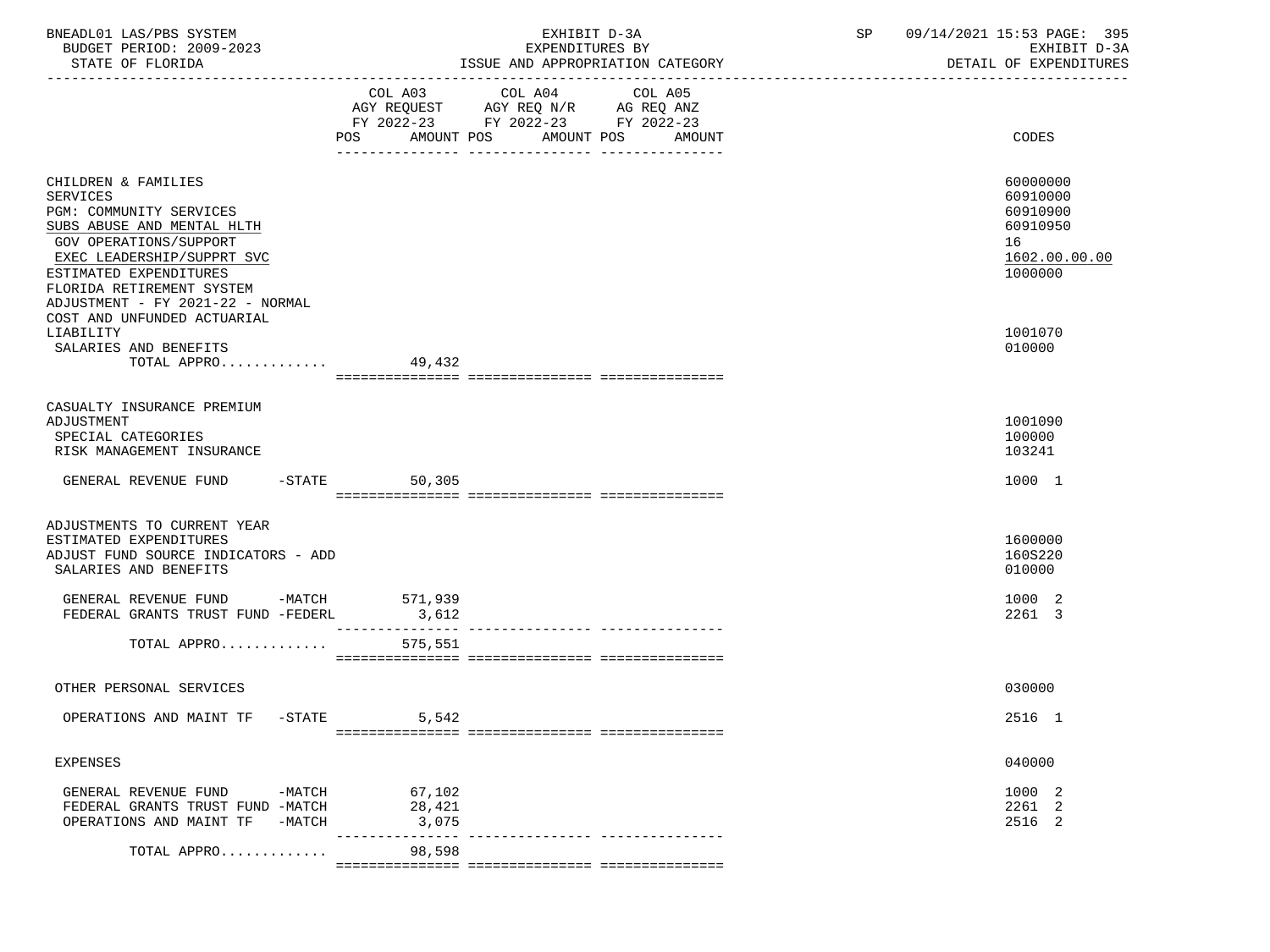| BNEADL01 LAS/PBS SYSTEM<br>BUDGET PERIOD: 2009-2023<br>STATE OF FLORIDA                                                                                                                                                                     |                            | EXHIBIT D-3A<br>EXPENDITURES BY<br>ISSUE AND APPROPRIATION CATEGORY                                                                      | 09/14/2021 15:53 PAGE: 395<br>SP and the set of the set of the set of the set of the set of the set of the set of the set of the set of the s<br>EXHIBIT D-3A<br>DETAIL OF EXPENDITURES |
|---------------------------------------------------------------------------------------------------------------------------------------------------------------------------------------------------------------------------------------------|----------------------------|------------------------------------------------------------------------------------------------------------------------------------------|-----------------------------------------------------------------------------------------------------------------------------------------------------------------------------------------|
|                                                                                                                                                                                                                                             |                            | COL A03 COL A04<br>COL A05<br>AGY REQUEST AGY REQ N/R AG REQ ANZ<br>FY 2022-23 FY 2022-23 FY 2022-23<br>POS AMOUNT POS AMOUNT POS AMOUNT | CODES                                                                                                                                                                                   |
| CHILDREN & FAMILIES<br>SERVICES<br>PGM: COMMUNITY SERVICES<br>SUBS ABUSE AND MENTAL HLTH<br>GOV OPERATIONS/SUPPORT<br>EXEC LEADERSHIP/SUPPRT SVC<br>ESTIMATED EXPENDITURES<br>FLORIDA RETIREMENT SYSTEM<br>ADJUSTMENT - FY 2021-22 - NORMAL |                            |                                                                                                                                          | 60000000<br>60910000<br>60910900<br>60910950<br>16<br>1602.00.00.00<br>1000000                                                                                                          |
| COST AND UNFUNDED ACTUARIAL<br>LIABILITY<br>SALARIES AND BENEFITS<br>TOTAL APPRO $49,432$                                                                                                                                                   |                            |                                                                                                                                          | 1001070<br>010000                                                                                                                                                                       |
| CASUALTY INSURANCE PREMIUM<br>ADJUSTMENT<br>SPECIAL CATEGORIES<br>RISK MANAGEMENT INSURANCE                                                                                                                                                 |                            |                                                                                                                                          | 1001090<br>100000<br>103241                                                                                                                                                             |
| GENERAL REVENUE FUND -STATE                                                                                                                                                                                                                 | 50,305                     |                                                                                                                                          | 1000 1                                                                                                                                                                                  |
| ADJUSTMENTS TO CURRENT YEAR<br>ESTIMATED EXPENDITURES<br>ADJUST FUND SOURCE INDICATORS - ADD<br>SALARIES AND BENEFITS                                                                                                                       |                            |                                                                                                                                          | 1600000<br>160S220<br>010000                                                                                                                                                            |
| GENERAL REVENUE FUND -MATCH 571,939<br>FEDERAL GRANTS TRUST FUND -FEDERL                                                                                                                                                                    | 3,612<br>________________  |                                                                                                                                          | 1000 2<br>2261 3                                                                                                                                                                        |
| TOTAL APPRO                                                                                                                                                                                                                                 | 575,551                    |                                                                                                                                          |                                                                                                                                                                                         |
| OTHER PERSONAL SERVICES                                                                                                                                                                                                                     |                            |                                                                                                                                          | 030000                                                                                                                                                                                  |
| OPERATIONS AND MAINT TF -STATE                                                                                                                                                                                                              | 5,542                      |                                                                                                                                          | 2516 1                                                                                                                                                                                  |
| <b>EXPENSES</b>                                                                                                                                                                                                                             |                            |                                                                                                                                          | 040000                                                                                                                                                                                  |
| GENERAL REVENUE FUND<br>-MATCH<br>FEDERAL GRANTS TRUST FUND -MATCH<br>OPERATIONS AND MAINT TF<br>$-MATCH$                                                                                                                                   | 67,102<br>28,421<br>3,075  |                                                                                                                                          | 1000 2<br>2261 2<br>2516 2                                                                                                                                                              |
| TOTAL APPRO                                                                                                                                                                                                                                 | ----------------<br>98,598 |                                                                                                                                          |                                                                                                                                                                                         |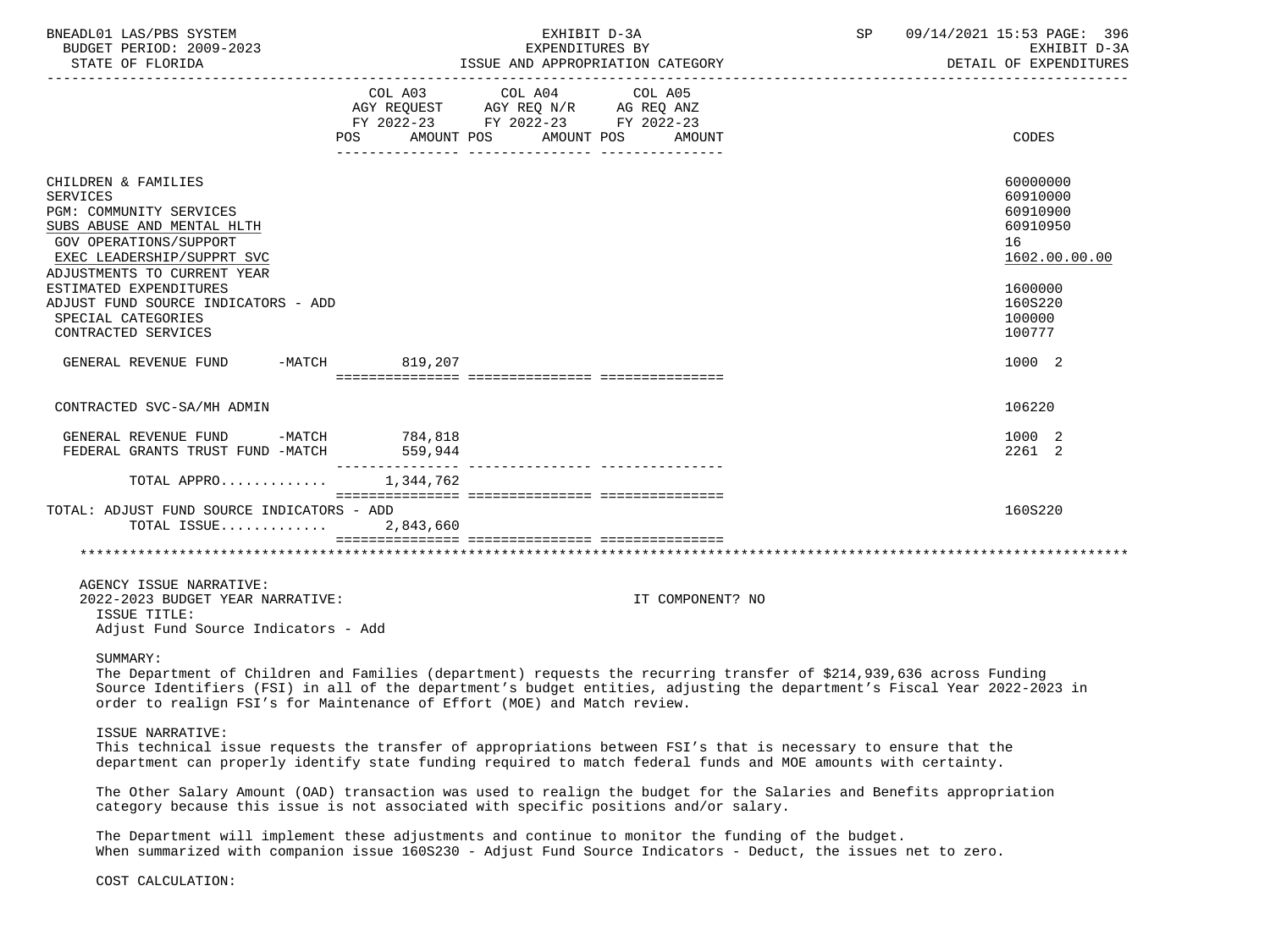| BNEADL01 LAS/PBS SYSTEM<br>BUDGET PERIOD: 2009-2023<br>STATE OF FLORIDA                                                                                                                                                                                                                              |         | EXHIBIT D-3A<br>EXPENDITURES BY                                                                                                | ISSUE AND APPROPRIATION CATEGORY | SP 09/14/2021 15:53 PAGE: 396<br>EXHIBIT D-3A<br>DETAIL OF EXPENDITURES                                       |
|------------------------------------------------------------------------------------------------------------------------------------------------------------------------------------------------------------------------------------------------------------------------------------------------------|---------|--------------------------------------------------------------------------------------------------------------------------------|----------------------------------|---------------------------------------------------------------------------------------------------------------|
|                                                                                                                                                                                                                                                                                                      |         | COL A03 COL A04 COL A05<br>AGY REQUEST AGY REQ N/R AG REQ ANZ<br>FY 2022-23 FY 2022-23 FY 2022-23<br>POS AMOUNT POS AMOUNT POS | AMOUNT                           | CODES                                                                                                         |
| CHILDREN & FAMILIES<br><b>SERVICES</b><br>PGM: COMMUNITY SERVICES<br>SUBS ABUSE AND MENTAL HLTH<br>GOV OPERATIONS/SUPPORT<br>EXEC LEADERSHIP/SUPPRT SVC<br>ADJUSTMENTS TO CURRENT YEAR<br>ESTIMATED EXPENDITURES<br>ADJUST FUND SOURCE INDICATORS - ADD<br>SPECIAL CATEGORIES<br>CONTRACTED SERVICES |         |                                                                                                                                |                                  | 60000000<br>60910000<br>60910900<br>60910950<br>16<br>1602.00.00.00<br>1600000<br>160S220<br>100000<br>100777 |
| GENERAL REVENUE FUND -MATCH 819,207                                                                                                                                                                                                                                                                  |         |                                                                                                                                |                                  | 1000 2                                                                                                        |
| CONTRACTED SVC-SA/MH ADMIN                                                                                                                                                                                                                                                                           |         |                                                                                                                                |                                  | 106220                                                                                                        |
| GENERAL REVENUE FUND -MATCH 784,818<br>FEDERAL GRANTS TRUST FUND -MATCH                                                                                                                                                                                                                              | 559,944 |                                                                                                                                |                                  | 1000 2<br>2261 2                                                                                              |
| TOTAL APPRO 1,344,762                                                                                                                                                                                                                                                                                |         |                                                                                                                                |                                  |                                                                                                               |
| TOTAL: ADJUST FUND SOURCE INDICATORS - ADD<br>TOTAL ISSUE $2,843,660$                                                                                                                                                                                                                                |         |                                                                                                                                |                                  | 160S220                                                                                                       |
|                                                                                                                                                                                                                                                                                                      |         |                                                                                                                                |                                  |                                                                                                               |
| AGENCY ISSUE NARRATIVE:<br>2022-2023 BUDGET YEAR NARRATIVE:<br>ISSUE TITLE:<br>Adjust Fund Source Indicators - Add                                                                                                                                                                                   |         |                                                                                                                                | IT COMPONENT? NO                 |                                                                                                               |

SUMMARY:

 The Department of Children and Families (department) requests the recurring transfer of \$214,939,636 across Funding Source Identifiers (FSI) in all of the department's budget entities, adjusting the department's Fiscal Year 2022-2023 in order to realign FSI's for Maintenance of Effort (MOE) and Match review.

ISSUE NARRATIVE:

 This technical issue requests the transfer of appropriations between FSI's that is necessary to ensure that the department can properly identify state funding required to match federal funds and MOE amounts with certainty.

 The Other Salary Amount (OAD) transaction was used to realign the budget for the Salaries and Benefits appropriation category because this issue is not associated with specific positions and/or salary.

 The Department will implement these adjustments and continue to monitor the funding of the budget. When summarized with companion issue 160S230 - Adjust Fund Source Indicators - Deduct, the issues net to zero.

COST CALCULATION: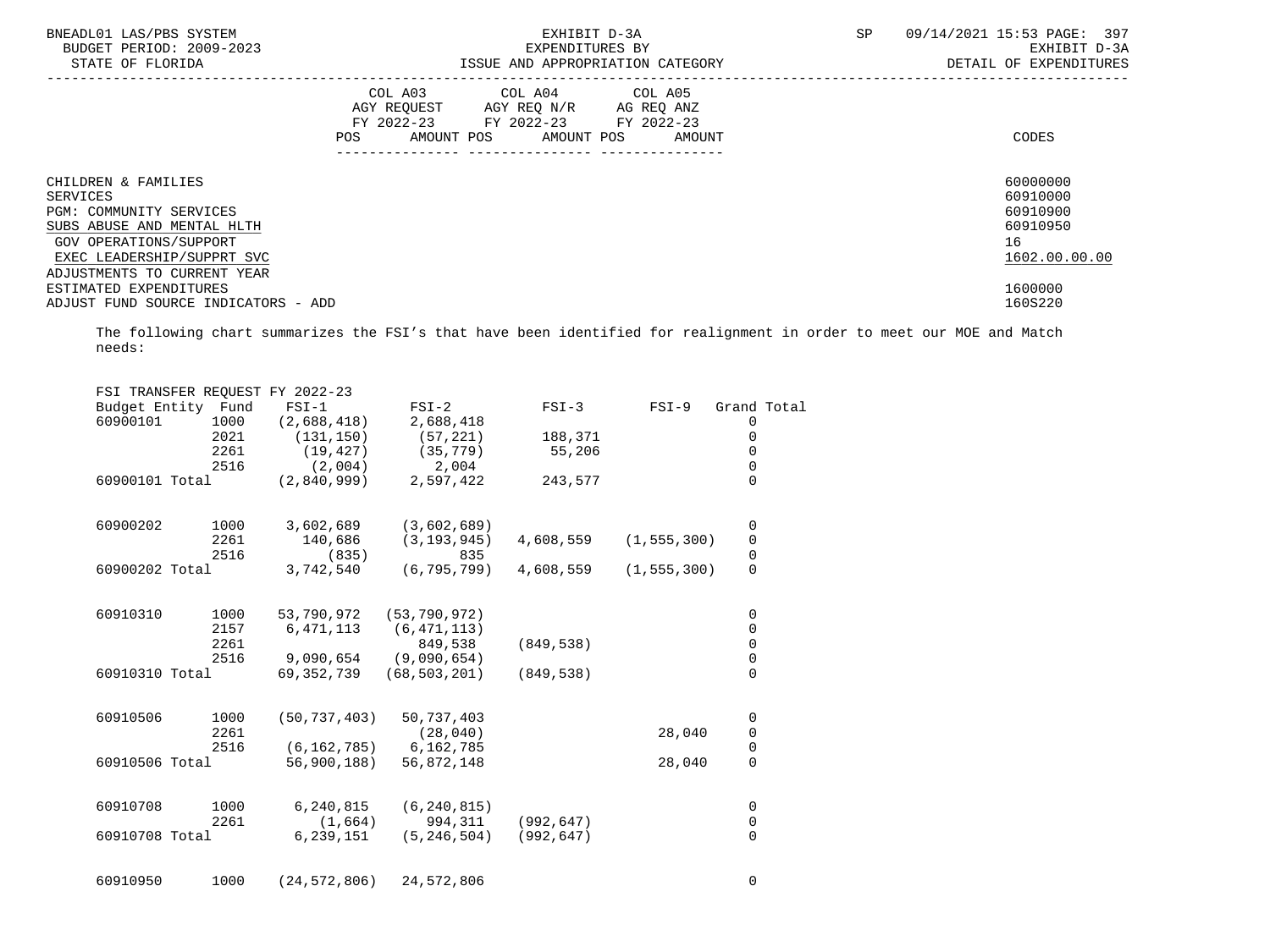| BNEADL01 LAS/PBS SYSTEM<br>BUDGET PERIOD: 2009-2023<br>STATE OF FLORIDA |     |                                                                                                                               | EXHIBIT D-3A<br>EXPENDITURES BY<br>ISSUE AND APPROPRIATION CATEGORY | 09/14/2021 15:53 PAGE: 397<br>SP<br>EXHIBIT D-3A<br>DETAIL OF EXPENDITURES |                      |  |
|-------------------------------------------------------------------------|-----|-------------------------------------------------------------------------------------------------------------------------------|---------------------------------------------------------------------|----------------------------------------------------------------------------|----------------------|--|
|                                                                         | POS | COL A03 COL A04 COL A05<br>AGY REQUEST AGY REQ N/R AG REQ ANZ<br>FY 2022-23 FY 2022-23 FY 2022-23<br>AMOUNT POS<br>AMOUNT POS | AMOUNT                                                              |                                                                            | CODES                |  |
| CHILDREN & FAMILIES<br>SERVICES                                         |     |                                                                                                                               |                                                                     |                                                                            | 60000000<br>60910000 |  |
| <b>PGM: COMMUNITY SERVICES</b>                                          |     |                                                                                                                               |                                                                     |                                                                            | 60910900             |  |
| SUBS ABUSE AND MENTAL HLTH                                              |     |                                                                                                                               |                                                                     |                                                                            | 60910950             |  |
| GOV OPERATIONS/SUPPORT                                                  |     |                                                                                                                               |                                                                     |                                                                            | 16                   |  |
| EXEC LEADERSHIP/SUPPRT SVC                                              |     |                                                                                                                               |                                                                     |                                                                            | 1602.00.00.00        |  |
| ADJUSTMENTS TO CURRENT YEAR                                             |     |                                                                                                                               |                                                                     |                                                                            |                      |  |
| ESTIMATED EXPENDITURES                                                  |     |                                                                                                                               |                                                                     |                                                                            | 1600000              |  |
| ADJUST FUND SOURCE INDICATORS - ADD                                     |     |                                                                                                                               |                                                                     |                                                                            | 160S220              |  |

 The following chart summarizes the FSI's that have been identified for realignment in order to meet our MOE and Match needs:

| FSI TRANSFER REQUEST FY 2022-23 |      |                |                |            |               |                                      |  |
|---------------------------------|------|----------------|----------------|------------|---------------|--------------------------------------|--|
| Budget Entity Fund              |      | $FSI-1$        | $FSI-2$        | $FSI-3$    | $FSI-9$       | Grand Total                          |  |
| 60900101                        | 1000 | (2,688,418)    | 2,688,418      |            |               | 0                                    |  |
|                                 | 2021 | (131, 150)     | (57, 221)      | 188,371    |               | $\mathbf 0$                          |  |
|                                 | 2261 | (19, 427)      | (35, 779)      | 55,206     |               | 0                                    |  |
|                                 | 2516 | (2,004)        | 2,004          |            |               | $\mathsf{O}\xspace$                  |  |
| 60900101 Total                  |      | (2,840,999)    | 2,597,422      | 243,577    |               | $\overline{0}$                       |  |
| 60900202                        | 1000 | 3,602,689      | (3,602,689)    |            |               | 0                                    |  |
|                                 | 2261 | 140,686        | (3, 193, 945)  | 4,608,559  | (1, 555, 300) | $\mathsf 0$                          |  |
|                                 | 2516 | (835)          | 835            |            |               | $\pmb{0}$                            |  |
| 60900202 Total                  |      | 3,742,540      | (6, 795, 799)  | 4,608,559  | (1, 555, 300) | $\overline{0}$                       |  |
| 60910310                        | 1000 | 53,790,972     | (53, 790, 972) |            |               | 0                                    |  |
|                                 | 2157 | 6, 471, 113    | (6, 471, 113)  |            |               | $\mathsf 0$                          |  |
|                                 | 2261 |                | 849,538        | (849, 538) |               | $\mathsf{O}\xspace$                  |  |
|                                 | 2516 | 9,090,654      | (9,090,654)    |            |               | $\mathsf{O}\xspace$                  |  |
| 60910310 Total                  |      | 69,352,739     | (68, 503, 201) | (849, 538) |               | $\Omega$                             |  |
| 60910506                        | 1000 | (50, 737, 403) | 50,737,403     |            |               | $\mathsf 0$                          |  |
|                                 | 2261 |                | (28, 040)      |            | 28,040        | $\mathbf 0$                          |  |
|                                 | 2516 | (6, 162, 785)  | 6,162,785      |            |               | $\begin{matrix} 0 \\ 0 \end{matrix}$ |  |
| 60910506 Total                  |      | 56,900,188)    | 56,872,148     |            | 28,040        |                                      |  |
| 60910708                        | 1000 | 6,240,815      | (6, 240, 815)  |            |               | 0                                    |  |
|                                 | 2261 | (1,664)        | 994,311        | (992, 647) |               | $\mathsf 0$                          |  |
| 60910708 Total                  |      | 6,239,151      | (5, 246, 504)  | (992, 647) |               | 0                                    |  |
| 60910950                        | 1000 | (24, 572, 806) | 24,572,806     |            |               | 0                                    |  |
|                                 |      |                |                |            |               |                                      |  |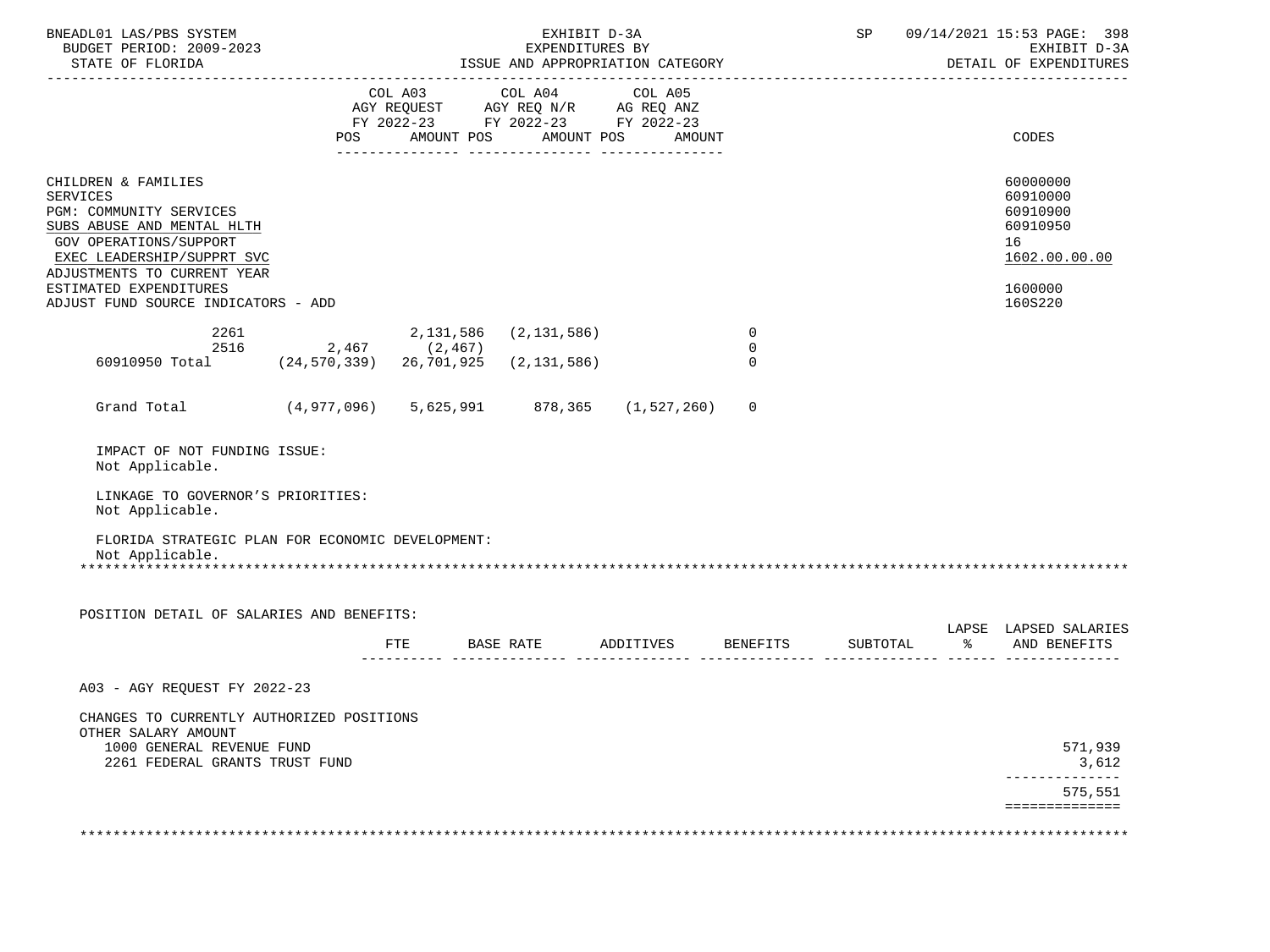| BNEADL01 LAS/PBS SYSTEM<br>BUDGET PERIOD: 2009-2023                                                                                                                                           | EXHIBIT D-3A<br>EXPENDITURES BY |     |                                                                                                   |            |        | SP                                        |                                       | 09/14/2021 15:53 PAGE: 398<br>EXHIBIT D-3A<br>DETAIL OF EXPENDITURES |                                                                     |
|-----------------------------------------------------------------------------------------------------------------------------------------------------------------------------------------------|---------------------------------|-----|---------------------------------------------------------------------------------------------------|------------|--------|-------------------------------------------|---------------------------------------|----------------------------------------------------------------------|---------------------------------------------------------------------|
|                                                                                                                                                                                               |                                 |     | COL A03 COL A04 COL A05<br>AGY REQUEST AGY REQ N/R AG REQ ANZ<br>FY 2022-23 FY 2022-23 FY 2022-23 |            |        |                                           |                                       |                                                                      |                                                                     |
|                                                                                                                                                                                               | POS                             |     | AMOUNT POS                                                                                        | AMOUNT POS | AMOUNT |                                           |                                       |                                                                      | CODES                                                               |
| CHILDREN & FAMILIES<br><b>SERVICES</b><br>PGM: COMMUNITY SERVICES<br>SUBS ABUSE AND MENTAL HLTH<br><b>GOV OPERATIONS/SUPPORT</b><br>EXEC LEADERSHIP/SUPPRT SVC<br>ADJUSTMENTS TO CURRENT YEAR |                                 |     |                                                                                                   |            |        |                                           |                                       |                                                                      | 60000000<br>60910000<br>60910900<br>60910950<br>16<br>1602.00.00.00 |
| ESTIMATED EXPENDITURES<br>ADJUST FUND SOURCE INDICATORS - ADD                                                                                                                                 |                                 |     |                                                                                                   |            |        |                                           |                                       |                                                                      | 1600000<br>160S220                                                  |
| 2261<br>2516<br>60910950 Total (24,570,339) 26,701,925                                                                                                                                        | $2,467$ (2,467)                 |     | 2, 131, 586 (2, 131, 586)<br>(2, 131, 586)                                                        |            |        | $\overline{0}$<br>$\mathbf 0$<br>$\Omega$ |                                       |                                                                      |                                                                     |
| Grand Total (4,977,096) 5,625,991 878,365 (1,527,260)                                                                                                                                         |                                 |     |                                                                                                   |            |        | 0                                         |                                       |                                                                      |                                                                     |
| IMPACT OF NOT FUNDING ISSUE:<br>Not Applicable.<br>LINKAGE TO GOVERNOR'S PRIORITIES:<br>Not Applicable.                                                                                       |                                 |     |                                                                                                   |            |        |                                           |                                       |                                                                      |                                                                     |
| FLORIDA STRATEGIC PLAN FOR ECONOMIC DEVELOPMENT:<br>Not Applicable.                                                                                                                           |                                 |     |                                                                                                   |            |        |                                           |                                       |                                                                      |                                                                     |
| POSITION DETAIL OF SALARIES AND BENEFITS:                                                                                                                                                     |                                 |     |                                                                                                   |            |        |                                           |                                       |                                                                      |                                                                     |
|                                                                                                                                                                                               |                                 | FTE |                                                                                                   |            |        |                                           | BASE RATE ADDITIVES BENEFITS SUBTOTAL | $\frac{8}{6}$                                                        | LAPSE LAPSED SALARIES<br>AND BENEFITS                               |
| A03 - AGY REQUEST FY 2022-23                                                                                                                                                                  |                                 |     |                                                                                                   |            |        |                                           |                                       |                                                                      |                                                                     |
| CHANGES TO CURRENTLY AUTHORIZED POSITIONS<br>OTHER SALARY AMOUNT<br>1000 GENERAL REVENUE FUND<br>2261 FEDERAL GRANTS TRUST FUND                                                               |                                 |     |                                                                                                   |            |        |                                           |                                       |                                                                      | 571,939<br>3,612<br>------------                                    |
|                                                                                                                                                                                               |                                 |     |                                                                                                   |            |        |                                           |                                       |                                                                      | 575,551<br>==============                                           |
|                                                                                                                                                                                               |                                 |     |                                                                                                   |            |        |                                           |                                       |                                                                      |                                                                     |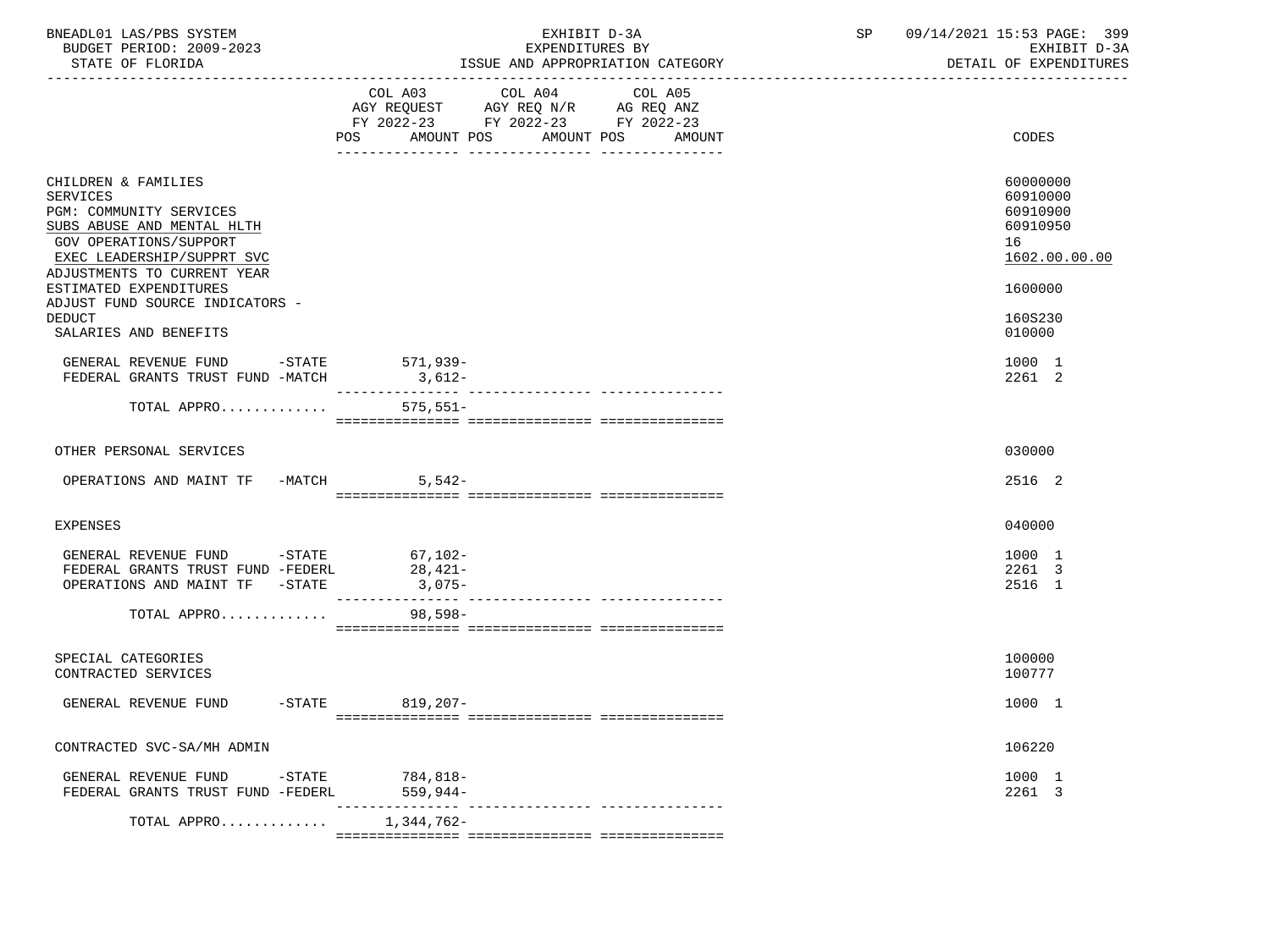| BNEADL01 LAS/PBS SYSTEM<br>BUDGET PERIOD: 2009-2023<br>STATE OF FLORIDA                                                                                                         | EXHIBIT D-3A<br>EXPENDITURES BY<br>ISSUE AND APPROPRIATION CATEGORY | SP<br>09/14/2021 15:53 PAGE: 399<br>EXHIBIT D-3A<br>DETAIL OF EXPENDITURES |
|---------------------------------------------------------------------------------------------------------------------------------------------------------------------------------|---------------------------------------------------------------------|----------------------------------------------------------------------------|
|                                                                                                                                                                                 | COL A03 COL A04 COL A05<br>POS AMOUNT POS AMOUNT POS<br>AMOUNT      | CODES                                                                      |
| CHILDREN & FAMILIES<br>SERVICES<br>PGM: COMMUNITY SERVICES<br>SUBS ABUSE AND MENTAL HLTH<br>GOV OPERATIONS/SUPPORT<br>EXEC LEADERSHIP/SUPPRT SVC<br>ADJUSTMENTS TO CURRENT YEAR |                                                                     | 60000000<br>60910000<br>60910900<br>60910950<br>16<br>1602.00.00.00        |
| ESTIMATED EXPENDITURES<br>ADJUST FUND SOURCE INDICATORS -<br><b>DEDUCT</b><br>SALARIES AND BENEFITS                                                                             |                                                                     | 1600000<br>160S230<br>010000                                               |
| GENERAL REVENUE FUND -STATE 571,939-<br>FEDERAL GRANTS TRUST FUND -MATCH                                                                                                        | $3,612-$                                                            | 1000 1<br>2261 2                                                           |
| TOTAL APPRO                                                                                                                                                                     | $575,551-$                                                          |                                                                            |
| OTHER PERSONAL SERVICES                                                                                                                                                         |                                                                     | 030000                                                                     |
| OPERATIONS AND MAINT TF -MATCH                                                                                                                                                  | $5,542-$                                                            | 2516 2                                                                     |
| <b>EXPENSES</b>                                                                                                                                                                 |                                                                     | 040000                                                                     |
| GENERAL REVENUE FUND -STATE 67,102-<br>FEDERAL GRANTS TRUST FUND -FEDERL<br>OPERATIONS AND MAINT TF -STATE                                                                      | $28,421-$<br>3,075-                                                 | 1000 1<br>2261 3<br>2516 1                                                 |
| TOTAL APPRO                                                                                                                                                                     | 98,598-                                                             |                                                                            |
| SPECIAL CATEGORIES<br>CONTRACTED SERVICES                                                                                                                                       |                                                                     | 100000<br>100777                                                           |
| GENERAL REVENUE FUND -STATE 819,207-                                                                                                                                            |                                                                     | 1000 1                                                                     |
| CONTRACTED SVC-SA/MH ADMIN                                                                                                                                                      |                                                                     | 106220                                                                     |
| GENERAL REVENUE FUND<br>-STATE<br>FEDERAL GRANTS TRUST FUND -FEDERL                                                                                                             | 784,818-<br>559,944-                                                | 1000 1<br>2261 3                                                           |
| TOTAL APPRO                                                                                                                                                                     | ------------<br>1,344,762-                                          |                                                                            |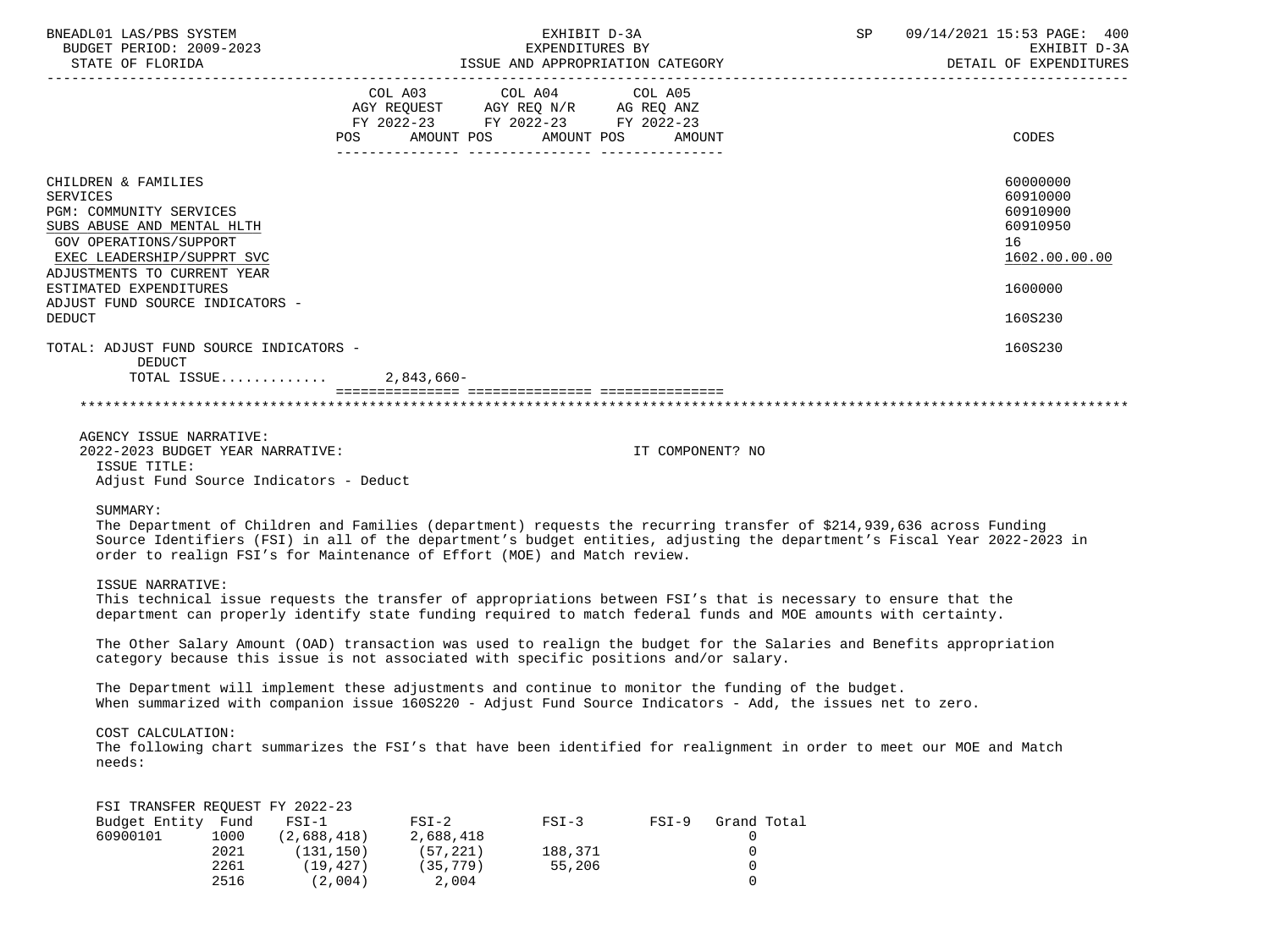| BNEADL01 LAS/PBS SYSTEM<br>BUDGET PERIOD: 2009-2023<br>STATE OF FLORIDA                                                                                                                |                                                              | EXHIBIT D-3A                                                                                                                                                                                                                      |                  | SP                                        | 09/14/2021 15:53 PAGE: 400<br>EXPENDITURES BY<br>ISSUE AND APPROPRIATION CATEGORY DETAIL OF EXPENDITURES                 |
|----------------------------------------------------------------------------------------------------------------------------------------------------------------------------------------|--------------------------------------------------------------|-----------------------------------------------------------------------------------------------------------------------------------------------------------------------------------------------------------------------------------|------------------|-------------------------------------------|--------------------------------------------------------------------------------------------------------------------------|
|                                                                                                                                                                                        |                                                              | COL A03 COL A04 COL A05<br>AGY REQUEST AGY REQ N/R AG REQ ANZ<br>FY 2022-23 FY 2022-23 FY 2022-23<br>POS AMOUNT POS AMOUNT POS                                                                                                    | AMOUNT           |                                           | CODES                                                                                                                    |
| CHILDREN & FAMILIES<br><b>SERVICES</b><br>PGM: COMMUNITY SERVICES<br>SUBS ABUSE AND MENTAL HLTH<br>GOV OPERATIONS/SUPPORT<br>EXEC LEADERSHIP/SUPPRT SVC<br>ADJUSTMENTS TO CURRENT YEAR |                                                              |                                                                                                                                                                                                                                   |                  |                                           | 60000000<br>60910000<br>60910900<br>60910950<br>16<br>1602.00.00.00                                                      |
| ESTIMATED EXPENDITURES                                                                                                                                                                 |                                                              |                                                                                                                                                                                                                                   |                  |                                           | 1600000                                                                                                                  |
| ADJUST FUND SOURCE INDICATORS -<br><b>DEDUCT</b>                                                                                                                                       |                                                              |                                                                                                                                                                                                                                   |                  |                                           | 160S230                                                                                                                  |
| TOTAL: ADJUST FUND SOURCE INDICATORS -<br>DEDUCT                                                                                                                                       | TOTAL ISSUE 2,843,660-                                       |                                                                                                                                                                                                                                   |                  |                                           | 160S230                                                                                                                  |
|                                                                                                                                                                                        |                                                              |                                                                                                                                                                                                                                   |                  |                                           |                                                                                                                          |
| AGENCY ISSUE NARRATIVE:<br>2022-2023 BUDGET YEAR NARRATIVE:<br>ISSUE TITLE:                                                                                                            | Adjust Fund Source Indicators - Deduct                       |                                                                                                                                                                                                                                   | IT COMPONENT? NO |                                           |                                                                                                                          |
| SUMMARY:                                                                                                                                                                               |                                                              | The Department of Children and Families (department) requests the recurring transfer of \$214,939,636 across Funding<br>order to realign FSI's for Maintenance of Effort (MOE) and Match review.                                  |                  |                                           | Source Identifiers (FSI) in all of the department's budget entities, adjusting the department's Fiscal Year 2022-2023 in |
| ISSUE NARRATIVE:                                                                                                                                                                       |                                                              | This technical issue requests the transfer of appropriations between FSI's that is necessary to ensure that the<br>department can properly identify state funding required to match federal funds and MOE amounts with certainty. |                  |                                           |                                                                                                                          |
|                                                                                                                                                                                        |                                                              | The Other Salary Amount (OAD) transaction was used to realign the budget for the Salaries and Benefits appropriation<br>category because this issue is not associated with specific positions and/or salary.                      |                  |                                           |                                                                                                                          |
|                                                                                                                                                                                        |                                                              | The Department will implement these adjustments and continue to monitor the funding of the budget.<br>When summarized with companion issue 160S220 - Adjust Fund Source Indicators - Add, the issues net to zero.                 |                  |                                           |                                                                                                                          |
| COST CALCULATION:<br>needs:                                                                                                                                                            |                                                              | The following chart summarizes the FSI's that have been identified for realignment in order to meet our MOE and Match                                                                                                             |                  |                                           |                                                                                                                          |
| FSI TRANSFER REQUEST FY 2022-23<br>Budget Entity Fund<br>60900101<br>1000<br>2021<br>2261<br>2516                                                                                      | $FSI-1$<br>(2,688,418)<br>(131, 150)<br>(19, 427)<br>(2,004) | $FSI-2$<br>$FSI-3$<br>2,688,418<br>188,371<br>(57, 221)<br>(35, 779)<br>55,206<br>2,004                                                                                                                                           | $FSI-9$          | Grand Total<br>0<br>0<br>0<br>$\mathbf 0$ |                                                                                                                          |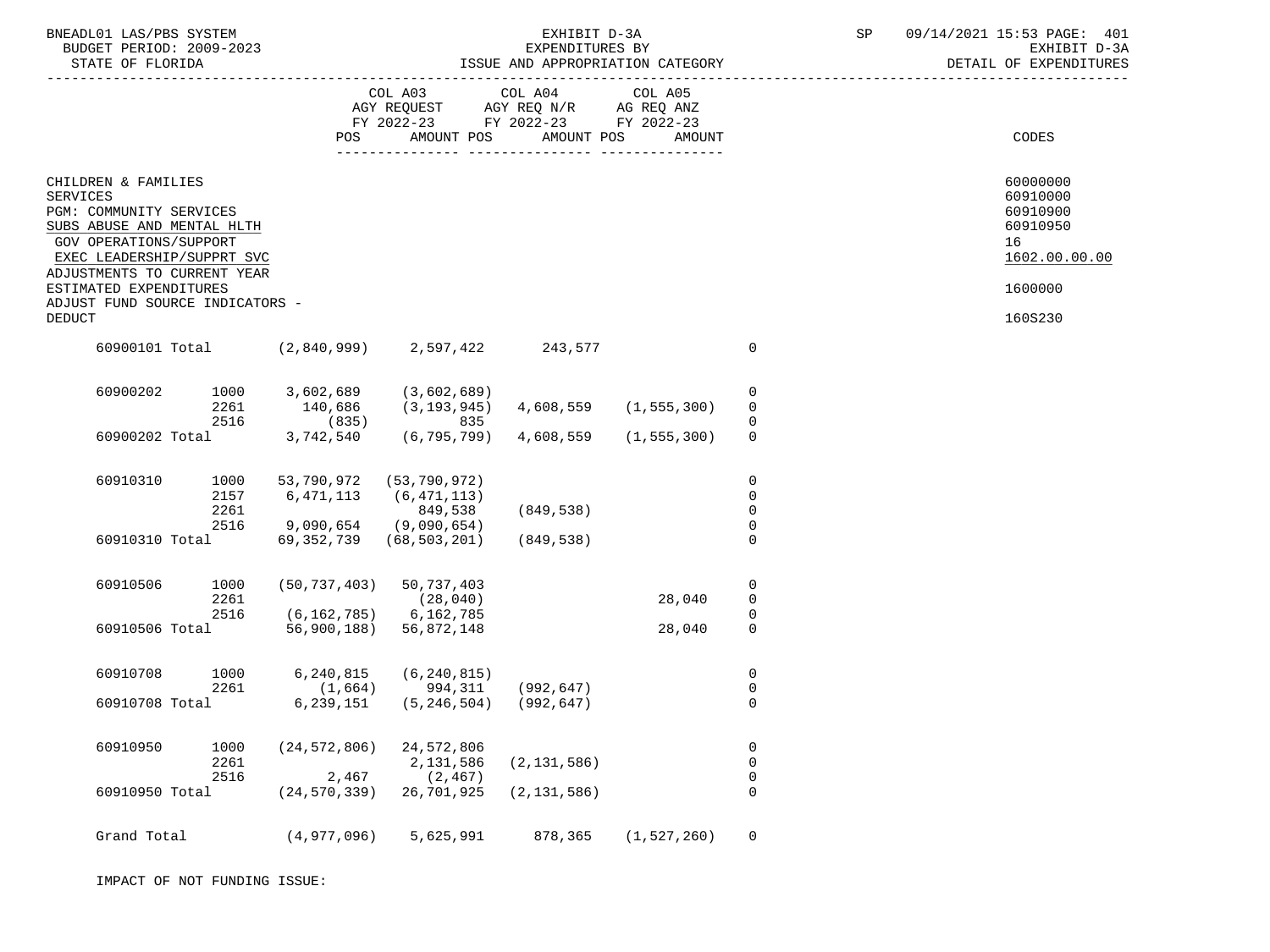| BNEADL01 LAS/PBS SYSTEM<br>BUDGET PERIOD: 2009-2023                                             |                      |                                                                                                                             |                                              |               |               |                                              |  | SP 09/14/2021 15:53 PAGE: 401<br>EXHIBIT D-3A<br>DETAIL OF EXPENDITURES |
|-------------------------------------------------------------------------------------------------|----------------------|-----------------------------------------------------------------------------------------------------------------------------|----------------------------------------------|---------------|---------------|----------------------------------------------|--|-------------------------------------------------------------------------|
|                                                                                                 |                      |                                                                                                                             | COL A03 COL A04 COL A05                      |               |               |                                              |  |                                                                         |
|                                                                                                 |                      | POS                                                                                                                         | AMOUNT POS                                   | AMOUNT POS    | AMOUNT        |                                              |  | CODES                                                                   |
| CHILDREN & FAMILIES<br><b>SERVICES</b><br>PGM: COMMUNITY SERVICES<br>SUBS ABUSE AND MENTAL HLTH |                      |                                                                                                                             |                                              |               |               |                                              |  | 60000000<br>60910000<br>60910900<br>60910950                            |
| GOV OPERATIONS/SUPPORT<br>EXEC LEADERSHIP/SUPPRT SVC                                            |                      |                                                                                                                             |                                              |               |               |                                              |  | 16<br>1602.00.00.00                                                     |
| ADJUSTMENTS TO CURRENT YEAR<br>ESTIMATED EXPENDITURES                                           |                      |                                                                                                                             |                                              |               |               |                                              |  | 1600000                                                                 |
| ADJUST FUND SOURCE INDICATORS -<br><b>DEDUCT</b>                                                |                      |                                                                                                                             |                                              |               |               |                                              |  | 160S230                                                                 |
|                                                                                                 |                      | 60900101 Total (2,840,999) 2,597,422 243,577                                                                                |                                              |               |               | $\mathbf 0$                                  |  |                                                                         |
| 60900202                                                                                        |                      | 1000          3,602,689          (3,602,689)<br>2261             140,686        (3,193,945)      4,608,559      (1,555,300) |                                              |               |               | 0<br>$\overline{0}$                          |  |                                                                         |
|                                                                                                 | 2516                 | 60900202 Total 3,742,540 (6,795,799) 4,608,559 (1,555,300)                                                                  | $(835)$ 835                                  |               |               | $\mathbf 0$                                  |  |                                                                         |
| 60910310                                                                                        | 2157<br>2261         | 1000 53,790,972 (53,790,972)<br>6, 471, 113                                                                                 | (6, 471, 113)<br>849,538                     | (849, 538)    |               | $\mathbf 0$<br>$\mathbf 0$<br>$\overline{0}$ |  |                                                                         |
| 60910310 Total                                                                                  |                      | 2516 9,090,654 (9,090,654)<br>69,352,739 (68,503,201)                                                                       |                                              | (849,538)     |               | $\Omega$                                     |  |                                                                         |
| 60910506                                                                                        | 1000<br>2261         | $(50, 737, 403)$ 50, 737, 403                                                                                               | (28, 040)                                    |               | 28,040        | 0<br>$\overline{0}$<br>$\mathbf 0$           |  |                                                                         |
| 60910506 Total                                                                                  | 2516                 | $(6, 162, 785)$ 6, 162, 785<br>56,900,188) 56,872,148                                                                       |                                              |               | 28,040        | $\mathbf 0$                                  |  |                                                                         |
| 60910708                                                                                        | 1000<br>2261         | 6,240,815                                                                                                                   | (6, 240, 815)<br>$(1,664)$ 994,311 (992,647) |               |               | 0<br>$\overline{0}$                          |  |                                                                         |
| 60910708 Total                                                                                  |                      |                                                                                                                             | $6, 239, 151$ $(5, 246, 504)$ $(992, 647)$   |               |               | $\mathbf 0$                                  |  |                                                                         |
| 60910950                                                                                        | 1000<br>2261<br>2516 | (24, 572, 806)<br>2,467                                                                                                     | 24,572,806<br>2,131,586<br>(2, 467)          | (2, 131, 586) |               | 0<br>$\mathsf 0$<br>$\boldsymbol{0}$         |  |                                                                         |
| 60910950 Total                                                                                  |                      | (24, 570, 339)                                                                                                              | 26,701,925                                   | (2, 131, 586) |               | 0                                            |  |                                                                         |
| Grand Total                                                                                     |                      | (4, 977, 096)                                                                                                               | 5,625,991                                    | 878,365       | (1, 527, 260) | $\overline{0}$                               |  |                                                                         |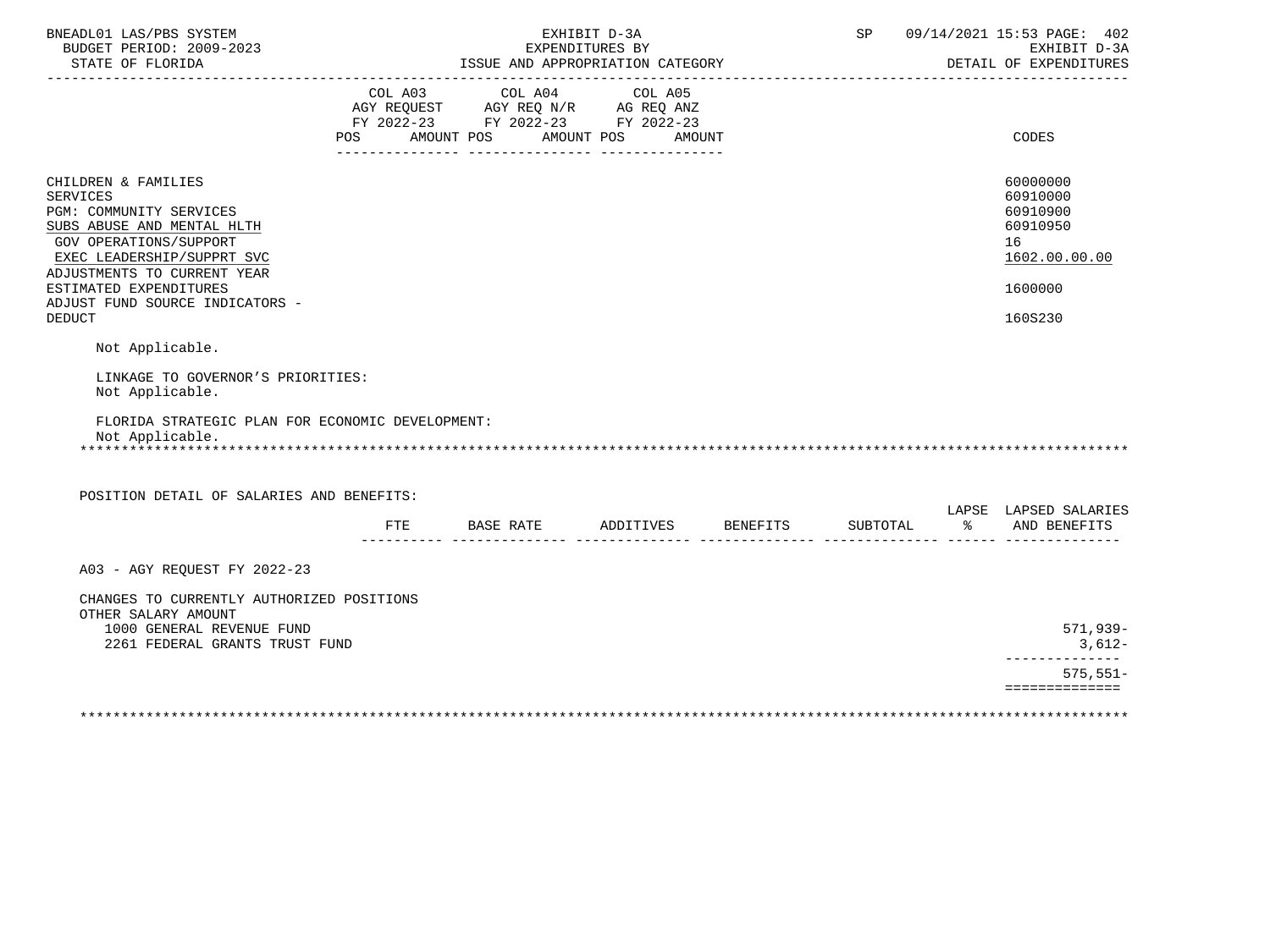| BNEADL01 LAS/PBS SYSTEM<br>BUDGET PERIOD: 2009-2023                                                                                                                                                                                                                                                                                                                                                                    | EXHIBIT D-3A<br>EXPENDITURES BY |                                                                                                                                   |  |  |          | SP 09/14/2021 15:53 PAGE: 402<br>EXHIBIT D-3A<br>DETAIL OF EXPENDITURES                   |
|------------------------------------------------------------------------------------------------------------------------------------------------------------------------------------------------------------------------------------------------------------------------------------------------------------------------------------------------------------------------------------------------------------------------|---------------------------------|-----------------------------------------------------------------------------------------------------------------------------------|--|--|----------|-------------------------------------------------------------------------------------------|
|                                                                                                                                                                                                                                                                                                                                                                                                                        | POS                             | COL A03 COL A04 COL A05<br>AGY REQUEST AGY REQ N/R AG REQ ANZ<br>FY 2022-23 FY 2022-23 FY 2022-23<br>AMOUNT POS AMOUNT POS AMOUNT |  |  |          | CODES                                                                                     |
| CHILDREN & FAMILIES<br><b>SERVICES</b><br>PGM: COMMUNITY SERVICES<br>SUBS ABUSE AND MENTAL HLTH<br>GOV OPERATIONS/SUPPORT<br>EXEC LEADERSHIP/SUPPRT SVC<br>ADJUSTMENTS TO CURRENT YEAR<br>ESTIMATED EXPENDITURES<br>ADJUST FUND SOURCE INDICATORS -<br><b>DEDUCT</b><br>Not Applicable.<br>LINKAGE TO GOVERNOR'S PRIORITIES:<br>Not Applicable.<br>FLORIDA STRATEGIC PLAN FOR ECONOMIC DEVELOPMENT:<br>Not Applicable. |                                 |                                                                                                                                   |  |  |          | 60000000<br>60910000<br>60910900<br>60910950<br>16<br>1602.00.00.00<br>1600000<br>160S230 |
| POSITION DETAIL OF SALARIES AND BENEFITS:                                                                                                                                                                                                                                                                                                                                                                              |                                 |                                                                                                                                   |  |  |          |                                                                                           |
|                                                                                                                                                                                                                                                                                                                                                                                                                        |                                 | FTE BASE RATE ADDITIVES BENEFITS                                                                                                  |  |  | SUBTOTAL | LAPSE LAPSED SALARIES<br>% AND BENEFITS                                                   |
| A03 - AGY REQUEST FY 2022-23                                                                                                                                                                                                                                                                                                                                                                                           |                                 |                                                                                                                                   |  |  |          |                                                                                           |
| CHANGES TO CURRENTLY AUTHORIZED POSITIONS<br>OTHER SALARY AMOUNT<br>1000 GENERAL REVENUE FUND<br>2261 FEDERAL GRANTS TRUST FUND                                                                                                                                                                                                                                                                                        |                                 |                                                                                                                                   |  |  |          | 571,939-<br>3,612-                                                                        |
|                                                                                                                                                                                                                                                                                                                                                                                                                        |                                 |                                                                                                                                   |  |  |          | --------------<br>$575, 551 -$                                                            |
|                                                                                                                                                                                                                                                                                                                                                                                                                        |                                 |                                                                                                                                   |  |  |          | ==============                                                                            |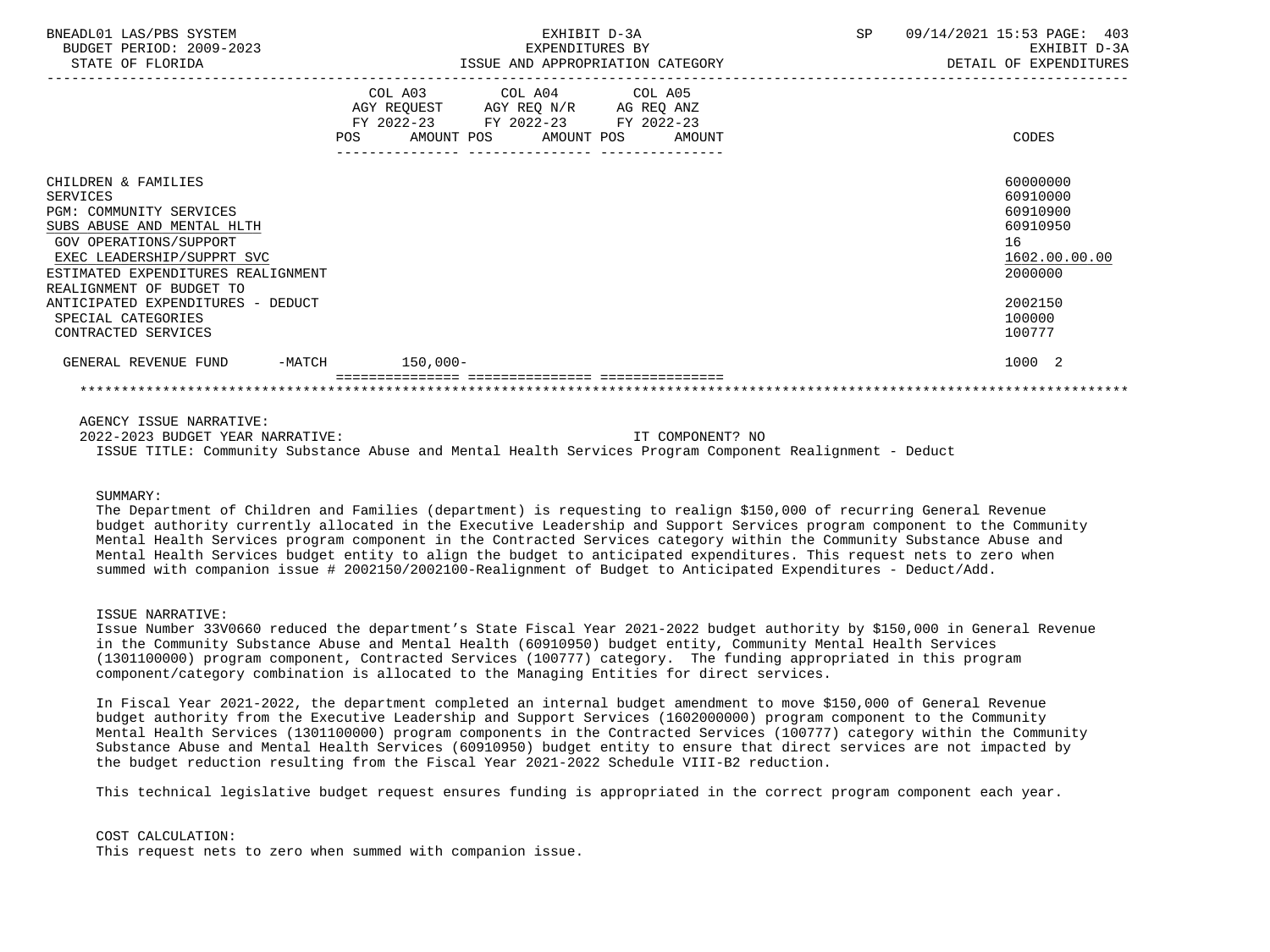| BNEADL01 LAS/PBS SYSTEM<br>BUDGET PERIOD: 2009-2023<br>STATE OF FLORIDA                                                                                                                       | EXHIBIT D-3A<br>EXPENDITURES BY<br>ISSUE AND APPROPRIATION CATEGORY |                                                                                                                            | SP     | 09/14/2021 15:53 PAGE: 403<br>EXHIBIT D-3A<br>DETAIL OF EXPENDITURES |                                                                                |
|-----------------------------------------------------------------------------------------------------------------------------------------------------------------------------------------------|---------------------------------------------------------------------|----------------------------------------------------------------------------------------------------------------------------|--------|----------------------------------------------------------------------|--------------------------------------------------------------------------------|
|                                                                                                                                                                                               | POS                                                                 | COL A03 COL A04 COL A05<br>AGY REQUEST AGY REQ N/R AG REQ ANZ<br>FY 2022-23 FY 2022-23 FY 2022-23<br>AMOUNT POS AMOUNT POS | AMOUNT |                                                                      | CODES                                                                          |
| CHILDREN & FAMILIES<br><b>SERVICES</b><br>PGM: COMMUNITY SERVICES<br>SUBS ABUSE AND MENTAL HLTH<br>GOV OPERATIONS/SUPPORT<br>EXEC LEADERSHIP/SUPPRT SVC<br>ESTIMATED EXPENDITURES REALIGNMENT |                                                                     |                                                                                                                            |        |                                                                      | 60000000<br>60910000<br>60910900<br>60910950<br>16<br>1602.00.00.00<br>2000000 |
| REALIGNMENT OF BUDGET TO<br>ANTICIPATED EXPENDITURES - DEDUCT<br>SPECIAL CATEGORIES<br>CONTRACTED SERVICES                                                                                    |                                                                     |                                                                                                                            |        |                                                                      | 2002150<br>100000<br>100777                                                    |
| GENERAL REVENUE FUND                                                                                                                                                                          | -MATCH 150,000-                                                     |                                                                                                                            |        |                                                                      | 1000 2                                                                         |

AGENCY ISSUE NARRATIVE:

 2022-2023 BUDGET YEAR NARRATIVE: IT COMPONENT? NO ISSUE TITLE: Community Substance Abuse and Mental Health Services Program Component Realignment - Deduct

## SUMMARY:

 The Department of Children and Families (department) is requesting to realign \$150,000 of recurring General Revenue budget authority currently allocated in the Executive Leadership and Support Services program component to the Community Mental Health Services program component in the Contracted Services category within the Community Substance Abuse and Mental Health Services budget entity to align the budget to anticipated expenditures. This request nets to zero when summed with companion issue # 2002150/2002100-Realignment of Budget to Anticipated Expenditures - Deduct/Add.

## ISSUE NARRATIVE:

 Issue Number 33V0660 reduced the department's State Fiscal Year 2021-2022 budget authority by \$150,000 in General Revenue in the Community Substance Abuse and Mental Health (60910950) budget entity, Community Mental Health Services (1301100000) program component, Contracted Services (100777) category. The funding appropriated in this program component/category combination is allocated to the Managing Entities for direct services.

 In Fiscal Year 2021-2022, the department completed an internal budget amendment to move \$150,000 of General Revenue budget authority from the Executive Leadership and Support Services (1602000000) program component to the Community Mental Health Services (1301100000) program components in the Contracted Services (100777) category within the Community Substance Abuse and Mental Health Services (60910950) budget entity to ensure that direct services are not impacted by the budget reduction resulting from the Fiscal Year 2021-2022 Schedule VIII-B2 reduction.

This technical legislative budget request ensures funding is appropriated in the correct program component each year.

 COST CALCULATION: This request nets to zero when summed with companion issue.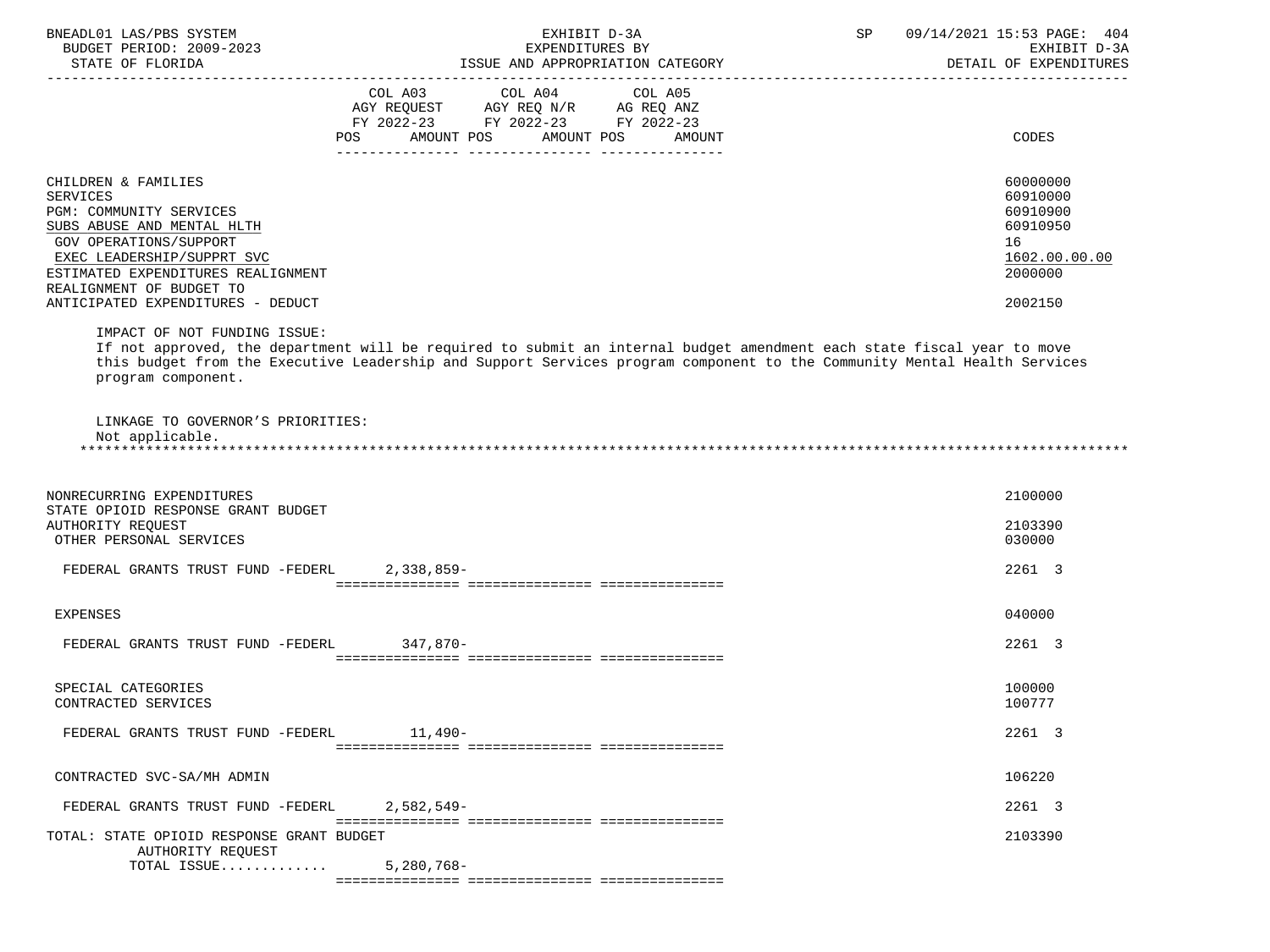| BNEADL01 LAS/PBS SYSTEM<br>BUDGET PERIOD: 2009-2023<br>STATE OF FLORIDA                                                                                                                                                                                               | EXHIBIT D-3A<br>EXPENDITURES BY<br>ISSUE AND APPROPRIATION CATEGORY                                                                                                                                                                                                                                                                                                                                                                                           | SP | 09/14/2021 15:53 PAGE: 404<br>EXHIBIT D-3A<br>DETAIL OF EXPENDITURES                      |
|-----------------------------------------------------------------------------------------------------------------------------------------------------------------------------------------------------------------------------------------------------------------------|---------------------------------------------------------------------------------------------------------------------------------------------------------------------------------------------------------------------------------------------------------------------------------------------------------------------------------------------------------------------------------------------------------------------------------------------------------------|----|-------------------------------------------------------------------------------------------|
|                                                                                                                                                                                                                                                                       | $\begin{tabular}{lllllllllllll} &\multicolumn{4}{c }{COL\ \ \text{A03}} &\multicolumn{4}{c }{COL\ \ \text{A04}} &\multicolumn{4}{c }{COL\ \ \text{A05}} \\ \multicolumn{4}{c }{AGY\ \ \text{REQUEST}} &\multicolumn{4}{c }{AGY\ \ \text{REQ}\ \ \text{N/R}} &\multicolumn{4}{c }{AG\ \ \text{REQ}\ \ \text{ANZ}} \\ \multicolumn{4}{c }{FY\ \ 2022-23} &\multicolumn{4}{c }{FY\ \ 2022-23} &\multicolumn{4}{c }{FY\ \ 20$<br>POS AMOUNT POS AMOUNT POS AMOUNT |    | CODES                                                                                     |
| CHILDREN & FAMILIES<br><b>SERVICES</b><br><b>PGM: COMMUNITY SERVICES</b><br>SUBS ABUSE AND MENTAL HLTH<br>GOV OPERATIONS/SUPPORT<br>EXEC LEADERSHIP/SUPPRT SVC<br>ESTIMATED EXPENDITURES REALIGNMENT<br>REALIGNMENT OF BUDGET TO<br>ANTICIPATED EXPENDITURES - DEDUCT |                                                                                                                                                                                                                                                                                                                                                                                                                                                               |    | 60000000<br>60910000<br>60910900<br>60910950<br>16<br>1602.00.00.00<br>2000000<br>2002150 |
| IMPACT OF NOT FUNDING ISSUE:<br>program component.                                                                                                                                                                                                                    | If not approved, the department will be required to submit an internal budget amendment each state fiscal year to move<br>this budget from the Executive Leadership and Support Services program component to the Community Mental Health Services                                                                                                                                                                                                            |    |                                                                                           |
| LINKAGE TO GOVERNOR'S PRIORITIES:<br>Not applicable.                                                                                                                                                                                                                  |                                                                                                                                                                                                                                                                                                                                                                                                                                                               |    |                                                                                           |
| NONRECURRING EXPENDITURES<br>STATE OPIOID RESPONSE GRANT BUDGET<br>AUTHORITY REOUEST<br>OTHER PERSONAL SERVICES                                                                                                                                                       |                                                                                                                                                                                                                                                                                                                                                                                                                                                               |    | 2100000<br>2103390<br>030000                                                              |
| FEDERAL GRANTS TRUST FUND -FEDERL 2,338,859-                                                                                                                                                                                                                          |                                                                                                                                                                                                                                                                                                                                                                                                                                                               |    | 2261 3                                                                                    |
| <b>EXPENSES</b>                                                                                                                                                                                                                                                       |                                                                                                                                                                                                                                                                                                                                                                                                                                                               |    | 040000                                                                                    |
| FEDERAL GRANTS TRUST FUND -FEDERL 347,870-                                                                                                                                                                                                                            |                                                                                                                                                                                                                                                                                                                                                                                                                                                               |    | 2261 3                                                                                    |

SPECIAL CATEGORIES 100000 POSTAGORIES AND SERVICES AND SERVICES AND SERVICES AND SERVICES AND SERVICES AND SERVICES

FEDERAL GRANTS TRUST FUND -FEDERL 11,490- 2261 3

 CONTRACTED SVC-SA/MH ADMIN 106220 FEDERAL GRANTS TRUST FUND -FEDERL 2,582,549- 2261 3 =============== =============== =============== TOTAL: STATE OPIOID RESPONSE GRANT BUDGET 2103390 AUTHORITY REQUEST TOTAL ISSUE............. 5,280,768- =============== =============== ===============

=============== =============== ===============

CONTRACTED SERVICES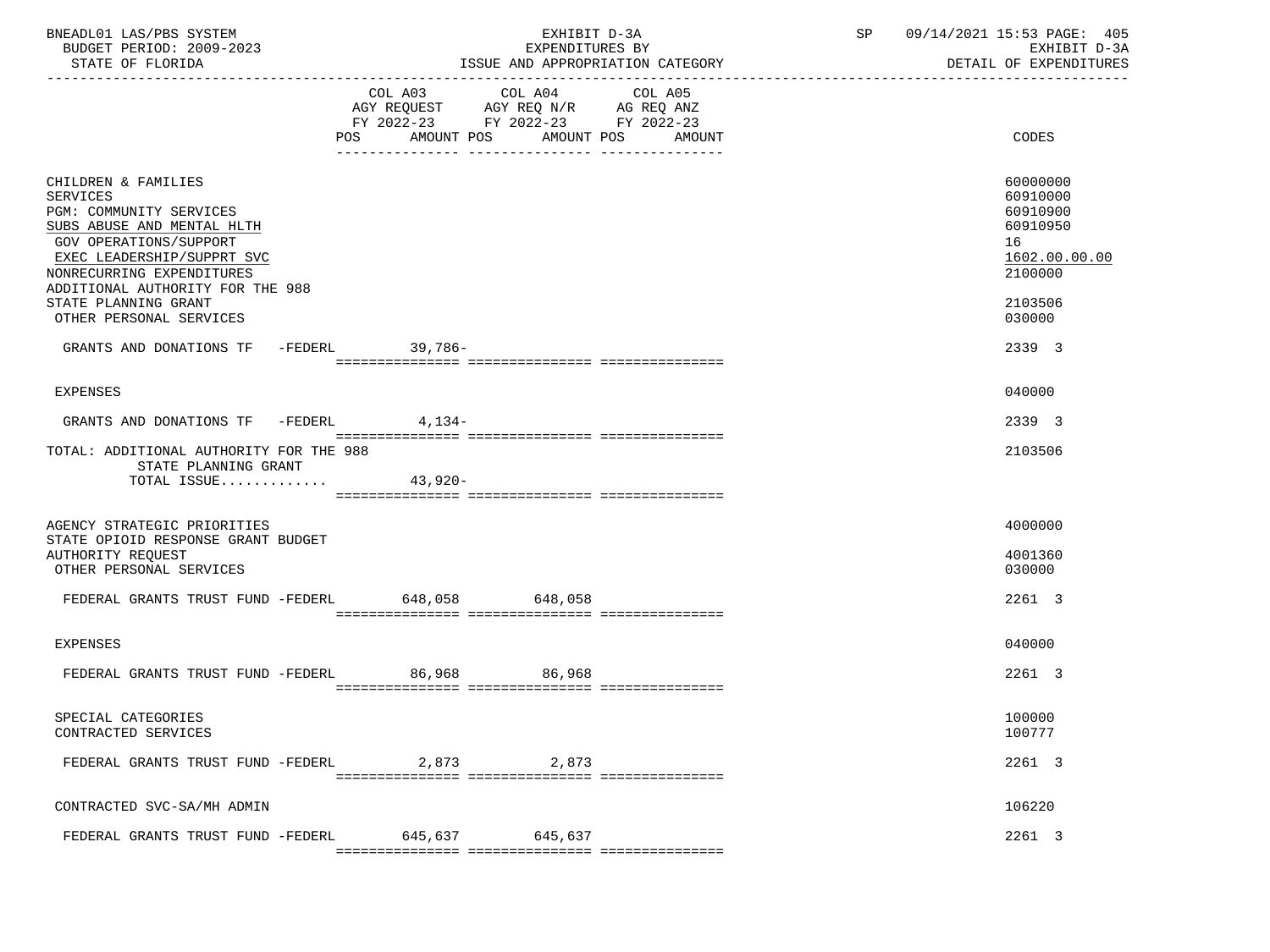| BNEADL01 LAS/PBS SYSTEM<br>BUDGET PERIOD: 2009-2023<br>STATE OF FLORIDA                                                                                                                                                                                                                                                |                   | EXHIBIT D-3A<br>EXPENDITURES BY                                                                                                                                                                                               | ISSUE AND APPROPRIATION CATEGORY | SP<br>------------------------------ | 09/14/2021 15:53 PAGE: 405<br>EXHIBIT D-3A<br>DETAIL OF EXPENDITURES                                          |
|------------------------------------------------------------------------------------------------------------------------------------------------------------------------------------------------------------------------------------------------------------------------------------------------------------------------|-------------------|-------------------------------------------------------------------------------------------------------------------------------------------------------------------------------------------------------------------------------|----------------------------------|--------------------------------------|---------------------------------------------------------------------------------------------------------------|
|                                                                                                                                                                                                                                                                                                                        | AMOUNT POS<br>POS | COL A03 COL A04<br>$\begin{tabular}{lllllll} AGY & \texttt{REQUEST} & \texttt{AGY} & \texttt{REG} & \texttt{N/R} & \texttt{AG} & \texttt{REQ} & \texttt{ANZ} \end{tabular}$<br>FY 2022-23 FY 2022-23 FY 2022-23<br>AMOUNT POS | COL A05<br>AMOUNT                |                                      | CODES                                                                                                         |
| CHILDREN & FAMILIES<br><b>SERVICES</b><br>PGM: COMMUNITY SERVICES<br>SUBS ABUSE AND MENTAL HLTH<br>GOV OPERATIONS/SUPPORT<br>EXEC LEADERSHIP/SUPPRT SVC<br>NONRECURRING EXPENDITURES<br>ADDITIONAL AUTHORITY FOR THE 988<br>STATE PLANNING GRANT<br>OTHER PERSONAL SERVICES<br>GRANTS AND DONATIONS TF -FEDERL 39,786- |                   |                                                                                                                                                                                                                               |                                  |                                      | 60000000<br>60910000<br>60910900<br>60910950<br>16<br>1602.00.00.00<br>2100000<br>2103506<br>030000<br>2339 3 |
| EXPENSES                                                                                                                                                                                                                                                                                                               |                   |                                                                                                                                                                                                                               |                                  |                                      | 040000                                                                                                        |
| GRANTS AND DONATIONS TF -FEDERL 4,134-                                                                                                                                                                                                                                                                                 |                   |                                                                                                                                                                                                                               |                                  |                                      | 2339 3                                                                                                        |
| TOTAL: ADDITIONAL AUTHORITY FOR THE 988<br>STATE PLANNING GRANT<br>TOTAL ISSUE $43,920-$                                                                                                                                                                                                                               |                   |                                                                                                                                                                                                                               |                                  |                                      | 2103506                                                                                                       |
| AGENCY STRATEGIC PRIORITIES                                                                                                                                                                                                                                                                                            |                   |                                                                                                                                                                                                                               |                                  |                                      | 4000000                                                                                                       |
| STATE OPIOID RESPONSE GRANT BUDGET<br>AUTHORITY REQUEST<br>OTHER PERSONAL SERVICES                                                                                                                                                                                                                                     |                   |                                                                                                                                                                                                                               |                                  |                                      | 4001360<br>030000                                                                                             |
| FEDERAL GRANTS TRUST FUND -FEDERL 648,058 648,058                                                                                                                                                                                                                                                                      |                   |                                                                                                                                                                                                                               |                                  |                                      | 2261 3                                                                                                        |
| <b>EXPENSES</b>                                                                                                                                                                                                                                                                                                        |                   |                                                                                                                                                                                                                               |                                  |                                      | 040000                                                                                                        |
| FEDERAL GRANTS TRUST FUND -FEDERL                                                                                                                                                                                                                                                                                      |                   | 86,968 86,968                                                                                                                                                                                                                 |                                  |                                      | 2261 3                                                                                                        |
| SPECIAL CATEGORIES<br>CONTRACTED SERVICES                                                                                                                                                                                                                                                                              |                   |                                                                                                                                                                                                                               |                                  |                                      | 100000<br>100777                                                                                              |
| FEDERAL GRANTS TRUST FUND -FEDERL                                                                                                                                                                                                                                                                                      | 2,873             | 2,873                                                                                                                                                                                                                         |                                  |                                      | 2261 3                                                                                                        |
| CONTRACTED SVC-SA/MH ADMIN                                                                                                                                                                                                                                                                                             |                   |                                                                                                                                                                                                                               |                                  |                                      | 106220                                                                                                        |
| FEDERAL GRANTS TRUST FUND -FEDERL                                                                                                                                                                                                                                                                                      | 645,637           | 645,637                                                                                                                                                                                                                       |                                  |                                      | 2261 3                                                                                                        |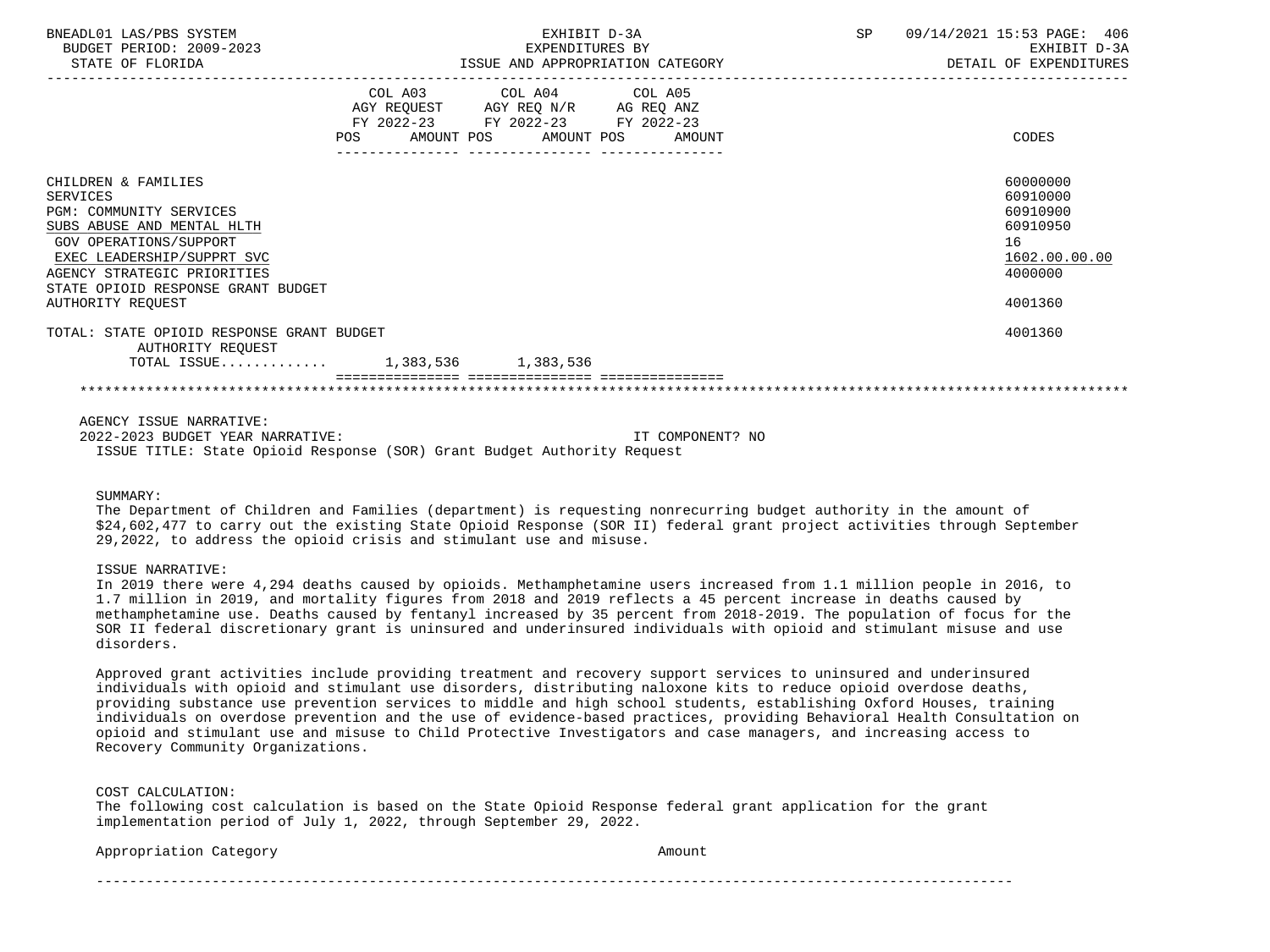| BNEADL01 LAS/PBS SYSTEM<br>BUDGET PERIOD: 2009-2023<br>STATE OF FLORIDA                                                                                                                                                                                  | EXHIBIT D-3A<br>EXPENDITURES BY<br>ISSUE AND APPROPRIATION CATEGORY |                                                                                                   | SP                           | 09/14/2021 15:53 PAGE: 406<br>EXHIBIT D-3A<br>DETAIL OF EXPENDITURES |                                                                                           |
|----------------------------------------------------------------------------------------------------------------------------------------------------------------------------------------------------------------------------------------------------------|---------------------------------------------------------------------|---------------------------------------------------------------------------------------------------|------------------------------|----------------------------------------------------------------------|-------------------------------------------------------------------------------------------|
|                                                                                                                                                                                                                                                          | POS                                                                 | COL A03 COL A04 COL A05<br>AGY REQUEST AGY REQ N/R AG REQ ANZ<br>FY 2022-23 FY 2022-23 FY 2022-23 | AMOUNT POS AMOUNT POS AMOUNT |                                                                      | CODES                                                                                     |
| CHILDREN & FAMILIES<br><b>SERVICES</b><br><b>PGM: COMMUNITY SERVICES</b><br>SUBS ABUSE AND MENTAL HLTH<br>GOV OPERATIONS/SUPPORT<br>EXEC LEADERSHIP/SUPPRT SVC<br>AGENCY STRATEGIC PRIORITIES<br>STATE OPIOID RESPONSE GRANT BUDGET<br>AUTHORITY REOUEST |                                                                     |                                                                                                   |                              |                                                                      | 60000000<br>60910000<br>60910900<br>60910950<br>16<br>1602.00.00.00<br>4000000<br>4001360 |
| TOTAL: STATE OPIOID RESPONSE GRANT BUDGET<br>AUTHORITY REQUEST<br>TOTAL ISSUE 1,383,536 1,383,536                                                                                                                                                        |                                                                     |                                                                                                   |                              |                                                                      | 4001360                                                                                   |
|                                                                                                                                                                                                                                                          |                                                                     |                                                                                                   |                              |                                                                      |                                                                                           |

AGENCY ISSUE NARRATIVE:

 2022-2023 BUDGET YEAR NARRATIVE: IT COMPONENT? NO ISSUE TITLE: State Opioid Response (SOR) Grant Budget Authority Request

## SUMMARY:

 The Department of Children and Families (department) is requesting nonrecurring budget authority in the amount of \$24,602,477 to carry out the existing State Opioid Response (SOR II) federal grant project activities through September 29,2022, to address the opioid crisis and stimulant use and misuse.

## ISSUE NARRATIVE:

 In 2019 there were 4,294 deaths caused by opioids. Methamphetamine users increased from 1.1 million people in 2016, to 1.7 million in 2019, and mortality figures from 2018 and 2019 reflects a 45 percent increase in deaths caused by methamphetamine use. Deaths caused by fentanyl increased by 35 percent from 2018-2019. The population of focus for the SOR II federal discretionary grant is uninsured and underinsured individuals with opioid and stimulant misuse and use disorders.

 Approved grant activities include providing treatment and recovery support services to uninsured and underinsured individuals with opioid and stimulant use disorders, distributing naloxone kits to reduce opioid overdose deaths, providing substance use prevention services to middle and high school students, establishing Oxford Houses, training individuals on overdose prevention and the use of evidence-based practices, providing Behavioral Health Consultation on opioid and stimulant use and misuse to Child Protective Investigators and case managers, and increasing access to Recovery Community Organizations.

COST CALCULATION:

 The following cost calculation is based on the State Opioid Response federal grant application for the grant implementation period of July 1, 2022, through September 29, 2022.

Appropriation Category **Amount** 

---------------------------------------------------------------------------------------------------------------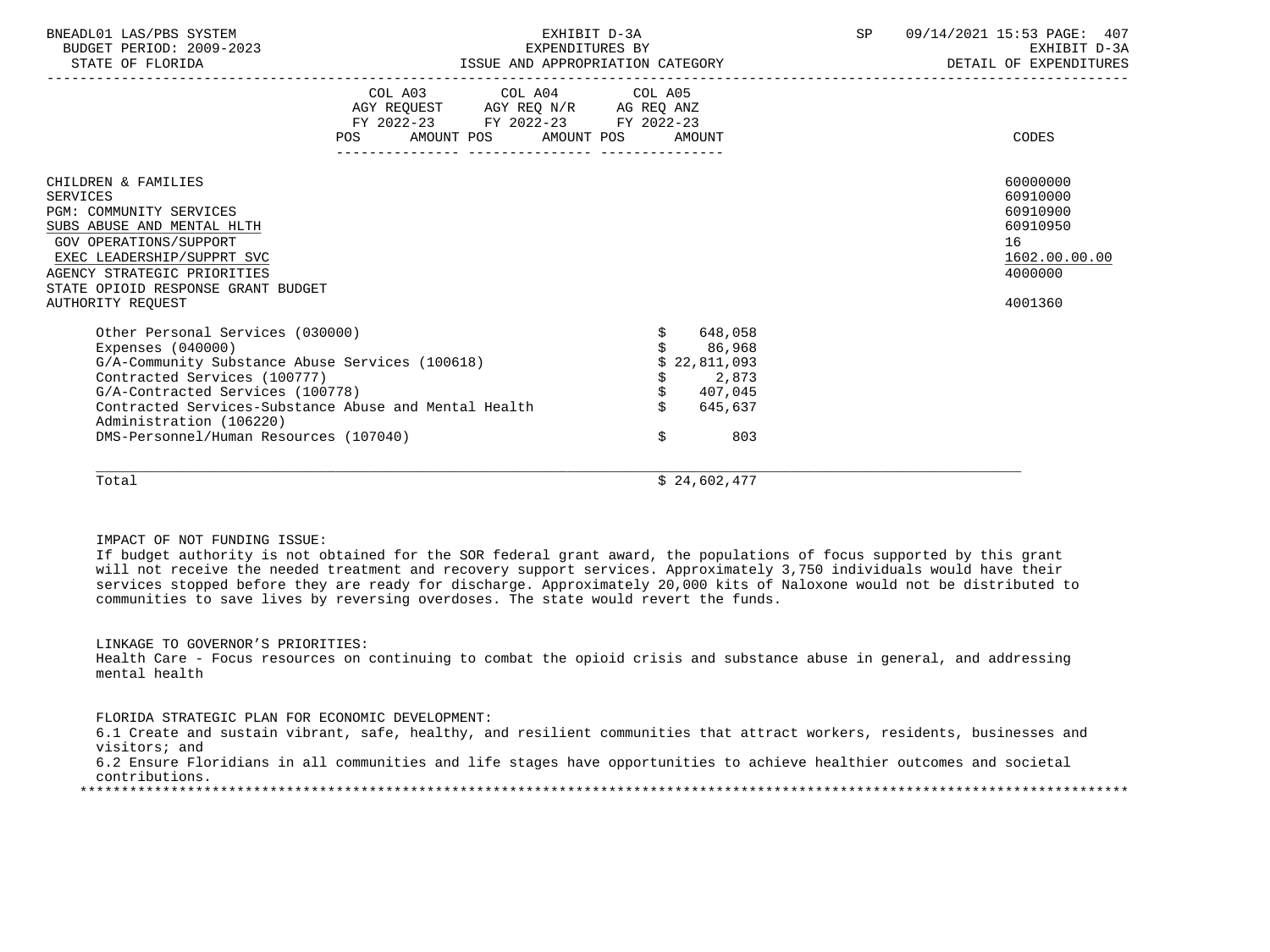| BNEADL01 LAS/PBS SYSTEM<br>BUDGET PERIOD: 2009-2023<br>STATE OF FLORIDA                                                                                                                                                                             |                                                                                                                                          | EXHIBIT D-3A<br>EXPENDITURES BY<br>ISSUE AND APPROPRIATION CATEGORY                       | 09/14/2021 15:53 PAGE: 407<br>SP<br>EXHIBIT D-3A<br>DETAIL OF EXPENDITURES |                                                                                           |  |  |
|-----------------------------------------------------------------------------------------------------------------------------------------------------------------------------------------------------------------------------------------------------|------------------------------------------------------------------------------------------------------------------------------------------|-------------------------------------------------------------------------------------------|----------------------------------------------------------------------------|-------------------------------------------------------------------------------------------|--|--|
|                                                                                                                                                                                                                                                     | COL A03 COL A04 COL A05<br>AGY REQUEST AGY REQ N/R AG REQ ANZ<br>FY 2022-23 FY 2022-23 FY 2022-23<br>AMOUNT POS AMOUNT POS<br><b>POS</b> | AMOUNT                                                                                    |                                                                            | CODES                                                                                     |  |  |
| CHILDREN & FAMILIES<br>SERVICES<br><b>PGM: COMMUNITY SERVICES</b><br>SUBS ABUSE AND MENTAL HLTH<br>GOV OPERATIONS/SUPPORT<br>EXEC LEADERSHIP/SUPPRT SVC<br>AGENCY STRATEGIC PRIORITIES<br>STATE OPIOID RESPONSE GRANT BUDGET<br>AUTHORITY REOUEST   |                                                                                                                                          |                                                                                           |                                                                            | 60000000<br>60910000<br>60910900<br>60910950<br>16<br>1602.00.00.00<br>4000000<br>4001360 |  |  |
| Other Personal Services (030000)<br>Expenses $(040000)$<br>G/A-Community Substance Abuse Services (100618)<br>Contracted Services (100777)<br>G/A-Contracted Services (100778)<br>Administration (106220)<br>DMS-Personnel/Human Resources (107040) | Contracted Services-Substance Abuse and Mental Health                                                                                    | 648,058<br>\$<br>86,968<br>22,811,093<br>\$<br>2,873<br>\$407,045<br>645,637<br>\$<br>803 |                                                                            |                                                                                           |  |  |
| Total                                                                                                                                                                                                                                               |                                                                                                                                          | \$24,602,477                                                                              |                                                                            |                                                                                           |  |  |

IMPACT OF NOT FUNDING ISSUE:

 If budget authority is not obtained for the SOR federal grant award, the populations of focus supported by this grant will not receive the needed treatment and recovery support services. Approximately 3,750 individuals would have their services stopped before they are ready for discharge. Approximately 20,000 kits of Naloxone would not be distributed to communities to save lives by reversing overdoses. The state would revert the funds.

LINKAGE TO GOVERNOR'S PRIORITIES:

 Health Care - Focus resources on continuing to combat the opioid crisis and substance abuse in general, and addressing mental health

FLORIDA STRATEGIC PLAN FOR ECONOMIC DEVELOPMENT:

 6.1 Create and sustain vibrant, safe, healthy, and resilient communities that attract workers, residents, businesses and visitors; and

 6.2 Ensure Floridians in all communities and life stages have opportunities to achieve healthier outcomes and societal contributions.

\*\*\*\*\*\*\*\*\*\*\*\*\*\*\*\*\*\*\*\*\*\*\*\*\*\*\*\*\*\*\*\*\*\*\*\*\*\*\*\*\*\*\*\*\*\*\*\*\*\*\*\*\*\*\*\*\*\*\*\*\*\*\*\*\*\*\*\*\*\*\*\*\*\*\*\*\*\*\*\*\*\*\*\*\*\*\*\*\*\*\*\*\*\*\*\*\*\*\*\*\*\*\*\*\*\*\*\*\*\*\*\*\*\*\*\*\*\*\*\*\*\*\*\*\*\*\*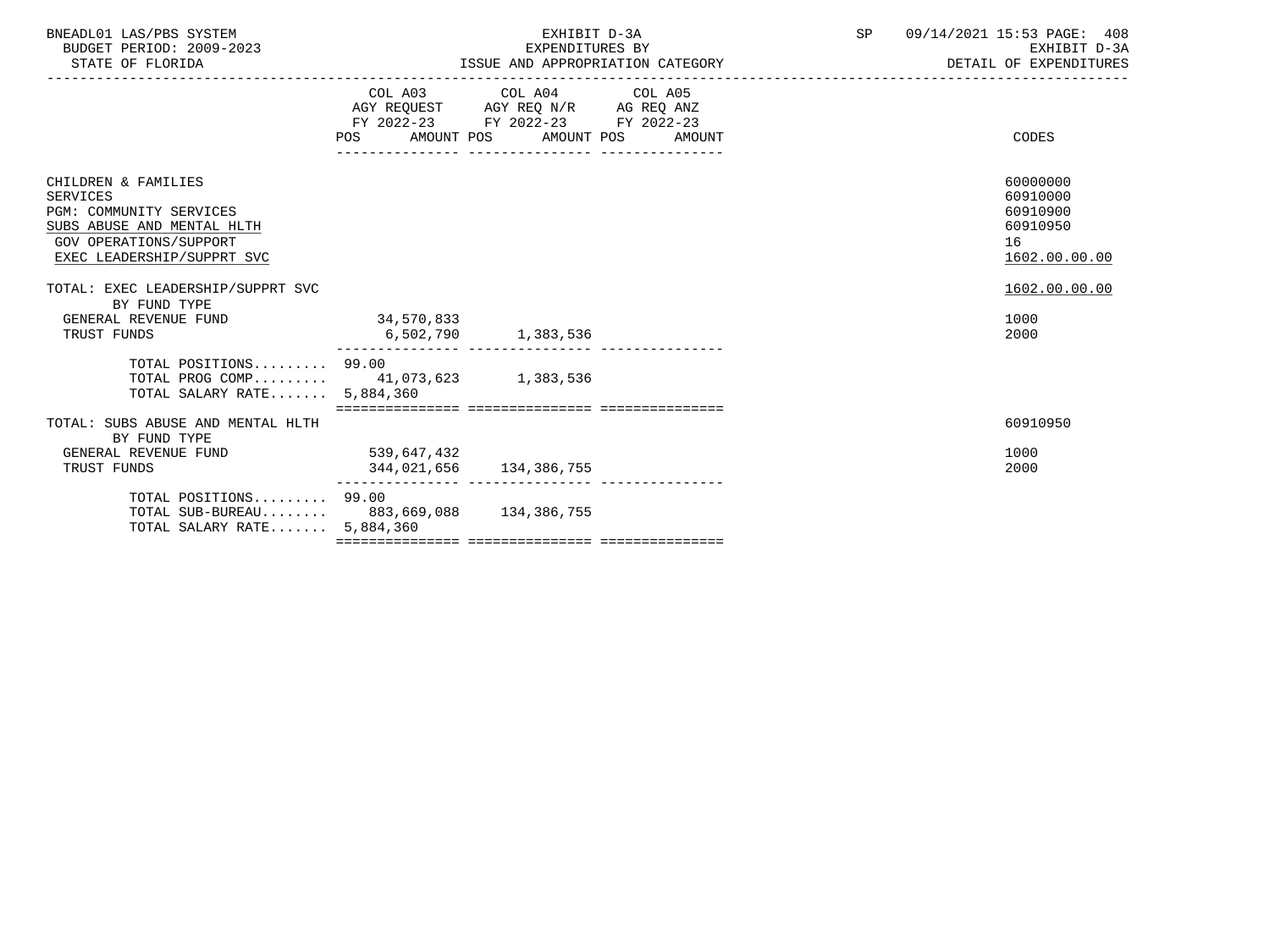| BNEADL01 LAS/PBS SYSTEM<br>BUDGET PERIOD: 2009-2023<br>STATE OF FLORIDA                                                                                                                             | EXHIBIT D-3A<br>EXPENDITURES BY<br>ISSUE AND APPROPRIATION CATEGORY<br>----------------------------------- |                                                                                                                                       | SP 09/14/2021 15:53 PAGE: 408<br>EXHIBIT D-3A<br>DETAIL OF EXPENDITURES |                                                                                      |
|-----------------------------------------------------------------------------------------------------------------------------------------------------------------------------------------------------|------------------------------------------------------------------------------------------------------------|---------------------------------------------------------------------------------------------------------------------------------------|-------------------------------------------------------------------------|--------------------------------------------------------------------------------------|
|                                                                                                                                                                                                     |                                                                                                            | COL A03 COL A04 COL A05<br>AGY REQUEST AGY REQ N/R AG REQ ANZ<br>FY 2022-23 FY 2022-23 FY 2022-23<br>POS AMOUNT POS AMOUNT POS AMOUNT |                                                                         | CODES                                                                                |
| CHILDREN & FAMILIES<br>SERVICES<br><b>PGM: COMMUNITY SERVICES</b><br>SUBS ABUSE AND MENTAL HLTH<br><b>GOV OPERATIONS/SUPPORT</b><br>EXEC LEADERSHIP/SUPPRT SVC<br>TOTAL: EXEC LEADERSHIP/SUPPRT SVC |                                                                                                            |                                                                                                                                       |                                                                         | 60000000<br>60910000<br>60910900<br>60910950<br>16<br>1602.00.00.00<br>1602.00.00.00 |
| BY FUND TYPE<br>GENERAL REVENUE FUND<br>TRUST FUNDS                                                                                                                                                 | 34,570,833                                                                                                 | 6,502,790 1,383,536                                                                                                                   |                                                                         | 1000<br>2000                                                                         |
| TOTAL POSITIONS 99.00<br>TOTAL PROG COMP 41,073,623 1,383,536<br>TOTAL SALARY RATE 5,884,360                                                                                                        |                                                                                                            |                                                                                                                                       |                                                                         |                                                                                      |
| TOTAL: SUBS ABUSE AND MENTAL HLTH                                                                                                                                                                   |                                                                                                            |                                                                                                                                       |                                                                         | 60910950                                                                             |
| BY FUND TYPE<br>GENERAL REVENUE FUND<br>TRUST FUNDS                                                                                                                                                 | 539,647,432                                                                                                | 344,021,656 134,386,755                                                                                                               |                                                                         | 1000<br>2000                                                                         |
| TOTAL POSITIONS 99.00<br>TOTAL SUB-BUREAU 883,669,088 134,386,755<br>TOTAL SALARY RATE 5,884,360                                                                                                    |                                                                                                            |                                                                                                                                       |                                                                         |                                                                                      |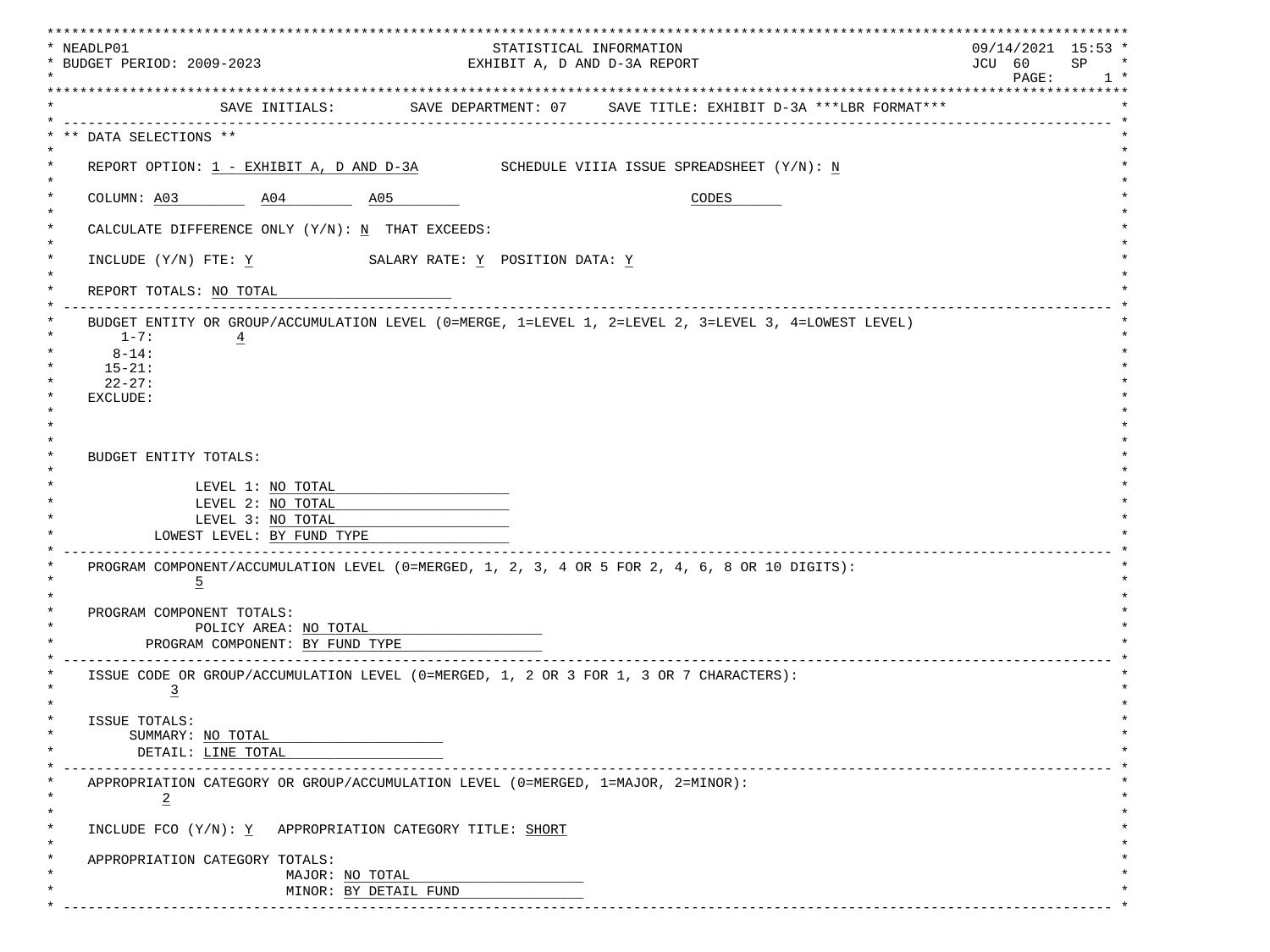| * NEADLP01                                                                                                   |  |                                                                              | * * * * * * * * * * * * * * * * * *<br>$09/14/2021$ 15:53 * |
|--------------------------------------------------------------------------------------------------------------|--|------------------------------------------------------------------------------|-------------------------------------------------------------|
| STATISTICAL INFORMATION<br>* BUDGET PERIOD: 2009-2023<br>EXHIBIT A, D AND D-3A REPORT                        |  | JCU 60<br>SP<br>$\star$                                                      |                                                             |
|                                                                                                              |  |                                                                              | PAGE:<br>$1 *$                                              |
|                                                                                                              |  | SAVE INITIALS: SAVE DEPARTMENT: 07 SAVE TITLE: EXHIBIT D-3A ***LBR FORMAT*** |                                                             |
| ---------------                                                                                              |  |                                                                              |                                                             |
| ** DATA SELECTIONS **                                                                                        |  |                                                                              |                                                             |
| REPORT OPTION: $1$ - EXHIBIT A, D AND D-3A SCHEDULE VIIIA ISSUE SPREADSHEET $(Y/N): N$                       |  |                                                                              |                                                             |
| COLUMN: A03 A04 A05                                                                                          |  | CODES                                                                        |                                                             |
| CALCULATE DIFFERENCE ONLY $(Y/N): N$ THAT EXCEEDS:                                                           |  |                                                                              |                                                             |
| INCLUDE (Y/N) FTE: Y SALARY RATE: Y POSITION DATA: Y                                                         |  |                                                                              |                                                             |
| REPORT TOTALS: NO TOTAL                                                                                      |  |                                                                              |                                                             |
| BUDGET ENTITY OR GROUP/ACCUMULATION LEVEL (0=MERGE, 1=LEVEL 1, 2=LEVEL 2, 3=LEVEL 3, 4=LOWEST LEVEL)         |  |                                                                              |                                                             |
| $1 - 7:$<br>$\overline{4}$                                                                                   |  |                                                                              |                                                             |
| $8 - 14$ :<br>$15 - 21:$                                                                                     |  |                                                                              |                                                             |
| $22 - 27:$                                                                                                   |  |                                                                              |                                                             |
| EXCLUDE:                                                                                                     |  |                                                                              |                                                             |
|                                                                                                              |  |                                                                              |                                                             |
|                                                                                                              |  |                                                                              |                                                             |
|                                                                                                              |  |                                                                              |                                                             |
| <b>BUDGET ENTITY TOTALS:</b>                                                                                 |  |                                                                              |                                                             |
| LEVEL 1: NO TOTAL                                                                                            |  |                                                                              |                                                             |
| LEVEL 2: NO TOTAL                                                                                            |  |                                                                              |                                                             |
| LEVEL 3: NO TOTAL                                                                                            |  |                                                                              |                                                             |
| LOWEST LEVEL: BY FUND TYPE                                                                                   |  |                                                                              |                                                             |
| PROGRAM COMPONENT/ACCUMULATION LEVEL (0=MERGED, 1, 2, 3, 4 OR 5 FOR 2, 4, 6, 8 OR 10 DIGITS):                |  |                                                                              |                                                             |
| $\overline{5}$                                                                                               |  |                                                                              |                                                             |
|                                                                                                              |  |                                                                              |                                                             |
| PROGRAM COMPONENT TOTALS:                                                                                    |  |                                                                              |                                                             |
| POLICY AREA: NO TOTAL                                                                                        |  |                                                                              |                                                             |
| PROGRAM COMPONENT: BY FUND TYPE                                                                              |  |                                                                              |                                                             |
|                                                                                                              |  |                                                                              |                                                             |
| ISSUE CODE OR GROUP/ACCUMULATION LEVEL (0=MERGED, 1, 2 OR 3 FOR 1, 3 OR 7 CHARACTERS):<br>$\overline{3}$     |  |                                                                              |                                                             |
|                                                                                                              |  |                                                                              |                                                             |
| ISSUE TOTALS:                                                                                                |  |                                                                              |                                                             |
| SUMMARY: NO TOTAL                                                                                            |  |                                                                              |                                                             |
| DETAIL: LINE TOTAL                                                                                           |  |                                                                              |                                                             |
|                                                                                                              |  |                                                                              |                                                             |
| APPROPRIATION CATEGORY OR GROUP/ACCUMULATION LEVEL (0=MERGED, 1=MAJOR, 2=MINOR):<br>$\ast$<br>$\overline{2}$ |  |                                                                              |                                                             |
| INCLUDE FCO (Y/N): Y APPROPRIATION CATEGORY TITLE: SHORT                                                     |  |                                                                              |                                                             |
| $\star$<br>APPROPRIATION CATEGORY TOTALS:                                                                    |  |                                                                              |                                                             |
| MAJOR: NO TOTAL                                                                                              |  |                                                                              |                                                             |
| MINOR: BY DETAIL FUND                                                                                        |  |                                                                              |                                                             |
|                                                                                                              |  |                                                                              |                                                             |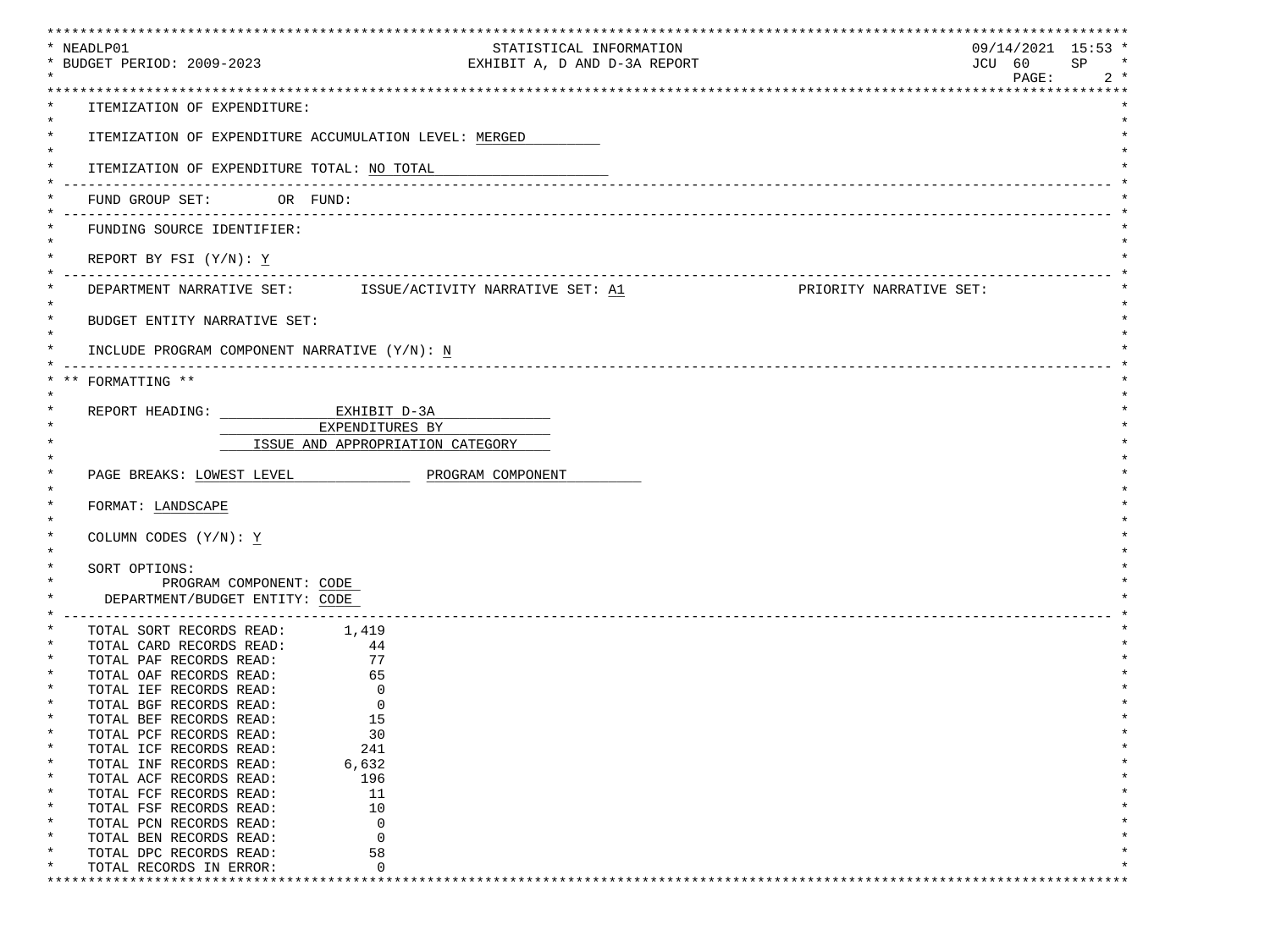| ************************************                         | **************************                                 | ***************************** |        |
|--------------------------------------------------------------|------------------------------------------------------------|-------------------------------|--------|
| * NEADLP01                                                   | STATISTICAL INFORMATION                                    | $09/14/2021$ 15:53 *          | $\ast$ |
| * BUDGET PERIOD: 2009-2023                                   | EXHIBIT A, D AND D-3A REPORT                               | JCU 60<br>SP<br>PAGE:         | $2 *$  |
|                                                              |                                                            |                               |        |
| ITEMIZATION OF EXPENDITURE:                                  |                                                            |                               |        |
|                                                              |                                                            |                               |        |
|                                                              | ITEMIZATION OF EXPENDITURE ACCUMULATION LEVEL: MERGED      |                               |        |
|                                                              |                                                            |                               |        |
| ITEMIZATION OF EXPENDITURE TOTAL: NO TOTAL                   |                                                            |                               |        |
|                                                              |                                                            |                               |        |
| FUND GROUP SET: OR FUND:                                     |                                                            |                               |        |
|                                                              |                                                            |                               |        |
| FUNDING SOURCE IDENTIFIER:                                   |                                                            |                               |        |
| REPORT BY FSI $(Y/N): Y$                                     |                                                            |                               |        |
|                                                              |                                                            |                               |        |
|                                                              | DEPARTMENT NARRATIVE SET: ISSUE/ACTIVITY NARRATIVE SET: A1 | PRIORITY NARRATIVE SET:       |        |
|                                                              |                                                            |                               |        |
| $\star$<br>BUDGET ENTITY NARRATIVE SET:                      |                                                            |                               |        |
|                                                              |                                                            |                               |        |
| INCLUDE PROGRAM COMPONENT NARRATIVE (Y/N): N                 |                                                            |                               |        |
|                                                              |                                                            |                               |        |
| FORMATTING **                                                |                                                            |                               |        |
| REPORT HEADING: EXHIBIT D-3A                                 |                                                            |                               |        |
|                                                              | EXPENDITURES BY                                            |                               |        |
|                                                              | ISSUE AND APPROPRIATION CATEGORY                           |                               |        |
|                                                              |                                                            |                               |        |
| PAGE BREAKS: LOWEST LEVEL                                    | PROGRAM COMPONENT                                          |                               |        |
|                                                              |                                                            |                               |        |
| FORMAT: LANDSCAPE                                            |                                                            |                               |        |
|                                                              |                                                            |                               |        |
| COLUMN CODES (Y/N): Y                                        |                                                            |                               |        |
|                                                              |                                                            |                               |        |
| SORT OPTIONS:<br>PROGRAM COMPONENT: CODE                     |                                                            |                               |        |
| DEPARTMENT/BUDGET ENTITY: CODE                               |                                                            |                               |        |
| ____________________________                                 |                                                            |                               |        |
| TOTAL SORT RECORDS READ: 1,419                               |                                                            |                               |        |
| TOTAL CARD RECORDS READ: 44                                  |                                                            |                               |        |
| TOTAL PAF RECORDS READ:                                      | $\begin{array}{c} 77 \\ 65 \end{array}$                    |                               |        |
| TOTAL OAF RECORDS READ:                                      |                                                            |                               |        |
| TOTAL IEF RECORDS READ:                                      | $\overline{0}$                                             |                               |        |
| TOTAL BGF RECORDS READ:<br>*                                 | $\overline{0}$                                             |                               |        |
| TOTAL BEF RECORDS READ:<br>$\ast$<br>TOTAL PCF RECORDS READ: | 15<br>30                                                   |                               |        |
| $\ast$<br>TOTAL ICF RECORDS READ:                            | 241                                                        |                               |        |
| $\ast$<br>TOTAL INF RECORDS READ:                            | 6,632                                                      |                               |        |
| TOTAL ACF RECORDS READ:<br>$\star$                           | 196                                                        |                               |        |
|                                                              | 11                                                         |                               |        |
| $\ast$<br>TOTAL FCF RECORDS READ:                            |                                                            |                               |        |
| $\ast$<br>TOTAL FSF RECORDS READ:                            | 10                                                         |                               |        |
| $\ast$<br>TOTAL PCN RECORDS READ:                            | $\Omega$                                                   |                               |        |
| $\ast$<br>TOTAL BEN RECORDS READ:                            | $\Omega$                                                   |                               |        |
| $\ast$<br>TOTAL DPC RECORDS READ:<br>TOTAL RECORDS IN ERROR: | 58<br>$\Omega$                                             |                               |        |